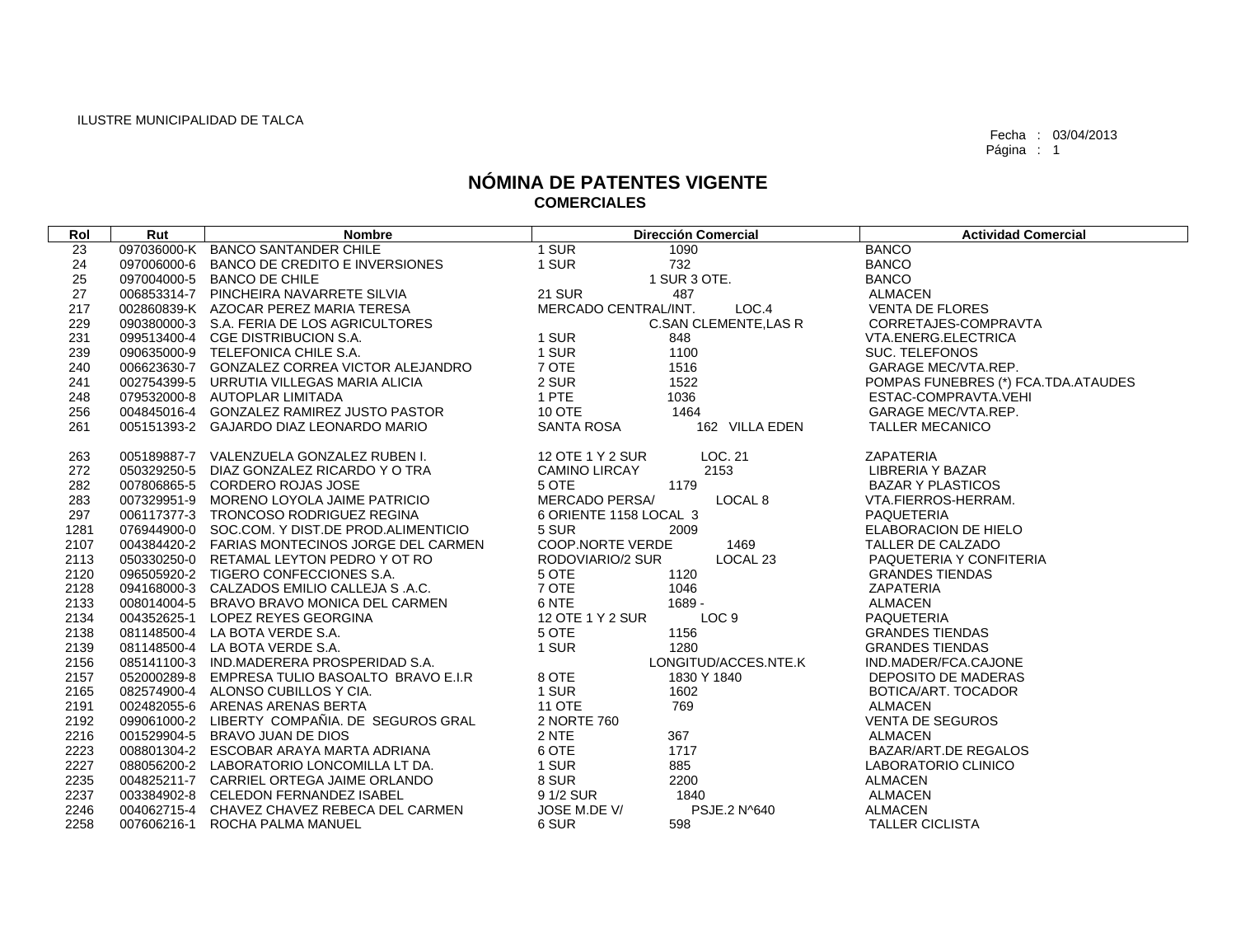| Rol  | Rut | <b>Nombre</b>                                   |                         | <b>Dirección Comercial</b>   | <b>Actividad Comercial</b>          |
|------|-----|-------------------------------------------------|-------------------------|------------------------------|-------------------------------------|
| 23   |     | 097036000-K BANCO SANTANDER CHILE               | 1 SUR                   | 1090                         | <b>BANCO</b>                        |
| 24   |     | 097006000-6 BANCO DE CREDITO E INVERSIONES      | 1 SUR                   | 732                          | <b>BANCO</b>                        |
| 25   |     | 097004000-5 BANCO DE CHILE                      |                         | 1 SUR 3 OTE.                 | <b>BANCO</b>                        |
| 27   |     | 006853314-7 PINCHEIRA NAVARRETE SILVIA          | <b>21 SUR</b>           | 487                          | <b>ALMACEN</b>                      |
| 217  |     | 002860839-K AZOCAR PEREZ MARIA TERESA           | MERCADO CENTRAL/INT.    | LOC.4                        | <b>VENTA DE FLORES</b>              |
| 229  |     | 090380000-3 S.A. FERIA DE LOS AGRICULTORES      |                         | <b>C.SAN CLEMENTE, LAS R</b> | CORRETAJES-COMPRAVTA                |
| 231  |     | 099513400-4 CGE DISTRIBUCION S.A.               | 1 SUR                   | 848                          | VTA.ENERG.ELECTRICA                 |
| 239  |     | 090635000-9 TELEFONICA CHILE S.A.               | 1 SUR                   | 1100                         | <b>SUC. TELEFONOS</b>               |
| 240  |     | 006623630-7 GONZALEZ CORREA VICTOR ALEJANDRO    | 7 OTE                   | 1516                         | <b>GARAGE MEC/VTA.REP.</b>          |
| 241  |     | 002754399-5 URRUTIA VILLEGAS MARIA ALICIA       | 2 SUR                   | 1522                         | POMPAS FUNEBRES (*) FCA.TDA.ATAUDES |
| 248  |     | 079532000-8 AUTOPLAR LIMITADA                   | 1 PTE                   | 1036                         | ESTAC-COMPRAVTA.VEHI                |
| 256  |     | 004845016-4 GONZALEZ RAMIREZ JUSTO PASTOR       | 10 OTE                  | 1464                         | <b>GARAGE MEC/VTA.REP.</b>          |
| 261  |     | 005151393-2 GAJARDO DIAZ LEONARDO MARIO         | SANTA ROSA              | 162 VILLA EDEN               | <b>TALLER MECANICO</b>              |
| 263  |     | 005189887-7 VALENZUELA GONZALEZ RUBEN I.        | 12 OTE 1 Y 2 SUR        | LOC. 21                      | <b>ZAPATERIA</b>                    |
| 272  |     | 050329250-5 DIAZ GONZALEZ RICARDO Y O TRA       | <b>CAMINO LIRCAY</b>    | 2153                         | LIBRERIA Y BAZAR                    |
| 282  |     | 007806865-5 CORDERO ROJAS JOSE                  | 5 OTE                   | 1179                         | <b>BAZAR Y PLASTICOS</b>            |
| 283  |     | 007329951-9 MORENO LOYOLA JAIME PATRICIO        | <b>MERCADO PERSA/</b>   | LOCAL 8                      | VTA.FIERROS-HERRAM.                 |
| 297  |     | 006117377-3 TRONCOSO RODRIGUEZ REGINA           | 6 ORIENTE 1158 LOCAL 3  |                              | PAQUETERIA                          |
| 1281 |     | 076944900-0 SOC.COM, Y DIST.DE PROD.ALIMENTICIO | 5 SUR                   | 2009                         | <b>ELABORACION DE HIELO</b>         |
| 2107 |     | 004384420-2 FARIAS MONTECINOS JORGE DEL CARMEN  | <b>COOP.NORTE VERDE</b> | 1469                         | <b>TALLER DE CALZADO</b>            |
| 2113 |     | 050330250-0 RETAMAL LEYTON PEDRO Y OT RO        | RODOVIARIO/2 SUR        | LOCAL 23                     | PAQUETERIA Y CONFITERIA             |
| 2120 |     | 096505920-2 TIGERO CONFECCIONES S.A.            | 5 OTE                   | 1120                         | <b>GRANDES TIENDAS</b>              |
| 2128 |     | 094168000-3 CALZADOS EMILIO CALLEJA S.A.C.      | 7 OTE                   | 1046                         | <b>ZAPATERIA</b>                    |
| 2133 |     | 008014004-5 BRAVO BRAVO MONICA DEL CARMEN       | 6 NTE                   | 1689 -                       | ALMACEN                             |
| 2134 |     | 004352625-1 LOPEZ REYES GEORGINA                | 12 OTE 1 Y 2 SUR        | LOC <sub>9</sub>             | <b>PAQUETERIA</b>                   |
| 2138 |     | 081148500-4 LA BOTA VERDE S.A.                  | 5 OTE                   | 1156                         | <b>GRANDES TIENDAS</b>              |
| 2139 |     | 081148500-4 LA BOTA VERDE S.A.                  | 1 SUR                   | 1280                         | <b>GRANDES TIENDAS</b>              |
| 2156 |     | 085141100-3 IND.MADERERA PROSPERIDAD S.A.       |                         | LONGITUD/ACCES.NTE.K         | IND.MADER/FCA.CAJONE                |
| 2157 |     | 052000289-8 EMPRESA TULIO BASOALTO BRAVO E.I.R  | 8 OTE                   | 1830 Y 1840                  | DEPOSITO DE MADERAS                 |
| 2165 |     | 082574900-4 ALONSO CUBILLOS Y CIA.              | 1 SUR                   | 1602                         | BOTICA/ART. TOCADOR                 |
| 2191 |     | 002482055-6 ARENAS ARENAS BERTA                 | <b>11 OTE</b>           | 769                          | <b>ALMACEN</b>                      |
| 2192 |     | 099061000-2 LIBERTY COMPAÑIA. DE SEGUROS GRAL   | 2 NORTE 760             |                              | <b>VENTA DE SEGUROS</b>             |
| 2216 |     | 001529904-5 BRAVO JUAN DE DIOS                  | 2 NTE                   | 367                          | <b>ALMACEN</b>                      |
| 2223 |     | 008801304-2 ESCOBAR ARAYA MARTA ADRIANA         | 6 OTE                   | 1717                         | BAZAR/ART.DE REGALOS                |
| 2227 |     | 088056200-2 LABORATORIO LONCOMILLA LT DA.       | 1 SUR                   | 885                          | LABORATORIO CLINICO                 |
| 2235 |     | 004825211-7 CARRIEL ORTEGA JAIME ORLANDO        | 8 SUR                   | 2200                         | <b>ALMACEN</b>                      |
| 2237 |     | 003384902-8 CELEDON FERNANDEZ ISABEL            | 9 1/2 SUR               | 1840                         | <b>ALMACEN</b>                      |
| 2246 |     | 004062715-4 CHAVEZ CHAVEZ REBECA DEL CARMEN     | JOSE M.DE V/            | PSJE.2 N^640                 | <b>ALMACEN</b>                      |
| 2258 |     | 007606216-1 ROCHA PALMA MANUEL                  | 6 SUR                   | 598                          | <b>TALLER CICLISTA</b>              |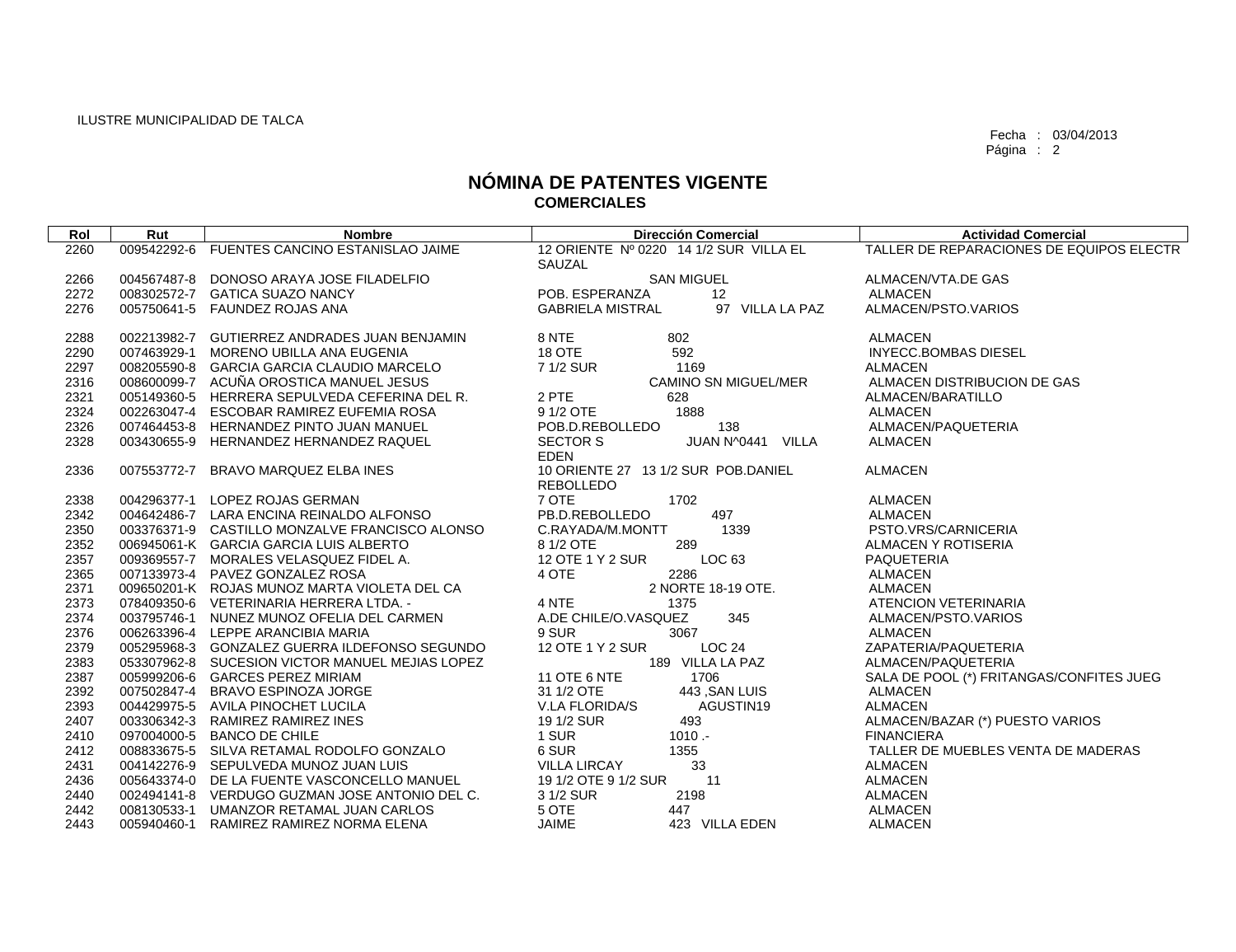| Rol  | Rut         | <b>Nombre</b>                                   | <b>Dirección Comercial</b>                 | <b>Actividad Comercial</b>               |
|------|-------------|-------------------------------------------------|--------------------------------------------|------------------------------------------|
| 2260 | 009542292-6 | FUENTES CANCINO ESTANISLAO JAIME                | 12 ORIENTE Nº 0220 14 1/2 SUR VILLA EL     | TALLER DE REPARACIONES DE EQUIPOS ELECTR |
|      |             |                                                 | SAUZAL                                     |                                          |
| 2266 | 004567487-8 | DONOSO ARAYA JOSE FILADELFIO                    | <b>SAN MIGUEL</b>                          | ALMACEN/VTA.DE GAS                       |
| 2272 |             | 008302572-7 GATICA SUAZO NANCY                  | POB. ESPERANZA<br>12                       | <b>ALMACEN</b>                           |
| 2276 |             | 005750641-5 FAUNDEZ ROJAS ANA                   | 97 VILLA LA PAZ<br><b>GABRIELA MISTRAL</b> | ALMACEN/PSTO.VARIOS                      |
| 2288 |             | 002213982-7 GUTIERREZ ANDRADES JUAN BENJAMIN    | 8 NTE<br>802                               | <b>ALMACEN</b>                           |
| 2290 | 007463929-1 | MORENO UBILLA ANA EUGENIA                       | 592<br>18 OTE                              | <b>INYECC.BOMBAS DIESEL</b>              |
| 2297 |             | 008205590-8 GARCIA GARCIA CLAUDIO MARCELO       | 7 1/2 SUR<br>1169                          | <b>ALMACEN</b>                           |
| 2316 |             | 008600099-7 ACUÑA OROSTICA MANUEL JESUS         | CAMINO SN MIGUEL/MER                       | ALMACEN DISTRIBUCION DE GAS              |
| 2321 |             | 005149360-5 HERRERA SEPULVEDA CEFERINA DEL R.   | 2 PTE<br>628                               | ALMACEN/BARATILLO                        |
| 2324 |             | 002263047-4 ESCOBAR RAMIREZ EUFEMIA ROSA        | 1888<br>9 1/2 OTE                          | <b>ALMACEN</b>                           |
| 2326 |             | 007464453-8 HERNANDEZ PINTO JUAN MANUEL         | POB.D.REBOLLEDO<br>138                     | ALMACEN/PAQUETERIA                       |
| 2328 |             | 003430655-9 HERNANDEZ HERNANDEZ RAQUEL          | <b>SECTOR S</b><br>JUAN N^0441 VILLA       | <b>ALMACEN</b>                           |
|      |             |                                                 | <b>EDEN</b>                                |                                          |
| 2336 | 007553772-7 | BRAVO MARQUEZ ELBA INES                         | 10 ORIENTE 27 13 1/2 SUR POB.DANIEL        | <b>ALMACEN</b>                           |
|      |             |                                                 | <b>REBOLLEDO</b>                           |                                          |
| 2338 |             | 004296377-1 LOPEZ ROJAS GERMAN                  | 7 OTE<br>1702                              | <b>ALMACEN</b>                           |
| 2342 |             | 004642486-7 LARA ENCINA REINALDO ALFONSO        | 497<br>PB.D.REBOLLEDO                      | <b>ALMACEN</b>                           |
| 2350 |             | 003376371-9 CASTILLO MONZALVE FRANCISCO ALONSO  | C.RAYADA/M.MONTT<br>1339                   | PSTO.VRS/CARNICERIA                      |
| 2352 |             | 006945061-K GARCIA GARCIA LUIS ALBERTO          | 8 1/2 OTE<br>289                           | ALMACEN Y ROTISERIA                      |
| 2357 |             | 009369557-7 MORALES VELASQUEZ FIDEL A.          | LOC 63<br>12 OTE 1 Y 2 SUR                 | PAQUETERIA                               |
| 2365 |             | 007133973-4 PAVEZ GONZALEZ ROSA                 | 2286<br>4 OTE                              | <b>ALMACEN</b>                           |
| 2371 |             | 009650201-K ROJAS MUNOZ MARTA VIOLETA DEL CA    | 2 NORTE 18-19 OTE.                         | <b>ALMACEN</b>                           |
| 2373 |             | 078409350-6 VETERINARIA HERRERA LTDA. -         | 4 NTE<br>1375                              | ATENCION VETERINARIA                     |
| 2374 |             | 003795746-1 NUNEZ MUNOZ OFELIA DEL CARMEN       | A.DE CHILE/O.VASQUEZ<br>345                | ALMACEN/PSTO.VARIOS                      |
| 2376 |             | 006263396-4 LEPPE ARANCIBIA MARIA               | 9 SUR<br>3067                              | <b>ALMACEN</b>                           |
| 2379 |             | 005295968-3 GONZALEZ GUERRA ILDEFONSO SEGUNDO   | 12 OTE 1 Y 2 SUR<br><b>LOC 24</b>          | ZAPATERIA/PAQUETERIA                     |
| 2383 |             | 053307962-8 SUCESION VICTOR MANUEL MEJIAS LOPEZ | 189 VILLA LA PAZ                           | ALMACEN/PAQUETERIA                       |
| 2387 |             | 005999206-6 GARCES PEREZ MIRIAM                 | 11 OTE 6 NTE<br>1706                       | SALA DE POOL (*) FRITANGAS/CONFITES JUEG |
| 2392 |             | 007502847-4 BRAVO ESPINOZA JORGE                | 31 1/2 OTE<br>443, SAN LUIS                | <b>ALMACEN</b>                           |
| 2393 | 004429975-5 | AVILA PINOCHET LUCILA                           | V.LA FLORIDA/S<br>AGUSTIN19                | ALMACEN                                  |
| 2407 |             | 003306342-3 RAMIREZ RAMIREZ INES                | 19 1/2 SUR<br>493                          | ALMACEN/BAZAR (*) PUESTO VARIOS          |
| 2410 |             | 097004000-5 BANCO DE CHILE                      | $1010 -$<br>1 SUR                          | <b>FINANCIERA</b>                        |
| 2412 |             | 008833675-5 SILVA RETAMAL RODOLFO GONZALO       | 6 SUR<br>1355                              | TALLER DE MUEBLES VENTA DE MADERAS       |
| 2431 |             | 004142276-9 SEPULVEDA MUNOZ JUAN LUIS           | <b>VILLA LIRCAY</b><br>33                  | <b>ALMACEN</b>                           |
| 2436 |             | 005643374-0 DE LA FUENTE VASCONCELLO MANUEL     | 19 1/2 OTE 9 1/2 SUR<br>11                 | <b>ALMACEN</b>                           |
| 2440 |             | 002494141-8 VERDUGO GUZMAN JOSE ANTONIO DEL C.  | 2198<br>3 1/2 SUR                          | <b>ALMACEN</b>                           |
| 2442 |             | 008130533-1 UMANZOR RETAMAL JUAN CARLOS         | 5 OTE<br>447                               | <b>ALMACEN</b>                           |
| 2443 |             | 005940460-1 RAMIREZ RAMIREZ NORMA ELENA         | <b>JAIME</b><br>423 VILLA EDEN             | <b>ALMACEN</b>                           |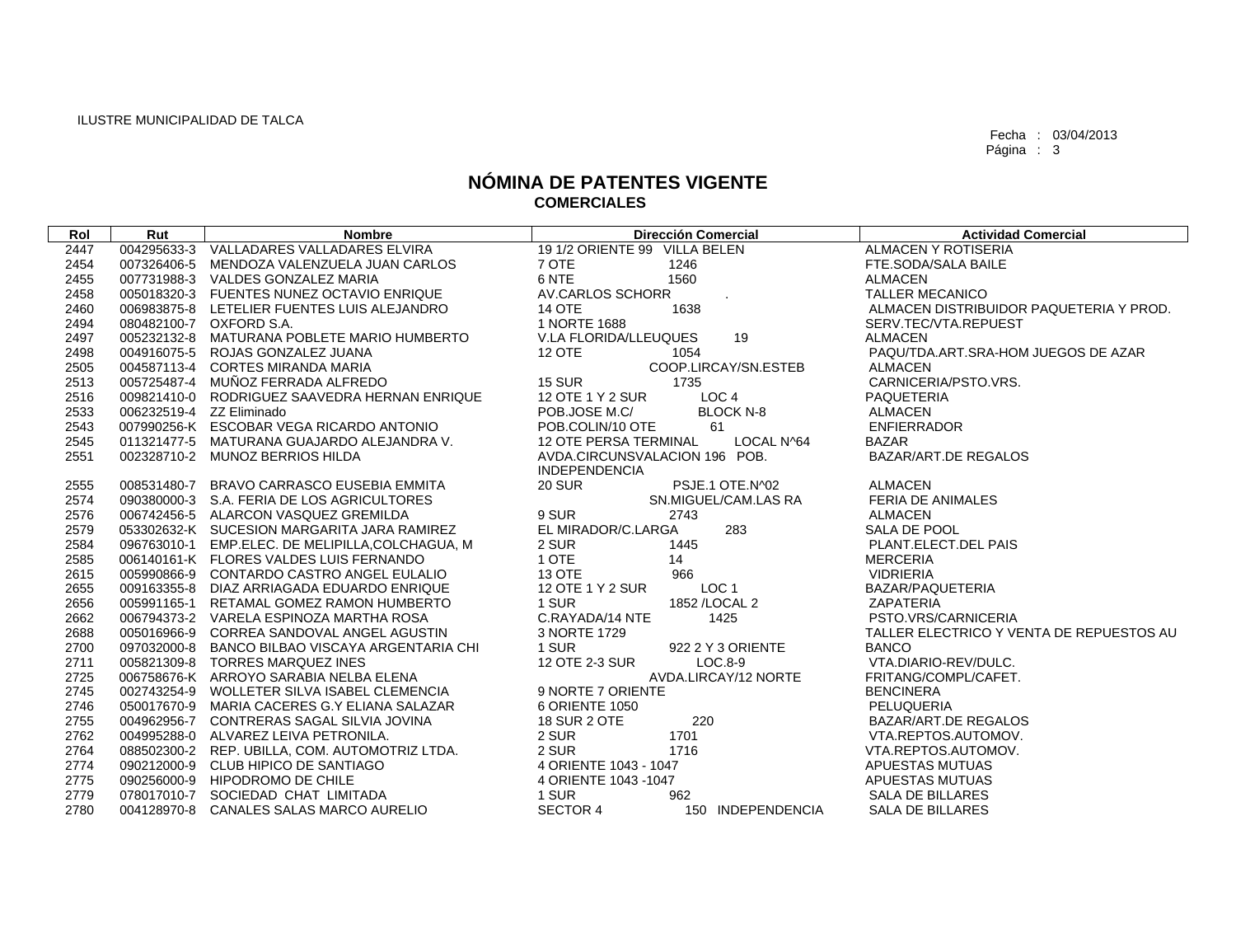| Rol  | Rut                      | <b>Nombre</b>                                    | <b>Dirección Comercial</b>                 | <b>Actividad Comercial</b>               |
|------|--------------------------|--------------------------------------------------|--------------------------------------------|------------------------------------------|
| 2447 |                          | 004295633-3 VALLADARES VALLADARES ELVIRA         | 19 1/2 ORIENTE 99 VILLA BELEN              | ALMACEN Y ROTISERIA                      |
| 2454 |                          | 007326406-5 MENDOZA VALENZUELA JUAN CARLOS       | 7 OTE<br>1246                              | FTE.SODA/SALA BAILE                      |
| 2455 |                          | 007731988-3 VALDES GONZALEZ MARIA                | 6 NTE<br>1560                              | ALMACEN                                  |
| 2458 |                          | 005018320-3 FUENTES NUNEZ OCTAVIO ENRIQUE        | AV.CARLOS SCHORR                           | <b>TALLER MECANICO</b>                   |
| 2460 |                          | 006983875-8 LETELIER FUENTES LUIS ALEJANDRO      | <b>14 OTE</b><br>1638                      | ALMACEN DISTRIBUIDOR PAQUETERIA Y PROD.  |
| 2494 |                          | 080482100-7 OXFORD S.A.                          | 1 NORTE 1688                               | SERV.TEC/VTA.REPUEST                     |
| 2497 |                          | 005232132-8 MATURANA POBLETE MARIO HUMBERTO      | V.LA FLORIDA/LLEUQUES<br>19                | <b>ALMACEN</b>                           |
| 2498 |                          | 004916075-5 ROJAS GONZALEZ JUANA                 | 12 OTE<br>1054                             | PAQU/TDA.ART.SRA-HOM JUEGOS DE AZAR      |
| 2505 |                          | 004587113-4 CORTES MIRANDA MARIA                 | COOP.LIRCAY/SN.ESTEB                       | <b>ALMACEN</b>                           |
| 2513 |                          | 005725487-4 MUÑOZ FERRADA ALFREDO                | <b>15 SUR</b><br>1735                      | CARNICERIA/PSTO.VRS.                     |
| 2516 |                          | 009821410-0 RODRIGUEZ SAAVEDRA HERNAN ENRIQUE    | LOC <sub>4</sub><br>12 OTE 1 Y 2 SUR       | <b>PAQUETERIA</b>                        |
| 2533 | 006232519-4 ZZ Eliminado |                                                  | POB.JOSE M.C/<br><b>BLOCK N-8</b>          | <b>ALMACEN</b>                           |
| 2543 |                          | 007990256-K ESCOBAR VEGA RICARDO ANTONIO         | POB.COLIN/10 OTE<br>61                     | <b>ENFIERRADOR</b>                       |
| 2545 |                          | 011321477-5 MATURANA GUAJARDO ALEJANDRA V.       | <b>12 OTE PERSA TERMINAL</b><br>LOCAL N^64 | <b>BAZAR</b>                             |
| 2551 |                          | 002328710-2 MUNOZ BERRIOS HILDA                  | AVDA, CIRCUNSVALACION 196 POB.             | BAZAR/ART.DE REGALOS                     |
|      |                          |                                                  | <b>INDEPENDENCIA</b>                       |                                          |
| 2555 |                          | 008531480-7 BRAVO CARRASCO EUSEBIA EMMITA        | <b>20 SUR</b><br>PSJE.1 OTE.N^02           | <b>ALMACEN</b>                           |
| 2574 |                          | 090380000-3 S.A. FERIA DE LOS AGRICULTORES       | SN.MIGUEL/CAM.LAS RA                       | <b>FERIA DE ANIMALES</b>                 |
| 2576 |                          | 006742456-5 ALARCON VASQUEZ GREMILDA             | 9 SUR<br>2743                              | <b>ALMACEN</b>                           |
| 2579 |                          | 053302632-K SUCESION MARGARITA JARA RAMIREZ      | EL MIRADOR/C.LARGA<br>283                  | SALA DE POOL                             |
| 2584 |                          | 096763010-1 EMP.ELEC. DE MELIPILLA, COLCHAGUA, M | 2 SUR<br>1445                              | PLANT.ELECT.DEL PAIS                     |
| 2585 |                          | 006140161-K FLORES VALDES LUIS FERNANDO          | 1 OTE<br>14                                | <b>MERCERIA</b>                          |
| 2615 |                          | 005990866-9 CONTARDO CASTRO ANGEL EULALIO        | 13 OTE<br>966                              | <b>VIDRIERIA</b>                         |
| 2655 |                          | 009163355-8 DIAZ ARRIAGADA EDUARDO ENRIQUE       | 12 OTE 1 Y 2 SUR<br>LOC <sub>1</sub>       | BAZAR/PAQUETERIA                         |
| 2656 |                          | 005991165-1 RETAMAL GOMEZ RAMON HUMBERTO         | 1 SUR<br>1852 / LOCAL 2                    | ZAPATERIA                                |
| 2662 |                          | 006794373-2 VARELA ESPINOZA MARTHA ROSA          | C.RAYADA/14 NTE<br>1425                    | PSTO.VRS/CARNICERIA                      |
| 2688 |                          | 005016966-9 CORREA SANDOVAL ANGEL AGUSTIN        | 3 NORTE 1729                               | TALLER ELECTRICO Y VENTA DE REPUESTOS AU |
| 2700 |                          | 097032000-8 BANCO BILBAO VISCAYA ARGENTARIA CHI  | 1 SUR<br>922 2 Y 3 ORIENTE                 | <b>BANCO</b>                             |
| 2711 |                          | 005821309-8 TORRES MARQUEZ INES                  | $LOC.8-9$<br>12 OTE 2-3 SUR                | VTA.DIARIO-REV/DULC.                     |
| 2725 |                          | 006758676-K ARROYO SARABIA NELBA ELENA           | AVDA.LIRCAY/12 NORTE                       | FRITANG/COMPL/CAFET.                     |
| 2745 |                          | 002743254-9 WOLLETER SILVA ISABEL CLEMENCIA      | 9 NORTE 7 ORIENTE                          | <b>BENCINERA</b>                         |
| 2746 |                          | 050017670-9 MARIA CACERES G.Y ELIANA SALAZAR     | 6 ORIENTE 1050                             | PELUQUERIA                               |
| 2755 |                          | 004962956-7 CONTRERAS SAGAL SILVIA JOVINA        | 220<br>18 SUR 2 OTE                        | BAZAR/ART.DE REGALOS                     |
| 2762 |                          | 004995288-0 ALVAREZ LEIVA PETRONILA.             | 2 SUR<br>1701                              | VTA.REPTOS.AUTOMOV.                      |
| 2764 |                          | 088502300-2 REP. UBILLA, COM. AUTOMOTRIZ LTDA.   | 2 SUR<br>1716                              | VTA.REPTOS.AUTOMOV.                      |
| 2774 |                          | 090212000-9 CLUB HIPICO DE SANTIAGO              | 4 ORIENTE 1043 - 1047                      | APUESTAS MUTUAS                          |
| 2775 |                          | 090256000-9 HIPODROMO DE CHILE                   | 4 ORIENTE 1043 - 1047                      | APUESTAS MUTUAS                          |
| 2779 |                          | 078017010-7 SOCIEDAD CHAT LIMITADA               | 1 SUR<br>962                               | <b>SALA DE BILLARES</b>                  |
| 2780 |                          | 004128970-8 CANALES SALAS MARCO AURELIO          | <b>SECTOR 4</b><br>150 INDEPENDENCIA       | <b>SALA DE BILLARES</b>                  |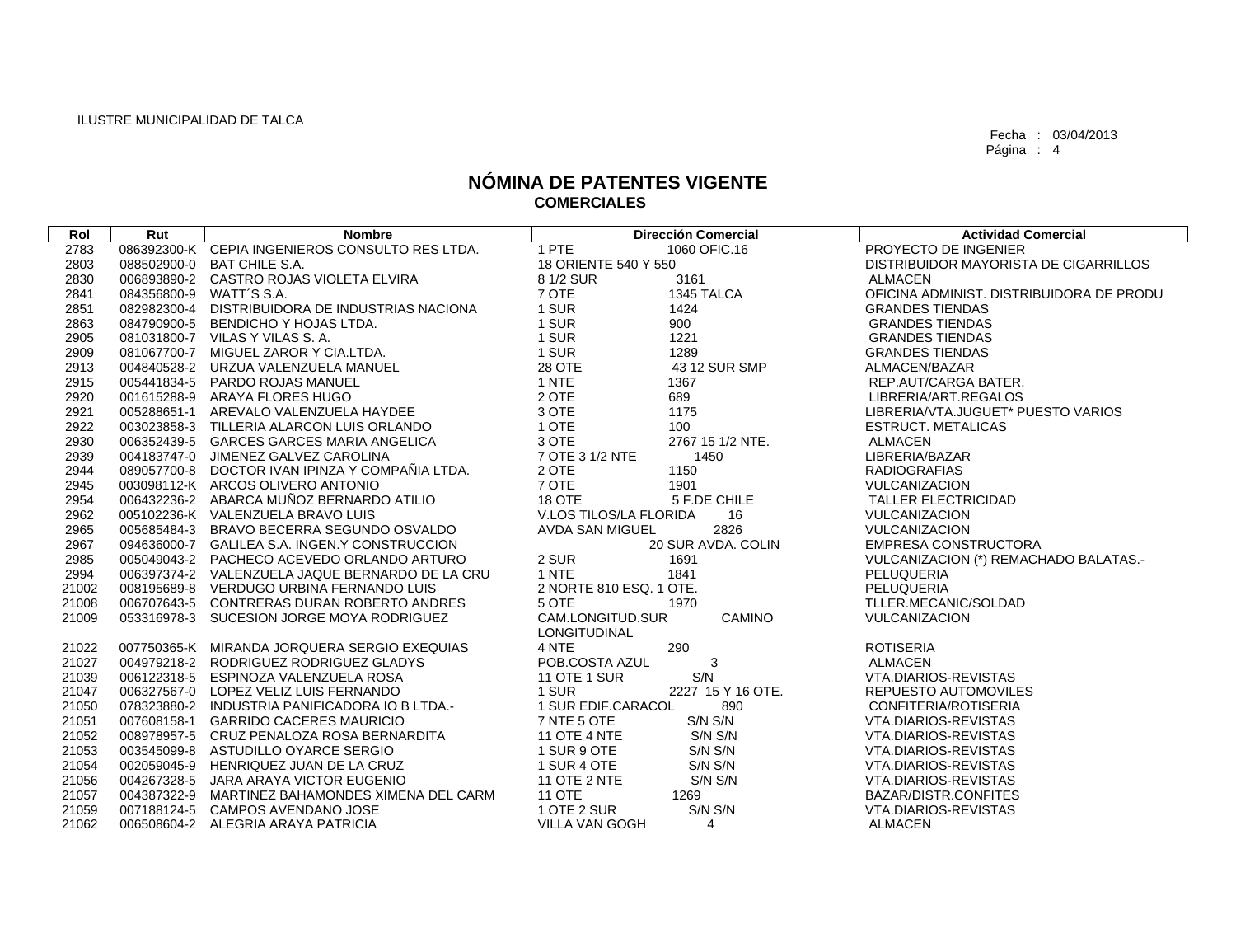| Rol   | Rut                     | <b>Nombre</b>                                   | <b>Dirección Comercial</b>                 | <b>Actividad Comercial</b>               |
|-------|-------------------------|-------------------------------------------------|--------------------------------------------|------------------------------------------|
| 2783  |                         | 086392300-K CEPIA INGENIEROS CONSULTO RES LTDA. | 1 PTE<br>1060 OFIC.16                      | PROYECTO DE INGENIER                     |
| 2803  |                         | 088502900-0 BAT CHILE S.A.                      | 18 ORIENTE 540 Y 550                       | DISTRIBUIDOR MAYORISTA DE CIGARRILLOS    |
| 2830  |                         | 006893890-2 CASTRO ROJAS VIOLETA ELVIRA         | 8 1/2 SUR<br>3161                          | <b>ALMACEN</b>                           |
| 2841  | 084356800-9 WATT'S S.A. |                                                 | 7 OTE<br>1345 TALCA                        | OFICINA ADMINIST, DISTRIBUIDORA DE PRODU |
| 2851  |                         | 082982300-4 DISTRIBUIDORA DE INDUSTRIAS NACIONA | 1 SUR<br>1424                              | <b>GRANDES TIENDAS</b>                   |
| 2863  |                         | 084790900-5 BENDICHO Y HOJAS LTDA.              | 1 SUR<br>900                               | <b>GRANDES TIENDAS</b>                   |
| 2905  |                         | 081031800-7 VILAS Y VILAS S. A.                 | 1 SUR<br>1221                              | <b>GRANDES TIENDAS</b>                   |
| 2909  |                         | 081067700-7 MIGUEL ZAROR Y CIA.LTDA.            | 1 SUR<br>1289                              | <b>GRANDES TIENDAS</b>                   |
| 2913  |                         | 004840528-2 URZUA VALENZUELA MANUEL             | 28 OTE<br>43 12 SUR SMP                    | ALMACEN/BAZAR                            |
| 2915  |                         | 005441834-5 PARDO ROJAS MANUEL                  | 1 NTE<br>1367                              | REP.AUT/CARGA BATER.                     |
| 2920  |                         | 001615288-9 ARAYA FLORES HUGO                   | 2 OTE<br>689                               | LIBRERIA/ART.REGALOS                     |
| 2921  |                         | 005288651-1 AREVALO VALENZUELA HAYDEE           | 3 OTE<br>1175                              | LIBRERIA/VTA.JUGUET* PUESTO VARIOS       |
| 2922  |                         | 003023858-3 TILLERIA ALARCON LUIS ORLANDO       | 1 OTE<br>100                               | <b>ESTRUCT, METALICAS</b>                |
| 2930  |                         | 006352439-5 GARCES GARCES MARIA ANGELICA        | 3 OTE<br>2767 15 1/2 NTE.                  | <b>ALMACEN</b>                           |
| 2939  |                         | 004183747-0 JIMENEZ GALVEZ CAROLINA             | 7 OTE 3 1/2 NTE<br>1450                    | LIBRERIA/BAZAR                           |
| 2944  |                         | 089057700-8 DOCTOR IVAN IPINZA Y COMPAÑIA LTDA. | 2 OTE<br>1150                              | <b>RADIOGRAFIAS</b>                      |
| 2945  |                         | 003098112-K ARCOS OLIVERO ANTONIO               | 7 OTE<br>1901                              | VULCANIZACION                            |
| 2954  |                         | 006432236-2 ABARCA MUÑOZ BERNARDO ATILIO        | <b>18 OTE</b><br>5 F.DE CHILE              | <b>TALLER ELECTRICIDAD</b>               |
| 2962  |                         | 005102236-K VALENZUELA BRAVO LUIS               | V.LOS TILOS/LA FLORIDA<br>16               | <b>VULCANIZACION</b>                     |
| 2965  |                         | 005685484-3 BRAVO BECERRA SEGUNDO OSVALDO       | 2826<br><b>AVDA SAN MIGUEL</b>             | <b>VULCANIZACION</b>                     |
| 2967  |                         | 094636000-7 GALILEA S.A. INGEN.Y CONSTRUCCION   | 20 SUR AVDA. COLIN                         | EMPRESA CONSTRUCTORA                     |
| 2985  |                         | 005049043-2 PACHECO ACEVEDO ORLANDO ARTURO      | 2 SUR<br>1691                              | VULCANIZACION (*) REMACHADO BALATAS.-    |
| 2994  |                         | 006397374-2 VALENZUELA JAQUE BERNARDO DE LA CRU | 1 NTE<br>1841                              | PELUQUERIA                               |
| 21002 |                         | 008195689-8 VERDUGO URBINA FERNANDO LUIS        | 2 NORTE 810 ESQ. 1 OTE.                    | PELUQUERIA                               |
| 21008 |                         | 006707643-5 CONTRERAS DURAN ROBERTO ANDRES      | 5 OTE<br>1970                              | TLLER.MECANIC/SOLDAD                     |
| 21009 |                         | 053316978-3 SUCESION JORGE MOYA RODRIGUEZ       | CAMINO<br>CAM.LONGITUD.SUR<br>LONGITUDINAL | <b>VULCANIZACION</b>                     |
| 21022 |                         | 007750365-K MIRANDA JORQUERA SERGIO EXEQUIAS    | 290<br>4 NTE                               | <b>ROTISERIA</b>                         |
| 21027 |                         | 004979218-2 RODRIGUEZ RODRIGUEZ GLADYS          | POB.COSTA AZUL<br>3                        | <b>ALMACEN</b>                           |
| 21039 |                         | 006122318-5 ESPINOZA VALENZUELA ROSA            | S/N<br><b>11 OTE 1 SUR</b>                 | VTA.DIARIOS-REVISTAS                     |
| 21047 |                         | 006327567-0 LOPEZ VELIZ LUIS FERNANDO           | 2227 15 Y 16 OTE.<br>1 SUR                 | REPUESTO AUTOMOVILES                     |
| 21050 |                         | 078323880-2 INDUSTRIA PANIFICADORA IO B LTDA.-  | 1 SUR EDIF.CARACOL<br>890                  | CONFITERIA/ROTISERIA                     |
| 21051 |                         | 007608158-1 GARRIDO CACERES MAURICIO            | 7 NTE 5 OTE<br>S/N S/N                     | VTA.DIARIOS-REVISTAS                     |
| 21052 |                         | 008978957-5 CRUZ PENALOZA ROSA BERNARDITA       | <b>11 OTE 4 NTE</b><br>S/N S/N             | VTA.DIARIOS-REVISTAS                     |
| 21053 |                         | 003545099-8 ASTUDILLO OYARCE SERGIO             | S/N S/N<br>1 SUR 9 OTE                     | VTA.DIARIOS-REVISTAS                     |
| 21054 |                         | 002059045-9 HENRIQUEZ JUAN DE LA CRUZ           | S/N S/N<br>1 SUR 4 OTE                     | VTA.DIARIOS-REVISTAS                     |
| 21056 |                         | 004267328-5 JARA ARAYA VICTOR EUGENIO           | 11 OTE 2 NTE<br>S/N S/N                    | VTA.DIARIOS-REVISTAS                     |
| 21057 |                         | 004387322-9 MARTINEZ BAHAMONDES XIMENA DEL CARM | <b>11 OTE</b><br>1269                      | <b>BAZAR/DISTR.CONFITES</b>              |
| 21059 |                         | 007188124-5 CAMPOS AVENDANO JOSE                | 1 OTE 2 SUR<br>S/N S/N                     | VTA.DIARIOS-REVISTAS                     |
| 21062 |                         | 006508604-2 ALEGRIA ARAYA PATRICIA              | <b>VILLA VAN GOGH</b><br>4                 | <b>ALMACEN</b>                           |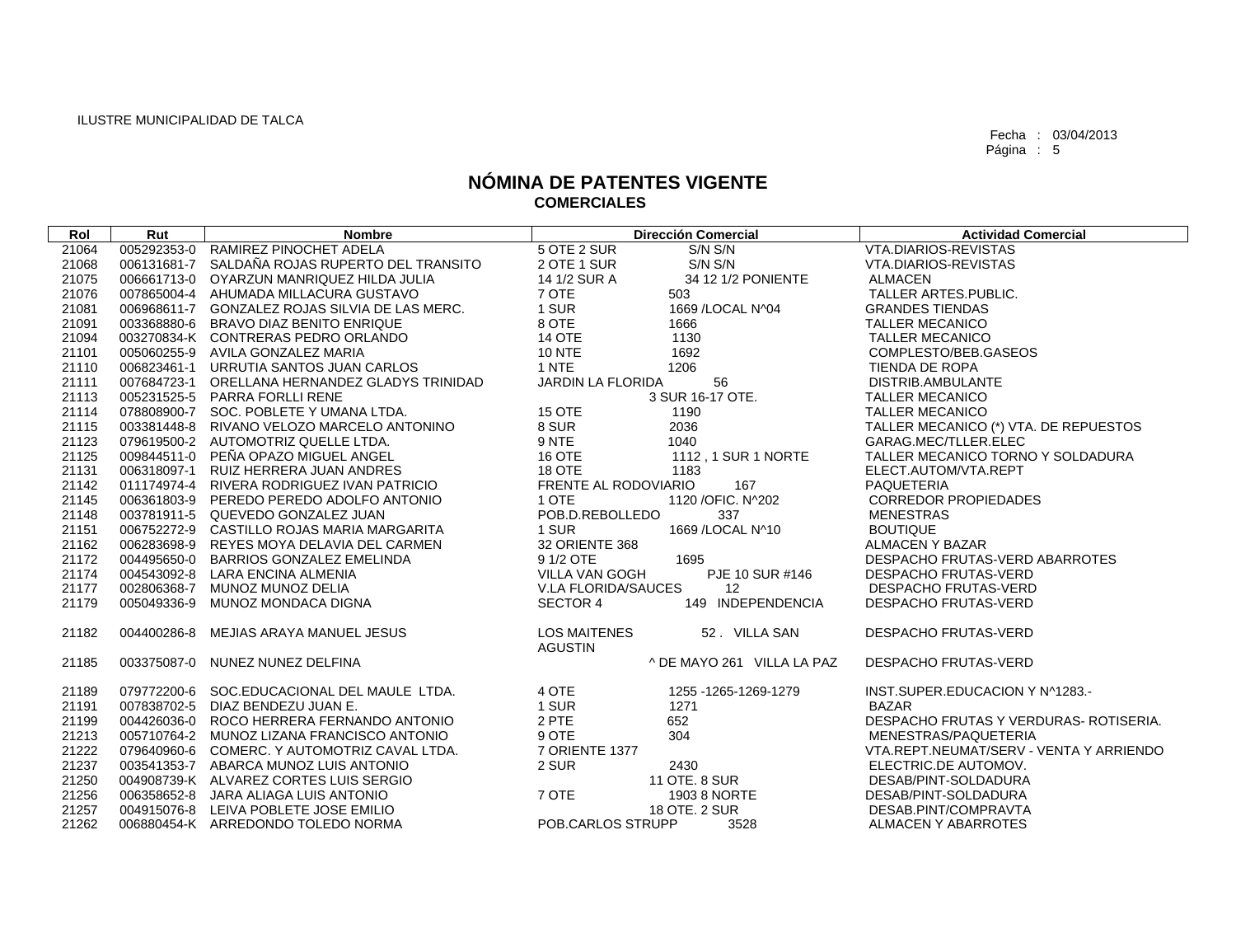| Rol   | Rut         | <b>Nombre</b>                                  | <b>Dirección Comercial</b>                             | <b>Actividad Comercial</b>              |
|-------|-------------|------------------------------------------------|--------------------------------------------------------|-----------------------------------------|
| 21064 | 005292353-0 | RAMIREZ PINOCHET ADELA                         | 5 OTE 2 SUR<br>S/N S/N                                 | <b>VTA.DIARIOS-REVISTAS</b>             |
| 21068 | 006131681-7 | SALDAÑA ROJAS RUPERTO DEL TRANSITO             | 2 OTE 1 SUR<br>S/N S/N                                 | VTA.DIARIOS-REVISTAS                    |
| 21075 |             | 006661713-0 OYARZUN MANRIQUEZ HILDA JULIA      | 14 1/2 SUR A<br>34 12 1/2 PONIENTE                     | <b>ALMACEN</b>                          |
| 21076 | 007865004-4 | AHUMADA MILLACURA GUSTAVO                      | 7 OTE<br>503                                           | TALLER ARTES.PUBLIC.                    |
| 21081 |             | 006968611-7 GONZALEZ ROJAS SILVIA DE LAS MERC. | 1 SUR<br>1669 / LOCAL N^04                             | <b>GRANDES TIENDAS</b>                  |
| 21091 | 003368880-6 | BRAVO DIAZ BENITO ENRIQUE                      | 8 OTE<br>1666                                          | <b>TALLER MECANICO</b>                  |
| 21094 |             | 003270834-K CONTRERAS PEDRO ORLANDO            | <b>14 OTE</b><br>1130                                  | <b>TALLER MECANICO</b>                  |
| 21101 |             | 005060255-9 AVILA GONZALEZ MARIA               | <b>10 NTE</b><br>1692                                  | COMPLESTO/BEB.GASEOS                    |
| 21110 | 006823461-1 | URRUTIA SANTOS JUAN CARLOS                     | 1 NTE<br>1206                                          | TIENDA DE ROPA                          |
| 21111 | 007684723-1 | ORELLANA HERNANDEZ GLADYS TRINIDAD             | JARDIN LA FLORIDA<br>56                                | DISTRIB.AMBULANTE                       |
| 21113 | 005231525-5 | <b>PARRA FORLLI RENE</b>                       | 3 SUR 16-17 OTE.                                       | <b>TALLER MECANICO</b>                  |
| 21114 | 078808900-7 | SOC. POBLETE Y UMANA LTDA.                     | <b>15 OTE</b><br>1190                                  | <b>TALLER MECANICO</b>                  |
| 21115 | 003381448-8 | RIVANO VELOZO MARCELO ANTONINO                 | 8 SUR<br>2036                                          | TALLER MECANICO (*) VTA. DE REPUESTOS   |
| 21123 |             | 079619500-2 AUTOMOTRIZ QUELLE LTDA.            | 9 NTE<br>1040                                          | GARAG.MEC/TLLER.ELEC                    |
| 21125 |             | 009844511-0 PEÑA OPAZO MIGUEL ANGEL            | 16 OTE<br>1112, 1 SUR 1 NORTE                          | TALLER MECANICO TORNO Y SOLDADURA       |
| 21131 | 006318097-1 | RUIZ HERRERA JUAN ANDRES                       | 18 OTE<br>1183                                         | ELECT.AUTOM/VTA.REPT                    |
| 21142 | 011174974-4 | RIVERA RODRIGUEZ IVAN PATRICIO                 | FRENTE AL RODOVIARIO<br>167                            | <b>PAQUETERIA</b>                       |
| 21145 | 006361803-9 | PEREDO PEREDO ADOLFO ANTONIO                   | 1 OTE<br>1120 / OFIC. N^202                            | <b>CORREDOR PROPIEDADES</b>             |
| 21148 | 003781911-5 | QUEVEDO GONZALEZ JUAN                          | POB.D.REBOLLEDO<br>337                                 | <b>MENESTRAS</b>                        |
| 21151 |             | 006752272-9 CASTILLO ROJAS MARIA MARGARITA     | 1 SUR<br>1669 / LOCAL N^10                             | <b>BOUTIQUE</b>                         |
| 21162 | 006283698-9 | REYES MOYA DELAVIA DEL CARMEN                  | 32 ORIENTE 368                                         | <b>ALMACEN Y BAZAR</b>                  |
| 21172 | 004495650-0 | BARRIOS GONZALEZ EMELINDA                      | 9 1/2 OTE<br>1695                                      | DESPACHO FRUTAS-VERD ABARROTES          |
| 21174 | 004543092-8 | LARA ENCINA ALMENIA                            | VILLA VAN GOGH<br>PJE 10 SUR #146                      | <b>DESPACHO FRUTAS-VERD</b>             |
| 21177 | 002806368-7 | MUNOZ MUNOZ DELIA                              | V.LA FLORIDA/SAUCES<br>12                              | <b>DESPACHO FRUTAS-VERD</b>             |
| 21179 | 005049336-9 | MUNOZ MONDACA DIGNA                            | <b>SECTOR 4</b><br>149 INDEPENDENCIA                   | <b>DESPACHO FRUTAS-VERD</b>             |
| 21182 | 004400286-8 | MEJIAS ARAYA MANUEL JESUS                      | <b>LOS MAITENES</b><br>52. VILLA SAN<br><b>AGUSTIN</b> | <b>DESPACHO FRUTAS-VERD</b>             |
| 21185 | 003375087-0 | NUNEZ NUNEZ DELFINA                            | ^ DE MAYO 261 VILLA LA PAZ                             | <b>DESPACHO FRUTAS-VERD</b>             |
| 21189 | 079772200-6 | SOC.EDUCACIONAL DEL MAULE LTDA.                | 4 OTE<br>1255 - 1265 - 1269 - 1279                     | INST.SUPER.EDUCACION Y N^1283.-         |
| 21191 | 007838702-5 | DIAZ BENDEZU JUAN E.                           | 1 SUR<br>1271                                          | BAZAR                                   |
| 21199 |             | 004426036-0 ROCO HERRERA FERNANDO ANTONIO      | 2 PTE<br>652                                           | DESPACHO FRUTAS Y VERDURAS- ROTISERIA.  |
| 21213 |             | 005710764-2 MUNOZ LIZANA FRANCISCO ANTONIO     | 9 OTE<br>304                                           | MENESTRAS/PAQUETERIA                    |
| 21222 |             | 079640960-6 COMERC, Y AUTOMOTRIZ CAVAL LTDA.   | 7 ORIENTE 1377                                         | VTA.REPT.NEUMAT/SERV - VENTA Y ARRIENDO |
| 21237 |             | 003541353-7 ABARCA MUNOZ LUIS ANTONIO          | 2 SUR<br>2430                                          | ELECTRIC.DE AUTOMOV.                    |
| 21250 |             | 004908739-K ALVAREZ CORTES LUIS SERGIO         | 11 OTE. 8 SUR                                          | DESAB/PINT-SOLDADURA                    |
| 21256 |             | 006358652-8 JARA ALIAGA LUIS ANTONIO           | 7 OTE<br>1903 8 NORTE                                  | DESAB/PINT-SOLDADURA                    |
| 21257 |             | 004915076-8 LEIVA POBLETE JOSE EMILIO          | 18 OTE, 2 SUR                                          | DESAB.PINT/COMPRAVTA                    |
| 21262 |             | 006880454-K ARREDONDO TOLEDO NORMA             | POB.CARLOS STRUPP<br>3528                              | <b>ALMACEN Y ABARROTES</b>              |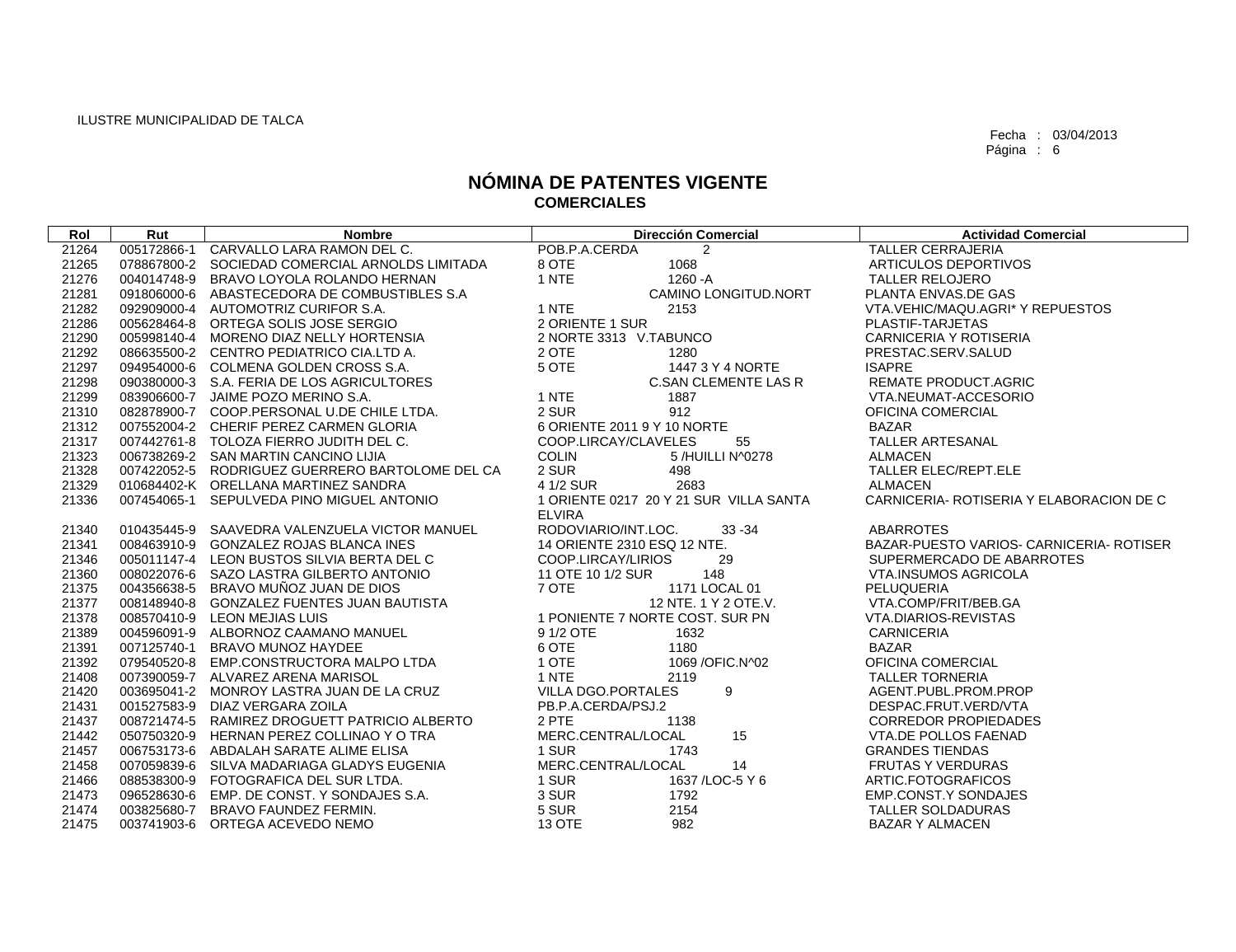| Rol   | Rut | <b>Nombre</b>                                   | <b>Dirección Comercial</b>             | <b>Actividad Comercial</b>               |
|-------|-----|-------------------------------------------------|----------------------------------------|------------------------------------------|
| 21264 |     | 005172866-1 CARVALLO LARA RAMON DEL C.          | POB.P.A.CERDA<br>2                     | <b>TALLER CERRAJERIA</b>                 |
| 21265 |     | 078867800-2 SOCIEDAD COMERCIAL ARNOLDS LIMITADA | 8 OTE<br>1068                          | ARTICULOS DEPORTIVOS                     |
| 21276 |     | 004014748-9 BRAVO LOYOLA ROLANDO HERNAN         | 1 NTE<br>1260 - A                      | <b>TALLER RELOJERO</b>                   |
| 21281 |     | 091806000-6 ABASTECEDORA DE COMBUSTIBLES S.A    | CAMINO LONGITUD.NORT                   | PLANTA ENVAS.DE GAS                      |
| 21282 |     | 092909000-4 AUTOMOTRIZ CURIFOR S.A.             | 1 NTE<br>2153                          | VTA.VEHIC/MAQU.AGRI* Y REPUESTOS         |
| 21286 |     | 005628464-8 ORTEGA SOLIS JOSE SERGIO            | 2 ORIENTE 1 SUR                        | PLASTIF-TARJETAS                         |
| 21290 |     | 005998140-4 MORENO DIAZ NELLY HORTENSIA         | 2 NORTE 3313 V.TABUNCO                 | CARNICERIA Y ROTISERIA                   |
| 21292 |     | 086635500-2 CENTRO PEDIATRICO CIA.LTD A.        | 2 OTE<br>1280                          | PRESTAC.SERV.SALUD                       |
| 21297 |     | 094954000-6 COLMENA GOLDEN CROSS S.A.           | 5 OTE<br>1447 3 Y 4 NORTE              | <b>ISAPRE</b>                            |
| 21298 |     | 090380000-3 S.A. FERIA DE LOS AGRICULTORES      | <b>C.SAN CLEMENTE LAS R</b>            | <b>REMATE PRODUCT.AGRIC</b>              |
| 21299 |     | 083906600-7 JAIME POZO MERINO S.A.              | 1 NTE<br>1887                          | VTA.NEUMAT-ACCESORIO                     |
| 21310 |     | 082878900-7 COOP.PERSONAL U.DE CHILE LTDA.      | 2 SUR<br>912                           | OFICINA COMERCIAL                        |
| 21312 |     | 007552004-2 CHERIF PEREZ CARMEN GLORIA          | 6 ORIENTE 2011 9 Y 10 NORTE            | BAZAR                                    |
| 21317 |     | 007442761-8 TOLOZA FIERRO JUDITH DEL C.         | 55<br>COOP.LIRCAY/CLAVELES             | <b>TALLER ARTESANAL</b>                  |
| 21323 |     | 006738269-2 SAN MARTIN CANCINO LIJIA            | <b>COLIN</b><br>5 /HUILLI N^0278       | <b>ALMACEN</b>                           |
| 21328 |     | 007422052-5 RODRIGUEZ GUERRERO BARTOLOME DEL CA | 2 SUR<br>498                           | TALLER ELEC/REPT.ELE                     |
| 21329 |     | 010684402-K ORELLANA MARTINEZ SANDRA            | 2683<br>4 1/2 SUR                      | <b>ALMACEN</b>                           |
| 21336 |     | 007454065-1 SEPULVEDA PINO MIGUEL ANTONIO       | 1 ORIENTE 0217 20 Y 21 SUR VILLA SANTA | CARNICERIA- ROTISERIA Y ELABORACION DE C |
|       |     |                                                 | <b>ELVIRA</b>                          |                                          |
| 21340 |     | 010435445-9 SAAVEDRA VALENZUELA VICTOR MANUEL   | RODOVIARIO/INT.LOC.<br>$33 - 34$       | ABARROTES                                |
| 21341 |     | 008463910-9 GONZALEZ ROJAS BLANCA INES          | 14 ORIENTE 2310 ESQ 12 NTE.            | BAZAR-PUESTO VARIOS- CARNICERIA- ROTISER |
| 21346 |     | 005011147-4 LEON BUSTOS SILVIA BERTA DEL C      | COOP.LIRCAY/LIRIOS<br>29               | SUPERMERCADO DE ABARROTES                |
| 21360 |     | 008022076-6 SAZO LASTRA GILBERTO ANTONIO        | 148<br>11 OTE 10 1/2 SUR               | VTA.INSUMOS AGRICOLA                     |
| 21375 |     | 004356638-5 BRAVO MUÑOZ JUAN DE DIOS            | 7 OTE<br>1171 LOCAL 01                 | PELUQUERIA                               |
| 21377 |     | 008148940-8 GONZALEZ FUENTES JUAN BAUTISTA      | 12 NTE. 1 Y 2 OTE.V.                   | VTA.COMP/FRIT/BEB.GA                     |
| 21378 |     | 008570410-9 LEON MEJIAS LUIS                    | 1 PONIENTE 7 NORTE COST. SUR PN        | VTA.DIARIOS-REVISTAS                     |
| 21389 |     | 004596091-9 ALBORNOZ CAAMANO MANUEL             | 9 1/2 OTE<br>1632                      | <b>CARNICERIA</b>                        |
| 21391 |     | 007125740-1 BRAVO MUNOZ HAYDEE                  | 6 OTE<br>1180                          | BAZAR                                    |
| 21392 |     | 079540520-8 EMP.CONSTRUCTORA MALPO LTDA         | 1 OTE<br>1069 / OFIC. N ^ 02           | OFICINA COMERCIAL                        |
| 21408 |     | 007390059-7 ALVAREZ ARENA MARISOL               | 1 NTE<br>2119                          | <b>TALLER TORNERIA</b>                   |
| 21420 |     | 003695041-2 MONROY LASTRA JUAN DE LA CRUZ       | 9<br>VILLA DGO.PORTALES                | AGENT.PUBL.PROM.PROP                     |
| 21431 |     | 001527583-9 DIAZ VERGARA ZOILA                  | PB.P.A.CERDA/PSJ.2                     | DESPAC.FRUT.VERD/VTA                     |
| 21437 |     | 008721474-5 RAMIREZ DROGUETT PATRICIO ALBERTO   | 2 PTE<br>1138                          | <b>CORREDOR PROPIEDADES</b>              |
| 21442 |     | 050750320-9 HERNAN PEREZ COLLINAO Y O TRA       | 15<br>MERC.CENTRAL/LOCAL               | VTA.DE POLLOS FAENAD                     |
| 21457 |     | 006753173-6 ABDALAH SARATE ALIME ELISA          | 1 SUR<br>1743                          | <b>GRANDES TIENDAS</b>                   |
| 21458 |     | 007059839-6 SILVA MADARIAGA GLADYS EUGENIA      | MERC.CENTRAL/LOCAL<br>14               | <b>FRUTAS Y VERDURAS</b>                 |
| 21466 |     | 088538300-9 FOTOGRAFICA DEL SUR LTDA.           | 1 SUR<br>1637 / LOC-5 Y 6              | ARTIC.FOTOGRAFICOS                       |
| 21473 |     | 096528630-6 EMP. DE CONST. Y SONDAJES S.A.      | 3 SUR<br>1792                          | EMP.CONST.Y SONDAJES                     |
| 21474 |     | 003825680-7 BRAVO FAUNDEZ FERMIN.               | 5 SUR<br>2154                          | TALLER SOLDADURAS                        |
| 21475 |     | 003741903-6 ORTEGA ACEVEDO NEMO                 | 13 OTE<br>982                          | <b>BAZAR Y ALMACEN</b>                   |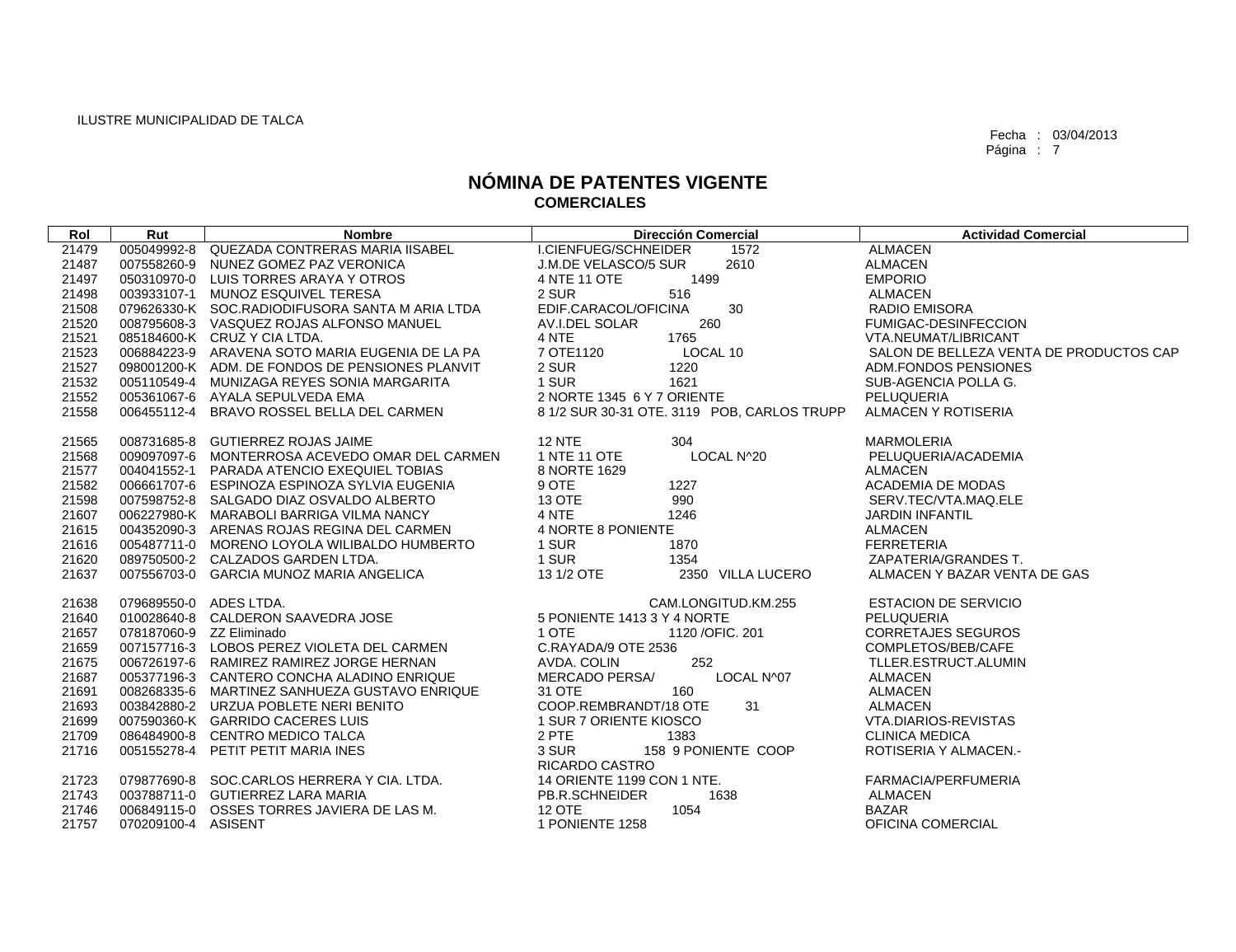| Rol            | Rut                      | <b>Nombre</b>                                   | <b>Dirección Comercial</b>                         | <b>Actividad Comercial</b>                |
|----------------|--------------------------|-------------------------------------------------|----------------------------------------------------|-------------------------------------------|
| 21479          | 005049992-8              | QUEZADA CONTRERAS MARIA IISABEL                 | I.CIENFUEG/SCHNEIDER<br>1572                       | <b>ALMACEN</b>                            |
| 21487          | 007558260-9              | NUNEZ GOMEZ PAZ VERONICA                        | 2610<br>J.M.DE VELASCO/5 SUR                       | <b>ALMACEN</b>                            |
| 21497          |                          | 050310970-0 LUIS TORRES ARAYA Y OTROS           | 1499<br>4 NTE 11 OTE                               | <b>EMPORIO</b>                            |
| 21498          |                          | 003933107-1 MUNOZ ESQUIVEL TERESA               | 2 SUR<br>516                                       | <b>ALMACEN</b>                            |
| 21508          |                          | 079626330-K SOC.RADIODIFUSORA SANTA M ARIA LTDA | EDIF.CARACOL/OFICINA<br>30                         | <b>RADIO EMISORA</b>                      |
| 21520          |                          | 008795608-3 VASQUEZ ROJAS ALFONSO MANUEL        | 260<br>AV.I.DEL SOLAR                              | FUMIGAC-DESINFECCION                      |
| 21521          |                          | 085184600-K CRUZ Y CIA LTDA.                    | 1765<br>4 NTE                                      | VTA.NEUMAT/LIBRICANT                      |
| 21523          |                          | 006884223-9 ARAVENA SOTO MARIA EUGENIA DE LA PA | 7 OTE1120<br>LOCAL 10                              | SALON DE BELLEZA VENTA DE PRODUCTOS CAP   |
| 21527          |                          | 098001200-K ADM. DE FONDOS DE PENSIONES PLANVIT | 2 SUR<br>1220                                      | ADM.FONDOS PENSIONES                      |
| 21532          |                          | 005110549-4 MUNIZAGA REYES SONIA MARGARITA      | 1 SUR<br>1621                                      | SUB-AGENCIA POLLA G.                      |
| 21552          |                          | 005361067-6 AYALA SEPULVEDA EMA                 | 2 NORTE 1345 6 Y 7 ORIENTE                         | PELUQUERIA                                |
| 21558          | 006455112-4              | BRAVO ROSSEL BELLA DEL CARMEN                   | 8 1/2 SUR 30-31 OTE. 3119 POB, CARLOS TRUPP        | ALMACEN Y ROTISERIA                       |
| 21565          |                          | 008731685-8 GUTIERREZ ROJAS JAIME               | <b>12 NTE</b><br>304                               | <b>MARMOLERIA</b>                         |
| 21568          |                          | 009097097-6 MONTERROSA ACEVEDO OMAR DEL CARMEN  | 1 NTE 11 OTE<br>LOCAL N^20                         | PELUQUERIA/ACADEMIA                       |
| 21577          |                          | 004041552-1 PARADA ATENCIO EXEQUIEL TOBIAS      | 8 NORTE 1629                                       | <b>ALMACEN</b>                            |
| 21582          |                          | 006661707-6 ESPINOZA ESPINOZA SYLVIA EUGENIA    | 9 OTE<br>1227                                      | ACADEMIA DE MODAS                         |
| 21598          |                          | 007598752-8 SALGADO DIAZ OSVALDO ALBERTO        | 990<br><b>13 OTE</b>                               | SERV.TEC/VTA.MAQ.ELE                      |
| 21607          |                          | 006227980-K MARABOLI BARRIGA VILMA NANCY        | 4 NTE<br>1246                                      | <b>JARDIN INFANTIL</b>                    |
| 21615          |                          | 004352090-3 ARENAS ROJAS REGINA DEL CARMEN      | 4 NORTE 8 PONIENTE                                 | <b>ALMACEN</b>                            |
| 21616          |                          | 005487711-0 MORENO LOYOLA WILIBALDO HUMBERTO    | 1870<br>1 SUR                                      | <b>FERRETERIA</b>                         |
| 21620          |                          | 089750500-2 CALZADOS GARDEN LTDA.               | 1 SUR<br>1354                                      | ZAPATERIA/GRANDES T.                      |
| 21637          |                          | 007556703-0 GARCIA MUNOZ MARIA ANGELICA         | 13 1/2 OTE<br>2350 VILLA LUCERO                    | ALMACEN Y BAZAR VENTA DE GAS              |
|                |                          |                                                 |                                                    |                                           |
| 21638          | 079689550-0 ADES LTDA.   |                                                 | CAM.LONGITUD.KM.255<br>5 PONIENTE 1413 3 Y 4 NORTE | <b>ESTACION DE SERVICIO</b><br>PELUQUERIA |
| 21640<br>21657 | 078187060-9 ZZ Eliminado | 010028640-8 CALDERON SAAVEDRA JOSE              | 1 OTE<br>1120 / OFIC. 201                          | <b>CORRETAJES SEGUROS</b>                 |
|                |                          | 007157716-3 LOBOS PEREZ VIOLETA DEL CARMEN      | C.RAYADA/9 OTE 2536                                | COMPLETOS/BEB/CAFE                        |
| 21659<br>21675 |                          | 006726197-6 RAMIREZ RAMIREZ JORGE HERNAN        | 252<br>AVDA. COLIN                                 | TLLER.ESTRUCT.ALUMIN                      |
| 21687          |                          | 005377196-3 CANTERO CONCHA ALADINO ENRIQUE      | <b>MERCADO PERSA/</b><br>LOCAL N^07                | <b>ALMACEN</b>                            |
| 21691          |                          | 008268335-6 MARTINEZ SANHUEZA GUSTAVO ENRIQUE   | 31 OTE<br>160                                      | <b>ALMACEN</b>                            |
| 21693          |                          | 003842880-2 URZUA POBLETE NERI BENITO           | 31<br>COOP.REMBRANDT/18 OTE                        | <b>ALMACEN</b>                            |
| 21699          |                          | 007590360-K GARRIDO CACERES LUIS                | 1 SUR 7 ORIENTE KIOSCO                             | VTA.DIARIOS-REVISTAS                      |
| 21709          |                          | 086484900-8 CENTRO MEDICO TALCA                 | 2 PTE<br>1383                                      | <b>CLINICA MEDICA</b>                     |
| 21716          |                          | 005155278-4 PETIT PETIT MARIA INES              | 158 9 PONIENTE COOP<br>3 SUR                       | <b>ROTISERIA Y ALMACEN.-</b>              |
|                |                          |                                                 | RICARDO CASTRO                                     |                                           |
| 21723          |                          | 079877690-8 SOC.CARLOS HERRERA Y CIA. LTDA.     | 14 ORIENTE 1199 CON 1 NTE.                         | FARMACIA/PERFUMERIA                       |
| 21743          |                          | 003788711-0 GUTIERREZ LARA MARIA                | PB.R.SCHNEIDER<br>1638                             | <b>ALMACEN</b>                            |
| 21746          |                          | 006849115-0 OSSES TORRES JAVIERA DE LAS M.      | <b>12 OTE</b><br>1054                              | <b>BAZAR</b>                              |
| 21757          | 070209100-4 ASISENT      |                                                 | 1 PONIENTE 1258                                    | OFICINA COMERCIAL                         |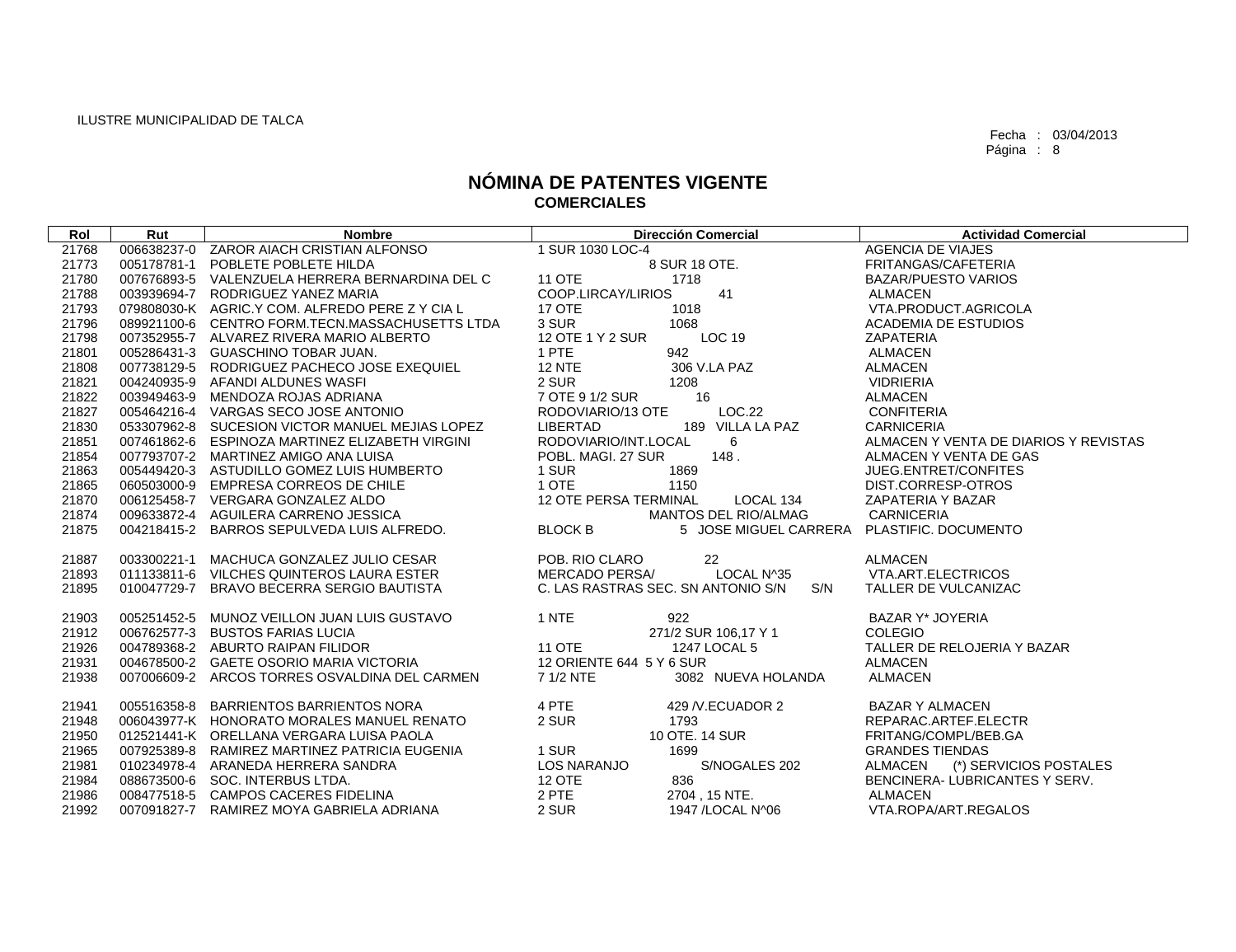| Rol   | Rut         | <b>Nombre</b>                                   | <b>Dirección Comercial</b>                                   | <b>Actividad Comercial</b>               |
|-------|-------------|-------------------------------------------------|--------------------------------------------------------------|------------------------------------------|
| 21768 | 006638237-0 | ZAROR AIACH CRISTIAN ALFONSO                    | 1 SUR 1030 LOC-4                                             | <b>AGENCIA DE VIAJES</b>                 |
| 21773 | 005178781-1 | POBLETE POBLETE HILDA                           | 8 SUR 18 OTE.                                                | FRITANGAS/CAFETERIA                      |
| 21780 | 007676893-5 | VALENZUELA HERRERA BERNARDINA DEL C             | <b>11 OTE</b><br>1718                                        | <b>BAZAR/PUESTO VARIOS</b>               |
| 21788 | 003939694-7 | RODRIGUEZ YANEZ MARIA                           | COOP.LIRCAY/LIRIOS<br>41                                     | <b>ALMACEN</b>                           |
| 21793 |             | 079808030-K AGRIC.Y COM. ALFREDO PERE Z Y CIA L | 17 OTE<br>1018                                               | VTA.PRODUCT.AGRICOLA                     |
| 21796 |             | 089921100-6 CENTRO FORM.TECN.MASSACHUSETTS LTDA | 3 SUR<br>1068                                                | <b>ACADEMIA DE ESTUDIOS</b>              |
| 21798 |             | 007352955-7 ALVAREZ RIVERA MARIO ALBERTO        | 12 OTE 1 Y 2 SUR<br><b>LOC 19</b>                            | <b>ZAPATERIA</b>                         |
| 21801 |             | 005286431-3 GUASCHINO TOBAR JUAN.               | 1 PTE<br>942                                                 | <b>ALMACEN</b>                           |
| 21808 | 007738129-5 | RODRIGUEZ PACHECO JOSE EXEQUIEL                 | 306 V.LA PAZ<br><b>12 NTE</b>                                | ALMACEN                                  |
| 21821 | 004240935-9 | AFANDI ALDUNES WASFI                            | 2 SUR<br>1208                                                | <b>VIDRIERIA</b>                         |
| 21822 | 003949463-9 | MENDOZA ROJAS ADRIANA                           | 16<br>7 OTE 9 1/2 SUR                                        | <b>ALMACEN</b>                           |
| 21827 |             | 005464216-4 VARGAS SECO JOSE ANTONIO            | LOC.22<br>RODOVIARIO/13 OTE                                  | <b>CONFITERIA</b>                        |
| 21830 |             | 053307962-8 SUCESION VICTOR MANUEL MEJIAS LOPEZ | <b>LIBERTAD</b><br>189 VILLA LA PAZ                          | <b>CARNICERIA</b>                        |
| 21851 |             | 007461862-6 ESPINOZA MARTINEZ ELIZABETH VIRGINI | RODOVIARIO/INT.LOCAL<br>6                                    | ALMACEN Y VENTA DE DIARIOS Y REVISTAS    |
| 21854 |             | 007793707-2 MARTINEZ AMIGO ANA LUISA            | POBL, MAGI, 27 SUR<br>148.                                   | ALMACEN Y VENTA DE GAS                   |
| 21863 |             | 005449420-3 ASTUDILLO GOMEZ LUIS HUMBERTO       | 1 SUR<br>1869                                                | JUEG.ENTRET/CONFITES                     |
| 21865 | 060503000-9 | EMPRESA CORREOS DE CHILE                        | 1 OTE<br>1150                                                | DIST.CORRESP-OTROS                       |
| 21870 |             | 006125458-7 VERGARA GONZALEZ ALDO               | 12 OTE PERSA TERMINAL<br>LOCAL 134                           | ZAPATERIA Y BAZAR                        |
| 21874 |             | 009633872-4 AGUILERA CARRENO JESSICA            | <b>MANTOS DEL RIO/ALMAG</b>                                  | <b>CARNICERIA</b>                        |
| 21875 |             | 004218415-2 BARROS SEPULVEDA LUIS ALFREDO.      | <b>BLOCK B</b><br>5 JOSE MIGUEL CARRERA PLASTIFIC. DOCUMENTO |                                          |
|       |             |                                                 |                                                              |                                          |
| 21887 | 003300221-1 | MACHUCA GONZALEZ JULIO CESAR                    | POB. RIO CLARO<br>22                                         | <b>ALMACEN</b>                           |
| 21893 |             | 011133811-6 VILCHES QUINTEROS LAURA ESTER       | MERCADO PERSA/<br>LOCAL N^35                                 | VTA.ART.ELECTRICOS                       |
| 21895 | 010047729-7 | BRAVO BECERRA SERGIO BAUTISTA                   | C. LAS RASTRAS SEC. SN ANTONIO S/N<br>S/N                    | TALLER DE VULCANIZAC                     |
| 21903 |             | 005251452-5 MUNOZ VEILLON JUAN LUIS GUSTAVO     | 1 NTE<br>922                                                 | <b>BAZAR Y* JOYERIA</b>                  |
| 21912 |             | 006762577-3 BUSTOS FARIAS LUCIA                 | 271/2 SUR 106,17 Y 1                                         | <b>COLEGIO</b>                           |
| 21926 |             | 004789368-2 ABURTO RAIPAN FILIDOR               | <b>11 OTE</b><br>1247 LOCAL 5                                | TALLER DE RELOJERIA Y BAZAR              |
| 21931 |             | 004678500-2 GAETE OSORIO MARIA VICTORIA         | 12 ORIENTE 644 5 Y 6 SUR                                     | ALMACEN                                  |
| 21938 |             | 007006609-2 ARCOS TORRES OSVALDINA DEL CARMEN   | 7 1/2 NTE<br>3082 NUEVA HOLANDA                              | <b>ALMACEN</b>                           |
|       |             |                                                 |                                                              |                                          |
| 21941 |             | 005516358-8 BARRIENTOS BARRIENTOS NORA          | 4 PTE<br>429 / V.ECUADOR 2                                   | <b>BAZAR Y ALMACEN</b>                   |
| 21948 |             | 006043977-K HONORATO MORALES MANUEL RENATO      | 2 SUR<br>1793                                                | REPARAC.ARTEF.ELECTR                     |
| 21950 |             | 012521441-K ORELLANA VERGARA LUISA PAOLA        | 10 OTE. 14 SUR                                               | FRITANG/COMPL/BEB.GA                     |
| 21965 |             | 007925389-8 RAMIREZ MARTINEZ PATRICIA EUGENIA   | 1 SUR<br>1699                                                | <b>GRANDES TIENDAS</b>                   |
| 21981 |             | 010234978-4 ARANEDA HERRERA SANDRA              | <b>LOS NARANJO</b><br>S/NOGALES 202                          | <b>ALMACEN</b><br>(*) SERVICIOS POSTALES |
| 21984 |             | 088673500-6 SOC. INTERBUS LTDA.                 | 836<br><b>12 OTE</b>                                         | BENCINERA-LUBRICANTES Y SERV.            |
| 21986 |             | 008477518-5 CAMPOS CACERES FIDELINA             | 2 PTE<br>2704, 15 NTE.                                       | ALMACEN                                  |
| 21992 |             | 007091827-7 RAMIREZ MOYA GABRIELA ADRIANA       | 2 SUR<br>1947 / LOCAL N^06                                   | VTA.ROPA/ART.REGALOS                     |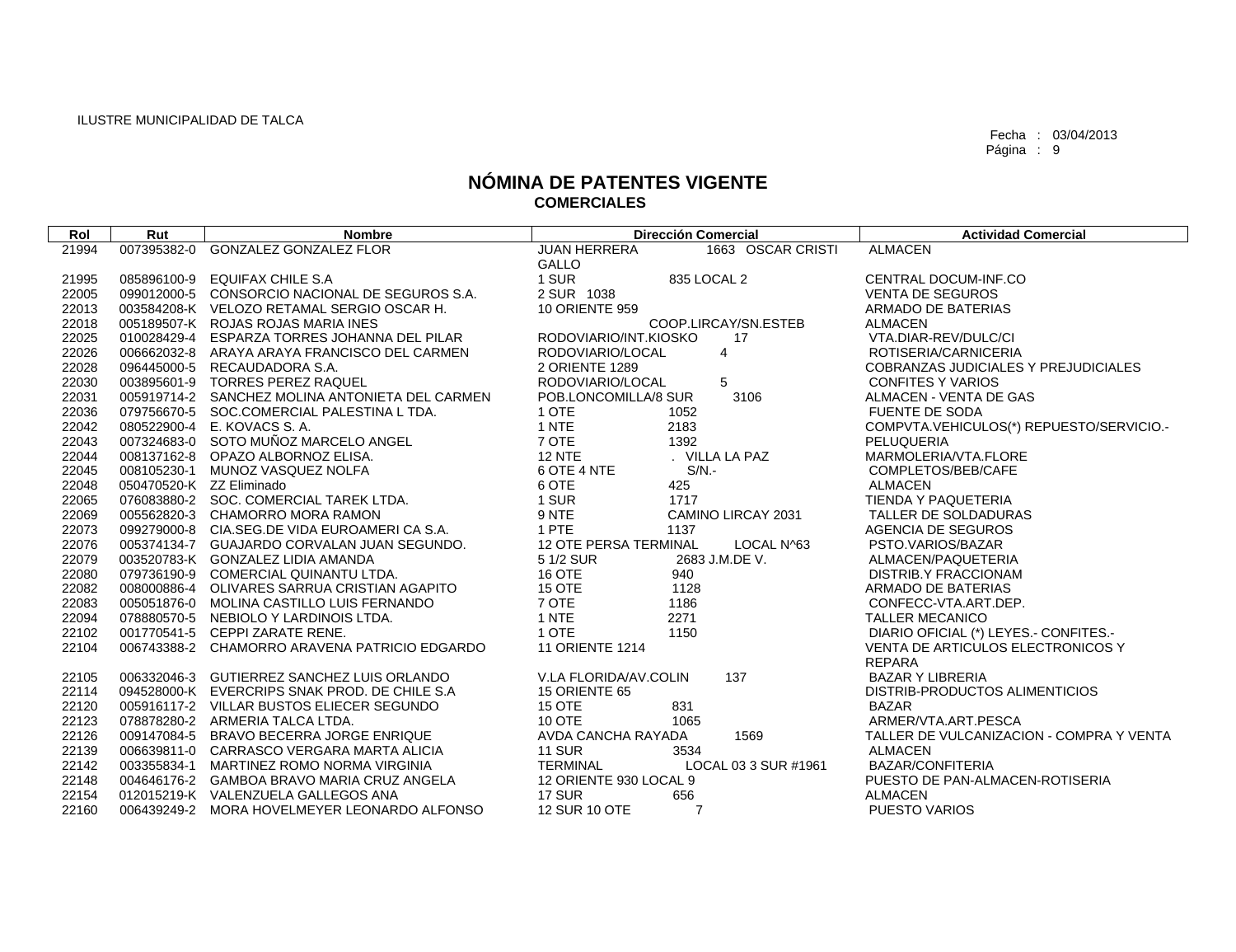| Rol   | Rut                      | <b>Nombre</b>                                   | <b>Dirección Comercial</b>                 | <b>Actividad Comercial</b>               |
|-------|--------------------------|-------------------------------------------------|--------------------------------------------|------------------------------------------|
| 21994 |                          | 007395382-0 GONZALEZ GONZALEZ FLOR              | <b>JUAN HERRERA</b><br>1663 OSCAR CRISTI   | <b>ALMACEN</b>                           |
|       |                          |                                                 | <b>GALLO</b>                               |                                          |
| 21995 |                          | 085896100-9 EQUIFAX CHILE S.A                   | 1 SUR<br>835 LOCAL 2                       | CENTRAL DOCUM-INF.CO                     |
| 22005 |                          | 099012000-5 CONSORCIO NACIONAL DE SEGUROS S.A.  | 2 SUR 1038                                 | <b>VENTA DE SEGUROS</b>                  |
| 22013 |                          | 003584208-K VELOZO RETAMAL SERGIO OSCAR H.      | <b>10 ORIENTE 959</b>                      | ARMADO DE BATERIAS                       |
| 22018 |                          | 005189507-K ROJAS ROJAS MARIA INES              | COOP.LIRCAY/SN.ESTEB                       | <b>ALMACEN</b>                           |
| 22025 |                          | 010028429-4 ESPARZA TORRES JOHANNA DEL PILAR    | RODOVIARIO/INT.KIOSKO<br>17                | VTA.DIAR-REV/DULC/CI                     |
| 22026 |                          | 006662032-8 ARAYA ARAYA FRANCISCO DEL CARMEN    | RODOVIARIO/LOCAL<br>4                      | ROTISERIA/CARNICERIA                     |
| 22028 |                          | 096445000-5 RECAUDADORA S.A.                    | 2 ORIENTE 1289                             | COBRANZAS JUDICIALES Y PREJUDICIALES     |
| 22030 |                          | 003895601-9 TORRES PEREZ RAQUEL                 | $5\phantom{.0}$<br>RODOVIARIO/LOCAL        | <b>CONFITES Y VARIOS</b>                 |
| 22031 |                          | 005919714-2 SANCHEZ MOLINA ANTONIETA DEL CARMEN | 3106<br>POB.LONCOMILLA/8 SUR               | ALMACEN - VENTA DE GAS                   |
| 22036 |                          | 079756670-5 SOC.COMERCIAL PALESTINA L TDA.      | 1 OTE<br>1052                              | <b>FUENTE DE SODA</b>                    |
| 22042 |                          | 080522900-4 E. KOVACS S.A.                      | 1 NTE<br>2183                              | COMPVTA.VEHICULOS(*) REPUESTO/SERVICIO.- |
| 22043 |                          | 007324683-0 SOTO MUÑOZ MARCELO ANGEL            | 7 OTE<br>1392                              | PELUQUERIA                               |
| 22044 |                          | 008137162-8 OPAZO ALBORNOZ ELISA.               | <b>12 NTE</b><br>. VILLA LA PAZ            | MARMOLERIA/VTA.FLORE                     |
| 22045 |                          | 008105230-1 MUNOZ VASQUEZ NOLFA                 | 6 OTE 4 NTE<br>$S/N$ .                     | COMPLETOS/BEB/CAFE                       |
| 22048 | 050470520-K ZZ Eliminado |                                                 | 6 OTE<br>425                               | <b>ALMACEN</b>                           |
| 22065 |                          | 076083880-2 SOC. COMERCIAL TAREK LTDA.          | 1 SUR<br>1717                              | <b>TIENDA Y PAQUETERIA</b>               |
| 22069 |                          | 005562820-3 CHAMORRO MORA RAMON                 | 9 NTE<br>CAMINO LIRCAY 2031                | TALLER DE SOLDADURAS                     |
| 22073 |                          | 099279000-8 CIA.SEG.DE VIDA EUROAMERICA S.A.    | 1 PTE<br>1137                              | AGENCIA DE SEGUROS                       |
| 22076 |                          | 005374134-7 GUAJARDO CORVALAN JUAN SEGUNDO.     | LOCAL N^63<br><b>12 OTE PERSA TERMINAL</b> | PSTO.VARIOS/BAZAR                        |
| 22079 |                          | 003520783-K GONZALEZ LIDIA AMANDA               | 5 1/2 SUR<br>2683 J.M.DE V.                | ALMACEN/PAQUETERIA                       |
| 22080 |                          | 079736190-9 COMERCIAL QUINANTU LTDA.            | 16 OTE<br>940                              | DISTRIB.Y FRACCIONAM                     |
| 22082 |                          | 008000886-4 OLIVARES SARRUA CRISTIAN AGAPITO    | 15 OTE<br>1128                             | ARMADO DE BATERIAS                       |
| 22083 |                          | 005051876-0 MOLINA CASTILLO LUIS FERNANDO       | 7 OTE<br>1186                              | CONFECC-VTA.ART.DEP.                     |
| 22094 |                          | 078880570-5 NEBIOLO Y LARDINOIS LTDA.           | 1 NTE<br>2271                              | <b>TALLER MECANICO</b>                   |
| 22102 |                          | 001770541-5 CEPPI ZARATE RENE.                  | 1 OTE<br>1150                              | DIARIO OFICIAL (*) LEYES.- CONFITES.-    |
| 22104 |                          | 006743388-2 CHAMORRO ARAVENA PATRICIO EDGARDO   | 11 ORIENTE 1214                            | VENTA DE ARTICULOS ELECTRONICOS Y        |
|       |                          |                                                 |                                            | <b>REPARA</b>                            |
| 22105 |                          | 006332046-3 GUTIERREZ SANCHEZ LUIS ORLANDO      | 137<br>V.LA FLORIDA/AV.COLIN               | <b>BAZAR Y LIBRERIA</b>                  |
| 22114 |                          | 094528000-K EVERCRIPS SNAK PROD. DE CHILE S.A   | 15 ORIENTE 65                              | DISTRIB-PRODUCTOS ALIMENTICIOS           |
| 22120 |                          | 005916117-2 VILLAR BUSTOS ELIECER SEGUNDO       | 15 OTE<br>831                              | <b>BAZAR</b>                             |
| 22123 |                          | 078878280-2 ARMERIA TALCA LTDA.                 | 10 OTE<br>1065                             | ARMER/VTA.ART.PESCA                      |
| 22126 |                          | 009147084-5 BRAVO BECERRA JORGE ENRIQUE         | AVDA CANCHA RAYADA<br>1569                 | TALLER DE VULCANIZACION - COMPRA Y VENTA |
| 22139 |                          | 006639811-0 CARRASCO VERGARA MARTA ALICIA       | <b>11 SUR</b><br>3534                      | <b>ALMACEN</b>                           |
| 22142 |                          | 003355834-1 MARTINEZ ROMO NORMA VIRGINIA        | LOCAL 03 3 SUR #1961<br>TERMINAL           | BAZAR/CONFITERIA                         |
| 22148 |                          | 004646176-2 GAMBOA BRAVO MARIA CRUZ ANGELA      | 12 ORIENTE 930 LOCAL 9                     | PUESTO DE PAN-ALMACEN-ROTISERIA          |
| 22154 |                          | 012015219-K VALENZUELA GALLEGOS ANA             | <b>17 SUR</b><br>656                       | <b>ALMACEN</b>                           |
| 22160 |                          | 006439249-2 MORA HOVELMEYER LEONARDO ALFONSO    | 12 SUR 10 OTE<br>$\overline{7}$            | PUESTO VARIOS                            |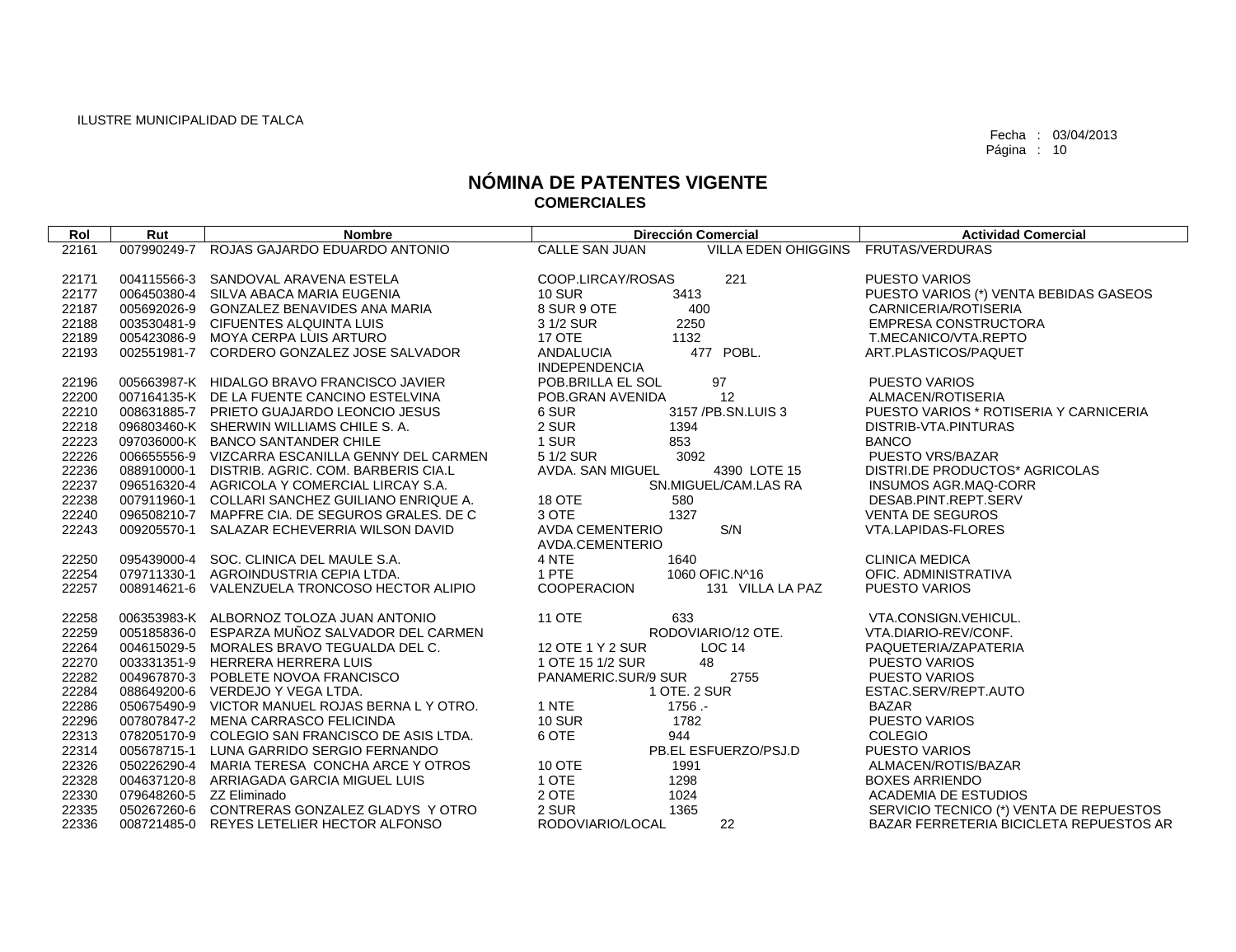| Rol   | Rut                      | <b>Nombre</b>                                   | <b>Dirección Comercial</b>                            | <b>Actividad Comercial</b>              |
|-------|--------------------------|-------------------------------------------------|-------------------------------------------------------|-----------------------------------------|
| 22161 | 007990249-7              | ROJAS GAJARDO EDUARDO ANTONIO                   | <b>CALLE SAN JUAN</b><br>VILLA EDEN OHIGGINS          | FRUTAS/VERDURAS                         |
|       |                          |                                                 |                                                       |                                         |
| 22171 |                          | 004115566-3 SANDOVAL ARAVENA ESTELA             | 221<br>COOP.LIRCAY/ROSAS                              | <b>PUESTO VARIOS</b>                    |
| 22177 |                          | 006450380-4 SILVA ABACA MARIA EUGENIA           | <b>10 SUR</b><br>3413                                 | PUESTO VARIOS (*) VENTA BEBIDAS GASEOS  |
| 22187 |                          | 005692026-9 GONZALEZ BENAVIDES ANA MARIA        | 8 SUR 9 OTE<br>400                                    | CARNICERIA/ROTISERIA                    |
| 22188 |                          | 003530481-9 CIFUENTES ALQUINTA LUIS             | 2250<br>3 1/2 SUR                                     | <b>EMPRESA CONSTRUCTORA</b>             |
| 22189 |                          | 005423086-9 MOYA CERPA LUIS ARTURO              | 17 OTE<br>1132                                        | T.MECANICO/VTA.REPTO                    |
| 22193 |                          | 002551981-7 CORDERO GONZALEZ JOSE SALVADOR      | 477 POBL.<br><b>ANDALUCIA</b><br><b>INDEPENDENCIA</b> | ART.PLASTICOS/PAQUET                    |
| 22196 |                          | 005663987-K HIDALGO BRAVO FRANCISCO JAVIER      | 97<br>POB.BRILLA EL SOL                               | <b>PUESTO VARIOS</b>                    |
| 22200 |                          | 007164135-K DE LA FUENTE CANCINO ESTELVINA      | 12<br>POB.GRAN AVENIDA                                | ALMACEN/ROTISERIA                       |
| 22210 |                          | 008631885-7 PRIETO GUAJARDO LEONCIO JESUS       | 6 SUR<br>3157 / PB.SN.LUIS 3                          | PUESTO VARIOS * ROTISERIA Y CARNICERIA  |
| 22218 |                          | 096803460-K SHERWIN WILLIAMS CHILE S.A.         | 2 SUR<br>1394                                         | DISTRIB-VTA.PINTURAS                    |
| 22223 |                          | 097036000-K BANCO SANTANDER CHILE               | 1 SUR<br>853                                          | <b>BANCO</b>                            |
| 22226 |                          | 006655556-9 VIZCARRA ESCANILLA GENNY DEL CARMEN | 5 1/2 SUR<br>3092                                     | PUESTO VRS/BAZAR                        |
| 22236 |                          | 088910000-1 DISTRIB, AGRIC, COM, BARBERIS CIA.L | AVDA. SAN MIGUEL<br>4390 LOTE 15                      | DISTRI.DE PRODUCTOS* AGRICOLAS          |
| 22237 |                          | 096516320-4 AGRICOLA Y COMERCIAL LIRCAY S.A.    | SN.MIGUEL/CAM.LAS RA                                  | <b>INSUMOS AGR.MAQ-CORR</b>             |
| 22238 |                          | 007911960-1 COLLARI SANCHEZ GUILIANO ENRIQUE A. | 18 OTE<br>580                                         | DESAB.PINT.REPT.SERV                    |
| 22240 |                          | 096508210-7 MAPFRE CIA, DE SEGUROS GRALES, DE C | 3 OTE<br>1327                                         | <b>VENTA DE SEGUROS</b>                 |
| 22243 |                          | 009205570-1 SALAZAR ECHEVERRIA WILSON DAVID     | S/N<br><b>AVDA CEMENTERIO</b>                         | VTA.LAPIDAS-FLORES                      |
|       |                          |                                                 | AVDA.CEMENTERIO                                       |                                         |
| 22250 |                          | 095439000-4 SOC. CLINICA DEL MAULE S.A.         | 4 NTE<br>1640                                         | <b>CLINICA MEDICA</b>                   |
| 22254 |                          | 079711330-1 AGROINDUSTRIA CEPIA LTDA.           | 1 PTE<br>1060 OFIC.N^16                               | OFIC, ADMINISTRATIVA                    |
| 22257 |                          | 008914621-6 VALENZUELA TRONCOSO HECTOR ALIPIO   | COOPERACION<br>131 VILLA LA PAZ                       | PUESTO VARIOS                           |
| 22258 |                          | 006353983-K ALBORNOZ TOLOZA JUAN ANTONIO        | <b>11 OTE</b><br>633                                  | VTA.CONSIGN.VEHICUL.                    |
| 22259 |                          | 005185836-0 ESPARZA MUÑOZ SALVADOR DEL CARMEN   | RODOVIARIO/12 OTE.                                    | VTA.DIARIO-REV/CONF.                    |
| 22264 |                          | 004615029-5 MORALES BRAVO TEGUALDA DEL C.       | <b>LOC 14</b><br>12 OTE 1 Y 2 SUR                     | PAQUETERIA/ZAPATERIA                    |
| 22270 |                          | 003331351-9 HERRERA HERRERA LUIS                | 48<br>1 OTE 15 1/2 SUR                                | <b>PUESTO VARIOS</b>                    |
| 22282 |                          | 004967870-3 POBLETE NOVOA FRANCISCO             | 2755<br>PANAMERIC.SUR/9 SUR                           | <b>PUESTO VARIOS</b>                    |
| 22284 |                          | 088649200-6 VERDEJO Y VEGA LTDA.                | 1 OTE, 2 SUR                                          | ESTAC.SERV/REPT.AUTO                    |
| 22286 |                          | 050675490-9 VICTOR MANUEL ROJAS BERNA L Y OTRO. | 1 NTE<br>1756.                                        | <b>BAZAR</b>                            |
| 22296 |                          | 007807847-2 MENA CARRASCO FELICINDA             | 1782<br><b>10 SUR</b>                                 | PUESTO VARIOS                           |
| 22313 |                          | 078205170-9 COLEGIO SAN FRANCISCO DE ASIS LTDA. | 6 OTE<br>944                                          | <b>COLEGIO</b>                          |
| 22314 | 005678715-1              | LUNA GARRIDO SERGIO FERNANDO                    | PB.EL ESFUERZO/PSJ.D                                  | PUESTO VARIOS                           |
| 22326 |                          | 050226290-4 MARIA TERESA CONCHA ARCE Y OTROS    | 10 OTE<br>1991                                        | ALMACEN/ROTIS/BAZAR                     |
| 22328 |                          | 004637120-8 ARRIAGADA GARCIA MIGUEL LUIS        | 1 OTE<br>1298                                         | <b>BOXES ARRIENDO</b>                   |
| 22330 | 079648260-5 ZZ Eliminado |                                                 | 2 OTE<br>1024                                         | <b>ACADEMIA DE ESTUDIOS</b>             |
| 22335 |                          | 050267260-6 CONTRERAS GONZALEZ GLADYS Y OTRO    | 2 SUR<br>1365                                         | SERVICIO TECNICO (*) VENTA DE REPUESTOS |
| 22336 |                          | 008721485-0 REYES LETELIER HECTOR ALFONSO       | RODOVIARIO/LOCAL<br>22                                | BAZAR FERRETERIA BICICLETA REPUESTOS AR |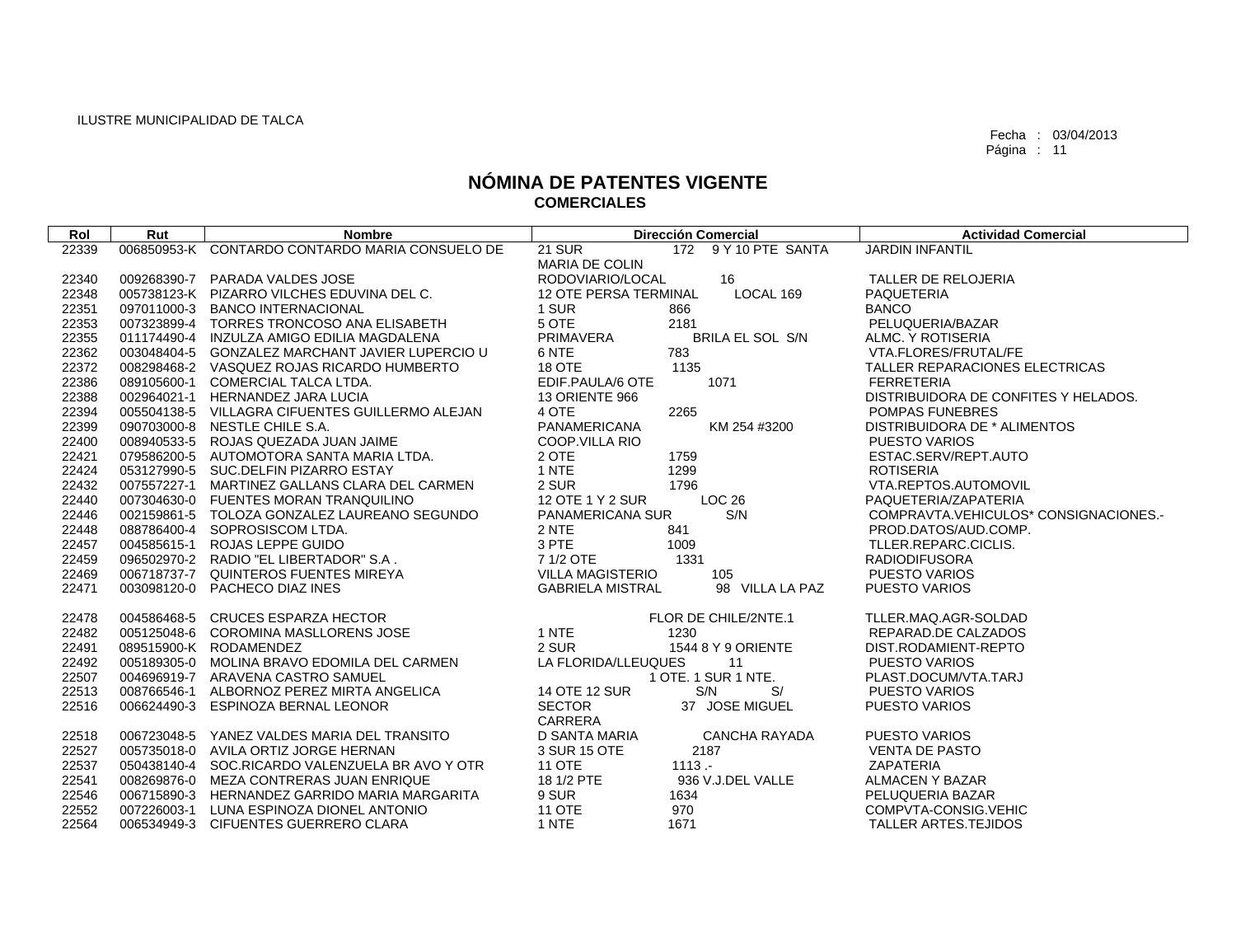| Rol   | Rut | <b>Nombre</b>                                   | <b>Dirección Comercial</b>                 | <b>Actividad Comercial</b>            |
|-------|-----|-------------------------------------------------|--------------------------------------------|---------------------------------------|
| 22339 |     | 006850953-K CONTARDO CONTARDO MARIA CONSUELO DE | 172 9 Y 10 PTE SANTA<br><b>21 SUR</b>      | <b>JARDIN INFANTIL</b>                |
|       |     |                                                 | <b>MARIA DE COLIN</b>                      |                                       |
| 22340 |     | 009268390-7 PARADA VALDES JOSE                  | RODOVIARIO/LOCAL<br>16                     | TALLER DE RELOJERIA                   |
| 22348 |     | 005738123-K PIZARRO VILCHES EDUVINA DEL C.      | LOCAL 169<br><b>12 OTE PERSA TERMINAL</b>  | <b>PAQUETERIA</b>                     |
| 22351 |     | 097011000-3 BANCO INTERNACIONAL                 | 1 SUR<br>866                               | <b>BANCO</b>                          |
| 22353 |     | 007323899-4 TORRES TRONCOSO ANA ELISABETH       | 5 OTE<br>2181                              | PELUQUERIA/BAZAR                      |
| 22355 |     | 011174490-4 INZULZA AMIGO EDILIA MAGDALENA      | PRIMAVERA<br><b>BRILA EL SOL S/N</b>       | ALMC, Y ROTISERIA                     |
| 22362 |     | 003048404-5 GONZALEZ MARCHANT JAVIER LUPERCIO U | 783<br>6 NTE                               | VTA.FLORES/FRUTAL/FE                  |
| 22372 |     | 008298468-2 VASQUEZ ROJAS RICARDO HUMBERTO      | 1135<br>18 OTE                             | TALLER REPARACIONES ELECTRICAS        |
| 22386 |     | 089105600-1 COMERCIAL TALCA LTDA.               | EDIF.PAULA/6 OTE<br>1071                   | <b>FERRETERIA</b>                     |
| 22388 |     | 002964021-1 HERNANDEZ JARA LUCIA                | 13 ORIENTE 966                             | DISTRIBUIDORA DE CONFITES Y HELADOS.  |
| 22394 |     | 005504138-5 VILLAGRA CIFUENTES GUILLERMO ALEJAN | 4 OTE<br>2265                              | POMPAS FUNEBRES                       |
| 22399 |     | 090703000-8 NESTLE CHILE S.A.                   | PANAMERICANA<br>KM 254 #3200               | DISTRIBUIDORA DE * ALIMENTOS          |
| 22400 |     | 008940533-5 ROJAS QUEZADA JUAN JAIME            | COOP.VILLA RIO                             | <b>PUESTO VARIOS</b>                  |
| 22421 |     | 079586200-5 AUTOMOTORA SANTA MARIA LTDA.        | 2 OTE<br>1759                              | ESTAC.SERV/REPT.AUTO                  |
| 22424 |     | 053127990-5 SUC.DELFIN PIZARRO ESTAY            | 1 NTE<br>1299                              | <b>ROTISERIA</b>                      |
| 22432 |     | 007557227-1 MARTINEZ GALLANS CLARA DEL CARMEN   | 2 SUR<br>1796                              | VTA.REPTOS.AUTOMOVIL                  |
| 22440 |     | 007304630-0 FUENTES MORAN TRANQUILINO           | 12 OTE 1 Y 2 SUR<br>LOC <sub>26</sub>      | PAQUETERIA/ZAPATERIA                  |
| 22446 |     | 002159861-5 TOLOZA GONZALEZ LAUREANO SEGUNDO    | S/N<br>PANAMERICANA SUR                    | COMPRAVTA.VEHICULOS* CONSIGNACIONES.- |
| 22448 |     | 088786400-4 SOPROSISCOM LTDA.                   | 2 NTE<br>841                               | PROD.DATOS/AUD.COMP.                  |
| 22457 |     | 004585615-1 ROJAS LEPPE GUIDO                   | 3 PTE<br>1009                              | TLLER.REPARC.CICLIS.                  |
| 22459 |     | 096502970-2 RADIO "EL LIBERTADOR" S.A.          | 7 1/2 OTE<br>1331                          | <b>RADIODIFUSORA</b>                  |
| 22469 |     | 006718737-7 QUINTEROS FUENTES MIREYA            | <b>VILLA MAGISTERIO</b><br>105             | PUESTO VARIOS                         |
| 22471 |     | 003098120-0 PACHECO DIAZ INES                   | <b>GABRIELA MISTRAL</b><br>98 VILLA LA PAZ | PUESTO VARIOS                         |
|       |     |                                                 |                                            |                                       |
| 22478 |     | 004586468-5 CRUCES ESPARZA HECTOR               | FLOR DE CHILE/2NTE.1                       | TLLER.MAQ.AGR-SOLDAD                  |
| 22482 |     | 005125048-6 COROMINA MASLLORENS JOSE            | 1 NTE<br>1230                              | REPARAD.DE CALZADOS                   |
| 22491 |     | 089515900-K RODAMENDEZ                          | 2 SUR<br>1544 8 Y 9 ORIENTE                | DIST.RODAMIENT-REPTO                  |
| 22492 |     | 005189305-0 MOLINA BRAVO EDOMILA DEL CARMEN     | LA FLORIDA/LLEUQUES<br>11                  | <b>PUESTO VARIOS</b>                  |
| 22507 |     | 004696919-7 ARAVENA CASTRO SAMUEL               | 1 OTE. 1 SUR 1 NTE.                        | PLAST.DOCUM/VTA.TARJ                  |
| 22513 |     | 008766546-1 ALBORNOZ PEREZ MIRTA ANGELICA       | 14 OTE 12 SUR<br>S/<br>S/N                 | <b>PUESTO VARIOS</b>                  |
| 22516 |     | 006624490-3 ESPINOZA BERNAL LEONOR              | <b>SECTOR</b><br>37 JOSE MIGUEL            | PUESTO VARIOS                         |
|       |     |                                                 | CARRERA                                    |                                       |
| 22518 |     | 006723048-5 YANEZ VALDES MARIA DEL TRANSITO     | D SANTA MARIA<br>CANCHA RAYADA             | <b>PUESTO VARIOS</b>                  |
| 22527 |     | 005735018-0 AVILA ORTIZ JORGE HERNAN            | 3 SUR 15 OTE<br>2187                       | <b>VENTA DE PASTO</b>                 |
| 22537 |     | 050438140-4 SOC.RICARDO VALENZUELA BR AVO Y OTR | <b>11 OTE</b><br>$1113 -$                  | <b>ZAPATERIA</b>                      |
| 22541 |     | 008269876-0 MEZA CONTRERAS JUAN ENRIQUE         | 18 1/2 PTE<br>936 V.J.DEL VALLE            | ALMACEN Y BAZAR                       |
| 22546 |     | 006715890-3 HERNANDEZ GARRIDO MARIA MARGARITA   | 9 SUR<br>1634                              | PELUQUERIA BAZAR                      |
| 22552 |     | 007226003-1 LUNA ESPINOZA DIONEL ANTONIO        | <b>11 OTE</b><br>970                       | COMPVTA-CONSIG.VEHIC                  |
| 22564 |     | 006534949-3 CIFUENTES GUERRERO CLARA            | 1 NTE<br>1671                              | <b>TALLER ARTES.TEJIDOS</b>           |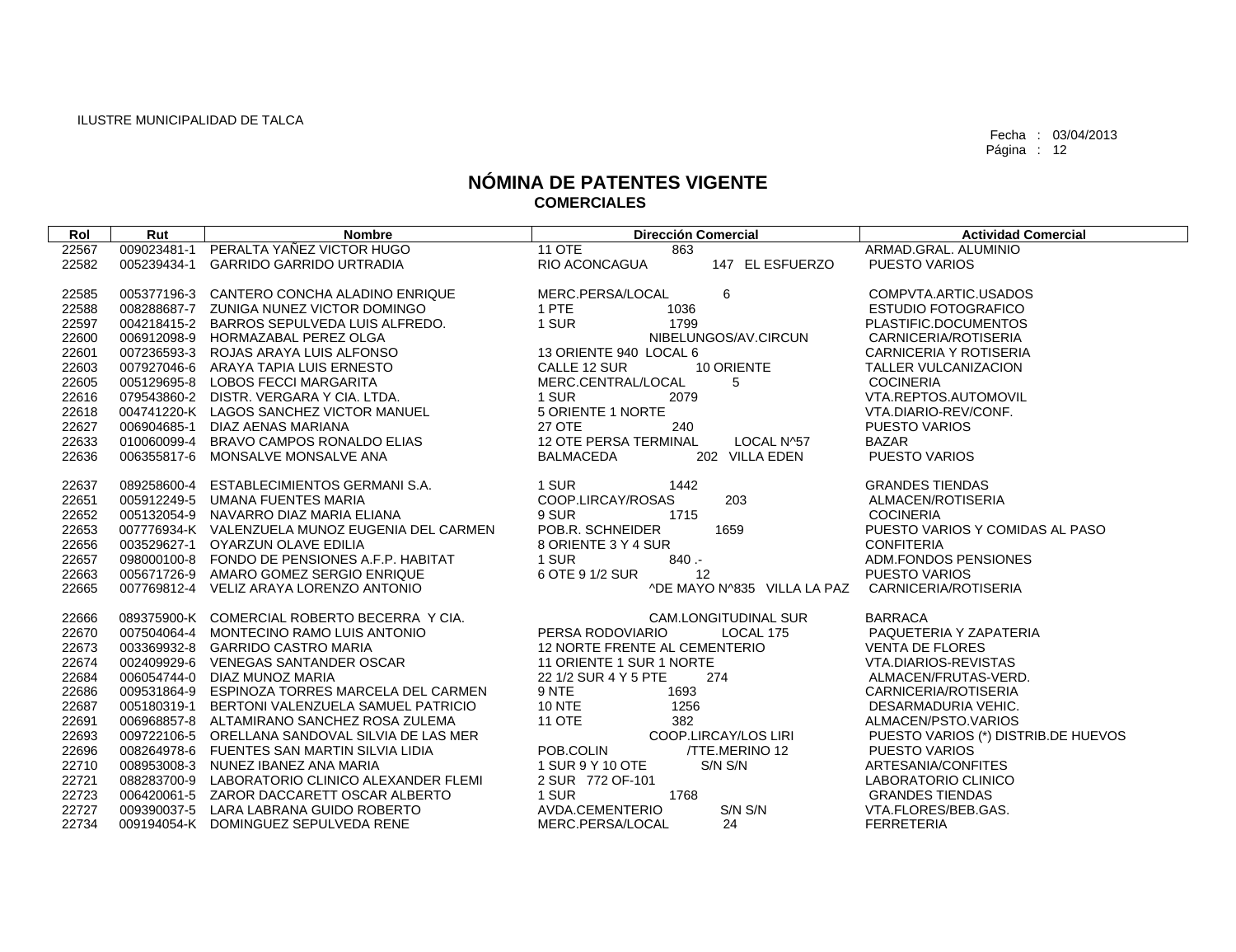| Rol   | Rut         | <b>Nombre</b>                                   | <b>Dirección Comercial</b>          | <b>Actividad Comercial</b>          |
|-------|-------------|-------------------------------------------------|-------------------------------------|-------------------------------------|
| 22567 |             | 009023481-1 PERALTA YAÑEZ VICTOR HUGO           | <b>11 OTE</b><br>863                | ARMAD.GRAL, ALUMINIO                |
| 22582 | 005239434-1 | <b>GARRIDO GARRIDO URTRADIA</b>                 | RIO ACONCAGUA<br>147 EL ESFUERZO    | <b>PUESTO VARIOS</b>                |
|       |             |                                                 |                                     |                                     |
| 22585 |             | 005377196-3 CANTERO CONCHA ALADINO ENRIQUE      | 6<br>MERC.PERSA/LOCAL               | COMPVTA.ARTIC.USADOS                |
| 22588 |             | 008288687-7 ZUNIGA NUNEZ VICTOR DOMINGO         | 1 PTE<br>1036                       | <b>ESTUDIO FOTOGRAFICO</b>          |
| 22597 |             | 004218415-2 BARROS SEPULVEDA LUIS ALFREDO.      | 1 SUR<br>1799                       | PLASTIFIC.DOCUMENTOS                |
| 22600 |             | 006912098-9 HORMAZABAL PEREZ OLGA               | NIBELUNGOS/AV.CIRCUN                | <b>CARNICERIA/ROTISERIA</b>         |
| 22601 |             | 007236593-3 ROJAS ARAYA LUIS ALFONSO            | 13 ORIENTE 940 LOCAL 6              | CARNICERIA Y ROTISERIA              |
| 22603 |             | 007927046-6 ARAYA TAPIA LUIS ERNESTO            | 10 ORIENTE<br>CALLE 12 SUR          | TALLER VULCANIZACION                |
| 22605 |             | 005129695-8 LOBOS FECCI MARGARITA               | MERC.CENTRAL/LOCAL<br>5             | <b>COCINERIA</b>                    |
| 22616 |             | 079543860-2 DISTR. VERGARA Y CIA. LTDA.         | 1 SUR<br>2079                       | VTA.REPTOS.AUTOMOVIL                |
| 22618 |             | 004741220-K LAGOS SANCHEZ VICTOR MANUEL         | 5 ORIENTE 1 NORTE                   | VTA.DIARIO-REV/CONF.                |
| 22627 | 006904685-1 | DIAZ AENAS MARIANA                              | <b>27 OTE</b><br>240                | <b>PUESTO VARIOS</b>                |
| 22633 |             | 010060099-4 BRAVO CAMPOS RONALDO ELIAS          | 12 OTE PERSA TERMINAL<br>LOCAL N^57 | <b>BAZAR</b>                        |
| 22636 |             | 006355817-6 MONSALVE MONSALVE ANA               | 202 VILLA EDEN<br>BALMACEDA         | PUESTO VARIOS                       |
|       |             |                                                 |                                     |                                     |
| 22637 |             | 089258600-4 ESTABLECIMIENTOS GERMANI S.A.       | 1 SUR<br>1442                       | <b>GRANDES TIENDAS</b>              |
| 22651 |             | 005912249-5 UMANA FUENTES MARIA                 | 203<br>COOP.LIRCAY/ROSAS            | ALMACEN/ROTISERIA                   |
| 22652 |             | 005132054-9 NAVARRO DIAZ MARIA ELIANA           | 9 SUR<br>1715                       | <b>COCINERIA</b>                    |
| 22653 |             | 007776934-K VALENZUELA MUNOZ EUGENIA DEL CARMEN | POB.R. SCHNEIDER<br>1659            | PUESTO VARIOS Y COMIDAS AL PASO     |
| 22656 |             | 003529627-1 OYARZUN OLAVE EDILIA                | 8 ORIENTE 3 Y 4 SUR                 | <b>CONFITERIA</b>                   |
| 22657 |             | 098000100-8 FONDO DE PENSIONES A.F.P. HABITAT   | 1 SUR<br>$840 -$                    | ADM.FONDOS PENSIONES                |
| 22663 |             | 005671726-9 AMARO GOMEZ SERGIO ENRIQUE          | 6 OTE 9 1/2 SUR<br>12               | <b>PUESTO VARIOS</b>                |
| 22665 |             | 007769812-4 VELIZ ARAYA LORENZO ANTONIO         | ^DE MAYO N^835 VILLA LA PAZ         | CARNICERIA/ROTISERIA                |
|       |             |                                                 |                                     |                                     |
| 22666 |             | 089375900-K COMERCIAL ROBERTO BECERRA Y CIA.    | <b>CAM.LONGITUDINAL SUR</b>         | <b>BARRACA</b>                      |
| 22670 |             | 007504064-4 MONTECINO RAMO LUIS ANTONIO         | PERSA RODOVIARIO<br>LOCAL 175       | PAQUETERIA Y ZAPATERIA              |
| 22673 |             | 003369932-8 GARRIDO CASTRO MARIA                | 12 NORTE FRENTE AL CEMENTERIO       | <b>VENTA DE FLORES</b>              |
| 22674 |             | 002409929-6 VENEGAS SANTANDER OSCAR             | 11 ORIENTE 1 SUR 1 NORTE            | VTA.DIARIOS-REVISTAS                |
| 22684 |             | 006054744-0 DIAZ MUNOZ MARIA                    | 22 1/2 SUR 4 Y 5 PTE<br>274         | ALMACEN/FRUTAS-VERD.                |
| 22686 |             | 009531864-9 ESPINOZA TORRES MARCELA DEL CARMEN  | 9 NTE<br>1693                       | CARNICERIA/ROTISERIA                |
| 22687 | 005180319-1 | BERTONI VALENZUELA SAMUEL PATRICIO              | <b>10 NTE</b><br>1256               | DESARMADURIA VEHIC.                 |
| 22691 |             | 006968857-8 ALTAMIRANO SANCHEZ ROSA ZULEMA      | <b>11 OTE</b><br>382                | ALMACEN/PSTO.VARIOS                 |
| 22693 |             | 009722106-5 ORELLANA SANDOVAL SILVIA DE LAS MER | COOP.LIRCAY/LOS LIRI                | PUESTO VARIOS (*) DISTRIB.DE HUEVOS |
| 22696 |             | 008264978-6 FUENTES SAN MARTIN SILVIA LIDIA     | POB.COLIN<br>/TTE.MERINO 12         | PUESTO VARIOS                       |
| 22710 |             | 008953008-3 NUNEZ IBANEZ ANA MARIA              | 1 SUR 9 Y 10 OTE<br>S/N S/N         | ARTESANIA/CONFITES                  |
| 22721 |             | 088283700-9 LABORATORIO CLINICO ALEXANDER FLEMI | 2 SUR 772 OF-101                    | LABORATORIO CLINICO                 |
| 22723 |             | 006420061-5 ZAROR DACCARETT OSCAR ALBERTO       | 1768<br>1 SUR                       | <b>GRANDES TIENDAS</b>              |
| 22727 |             | 009390037-5 LARA LABRANA GUIDO ROBERTO          | S/N S/N<br>AVDA.CEMENTERIO          | VTA.FLORES/BEB.GAS.                 |
| 22734 |             | 009194054-K DOMINGUEZ SEPULVEDA RENE            | MERC.PERSA/LOCAL<br>24              | <b>FERRETERIA</b>                   |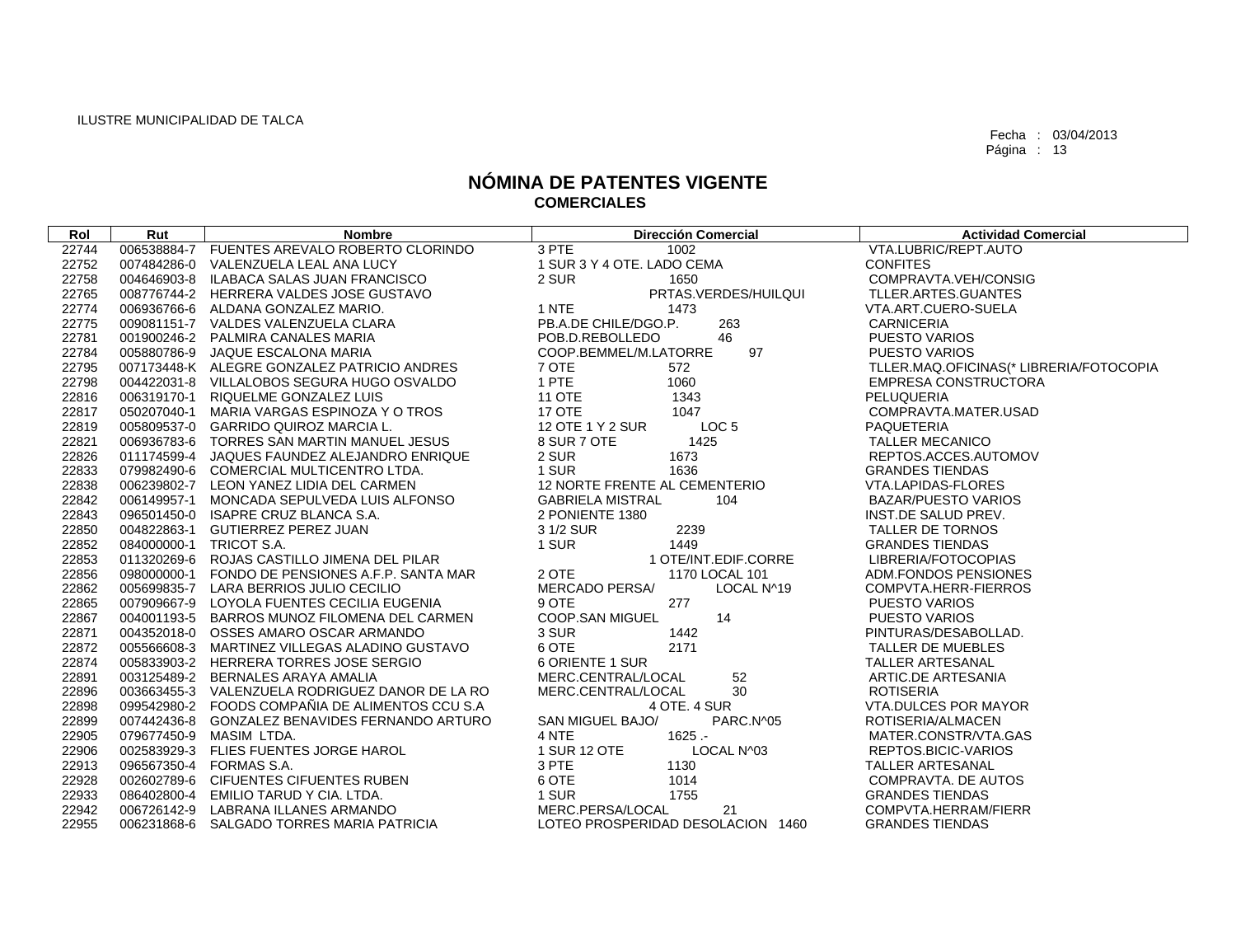| Rol   | Rut                     | <b>Nombre</b>                                   | <b>Dirección Comercial</b>           | <b>Actividad Comercial</b>              |
|-------|-------------------------|-------------------------------------------------|--------------------------------------|-----------------------------------------|
| 22744 |                         | 006538884-7 FUENTES AREVALO ROBERTO CLORINDO    | 3 PTE<br>1002                        | VTA.LUBRIC/REPT.AUTO                    |
| 22752 |                         | 007484286-0 VALENZUELA LEAL ANA LUCY            | 1 SUR 3 Y 4 OTE. LADO CEMA           | <b>CONFITES</b>                         |
| 22758 |                         | 004646903-8 ILABACA SALAS JUAN FRANCISCO        | 1650<br>2 SUR                        | COMPRAVTA.VEH/CONSIG                    |
| 22765 |                         | 008776744-2 HERRERA VALDES JOSE GUSTAVO         | PRTAS.VERDES/HUILQUI                 | TLLER.ARTES.GUANTES                     |
| 22774 |                         | 006936766-6 ALDANA GONZALEZ MARIO.              | 1 NTE<br>1473                        | VTA.ART.CUERO-SUELA                     |
| 22775 |                         | 009081151-7 VALDES VALENZUELA CLARA             | 263<br>PB.A.DE CHILE/DGO.P.          | <b>CARNICERIA</b>                       |
| 22781 |                         | 001900246-2 PALMIRA CANALES MARIA               | 46<br>POB.D.REBOLLEDO                | <b>PUESTO VARIOS</b>                    |
| 22784 |                         | 005880786-9 JAQUE ESCALONA MARIA                | 97<br>COOP.BEMMEL/M.LATORRE          | <b>PUESTO VARIOS</b>                    |
| 22795 |                         | 007173448-K ALEGRE GONZALEZ PATRICIO ANDRES     | 7 OTE<br>572                         | TLLER.MAQ.OFICINAS(* LIBRERIA/FOTOCOPIA |
| 22798 |                         | 004422031-8 VILLALOBOS SEGURA HUGO OSVALDO      | 1 PTE<br>1060                        | <b>EMPRESA CONSTRUCTORA</b>             |
| 22816 |                         | 006319170-1 RIQUELME GONZALEZ LUIS              | <b>11 OTE</b><br>1343                | PELUQUERIA                              |
| 22817 |                         | 050207040-1 MARIA VARGAS ESPINOZA Y O TROS      | 17 OTE<br>1047                       | COMPRAVTA.MATER.USAD                    |
| 22819 |                         | 005809537-0 GARRIDO QUIROZ MARCIA L.            | 12 OTE 1 Y 2 SUR<br>LOC <sub>5</sub> | <b>PAQUETERIA</b>                       |
| 22821 |                         | 006936783-6 TORRES SAN MARTIN MANUEL JESUS      | 8 SUR 7 OTE<br>1425                  | <b>TALLER MECANICO</b>                  |
| 22826 |                         | 011174599-4 JAQUES FAUNDEZ ALEJANDRO ENRIQUE    | 2 SUR<br>1673                        | REPTOS.ACCES.AUTOMOV                    |
| 22833 |                         | 079982490-6 COMERCIAL MULTICENTRO LTDA.         | 1 SUR<br>1636                        | <b>GRANDES TIENDAS</b>                  |
| 22838 |                         | 006239802-7 LEON YANEZ LIDIA DEL CARMEN         | 12 NORTE FRENTE AL CEMENTERIO        | VTA.LAPIDAS-FLORES                      |
| 22842 |                         | 006149957-1 MONCADA SEPULVEDA LUIS ALFONSO      | <b>GABRIELA MISTRAL</b><br>104       | <b>BAZAR/PUESTO VARIOS</b>              |
| 22843 |                         | 096501450-0 ISAPRE CRUZ BLANCA S.A.             | 2 PONIENTE 1380                      | INST.DE SALUD PREV.                     |
| 22850 |                         | 004822863-1 GUTIERREZ PEREZ JUAN                | 2239<br>3 1/2 SUR                    | TALLER DE TORNOS                        |
| 22852 | 084000000-1 TRICOT S.A. |                                                 | 1 SUR<br>1449                        | <b>GRANDES TIENDAS</b>                  |
| 22853 |                         | 011320269-6 ROJAS CASTILLO JIMENA DEL PILAR     | 1 OTE/INT.EDIF.CORRE                 | LIBRERIA/FOTOCOPIAS                     |
| 22856 |                         | 098000000-1 FONDO DE PENSIONES A.F.P. SANTA MAR | 2 OTE<br>1170 LOCAL 101              | ADM.FONDOS PENSIONES                    |
| 22862 |                         | 005699835-7 LARA BERRIOS JULIO CECILIO          | <b>MERCADO PERSA/</b><br>LOCAL N^19  | COMPVTA.HERR-FIERROS                    |
| 22865 |                         | 007909667-9 LOYOLA FUENTES CECILIA EUGENIA      | 9 OTE<br>277                         | <b>PUESTO VARIOS</b>                    |
| 22867 |                         | 004001193-5 BARROS MUNOZ FILOMENA DEL CARMEN    | <b>COOP.SAN MIGUEL</b><br>14         | <b>PUESTO VARIOS</b>                    |
| 22871 |                         | 004352018-0 OSSES AMARO OSCAR ARMANDO           | 3 SUR<br>1442                        | PINTURAS/DESABOLLAD.                    |
| 22872 |                         | 005566608-3 MARTINEZ VILLEGAS ALADINO GUSTAVO   | 2171<br>6 OTE                        | TALLER DE MUEBLES                       |
| 22874 |                         | 005833903-2 HERRERA TORRES JOSE SERGIO          | 6 ORIENTE 1 SUR                      | <b>TALLER ARTESANAL</b>                 |
| 22891 |                         | 003125489-2 BERNALES ARAYA AMALIA               | 52<br>MERC.CENTRAL/LOCAL             | ARTIC.DE ARTESANIA                      |
| 22896 |                         | 003663455-3 VALENZUELA RODRIGUEZ DANOR DE LA RO | 30<br>MERC.CENTRAL/LOCAL             | <b>ROTISERIA</b>                        |
| 22898 |                         | 099542980-2 FOODS COMPAÑIA DE ALIMENTOS CCU S.A | 4 OTE. 4 SUR                         | <b>VTA.DULCES POR MAYOR</b>             |
| 22899 |                         | 007442436-8 GONZALEZ BENAVIDES FERNANDO ARTURO  | SAN MIGUEL BAJO/<br>PARC.N^05        | ROTISERIA/ALMACEN                       |
| 22905 |                         | 079677450-9 MASIM LTDA.                         | 4 NTE<br>$1625 -$                    | MATER.CONSTR/VTA.GAS                    |
| 22906 |                         | 002583929-3 FLIES FUENTES JORGE HAROL           | LOCAL N^03<br>1 SUR 12 OTE           | REPTOS.BICIC-VARIOS                     |
| 22913 |                         | 096567350-4 FORMAS S.A.                         | 3 PTE<br>1130                        | <b>TALLER ARTESANAL</b>                 |
| 22928 |                         | 002602789-6 CIFUENTES CIFUENTES RUBEN           | 6 OTE<br>1014                        | COMPRAVTA. DE AUTOS                     |
| 22933 |                         | 086402800-4 EMILIO TARUD Y CIA, LTDA.           | 1755<br>1 SUR                        | <b>GRANDES TIENDAS</b>                  |
| 22942 |                         | 006726142-9 LABRANA ILLANES ARMANDO             | MERC.PERSA/LOCAL<br>21               | COMPVTA.HERRAM/FIERR                    |
| 22955 |                         | 006231868-6 SALGADO TORRES MARIA PATRICIA       | LOTEO PROSPERIDAD DESOLACION 1460    | <b>GRANDES TIENDAS</b>                  |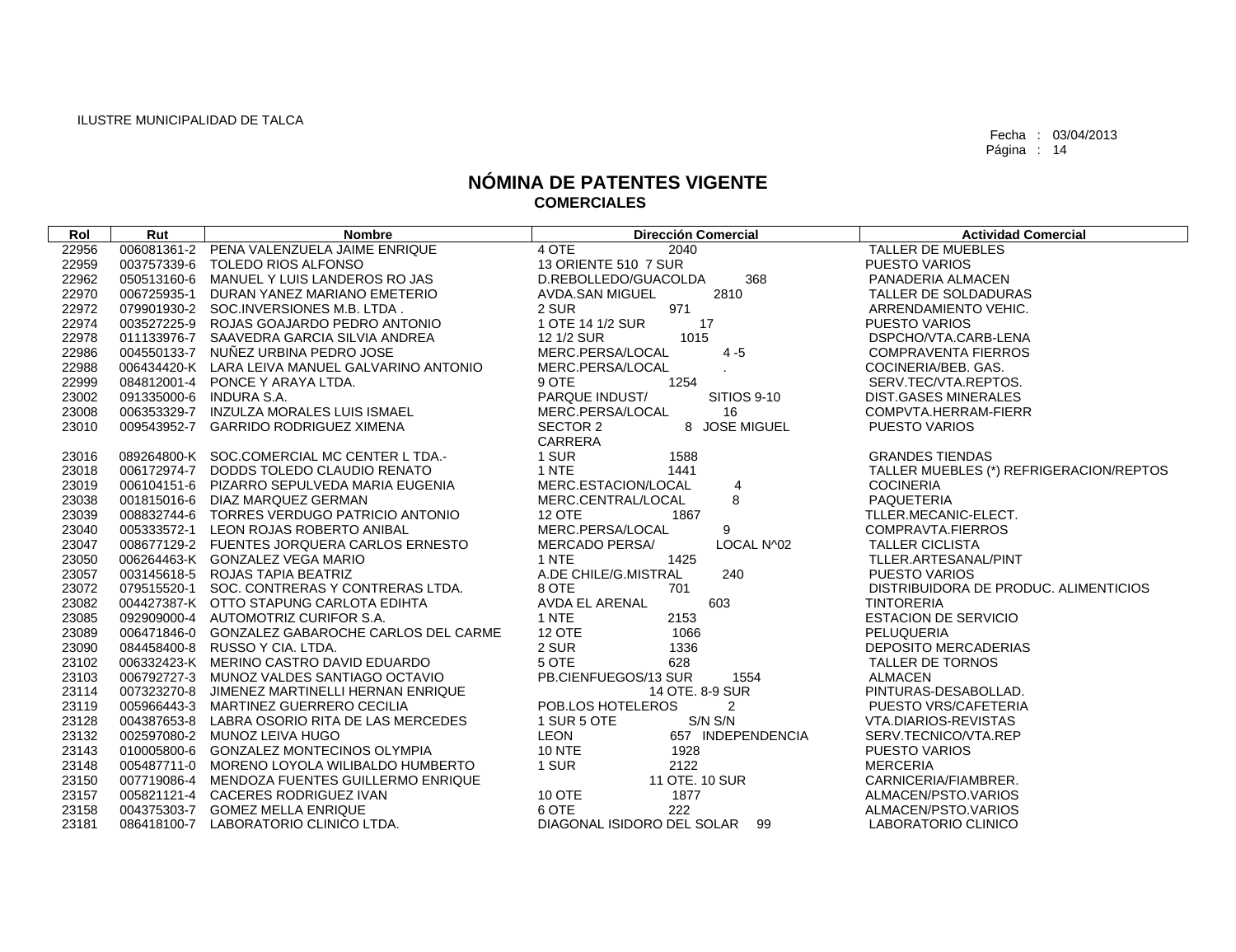| Rol            | Rut                     | <b>Nombre</b>                                                                           | <b>Dirección Comercial</b>                  | <b>Actividad Comercial</b>                   |  |
|----------------|-------------------------|-----------------------------------------------------------------------------------------|---------------------------------------------|----------------------------------------------|--|
| 22956          |                         | 006081361-2 PENA VALENZUELA JAIME ENRIQUE                                               | 4 OTE<br>2040                               | TALLER DE MUEBLES                            |  |
| 22959          |                         | 003757339-6 TOLEDO RIOS ALFONSO                                                         | 13 ORIENTE 510 7 SUR                        | <b>PUESTO VARIOS</b>                         |  |
| 22962          |                         | 050513160-6 MANUEL Y LUIS LANDEROS ROJAS                                                | D.REBOLLEDO/GUACOLDA<br>368                 | PANADERIA ALMACEN                            |  |
| 22970          | 006725935-1             | DURAN YANEZ MARIANO EMETERIO                                                            | AVDA.SAN MIGUEL<br>2810                     | TALLER DE SOLDADURAS                         |  |
| 22972          |                         | 079901930-2 SOC.INVERSIONES M.B. LTDA.                                                  | 971<br>2 SUR                                | ARRENDAMIENTO VEHIC.                         |  |
| 22974          |                         | 003527225-9 ROJAS GOAJARDO PEDRO ANTONIO                                                | 1 OTE 14 1/2 SUR<br>17                      | <b>PUESTO VARIOS</b>                         |  |
| 22978          |                         | 011133976-7 SAAVEDRA GARCIA SILVIA ANDREA                                               | 1015<br>12 1/2 SUR                          | DSPCHO/VTA.CARB-LENA                         |  |
| 22986          |                         | 004550133-7 NUNEZ URBINA PEDRO JOSE                                                     | $4-5$<br>MERC.PERSA/LOCAL                   | <b>COMPRAVENTA FIERROS</b>                   |  |
| 22988          |                         | 006434420-K LARA LEIVA MANUEL GALVARINO ANTONIO                                         | MERC.PERSA/LOCAL                            | COCINERIA/BEB. GAS.                          |  |
| 22999          |                         | 084812001-4 PONCE Y ARAYA LTDA.                                                         | 9 OTE<br>1254                               | SERV.TEC/VTA.REPTOS.                         |  |
| 23002          | 091335000-6 INDURA S.A. |                                                                                         | PARQUE INDUST/<br><b>SITIOS 9-10</b>        | <b>DIST.GASES MINERALES</b>                  |  |
| 23008          |                         | 006353329-7 INZULZA MORALES LUIS ISMAEL                                                 | MERC.PERSA/LOCAL<br>16                      | COMPVTA.HERRAM-FIERR                         |  |
| 23010          |                         | 009543952-7 GARRIDO RODRIGUEZ XIMENA                                                    | SECTOR 2<br>8 JOSE MIGUEL                   | <b>PUESTO VARIOS</b>                         |  |
|                |                         |                                                                                         | CARRERA                                     |                                              |  |
| 23016          |                         | 089264800-K SOC.COMERCIAL MC CENTER L TDA.-                                             | 1 SUR<br>1588                               | <b>GRANDES TIENDAS</b>                       |  |
| 23018          |                         | 006172974-7 DODDS TOLEDO CLAUDIO RENATO                                                 | 1 NTE<br>1441                               | TALLER MUEBLES (*) REFRIGERACION/REPTOS      |  |
| 23019          |                         | 006104151-6 PIZARRO SEPULVEDA MARIA EUGENIA                                             | MERC.ESTACION/LOCAL<br>4                    | <b>COCINERIA</b>                             |  |
| 23038          |                         | 001815016-6 DIAZ MARQUEZ GERMAN                                                         | 8<br>MERC.CENTRAL/LOCAL                     | PAQUETERIA                                   |  |
| 23039          |                         | 008832744-6 TORRES VERDUGO PATRICIO ANTONIO                                             | <b>12 OTE</b><br>1867                       | TLLER.MECANIC-ELECT.                         |  |
| 23040          |                         | 005333572-1 LEON ROJAS ROBERTO ANIBAL                                                   | MERC.PERSA/LOCAL<br>9                       | COMPRAVTA, FIERROS                           |  |
| 23047          |                         | 008677129-2 FUENTES JORQUERA CARLOS ERNESTO                                             | LOCAL N^02<br><b>MERCADO PERSA/</b>         | <b>TALLER CICLISTA</b>                       |  |
| 23050          |                         | 006264463-K GONZALEZ VEGA MARIO                                                         | 1 NTE<br>1425                               | TLLER.ARTESANAL/PINT                         |  |
| 23057          |                         | 003145618-5 ROJAS TAPIA BEATRIZ                                                         | A.DE CHILE/G.MISTRAL<br>240                 | <b>PUESTO VARIOS</b>                         |  |
| 23072          |                         | 079515520-1 SOC. CONTRERAS Y CONTRERAS LTDA.                                            | 8 OTE<br>701                                | DISTRIBUIDORA DE PRODUC, ALIMENTICIOS        |  |
| 23082          |                         | 004427387-K OTTO STAPUNG CARLOTA EDIHTA                                                 | AVDA EL ARENAL<br>603                       | <b>TINTORERIA</b>                            |  |
| 23085          |                         | 092909000-4 AUTOMOTRIZ CURIFOR S.A.                                                     | 1 NTE<br>2153                               | <b>ESTACION DE SERVICIO</b>                  |  |
| 23089          |                         | 006471846-0 GONZALEZ GABAROCHE CARLOS DEL CARME                                         | <b>12 OTE</b><br>1066                       | PELUQUERIA                                   |  |
| 23090          |                         | 084458400-8 RUSSO Y CIA. LTDA.                                                          | 2 SUR<br>1336                               | <b>DEPOSITO MERCADERIAS</b>                  |  |
| 23102          |                         | 006332423-K MERINO CASTRO DAVID EDUARDO                                                 | 5 OTE<br>628                                | TALLER DE TORNOS                             |  |
| 23103          |                         | 006792727-3 MUNOZ VALDES SANTIAGO OCTAVIO                                               | PB.CIENFUEGOS/13 SUR<br>1554                | <b>ALMACEN</b>                               |  |
| 23114          |                         | 007323270-8 JIMENEZ MARTINELLI HERNAN ENRIQUE                                           | 14 OTE. 8-9 SUR                             | PINTURAS-DESABOLLAD.                         |  |
| 23119          |                         | 005966443-3 MARTINEZ GUERRERO CECILIA                                                   | POB.LOS HOTELEROS<br>2                      | PUESTO VRS/CAFETERIA                         |  |
| 23128          |                         | 004387653-8 LABRA OSORIO RITA DE LAS MERCEDES<br>002597080-2 MUNOZ LEIVA HUGO           | 1 SUR 5 OTE<br>S/N S/N<br>657 INDEPENDENCIA | VTA.DIARIOS-REVISTAS<br>SERV.TECNICO/VTA.REP |  |
| 23132          |                         |                                                                                         | LEON                                        |                                              |  |
| 23143          |                         | 010005800-6 GONZALEZ MONTECINOS OLYMPIA<br>005487711-0 MORENO LOYOLA WILIBALDO HUMBERTO | <b>10 NTE</b><br>1928<br>2122               | <b>PUESTO VARIOS</b><br><b>MERCERIA</b>      |  |
| 23148<br>23150 |                         | 007719086-4 MENDOZA FUENTES GUILLERMO ENRIQUE                                           | 1 SUR<br>11 OTE. 10 SUR                     | CARNICERIA/FIAMBRER.                         |  |
| 23157          |                         | 005821121-4 CACERES RODRIGUEZ IVAN                                                      | <b>10 OTE</b><br>1877                       | ALMACEN/PSTO.VARIOS                          |  |
| 23158          |                         | 004375303-7 GOMEZ MELLA ENRIQUE                                                         | 6 OTE<br>222                                | ALMACEN/PSTO.VARIOS                          |  |
| 23181          |                         | 086418100-7 LABORATORIO CLINICO LTDA.                                                   | DIAGONAL ISIDORO DEL SOLAR 99               | <b>LABORATORIO CLINICO</b>                   |  |
|                |                         |                                                                                         |                                             |                                              |  |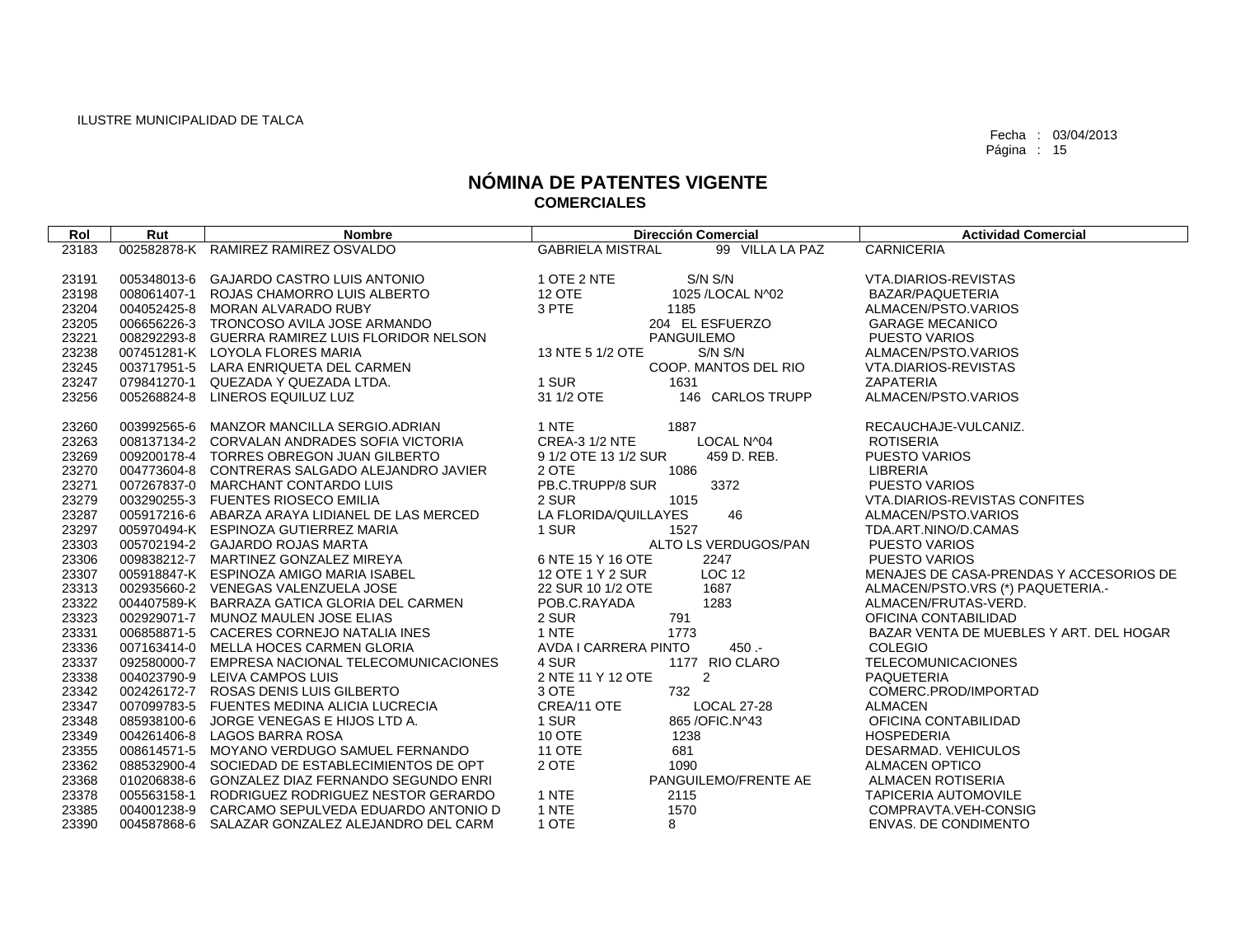| Rol   | Rut         | <b>Nombre</b>                                   | <b>Dirección Comercial</b>                 | <b>Actividad Comercial</b>              |
|-------|-------------|-------------------------------------------------|--------------------------------------------|-----------------------------------------|
| 23183 |             | 002582878-K RAMIREZ RAMIREZ OSVALDO             | <b>GABRIELA MISTRAL</b><br>99 VILLA LA PAZ | <b>CARNICERIA</b>                       |
|       |             |                                                 |                                            |                                         |
| 23191 | 005348013-6 | <b>GAJARDO CASTRO LUIS ANTONIO</b>              | 1 OTE 2 NTE<br>S/N S/N                     | VTA.DIARIOS-REVISTAS                    |
| 23198 |             | 008061407-1 ROJAS CHAMORRO LUIS ALBERTO         | 12 OTE<br>1025 / LOCAL N^02                | BAZAR/PAQUETERIA                        |
| 23204 |             | 004052425-8 MORAN ALVARADO RUBY                 | 3 PTE<br>1185                              | ALMACEN/PSTO.VARIOS                     |
| 23205 |             | 006656226-3 TRONCOSO AVILA JOSE ARMANDO         | 204 EL ESFUERZO                            | <b>GARAGE MECANICO</b>                  |
| 23221 |             | 008292293-8 GUERRA RAMIREZ LUIS FLORIDOR NELSON | <b>PANGUILEMO</b>                          | <b>PUESTO VARIOS</b>                    |
| 23238 |             | 007451281-K LOYOLA FLORES MARIA                 | 13 NTE 5 1/2 OTE<br>S/N S/N                | ALMACEN/PSTO.VARIOS                     |
| 23245 |             | 003717951-5 LARA ENRIQUETA DEL CARMEN           | COOP. MANTOS DEL RIO                       | VTA.DIARIOS-REVISTAS                    |
| 23247 |             | 079841270-1 QUEZADA Y QUEZADA LTDA.             | 1 SUR<br>1631                              | ZAPATERIA                               |
| 23256 |             | 005268824-8 LINEROS EQUILUZ LUZ                 | 31 1/2 OTE<br>146 CARLOS TRUPP             | ALMACEN/PSTO.VARIOS                     |
|       |             |                                                 |                                            |                                         |
| 23260 |             | 003992565-6 MANZOR MANCILLA SERGIO.ADRIAN       | 1 NTE<br>1887                              | RECAUCHAJE-VULCANIZ.                    |
| 23263 |             | 008137134-2 CORVALAN ANDRADES SOFIA VICTORIA    | <b>CREA-3 1/2 NTE</b><br>LOCAL N^04        | <b>ROTISERIA</b>                        |
| 23269 |             | 009200178-4 TORRES OBREGON JUAN GILBERTO        | 9 1/2 OTE 13 1/2 SUR<br>459 D. REB.        | <b>PUESTO VARIOS</b>                    |
| 23270 |             | 004773604-8 CONTRERAS SALGADO ALEJANDRO JAVIER  | 2 OTE<br>1086                              | <b>LIBRERIA</b>                         |
| 23271 |             | 007267837-0 MARCHANT CONTARDO LUIS              | PB.C.TRUPP/8 SUR<br>3372                   | <b>PUESTO VARIOS</b>                    |
| 23279 |             | 003290255-3 FUENTES RIOSECO EMILIA              | 2 SUR<br>1015                              | VTA.DIARIOS-REVISTAS CONFITES           |
| 23287 |             | 005917216-6 ABARZA ARAYA LIDIANEL DE LAS MERCED | 46<br>LA FLORIDA/QUILLAYES                 | ALMACEN/PSTO.VARIOS                     |
| 23297 |             | 005970494-K ESPINOZA GUTIERREZ MARIA            | 1 SUR<br>1527                              | TDA.ART.NINO/D.CAMAS                    |
| 23303 |             | 005702194-2 GAJARDO ROJAS MARTA                 | ALTO LS VERDUGOS/PAN                       | <b>PUESTO VARIOS</b>                    |
| 23306 |             | 009838212-7 MARTINEZ GONZALEZ MIREYA            | 6 NTE 15 Y 16 OTE<br>2247                  | PUESTO VARIOS                           |
| 23307 |             | 005918847-K ESPINOZA AMIGO MARIA ISABEL         | <b>LOC 12</b><br>12 OTE 1 Y 2 SUR          | MENAJES DE CASA-PRENDAS Y ACCESORIOS DE |
| 23313 |             | 002935660-2 VENEGAS VALENZUELA JOSE             | 22 SUR 10 1/2 OTE<br>1687                  | ALMACEN/PSTO.VRS (*) PAQUETERIA.-       |
| 23322 |             | 004407589-K BARRAZA GATICA GLORIA DEL CARMEN    | POB.C.RAYADA<br>1283                       | ALMACEN/FRUTAS-VERD.                    |
| 23323 |             | 002929071-7 MUNOZ MAULEN JOSE ELIAS             | 2 SUR<br>791                               | OFICINA CONTABILIDAD                    |
| 23331 |             | 006858871-5 CACERES CORNEJO NATALIA INES        | 1 NTE<br>1773                              | BAZAR VENTA DE MUEBLES Y ART. DEL HOGAR |
| 23336 |             | 007163414-0 MELLA HOCES CARMEN GLORIA           | AVDA I CARRERA PINTO<br>$450 -$            | <b>COLEGIO</b>                          |
| 23337 |             | 092580000-7 EMPRESA NACIONAL TELECOMUNICACIONES | 4 SUR<br>1177 RIO CLARO                    | <b>TELECOMUNICACIONES</b>               |
| 23338 |             | 004023790-9 LEIVA CAMPOS LUIS                   | 2 NTE 11 Y 12 OTE<br>$\overline{2}$        | <b>PAQUETERIA</b>                       |
| 23342 |             | 002426172-7 ROSAS DENIS LUIS GILBERTO           | 3 OTE<br>732                               | COMERC.PROD/IMPORTAD                    |
| 23347 |             | 007099783-5 FUENTES MEDINA ALICIA LUCRECIA      | CREA/11 OTE<br><b>LOCAL 27-28</b>          | <b>ALMACEN</b>                          |
| 23348 | 085938100-6 | JORGE VENEGAS E HIJOS LTD A.                    | 1 SUR<br>865 / OFIC. N^43                  | OFICINA CONTABILIDAD                    |
| 23349 |             | 004261406-8 LAGOS BARRA ROSA                    | 10 OTE<br>1238                             | <b>HOSPEDERIA</b>                       |
| 23355 |             | 008614571-5 MOYANO VERDUGO SAMUEL FERNANDO      | <b>11 OTE</b><br>681                       | DESARMAD. VEHICULOS                     |
| 23362 |             | 088532900-4 SOCIEDAD DE ESTABLECIMIENTOS DE OPT | 2 OTE<br>1090                              | <b>ALMACEN OPTICO</b>                   |
| 23368 | 010206838-6 | GONZALEZ DIAZ FERNANDO SEGUNDO ENRI             | PANGUILEMO/FRENTE AE                       | <b>ALMACEN ROTISERIA</b>                |
| 23378 |             | 005563158-1 RODRIGUEZ RODRIGUEZ NESTOR GERARDO  | 1 NTE<br>2115                              | <b>TAPICERIA AUTOMOVILE</b>             |
| 23385 |             | 004001238-9 CARCAMO SEPULVEDA EDUARDO ANTONIO D | 1 NTE<br>1570                              | COMPRAVTA, VEH-CONSIG                   |
| 23390 |             | 004587868-6 SALAZAR GONZALEZ ALEJANDRO DEL CARM | 1 OTE<br>8                                 | <b>ENVAS. DE CONDIMENTO</b>             |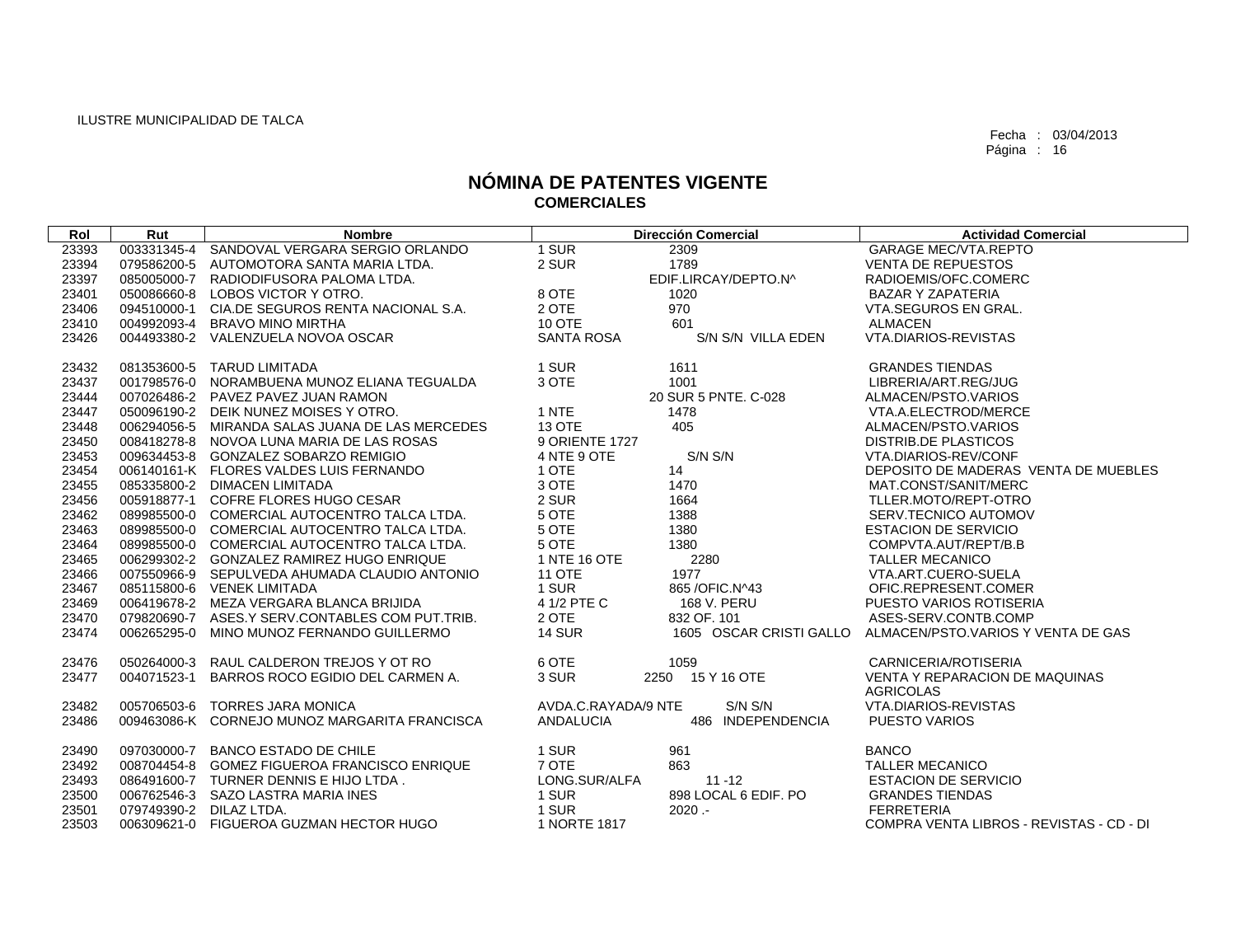| Rol   | Rut         | <b>Nombre</b>                                   | <b>Dirección Comercial</b>            |                         | <b>Actividad Comercial</b>               |
|-------|-------------|-------------------------------------------------|---------------------------------------|-------------------------|------------------------------------------|
| 23393 |             | 003331345-4 SANDOVAL VERGARA SERGIO ORLANDO     | 1 SUR<br>2309                         |                         | <b>GARAGE MEC/VTA.REPTO</b>              |
| 23394 | 079586200-5 | AUTOMOTORA SANTA MARIA LTDA.                    | 2 SUR<br>1789                         |                         | <b>VENTA DE REPUESTOS</b>                |
| 23397 |             | 085005000-7 RADIODIFUSORA PALOMA LTDA.          | EDIF.LIRCAY/DEPTO.N^                  |                         | RADIOEMIS/OFC.COMERC                     |
| 23401 |             | 050086660-8 LOBOS VICTOR Y OTRO.                | 8 OTE<br>1020                         |                         | <b>BAZAR Y ZAPATERIA</b>                 |
| 23406 | 094510000-1 | CIA.DE SEGUROS RENTA NACIONAL S.A.              | 2 OTE<br>970                          |                         | VTA.SEGUROS EN GRAL.                     |
| 23410 |             | 004992093-4 BRAVO MINO MIRTHA                   | 10 OTE<br>601                         |                         | <b>ALMACEN</b>                           |
| 23426 |             | 004493380-2 VALENZUELA NOVOA OSCAR              | SANTA ROSA<br>S/N S/N VILLA EDEN      |                         | <b>VTA.DIARIOS-REVISTAS</b>              |
|       |             |                                                 |                                       |                         |                                          |
| 23432 |             | 081353600-5 TARUD LIMITADA                      | 1 SUR<br>1611                         |                         | <b>GRANDES TIENDAS</b>                   |
| 23437 |             | 001798576-0 NORAMBUENA MUNOZ ELIANA TEGUALDA    | 3 OTE<br>1001                         |                         | LIBRERIA/ART.REG/JUG                     |
| 23444 |             | 007026486-2 PAVEZ PAVEZ JUAN RAMON              | 20 SUR 5 PNTE, C-028                  |                         | ALMACEN/PSTO.VARIOS                      |
| 23447 |             | 050096190-2 DEIK NUNEZ MOISES Y OTRO.           | 1 NTE<br>1478                         |                         | VTA.A.ELECTROD/MERCE                     |
| 23448 | 006294056-5 | MIRANDA SALAS JUANA DE LAS MERCEDES             | 13 OTE<br>405                         |                         | ALMACEN/PSTO.VARIOS                      |
| 23450 |             | 008418278-8 NOVOA LUNA MARIA DE LAS ROSAS       | 9 ORIENTE 1727                        |                         | <b>DISTRIB.DE PLASTICOS</b>              |
| 23453 |             | 009634453-8 GONZALEZ SOBARZO REMIGIO            | S/N S/N<br>4 NTE 9 OTE                |                         | VTA.DIARIOS-REV/CONF                     |
| 23454 |             | 006140161-K FLORES VALDES LUIS FERNANDO         | 1 OTE<br>14                           |                         | DEPOSITO DE MADERAS VENTA DE MUEBLES     |
| 23455 |             | 085335800-2 DIMACEN LIMITADA                    | 3 OTE<br>1470                         |                         | MAT.CONST/SANIT/MERC                     |
| 23456 | 005918877-1 | COFRE FLORES HUGO CESAR                         | 2 SUR<br>1664                         |                         | TLLER.MOTO/REPT-OTRO                     |
| 23462 |             | 089985500-0 COMERCIAL AUTOCENTRO TALCA LTDA.    | 5 OTE<br>1388                         |                         | SERV.TECNICO AUTOMOV                     |
| 23463 |             | 089985500-0 COMERCIAL AUTOCENTRO TALCA LTDA.    | 5 OTE<br>1380                         |                         | <b>ESTACION DE SERVICIO</b>              |
| 23464 |             | 089985500-0 COMERCIAL AUTOCENTRO TALCA LTDA.    | 5 OTE<br>1380                         |                         | COMPVTA.AUT/REPT/B.B                     |
| 23465 |             | 006299302-2 GONZALEZ RAMIREZ HUGO ENRIQUE       | 1 NTE 16 OTE<br>2280                  |                         | <b>TALLER MECANICO</b>                   |
| 23466 |             | 007550966-9 SEPULVEDA AHUMADA CLAUDIO ANTONIO   | <b>11 OTE</b><br>1977                 |                         | VTA.ART.CUERO-SUELA                      |
| 23467 |             | 085115800-6 VENEK LIMITADA                      | 1 SUR<br>865 / OFIC. N ^43            |                         | OFIC.REPRESENT.COMER                     |
| 23469 |             | 006419678-2 MEZA VERGARA BLANCA BRIJIDA         | 4 1/2 PTE C<br>168 V. PERU            |                         | PUESTO VARIOS ROTISERIA                  |
| 23470 |             | 079820690-7 ASES.Y SERV.CONTABLES COM PUT.TRIB. | 2 OTE<br>832 OF, 101                  |                         | ASES-SERV.CONTB.COMP                     |
| 23474 | 006265295-0 | MINO MUNOZ FERNANDO GUILLERMO                   | <b>14 SUR</b>                         | 1605 OSCAR CRISTI GALLO | ALMACEN/PSTO.VARIOS Y VENTA DE GAS       |
|       |             |                                                 |                                       |                         |                                          |
| 23476 | 050264000-3 | RAUL CALDERON TREJOS Y OT RO                    | 6 OTE<br>1059                         |                         | CARNICERIA/ROTISERIA                     |
| 23477 | 004071523-1 | BARROS ROCO EGIDIO DEL CARMEN A.                | 3 SUR<br>2250 15 Y 16 OTE             |                         | <b>VENTA Y REPARACION DE MAQUINAS</b>    |
|       |             |                                                 |                                       |                         | <b>AGRICOLAS</b>                         |
| 23482 |             | 005706503-6 TORRES JARA MONICA                  | S/N S/N<br>AVDA.C.RAYADA/9 NTE        |                         | VTA.DIARIOS-REVISTAS                     |
| 23486 |             | 009463086-K CORNEJO MUNOZ MARGARITA FRANCISCA   | <b>ANDALUCIA</b><br>486 INDEPENDENCIA |                         | PUESTO VARIOS                            |
| 23490 |             | 097030000-7 BANCO ESTADO DE CHILE               | 961<br>1 SUR                          |                         | <b>BANCO</b>                             |
| 23492 |             | 008704454-8 GOMEZ FIGUEROA FRANCISCO ENRIQUE    | 7 OTE<br>863                          |                         | <b>TALLER MECANICO</b>                   |
| 23493 |             | 086491600-7 TURNER DENNIS E HIJO LTDA.          | LONG.SUR/ALFA<br>$11 - 12$            |                         | <b>ESTACION DE SERVICIO</b>              |
| 23500 |             | 006762546-3 SAZO LASTRA MARIA INES              | 898 LOCAL 6 EDIF. PO<br>1 SUR         |                         | <b>GRANDES TIENDAS</b>                   |
| 23501 | 079749390-2 | DILAZ LTDA.                                     | 1 SUR<br>$2020 -$                     |                         | <b>FERRETERIA</b>                        |
| 23503 | 006309621-0 | FIGUEROA GUZMAN HECTOR HUGO                     | 1 NORTE 1817                          |                         | COMPRA VENTA LIBROS - REVISTAS - CD - DI |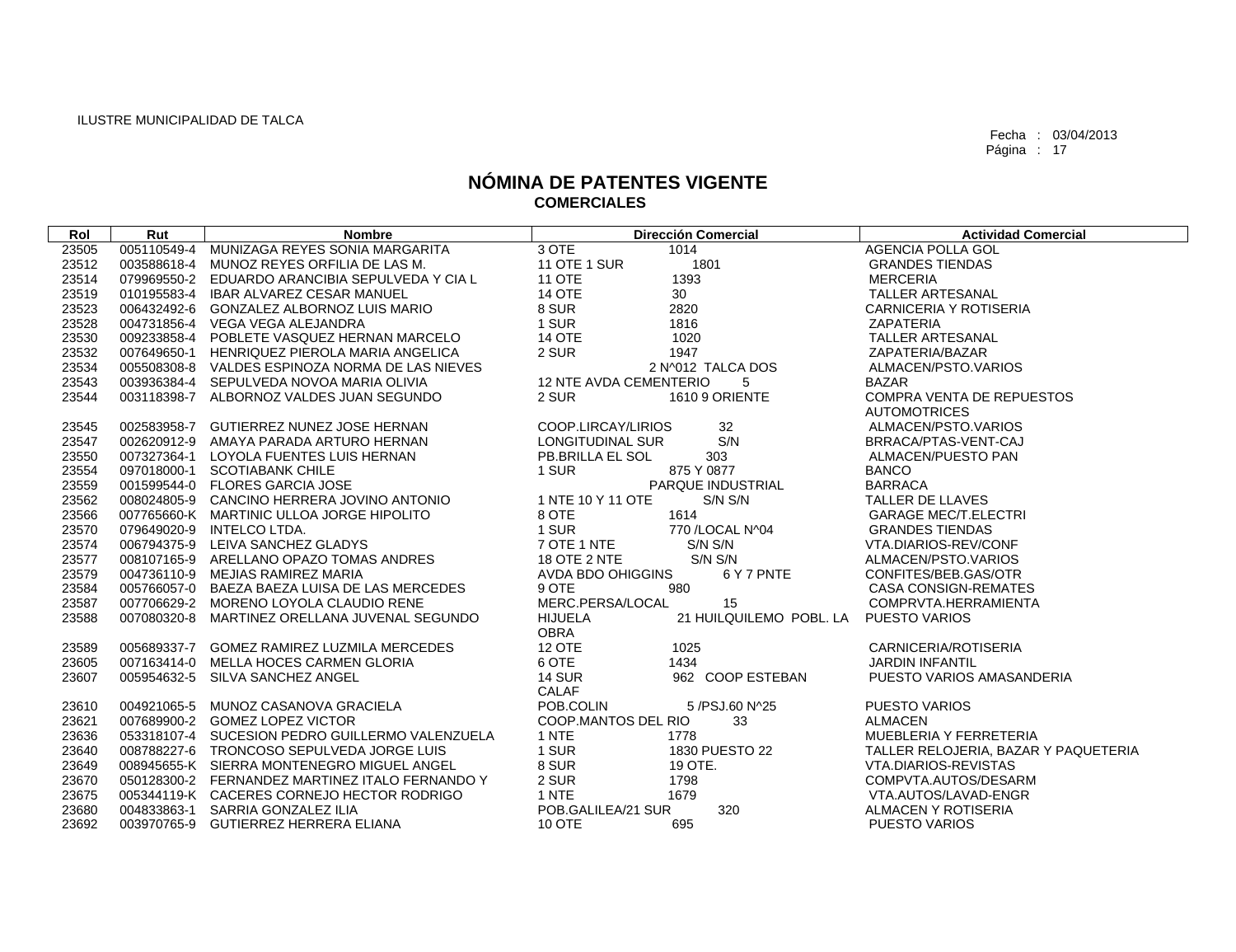| Rol   | Rut         | <b>Nombre</b>                                   | <b>Dirección Comercial</b>                        | <b>Actividad Comercial</b>           |
|-------|-------------|-------------------------------------------------|---------------------------------------------------|--------------------------------------|
| 23505 | 005110549-4 | MUNIZAGA REYES SONIA MARGARITA                  | 3 OTE<br>1014                                     | <b>AGENCIA POLLA GOL</b>             |
| 23512 |             | 003588618-4 MUNOZ REYES ORFILIA DE LAS M.       | <b>11 OTE 1 SUR</b><br>1801                       | <b>GRANDES TIENDAS</b>               |
| 23514 |             | 079969550-2 EDUARDO ARANCIBIA SEPULVEDA Y CIA L | <b>11 OTE</b><br>1393                             | <b>MERCERIA</b>                      |
| 23519 |             | 010195583-4 IBAR ALVAREZ CESAR MANUEL           | 30<br><b>14 OTE</b>                               | <b>TALLER ARTESANAL</b>              |
| 23523 |             | 006432492-6 GONZALEZ ALBORNOZ LUIS MARIO        | 8 SUR<br>2820                                     | CARNICERIA Y ROTISERIA               |
| 23528 |             | 004731856-4 VEGA VEGA ALEJANDRA                 | 1 SUR<br>1816                                     | <b>ZAPATERIA</b>                     |
| 23530 |             | 009233858-4 POBLETE VASQUEZ HERNAN MARCELO      | <b>14 OTE</b><br>1020                             | TALLER ARTESANAL                     |
| 23532 |             | 007649650-1 HENRIQUEZ PIEROLA MARIA ANGELICA    | 2 SUR<br>1947                                     | ZAPATERIA/BAZAR                      |
| 23534 |             | 005508308-8 VALDES ESPINOZA NORMA DE LAS NIEVES | 2 N^012 TALCA DOS                                 | ALMACEN/PSTO.VARIOS                  |
| 23543 |             | 003936384-4 SEPULVEDA NOVOA MARIA OLIVIA        | 12 NTE AVDA CEMENTERIO<br>5                       | <b>BAZAR</b>                         |
| 23544 |             | 003118398-7 ALBORNOZ VALDES JUAN SEGUNDO        | 1610 9 ORIENTE<br>2 SUR                           | <b>COMPRA VENTA DE REPUESTOS</b>     |
|       |             |                                                 |                                                   | <b>AUTOMOTRICES</b>                  |
| 23545 |             | 002583958-7 GUTIERREZ NUNEZ JOSE HERNAN         | 32<br>COOP.LIRCAY/LIRIOS                          | ALMACEN/PSTO.VARIOS                  |
| 23547 |             | 002620912-9 AMAYA PARADA ARTURO HERNAN          | S/N<br>LONGITUDINAL SUR                           | BRRACA/PTAS-VENT-CAJ                 |
| 23550 |             | 007327364-1 LOYOLA FUENTES LUIS HERNAN          | <b>PB.BRILLA EL SOL</b><br>303                    | ALMACEN/PUESTO PAN                   |
| 23554 |             | 097018000-1 SCOTIABANK CHILE                    | 1 SUR<br>875 Y 0877                               | <b>BANCO</b>                         |
| 23559 |             | 001599544-0 FLORES GARCIA JOSE                  | PARQUE INDUSTRIAL                                 | <b>BARRACA</b>                       |
| 23562 |             | 008024805-9 CANCINO HERRERA JOVINO ANTONIO      | 1 NTE 10 Y 11 OTE<br>S/N S/N                      | TALLER DE LLAVES                     |
| 23566 |             | 007765660-K MARTINIC ULLOA JORGE HIPOLITO       | 1614<br>8 OTE                                     | <b>GARAGE MEC/T.ELECTRI</b>          |
| 23570 |             | 079649020-9 INTELCO LTDA.                       | 1 SUR<br>770 / LOCAL N^04                         | <b>GRANDES TIENDAS</b>               |
| 23574 |             | 006794375-9 LEIVA SANCHEZ GLADYS                | 7 OTE 1 NTE<br>S/N S/N                            | VTA.DIARIOS-REV/CONF                 |
| 23577 |             | 008107165-9 ARELLANO OPAZO TOMAS ANDRES         | S/N S/N<br><b>18 OTE 2 NTE</b>                    | ALMACEN/PSTO.VARIOS                  |
| 23579 |             | 004736110-9 MEJIAS RAMIREZ MARIA                | AVDA BDO OHIGGINS<br>6 Y 7 PNTE                   | CONFITES/BEB.GAS/OTR                 |
| 23584 |             | 005766057-0 BAEZA BAEZA LUISA DE LAS MERCEDES   | 9 OTE<br>980                                      | <b>CASA CONSIGN-REMATES</b>          |
| 23587 |             | 007706629-2 MORENO LOYOLA CLAUDIO RENE          | MERC.PERSA/LOCAL<br>15                            | COMPRVTA.HERRAMIENTA                 |
| 23588 |             | 007080320-8 MARTINEZ ORELLANA JUVENAL SEGUNDO   | 21 HUILQUILEMO POBL. LA<br>HIJUELA<br><b>OBRA</b> | <b>PUESTO VARIOS</b>                 |
| 23589 |             | 005689337-7 GOMEZ RAMIREZ LUZMILA MERCEDES      | 12 OTE<br>1025                                    | <b>CARNICERIA/ROTISERIA</b>          |
| 23605 |             | 007163414-0 MELLA HOCES CARMEN GLORIA           | 6 OTE<br>1434                                     | <b>JARDIN INFANTIL</b>               |
| 23607 |             | 005954632-5 SILVA SANCHEZ ANGEL                 | <b>14 SUR</b><br>962 COOP ESTEBAN                 | PUESTO VARIOS AMASANDERIA            |
|       |             |                                                 | <b>CALAF</b>                                      |                                      |
| 23610 |             | 004921065-5 MUNOZ CASANOVA GRACIELA             | POB.COLIN<br>5 /PSJ.60 N^25                       | <b>PUESTO VARIOS</b>                 |
| 23621 |             | 007689900-2 GOMEZ LOPEZ VICTOR                  | 33<br>COOP.MANTOS DEL RIO                         | <b>ALMACEN</b>                       |
| 23636 |             | 053318107-4 SUCESION PEDRO GUILLERMO VALENZUELA | 1 NTE<br>1778                                     | MUEBLERIA Y FERRETERIA               |
| 23640 |             | 008788227-6 TRONCOSO SEPULVEDA JORGE LUIS       | 1 SUR<br>1830 PUESTO 22                           | TALLER RELOJERIA, BAZAR Y PAQUETERIA |
| 23649 |             | 008945655-K SIERRA MONTENEGRO MIGUEL ANGEL      | 8 SUR<br>19 OTE.                                  | VTA.DIARIOS-REVISTAS                 |
| 23670 |             | 050128300-2 FERNANDEZ MARTINEZ ITALO FERNANDO Y | 2 SUR<br>1798                                     | COMPVTA.AUTOS/DESARM                 |
| 23675 |             | 005344119-K CACERES CORNEJO HECTOR RODRIGO      | 1 NTE<br>1679                                     | VTA.AUTOS/LAVAD-ENGR                 |
| 23680 |             | 004833863-1 SARRIA GONZALEZ ILIA                | 320<br>POB.GALILEA/21 SUR                         | ALMACEN Y ROTISERIA                  |
| 23692 |             | 003970765-9 GUTIERREZ HERRERA ELIANA            | <b>10 OTE</b><br>695                              | <b>PUESTO VARIOS</b>                 |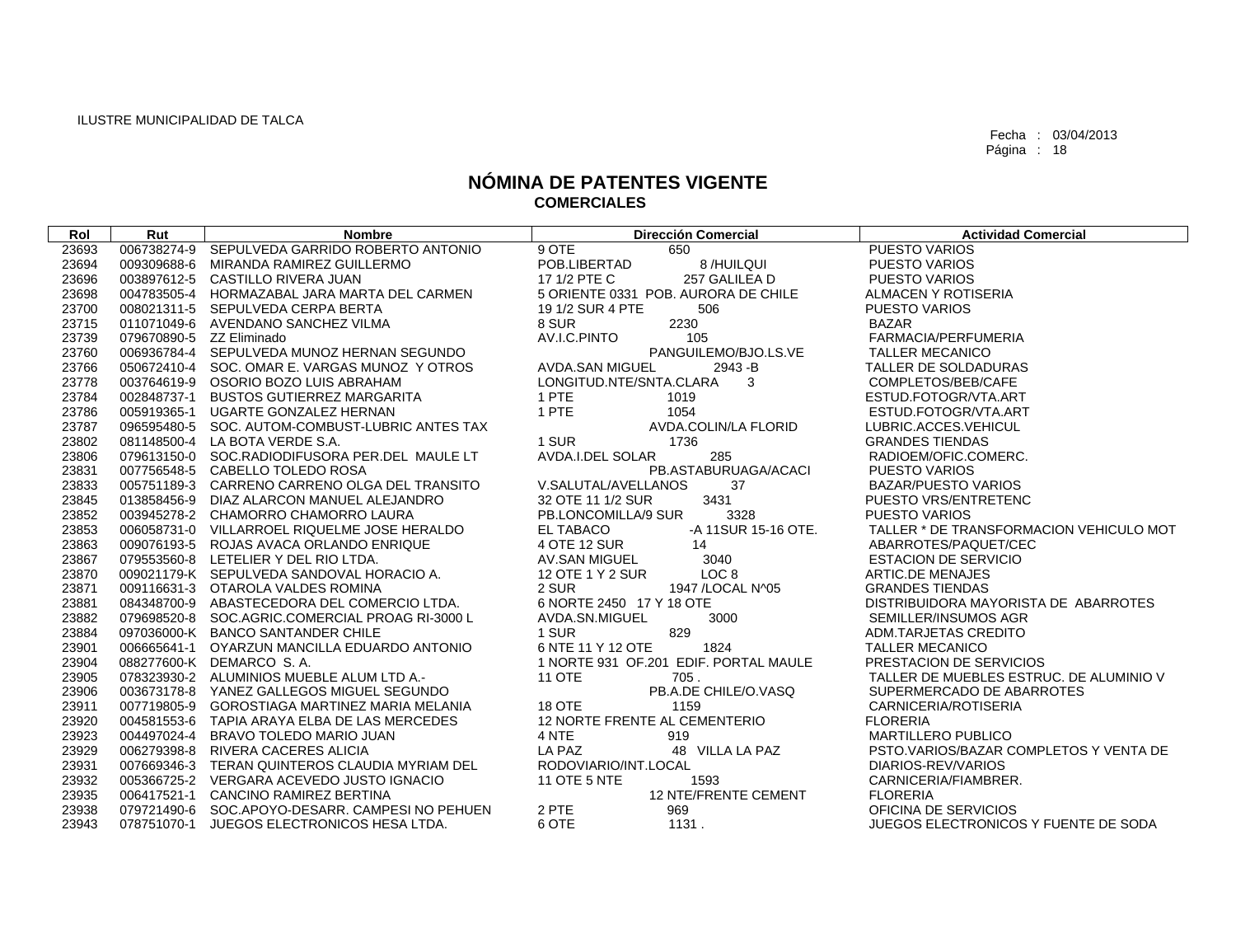| Rol            | Rut                      | <b>Nombre</b>                                                                               | <b>Dirección Comercial</b>                    | <b>Actividad Comercial</b>                                   |
|----------------|--------------------------|---------------------------------------------------------------------------------------------|-----------------------------------------------|--------------------------------------------------------------|
| 23693          |                          | 006738274-9 SEPULVEDA GARRIDO ROBERTO ANTONIO                                               | 9 OTE<br>650                                  | <b>PUESTO VARIOS</b>                                         |
| 23694          |                          | 009309688-6 MIRANDA RAMIREZ GUILLERMO                                                       | POB.LIBERTAD<br>8 /HUILQUI                    | PUESTO VARIOS                                                |
| 23696          |                          | 003897612-5 CASTILLO RIVERA JUAN                                                            | 17 1/2 PTE C<br>257 GALILEA D                 | <b>PUESTO VARIOS</b>                                         |
| 23698          |                          | 004783505-4 HORMAZABAL JARA MARTA DEL CARMEN                                                | 5 ORIENTE 0331 POB. AURORA DE CHILE           | ALMACEN Y ROTISERIA                                          |
| 23700          |                          | 008021311-5 SEPULVEDA CERPA BERTA                                                           | 19 1/2 SUR 4 PTE<br>506                       | <b>PUESTO VARIOS</b>                                         |
| 23715          |                          | 011071049-6 AVENDANO SANCHEZ VILMA                                                          | 8 SUR<br>2230                                 | BAZAR                                                        |
| 23739          | 079670890-5 ZZ Eliminado |                                                                                             | AV.I.C.PINTO<br>105                           | FARMACIA/PERFUMERIA                                          |
| 23760          |                          | 006936784-4 SEPULVEDA MUNOZ HERNAN SEGUNDO                                                  | PANGUILEMO/BJO.LS.VE                          | <b>TALLER MECANICO</b>                                       |
| 23766          |                          | 050672410-4 SOC. OMAR E. VARGAS MUNOZ Y OTROS                                               | AVDA.SAN MIGUEL<br>2943 - B                   | TALLER DE SOLDADURAS                                         |
| 23778          |                          | 003764619-9 OSORIO BOZO LUIS ABRAHAM                                                        | LONGITUD.NTE/SNTA.CLARA<br>3                  | COMPLETOS/BEB/CAFE                                           |
| 23784          |                          | 002848737-1 BUSTOS GUTIERREZ MARGARITA                                                      | 1 PTE<br>1019                                 | ESTUD.FOTOGR/VTA.ART                                         |
| 23786          |                          | 005919365-1 UGARTE GONZALEZ HERNAN                                                          | 1 PTE<br>1054                                 | ESTUD.FOTOGR/VTA.ART                                         |
| 23787          |                          | 096595480-5 SOC. AUTOM-COMBUST-LUBRIC ANTES TAX                                             | AVDA.COLIN/LA FLORID                          | LUBRIC.ACCES.VEHICUL                                         |
| 23802          |                          | 081148500-4 LA BOTA VERDE S.A.                                                              | 1 SUR<br>1736                                 | <b>GRANDES TIENDAS</b>                                       |
| 23806          |                          | 079613150-0 SOC.RADIODIFUSORA PER.DEL MAULE LT                                              | AVDA.I.DEL SOLAR<br>285                       | RADIOEM/OFIC.COMERC.                                         |
| 23831          |                          | 007756548-5 CABELLO TOLEDO ROSA                                                             | PB.ASTABURUAGA/ACACI                          | <b>PUESTO VARIOS</b>                                         |
| 23833          |                          | 005751189-3 CARRENO CARRENO OLGA DEL TRANSITO                                               | V.SALUTAL/AVELLANOS<br>37                     | <b>BAZAR/PUESTO VARIOS</b>                                   |
| 23845          |                          | 013858456-9 DIAZ ALARCON MANUEL ALEJANDRO                                                   | 3431<br>32 OTE 11 1/2 SUR                     | PUESTO VRS/ENTRETENC                                         |
| 23852          |                          | 003945278-2 CHAMORRO CHAMORRO LAURA                                                         | PB.LONCOMILLA/9 SUR<br>3328                   | <b>PUESTO VARIOS</b>                                         |
| 23853          |                          | 006058731-0 VILLARROEL RIQUELME JOSE HERALDO                                                | EL TABACO<br>-A 11SUR 15-16 OTE.              | TALLER * DE TRANSFORMACION VEHICULO MOT                      |
| 23863          |                          | 009076193-5 ROJAS AVACA ORLANDO ENRIQUE                                                     | 4 OTE 12 SUR<br>14                            | ABARROTES/PAQUET/CEC                                         |
| 23867          |                          | 079553560-8 LETELIER Y DEL RIO LTDA.                                                        | AV.SAN MIGUEL<br>3040                         | <b>ESTACION DE SERVICIO</b>                                  |
| 23870          |                          | 009021179-K SEPULVEDA SANDOVAL HORACIO A.                                                   | LOC 8<br>12 OTE 1 Y 2 SUR                     | ARTIC.DE MENAJES                                             |
| 23871          |                          | 009116631-3 OTAROLA VALDES ROMINA                                                           | 2 SUR<br>1947 / LOCAL N^05                    | <b>GRANDES TIENDAS</b>                                       |
| 23881          |                          | 084348700-9 ABASTECEDORA DEL COMERCIO LTDA.                                                 | 6 NORTE 2450 17 Y 18 OTE                      | DISTRIBUIDORA MAYORISTA DE ABARROTES                         |
| 23882          |                          | 079698520-8 SOC.AGRIC.COMERCIAL PROAG RI-3000 L                                             | AVDA.SN.MIGUEL<br>3000                        | SEMILLER/INSUMOS AGR                                         |
| 23884          |                          | 097036000-K BANCO SANTANDER CHILE                                                           | 829<br>1 SUR                                  | ADM.TARJETAS CREDITO                                         |
| 23901          |                          | 006665641-1 OYARZUN MANCILLA EDUARDO ANTONIO                                                | 6 NTE 11 Y 12 OTE<br>1824                     | <b>TALLER MECANICO</b>                                       |
| 23904          |                          | 088277600-K DEMARCO S.A.                                                                    | 1 NORTE 931 OF.201 EDIF. PORTAL MAULE         | PRESTACION DE SERVICIOS                                      |
| 23905          |                          | 078323930-2 ALUMINIOS MUEBLE ALUM LTD A.-                                                   | <b>11 OTE</b><br>705.                         | TALLER DE MUEBLES ESTRUC. DE ALUMINIO V                      |
| 23906          |                          | 003673178-8 YANEZ GALLEGOS MIGUEL SEGUNDO                                                   | PB.A.DE CHILE/O.VASQ                          | SUPERMERCADO DE ABARROTES                                    |
| 23911          |                          | 007719805-9 GOROSTIAGA MARTINEZ MARIA MELANIA                                               | 18 OTE<br>1159                                | CARNICERIA/ROTISERIA                                         |
| 23920<br>23923 |                          | 004581553-6 TAPIA ARAYA ELBA DE LAS MERCEDES<br>004497024-4 BRAVO TOLEDO MARIO JUAN         | 12 NORTE FRENTE AL CEMENTERIO<br>4 NTE<br>919 | <b>FLORERIA</b><br>MARTILLERO PUBLICO                        |
|                |                          |                                                                                             | LA PAZ                                        |                                                              |
| 23929<br>23931 |                          | 006279398-8 RIVERA CACERES ALICIA                                                           | 48 VILLA LA PAZ<br>RODOVIARIO/INT.LOCAL       | PSTO.VARIOS/BAZAR COMPLETOS Y VENTA DE<br>DIARIOS-REV/VARIOS |
| 23932          |                          | 007669346-3 TERAN QUINTEROS CLAUDIA MYRIAM DEL<br>005366725-2 VERGARA ACEVEDO JUSTO IGNACIO | <b>11 OTE 5 NTE</b><br>1593                   | CARNICERIA/FIAMBRER.                                         |
| 23935          |                          | 006417521-1 CANCINO RAMIREZ BERTINA                                                         | 12 NTE/FRENTE CEMENT                          | <b>FLORERIA</b>                                              |
| 23938          |                          | 079721490-6 SOC.APOYO-DESARR. CAMPESI NO PEHUEN                                             | 2 PTE<br>969                                  | OFICINA DE SERVICIOS                                         |
| 23943          |                          | 078751070-1 JUEGOS ELECTRONICOS HESA LTDA.                                                  | 6 OTE<br>1131.                                | JUEGOS ELECTRONICOS Y FUENTE DE SODA                         |
|                |                          |                                                                                             |                                               |                                                              |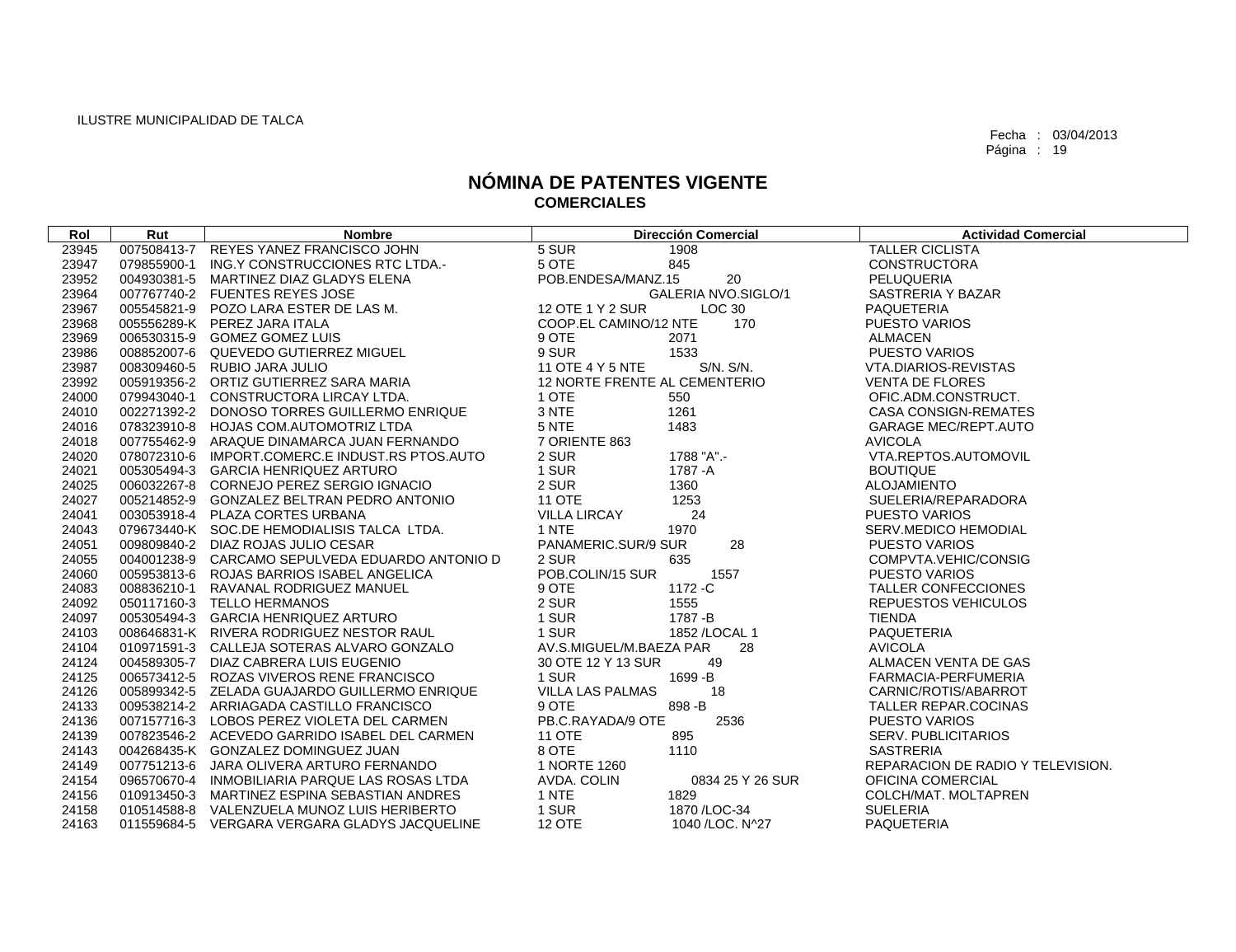| Rol   | Rut | <b>Nombre</b>                                   | <b>Dirección Comercial</b>        | <b>Actividad Comercial</b>        |
|-------|-----|-------------------------------------------------|-----------------------------------|-----------------------------------|
| 23945 |     | 007508413-7 REYES YANEZ FRANCISCO JOHN          | 5 SUR<br>1908                     | <b>TALLER CICLISTA</b>            |
| 23947 |     | 079855900-1 ING.Y CONSTRUCCIONES RTC LTDA.-     | 5 OTE<br>845                      | <b>CONSTRUCTORA</b>               |
| 23952 |     | 004930381-5 MARTINEZ DIAZ GLADYS ELENA          | POB.ENDESA/MANZ.15<br>20          | PELUQUERIA                        |
| 23964 |     | 007767740-2 FUENTES REYES JOSE                  | GALERIA NVO.SIGLO/1               | SASTRERIA Y BAZAR                 |
| 23967 |     | 005545821-9 POZO LARA ESTER DE LAS M.           | 12 OTE 1 Y 2 SUR<br>LOC 30        | PAQUETERIA                        |
| 23968 |     | 005556289-K PEREZ JARA ITALA                    | COOP.EL CAMINO/12 NTE<br>170      | PUESTO VARIOS                     |
| 23969 |     | 006530315-9 GOMEZ GOMEZ LUIS                    | 9 OTE<br>2071                     | <b>ALMACEN</b>                    |
| 23986 |     | 008852007-6 QUEVEDO GUTIERREZ MIGUEL            | 9 SUR<br>1533                     | <b>PUESTO VARIOS</b>              |
| 23987 |     | 008309460-5 RUBIO JARA JULIO                    | S/N. S/N.<br>11 OTE 4 Y 5 NTE     | VTA.DIARIOS-REVISTAS              |
| 23992 |     | 005919356-2 ORTIZ GUTIERREZ SARA MARIA          | 12 NORTE FRENTE AL CEMENTERIO     | <b>VENTA DE FLORES</b>            |
| 24000 |     | 079943040-1 CONSTRUCTORA LIRCAY LTDA.           | 1 OTE<br>550                      | OFIC.ADM.CONSTRUCT.               |
| 24010 |     | 002271392-2 DONOSO TORRES GUILLERMO ENRIQUE     | 3 NTE<br>1261                     | <b>CASA CONSIGN-REMATES</b>       |
| 24016 |     | 078323910-8 HOJAS COM.AUTOMOTRIZ LTDA           | 5 NTE<br>1483                     | <b>GARAGE MEC/REPT.AUTO</b>       |
| 24018 |     | 007755462-9 ARAQUE DINAMARCA JUAN FERNANDO      | 7 ORIENTE 863                     | <b>AVICOLA</b>                    |
| 24020 |     | 078072310-6 IMPORT.COMERC.E INDUST.RS PTOS.AUTO | 1788 "A".-<br>2 SUR               | VTA.REPTOS.AUTOMOVIL              |
| 24021 |     | 005305494-3 GARCIA HENRIQUEZ ARTURO             | 1 SUR<br>1787 -A                  | <b>BOUTIQUE</b>                   |
| 24025 |     | 006032267-8 CORNEJO PEREZ SERGIO IGNACIO        | 2 SUR<br>1360                     | <b>ALOJAMIENTO</b>                |
| 24027 |     | 005214852-9 GONZALEZ BELTRAN PEDRO ANTONIO      | <b>11 OTE</b><br>1253             | SUELERIA/REPARADORA               |
| 24041 |     | 003053918-4 PLAZA CORTES URBANA                 | <b>VILLA LIRCAY</b><br>24         | <b>PUESTO VARIOS</b>              |
| 24043 |     | 079673440-K SOC.DE HEMODIALISIS TALCA LTDA.     | 1 NTE<br>1970                     | SERV.MEDICO HEMODIAL              |
| 24051 |     | 009809840-2 DIAZ ROJAS JULIO CESAR              | PANAMERIC.SUR/9 SUR<br>28         | <b>PUESTO VARIOS</b>              |
| 24055 |     | 004001238-9 CARCAMO SEPULVEDA EDUARDO ANTONIO D | 2 SUR<br>635                      | COMPVTA.VEHIC/CONSIG              |
| 24060 |     | 005953813-6 ROJAS BARRIOS ISABEL ANGELICA       | POB.COLIN/15 SUR<br>1557          | <b>PUESTO VARIOS</b>              |
| 24083 |     | 008836210-1 RAVANAL RODRIGUEZ MANUEL            | 9 OTE<br>1172 - C                 | TALLER CONFECCIONES               |
| 24092 |     | 050117160-3 TELLO HERMANOS                      | 2 SUR<br>1555                     | <b>REPUESTOS VEHICULOS</b>        |
| 24097 |     | 005305494-3 GARCIA HENRIQUEZ ARTURO             | 1 SUR<br>1787 - B                 | <b>TIENDA</b>                     |
| 24103 |     | 008646831-K RIVERA RODRIGUEZ NESTOR RAUL        | 1 SUR<br>1852 / LOCAL 1           | PAQUETERIA                        |
| 24104 |     | 010971591-3 CALLEJA SOTERAS ALVARO GONZALO      | AV.S.MIGUEL/M.BAEZA PAR<br>28     | <b>AVICOLA</b>                    |
| 24124 |     | 004589305-7 DIAZ CABRERA LUIS EUGENIO           | 30 OTE 12 Y 13 SUR<br>49          | ALMACEN VENTA DE GAS              |
| 24125 |     | 006573412-5 ROZAS VIVEROS RENE FRANCISCO        | 1 SUR<br>1699 - B                 | FARMACIA-PERFUMERIA               |
| 24126 |     | 005899342-5 ZELADA GUAJARDO GUILLERMO ENRIQUE   | <b>VILLA LAS PALMAS</b><br>18     | CARNIC/ROTIS/ABARROT              |
| 24133 |     | 009538214-2 ARRIAGADA CASTILLO FRANCISCO        | 9 OTE<br>898-B                    | <b>TALLER REPAR.COCINAS</b>       |
| 24136 |     | 007157716-3 LOBOS PEREZ VIOLETA DEL CARMEN      | PB.C.RAYADA/9 OTE<br>2536         | <b>PUESTO VARIOS</b>              |
| 24139 |     | 007823546-2 ACEVEDO GARRIDO ISABEL DEL CARMEN   | 895<br>11 OTE                     | SERV. PUBLICITARIOS               |
| 24143 |     | 004268435-K GONZALEZ DOMINGUEZ JUAN             | 8 OTE<br>1110                     | <b>SASTRERIA</b>                  |
| 24149 |     | 007751213-6 JARA OLIVERA ARTURO FERNANDO        | 1 NORTE 1260                      | REPARACION DE RADIO Y TELEVISION. |
| 24154 |     | 096570670-4 INMOBILIARIA PARQUE LAS ROSAS LTDA  | AVDA. COLIN<br>0834 25 Y 26 SUR   | OFICINA COMERCIAL                 |
| 24156 |     | 010913450-3 MARTINEZ ESPINA SEBASTIAN ANDRES    | 1 NTE<br>1829                     | COLCH/MAT. MOLTAPREN              |
| 24158 |     | 010514588-8 VALENZUELA MUNOZ LUIS HERIBERTO     | 1 SUR<br>1870 / LOC-34            | <b>SUELERIA</b>                   |
| 24163 |     | 011559684-5 VERGARA VERGARA GLADYS JACQUELINE   | <b>12 OTE</b><br>1040 / LOC. N^27 | PAQUETERIA                        |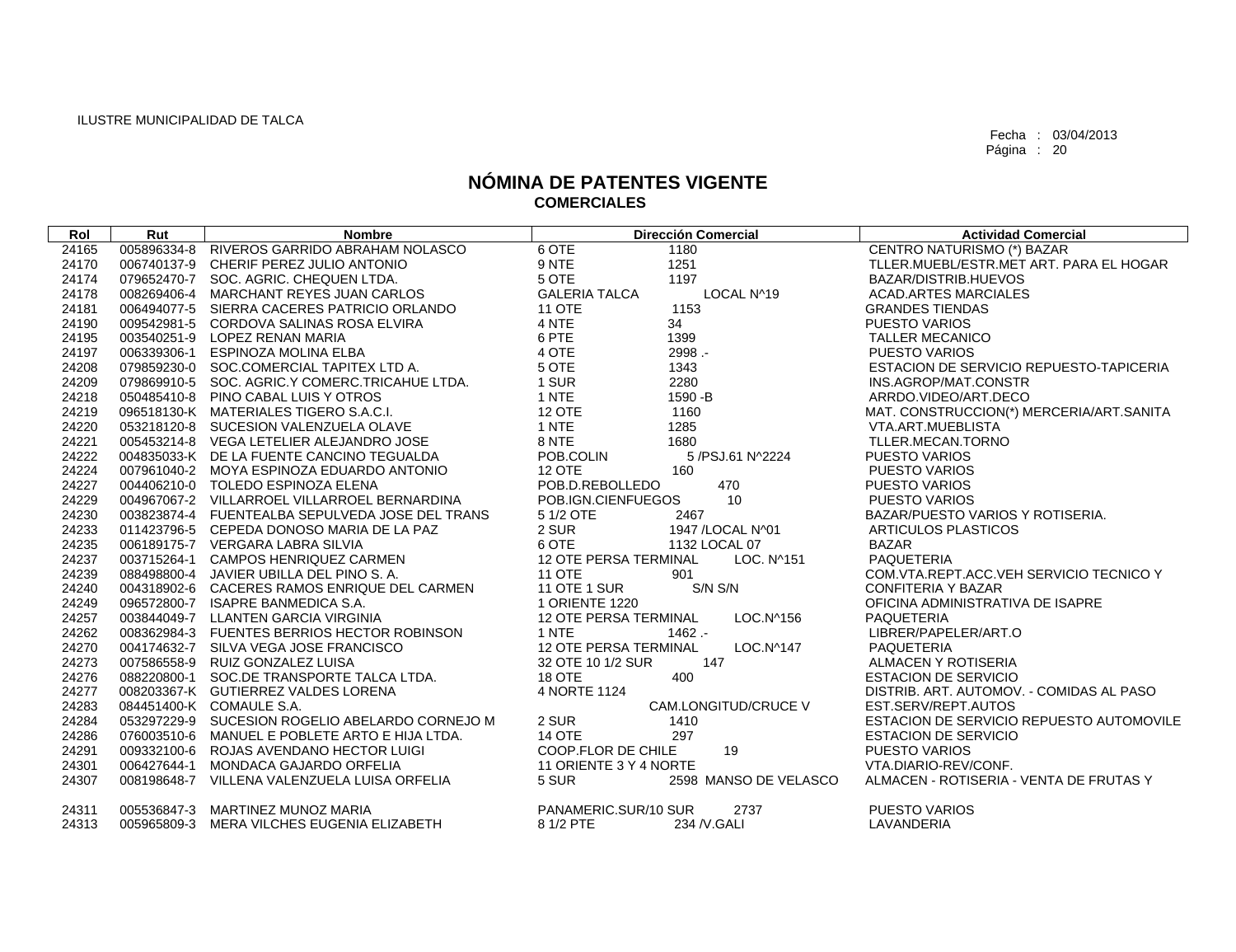| Rol   | Rut | <b>Nombre</b>                                   | <b>Dirección Comercial</b>                 | <b>Actividad Comercial</b>               |
|-------|-----|-------------------------------------------------|--------------------------------------------|------------------------------------------|
| 24165 |     | 005896334-8 RIVEROS GARRIDO ABRAHAM NOLASCO     | 6 OTE<br>1180                              | CENTRO NATURISMO (*) BAZAR               |
| 24170 |     | 006740137-9 CHERIF PEREZ JULIO ANTONIO          | 9 NTE<br>1251                              | TLLER.MUEBL/ESTR.MET ART. PARA EL HOGAR  |
| 24174 |     | 079652470-7 SOC. AGRIC. CHEQUEN LTDA.           | 5 OTE<br>1197                              | BAZAR/DISTRIB.HUEVOS                     |
| 24178 |     | 008269406-4 MARCHANT REYES JUAN CARLOS          | <b>GALERIA TALCA</b><br>LOCAL N^19         | <b>ACAD.ARTES MARCIALES</b>              |
| 24181 |     | 006494077-5 SIERRA CACERES PATRICIO ORLANDO     | <b>11 OTE</b><br>1153                      | <b>GRANDES TIENDAS</b>                   |
| 24190 |     | 009542981-5 CORDOVA SALINAS ROSA ELVIRA         | 4 NTE<br>34                                | <b>PUESTO VARIOS</b>                     |
| 24195 |     | 003540251-9 LOPEZ RENAN MARIA                   | 6 PTE<br>1399                              | <b>TALLER MECANICO</b>                   |
| 24197 |     | 006339306-1 ESPINOZA MOLINA ELBA                | 4 OTE<br>2998.-                            | <b>PUESTO VARIOS</b>                     |
| 24208 |     | 079859230-0 SOC.COMERCIAL TAPITEX LTD A.        | 5 OTE<br>1343                              | ESTACION DE SERVICIO REPUESTO-TAPICERIA  |
| 24209 |     | 079869910-5 SOC. AGRIC.Y COMERC.TRICAHUE LTDA.  | 1 SUR<br>2280                              | INS.AGROP/MAT.CONSTR                     |
| 24218 |     | 050485410-8 PINO CABAL LUIS Y OTROS             | 1 NTE<br>1590 - B                          | ARRDO.VIDEO/ART.DECO                     |
| 24219 |     | 096518130-K MATERIALES TIGERO S.A.C.I.          | 12 OTE<br>1160                             | MAT. CONSTRUCCION(*) MERCERIA/ART.SANITA |
| 24220 |     | 053218120-8 SUCESION VALENZUELA OLAVE           | 1 NTE<br>1285                              | VTA.ART.MUEBLISTA                        |
| 24221 |     | 005453214-8 VEGA LETELIER ALEJANDRO JOSE        | 8 NTE<br>1680                              | TLLER.MECAN.TORNO                        |
| 24222 |     | 004835033-K DE LA FUENTE CANCINO TEGUALDA       | POB.COLIN<br>5 /PSJ.61 N^2224              | <b>PUESTO VARIOS</b>                     |
| 24224 |     | 007961040-2 MOYA ESPINOZA EDUARDO ANTONIO       | <b>12 OTE</b><br>160                       | <b>PUESTO VARIOS</b>                     |
| 24227 |     | 004406210-0 TOLEDO ESPINOZA ELENA               | POB.D.REBOLLEDO<br>470                     | <b>PUESTO VARIOS</b>                     |
| 24229 |     | 004967067-2 VILLARROEL VILLARROEL BERNARDINA    | 10<br>POB.IGN.CIENFUEGOS                   | <b>PUESTO VARIOS</b>                     |
| 24230 |     | 003823874-4 FUENTEALBA SEPULVEDA JOSE DEL TRANS | 5 1/2 OTE<br>2467                          | BAZAR/PUESTO VARIOS Y ROTISERIA.         |
| 24233 |     | 011423796-5 CEPEDA DONOSO MARIA DE LA PAZ       | 2 SUR<br>1947 / LOCAL N^01                 | ARTICULOS PLASTICOS                      |
| 24235 |     | 006189175-7 VERGARA LABRA SILVIA                | 6 OTE<br>1132 LOCAL 07                     | <b>BAZAR</b>                             |
| 24237 |     | 003715264-1 CAMPOS HENRIQUEZ CARMEN             | <b>12 OTE PERSA TERMINAL</b><br>LOC. N^151 | PAQUETERIA                               |
| 24239 |     | 088498800-4 JAVIER UBILLA DEL PINO S.A.         | <b>11 OTE</b><br>901                       | COM.VTA.REPT.ACC.VEH SERVICIO TECNICO Y  |
| 24240 |     | 004318902-6 CACERES RAMOS ENRIQUE DEL CARMEN    | S/N S/N<br><b>11 OTE 1 SUR</b>             | CONFITERIA Y BAZAR                       |
| 24249 |     | 096572800-7 ISAPRE BANMEDICA S.A.               | 1 ORIENTE 1220                             | OFICINA ADMINISTRATIVA DE ISAPRE         |
| 24257 |     | 003844049-7 LLANTEN GARCIA VIRGINIA             | LOC.N^156<br><b>12 OTE PERSA TERMINAL</b>  | <b>PAQUETERIA</b>                        |
| 24262 |     | 008362984-3 FUENTES BERRIOS HECTOR ROBINSON     | 1 NTE<br>1462.-                            | LIBRER/PAPELER/ART.O                     |
| 24270 |     | 004174632-7 SILVA VEGA JOSE FRANCISCO           | <b>12 OTE PERSA TERMINAL</b><br>LOC.N^147  | PAQUETERIA                               |
| 24273 |     | 007586558-9 RUIZ GONZALEZ LUISA                 | 32 OTE 10 1/2 SUR<br>147                   | ALMACEN Y ROTISERIA                      |
| 24276 |     | 088220800-1 SOC.DE TRANSPORTE TALCA LTDA.       | 400<br>18 OTE                              | <b>ESTACION DE SERVICIO</b>              |
| 24277 |     | 008203367-K GUTIERREZ VALDES LORENA             | 4 NORTE 1124                               | DISTRIB. ART. AUTOMOV. - COMIDAS AL PASO |
| 24283 |     | 084451400-K COMAULE S.A.                        | <b>CAM.LONGITUD/CRUCE V</b>                | EST.SERV/REPT.AUTOS                      |
| 24284 |     | 053297229-9 SUCESION ROGELIO ABELARDO CORNEJO M | 2 SUR<br>1410                              | ESTACION DE SERVICIO REPUESTO AUTOMOVILE |
| 24286 |     | 076003510-6 MANUEL E POBLETE ARTO E HIJA LTDA.  | 14 OTE<br>297                              | <b>ESTACION DE SERVICIO</b>              |
| 24291 |     | 009332100-6 ROJAS AVENDANO HECTOR LUIGI         | 19<br>COOP.FLOR DE CHILE                   | <b>PUESTO VARIOS</b>                     |
| 24301 |     | 006427644-1 MONDACA GAJARDO ORFELIA             | 11 ORIENTE 3 Y 4 NORTE                     | VTA.DIARIO-REV/CONF.                     |
| 24307 |     | 008198648-7 VILLENA VALENZUELA LUISA ORFELIA    | 5 SUR<br>2598 MANSO DE VELASCO             | ALMACEN - ROTISERIA - VENTA DE FRUTAS Y  |
| 24311 |     | 005536847-3 MARTINEZ MUNOZ MARIA                | PANAMERIC.SUR/10 SUR<br>2737               | <b>PUESTO VARIOS</b>                     |
| 24313 |     | 005965809-3 MERA VILCHES EUGENIA ELIZABETH      | 8 1/2 PTE<br>234 / V.GALI                  | LAVANDERIA                               |
|       |     |                                                 |                                            |                                          |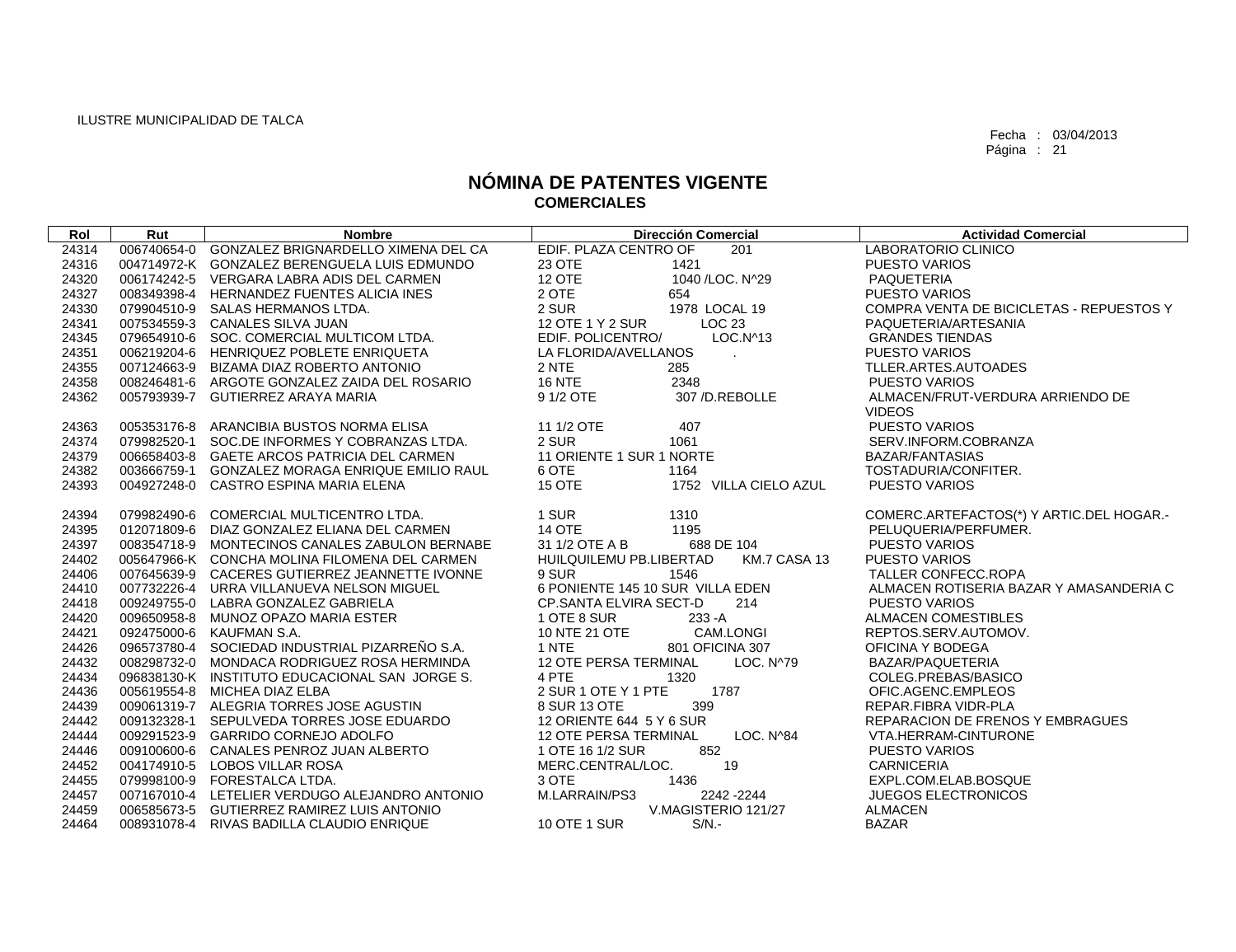| Rol   | Rut | <b>Nombre</b>                                                                                                                                                                                  | <b>Dirección Comercial</b>                | <b>Actividad Comercial</b>               |
|-------|-----|------------------------------------------------------------------------------------------------------------------------------------------------------------------------------------------------|-------------------------------------------|------------------------------------------|
| 24314 |     | 006740654-0 GONZALEZ BRIGNARDELLO XIMENA DEL CA                                                                                                                                                | EDIF. PLAZA CENTRO OF<br>201              | LABORATORIO CLINICO                      |
| 24316 |     | 004714972-K GONZALEZ BERENGUELA LUIS EDMUNDO                                                                                                                                                   | 23 OTE<br>1421                            | <b>PUESTO VARIOS</b>                     |
| 24320 |     | 006174242-5 VERGARA LABRA ADIS DEL CARMEN                                                                                                                                                      | 12 OTE<br>1040 / LOC. N^29                | PAQUETERIA                               |
| 24327 |     | 008349398-4 HERNANDEZ FUENTES ALICIA INES                                                                                                                                                      | 2 OTE<br>654                              | <b>PUESTO VARIOS</b>                     |
| 24330 |     | 079904510-9 SALAS HERMANOS LTDA.                                                                                                                                                               | 2 SUR<br>1978 LOCAL 19                    | COMPRA VENTA DE BICICLETAS - REPUESTOS Y |
| 24341 |     | 007534559-3 CANALES SILVA JUAN                                                                                                                                                                 | 12 OTE 1 Y 2 SUR<br>LOC <sub>23</sub>     | PAQUETERIA/ARTESANIA                     |
| 24345 |     | 079654910-6 SOC. COMERCIAL MULTICOM LTDA.                                                                                                                                                      | EDIF. POLICENTRO/<br>LOC.N^13             | <b>GRANDES TIENDAS</b>                   |
| 24351 |     | 006219204-6 HENRIQUEZ POBLETE ENRIQUETA                                                                                                                                                        | LA FLORIDA/AVELLANOS<br>$\mathbf{r}$      | <b>PUESTO VARIOS</b>                     |
| 24355 |     | 007124663-9 BIZAMA DIAZ ROBERTO ANTONIO                                                                                                                                                        | 2 NTE<br>285                              | TLLER.ARTES.AUTOADES                     |
| 24358 |     | 008246481-6 ARGOTE GONZALEZ ZAIDA DEL ROSARIO                                                                                                                                                  | 16 NTE<br>2348                            | <b>PUESTO VARIOS</b>                     |
| 24362 |     | 005793939-7 GUTIERREZ ARAYA MARIA                                                                                                                                                              | 9 1/2 OTE<br>307 /D.REBOLLE               | ALMACEN/FRUT-VERDURA ARRIENDO DE         |
|       |     |                                                                                                                                                                                                |                                           | <b>VIDEOS</b>                            |
| 24363 |     | 005353176-8 ARANCIBIA BUSTOS NORMA ELISA                                                                                                                                                       | 11 1/2 OTE<br>407                         | <b>PUESTO VARIOS</b>                     |
| 24374 |     | 079982520-1 SOC.DE INFORMES Y COBRANZAS LTDA.                                                                                                                                                  | 2 SUR<br>1061                             | SERV.INFORM.COBRANZA                     |
| 24379 |     | 006658403-8 GAETE ARCOS PATRICIA DEL CARMEN                                                                                                                                                    | 11 ORIENTE 1 SUR 1 NORTE                  | <b>BAZAR/FANTASIAS</b>                   |
| 24382 |     | 003666759-1 GONZALEZ MORAGA ENRIQUE EMILIO RAUL                                                                                                                                                | 6 OTE<br>1164                             | TOSTADURIA/CONFITER.                     |
| 24393 |     | 004927248-0 CASTRO ESPINA MARIA ELENA                                                                                                                                                          | <b>15 OTE</b><br>1752 VILLA CIELO AZUL    | <b>PUESTO VARIOS</b>                     |
|       |     |                                                                                                                                                                                                |                                           |                                          |
| 24394 |     | 079982490-6 COMERCIAL MULTICENTRO LTDA.                                                                                                                                                        | 1 SUR<br>1310                             | COMERC.ARTEFACTOS(*) Y ARTIC.DEL HOGAR.- |
| 24395 |     | 012071809-6 DIAZ GONZALEZ ELIANA DEL CARMEN                                                                                                                                                    | 14 OTE<br>1195                            | PELUQUERIA/PERFUMER.                     |
| 24397 |     | 008354718-9 MONTECINOS CANALES ZABULON BERNABE<br>005647966-K CONCHA MOLINA FILOMENA DEL CARMEN<br>007645639-9 CACERES GUTIERREZ JEANNETTE IVONNE<br>007732226-4 URRA VILLANUEVA NELSON MIGUEL | 31 1/2 OTE A B<br>688 DE 104              | PUESTO VARIOS                            |
| 24402 |     |                                                                                                                                                                                                | HUILQUILEMU PB.LIBERTAD<br>KM.7 CASA 13   | PUESTO VARIOS                            |
| 24406 |     |                                                                                                                                                                                                | 9 SUR<br>1546                             | <b>TALLER CONFECC.ROPA</b>               |
| 24410 |     |                                                                                                                                                                                                | 6 PONIENTE 145 10 SUR VILLA EDEN          | ALMACEN ROTISERIA BAZAR Y AMASANDERIA C  |
| 24418 |     | 009249755-0 LABRA GONZALEZ GABRIELA                                                                                                                                                            | CP.SANTA ELVIRA SECT-D<br>214             | <b>PUESTO VARIOS</b>                     |
| 24420 |     | 009650958-8 MUNOZ OPAZO MARIA ESTER                                                                                                                                                            | 1 OTE 8 SUR<br>$233 - A$                  | <b>ALMACEN COMESTIBLES</b>               |
| 24421 |     | 092475000-6 KAUFMAN S.A.                                                                                                                                                                       | 10 NTE 21 OTE<br>CAM.LONGI                | REPTOS.SERV.AUTOMOV.                     |
| 24426 |     | 096573780-4 SOCIEDAD INDUSTRIAL PIZARREÑO S.A.                                                                                                                                                 | 1 NTE<br>801 OFICINA 307                  | OFICINA Y BODEGA                         |
| 24432 |     | 008298732-0 MONDACA RODRIGUEZ ROSA HERMINDA                                                                                                                                                    | 12 OTE PERSA TERMINAL<br>LOC. N^79        | BAZAR/PAQUETERIA                         |
| 24434 |     | 096838130-K INSTITUTO EDUCACIONAL SAN JORGE S.                                                                                                                                                 | 4 PTE<br>1320                             | COLEG.PREBAS/BASICO                      |
| 24436 |     | 005619554-8 MICHEA DIAZ ELBA                                                                                                                                                                   | 2 SUR 1 OTE Y 1 PTE<br>1787               | OFIC.AGENC.EMPLEOS                       |
| 24439 |     | 009061319-7 ALEGRIA TORRES JOSE AGUSTIN                                                                                                                                                        | 8 SUR 13 OTE<br>399                       | REPAR.FIBRA VIDR-PLA                     |
| 24442 |     | 009132328-1 SEPULVEDA TORRES JOSE EDUARDO                                                                                                                                                      | 12 ORIENTE 644 5 Y 6 SUR                  | <b>REPARACION DE FRENOS Y EMBRAGUES</b>  |
| 24444 |     | 009291523-9 GARRIDO CORNEJO ADOLFO                                                                                                                                                             | <b>12 OTE PERSA TERMINAL</b><br>LOC. N^84 | VTA.HERRAM-CINTURONE                     |
| 24446 |     | 009100600-6 CANALES PENROZ JUAN ALBERTO                                                                                                                                                        | 1 OTE 16 1/2 SUR<br>852                   | PUESTO VARIOS                            |
| 24452 |     | 004174910-5 LOBOS VILLAR ROSA                                                                                                                                                                  | 19<br>MERC.CENTRAL/LOC.                   | <b>CARNICERIA</b>                        |
| 24455 |     | 079998100-9 FORESTALCA LTDA.                                                                                                                                                                   | 3 OTE<br>1436                             | EXPL.COM.ELAB.BOSQUE                     |
| 24457 |     | 007167010-4 LETELIER VERDUGO ALEJANDRO ANTONIO                                                                                                                                                 | M.LARRAIN/PS3<br>2242 - 2244              | <b>JUEGOS ELECTRONICOS</b>               |
| 24459 |     | 006585673-5 GUTIERREZ RAMIREZ LUIS ANTONIO                                                                                                                                                     | V.MAGISTERIO 121/27                       | <b>ALMACEN</b>                           |
| 24464 |     | 008931078-4 RIVAS BADILLA CLAUDIO ENRIQUE                                                                                                                                                      | 10 OTE 1 SUR<br>$S/N$ .                   | <b>BAZAR</b>                             |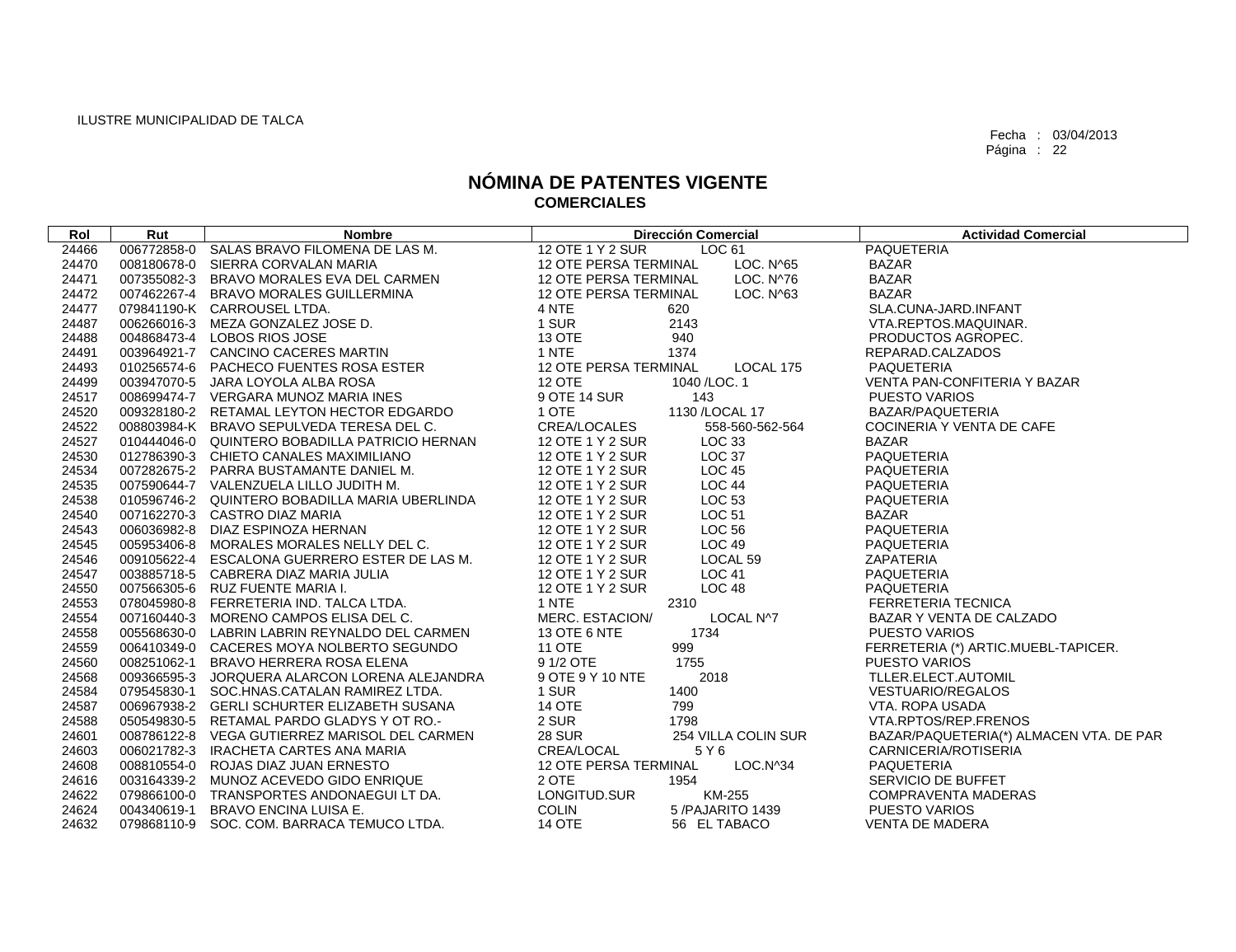| Rol   | Rut | <b>Nombre</b>                                  | <b>Dirección Comercial</b>                | <b>Actividad Comercial</b>              |
|-------|-----|------------------------------------------------|-------------------------------------------|-----------------------------------------|
| 24466 |     | 006772858-0 SALAS BRAVO FILOMENA DE LAS M.     | 12 OTE 1 Y 2 SUR<br>LOC 61                | <b>PAQUETERIA</b>                       |
| 24470 |     | 008180678-0 SIERRA CORVALAN MARIA              | LOC. N^65<br>12 OTE PERSA TERMINAL        | <b>BAZAR</b>                            |
| 24471 |     | 007355082-3 BRAVO MORALES EVA DEL CARMEN       | LOC. N^76<br>12 OTE PERSA TERMINAL        | <b>BAZAR</b>                            |
| 24472 |     | 007462267-4 BRAVO MORALES GUILLERMINA          | <b>12 OTE PERSA TERMINAL</b><br>LOC. N^63 | <b>BAZAR</b>                            |
| 24477 |     | 079841190-K CARROUSEL LTDA.                    | 4 NTE<br>620                              | SLA.CUNA-JARD.INFANT                    |
| 24487 |     | 006266016-3 MEZA GONZALEZ JOSE D.              | 1 SUR<br>2143                             | VTA.REPTOS.MAQUINAR.                    |
| 24488 |     | 004868473-4 LOBOS RIOS JOSE                    | 13 OTE<br>940                             | PRODUCTOS AGROPEC.                      |
| 24491 |     | 003964921-7 CANCINO CACERES MARTIN             | 1 NTE<br>1374                             | REPARAD.CALZADOS                        |
| 24493 |     | 010256574-6 PACHECO FUENTES ROSA ESTER         | LOCAL 175<br><b>12 OTE PERSA TERMINAL</b> | <b>PAQUETERIA</b>                       |
| 24499 |     | 003947070-5 JARA LOYOLA ALBA ROSA              | <b>12 OTE</b><br>1040 / LOC. 1            | <b>VENTA PAN-CONFITERIA Y BAZAR</b>     |
| 24517 |     | 008699474-7 VERGARA MUNOZ MARIA INES           | 9 OTE 14 SUR<br>143                       | <b>PUESTO VARIOS</b>                    |
| 24520 |     | 009328180-2 RETAMAL LEYTON HECTOR EDGARDO      | 1130 / LOCAL 17<br>1 OTE                  | BAZAR/PAQUETERIA                        |
| 24522 |     | 008803984-K BRAVO SEPULVEDA TERESA DEL C.      | CREA/LOCALES<br>558-560-562-564           | COCINERIA Y VENTA DE CAFE               |
| 24527 |     | 010444046-0 QUINTERO BOBADILLA PATRICIO HERNAN | 12 OTE 1 Y 2 SUR<br>LOC 33                | <b>BAZAR</b>                            |
| 24530 |     | 012786390-3 CHIETO CANALES MAXIMILIANO         | <b>LOC 37</b><br>12 OTE 1 Y 2 SUR         | <b>PAQUETERIA</b>                       |
| 24534 |     | 007282675-2 PARRA BUSTAMANTE DANIEL M.         | 12 OTE 1 Y 2 SUR<br><b>LOC 45</b>         | PAQUETERIA                              |
| 24535 |     | 007590644-7 VALENZUELA LILLO JUDITH M.         | 12 OTE 1 Y 2 SUR<br>LOC 44                | PAQUETERIA                              |
| 24538 |     | 010596746-2 QUINTERO BOBADILLA MARIA UBERLINDA | 12 OTE 1 Y 2 SUR<br>LOC 53                | PAQUETERIA                              |
| 24540 |     | 007162270-3 CASTRO DIAZ MARIA                  | LOC 51<br>12 OTE 1 Y 2 SUR                | <b>BAZAR</b>                            |
| 24543 |     | 006036982-8 DIAZ ESPINOZA HERNAN               | LOC 56<br>12 OTE 1 Y 2 SUR                | <b>PAQUETERIA</b>                       |
| 24545 |     | 005953406-8 MORALES MORALES NELLY DEL C.       | 12 OTE 1 Y 2 SUR<br>LOC 49                | <b>PAQUETERIA</b>                       |
| 24546 |     | 009105622-4 ESCALONA GUERRERO ESTER DE LAS M.  | 12 OTE 1 Y 2 SUR<br>LOCAL 59              | ZAPATERIA                               |
| 24547 |     | 003885718-5 CABRERA DIAZ MARIA JULIA           | 12 OTE 1 Y 2 SUR<br><b>LOC 41</b>         | PAQUETERIA                              |
| 24550 |     | 007566305-6 RUZ FUENTE MARIA I.                | LOC 48<br>12 OTE 1 Y 2 SUR                | PAQUETERIA                              |
| 24553 |     | 078045980-8 FERRETERIA IND. TALCA LTDA.        | 1 NTE<br>2310                             | <b>FERRETERIA TECNICA</b>               |
| 24554 |     | 007160440-3 MORENO CAMPOS ELISA DEL C.         | MERC. ESTACION/<br>LOCAL N^7              | BAZAR Y VENTA DE CALZADO                |
| 24558 |     | 005568630-0 LABRIN LABRIN REYNALDO DEL CARMEN  | 13 OTE 6 NTE<br>1734                      | <b>PUESTO VARIOS</b>                    |
| 24559 |     | 006410349-0 CACERES MOYA NOLBERTO SEGUNDO      | 999<br><b>11 OTE</b>                      | FERRETERIA (*) ARTIC.MUEBL-TAPICER.     |
| 24560 |     | 008251062-1 BRAVO HERRERA ROSA ELENA           | 9 1/2 OTE<br>1755                         | <b>PUESTO VARIOS</b>                    |
| 24568 |     | 009366595-3 JORQUERA ALARCON LORENA ALEJANDRA  | 2018<br>9 OTE 9 Y 10 NTE                  | TLLER.ELECT.AUTOMIL                     |
| 24584 |     | 079545830-1 SOC.HNAS.CATALAN RAMIREZ LTDA.     | 1 SUR<br>1400                             | <b>VESTUARIO/REGALOS</b>                |
| 24587 |     | 006967938-2 GERLI SCHURTER ELIZABETH SUSANA    | 14 OTE<br>799                             | VTA. ROPA USADA                         |
| 24588 |     | 050549830-5 RETAMAL PARDO GLADYS Y OT RO.-     | 2 SUR<br>1798                             | VTA.RPTOS/REP.FRENOS                    |
| 24601 |     | 008786122-8 VEGA GUTIERREZ MARISOL DEL CARMEN  | <b>28 SUR</b><br>254 VILLA COLIN SUR      | BAZAR/PAQUETERIA(*) ALMACEN VTA. DE PAR |
| 24603 |     | 006021782-3 IRACHETA CARTES ANA MARIA          | CREA/LOCAL<br>5 Y 6                       | CARNICERIA/ROTISERIA                    |
| 24608 |     | 008810554-0 ROJAS DIAZ JUAN ERNESTO            | 12 OTE PERSA TERMINAL<br>LOC.N^34         | <b>PAQUETERIA</b>                       |
| 24616 |     | 003164339-2 MUNOZ ACEVEDO GIDO ENRIQUE         | 2 OTE<br>1954                             | SERVICIO DE BUFFET                      |
| 24622 |     | 079866100-0 TRANSPORTES ANDONAEGUI LT DA.      | LONGITUD.SUR<br>KM-255                    | <b>COMPRAVENTA MADERAS</b>              |
| 24624 |     | 004340619-1 BRAVO ENCINA LUISA E.              | <b>COLIN</b><br>5/PAJARITO 1439           | <b>PUESTO VARIOS</b>                    |
| 24632 |     | 079868110-9 SOC. COM. BARRACA TEMUCO LTDA.     | <b>14 OTE</b><br>56 EL TABACO             | <b>VENTA DE MADERA</b>                  |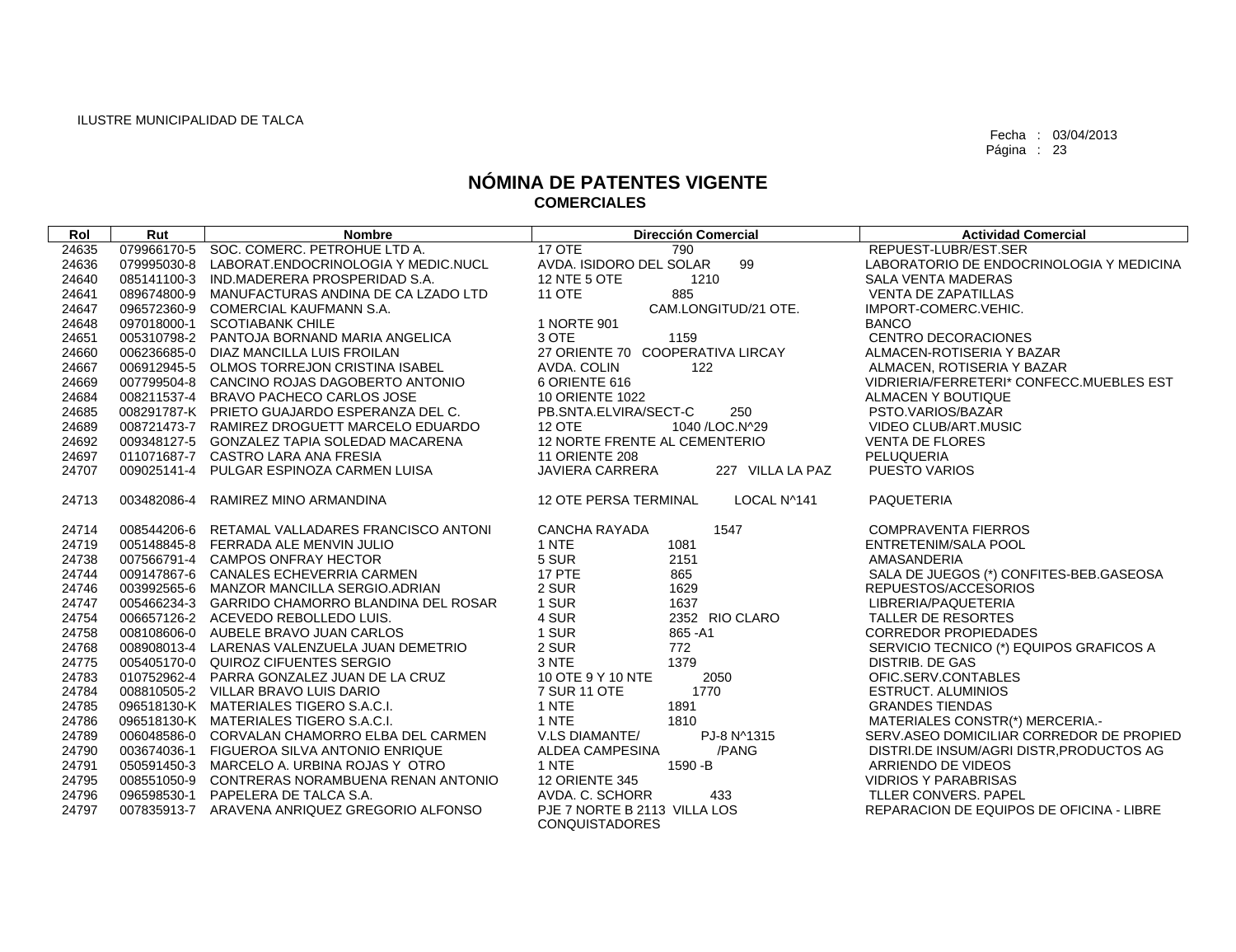| Rol   | Rut         | <b>Nombre</b>                                   | <b>Dirección Comercial</b>                            | <b>Actividad Comercial</b>               |
|-------|-------------|-------------------------------------------------|-------------------------------------------------------|------------------------------------------|
| 24635 |             | 079966170-5 SOC. COMERC. PETROHUE LTD A.        | 17 OTE<br>790                                         | REPUEST-LUBR/EST.SER                     |
| 24636 | 079995030-8 | LABORAT.ENDOCRINOLOGIA Y MEDIC.NUCL             | 99<br>AVDA. ISIDORO DEL SOLAR                         | LABORATORIO DE ENDOCRINOLOGIA Y MEDICINA |
| 24640 | 085141100-3 | IND.MADERERA PROSPERIDAD S.A.                   | 12 NTE 5 OTE<br>1210                                  | <b>SALA VENTA MADERAS</b>                |
| 24641 |             | 089674800-9 MANUFACTURAS ANDINA DE CA LZADO LTD | <b>11 OTE</b><br>885                                  | <b>VENTA DE ZAPATILLAS</b>               |
| 24647 |             | 096572360-9 COMERCIAL KAUFMANN S.A.             | CAM.LONGITUD/21 OTE.                                  | IMPORT-COMERC.VEHIC.                     |
| 24648 | 097018000-1 | <b>SCOTIABANK CHILE</b>                         | 1 NORTE 901                                           | <b>BANCO</b>                             |
| 24651 |             | 005310798-2 PANTOJA BORNAND MARIA ANGELICA      | 3 OTE<br>1159                                         | CENTRO DECORACIONES                      |
| 24660 |             | 006236685-0 DIAZ MANCILLA LUIS FROILAN          | 27 ORIENTE 70 COOPERATIVA LIRCAY                      | ALMACEN-ROTISERIA Y BAZAR                |
| 24667 |             | 006912945-5 OLMOS TORREJON CRISTINA ISABEL      | AVDA, COLIN<br>122                                    | ALMACEN, ROTISERIA Y BAZAR               |
| 24669 |             | 007799504-8 CANCINO ROJAS DAGOBERTO ANTONIO     | 6 ORIENTE 616                                         | VIDRIERIA/FERRETERI* CONFECC.MUEBLES EST |
| 24684 |             | 008211537-4 BRAVO PACHECO CARLOS JOSE           | 10 ORIENTE 1022                                       | ALMACEN Y BOUTIQUE                       |
| 24685 |             | 008291787-K PRIETO GUAJARDO ESPERANZA DEL C.    | PB.SNTA.ELVIRA/SECT-C<br>250                          | PSTO.VARIOS/BAZAR                        |
| 24689 |             | 008721473-7 RAMIREZ DROGUETT MARCELO EDUARDO    | <b>12 OTE</b><br>1040 / LOC. N^29                     | VIDEO CLUB/ART.MUSIC                     |
| 24692 |             | 009348127-5 GONZALEZ TAPIA SOLEDAD MACARENA     | 12 NORTE FRENTE AL CEMENTERIO                         | <b>VENTA DE FLORES</b>                   |
| 24697 |             | 011071687-7 CASTRO LARA ANA FRESIA              | <b>11 ORIENTE 208</b>                                 | PELUQUERIA                               |
| 24707 | 009025141-4 | PULGAR ESPINOZA CARMEN LUISA                    | 227 VILLA LA PAZ<br><b>JAVIERA CARRERA</b>            | <b>PUESTO VARIOS</b>                     |
| 24713 | 003482086-4 | RAMIREZ MINO ARMANDINA                          | <b>12 OTE PERSA TERMINAL</b><br>LOCAL N^141           | <b>PAQUETERIA</b>                        |
| 24714 |             | 008544206-6 RETAMAL VALLADARES FRANCISCO ANTONI | <b>CANCHA RAYADA</b><br>1547                          | <b>COMPRAVENTA FIERROS</b>               |
| 24719 |             | 005148845-8 FERRADA ALE MENVIN JULIO            | 1 NTE<br>1081                                         | ENTRETENIM/SALA POOL                     |
| 24738 |             | 007566791-4 CAMPOS ONFRAY HECTOR                | 5 SUR<br>2151                                         | AMASANDERIA                              |
| 24744 |             | 009147867-6 CANALES ECHEVERRIA CARMEN           | 17 PTE<br>865                                         | SALA DE JUEGOS (*) CONFITES-BEB.GASEOSA  |
| 24746 |             | 003992565-6 MANZOR MANCILLA SERGIO.ADRIAN       | 2 SUR<br>1629                                         | REPUESTOS/ACCESORIOS                     |
| 24747 |             | 005466234-3 GARRIDO CHAMORRO BLANDINA DEL ROSAR | 1 SUR<br>1637                                         | LIBRERIA/PAQUETERIA                      |
| 24754 |             | 006657126-2 ACEVEDO REBOLLEDO LUIS.             | 4 SUR<br>2352 RIO CLARO                               | TALLER DE RESORTES                       |
| 24758 |             | 008108606-0 AUBELE BRAVO JUAN CARLOS            | 1 SUR<br>865-A1                                       | <b>CORREDOR PROPIEDADES</b>              |
| 24768 |             | 008908013-4 LARENAS VALENZUELA JUAN DEMETRIO    | 2 SUR<br>772                                          | SERVICIO TECNICO (*) EQUIPOS GRAFICOS A  |
| 24775 |             | 005405170-0 QUIROZ CIFUENTES SERGIO             | 1379<br>3 NTE                                         | <b>DISTRIB. DE GAS</b>                   |
| 24783 |             | 010752962-4 PARRA GONZALEZ JUAN DE LA CRUZ      | 10 OTE 9 Y 10 NTE<br>2050                             | OFIC.SERV.CONTABLES                      |
| 24784 |             | 008810505-2 VILLAR BRAVO LUIS DARIO             | 1770<br>7 SUR 11 OTE                                  | <b>ESTRUCT. ALUMINIOS</b>                |
| 24785 |             | 096518130-K MATERIALES TIGERO S.A.C.I.          | 1 NTE<br>1891                                         | <b>GRANDES TIENDAS</b>                   |
| 24786 |             | 096518130-K MATERIALES TIGERO S.A.C.I.          | 1 NTE<br>1810                                         | MATERIALES CONSTR(*) MERCERIA.-          |
| 24789 |             | 006048586-0 CORVALAN CHAMORRO ELBA DEL CARMEN   | V.LS DIAMANTE/<br>PJ-8 N^1315                         | SERV.ASEO DOMICILIAR CORREDOR DE PROPIED |
| 24790 |             | 003674036-1 FIGUEROA SILVA ANTONIO ENRIQUE      | /PANG<br>ALDEA CAMPESINA                              | DISTRI.DE INSUM/AGRI DISTR, PRODUCTOS AG |
| 24791 |             | 050591450-3 MARCELO A. URBINA ROJAS Y OTRO      | 1 NTE<br>1590 - B                                     | ARRIENDO DE VIDEOS                       |
| 24795 |             | 008551050-9 CONTRERAS NORAMBUENA RENAN ANTONIO  | 12 ORIENTE 345                                        | <b>VIDRIOS Y PARABRISAS</b>              |
| 24796 |             | 096598530-1 PAPELERA DE TALCA S.A.              | AVDA. C. SCHORR<br>433                                | <b>TLLER CONVERS, PAPEL</b>              |
| 24797 |             | 007835913-7 ARAVENA ANRIQUEZ GREGORIO ALFONSO   | PJE 7 NORTE B 2113 VILLA LOS<br><b>CONQUISTADORES</b> | REPARACION DE EQUIPOS DE OFICINA - LIBRE |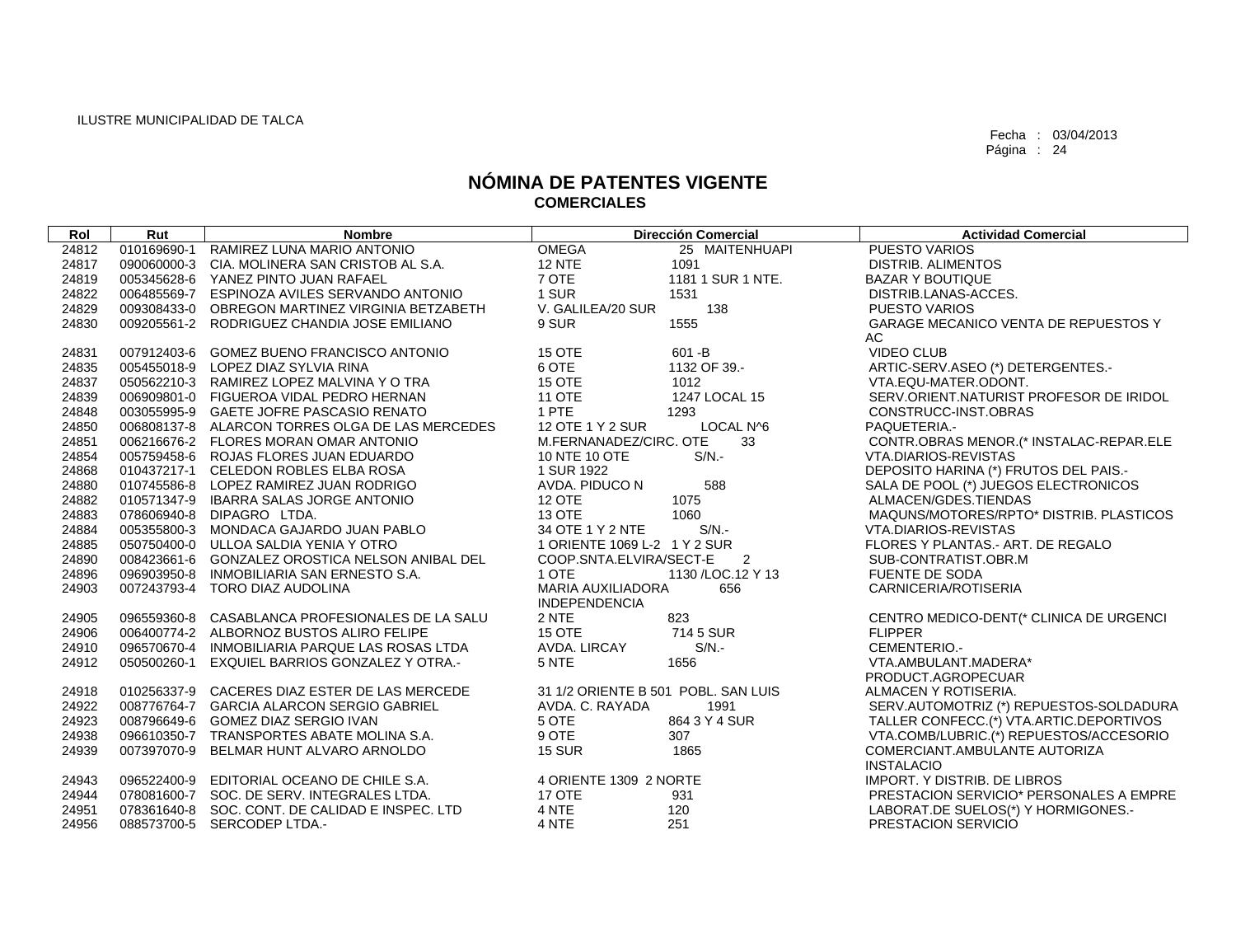| Rol   | Rut         | <b>Nombre</b>                                   |                              | <b>Dirección Comercial</b>          | <b>Actividad Comercial</b>              |
|-------|-------------|-------------------------------------------------|------------------------------|-------------------------------------|-----------------------------------------|
| 24812 | 010169690-1 | RAMIREZ LUNA MARIO ANTONIO                      | <b>OMEGA</b>                 | 25 MAITENHUAPI                      | <b>PUESTO VARIOS</b>                    |
| 24817 | 090060000-3 | CIA. MOLINERA SAN CRISTOB AL S.A.               | <b>12 NTE</b>                | 1091                                | DISTRIB. ALIMENTOS                      |
| 24819 | 005345628-6 | YANEZ PINTO JUAN RAFAEL                         | 7 OTE                        | 1181 1 SUR 1 NTE.                   | <b>BAZAR Y BOUTIQUE</b>                 |
| 24822 |             | 006485569-7 ESPINOZA AVILES SERVANDO ANTONIO    | 1 SUR                        | 1531                                | DISTRIB.LANAS-ACCES.                    |
| 24829 |             | 009308433-0 OBREGON MARTINEZ VIRGINIA BETZABETH | V. GALILEA/20 SUR            | 138                                 | <b>PUESTO VARIOS</b>                    |
| 24830 |             | 009205561-2 RODRIGUEZ CHANDIA JOSE EMILIANO     | 9 SUR                        | 1555                                | GARAGE MECANICO VENTA DE REPUESTOS Y    |
|       |             |                                                 |                              |                                     | AC                                      |
| 24831 |             | 007912403-6 GOMEZ BUENO FRANCISCO ANTONIO       | 15 OTE                       | $601 - B$                           | <b>VIDEO CLUB</b>                       |
| 24835 |             | 005455018-9 LOPEZ DIAZ SYLVIA RINA              | 6 OTE                        | 1132 OF 39.-                        | ARTIC-SERV.ASEO (*) DETERGENTES.-       |
| 24837 |             | 050562210-3 RAMIREZ LOPEZ MALVINA Y O TRA       | 15 OTE                       | 1012                                | VTA.EQU-MATER.ODONT.                    |
| 24839 |             | 006909801-0 FIGUEROA VIDAL PEDRO HERNAN         | <b>11 OTE</b>                | 1247 LOCAL 15                       | SERV.ORIENT.NATURIST PROFESOR DE IRIDOL |
| 24848 |             | 003055995-9 GAETE JOFRE PASCASIO RENATO         | 1 PTE                        | 1293                                | CONSTRUCC-INST.OBRAS                    |
| 24850 |             | 006808137-8 ALARCON TORRES OLGA DE LAS MERCEDES | 12 OTE 1 Y 2 SUR             | LOCAL N^6                           | PAQUETERIA.-                            |
| 24851 |             | 006216676-2 FLORES MORAN OMAR ANTONIO           | M.FERNANADEZ/CIRC. OTE       | 33                                  | CONTR.OBRAS MENOR.(* INSTALAC-REPAR.ELE |
| 24854 |             | 005759458-6 ROJAS FLORES JUAN EDUARDO           | 10 NTE 10 OTE                | $S/N$ .-                            | VTA.DIARIOS-REVISTAS                    |
| 24868 |             | 010437217-1 CELEDON ROBLES ELBA ROSA            | 1 SUR 1922                   |                                     | DEPOSITO HARINA (*) FRUTOS DEL PAIS.-   |
| 24880 |             | 010745586-8 LOPEZ RAMIREZ JUAN RODRIGO          | AVDA. PIDUCO N               | 588                                 | SALA DE POOL (*) JUEGOS ELECTRONICOS    |
| 24882 |             | 010571347-9 IBARRA SALAS JORGE ANTONIO          | <b>12 OTE</b>                | 1075                                | ALMACEN/GDES.TIENDAS                    |
| 24883 |             | 078606940-8 DIPAGRO LTDA.                       | <b>13 OTE</b>                | 1060                                | MAQUNS/MOTORES/RPTO* DISTRIB. PLASTICOS |
| 24884 |             | 005355800-3 MONDACA GAJARDO JUAN PABLO          | 34 OTE 1 Y 2 NTE             | $S/N$ .                             | VTA.DIARIOS-REVISTAS                    |
| 24885 |             | 050750400-0 ULLOA SALDIA YENIA Y OTRO           | 1 ORIENTE 1069 L-2 1 Y 2 SUR |                                     | FLORES Y PLANTAS.- ART. DE REGALO       |
| 24890 |             | 008423661-6 GONZALEZ OROSTICA NELSON ANIBAL DEL | COOP.SNTA.ELVIRA/SECT-E      | $\overline{\phantom{0}}^2$          | SUB-CONTRATIST.OBR.M                    |
| 24896 |             | 096903950-8 INMOBILIARIA SAN ERNESTO S.A.       | 1 OTE                        | 1130 / LOC. 12 Y 13                 | <b>FUENTE DE SODA</b>                   |
| 24903 |             | 007243793-4 TORO DIAZ AUDOLINA                  | <b>MARIA AUXILIADORA</b>     | 656                                 | CARNICERIA/ROTISERIA                    |
|       |             |                                                 | <b>INDEPENDENCIA</b>         |                                     |                                         |
| 24905 |             | 096559360-8 CASABLANCA PROFESIONALES DE LA SALU | 2 NTE                        | 823                                 | CENTRO MEDICO-DENT(* CLINICA DE URGENCI |
| 24906 |             | 006400774-2 ALBORNOZ BUSTOS ALIRO FELIPE        | <b>15 OTE</b>                | 714 5 SUR                           | <b>FLIPPER</b>                          |
| 24910 |             | 096570670-4 INMOBILIARIA PARQUE LAS ROSAS LTDA  | AVDA. LIRCAY                 | $S/N$ .                             | CEMENTERIO.-                            |
| 24912 | 050500260-1 | <b>EXQUIEL BARRIOS GONZALEZ Y OTRA.-</b>        | 5 NTE                        | 1656                                | VTA.AMBULANT.MADERA*                    |
|       |             |                                                 |                              |                                     | PRODUCT.AGROPECUAR                      |
| 24918 |             | 010256337-9 CACERES DIAZ ESTER DE LAS MERCEDE   |                              | 31 1/2 ORIENTE B 501 POBL, SAN LUIS | ALMACEN Y ROTISERIA.                    |
| 24922 |             | 008776764-7 GARCIA ALARCON SERGIO GABRIEL       | AVDA. C. RAYADA              | 1991                                | SERV.AUTOMOTRIZ (*) REPUESTOS-SOLDADURA |
| 24923 |             | 008796649-6 GOMEZ DIAZ SERGIO IVAN              | 5 OTE                        | 864 3 Y 4 SUR                       | TALLER CONFECC.(*) VTA.ARTIC.DEPORTIVOS |
| 24938 |             | 096610350-7 TRANSPORTES ABATE MOLINA S.A.       | 9 OTE                        | 307                                 | VTA.COMB/LUBRIC.(*) REPUESTOS/ACCESORIO |
| 24939 |             | 007397070-9 BELMAR HUNT ALVARO ARNOLDO          | <b>15 SUR</b>                | 1865                                | COMERCIANT.AMBULANTE AUTORIZA           |
|       |             |                                                 |                              |                                     | <b>INSTALACIO</b>                       |
| 24943 |             | 096522400-9 EDITORIAL OCEANO DE CHILE S.A.      | 4 ORIENTE 1309 2 NORTE       |                                     | <b>IMPORT. Y DISTRIB. DE LIBROS</b>     |
| 24944 |             | 078081600-7 SOC. DE SERV. INTEGRALES LTDA.      | <b>17 OTE</b>                | 931                                 | PRESTACION SERVICIO* PERSONALES A EMPRE |
| 24951 |             | 078361640-8 SOC. CONT. DE CALIDAD E INSPEC. LTD | 4 NTE                        | 120                                 | LABORAT.DE SUELOS(*) Y HORMIGONES.-     |
| 24956 |             | 088573700-5 SERCODEP LTDA.-                     | 4 NTE                        | 251                                 | PRESTACION SERVICIO                     |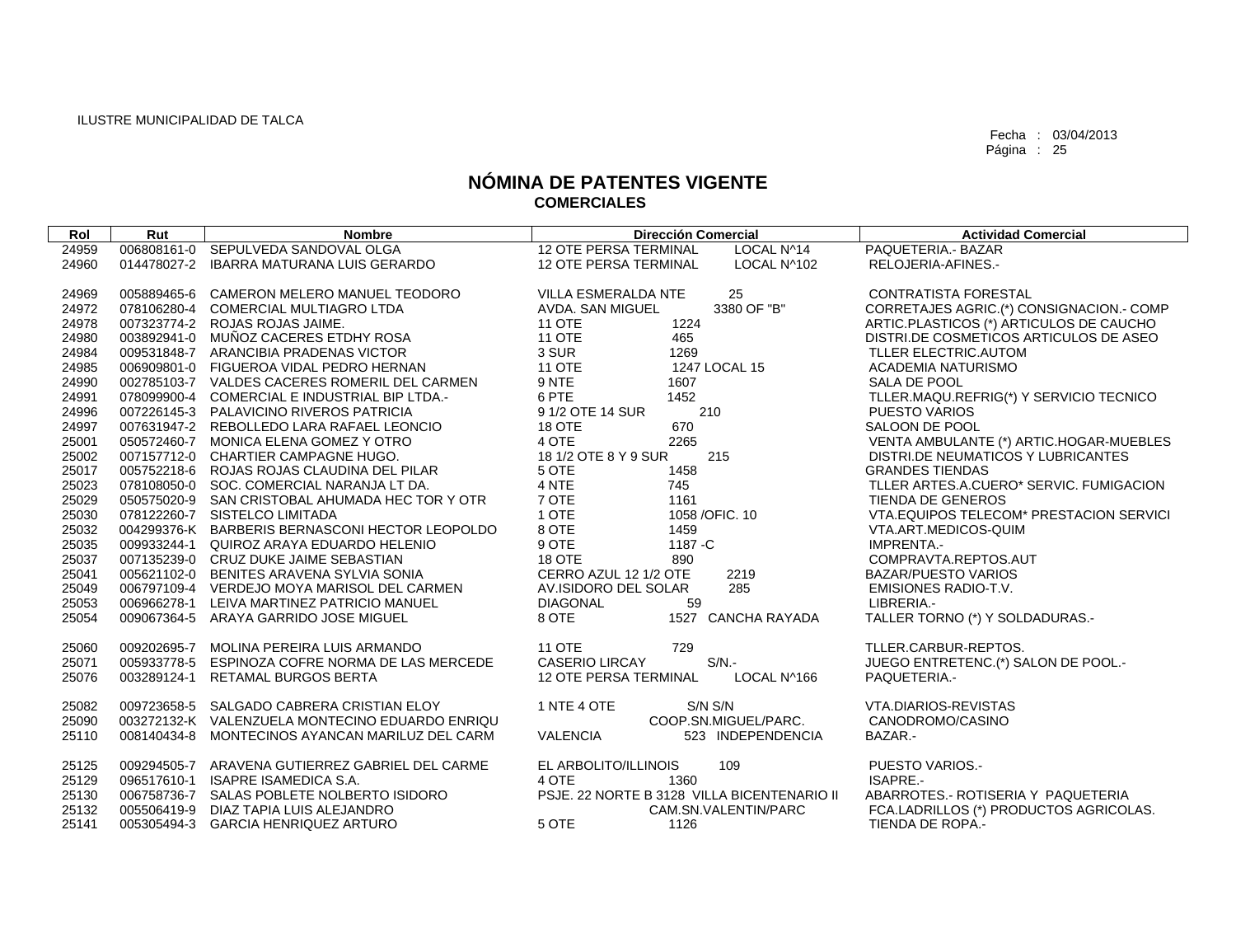| Rol   | Rut         | <b>Nombre</b>                                   | <b>Dirección Comercial</b>                  | <b>Actividad Comercial</b>                     |
|-------|-------------|-------------------------------------------------|---------------------------------------------|------------------------------------------------|
| 24959 |             | 006808161-0 SEPULVEDA SANDOVAL OLGA             | <b>12 OTE PERSA TERMINAL</b><br>LOCAL N^14  | PAQUETERIA.- BAZAR                             |
| 24960 | 014478027-2 | IBARRA MATURANA LUIS GERARDO                    | LOCAL N^102<br><b>12 OTE PERSA TERMINAL</b> | RELOJERIA-AFINES.-                             |
|       |             |                                                 |                                             |                                                |
| 24969 | 005889465-6 | CAMERON MELERO MANUEL TEODORO                   | VILLA ESMERALDA NTE<br>25                   | <b>CONTRATISTA FORESTAL</b>                    |
| 24972 |             | 078106280-4 COMERCIAL MULTIAGRO LTDA            | 3380 OF "B"<br>AVDA, SAN MIGUEL             | CORRETAJES AGRIC.(*) CONSIGNACION.- COMP       |
| 24978 |             | 007323774-2 ROJAS ROJAS JAIME.                  | <b>11 OTE</b><br>1224                       | ARTIC.PLASTICOS (*) ARTICULOS DE CAUCHO        |
| 24980 | 003892941-0 | MUÑOZ CACERES ETDHY ROSA                        | <b>11 OTE</b><br>465                        | DISTRI.DE COSMETICOS ARTICULOS DE ASEO         |
| 24984 |             | 009531848-7 ARANCIBIA PRADENAS VICTOR           | 3 SUR<br>1269                               | TLLER ELECTRIC.AUTOM                           |
| 24985 |             | 006909801-0 FIGUEROA VIDAL PEDRO HERNAN         | 11 OTE<br>1247 LOCAL 15                     | ACADEMIA NATURISMO                             |
| 24990 |             | 002785103-7 VALDES CACERES ROMERIL DEL CARMEN   | 9 NTE<br>1607                               | SALA DE POOL                                   |
| 24991 |             | 078099900-4 COMERCIAL E INDUSTRIAL BIP LTDA.-   | 6 PTE<br>1452                               | TLLER.MAQU.REFRIG(*) Y SERVICIO TECNICO        |
| 24996 |             | 007226145-3 PALAVICINO RIVEROS PATRICIA         | 9 1/2 OTE 14 SUR<br>210                     | PUESTO VARIOS                                  |
| 24997 |             | 007631947-2 REBOLLEDO LARA RAFAEL LEONCIO       | 18 OTE<br>670                               | SALOON DE POOL                                 |
| 25001 |             | 050572460-7 MONICA ELENA GOMEZ Y OTRO           | 4 OTE<br>2265                               | VENTA AMBULANTE (*) ARTIC.HOGAR-MUEBLES        |
| 25002 |             | 007157712-0 CHARTIER CAMPAGNE HUGO.             | 18 1/2 OTE 8 Y 9 SUR<br>215                 | DISTRI.DE NEUMATICOS Y LUBRICANTES             |
| 25017 |             | 005752218-6 ROJAS ROJAS CLAUDINA DEL PILAR      | 5 OTE<br>1458                               | <b>GRANDES TIENDAS</b>                         |
| 25023 |             | 078108050-0 SOC. COMERCIAL NARANJA LT DA.       | 4 NTE<br>745                                | TLLER ARTES.A.CUERO* SERVIC. FUMIGACION        |
| 25029 |             | 050575020-9 SAN CRISTOBAL AHUMADA HEC TOR Y OTR | 7 OTE<br>1161                               | TIENDA DE GENEROS                              |
| 25030 |             | 078122260-7 SISTELCO LIMITADA                   | 1 OTE<br>1058 / OFIC. 10                    | <b>VTA.EQUIPOS TELECOM* PRESTACION SERVICI</b> |
| 25032 |             | 004299376-K BARBERIS BERNASCONI HECTOR LEOPOLDO | 8 OTE<br>1459                               | VTA.ART.MEDICOS-QUIM                           |
| 25035 |             | 009933244-1 QUIROZ ARAYA EDUARDO HELENIO        | 9 OTE<br>1187 - C                           | IMPRENTA.-                                     |
| 25037 |             | 007135239-0 CRUZ DUKE JAIME SEBASTIAN           | <b>18 OTE</b><br>890                        | COMPRAVTA.REPTOS.AUT                           |
| 25041 |             | 005621102-0 BENITES ARAVENA SYLVIA SONIA        | CERRO AZUL 12 1/2 OTE<br>2219               | <b>BAZAR/PUESTO VARIOS</b>                     |
| 25049 |             | 006797109-4 VERDEJO MOYA MARISOL DEL CARMEN     | AV.ISIDORO DEL SOLAR<br>285                 | <b>EMISIONES RADIO-T.V.</b>                    |
| 25053 | 006966278-1 | LEIVA MARTINEZ PATRICIO MANUEL                  | <b>DIAGONAL</b><br>59                       | LIBRERIA.-                                     |
| 25054 | 009067364-5 | ARAYA GARRIDO JOSE MIGUEL                       | 8 OTE<br><b>CANCHA RAYADA</b><br>1527       | TALLER TORNO (*) Y SOLDADURAS.-                |
|       |             |                                                 |                                             |                                                |
| 25060 | 009202695-7 | MOLINA PEREIRA LUIS ARMANDO                     | 729<br><b>11 OTE</b>                        | TLLER.CARBUR-REPTOS.                           |
| 25071 | 005933778-5 | ESPINOZA COFRE NORMA DE LAS MERCEDE             | $S/N$ -<br><b>CASERIO LIRCAY</b>            | JUEGO ENTRETENC.(*) SALON DE POOL.-            |
| 25076 | 003289124-1 | <b>RETAMAL BURGOS BERTA</b>                     | LOCAL N^166<br>12 OTE PERSA TERMINAL        | PAQUETERIA.-                                   |
| 25082 |             | 009723658-5 SALGADO CABRERA CRISTIAN ELOY       | 1 NTE 4 OTE<br>S/N S/N                      | <b>VTA.DIARIOS-REVISTAS</b>                    |
| 25090 |             | 003272132-K VALENZUELA MONTECINO EDUARDO ENRIQU | COOP.SN.MIGUEL/PARC.                        | CANODROMO/CASINO                               |
| 25110 |             | 008140434-8 MONTECINOS AYANCAN MARILUZ DEL CARM | <b>VALENCIA</b><br>523 INDEPENDENCIA        | BAZAR.-                                        |
|       |             |                                                 |                                             |                                                |
| 25125 |             | 009294505-7 ARAVENA GUTIERREZ GABRIEL DEL CARME | 109<br>EL ARBOLITO/ILLINOIS                 | PUESTO VARIOS.-                                |
| 25129 | 096517610-1 | ISAPRE ISAMEDICA S.A.                           | 4 OTE<br>1360                               | ISAPRE.-                                       |
| 25130 |             | 006758736-7 SALAS POBLETE NOLBERTO ISIDORO      | PSJE. 22 NORTE B 3128 VILLA BICENTENARIO II | ABARROTES.- ROTISERIA Y PAQUETERIA             |
| 25132 | 005506419-9 | DIAZ TAPIA LUIS ALEJANDRO                       | CAM.SN.VALENTIN/PARC                        | FCA.LADRILLOS (*) PRODUCTOS AGRICOLAS.         |
| 25141 |             | 005305494-3 GARCIA HENRIQUEZ ARTURO             | 5 OTE<br>1126                               | TIENDA DE ROPA.-                               |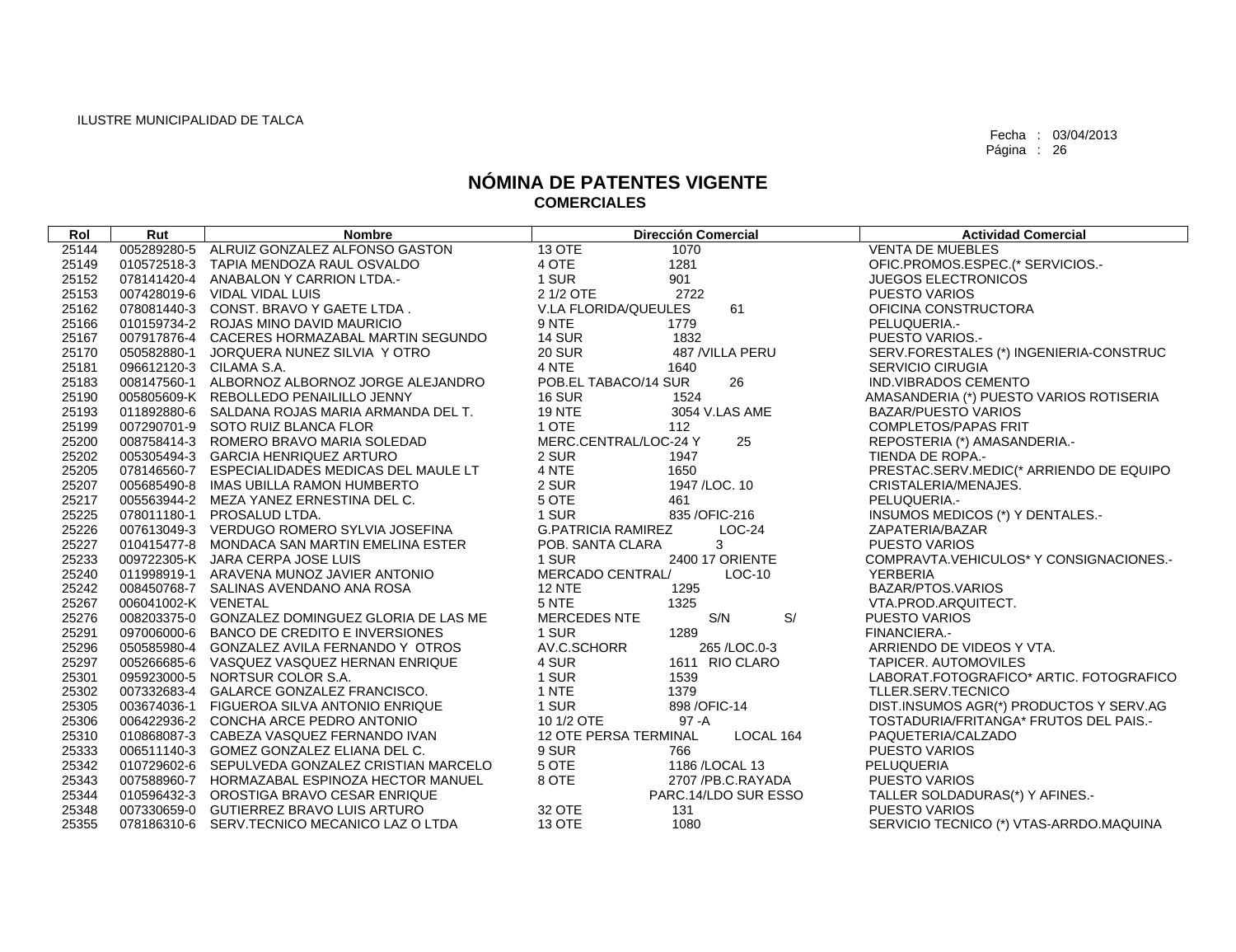| Rol   | Rut                     | <b>Nombre</b>                                   | <b>Dirección Comercial</b>            | <b>Actividad Comercial</b>              |
|-------|-------------------------|-------------------------------------------------|---------------------------------------|-----------------------------------------|
| 25144 |                         | 005289280-5 ALRUIZ GONZALEZ ALFONSO GASTON      | 13 OTE<br>1070                        | <b>VENTA DE MUEBLES</b>                 |
| 25149 |                         | 010572518-3 TAPIA MENDOZA RAUL OSVALDO          | 4 OTE<br>1281                         | OFIC.PROMOS.ESPEC.(* SERVICIOS.-        |
| 25152 |                         | 078141420-4 ANABALON Y CARRION LTDA.-           | 1 SUR<br>901                          | <b>JUEGOS ELECTRONICOS</b>              |
| 25153 |                         | 007428019-6 VIDAL VIDAL LUIS                    | 2 1/2 OTE<br>2722                     | <b>PUESTO VARIOS</b>                    |
| 25162 |                         | 078081440-3 CONST. BRAVO Y GAETE LTDA.          | 61<br>V.LA FLORIDA/QUEULES            | OFICINA CONSTRUCTORA                    |
| 25166 |                         | 010159734-2 ROJAS MINO DAVID MAURICIO           | 9 NTE<br>1779                         | PELUQUERIA.-                            |
| 25167 |                         | 007917876-4 CACERES HORMAZABAL MARTIN SEGUNDO   | <b>14 SUR</b><br>1832                 | PUESTO VARIOS.-                         |
| 25170 |                         | 050582880-1 JORQUERA NUNEZ SILVIA Y OTRO        | <b>20 SUR</b><br>487 /VILLA PERU      | SERV.FORESTALES (*) INGENIERIA-CONSTRUC |
| 25181 | 096612120-3 CILAMA S.A. |                                                 | 4 NTE<br>1640                         | <b>SERVICIO CIRUGIA</b>                 |
| 25183 |                         | 008147560-1 ALBORNOZ ALBORNOZ JORGE ALEJANDRO   | POB.EL TABACO/14 SUR<br>26            | <b>IND.VIBRADOS CEMENTO</b>             |
| 25190 |                         | 005805609-K REBOLLEDO PENAILILLO JENNY          | <b>16 SUR</b><br>1524                 | AMASANDERIA (*) PUESTO VARIOS ROTISERIA |
| 25193 |                         | 011892880-6 SALDANA ROJAS MARIA ARMANDA DEL T.  | <b>19 NTE</b><br>3054 V.LAS AME       | <b>BAZAR/PUESTO VARIOS</b>              |
| 25199 |                         | 007290701-9 SOTO RUIZ BLANCA FLOR               | 1 OTE<br>112                          | <b>COMPLETOS/PAPAS FRIT</b>             |
| 25200 |                         | 008758414-3 ROMERO BRAVO MARIA SOLEDAD          | MERC.CENTRAL/LOC-24 Y<br>25           | REPOSTERIA (*) AMASANDERIA.-            |
| 25202 |                         | 005305494-3 GARCIA HENRIQUEZ ARTURO             | 2 SUR<br>1947                         | TIENDA DE ROPA.-                        |
| 25205 |                         | 078146560-7 ESPECIALIDADES MEDICAS DEL MAULE LT | 4 NTE<br>1650                         | PRESTAC.SERV.MEDIC(* ARRIENDO DE EQUIPO |
| 25207 |                         | 005685490-8 IMAS UBILLA RAMON HUMBERTO          | 2 SUR<br>1947 / LOC. 10               | CRISTALERIA/MENAJES.                    |
| 25217 |                         | 005563944-2 MEZA YANEZ ERNESTINA DEL C.         | 5 OTE<br>461                          | PELUQUERIA.-                            |
| 25225 |                         | 078011180-1 PROSALUD LTDA.                      | 1 SUR<br>835 / OFIC-216               | INSUMOS MEDICOS (*) Y DENTALES.-        |
| 25226 |                         | 007613049-3 VERDUGO ROMERO SYLVIA JOSEFINA      | <b>G.PATRICIA RAMIREZ</b><br>$LOC-24$ | ZAPATERIA/BAZAR                         |
| 25227 |                         | 010415477-8 MONDACA SAN MARTIN EMELINA ESTER    | 3<br>POB. SANTA CLARA                 | <b>PUESTO VARIOS</b>                    |
| 25233 |                         | 009722305-K JARA CERPA JOSE LUIS                | 1 SUR<br>2400 17 ORIENTE              | COMPRAVTA.VEHICULOS* Y CONSIGNACIONES.- |
| 25240 |                         | 011998919-1 ARAVENA MUNOZ JAVIER ANTONIO        | MERCADO CENTRAL/<br>$LOC-10$          | <b>YERBERIA</b>                         |
| 25242 |                         | 008450768-7 SALINAS AVENDANO ANA ROSA           | <b>12 NTE</b><br>1295                 | BAZAR/PTOS.VARIOS                       |
| 25267 | 006041002-K VENETAL     |                                                 | 5 NTE<br>1325                         | VTA.PROD.ARQUITECT.                     |
| 25276 |                         | 008203375-0 GONZALEZ DOMINGUEZ GLORIA DE LAS ME | S/<br>S/N<br><b>MERCEDES NTE</b>      | <b>PUESTO VARIOS</b>                    |
| 25291 |                         | 097006000-6 BANCO DE CREDITO E INVERSIONES      | 1289<br>1 SUR                         | FINANCIERA -                            |
| 25296 |                         | 050585980-4 GONZALEZ AVILA FERNANDO Y OTROS     | AV.C.SCHORR<br>265 / LOC.0-3          | ARRIENDO DE VIDEOS Y VTA.               |
| 25297 |                         | 005266685-6 VASQUEZ VASQUEZ HERNAN ENRIQUE      | 4 SUR<br>1611 RIO CLARO               | <b>TAPICER, AUTOMOVILES</b>             |
| 25301 |                         | 095923000-5 NORTSUR COLOR S.A.                  | 1 SUR<br>1539                         | LABORAT.FOTOGRAFICO* ARTIC. FOTOGRAFICO |
| 25302 |                         | 007332683-4 GALARCE GONZALEZ FRANCISCO.         | 1 NTE<br>1379                         | TLLER.SERV.TECNICO                      |
| 25305 |                         | 003674036-1 FIGUEROA SILVA ANTONIO ENRIQUE      | 1 SUR<br>898 / OFIC-14                | DIST.INSUMOS AGR(*) PRODUCTOS Y SERV.AG |
| 25306 |                         | 006422936-2 CONCHA ARCE PEDRO ANTONIO           | 10 1/2 OTE<br>$97 - A$                | TOSTADURIA/FRITANGA* FRUTOS DEL PAIS.-  |
| 25310 |                         | 010868087-3 CABEZA VASQUEZ FERNANDO IVAN        | 12 OTE PERSA TERMINAL<br>LOCAL 164    | PAQUETERIA/CALZADO                      |
| 25333 |                         | 006511140-3 GOMEZ GONZALEZ ELIANA DEL C.        | 9 SUR<br>766                          | <b>PUESTO VARIOS</b>                    |
| 25342 |                         | 010729602-6 SEPULVEDA GONZALEZ CRISTIAN MARCELO | 5 OTE<br>1186 / LOCAL 13              | PELUQUERIA                              |
| 25343 |                         | 007588960-7 HORMAZABAL ESPINOZA HECTOR MANUEL   | 8 OTE<br>2707 /PB.C.RAYADA            | <b>PUESTO VARIOS</b>                    |
| 25344 |                         | 010596432-3 OROSTIGA BRAVO CESAR ENRIQUE        | PARC.14/LDO SUR ESSO                  | TALLER SOLDADURAS(*) Y AFINES.-         |
| 25348 |                         | 007330659-0 GUTIERREZ BRAVO LUIS ARTURO         | 32 OTE<br>131                         | <b>PUESTO VARIOS</b>                    |
| 25355 |                         | 078186310-6 SERV.TECNICO MECANICO LAZ O LTDA    | <b>13 OTE</b><br>1080                 | SERVICIO TECNICO (*) VTAS-ARRDO.MAQUINA |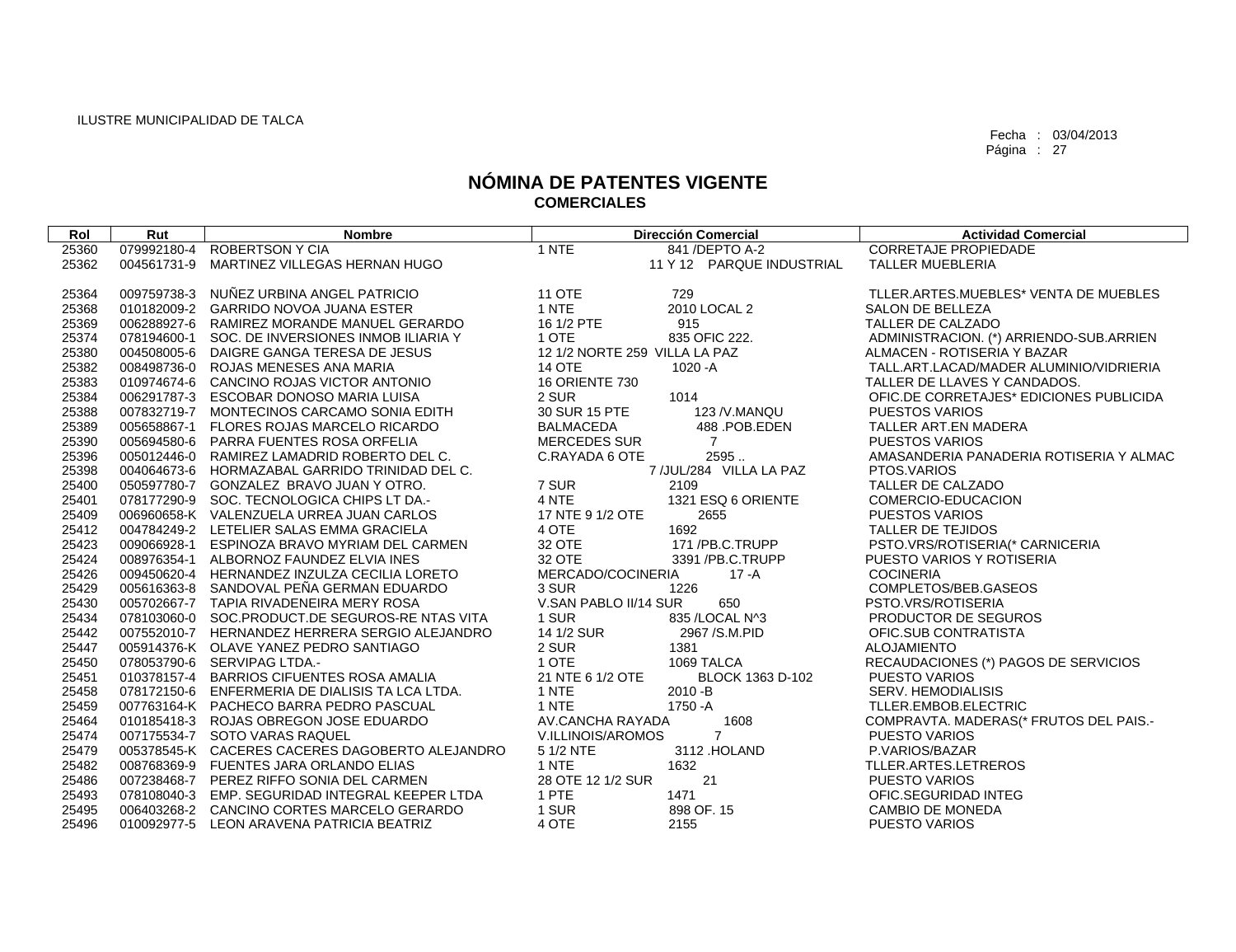| Rol   | Rut         | <b>Nombre</b>                                   |                               | <b>Dirección Comercial</b> | <b>Actividad Comercial</b>              |
|-------|-------------|-------------------------------------------------|-------------------------------|----------------------------|-----------------------------------------|
| 25360 | 079992180-4 | <b>ROBERTSON Y CIA</b>                          | 1 NTE                         | 841 / DEPTO A-2            | <b>CORRETAJE PROPIEDADE</b>             |
| 25362 | 004561731-9 | MARTINEZ VILLEGAS HERNAN HUGO                   |                               | 11 Y 12 PARQUE INDUSTRIAL  | <b>TALLER MUEBLERIA</b>                 |
|       |             |                                                 |                               |                            |                                         |
| 25364 |             | 009759738-3 NUÑEZ URBINA ANGEL PATRICIO         | <b>11 OTE</b>                 | 729                        | TLLER.ARTES.MUEBLES* VENTA DE MUEBLES   |
| 25368 |             | 010182009-2 GARRIDO NOVOA JUANA ESTER           | 1 NTE                         | 2010 LOCAL 2               | <b>SALON DE BELLEZA</b>                 |
| 25369 |             | 006288927-6 RAMIREZ MORANDE MANUEL GERARDO      | 16 1/2 PTE                    | 915                        | TALLER DE CALZADO                       |
| 25374 |             | 078194600-1 SOC. DE INVERSIONES INMOBILIARIA Y  | 1 OTE                         | 835 OFIC 222.              | ADMINISTRACION. (*) ARRIENDO-SUB.ARRIEN |
| 25380 |             | 004508005-6 DAIGRE GANGA TERESA DE JESUS        | 12 1/2 NORTE 259 VILLA LA PAZ |                            | ALMACEN - ROTISERIA Y BAZAR             |
| 25382 |             | 008498736-0 ROJAS MENESES ANA MARIA             | <b>14 OTE</b>                 | $1020 - A$                 | TALL.ART.LACAD/MADER ALUMINIO/VIDRIERIA |
| 25383 |             | 010974674-6 CANCINO ROJAS VICTOR ANTONIO        | <b>16 ORIENTE 730</b>         |                            | TALLER DE LLAVES Y CANDADOS.            |
| 25384 |             | 006291787-3 ESCOBAR DONOSO MARIA LUISA          | 2 SUR                         | 1014                       | OFIC.DE CORRETAJES* EDICIONES PUBLICIDA |
| 25388 |             | 007832719-7 MONTECINOS CARCAMO SONIA EDITH      | 30 SUR 15 PTE                 | 123 / V. MANQU             | <b>PUESTOS VARIOS</b>                   |
| 25389 |             | 005658867-1 FLORES ROJAS MARCELO RICARDO        | <b>BALMACEDA</b>              | 488 POB.EDEN               | TALLER ART.EN MADERA                    |
| 25390 |             | 005694580-6 PARRA FUENTES ROSA ORFELIA          | MERCEDES SUR                  | $\overline{7}$             | <b>PUESTOS VARIOS</b>                   |
| 25396 |             | 005012446-0 RAMIREZ LAMADRID ROBERTO DEL C.     | C.RAYADA 6 OTE                | 2595.                      | AMASANDERIA PANADERIA ROTISERIA Y ALMAC |
| 25398 |             | 004064673-6 HORMAZABAL GARRIDO TRINIDAD DEL C.  |                               | 7 /JUL/284 VILLA LA PAZ    | PTOS.VARIOS                             |
| 25400 |             | 050597780-7 GONZALEZ BRAVO JUAN Y OTRO.         | 7 SUR                         | 2109                       | TALLER DE CALZADO                       |
| 25401 |             | 078177290-9 SOC. TECNOLOGICA CHIPS LT DA.-      | 4 NTE                         | 1321 ESQ 6 ORIENTE         | COMERCIO-EDUCACION                      |
| 25409 |             | 006960658-K VALENZUELA URREA JUAN CARLOS        | 17 NTE 9 1/2 OTE              | 2655                       | <b>PUESTOS VARIOS</b>                   |
| 25412 |             | 004784249-2 LETELIER SALAS EMMA GRACIELA        | 4 OTE                         | 1692                       | TALLER DE TEJIDOS                       |
| 25423 |             | 009066928-1 ESPINOZA BRAVO MYRIAM DEL CARMEN    | 32 OTE                        | 171/PB.C.TRUPP             | PSTO.VRS/ROTISERIA(* CARNICERIA         |
| 25424 |             | 008976354-1 ALBORNOZ FAUNDEZ ELVIA INES         | 32 OTE                        | 3391 /PB.C.TRUPP           | PUESTO VARIOS Y ROTISERIA               |
| 25426 |             | 009450620-4 HERNANDEZ INZULZA CECILIA LORETO    | MERCADO/COCINERIA             | 17 - A                     | <b>COCINERIA</b>                        |
| 25429 |             | 005616363-8 SANDOVAL PEÑA GERMAN EDUARDO        | 3 SUR                         | 1226                       | COMPLETOS/BEB.GASEOS                    |
| 25430 |             | 005702667-7 TAPIA RIVADENEIRA MERY ROSA         | V.SAN PABLO II/14 SUR         | 650                        | PSTO.VRS/ROTISERIA                      |
| 25434 |             | 078103060-0 SOC.PRODUCT.DE SEGUROS-RENTAS VITA  | 1 SUR                         | 835 / LOCAL N^3            | PRODUCTOR DE SEGUROS                    |
| 25442 |             | 007552010-7 HERNANDEZ HERRERA SERGIO ALEJANDRO  | 14 1/2 SUR                    | 2967 / S.M. PID            | OFIC.SUB CONTRATISTA                    |
| 25447 |             | 005914376-K OLAVE YANEZ PEDRO SANTIAGO          | 2 SUR                         | 1381                       | <b>ALOJAMIENTO</b>                      |
| 25450 |             | 078053790-6 SERVIPAG LTDA.-                     | 1 OTE                         | 1069 TALCA                 | RECAUDACIONES (*) PAGOS DE SERVICIOS    |
| 25451 |             | 010378157-4 BARRIOS CIFUENTES ROSA AMALIA       | 21 NTE 6 1/2 OTE              | BLOCK 1363 D-102           | <b>PUESTO VARIOS</b>                    |
| 25458 |             | 078172150-6 ENFERMERIA DE DIALISIS TA LCA LTDA. | 1 NTE                         | 2010 - B                   | SERV. HEMODIALISIS                      |
| 25459 |             | 007763164-K PACHECO BARRA PEDRO PASCUAL         | 1 NTE                         | 1750 - A                   | TLLER.EMBOB.ELECTRIC                    |
| 25464 |             | 010185418-3 ROJAS OBREGON JOSE EDUARDO          | AV.CANCHA RAYADA              | 1608                       | COMPRAVTA. MADERAS(* FRUTOS DEL PAIS.-  |
| 25474 |             | 007175534-7 SOTO VARAS RAQUEL                   | V.ILLINOIS/AROMOS             | $\overline{7}$             | <b>PUESTO VARIOS</b>                    |
| 25479 |             | 005378545-K CACERES CACERES DAGOBERTO ALEJANDRO | 5 1/2 NTE                     | 3112 .HOLAND               | P.VARIOS/BAZAR                          |
| 25482 |             | 008768369-9 FUENTES JARA ORLANDO ELIAS          | 1 NTE                         | 1632                       | TLLER.ARTES.LETREROS                    |
| 25486 |             | 007238468-7 PEREZ RIFFO SONIA DEL CARMEN        | 28 OTE 12 1/2 SUR             | 21                         | <b>PUESTO VARIOS</b>                    |
| 25493 |             | 078108040-3 EMP. SEGURIDAD INTEGRAL KEEPER LTDA | 1 PTE                         | 1471                       | OFIC.SEGURIDAD INTEG                    |
| 25495 |             | 006403268-2 CANCINO CORTES MARCELO GERARDO      | 1 SUR                         | 898 OF. 15                 | <b>CAMBIO DE MONEDA</b>                 |
| 25496 |             | 010092977-5 LEON ARAVENA PATRICIA BEATRIZ       | 4 OTE                         | 2155                       | PUESTO VARIOS                           |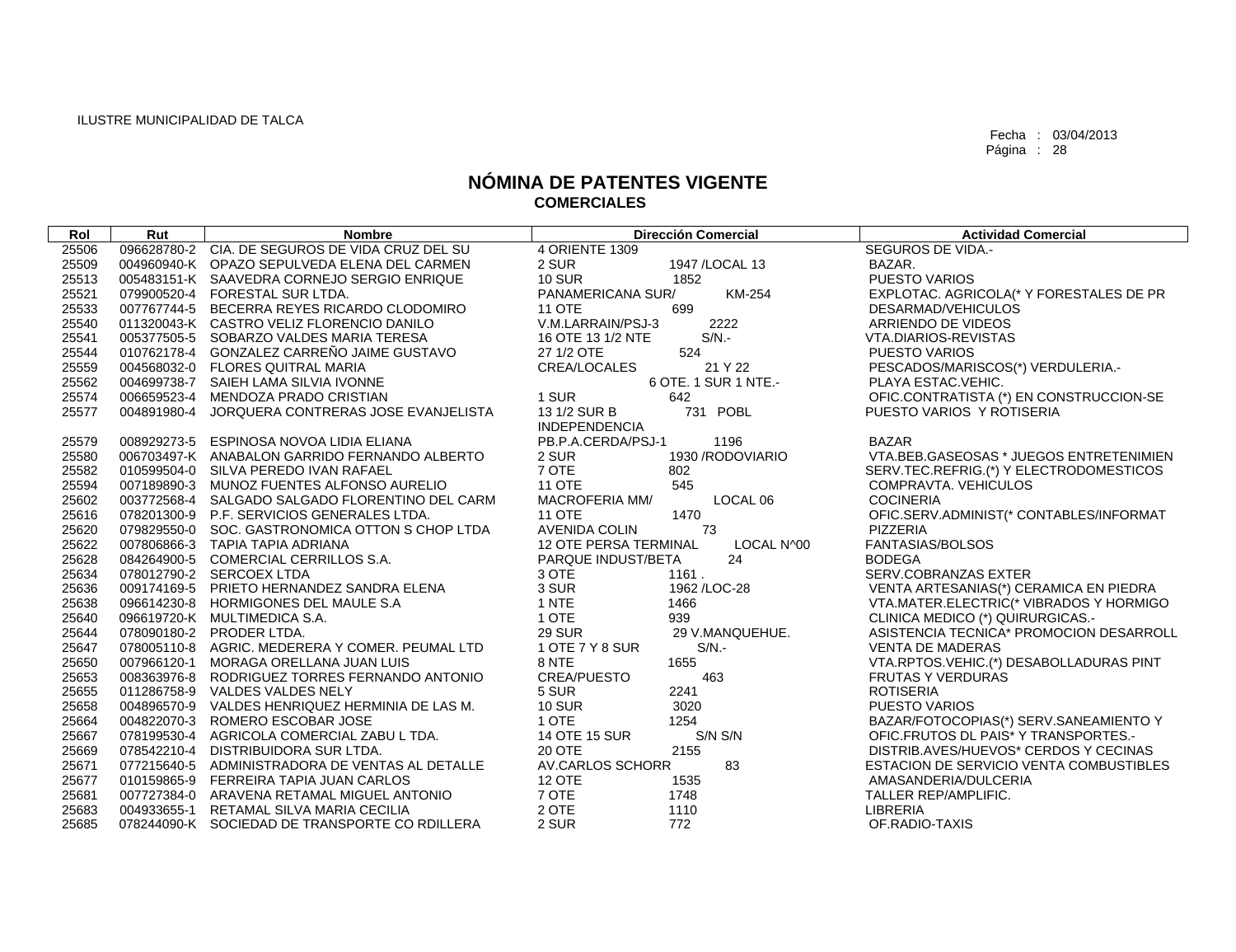| Rol   | Rut         | <b>Nombre</b>                                   | <b>Dirección Comercial</b>                         | <b>Actividad Comercial</b>              |
|-------|-------------|-------------------------------------------------|----------------------------------------------------|-----------------------------------------|
| 25506 |             | 096628780-2 CIA. DE SEGUROS DE VIDA CRUZ DEL SU | 4 ORIENTE 1309                                     | <b>SEGUROS DE VIDA.-</b>                |
| 25509 |             | 004960940-K OPAZO SEPULVEDA ELENA DEL CARMEN    | 2 SUR<br>1947 / LOCAL 13                           | BAZAR.                                  |
| 25513 |             | 005483151-K SAAVEDRA CORNEJO SERGIO ENRIQUE     | <b>10 SUR</b><br>1852                              | <b>PUESTO VARIOS</b>                    |
| 25521 |             | 079900520-4 FORESTAL SUR LTDA.                  | KM-254<br>PANAMERICANA SUR/                        | EXPLOTAC. AGRICOLA(* Y FORESTALES DE PR |
| 25533 |             | 007767744-5 BECERRA REYES RICARDO CLODOMIRO     | <b>11 OTE</b><br>699                               | DESARMAD/VEHICULOS                      |
| 25540 |             | 011320043-K CASTRO VELIZ FLORENCIO DANILO       | V.M.LARRAIN/PSJ-3<br>2222                          | ARRIENDO DE VIDEOS                      |
| 25541 |             | 005377505-5 SOBARZO VALDES MARIA TERESA         | $S/N$ .-<br>16 OTE 13 1/2 NTE                      | VTA.DIARIOS-REVISTAS                    |
| 25544 |             | 010762178-4 GONZALEZ CARREÑO JAIME GUSTAVO      | 524<br>27 1/2 OTE                                  | <b>PUESTO VARIOS</b>                    |
| 25559 |             | 004568032-0 FLORES QUITRAL MARIA                | CREA/LOCALES<br>21 Y 22                            | PESCADOS/MARISCOS(*) VERDULERIA.-       |
| 25562 |             | 004699738-7 SAIEH LAMA SILVIA IVONNE            | 6 OTE. 1 SUR 1 NTE.-                               | PLAYA ESTAC. VEHIC.                     |
| 25574 |             | 006659523-4 MENDOZA PRADO CRISTIAN              | 1 SUR<br>642                                       | OFIC.CONTRATISTA (*) EN CONSTRUCCION-SE |
| 25577 | 004891980-4 | JORQUERA CONTRERAS JOSE EVANJELISTA             | 731 POBL<br>13 1/2 SUR B                           | PUESTO VARIOS Y ROTISERIA               |
| 25579 |             | 008929273-5 ESPINOSA NOVOA LIDIA ELIANA         | <b>INDEPENDENCIA</b><br>1196<br>PB.P.A.CERDA/PSJ-1 | <b>BAZAR</b>                            |
| 25580 |             | 006703497-K ANABALON GARRIDO FERNANDO ALBERTO   | 1930 / RODOVIARIO<br>2 SUR                         | VTA.BEB.GASEOSAS * JUEGOS ENTRETENIMIEN |
| 25582 |             | 010599504-0 SILVA PEREDO IVAN RAFAEL            | 7 OTE<br>802                                       | SERV.TEC.REFRIG.(*) Y ELECTRODOMESTICOS |
| 25594 |             | 007189890-3 MUNOZ FUENTES ALFONSO AURELIO       | <b>11 OTE</b><br>545                               | <b>COMPRAVTA, VEHICULOS</b>             |
| 25602 |             | 003772568-4 SALGADO SALGADO FLORENTINO DEL CARM | <b>MACROFERIA MM/</b><br>LOCAL 06                  | <b>COCINERIA</b>                        |
| 25616 |             | 078201300-9 P.F. SERVICIOS GENERALES LTDA.      | 1470<br><b>11 OTE</b>                              | OFIC.SERV.ADMINIST(* CONTABLES/INFORMAT |
| 25620 |             | 079829550-0 SOC. GASTRONOMICA OTTON S CHOP LTDA | <b>AVENIDA COLIN</b><br>73                         | PIZZERIA                                |
| 25622 |             | 007806866-3 TAPIA TAPIA ADRIANA                 | 12 OTE PERSA TERMINAL<br>LOCAL N^00                | FANTASIAS/BOLSOS                        |
| 25628 |             | 084264900-5 COMERCIAL CERRILLOS S.A.            | 24<br>PARQUE INDUST/BETA                           | <b>BODEGA</b>                           |
| 25634 |             | 078012790-2 SERCOEX LTDA                        | 3 OTE<br>1161.                                     | SERV.COBRANZAS EXTER                    |
| 25636 |             | 009174169-5 PRIETO HERNANDEZ SANDRA ELENA       | 3 SUR<br>1962 / LOC-28                             | VENTA ARTESANIAS(*) CERAMICA EN PIEDRA  |
| 25638 |             | 096614230-8 HORMIGONES DEL MAULE S.A            | 1 NTE<br>1466                                      | VTA.MATER.ELECTRIC(* VIBRADOS Y HORMIGO |
| 25640 |             | 096619720-K MULTIMEDICA S.A.                    | 1 OTE<br>939                                       | CLINICA MEDICO (*) QUIRURGICAS.-        |
| 25644 |             | 078090180-2 PRODER LTDA.                        | <b>29 SUR</b><br>29 V.MANQUEHUE.                   | ASISTENCIA TECNICA* PROMOCION DESARROLL |
| 25647 |             | 078005110-8 AGRIC. MEDERERA Y COMER. PEUMAL LTD | 1 OTE 7 Y 8 SUR<br>$S/N$ .-                        | <b>VENTA DE MADERAS</b>                 |
| 25650 |             | 007966120-1 MORAGA ORELLANA JUAN LUIS           | 8 NTE<br>1655                                      | VTA.RPTOS.VEHIC.(*) DESABOLLADURAS PINT |
| 25653 |             | 008363976-8 RODRIGUEZ TORRES FERNANDO ANTONIO   | <b>CREA/PUESTO</b><br>463                          | <b>FRUTAS Y VERDURAS</b>                |
| 25655 |             | 011286758-9 VALDES VALDES NELY                  | 2241<br>5 SUR                                      | <b>ROTISERIA</b>                        |
| 25658 |             | 004896570-9 VALDES HENRIQUEZ HERMINIA DE LAS M. | <b>10 SUR</b><br>3020                              | <b>PUESTO VARIOS</b>                    |
| 25664 |             | 004822070-3 ROMERO ESCOBAR JOSE                 | 1 OTE<br>1254                                      | BAZAR/FOTOCOPIAS(*) SERV.SANEAMIENTO Y  |
| 25667 |             | 078199530-4 AGRICOLA COMERCIAL ZABU L TDA.      | 14 OTE 15 SUR<br>S/N S/N                           | OFIC.FRUTOS DL PAIS* Y TRANSPORTES.     |
| 25669 |             | 078542210-4 DISTRIBUIDORA SUR LTDA.             | <b>20 OTE</b><br>2155                              | DISTRIB.AVES/HUEVOS* CERDOS Y CECINAS   |
| 25671 |             | 077215640-5 ADMINISTRADORA DE VENTAS AL DETALLE | AV.CARLOS SCHORR<br>83                             | ESTACION DE SERVICIO VENTA COMBUSTIBLES |
| 25677 |             | 010159865-9 FERREIRA TAPIA JUAN CARLOS          | <b>12 OTE</b><br>1535                              | AMASANDERIA/DULCERIA                    |
| 25681 |             | 007727384-0 ARAVENA RETAMAL MIGUEL ANTONIO      | 7 OTE<br>1748                                      | TALLER REP/AMPLIFIC.                    |
| 25683 |             | 004933655-1 RETAMAL SILVA MARIA CECILIA         | 2 OTE<br>1110                                      | LIBRERIA                                |
| 25685 |             | 078244090-K SOCIEDAD DE TRANSPORTE CO RDILLERA  | 2 SUR<br>772                                       | OF.RADIO-TAXIS                          |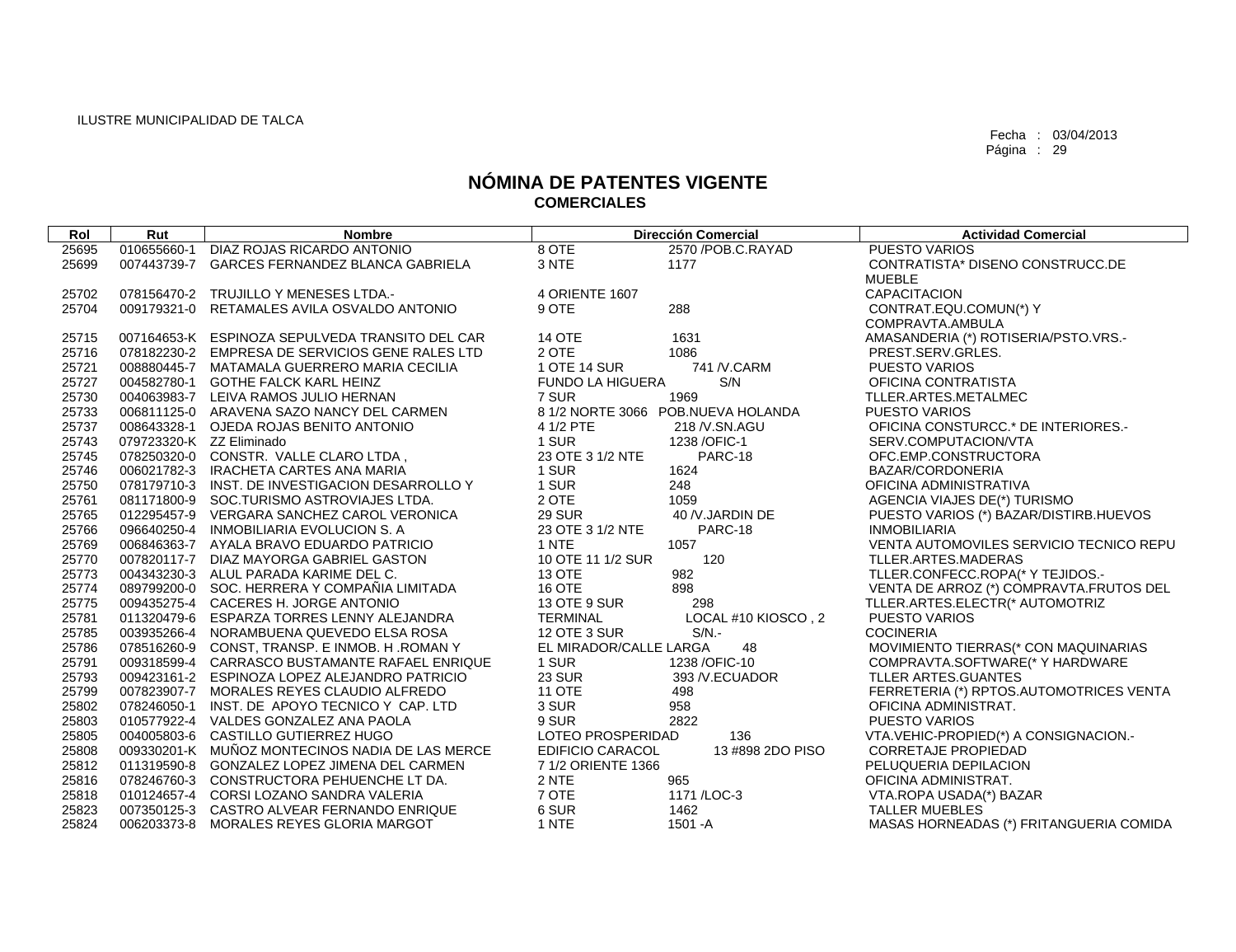| Rol   | Rut                      | <b>Nombre</b>                                   |                         | <b>Dirección Comercial</b>         | <b>Actividad Comercial</b>              |
|-------|--------------------------|-------------------------------------------------|-------------------------|------------------------------------|-----------------------------------------|
| 25695 | 010655660-1              | DIAZ ROJAS RICARDO ANTONIO                      | 8 OTE                   | 2570 / POB.C. RAYAD                | <b>PUESTO VARIOS</b>                    |
| 25699 |                          | 007443739-7 GARCES FERNANDEZ BLANCA GABRIELA    | 3 NTE                   | 1177                               | CONTRATISTA* DISENO CONSTRUCC.DE        |
|       |                          |                                                 |                         |                                    | <b>MUEBLE</b>                           |
| 25702 |                          | 078156470-2 TRUJILLO Y MENESES LTDA.-           | 4 ORIENTE 1607          |                                    | <b>CAPACITACION</b>                     |
| 25704 |                          | 009179321-0 RETAMALES AVILA OSVALDO ANTONIO     | 9 OTE                   | 288                                | CONTRAT.EQU.COMUN(*) Y                  |
|       |                          |                                                 |                         |                                    | COMPRAVTA.AMBULA                        |
| 25715 |                          | 007164653-K ESPINOZA SEPULVEDA TRANSITO DEL CAR | <b>14 OTE</b>           | 1631                               | AMASANDERIA (*) ROTISERIA/PSTO.VRS.-    |
| 25716 |                          | 078182230-2 EMPRESA DE SERVICIOS GENE RALES LTD | 2 OTE                   | 1086                               | PREST.SERV.GRLES.                       |
| 25721 |                          | 008880445-7 MATAMALA GUERRERO MARIA CECILIA     | 1 OTE 14 SUR            | 741 / V.CARM                       | <b>PUESTO VARIOS</b>                    |
| 25727 |                          | 004582780-1 GOTHE FALCK KARL HEINZ              | <b>FUNDO LA HIGUERA</b> | S/N                                | OFICINA CONTRATISTA                     |
| 25730 |                          | 004063983-7 LEIVA RAMOS JULIO HERNAN            | 7 SUR                   | 1969                               | TLLER.ARTES.METALMEC                    |
| 25733 |                          | 006811125-0 ARAVENA SAZO NANCY DEL CARMEN       |                         | 8 1/2 NORTE 3066 POB.NUEVA HOLANDA | <b>PUESTO VARIOS</b>                    |
| 25737 |                          | 008643328-1 OJEDA ROJAS BENITO ANTONIO          | 4 1/2 PTE               | 218 / V.SN.AGU                     | OFICINA CONSTURCC.* DE INTERIORES.-     |
| 25743 | 079723320-K ZZ Eliminado |                                                 | 1 SUR                   | 1238 / OFIC-1                      | SERV.COMPUTACION/VTA                    |
| 25745 |                          | 078250320-0 CONSTR. VALLE CLARO LTDA,           | 23 OTE 3 1/2 NTE        | PARC-18                            | OFC.EMP.CONSTRUCTORA                    |
| 25746 |                          | 006021782-3 IRACHETA CARTES ANA MARIA           | 1 SUR                   | 1624                               | BAZAR/CORDONERIA                        |
| 25750 |                          | 078179710-3 INST. DE INVESTIGACION DESARROLLO Y | 1 SUR                   | 248                                | OFICINA ADMINISTRATIVA                  |
| 25761 |                          | 081171800-9 SOC.TURISMO ASTROVIAJES LTDA.       | 2 OTE                   | 1059                               | AGENCIA VIAJES DE(*) TURISMO            |
| 25765 |                          | 012295457-9 VERGARA SANCHEZ CAROL VERONICA      | <b>29 SUR</b>           | 40 /V.JARDIN DE                    | PUESTO VARIOS (*) BAZAR/DISTIRB.HUEVOS  |
| 25766 |                          | 096640250-4 INMOBILIARIA EVOLUCION S. A         | 23 OTE 3 1/2 NTE        | PARC-18                            | <b>INMOBILIARIA</b>                     |
| 25769 |                          | 006846363-7 AYALA BRAVO EDUARDO PATRICIO        | 1 NTE                   | 1057                               | VENTA AUTOMOVILES SERVICIO TECNICO REPU |
| 25770 |                          | 007820117-7 DIAZ MAYORGA GABRIEL GASTON         | 10 OTE 11 1/2 SUR       | 120                                | TLLER.ARTES.MADERAS                     |
| 25773 |                          | 004343230-3 ALUL PARADA KARIME DEL C.           | <b>13 OTE</b>           | 982                                | TLLER.CONFECC.ROPA(* Y TEJIDOS.-        |
| 25774 |                          | 089799200-0 SOC. HERRERA Y COMPANIA LIMITADA    | <b>16 OTE</b>           | 898                                | VENTA DE ARROZ (*) COMPRAVTA.FRUTOS DEL |
| 25775 |                          | 009435275-4 CACERES H. JORGE ANTONIO            | 13 OTE 9 SUR            | 298                                | TLLER.ARTES.ELECTR(* AUTOMOTRIZ         |
| 25781 |                          | 011320479-6 ESPARZA TORRES LENNY ALEJANDRA      | <b>TERMINAL</b>         | LOCAL #10 KIOSCO, 2                | <b>PUESTO VARIOS</b>                    |
| 25785 |                          | 003935266-4 NORAMBUENA QUEVEDO ELSA ROSA        | 12 OTE 3 SUR            | $S/N$ .-                           | <b>COCINERIA</b>                        |
| 25786 |                          | 078516260-9 CONST, TRANSP. E INMOB. H. ROMAN Y  | EL MIRADOR/CALLE LARGA  | 48                                 | MOVIMIENTO TIERRAS(* CON MAQUINARIAS    |
| 25791 |                          | 009318599-4 CARRASCO BUSTAMANTE RAFAEL ENRIQUE  | 1 SUR                   | 1238 / OFIC-10                     | COMPRAVTA.SOFTWARE(* Y HARDWARE         |
| 25793 |                          | 009423161-2 ESPINOZA LOPEZ ALEJANDRO PATRICIO   | <b>23 SUR</b>           | 393 / V.ECUADOR                    | TLLER ARTES.GUANTES                     |
| 25799 |                          | 007823907-7 MORALES REYES CLAUDIO ALFREDO       | <b>11 OTE</b>           | 498                                | FERRETERIA (*) RPTOS.AUTOMOTRICES VENTA |
| 25802 |                          | 078246050-1 INST. DE APOYO TECNICO Y CAP. LTD   | 3 SUR                   | 958                                | OFICINA ADMINISTRAT.                    |
| 25803 |                          | 010577922-4 VALDES GONZALEZ ANA PAOLA           | 9 SUR                   | 2822                               | <b>PUESTO VARIOS</b>                    |
| 25805 |                          | 004005803-6 CASTILLO GUTIERREZ HUGO             | LOTEO PROSPERIDAD       | 136                                | VTA.VEHIC-PROPIED(*) A CONSIGNACION.-   |
| 25808 |                          | 009330201-K MUÑOZ MONTECINOS NADIA DE LAS MERCE | EDIFICIO CARACOL        | 13 #898 2DO PISO                   | <b>CORRETAJE PROPIEDAD</b>              |
| 25812 |                          | 011319590-8 GONZALEZ LOPEZ JIMENA DEL CARMEN    | 7 1/2 ORIENTE 1366      |                                    | PELUQUERIA DEPILACION                   |
| 25816 |                          | 078246760-3 CONSTRUCTORA PEHUENCHE LT DA.       | 2 NTE                   | 965                                | OFICINA ADMINISTRAT.                    |
| 25818 |                          | 010124657-4 CORSI LOZANO SANDRA VALERIA         | 7 OTE                   | 1171 / LOC-3                       | VTA.ROPA USADA(*) BAZAR                 |
| 25823 |                          | 007350125-3 CASTRO ALVEAR FERNANDO ENRIQUE      | 6 SUR                   | 1462                               | <b>TALLER MUEBLES</b>                   |
| 25824 |                          | 006203373-8 MORALES REYES GLORIA MARGOT         | 1 NTE                   | 1501 - A                           | MASAS HORNEADAS (*) FRITANGUERIA COMIDA |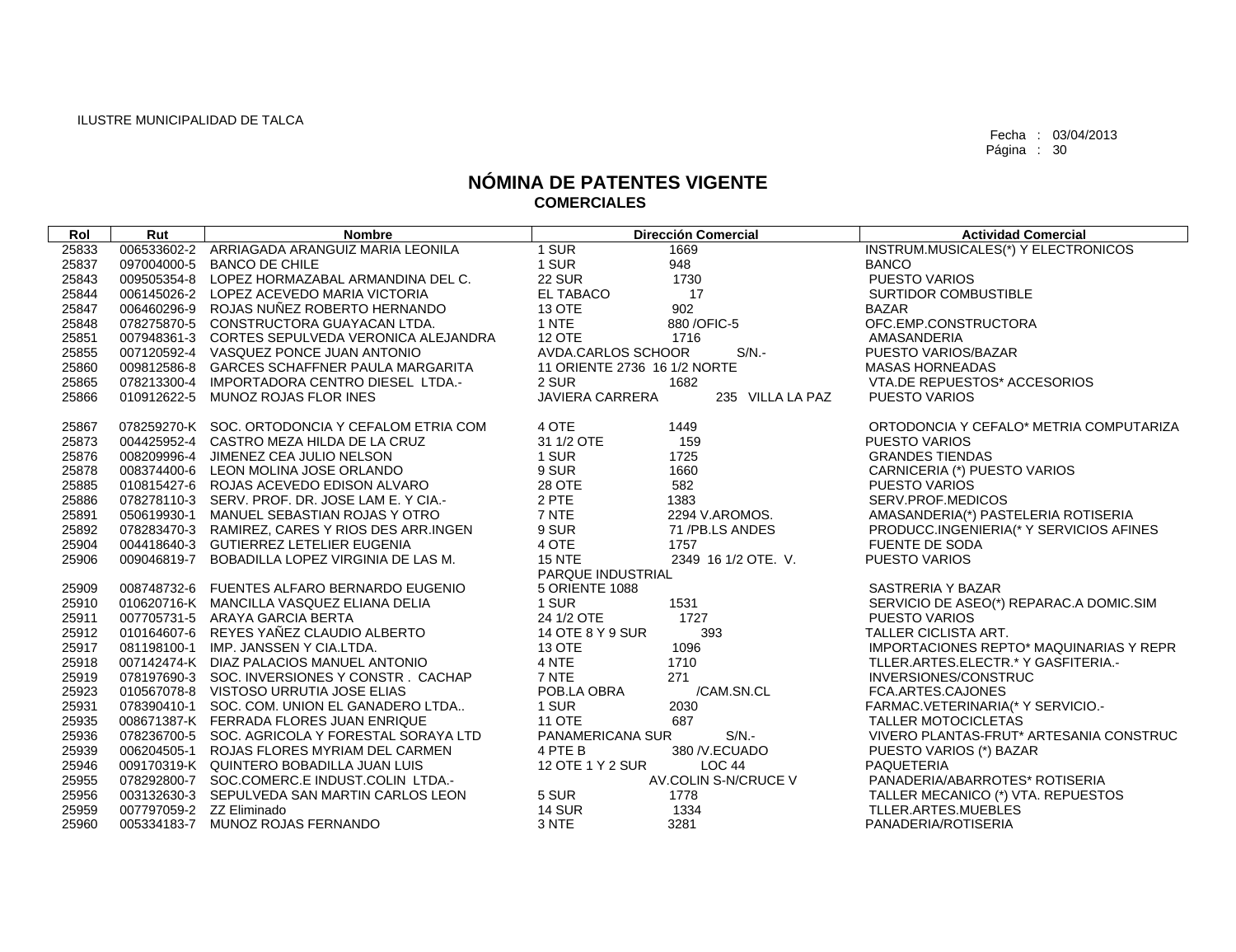| Rol   | Rut                      | <b>Nombre</b>                                   | <b>Dirección Comercial</b>                 | <b>Actividad Comercial</b>                     |
|-------|--------------------------|-------------------------------------------------|--------------------------------------------|------------------------------------------------|
| 25833 |                          | 006533602-2 ARRIAGADA ARANGUIZ MARIA LEONILA    | 1 SUR<br>1669                              | INSTRUM.MUSICALES(*) Y ELECTRONICOS            |
| 25837 |                          | 097004000-5 BANCO DE CHILE                      | 1 SUR<br>948                               | <b>BANCO</b>                                   |
| 25843 |                          | 009505354-8 LOPEZ HORMAZABAL ARMANDINA DEL C.   | <b>22 SUR</b><br>1730                      | PUESTO VARIOS                                  |
| 25844 |                          | 006145026-2 LOPEZ ACEVEDO MARIA VICTORIA        | EL TABACO<br>17                            | <b>SURTIDOR COMBUSTIBLE</b>                    |
| 25847 |                          | 006460296-9 ROJAS NUÑEZ ROBERTO HERNANDO        | 13 OTE<br>902                              | <b>BAZAR</b>                                   |
| 25848 |                          | 078275870-5 CONSTRUCTORA GUAYACAN LTDA.         | 1 NTE<br>880 / OFIC-5                      | OFC.EMP.CONSTRUCTORA                           |
| 25851 |                          | 007948361-3 CORTES SEPULVEDA VERONICA ALEJANDRA | 12 OTE<br>1716                             | AMASANDERIA                                    |
| 25855 |                          | 007120592-4 VASQUEZ PONCE JUAN ANTONIO          | $S/N$ .-<br>AVDA.CARLOS SCHOOR             | PUESTO VARIOS/BAZAR                            |
| 25860 |                          | 009812586-8 GARCES SCHAFFNER PAULA MARGARITA    | 11 ORIENTE 2736 16 1/2 NORTE               | <b>MASAS HORNEADAS</b>                         |
| 25865 |                          | 078213300-4 IMPORTADORA CENTRO DIESEL LTDA.-    | 2 SUR<br>1682                              | VTA.DE REPUESTOS* ACCESORIOS                   |
| 25866 |                          | 010912622-5 MUNOZ ROJAS FLOR INES               | <b>JAVIERA CARRERA</b><br>235 VILLA LA PAZ | <b>PUESTO VARIOS</b>                           |
| 25867 |                          | 078259270-K SOC. ORTODONCIA Y CEFALOM ETRIA COM | 4 OTE<br>1449                              | ORTODONCIA Y CEFALO* METRIA COMPUTARIZA        |
| 25873 |                          | 004425952-4 CASTRO MEZA HILDA DE LA CRUZ        | 159<br>31 1/2 OTE                          | <b>PUESTO VARIOS</b>                           |
| 25876 |                          | 008209996-4 JIMENEZ CEA JULIO NELSON            | 1 SUR<br>1725                              | <b>GRANDES TIENDAS</b>                         |
| 25878 |                          | 008374400-6 LEON MOLINA JOSE ORLANDO            | 9 SUR<br>1660                              | CARNICERIA (*) PUESTO VARIOS                   |
| 25885 |                          | 010815427-6 ROJAS ACEVEDO EDISON ALVARO         | 582<br>28 OTE                              | <b>PUESTO VARIOS</b>                           |
| 25886 |                          | 078278110-3 SERV. PROF. DR. JOSE LAM E. Y CIA.- | 2 PTE<br>1383                              | SERV.PROF.MEDICOS                              |
| 25891 |                          | 050619930-1 MANUEL SEBASTIAN ROJAS Y OTRO       | 7 NTE<br>2294 V.AROMOS.                    | AMASANDERIA(*) PASTELERIA ROTISERIA            |
| 25892 |                          | 078283470-3 RAMIREZ, CARES Y RIOS DES ARR.INGEN | 9 SUR<br>71 /PB.LS ANDES                   | PRODUCC.INGENIERIA(* Y SERVICIOS AFINES        |
| 25904 |                          | 004418640-3 GUTIERREZ LETELIER EUGENIA          | 4 OTE<br>1757                              | <b>FUENTE DE SODA</b>                          |
| 25906 |                          | 009046819-7 BOBADILLA LOPEZ VIRGINIA DE LAS M.  | <b>15 NTE</b><br>2349 16 1/2 OTE. V.       | <b>PUESTO VARIOS</b>                           |
|       |                          |                                                 | PARQUE INDUSTRIAL                          |                                                |
| 25909 |                          | 008748732-6 FUENTES ALFARO BERNARDO EUGENIO     | 5 ORIENTE 1088                             | SASTRERIA Y BAZAR                              |
| 25910 |                          | 010620716-K MANCILLA VASQUEZ ELIANA DELIA       | 1 SUR<br>1531                              | SERVICIO DE ASEO(*) REPARAC.A DOMIC.SIM        |
| 25911 |                          | 007705731-5 ARAYA GARCIA BERTA                  | 1727<br>24 1/2 OTE                         | <b>PUESTO VARIOS</b>                           |
| 25912 |                          | 010164607-6 REYES YAÑEZ CLAUDIO ALBERTO         | 393<br>14 OTE 8 Y 9 SUR                    | <b>TALLER CICLISTA ART.</b>                    |
| 25917 |                          | 081198100-1 IMP. JANSSEN Y CIA.LTDA.            | 1096<br>13 OTE                             | <b>IMPORTACIONES REPTO* MAQUINARIAS Y REPR</b> |
| 25918 |                          | 007142474-K DIAZ PALACIOS MANUEL ANTONIO        | 4 NTE<br>1710                              | TLLER.ARTES.ELECTR.* Y GASFITERIA.-            |
| 25919 |                          | 078197690-3 SOC. INVERSIONES Y CONSTR. CACHAP   | 7 NTE<br>271                               | INVERSIONES/CONSTRUC                           |
| 25923 |                          | 010567078-8 VISTOSO URRUTIA JOSE ELIAS          | POB.LA OBRA<br>/CAM.SN.CL                  | FCA.ARTES.CAJONES                              |
| 25931 |                          | 078390410-1 SOC. COM. UNION EL GANADERO LTDA    | 1 SUR<br>2030                              | FARMAC.VETERINARIA(* Y SERVICIO.-              |
| 25935 |                          | 008671387-K FERRADA FLORES JUAN ENRIQUE         | 687<br>11 OTE                              | TALLER MOTOCICLETAS                            |
| 25936 |                          | 078236700-5 SOC. AGRICOLA Y FORESTAL SORAYA LTD | PANAMERICANA SUR<br>$S/N$ .-               | VIVERO PLANTAS-FRUT* ARTESANIA CONSTRUC        |
| 25939 |                          | 006204505-1 ROJAS FLORES MYRIAM DEL CARMEN      | 4 PTE B<br>380 /V.ECUADO                   | PUESTO VARIOS (*) BAZAR                        |
| 25946 |                          | 009170319-K QUINTERO BOBADILLA JUAN LUIS        | 12 OTE 1 Y 2 SUR<br>LOC 44                 | PAQUETERIA                                     |
| 25955 |                          | 078292800-7 SOC.COMERC.E INDUST.COLIN LTDA.-    | AV.COLIN S-N/CRUCE V                       | PANADERIA/ABARROTES* ROTISERIA                 |
| 25956 |                          | 003132630-3 SEPULVEDA SAN MARTIN CARLOS LEON    | 5 SUR<br>1778                              | TALLER MECANICO (*) VTA. REPUESTOS             |
| 25959 | 007797059-2 ZZ Eliminado |                                                 | <b>14 SUR</b><br>1334                      | TLLER.ARTES.MUEBLES                            |
| 25960 |                          | 005334183-7 MUNOZ ROJAS FERNANDO                | 3 NTE<br>3281                              | PANADERIA/ROTISERIA                            |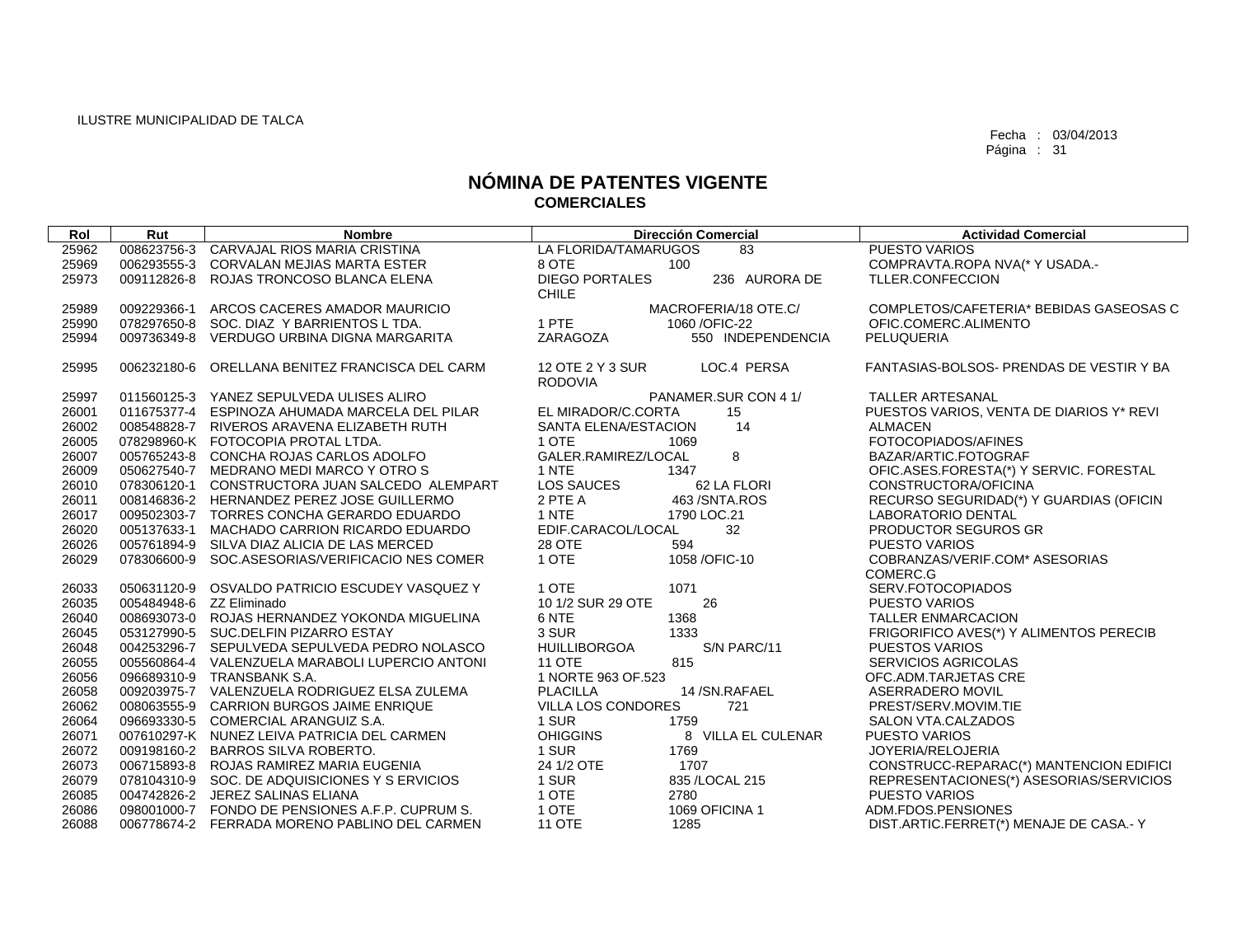| Rol   | Rut                      | <b>Nombre</b>                                   |                           | <b>Dirección Comercial</b> | <b>Actividad Comercial</b>               |
|-------|--------------------------|-------------------------------------------------|---------------------------|----------------------------|------------------------------------------|
| 25962 | 008623756-3              | CARVAJAL RIOS MARIA CRISTINA                    | LA FLORIDA/TAMARUGOS      | 83                         | <b>PUESTO VARIOS</b>                     |
| 25969 |                          | 006293555-3 CORVALAN MEJIAS MARTA ESTER         | 8 OTE                     | 100                        | COMPRAVTA.ROPA NVA(* Y USADA.-           |
| 25973 |                          | 009112826-8 ROJAS TRONCOSO BLANCA ELENA         | <b>DIEGO PORTALES</b>     | 236 AURORA DE              | TLLER.CONFECCION                         |
|       |                          |                                                 | <b>CHILE</b>              |                            |                                          |
| 25989 | 009229366-1              | ARCOS CACERES AMADOR MAURICIO                   |                           | MACROFERIA/18 OTE.C/       | COMPLETOS/CAFETERIA* BEBIDAS GASEOSAS C  |
| 25990 |                          | 078297650-8 SOC, DIAZ Y BARRIENTOS L TDA.       | 1 PTE                     | 1060 / OFIC-22             | OFIC.COMERC.ALIMENTO                     |
| 25994 | 009736349-8              | VERDUGO URBINA DIGNA MARGARITA                  | ZARAGOZA                  | 550 INDEPENDENCIA          | PELUQUERIA                               |
| 25995 |                          | 006232180-6 ORELLANA BENITEZ FRANCISCA DEL CARM | 12 OTE 2 Y 3 SUR          | LOC.4 PERSA                | FANTASIAS-BOLSOS- PRENDAS DE VESTIR Y BA |
|       |                          |                                                 | <b>RODOVIA</b>            |                            |                                          |
| 25997 |                          | 011560125-3 YANEZ SEPULVEDA ULISES ALIRO        |                           | PANAMER.SUR CON 4 1/       | <b>TALLER ARTESANAL</b>                  |
| 26001 |                          | 011675377-4 ESPINOZA AHUMADA MARCELA DEL PILAR  | EL MIRADOR/C.CORTA        | 15                         | PUESTOS VARIOS, VENTA DE DIARIOS Y* REVI |
| 26002 |                          | 008548828-7 RIVEROS ARAVENA ELIZABETH RUTH      | SANTA ELENA/ESTACION      | 14                         | <b>ALMACEN</b>                           |
| 26005 |                          | 078298960-K FOTOCOPIA PROTAL LTDA.              | 1 OTE                     | 1069                       | FOTOCOPIADOS/AFINES                      |
| 26007 |                          | 005765243-8 CONCHA ROJAS CARLOS ADOLFO          | GALER.RAMIREZ/LOCAL       | 8                          | BAZAR/ARTIC.FOTOGRAF                     |
| 26009 |                          | 050627540-7 MEDRANO MEDI MARCO Y OTRO S         | 1 NTE                     | 1347                       | OFIC.ASES.FORESTA(*) Y SERVIC. FORESTAL  |
| 26010 |                          | 078306120-1 CONSTRUCTORA JUAN SALCEDO ALEMPART  | LOS SAUCES                | 62 LA FLORI                | CONSTRUCTORA/OFICINA                     |
| 26011 |                          | 008146836-2 HERNANDEZ PEREZ JOSE GUILLERMO      | 2 PTE A                   | 463 / SNTA.ROS             | RECURSO SEGURIDAD(*) Y GUARDIAS (OFICIN  |
| 26017 |                          | 009502303-7 TORRES CONCHA GERARDO EDUARDO       | 1 NTE                     | 1790 LOC.21                | LABORATORIO DENTAL                       |
| 26020 |                          | 005137633-1 MACHADO CARRION RICARDO EDUARDO     | EDIF.CARACOL/LOCAL        | 32                         | PRODUCTOR SEGUROS GR                     |
| 26026 |                          | 005761894-9 SILVA DIAZ ALICIA DE LAS MERCED     | <b>28 OTE</b>             | 594                        | <b>PUESTO VARIOS</b>                     |
| 26029 |                          | 078306600-9 SOC.ASESORIAS/VERIFICACIO NES COMER | 1 OTE                     | 1058 / OFIC-10             | COBRANZAS/VERIF.COM* ASESORIAS           |
|       |                          |                                                 |                           |                            | COMERC.G                                 |
| 26033 |                          | 050631120-9 OSVALDO PATRICIO ESCUDEY VASQUEZ Y  | 1 OTE                     | 1071                       | SERV.FOTOCOPIADOS                        |
| 26035 | 005484948-6 ZZ Eliminado |                                                 | 10 1/2 SUR 29 OTE         | 26                         | <b>PUESTO VARIOS</b>                     |
| 26040 |                          | 008693073-0 ROJAS HERNANDEZ YOKONDA MIGUELINA   | 6 NTE                     | 1368                       | TALLER ENMARCACION                       |
| 26045 |                          | 053127990-5 SUC.DELFIN PIZARRO ESTAY            | 3 SUR                     | 1333                       | FRIGORIFICO AVES(*) Y ALIMENTOS PERECIB  |
| 26048 |                          | 004253296-7 SEPULVEDA SEPULVEDA PEDRO NOLASCO   | <b>HUILLIBORGOA</b>       | S/N PARC/11                | <b>PUESTOS VARIOS</b>                    |
| 26055 |                          | 005560864-4 VALENZUELA MARABOLI LUPERCIO ANTONI | <b>11 OTE</b>             | 815                        | <b>SERVICIOS AGRICOLAS</b>               |
| 26056 |                          | 096689310-9 TRANSBANK S.A.                      | 1 NORTE 963 OF 523        |                            | OFC.ADM.TARJETAS CRE                     |
| 26058 |                          | 009203975-7 VALENZUELA RODRIGUEZ ELSA ZULEMA    | <b>PLACILLA</b>           | 14/SN.RAFAEL               | ASERRADERO MOVIL                         |
| 26062 |                          | 008063555-9 CARRION BURGOS JAIME ENRIQUE        | <b>VILLA LOS CONDORES</b> | 721                        | PREST/SERV.MOVIM.TIE                     |
| 26064 |                          | 096693330-5 COMERCIAL ARANGUIZ S.A.             | 1 SUR                     | 1759                       | SALON VTA.CALZADOS                       |
| 26071 |                          | 007610297-K NUNEZ LEIVA PATRICIA DEL CARMEN     | <b>OHIGGINS</b>           | 8 VILLA EL CULENAR         | <b>PUESTO VARIOS</b>                     |
| 26072 |                          | 009198160-2 BARROS SILVA ROBERTO.               | 1 SUR                     | 1769                       | JOYERIA/RELOJERIA                        |
| 26073 |                          | 006715893-8 ROJAS RAMIREZ MARIA EUGENIA         | 24 1/2 OTE                | 1707                       | CONSTRUCC-REPARAC(*) MANTENCION EDIFICI  |
| 26079 |                          | 078104310-9 SOC. DE ADQUISICIONES Y S ERVICIOS  | 1 SUR                     | 835 /LOCAL 215             | REPRESENTACIONES(*) ASESORIAS/SERVICIOS  |
| 26085 |                          | 004742826-2 JEREZ SALINAS ELIANA                | 1 OTE                     | 2780                       | <b>PUESTO VARIOS</b>                     |
| 26086 |                          | 098001000-7 FONDO DE PENSIONES A.F.P. CUPRUM S. | 1 OTE                     | 1069 OFICINA 1             | ADM.FDOS.PENSIONES                       |
| 26088 |                          | 006778674-2 FERRADA MORENO PABLINO DEL CARMEN   | <b>11 OTE</b>             | 1285                       | DIST.ARTIC.FERRET(*) MENAJE DE CASA.-Y   |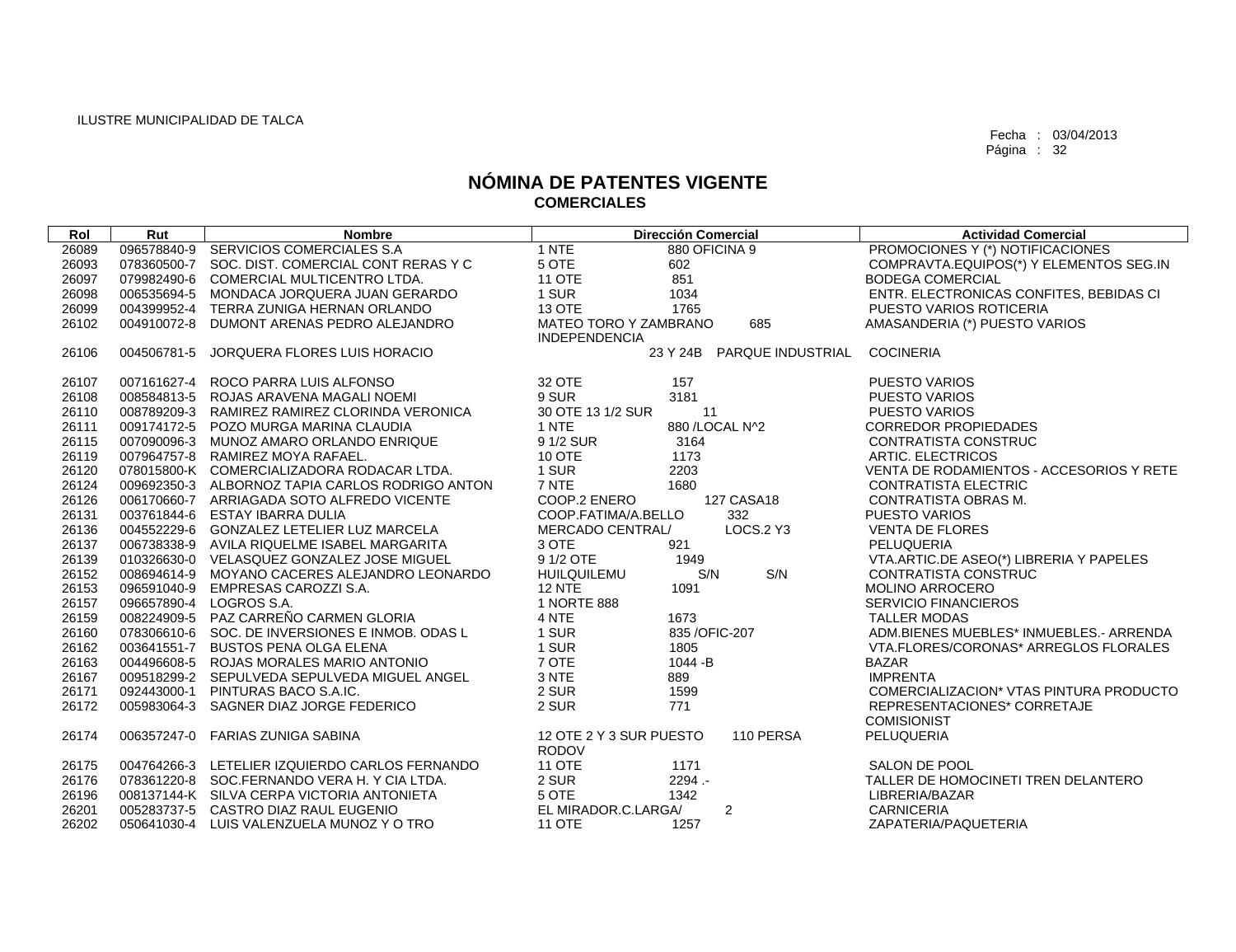| Rol   | Rut         | <b>Nombre</b>                                   | <b>Dirección Comercial</b>            | <b>Actividad Comercial</b>               |
|-------|-------------|-------------------------------------------------|---------------------------------------|------------------------------------------|
| 26089 |             | 096578840-9 SERVICIOS COMERCIALES S.A           | 1 NTE<br>880 OFICINA 9                | PROMOCIONES Y (*) NOTIFICACIONES         |
| 26093 |             | 078360500-7 SOC. DIST. COMERCIAL CONT RERAS Y C | 5 OTE<br>602                          | COMPRAVTA.EQUIPOS(*) Y ELEMENTOS SEG.IN  |
| 26097 |             | 079982490-6 COMERCIAL MULTICENTRO LTDA.         | 851<br><b>11 OTE</b>                  | <b>BODEGA COMERCIAL</b>                  |
| 26098 |             | 006535694-5 MONDACA JORQUERA JUAN GERARDO       | 1 SUR<br>1034                         | ENTR. ELECTRONICAS CONFITES, BEBIDAS CI  |
| 26099 |             | 004399952-4 TERRA ZUNIGA HERNAN ORLANDO         | <b>13 OTE</b><br>1765                 | PUESTO VARIOS ROTICERIA                  |
| 26102 | 004910072-8 | DUMONT ARENAS PEDRO ALEJANDRO                   | 685<br>MATEO TORO Y ZAMBRANO          | AMASANDERIA (*) PUESTO VARIOS            |
|       |             |                                                 | <b>INDEPENDENCIA</b>                  |                                          |
| 26106 | 004506781-5 | JORQUERA FLORES LUIS HORACIO                    | 23 Y 24B PARQUE INDUSTRIAL            | <b>COCINERIA</b>                         |
|       |             |                                                 |                                       |                                          |
| 26107 |             | 007161627-4 ROCO PARRA LUIS ALFONSO             | 32 OTE<br>157                         | <b>PUESTO VARIOS</b>                     |
| 26108 |             | 008584813-5 ROJAS ARAVENA MAGALI NOEMI          | 9 SUR<br>3181                         | <b>PUESTO VARIOS</b>                     |
| 26110 |             | 008789209-3 RAMIREZ RAMIREZ CLORINDA VERONICA   | 30 OTE 13 1/2 SUR<br>11               | <b>PUESTO VARIOS</b>                     |
| 26111 |             | 009174172-5 POZO MURGA MARINA CLAUDIA           | 880 / LOCAL N^2<br>1 NTE              | <b>CORREDOR PROPIEDADES</b>              |
| 26115 |             | 007090096-3 MUNOZ AMARO ORLANDO ENRIQUE         | 9 1/2 SUR<br>3164                     | <b>CONTRATISTA CONSTRUC</b>              |
| 26119 |             | 007964757-8 RAMIREZ MOYA RAFAEL.                | <b>10 OTE</b><br>1173                 | ARTIC. ELECTRICOS                        |
| 26120 |             | 078015800-K COMERCIALIZADORA RODACAR LTDA.      | 1 SUR<br>2203                         | VENTA DE RODAMIENTOS - ACCESORIOS Y RETE |
| 26124 |             | 009692350-3 ALBORNOZ TAPIA CARLOS RODRIGO ANTON | 7 NTE<br>1680                         | <b>CONTRATISTA ELECTRIC</b>              |
| 26126 |             | 006170660-7 ARRIAGADA SOTO ALFREDO VICENTE      | <b>127 CASA18</b><br>COOP.2 ENERO     | CONTRATISTA OBRAS M.                     |
| 26131 |             | 003761844-6 ESTAY IBARRA DULIA                  | COOP.FATIMA/A.BELLO<br>332            | <b>PUESTO VARIOS</b>                     |
| 26136 |             | 004552229-6 GONZALEZ LETELIER LUZ MARCELA       | <b>LOCS.2 Y3</b><br>MERCADO CENTRAL/  | <b>VENTA DE FLORES</b>                   |
| 26137 |             | 006738338-9 AVILA RIQUELME ISABEL MARGARITA     | 3 OTE<br>921                          | PELUQUERIA                               |
| 26139 |             | 010326630-0 VELASQUEZ GONZALEZ JOSE MIGUEL      | 9 1/2 OTE<br>1949                     | VTA.ARTIC.DE ASEO(*) LIBRERIA Y PAPELES  |
| 26152 |             | 008694614-9 MOYANO CACERES ALEJANDRO LEONARDO   | S/N<br>S/N<br><b>HUILQUILEMU</b>      | <b>CONTRATISTA CONSTRUC</b>              |
| 26153 |             | 096591040-9 EMPRESAS CAROZZI S.A.               | <b>12 NTE</b><br>1091                 | <b>MOLINO ARROCERO</b>                   |
| 26157 |             | 096657890-4 LOGROS S.A.                         | 1 NORTE 888                           | <b>SERVICIO FINANCIEROS</b>              |
| 26159 |             | 008224909-5 PAZ CARREÑO CARMEN GLORIA           | 4 NTE<br>1673                         | <b>TALLER MODAS</b>                      |
| 26160 |             | 078306610-6 SOC. DE INVERSIONES E INMOB. ODAS L | 1 SUR<br>835 / OFIC-207               | ADM.BIENES MUEBLES* INMUEBLES.- ARRENDA  |
| 26162 |             | 003641551-7 BUSTOS PENA OLGA ELENA              | 1 SUR<br>1805                         | VTA.FLORES/CORONAS* ARREGLOS FLORALES    |
| 26163 |             | 004496608-5 ROJAS MORALES MARIO ANTONIO         | 7 OTE<br>1044 - B                     | <b>BAZAR</b>                             |
| 26167 |             | 009518299-2 SEPULVEDA SEPULVEDA MIGUEL ANGEL    | 3 NTE<br>889                          | <b>IMPRENTA</b>                          |
| 26171 |             | 092443000-1 PINTURAS BACO S.A.IC.               | 2 SUR<br>1599                         | COMERCIALIZACION* VTAS PINTURA PRODUCTO  |
| 26172 |             | 005983064-3 SAGNER DIAZ JORGE FEDERICO          | 2 SUR<br>771                          | REPRESENTACIONES* CORRETAJE              |
|       |             |                                                 |                                       | <b>COMISIONIST</b>                       |
| 26174 |             | 006357247-0 FARIAS ZUNIGA SABINA                | 12 OTE 2 Y 3 SUR PUESTO<br>110 PERSA  | PELUQUERIA                               |
|       |             |                                                 | <b>RODOV</b>                          |                                          |
| 26175 |             | 004764266-3 LETELIER IZQUIERDO CARLOS FERNANDO  | <b>11 OTE</b><br>1171                 | SALON DE POOL                            |
| 26176 |             | 078361220-8 SOC.FERNANDO VERA H. Y CIA LTDA.    | 2 SUR<br>2294.-                       | TALLER DE HOMOCINETI TREN DELANTERO      |
| 26196 |             | 008137144-K SILVA CERPA VICTORIA ANTONIETA      | 5 OTE<br>1342                         | LIBRERIA/BAZAR                           |
| 26201 |             | 005283737-5 CASTRO DIAZ RAUL EUGENIO            | $\overline{2}$<br>EL MIRADOR.C.LARGA/ | <b>CARNICERIA</b>                        |
| 26202 |             | 050641030-4 LUIS VALENZUELA MUNOZ Y O TRO       | <b>11 OTE</b><br>1257                 | ZAPATERIA/PAQUETERIA                     |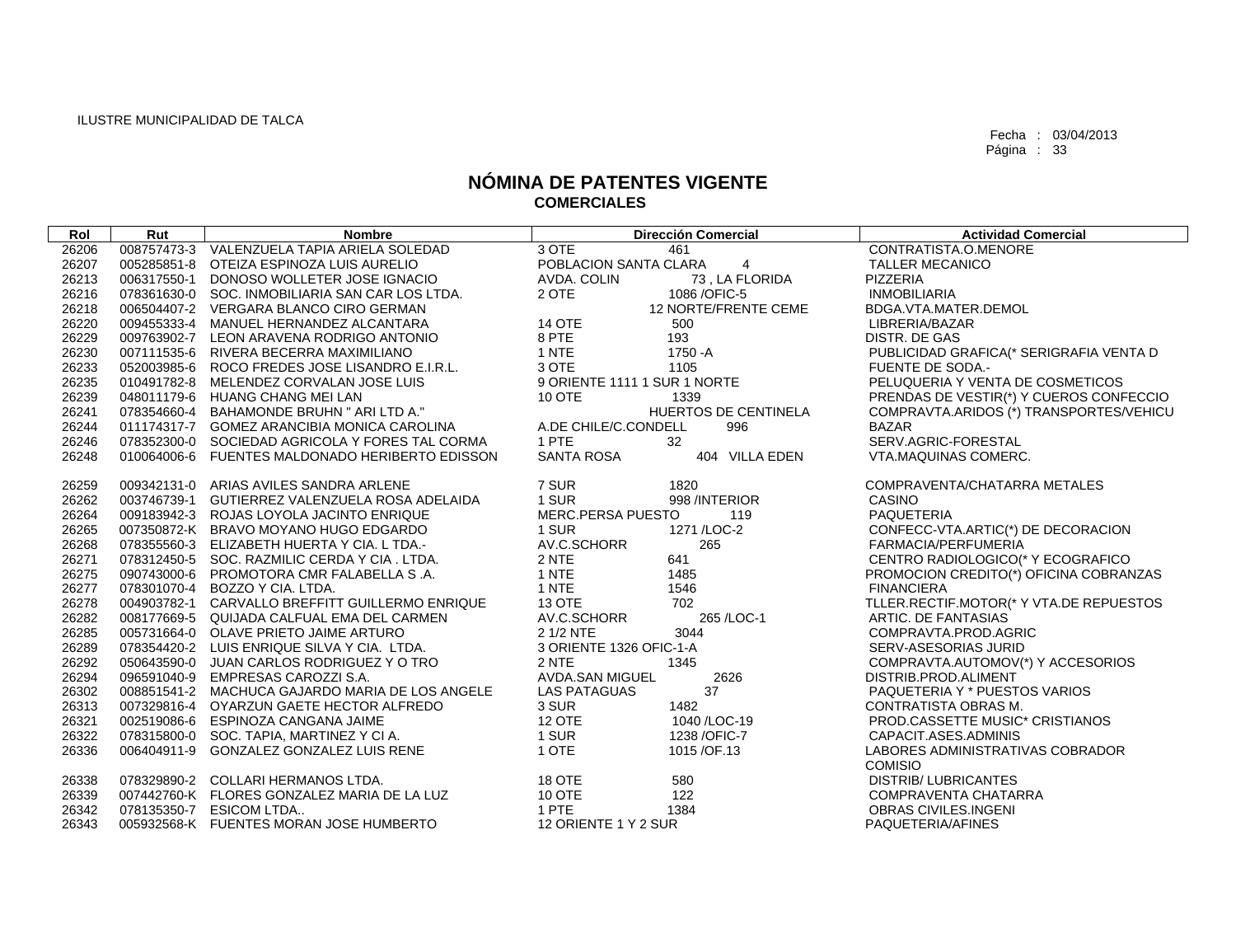| Rol   | Rut | <b>Nombre</b>                                   |                              | <b>Dirección Comercial</b> | <b>Actividad Comercial</b>              |
|-------|-----|-------------------------------------------------|------------------------------|----------------------------|-----------------------------------------|
| 26206 |     | 008757473-3 VALENZUELA TAPIA ARIELA SOLEDAD     | 3 OTE                        | 461                        | CONTRATISTA.O.MENORE                    |
| 26207 |     | 005285851-8 OTEIZA ESPINOZA LUIS AURELIO        | POBLACION SANTA CLARA        | 4                          | <b>TALLER MECANICO</b>                  |
| 26213 |     | 006317550-1 DONOSO WOLLETER JOSE IGNACIO        | AVDA, COLIN                  | 73, LA FLORIDA             | <b>PIZZERIA</b>                         |
| 26216 |     | 078361630-0 SOC. INMOBILIARIA SAN CAR LOS LTDA. | 2 OTE                        | 1086 / OFIC-5              | <b>INMOBILIARIA</b>                     |
| 26218 |     | 006504407-2 VERGARA BLANCO CIRO GERMAN          |                              | 12 NORTE/FRENTE CEME       | BDGA.VTA.MATER.DEMOL                    |
| 26220 |     | 009455333-4 MANUEL HERNANDEZ ALCANTARA          | <b>14 OTE</b>                | 500                        | LIBRERIA/BAZAR                          |
| 26229 |     | 009763902-7 LEON ARAVENA RODRIGO ANTONIO        | 8 PTE                        | 193                        | DISTR. DE GAS                           |
| 26230 |     | 007111535-6 RIVERA BECERRA MAXIMILIANO          | 1 NTE                        | 1750 - A                   | PUBLICIDAD GRAFICA(* SERIGRAFIA VENTA D |
| 26233 |     | 052003985-6 ROCO FREDES JOSE LISANDRO E.I.R.L.  | 3 OTE                        | 1105                       | <b>FUENTE DE SODA.-</b>                 |
| 26235 |     | 010491782-8 MELENDEZ CORVALAN JOSE LUIS         | 9 ORIENTE 1111 1 SUR 1 NORTE |                            | PELUQUERIA Y VENTA DE COSMETICOS        |
| 26239 |     | 048011179-6 HUANG CHANG MEI LAN                 | <b>10 OTE</b>                | 1339                       | PRENDAS DE VESTIR(*) Y CUEROS CONFECCIO |
| 26241 |     | 078354660-4 BAHAMONDE BRUHN " ARI LTD A."       |                              | HUERTOS DE CENTINELA       | COMPRAVTA.ARIDOS (*) TRANSPORTES/VEHICU |
| 26244 |     | 011174317-7 GOMEZ ARANCIBIA MONICA CAROLINA     | A.DE CHILE/C.CONDELL         | 996                        | <b>BAZAR</b>                            |
| 26246 |     | 078352300-0 SOCIEDAD AGRICOLA Y FORES TAL CORMA | 1 PTE                        | 32                         | SERV.AGRIC-FORESTAL                     |
| 26248 |     | 010064006-6 FUENTES MALDONADO HERIBERTO EDISSON | <b>SANTA ROSA</b>            | 404 VILLA EDEN             | VTA.MAQUINAS COMERC.                    |
| 26259 |     | 009342131-0 ARIAS AVILES SANDRA ARLENE          | 7 SUR                        | 1820                       | COMPRAVENTA/CHATARRA METALES            |
| 26262 |     | 003746739-1 GUTIERREZ VALENZUELA ROSA ADELAIDA  | 1 SUR                        | 998 /INTERIOR              | CASINO                                  |
| 26264 |     | 009183942-3 ROJAS LOYOLA JACINTO ENRIQUE        | MERC.PERSA PUESTO            | 119                        | PAQUETERIA                              |
| 26265 |     | 007350872-K BRAVO MOYANO HUGO EDGARDO           | 1 SUR                        | 1271 / LOC-2               | CONFECC-VTA.ARTIC(*) DE DECORACION      |
| 26268 |     | 078355560-3 ELIZABETH HUERTA Y CIA. L TDA.-     | AV.C.SCHORR                  | 265                        | FARMACIA/PERFUMERIA                     |
| 26271 |     | 078312450-5 SOC. RAZMILIC CERDA Y CIA. LTDA.    | 2 NTE                        | 641                        | CENTRO RADIOLOGICO(* Y ECOGRAFICO       |
| 26275 |     | 090743000-6 PROMOTORA CMR FALABELLA S.A.        | 1 NTE                        | 1485                       | PROMOCION CREDITO(*) OFICINA COBRANZAS  |
| 26277 |     | 078301070-4 BOZZO Y CIA. LTDA.                  | 1 NTE                        | 1546                       | <b>FINANCIERA</b>                       |
| 26278 |     | 004903782-1 CARVALLO BREFFITT GUILLERMO ENRIQUE | <b>13 OTE</b>                | 702                        | TLLER.RECTIF.MOTOR(* Y VTA.DE REPUESTOS |
| 26282 |     | 008177669-5 QUIJADA CALFUAL EMA DEL CARMEN      | AV.C.SCHORR                  | 265 / LOC-1                | ARTIC. DE FANTASIAS                     |
| 26285 |     | 005731664-0 OLAVE PRIETO JAIME ARTURO           | 2 1/2 NTE                    | 3044                       | COMPRAVTA.PROD.AGRIC                    |
| 26289 |     | 078354420-2 LUIS ENRIQUE SILVA Y CIA. LTDA.     | 3 ORIENTE 1326 OFIC-1-A      |                            | SERV-ASESORIAS JURID                    |
| 26292 |     | 050643590-0 JUAN CARLOS RODRIGUEZ Y O TRO       | 2 NTE                        | 1345                       | COMPRAVTA.AUTOMOV(*) Y ACCESORIOS       |
| 26294 |     | 096591040-9 EMPRESAS CAROZZI S.A.               | AVDA.SAN MIGUEL              | 2626                       | DISTRIB.PROD.ALIMENT                    |
| 26302 |     | 008851541-2 MACHUCA GAJARDO MARIA DE LOS ANGELE | <b>LAS PATAGUAS</b>          | 37                         | PAQUETERIA Y * PUESTOS VARIOS           |
| 26313 |     | 007329816-4 OYARZUN GAETE HECTOR ALFREDO        | 3 SUR                        | 1482                       | CONTRATISTA OBRAS M.                    |
| 26321 |     | 002519086-6 ESPINOZA CANGANA JAIME              | <b>12 OTE</b>                | 1040 /LOC-19               | PROD.CASSETTE MUSIC* CRISTIANOS         |
| 26322 |     | 078315800-0 SOC. TAPIA, MARTINEZ Y CI A.        | 1 SUR                        | 1238 / OFIC-7              | CAPACIT.ASES.ADMINIS                    |
| 26336 |     | 006404911-9 GONZALEZ GONZALEZ LUIS RENE         | 1 OTE                        | 1015/OF.13                 | LABORES ADMINISTRATIVAS COBRADOR        |
|       |     |                                                 |                              |                            | <b>COMISIO</b>                          |
| 26338 |     | 078329890-2 COLLARI HERMANOS LTDA.              | 18 OTE                       | 580                        | <b>DISTRIB/LUBRICANTES</b>              |
| 26339 |     | 007442760-K FLORES GONZALEZ MARIA DE LA LUZ     | 10 OTE                       | 122                        | COMPRAVENTA CHATARRA                    |
| 26342 |     | 078135350-7 ESICOM LTDA                         | 1 PTE                        | 1384                       | OBRAS CIVILES.INGENI                    |
| 26343 |     | 005932568-K FUENTES MORAN JOSE HUMBERTO         | 12 ORIENTE 1 Y 2 SUR         |                            | PAQUETERIA/AFINES                       |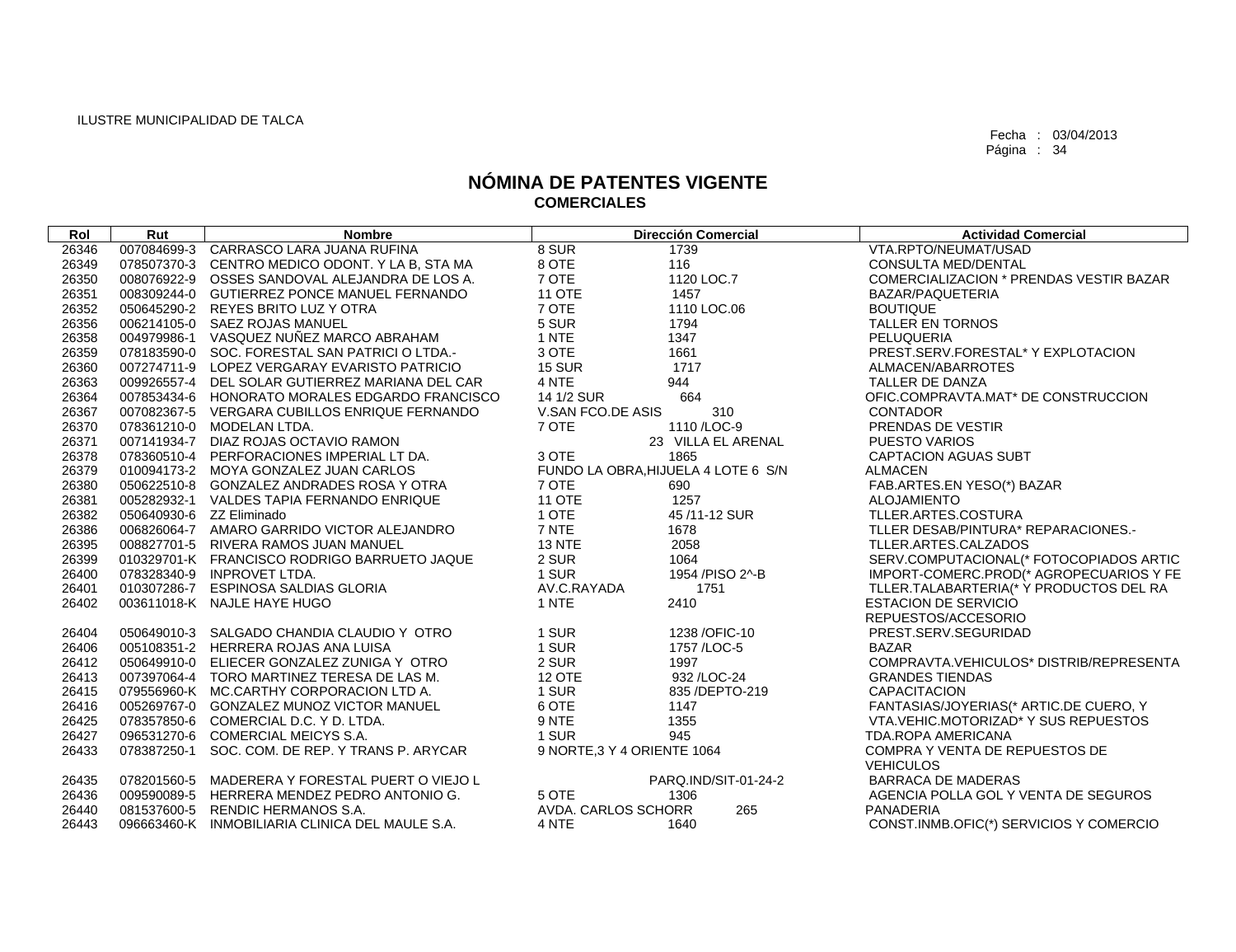| Rol   | Rut                      | <b>Nombre</b>                                   | <b>Dirección Comercial</b>          | <b>Actividad Comercial</b>                         |
|-------|--------------------------|-------------------------------------------------|-------------------------------------|----------------------------------------------------|
| 26346 |                          | 007084699-3 CARRASCO LARA JUANA RUFINA          | 8 SUR<br>1739                       | VTA.RPTO/NEUMAT/USAD                               |
| 26349 |                          | 078507370-3 CENTRO MEDICO ODONT. Y LA B, STA MA | 8 OTE<br>116                        | <b>CONSULTA MED/DENTAL</b>                         |
| 26350 |                          | 008076922-9 OSSES SANDOVAL ALEJANDRA DE LOS A.  | 7 OTE<br>1120 LOC.7                 | COMERCIALIZACION * PRENDAS VESTIR BAZAR            |
| 26351 |                          | 008309244-0 GUTIERREZ PONCE MANUEL FERNANDO     | <b>11 OTE</b><br>1457               | BAZAR/PAQUETERIA                                   |
| 26352 |                          | 050645290-2 REYES BRITO LUZ Y OTRA              | 7 OTE<br>1110 LOC.06                | <b>BOUTIQUE</b>                                    |
| 26356 |                          | 006214105-0 SAEZ ROJAS MANUEL                   | 5 SUR<br>1794                       | <b>TALLER EN TORNOS</b>                            |
| 26358 |                          | 004979986-1 VASQUEZ NUÑEZ MARCO ABRAHAM         | 1 NTE<br>1347                       | PELUQUERIA                                         |
| 26359 |                          | 078183590-0 SOC. FORESTAL SAN PATRICI O LTDA.-  | 3 OTE<br>1661                       | PREST.SERV.FORESTAL* Y EXPLOTACION                 |
| 26360 |                          | 007274711-9 LOPEZ VERGARAY EVARISTO PATRICIO    | <b>15 SUR</b><br>1717               | ALMACEN/ABARROTES                                  |
| 26363 |                          | 009926557-4 DEL SOLAR GUTIERREZ MARIANA DEL CAR | 944<br>4 NTE                        | TALLER DE DANZA                                    |
| 26364 |                          | 007853434-6 HONORATO MORALES EDGARDO FRANCISCO  | 664<br>14 1/2 SUR                   | OFIC.COMPRAVTA.MAT* DE CONSTRUCCION                |
| 26367 |                          | 007082367-5 VERGARA CUBILLOS ENRIQUE FERNANDO   | V.SAN FCO.DE ASIS<br>310            | <b>CONTADOR</b>                                    |
| 26370 |                          | 078361210-0 MODELAN LTDA.                       | 7 OTE<br>1110/LOC-9                 | PRENDAS DE VESTIR                                  |
| 26371 |                          | 007141934-7 DIAZ ROJAS OCTAVIO RAMON            | 23 VILLA EL ARENAL                  | <b>PUESTO VARIOS</b>                               |
| 26378 |                          | 078360510-4 PERFORACIONES IMPERIAL LT DA.       | 3 OTE<br>1865                       | <b>CAPTACION AGUAS SUBT</b>                        |
| 26379 |                          | 010094173-2 MOYA GONZALEZ JUAN CARLOS           | FUNDO LA OBRA, HIJUELA 4 LOTE 6 S/N | ALMACEN                                            |
| 26380 |                          | 050622510-8 GONZALEZ ANDRADES ROSA Y OTRA       | 7 OTE<br>690                        | FAB.ARTES.EN YESO(*) BAZAR                         |
| 26381 |                          | 005282932-1 VALDES TAPIA FERNANDO ENRIQUE       | <b>11 OTE</b><br>1257               | <b>ALOJAMIENTO</b>                                 |
| 26382 | 050640930-6 ZZ Eliminado |                                                 | 1 OTE<br>45/11-12 SUR               | TLLER.ARTES.COSTURA                                |
| 26386 |                          | 006826064-7 AMARO GARRIDO VICTOR ALEJANDRO      | 7 NTE<br>1678                       | TLLER DESAB/PINTURA* REPARACIONES.-                |
| 26395 |                          | 008827701-5 RIVERA RAMOS JUAN MANUEL            | <b>13 NTE</b><br>2058               | TLLER.ARTES.CALZADOS                               |
| 26399 |                          | 010329701-K FRANCISCO RODRIGO BARRUETO JAQUE    | 2 SUR<br>1064                       | SERV.COMPUTACIONAL(* FOTOCOPIADOS ARTIC            |
| 26400 |                          | 078328340-9 INPROVET LTDA.                      | 1 SUR<br>1954 / PISO 2^-B           | IMPORT-COMERC.PROD(* AGROPECUARIOS Y FE            |
| 26401 |                          | 010307286-7 ESPINOSA SALDIAS GLORIA             | AV.C.RAYADA<br>1751                 | TLLER.TALABARTERIA(* Y PRODUCTOS DEL RA            |
| 26402 |                          | 003611018-K NAJLE HAYE HUGO                     | 1 NTE<br>2410                       | <b>ESTACION DE SERVICIO</b>                        |
|       |                          |                                                 |                                     | REPUESTOS/ACCESORIO                                |
| 26404 |                          | 050649010-3 SALGADO CHANDIA CLAUDIO Y OTRO      | 1 SUR<br>1238 / OFIC-10             | PREST.SERV.SEGURIDAD                               |
| 26406 |                          | 005108351-2 HERRERA ROJAS ANA LUISA             | 1 SUR<br>1757 / LOC-5               | <b>BAZAR</b>                                       |
| 26412 |                          | 050649910-0 ELIECER GONZALEZ ZUNIGA Y OTRO      | 2 SUR<br>1997                       | COMPRAVTA.VEHICULOS* DISTRIB/REPRESENTA            |
| 26413 |                          | 007397064-4 TORO MARTINEZ TERESA DE LAS M.      | 12 OTE<br>932 / LOC-24              | <b>GRANDES TIENDAS</b>                             |
| 26415 |                          | 079556960-K MC.CARTHY CORPORACION LTD A.        | 1 SUR<br>835 / DEPTO-219            | <b>CAPACITACION</b>                                |
| 26416 |                          | 005269767-0 GONZALEZ MUNOZ VICTOR MANUEL        | 6 OTE<br>1147                       | FANTASIAS/JOYERIAS(* ARTIC.DE CUERO, Y             |
| 26425 |                          | 078357850-6 COMERCIAL D.C. Y D. LTDA.           | 9 NTE<br>1355                       | VTA, VEHIC, MOTORIZAD* Y SUS REPUESTOS             |
| 26427 |                          | 096531270-6 COMERCIAL MEICYS S.A.               | 1 SUR<br>945                        | TDA.ROPA AMERICANA                                 |
| 26433 |                          | 078387250-1 SOC. COM. DE REP. Y TRANS P. ARYCAR | 9 NORTE, 3 Y 4 ORIENTE 1064         | COMPRA Y VENTA DE REPUESTOS DE<br><b>VEHICULOS</b> |
| 26435 |                          | 078201560-5 MADERERA Y FORESTAL PUERT O VIEJO L | PARQ.IND/SIT-01-24-2                | <b>BARRACA DE MADERAS</b>                          |
| 26436 |                          | 009590089-5 HERRERA MENDEZ PEDRO ANTONIO G.     | 5 OTE<br>1306                       | AGENCIA POLLA GOL Y VENTA DE SEGUROS               |
| 26440 |                          | 081537600-5 RENDIC HERMANOS S.A.                | AVDA. CARLOS SCHORR<br>265          | PANADERIA                                          |
| 26443 |                          | 096663460-K INMOBILIARIA CLINICA DEL MAULE S.A. | 4 NTE<br>1640                       | CONST.INMB.OFIC(*) SERVICIOS Y COMERCIO            |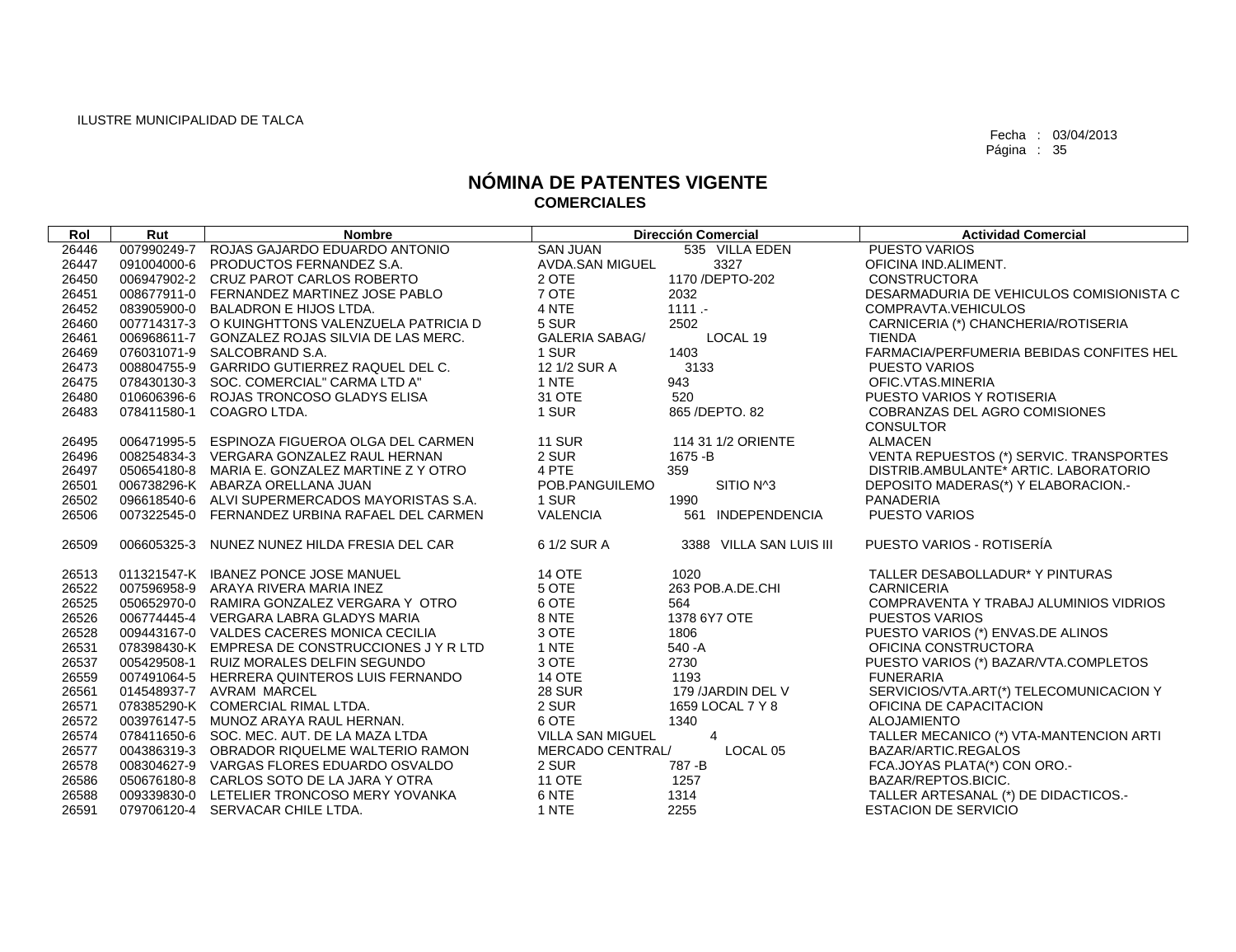| Rol   | Rut         | <b>Nombre</b>                                   |                         | <b>Dirección Comercial</b>  | <b>Actividad Comercial</b>               |
|-------|-------------|-------------------------------------------------|-------------------------|-----------------------------|------------------------------------------|
| 26446 |             | 007990249-7 ROJAS GAJARDO EDUARDO ANTONIO       | <b>SAN JUAN</b>         | 535 VILLA EDEN              | <b>PUESTO VARIOS</b>                     |
| 26447 | 091004000-6 | PRODUCTOS FERNANDEZ S.A.                        | AVDA.SAN MIGUEL         | 3327                        | OFICINA IND.ALIMENT.                     |
| 26450 |             | 006947902-2 CRUZ PAROT CARLOS ROBERTO           | 2 OTE                   | 1170 / DEPTO-202            | <b>CONSTRUCTORA</b>                      |
| 26451 |             | 008677911-0 FERNANDEZ MARTINEZ JOSE PABLO       | 7 OTE                   | 2032                        | DESARMADURIA DE VEHICULOS COMISIONISTA C |
| 26452 |             | 083905900-0 BALADRON E HIJOS LTDA.              | 4 NTE                   | 1111.                       | COMPRAVTA, VEHICULOS                     |
| 26460 |             | 007714317-3 O KUINGHTTONS VALENZUELA PATRICIA D | 5 SUR                   | 2502                        | CARNICERIA (*) CHANCHERIA/ROTISERIA      |
| 26461 |             | 006968611-7 GONZALEZ ROJAS SILVIA DE LAS MERC.  | <b>GALERIA SABAG/</b>   | LOCAL 19                    | <b>TIENDA</b>                            |
| 26469 |             | 076031071-9 SALCOBRAND S.A.                     | 1 SUR                   | 1403                        | FARMACIA/PERFUMERIA BEBIDAS CONFITES HEL |
| 26473 |             | 008804755-9 GARRIDO GUTIERREZ RAQUEL DEL C.     | 12 1/2 SUR A            | 3133                        | <b>PUESTO VARIOS</b>                     |
| 26475 |             | 078430130-3 SOC. COMERCIAL" CARMA LTD A"        | 1 NTE                   | 943                         | OFIC.VTAS.MINERIA                        |
| 26480 |             | 010606396-6 ROJAS TRONCOSO GLADYS ELISA         | 31 OTE                  | 520                         | PUESTO VARIOS Y ROTISERIA                |
| 26483 |             | 078411580-1 COAGRO LTDA.                        | 1 SUR                   | 865 / DEPTO. 82             | COBRANZAS DEL AGRO COMISIONES            |
|       |             |                                                 |                         |                             | <b>CONSULTOR</b>                         |
| 26495 |             | 006471995-5 ESPINOZA FIGUEROA OLGA DEL CARMEN   | <b>11 SUR</b>           | 114 31 1/2 ORIENTE          | <b>ALMACEN</b>                           |
| 26496 |             | 008254834-3 VERGARA GONZALEZ RAUL HERNAN        | 2 SUR                   | 1675 - B                    | VENTA REPUESTOS (*) SERVIC. TRANSPORTES  |
| 26497 |             | 050654180-8 MARIA E. GONZALEZ MARTINE Z Y OTRO  | 4 PTE                   | 359                         | DISTRIB.AMBULANTE* ARTIC. LABORATORIO    |
| 26501 |             | 006738296-K ABARZA ORELLANA JUAN                | POB.PANGUILEMO          | SITIO N <sup>4</sup> 3      | DEPOSITO MADERAS(*) Y ELABORACION.-      |
| 26502 |             | 096618540-6 ALVI SUPERMERCADOS MAYORISTAS S.A.  | 1 SUR                   | 1990                        | PANADERIA                                |
| 26506 |             | 007322545-0 FERNANDEZ URBINA RAFAEL DEL CARMEN  | <b>VALENCIA</b>         | <b>INDEPENDENCIA</b><br>561 | PUESTO VARIOS                            |
| 26509 |             | 006605325-3 NUNEZ NUNEZ HILDA FRESIA DEL CAR    | 6 1/2 SUR A             | 3388 VILLA SAN LUIS III     | PUESTO VARIOS - ROTISERÍA                |
| 26513 |             | 011321547-K IBANEZ PONCE JOSE MANUEL            | <b>14 OTE</b>           | 1020                        | TALLER DESABOLLADUR* Y PINTURAS          |
| 26522 |             | 007596958-9 ARAYA RIVERA MARIA INEZ             | 5 OTE                   | 263 POB.A.DE.CHI            | <b>CARNICERIA</b>                        |
| 26525 |             | 050652970-0 RAMIRA GONZALEZ VERGARA Y OTRO      | 6 OTE                   | 564                         | COMPRAVENTA Y TRABAJ ALUMINIOS VIDRIOS   |
| 26526 |             | 006774445-4 VERGARA LABRA GLADYS MARIA          | 8 NTE                   | 1378 6Y7 OTE                | <b>PUESTOS VARIOS</b>                    |
| 26528 |             | 009443167-0 VALDES CACERES MONICA CECILIA       | 3 OTE                   | 1806                        | PUESTO VARIOS (*) ENVAS.DE ALINOS        |
| 26531 |             | 078398430-K EMPRESA DE CONSTRUCCIONES JY R LTD  | 1 NTE                   | $540 - A$                   | OFICINA CONSTRUCTORA                     |
| 26537 |             | 005429508-1 RUIZ MORALES DELFIN SEGUNDO         | 3 OTE                   | 2730                        | PUESTO VARIOS (*) BAZAR/VTA.COMPLETOS    |
| 26559 |             | 007491064-5 HERRERA QUINTEROS LUIS FERNANDO     | <b>14 OTE</b>           | 1193                        | <b>FUNERARIA</b>                         |
| 26561 |             | 014548937-7 AVRAM MARCEL                        | <b>28 SUR</b>           | 179 /JARDIN DEL V           | SERVICIOS/VTA.ART(*) TELECOMUNICACION Y  |
| 26571 |             | 078385290-K COMERCIAL RIMAL LTDA.               | 2 SUR                   | 1659 LOCAL 7 Y 8            | OFICINA DE CAPACITACION                  |
| 26572 |             | 003976147-5 MUNOZ ARAYA RAUL HERNAN.            | 6 OTE                   | 1340                        | <b>ALOJAMIENTO</b>                       |
| 26574 |             | 078411650-6 SOC. MEC. AUT. DE LA MAZA LTDA      | <b>VILLA SAN MIGUEL</b> | 4                           | TALLER MECANICO (*) VTA-MANTENCION ARTI  |
| 26577 |             | 004386319-3 OBRADOR RIQUELME WALTERIO RAMON     | MERCADO CENTRAL/        | LOCAL 05                    | BAZAR/ARTIC.REGALOS                      |
| 26578 |             | 008304627-9 VARGAS FLORES EDUARDO OSVALDO       | 2 SUR                   | 787-B                       | FCA.JOYAS PLATA(*) CON ORO.-             |
| 26586 |             | 050676180-8 CARLOS SOTO DE LA JARA Y OTRA       | <b>11 OTE</b>           | 1257                        | BAZAR/REPTOS.BICIC.                      |
| 26588 |             | 009339830-0 LETELIER TRONCOSO MERY YOVANKA      | 6 NTE                   | 1314                        | TALLER ARTESANAL (*) DE DIDACTICOS.-     |
| 26591 |             | 079706120-4 SERVACAR CHILE LTDA.                | 1 NTE                   | 2255                        | <b>ESTACION DE SERVICIO</b>              |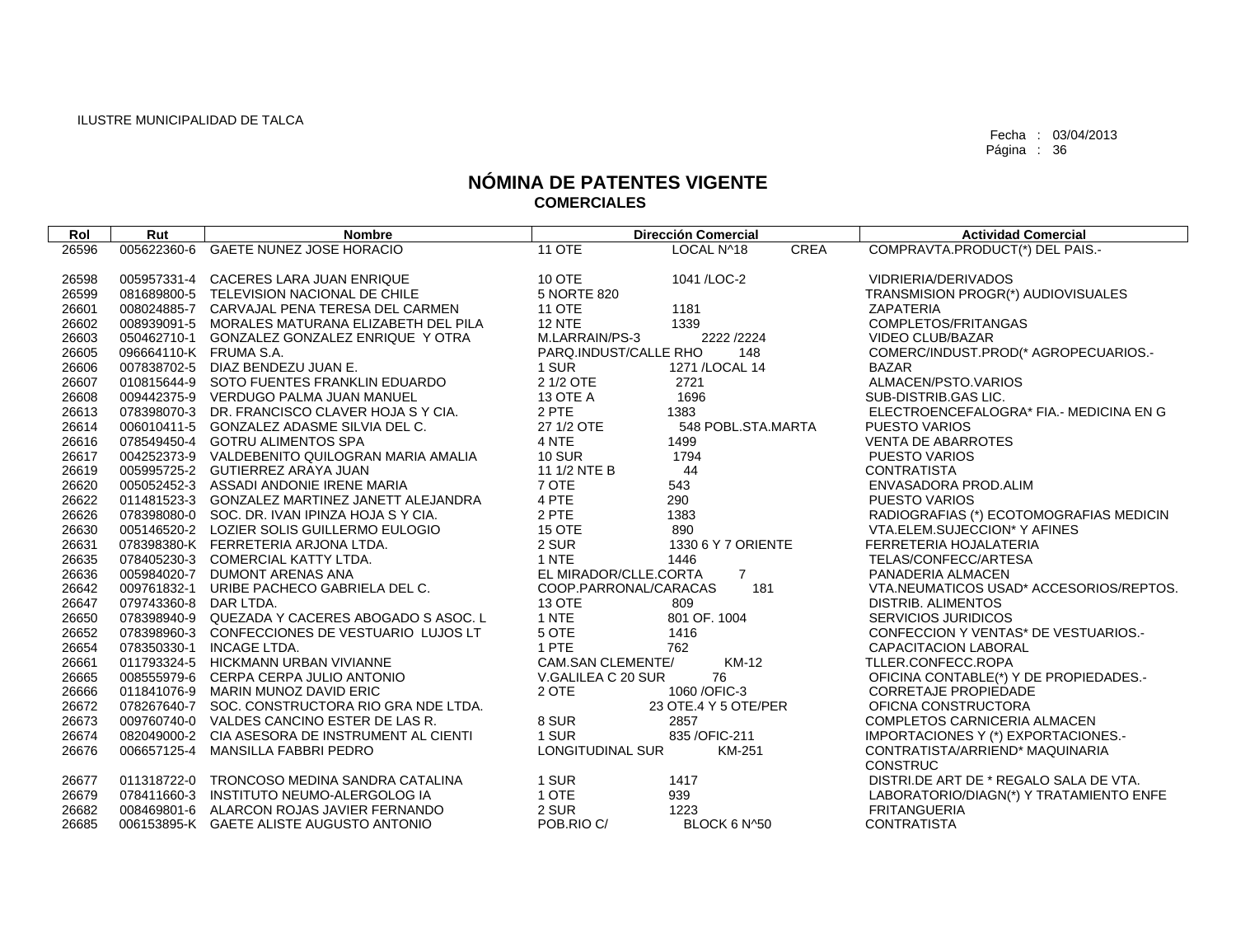| Rol   | Rut                    | <b>Nombre</b>                                   |                          | <b>Dirección Comercial</b> |      | <b>Actividad Comercial</b>              |
|-------|------------------------|-------------------------------------------------|--------------------------|----------------------------|------|-----------------------------------------|
| 26596 |                        | 005622360-6 GAETE NUNEZ JOSE HORACIO            | <b>11 OTE</b>            | LOCAL N^18                 | CREA | COMPRAVTA.PRODUCT(*) DEL PAIS.-         |
|       |                        |                                                 |                          |                            |      |                                         |
| 26598 |                        | 005957331-4 CACERES LARA JUAN ENRIQUE           | 10 OTE                   | 1041 / LOC-2               |      | VIDRIERIA/DERIVADOS                     |
| 26599 |                        | 081689800-5 TELEVISION NACIONAL DE CHILE        | 5 NORTE 820              |                            |      | TRANSMISION PROGR(*) AUDIOVISUALES      |
| 26601 |                        | 008024885-7 CARVAJAL PENA TERESA DEL CARMEN     | <b>11 OTE</b>            | 1181                       |      | <b>ZAPATERIA</b>                        |
| 26602 |                        | 008939091-5 MORALES MATURANA ELIZABETH DEL PILA | <b>12 NTE</b>            | 1339                       |      | COMPLETOS/FRITANGAS                     |
| 26603 |                        | 050462710-1 GONZALEZ GONZALEZ ENRIQUE Y OTRA    | M.LARRAIN/PS-3           | 2222 / 2224                |      | <b>VIDEO CLUB/BAZAR</b>                 |
| 26605 | 096664110-K FRUMA S.A. |                                                 | PARQ.INDUST/CALLE RHO    | 148                        |      | COMERC/INDUST.PROD(* AGROPECUARIOS.-    |
| 26606 |                        | 007838702-5 DIAZ BENDEZU JUAN E.                | 1 SUR                    | 1271 / LOCAL 14            |      | <b>BAZAR</b>                            |
| 26607 |                        | 010815644-9 SOTO FUENTES FRANKLIN EDUARDO       | 2 1/2 OTE                | 2721                       |      | ALMACEN/PSTO.VARIOS                     |
| 26608 |                        | 009442375-9 VERDUGO PALMA JUAN MANUEL           | <b>13 OTE A</b>          | 1696                       |      | SUB-DISTRIB.GAS LIC.                    |
| 26613 |                        | 078398070-3 DR. FRANCISCO CLAVER HOJA S Y CIA.  | 2 PTE                    | 1383                       |      | ELECTROENCEFALOGRA* FIA.- MEDICINA EN G |
| 26614 |                        | 006010411-5 GONZALEZ ADASME SILVIA DEL C.       | 27 1/2 OTE               | 548 POBL.STA.MARTA         |      | <b>PUESTO VARIOS</b>                    |
| 26616 |                        | 078549450-4 GOTRU ALIMENTOS SPA                 | 4 NTE                    | 1499                       |      | <b>VENTA DE ABARROTES</b>               |
| 26617 |                        | 004252373-9 VALDEBENITO QUILOGRAN MARIA AMALIA  | <b>10 SUR</b>            | 1794                       |      | <b>PUESTO VARIOS</b>                    |
| 26619 |                        | 005995725-2 GUTIERREZ ARAYA JUAN                | 11 1/2 NTE B             | 44                         |      | <b>CONTRATISTA</b>                      |
| 26620 |                        | 005052452-3 ASSADI ANDONIE IRENE MARIA          | 7 OTE                    | 543                        |      | ENVASADORA PROD.ALIM                    |
| 26622 |                        | 011481523-3 GONZALEZ MARTINEZ JANETT ALEJANDRA  | 4 PTE                    | 290                        |      | <b>PUESTO VARIOS</b>                    |
| 26626 |                        | 078398080-0 SOC. DR. IVAN IPINZA HOJA S Y CIA.  | 2 PTE                    | 1383                       |      | RADIOGRAFIAS (*) ECOTOMOGRAFIAS MEDICIN |
| 26630 |                        | 005146520-2 LOZIER SOLIS GUILLERMO EULOGIO      | 15 OTE                   | 890                        |      | VTA.ELEM.SUJECCION* Y AFINES            |
| 26631 |                        | 078398380-K FERRETERIA ARJONA LTDA.             | 2 SUR                    | 1330 6 Y 7 ORIENTE         |      | FERRETERIA HOJALATERIA                  |
| 26635 |                        | 078405230-3 COMERCIAL KATTY LTDA.               | 1 NTE                    | 1446                       |      | TELAS/CONFECC/ARTESA                    |
| 26636 |                        | 005984020-7 DUMONT ARENAS ANA                   | EL MIRADOR/CLLE.CORTA    | $\overline{7}$             |      | PANADERIA ALMACEN                       |
| 26642 |                        | 009761832-1 URIBE PACHECO GABRIELA DEL C.       | COOP.PARRONAL/CARACAS    | 181                        |      | VTA.NEUMATICOS USAD* ACCESORIOS/REPTOS. |
| 26647 | 079743360-8            | DAR LTDA.                                       | <b>13 OTE</b>            | 809                        |      | <b>DISTRIB. ALIMENTOS</b>               |
| 26650 |                        | 078398940-9 QUEZADA Y CACERES ABOGADO S ASOC. L | 1 NTE                    | 801 OF. 1004               |      | <b>SERVICIOS JURIDICOS</b>              |
| 26652 |                        | 078398960-3 CONFECCIONES DE VESTUARIO LUJOS LT  | 5 OTE                    | 1416                       |      | CONFECCION Y VENTAS* DE VESTUARIOS.-    |
| 26654 |                        | 078350330-1 INCAGE LTDA.                        | 1 PTE                    | 762                        |      | CAPACITACION LABORAL                    |
| 26661 |                        | 011793324-5 HICKMANN URBAN VIVIANNE             | <b>CAM.SAN CLEMENTE/</b> | KM-12                      |      | TLLER.CONFECC.ROPA                      |
| 26665 |                        | 008555979-6 CERPA CERPA JULIO ANTONIO           | V.GALILEA C 20 SUR       | 76                         |      | OFICINA CONTABLE(*) Y DE PROPIEDADES.-  |
| 26666 |                        | 011841076-9 MARIN MUNOZ DAVID ERIC              | 2 OTE                    | 1060 / OFIC-3              |      | <b>CORRETAJE PROPIEDADE</b>             |
| 26672 |                        | 078267640-7 SOC. CONSTRUCTORA RIO GRA NDE LTDA. |                          | 23 OTE.4 Y 5 OTE/PER       |      | OFICNA CONSTRUCTORA                     |
| 26673 |                        | 009760740-0 VALDES CANCINO ESTER DE LAS R.      | 8 SUR                    | 2857                       |      | COMPLETOS CARNICERIA ALMACEN            |
| 26674 |                        | 082049000-2 CIA ASESORA DE INSTRUMENT AL CIENTI | 1 SUR                    | 835 / OFIC-211             |      | IMPORTACIONES Y (*) EXPORTACIONES.-     |
| 26676 | 006657125-4            | <b>MANSILLA FABBRI PEDRO</b>                    | LONGITUDINAL SUR         | KM-251                     |      | CONTRATISTA/ARRIEND* MAQUINARIA         |
|       |                        |                                                 |                          |                            |      | <b>CONSTRUC</b>                         |
| 26677 |                        | 011318722-0 TRONCOSO MEDINA SANDRA CATALINA     | 1 SUR                    | 1417                       |      | DISTRI.DE ART DE * REGALO SALA DE VTA.  |
| 26679 |                        | 078411660-3 INSTITUTO NEUMO-ALERGOLOG IA        | 1 OTE                    | 939                        |      | LABORATORIO/DIAGN(*) Y TRATAMIENTO ENFE |
| 26682 |                        | 008469801-6 ALARCON ROJAS JAVIER FERNANDO       | 2 SUR                    | 1223                       |      | <b>FRITANGUERIA</b>                     |
| 26685 |                        | 006153895-K GAETE ALISTE AUGUSTO ANTONIO        | POB.RIO C/               | BLOCK 6 N^50               |      | <b>CONTRATISTA</b>                      |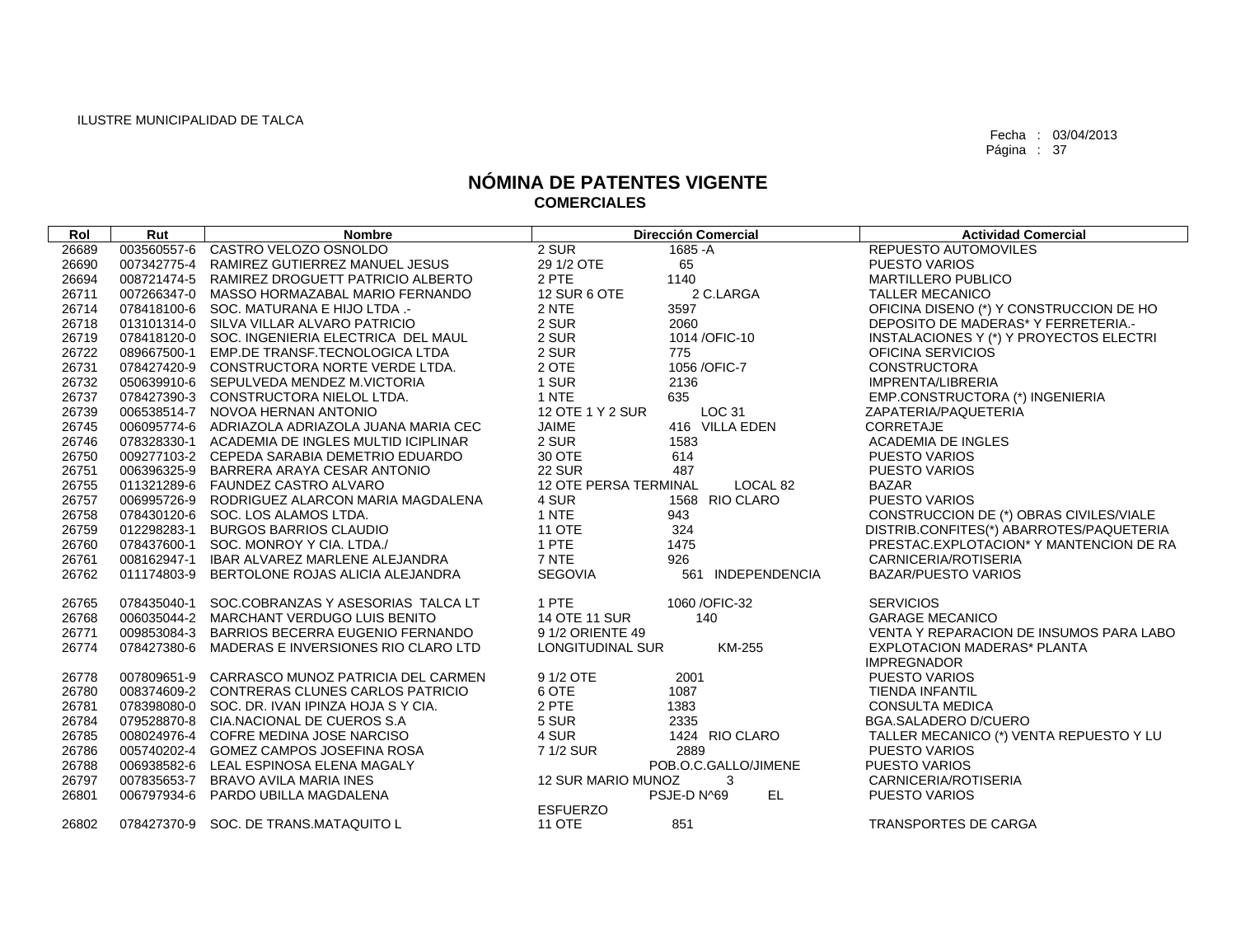| Rol   | Rut | <b>Nombre</b>                                   |                       | <b>Dirección Comercial</b>  | <b>Actividad Comercial</b>                               |
|-------|-----|-------------------------------------------------|-----------------------|-----------------------------|----------------------------------------------------------|
| 26689 |     | 003560557-6 CASTRO VELOZO OSNOLDO               | 2 SUR                 | 1685 - A                    | <b>REPUESTO AUTOMOVILES</b>                              |
| 26690 |     | 007342775-4 RAMIREZ GUTIERREZ MANUEL JESUS      | 29 1/2 OTE            | 65                          | <b>PUESTO VARIOS</b>                                     |
| 26694 |     | 008721474-5 RAMIREZ DROGUETT PATRICIO ALBERTO   | 2 PTE                 | 1140                        | <b>MARTILLERO PUBLICO</b>                                |
| 26711 |     | 007266347-0 MASSO HORMAZABAL MARIO FERNANDO     | <b>12 SUR 6 OTE</b>   | 2 C.LARGA                   | <b>TALLER MECANICO</b>                                   |
| 26714 |     | 078418100-6 SOC. MATURANA E HIJO LTDA .-        | 2 NTE                 | 3597                        | OFICINA DISENO (*) Y CONSTRUCCION DE HO                  |
| 26718 |     | 013101314-0 SILVA VILLAR ALVARO PATRICIO        | 2 SUR                 | 2060                        | DEPOSITO DE MADERAS* Y FERRETERIA.-                      |
| 26719 |     | 078418120-0 SOC. INGENIERIA ELECTRICA DEL MAUL  | 2 SUR                 | 1014/OFIC-10                | INSTALACIONES Y (*) Y PROYECTOS ELECTRI                  |
| 26722 |     | 089667500-1 EMP.DE TRANSF.TECNOLOGICA LTDA      | 2 SUR                 | 775                         | OFICINA SERVICIOS                                        |
| 26731 |     | 078427420-9 CONSTRUCTORA NORTE VERDE LTDA.      | 2 OTE                 | 1056 / OFIC-7               | <b>CONSTRUCTORA</b>                                      |
| 26732 |     | 050639910-6 SEPULVEDA MENDEZ M.VICTORIA         | 1 SUR                 | 2136                        | IMPRENTA/LIBRERIA                                        |
| 26737 |     | 078427390-3 CONSTRUCTORA NIELOL LTDA.           | 1 NTE                 | 635                         | EMP.CONSTRUCTORA (*) INGENIERIA                          |
| 26739 |     | 006538514-7 NOVOA HERNAN ANTONIO                | 12 OTE 1 Y 2 SUR      | LOC 31                      | ZAPATERIA/PAQUETERIA                                     |
| 26745 |     | 006095774-6 ADRIAZOLA ADRIAZOLA JUANA MARIA CEC | <b>JAIME</b>          | 416 VILLA EDEN              | <b>CORRETAJE</b>                                         |
| 26746 |     | 078328330-1 ACADEMIA DE INGLES MULTID ICIPLINAR | 2 SUR                 | 1583                        | ACADEMIA DE INGLES                                       |
| 26750 |     | 009277103-2 CEPEDA SARABIA DEMETRIO EDUARDO     | 30 OTE                | 614                         | <b>PUESTO VARIOS</b>                                     |
| 26751 |     | 006396325-9 BARRERA ARAYA CESAR ANTONIO         | <b>22 SUR</b>         | 487                         | PUESTO VARIOS                                            |
| 26755 |     | 011321289-6 FAUNDEZ CASTRO ALVARO               | 12 OTE PERSA TERMINAL | LOCAL 82                    | <b>BAZAR</b>                                             |
| 26757 |     | 006995726-9 RODRIGUEZ ALARCON MARIA MAGDALENA   | 4 SUR                 | 1568 RIO CLARO              | <b>PUESTO VARIOS</b>                                     |
| 26758 |     | 078430120-6 SOC. LOS ALAMOS LTDA.               | 1 NTE                 | 943                         | CONSTRUCCION DE (*) OBRAS CIVILES/VIALE                  |
| 26759 |     | 012298283-1 BURGOS BARRIOS CLAUDIO              | <b>11 OTE</b>         | 324                         | DISTRIB.CONFITES(*) ABARROTES/PAQUETERIA                 |
| 26760 |     | 078437600-1 SOC. MONROY Y CIA. LTDA./           | 1 PTE                 | 1475                        | PRESTAC.EXPLOTACION* Y MANTENCION DE RA                  |
| 26761 |     | 008162947-1 IBAR ALVAREZ MARLENE ALEJANDRA      | 7 NTE                 | 926                         | CARNICERIA/ROTISERIA                                     |
| 26762 |     | 011174803-9 BERTOLONE ROJAS ALICIA ALEJANDRA    | SEGOVIA               | <b>INDEPENDENCIA</b><br>561 | BAZAR/PUESTO VARIOS                                      |
| 26765 |     | 078435040-1 SOC.COBRANZAS Y ASESORIAS TALCA LT  | 1 PTE                 | 1060 / OFIC-32              | <b>SERVICIOS</b>                                         |
| 26768 |     | 006035044-2 MARCHANT VERDUGO LUIS BENITO        | <b>14 OTE 11 SUR</b>  | 140                         | <b>GARAGE MECANICO</b>                                   |
| 26771 |     | 009853084-3 BARRIOS BECERRA EUGENIO FERNANDO    | 9 1/2 ORIENTE 49      |                             | VENTA Y REPARACION DE INSUMOS PARA LABO                  |
| 26774 |     | 078427380-6 MADERAS E INVERSIONES RIO CLARO LTD | LONGITUDINAL SUR      | KM-255                      | <b>EXPLOTACION MADERAS* PLANTA</b><br><b>IMPREGNADOR</b> |
| 26778 |     | 007809651-9 CARRASCO MUNOZ PATRICIA DEL CARMEN  | 9 1/2 OTE             | 2001                        | <b>PUESTO VARIOS</b>                                     |
| 26780 |     | 008374609-2 CONTRERAS CLUNES CARLOS PATRICIO    | 6 OTE                 | 1087                        | <b>TIENDA INFANTIL</b>                                   |
| 26781 |     | 078398080-0 SOC. DR. IVAN IPINZA HOJA S Y CIA.  | 2 PTE                 | 1383                        | <b>CONSULTA MEDICA</b>                                   |
| 26784 |     | 079528870-8 CIA.NACIONAL DE CUEROS S.A          | 5 SUR                 | 2335                        | <b>BGA.SALADERO D/CUERO</b>                              |
| 26785 |     | 008024976-4 COFRE MEDINA JOSE NARCISO           | 4 SUR                 | 1424 RIO CLARO              | TALLER MECANICO (*) VENTA REPUESTO Y LU                  |
| 26786 |     | 005740202-4 GOMEZ CAMPOS JOSEFINA ROSA          | 7 1/2 SUR             | 2889                        | <b>PUESTO VARIOS</b>                                     |
| 26788 |     | 006938582-6 LEAL ESPINOSA ELENA MAGALY          |                       | POB.O.C.GALLO/JIMENE        | <b>PUESTO VARIOS</b>                                     |
| 26797 |     | 007835653-7 BRAVO AVILA MARIA INES              | 12 SUR MARIO MUNOZ    | 3                           | CARNICERIA/ROTISERIA                                     |
| 26801 |     | 006797934-6 PARDO UBILLA MAGDALENA              |                       | EL.<br>PSJE-D N^69          | <b>PUESTO VARIOS</b>                                     |
|       |     |                                                 | <b>ESFUERZO</b>       |                             |                                                          |
| 26802 |     | 078427370-9 SOC. DE TRANS.MATAQUITO L           | <b>11 OTE</b>         | 851                         | TRANSPORTES DE CARGA                                     |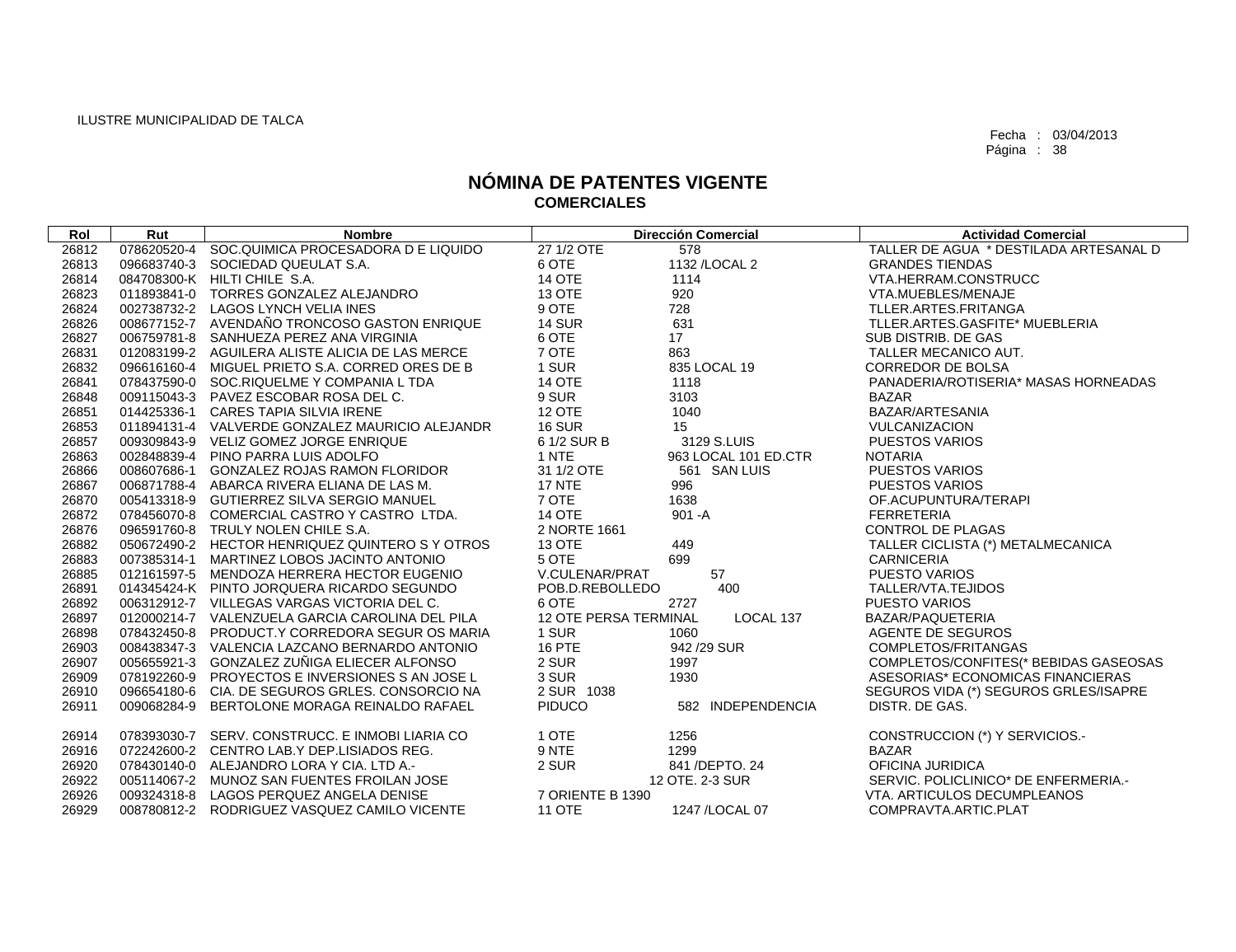| Rol   | Rut | <b>Nombre</b>                                   |                              | <b>Dirección Comercial</b> | <b>Actividad Comercial</b>             |
|-------|-----|-------------------------------------------------|------------------------------|----------------------------|----------------------------------------|
| 26812 |     | 078620520-4 SOC.QUIMICA PROCESADORA D E LIQUIDO | 27 1/2 OTE                   | 578                        | TALLER DE AGUA * DESTILADA ARTESANAL D |
| 26813 |     | 096683740-3 SOCIEDAD QUEULAT S.A.               | 6 OTE                        | 1132 / LOCAL 2             | <b>GRANDES TIENDAS</b>                 |
| 26814 |     | 084708300-K HILTI CHILE S.A.                    | 14 OTE                       | 1114                       | VTA.HERRAM.CONSTRUCC                   |
| 26823 |     | 011893841-0 TORRES GONZALEZ ALEJANDRO           | 13 OTE                       | 920                        | VTA.MUEBLES/MENAJE                     |
| 26824 |     | 002738732-2 LAGOS LYNCH VELIA INES              | 9 OTE                        | 728                        | TLLER.ARTES.FRITANGA                   |
| 26826 |     | 008677152-7 AVENDAÑO TRONCOSO GASTON ENRIQUE    | <b>14 SUR</b>                | 631                        | TLLER.ARTES.GASFITE* MUEBLERIA         |
| 26827 |     | 006759781-8 SANHUEZA PEREZ ANA VIRGINIA         | 6 OTE                        | 17                         | SUB DISTRIB. DE GAS                    |
| 26831 |     | 012083199-2 AGUILERA ALISTE ALICIA DE LAS MERCE | 7 OTE                        | 863                        | TALLER MECANICO AUT.                   |
| 26832 |     | 096616160-4 MIGUEL PRIETO S.A. CORRED ORES DE B | 1 SUR                        | 835 LOCAL 19               | <b>CORREDOR DE BOLSA</b>               |
| 26841 |     | 078437590-0 SOC.RIQUELME Y COMPANIA L TDA       | <b>14 OTE</b>                | 1118                       | PANADERIA/ROTISERIA* MASAS HORNEADAS   |
| 26848 |     | 009115043-3 PAVEZ ESCOBAR ROSA DEL C.           | 9 SUR                        | 3103                       | <b>BAZAR</b>                           |
| 26851 |     | 014425336-1 CARES TAPIA SILVIA IRENE            | <b>12 OTE</b>                | 1040                       | BAZAR/ARTESANIA                        |
| 26853 |     | 011894131-4 VALVERDE GONZALEZ MAURICIO ALEJANDR | <b>16 SUR</b>                | 15                         | VULCANIZACION                          |
| 26857 |     | 009309843-9 VELIZ GOMEZ JORGE ENRIQUE           | 6 1/2 SUR B                  | 3129 S.LUIS                | <b>PUESTOS VARIOS</b>                  |
| 26863 |     | 002848839-4 PINO PARRA LUIS ADOLFO              | 1 NTE                        | 963 LOCAL 101 ED.CTR       | <b>NOTARIA</b>                         |
| 26866 |     | 008607686-1 GONZALEZ ROJAS RAMON FLORIDOR       | 31 1/2 OTE                   | 561 SAN LUIS               | <b>PUESTOS VARIOS</b>                  |
| 26867 |     | 006871788-4 ABARCA RIVERA ELIANA DE LAS M.      | <b>17 NTE</b>                | 996                        | <b>PUESTOS VARIOS</b>                  |
| 26870 |     | 005413318-9 GUTIERREZ SILVA SERGIO MANUEL       | 7 OTE                        | 1638                       | OF.ACUPUNTURA/TERAPI                   |
| 26872 |     | 078456070-8 COMERCIAL CASTRO Y CASTRO LTDA.     | <b>14 OTE</b>                | $901 - A$                  | <b>FERRETERIA</b>                      |
| 26876 |     | 096591760-8 TRULY NOLEN CHILE S.A.              | 2 NORTE 1661                 |                            | <b>CONTROL DE PLAGAS</b>               |
| 26882 |     | 050672490-2 HECTOR HENRIQUEZ QUINTERO S Y OTROS | 13 OTE                       | 449                        | TALLER CICLISTA (*) METALMECANICA      |
| 26883 |     | 007385314-1 MARTINEZ LOBOS JACINTO ANTONIO      | 5 OTE                        | 699                        | <b>CARNICERIA</b>                      |
| 26885 |     | 012161597-5 MENDOZA HERRERA HECTOR EUGENIO      | V.CULENAR/PRAT               | 57                         | <b>PUESTO VARIOS</b>                   |
| 26891 |     | 014345424-K PINTO JORQUERA RICARDO SEGUNDO      | POB.D.REBOLLEDO              | 400                        | TALLER/VTA.TEJIDOS                     |
| 26892 |     | 006312912-7 VILLEGAS VARGAS VICTORIA DEL C.     | 6 OTE                        | 2727                       | <b>PUESTO VARIOS</b>                   |
| 26897 |     | 012000214-7 VALENZUELA GARCIA CAROLINA DEL PILA | <b>12 OTE PERSA TERMINAL</b> | LOCAL 137                  | BAZAR/PAQUETERIA                       |
| 26898 |     | 078432450-8 PRODUCT.Y CORREDORA SEGUR OS MARIA  | 1 SUR                        | 1060                       | AGENTE DE SEGUROS                      |
| 26903 |     | 008438347-3 VALENCIA LAZCANO BERNARDO ANTONIO   | 16 PTE                       | 942 / 29 SUR               | COMPLETOS/FRITANGAS                    |
| 26907 |     | 005655921-3 GONZALEZ ZUÑIGA ELIECER ALFONSO     | 2 SUR                        | 1997                       | COMPLETOS/CONFITES(* BEBIDAS GASEOSAS  |
| 26909 |     | 078192260-9 PROYECTOS E INVERSIONES S AN JOSE L | 3 SUR                        | 1930                       | ASESORIAS* ECONOMICAS FINANCIERAS      |
| 26910 |     | 096654180-6 CIA, DE SEGUROS GRLES, CONSORCIO NA | 2 SUR 1038                   |                            | SEGUROS VIDA (*) SEGUROS GRLES/ISAPRE  |
| 26911 |     | 009068284-9 BERTOLONE MORAGA REINALDO RAFAEL    | <b>PIDUCO</b>                | 582 INDEPENDENCIA          | DISTR. DE GAS.                         |
| 26914 |     | 078393030-7 SERV. CONSTRUCC. E INMOBI LIARIA CO | 1 OTE                        | 1256                       | CONSTRUCCION (*) Y SERVICIOS.-         |
| 26916 |     | 072242600-2 CENTRO LAB.Y DEP.LISIADOS REG.      | 9 NTE                        | 1299                       | <b>BAZAR</b>                           |
| 26920 |     | 078430140-0 ALEJANDRO LORA Y CIA. LTD A.-       | 2 SUR                        | 841 / DEPTO, 24            | OFICINA JURIDICA                       |
| 26922 |     | 005114067-2 MUNOZ SAN FUENTES FROILAN JOSE      |                              | 12 OTE. 2-3 SUR            | SERVIC. POLICLINICO* DE ENFERMERIA.-   |
| 26926 |     | 009324318-8 LAGOS PERQUEZ ANGELA DENISE         | 7 ORIENTE B 1390             |                            | VTA, ARTICULOS DECUMPLEANOS            |
| 26929 |     | 008780812-2 RODRIGUEZ VASQUEZ CAMILO VICENTE    | <b>11 OTE</b>                | 1247 / LOCAL 07            | COMPRAVTA.ARTIC.PLAT                   |
|       |     |                                                 |                              |                            |                                        |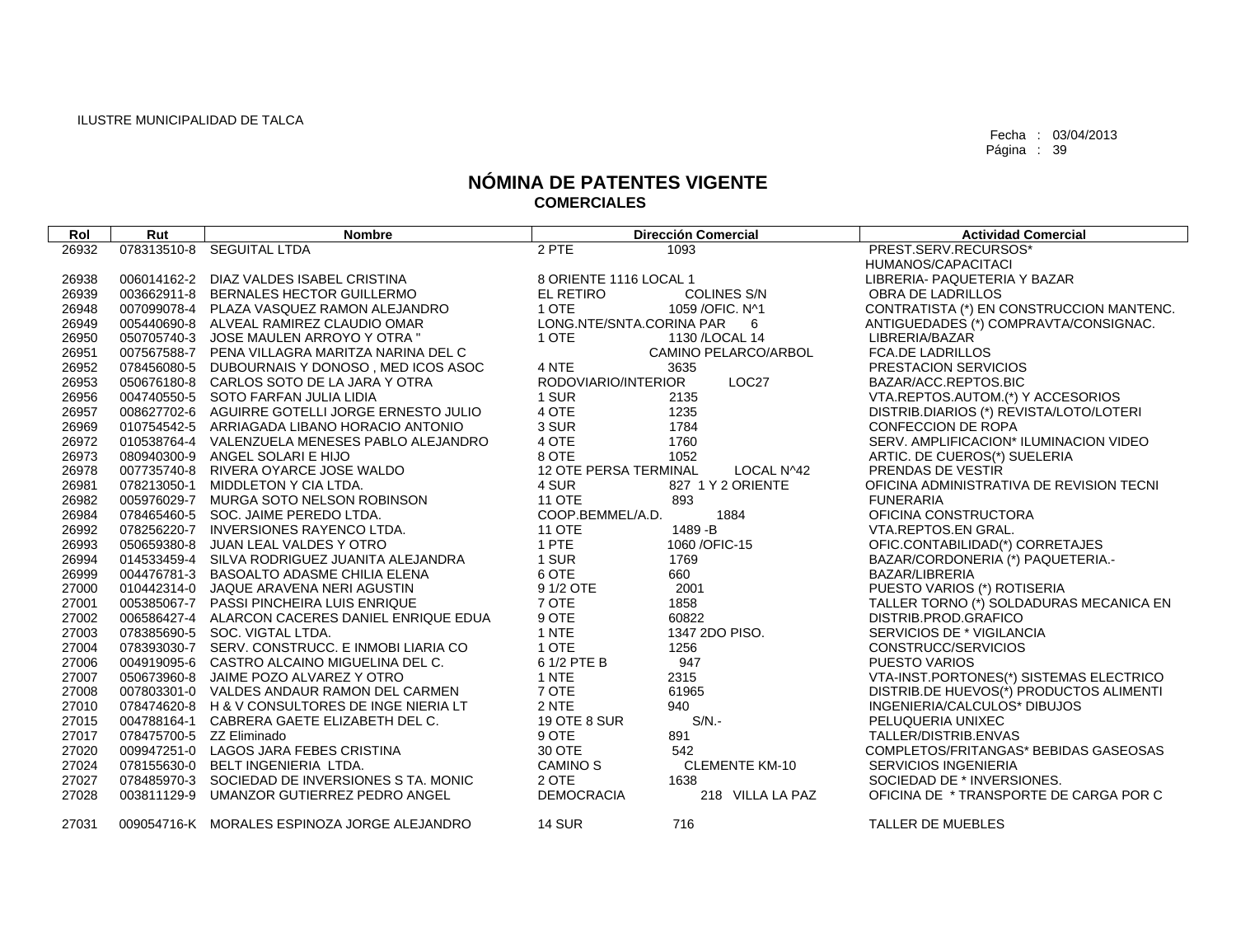| Rol   | Rut                      | <b>Nombre</b>                                   |                          | <b>Dirección Comercial</b> | <b>Actividad Comercial</b>                   |
|-------|--------------------------|-------------------------------------------------|--------------------------|----------------------------|----------------------------------------------|
| 26932 |                          | 078313510-8 SEGUITAL LTDA                       | 2 PTE                    | 1093                       | PREST.SERV.RECURSOS*                         |
|       |                          |                                                 |                          |                            | HUMANOS/CAPACITACI                           |
| 26938 |                          | 006014162-2 DIAZ VALDES ISABEL CRISTINA         | 8 ORIENTE 1116 LOCAL 1   |                            | LIBRERIA- PAQUETERIA Y BAZAR                 |
| 26939 |                          | 003662911-8 BERNALES HECTOR GUILLERMO           | EL RETIRO                | <b>COLINES S/N</b>         | OBRA DE LADRILLOS                            |
| 26948 |                          | 007099078-4 PLAZA VASQUEZ RAMON ALEJANDRO       | 1 OTE                    | 1059 / OFIC. N^1           | CONTRATISTA (*) EN CONSTRUCCION MANTENC.     |
| 26949 |                          | 005440690-8 ALVEAL RAMIREZ CLAUDIO OMAR         | LONG.NTE/SNTA.CORINA PAR | - 6                        | ANTIGUEDADES (*) COMPRAVTA/CONSIGNAC.        |
| 26950 |                          | 050705740-3 JOSE MAULEN ARROYO Y OTRA "         | 1 OTE                    | 1130 / LOCAL 14            | LIBRERIA/BAZAR                               |
| 26951 |                          | 007567588-7 PENA VILLAGRA MARITZA NARINA DEL C  |                          | CAMINO PELARCO/ARBOL       | <b>FCA.DE LADRILLOS</b>                      |
| 26952 |                          | 078456080-5 DUBOURNAIS Y DONOSO, MED ICOS ASOC  | 4 NTE                    | 3635                       | PRESTACION SERVICIOS                         |
| 26953 |                          | 050676180-8 CARLOS SOTO DE LA JARA Y OTRA       | RODOVIARIO/INTERIOR      | LOC27                      | BAZAR/ACC.REPTOS.BIC                         |
| 26956 |                          | 004740550-5 SOTO FARFAN JULIA LIDIA             | 1 SUR                    | 2135                       | VTA.REPTOS.AUTOM.(*) Y ACCESORIOS            |
| 26957 |                          | 008627702-6 AGUIRRE GOTELLI JORGE ERNESTO JULIO | 4 OTE                    | 1235                       | DISTRIB.DIARIOS (*) REVISTA/LOTO/LOTERI      |
| 26969 |                          | 010754542-5 ARRIAGADA LIBANO HORACIO ANTONIO    | 3 SUR                    | 1784                       | <b>CONFECCION DE ROPA</b>                    |
| 26972 |                          | 010538764-4 VALENZUELA MENESES PABLO ALEJANDRO  | 4 OTE                    | 1760                       | SERV. AMPLIFICACION* ILUMINACION VIDEO       |
| 26973 |                          | 080940300-9 ANGEL SOLARI E HIJO                 | 8 OTE                    | 1052                       | ARTIC. DE CUEROS(*) SUELERIA                 |
| 26978 |                          | 007735740-8 RIVERA OYARCE JOSE WALDO            | 12 OTE PERSA TERMINAL    | LOCAL N^42                 | PRENDAS DE VESTIR                            |
| 26981 |                          | 078213050-1 MIDDLETON Y CIA LTDA.               | 4 SUR                    | 827 1 Y 2 ORIENTE          | OFICINA ADMINISTRATIVA DE REVISION TECNI     |
| 26982 |                          | 005976029-7 MURGA SOTO NELSON ROBINSON          | <b>11 OTE</b>            | 893                        | <b>FUNERARIA</b>                             |
| 26984 |                          | 078465460-5 SOC. JAIME PEREDO LTDA.             | COOP.BEMMEL/A.D.         | 1884                       | OFICINA CONSTRUCTORA                         |
| 26992 |                          | 078256220-7 INVERSIONES RAYENCO LTDA.           | <b>11 OTE</b>            | 1489 - B                   | VTA.REPTOS.EN GRAL.                          |
| 26993 | 050659380-8              | JUAN LEAL VALDES Y OTRO                         | 1 PTE                    | 1060 / OFIC-15             | OFIC.CONTABILIDAD(*) CORRETAJES              |
| 26994 |                          | 014533459-4 SILVA RODRIGUEZ JUANITA ALEJANDRA   | 1 SUR                    | 1769                       | BAZAR/CORDONERIA (*) PAQUETERIA.-            |
| 26999 |                          | 004476781-3 BASOALTO ADASME CHILIA ELENA        | 6 OTE                    | 660                        | BAZAR/LIBRERIA                               |
| 27000 |                          | 010442314-0 JAQUE ARAVENA NERI AGUSTIN          | 9 1/2 OTE                | 2001                       | PUESTO VARIOS (*) ROTISERIA                  |
| 27001 |                          | 005385067-7 PASSI PINCHEIRA LUIS ENRIQUE        | 7 OTE                    | 1858                       | TALLER TORNO (*) SOLDADURAS MECANICA EN      |
| 27002 |                          | 006586427-4 ALARCON CACERES DANIEL ENRIQUE EDUA | 9 OTE                    | 60822                      | DISTRIB.PROD.GRAFICO                         |
| 27003 |                          | 078385690-5 SOC, VIGTAL LTDA.                   | 1 NTE                    | 1347 2DO PISO.             | SERVICIOS DE * VIGILANCIA                    |
| 27004 |                          | 078393030-7 SERV. CONSTRUCC. E INMOBI LIARIA CO | 1 OTE                    | 1256                       | CONSTRUCC/SERVICIOS                          |
| 27006 |                          | 004919095-6 CASTRO ALCAINO MIGUELINA DEL C.     | 6 1/2 PTE B              | 947                        | <b>PUESTO VARIOS</b>                         |
| 27007 |                          | 050673960-8 JAIME POZO ALVAREZ Y OTRO           | 1 NTE                    | 2315                       | VTA-INST.PORTONES(*) SISTEMAS ELECTRICO      |
| 27008 |                          | 007803301-0 VALDES ANDAUR RAMON DEL CARMEN      | 7 OTE                    | 61965                      | DISTRIB.DE HUEVOS(*) PRODUCTOS ALIMENTI      |
| 27010 |                          | 078474620-8 H & V CONSULTORES DE INGE NIERIA LT | 2 NTE                    | 940                        | INGENIERIA/CALCULOS* DIBUJOS                 |
| 27015 |                          | 004788164-1 CABRERA GAETE ELIZABETH DEL C.      | <b>19 OTE 8 SUR</b>      | $S/N$ .                    | PELUQUERIA UNIXEC                            |
| 27017 | 078475700-5 ZZ Eliminado |                                                 | 9 OTE                    | 891                        | TALLER/DISTRIB.ENVAS                         |
| 27020 |                          | 009947251-0 LAGOS JARA FEBES CRISTINA           | 30 OTE                   | 542                        | <b>COMPLETOS/FRITANGAS* BEBIDAS GASEOSAS</b> |
| 27024 |                          | 078155630-0 BELT INGENIERIA LTDA.               | <b>CAMINO S</b>          | <b>CLEMENTE KM-10</b>      | <b>SERVICIOS INGENIERIA</b>                  |
| 27027 |                          | 078485970-3 SOCIEDAD DE INVERSIONES S TA. MONIC | 2 OTE                    | 1638                       | SOCIEDAD DE * INVERSIONES.                   |
| 27028 | 003811129-9              | UMANZOR GUTIERREZ PEDRO ANGEL                   | <b>DEMOCRACIA</b>        | 218 VILLA LA PAZ           | OFICINA DE * TRANSPORTE DE CARGA POR C       |
| 27031 |                          | 009054716-K MORALES ESPINOZA JORGE ALEJANDRO    | <b>14 SUR</b>            | 716                        | TALLER DE MUEBLES                            |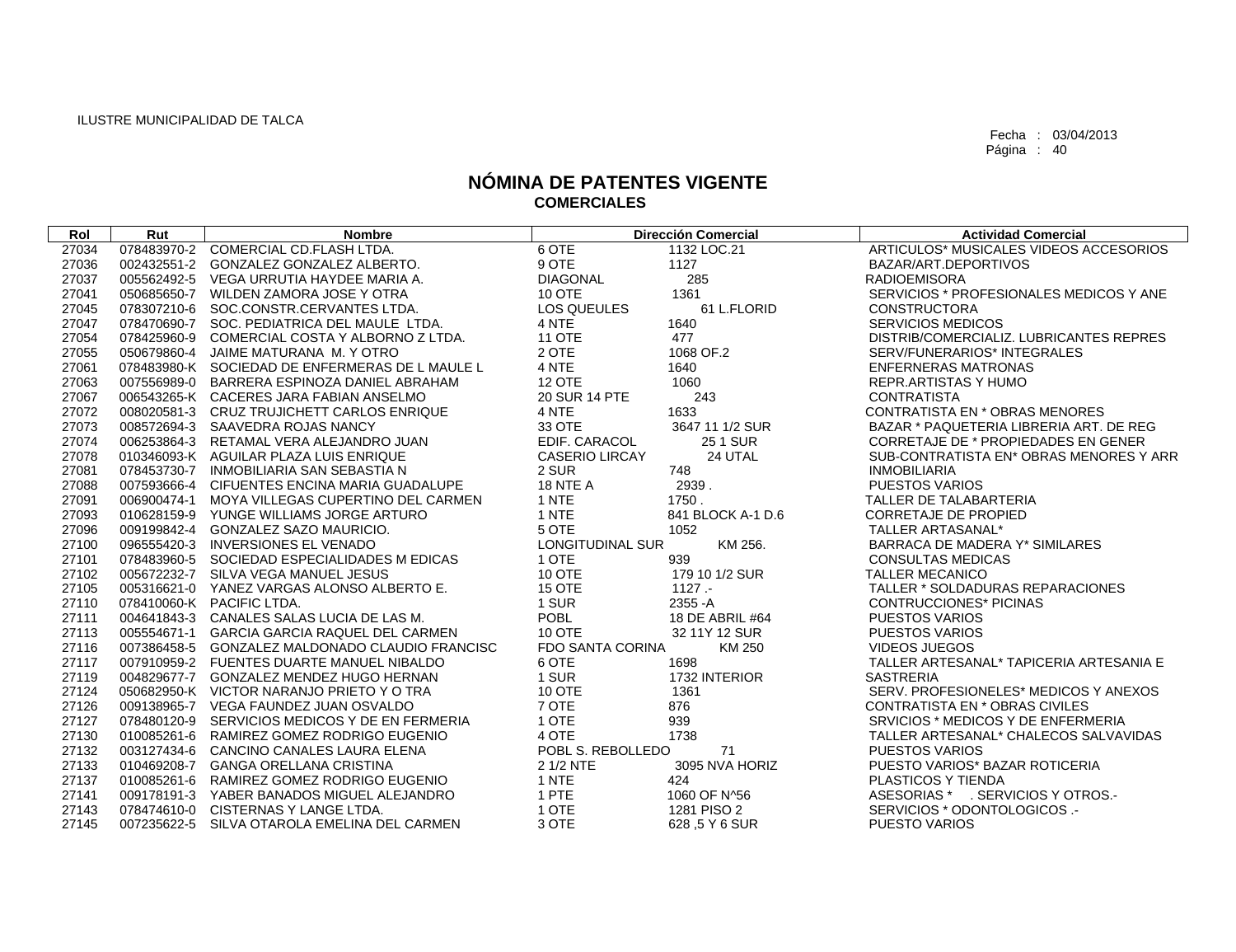| Rol   | Rut | <b>Nombre</b>                                   |                         | <b>Dirección Comercial</b> | <b>Actividad Comercial</b>              |
|-------|-----|-------------------------------------------------|-------------------------|----------------------------|-----------------------------------------|
| 27034 |     | 078483970-2 COMERCIAL CD.FLASH LTDA.            | 6 OTE                   | 1132 LOC.21                | ARTICULOS* MUSICALES VIDEOS ACCESORIOS  |
| 27036 |     | 002432551-2 GONZALEZ GONZALEZ ALBERTO.          | 9 OTE                   | 1127                       | BAZAR/ART.DEPORTIVOS                    |
| 27037 |     | 005562492-5 VEGA URRUTIA HAYDEE MARIA A.        | <b>DIAGONAL</b>         | 285                        | <b>RADIOEMISORA</b>                     |
| 27041 |     | 050685650-7 WILDEN ZAMORA JOSE Y OTRA           | 10 OTE                  | 1361                       | SERVICIOS * PROFESIONALES MEDICOS Y ANE |
| 27045 |     | 078307210-6 SOC.CONSTR.CERVANTES LTDA.          | <b>LOS QUEULES</b>      | 61 L.FLORID                | <b>CONSTRUCTORA</b>                     |
| 27047 |     | 078470690-7 SOC. PEDIATRICA DEL MAULE LTDA.     | 4 NTE                   | 1640                       | <b>SERVICIOS MEDICOS</b>                |
| 27054 |     | 078425960-9 COMERCIAL COSTA Y ALBORNO Z LTDA.   | <b>11 OTE</b>           | 477                        | DISTRIB/COMERCIALIZ. LUBRICANTES REPRES |
| 27055 |     | 050679860-4 JAIME MATURANA M. Y OTRO            | 2 OTE                   | 1068 OF.2                  | SERV/FUNERARIOS* INTEGRALES             |
| 27061 |     | 078483980-K SOCIEDAD DE ENFERMERAS DE L MAULE L | 4 NTE                   | 1640                       | <b>ENFERNERAS MATRONAS</b>              |
| 27063 |     | 007556989-0 BARRERA ESPINOZA DANIEL ABRAHAM     | <b>12 OTE</b>           | 1060                       | REPR.ARTISTAS Y HUMO                    |
| 27067 |     | 006543265-K CACERES JARA FABIAN ANSELMO         | 20 SUR 14 PTE           | 243                        | <b>CONTRATISTA</b>                      |
| 27072 |     | 008020581-3 CRUZ TRUJICHETT CARLOS ENRIQUE      | 4 NTE                   | 1633                       | <b>CONTRATISTA EN * OBRAS MENORES</b>   |
| 27073 |     | 008572694-3 SAAVEDRA ROJAS NANCY                | 33 OTE                  | 3647 11 1/2 SUR            | BAZAR * PAQUETERIA LIBRERIA ART. DE REG |
| 27074 |     | 006253864-3 RETAMAL VERA ALEJANDRO JUAN         | EDIF. CARACOL           | <b>251 SUR</b>             | CORRETAJE DE * PROPIEDADES EN GENER     |
| 27078 |     | 010346093-K AGUILAR PLAZA LUIS ENRIQUE          | <b>CASERIO LIRCAY</b>   | 24 UTAL                    | SUB-CONTRATISTA EN* OBRAS MENORES Y ARR |
| 27081 |     | 078453730-7 INMOBILIARIA SAN SEBASTIA N         | 2 SUR                   | 748                        | <b>INMOBILIARIA</b>                     |
| 27088 |     | 007593666-4 CIFUENTES ENCINA MARIA GUADALUPE    | <b>18 NTE A</b>         | 2939.                      | <b>PUESTOS VARIOS</b>                   |
| 27091 |     | 006900474-1 MOYA VILLEGAS CUPERTINO DEL CARMEN  | 1 NTE                   | 1750.                      | TALLER DE TALABARTERIA                  |
| 27093 |     | 010628159-9 YUNGE WILLIAMS JORGE ARTURO         | 1 NTE                   | 841 BLOCK A-1 D.6          | <b>CORRETAJE DE PROPIED</b>             |
| 27096 |     | 009199842-4 GONZALEZ SAZO MAURICIO.             | 5 OTE                   | 1052                       | TALLER ARTASANAL*                       |
| 27100 |     | 096555420-3 INVERSIONES EL VENADO               | <b>LONGITUDINAL SUR</b> | KM 256.                    | BARRACA DE MADERA Y* SIMILARES          |
| 27101 |     | 078483960-5 SOCIEDAD ESPECIALIDADES M EDICAS    | 1 OTE                   | 939                        | <b>CONSULTAS MEDICAS</b>                |
| 27102 |     | 005672232-7 SILVA VEGA MANUEL JESUS             | 10 OTE                  | 179 10 1/2 SUR             | <b>TALLER MECANICO</b>                  |
| 27105 |     | 005316621-0 YANEZ VARGAS ALONSO ALBERTO E.      | <b>15 OTE</b>           | $1127 -$                   | TALLER * SOLDADURAS REPARACIONES        |
| 27110 |     | 078410060-K PACIFIC LTDA.                       | 1 SUR                   | 2355 - A                   | <b>CONTRUCCIONES* PICINAS</b>           |
| 27111 |     | 004641843-3 CANALES SALAS LUCIA DE LAS M.       | <b>POBL</b>             | 18 DE ABRIL #64            | <b>PUESTOS VARIOS</b>                   |
| 27113 |     | 005554671-1 GARCIA GARCIA RAQUEL DEL CARMEN     | <b>10 OTE</b>           | 32 11Y 12 SUR              | <b>PUESTOS VARIOS</b>                   |
| 27116 |     | 007386458-5 GONZALEZ MALDONADO CLAUDIO FRANCISC | <b>FDO SANTA CORINA</b> | KM 250                     | <b>VIDEOS JUEGOS</b>                    |
| 27117 |     | 007910959-2 FUENTES DUARTE MANUEL NIBALDO       | 6 OTE                   | 1698                       | TALLER ARTESANAL* TAPICERIA ARTESANIA E |
| 27119 |     | 004829677-7 GONZALEZ MENDEZ HUGO HERNAN         | 1 SUR                   | 1732 INTERIOR              | <b>SASTRERIA</b>                        |
| 27124 |     | 050682950-K VICTOR NARANJO PRIETO Y O TRA       | <b>10 OTE</b>           | 1361                       | SERV. PROFESIONELES* MEDICOS Y ANEXOS   |
| 27126 |     | 009138965-7 VEGA FAUNDEZ JUAN OSVALDO           | 7 OTE                   | 876                        | CONTRATISTA EN * OBRAS CIVILES          |
| 27127 |     | 078480120-9 SERVICIOS MEDICOS Y DE EN FERMERIA  | 1 OTE                   | 939                        | SRVICIOS * MEDICOS Y DE ENFERMERIA      |
| 27130 |     | 010085261-6 RAMIREZ GOMEZ RODRIGO EUGENIO       | 4 OTE                   | 1738                       | TALLER ARTESANAL* CHALECOS SALVAVIDAS   |
| 27132 |     | 003127434-6 CANCINO CANALES LAURA ELENA         | POBL S. REBOLLEDO       | 71                         | <b>PUESTOS VARIOS</b>                   |
| 27133 |     | 010469208-7 GANGA ORELLANA CRISTINA             | 2 1/2 NTE               | 3095 NVA HORIZ             | PUESTO VARIOS* BAZAR ROTICERIA          |
| 27137 |     | 010085261-6 RAMIREZ GOMEZ RODRIGO EUGENIO       | 1 NTE                   | 424                        | PLASTICOS Y TIENDA                      |
| 27141 |     | 009178191-3 YABER BANADOS MIGUEL ALEJANDRO      | 1 PTE                   | 1060 OF N^56               | ASESORIAS * . SERVICIOS Y OTROS.-       |
| 27143 |     | 078474610-0 CISTERNAS Y LANGE LTDA.             | 1 OTE                   | 1281 PISO 2                | SERVICIOS * ODONTOLOGICOS .-            |
| 27145 |     | 007235622-5 SILVA OTAROLA EMELINA DEL CARMEN    | 3 OTE                   | 628, 5 Y 6 SUR             | <b>PUESTO VARIOS</b>                    |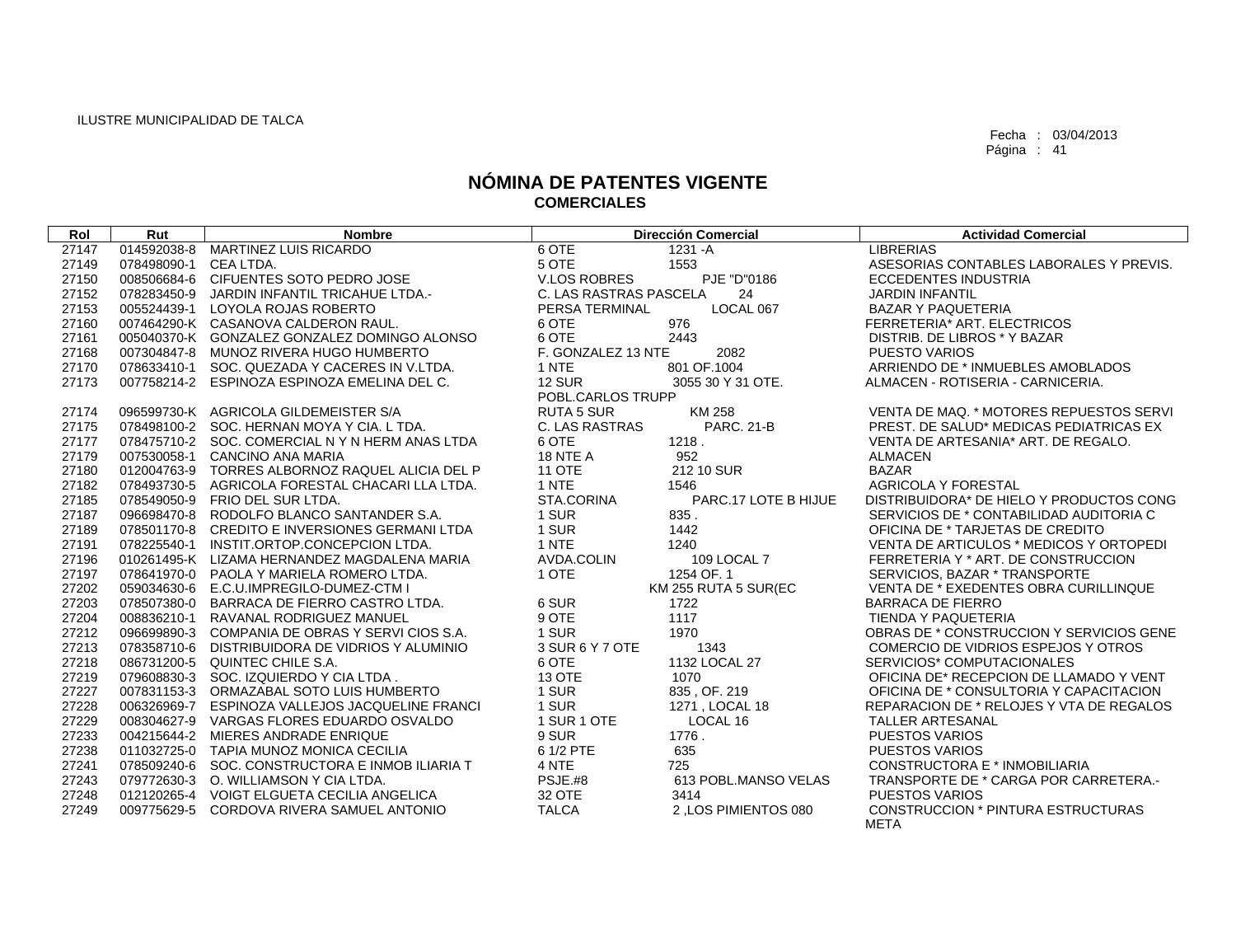| Rol   | Rut                   | <b>Nombre</b>                                   | <b>Dirección Comercial</b>                 | <b>Actividad Comercial</b>               |
|-------|-----------------------|-------------------------------------------------|--------------------------------------------|------------------------------------------|
| 27147 | 014592038-8           | <b>MARTINEZ LUIS RICARDO</b>                    | 6 OTE<br>$1231 - A$                        | <b>LIBRERIAS</b>                         |
| 27149 | 078498090-1 CEA LTDA. |                                                 | 5 OTE<br>1553                              | ASESORIAS CONTABLES LABORALES Y PREVIS.  |
| 27150 |                       | 008506684-6 CIFUENTES SOTO PEDRO JOSE           | PJE "D"0186<br><b>V.LOS ROBRES</b>         | <b>ECCEDENTES INDUSTRIA</b>              |
| 27152 |                       | 078283450-9 JARDIN INFANTIL TRICAHUE LTDA.-     | C. LAS RASTRAS PASCELA<br>24               | <b>JARDIN INFANTIL</b>                   |
| 27153 | 005524439-1           | LOYOLA ROJAS ROBERTO                            | LOCAL 067<br>PERSA TERMINAL                | <b>BAZAR Y PAQUETERIA</b>                |
| 27160 |                       | 007464290-K CASANOVA CALDERON RAUL.             | 6 OTE<br>976                               | FERRETERIA* ART. ELECTRICOS              |
| 27161 |                       | 005040370-K GONZALEZ GONZALEZ DOMINGO ALONSO    | 6 OTE<br>2443                              | DISTRIB. DE LIBROS * Y BAZAR             |
| 27168 |                       | 007304847-8 MUNOZ RIVERA HUGO HUMBERTO          | F. GONZALEZ 13 NTE<br>2082                 | <b>PUESTO VARIOS</b>                     |
| 27170 |                       | 078633410-1 SOC. QUEZADA Y CACERES IN V.LTDA.   | 1 NTE<br>801 OF.1004                       | ARRIENDO DE * INMUEBLES AMOBLADOS        |
| 27173 |                       | 007758214-2 ESPINOZA ESPINOZA EMELINA DEL C.    | <b>12 SUR</b><br>3055 30 Y 31 OTE.         | ALMACEN - ROTISERIA - CARNICERIA.        |
|       |                       |                                                 | POBL.CARLOS TRUPP                          |                                          |
| 27174 |                       | 096599730-K AGRICOLA GILDEMEISTER S/A           | <b>RUTA 5 SUR</b><br>KM 258                | VENTA DE MAQ. * MOTORES REPUESTOS SERVI  |
| 27175 |                       | 078498100-2 SOC. HERNAN MOYA Y CIA. L TDA.      | <b>C. LAS RASTRAS</b><br><b>PARC. 21-B</b> | PREST. DE SALUD* MEDICAS PEDIATRICAS EX  |
| 27177 |                       | 078475710-2 SOC. COMERCIAL N Y N HERM ANAS LTDA | 6 OTE<br>1218.                             | VENTA DE ARTESANIA* ART. DE REGALO.      |
| 27179 |                       | 007530058-1 CANCINO ANA MARIA                   | 18 NTE A<br>952                            | <b>ALMACEN</b>                           |
| 27180 |                       | 012004763-9 TORRES ALBORNOZ RAQUEL ALICIA DEL P | <b>11 OTE</b><br>212 10 SUR                | <b>BAZAR</b>                             |
| 27182 |                       | 078493730-5 AGRICOLA FORESTAL CHACARI LLA LTDA. | 1 NTE<br>1546                              | <b>AGRICOLA Y FORESTAL</b>               |
| 27185 |                       | 078549050-9 FRIO DEL SUR LTDA.                  | STA.CORINA<br>PARC.17 LOTE B HIJUE         | DISTRIBUIDORA* DE HIELO Y PRODUCTOS CONG |
| 27187 |                       | 096698470-8 RODOLFO BLANCO SANTANDER S.A.       | 1 SUR<br>835.                              | SERVICIOS DE * CONTABILIDAD AUDITORIA C  |
| 27189 |                       | 078501170-8 CREDITO E INVERSIONES GERMANI LTDA  | 1 SUR<br>1442                              | OFICINA DE * TARJETAS DE CREDITO         |
| 27191 |                       | 078225540-1 INSTIT.ORTOP.CONCEPCION LTDA.       | 1 NTE<br>1240                              | VENTA DE ARTICULOS * MEDICOS Y ORTOPEDI  |
| 27196 |                       | 010261495-K LIZAMA HERNANDEZ MAGDALENA MARIA    | AVDA.COLIN<br>109 LOCAL 7                  | FERRETERIA Y * ART. DE CONSTRUCCION      |
| 27197 |                       | 078641970-0 PAOLA Y MARIELA ROMERO LTDA.        | 1254 OF. 1<br>1 OTE                        | SERVICIOS, BAZAR * TRANSPORTE            |
| 27202 |                       | 059034630-6 E.C.U.IMPREGILO-DUMEZ-CTM I         | KM 255 RUTA 5 SUR(EC                       | VENTA DE * EXEDENTES OBRA CURILLINQUE    |
| 27203 |                       | 078507380-0 BARRACA DE FIERRO CASTRO LTDA.      | 6 SUR<br>1722                              | <b>BARRACA DE FIERRO</b>                 |
| 27204 |                       | 008836210-1 RAVANAL RODRIGUEZ MANUEL            | 9 OTE<br>1117                              | TIENDA Y PAQUETERIA                      |
| 27212 |                       | 096699890-3 COMPANIA DE OBRAS Y SERVICIOS S.A.  | 1 SUR<br>1970                              | OBRAS DE * CONSTRUCCION Y SERVICIOS GENE |
| 27213 |                       | 078358710-6 DISTRIBUIDORA DE VIDRIOS Y ALUMINIO | 3 SUR 6 Y 7 OTE<br>1343                    | COMERCIO DE VIDRIOS ESPEJOS Y OTROS      |
| 27218 |                       | 086731200-5 QUINTEC CHILE S.A.                  | 1132 LOCAL 27<br>6 OTE                     | SERVICIOS* COMPUTACIONALES               |
| 27219 |                       | 079608830-3 SOC. IZQUIERDO Y CIA LTDA.          | <b>13 OTE</b><br>1070                      | OFICINA DE* RECEPCION DE LLAMADO Y VENT  |
| 27227 |                       | 007831153-3 ORMAZABAL SOTO LUIS HUMBERTO        | 1 SUR<br>835, OF, 219                      | OFICINA DE * CONSULTORIA Y CAPACITACION  |
| 27228 |                       | 006326969-7 ESPINOZA VALLEJOS JACQUELINE FRANCI | 1 SUR<br>1271, LOCAL 18                    | REPARACION DE * RELOJES Y VTA DE REGALOS |
| 27229 |                       | 008304627-9 VARGAS FLORES EDUARDO OSVALDO       | 1 SUR 1 OTE<br>LOCAL 16                    | <b>TALLER ARTESANAL</b>                  |
| 27233 |                       | 004215644-2 MIERES ANDRADE ENRIQUE              | 9 SUR<br>1776.                             | <b>PUESTOS VARIOS</b>                    |
| 27238 |                       | 011032725-0 TAPIA MUNOZ MONICA CECILIA          | 6 1/2 PTE<br>635                           | <b>PUESTOS VARIOS</b>                    |
| 27241 |                       | 078509240-6 SOC. CONSTRUCTORA E INMOBILIARIA T  | 4 NTE<br>725                               | CONSTRUCTORA E * INMOBILIARIA            |
| 27243 |                       | 079772630-3 O. WILLIAMSON Y CIA LTDA.           | PSJE.#8<br>613 POBL.MANSO VELAS            | TRANSPORTE DE * CARGA POR CARRETERA.-    |
| 27248 |                       | 012120265-4 VOIGT ELGUETA CECILIA ANGELICA      | 32 OTE<br>3414                             | <b>PUESTOS VARIOS</b>                    |
| 27249 |                       | 009775629-5 CORDOVA RIVERA SAMUEL ANTONIO       | <b>TALCA</b><br>2, LOS PIMIENTOS 080       | CONSTRUCCION * PINTURA ESTRUCTURAS       |
|       |                       |                                                 |                                            | <b>META</b>                              |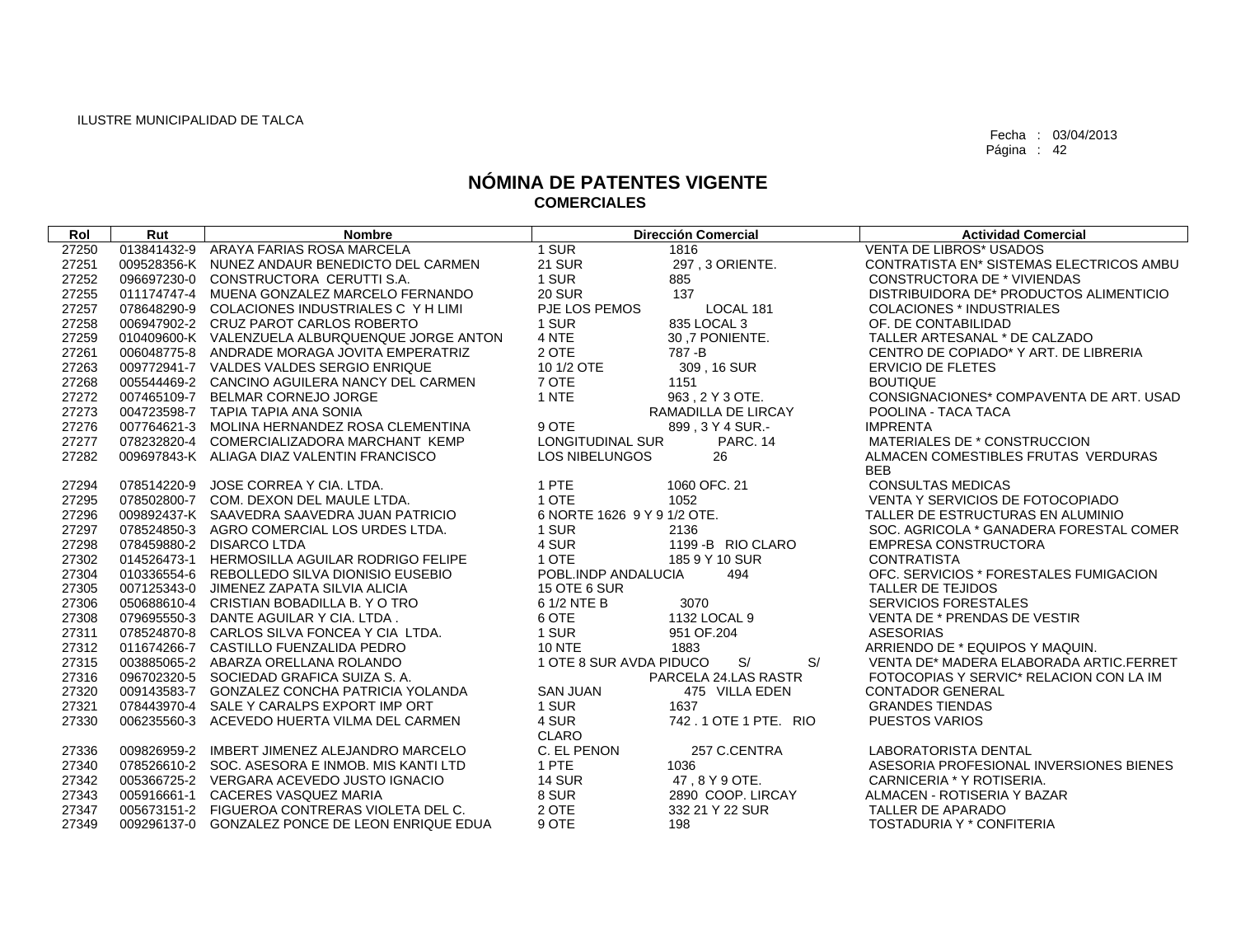| Rol   | Rut | <b>Nombre</b>                                   |                             | <b>Dirección Comercial</b> | <b>Actividad Comercial</b>                      |
|-------|-----|-------------------------------------------------|-----------------------------|----------------------------|-------------------------------------------------|
| 27250 |     | 013841432-9 ARAYA FARIAS ROSA MARCELA           | $1$ SUR                     | 1816                       | <b>VENTA DE LIBROS* USADOS</b>                  |
| 27251 |     | 009528356-K NUNEZ ANDAUR BENEDICTO DEL CARMEN   | <b>21 SUR</b>               | 297, 3 ORIENTE.            | <b>CONTRATISTA EN* SISTEMAS ELECTRICOS AMBU</b> |
| 27252 |     | 096697230-0 CONSTRUCTORA CERUTTI S.A.           | 1 SUR                       | 885                        | <b>CONSTRUCTORA DE * VIVIENDAS</b>              |
| 27255 |     | 011174747-4 MUENA GONZALEZ MARCELO FERNANDO     | <b>20 SUR</b>               | 137                        | DISTRIBUIDORA DE* PRODUCTOS ALIMENTICIO         |
| 27257 |     | 078648290-9 COLACIONES INDUSTRIALES C Y H LIMI  | PJE LOS PEMOS               | LOCAL 181                  | <b>COLACIONES * INDUSTRIALES</b>                |
| 27258 |     | 006947902-2 CRUZ PAROT CARLOS ROBERTO           | 1 SUR                       | 835 LOCAL 3                | OF. DE CONTABILIDAD                             |
| 27259 |     | 010409600-K VALENZUELA ALBURQUENQUE JORGE ANTON | 4 NTE                       | 30,7 PONIENTE.             | TALLER ARTESANAL * DE CALZADO                   |
| 27261 |     | 006048775-8 ANDRADE MORAGA JOVITA EMPERATRIZ    | 2 OTE                       | 787-B                      | CENTRO DE COPIADO* Y ART. DE LIBRERIA           |
| 27263 |     | 009772941-7 VALDES VALDES SERGIO ENRIQUE        | 10 1/2 OTE                  | 309, 16 SUR                | <b>ERVICIO DE FLETES</b>                        |
| 27268 |     | 005544469-2 CANCINO AGUILERA NANCY DEL CARMEN   | 7 OTE                       | 1151                       | <b>BOUTIQUE</b>                                 |
| 27272 |     | 007465109-7 BELMAR CORNEJO JORGE                | 1 NTE                       | 963, 2 Y 3 OTE.            | CONSIGNACIONES* COMPAVENTA DE ART. USAD         |
| 27273 |     | 004723598-7 TAPIA TAPIA ANA SONIA               |                             | RAMADILLA DE LIRCAY        | POOLINA - TACA TACA                             |
| 27276 |     | 007764621-3 MOLINA HERNANDEZ ROSA CLEMENTINA    | 9 OTE                       | 899.3 Y 4 SUR.-            | <b>IMPRENTA</b>                                 |
| 27277 |     | 078232820-4 COMERCIALIZADORA MARCHANT KEMP      | LONGITUDINAL SUR            | <b>PARC. 14</b>            | MATERIALES DE * CONSTRUCCION                    |
| 27282 |     | 009697843-K ALIAGA DIAZ VALENTIN FRANCISCO      | <b>LOS NIBELUNGOS</b>       | 26                         | ALMACEN COMESTIBLES FRUTAS VERDURAS             |
|       |     |                                                 |                             |                            | <b>BEB</b>                                      |
| 27294 |     | 078514220-9 JOSE CORREA Y CIA. LTDA.            | 1 PTE                       | 1060 OFC, 21               | <b>CONSULTAS MEDICAS</b>                        |
| 27295 |     | 078502800-7 COM, DEXON DEL MAULE LTDA.          | 1 OTE                       | 1052                       | VENTA Y SERVICIOS DE FOTOCOPIADO                |
| 27296 |     | 009892437-K SAAVEDRA SAAVEDRA JUAN PATRICIO     | 6 NORTE 1626 9 Y 9 1/2 OTE. |                            | TALLER DE ESTRUCTURAS EN ALUMINIO               |
| 27297 |     | 078524850-3 AGRO COMERCIAL LOS URDES LTDA.      | 1 SUR                       | 2136                       | SOC. AGRICOLA * GANADERA FORESTAL COMER         |
| 27298 |     | 078459880-2 DISARCO LTDA                        | 4 SUR                       | 1199 - B RIO CLARO         | <b>EMPRESA CONSTRUCTORA</b>                     |
| 27302 |     | 014526473-1 HERMOSILLA AGUILAR RODRIGO FELIPE   | 1 OTE                       | 185 9 Y 10 SUR             | <b>CONTRATISTA</b>                              |
| 27304 |     | 010336554-6 REBOLLEDO SILVA DIONISIO EUSEBIO    | POBL.INDP ANDALUCIA         | 494                        | OFC. SERVICIOS * FORESTALES FUMIGACION          |
| 27305 |     | 007125343-0 JIMENEZ ZAPATA SILVIA ALICIA        | 15 OTE 6 SUR                |                            | <b>TALLER DE TEJIDOS</b>                        |
| 27306 |     | 050688610-4 CRISTIAN BOBADILLA B. Y O TRO       | 6 1/2 NTE B                 | 3070                       | <b>SERVICIOS FORESTALES</b>                     |
| 27308 |     | 079695550-3 DANTE AGUILAR Y CIA. LTDA.          | 6 OTE                       | 1132 LOCAL 9               | VENTA DE * PRENDAS DE VESTIR                    |
| 27311 |     | 078524870-8 CARLOS SILVA FONCEA Y CIA LTDA.     | 1 SUR                       | 951 OF 204                 | <b>ASESORIAS</b>                                |
| 27312 |     | 011674266-7 CASTILLO FUENZALIDA PEDRO           | <b>10 NTE</b>               | 1883                       | ARRIENDO DE * EQUIPOS Y MAQUIN.                 |
| 27315 |     | 003885065-2 ABARZA ORELLANA ROLANDO             | 1 OTE 8 SUR AVDA PIDUCO     | S/<br>S/                   | VENTA DE* MADERA ELABORADA ARTIC.FERRET         |
| 27316 |     | 096702320-5 SOCIEDAD GRAFICA SUIZA S.A.         |                             | PARCELA 24.LAS RASTR       | FOTOCOPIAS Y SERVIC* RELACION CON LA IM         |
| 27320 |     | 009143583-7 GONZALEZ CONCHA PATRICIA YOLANDA    | <b>SAN JUAN</b>             | 475 VILLA EDEN             | <b>CONTADOR GENERAL</b>                         |
| 27321 |     | 078443970-4 SALE Y CARALPS EXPORT IMP ORT       | 1 SUR                       | 1637                       | <b>GRANDES TIENDAS</b>                          |
| 27330 |     | 006235560-3 ACEVEDO HUERTA VILMA DEL CARMEN     | 4 SUR                       | 742.1 OTE 1 PTE. RIO       | <b>PUESTOS VARIOS</b>                           |
|       |     |                                                 | <b>CLARO</b>                |                            |                                                 |
| 27336 |     | 009826959-2 IMBERT JIMENEZ ALEJANDRO MARCELO    | C. EL PENON                 | 257 C.CENTRA               | LABORATORISTA DENTAL                            |
| 27340 |     | 078526610-2 SOC. ASESORA E INMOB, MIS KANTI LTD | 1 PTE                       | 1036                       | ASESORIA PROFESIONAL INVERSIONES BIENES         |
| 27342 |     | 005366725-2 VERGARA ACEVEDO JUSTO IGNACIO       | <b>14 SUR</b>               | 47, 8 Y 9 OTE.             | CARNICERIA * Y ROTISERIA.                       |
| 27343 |     | 005916661-1 CACERES VASQUEZ MARIA               | 8 SUR                       | 2890 COOP, LIRCAY          | ALMACEN - ROTISERIA Y BAZAR                     |
| 27347 |     | 005673151-2 FIGUEROA CONTRERAS VIOLETA DEL C.   | 2 OTE                       | 332 21 Y 22 SUR            | TALLER DE APARADO                               |
| 27349 |     | 009296137-0 GONZALEZ PONCE DE LEON ENRIQUE EDUA | 9 OTE                       | 198                        | TOSTADURIA Y * CONFITERIA                       |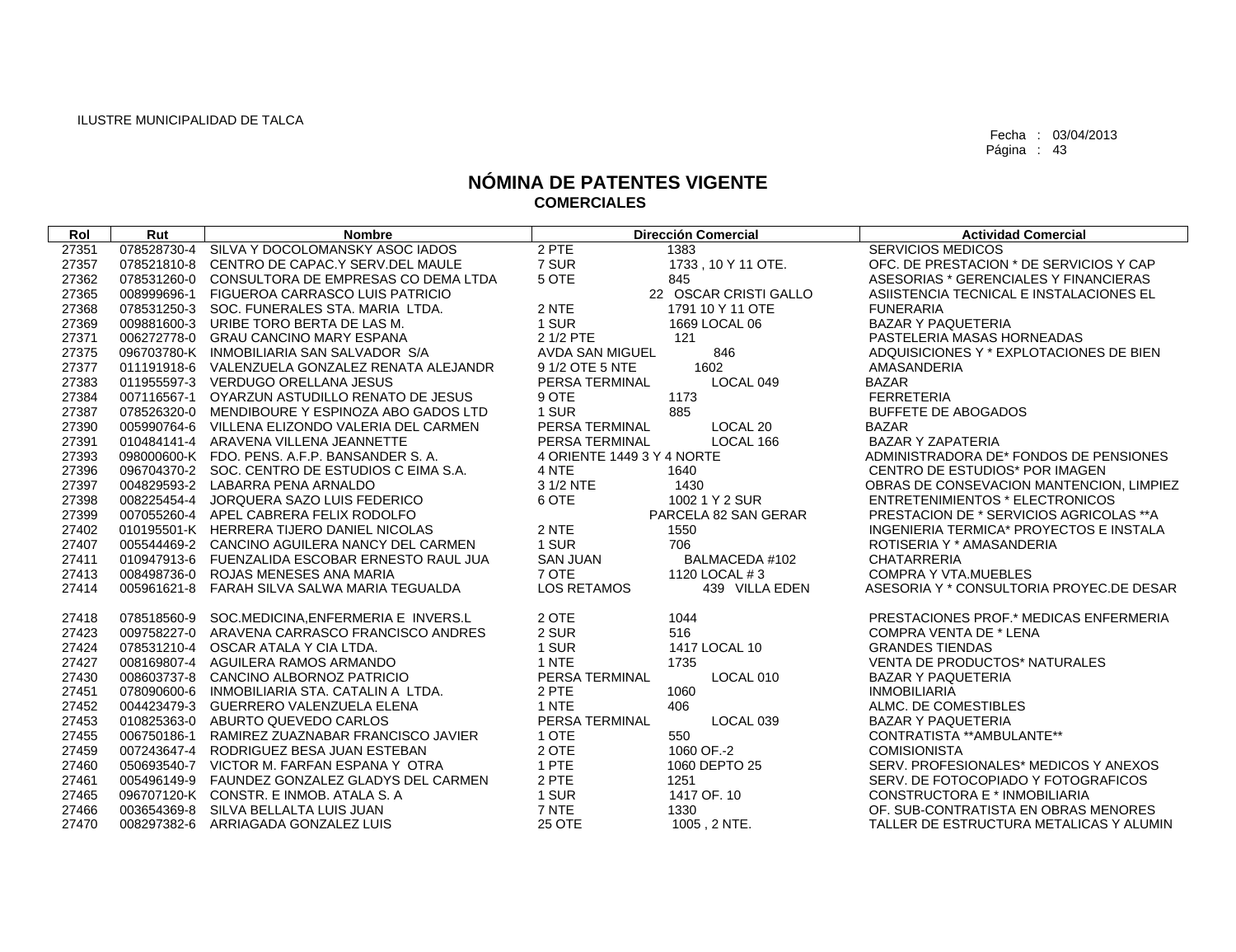| Rol                                                                                    | Rut                                                                     | <b>Nombre</b>                                                                                                                                                                                                                                                                                                                                                                          |                                                                                                         | <b>Dirección Comercial</b>                                                                                      | <b>Actividad Comercial</b>                                                                                                                                                                                                                                                                                                        |
|----------------------------------------------------------------------------------------|-------------------------------------------------------------------------|----------------------------------------------------------------------------------------------------------------------------------------------------------------------------------------------------------------------------------------------------------------------------------------------------------------------------------------------------------------------------------------|---------------------------------------------------------------------------------------------------------|-----------------------------------------------------------------------------------------------------------------|-----------------------------------------------------------------------------------------------------------------------------------------------------------------------------------------------------------------------------------------------------------------------------------------------------------------------------------|
| 27351                                                                                  | 078528730-4                                                             | SILVA Y DOCOLOMANSKY ASOC IADOS                                                                                                                                                                                                                                                                                                                                                        | 2 PTE                                                                                                   | 1383                                                                                                            | <b>SERVICIOS MEDICOS</b>                                                                                                                                                                                                                                                                                                          |
| 27357                                                                                  | 078521810-8                                                             | CENTRO DE CAPAC.Y SERV.DEL MAULE                                                                                                                                                                                                                                                                                                                                                       | 7 SUR                                                                                                   | 1733, 10 Y 11 OTE.                                                                                              | OFC. DE PRESTACION * DE SERVICIOS Y CAP                                                                                                                                                                                                                                                                                           |
| 27362                                                                                  | 078531260-0                                                             | CONSULTORA DE EMPRESAS CO DEMA LTDA                                                                                                                                                                                                                                                                                                                                                    | 5 OTE                                                                                                   | 845                                                                                                             | ASESORIAS * GERENCIALES Y FINANCIERAS                                                                                                                                                                                                                                                                                             |
| 27365                                                                                  | 008999696-1                                                             | FIGUEROA CARRASCO LUIS PATRICIO                                                                                                                                                                                                                                                                                                                                                        |                                                                                                         | 22 OSCAR CRISTI GALLO                                                                                           | ASIISTENCIA TECNICAL E INSTALACIONES EL                                                                                                                                                                                                                                                                                           |
| 27368                                                                                  |                                                                         | 078531250-3 SOC. FUNERALES STA, MARIA LTDA.                                                                                                                                                                                                                                                                                                                                            | 2 NTE                                                                                                   | 1791 10 Y 11 OTE                                                                                                | <b>FUNERARIA</b>                                                                                                                                                                                                                                                                                                                  |
| 27369                                                                                  |                                                                         | 009881600-3 URIBE TORO BERTA DE LAS M.                                                                                                                                                                                                                                                                                                                                                 | 1 SUR                                                                                                   | 1669 LOCAL 06                                                                                                   | BAZAR Y PAQUETERIA                                                                                                                                                                                                                                                                                                                |
| 27371                                                                                  |                                                                         | 006272778-0 GRAU CANCINO MARY ESPANA                                                                                                                                                                                                                                                                                                                                                   | 2 1/2 PTE                                                                                               | 121                                                                                                             | PASTELERIA MASAS HORNEADAS                                                                                                                                                                                                                                                                                                        |
| 27375                                                                                  |                                                                         | 096703780-K INMOBILIARIA SAN SALVADOR S/A                                                                                                                                                                                                                                                                                                                                              | AVDA SAN MIGUEL                                                                                         | 846                                                                                                             | ADQUISICIONES Y * EXPLOTACIONES DE BIEN                                                                                                                                                                                                                                                                                           |
| 27377                                                                                  |                                                                         | 011191918-6 VALENZUELA GONZALEZ RENATA ALEJANDR                                                                                                                                                                                                                                                                                                                                        | 9 1/2 OTE 5 NTE                                                                                         | 1602                                                                                                            | AMASANDERIA                                                                                                                                                                                                                                                                                                                       |
| 27383                                                                                  |                                                                         | 011955597-3 VERDUGO ORELLANA JESUS                                                                                                                                                                                                                                                                                                                                                     | PERSA TERMINAL                                                                                          | LOCAL 049                                                                                                       | <b>BAZAR</b>                                                                                                                                                                                                                                                                                                                      |
| 27384                                                                                  |                                                                         | 007116567-1 OYARZUN ASTUDILLO RENATO DE JESUS                                                                                                                                                                                                                                                                                                                                          | 9 OTE                                                                                                   | 1173                                                                                                            | <b>FERRETERIA</b>                                                                                                                                                                                                                                                                                                                 |
| 27387                                                                                  |                                                                         | 078526320-0 MENDIBOURE Y ESPINOZA ABO GADOS LTD                                                                                                                                                                                                                                                                                                                                        | 1 SUR                                                                                                   | 885                                                                                                             | <b>BUFFETE DE ABOGADOS</b>                                                                                                                                                                                                                                                                                                        |
| 27390                                                                                  | 005990764-6                                                             | VILLENA ELIZONDO VALERIA DEL CARMEN                                                                                                                                                                                                                                                                                                                                                    | PERSA TERMINAL                                                                                          | LOCAL <sub>20</sub>                                                                                             | <b>BAZAR</b>                                                                                                                                                                                                                                                                                                                      |
| 27391                                                                                  |                                                                         | 010484141-4 ARAVENA VILLENA JEANNETTE                                                                                                                                                                                                                                                                                                                                                  | PERSA TERMINAL                                                                                          | LOCAL 166                                                                                                       | <b>BAZAR Y ZAPATERIA</b>                                                                                                                                                                                                                                                                                                          |
| 27393                                                                                  |                                                                         | 098000600-K FDO. PENS. A.F.P. BANSANDER S.A.                                                                                                                                                                                                                                                                                                                                           | 4 ORIENTE 1449 3 Y 4 NORTE                                                                              |                                                                                                                 | ADMINISTRADORA DE* FONDOS DE PENSIONES                                                                                                                                                                                                                                                                                            |
| 27396                                                                                  |                                                                         | 096704370-2 SOC, CENTRO DE ESTUDIOS C EIMA S.A.                                                                                                                                                                                                                                                                                                                                        | 4 NTE                                                                                                   | 1640                                                                                                            | CENTRO DE ESTUDIOS* POR IMAGEN                                                                                                                                                                                                                                                                                                    |
| 27397                                                                                  |                                                                         | 004829593-2 LABARRA PENA ARNALDO                                                                                                                                                                                                                                                                                                                                                       | 3 1/2 NTE                                                                                               | 1430                                                                                                            | OBRAS DE CONSEVACION MANTENCION, LIMPIEZ                                                                                                                                                                                                                                                                                          |
| 27398                                                                                  |                                                                         | 008225454-4 JORQUERA SAZO LUIS FEDERICO                                                                                                                                                                                                                                                                                                                                                | 6 OTE                                                                                                   | 1002 1 Y 2 SUR                                                                                                  | <b>ENTRETENIMIENTOS * ELECTRONICOS</b>                                                                                                                                                                                                                                                                                            |
| 27399                                                                                  |                                                                         | 007055260-4 APEL CABRERA FELIX RODOLFO                                                                                                                                                                                                                                                                                                                                                 |                                                                                                         | PARCELA 82 SAN GERAR                                                                                            | PRESTACION DE * SERVICIOS AGRICOLAS **A                                                                                                                                                                                                                                                                                           |
| 27402                                                                                  |                                                                         | 010195501-K HERRERA TIJERO DANIEL NICOLAS                                                                                                                                                                                                                                                                                                                                              | 2 NTE                                                                                                   | 1550                                                                                                            | INGENIERIA TERMICA* PROYECTOS E INSTALA                                                                                                                                                                                                                                                                                           |
| 27407                                                                                  |                                                                         | 005544469-2 CANCINO AGUILERA NANCY DEL CARMEN                                                                                                                                                                                                                                                                                                                                          | 1 SUR                                                                                                   | 706                                                                                                             | ROTISERIA Y * AMASANDERIA                                                                                                                                                                                                                                                                                                         |
| 27411                                                                                  | 010947913-6                                                             | FUENZALIDA ESCOBAR ERNESTO RAUL JUA                                                                                                                                                                                                                                                                                                                                                    | <b>SAN JUAN</b>                                                                                         | BALMACEDA #102                                                                                                  | <b>CHATARRERIA</b>                                                                                                                                                                                                                                                                                                                |
| 27413                                                                                  |                                                                         | 008498736-0 ROJAS MENESES ANA MARIA                                                                                                                                                                                                                                                                                                                                                    | 7 OTE                                                                                                   | 1120 LOCAL #3                                                                                                   | <b>COMPRA Y VTA.MUEBLES</b>                                                                                                                                                                                                                                                                                                       |
| 27414                                                                                  |                                                                         | 005961621-8 FARAH SILVA SALWA MARIA TEGUALDA                                                                                                                                                                                                                                                                                                                                           | LOS RETAMOS                                                                                             | 439 VILLA EDEN                                                                                                  | ASESORIA Y * CONSULTORIA PROYEC.DE DESAR                                                                                                                                                                                                                                                                                          |
|                                                                                        | 078518560-9                                                             |                                                                                                                                                                                                                                                                                                                                                                                        |                                                                                                         |                                                                                                                 |                                                                                                                                                                                                                                                                                                                                   |
| 27418<br>27423                                                                         |                                                                         | SOC.MEDICINA, ENFERMERIA E INVERS.L<br>009758227-0 ARAVENA CARRASCO FRANCISCO ANDRES                                                                                                                                                                                                                                                                                                   | 2 OTE<br>2 SUR                                                                                          | 1044<br>516                                                                                                     | PRESTACIONES PROF.* MEDICAS ENFERMERIA<br><b>COMPRA VENTA DE * LENA</b>                                                                                                                                                                                                                                                           |
| 27424                                                                                  |                                                                         | 078531210-4 OSCAR ATALA Y CIA LTDA.                                                                                                                                                                                                                                                                                                                                                    | 1 SUR                                                                                                   | 1417 LOCAL 10                                                                                                   | <b>GRANDES TIENDAS</b>                                                                                                                                                                                                                                                                                                            |
| 27427                                                                                  |                                                                         | 008169807-4 AGUILERA RAMOS ARMANDO                                                                                                                                                                                                                                                                                                                                                     | 1 NTE                                                                                                   | 1735                                                                                                            | VENTA DE PRODUCTOS* NATURALES                                                                                                                                                                                                                                                                                                     |
| 27430                                                                                  |                                                                         | 008603737-8 CANCINO ALBORNOZ PATRICIO                                                                                                                                                                                                                                                                                                                                                  | PERSA TERMINAL                                                                                          | LOCAL 010                                                                                                       | <b>BAZAR Y PAQUETERIA</b>                                                                                                                                                                                                                                                                                                         |
|                                                                                        |                                                                         |                                                                                                                                                                                                                                                                                                                                                                                        |                                                                                                         |                                                                                                                 |                                                                                                                                                                                                                                                                                                                                   |
|                                                                                        |                                                                         |                                                                                                                                                                                                                                                                                                                                                                                        |                                                                                                         |                                                                                                                 |                                                                                                                                                                                                                                                                                                                                   |
|                                                                                        |                                                                         |                                                                                                                                                                                                                                                                                                                                                                                        |                                                                                                         |                                                                                                                 |                                                                                                                                                                                                                                                                                                                                   |
|                                                                                        |                                                                         |                                                                                                                                                                                                                                                                                                                                                                                        |                                                                                                         |                                                                                                                 |                                                                                                                                                                                                                                                                                                                                   |
|                                                                                        |                                                                         |                                                                                                                                                                                                                                                                                                                                                                                        |                                                                                                         |                                                                                                                 |                                                                                                                                                                                                                                                                                                                                   |
|                                                                                        |                                                                         |                                                                                                                                                                                                                                                                                                                                                                                        |                                                                                                         |                                                                                                                 |                                                                                                                                                                                                                                                                                                                                   |
|                                                                                        |                                                                         |                                                                                                                                                                                                                                                                                                                                                                                        |                                                                                                         |                                                                                                                 |                                                                                                                                                                                                                                                                                                                                   |
|                                                                                        |                                                                         |                                                                                                                                                                                                                                                                                                                                                                                        |                                                                                                         |                                                                                                                 |                                                                                                                                                                                                                                                                                                                                   |
|                                                                                        |                                                                         |                                                                                                                                                                                                                                                                                                                                                                                        |                                                                                                         |                                                                                                                 |                                                                                                                                                                                                                                                                                                                                   |
|                                                                                        |                                                                         |                                                                                                                                                                                                                                                                                                                                                                                        |                                                                                                         |                                                                                                                 |                                                                                                                                                                                                                                                                                                                                   |
| 27451<br>27452<br>27453<br>27455<br>27459<br>27460<br>27461<br>27465<br>27466<br>27470 | 078090600-6<br>004423479-3<br>010825363-0<br>006750186-1<br>008297382-6 | INMOBILIARIA STA. CATALIN A LTDA.<br>GUERRERO VALENZUELA ELENA<br>ABURTO QUEVEDO CARLOS<br>RAMIREZ ZUAZNABAR FRANCISCO JAVIER<br>007243647-4 RODRIGUEZ BESA JUAN ESTEBAN<br>050693540-7 VICTOR M. FARFAN ESPANA Y OTRA<br>005496149-9 FAUNDEZ GONZALEZ GLADYS DEL CARMEN<br>096707120-K CONSTR. E INMOB. ATALA S. A<br>003654369-8 SILVA BELLALTA LUIS JUAN<br>ARRIAGADA GONZALEZ LUIS | 2 PTE<br>1 NTE<br>PERSA TERMINAL<br>1 OTE<br>2 OTE<br>1 PTE<br>2 PTE<br>1 SUR<br>7 NTE<br><b>25 OTE</b> | 1060<br>406<br>LOCAL 039<br>550<br>1060 OF .- 2<br>1060 DEPTO 25<br>1251<br>1417 OF. 10<br>1330<br>1005, 2 NTE. | <b>INMOBILIARIA</b><br>ALMC. DE COMESTIBLES<br><b>BAZAR Y PAQUETERIA</b><br>CONTRATISTA ** AMBULANTE**<br><b>COMISIONISTA</b><br>SERV. PROFESIONALES* MEDICOS Y ANEXOS<br>SERV. DE FOTOCOPIADO Y FOTOGRAFICOS<br>CONSTRUCTORA E * INMOBILIARIA<br>OF. SUB-CONTRATISTA EN OBRAS MENORES<br>TALLER DE ESTRUCTURA METALICAS Y ALUMIN |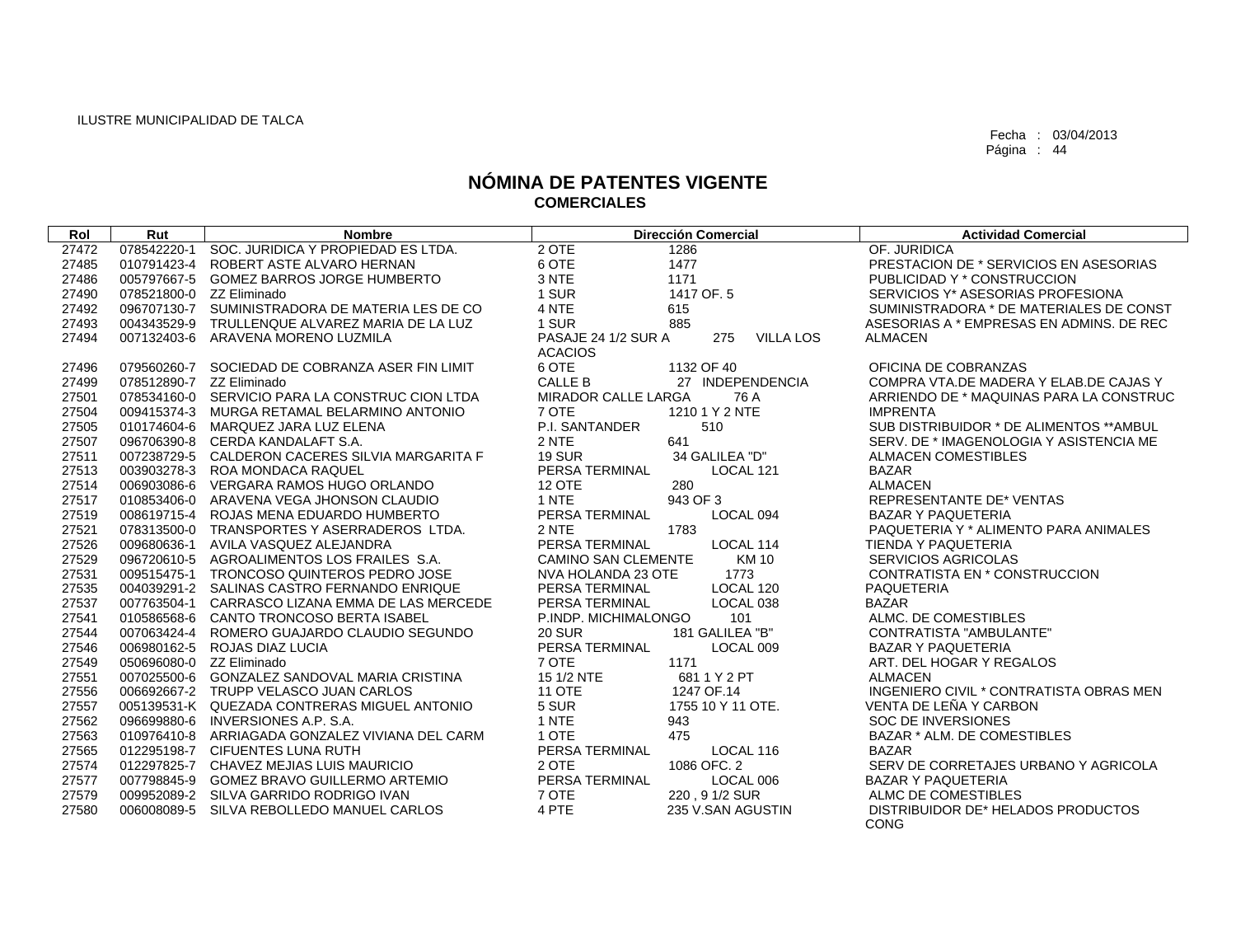| Rol   | Rut                      | <b>Nombre</b>                                   | <b>Dirección Comercial</b>                     | <b>Actividad Comercial</b>                        |
|-------|--------------------------|-------------------------------------------------|------------------------------------------------|---------------------------------------------------|
| 27472 |                          | 078542220-1 SOC. JURIDICA Y PROPIEDAD ES LTDA.  | 2 OTE<br>1286                                  | OF. JURIDICA                                      |
| 27485 |                          | 010791423-4 ROBERT ASTE ALVARO HERNAN           | 6 OTE<br>1477                                  | PRESTACION DE * SERVICIOS EN ASESORIAS            |
| 27486 |                          | 005797667-5 GOMEZ BARROS JORGE HUMBERTO         | 3 NTE<br>1171                                  | PUBLICIDAD Y * CONSTRUCCION                       |
| 27490 | 078521800-0 ZZ Eliminado |                                                 | 1 SUR<br>1417 OF. 5                            | SERVICIOS Y* ASESORIAS PROFESIONA                 |
| 27492 |                          | 096707130-7 SUMINISTRADORA DE MATERIA LES DE CO | 4 NTE<br>615                                   | SUMINISTRADORA * DE MATERIALES DE CONST           |
| 27493 |                          | 004343529-9 TRULLENQUE ALVAREZ MARIA DE LA LUZ  | 1 SUR<br>885                                   | ASESORIAS A * EMPRESAS EN ADMINS. DE REC          |
| 27494 |                          | 007132403-6 ARAVENA MORENO LUZMILA              | PASAJE 24 1/2 SUR A<br>275<br><b>VILLA LOS</b> | <b>ALMACEN</b>                                    |
|       |                          |                                                 | <b>ACACIOS</b>                                 |                                                   |
| 27496 |                          | 079560260-7 SOCIEDAD DE COBRANZA ASER FIN LIMIT | 6 OTE<br>1132 OF 40                            | OFICINA DE COBRANZAS                              |
| 27499 | 078512890-7 ZZ Eliminado |                                                 | CALLE B<br>27 INDEPENDENCIA                    | COMPRA VTA.DE MADERA Y ELAB.DE CAJAS Y            |
| 27501 |                          | 078534160-0 SERVICIO PARA LA CONSTRUC CION LTDA | MIRADOR CALLE LARGA<br>76 A                    | ARRIENDO DE * MAQUINAS PARA LA CONSTRUC           |
| 27504 |                          | 009415374-3 MURGA RETAMAL BELARMINO ANTONIO     | 7 OTE<br>1210 1 Y 2 NTE                        | <b>IMPRENTA</b>                                   |
| 27505 |                          | 010174604-6 MARQUEZ JARA LUZ ELENA              | P.I. SANTANDER<br>510                          | SUB DISTRIBUIDOR * DE ALIMENTOS **AMBUL           |
| 27507 |                          | 096706390-8 CERDA KANDALAFT S.A.                | 2 NTE<br>641                                   | SERV. DE * IMAGENOLOGIA Y ASISTENCIA ME           |
| 27511 |                          | 007238729-5 CALDERON CACERES SILVIA MARGARITA F | <b>19 SUR</b><br>34 GALILEA "D"                | <b>ALMACEN COMESTIBLES</b>                        |
| 27513 |                          | 003903278-3 ROA MONDACA RAQUEL                  | PERSA TERMINAL<br>LOCAL 121                    | <b>BAZAR</b>                                      |
| 27514 |                          | 006903086-6 VERGARA RAMOS HUGO ORLANDO          | <b>12 OTE</b><br>280                           | <b>ALMACEN</b>                                    |
| 27517 |                          | 010853406-0 ARAVENA VEGA JHONSON CLAUDIO        | 1 NTE<br>943 OF 3                              | <b>REPRESENTANTE DE* VENTAS</b>                   |
| 27519 |                          | 008619715-4 ROJAS MENA EDUARDO HUMBERTO         | PERSA TERMINAL<br>LOCAL 094                    | <b>BAZAR Y PAQUETERIA</b>                         |
| 27521 |                          | 078313500-0 TRANSPORTES Y ASERRADEROS LTDA.     | 2 NTE<br>1783                                  | PAQUETERIA Y * ALIMENTO PARA ANIMALES             |
| 27526 |                          | 009680636-1 AVILA VASQUEZ ALEJANDRA             | PERSA TERMINAL<br>LOCAL 114                    | TIENDA Y PAQUETERIA                               |
| 27529 |                          | 096720610-5 AGROALIMENTOS LOS FRAILES S.A.      | <b>CAMINO SAN CLEMENTE</b><br><b>KM10</b>      | <b>SERVICIOS AGRICOLAS</b>                        |
| 27531 |                          | 009515475-1 TRONCOSO QUINTEROS PEDRO JOSE       | 1773<br>NVA HOLANDA 23 OTE                     | CONTRATISTA EN * CONSTRUCCION                     |
| 27535 |                          | 004039291-2 SALINAS CASTRO FERNANDO ENRIQUE     | PERSA TERMINAL<br>LOCAL 120                    | <b>PAQUETERIA</b>                                 |
| 27537 |                          | 007763504-1 CARRASCO LIZANA EMMA DE LAS MERCEDE | PERSA TERMINAL<br>LOCAL 038                    | <b>BAZAR</b>                                      |
| 27541 |                          | 010586568-6 CANTO TRONCOSO BERTA ISABEL         | 101<br>P.INDP. MICHIMALONGO                    | ALMC, DE COMESTIBLES                              |
| 27544 |                          | 007063424-4 ROMERO GUAJARDO CLAUDIO SEGUNDO     | <b>20 SUR</b><br>181 GALILEA "B"               | CONTRATISTA "AMBULANTE"                           |
| 27546 |                          | 006980162-5 ROJAS DIAZ LUCIA                    | PERSA TERMINAL<br>LOCAL 009                    | <b>BAZAR Y PAQUETERIA</b>                         |
| 27549 | 050696080-0 ZZ Eliminado |                                                 | 7 OTE<br>1171                                  | ART. DEL HOGAR Y REGALOS                          |
| 27551 |                          | 007025500-6 GONZALEZ SANDOVAL MARIA CRISTINA    | 15 1/2 NTE<br>681 1 Y 2 PT                     | <b>ALMACEN</b>                                    |
| 27556 |                          | 006692667-2 TRUPP VELASCO JUAN CARLOS           | <b>11 OTE</b><br>1247 OF.14                    | INGENIERO CIVIL * CONTRATISTA OBRAS MEN           |
| 27557 |                          | 005139531-K QUEZADA CONTRERAS MIGUEL ANTONIO    | 5 SUR<br>1755 10 Y 11 OTE.                     | VENTA DE LEÑA Y CARBON                            |
| 27562 |                          | 096699880-6 INVERSIONES A.P. S.A.               | 1 NTE<br>943                                   | SOC DE INVERSIONES                                |
| 27563 |                          | 010976410-8 ARRIAGADA GONZALEZ VIVIANA DEL CARM | 1 OTE<br>475                                   | BAZAR * ALM. DE COMESTIBLES                       |
| 27565 |                          | 012295198-7 CIFUENTES LUNA RUTH                 | PERSA TERMINAL<br>LOCAL 116                    | <b>BAZAR</b>                                      |
| 27574 |                          | 012297825-7 CHAVEZ MEJIAS LUIS MAURICIO         | 2 OTE<br>1086 OFC, 2                           | SERV DE CORRETAJES URBANO Y AGRICOLA              |
| 27577 |                          | 007798845-9 GOMEZ BRAVO GUILLERMO ARTEMIO       | PERSA TERMINAL<br>LOCAL 006                    | <b>BAZAR Y PAQUETERIA</b>                         |
| 27579 |                          | 009952089-2 SILVA GARRIDO RODRIGO IVAN          | 7 OTE<br>220, 91/2 SUR                         | ALMC DE COMESTIBLES                               |
| 27580 |                          | 006008089-5 SILVA REBOLLEDO MANUEL CARLOS       | 4 PTE<br>235 V.SAN AGUSTIN                     | DISTRIBUIDOR DE* HELADOS PRODUCTOS<br><b>CONG</b> |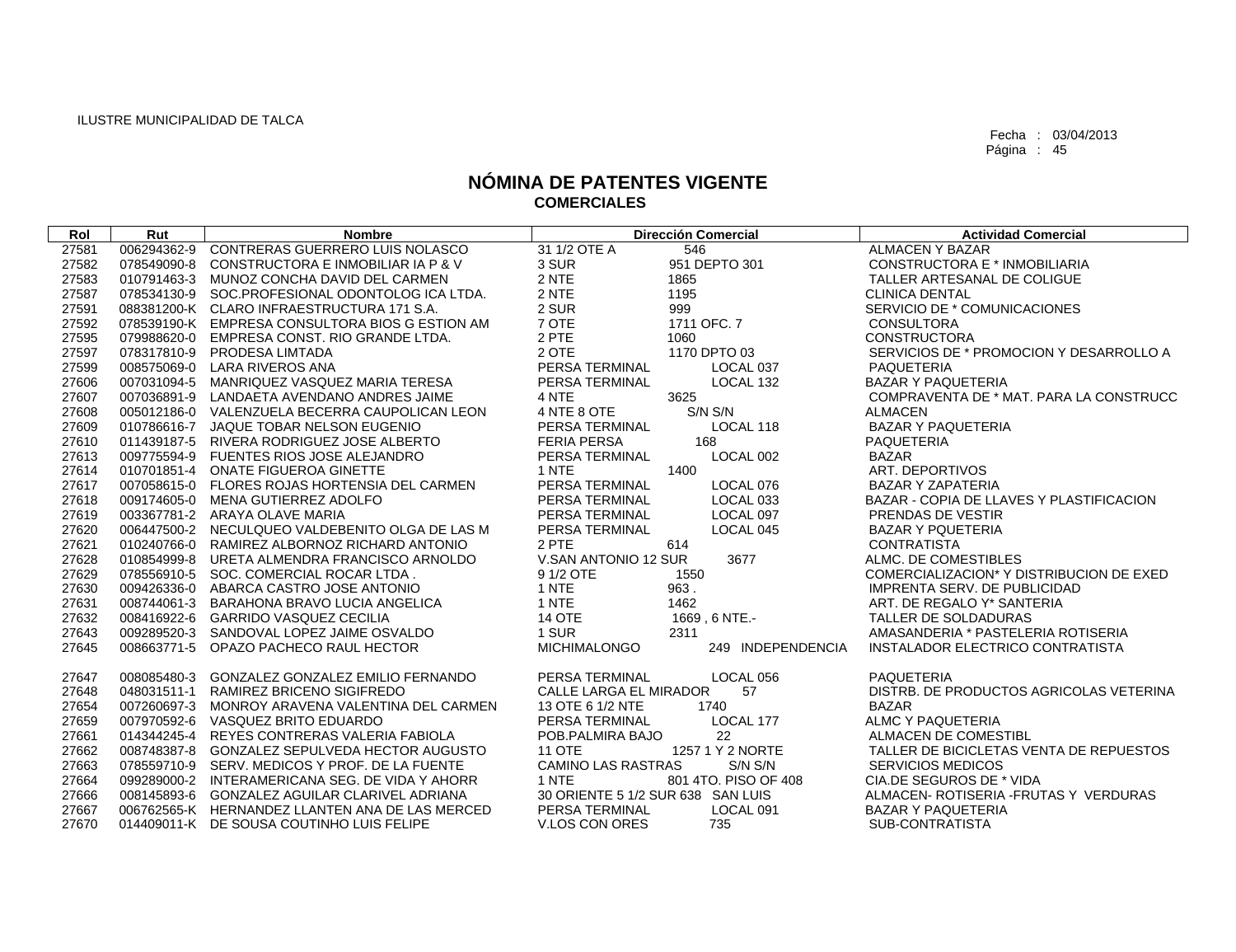| Rol   | Rut         | <b>Nombre</b>                                   | <b>Dirección Comercial</b>               | <b>Actividad Comercial</b>               |
|-------|-------------|-------------------------------------------------|------------------------------------------|------------------------------------------|
| 27581 | 006294362-9 | CONTRERAS GUERRERO LUIS NOLASCO                 | 31 1/2 OTE A<br>546                      | <b>ALMACEN Y BAZAR</b>                   |
| 27582 | 078549090-8 | CONSTRUCTORA E INMOBILIAR IA P & V              | 3 SUR<br>951 DEPTO 301                   | CONSTRUCTORA E * INMOBILIARIA            |
| 27583 |             | 010791463-3 MUNOZ CONCHA DAVID DEL CARMEN       | 2 NTE<br>1865                            | TALLER ARTESANAL DE COLIGUE              |
| 27587 |             | 078534130-9 SOC.PROFESIONAL ODONTOLOG ICA LTDA. | 2 NTE<br>1195                            | <b>CLINICA DENTAL</b>                    |
| 27591 |             | 088381200-K CLARO INFRAESTRUCTURA 171 S.A.      | 2 SUR<br>999                             | SERVICIO DE * COMUNICACIONES             |
| 27592 |             | 078539190-K EMPRESA CONSULTORA BIOS G ESTION AM | 7 OTE<br>1711 OFC. 7                     | <b>CONSULTORA</b>                        |
| 27595 |             | 079988620-0 EMPRESA CONST. RIO GRANDE LTDA.     | 2 PTE<br>1060                            | <b>CONSTRUCTORA</b>                      |
| 27597 |             | 078317810-9 PRODESA LIMTADA                     | 2 OTE<br>1170 DPTO 03                    | SERVICIOS DE * PROMOCION Y DESARROLLO A  |
| 27599 |             | 008575069-0 LARA RIVEROS ANA                    | PERSA TERMINAL<br>LOCAL 037              | PAQUETERIA                               |
| 27606 |             | 007031094-5 MANRIQUEZ VASQUEZ MARIA TERESA      | PERSA TERMINAL<br>LOCAL 132              | <b>BAZAR Y PAQUETERIA</b>                |
| 27607 |             | 007036891-9 LANDAETA AVENDANO ANDRES JAIME      | 4 NTE<br>3625                            | COMPRAVENTA DE * MAT. PARA LA CONSTRUCC  |
| 27608 |             | 005012186-0 VALENZUELA BECERRA CAUPOLICAN LEON  | 4 NTE 8 OTE<br>S/N S/N                   | <b>ALMACEN</b>                           |
| 27609 |             | 010786616-7 JAQUE TOBAR NELSON EUGENIO          | PERSA TERMINAL<br>LOCAL 118              | <b>BAZAR Y PAQUETERIA</b>                |
| 27610 |             | 011439187-5 RIVERA RODRIGUEZ JOSE ALBERTO       | <b>FERIA PERSA</b><br>168                | <b>PAQUETERIA</b>                        |
| 27613 |             | 009775594-9 FUENTES RIOS JOSE ALEJANDRO         | PERSA TERMINAL<br>LOCAL 002              | <b>BAZAR</b>                             |
| 27614 |             | 010701851-4 ONATE FIGUEROA GINETTE              | 1 NTE<br>1400                            | ART. DEPORTIVOS                          |
| 27617 |             | 007058615-0 FLORES ROJAS HORTENSIA DEL CARMEN   | PERSA TERMINAL<br>LOCAL 076              | <b>BAZAR Y ZAPATERIA</b>                 |
| 27618 |             | 009174605-0 MENA GUTIERREZ ADOLFO               | PERSA TERMINAL<br>LOCAL 033              | BAZAR - COPIA DE LLAVES Y PLASTIFICACION |
| 27619 |             | 003367781-2 ARAYA OLAVE MARIA                   | LOCAL 097<br>PERSA TERMINAL              | PRENDAS DE VESTIR                        |
| 27620 |             | 006447500-2 NECULQUEO VALDEBENITO OLGA DE LAS M | PERSA TERMINAL<br>LOCAL 045              | <b>BAZAR Y PQUETERIA</b>                 |
| 27621 |             | 010240766-0 RAMIREZ ALBORNOZ RICHARD ANTONIO    | 2 PTE<br>614                             | <b>CONTRATISTA</b>                       |
| 27628 |             | 010854999-8 URETA ALMENDRA FRANCISCO ARNOLDO    | V.SAN ANTONIO 12 SUR<br>3677             | ALMC. DE COMESTIBLES                     |
| 27629 |             | 078556910-5 SOC. COMERCIAL ROCAR LTDA.          | 9 1/2 OTE<br>1550                        | COMERCIALIZACION* Y DISTRIBUCION DE EXED |
| 27630 |             | 009426336-0 ABARCA CASTRO JOSE ANTONIO          | 1 NTE<br>963.                            | <b>IMPRENTA SERV. DE PUBLICIDAD</b>      |
| 27631 |             | 008744061-3 BARAHONA BRAVO LUCIA ANGELICA       | 1 NTE<br>1462                            | ART. DE REGALO Y* SANTERIA               |
| 27632 |             | 008416922-6 GARRIDO VASQUEZ CECILIA             | <b>14 OTE</b><br>1669, 6 NTE.-           | TALLER DE SOLDADURAS                     |
| 27643 |             | 009289520-3 SANDOVAL LOPEZ JAIME OSVALDO        | 1 SUR<br>2311                            | AMASANDERIA * PASTELERIA ROTISERIA       |
| 27645 | 008663771-5 | OPAZO PACHECO RAUL HECTOR                       | 249 INDEPENDENCIA<br><b>MICHIMALONGO</b> | INSTALADOR ELECTRICO CONTRATISTA         |
| 27647 |             | 008085480-3 GONZALEZ GONZALEZ EMILIO FERNANDO   | PERSA TERMINAL<br>LOCAL 056              | <b>PAQUETERIA</b>                        |
| 27648 |             | 048031511-1 RAMIREZ BRICENO SIGIFREDO           | <b>CALLE LARGA EL MIRADOR</b><br>57      | DISTRB. DE PRODUCTOS AGRICOLAS VETERINA  |
| 27654 |             | 007260697-3 MONROY ARAVENA VALENTINA DEL CARMEN | 13 OTE 6 1/2 NTE<br>1740                 | <b>BAZAR</b>                             |
| 27659 |             | 007970592-6 VASQUEZ BRITO EDUARDO               | LOCAL 177<br>PERSA TERMINAL              | ALMC Y PAQUETERIA                        |
| 27661 |             | 014344245-4 REYES CONTRERAS VALERIA FABIOLA     | POB.PALMIRA BAJO<br>22                   | ALMACEN DE COMESTIBL                     |
| 27662 |             | 008748387-8 GONZALEZ SEPULVEDA HECTOR AUGUSTO   | <b>11 OTE</b><br>1257 1 Y 2 NORTE        | TALLER DE BICICLETAS VENTA DE REPUESTOS  |
| 27663 |             | 078559710-9 SERV, MEDICOS Y PROF, DE LA FUENTE  | <b>CAMINO LAS RASTRAS</b><br>S/N S/N     | <b>SERVICIOS MEDICOS</b>                 |
| 27664 |             | 099289000-2 INTERAMERICANA SEG. DE VIDA Y AHORR | 1 NTE<br>801 4TO, PISO OF 408            | CIA.DE SEGUROS DE * VIDA                 |
| 27666 |             | 008145893-6 GONZALEZ AGUILAR CLARIVEL ADRIANA   | 30 ORIENTE 5 1/2 SUR 638 SAN LUIS        | ALMACEN- ROTISERIA - FRUTAS Y VERDURAS   |
| 27667 |             | 006762565-K HERNANDEZ LLANTEN ANA DE LAS MERCED | PERSA TERMINAL<br>LOCAL 091              | <b>BAZAR Y PAQUETERIA</b>                |
| 27670 |             | 014409011-K DE SOUSA COUTINHO LUIS FELIPE       | V.LOS CON ORES<br>735                    | SUB-CONTRATISTA                          |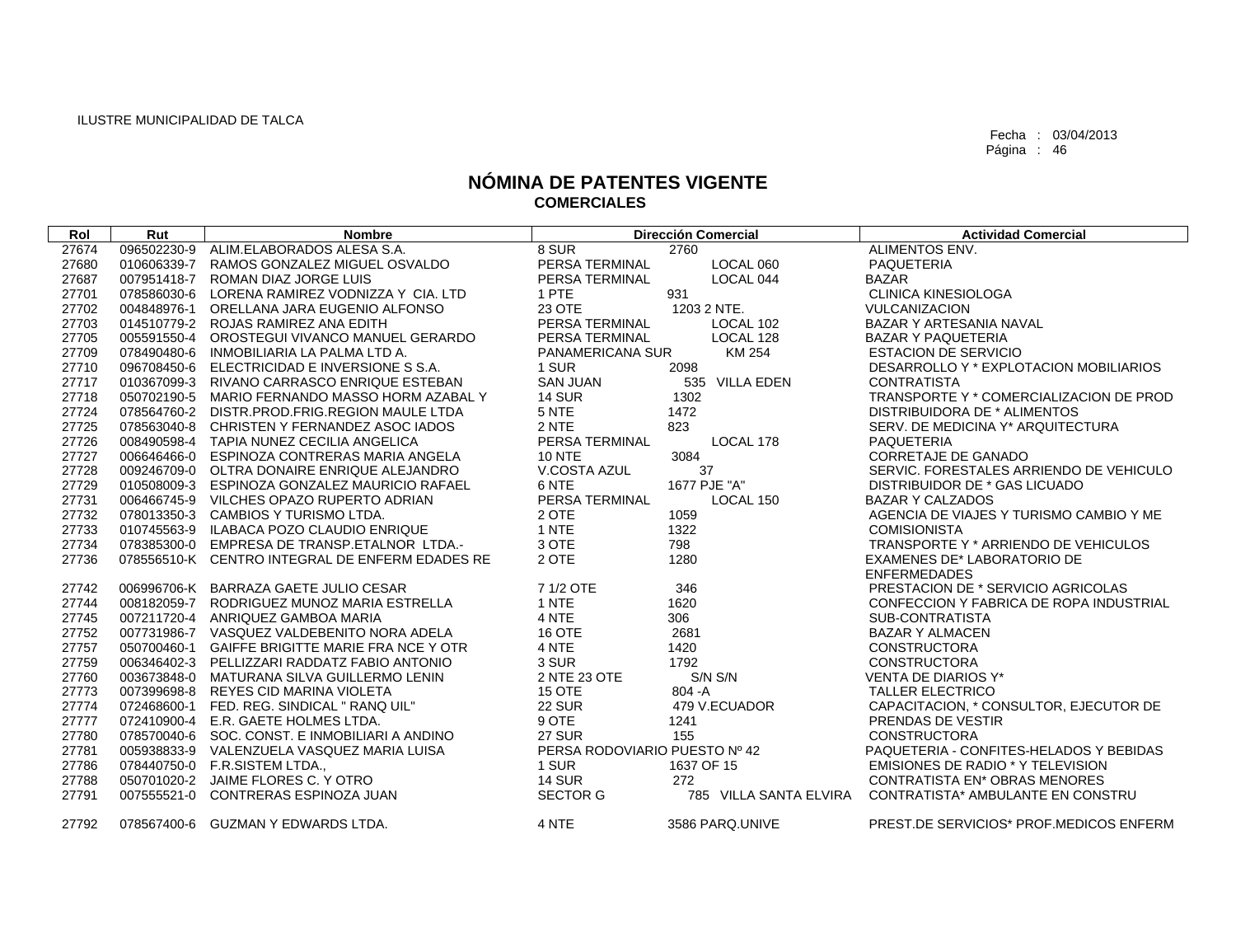| Rol   | Rut         | <b>Nombre</b>                                   |                               | <b>Dirección Comercial</b> | <b>Actividad Comercial</b>               |
|-------|-------------|-------------------------------------------------|-------------------------------|----------------------------|------------------------------------------|
| 27674 | 096502230-9 | ALIM.ELABORADOS ALESA S.A.                      | 8 SUR                         | 2760                       | ALIMENTOS ENV.                           |
| 27680 | 010606339-7 | RAMOS GONZALEZ MIGUEL OSVALDO                   | PERSA TERMINAL                | LOCAL 060                  | <b>PAQUETERIA</b>                        |
| 27687 | 007951418-7 | ROMAN DIAZ JORGE LUIS                           | PERSA TERMINAL                | LOCAL 044                  | <b>BAZAR</b>                             |
| 27701 | 078586030-6 | LORENA RAMIREZ VODNIZZA Y CIA. LTD              | 1 PTE                         | 931                        | <b>CLINICA KINESIOLOGA</b>               |
| 27702 | 004848976-1 | ORELLANA JARA EUGENIO ALFONSO                   | 23 OTE                        | 1203 2 NTE.                | <b>VULCANIZACION</b>                     |
| 27703 | 014510779-2 | ROJAS RAMIREZ ANA EDITH                         | PERSA TERMINAL                | LOCAL 102                  | BAZAR Y ARTESANIA NAVAL                  |
| 27705 | 005591550-4 | OROSTEGUI VIVANCO MANUEL GERARDO                | PERSA TERMINAL                | LOCAL 128                  | <b>BAZAR Y PAQUETERIA</b>                |
| 27709 | 078490480-6 | INMOBILIARIA LA PALMA LTD A.                    | <b>PANAMERICANA SUR</b>       | KM 254                     | <b>ESTACION DE SERVICIO</b>              |
| 27710 | 096708450-6 | ELECTRICIDAD E INVERSIONE S S.A.                | 1 SUR                         | 2098                       | DESARROLLO Y * EXPLOTACION MOBILIARIOS   |
| 27717 | 010367099-3 | RIVANO CARRASCO ENRIQUE ESTEBAN                 | <b>SAN JUAN</b>               | 535 VILLA EDEN             | <b>CONTRATISTA</b>                       |
| 27718 | 050702190-5 | MARIO FERNANDO MASSO HORM AZABAL Y              | <b>14 SUR</b>                 | 1302                       | TRANSPORTE Y * COMERCIALIZACION DE PROD  |
| 27724 |             | 078564760-2 DISTR.PROD.FRIG.REGION MAULE LTDA   | 5 NTE                         | 1472                       | DISTRIBUIDORA DE * ALIMENTOS             |
| 27725 |             | 078563040-8 CHRISTEN Y FERNANDEZ ASOC IADOS     | 2 NTE                         | 823                        | SERV. DE MEDICINA Y* ARQUITECTURA        |
| 27726 |             | 008490598-4 TAPIA NUNEZ CECILIA ANGELICA        | PERSA TERMINAL                | LOCAL 178                  | <b>PAQUETERIA</b>                        |
| 27727 |             | 006646466-0 ESPINOZA CONTRERAS MARIA ANGELA     | <b>10 NTE</b>                 | 3084                       | <b>CORRETAJE DE GANADO</b>               |
| 27728 | 009246709-0 | OLTRA DONAIRE ENRIQUE ALEJANDRO                 | V.COSTA AZUL                  | 37                         | SERVIC. FORESTALES ARRIENDO DE VEHICULO  |
| 27729 | 010508009-3 | ESPINOZA GONZALEZ MAURICIO RAFAEL               | 6 NTE                         | 1677 PJE "A"               | DISTRIBUIDOR DE * GAS LICUADO            |
| 27731 |             | 006466745-9 VILCHES OPAZO RUPERTO ADRIAN        | PERSA TERMINAL                | LOCAL 150                  | <b>BAZAR Y CALZADOS</b>                  |
| 27732 |             | 078013350-3 CAMBIOS Y TURISMO LTDA.             | 2 OTE                         | 1059                       | AGENCIA DE VIAJES Y TURISMO CAMBIO Y ME  |
| 27733 | 010745563-9 | ILABACA POZO CLAUDIO ENRIQUE                    | 1 NTE                         | 1322                       | <b>COMISIONISTA</b>                      |
| 27734 |             | 078385300-0 EMPRESA DE TRANSP.ETALNOR LTDA.-    | 3 OTE                         | 798                        | TRANSPORTE Y * ARRIENDO DE VEHICULOS     |
| 27736 |             | 078556510-K CENTRO INTEGRAL DE ENFERM EDADES RE | 2 OTE                         | 1280                       | EXAMENES DE* LABORATORIO DE              |
|       |             |                                                 |                               |                            | <b>ENFERMEDADES</b>                      |
| 27742 |             | 006996706-K BARRAZA GAETE JULIO CESAR           | 7 1/2 OTE                     | 346                        | PRESTACION DE * SERVICIO AGRICOLAS       |
| 27744 |             | 008182059-7 RODRIGUEZ MUNOZ MARIA ESTRELLA      | 1 NTE                         | 1620                       | CONFECCION Y FABRICA DE ROPA INDUSTRIAL  |
| 27745 |             | 007211720-4 ANRIQUEZ GAMBOA MARIA               | 4 NTE                         | 306                        | SUB-CONTRATISTA                          |
| 27752 |             | 007731986-7 VASQUEZ VALDEBENITO NORA ADELA      | 16 OTE                        | 2681                       | <b>BAZAR Y ALMACEN</b>                   |
| 27757 |             | 050700460-1 GAIFFE BRIGITTE MARIE FRA NCE Y OTR | 4 NTE                         | 1420                       | <b>CONSTRUCTORA</b>                      |
| 27759 |             | 006346402-3 PELLIZZARI RADDATZ FABIO ANTONIO    | 3 SUR                         | 1792                       | <b>CONSTRUCTORA</b>                      |
| 27760 |             | 003673848-0 MATURANA SILVA GUILLERMO LENIN      | 2 NTE 23 OTE                  | S/N S/N                    | <b>VENTA DE DIARIOS Y*</b>               |
| 27773 | 007399698-8 | REYES CID MARINA VIOLETA                        | 15 OTE                        | $804 - A$                  | <b>TALLER ELECTRICO</b>                  |
| 27774 |             | 072468600-1 FED, REG, SINDICAL " RANQ UIL"      | <b>22 SUR</b>                 | 479 V.ECUADOR              | CAPACITACION, * CONSULTOR, EJECUTOR DE   |
| 27777 |             | 072410900-4 E.R. GAETE HOLMES LTDA.             | 9 OTE                         | 1241                       | PRENDAS DE VESTIR                        |
| 27780 |             | 078570040-6 SOC. CONST. E INMOBILIARI A ANDINO  | <b>27 SUR</b>                 | 155                        | <b>CONSTRUCTORA</b>                      |
| 27781 | 005938833-9 | VALENZUELA VASQUEZ MARIA LUISA                  | PERSA RODOVIARIO PUESTO Nº 42 |                            | PAQUETERIA - CONFITES-HELADOS Y BEBIDAS  |
| 27786 |             | 078440750-0 F.R.SISTEM LTDA.,                   | 1 SUR                         | 1637 OF 15                 | EMISIONES DE RADIO * Y TELEVISION        |
| 27788 |             | 050701020-2 JAIME FLORES C. Y OTRO              | <b>14 SUR</b>                 | 272                        | <b>CONTRATISTA EN* OBRAS MENORES</b>     |
| 27791 | 007555521-0 | CONTRERAS ESPINOZA JUAN                         | <b>SECTOR G</b>               | 785 VILLA SANTA ELVIRA     | <b>CONTRATISTA* AMBULANTE EN CONSTRU</b> |
| 27792 |             | 078567400-6 GUZMAN Y EDWARDS LTDA.              | 4 NTE                         | 3586 PARQ.UNIVE            | PREST.DE SERVICIOS* PROF.MEDICOS ENFERM  |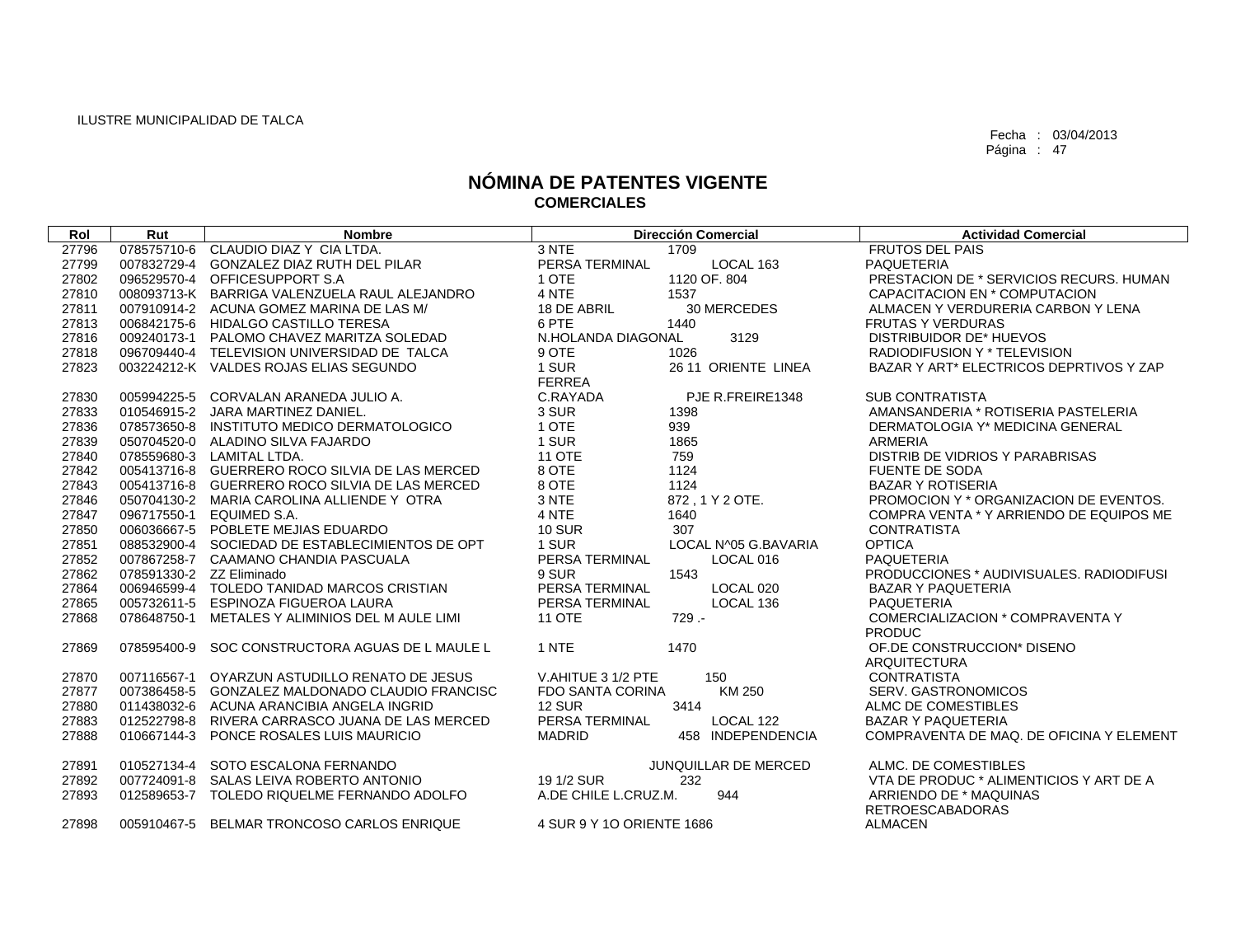| Rol   | Rut                      | <b>Nombre</b>                                 |                           | <b>Dirección Comercial</b> | <b>Actividad Comercial</b>                        |
|-------|--------------------------|-----------------------------------------------|---------------------------|----------------------------|---------------------------------------------------|
| 27796 | 078575710-6              | CLAUDIO DIAZ Y CIA LTDA.                      | 3 NTE                     | 1709                       | <b>FRUTOS DEL PAIS</b>                            |
| 27799 | 007832729-4              | <b>GONZALEZ DIAZ RUTH DEL PILAR</b>           | PERSA TERMINAL            | LOCAL 163                  | <b>PAQUETERIA</b>                                 |
| 27802 | 096529570-4              | OFFICESUPPORT S.A                             | 1 OTE                     | 1120 OF, 804               | PRESTACION DE * SERVICIOS RECURS, HUMAN           |
| 27810 |                          | 008093713-K BARRIGA VALENZUELA RAUL ALEJANDRO | 4 NTE                     | 1537                       | CAPACITACION EN * COMPUTACION                     |
| 27811 |                          | 007910914-2 ACUNA GOMEZ MARINA DE LAS M/      | 18 DE ABRIL               | 30 MERCEDES                | ALMACEN Y VERDURERIA CARBON Y LENA                |
| 27813 | 006842175-6              | HIDALGO CASTILLO TERESA                       | 6 PTE                     | 1440                       | <b>FRUTAS Y VERDURAS</b>                          |
| 27816 | 009240173-1              | PALOMO CHAVEZ MARITZA SOLEDAD                 | N.HOLANDA DIAGONAL        | 3129                       | <b>DISTRIBUIDOR DE* HUEVOS</b>                    |
| 27818 |                          | 096709440-4 TELEVISION UNIVERSIDAD DE TALCA   | 9 OTE                     | 1026                       | RADIODIFUSION Y * TELEVISION                      |
| 27823 |                          | 003224212-K VALDES ROJAS ELIAS SEGUNDO        | 1 SUR                     | 26 11 ORIENTE LINEA        | BAZAR Y ART* ELECTRICOS DEPRTIVOS Y ZAP           |
|       |                          |                                               | FERREA                    |                            |                                                   |
| 27830 | 005994225-5              | CORVALAN ARANEDA JULIO A.                     | C.RAYADA                  | PJE R.FREIRE1348           | <b>SUB CONTRATISTA</b>                            |
| 27833 |                          | 010546915-2 JARA MARTINEZ DANIEL.             | 3 SUR                     | 1398                       | AMANSANDERIA * ROTISERIA PASTELERIA               |
| 27836 |                          | 078573650-8 INSTITUTO MEDICO DERMATOLOGICO    | 1 OTE                     | 939                        | DERMATOLOGIA Y* MEDICINA GENERAL                  |
| 27839 |                          | 050704520-0 ALADINO SILVA FAJARDO             | 1 SUR                     | 1865                       | <b>ARMERIA</b>                                    |
| 27840 |                          | 078559680-3 LAMITAL LTDA.                     | <b>11 OTE</b>             | 759                        | DISTRIB DE VIDRIOS Y PARABRISAS                   |
| 27842 | 005413716-8              | GUERRERO ROCO SILVIA DE LAS MERCED            | 8 OTE                     | 1124                       | <b>FUENTE DE SODA</b>                             |
| 27843 | 005413716-8              | GUERRERO ROCO SILVIA DE LAS MERCED            | 8 OTE                     | 1124                       | <b>BAZAR Y ROTISERIA</b>                          |
| 27846 |                          | 050704130-2 MARIA CAROLINA ALLIENDE Y OTRA    | 3 NTE                     | 872.1Y2OTE.                | PROMOCION Y * ORGANIZACION DE EVENTOS.            |
| 27847 | 096717550-1              | EQUIMED S.A.                                  | 4 NTE                     | 1640                       | COMPRA VENTA * Y ARRIENDO DE EQUIPOS ME           |
| 27850 |                          | 006036667-5 POBLETE MEJIAS EDUARDO            | <b>10 SUR</b>             | 307                        | <b>CONTRATISTA</b>                                |
| 27851 | 088532900-4              | SOCIEDAD DE ESTABLECIMIENTOS DE OPT           | 1 SUR                     | LOCAL N^05 G.BAVARIA       | <b>OPTICA</b>                                     |
| 27852 |                          | 007867258-7 CAAMANO CHANDIA PASCUALA          | PERSA TERMINAL            | LOCAL 016                  | <b>PAQUETERIA</b>                                 |
| 27862 | 078591330-2 ZZ Eliminado |                                               | 9 SUR                     | 1543                       | PRODUCCIONES * AUDIVISUALES, RADIODIFUSI          |
| 27864 |                          | 006946599-4 TOLEDO TANIDAD MARCOS CRISTIAN    | PERSA TERMINAL            | LOCAL 020                  | <b>BAZAR Y PAQUETERIA</b>                         |
| 27865 | 005732611-5              | ESPINOZA FIGUEROA LAURA                       | PERSA TERMINAL            | LOCAL 136                  | <b>PAQUETERIA</b>                                 |
| 27868 | 078648750-1              | METALES Y ALIMINIOS DEL M AULE LIMI           | <b>11 OTE</b>             | $729 -$                    | COMERCIALIZACION * COMPRAVENTA Y                  |
|       |                          |                                               |                           |                            | <b>PRODUC</b>                                     |
| 27869 | 078595400-9              | SOC CONSTRUCTORA AGUAS DE L MAULE L           | 1 NTE                     | 1470                       | OF DE CONSTRUCCION* DISENO<br><b>ARQUITECTURA</b> |
| 27870 | 007116567-1              | OYARZUN ASTUDILLO RENATO DE JESUS             | V.AHITUE 3 1/2 PTE        | 150                        | <b>CONTRATISTA</b>                                |
| 27877 | 007386458-5              | <b>GONZALEZ MALDONADO CLAUDIO FRANCISC</b>    | <b>FDO SANTA CORINA</b>   | KM 250                     | <b>SERV. GASTRONOMICOS</b>                        |
| 27880 | 011438032-6              | ACUNA ARANCIBIA ANGELA INGRID                 | <b>12 SUR</b>             | 3414                       | ALMC DE COMESTIBLES                               |
| 27883 | 012522798-8              | RIVERA CARRASCO JUANA DE LAS MERCED           | PERSA TERMINAL            | LOCAL 122                  | <b>BAZAR Y PAQUETERIA</b>                         |
| 27888 |                          | 010667144-3 PONCE ROSALES LUIS MAURICIO       | <b>MADRID</b>             | 458 INDEPENDENCIA          | COMPRAVENTA DE MAQ. DE OFICINA Y ELEMENT          |
|       |                          |                                               |                           |                            |                                                   |
| 27891 | 010527134-4              | SOTO ESCALONA FERNANDO                        |                           | JUNQUILLAR DE MERCED       | ALMC. DE COMESTIBLES                              |
| 27892 |                          | 007724091-8 SALAS LEIVA ROBERTO ANTONIO       | 19 1/2 SUR                | 232                        | VTA DE PRODUC * ALIMENTICIOS Y ART DE A           |
| 27893 | 012589653-7              | TOLEDO RIQUELME FERNANDO ADOLFO               | A.DE CHILE L.CRUZ.M.      | 944                        | ARRIENDO DE * MAQUINAS                            |
|       |                          |                                               |                           |                            | <b>RETROESCABADORAS</b>                           |
| 27898 |                          | 005910467-5 BELMAR TRONCOSO CARLOS ENRIQUE    | 4 SUR 9 Y 10 ORIENTE 1686 |                            | <b>ALMACEN</b>                                    |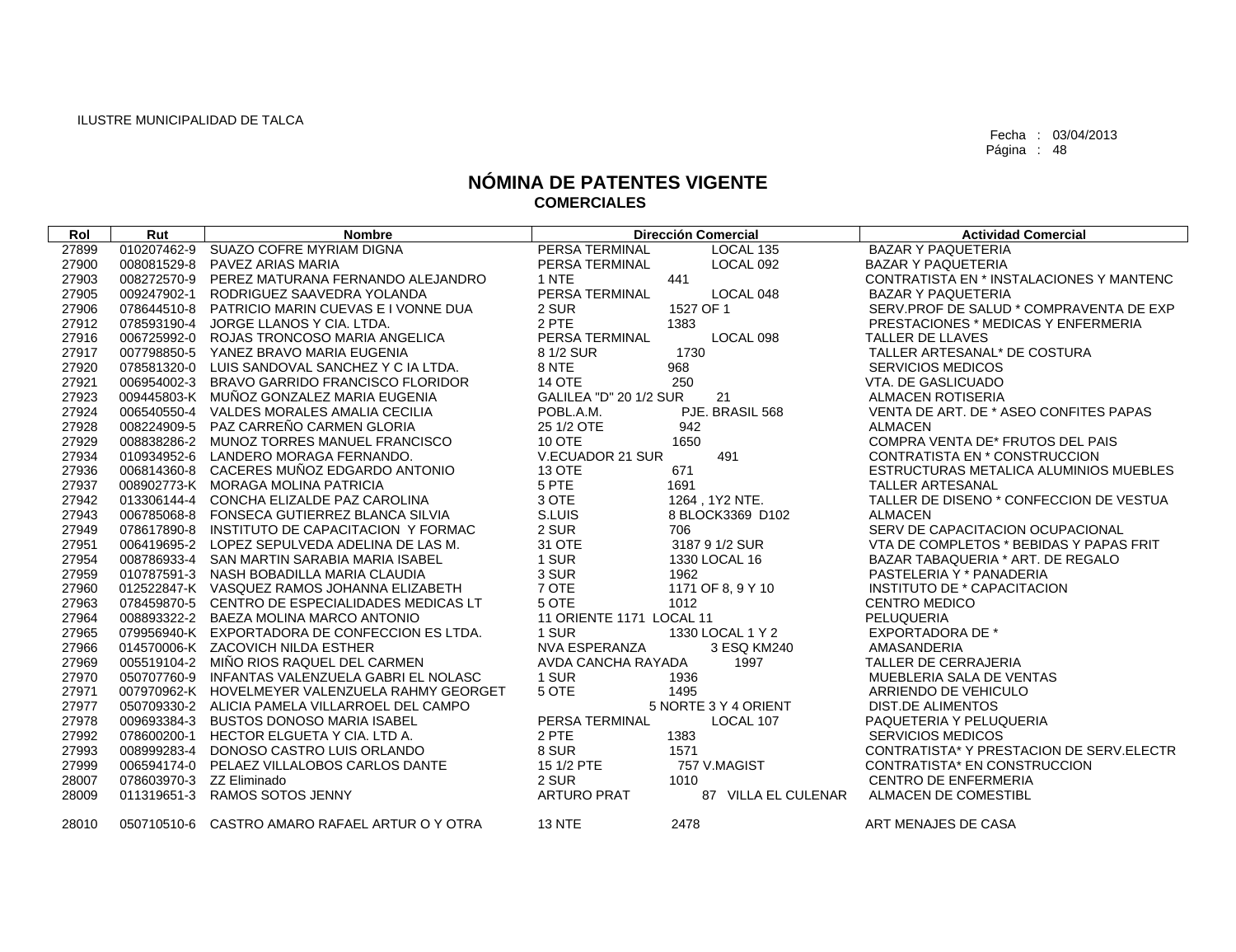| Rol   | Rut         | <b>Nombre</b>                                   | <b>Dirección Comercial</b>                | <b>Actividad Comercial</b>                 |
|-------|-------------|-------------------------------------------------|-------------------------------------------|--------------------------------------------|
| 27899 | 010207462-9 | SUAZO COFRE MYRIAM DIGNA                        | PERSA TERMINAL<br>LOCAL 135               | <b>BAZAR Y PAQUETERIA</b>                  |
| 27900 | 008081529-8 | PAVEZ ARIAS MARIA                               | LOCAL 092<br>PERSA TERMINAL               | <b>BAZAR Y PAQUETERIA</b>                  |
| 27903 | 008272570-9 | PEREZ MATURANA FERNANDO ALEJANDRO               | 1 NTE<br>441                              | CONTRATISTA EN * INSTALACIONES Y MANTENC   |
| 27905 | 009247902-1 | RODRIGUEZ SAAVEDRA YOLANDA                      | PERSA TERMINAL<br>LOCAL 048               | <b>BAZAR Y PAQUETERIA</b>                  |
| 27906 | 078644510-8 | PATRICIO MARIN CUEVAS E I VONNE DUA             | 2 SUR<br>1527 OF 1                        | SERV.PROF DE SALUD * COMPRAVENTA DE EXP    |
| 27912 | 078593190-4 | JORGE LLANOS Y CIA, LTDA.                       | 2 PTE<br>1383                             | <b>PRESTACIONES * MEDICAS Y ENFERMERIA</b> |
| 27916 | 006725992-0 | ROJAS TRONCOSO MARIA ANGELICA                   | PERSA TERMINAL<br>LOCAL 098               | TALLER DE LLAVES                           |
| 27917 | 007798850-5 | YANEZ BRAVO MARIA EUGENIA                       | 8 1/2 SUR<br>1730                         | TALLER ARTESANAL* DE COSTURA               |
| 27920 | 078581320-0 | LUIS SANDOVAL SANCHEZ Y C IA LTDA.              | 8 NTE<br>968                              | <b>SERVICIOS MEDICOS</b>                   |
| 27921 | 006954002-3 | BRAVO GARRIDO FRANCISCO FLORIDOR                | <b>14 OTE</b><br>250                      | VTA. DE GASLICUADO                         |
| 27923 | 009445803-K | MUÑOZ GONZALEZ MARIA EUGENIA                    | 21<br><b>GALILEA "D" 20 1/2 SUR</b>       | ALMACEN ROTISERIA                          |
| 27924 | 006540550-4 | VALDES MORALES AMALIA CECILIA                   | POBL.A.M.<br>PJE. BRASIL 568              | VENTA DE ART. DE * ASEO CONFITES PAPAS     |
| 27928 | 008224909-5 | PAZ CARREÑO CARMEN GLORIA                       | 25 1/2 OTE<br>942                         | <b>ALMACEN</b>                             |
| 27929 |             | 008838286-2 MUNOZ TORRES MANUEL FRANCISCO       | <b>10 OTE</b><br>1650                     | COMPRA VENTA DE* FRUTOS DEL PAIS           |
| 27934 | 010934952-6 | LANDERO MORAGA FERNANDO.                        | V.ECUADOR 21 SUR<br>491                   | CONTRATISTA EN * CONSTRUCCION              |
| 27936 | 006814360-8 | CACERES MUNOZ EDGARDO ANTONIO                   | <b>13 OTE</b><br>671                      | ESTRUCTURAS METALICA ALUMINIOS MUEBLES     |
| 27937 |             | 008902773-K MORAGA MOLINA PATRICIA              | 5 PTE<br>1691                             | <b>TALLER ARTESANAL</b>                    |
| 27942 |             | 013306144-4 CONCHA ELIZALDE PAZ CAROLINA        | 3 OTE<br>1264, 1Y2 NTE.                   | TALLER DE DISENO * CONFECCION DE VESTUA    |
| 27943 | 006785068-8 | FONSECA GUTIERREZ BLANCA SILVIA                 | S.LUIS<br>8 BLOCK3369 D102                | <b>ALMACEN</b>                             |
| 27949 | 078617890-8 | INSTITUTO DE CAPACITACION Y FORMAC              | 2 SUR<br>706                              | SERV DE CAPACITACION OCUPACIONAL           |
| 27951 |             | 006419695-2 LOPEZ SEPULVEDA ADELINA DE LAS M.   | 31 OTE<br>3187 9 1/2 SUR                  | VTA DE COMPLETOS * BEBIDAS Y PAPAS FRIT    |
| 27954 |             | 008786933-4 SAN MARTIN SARABIA MARIA ISABEL     | 1 SUR<br>1330 LOCAL 16                    | BAZAR TABAQUERIA * ART. DE REGALO          |
| 27959 |             | 010787591-3 NASH BOBADILLA MARIA CLAUDIA        | 3 SUR<br>1962                             | PASTELERIA Y * PANADERIA                   |
| 27960 |             | 012522847-K VASQUEZ RAMOS JOHANNA ELIZABETH     | 7 OTE<br>1171 OF 8, 9 Y 10                | INSTITUTO DE * CAPACITACION                |
| 27963 |             | 078459870-5 CENTRO DE ESPECIALIDADES MEDICAS LT | 5 OTE<br>1012                             | <b>CENTRO MEDICO</b>                       |
| 27964 |             | 008893322-2 BAEZA MOLINA MARCO ANTONIO          | 11 ORIENTE 1171 LOCAL 11                  | PELUQUERIA                                 |
| 27965 |             | 079956940-K EXPORTADORA DE CONFECCION ES LTDA.  | 1 SUR<br>1330 LOCAL 1 Y 2                 | <b>EXPORTADORA DE *</b>                    |
| 27966 |             | 014570006-K ZACOVICH NILDA ESTHER               | NVA ESPERANZA<br>3 ESQ KM240              | AMASANDERIA                                |
| 27969 |             | 005519104-2 MINO RIOS RAQUEL DEL CARMEN         | AVDA CANCHA RAYADA<br>1997                | <b>TALLER DE CERRAJERIA</b>                |
| 27970 | 050707760-9 | INFANTAS VALENZUELA GABRI EL NOLASC             | 1 SUR<br>1936                             | MUEBLERIA SALA DE VENTAS                   |
| 27971 |             | 007970962-K HOVELMEYER VALENZUELA RAHMY GEORGET | 5 OTE<br>1495                             | ARRIENDO DE VEHICULO                       |
| 27977 |             | 050709330-2 ALICIA PAMELA VILLARROEL DEL CAMPO  | 5 NORTE 3 Y 4 ORIENT                      | <b>DIST.DE ALIMENTOS</b>                   |
| 27978 |             | 009693384-3 BUSTOS DONOSO MARIA ISABEL          | PERSA TERMINAL<br>LOCAL 107               | PAQUETERIA Y PELUQUERIA                    |
| 27992 | 078600200-1 | HECTOR ELGUETA Y CIA. LTD A.                    | 2 PTE<br>1383                             | <b>SERVICIOS MEDICOS</b>                   |
| 27993 | 008999283-4 | DONOSO CASTRO LUIS ORLANDO                      | 8 SUR<br>1571                             | CONTRATISTA* Y PRESTACION DE SERV.ELECTR   |
| 27999 | 006594174-0 | PELAEZ VILLALOBOS CARLOS DANTE                  | 15 1/2 PTE<br>757 V.MAGIST                | CONTRATISTA* EN CONSTRUCCION               |
| 28007 |             | 078603970-3 ZZ Eliminado                        | 2 SUR<br>1010                             | <b>CENTRO DE ENFERMERIA</b>                |
| 28009 | 011319651-3 | RAMOS SOTOS JENNY                               | <b>ARTURO PRAT</b><br>87 VILLA EL CULENAR | ALMACEN DE COMESTIBL                       |
| 28010 |             | 050710510-6 CASTRO AMARO RAFAEL ARTUR O Y OTRA  | <b>13 NTE</b><br>2478                     | ART MENAJES DE CASA                        |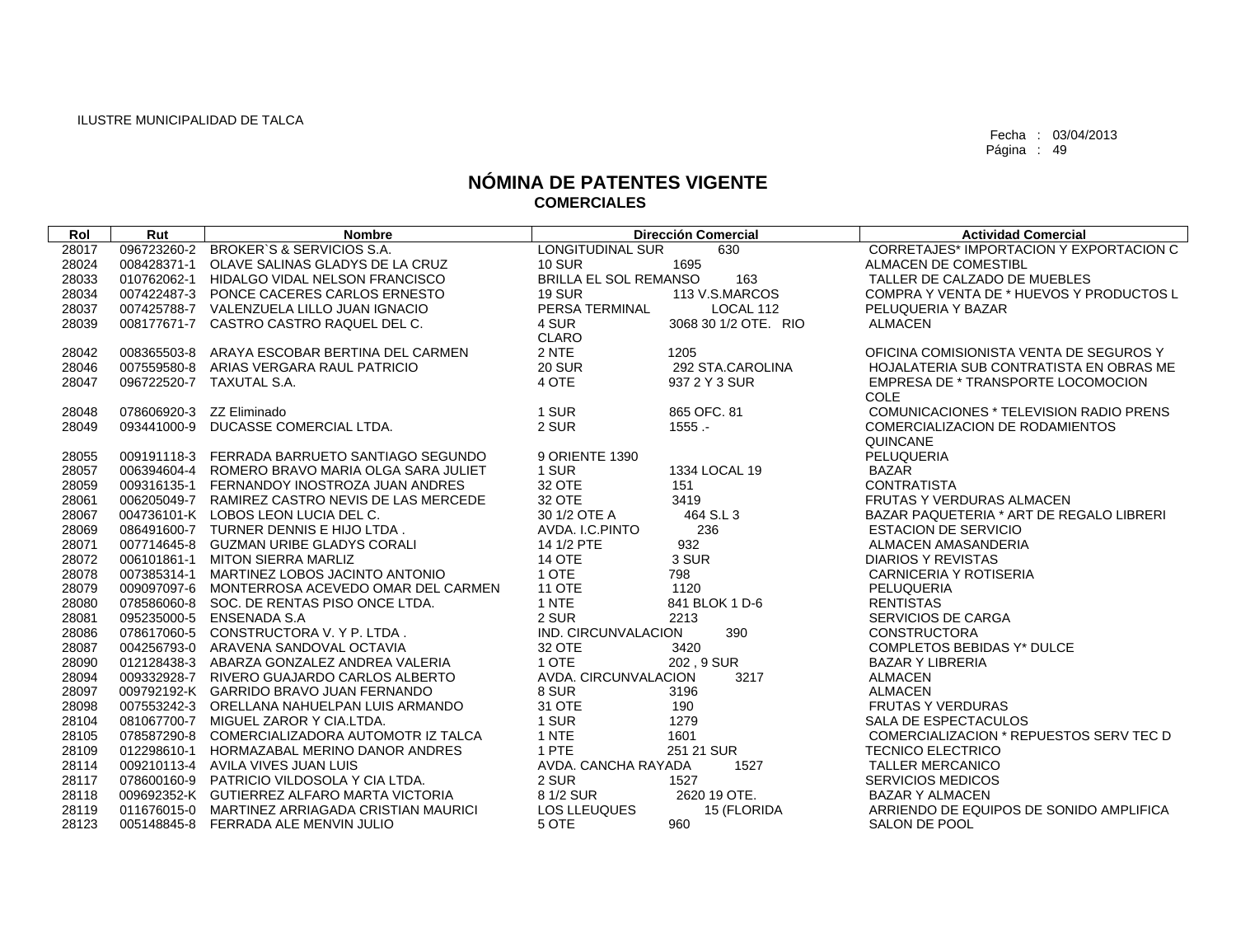| Rol   | Rut         | <b>Nombre</b>                                   | <b>Dirección Comercial</b>          | <b>Actividad Comercial</b>               |
|-------|-------------|-------------------------------------------------|-------------------------------------|------------------------------------------|
| 28017 | 096723260-2 | BROKER'S & SERVICIOS S.A.                       | <b>LONGITUDINAL SUR</b><br>630      | CORRETAJES* IMPORTACION Y EXPORTACION C  |
| 28024 | 008428371-1 | OLAVE SALINAS GLADYS DE LA CRUZ                 | <b>10 SUR</b><br>1695               | ALMACEN DE COMESTIBL                     |
| 28033 |             | 010762062-1 HIDALGO VIDAL NELSON FRANCISCO      | <b>BRILLA EL SOL REMANSO</b><br>163 | TALLER DE CALZADO DE MUEBLES             |
| 28034 |             | 007422487-3 PONCE CACERES CARLOS ERNESTO        | <b>19 SUR</b><br>113 V.S.MARCOS     | COMPRA Y VENTA DE * HUEVOS Y PRODUCTOS L |
| 28037 |             | 007425788-7 VALENZUELA LILLO JUAN IGNACIO       | PERSA TERMINAL<br>LOCAL 112         | PELUQUERIA Y BAZAR                       |
| 28039 |             | 008177671-7 CASTRO CASTRO RAQUEL DEL C.         | 4 SUR<br>3068 30 1/2 OTE, RIO       | <b>ALMACEN</b>                           |
|       |             |                                                 | <b>CLARO</b>                        |                                          |
| 28042 |             | 008365503-8 ARAYA ESCOBAR BERTINA DEL CARMEN    | 2 NTE<br>1205                       | OFICINA COMISIONISTA VENTA DE SEGUROS Y  |
| 28046 |             | 007559580-8 ARIAS VERGARA RAUL PATRICIO         | <b>20 SUR</b><br>292 STA.CAROLINA   | HOJALATERIA SUB CONTRATISTA EN OBRAS ME  |
| 28047 |             | 096722520-7 TAXUTAL S.A.                        | 4 OTE<br>937 2 Y 3 SUR              | EMPRESA DE * TRANSPORTE LOCOMOCION       |
|       |             |                                                 |                                     | COLE                                     |
| 28048 |             | 078606920-3 ZZ Eliminado                        | 1 SUR<br>865 OFC, 81                | COMUNICACIONES * TELEVISION RADIO PRENS  |
| 28049 |             | 093441000-9 DUCASSE COMERCIAL LTDA.             | 2 SUR<br>$1555 -$                   | COMERCIALIZACION DE RODAMIENTOS          |
|       |             |                                                 |                                     | QUINCANE                                 |
| 28055 |             | 009191118-3 FERRADA BARRUETO SANTIAGO SEGUNDO   | 9 ORIENTE 1390                      | PELUQUERIA                               |
| 28057 |             | 006394604-4 ROMERO BRAVO MARIA OLGA SARA JULIET | 1 SUR<br>1334 LOCAL 19              | <b>BAZAR</b>                             |
| 28059 |             | 009316135-1 FERNANDOY INOSTROZA JUAN ANDRES     | 32 OTE<br>151                       | <b>CONTRATISTA</b>                       |
| 28061 |             | 006205049-7 RAMIREZ CASTRO NEVIS DE LAS MERCEDE | 32 OTE<br>3419                      | <b>FRUTAS Y VERDURAS ALMACEN</b>         |
| 28067 |             | 004736101-K LOBOS LEON LUCIA DEL C.             | 464 S.L 3<br>30 1/2 OTE A           | BAZAR PAQUETERIA * ART DE REGALO LIBRERI |
| 28069 |             | 086491600-7 TURNER DENNIS E HIJO LTDA.          | AVDA, I.C. PINTO<br>236             | <b>ESTACION DE SERVICIO</b>              |
| 28071 |             | 007714645-8 GUZMAN URIBE GLADYS CORALI          | 14 1/2 PTE<br>932                   | ALMACEN AMASANDERIA                      |
| 28072 |             | 006101861-1 MITON SIERRA MARLIZ                 | 3 SUR<br><b>14 OTE</b>              | <b>DIARIOS Y REVISTAS</b>                |
| 28078 |             | 007385314-1 MARTINEZ LOBOS JACINTO ANTONIO      | 1 OTE<br>798                        | <b>CARNICERIA Y ROTISERIA</b>            |
| 28079 |             | 009097097-6 MONTERROSA ACEVEDO OMAR DEL CARMEN  | 1120<br><b>11 OTE</b>               | PELUQUERIA                               |
| 28080 |             | 078586060-8 SOC. DE RENTAS PISO ONCE LTDA.      | 1 NTE<br>841 BLOK 1 D-6             | <b>RENTISTAS</b>                         |
| 28081 |             | 095235000-5 ENSENADA S.A                        | 2 SUR<br>2213                       | SERVICIOS DE CARGA                       |
| 28086 |             | 078617060-5 CONSTRUCTORA V. Y P. LTDA.          | IND. CIRCUNVALACION<br>390          | <b>CONSTRUCTORA</b>                      |
| 28087 |             | 004256793-0 ARAVENA SANDOVAL OCTAVIA            | 32 OTE<br>3420                      | COMPLETOS BEBIDAS Y* DULCE               |
| 28090 |             | 012128438-3 ABARZA GONZALEZ ANDREA VALERIA      | 1 OTE<br>202, 9 SUR                 | <b>BAZAR Y LIBRERIA</b>                  |
| 28094 |             | 009332928-7 RIVERO GUAJARDO CARLOS ALBERTO      | AVDA, CIRCUNVALACION<br>3217        | <b>ALMACEN</b>                           |
| 28097 |             | 009792192-K GARRIDO BRAVO JUAN FERNANDO         | 8 SUR<br>3196                       | <b>ALMACEN</b>                           |
| 28098 |             | 007553242-3 ORELLANA NAHUELPAN LUIS ARMANDO     | 31 OTE<br>190                       | <b>FRUTAS Y VERDURAS</b>                 |
| 28104 |             | 081067700-7 MIGUEL ZAROR Y CIA.LTDA.            | 1 SUR<br>1279                       | SALA DE ESPECTACULOS                     |
| 28105 |             | 078587290-8 COMERCIALIZADORA AUTOMOTR IZ TALCA  | 1 NTE<br>1601                       | COMERCIALIZACION * REPUESTOS SERV TEC D  |
| 28109 |             | 012298610-1 HORMAZABAL MERINO DANOR ANDRES      | 1 PTE<br>251 21 SUR                 | <b>TECNICO ELECTRICO</b>                 |
| 28114 |             | 009210113-4 AVILA VIVES JUAN LUIS               | AVDA, CANCHA RAYADA<br>1527         | <b>TALLER MERCANICO</b>                  |
| 28117 |             | 078600160-9 PATRICIO VILDOSOLA Y CIA LTDA.      | 2 SUR<br>1527                       | <b>SERVICIOS MEDICOS</b>                 |
| 28118 |             | 009692352-K GUTIERREZ ALFARO MARTA VICTORIA     | 2620 19 OTE.<br>8 1/2 SUR           | <b>BAZAR Y ALMACEN</b>                   |
| 28119 |             | 011676015-0 MARTINEZ ARRIAGADA CRISTIAN MAURICI | <b>LOS LLEUQUES</b><br>15 (FLORIDA  | ARRIENDO DE EQUIPOS DE SONIDO AMPLIFICA  |
| 28123 |             | 005148845-8 FERRADA ALE MENVIN JULIO            | 5 OTE<br>960                        | SALON DE POOL                            |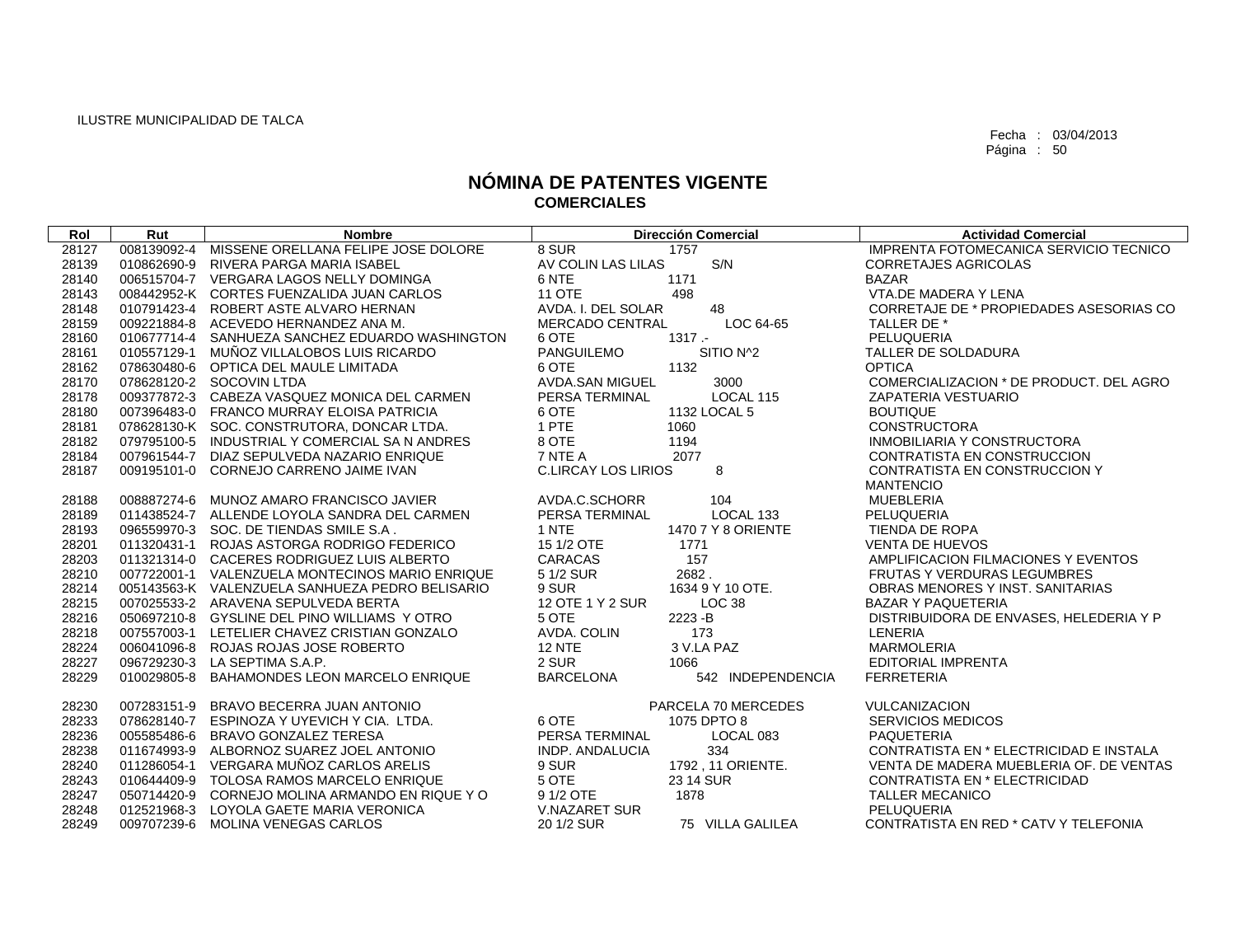| Rol   | Rut         | <b>Nombre</b>                                   | <b>Dirección Comercial</b>            | <b>Actividad Comercial</b>              |
|-------|-------------|-------------------------------------------------|---------------------------------------|-----------------------------------------|
| 28127 | 008139092-4 | MISSENE ORELLANA FELIPE JOSE DOLORE             | 8 SUR<br>1757                         | IMPRENTA FOTOMECANICA SERVICIO TECNICO  |
| 28139 | 010862690-9 | RIVERA PARGA MARIA ISABEL                       | S/N<br>AV COLIN LAS LILAS             | <b>CORRETAJES AGRICOLAS</b>             |
| 28140 |             | 006515704-7 VERGARA LAGOS NELLY DOMINGA         | 6 NTE<br>1171                         | <b>BAZAR</b>                            |
| 28143 |             | 008442952-K CORTES FUENZALIDA JUAN CARLOS       | <b>11 OTE</b><br>498                  | VTA.DE MADERA Y LENA                    |
| 28148 |             | 010791423-4 ROBERT ASTE ALVARO HERNAN           | AVDA. I. DEL SOLAR<br>48              | CORRETAJE DE * PROPIEDADES ASESORIAS CO |
| 28159 | 009221884-8 | ACEVEDO HERNANDEZ ANA M.                        | <b>MERCADO CENTRAL</b><br>LOC 64-65   | TALLER DE *                             |
| 28160 |             | 010677714-4 SANHUEZA SANCHEZ EDUARDO WASHINGTON | $1317 -$<br>6 OTE                     | PELUQUERIA                              |
| 28161 | 010557129-1 | MUÑOZ VILLALOBOS LUIS RICARDO                   | SITIO N^2<br><b>PANGUILEMO</b>        | TALLER DE SOLDADURA                     |
| 28162 |             | 078630480-6 OPTICA DEL MAULE LIMITADA           | 6 OTE<br>1132                         | <b>OPTICA</b>                           |
| 28170 |             | 078628120-2 SOCOVIN LTDA                        | AVDA.SAN MIGUEL<br>3000               | COMERCIALIZACION * DE PRODUCT. DEL AGRO |
| 28178 |             | 009377872-3 CABEZA VASQUEZ MONICA DEL CARMEN    | LOCAL 115<br>PERSA TERMINAL           | ZAPATERIA VESTUARIO                     |
| 28180 |             | 007396483-0 FRANCO MURRAY ELOISA PATRICIA       | 6 OTE<br>1132 LOCAL 5                 | <b>BOUTIQUE</b>                         |
| 28181 |             | 078628130-K SOC. CONSTRUTORA, DONCAR LTDA.      | 1 PTE<br>1060                         | <b>CONSTRUCTORA</b>                     |
| 28182 |             | 079795100-5 INDUSTRIAL Y COMERCIAL SA N ANDRES  | 8 OTE<br>1194                         | INMOBILIARIA Y CONSTRUCTORA             |
| 28184 |             | 007961544-7 DIAZ SEPULVEDA NAZARIO ENRIQUE      | 7 NTE A<br>2077                       | CONTRATISTA EN CONSTRUCCION             |
| 28187 |             | 009195101-0 CORNEJO CARRENO JAIME IVAN          | 8<br><b>C.LIRCAY LOS LIRIOS</b>       | CONTRATISTA EN CONSTRUCCION Y           |
|       |             |                                                 |                                       | <b>MANTENCIO</b>                        |
| 28188 | 008887274-6 | MUNOZ AMARO FRANCISCO JAVIER                    | 104<br>AVDA.C.SCHORR                  | <b>MUEBLERIA</b>                        |
| 28189 |             | 011438524-7 ALLENDE LOYOLA SANDRA DEL CARMEN    | LOCAL 133<br>PERSA TERMINAL           | PELUQUERIA                              |
| 28193 |             | 096559970-3 SOC. DE TIENDAS SMILE S.A.          | 1 NTE<br>1470 7 Y 8 ORIENTE           | <b>TIENDA DE ROPA</b>                   |
| 28201 |             | 011320431-1 ROJAS ASTORGA RODRIGO FEDERICO      | 15 1/2 OTE<br>1771                    | <b>VENTA DE HUEVOS</b>                  |
| 28203 |             | 011321314-0 CACERES RODRIGUEZ LUIS ALBERTO      | CARACAS<br>157                        | AMPLIFICACION FILMACIONES Y EVENTOS     |
| 28210 |             | 007722001-1 VALENZUELA MONTECINOS MARIO ENRIQUE | 5 1/2 SUR<br>2682.                    | FRUTAS Y VERDURAS LEGUMBRES             |
| 28214 |             | 005143563-K VALENZUELA SANHUEZA PEDRO BELISARIO | 9 SUR<br>1634 9 Y 10 OTE.             | OBRAS MENORES Y INST. SANITARIAS        |
| 28215 |             | 007025533-2 ARAVENA SEPULVEDA BERTA             | 12 OTE 1 Y 2 SUR<br>LOC <sub>38</sub> | <b>BAZAR Y PAQUETERIA</b>               |
| 28216 |             | 050697210-8 GYSLINE DEL PINO WILLIAMS Y OTRO    | 5 OTE<br>2223-B                       | DISTRIBUIDORA DE ENVASES, HELEDERIA Y P |
| 28218 |             | 007557003-1 LETELIER CHAVEZ CRISTIAN GONZALO    | AVDA. COLIN<br>173                    | LENERIA                                 |
| 28224 |             | 006041096-8 ROJAS ROJAS JOSE ROBERTO            | 3 V.LA PAZ<br><b>12 NTE</b>           | <b>MARMOLERIA</b>                       |
| 28227 |             | 096729230-3 LA SEPTIMA S.A.P.                   | 2 SUR<br>1066                         | <b>EDITORIAL IMPRENTA</b>               |
| 28229 | 010029805-8 | BAHAMONDES LEON MARCELO ENRIQUE                 | <b>BARCELONA</b><br>542 INDEPENDENCIA | <b>FERRETERIA</b>                       |
| 28230 | 007283151-9 | BRAVO BECERRA JUAN ANTONIO                      | PARCELA 70 MERCEDES                   | <b>VULCANIZACION</b>                    |
| 28233 | 078628140-7 | ESPINOZA Y UYEVICH Y CIA. LTDA.                 | 6 OTE<br>1075 DPTO 8                  | <b>SERVICIOS MEDICOS</b>                |
| 28236 | 005585486-6 | BRAVO GONZALEZ TERESA                           | PERSA TERMINAL<br>LOCAL 083           | <b>PAQUETERIA</b>                       |
| 28238 | 011674993-9 | ALBORNOZ SUAREZ JOEL ANTONIO                    | <b>INDP. ANDALUCIA</b><br>334         | CONTRATISTA EN * ELECTRICIDAD E INSTALA |
| 28240 | 011286054-1 | VERGARA MUÑOZ CARLOS ARELIS                     | 9 SUR<br>1792, 11 ORIENTE.            | VENTA DE MADERA MUEBLERIA OF. DE VENTAS |
| 28243 |             | 010644409-9 TOLOSA RAMOS MARCELO ENRIQUE        | 5 OTE<br>23 14 SUR                    | CONTRATISTA EN * ELECTRICIDAD           |
| 28247 | 050714420-9 | CORNEJO MOLINA ARMANDO EN RIQUE Y O             | 9 1/2 OTE<br>1878                     | <b>TALLER MECANICO</b>                  |
| 28248 | 012521968-3 | LOYOLA GAETE MARIA VERONICA                     | <b>V.NAZARET SUR</b>                  | PELUQUERIA                              |
| 28249 | 009707239-6 | MOLINA VENEGAS CARLOS                           | 20 1/2 SUR<br>75 VILLA GALILEA        | CONTRATISTA EN RED * CATV Y TELEFONIA   |
|       |             |                                                 |                                       |                                         |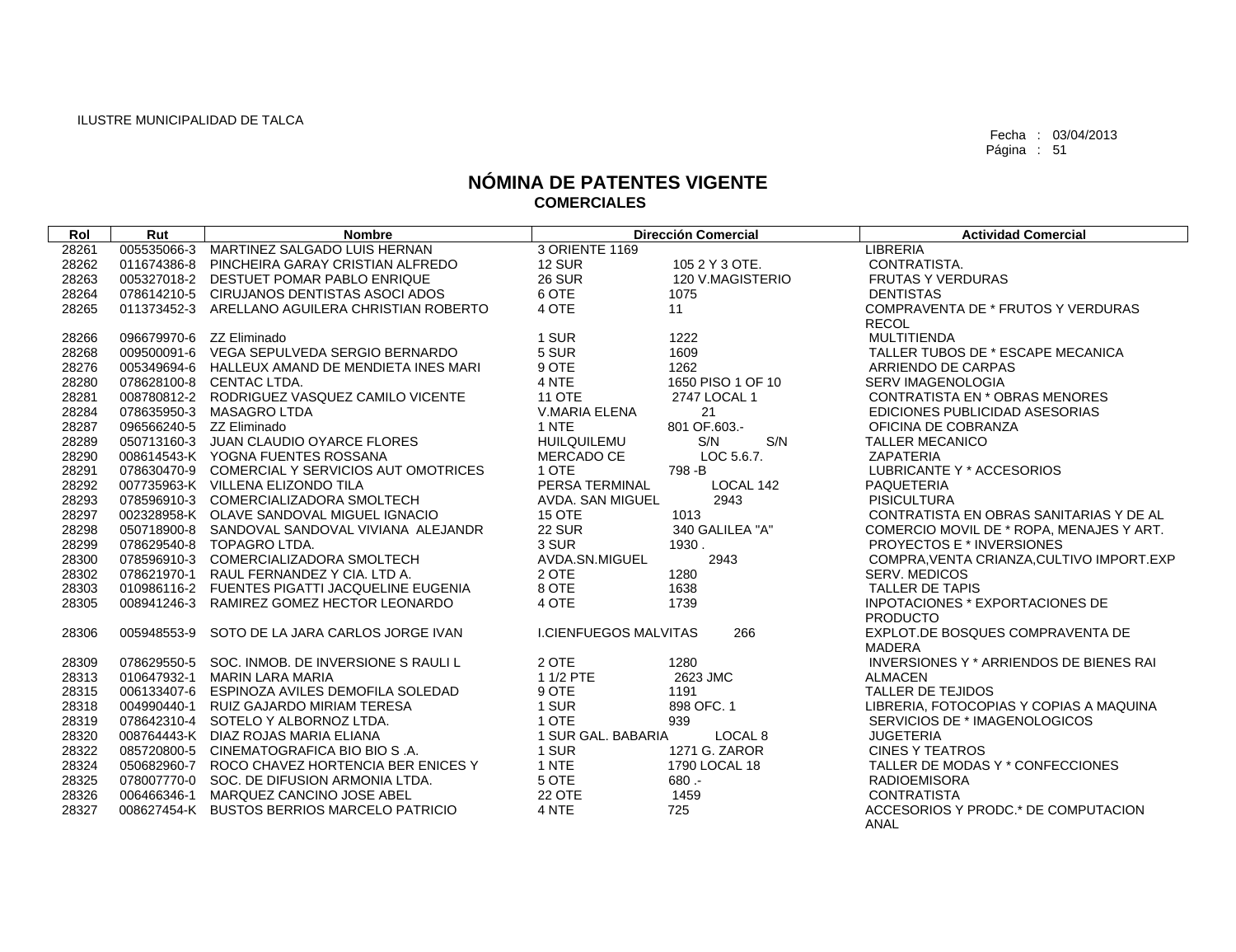| Rol   | Rut                      | <b>Nombre</b>                                   |                         | <b>Dirección Comercial</b> | <b>Actividad Comercial</b>                 |
|-------|--------------------------|-------------------------------------------------|-------------------------|----------------------------|--------------------------------------------|
| 28261 |                          | 005535066-3 MARTINEZ SALGADO LUIS HERNAN        | 3 ORIENTE 1169          |                            | <b>LIBRERIA</b>                            |
| 28262 |                          | 011674386-8 PINCHEIRA GARAY CRISTIAN ALFREDO    | <b>12 SUR</b>           | 105 2 Y 3 OTE.             | CONTRATISTA.                               |
| 28263 |                          | 005327018-2 DESTUET POMAR PABLO ENRIQUE         | <b>26 SUR</b>           | 120 V.MAGISTERIO           | <b>FRUTAS Y VERDURAS</b>                   |
| 28264 |                          | 078614210-5 CIRUJANOS DENTISTAS ASOCI ADOS      | 6 OTE                   | 1075                       | <b>DENTISTAS</b>                           |
| 28265 |                          | 011373452-3 ARELLANO AGUILERA CHRISTIAN ROBERTO | 4 OTE                   | 11                         | COMPRAVENTA DE * FRUTOS Y VERDURAS         |
|       |                          |                                                 |                         |                            | <b>RECOL</b>                               |
| 28266 | 096679970-6 ZZ Eliminado |                                                 | 1 SUR                   | 1222                       | MULTITIENDA                                |
| 28268 |                          | 009500091-6 VEGA SEPULVEDA SERGIO BERNARDO      | 5 SUR                   | 1609                       | TALLER TUBOS DE * ESCAPE MECANICA          |
| 28276 |                          | 005349694-6 HALLEUX AMAND DE MENDIETA INES MARI | 9 OTE                   | 1262                       | ARRIENDO DE CARPAS                         |
| 28280 |                          | 078628100-8 CENTAC LTDA.                        | 4 NTE                   | 1650 PISO 1 OF 10          | <b>SERV IMAGENOLOGIA</b>                   |
| 28281 |                          | 008780812-2 RODRIGUEZ VASQUEZ CAMILO VICENTE    | <b>11 OTE</b>           | 2747 LOCAL 1               | CONTRATISTA EN * OBRAS MENORES             |
| 28284 |                          | 078635950-3 MASAGRO LTDA                        | V.MARIA ELENA           | 21                         | EDICIONES PUBLICIDAD ASESORIAS             |
| 28287 | 096566240-5 ZZ Eliminado |                                                 | 1 NTE                   | 801 OF.603.-               | OFICINA DE COBRANZA                        |
| 28289 |                          | 050713160-3 JUAN CLAUDIO OYARCE FLORES          | <b>HUILQUILEMU</b>      | S/N<br>S/N                 | <b>TALLER MECANICO</b>                     |
| 28290 |                          | 008614543-K YOGNA FUENTES ROSSANA               | MERCADO CE              | LOC 5.6.7.                 | <b>ZAPATERIA</b>                           |
| 28291 |                          | 078630470-9 COMERCIAL Y SERVICIOS AUT OMOTRICES | 1 OTE                   | 798-B                      | LUBRICANTE Y * ACCESORIOS                  |
| 28292 |                          | 007735963-K VILLENA ELIZONDO TILA               | PERSA TERMINAL          | LOCAL 142                  | <b>PAQUETERIA</b>                          |
| 28293 |                          | 078596910-3 COMERCIALIZADORA SMOLTECH           | <b>AVDA, SAN MIGUEL</b> | 2943                       | <b>PISICULTURA</b>                         |
| 28297 |                          | 002328958-K OLAVE SANDOVAL MIGUEL IGNACIO       | <b>15 OTE</b>           | 1013                       | CONTRATISTA EN OBRAS SANITARIAS Y DE AL    |
| 28298 |                          | 050718900-8 SANDOVAL SANDOVAL VIVIANA ALEJANDR  | <b>22 SUR</b>           | 340 GALILEA "A"            | COMERCIO MOVIL DE * ROPA. MENAJES Y ART.   |
| 28299 |                          | 078629540-8 TOPAGRO LTDA.                       | 3 SUR                   | 1930.                      | <b>PROYECTOS E * INVERSIONES</b>           |
| 28300 |                          | 078596910-3 COMERCIALIZADORA SMOLTECH           | AVDA.SN.MIGUEL          | 2943                       | COMPRA, VENTA CRIANZA, CULTIVO IMPORT. EXP |
| 28302 |                          | 078621970-1 RAUL FERNANDEZ Y CIA. LTD A.        | 2 OTE                   | 1280                       | <b>SERV. MEDICOS</b>                       |
| 28303 |                          | 010986116-2 FUENTES PIGATTI JACQUELINE EUGENIA  | 8 OTE                   | 1638                       | <b>TALLER DE TAPIS</b>                     |
| 28305 |                          | 008941246-3 RAMIREZ GOMEZ HECTOR LEONARDO       | 4 OTE                   | 1739                       | INPOTACIONES * EXPORTACIONES DE            |
|       |                          |                                                 |                         |                            | <b>PRODUCTO</b>                            |
| 28306 |                          | 005948553-9 SOTO DE LA JARA CARLOS JORGE IVAN   | I.CIENFUEGOS MALVITAS   | 266                        | EXPLOT.DE BOSQUES COMPRAVENTA DE           |
|       |                          |                                                 |                         |                            | <b>MADERA</b>                              |
| 28309 |                          | 078629550-5 SOC. INMOB. DE INVERSIONE S RAULI L | 2 OTE                   | 1280                       | INVERSIONES Y * ARRIENDOS DE BIENES RAI    |
| 28313 |                          | 010647932-1 MARIN LARA MARIA                    | 1 1/2 PTE               | 2623 JMC                   | <b>ALMACEN</b>                             |
| 28315 |                          | 006133407-6 ESPINOZA AVILES DEMOFILA SOLEDAD    | 9 OTE                   | 1191                       | <b>TALLER DE TEJIDOS</b>                   |
| 28318 | 004990440-1              | RUIZ GAJARDO MIRIAM TERESA                      | 1 SUR                   | 898 OFC, 1                 | LIBRERIA, FOTOCOPIAS Y COPIAS A MAQUINA    |
| 28319 |                          | 078642310-4 SOTELO Y ALBORNOZ LTDA.             | 1 OTE                   | 939                        | SERVICIOS DE * IMAGENOLOGICOS              |
| 28320 |                          | 008764443-K DIAZ ROJAS MARIA ELIANA             | 1 SUR GAL. BABARIA      | LOCAL 8                    | <b>JUGETERIA</b>                           |
| 28322 |                          | 085720800-5 CINEMATOGRAFICA BIO BIO S.A.        | 1 SUR                   | 1271 G. ZAROR              | <b>CINES Y TEATROS</b>                     |
| 28324 |                          | 050682960-7 ROCO CHAVEZ HORTENCIA BER ENICES Y  | 1 NTE                   | 1790 LOCAL 18              | TALLER DE MODAS Y * CONFECCIONES           |
| 28325 |                          | 078007770-0 SOC. DE DIFUSION ARMONIA LTDA.      | 5 OTE                   | $680 -$                    | <b>RADIOEMISORA</b>                        |
| 28326 |                          | 006466346-1 MARQUEZ CANCINO JOSE ABEL           | <b>22 OTE</b>           | 1459                       | <b>CONTRATISTA</b>                         |
| 28327 |                          | 008627454-K BUSTOS BERRIOS MARCELO PATRICIO     | 4 NTE                   | 725                        | ACCESORIOS Y PRODC.* DE COMPUTACION        |
|       |                          |                                                 |                         |                            | ANAL                                       |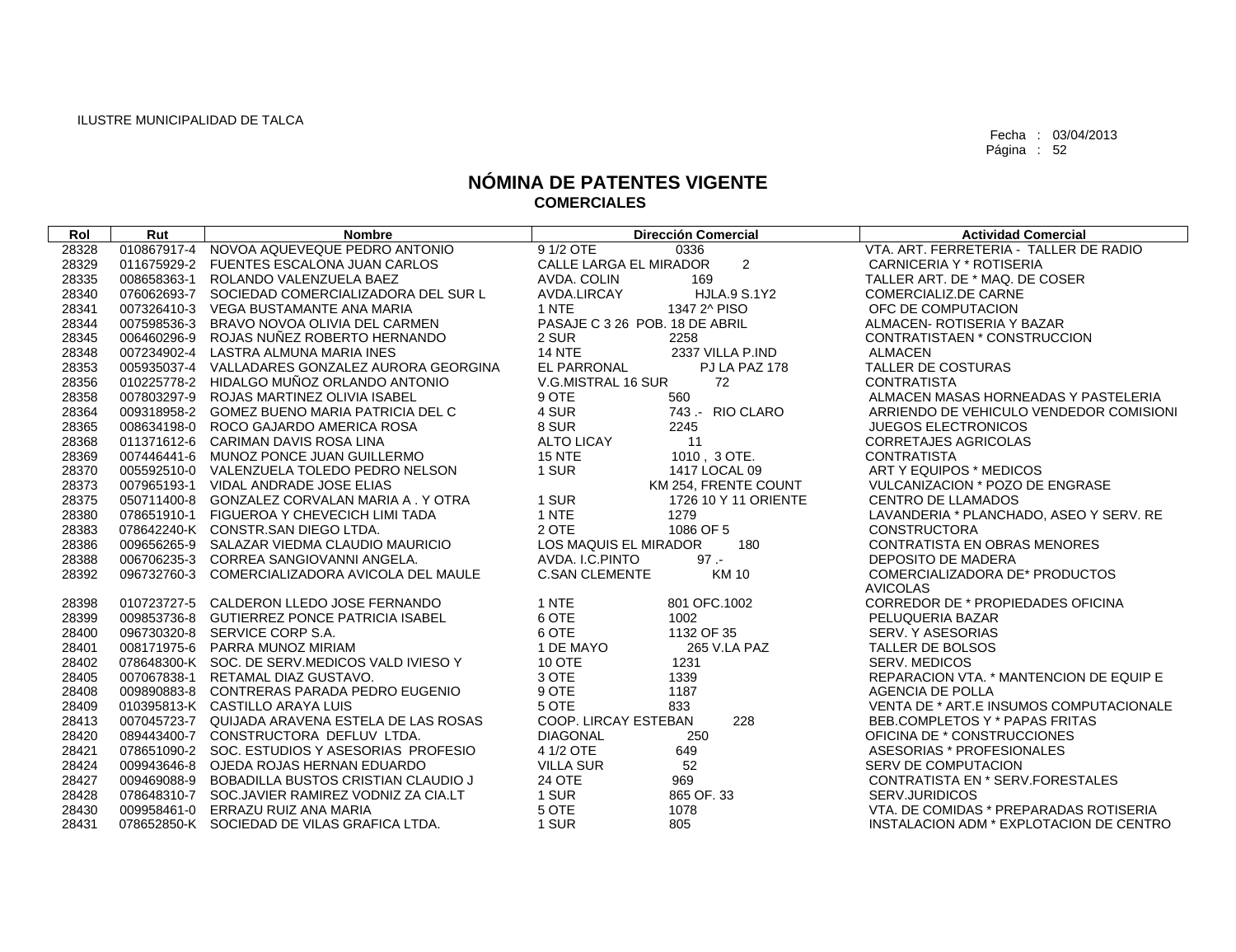| Rol   | Rut | <b>Nombre</b>                                   | <b>Dirección Comercial</b>               | <b>Actividad Comercial</b>              |
|-------|-----|-------------------------------------------------|------------------------------------------|-----------------------------------------|
| 28328 |     | 010867917-4 NOVOA AQUEVEQUE PEDRO ANTONIO       | 9 1/2 OTE<br>0336                        | VTA, ART, FERRETERIA - TALLER DE RADIO  |
| 28329 |     | 011675929-2 FUENTES ESCALONA JUAN CARLOS        | $\overline{2}$<br>CALLE LARGA EL MIRADOR | CARNICERIA Y * ROTISERIA                |
| 28335 |     | 008658363-1 ROLANDO VALENZUELA BAEZ             | AVDA, COLIN<br>169                       | TALLER ART. DE * MAQ. DE COSER          |
| 28340 |     | 076062693-7 SOCIEDAD COMERCIALIZADORA DEL SUR L | <b>HJLA.9 S.1Y2</b><br>AVDA.LIRCAY       | <b>COMERCIALIZ.DE CARNE</b>             |
| 28341 |     | 007326410-3 VEGA BUSTAMANTE ANA MARIA           | 1 NTE<br>1347 2^ PISO                    | OFC DE COMPUTACION                      |
| 28344 |     | 007598536-3 BRAVO NOVOA OLIVIA DEL CARMEN       | PASAJE C 3 26 POB. 18 DE ABRIL           | ALMACEN- ROTISERIA Y BAZAR              |
| 28345 |     | 006460296-9 ROJAS NUNEZ ROBERTO HERNANDO        | 2 SUR<br>2258                            | CONTRATISTAEN * CONSTRUCCION            |
| 28348 |     | 007234902-4 LASTRA ALMUNA MARIA INES            | <b>14 NTE</b><br>2337 VILLA P.IND        | ALMACEN                                 |
| 28353 |     | 005935037-4 VALLADARES GONZALEZ AURORA GEORGINA | EL PARRONAL<br>PJ LA PAZ 178             | <b>TALLER DE COSTURAS</b>               |
| 28356 |     | 010225778-2 HIDALGO MUÑOZ ORLANDO ANTONIO       | V.G.MISTRAL 16 SUR<br>72                 | <b>CONTRATISTA</b>                      |
| 28358 |     | 007803297-9 ROJAS MARTINEZ OLIVIA ISABEL        | 9 OTE<br>560                             | ALMACEN MASAS HORNEADAS Y PASTELERIA    |
| 28364 |     | 009318958-2 GOMEZ BUENO MARIA PATRICIA DEL C    | 4 SUR<br>743 .- RIO CLARO                | ARRIENDO DE VEHICULO VENDEDOR COMISIONI |
| 28365 |     | 008634198-0 ROCO GAJARDO AMERICA ROSA           | 8 SUR<br>2245                            | <b>JUEGOS ELECTRONICOS</b>              |
| 28368 |     | 011371612-6 CARIMAN DAVIS ROSA LINA             | <b>ALTO LICAY</b><br>11                  | CORRETAJES AGRICOLAS                    |
| 28369 |     | 007446441-6 MUNOZ PONCE JUAN GUILLERMO          | <b>15 NTE</b><br>1010, 3 OTE.            | <b>CONTRATISTA</b>                      |
| 28370 |     | 005592510-0 VALENZUELA TOLEDO PEDRO NELSON      | 1 SUR<br>1417 LOCAL 09                   | ART Y EQUIPOS * MEDICOS                 |
| 28373 |     | 007965193-1 VIDAL ANDRADE JOSE ELIAS            | KM 254, FRENTE COUNT                     | VULCANIZACION * POZO DE ENGRASE         |
| 28375 |     | 050711400-8 GONZALEZ CORVALAN MARIA A, Y OTRA   | 1 SUR<br>1726 10 Y 11 ORIENTE            | <b>CENTRO DE LLAMADOS</b>               |
| 28380 |     | 078651910-1 FIGUEROA Y CHEVECICH LIMI TADA      | 1 NTE<br>1279                            | LAVANDERIA * PLANCHADO, ASEO Y SERV. RE |
| 28383 |     | 078642240-K CONSTR.SAN DIEGO LTDA.              | 1086 OF 5<br>2 OTE                       | <b>CONSTRUCTORA</b>                     |
| 28386 |     | 009656265-9 SALAZAR VIEDMA CLAUDIO MAURICIO     | <b>LOS MAQUIS EL MIRADOR</b><br>180      | CONTRATISTA EN OBRAS MENORES            |
| 28388 |     | 006706235-3 CORREA SANGIOVANNI ANGELA.          | AVDA, I.C. PINTO<br>$97 -$               | DEPOSITO DE MADERA                      |
| 28392 |     | 096732760-3 COMERCIALIZADORA AVICOLA DEL MAULE  | <b>KM10</b><br><b>C.SAN CLEMENTE</b>     | COMERCIALIZADORA DE* PRODUCTOS          |
|       |     |                                                 |                                          | <b>AVICOLAS</b>                         |
| 28398 |     | 010723727-5 CALDERON LLEDO JOSE FERNANDO        | 1 NTE<br>801 OFC.1002                    | CORREDOR DE * PROPIEDADES OFICINA       |
| 28399 |     | 009853736-8 GUTIERREZ PONCE PATRICIA ISABEL     | 6 OTE<br>1002                            | PELUQUERIA BAZAR                        |
| 28400 |     | 096730320-8 SERVICE CORP S.A.                   | 6 OTE<br>1132 OF 35                      | SERV. Y ASESORIAS                       |
| 28401 |     | 008171975-6 PARRA MUNOZ MIRIAM                  | 1 DE MAYO<br>265 V.LA PAZ                | TALLER DE BOLSOS                        |
| 28402 |     | 078648300-K SOC. DE SERV.MEDICOS VALD IVIESO Y  | <b>10 OTE</b><br>1231                    | <b>SERV. MEDICOS</b>                    |
| 28405 |     | 007067838-1 RETAMAL DIAZ GUSTAVO.               | 3 OTE<br>1339                            | REPARACION VTA. * MANTENCION DE EQUIP E |
| 28408 |     | 009890883-8 CONTRERAS PARADA PEDRO EUGENIO      | 9 OTE<br>1187                            | AGENCIA DE POLLA                        |
| 28409 |     | 010395813-K CASTILLO ARAYA LUIS                 | 5 OTE<br>833                             | VENTA DE * ART.E INSUMOS COMPUTACIONALE |
| 28413 |     | 007045723-7 QUIJADA ARAVENA ESTELA DE LAS ROSAS | 228<br>COOP. LIRCAY ESTEBAN              | BEB.COMPLETOS Y * PAPAS FRITAS          |
| 28420 |     | 089443400-7 CONSTRUCTORA DEFLUV LTDA.           | <b>DIAGONAL</b><br>250                   | OFICINA DE * CONSTRUCCIONES             |
| 28421 |     | 078651090-2 SOC. ESTUDIOS Y ASESORIAS PROFESIO  | 4 1/2 OTE<br>649                         | ASESORIAS * PROFESIONALES               |
| 28424 |     | 009943646-8 OJEDA ROJAS HERNAN EDUARDO          | 52<br><b>VILLA SUR</b>                   | <b>SERV DE COMPUTACION</b>              |
| 28427 |     | 009469088-9 BOBADILLA BUSTOS CRISTIAN CLAUDIO J | <b>24 OTE</b><br>969                     | CONTRATISTA EN * SERV.FORESTALES        |
| 28428 |     | 078648310-7 SOC.JAVIER RAMIREZ VODNIZ ZA CIA.LT | 1 SUR<br>865 OF.33                       | SERV.JURIDICOS                          |
| 28430 |     | 009958461-0 ERRAZU RUIZ ANA MARIA               | 5 OTE<br>1078                            | VTA. DE COMIDAS * PREPARADAS ROTISERIA  |
| 28431 |     | 078652850-K SOCIEDAD DE VILAS GRAFICA LTDA.     | 1 SUR<br>805                             | INSTALACION ADM * EXPLOTACION DE CENTRO |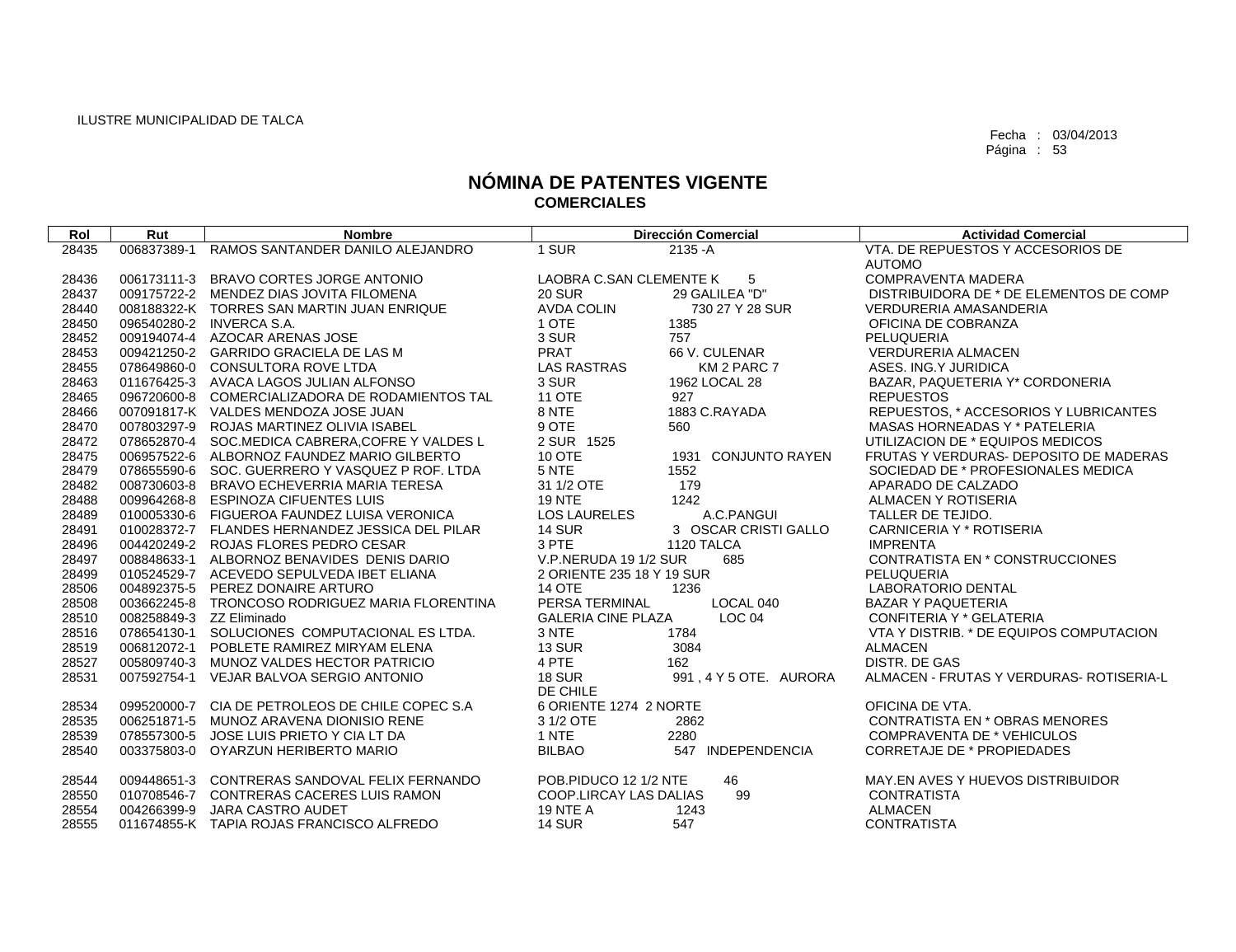| Rol            | Rut                      | <b>Nombre</b>                                    | <b>Dirección Comercial</b>                     | <b>Actividad Comercial</b>               |
|----------------|--------------------------|--------------------------------------------------|------------------------------------------------|------------------------------------------|
| 28435          | 006837389-1              | RAMOS SANTANDER DANILO ALEJANDRO                 | 1 SUR<br>$2135 - A$                            | VTA. DE REPUESTOS Y ACCESORIOS DE        |
|                |                          |                                                  |                                                | <b>AUTOMO</b>                            |
| 28436          |                          | 006173111-3 BRAVO CORTES JORGE ANTONIO           | LAOBRA C.SAN CLEMENTE K<br>$-5$                | <b>COMPRAVENTA MADERA</b>                |
| 28437          |                          | 009175722-2 MENDEZ DIAS JOVITA FILOMENA          | <b>20 SUR</b><br>29 GALILEA "D"                | DISTRIBUIDORA DE * DE ELEMENTOS DE COMP  |
| 28440          |                          | 008188322-K TORRES SAN MARTIN JUAN ENRIQUE       | <b>AVDA COLIN</b><br>730 27 Y 28 SUR           | <b>VERDURERIA AMASANDERIA</b>            |
| 28450          |                          | 096540280-2 INVERCA S.A.                         | 1 OTE<br>1385                                  | OFICINA DE COBRANZA                      |
| 28452          |                          | 009194074-4 AZOCAR ARENAS JOSE                   | 3 SUR<br>757                                   | PELUQUERIA                               |
| 28453          |                          | 009421250-2 GARRIDO GRACIELA DE LAS M            | <b>PRAT</b><br>66 V. CULENAR                   | <b>VERDURERIA ALMACEN</b>                |
| 28455          |                          | 078649860-0 CONSULTORA ROVE LTDA                 | <b>LAS RASTRAS</b><br>KM 2 PARC 7              | ASES. ING.Y JURIDICA                     |
| 28463          |                          | 011676425-3 AVACA LAGOS JULIAN ALFONSO           | 3 SUR<br>1962 LOCAL 28                         | BAZAR, PAQUETERIA Y* CORDONERIA          |
| 28465          |                          | 096720600-8 COMERCIALIZADORA DE RODAMIENTOS TAL  | <b>11 OTE</b><br>927                           | <b>REPUESTOS</b>                         |
| 28466          |                          | 007091817-K VALDES MENDOZA JOSE JUAN             | 8 NTE<br>1883 C.RAYADA                         | REPUESTOS, * ACCESORIOS Y LUBRICANTES    |
| 28470          |                          | 007803297-9 ROJAS MARTINEZ OLIVIA ISABEL         | 9 OTE<br>560                                   | MASAS HORNEADAS Y * PATELERIA            |
| 28472          |                          | 078652870-4 SOC.MEDICA CABRERA, COFRE Y VALDES L | 2 SUR 1525                                     | UTILIZACION DE * EQUIPOS MEDICOS         |
| 28475          |                          | 006957522-6 ALBORNOZ FAUNDEZ MARIO GILBERTO      | 10 OTE<br>1931 CONJUNTO RAYEN                  | FRUTAS Y VERDURAS- DEPOSITO DE MADERAS   |
| 28479          |                          | 078655590-6 SOC. GUERRERO Y VASQUEZ P ROF. LTDA  | 5 NTE<br>1552                                  | SOCIEDAD DE * PROFESIONALES MEDICA       |
| 28482          |                          | 008730603-8 BRAVO ECHEVERRIA MARIA TERESA        | 31 1/2 OTE<br>179                              | APARADO DE CALZADO                       |
| 28488          |                          | 009964268-8 ESPINOZA CIFUENTES LUIS              | <b>19 NTE</b><br>1242                          | <b>ALMACEN Y ROTISERIA</b>               |
| 28489          |                          | 010005330-6 FIGUEROA FAUNDEZ LUISA VERONICA      | <b>LOS LAURELES</b><br>A.C.PANGUI              | TALLER DE TEJIDO.                        |
| 28491          |                          | 010028372-7 FLANDES HERNANDEZ JESSICA DEL PILAR  | <b>14 SUR</b><br>3 OSCAR CRISTI GALLO          | CARNICERIA Y * ROTISERIA                 |
| 28496          |                          | 004420249-2 ROJAS FLORES PEDRO CESAR             | 3 PTE<br>1120 TALCA                            | <b>IMPRENTA</b>                          |
| 28497          |                          | 008848633-1 ALBORNOZ BENAVIDES DENIS DARIO       | V.P.NERUDA 19 1/2 SUR<br>685                   | CONTRATISTA EN * CONSTRUCCIONES          |
| 28499          |                          | 010524529-7 ACEVEDO SEPULVEDA IBET ELIANA        | 2 ORIENTE 235 18 Y 19 SUR                      | PELUQUERIA                               |
| 28506          |                          | 004892375-5 PEREZ DONAIRE ARTURO                 | <b>14 OTE</b><br>1236                          | <b>LABORATORIO DENTAL</b>                |
| 28508          |                          | 003662245-8 TRONCOSO RODRIGUEZ MARIA FLORENTINA  | PERSA TERMINAL<br>LOCAL 040                    | <b>BAZAR Y PAQUETERIA</b>                |
| 28510          | 008258849-3 ZZ Eliminado |                                                  | LOC <sub>04</sub><br><b>GALERIA CINE PLAZA</b> | CONFITERIA Y * GELATERIA                 |
| 28516          |                          | 078654130-1 SOLUCIONES COMPUTACIONAL ES LTDA.    | 3 NTE<br>1784                                  | VTA Y DISTRIB. * DE EQUIPOS COMPUTACION  |
| 28519          |                          | 006812072-1 POBLETE RAMIREZ MIRYAM ELENA         | <b>13 SUR</b><br>3084                          | <b>ALMACEN</b>                           |
| 28527          |                          | 005809740-3 MUNOZ VALDES HECTOR PATRICIO         | 4 PTE<br>162                                   | DISTR. DE GAS                            |
| 28531          |                          | 007592754-1 VEJAR BALVOA SERGIO ANTONIO          | <b>18 SUR</b><br>991, 4 Y 5 OTE. AURORA        | ALMACEN - FRUTAS Y VERDURAS- ROTISERIA-L |
| 28534          |                          | 099520000-7 CIA DE PETROLEOS DE CHILE COPEC S.A  | DE CHILE<br>6 ORIENTE 1274 2 NORTE             | OFICINA DE VTA.                          |
|                |                          | 006251871-5 MUNOZ ARAVENA DIONISIO RENE          | 3 1/2 OTE<br>2862                              | <b>CONTRATISTA EN * OBRAS MENORES</b>    |
| 28535<br>28539 |                          | 078557300-5 JOSE LUIS PRIETO Y CIA LT DA         | 1 NTE<br>2280                                  | <b>COMPRAVENTA DE * VEHICULOS</b>        |
| 28540          |                          | 003375803-0 OYARZUN HERIBERTO MARIO              | <b>BILBAO</b><br>547 INDEPENDENCIA             | <b>CORRETAJE DE * PROPIEDADES</b>        |
|                |                          |                                                  |                                                |                                          |
| 28544          |                          | 009448651-3 CONTRERAS SANDOVAL FELIX FERNANDO    | POB.PIDUCO 12 1/2 NTE<br>46                    | MAY.EN AVES Y HUEVOS DISTRIBUIDOR        |
| 28550          |                          | 010708546-7 CONTRERAS CACERES LUIS RAMON         | COOP.LIRCAY LAS DALIAS<br>99                   | <b>CONTRATISTA</b>                       |
| 28554          |                          | 004266399-9 JARA CASTRO AUDET                    | <b>19 NTE A</b><br>1243                        | <b>ALMACEN</b>                           |
| 28555          |                          | 011674855-K TAPIA ROJAS FRANCISCO ALFREDO        | <b>14 SUR</b><br>547                           | <b>CONTRATISTA</b>                       |
|                |                          |                                                  |                                                |                                          |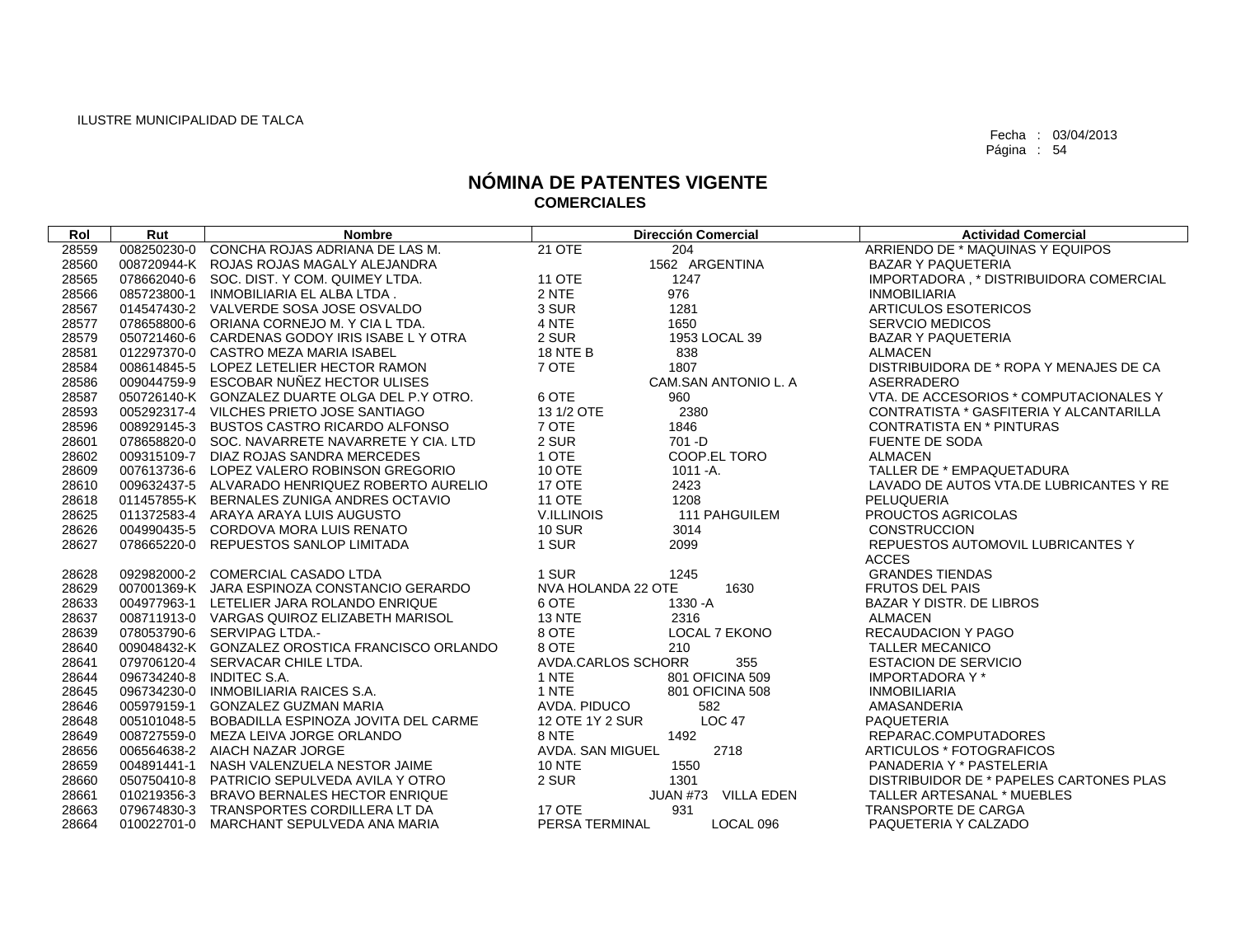| Rol   | Rut         | <b>Nombre</b>                                   |                    | <b>Dirección Comercial</b> | <b>Actividad Comercial</b>              |
|-------|-------------|-------------------------------------------------|--------------------|----------------------------|-----------------------------------------|
| 28559 |             | 008250230-0 CONCHA ROJAS ADRIANA DE LAS M.      | 21 OTE             | 204                        | ARRIENDO DE * MAQUINAS Y EQUIPOS        |
| 28560 |             | 008720944-K ROJAS ROJAS MAGALY ALEJANDRA        |                    | 1562 ARGENTINA             | <b>BAZAR Y PAQUETERIA</b>               |
| 28565 |             | 078662040-6 SOC. DIST. Y COM. QUIMEY LTDA.      | <b>11 OTE</b>      | 1247                       | IMPORTADORA, * DISTRIBUIDORA COMERCIAL  |
| 28566 | 085723800-1 | INMOBILIARIA EL ALBA LTDA.                      | 2 NTE              | 976                        | <b>INMOBILIARIA</b>                     |
| 28567 |             | 014547430-2 VALVERDE SOSA JOSE OSVALDO          | 3 SUR              | 1281                       | <b>ARTICULOS ESOTERICOS</b>             |
| 28577 |             | 078658800-6 ORIANA CORNEJO M. Y CIA L TDA.      | 4 NTE              | 1650                       | <b>SERVCIO MEDICOS</b>                  |
| 28579 |             | 050721460-6 CARDENAS GODOY IRIS ISABE L Y OTRA  | 2 SUR              | 1953 LOCAL 39              | <b>BAZAR Y PAQUETERIA</b>               |
| 28581 |             | 012297370-0 CASTRO MEZA MARIA ISABEL            | <b>18 NTE B</b>    | 838                        | ALMACEN                                 |
| 28584 |             | 008614845-5 LOPEZ LETELIER HECTOR RAMON         | 7 OTE              | 1807                       | DISTRIBUIDORA DE * ROPA Y MENAJES DE CA |
| 28586 |             | 009044759-9 ESCOBAR NUÑEZ HECTOR ULISES         |                    | CAM.SAN ANTONIO L. A       | ASERRADERO                              |
| 28587 |             | 050726140-K GONZALEZ DUARTE OLGA DEL P.Y OTRO.  | 6 OTE              | 960                        | VTA, DE ACCESORIOS * COMPUTACIONALES Y  |
| 28593 |             | 005292317-4 VILCHES PRIETO JOSE SANTIAGO        | 13 1/2 OTE         | 2380                       | CONTRATISTA * GASFITERIA Y ALCANTARILLA |
| 28596 |             | 008929145-3 BUSTOS CASTRO RICARDO ALFONSO       | 7 OTE              | 1846                       | <b>CONTRATISTA EN * PINTURAS</b>        |
| 28601 |             | 078658820-0 SOC. NAVARRETE NAVARRETE Y CIA. LTD | 2 SUR              | $701 - D$                  | <b>FUENTE DE SODA</b>                   |
| 28602 |             | 009315109-7 DIAZ ROJAS SANDRA MERCEDES          | 1 OTE              | COOP.EL TORO               | <b>ALMACEN</b>                          |
| 28609 |             | 007613736-6 LOPEZ VALERO ROBINSON GREGORIO      | 10 OTE             | $1011 - A$ .               | TALLER DE * EMPAQUETADURA               |
| 28610 |             | 009632437-5 ALVARADO HENRIQUEZ ROBERTO AURELIO  | 17 OTE             | 2423                       | LAVADO DE AUTOS VTA.DE LUBRICANTES Y RE |
| 28618 |             | 011457855-K BERNALES ZUNIGA ANDRES OCTAVIO      | <b>11 OTE</b>      | 1208                       | <b>PELUQUERIA</b>                       |
| 28625 |             | 011372583-4 ARAYA ARAYA LUIS AUGUSTO            | V.ILLINOIS         | 111 PAHGUILEM              | PROUCTOS AGRICOLAS                      |
| 28626 |             | 004990435-5 CORDOVA MORA LUIS RENATO            | <b>10 SUR</b>      | 3014                       | <b>CONSTRUCCION</b>                     |
| 28627 |             | 078665220-0 REPUESTOS SANLOP LIMITADA           | 1 SUR              | 2099                       | REPUESTOS AUTOMOVIL LUBRICANTES Y       |
|       |             |                                                 |                    |                            | <b>ACCES</b>                            |
| 28628 |             | 092982000-2 COMERCIAL CASADO LTDA               | 1 SUR              | 1245                       | <b>GRANDES TIENDAS</b>                  |
| 28629 |             | 007001369-K JARA ESPINOZA CONSTANCIO GERARDO    | NVA HOLANDA 22 OTE | 1630                       | <b>FRUTOS DEL PAIS</b>                  |
| 28633 |             | 004977963-1 LETELIER JARA ROLANDO ENRIQUE       | 6 OTE              | 1330 - A                   | <b>BAZAR Y DISTR. DE LIBROS</b>         |
| 28637 |             | 008711913-0 VARGAS QUIROZ ELIZABETH MARISOL     | <b>13 NTE</b>      | 2316                       | <b>ALMACEN</b>                          |
| 28639 |             | 078053790-6 SERVIPAG LTDA.-                     | 8 OTE              | <b>LOCAL 7 EKONO</b>       | <b>RECAUDACION Y PAGO</b>               |
| 28640 |             | 009048432-K GONZALEZ OROSTICA FRANCISCO ORLANDO | 8 OTE              | 210                        | <b>TALLER MECANICO</b>                  |
| 28641 |             | 079706120-4 SERVACAR CHILE LTDA.                | AVDA.CARLOS SCHORR | 355                        | <b>ESTACION DE SERVICIO</b>             |
| 28644 |             | 096734240-8 INDITEC S.A.                        | 1 NTE              | 801 OFICINA 509            | <b>IMPORTADORA Y*</b>                   |
| 28645 |             | 096734230-0 INMOBILIARIA RAICES S.A.            | 1 NTE              | 801 OFICINA 508            | <b>INMOBILIARIA</b>                     |
| 28646 |             | 005979159-1 GONZALEZ GUZMAN MARIA               | AVDA, PIDUCO       | 582                        | AMASANDERIA                             |
| 28648 |             | 005101048-5 BOBADILLA ESPINOZA JOVITA DEL CARME | 12 OTE 1Y 2 SUR    | <b>LOC 47</b>              | <b>PAQUETERIA</b>                       |
| 28649 |             | 008727559-0 MEZA LEIVA JORGE ORLANDO            | 8 NTE              | 1492                       | REPARAC.COMPUTADORES                    |
| 28656 |             | 006564638-2 AIACH NAZAR JORGE                   | AVDA. SAN MIGUEL   | 2718                       | ARTICULOS * FOTOGRAFICOS                |
| 28659 |             | 004891441-1 NASH VALENZUELA NESTOR JAIME        | <b>10 NTE</b>      | 1550                       | PANADERIA Y * PASTELERIA                |
| 28660 |             | 050750410-8 PATRICIO SEPULVEDA AVILA Y OTRO     | 2 SUR              | 1301                       | DISTRIBUIDOR DE * PAPELES CARTONES PLAS |
| 28661 |             | 010219356-3 BRAVO BERNALES HECTOR ENRIQUE       |                    | JUAN #73 VILLA EDEN        | TALLER ARTESANAL * MUEBLES              |
| 28663 |             | 079674830-3 TRANSPORTES CORDILLERA LT DA        | <b>17 OTE</b>      | 931                        | TRANSPORTE DE CARGA                     |
| 28664 |             | 010022701-0 MARCHANT SEPULVEDA ANA MARIA        | PERSA TERMINAL     | LOCAL 096                  | PAQUETERIA Y CALZADO                    |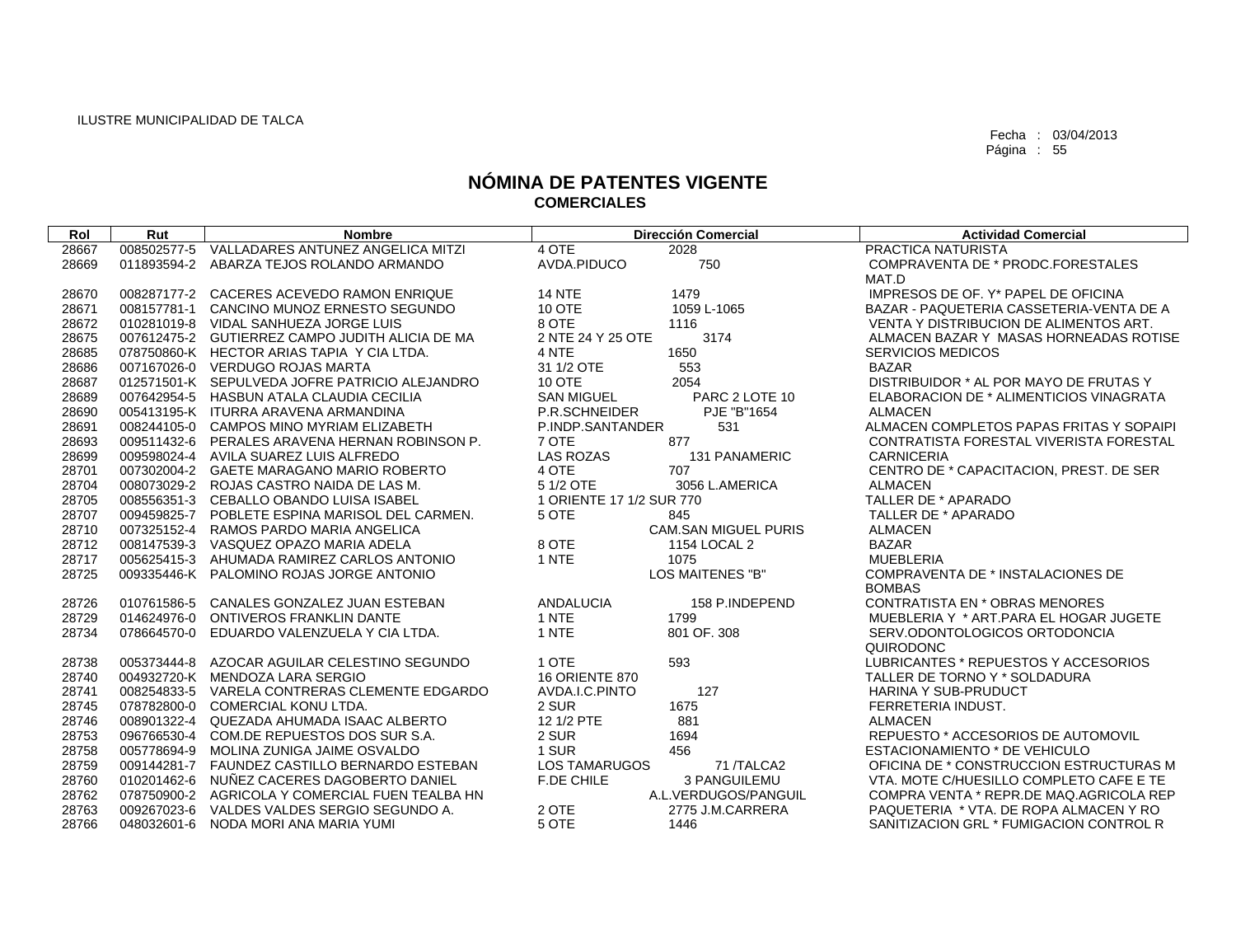| Rol   | Rut         | <b>Nombre</b>                                   | <b>Dirección Comercial</b> |                             | <b>Actividad Comercial</b>               |
|-------|-------------|-------------------------------------------------|----------------------------|-----------------------------|------------------------------------------|
| 28667 | 008502577-5 | VALLADARES ANTUNEZ ANGELICA MITZI               | 4 OTE<br>2028              |                             | <b>PRACTICA NATURISTA</b>                |
| 28669 | 011893594-2 | ABARZA TEJOS ROLANDO ARMANDO                    | AVDA.PIDUCO                | 750                         | COMPRAVENTA DE * PRODC.FORESTALES        |
|       |             |                                                 |                            |                             | MAT.D                                    |
| 28670 |             | 008287177-2 CACERES ACEVEDO RAMON ENRIQUE       | <b>14 NTE</b><br>1479      |                             | IMPRESOS DE OF. Y* PAPEL DE OFICINA      |
| 28671 |             | 008157781-1 CANCINO MUNOZ ERNESTO SEGUNDO       | 10 OTE                     | 1059 L-1065                 | BAZAR - PAQUETERIA CASSETERIA-VENTA DE A |
| 28672 |             | 010281019-8 VIDAL SANHUEZA JORGE LUIS           | 8 OTE<br>1116              |                             | VENTA Y DISTRIBUCION DE ALIMENTOS ART.   |
| 28675 |             | 007612475-2 GUTIERREZ CAMPO JUDITH ALICIA DE MA | 2 NTE 24 Y 25 OTE          | 3174                        | ALMACEN BAZAR Y MASAS HORNEADAS ROTISE   |
| 28685 |             | 078750860-K HECTOR ARIAS TAPIA Y CIA LTDA.      | 4 NTE<br>1650              |                             | <b>SERVICIOS MEDICOS</b>                 |
| 28686 |             | 007167026-0 VERDUGO ROJAS MARTA                 | 31 1/2 OTE<br>553          |                             | <b>BAZAR</b>                             |
| 28687 |             | 012571501-K SEPULVEDA JOFRE PATRICIO ALEJANDRO  | 10 OTE<br>2054             |                             | DISTRIBUIDOR * AL POR MAYO DE FRUTAS Y   |
| 28689 |             | 007642954-5 HASBUN ATALA CLAUDIA CECILIA        | <b>SAN MIGUEL</b>          | PARC 2 LOTE 10              | ELABORACION DE * ALIMENTICIOS VINAGRATA  |
| 28690 |             | 005413195-K ITURRA ARAVENA ARMANDINA            | P.R.SCHNEIDER              | PJE "B"1654                 | <b>ALMACEN</b>                           |
| 28691 |             | 008244105-0 CAMPOS MINO MYRIAM ELIZABETH        | P.INDP.SANTANDER           | 531                         | ALMACEN COMPLETOS PAPAS FRITAS Y SOPAIPI |
| 28693 |             | 009511432-6 PERALES ARAVENA HERNAN ROBINSON P.  | 7 OTE<br>877               |                             | CONTRATISTA FORESTAL VIVERISTA FORESTAL  |
| 28699 |             | 009598024-4 AVILA SUAREZ LUIS ALFREDO           | <b>LAS ROZAS</b>           | <b>131 PANAMERIC</b>        | <b>CARNICERIA</b>                        |
| 28701 |             | 007302004-2 GAETE MARAGANO MARIO ROBERTO        | 4 OTE<br>707               |                             | CENTRO DE * CAPACITACION, PREST. DE SER  |
| 28704 |             | 008073029-2 ROJAS CASTRO NAIDA DE LAS M.        | 5 1/2 OTE                  | 3056 L.AMERICA              | <b>ALMACEN</b>                           |
| 28705 |             | 008556351-3 CEBALLO OBANDO LUISA ISABEL         | 1 ORIENTE 17 1/2 SUR 770   |                             | TALLER DE * APARADO                      |
| 28707 |             | 009459825-7 POBLETE ESPINA MARISOL DEL CARMEN.  | 5 OTE<br>845               |                             | TALLER DE * APARADO                      |
| 28710 |             | 007325152-4 RAMOS PARDO MARIA ANGELICA          |                            | <b>CAM.SAN MIGUEL PURIS</b> | <b>ALMACEN</b>                           |
| 28712 |             | 008147539-3 VASQUEZ OPAZO MARIA ADELA           | 8 OTE                      | 1154 LOCAL 2                | <b>BAZAR</b>                             |
| 28717 |             | 005625415-3 AHUMADA RAMIREZ CARLOS ANTONIO      | 1 NTE<br>1075              |                             | <b>MUEBLERIA</b>                         |
| 28725 |             | 009335446-K PALOMINO ROJAS JORGE ANTONIO        |                            | LOS MAITENES "B"            | COMPRAVENTA DE * INSTALACIONES DE        |
|       |             |                                                 |                            |                             | <b>BOMBAS</b>                            |
| 28726 | 010761586-5 | CANALES GONZALEZ JUAN ESTEBAN                   | <b>ANDALUCIA</b>           | 158 P.INDEPEND              | <b>CONTRATISTA EN * OBRAS MENORES</b>    |
| 28729 | 014624976-0 | <b>ONTIVEROS FRANKLIN DANTE</b>                 | 1 NTE<br>1799              |                             | MUEBLERIA Y * ART.PARA EL HOGAR JUGETE   |
| 28734 |             | 078664570-0 EDUARDO VALENZUELA Y CIA LTDA.      | 1 NTE<br>801 OF, 308       |                             | SERV.ODONTOLOGICOS ORTODONCIA            |
|       |             |                                                 |                            |                             | QUIRODONC                                |
| 28738 |             | 005373444-8 AZOCAR AGUILAR CELESTINO SEGUNDO    | 1 OTE<br>593               |                             | LUBRICANTES * REPUESTOS Y ACCESORIOS     |
| 28740 |             | 004932720-K MENDOZA LARA SERGIO                 | <b>16 ORIENTE 870</b>      |                             | TALLER DE TORNO Y * SOLDADURA            |
| 28741 |             | 008254833-5 VARELA CONTRERAS CLEMENTE EDGARDO   | AVDA.I.C.PINTO<br>127      |                             | <b>HARINA Y SUB-PRUDUCT</b>              |
| 28745 |             | 078782800-0 COMERCIAL KONU LTDA.                | 2 SUR<br>1675              |                             | FERRETERIA INDUST.                       |
| 28746 | 008901322-4 | QUEZADA AHUMADA ISAAC ALBERTO                   | 881<br>12 1/2 PTE          |                             | <b>ALMACEN</b>                           |
| 28753 |             | 096766530-4 COM.DE REPUESTOS DOS SUR S.A.       | 1694<br>2 SUR              |                             | REPUESTO * ACCESORIOS DE AUTOMOVIL       |
| 28758 |             | 005778694-9 MOLINA ZUNIGA JAIME OSVALDO         | 1 SUR<br>456               |                             | ESTACIONAMIENTO * DE VEHICULO            |
| 28759 |             | 009144281-7 FAUNDEZ CASTILLO BERNARDO ESTEBAN   | <b>LOS TAMARUGOS</b>       | 71/TALCA2                   | OFICINA DE * CONSTRUCCION ESTRUCTURAS M  |
| 28760 |             | 010201462-6 NUÑEZ CACERES DAGOBERTO DANIEL      | F.DE CHILE                 | 3 PANGUILEMU                | VTA, MOTE C/HUESILLO COMPLETO CAFE E TE  |
| 28762 |             | 078750900-2 AGRICOLA Y COMERCIAL FUEN TEALBA HN |                            | A.L.VERDUGOS/PANGUIL        | COMPRA VENTA * REPR.DE MAQ.AGRICOLA REP  |
| 28763 |             | 009267023-6 VALDES VALDES SERGIO SEGUNDO A.     | 2 OTE                      | 2775 J.M.CARRERA            | PAQUETERIA * VTA. DE ROPA ALMACEN Y RO   |
| 28766 | 048032601-6 | NODA MORI ANA MARIA YUMI                        | 5 OTE<br>1446              |                             | SANITIZACION GRL * FUMIGACION CONTROL R  |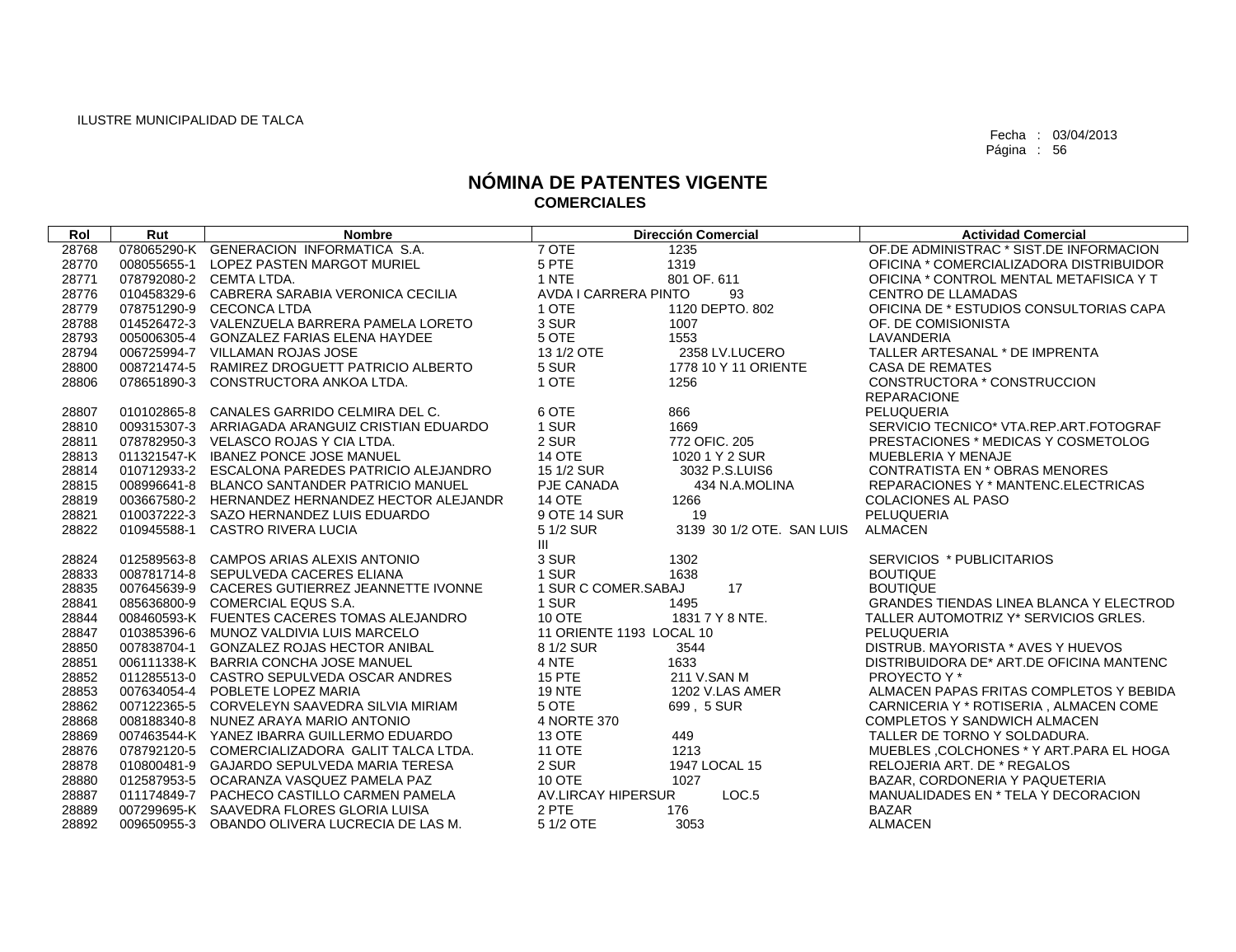| Rol   | Rut         | <b>Nombre</b>                                   |                          | <b>Dirección Comercial</b> | <b>Actividad Comercial</b>                     |
|-------|-------------|-------------------------------------------------|--------------------------|----------------------------|------------------------------------------------|
| 28768 |             | 078065290-K GENERACION INFORMATICA S.A.         | 7 OTE                    | 1235                       | OF DE ADMINISTRAC * SIST DE INFORMACION        |
| 28770 | 008055655-1 | LOPEZ PASTEN MARGOT MURIEL                      | 5 PTE                    | 1319                       | OFICINA * COMERCIALIZADORA DISTRIBUIDOR        |
| 28771 |             | 078792080-2 CEMTA LTDA.                         | 1 NTE                    | 801 OF, 611                | OFICINA * CONTROL MENTAL METAFISICA Y T        |
| 28776 | 010458329-6 | CABRERA SARABIA VERONICA CECILIA                | AVDA I CARRERA PINTO     | 93                         | <b>CENTRO DE LLAMADAS</b>                      |
| 28779 |             | 078751290-9 CECONCA LTDA                        | 1 OTE                    | 1120 DEPTO, 802            | OFICINA DE * ESTUDIOS CONSULTORIAS CAPA        |
| 28788 |             | 014526472-3 VALENZUELA BARRERA PAMELA LORETO    | 3 SUR                    | 1007                       | OF. DE COMISIONISTA                            |
| 28793 |             | 005006305-4 GONZALEZ FARIAS ELENA HAYDEE        | 5 OTE                    | 1553                       | LAVANDERIA                                     |
| 28794 |             | 006725994-7 VILLAMAN ROJAS JOSE                 | 13 1/2 OTE               | 2358 LV.LUCERO             | TALLER ARTESANAL * DE IMPRENTA                 |
| 28800 |             | 008721474-5 RAMIREZ DROGUETT PATRICIO ALBERTO   | 5 SUR                    | 1778 10 Y 11 ORIENTE       | <b>CASA DE REMATES</b>                         |
| 28806 |             | 078651890-3 CONSTRUCTORA ANKOA LTDA.            | 1 OTE                    | 1256                       | CONSTRUCTORA * CONSTRUCCION                    |
|       |             |                                                 |                          |                            | <b>REPARACIONE</b>                             |
| 28807 | 010102865-8 | CANALES GARRIDO CELMIRA DEL C.                  | 6 OTE                    | 866                        | PELUQUERIA                                     |
| 28810 |             | 009315307-3 ARRIAGADA ARANGUIZ CRISTIAN EDUARDO | 1 SUR                    | 1669                       | SERVICIO TECNICO* VTA.REP.ART.FOTOGRAF         |
| 28811 |             | 078782950-3 VELASCO ROJAS Y CIA LTDA.           | 2 SUR                    | 772 OFIC. 205              | PRESTACIONES * MEDICAS Y COSMETOLOG            |
| 28813 |             | 011321547-K IBANEZ PONCE JOSE MANUEL            | <b>14 OTE</b>            | 1020 1 Y 2 SUR             | MUEBLERIA Y MENAJE                             |
| 28814 |             | 010712933-2 ESCALONA PAREDES PATRICIO ALEJANDRO | 15 1/2 SUR               | 3032 P.S.LUIS6             | <b>CONTRATISTA EN * OBRAS MENORES</b>          |
| 28815 | 008996641-8 | BLANCO SANTANDER PATRICIO MANUEL                | PJE CANADA               | 434 N.A.MOLINA             | REPARACIONES Y * MANTENC.ELECTRICAS            |
| 28819 |             | 003667580-2 HERNANDEZ HERNANDEZ HECTOR ALEJANDR | <b>14 OTE</b>            | 1266                       | <b>COLACIONES AL PASO</b>                      |
| 28821 |             | 010037222-3 SAZO HERNANDEZ LUIS EDUARDO         | 9 OTE 14 SUR             | 19                         | PELUQUERIA                                     |
| 28822 |             | 010945588-1 CASTRO RIVERA LUCIA                 | 5 1/2 SUR                | 3139 30 1/2 OTE. SAN LUIS  | <b>ALMACEN</b>                                 |
|       |             |                                                 | III                      |                            |                                                |
| 28824 |             | 012589563-8 CAMPOS ARIAS ALEXIS ANTONIO         | 3 SUR                    | 1302                       | SERVICIOS * PUBLICITARIOS                      |
| 28833 |             | 008781714-8 SEPULVEDA CACERES ELIANA            | 1 SUR                    | 1638                       | <b>BOUTIQUE</b>                                |
| 28835 |             | 007645639-9 CACERES GUTIERREZ JEANNETTE IVONNE  | 1 SUR C COMER.SABAJ      | 17                         | <b>BOUTIQUE</b>                                |
| 28841 |             | 085636800-9 COMERCIAL EQUS S.A.                 | 1 SUR                    | 1495                       | <b>GRANDES TIENDAS LINEA BLANCA Y ELECTROD</b> |
| 28844 |             | 008460593-K FUENTES CACERES TOMAS ALEJANDRO     | 10 OTE                   | 1831 7 Y 8 NTE.            | TALLER AUTOMOTRIZ Y* SERVICIOS GRLES.          |
| 28847 | 010385396-6 | MUNOZ VALDIVIA LUIS MARCELO                     | 11 ORIENTE 1193 LOCAL 10 |                            | PELUQUERIA                                     |
| 28850 | 007838704-1 | <b>GONZALEZ ROJAS HECTOR ANIBAL</b>             | 8 1/2 SUR                | 3544                       | DISTRUB, MAYORISTA * AVES Y HUEVOS             |
| 28851 |             | 006111338-K BARRIA CONCHA JOSE MANUEL           | 4 NTE                    | 1633                       | DISTRIBUIDORA DE* ART.DE OFICINA MANTENC       |
| 28852 |             | 011285513-0 CASTRO SEPULVEDA OSCAR ANDRES       | 15 PTE                   | 211 V.SAN M                | PROYECTO Y*                                    |
| 28853 |             | 007634054-4 POBLETE LOPEZ MARIA                 | <b>19 NTE</b>            | 1202 V.LAS AMER            | ALMACEN PAPAS FRITAS COMPLETOS Y BEBIDA        |
| 28862 | 007122365-5 | CORVELEYN SAAVEDRA SILVIA MIRIAM                | 5 OTE                    | 699, 5 SUR                 | CARNICERIA Y * ROTISERIA, ALMACEN COME         |
| 28868 |             | 008188340-8 NUNEZ ARAYA MARIO ANTONIO           | 4 NORTE 370              |                            | COMPLETOS Y SANDWICH ALMACEN                   |
| 28869 |             | 007463544-K YANEZ IBARRA GUILLERMO EDUARDO      | 13 OTE                   | 449                        | TALLER DE TORNO Y SOLDADURA.                   |
| 28876 |             | 078792120-5 COMERCIALIZADORA GALIT TALCA LTDA.  | <b>11 OTE</b>            | 1213                       | MUEBLES .COLCHONES * Y ART. PARA EL HOGA       |
| 28878 | 010800481-9 | GAJARDO SEPULVEDA MARIA TERESA                  | 2 SUR                    | 1947 LOCAL 15              | RELOJERIA ART. DE * REGALOS                    |
| 28880 | 012587953-5 | OCARANZA VASQUEZ PAMELA PAZ                     | <b>10 OTE</b>            | 1027                       | BAZAR, CORDONERIA Y PAQUETERIA                 |
| 28887 |             | 011174849-7 PACHECO CASTILLO CARMEN PAMELA      | AV.LIRCAY HIPERSUR       | LOC <sub>.5</sub>          | MANUALIDADES EN * TELA Y DECORACION            |
| 28889 |             | 007299695-K SAAVEDRA FLORES GLORIA LUISA        | 2 PTE                    | 176                        | <b>BAZAR</b>                                   |
| 28892 |             | 009650955-3 OBANDO OLIVERA LUCRECIA DE LAS M.   | 5 1/2 OTE                | 3053                       | <b>ALMACEN</b>                                 |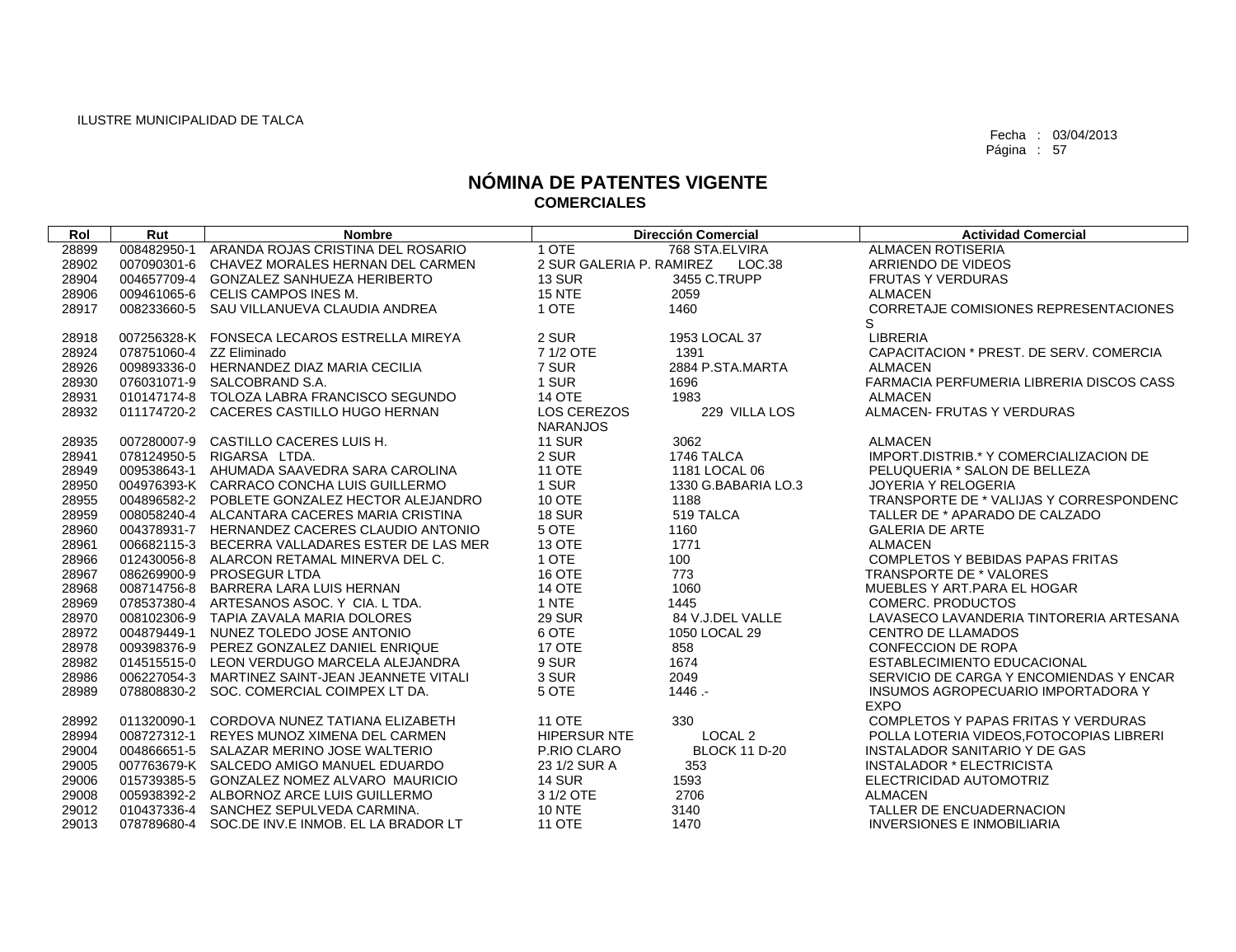| ARANDA ROJAS CRISTINA DEL ROSARIO<br>1 OTE<br>28899<br>008482950-1<br>768 STA.ELVIRA<br><b>ALMACEN ROTISERIA</b><br>28902<br>007090301-6<br>CHAVEZ MORALES HERNAN DEL CARMEN<br>2 SUR GALERIA P. RAMIREZ<br>LOC.38<br>ARRIENDO DE VIDEOS<br>28904<br>004657709-4<br><b>13 SUR</b><br>3455 C.TRUPP<br><b>GONZALEZ SANHUEZA HERIBERTO</b><br><b>FRUTAS Y VERDURAS</b><br><b>15 NTE</b><br>009461065-6<br>CELIS CAMPOS INES M.<br>2059<br><b>ALMACEN</b><br>28906<br>1 OTE<br><b>CORRETAJE COMISIONES REPRESENTACIONES</b><br>008233660-5<br>SAU VILLANUEVA CLAUDIA ANDREA<br>1460<br>28917<br>S<br>007256328-K FONSECA LECAROS ESTRELLA MIREYA<br>2 SUR<br>1953 LOCAL 37<br><b>LIBRERIA</b><br>28918<br>7 1/2 OTE<br>28924<br>078751060-4 ZZ Eliminado<br>1391<br>CAPACITACION * PREST. DE SERV. COMERCIA<br>7 SUR<br>009893336-0 HERNANDEZ DIAZ MARIA CECILIA<br>2884 P.STA.MARTA<br>28926<br><b>ALMACEN</b><br>1 SUR<br>FARMACIA PERFUMERIA LIBRERIA DISCOS CASS<br>28930<br>076031071-9 SALCOBRAND S.A.<br>1696<br>010147174-8 TOLOZA LABRA FRANCISCO SEGUNDO<br>28931<br><b>14 OTE</b><br>1983<br><b>ALMACEN</b><br>LOS CEREZOS<br>ALMACEN- FRUTAS Y VERDURAS<br>28932<br>011174720-2 CACERES CASTILLO HUGO HERNAN<br>229 VILLA LOS<br><b>NARANJOS</b><br><b>11 SUR</b><br>CASTILLO CACERES LUIS H.<br>3062<br><b>ALMACEN</b><br>28935<br>007280007-9<br>2 SUR<br>RIGARSA LTDA.<br>28941<br>078124950-5<br>1746 TALCA<br>IMPORT.DISTRIB.* Y COMERCIALIZACION DE<br>AHUMADA SAAVEDRA SARA CAROLINA<br><b>11 OTE</b><br>28949<br>009538643-1<br>1181 LOCAL 06<br>PELUQUERIA * SALON DE BELLEZA<br>1 SUR<br>28950<br>004976393-K CARRACO CONCHA LUIS GUILLERMO<br>1330 G.BABARIA LO.3<br><b>JOYERIA Y RELOGERIA</b><br>10 OTE<br>28955<br>004896582-2 POBLETE GONZALEZ HECTOR ALEJANDRO<br>1188<br>TRANSPORTE DE * VALIJAS Y CORRESPONDENC<br><b>18 SUR</b><br>519 TALCA<br>28959<br>008058240-4 ALCANTARA CACERES MARIA CRISTINA<br>TALLER DE * APARADO DE CALZADO<br>5 OTE<br>28960<br>004378931-7 HERNANDEZ CACERES CLAUDIO ANTONIO<br>1160<br><b>GALERIA DE ARTE</b><br>13 OTE<br>1771<br><b>ALMACEN</b><br>28961<br>006682115-3 BECERRA VALLADARES ESTER DE LAS MER<br>1 OTE<br>100<br>28966<br>012430056-8<br>ALARCON RETAMAL MINERVA DEL C.<br><b>COMPLETOS Y BEBIDAS PAPAS FRITAS</b><br>16 OTE<br>773<br>086269900-9<br>TRANSPORTE DE * VALORES<br>28967<br><b>PROSEGUR LTDA</b><br><b>14 OTE</b><br>008714756-8<br>BARRERA LARA LUIS HERNAN<br>1060<br>MUEBLES Y ART. PARA EL HOGAR<br>28968<br>1 NTE<br>28969<br>078537380-4 ARTESANOS ASOC. Y CIA. L TDA.<br>1445<br><b>COMERC. PRODUCTOS</b><br>008102306-9<br><b>29 SUR</b><br>84 V.J.DEL VALLE<br>LAVASECO LAVANDERIA TINTORERIA ARTESANA<br>28970<br>TAPIA ZAVALA MARIA DOLORES<br>6 OTE<br>NUNEZ TOLEDO JOSE ANTONIO<br>28972<br>004879449-1<br>1050 LOCAL 29<br><b>CENTRO DE LLAMADOS</b><br><b>17 OTE</b><br>28978<br>009398376-9<br>PEREZ GONZALEZ DANIEL ENRIQUE<br>858<br><b>CONFECCION DE ROPA</b><br>9 SUR<br>1674<br>ESTABLECIMIENTO EDUCACIONAL<br>28982<br>014515515-0 LEON VERDUGO MARCELA ALEJANDRA |
|---------------------------------------------------------------------------------------------------------------------------------------------------------------------------------------------------------------------------------------------------------------------------------------------------------------------------------------------------------------------------------------------------------------------------------------------------------------------------------------------------------------------------------------------------------------------------------------------------------------------------------------------------------------------------------------------------------------------------------------------------------------------------------------------------------------------------------------------------------------------------------------------------------------------------------------------------------------------------------------------------------------------------------------------------------------------------------------------------------------------------------------------------------------------------------------------------------------------------------------------------------------------------------------------------------------------------------------------------------------------------------------------------------------------------------------------------------------------------------------------------------------------------------------------------------------------------------------------------------------------------------------------------------------------------------------------------------------------------------------------------------------------------------------------------------------------------------------------------------------------------------------------------------------------------------------------------------------------------------------------------------------------------------------------------------------------------------------------------------------------------------------------------------------------------------------------------------------------------------------------------------------------------------------------------------------------------------------------------------------------------------------------------------------------------------------------------------------------------------------------------------------------------------------------------------------------------------------------------------------------------------------------------------------------------------------------------------------------------------------------------------------------------------------------------------------------------------------------------------------------------------------------------------------------------------------------------------------------------------------------------------------------------------------------------------------------------------|
|                                                                                                                                                                                                                                                                                                                                                                                                                                                                                                                                                                                                                                                                                                                                                                                                                                                                                                                                                                                                                                                                                                                                                                                                                                                                                                                                                                                                                                                                                                                                                                                                                                                                                                                                                                                                                                                                                                                                                                                                                                                                                                                                                                                                                                                                                                                                                                                                                                                                                                                                                                                                                                                                                                                                                                                                                                                                                                                                                                                                                                                                                 |
|                                                                                                                                                                                                                                                                                                                                                                                                                                                                                                                                                                                                                                                                                                                                                                                                                                                                                                                                                                                                                                                                                                                                                                                                                                                                                                                                                                                                                                                                                                                                                                                                                                                                                                                                                                                                                                                                                                                                                                                                                                                                                                                                                                                                                                                                                                                                                                                                                                                                                                                                                                                                                                                                                                                                                                                                                                                                                                                                                                                                                                                                                 |
|                                                                                                                                                                                                                                                                                                                                                                                                                                                                                                                                                                                                                                                                                                                                                                                                                                                                                                                                                                                                                                                                                                                                                                                                                                                                                                                                                                                                                                                                                                                                                                                                                                                                                                                                                                                                                                                                                                                                                                                                                                                                                                                                                                                                                                                                                                                                                                                                                                                                                                                                                                                                                                                                                                                                                                                                                                                                                                                                                                                                                                                                                 |
|                                                                                                                                                                                                                                                                                                                                                                                                                                                                                                                                                                                                                                                                                                                                                                                                                                                                                                                                                                                                                                                                                                                                                                                                                                                                                                                                                                                                                                                                                                                                                                                                                                                                                                                                                                                                                                                                                                                                                                                                                                                                                                                                                                                                                                                                                                                                                                                                                                                                                                                                                                                                                                                                                                                                                                                                                                                                                                                                                                                                                                                                                 |
|                                                                                                                                                                                                                                                                                                                                                                                                                                                                                                                                                                                                                                                                                                                                                                                                                                                                                                                                                                                                                                                                                                                                                                                                                                                                                                                                                                                                                                                                                                                                                                                                                                                                                                                                                                                                                                                                                                                                                                                                                                                                                                                                                                                                                                                                                                                                                                                                                                                                                                                                                                                                                                                                                                                                                                                                                                                                                                                                                                                                                                                                                 |
|                                                                                                                                                                                                                                                                                                                                                                                                                                                                                                                                                                                                                                                                                                                                                                                                                                                                                                                                                                                                                                                                                                                                                                                                                                                                                                                                                                                                                                                                                                                                                                                                                                                                                                                                                                                                                                                                                                                                                                                                                                                                                                                                                                                                                                                                                                                                                                                                                                                                                                                                                                                                                                                                                                                                                                                                                                                                                                                                                                                                                                                                                 |
|                                                                                                                                                                                                                                                                                                                                                                                                                                                                                                                                                                                                                                                                                                                                                                                                                                                                                                                                                                                                                                                                                                                                                                                                                                                                                                                                                                                                                                                                                                                                                                                                                                                                                                                                                                                                                                                                                                                                                                                                                                                                                                                                                                                                                                                                                                                                                                                                                                                                                                                                                                                                                                                                                                                                                                                                                                                                                                                                                                                                                                                                                 |
|                                                                                                                                                                                                                                                                                                                                                                                                                                                                                                                                                                                                                                                                                                                                                                                                                                                                                                                                                                                                                                                                                                                                                                                                                                                                                                                                                                                                                                                                                                                                                                                                                                                                                                                                                                                                                                                                                                                                                                                                                                                                                                                                                                                                                                                                                                                                                                                                                                                                                                                                                                                                                                                                                                                                                                                                                                                                                                                                                                                                                                                                                 |
|                                                                                                                                                                                                                                                                                                                                                                                                                                                                                                                                                                                                                                                                                                                                                                                                                                                                                                                                                                                                                                                                                                                                                                                                                                                                                                                                                                                                                                                                                                                                                                                                                                                                                                                                                                                                                                                                                                                                                                                                                                                                                                                                                                                                                                                                                                                                                                                                                                                                                                                                                                                                                                                                                                                                                                                                                                                                                                                                                                                                                                                                                 |
|                                                                                                                                                                                                                                                                                                                                                                                                                                                                                                                                                                                                                                                                                                                                                                                                                                                                                                                                                                                                                                                                                                                                                                                                                                                                                                                                                                                                                                                                                                                                                                                                                                                                                                                                                                                                                                                                                                                                                                                                                                                                                                                                                                                                                                                                                                                                                                                                                                                                                                                                                                                                                                                                                                                                                                                                                                                                                                                                                                                                                                                                                 |
|                                                                                                                                                                                                                                                                                                                                                                                                                                                                                                                                                                                                                                                                                                                                                                                                                                                                                                                                                                                                                                                                                                                                                                                                                                                                                                                                                                                                                                                                                                                                                                                                                                                                                                                                                                                                                                                                                                                                                                                                                                                                                                                                                                                                                                                                                                                                                                                                                                                                                                                                                                                                                                                                                                                                                                                                                                                                                                                                                                                                                                                                                 |
|                                                                                                                                                                                                                                                                                                                                                                                                                                                                                                                                                                                                                                                                                                                                                                                                                                                                                                                                                                                                                                                                                                                                                                                                                                                                                                                                                                                                                                                                                                                                                                                                                                                                                                                                                                                                                                                                                                                                                                                                                                                                                                                                                                                                                                                                                                                                                                                                                                                                                                                                                                                                                                                                                                                                                                                                                                                                                                                                                                                                                                                                                 |
|                                                                                                                                                                                                                                                                                                                                                                                                                                                                                                                                                                                                                                                                                                                                                                                                                                                                                                                                                                                                                                                                                                                                                                                                                                                                                                                                                                                                                                                                                                                                                                                                                                                                                                                                                                                                                                                                                                                                                                                                                                                                                                                                                                                                                                                                                                                                                                                                                                                                                                                                                                                                                                                                                                                                                                                                                                                                                                                                                                                                                                                                                 |
|                                                                                                                                                                                                                                                                                                                                                                                                                                                                                                                                                                                                                                                                                                                                                                                                                                                                                                                                                                                                                                                                                                                                                                                                                                                                                                                                                                                                                                                                                                                                                                                                                                                                                                                                                                                                                                                                                                                                                                                                                                                                                                                                                                                                                                                                                                                                                                                                                                                                                                                                                                                                                                                                                                                                                                                                                                                                                                                                                                                                                                                                                 |
|                                                                                                                                                                                                                                                                                                                                                                                                                                                                                                                                                                                                                                                                                                                                                                                                                                                                                                                                                                                                                                                                                                                                                                                                                                                                                                                                                                                                                                                                                                                                                                                                                                                                                                                                                                                                                                                                                                                                                                                                                                                                                                                                                                                                                                                                                                                                                                                                                                                                                                                                                                                                                                                                                                                                                                                                                                                                                                                                                                                                                                                                                 |
|                                                                                                                                                                                                                                                                                                                                                                                                                                                                                                                                                                                                                                                                                                                                                                                                                                                                                                                                                                                                                                                                                                                                                                                                                                                                                                                                                                                                                                                                                                                                                                                                                                                                                                                                                                                                                                                                                                                                                                                                                                                                                                                                                                                                                                                                                                                                                                                                                                                                                                                                                                                                                                                                                                                                                                                                                                                                                                                                                                                                                                                                                 |
|                                                                                                                                                                                                                                                                                                                                                                                                                                                                                                                                                                                                                                                                                                                                                                                                                                                                                                                                                                                                                                                                                                                                                                                                                                                                                                                                                                                                                                                                                                                                                                                                                                                                                                                                                                                                                                                                                                                                                                                                                                                                                                                                                                                                                                                                                                                                                                                                                                                                                                                                                                                                                                                                                                                                                                                                                                                                                                                                                                                                                                                                                 |
|                                                                                                                                                                                                                                                                                                                                                                                                                                                                                                                                                                                                                                                                                                                                                                                                                                                                                                                                                                                                                                                                                                                                                                                                                                                                                                                                                                                                                                                                                                                                                                                                                                                                                                                                                                                                                                                                                                                                                                                                                                                                                                                                                                                                                                                                                                                                                                                                                                                                                                                                                                                                                                                                                                                                                                                                                                                                                                                                                                                                                                                                                 |
|                                                                                                                                                                                                                                                                                                                                                                                                                                                                                                                                                                                                                                                                                                                                                                                                                                                                                                                                                                                                                                                                                                                                                                                                                                                                                                                                                                                                                                                                                                                                                                                                                                                                                                                                                                                                                                                                                                                                                                                                                                                                                                                                                                                                                                                                                                                                                                                                                                                                                                                                                                                                                                                                                                                                                                                                                                                                                                                                                                                                                                                                                 |
|                                                                                                                                                                                                                                                                                                                                                                                                                                                                                                                                                                                                                                                                                                                                                                                                                                                                                                                                                                                                                                                                                                                                                                                                                                                                                                                                                                                                                                                                                                                                                                                                                                                                                                                                                                                                                                                                                                                                                                                                                                                                                                                                                                                                                                                                                                                                                                                                                                                                                                                                                                                                                                                                                                                                                                                                                                                                                                                                                                                                                                                                                 |
|                                                                                                                                                                                                                                                                                                                                                                                                                                                                                                                                                                                                                                                                                                                                                                                                                                                                                                                                                                                                                                                                                                                                                                                                                                                                                                                                                                                                                                                                                                                                                                                                                                                                                                                                                                                                                                                                                                                                                                                                                                                                                                                                                                                                                                                                                                                                                                                                                                                                                                                                                                                                                                                                                                                                                                                                                                                                                                                                                                                                                                                                                 |
|                                                                                                                                                                                                                                                                                                                                                                                                                                                                                                                                                                                                                                                                                                                                                                                                                                                                                                                                                                                                                                                                                                                                                                                                                                                                                                                                                                                                                                                                                                                                                                                                                                                                                                                                                                                                                                                                                                                                                                                                                                                                                                                                                                                                                                                                                                                                                                                                                                                                                                                                                                                                                                                                                                                                                                                                                                                                                                                                                                                                                                                                                 |
|                                                                                                                                                                                                                                                                                                                                                                                                                                                                                                                                                                                                                                                                                                                                                                                                                                                                                                                                                                                                                                                                                                                                                                                                                                                                                                                                                                                                                                                                                                                                                                                                                                                                                                                                                                                                                                                                                                                                                                                                                                                                                                                                                                                                                                                                                                                                                                                                                                                                                                                                                                                                                                                                                                                                                                                                                                                                                                                                                                                                                                                                                 |
|                                                                                                                                                                                                                                                                                                                                                                                                                                                                                                                                                                                                                                                                                                                                                                                                                                                                                                                                                                                                                                                                                                                                                                                                                                                                                                                                                                                                                                                                                                                                                                                                                                                                                                                                                                                                                                                                                                                                                                                                                                                                                                                                                                                                                                                                                                                                                                                                                                                                                                                                                                                                                                                                                                                                                                                                                                                                                                                                                                                                                                                                                 |
|                                                                                                                                                                                                                                                                                                                                                                                                                                                                                                                                                                                                                                                                                                                                                                                                                                                                                                                                                                                                                                                                                                                                                                                                                                                                                                                                                                                                                                                                                                                                                                                                                                                                                                                                                                                                                                                                                                                                                                                                                                                                                                                                                                                                                                                                                                                                                                                                                                                                                                                                                                                                                                                                                                                                                                                                                                                                                                                                                                                                                                                                                 |
|                                                                                                                                                                                                                                                                                                                                                                                                                                                                                                                                                                                                                                                                                                                                                                                                                                                                                                                                                                                                                                                                                                                                                                                                                                                                                                                                                                                                                                                                                                                                                                                                                                                                                                                                                                                                                                                                                                                                                                                                                                                                                                                                                                                                                                                                                                                                                                                                                                                                                                                                                                                                                                                                                                                                                                                                                                                                                                                                                                                                                                                                                 |
|                                                                                                                                                                                                                                                                                                                                                                                                                                                                                                                                                                                                                                                                                                                                                                                                                                                                                                                                                                                                                                                                                                                                                                                                                                                                                                                                                                                                                                                                                                                                                                                                                                                                                                                                                                                                                                                                                                                                                                                                                                                                                                                                                                                                                                                                                                                                                                                                                                                                                                                                                                                                                                                                                                                                                                                                                                                                                                                                                                                                                                                                                 |
|                                                                                                                                                                                                                                                                                                                                                                                                                                                                                                                                                                                                                                                                                                                                                                                                                                                                                                                                                                                                                                                                                                                                                                                                                                                                                                                                                                                                                                                                                                                                                                                                                                                                                                                                                                                                                                                                                                                                                                                                                                                                                                                                                                                                                                                                                                                                                                                                                                                                                                                                                                                                                                                                                                                                                                                                                                                                                                                                                                                                                                                                                 |
| 3 SUR<br>2049<br>28986<br>006227054-3<br>MARTINEZ SAINT-JEAN JEANNETE VITALI<br>SERVICIO DE CARGA Y ENCOMIENDAS Y ENCAR                                                                                                                                                                                                                                                                                                                                                                                                                                                                                                                                                                                                                                                                                                                                                                                                                                                                                                                                                                                                                                                                                                                                                                                                                                                                                                                                                                                                                                                                                                                                                                                                                                                                                                                                                                                                                                                                                                                                                                                                                                                                                                                                                                                                                                                                                                                                                                                                                                                                                                                                                                                                                                                                                                                                                                                                                                                                                                                                                         |
| $1446. -$<br>28989<br>5 OTE<br>078808830-2 SOC. COMERCIAL COIMPEX LT DA.<br>INSUMOS AGROPECUARIO IMPORTADORA Y<br><b>EXPO</b>                                                                                                                                                                                                                                                                                                                                                                                                                                                                                                                                                                                                                                                                                                                                                                                                                                                                                                                                                                                                                                                                                                                                                                                                                                                                                                                                                                                                                                                                                                                                                                                                                                                                                                                                                                                                                                                                                                                                                                                                                                                                                                                                                                                                                                                                                                                                                                                                                                                                                                                                                                                                                                                                                                                                                                                                                                                                                                                                                   |
| <b>11 OTE</b><br>011320090-1<br>CORDOVA NUNEZ TATIANA ELIZABETH<br>330<br>COMPLETOS Y PAPAS FRITAS Y VERDURAS<br>28992                                                                                                                                                                                                                                                                                                                                                                                                                                                                                                                                                                                                                                                                                                                                                                                                                                                                                                                                                                                                                                                                                                                                                                                                                                                                                                                                                                                                                                                                                                                                                                                                                                                                                                                                                                                                                                                                                                                                                                                                                                                                                                                                                                                                                                                                                                                                                                                                                                                                                                                                                                                                                                                                                                                                                                                                                                                                                                                                                          |
| <b>HIPERSUR NTE</b><br>LOCAL <sub>2</sub><br>28994<br>008727312-1<br>REYES MUNOZ XIMENA DEL CARMEN<br>POLLA LOTERIA VIDEOS, FOTOCOPIAS LIBRERI                                                                                                                                                                                                                                                                                                                                                                                                                                                                                                                                                                                                                                                                                                                                                                                                                                                                                                                                                                                                                                                                                                                                                                                                                                                                                                                                                                                                                                                                                                                                                                                                                                                                                                                                                                                                                                                                                                                                                                                                                                                                                                                                                                                                                                                                                                                                                                                                                                                                                                                                                                                                                                                                                                                                                                                                                                                                                                                                  |
| <b>BLOCK 11 D-20</b><br><b>INSTALADOR SANITARIO Y DE GAS</b><br>29004<br>004866651-5 SALAZAR MERINO JOSE WALTERIO<br>P.RIO CLARO                                                                                                                                                                                                                                                                                                                                                                                                                                                                                                                                                                                                                                                                                                                                                                                                                                                                                                                                                                                                                                                                                                                                                                                                                                                                                                                                                                                                                                                                                                                                                                                                                                                                                                                                                                                                                                                                                                                                                                                                                                                                                                                                                                                                                                                                                                                                                                                                                                                                                                                                                                                                                                                                                                                                                                                                                                                                                                                                                |
| 29005<br>007763679-K SALCEDO AMIGO MANUEL EDUARDO<br>23 1/2 SUR A<br>353<br><b>INSTALADOR * ELECTRICISTA</b>                                                                                                                                                                                                                                                                                                                                                                                                                                                                                                                                                                                                                                                                                                                                                                                                                                                                                                                                                                                                                                                                                                                                                                                                                                                                                                                                                                                                                                                                                                                                                                                                                                                                                                                                                                                                                                                                                                                                                                                                                                                                                                                                                                                                                                                                                                                                                                                                                                                                                                                                                                                                                                                                                                                                                                                                                                                                                                                                                                    |
| 29006<br>015739385-5<br>1593<br>GONZALEZ NOMEZ ALVARO MAURICIO<br><b>14 SUR</b><br>ELECTRICIDAD AUTOMOTRIZ                                                                                                                                                                                                                                                                                                                                                                                                                                                                                                                                                                                                                                                                                                                                                                                                                                                                                                                                                                                                                                                                                                                                                                                                                                                                                                                                                                                                                                                                                                                                                                                                                                                                                                                                                                                                                                                                                                                                                                                                                                                                                                                                                                                                                                                                                                                                                                                                                                                                                                                                                                                                                                                                                                                                                                                                                                                                                                                                                                      |
| 2706<br>29008<br>005938392-2 ALBORNOZ ARCE LUIS GUILLERMO<br>3 1/2 OTE<br><b>ALMACEN</b>                                                                                                                                                                                                                                                                                                                                                                                                                                                                                                                                                                                                                                                                                                                                                                                                                                                                                                                                                                                                                                                                                                                                                                                                                                                                                                                                                                                                                                                                                                                                                                                                                                                                                                                                                                                                                                                                                                                                                                                                                                                                                                                                                                                                                                                                                                                                                                                                                                                                                                                                                                                                                                                                                                                                                                                                                                                                                                                                                                                        |
| TALLER DE ENCUADERNACION<br>29012<br>010437336-4 SANCHEZ SEPULVEDA CARMINA.<br><b>10 NTE</b><br>3140                                                                                                                                                                                                                                                                                                                                                                                                                                                                                                                                                                                                                                                                                                                                                                                                                                                                                                                                                                                                                                                                                                                                                                                                                                                                                                                                                                                                                                                                                                                                                                                                                                                                                                                                                                                                                                                                                                                                                                                                                                                                                                                                                                                                                                                                                                                                                                                                                                                                                                                                                                                                                                                                                                                                                                                                                                                                                                                                                                            |
| <b>11 OTE</b><br>29013<br>078789680-4 SOC.DE INV.E INMOB. EL LA BRADOR LT<br>1470<br><b>INVERSIONES E INMOBILIARIA</b>                                                                                                                                                                                                                                                                                                                                                                                                                                                                                                                                                                                                                                                                                                                                                                                                                                                                                                                                                                                                                                                                                                                                                                                                                                                                                                                                                                                                                                                                                                                                                                                                                                                                                                                                                                                                                                                                                                                                                                                                                                                                                                                                                                                                                                                                                                                                                                                                                                                                                                                                                                                                                                                                                                                                                                                                                                                                                                                                                          |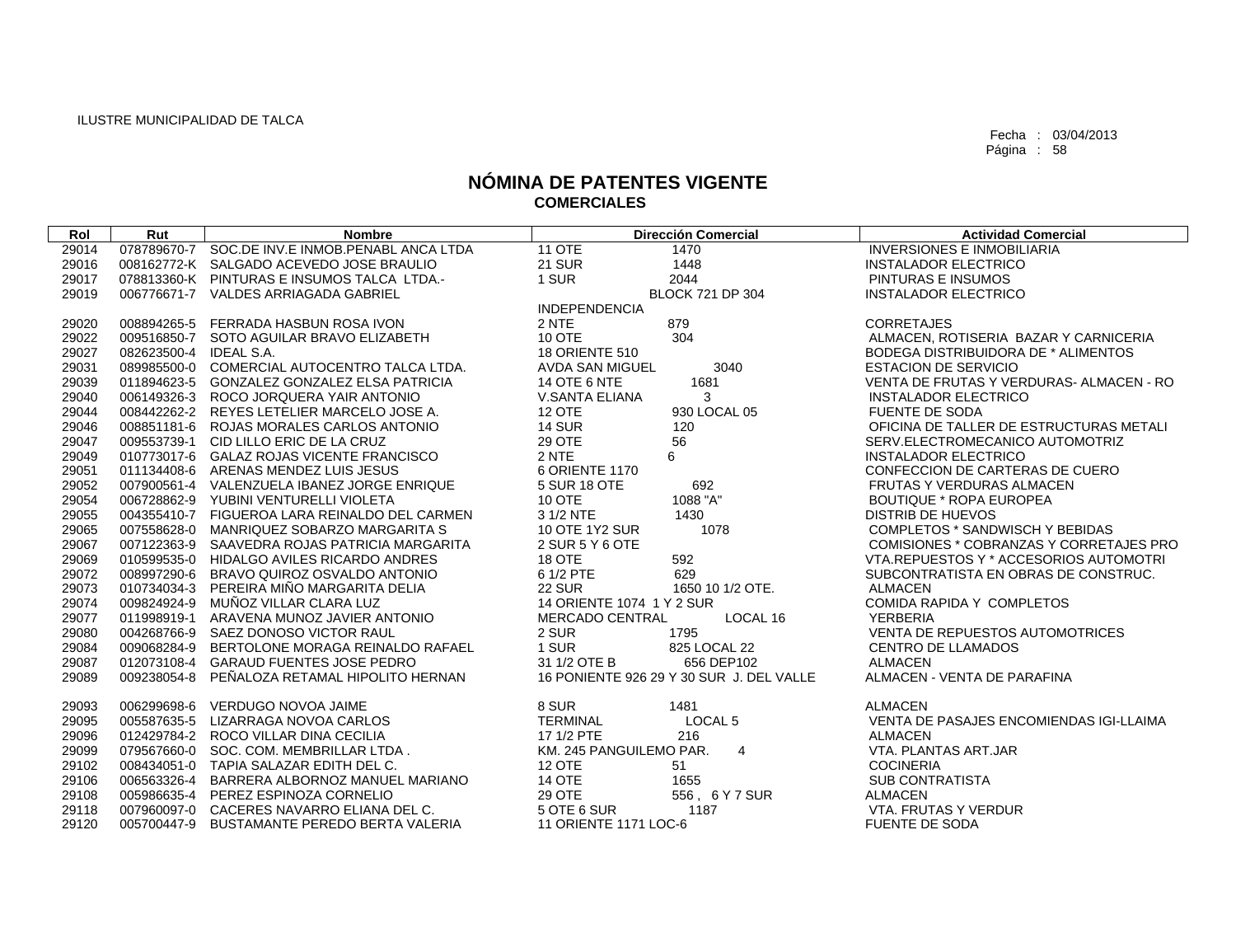| Rol   | Rut                    | <b>Nombre</b>                                   | <b>Dirección Comercial</b>                | <b>Actividad Comercial</b>              |
|-------|------------------------|-------------------------------------------------|-------------------------------------------|-----------------------------------------|
| 29014 |                        | 078789670-7 SOC.DE INV.E INMOB.PENABL ANCA LTDA | <b>11 OTE</b><br>1470                     | <b>INVERSIONES E INMOBILIARIA</b>       |
| 29016 |                        | 008162772-K SALGADO ACEVEDO JOSE BRAULIO        | <b>21 SUR</b><br>1448                     | <b>INSTALADOR ELECTRICO</b>             |
| 29017 |                        | 078813360-K PINTURAS E INSUMOS TALCA LTDA.-     | 1 SUR<br>2044                             | PINTURAS E INSUMOS                      |
| 29019 |                        | 006776671-7 VALDES ARRIAGADA GABRIEL            | BLOCK 721 DP 304                          | <b>INSTALADOR ELECTRICO</b>             |
|       |                        |                                                 | <b>INDEPENDENCIA</b>                      |                                         |
| 29020 |                        | 008894265-5 FERRADA HASBUN ROSA IVON            | 2 NTE<br>879                              | <b>CORRETAJES</b>                       |
| 29022 |                        | 009516850-7 SOTO AGUILAR BRAVO ELIZABETH        | <b>10 OTE</b><br>304                      | ALMACEN, ROTISERIA BAZAR Y CARNICERIA   |
| 29027 | 082623500-4 IDEAL S.A. |                                                 | <b>18 ORIENTE 510</b>                     | BODEGA DISTRIBUIDORA DE * ALIMENTOS     |
| 29031 |                        | 089985500-0 COMERCIAL AUTOCENTRO TALCA LTDA.    | 3040<br>AVDA SAN MIGUEL                   | <b>ESTACION DE SERVICIO</b>             |
| 29039 |                        | 011894623-5 GONZALEZ GONZALEZ ELSA PATRICIA     | <b>14 OTE 6 NTE</b><br>1681               | VENTA DE FRUTAS Y VERDURAS-ALMACEN - RO |
| 29040 |                        | 006149326-3 ROCO JORQUERA YAIR ANTONIO          | 3<br>V.SANTA ELIANA                       | <b>INSTALADOR ELECTRICO</b>             |
| 29044 |                        | 008442262-2 REYES LETELIER MARCELO JOSE A.      | <b>12 OTE</b><br>930 LOCAL 05             | <b>FUENTE DE SODA</b>                   |
| 29046 |                        | 008851181-6 ROJAS MORALES CARLOS ANTONIO        | <b>14 SUR</b><br>120                      | OFICINA DE TALLER DE ESTRUCTURAS METALI |
| 29047 |                        | 009553739-1 CID LILLO ERIC DE LA CRUZ           | 29 OTE<br>56                              | SERV.ELECTROMECANICO AUTOMOTRIZ         |
| 29049 |                        | 010773017-6 GALAZ ROJAS VICENTE FRANCISCO       | 6<br>2 NTE                                | <b>INSTALADOR ELECTRICO</b>             |
| 29051 |                        | 011134408-6 ARENAS MENDEZ LUIS JESUS            | 6 ORIENTE 1170                            | CONFECCION DE CARTERAS DE CUERO         |
| 29052 |                        | 007900561-4 VALENZUELA IBANEZ JORGE ENRIQUE     | 5 SUR 18 OTE<br>692                       | <b>FRUTAS Y VERDURAS ALMACEN</b>        |
| 29054 |                        | 006728862-9 YUBINI VENTURELLI VIOLETA           | 1088 "A"<br>10 OTE                        | <b>BOUTIQUE * ROPA EUROPEA</b>          |
| 29055 |                        | 004355410-7 FIGUEROA LARA REINALDO DEL CARMEN   | 3 1/2 NTE<br>1430                         | <b>DISTRIB DE HUEVOS</b>                |
| 29065 |                        | 007558628-0 MANRIQUEZ SOBARZO MARGARITA S       | 10 OTE 1Y2 SUR<br>1078                    | COMPLETOS * SANDWISCH Y BEBIDAS         |
| 29067 |                        | 007122363-9 SAAVEDRA ROJAS PATRICIA MARGARITA   | 2 SUR 5 Y 6 OTE                           | COMISIONES * COBRANZAS Y CORRETAJES PRO |
| 29069 |                        | 010599535-0 HIDALGO AVILES RICARDO ANDRES       | 592<br>18 OTE                             | VTA.REPUESTOS Y * ACCESORIOS AUTOMOTRI  |
| 29072 |                        | 008997290-6 BRAVO QUIROZ OSVALDO ANTONIO        | 6 1/2 PTE<br>629                          | SUBCONTRATISTA EN OBRAS DE CONSTRUC.    |
| 29073 |                        | 010734034-3 PEREIRA MIÑO MARGARITA DELIA        | <b>22 SUR</b><br>1650 10 1/2 OTE.         | <b>ALMACEN</b>                          |
| 29074 | 009824924-9            | MUÑOZ VILLAR CLARA LUZ                          | 14 ORIENTE 1074 1 Y 2 SUR                 | COMIDA RAPIDA Y COMPLETOS               |
| 29077 | 011998919-1            | ARAVENA MUNOZ JAVIER ANTONIO                    | <b>MERCADO CENTRAL</b><br>LOCAL 16        | <b>YERBERIA</b>                         |
| 29080 |                        | 004268766-9 SAEZ DONOSO VICTOR RAUL             | 2 SUR<br>1795                             | VENTA DE REPUESTOS AUTOMOTRICES         |
| 29084 |                        | 009068284-9 BERTOLONE MORAGA REINALDO RAFAEL    | 1 SUR<br>825 LOCAL 22                     | <b>CENTRO DE LLAMADOS</b>               |
| 29087 |                        | 012073108-4 GARAUD FUENTES JOSE PEDRO           | 31 1/2 OTE B<br>656 DEP102                | <b>ALMACEN</b>                          |
| 29089 | 009238054-8            | PENALOZA RETAMAL HIPOLITO HERNAN                | 16 PONIENTE 926 29 Y 30 SUR J. DEL VALLE  | ALMACEN - VENTA DE PARAFINA             |
| 29093 |                        | 006299698-6 VERDUGO NOVOA JAIME                 | 8 SUR<br>1481                             | <b>ALMACEN</b>                          |
| 29095 |                        | 005587635-5 LIZARRAGA NOVOA CARLOS              | <b>TERMINAL</b><br>LOCAL <sub>5</sub>     | VENTA DE PASAJES ENCOMIENDAS IGI-LLAIMA |
| 29096 |                        | 012429784-2 ROCO VILLAR DINA CECILIA            | 17 1/2 PTE<br>216                         | <b>ALMACEN</b>                          |
| 29099 |                        | 079567660-0 SOC. COM. MEMBRILLAR LTDA.          | KM. 245 PANGUILEMO PAR.<br>$\overline{4}$ | VTA. PLANTAS ART.JAR                    |
| 29102 |                        | 008434051-0 TAPIA SALAZAR EDITH DEL C.          | 12 OTE<br>51                              | <b>COCINERIA</b>                        |
| 29106 |                        | 006563326-4 BARRERA ALBORNOZ MANUEL MARIANO     | <b>14 OTE</b><br>1655                     | <b>SUB CONTRATISTA</b>                  |
| 29108 |                        | 005986635-4 PEREZ ESPINOZA CORNELIO             | 29 OTE<br>556, 6 Y 7 SUR                  | <b>ALMACEN</b>                          |
| 29118 |                        | 007960097-0 CACERES NAVARRO ELIANA DEL C.       | 5 OTE 6 SUR<br>1187                       | VTA, FRUTAS Y VERDUR                    |
| 29120 |                        | 005700447-9 BUSTAMANTE PEREDO BERTA VALERIA     | 11 ORIENTE 1171 LOC-6                     | <b>FUENTE DE SODA</b>                   |
|       |                        |                                                 |                                           |                                         |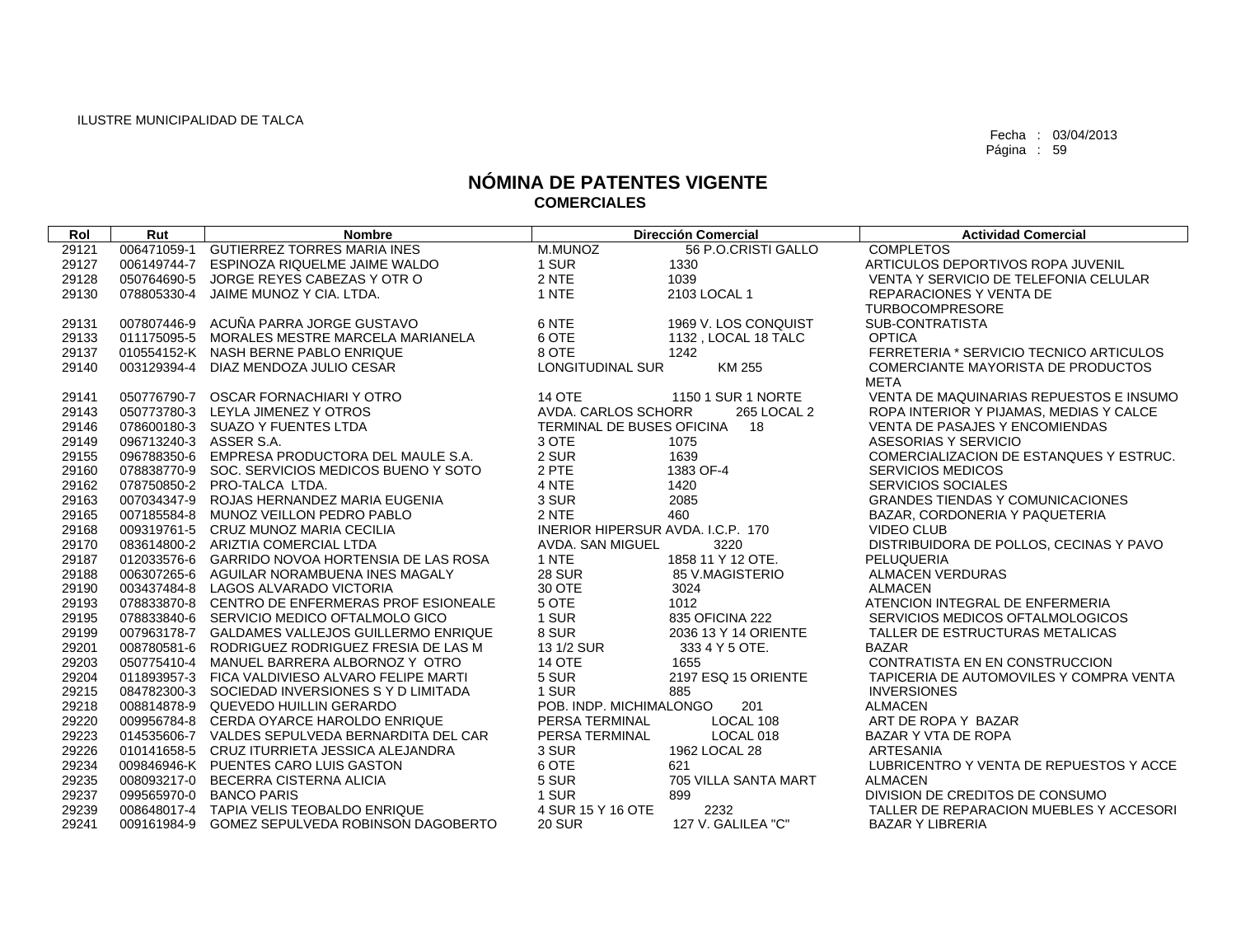| Rol   | Rut                    | <b>Nombre</b>                                   |                                   | <b>Dirección Comercial</b> | <b>Actividad Comercial</b>              |
|-------|------------------------|-------------------------------------------------|-----------------------------------|----------------------------|-----------------------------------------|
| 29121 |                        | 006471059-1 GUTIERREZ TORRES MARIA INES         | M.MUNOZ                           | 56 P.O.CRISTI GALLO        | <b>COMPLETOS</b>                        |
| 29127 |                        | 006149744-7 ESPINOZA RIQUELME JAIME WALDO       | 1 SUR                             | 1330                       | ARTICULOS DEPORTIVOS ROPA JUVENIL       |
| 29128 |                        | 050764690-5 JORGE REYES CABEZAS Y OTR O         | 2 NTE                             | 1039                       | VENTA Y SERVICIO DE TELEFONIA CELULAR   |
| 29130 |                        | 078805330-4 JAIME MUNOZ Y CIA. LTDA.            | 1 NTE                             | 2103 LOCAL 1               | <b>REPARACIONES Y VENTA DE</b>          |
|       |                        |                                                 |                                   |                            | <b>TURBOCOMPRESORE</b>                  |
| 29131 |                        | 007807446-9 ACUÑA PARRA JORGE GUSTAVO           | 6 NTE                             | 1969 V. LOS CONQUIST       | SUB-CONTRATISTA                         |
| 29133 |                        | 011175095-5 MORALES MESTRE MARCELA MARIANELA    | 6 OTE                             | 1132, LOCAL 18 TALC        | <b>OPTICA</b>                           |
| 29137 |                        | 010554152-K NASH BERNE PABLO ENRIQUE            | 8 OTE                             | 1242                       | FERRETERIA * SERVICIO TECNICO ARTICULOS |
| 29140 |                        | 003129394-4 DIAZ MENDOZA JULIO CESAR            | LONGITUDINAL SUR                  | KM 255                     | COMERCIANTE MAYORISTA DE PRODUCTOS      |
|       |                        |                                                 |                                   |                            | <b>META</b>                             |
| 29141 |                        | 050776790-7 OSCAR FORNACHIARI Y OTRO            | <b>14 OTE</b>                     | 1150 1 SUR 1 NORTE         | VENTA DE MAQUINARIAS REPUESTOS E INSUMO |
| 29143 |                        | 050773780-3 LEYLA JIMENEZ Y OTROS               | AVDA. CARLOS SCHORR               | 265 LOCAL 2                | ROPA INTERIOR Y PIJAMAS, MEDIAS Y CALCE |
| 29146 |                        | 078600180-3 SUAZO Y FUENTES LTDA                | TERMINAL DE BUSES OFICINA         | 18                         | <b>VENTA DE PASAJES Y ENCOMIENDAS</b>   |
| 29149 | 096713240-3 ASSER S.A. |                                                 | 3 OTE                             | 1075                       | ASESORIAS Y SERVICIO                    |
| 29155 |                        | 096788350-6 EMPRESA PRODUCTORA DEL MAULE S.A.   | 2 SUR                             | 1639                       | COMERCIALIZACION DE ESTANQUES Y ESTRUC. |
| 29160 |                        | 078838770-9 SOC. SERVICIOS MEDICOS BUENO Y SOTO | 2 PTE                             | 1383 OF-4                  | <b>SERVICIOS MEDICOS</b>                |
| 29162 |                        | 078750850-2 PRO-TALCA LTDA.                     | 4 NTE                             | 1420                       | <b>SERVICIOS SOCIALES</b>               |
| 29163 |                        | 007034347-9 ROJAS HERNANDEZ MARIA EUGENIA       | 3 SUR                             | 2085                       | <b>GRANDES TIENDAS Y COMUNICACIONES</b> |
| 29165 |                        | 007185584-8 MUNOZ VEILLON PEDRO PABLO           | 2 NTE                             | 460                        | BAZAR, CORDONERIA Y PAQUETERIA          |
| 29168 |                        | 009319761-5 CRUZ MUNOZ MARIA CECILIA            | INERIOR HIPERSUR AVDA, I.C.P. 170 |                            | <b>VIDEO CLUB</b>                       |
| 29170 |                        | 083614800-2 ARIZTIA COMERCIAL LTDA              | AVDA. SAN MIGUEL                  | 3220                       | DISTRIBUIDORA DE POLLOS, CECINAS Y PAVO |
| 29187 |                        | 012033576-6 GARRIDO NOVOA HORTENSIA DE LAS ROSA | 1 NTE                             | 1858 11 Y 12 OTE.          | PELUQUERIA                              |
| 29188 |                        | 006307265-6 AGUILAR NORAMBUENA INES MAGALY      | <b>28 SUR</b>                     | 85 V.MAGISTERIO            | <b>ALMACEN VERDURAS</b>                 |
| 29190 |                        | 003437484-8 LAGOS ALVARADO VICTORIA             | 30 OTE                            | 3024                       | <b>ALMACEN</b>                          |
| 29193 |                        | 078833870-8 CENTRO DE ENFERMERAS PROF ESIONEALE | 5 OTE                             | 1012                       | ATENCION INTEGRAL DE ENFERMERIA         |
| 29195 |                        | 078833840-6 SERVICIO MEDICO OFTALMOLO GICO      | 1 SUR                             | 835 OFICINA 222            | SERVICIOS MEDICOS OFTALMOLOGICOS        |
| 29199 |                        | 007963178-7 GALDAMES VALLEJOS GUILLERMO ENRIQUE | 8 SUR                             | 2036 13 Y 14 ORIENTE       | TALLER DE ESTRUCTURAS METALICAS         |
| 29201 |                        | 008780581-6 RODRIGUEZ RODRIGUEZ FRESIA DE LAS M | 13 1/2 SUR                        | 333 4 Y 5 OTE.             | <b>BAZAR</b>                            |
| 29203 |                        | 050775410-4 MANUEL BARRERA ALBORNOZ Y OTRO      | <b>14 OTE</b>                     | 1655                       | CONTRATISTA EN EN CONSTRUCCION          |
| 29204 |                        | 011893957-3 FICA VALDIVIESO ALVARO FELIPE MARTI | 5 SUR                             | 2197 ESQ 15 ORIENTE        | TAPICERIA DE AUTOMOVILES Y COMPRA VENTA |
| 29215 |                        | 084782300-3 SOCIEDAD INVERSIONES S Y D LIMITADA | 1 SUR                             | 885                        | <b>INVERSIONES</b>                      |
| 29218 |                        | 008814878-9 QUEVEDO HUILLIN GERARDO             | POB. INDP. MICHIMALONGO           | 201                        | <b>ALMACEN</b>                          |
| 29220 |                        | 009956784-8 CERDA OYARCE HAROLDO ENRIQUE        | PERSA TERMINAL                    | LOCAL 108                  | ART DE ROPA Y BAZAR                     |
| 29223 |                        | 014535606-7 VALDES SEPULVEDA BERNARDITA DEL CAR | PERSA TERMINAL                    | LOCAL 018                  | BAZAR Y VTA DE ROPA                     |
| 29226 |                        | 010141658-5 CRUZ ITURRIETA JESSICA ALEJANDRA    | 3 SUR                             | 1962 LOCAL 28              | ARTESANIA                               |
| 29234 |                        | 009846946-K PUENTES CARO LUIS GASTON            | 6 OTE                             | 621                        | LUBRICENTRO Y VENTA DE REPUESTOS Y ACCE |
| 29235 |                        | 008093217-0 BECERRA CISTERNA ALICIA             | 5 SUR                             | 705 VILLA SANTA MART       | <b>ALMACEN</b>                          |
| 29237 |                        | 099565970-0 BANCO PARIS                         | 1 SUR                             | 899                        | DIVISION DE CREDITOS DE CONSUMO         |
| 29239 |                        | 008648017-4 TAPIA VELIS TEOBALDO ENRIQUE        | 4 SUR 15 Y 16 OTE                 | 2232                       | TALLER DE REPARACION MUEBLES Y ACCESORI |
| 29241 |                        | 009161984-9 GOMEZ SEPULVEDA ROBINSON DAGOBERTO  | <b>20 SUR</b>                     | 127 V. GALILEA "C"         | <b>BAZAR Y LIBRERIA</b>                 |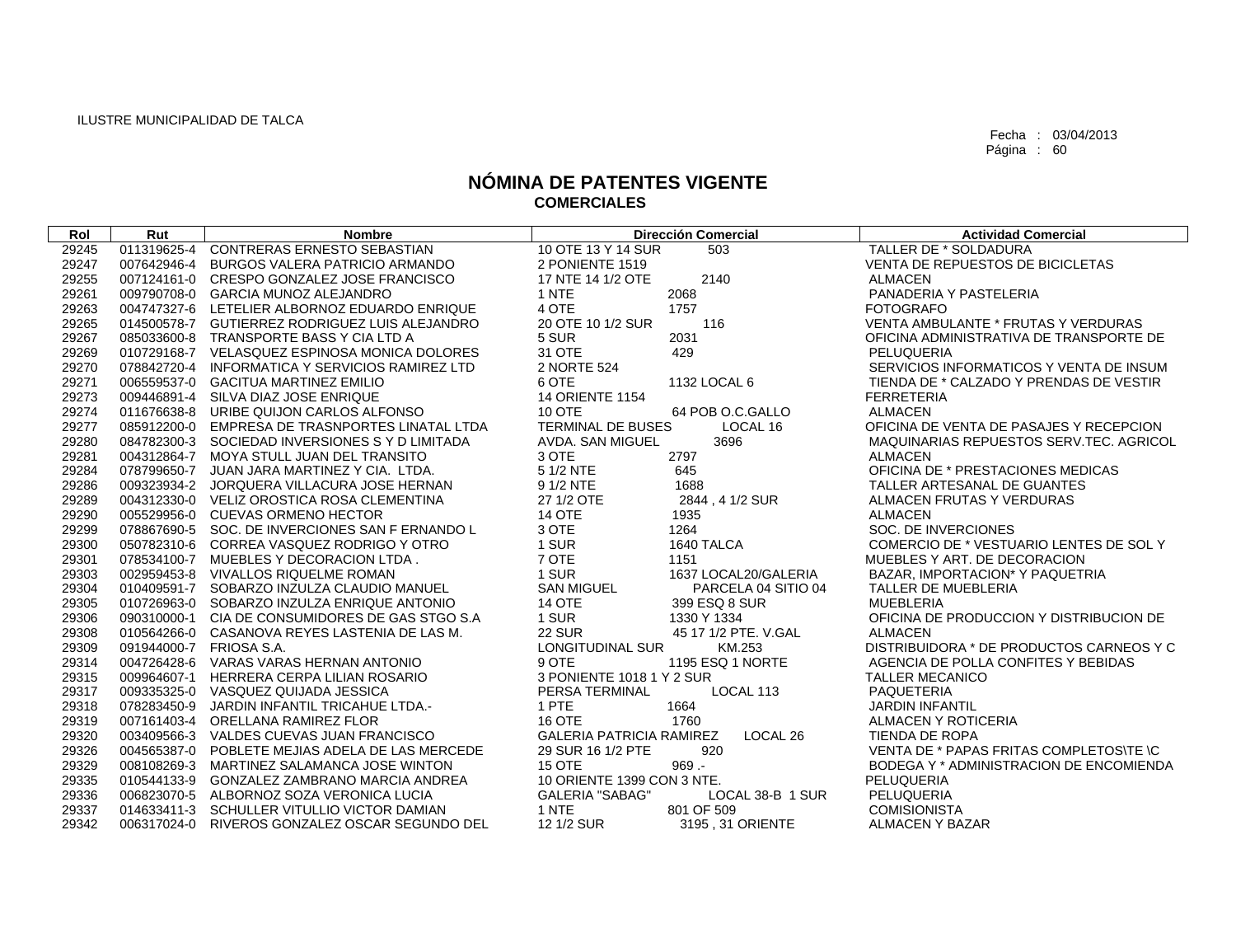| Rol   | Rut                     | <b>Nombre</b>                                   | <b>Dirección Comercial</b>                  | <b>Actividad Comercial</b>               |
|-------|-------------------------|-------------------------------------------------|---------------------------------------------|------------------------------------------|
| 29245 | 011319625-4             | <b>CONTRERAS ERNESTO SEBASTIAN</b>              | 10 OTE 13 Y 14 SUR<br>503                   | TALLER DE * SOLDADURA                    |
| 29247 |                         | 007642946-4 BURGOS VALERA PATRICIO ARMANDO      | 2 PONIENTE 1519                             | VENTA DE REPUESTOS DE BICICLETAS         |
| 29255 |                         | 007124161-0 CRESPO GONZALEZ JOSE FRANCISCO      | 17 NTE 14 1/2 OTE<br>2140                   | <b>ALMACEN</b>                           |
| 29261 |                         | 009790708-0 GARCIA MUNOZ ALEJANDRO              | 2068<br>1 NTE                               | PANADERIA Y PASTELERIA                   |
| 29263 |                         | 004747327-6 LETELIER ALBORNOZ EDUARDO ENRIQUE   | 4 OTE<br>1757                               | <b>FOTOGRAFO</b>                         |
| 29265 |                         | 014500578-7 GUTIERREZ RODRIGUEZ LUIS ALEJANDRO  | 20 OTE 10 1/2 SUR<br>116                    | VENTA AMBULANTE * FRUTAS Y VERDURAS      |
| 29267 |                         | 085033600-8 TRANSPORTE BASS Y CIA LTD A         | 5 SUR<br>2031                               | OFICINA ADMINISTRATIVA DE TRANSPORTE DE  |
| 29269 |                         | 010729168-7 VELASQUEZ ESPINOSA MONICA DOLORES   | 31 OTE<br>429                               | PELUQUERIA                               |
| 29270 |                         | 078842720-4 INFORMATICA Y SERVICIOS RAMIREZ LTD | 2 NORTE 524                                 | SERVICIOS INFORMATICOS Y VENTA DE INSUM  |
| 29271 |                         | 006559537-0 GACITUA MARTINEZ EMILIO             | 6 OTE<br>1132 LOCAL 6                       | TIENDA DE * CALZADO Y PRENDAS DE VESTIR  |
| 29273 |                         | 009446891-4 SILVA DIAZ JOSE ENRIQUE             | <b>14 ORIENTE 1154</b>                      | <b>FERRETERIA</b>                        |
| 29274 |                         | 011676638-8 URIBE QUIJON CARLOS ALFONSO         | 10 OTE<br>64 POB O.C.GALLO                  | <b>ALMACEN</b>                           |
| 29277 |                         | 085912200-0 EMPRESA DE TRASNPORTES LINATAL LTDA | <b>TERMINAL DE BUSES</b><br>LOCAL 16        | OFICINA DE VENTA DE PASAJES Y RECEPCION  |
| 29280 |                         | 084782300-3 SOCIEDAD INVERSIONES S Y D LIMITADA | AVDA. SAN MIGUEL<br>3696                    | MAQUINARIAS REPUESTOS SERV.TEC. AGRICOL  |
| 29281 |                         | 004312864-7 MOYA STULL JUAN DEL TRANSITO        | 3 OTE<br>2797                               | <b>ALMACEN</b>                           |
| 29284 |                         | 078799650-7 JUAN JARA MARTINEZ Y CIA. LTDA.     | 645<br>5 1/2 NTE                            | OFICINA DE * PRESTACIONES MEDICAS        |
| 29286 |                         | 009323934-2 JORQUERA VILLACURA JOSE HERNAN      | 9 1/2 NTE<br>1688                           | TALLER ARTESANAL DE GUANTES              |
| 29289 |                         | 004312330-0 VELIZ OROSTICA ROSA CLEMENTINA      | 27 1/2 OTE<br>2844, 41/2 SUR                | ALMACEN FRUTAS Y VERDURAS                |
| 29290 |                         | 005529956-0 CUEVAS ORMENO HECTOR                | <b>14 OTE</b><br>1935                       | <b>ALMACEN</b>                           |
| 29299 |                         | 078867690-5 SOC. DE INVERCIONES SAN F ERNANDO L | 3 OTE<br>1264                               | SOC. DE INVERCIONES                      |
| 29300 |                         | 050782310-6 CORREA VASQUEZ RODRIGO Y OTRO       | 1 SUR<br>1640 TALCA                         | COMERCIO DE * VESTUARIO LENTES DE SOL Y  |
| 29301 |                         | 078534100-7 MUEBLES Y DECORACION LTDA.          | 7 OTE<br>1151                               | MUEBLES Y ART. DE DECORACION             |
| 29303 |                         | 002959453-8 VIVALLOS RIQUELME ROMAN             | 1 SUR<br>1637 LOCAL20/GALERIA               | BAZAR, IMPORTACION* Y PAQUETRIA          |
| 29304 |                         | 010409591-7 SOBARZO INZULZA CLAUDIO MANUEL      | <b>SAN MIGUEL</b><br>PARCELA 04 SITIO 04    | TALLER DE MUEBLERIA                      |
| 29305 |                         | 010726963-0 SOBARZO INZULZA ENRIQUE ANTONIO     | <b>14 OTE</b><br>399 ESQ 8 SUR              | <b>MUEBLERIA</b>                         |
| 29306 |                         | 090310000-1 CIA DE CONSUMIDORES DE GAS STGO S.A | 1 SUR<br>1330 Y 1334                        | OFICINA DE PRODUCCION Y DISTRIBUCION DE  |
| 29308 |                         | 010564266-0 CASANOVA REYES LASTENIA DE LAS M.   | <b>22 SUR</b><br>45 17 1/2 PTE, V.GAL       | <b>ALMACEN</b>                           |
| 29309 | 091944000-7 FRIOSA S.A. |                                                 | LONGITUDINAL SUR<br>KM.253                  | DISTRIBUIDORA * DE PRODUCTOS CARNEOS Y C |
| 29314 |                         | 004726428-6 VARAS VARAS HERNAN ANTONIO          | 9 OTE<br>1195 ESQ 1 NORTE                   | AGENCIA DE POLLA CONFITES Y BEBIDAS      |
| 29315 |                         | 009964607-1 HERRERA CERPA LILIAN ROSARIO        | 3 PONIENTE 1018 1 Y 2 SUR                   | <b>TALLER MECANICO</b>                   |
| 29317 |                         | 009335325-0 VASQUEZ QUIJADA JESSICA             | PERSA TERMINAL<br>LOCAL 113                 | <b>PAQUETERIA</b>                        |
| 29318 |                         | 078283450-9 JARDIN INFANTIL TRICAHUE LTDA.-     | 1 PTE<br>1664                               | <b>JARDIN INFANTIL</b>                   |
| 29319 |                         | 007161403-4 ORELLANA RAMIREZ FLOR               | 16 OTE<br>1760                              | ALMACEN Y ROTICERIA                      |
| 29320 |                         | 003409566-3 VALDES CUEVAS JUAN FRANCISCO        | <b>GALERIA PATRICIA RAMIREZ</b><br>LOCAL 26 | TIENDA DE ROPA                           |
| 29326 |                         | 004565387-0 POBLETE MEJIAS ADELA DE LAS MERCEDE | 920<br>29 SUR 16 1/2 PTE                    | VENTA DE * PAPAS FRITAS COMPLETOS\TE \C  |
| 29329 |                         | 008108269-3 MARTINEZ SALAMANCA JOSE WINTON      | <b>15 OTE</b><br>$969. -$                   | BODEGA Y * ADMINISTRACION DE ENCOMIENDA  |
| 29335 |                         | 010544133-9 GONZALEZ ZAMBRANO MARCIA ANDREA     | 10 ORIENTE 1399 CON 3 NTE.                  | PELUQUERIA                               |
| 29336 |                         | 006823070-5 ALBORNOZ SOZA VERONICA LUCIA        | LOCAL 38-B 1 SUR<br><b>GALERIA "SABAG"</b>  | PELUQUERIA                               |
| 29337 |                         | 014633411-3 SCHULLER VITULLIO VICTOR DAMIAN     | 1 NTE<br>801 OF 509                         | <b>COMISIONISTA</b>                      |
| 29342 |                         | 006317024-0 RIVEROS GONZALEZ OSCAR SEGUNDO DEL  | 12 1/2 SUR<br>3195, 31 ORIENTE              | <b>ALMACEN Y BAZAR</b>                   |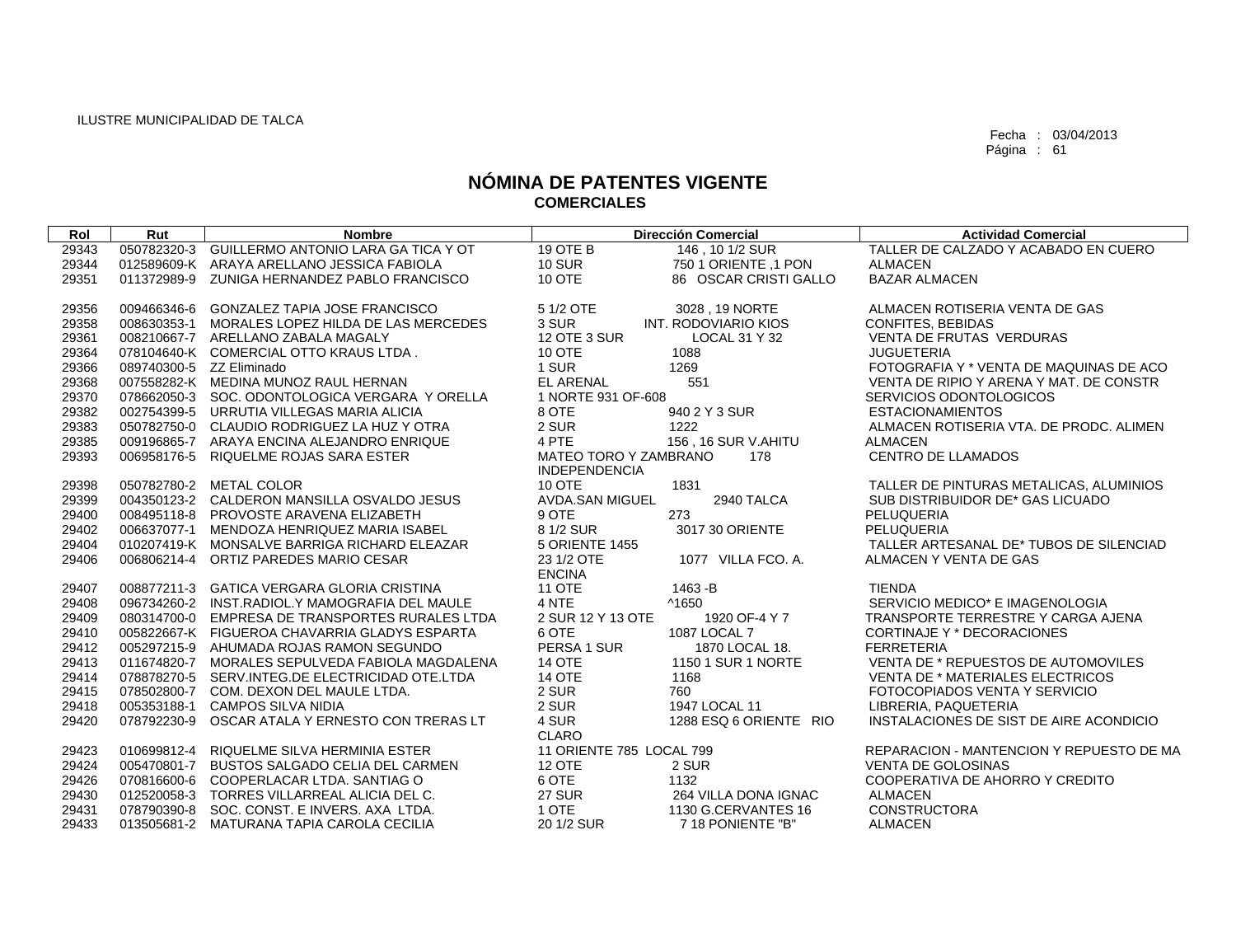| Rol   | Rut                      | <b>Nombre</b>                                   |                          | <b>Dirección Comercial</b> | <b>Actividad Comercial</b>               |
|-------|--------------------------|-------------------------------------------------|--------------------------|----------------------------|------------------------------------------|
| 29343 | 050782320-3              | GUILLERMO ANTONIO LARA GA TICA Y OT             | 19 OTE B                 | 146, 10 1/2 SUR            | TALLER DE CALZADO Y ACABADO EN CUERO     |
| 29344 |                          | 012589609-K ARAYA ARELLANO JESSICA FABIOLA      | <b>10 SUR</b>            | 750 1 ORIENTE ,1 PON       | <b>ALMACEN</b>                           |
| 29351 |                          | 011372989-9 ZUNIGA HERNANDEZ PABLO FRANCISCO    | 10 OTE                   | 86 OSCAR CRISTI GALLO      | <b>BAZAR ALMACEN</b>                     |
|       |                          |                                                 |                          |                            |                                          |
| 29356 |                          | 009466346-6 GONZALEZ TAPIA JOSE FRANCISCO       | 5 1/2 OTE                | 3028, 19 NORTE             | ALMACEN ROTISERIA VENTA DE GAS           |
| 29358 | 008630353-1              | MORALES LOPEZ HILDA DE LAS MERCEDES             | 3 SUR                    | INT. RODOVIARIO KIOS       | CONFITES, BEBIDAS                        |
| 29361 |                          | 008210667-7 ARELLANO ZABALA MAGALY              | 12 OTE 3 SUR             | LOCAL 31 Y 32              | VENTA DE FRUTAS VERDURAS                 |
| 29364 |                          | 078104640-K COMERCIAL OTTO KRAUS LTDA.          | <b>10 OTE</b>            | 1088                       | <b>JUGUETERIA</b>                        |
| 29366 | 089740300-5 ZZ Eliminado |                                                 | 1 SUR                    | 1269                       | FOTOGRAFIA Y * VENTA DE MAQUINAS DE ACO  |
| 29368 |                          | 007558282-K MEDINA MUNOZ RAUL HERNAN            | <b>EL ARENAL</b>         | 551                        | VENTA DE RIPIO Y ARENA Y MAT. DE CONSTR  |
| 29370 |                          | 078662050-3 SOC, ODONTOLOGICA VERGARA Y ORELLA  | 1 NORTE 931 OF-608       |                            | SERVICIOS ODONTOLOGICOS                  |
| 29382 |                          | 002754399-5 URRUTIA VILLEGAS MARIA ALICIA       | 8 OTE                    | 940 2 Y 3 SUR              | <b>ESTACIONAMIENTOS</b>                  |
| 29383 |                          | 050782750-0 CLAUDIO RODRIGUEZ LA HUZ Y OTRA     | 2 SUR                    | 1222                       | ALMACEN ROTISERIA VTA. DE PRODC. ALIMEN  |
| 29385 |                          | 009196865-7 ARAYA ENCINA ALEJANDRO ENRIQUE      | 4 PTE                    | 156, 16 SUR V.AHITU        | <b>ALMACEN</b>                           |
| 29393 |                          | 006958176-5 RIQUELME ROJAS SARA ESTER           | MATEO TORO Y ZAMBRANO    | 178                        | <b>CENTRO DE LLAMADOS</b>                |
|       |                          |                                                 | <b>INDEPENDENCIA</b>     |                            |                                          |
| 29398 |                          | 050782780-2 METAL COLOR                         | 10 OTE                   | 1831                       | TALLER DE PINTURAS METALICAS, ALUMINIOS  |
| 29399 |                          | 004350123-2 CALDERON MANSILLA OSVALDO JESUS     | AVDA.SAN MIGUEL          | 2940 TALCA                 | SUB DISTRIBUIDOR DE* GAS LICUADO         |
| 29400 |                          | 008495118-8 PROVOSTE ARAVENA ELIZABETH          | 9 OTE                    | 273                        | PELUQUERIA                               |
| 29402 |                          | 006637077-1 MENDOZA HENRIQUEZ MARIA ISABEL      | 8 1/2 SUR                | 3017 30 ORIENTE            | PELUQUERIA                               |
| 29404 |                          | 010207419-K MONSALVE BARRIGA RICHARD ELEAZAR    | <b>5 ORIENTE 1455</b>    |                            | TALLER ARTESANAL DE* TUBOS DE SILENCIAD  |
| 29406 |                          | 006806214-4 ORTIZ PAREDES MARIO CESAR           | 23 1/2 OTE               | 1077 VILLA FCO, A.         | ALMACEN Y VENTA DE GAS                   |
|       |                          |                                                 | <b>ENCINA</b>            |                            |                                          |
| 29407 |                          | 008877211-3 GATICA VERGARA GLORIA CRISTINA      | <b>11 OTE</b>            | 1463-B                     | <b>TIENDA</b>                            |
| 29408 |                          | 096734260-2 INST.RADIOL.Y MAMOGRAFIA DEL MAULE  | 4 NTE                    | ^1650                      | SERVICIO MEDICO* E IMAGENOLOGIA          |
| 29409 |                          | 080314700-0 EMPRESA DE TRANSPORTES RURALES LTDA | 2 SUR 12 Y 13 OTE        | 1920 OF-4 Y 7              | TRANSPORTE TERRESTRE Y CARGA AJENA       |
| 29410 |                          | 005822667-K FIGUEROA CHAVARRIA GLADYS ESPARTA   | 6 OTE                    | 1087 LOCAL 7               | CORTINAJE Y * DECORACIONES               |
| 29412 |                          | 005297215-9 AHUMADA ROJAS RAMON SEGUNDO         | PERSA 1 SUR              | 1870 LOCAL 18.             | <b>FERRETERIA</b>                        |
| 29413 |                          | 011674820-7 MORALES SEPULVEDA FABIOLA MAGDALENA | <b>14 OTE</b>            | 1150 1 SUR 1 NORTE         | VENTA DE * REPUESTOS DE AUTOMOVILES      |
| 29414 |                          | 078878270-5 SERV.INTEG.DE ELECTRICIDAD OTE.LTDA | <b>14 OTE</b>            | 1168                       | <b>VENTA DE * MATERIALES ELECTRICOS</b>  |
| 29415 |                          | 078502800-7 COM. DEXON DEL MAULE LTDA.          | 2 SUR                    | 760                        | FOTOCOPIADOS VENTA Y SERVICIO            |
| 29418 |                          | 005353188-1 CAMPOS SILVA NIDIA                  | 2 SUR                    | 1947 LOCAL 11              | LIBRERIA, PAQUETERIA                     |
| 29420 |                          | 078792230-9 OSCAR ATALA Y ERNESTO CON TRERAS LT | 4 SUR                    | 1288 ESQ 6 ORIENTE RIO     | INSTALACIONES DE SIST DE AIRE ACONDICIO  |
|       |                          |                                                 | CLARO                    |                            |                                          |
| 29423 |                          | 010699812-4 RIQUELME SILVA HERMINIA ESTER       | 11 ORIENTE 785 LOCAL 799 |                            | REPARACION - MANTENCION Y REPUESTO DE MA |
| 29424 |                          | 005470801-7 BUSTOS SALGADO CELIA DEL CARMEN     | <b>12 OTE</b>            | 2 SUR                      | VENTA DE GOLOSINAS                       |
| 29426 |                          | 070816600-6 COOPERLACAR LTDA, SANTIAG O         | 6 OTE                    | 1132                       | COOPERATIVA DE AHORRO Y CREDITO          |
| 29430 |                          | 012520058-3 TORRES VILLARREAL ALICIA DEL C.     | <b>27 SUR</b>            | 264 VILLA DONA IGNAC       | <b>ALMACEN</b>                           |
| 29431 |                          | 078790390-8 SOC, CONST, E INVERS, AXA LTDA.     | 1 OTE                    | 1130 G.CERVANTES 16        | <b>CONSTRUCTORA</b>                      |
| 29433 |                          | 013505681-2 MATURANA TAPIA CAROLA CECILIA       | 20 1/2 SUR               | 718 PONIENTE "B"           | <b>ALMACEN</b>                           |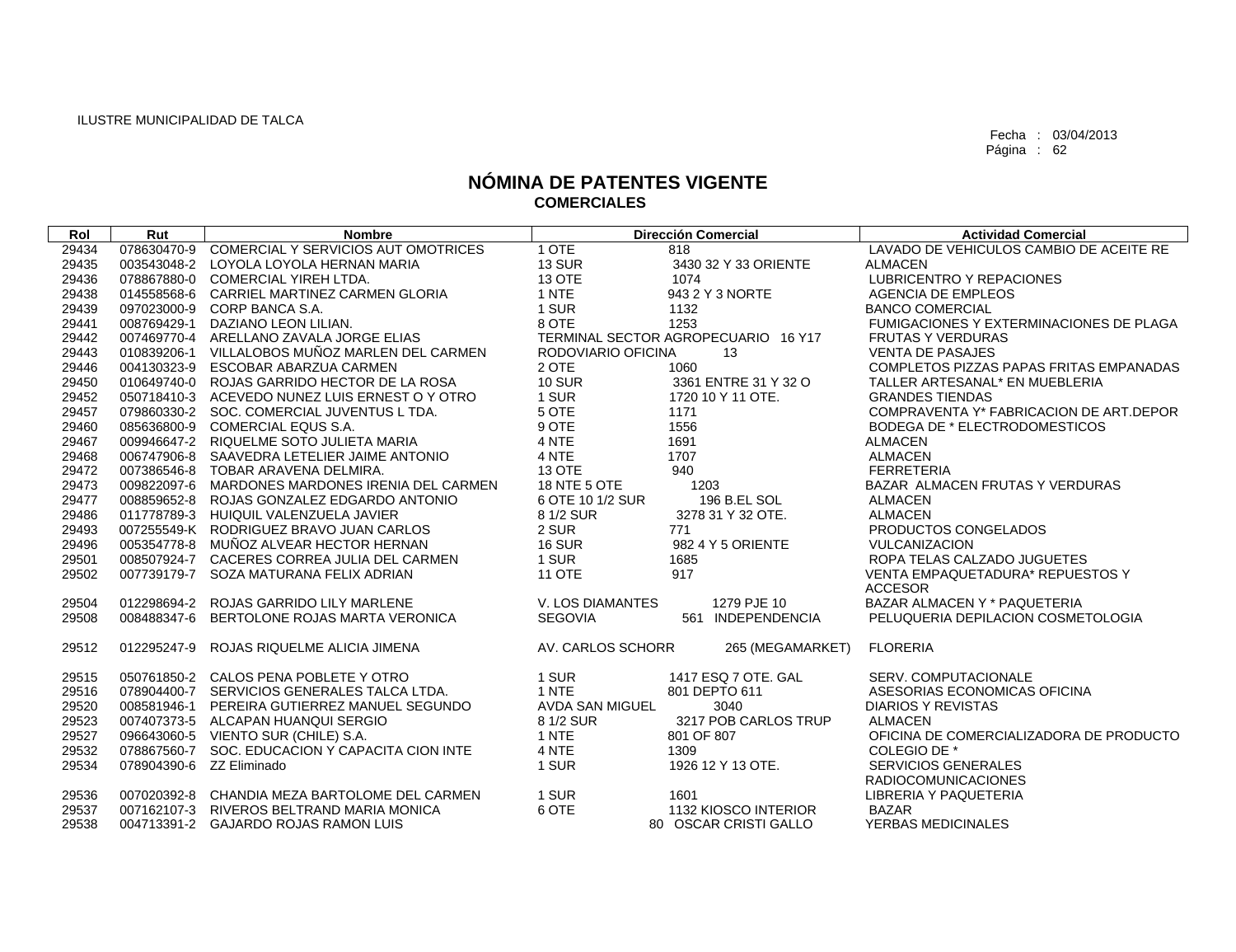| Rol   | Rut         | <b>Nombre</b>                                   |                        | <b>Dirección Comercial</b>          | <b>Actividad Comercial</b>              |
|-------|-------------|-------------------------------------------------|------------------------|-------------------------------------|-----------------------------------------|
| 29434 | 078630470-9 | COMERCIAL Y SERVICIOS AUT OMOTRICES             | 1 OTE                  | 818                                 | LAVADO DE VEHICULOS CAMBIO DE ACEITE RE |
| 29435 | 003543048-2 | LOYOLA LOYOLA HERNAN MARIA                      | <b>13 SUR</b>          | 3430 32 Y 33 ORIENTE                | <b>ALMACEN</b>                          |
| 29436 |             | 078867880-0 COMERCIAL YIREH LTDA.               | <b>13 OTE</b>          | 1074                                | LUBRICENTRO Y REPACIONES                |
| 29438 | 014558568-6 | CARRIEL MARTINEZ CARMEN GLORIA                  | 1 NTE                  | 943 2 Y 3 NORTE                     | <b>AGENCIA DE EMPLEOS</b>               |
| 29439 |             | 097023000-9 CORP BANCA S.A.                     | 1 SUR                  | 1132                                | <b>BANCO COMERCIAL</b>                  |
| 29441 | 008769429-1 | DAZIANO LEON LILIAN.                            | 8 OTE                  | 1253                                | FUMIGACIONES Y EXTERMINACIONES DE PLAGA |
| 29442 | 007469770-4 | ARELLANO ZAVALA JORGE ELIAS                     |                        | TERMINAL SECTOR AGROPECUARIO 16 Y17 | <b>FRUTAS Y VERDURAS</b>                |
| 29443 |             | 010839206-1 VILLALOBOS MUÑOZ MARLEN DEL CARMEN  | RODOVIARIO OFICINA     | 13                                  | <b>VENTA DE PASAJES</b>                 |
| 29446 |             | 004130323-9 ESCOBAR ABARZUA CARMEN              | 2 OTE                  | 1060                                | COMPLETOS PIZZAS PAPAS FRITAS EMPANADAS |
| 29450 |             | 010649740-0 ROJAS GARRIDO HECTOR DE LA ROSA     | <b>10 SUR</b>          | 3361 ENTRE 31 Y 32 O                | TALLER ARTESANAL* EN MUEBLERIA          |
| 29452 |             | 050718410-3 ACEVEDO NUNEZ LUIS ERNEST O Y OTRO  | 1 SUR                  | 1720 10 Y 11 OTE.                   | <b>GRANDES TIENDAS</b>                  |
| 29457 |             | 079860330-2 SOC, COMERCIAL JUVENTUS L TDA.      | 5 OTE                  | 1171                                | COMPRAVENTA Y* FABRICACION DE ART.DEPOR |
| 29460 |             | 085636800-9 COMERCIAL EQUS S.A.                 | 9 OTE                  | 1556                                | BODEGA DE * ELECTRODOMESTICOS           |
| 29467 |             | 009946647-2 RIQUELME SOTO JULIETA MARIA         | 4 NTE                  | 1691                                | <b>ALMACEN</b>                          |
| 29468 |             | 006747906-8 SAAVEDRA LETELIER JAIME ANTONIO     | 4 NTE                  | 1707                                | <b>ALMACEN</b>                          |
| 29472 |             | 007386546-8 TOBAR ARAVENA DELMIRA.              | 13 OTE                 | 940                                 | <b>FERRETERIA</b>                       |
| 29473 | 009822097-6 | MARDONES MARDONES IRENIA DEL CARMEN             | 18 NTE 5 OTE           | 1203                                | BAZAR ALMACEN FRUTAS Y VERDURAS         |
| 29477 | 008859652-8 | ROJAS GONZALEZ EDGARDO ANTONIO                  | 6 OTE 10 1/2 SUR       | 196 B.EL SOL                        | <b>ALMACEN</b>                          |
| 29486 | 011778789-3 | HUIQUIL VALENZUELA JAVIER                       | 8 1/2 SUR              | 3278 31 Y 32 OTE.                   | <b>ALMACEN</b>                          |
| 29493 |             | 007255549-K RODRIGUEZ BRAVO JUAN CARLOS         | 2 SUR                  | 771                                 | PRODUCTOS CONGELADOS                    |
| 29496 |             | 005354778-8 MUNOZ ALVEAR HECTOR HERNAN          | <b>16 SUR</b>          | 982 4 Y 5 ORIENTE                   | <b>VULCANIZACION</b>                    |
| 29501 |             | 008507924-7 CACERES CORREA JULIA DEL CARMEN     | 1 SUR                  | 1685                                | ROPA TELAS CALZADO JUGUETES             |
| 29502 |             | 007739179-7 SOZA MATURANA FELIX ADRIAN          | <b>11 OTE</b>          | 917                                 | VENTA EMPAQUETADURA* REPUESTOS Y        |
|       |             |                                                 |                        |                                     | <b>ACCESOR</b>                          |
| 29504 | 012298694-2 | ROJAS GARRIDO LILY MARLENE                      | V. LOS DIAMANTES       | 1279 PJE 10                         | BAZAR ALMACEN Y * PAQUETERIA            |
| 29508 | 008488347-6 | BERTOLONE ROJAS MARTA VERONICA                  | <b>SEGOVIA</b>         | INDEPENDENCIA<br>561                | PELUQUERIA DEPILACION COSMETOLOGIA      |
| 29512 | 012295247-9 | ROJAS RIQUELME ALICIA JIMENA                    | AV. CARLOS SCHORR      | 265 (MEGAMARKET)                    | <b>FLORERIA</b>                         |
| 29515 |             | 050761850-2 CALOS PENA POBLETE Y OTRO           | 1 SUR                  | 1417 ESQ 7 OTE, GAL                 | <b>SERV. COMPUTACIONALE</b>             |
| 29516 |             | 078904400-7 SERVICIOS GENERALES TALCA LTDA.     | 1 NTE                  | 801 DEPTO 611                       | ASESORIAS ECONOMICAS OFICINA            |
| 29520 | 008581946-1 | PEREIRA GUTIERREZ MANUEL SEGUNDO                | <b>AVDA SAN MIGUEL</b> | 3040                                | <b>DIARIOS Y REVISTAS</b>               |
| 29523 | 007407373-5 | ALCAPAN HUANQUI SERGIO                          | 8 1/2 SUR              | 3217 POB CARLOS TRUP                | <b>ALMACEN</b>                          |
| 29527 | 096643060-5 | VIENTO SUR (CHILE) S.A.                         | 1 NTE                  | 801 OF 807                          | OFICINA DE COMERCIALIZADORA DE PRODUCTO |
| 29532 |             | 078867560-7 SOC. EDUCACION Y CAPACITA CION INTE | 4 NTE                  | 1309                                | COLEGIO DE *                            |
| 29534 |             | 078904390-6 ZZ Eliminado                        | 1 SUR                  | 1926 12 Y 13 OTE.                   | <b>SERVICIOS GENERALES</b>              |
|       |             |                                                 |                        |                                     | <b>RADIOCOMUNICACIONES</b>              |
| 29536 |             | 007020392-8 CHANDIA MEZA BARTOLOME DEL CARMEN   | 1 SUR                  | 1601                                | LIBRERIA Y PAQUETERIA                   |
| 29537 | 007162107-3 | RIVEROS BELTRAND MARIA MONICA                   | 6 OTE                  | 1132 KIOSCO INTERIOR                | <b>BAZAR</b>                            |
| 29538 |             | 004713391-2 GAJARDO ROJAS RAMON LUIS            |                        | 80 OSCAR CRISTI GALLO               | YERBAS MEDICINALES                      |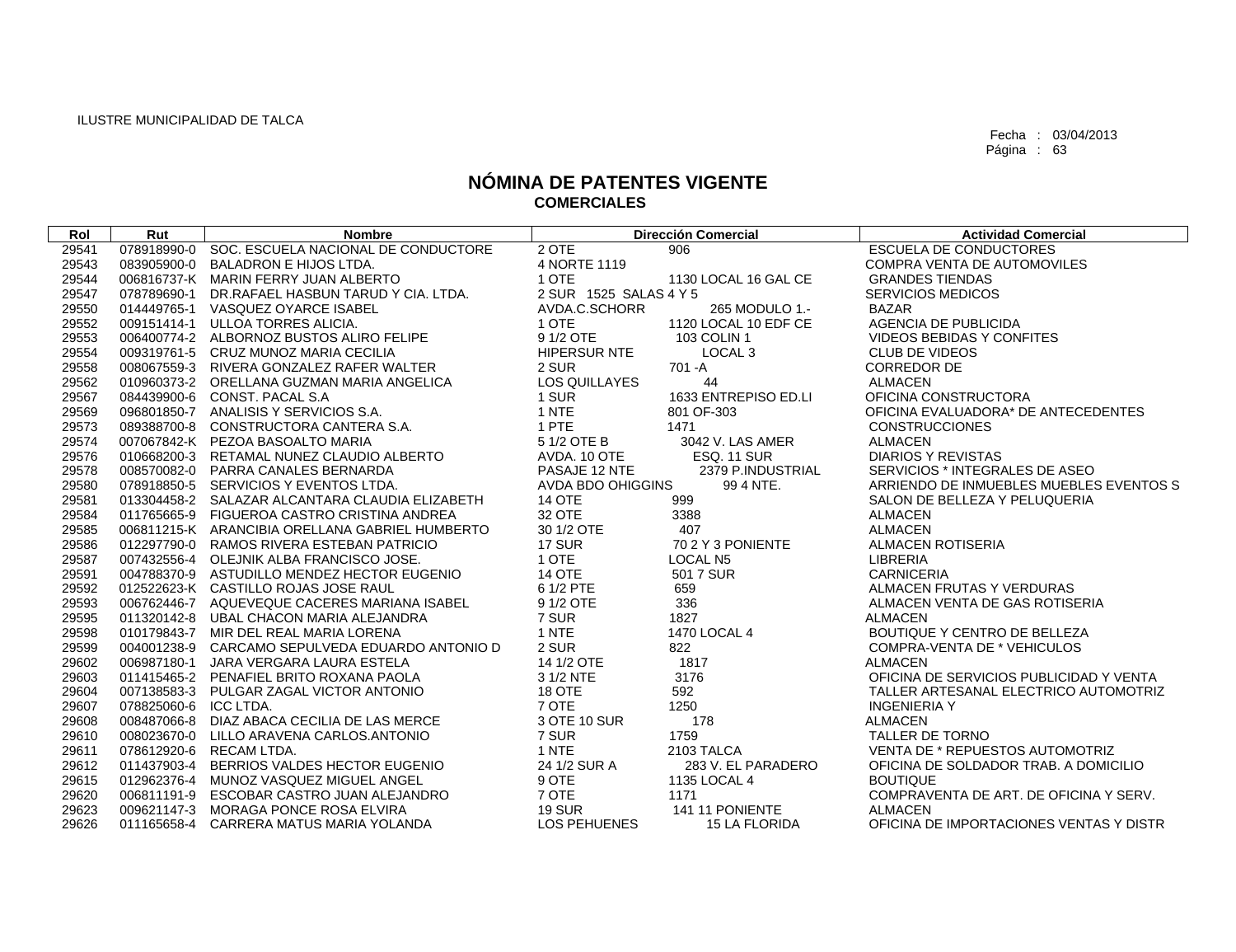| Rol   | Rut         | <b>Nombre</b>                                   |                        | <b>Dirección Comercial</b> | <b>Actividad Comercial</b>              |
|-------|-------------|-------------------------------------------------|------------------------|----------------------------|-----------------------------------------|
| 29541 | 078918990-0 | SOC. ESCUELA NACIONAL DE CONDUCTORE             | 2 OTE                  | 906                        | <b>ESCUELA DE CONDUCTORES</b>           |
| 29543 | 083905900-0 | <b>BALADRON E HIJOS LTDA.</b>                   | 4 NORTE 1119           |                            | COMPRA VENTA DE AUTOMOVILES             |
| 29544 |             | 006816737-K MARIN FERRY JUAN ALBERTO            | 1 OTE                  | 1130 LOCAL 16 GAL CE       | <b>GRANDES TIENDAS</b>                  |
| 29547 |             | 078789690-1 DR.RAFAEL HASBUN TARUD Y CIA. LTDA. | 2 SUR 1525 SALAS 4 Y 5 |                            | <b>SERVICIOS MEDICOS</b>                |
| 29550 |             | 014449765-1 VASQUEZ OYARCE ISABEL               | AVDA.C.SCHORR          | 265 MODULO 1.-             | <b>BAZAR</b>                            |
| 29552 | 009151414-1 | ULLOA TORRES ALICIA.                            | 1 OTE                  | 1120 LOCAL 10 EDF CE       | AGENCIA DE PUBLICIDA                    |
| 29553 |             | 006400774-2 ALBORNOZ BUSTOS ALIRO FELIPE        | 9 1/2 OTE              | 103 COLIN 1                | <b>VIDEOS BEBIDAS Y CONFITES</b>        |
| 29554 |             | 009319761-5 CRUZ MUNOZ MARIA CECILIA            | <b>HIPERSUR NTE</b>    | LOCAL <sub>3</sub>         | <b>CLUB DE VIDEOS</b>                   |
| 29558 |             | 008067559-3 RIVERA GONZALEZ RAFER WALTER        | 2 SUR                  | 701-A                      | <b>CORREDOR DE</b>                      |
| 29562 |             | 010960373-2 ORELLANA GUZMAN MARIA ANGELICA      | LOS QUILLAYES          | 44                         | <b>ALMACEN</b>                          |
| 29567 |             | 084439900-6 CONST, PACAL S.A                    | 1 SUR                  | 1633 ENTREPISO ED.LI       | OFICINA CONSTRUCTORA                    |
| 29569 |             | 096801850-7 ANALISIS Y SERVICIOS S.A.           | 1 NTE                  | 801 OF-303                 | OFICINA EVALUADORA* DE ANTECEDENTES     |
| 29573 |             | 089388700-8 CONSTRUCTORA CANTERA S.A.           | 1 PTE                  | 1471                       | <b>CONSTRUCCIONES</b>                   |
| 29574 |             | 007067842-K PEZOA BASOALTO MARIA                | 5 1/2 OTE B            | 3042 V. LAS AMER           | <b>ALMACEN</b>                          |
| 29576 |             | 010668200-3 RETAMAL NUNEZ CLAUDIO ALBERTO       | AVDA. 10 OTE           | <b>ESQ. 11 SUR</b>         | <b>DIARIOS Y REVISTAS</b>               |
| 29578 |             | 008570082-0 PARRA CANALES BERNARDA              | PASAJE 12 NTE          | 2379 P.INDUSTRIAL          | SERVICIOS * INTEGRALES DE ASEO          |
| 29580 |             | 078918850-5 SERVICIOS Y EVENTOS LTDA.           | AVDA BDO OHIGGINS      | 99 4 NTE.                  | ARRIENDO DE INMUEBLES MUEBLES EVENTOS S |
| 29581 |             | 013304458-2 SALAZAR ALCANTARA CLAUDIA ELIZABETH | <b>14 OTE</b>          | 999                        | SALON DE BELLEZA Y PELUQUERIA           |
| 29584 |             | 011765665-9 FIGUEROA CASTRO CRISTINA ANDREA     | 32 OTE                 | 3388                       | <b>ALMACEN</b>                          |
| 29585 |             | 006811215-K ARANCIBIA ORELLANA GABRIEL HUMBERTO | 30 1/2 OTE             | 407                        | <b>ALMACEN</b>                          |
| 29586 |             | 012297790-0 RAMOS RIVERA ESTEBAN PATRICIO       | 17 SUR                 | 70 2 Y 3 PONIENTE          | ALMACEN ROTISERIA                       |
| 29587 |             | 007432556-4 OLEJNIK ALBA FRANCISCO JOSE.        | 1 OTE                  | <b>LOCAL N5</b>            | <b>LIBRERIA</b>                         |
| 29591 |             | 004788370-9 ASTUDILLO MENDEZ HECTOR EUGENIO     | <b>14 OTE</b>          | 501 7 SUR                  | <b>CARNICERIA</b>                       |
| 29592 |             | 012522623-K CASTILLO ROJAS JOSE RAUL            | 6 1/2 PTE              | 659                        | ALMACEN FRUTAS Y VERDURAS               |
| 29593 |             | 006762446-7 AQUEVEQUE CACERES MARIANA ISABEL    | 9 1/2 OTE              | 336                        | ALMACEN VENTA DE GAS ROTISERIA          |
| 29595 |             | 011320142-8 UBAL CHACON MARIA ALEJANDRA         | 7 SUR                  | 1827                       | <b>ALMACEN</b>                          |
| 29598 |             | 010179843-7 MIR DEL REAL MARIA LORENA           | 1 NTE                  | 1470 LOCAL 4               | BOUTIQUE Y CENTRO DE BELLEZA            |
| 29599 |             | 004001238-9 CARCAMO SEPULVEDA EDUARDO ANTONIO D | 2 SUR                  | 822                        | <b>COMPRA-VENTA DE * VEHICULOS</b>      |
| 29602 |             | 006987180-1 JARA VERGARA LAURA ESTELA           | 14 1/2 OTE             | 1817                       | <b>ALMACEN</b>                          |
| 29603 |             | 011415465-2 PENAFIEL BRITO ROXANA PAOLA         | 3 1/2 NTE              | 3176                       | OFICINA DE SERVICIOS PUBLICIDAD Y VENTA |
| 29604 |             | 007138583-3 PULGAR ZAGAL VICTOR ANTONIO         | <b>18 OTE</b>          | 592                        | TALLER ARTESANAL ELECTRICO AUTOMOTRIZ   |
| 29607 | 078825060-6 | ICC LTDA.                                       | 7 OTE                  | 1250                       | <b>INGENIERIA Y</b>                     |
| 29608 | 008487066-8 | DIAZ ABACA CECILIA DE LAS MERCE                 | 3 OTE 10 SUR           | 178                        | <b>ALMACEN</b>                          |
| 29610 |             | 008023670-0 LILLO ARAVENA CARLOS.ANTONIO        | 7 SUR                  | 1759                       | TALLER DE TORNO                         |
| 29611 |             | 078612920-6 RECAM LTDA.                         | 1 NTE                  | 2103 TALCA                 | VENTA DE * REPUESTOS AUTOMOTRIZ         |
| 29612 |             | 011437903-4 BERRIOS VALDES HECTOR EUGENIO       | 24 1/2 SUR A           | 283 V. EL PARADERO         | OFICINA DE SOLDADOR TRAB. A DOMICILIO   |
| 29615 |             | 012962376-4 MUNOZ VASQUEZ MIGUEL ANGEL          | 9 OTE                  | 1135 LOCAL 4               | <b>BOUTIQUE</b>                         |
| 29620 | 006811191-9 | ESCOBAR CASTRO JUAN ALEJANDRO                   | 7 OTE                  | 1171                       | COMPRAVENTA DE ART. DE OFICINA Y SERV.  |
| 29623 |             | 009621147-3 MORAGA PONCE ROSA ELVIRA            | <b>19 SUR</b>          | 141 11 PONIENTE            | <b>ALMACEN</b>                          |
| 29626 |             | 011165658-4 CARRERA MATUS MARIA YOLANDA         | LOS PEHUENES           | <b>15 LA FLORIDA</b>       | OFICINA DE IMPORTACIONES VENTAS Y DISTR |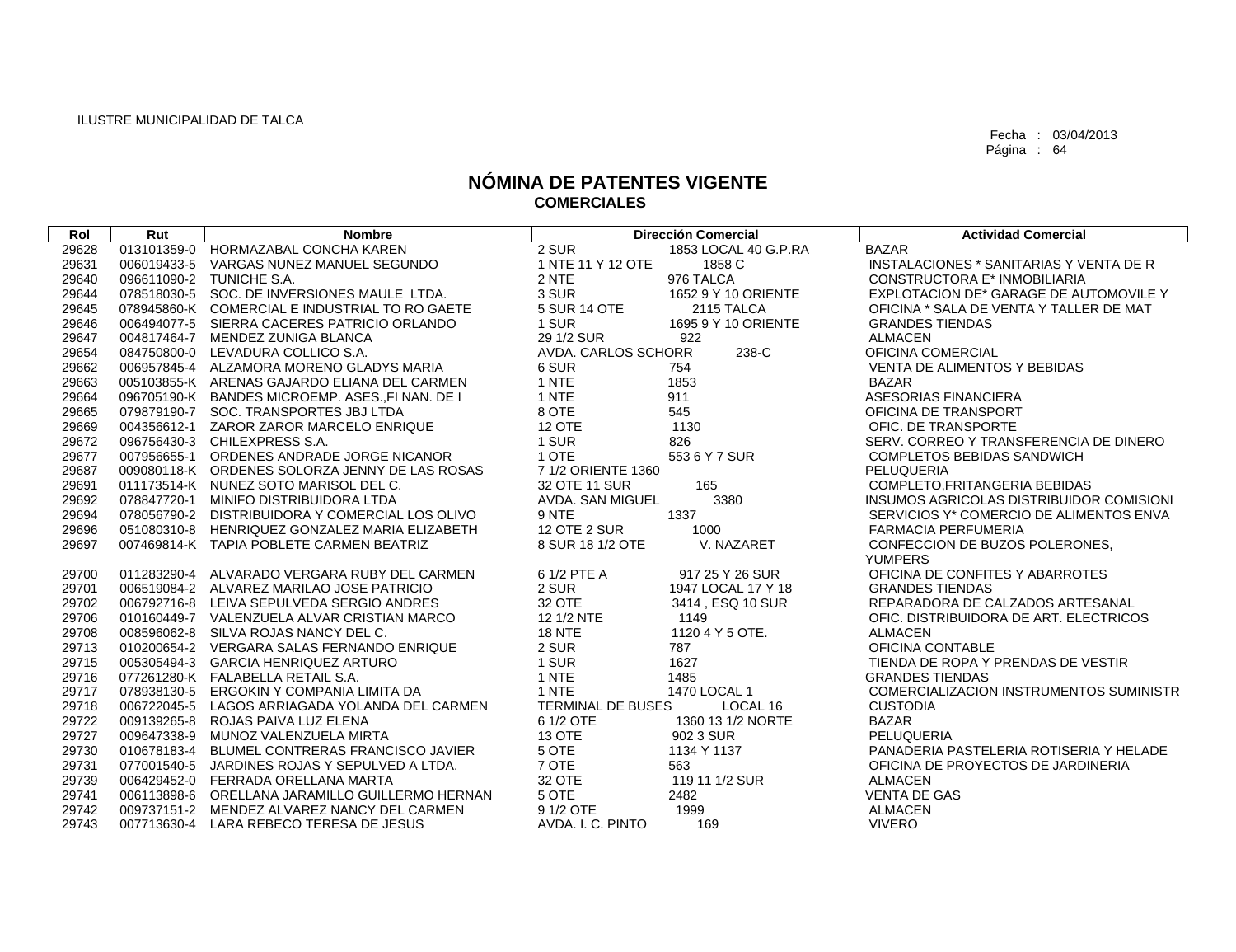| 29628<br>013101359-0 HORMAZABAL CONCHA KAREN<br>2 SUR<br><b>BAZAR</b><br>1853 LOCAL 40 G.P.RA<br>29631<br>1 NTE 11 Y 12 OTE<br>1858 C<br>006019433-5 VARGAS NUNEZ MANUEL SEGUNDO<br>INSTALACIONES * SANITARIAS Y VENTA DE R<br>096611090-2 TUNICHE S.A.<br>2 NTE<br>976 TALCA<br><b>CONSTRUCTORA E* INMOBILIARIA</b><br>29640<br>078518030-5 SOC. DE INVERSIONES MAULE LTDA.<br>3 SUR<br>1652 9 Y 10 ORIENTE<br>EXPLOTACION DE* GARAGE DE AUTOMOVILE Y<br>29644<br>5 SUR 14 OTE<br>29645<br>078945860-K COMERCIAL E INDUSTRIAL TO RO GAETE<br>2115 TALCA<br>OFICINA * SALA DE VENTA Y TALLER DE MAT<br>1 SUR<br>29646<br>006494077-5 SIERRA CACERES PATRICIO ORLANDO<br>1695 9 Y 10 ORIENTE<br><b>GRANDES TIENDAS</b><br>29 1/2 SUR<br>29647<br>922<br>004817464-7 MENDEZ ZUNIGA BLANCA<br><b>ALMACEN</b><br>238-C<br>29654<br>084750800-0 LEVADURA COLLICO S.A.<br>AVDA, CARLOS SCHORR<br>OFICINA COMERCIAL<br>6 SUR<br>29662<br>006957845-4 ALZAMORA MORENO GLADYS MARIA<br><b>VENTA DE ALIMENTOS Y BEBIDAS</b><br>754<br>29663<br>1 NTE<br>1853<br>005103855-K ARENAS GAJARDO ELIANA DEL CARMEN<br>BAZAR<br>1 NTE<br>911<br>29664<br>096705190-K BANDES MICROEMP, ASES. FINAN, DE I<br>ASESORIAS FINANCIERA<br>545<br>29665<br>8 OTE<br>079879190-7 SOC. TRANSPORTES JBJ LTDA<br>OFICINA DE TRANSPORT<br><b>12 OTE</b><br>29669<br>004356612-1 ZAROR ZAROR MARCELO ENRIQUE<br>1130<br>OFIC. DE TRANSPORTE<br>096756430-3 CHILEXPRESS S.A.<br>1 SUR<br>29672<br>826<br>SERV. CORREO Y TRANSFERENCIA DE DINERO<br>007956655-1 ORDENES ANDRADE JORGE NICANOR<br>1 OTE<br>553 6 Y 7 SUR<br>29677<br><b>COMPLETOS BEBIDAS SANDWICH</b><br>29687<br>009080118-K ORDENES SOLORZA JENNY DE LAS ROSAS<br>7 1/2 ORIENTE 1360<br>PELUQUERIA<br>165<br>29691<br>011173514-K NUNEZ SOTO MARISOL DEL C.<br>32 OTE 11 SUR<br>COMPLETO, FRITANGERIA BEBIDAS | Rol   | Rut | <b>Nombre</b> |                  | <b>Dirección Comercial</b> | <b>Actividad Comercial</b>               |
|------------------------------------------------------------------------------------------------------------------------------------------------------------------------------------------------------------------------------------------------------------------------------------------------------------------------------------------------------------------------------------------------------------------------------------------------------------------------------------------------------------------------------------------------------------------------------------------------------------------------------------------------------------------------------------------------------------------------------------------------------------------------------------------------------------------------------------------------------------------------------------------------------------------------------------------------------------------------------------------------------------------------------------------------------------------------------------------------------------------------------------------------------------------------------------------------------------------------------------------------------------------------------------------------------------------------------------------------------------------------------------------------------------------------------------------------------------------------------------------------------------------------------------------------------------------------------------------------------------------------------------------------------------------------------------------------------------------------------------------------------------------------------------------------------------------------------------------------|-------|-----|---------------|------------------|----------------------------|------------------------------------------|
|                                                                                                                                                                                                                                                                                                                                                                                                                                                                                                                                                                                                                                                                                                                                                                                                                                                                                                                                                                                                                                                                                                                                                                                                                                                                                                                                                                                                                                                                                                                                                                                                                                                                                                                                                                                                                                                |       |     |               |                  |                            |                                          |
|                                                                                                                                                                                                                                                                                                                                                                                                                                                                                                                                                                                                                                                                                                                                                                                                                                                                                                                                                                                                                                                                                                                                                                                                                                                                                                                                                                                                                                                                                                                                                                                                                                                                                                                                                                                                                                                |       |     |               |                  |                            |                                          |
|                                                                                                                                                                                                                                                                                                                                                                                                                                                                                                                                                                                                                                                                                                                                                                                                                                                                                                                                                                                                                                                                                                                                                                                                                                                                                                                                                                                                                                                                                                                                                                                                                                                                                                                                                                                                                                                |       |     |               |                  |                            |                                          |
|                                                                                                                                                                                                                                                                                                                                                                                                                                                                                                                                                                                                                                                                                                                                                                                                                                                                                                                                                                                                                                                                                                                                                                                                                                                                                                                                                                                                                                                                                                                                                                                                                                                                                                                                                                                                                                                |       |     |               |                  |                            |                                          |
|                                                                                                                                                                                                                                                                                                                                                                                                                                                                                                                                                                                                                                                                                                                                                                                                                                                                                                                                                                                                                                                                                                                                                                                                                                                                                                                                                                                                                                                                                                                                                                                                                                                                                                                                                                                                                                                |       |     |               |                  |                            |                                          |
|                                                                                                                                                                                                                                                                                                                                                                                                                                                                                                                                                                                                                                                                                                                                                                                                                                                                                                                                                                                                                                                                                                                                                                                                                                                                                                                                                                                                                                                                                                                                                                                                                                                                                                                                                                                                                                                |       |     |               |                  |                            |                                          |
|                                                                                                                                                                                                                                                                                                                                                                                                                                                                                                                                                                                                                                                                                                                                                                                                                                                                                                                                                                                                                                                                                                                                                                                                                                                                                                                                                                                                                                                                                                                                                                                                                                                                                                                                                                                                                                                |       |     |               |                  |                            |                                          |
|                                                                                                                                                                                                                                                                                                                                                                                                                                                                                                                                                                                                                                                                                                                                                                                                                                                                                                                                                                                                                                                                                                                                                                                                                                                                                                                                                                                                                                                                                                                                                                                                                                                                                                                                                                                                                                                |       |     |               |                  |                            |                                          |
|                                                                                                                                                                                                                                                                                                                                                                                                                                                                                                                                                                                                                                                                                                                                                                                                                                                                                                                                                                                                                                                                                                                                                                                                                                                                                                                                                                                                                                                                                                                                                                                                                                                                                                                                                                                                                                                |       |     |               |                  |                            |                                          |
|                                                                                                                                                                                                                                                                                                                                                                                                                                                                                                                                                                                                                                                                                                                                                                                                                                                                                                                                                                                                                                                                                                                                                                                                                                                                                                                                                                                                                                                                                                                                                                                                                                                                                                                                                                                                                                                |       |     |               |                  |                            |                                          |
|                                                                                                                                                                                                                                                                                                                                                                                                                                                                                                                                                                                                                                                                                                                                                                                                                                                                                                                                                                                                                                                                                                                                                                                                                                                                                                                                                                                                                                                                                                                                                                                                                                                                                                                                                                                                                                                |       |     |               |                  |                            |                                          |
|                                                                                                                                                                                                                                                                                                                                                                                                                                                                                                                                                                                                                                                                                                                                                                                                                                                                                                                                                                                                                                                                                                                                                                                                                                                                                                                                                                                                                                                                                                                                                                                                                                                                                                                                                                                                                                                |       |     |               |                  |                            |                                          |
|                                                                                                                                                                                                                                                                                                                                                                                                                                                                                                                                                                                                                                                                                                                                                                                                                                                                                                                                                                                                                                                                                                                                                                                                                                                                                                                                                                                                                                                                                                                                                                                                                                                                                                                                                                                                                                                |       |     |               |                  |                            |                                          |
|                                                                                                                                                                                                                                                                                                                                                                                                                                                                                                                                                                                                                                                                                                                                                                                                                                                                                                                                                                                                                                                                                                                                                                                                                                                                                                                                                                                                                                                                                                                                                                                                                                                                                                                                                                                                                                                |       |     |               |                  |                            |                                          |
|                                                                                                                                                                                                                                                                                                                                                                                                                                                                                                                                                                                                                                                                                                                                                                                                                                                                                                                                                                                                                                                                                                                                                                                                                                                                                                                                                                                                                                                                                                                                                                                                                                                                                                                                                                                                                                                |       |     |               |                  |                            |                                          |
|                                                                                                                                                                                                                                                                                                                                                                                                                                                                                                                                                                                                                                                                                                                                                                                                                                                                                                                                                                                                                                                                                                                                                                                                                                                                                                                                                                                                                                                                                                                                                                                                                                                                                                                                                                                                                                                |       |     |               |                  |                            |                                          |
|                                                                                                                                                                                                                                                                                                                                                                                                                                                                                                                                                                                                                                                                                                                                                                                                                                                                                                                                                                                                                                                                                                                                                                                                                                                                                                                                                                                                                                                                                                                                                                                                                                                                                                                                                                                                                                                |       |     |               |                  |                            |                                          |
| 078847720-1 MINIFO DISTRIBUIDORA LTDA                                                                                                                                                                                                                                                                                                                                                                                                                                                                                                                                                                                                                                                                                                                                                                                                                                                                                                                                                                                                                                                                                                                                                                                                                                                                                                                                                                                                                                                                                                                                                                                                                                                                                                                                                                                                          | 29692 |     |               | AVDA. SAN MIGUEL | 3380                       | INSUMOS AGRICOLAS DISTRIBUIDOR COMISIONI |
| 1337<br>29694<br>078056790-2 DISTRIBUIDORA Y COMERCIAL LOS OLIVO<br>9 NTE<br>SERVICIOS Y* COMERCIO DE ALIMENTOS ENVA                                                                                                                                                                                                                                                                                                                                                                                                                                                                                                                                                                                                                                                                                                                                                                                                                                                                                                                                                                                                                                                                                                                                                                                                                                                                                                                                                                                                                                                                                                                                                                                                                                                                                                                           |       |     |               |                  |                            |                                          |
| <b>12 OTE 2 SUR</b><br>29696<br>051080310-8 HENRIQUEZ GONZALEZ MARIA ELIZABETH<br>1000<br><b>FARMACIA PERFUMERIA</b>                                                                                                                                                                                                                                                                                                                                                                                                                                                                                                                                                                                                                                                                                                                                                                                                                                                                                                                                                                                                                                                                                                                                                                                                                                                                                                                                                                                                                                                                                                                                                                                                                                                                                                                           |       |     |               |                  |                            |                                          |
| 8 SUR 18 1/2 OTE<br>V. NAZARET<br>CONFECCION DE BUZOS POLERONES,<br>29697<br>007469814-K TAPIA POBLETE CARMEN BEATRIZ<br><b>YUMPERS</b>                                                                                                                                                                                                                                                                                                                                                                                                                                                                                                                                                                                                                                                                                                                                                                                                                                                                                                                                                                                                                                                                                                                                                                                                                                                                                                                                                                                                                                                                                                                                                                                                                                                                                                        |       |     |               |                  |                            |                                          |
| 011283290-4 ALVARADO VERGARA RUBY DEL CARMEN<br>6 1/2 PTE A<br>917 25 Y 26 SUR<br>OFICINA DE CONFITES Y ABARROTES<br>29700                                                                                                                                                                                                                                                                                                                                                                                                                                                                                                                                                                                                                                                                                                                                                                                                                                                                                                                                                                                                                                                                                                                                                                                                                                                                                                                                                                                                                                                                                                                                                                                                                                                                                                                     |       |     |               |                  |                            |                                          |
| 2 SUR<br>29701<br>006519084-2 ALVAREZ MARILAO JOSE PATRICIO<br>1947 LOCAL 17 Y 18<br><b>GRANDES TIENDAS</b>                                                                                                                                                                                                                                                                                                                                                                                                                                                                                                                                                                                                                                                                                                                                                                                                                                                                                                                                                                                                                                                                                                                                                                                                                                                                                                                                                                                                                                                                                                                                                                                                                                                                                                                                    |       |     |               |                  |                            |                                          |
| 29702<br>32 OTE<br>006792716-8 LEIVA SEPULVEDA SERGIO ANDRES<br>3414, ESQ 10 SUR<br>REPARADORA DE CALZADOS ARTESANAL                                                                                                                                                                                                                                                                                                                                                                                                                                                                                                                                                                                                                                                                                                                                                                                                                                                                                                                                                                                                                                                                                                                                                                                                                                                                                                                                                                                                                                                                                                                                                                                                                                                                                                                           |       |     |               |                  |                            |                                          |
| 29706<br>12 1/2 NTE<br>OFIC. DISTRIBUIDORA DE ART. ELECTRICOS<br>010160449-7 VALENZUELA ALVAR CRISTIAN MARCO<br>1149                                                                                                                                                                                                                                                                                                                                                                                                                                                                                                                                                                                                                                                                                                                                                                                                                                                                                                                                                                                                                                                                                                                                                                                                                                                                                                                                                                                                                                                                                                                                                                                                                                                                                                                           |       |     |               |                  |                            |                                          |
| <b>18 NTE</b><br>1120 4 Y 5 OTE.<br>29708<br>008596062-8 SILVA ROJAS NANCY DEL C.<br><b>ALMACEN</b>                                                                                                                                                                                                                                                                                                                                                                                                                                                                                                                                                                                                                                                                                                                                                                                                                                                                                                                                                                                                                                                                                                                                                                                                                                                                                                                                                                                                                                                                                                                                                                                                                                                                                                                                            |       |     |               |                  |                            |                                          |
| 2 SUR<br>29713<br>787<br>OFICINA CONTABLE<br>010200654-2 VERGARA SALAS FERNANDO ENRIQUE                                                                                                                                                                                                                                                                                                                                                                                                                                                                                                                                                                                                                                                                                                                                                                                                                                                                                                                                                                                                                                                                                                                                                                                                                                                                                                                                                                                                                                                                                                                                                                                                                                                                                                                                                        |       |     |               |                  |                            |                                          |
| 1 SUR<br>1627<br>29715<br>005305494-3 GARCIA HENRIQUEZ ARTURO<br>TIENDA DE ROPA Y PRENDAS DE VESTIR                                                                                                                                                                                                                                                                                                                                                                                                                                                                                                                                                                                                                                                                                                                                                                                                                                                                                                                                                                                                                                                                                                                                                                                                                                                                                                                                                                                                                                                                                                                                                                                                                                                                                                                                            |       |     |               |                  |                            |                                          |
| 29716<br>1 NTE<br>077261280-K FALABELLA RETAIL S.A.<br>1485<br><b>GRANDES TIENDAS</b>                                                                                                                                                                                                                                                                                                                                                                                                                                                                                                                                                                                                                                                                                                                                                                                                                                                                                                                                                                                                                                                                                                                                                                                                                                                                                                                                                                                                                                                                                                                                                                                                                                                                                                                                                          |       |     |               |                  |                            |                                          |
| 1 NTE<br>1470 LOCAL 1<br>29717<br>078938130-5 ERGOKIN Y COMPANIA LIMITA DA                                                                                                                                                                                                                                                                                                                                                                                                                                                                                                                                                                                                                                                                                                                                                                                                                                                                                                                                                                                                                                                                                                                                                                                                                                                                                                                                                                                                                                                                                                                                                                                                                                                                                                                                                                     |       |     |               |                  |                            | COMERCIALIZACION INSTRUMENTOS SUMINISTR  |
| TERMINAL DE BUSES<br>LOCAL 16<br>29718<br>006722045-5 LAGOS ARRIAGADA YOLANDA DEL CARMEN<br><b>CUSTODIA</b>                                                                                                                                                                                                                                                                                                                                                                                                                                                                                                                                                                                                                                                                                                                                                                                                                                                                                                                                                                                                                                                                                                                                                                                                                                                                                                                                                                                                                                                                                                                                                                                                                                                                                                                                    |       |     |               |                  |                            |                                          |
| 29722<br>009139265-8 ROJAS PAIVA LUZ ELENA<br>6 1/2 OTE<br>1360 13 1/2 NORTE<br><b>BAZAR</b>                                                                                                                                                                                                                                                                                                                                                                                                                                                                                                                                                                                                                                                                                                                                                                                                                                                                                                                                                                                                                                                                                                                                                                                                                                                                                                                                                                                                                                                                                                                                                                                                                                                                                                                                                   |       |     |               |                  |                            |                                          |
| 29727<br>009647338-9 MUNOZ VALENZUELA MIRTA<br><b>13 OTE</b><br>902 3 SUR<br>PELUQUERIA                                                                                                                                                                                                                                                                                                                                                                                                                                                                                                                                                                                                                                                                                                                                                                                                                                                                                                                                                                                                                                                                                                                                                                                                                                                                                                                                                                                                                                                                                                                                                                                                                                                                                                                                                        |       |     |               |                  |                            |                                          |
| 29730<br>5 OTE<br>PANADERIA PASTELERIA ROTISERIA Y HELADE<br>010678183-4 BLUMEL CONTRERAS FRANCISCO JAVIER<br>1134 Y 1137                                                                                                                                                                                                                                                                                                                                                                                                                                                                                                                                                                                                                                                                                                                                                                                                                                                                                                                                                                                                                                                                                                                                                                                                                                                                                                                                                                                                                                                                                                                                                                                                                                                                                                                      |       |     |               |                  |                            |                                          |
| 7 OTE<br>29731<br>077001540-5 JARDINES ROJAS Y SEPULVED A LTDA.<br>563<br>OFICINA DE PROYECTOS DE JARDINERIA                                                                                                                                                                                                                                                                                                                                                                                                                                                                                                                                                                                                                                                                                                                                                                                                                                                                                                                                                                                                                                                                                                                                                                                                                                                                                                                                                                                                                                                                                                                                                                                                                                                                                                                                   |       |     |               |                  |                            |                                          |
| 32 OTE<br>29739<br>006429452-0 FERRADA ORELLANA MARTA<br>119 11 1/2 SUR<br><b>ALMACEN</b>                                                                                                                                                                                                                                                                                                                                                                                                                                                                                                                                                                                                                                                                                                                                                                                                                                                                                                                                                                                                                                                                                                                                                                                                                                                                                                                                                                                                                                                                                                                                                                                                                                                                                                                                                      |       |     |               |                  |                            |                                          |
| 5 OTE<br><b>VENTA DE GAS</b><br>29741<br>006113898-6 ORELLANA JARAMILLO GUILLERMO HERNAN<br>2482                                                                                                                                                                                                                                                                                                                                                                                                                                                                                                                                                                                                                                                                                                                                                                                                                                                                                                                                                                                                                                                                                                                                                                                                                                                                                                                                                                                                                                                                                                                                                                                                                                                                                                                                               |       |     |               |                  |                            |                                          |
| 29742<br>9 1/2 OTE<br>1999<br>009737151-2 MENDEZ ALVAREZ NANCY DEL CARMEN<br><b>ALMACEN</b>                                                                                                                                                                                                                                                                                                                                                                                                                                                                                                                                                                                                                                                                                                                                                                                                                                                                                                                                                                                                                                                                                                                                                                                                                                                                                                                                                                                                                                                                                                                                                                                                                                                                                                                                                    |       |     |               |                  |                            |                                          |
| 29743<br>007713630-4 LARA REBECO TERESA DE JESUS<br>AVDA. I. C. PINTO<br>169<br><b>VIVERO</b>                                                                                                                                                                                                                                                                                                                                                                                                                                                                                                                                                                                                                                                                                                                                                                                                                                                                                                                                                                                                                                                                                                                                                                                                                                                                                                                                                                                                                                                                                                                                                                                                                                                                                                                                                  |       |     |               |                  |                            |                                          |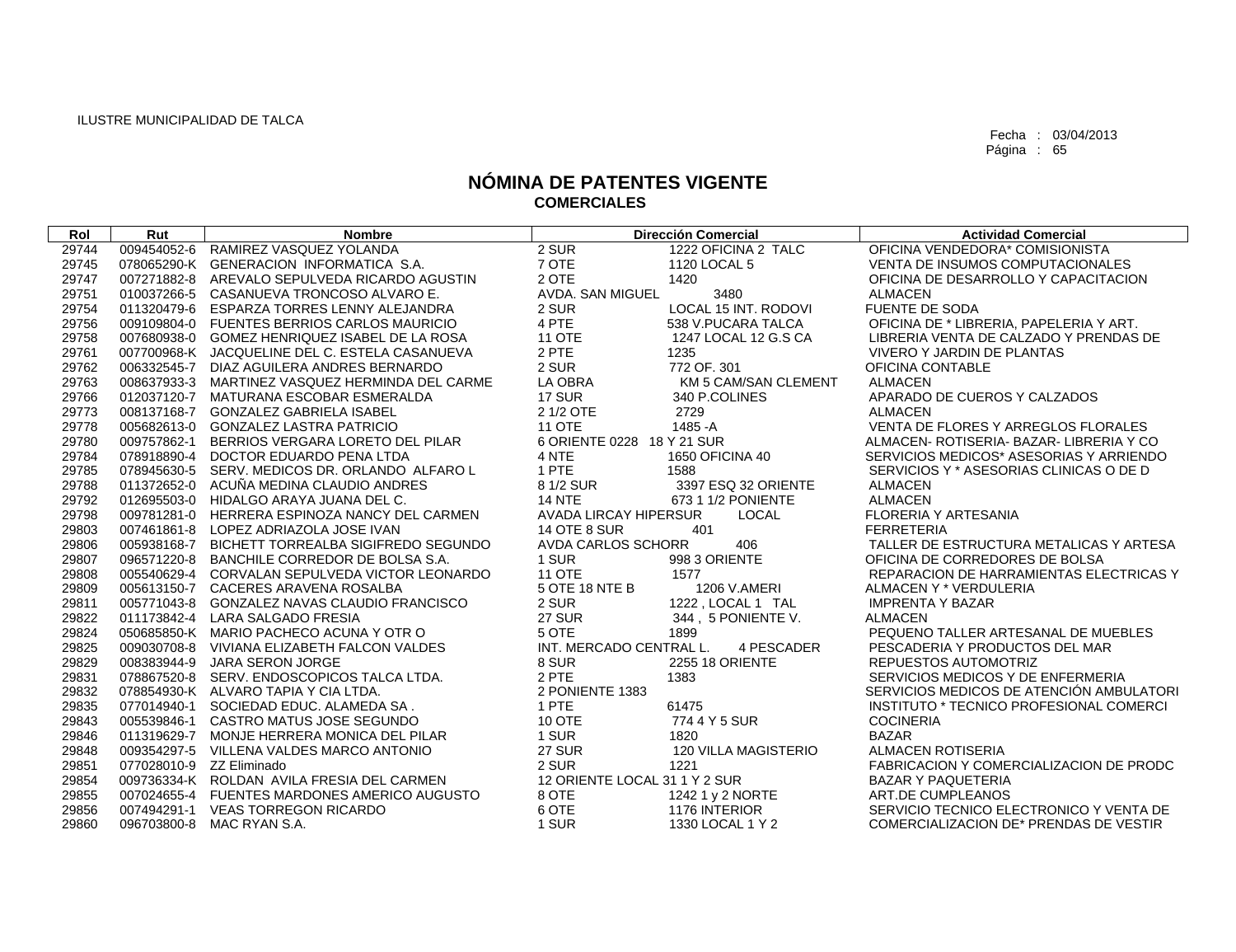| Rol   | Rut                      | <b>Nombre</b>                                   | <b>Dirección Comercial</b>            | <b>Actividad Comercial</b>               |
|-------|--------------------------|-------------------------------------------------|---------------------------------------|------------------------------------------|
| 29744 |                          | 009454052-6 RAMIREZ VASQUEZ YOLANDA             | 2 SUR<br>1222 OFICINA 2 TALC          | OFICINA VENDEDORA* COMISIONISTA          |
| 29745 |                          | 078065290-K GENERACION INFORMATICA S.A.         | 7 OTE<br>1120 LOCAL 5                 | VENTA DE INSUMOS COMPUTACIONALES         |
| 29747 |                          | 007271882-8 AREVALO SEPULVEDA RICARDO AGUSTIN   | 2 OTE<br>1420                         | OFICINA DE DESARROLLO Y CAPACITACION     |
| 29751 |                          | 010037266-5 CASANUEVA TRONCOSO ALVARO E.        | AVDA, SAN MIGUEL<br>3480              | <b>ALMACEN</b>                           |
| 29754 |                          | 011320479-6 ESPARZA TORRES LENNY ALEJANDRA      | LOCAL 15 INT. RODOVI<br>2 SUR         | FUENTE DE SODA                           |
| 29756 |                          | 009109804-0 FUENTES BERRIOS CARLOS MAURICIO     | 4 PTE<br>538 V.PUCARA TALCA           | OFICINA DE * LIBRERIA, PAPELERIA Y ART.  |
| 29758 |                          | 007680938-0 GOMEZ HENRIQUEZ ISABEL DE LA ROSA   | <b>11 OTE</b><br>1247 LOCAL 12 G.S CA | LIBRERIA VENTA DE CALZADO Y PRENDAS DE   |
| 29761 |                          | 007700968-K JACQUELINE DEL C. ESTELA CASANUEVA  | 2 PTE<br>1235                         | VIVERO Y JARDIN DE PLANTAS               |
| 29762 |                          | 006332545-7 DIAZ AGUILERA ANDRES BERNARDO       | 2 SUR<br>772 OF, 301                  | OFICINA CONTABLE                         |
| 29763 |                          | 008637933-3 MARTINEZ VASQUEZ HERMINDA DEL CARME | LA OBRA<br>KM 5 CAM/SAN CLEMENT       | <b>ALMACEN</b>                           |
| 29766 |                          | 012037120-7 MATURANA ESCOBAR ESMERALDA          | 17 SUR<br>340 P.COLINES               | APARADO DE CUEROS Y CALZADOS             |
| 29773 |                          | 008137168-7 GONZALEZ GABRIELA ISABEL            | 2729<br>2 1/2 OTE                     | <b>ALMACEN</b>                           |
| 29778 |                          | 005682613-0 GONZALEZ LASTRA PATRICIO            | <b>11 OTE</b><br>1485 - A             | VENTA DE FLORES Y ARREGLOS FLORALES      |
| 29780 |                          | 009757862-1 BERRIOS VERGARA LORETO DEL PILAR    | 6 ORIENTE 0228 18 Y 21 SUR            | ALMACEN- ROTISERIA- BAZAR- LIBRERIA Y CO |
| 29784 |                          | 078918890-4 DOCTOR EDUARDO PENA LTDA            | 4 NTE<br>1650 OFICINA 40              | SERVICIOS MEDICOS* ASESORIAS Y ARRIENDO  |
| 29785 |                          | 078945630-5 SERV. MEDICOS DR. ORLANDO ALFARO L  | 1 PTE<br>1588                         | SERVICIOS Y * ASESORIAS CLINICAS O DE D  |
| 29788 |                          | 011372652-0 ACUÑA MEDINA CLAUDIO ANDRES         | 8 1/2 SUR<br>3397 ESQ 32 ORIENTE      | <b>ALMACEN</b>                           |
| 29792 |                          | 012695503-0 HIDALGO ARAYA JUANA DEL C.          | <b>14 NTE</b><br>673 1 1/2 PONIENTE   | <b>ALMACEN</b>                           |
| 29798 |                          | 009781281-0 HERRERA ESPINOZA NANCY DEL CARMEN   | <b>AVADA LIRCAY HIPERSUR</b><br>LOCAL | <b>FLORERIA Y ARTESANIA</b>              |
| 29803 |                          | 007461861-8 LOPEZ ADRIAZOLA JOSE IVAN           | <b>14 OTE 8 SUR</b><br>401            | <b>FERRETERIA</b>                        |
| 29806 |                          | 005938168-7 BICHETT TORREALBA SIGIFREDO SEGUNDO | AVDA CARLOS SCHORR<br>406             | TALLER DE ESTRUCTURA METALICAS Y ARTESA  |
| 29807 |                          | 096571220-8 BANCHILE CORREDOR DE BOLSA S.A.     | 998 3 ORIENTE<br>1 SUR                | OFICINA DE CORREDORES DE BOLSA           |
| 29808 |                          | 005540629-4 CORVALAN SEPULVEDA VICTOR LEONARDO  | <b>11 OTE</b><br>1577                 | REPARACION DE HARRAMIENTAS ELECTRICAS Y  |
| 29809 |                          | 005613150-7 CACERES ARAVENA ROSALBA             | 5 OTE 18 NTE B<br>1206 V.AMERI        | ALMACEN Y * VERDULERIA                   |
| 29811 |                          | 005771043-8 GONZALEZ NAVAS CLAUDIO FRANCISCO    | 2 SUR<br>1222, LOCAL 1 TAL            | <b>IMPRENTA Y BAZAR</b>                  |
| 29822 |                          | 011173842-4 LARA SALGADO FRESIA                 | <b>27 SUR</b><br>344, 5 PONIENTE V.   | <b>ALMACEN</b>                           |
| 29824 |                          | 050685850-K MARIO PACHECO ACUNA Y OTR O         | 5 OTE<br>1899                         | PEQUENO TALLER ARTESANAL DE MUEBLES      |
| 29825 |                          | 009030708-8 VIVIANA ELIZABETH FALCON VALDES     | INT. MERCADO CENTRAL L.<br>4 PESCADER | PESCADERIA Y PRODUCTOS DEL MAR           |
| 29829 |                          | 008383944-9 JARA SERON JORGE                    | 8 SUR<br>2255 18 ORIENTE              | REPUESTOS AUTOMOTRIZ                     |
| 29831 |                          | 078867520-8 SERV. ENDOSCOPICOS TALCA LTDA.      | 2 PTE<br>1383                         | SERVICIOS MEDICOS Y DE ENFERMERIA        |
| 29832 |                          | 078854930-K ALVARO TAPIA Y CIA LTDA.            | 2 PONIENTE 1383                       | SERVICIOS MEDICOS DE ATENCIÓN AMBULATORI |
| 29835 |                          | 077014940-1 SOCIEDAD EDUC. ALAMEDA SA.          | 1 PTE<br>61475                        | INSTITUTO * TECNICO PROFESIONAL COMERCI  |
| 29843 |                          | 005539846-1 CASTRO MATUS JOSE SEGUNDO           | 10 OTE<br>774 4 Y 5 SUR               | <b>COCINERIA</b>                         |
| 29846 |                          | 011319629-7 MONJE HERRERA MONICA DEL PILAR      | 1 SUR<br>1820                         | <b>BAZAR</b>                             |
| 29848 |                          | 009354297-5 VILLENA VALDES MARCO ANTONIO        | <b>27 SUR</b><br>120 VILLA MAGISTERIO | <b>ALMACEN ROTISERIA</b>                 |
| 29851 | 077028010-9 ZZ Eliminado |                                                 | 2 SUR<br>1221                         | FABRICACION Y COMERCIALIZACION DE PRODC  |
| 29854 |                          | 009736334-K ROLDAN AVILA FRESIA DEL CARMEN      | 12 ORIENTE LOCAL 31 1 Y 2 SUR         | <b>BAZAR Y PAQUETERIA</b>                |
| 29855 |                          | 007024655-4 FUENTES MARDONES AMERICO AUGUSTO    | 8 OTE<br>1242 1 y 2 NORTE             | ART.DE CUMPLEANOS                        |
| 29856 |                          | 007494291-1 VEAS TORREGON RICARDO               | 6 OTE<br>1176 INTERIOR                | SERVICIO TECNICO ELECTRONICO Y VENTA DE  |
| 29860 |                          | 096703800-8 MAC RYAN S.A.                       | 1 SUR<br>1330 LOCAL 1 Y 2             | COMERCIALIZACION DE* PRENDAS DE VESTIR   |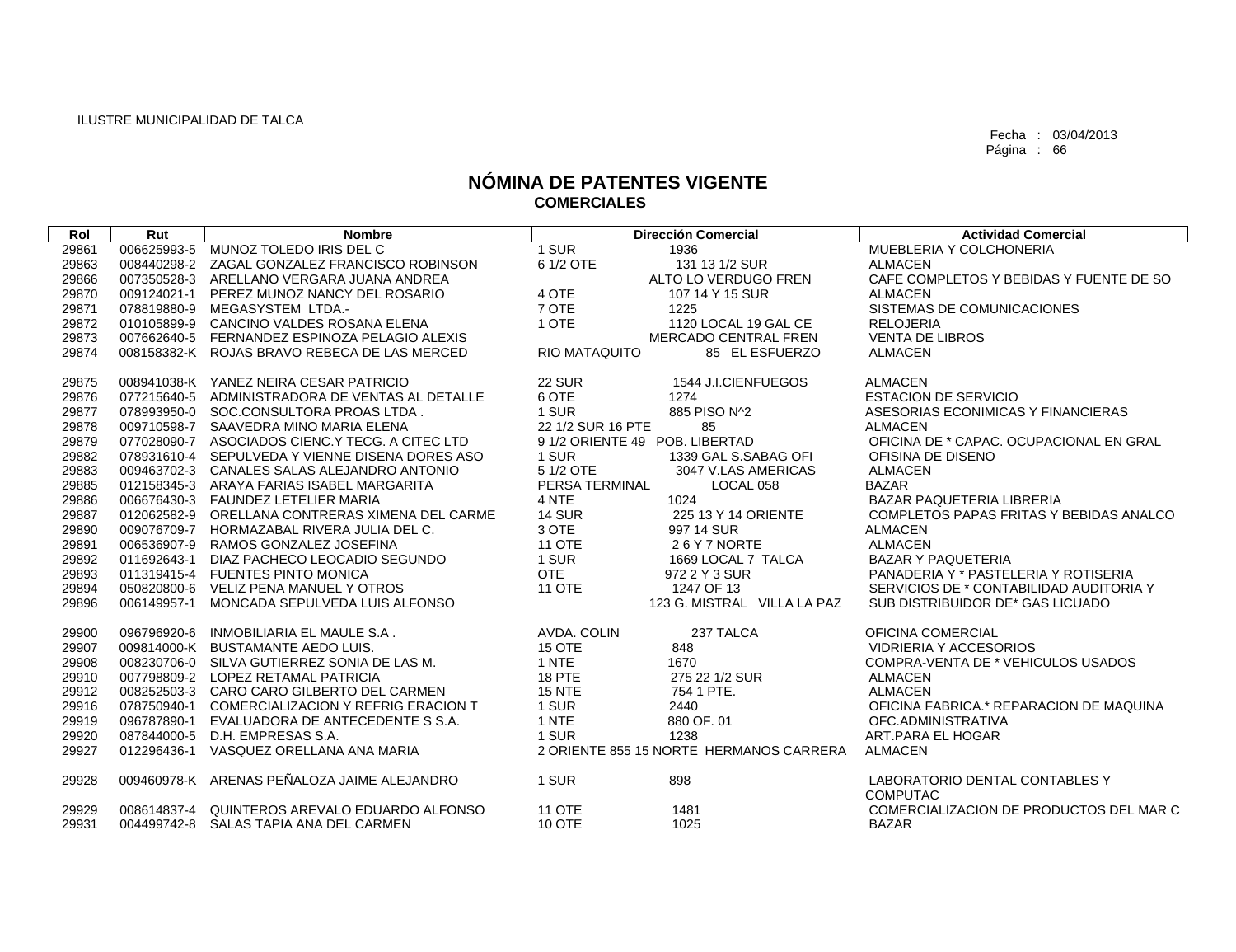| Rol   | Rut         | <b>Nombre</b>                                   |                                | <b>Dirección Comercial</b>              | <b>Actividad Comercial</b>                        |
|-------|-------------|-------------------------------------------------|--------------------------------|-----------------------------------------|---------------------------------------------------|
| 29861 | 006625993-5 | MUNOZ TOLEDO IRIS DEL C                         | 1 SUR                          | 1936                                    | MUEBLERIA Y COLCHONERIA                           |
| 29863 | 008440298-2 | ZAGAL GONZALEZ FRANCISCO ROBINSON               | 6 1/2 OTE                      | 131 13 1/2 SUR                          | <b>ALMACEN</b>                                    |
| 29866 | 007350528-3 | ARELLANO VERGARA JUANA ANDREA                   |                                | ALTO LO VERDUGO FREN                    | CAFE COMPLETOS Y BEBIDAS Y FUENTE DE SO           |
| 29870 | 009124021-1 | PEREZ MUNOZ NANCY DEL ROSARIO                   | 4 OTE                          | 107 14 Y 15 SUR                         | <b>ALMACEN</b>                                    |
| 29871 | 078819880-9 | MEGASYSTEM LTDA.-                               | 7 OTE                          | 1225                                    | SISTEMAS DE COMUNICACIONES                        |
| 29872 | 010105899-9 | CANCINO VALDES ROSANA ELENA                     | 1 OTE                          | 1120 LOCAL 19 GAL CE                    | <b>RELOJERIA</b>                                  |
| 29873 | 007662640-5 | FERNANDEZ ESPINOZA PELAGIO ALEXIS               |                                | MERCADO CENTRAL FREN                    | <b>VENTA DE LIBROS</b>                            |
| 29874 |             | 008158382-K ROJAS BRAVO REBECA DE LAS MERCED    | <b>RIO MATAQUITO</b>           | 85 EL ESFUERZO                          | <b>ALMACEN</b>                                    |
|       |             |                                                 |                                |                                         |                                                   |
| 29875 |             | 008941038-K YANEZ NEIRA CESAR PATRICIO          | <b>22 SUR</b>                  | 1544 J.I.CIENFUEGOS                     | <b>ALMACEN</b>                                    |
| 29876 | 077215640-5 | ADMINISTRADORA DE VENTAS AL DETALLE             | 6 OTE                          | 1274                                    | <b>ESTACION DE SERVICIO</b>                       |
| 29877 |             | 078993950-0 SOC.CONSULTORA PROAS LTDA.          | 1 SUR                          | 885 PISO N^2                            | ASESORIAS ECONIMICAS Y FINANCIERAS                |
| 29878 |             | 009710598-7 SAAVEDRA MINO MARIA ELENA           | 22 1/2 SUR 16 PTE              | 85                                      | <b>ALMACEN</b>                                    |
| 29879 |             | 077028090-7 ASOCIADOS CIENC.Y TECG. A CITEC LTD | 9 1/2 ORIENTE 49 POB. LIBERTAD |                                         | OFICINA DE * CAPAC. OCUPACIONAL EN GRAL           |
| 29882 |             | 078931610-4 SEPULVEDA Y VIENNE DISENA DORES ASO | 1 SUR                          | 1339 GAL S.SABAG OFI                    | OFISINA DE DISENO                                 |
| 29883 |             | 009463702-3 CANALES SALAS ALEJANDRO ANTONIO     | 5 1/2 OTE                      | 3047 V.LAS AMERICAS                     | <b>ALMACEN</b>                                    |
| 29885 | 012158345-3 | ARAYA FARIAS ISABEL MARGARITA                   | PERSA TERMINAL                 | LOCAL 058                               | <b>BAZAR</b>                                      |
| 29886 | 006676430-3 | FAUNDEZ LETELIER MARIA                          | 4 NTE                          | 1024                                    | BAZAR PAQUETERIA LIBRERIA                         |
| 29887 |             | 012062582-9 ORELLANA CONTRERAS XIMENA DEL CARME | <b>14 SUR</b>                  | 225 13 Y 14 ORIENTE                     | COMPLETOS PAPAS FRITAS Y BEBIDAS ANALCO           |
| 29890 | 009076709-7 | HORMAZABAL RIVERA JULIA DEL C.                  | 3 OTE                          | 997 14 SUR                              | <b>ALMACEN</b>                                    |
| 29891 | 006536907-9 | RAMOS GONZALEZ JOSEFINA                         | <b>11 OTE</b>                  | 26Y7NORTE                               | <b>ALMACEN</b>                                    |
| 29892 | 011692643-1 | DIAZ PACHECO LEOCADIO SEGUNDO                   | 1 SUR                          | 1669 LOCAL 7 TALCA                      | <b>BAZAR Y PAQUETERIA</b>                         |
| 29893 | 011319415-4 | <b>FUENTES PINTO MONICA</b>                     | <b>OTE</b>                     | 972 2 Y 3 SUR                           | PANADERIA Y * PASTELERIA Y ROTISERIA              |
| 29894 | 050820800-6 | <b>VELIZ PENA MANUEL Y OTROS</b>                | 11 OTE                         | 1247 OF 13                              | SERVICIOS DE * CONTABILIDAD AUDITORIA Y           |
| 29896 | 006149957-1 | MONCADA SEPULVEDA LUIS ALFONSO                  |                                | 123 G. MISTRAL VILLA LA PAZ             | SUB DISTRIBUIDOR DE* GAS LICUADO                  |
|       |             |                                                 |                                |                                         |                                                   |
| 29900 | 096796920-6 | INMOBILIARIA EL MAULE S.A.                      | AVDA, COLIN                    | 237 TALCA                               | OFICINA COMERCIAL                                 |
| 29907 |             | 009814000-K BUSTAMANTE AEDO LUIS.               | 15 OTE                         | 848                                     | <b>VIDRIERIA Y ACCESORIOS</b>                     |
| 29908 |             | 008230706-0 SILVA GUTIERREZ SONIA DE LAS M.     | 1 NTE                          | 1670                                    | COMPRA-VENTA DE * VEHICULOS USADOS                |
| 29910 |             | 007798809-2 LOPEZ RETAMAL PATRICIA              | <b>18 PTE</b>                  | 275 22 1/2 SUR                          | <b>ALMACEN</b>                                    |
| 29912 | 008252503-3 | CARO CARO GILBERTO DEL CARMEN                   | <b>15 NTE</b>                  | 754 1 PTE.                              | <b>ALMACEN</b>                                    |
| 29916 | 078750940-1 | COMERCIALIZACION Y REFRIG ERACION T             | 1 SUR                          | 2440                                    | OFICINA FABRICA.* REPARACION DE MAQUINA           |
| 29919 | 096787890-1 | EVALUADORA DE ANTECEDENTE S S.A.                | 1 NTE                          | 880 OF. 01                              | OFC.ADMINISTRATIVA                                |
| 29920 | 087844000-5 | D.H. EMPRESAS S.A.                              | 1 SUR                          | 1238                                    | ART.PARA EL HOGAR                                 |
| 29927 | 012296436-1 | VASQUEZ ORELLANA ANA MARIA                      |                                | 2 ORIENTE 855 15 NORTE HERMANOS CARRERA | <b>ALMACEN</b>                                    |
| 29928 |             | 009460978-K ARENAS PEÑALOZA JAIME ALEJANDRO     | 1 SUR                          | 898                                     | LABORATORIO DENTAL CONTABLES Y<br><b>COMPUTAC</b> |
| 29929 |             | 008614837-4 QUINTEROS AREVALO EDUARDO ALFONSO   | <b>11 OTE</b>                  | 1481                                    | COMERCIALIZACION DE PRODUCTOS DEL MAR C           |
| 29931 |             | 004499742-8 SALAS TAPIA ANA DEL CARMEN          | <b>10 OTE</b>                  | 1025                                    | <b>BAZAR</b>                                      |
|       |             |                                                 |                                |                                         |                                                   |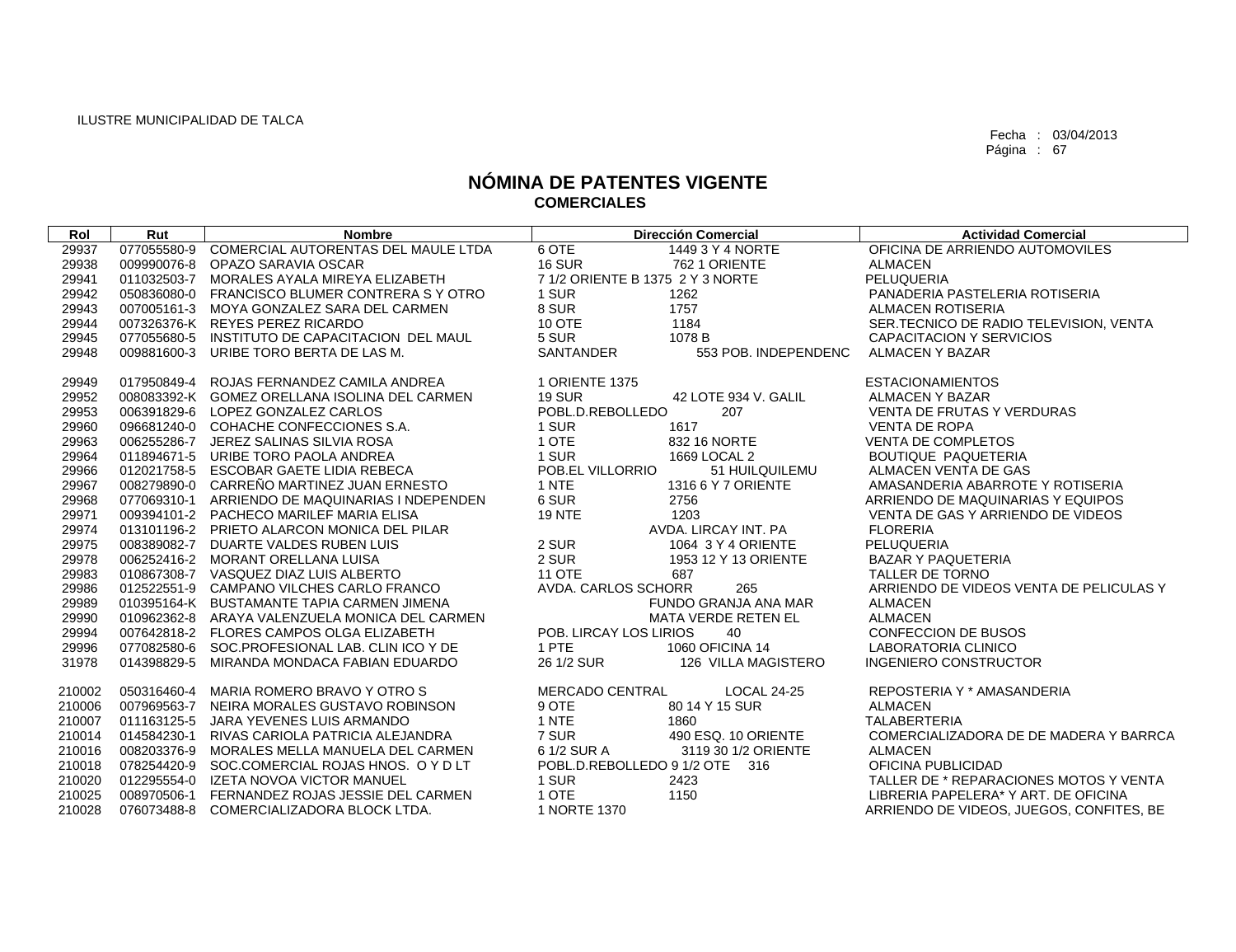| Rol    | Rut | <b>Nombre</b>                                   |                                  | <b>Dirección Comercial</b> | <b>Actividad Comercial</b>               |
|--------|-----|-------------------------------------------------|----------------------------------|----------------------------|------------------------------------------|
| 29937  |     | 077055580-9 COMERCIAL AUTORENTAS DEL MAULE LTDA | 6 OTE                            | 1449 3 Y 4 NORTE           | OFICINA DE ARRIENDO AUTOMOVILES          |
| 29938  |     | 009990076-8 OPAZO SARAVIA OSCAR                 | <b>16 SUR</b>                    | 762 1 ORIENTE              | <b>ALMACEN</b>                           |
| 29941  |     | 011032503-7 MORALES AYALA MIREYA ELIZABETH      | 7 1/2 ORIENTE B 1375 2 Y 3 NORTE |                            | PELUQUERIA                               |
| 29942  |     | 050836080-0 FRANCISCO BLUMER CONTRERA S Y OTRO  | 1 SUR                            | 1262                       | PANADERIA PASTELERIA ROTISERIA           |
| 29943  |     | 007005161-3 MOYA GONZALEZ SARA DEL CARMEN       | 8 SUR                            | 1757                       | ALMACEN ROTISERIA                        |
| 29944  |     | 007326376-K REYES PEREZ RICARDO                 | 10 OTE                           | 1184                       | SER.TECNICO DE RADIO TELEVISION, VENTA   |
| 29945  |     | 077055680-5 INSTITUTO DE CAPACITACION DEL MAUL  | 5 SUR                            | 1078 B                     | CAPACITACION Y SERVICIOS                 |
| 29948  |     | 009881600-3 URIBE TORO BERTA DE LAS M.          | <b>SANTANDER</b>                 | 553 POB. INDEPENDENC       | ALMACEN Y BAZAR                          |
| 29949  |     | 017950849-4 ROJAS FERNANDEZ CAMILA ANDREA       | 1 ORIENTE 1375                   |                            | <b>ESTACIONAMIENTOS</b>                  |
| 29952  |     | 008083392-K GOMEZ ORELLANA ISOLINA DEL CARMEN   | <b>19 SUR</b>                    | 42 LOTE 934 V. GALIL       | ALMACEN Y BAZAR                          |
| 29953  |     | 006391829-6 LOPEZ GONZALEZ CARLOS               | POBL.D.REBOLLEDO                 | 207                        | <b>VENTA DE FRUTAS Y VERDURAS</b>        |
| 29960  |     | 096681240-0 COHACHE CONFECCIONES S.A.           | 1 SUR                            | 1617                       | <b>VENTA DE ROPA</b>                     |
| 29963  |     | 006255286-7 JEREZ SALINAS SILVIA ROSA           | 1 OTE                            | 832 16 NORTE               | VENTA DE COMPLETOS                       |
| 29964  |     | 011894671-5 URIBE TORO PAOLA ANDREA             | 1 SUR                            | 1669 LOCAL 2               | <b>BOUTIQUE PAQUETERIA</b>               |
| 29966  |     | 012021758-5 ESCOBAR GAETE LIDIA REBECA          | POB.EL VILLORRIO                 | 51 HUILQUILEMU             | ALMACEN VENTA DE GAS                     |
| 29967  |     | 008279890-0 CARREÑO MARTINEZ JUAN ERNESTO       | 1 NTE                            | 1316 6 Y 7 ORIENTE         | AMASANDERIA ABARROTE Y ROTISERIA         |
| 29968  |     | 077069310-1 ARRIENDO DE MAQUINARIAS I NDEPENDEN | 6 SUR                            | 2756                       | ARRIENDO DE MAQUINARIAS Y EQUIPOS        |
| 29971  |     | 009394101-2 PACHECO MARILEF MARIA ELISA         | <b>19 NTE</b>                    | 1203                       | VENTA DE GAS Y ARRIENDO DE VIDEOS        |
| 29974  |     | 013101196-2 PRIETO ALARCON MONICA DEL PILAR     |                                  | AVDA. LIRCAY INT. PA       | <b>FLORERIA</b>                          |
| 29975  |     | 008389082-7 DUARTE VALDES RUBEN LUIS            | 2 SUR                            | 1064 3 Y 4 ORIENTE         | PELUQUERIA                               |
| 29978  |     | 006252416-2 MORANT ORELLANA LUISA               | 2 SUR                            | 1953 12 Y 13 ORIENTE       | <b>BAZAR Y PAQUETERIA</b>                |
| 29983  |     | 010867308-7 VASQUEZ DIAZ LUIS ALBERTO           | <b>11 OTE</b>                    | 687                        | TALLER DE TORNO                          |
| 29986  |     | 012522551-9 CAMPANO VILCHES CARLO FRANCO        | AVDA. CARLOS SCHORR              | 265                        | ARRIENDO DE VIDEOS VENTA DE PELICULAS Y  |
| 29989  |     | 010395164-K BUSTAMANTE TAPIA CARMEN JIMENA      |                                  | FUNDO GRANJA ANA MAR       | <b>ALMACEN</b>                           |
| 29990  |     | 010962362-8 ARAYA VALENZUELA MONICA DEL CARMEN  |                                  | <b>MATA VERDE RETEN EL</b> | ALMACEN                                  |
| 29994  |     | 007642818-2 FLORES CAMPOS OLGA ELIZABETH        | POB. LIRCAY LOS LIRIOS           | 40                         | <b>CONFECCION DE BUSOS</b>               |
| 29996  |     | 077082580-6 SOC.PROFESIONAL LAB. CLIN ICO Y DE  | 1 PTE                            | 1060 OFICINA 14            | LABORATORIA CLINICO                      |
| 31978  |     | 014398829-5 MIRANDA MONDACA FABIAN EDUARDO      | 26 1/2 SUR                       | 126 VILLA MAGISTERO        | INGENIERO CONSTRUCTOR                    |
| 210002 |     | 050316460-4 MARIA ROMERO BRAVO Y OTRO S         | MERCADO CENTRAL                  | <b>LOCAL 24-25</b>         | REPOSTERIA Y * AMASANDERIA               |
| 210006 |     | 007969563-7 NEIRA MORALES GUSTAVO ROBINSON      | 9 OTE                            | 80 14 Y 15 SUR             | <b>ALMACEN</b>                           |
| 210007 |     | 011163125-5 JARA YEVENES LUIS ARMANDO           | 1 NTE                            | 1860                       | <b>TALABERTERIA</b>                      |
| 210014 |     | 014584230-1 RIVAS CARIOLA PATRICIA ALEJANDRA    | 7 SUR                            | 490 ESQ. 10 ORIENTE        | COMERCIALIZADORA DE DE MADERA Y BARRCA   |
| 210016 |     | 008203376-9 MORALES MELLA MANUELA DEL CARMEN    | 6 1/2 SUR A                      | 3119 30 1/2 ORIENTE        | <b>ALMACEN</b>                           |
| 210018 |     | 078254420-9 SOC.COMERCIAL ROJAS HNOS. O Y D LT  | POBL.D.REBOLLEDO 9 1/2 OTE 316   |                            | OFICINA PUBLICIDAD                       |
| 210020 |     | 012295554-0 IZETA NOVOA VICTOR MANUEL           | 1 SUR                            | 2423                       | TALLER DE * REPARACIONES MOTOS Y VENTA   |
| 210025 |     | 008970506-1 FERNANDEZ ROJAS JESSIE DEL CARMEN   | 1 OTE                            | 1150                       | LIBRERIA PAPELERA* Y ART. DE OFICINA     |
| 210028 |     | 076073488-8 COMERCIALIZADORA BLOCK LTDA.        | 1 NORTE 1370                     |                            | ARRIENDO DE VIDEOS, JUEGOS, CONFITES, BE |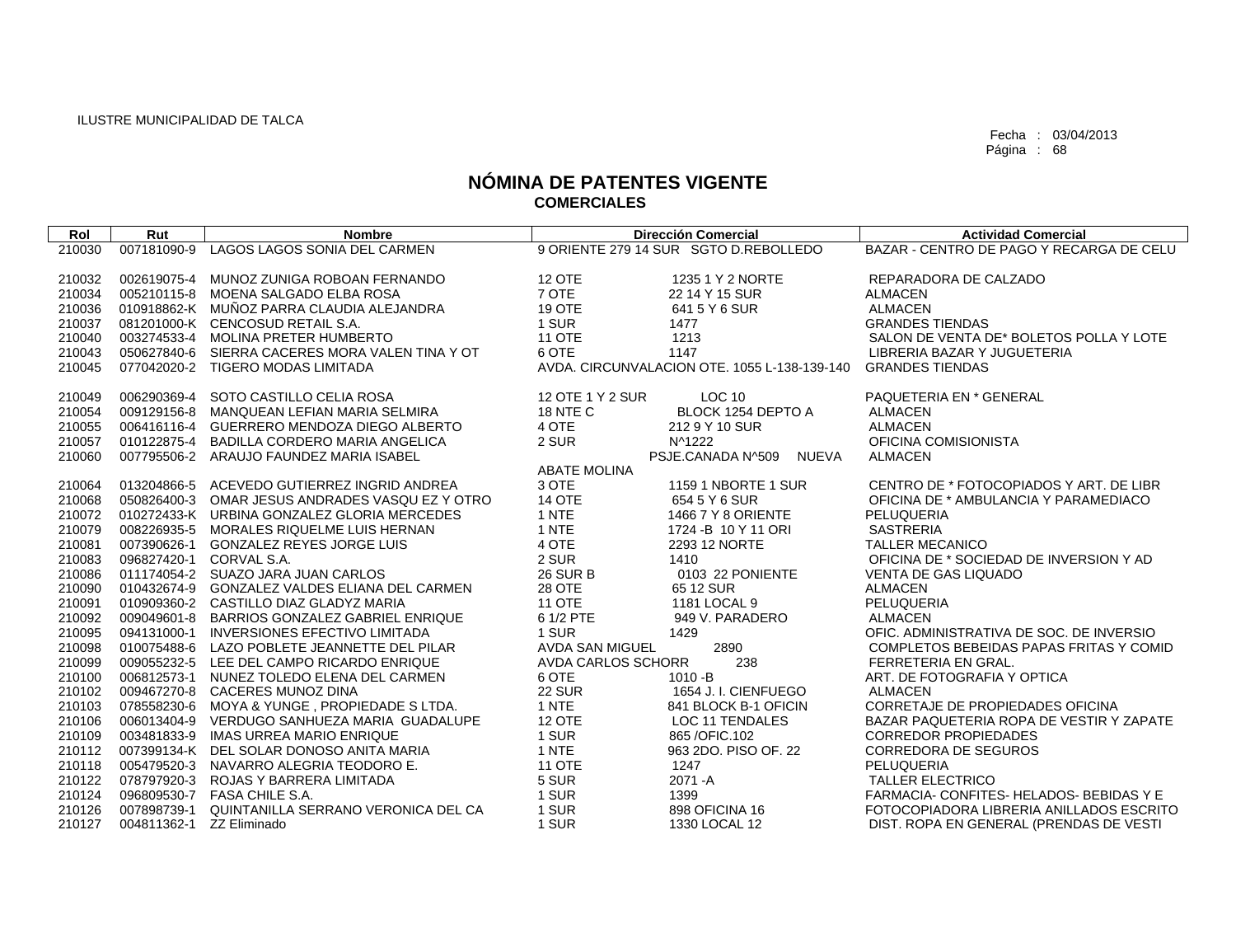| Rol    | Rut         | <b>Nombre</b>                                   |                           | <b>Dirección Comercial</b>                   | <b>Actividad Comercial</b>               |
|--------|-------------|-------------------------------------------------|---------------------------|----------------------------------------------|------------------------------------------|
| 210030 | 007181090-9 | LAGOS LAGOS SONIA DEL CARMEN                    |                           | 9 ORIENTE 279 14 SUR SGTO D.REBOLLEDO        | BAZAR - CENTRO DE PAGO Y RECARGA DE CELU |
|        |             |                                                 |                           |                                              |                                          |
| 210032 | 002619075-4 | MUNOZ ZUNIGA ROBOAN FERNANDO                    | <b>12 OTE</b>             | 1235 1 Y 2 NORTE                             | REPARADORA DE CALZADO                    |
| 210034 |             | 005210115-8 MOENA SALGADO ELBA ROSA             | 7 OTE                     | 22 14 Y 15 SUR                               | <b>ALMACEN</b>                           |
| 210036 |             | 010918862-K MUÑOZ PARRA CLAUDIA ALEJANDRA       | 19 OTE                    | 641 5 Y 6 SUR                                | <b>ALMACEN</b>                           |
| 210037 |             | 081201000-K CENCOSUD RETAIL S.A.                | 1 SUR                     | 1477                                         | <b>GRANDES TIENDAS</b>                   |
| 210040 |             | 003274533-4 MOLINA PRETER HUMBERTO              | <b>11 OTE</b>             | 1213                                         | SALON DE VENTA DE* BOLETOS POLLA Y LOTE  |
| 210043 |             | 050627840-6 SIERRA CACERES MORA VALEN TINA Y OT | 6 OTE                     | 1147                                         | LIBRERIA BAZAR Y JUGUETERIA              |
| 210045 |             | 077042020-2 TIGERO MODAS LIMITADA               |                           | AVDA, CIRCUNVALACION OTE, 1055 L-138-139-140 | <b>GRANDES TIENDAS</b>                   |
|        |             |                                                 |                           |                                              |                                          |
| 210049 | 006290369-4 | SOTO CASTILLO CELIA ROSA                        | 12 OTE 1 Y 2 SUR          | <b>LOC 10</b>                                | PAQUETERIA EN * GENERAL                  |
| 210054 | 009129156-8 | MANQUEAN LEFIAN MARIA SELMIRA                   | <b>18 NTE C</b>           | BLOCK 1254 DEPTO A                           | <b>ALMACEN</b>                           |
| 210055 | 006416116-4 | GUERRERO MENDOZA DIEGO ALBERTO                  | 4 OTE                     | 212 9 Y 10 SUR                               | <b>ALMACEN</b>                           |
| 210057 |             | 010122875-4 BADILLA CORDERO MARIA ANGELICA      | 2 SUR                     | N^1222                                       | OFICINA COMISIONISTA                     |
| 210060 |             | 007795506-2 ARAUJO FAUNDEZ MARIA ISABEL         |                           | PSJE.CANADA N^509<br>NUEVA                   | <b>ALMACEN</b>                           |
|        |             |                                                 | <b>ABATE MOLINA</b>       |                                              |                                          |
| 210064 | 013204866-5 | ACEVEDO GUTIERREZ INGRID ANDREA                 | 3 OTE                     | 1159 1 NBORTE 1 SUR                          | CENTRO DE * FOTOCOPIADOS Y ART. DE LIBR  |
| 210068 |             | 050826400-3 OMAR JESUS ANDRADES VASQU EZ Y OTRO | <b>14 OTE</b>             | 654 5 Y 6 SUR                                | OFICINA DE * AMBULANCIA Y PARAMEDIACO    |
| 210072 |             | 010272433-K URBINA GONZALEZ GLORIA MERCEDES     | 1 NTE                     | 1466 7 Y 8 ORIENTE                           | PELUQUERIA                               |
| 210079 |             | 008226935-5 MORALES RIQUELME LUIS HERNAN        | 1 NTE                     | 1724 - B 10 Y 11 ORI                         | <b>SASTRERIA</b>                         |
| 210081 | 007390626-1 | <b>GONZALEZ REYES JORGE LUIS</b>                | 4 OTE                     | 2293 12 NORTE                                | <b>TALLER MECANICO</b>                   |
| 210083 | 096827420-1 | CORVAL S.A.                                     | 2 SUR                     | 1410                                         | OFICINA DE * SOCIEDAD DE INVERSION Y AD  |
| 210086 |             | 011174054-2 SUAZO JARA JUAN CARLOS              | <b>26 SUR B</b>           | 0103 22 PONIENTE                             | <b>VENTA DE GAS LIQUADO</b>              |
| 210090 |             | 010432674-9 GONZALEZ VALDES ELIANA DEL CARMEN   | 28 OTE                    | 65 12 SUR                                    | <b>ALMACEN</b>                           |
| 210091 |             | 010909360-2 CASTILLO DIAZ GLADYZ MARIA          | <b>11 OTE</b>             | 1181 LOCAL 9                                 | PELUQUERIA                               |
| 210092 |             | 009049601-8 BARRIOS GONZALEZ GABRIEL ENRIQUE    | 6 1/2 PTE                 | 949 V. PARADERO                              | <b>ALMACEN</b>                           |
| 210095 | 094131000-1 | <b>INVERSIONES EFECTIVO LIMITADA</b>            | 1 SUR                     | 1429                                         | OFIC, ADMINISTRATIVA DE SOC. DE INVERSIO |
| 210098 | 010075488-6 | LAZO POBLETE JEANNETTE DEL PILAR                | AVDA SAN MIGUEL           | 2890                                         | COMPLETOS BEBEIDAS PAPAS FRITAS Y COMID  |
| 210099 |             | 009055232-5 LEE DEL CAMPO RICARDO ENRIQUE       | <b>AVDA CARLOS SCHORR</b> | 238                                          | FERRETERIA EN GRAL.                      |
| 210100 |             | 006812573-1 NUNEZ TOLEDO ELENA DEL CARMEN       | 6 OTE                     | $1010 - B$                                   | ART. DE FOTOGRAFIA Y OPTICA              |
| 210102 |             | 009467270-8 CACERES MUNOZ DINA                  | <b>22 SUR</b>             | 1654 J. I. CIENFUEGO                         | <b>ALMACEN</b>                           |
| 210103 | 078558230-6 | MOYA & YUNGE, PROPIEDADE S LTDA.                | 1 NTE                     | 841 BLOCK B-1 OFICIN                         | CORRETAJE DE PROPIEDADES OFICINA         |
| 210106 |             | 006013404-9 VERDUGO SANHUEZA MARIA GUADALUPE    | <b>12 OTE</b>             | LOC 11 TENDALES                              | BAZAR PAQUETERIA ROPA DE VESTIR Y ZAPATE |
| 210109 |             | 003481833-9 IMAS URREA MARIO ENRIQUE            | 1 SUR                     | 865 / OFIC. 102                              | <b>CORREDOR PROPIEDADES</b>              |
| 210112 |             | 007399134-K DEL SOLAR DONOSO ANITA MARIA        | 1 NTE                     | 963 2DO, PISO OF, 22                         | <b>CORREDORA DE SEGUROS</b>              |
| 210118 |             | 005479520-3 NAVARRO ALEGRIA TEODORO E.          | <b>11 OTE</b>             | 1247                                         | PELUQUERIA                               |
| 210122 | 078797920-3 | ROJAS Y BARRERA LIMITADA                        | 5 SUR                     | 2071 - A                                     | <b>TALLER ELECTRICO</b>                  |
| 210124 |             | 096809530-7  FASA CHILE S.A.                    | 1 SUR                     | 1399                                         | FARMACIA- CONFITES- HELADOS- BEBIDAS Y E |
| 210126 | 007898739-1 | QUINTANILLA SERRANO VERONICA DEL CA             | 1 SUR                     | 898 OFICINA 16                               | FOTOCOPIADORA LIBRERIA ANILLADOS ESCRITO |
| 210127 |             | 004811362-1 ZZ Eliminado                        | 1 SUR                     | 1330 LOCAL 12                                | DIST. ROPA EN GENERAL (PRENDAS DE VESTI  |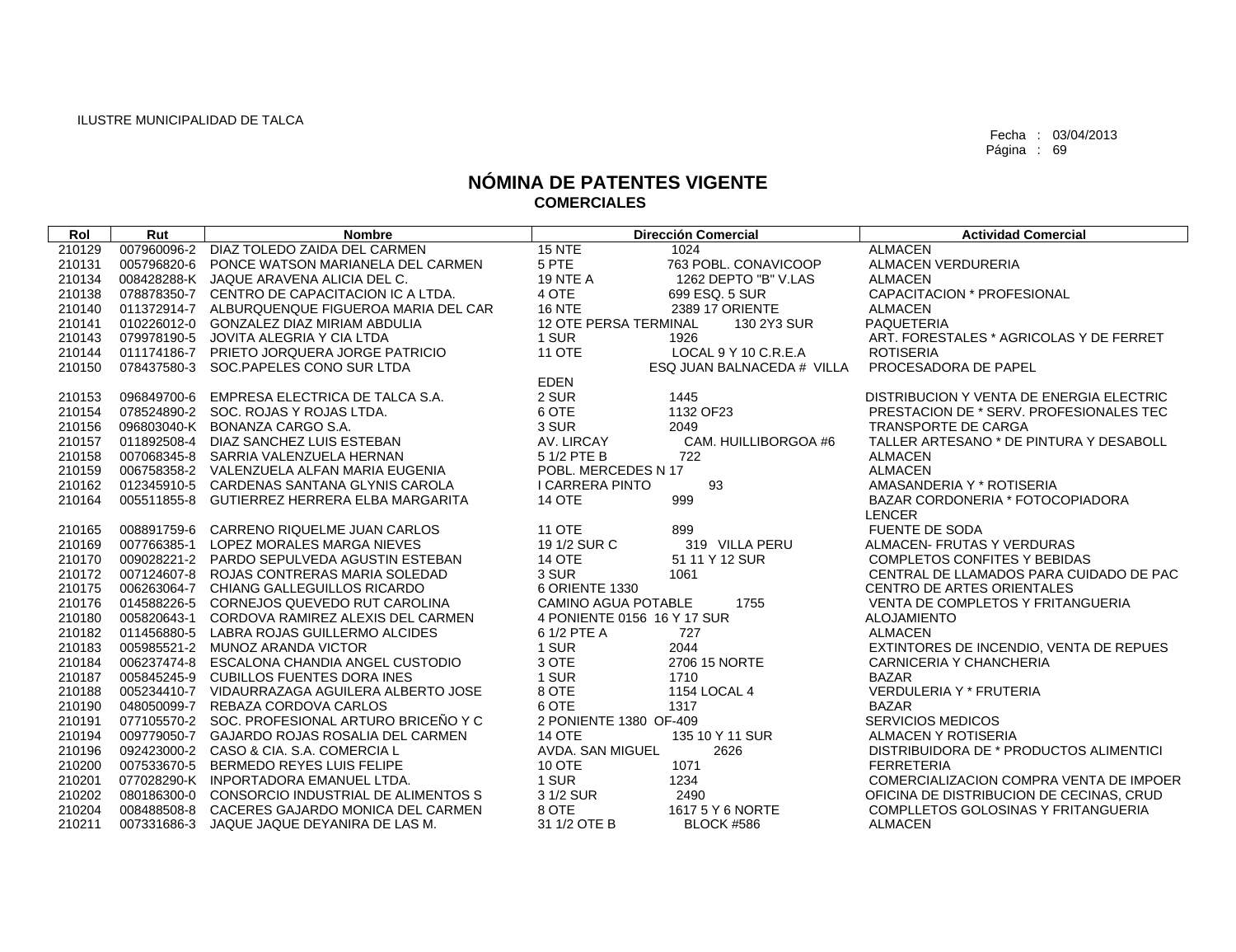| Rol    | Rut         | <b>Nombre</b>                                   |                              | <b>Dirección Comercial</b> | <b>Actividad Comercial</b>               |
|--------|-------------|-------------------------------------------------|------------------------------|----------------------------|------------------------------------------|
| 210129 |             | 007960096-2 DIAZ TOLEDO ZAIDA DEL CARMEN        | <b>15 NTE</b>                | 1024                       | <b>ALMACEN</b>                           |
| 210131 | 005796820-6 | PONCE WATSON MARIANELA DEL CARMEN               | 5 PTE                        | 763 POBL, CONAVICOOP       | <b>ALMACEN VERDURERIA</b>                |
| 210134 |             | 008428288-K JAQUE ARAVENA ALICIA DEL C.         | <b>19 NTE A</b>              | 1262 DEPTO "B" V.LAS       | <b>ALMACEN</b>                           |
| 210138 |             | 078878350-7 CENTRO DE CAPACITACION IC A LTDA.   | 4 OTE                        | 699 ESQ. 5 SUR             | <b>CAPACITACION * PROFESIONAL</b>        |
| 210140 |             | 011372914-7 ALBURQUENQUE FIGUEROA MARIA DEL CAR | <b>16 NTE</b>                | 2389 17 ORIENTE            | <b>ALMACEN</b>                           |
| 210141 |             | 010226012-0 GONZALEZ DIAZ MIRIAM ABDULIA        | <b>12 OTE PERSA TERMINAL</b> | 130 2Y3 SUR                | <b>PAQUETERIA</b>                        |
| 210143 |             | 079978190-5 JOVITA ALEGRIA Y CIA LTDA           | 1 SUR                        | 1926                       | ART. FORESTALES * AGRICOLAS Y DE FERRET  |
| 210144 |             | 011174186-7 PRIETO JORQUERA JORGE PATRICIO      | <b>11 OTE</b>                | LOCAL 9 Y 10 C.R.E.A       | <b>ROTISERIA</b>                         |
| 210150 |             | 078437580-3 SOC.PAPELES CONO SUR LTDA           |                              | ESQ JUAN BALNACEDA # VILLA | PROCESADORA DE PAPEL                     |
|        |             |                                                 | <b>EDEN</b>                  |                            |                                          |
| 210153 |             | 096849700-6 EMPRESA ELECTRICA DE TALCA S.A.     | 2 SUR                        | 1445                       | DISTRIBUCION Y VENTA DE ENERGIA ELECTRIC |
| 210154 |             | 078524890-2 SOC. ROJAS Y ROJAS LTDA.            | 6 OTE                        | 1132 OF23                  | PRESTACION DE * SERV. PROFESIONALES TEC  |
| 210156 |             | 096803040-K BONANZA CARGO S.A.                  | 3 SUR                        | 2049                       | TRANSPORTE DE CARGA                      |
| 210157 |             | 011892508-4 DIAZ SANCHEZ LUIS ESTEBAN           | AV. LIRCAY                   | CAM. HUILLIBORGOA #6       | TALLER ARTESANO * DE PINTURA Y DESABOLL  |
| 210158 |             | 007068345-8 SARRIA VALENZUELA HERNAN            | 5 1/2 PTE B                  | 722                        | <b>ALMACEN</b>                           |
| 210159 |             | 006758358-2 VALENZUELA ALFAN MARIA EUGENIA      | POBL. MERCEDES N 17          |                            | <b>ALMACEN</b>                           |
| 210162 |             | 012345910-5 CARDENAS SANTANA GLYNIS CAROLA      | <b>I CARRERA PINTO</b>       | 93                         | AMASANDERIA Y * ROTISERIA                |
| 210164 |             | 005511855-8 GUTIERREZ HERRERA ELBA MARGARITA    | <b>14 OTE</b>                | 999                        | BAZAR CORDONERIA * FOTOCOPIADORA         |
|        |             |                                                 |                              |                            | <b>LENCER</b>                            |
| 210165 |             | 008891759-6 CARRENO RIQUELME JUAN CARLOS        | <b>11 OTE</b>                | 899                        | FUENTE DE SODA                           |
| 210169 |             | 007766385-1 LOPEZ MORALES MARGA NIEVES          | 19 1/2 SUR C                 | 319 VILLA PERU             | ALMACEN- FRUTAS Y VERDURAS               |
| 210170 |             | 009028221-2 PARDO SEPULVEDA AGUSTIN ESTEBAN     | <b>14 OTE</b>                | 51 11 Y 12 SUR             | <b>COMPLETOS CONFITES Y BEBIDAS</b>      |
| 210172 |             | 007124607-8 ROJAS CONTRERAS MARIA SOLEDAD       | 3 SUR                        | 1061                       | CENTRAL DE LLAMADOS PARA CUIDADO DE PAC  |
| 210175 |             | 006263064-7 CHIANG GALLEGUILLOS RICARDO         | 6 ORIENTE 1330               |                            | <b>CENTRO DE ARTES ORIENTALES</b>        |
| 210176 |             | 014588226-5 CORNEJOS QUEVEDO RUT CAROLINA       | <b>CAMINO AGUA POTABLE</b>   | 1755                       | VENTA DE COMPLETOS Y FRITANGUERIA        |
| 210180 |             | 005820643-1 CORDOVA RAMIREZ ALEXIS DEL CARMEN   | 4 PONIENTE 0156 16 Y 17 SUR  |                            | <b>ALOJAMIENTO</b>                       |
| 210182 |             | 011456880-5 LABRA ROJAS GUILLERMO ALCIDES       | 6 1/2 PTE A                  | 727                        | <b>ALMACEN</b>                           |
| 210183 |             | 005985521-2 MUNOZ ARANDA VICTOR                 | 1 SUR                        | 2044                       | EXTINTORES DE INCENDIO, VENTA DE REPUES  |
| 210184 |             | 006237474-8 ESCALONA CHANDIA ANGEL CUSTODIO     | 3 OTE                        | 2706 15 NORTE              | CARNICERIA Y CHANCHERIA                  |
| 210187 |             | 005845245-9 CUBILLOS FUENTES DORA INES          | 1 SUR                        | 1710                       | <b>BAZAR</b>                             |
| 210188 |             | 005234410-7 VIDAURRAZAGA AGUILERA ALBERTO JOSE  | 8 OTE                        | 1154 LOCAL 4               | <b>VERDULERIA Y * FRUTERIA</b>           |
| 210190 |             | 048050099-7 REBAZA CORDOVA CARLOS               | 6 OTE                        | 1317                       | <b>BAZAR</b>                             |
| 210191 |             | 077105570-2 SOC. PROFESIONAL ARTURO BRICEÑO Y C | 2 PONIENTE 1380 OF-409       |                            | <b>SERVICIOS MEDICOS</b>                 |
| 210194 |             | 009779050-7 GAJARDO ROJAS ROSALIA DEL CARMEN    | <b>14 OTE</b>                | 135 10 Y 11 SUR            | ALMACEN Y ROTISERIA                      |
| 210196 |             | 092423000-2 CASO & CIA, S.A. COMERCIA L         | AVDA, SAN MIGUEL             | 2626                       | DISTRIBUIDORA DE * PRODUCTOS ALIMENTICI  |
| 210200 |             | 007533670-5 BERMEDO REYES LUIS FELIPE           | <b>10 OTE</b>                | 1071                       | <b>FERRETERIA</b>                        |
| 210201 |             | 077028290-K INPORTADORA EMANUEL LTDA.           | 1 SUR                        | 1234                       | COMERCIALIZACION COMPRA VENTA DE IMPOER  |
| 210202 |             | 080186300-0 CONSORCIO INDUSTRIAL DE ALIMENTOS S | 3 1/2 SUR                    | 2490                       | OFICINA DE DISTRIBUCION DE CECINAS, CRUD |
| 210204 |             | 008488508-8 CACERES GAJARDO MONICA DEL CARMEN   | 8 OTE                        | 1617 5 Y 6 NORTE           | COMPLLETOS GOLOSINAS Y FRITANGUERIA      |
| 210211 |             | 007331686-3 JAQUE JAQUE DEYANIRA DE LAS M.      | 31 1/2 OTE B                 | <b>BLOCK #586</b>          | <b>ALMACEN</b>                           |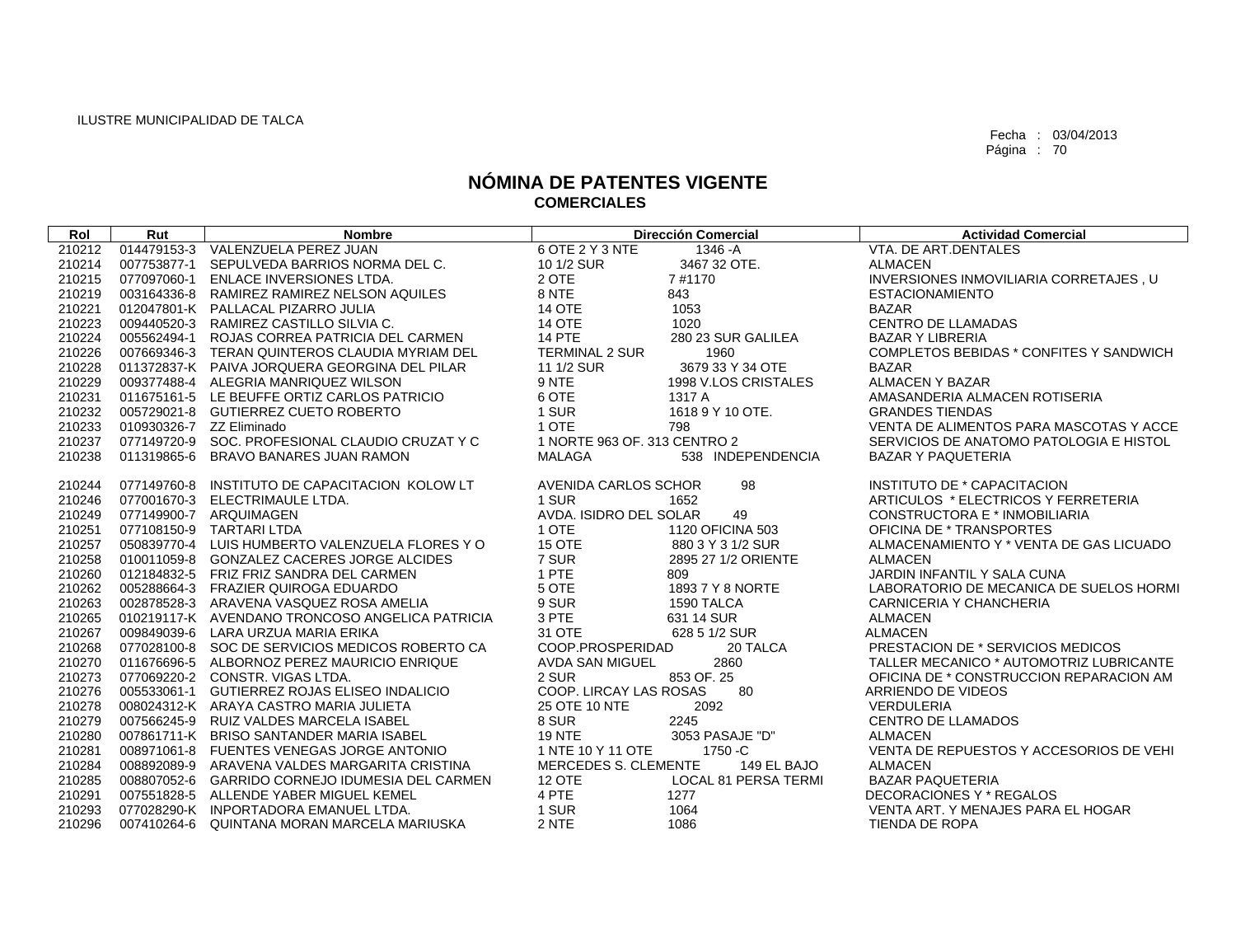| Rol    | Rut | <b>Nombre</b>                                   |                              | <b>Dirección Comercial</b> | <b>Actividad Comercial</b>              |
|--------|-----|-------------------------------------------------|------------------------------|----------------------------|-----------------------------------------|
| 210212 |     | 014479153-3 VALENZUELA PEREZ JUAN               | 6 OTE 2 Y 3 NTE              | 1346 -A                    | VTA, DE ART.DENTALES                    |
| 210214 |     | 007753877-1 SEPULVEDA BARRIOS NORMA DEL C.      | 10 1/2 SUR                   | 3467 32 OTE.               | <b>ALMACEN</b>                          |
| 210215 |     | 077097060-1 ENLACE INVERSIONES LTDA.            | 2 OTE                        | 7#1170                     | INVERSIONES INMOVILIARIA CORRETAJES, U  |
| 210219 |     | 003164336-8 RAMIREZ RAMIREZ NELSON AQUILES      | 8 NTE                        | 843                        | <b>ESTACIONAMIENTO</b>                  |
| 210221 |     | 012047801-K PALLACAL PIZARRO JULIA              | <b>14 OTE</b>                | 1053                       | <b>BAZAR</b>                            |
| 210223 |     | 009440520-3 RAMIREZ CASTILLO SILVIA C.          | <b>14 OTE</b>                | 1020                       | <b>CENTRO DE LLAMADAS</b>               |
| 210224 |     | 005562494-1 ROJAS CORREA PATRICIA DEL CARMEN    | <b>14 PTE</b>                | 280 23 SUR GALILEA         | <b>BAZAR Y LIBRERIA</b>                 |
| 210226 |     | 007669346-3 TERAN QUINTEROS CLAUDIA MYRIAM DEL  | <b>TERMINAL 2 SUR</b>        | 1960                       | COMPLETOS BEBIDAS * CONFITES Y SANDWICH |
| 210228 |     | 011372837-K PAIVA JORQUERA GEORGINA DEL PILAR   | 11 1/2 SUR                   | 3679 33 Y 34 OTE           | <b>BAZAR</b>                            |
| 210229 |     | 009377488-4 ALEGRIA MANRIQUEZ WILSON            | 9 NTE                        | 1998 V.LOS CRISTALES       | ALMACEN Y BAZAR                         |
| 210231 |     | 011675161-5 LE BEUFFE ORTIZ CARLOS PATRICIO     | 6 OTE                        | 1317 A                     | AMASANDERIA ALMACEN ROTISERIA           |
| 210232 |     | 005729021-8 GUTIERREZ CUETO ROBERTO             | 1 SUR                        | 1618 9 Y 10 OTE.           | <b>GRANDES TIENDAS</b>                  |
| 210233 |     | 010930326-7 ZZ Eliminado                        | 1 OTE                        | 798                        | VENTA DE ALIMENTOS PARA MASCOTAS Y ACCE |
| 210237 |     | 077149720-9 SOC. PROFESIONAL CLAUDIO CRUZAT Y C | 1 NORTE 963 OF, 313 CENTRO 2 |                            | SERVICIOS DE ANATOMO PATOLOGIA E HISTOL |
| 210238 |     | 011319865-6 BRAVO BANARES JUAN RAMON            | MALAGA                       | 538 INDEPENDENCIA          | <b>BAZAR Y PAQUETERIA</b>               |
|        |     |                                                 |                              |                            |                                         |
| 210244 |     | 077149760-8 INSTITUTO DE CAPACITACION KOLOW LT  | AVENIDA CARLOS SCHOR         | 98                         | INSTITUTO DE * CAPACITACION             |
| 210246 |     | 077001670-3 ELECTRIMAULE LTDA.                  | 1 SUR                        | 1652                       | ARTICULOS * ELECTRICOS Y FERRETERIA     |
| 210249 |     | 077149900-7 ARQUIMAGEN                          | AVDA. ISIDRO DEL SOLAR       | 49                         | CONSTRUCTORA E * INMOBILIARIA           |
| 210251 |     | 077108150-9 TARTARI LTDA                        | 1 OTE                        | 1120 OFICINA 503           | OFICINA DE * TRANSPORTES                |
| 210257 |     | 050839770-4 LUIS HUMBERTO VALENZUELA FLORES Y O | 15 OTE                       | 880 3 Y 3 1/2 SUR          | ALMACENAMIENTO Y * VENTA DE GAS LICUADO |
| 210258 |     | 010011059-8 GONZALEZ CACERES JORGE ALCIDES      | 7 SUR                        | 2895 27 1/2 ORIENTE        | <b>ALMACEN</b>                          |
| 210260 |     | 012184832-5 FRIZ FRIZ SANDRA DEL CARMEN         | 1 PTE                        | 809                        | JARDIN INFANTIL Y SALA CUNA             |
| 210262 |     | 005288664-3 FRAZIER QUIROGA EDUARDO             | 5 OTE                        | 1893 7 Y 8 NORTE           | LABORATORIO DE MECANICA DE SUELOS HORMI |
| 210263 |     | 002878528-3 ARAVENA VASQUEZ ROSA AMELIA         | 9 SUR                        | 1590 TALCA                 | CARNICERIA Y CHANCHERIA                 |
| 210265 |     | 010219117-K AVENDANO TRONCOSO ANGELICA PATRICIA | 3 PTE                        | 631 14 SUR                 | <b>ALMACEN</b>                          |
| 210267 |     | 009849039-6 LARA URZUA MARIA ERIKA              | 31 OTE                       | 628 5 1/2 SUR              | <b>ALMACEN</b>                          |
| 210268 |     | 077028100-8 SOC DE SERVICIOS MEDICOS ROBERTO CA | COOP.PROSPERIDAD             | 20 TALCA                   | PRESTACION DE * SERVICIOS MEDICOS       |
| 210270 |     | 011676696-5 ALBORNOZ PEREZ MAURICIO ENRIQUE     | <b>AVDA SAN MIGUEL</b>       | 2860                       | TALLER MECANICO * AUTOMOTRIZ LUBRICANTE |
| 210273 |     | 077069220-2 CONSTR, VIGAS LTDA.                 | 2 SUR                        | 853 OF, 25                 | OFICINA DE * CONSTRUCCION REPARACION AM |
| 210276 |     | 005533061-1 GUTIERREZ ROJAS ELISEO INDALICIO    | COOP. LIRCAY LAS ROSAS       | 80                         | ARRIENDO DE VIDEOS                      |
| 210278 |     | 008024312-K ARAYA CASTRO MARIA JULIETA          | 25 OTE 10 NTE                | 2092                       | VERDULERIA                              |
| 210279 |     | 007566245-9 RUIZ VALDES MARCELA ISABEL          | 8 SUR                        | 2245                       | <b>CENTRO DE LLAMADOS</b>               |
| 210280 |     | 007861711-K BRISO SANTANDER MARIA ISABEL        | <b>19 NTE</b>                | 3053 PASAJE "D"            | <b>ALMACEN</b>                          |
| 210281 |     | 008971061-8 FUENTES VENEGAS JORGE ANTONIO       | 1 NTE 10 Y 11 OTE            | 1750 - C                   | VENTA DE REPUESTOS Y ACCESORIOS DE VEHI |
| 210284 |     | 008892089-9 ARAVENA VALDES MARGARITA CRISTINA   | <b>MERCEDES S. CLEMENTE</b>  | 149 EL BAJO                | <b>ALMACEN</b>                          |
| 210285 |     | 008807052-6 GARRIDO CORNEJO IDUMESIA DEL CARMEN | 12 OTE                       | LOCAL 81 PERSA TERMI       | <b>BAZAR PAQUETERIA</b>                 |
| 210291 |     | 007551828-5 ALLENDE YABER MIGUEL KEMEL          | 4 PTE                        | 1277                       | DECORACIONES Y * REGALOS                |
| 210293 |     | 077028290-K INPORTADORA EMANUEL LTDA.           | 1 SUR                        | 1064                       | VENTA ART. Y MENAJES PARA EL HOGAR      |
| 210296 |     | 007410264-6 QUINTANA MORAN MARCELA MARIUSKA     | 2 NTE                        | 1086                       | TIENDA DE ROPA                          |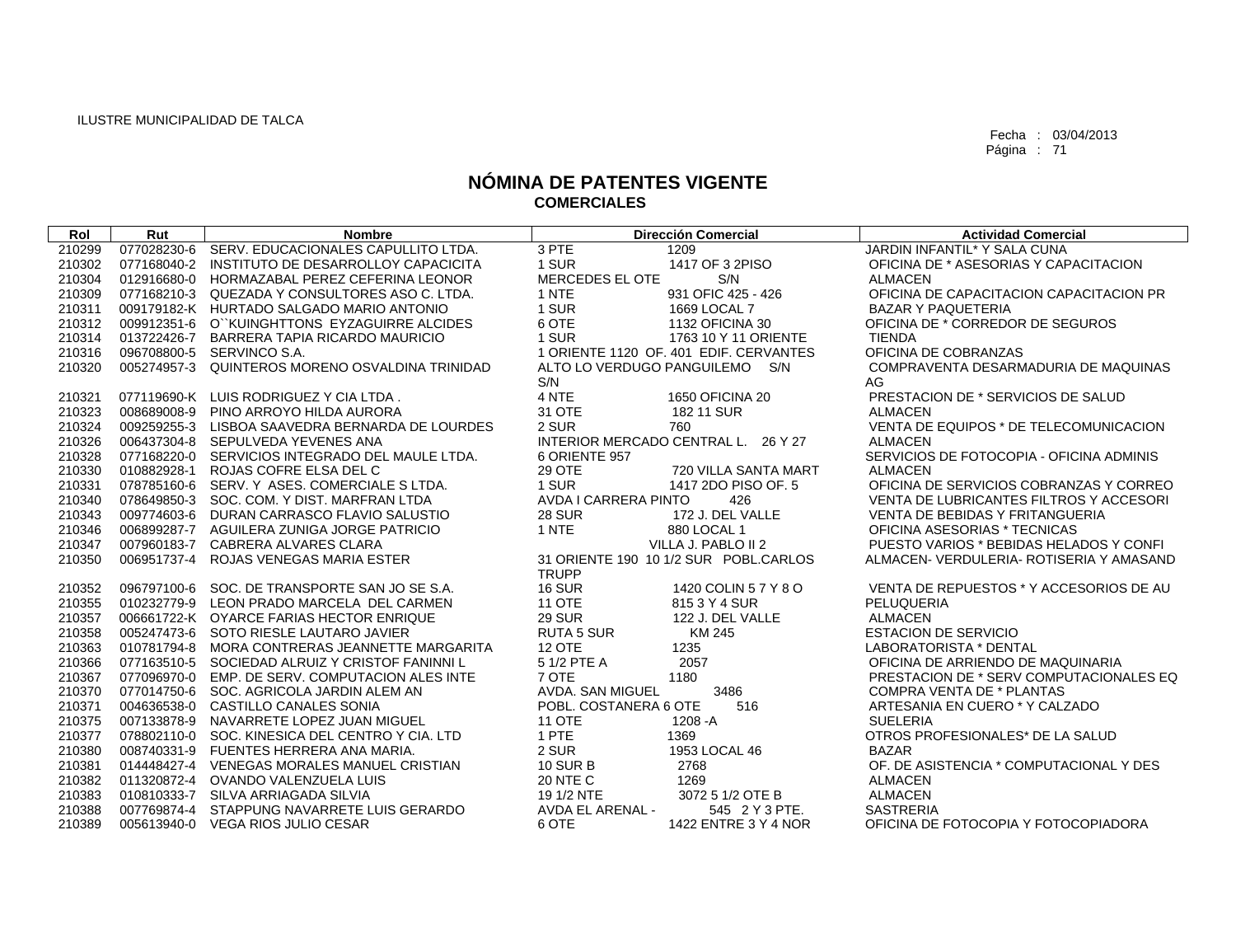| Rol    | Rut         | <b>Nombre</b>                                   |                       | <b>Dirección Comercial</b>             | <b>Actividad Comercial</b>                  |
|--------|-------------|-------------------------------------------------|-----------------------|----------------------------------------|---------------------------------------------|
| 210299 |             | 077028230-6 SERV, EDUCACIONALES CAPULLITO LTDA. | 3 PTE                 | 1209                                   | JARDIN INFANTIL* Y SALA CUNA                |
| 210302 |             | 077168040-2 INSTITUTO DE DESARROLLOY CAPACICITA | 1 SUR                 | 1417 OF 3 2PISO                        | OFICINA DE * ASESORIAS Y CAPACITACION       |
| 210304 |             | 012916680-0 HORMAZABAL PEREZ CEFERINA LEONOR    | MERCEDES EL OTE       | S/N                                    | <b>ALMACEN</b>                              |
| 210309 |             | 077168210-3 QUEZADA Y CONSULTORES ASO C. LTDA.  | 1 NTE                 | 931 OFIC 425 - 426                     | OFICINA DE CAPACITACION CAPACITACION PR     |
| 210311 |             | 009179182-K HURTADO SALGADO MARIO ANTONIO       | 1 SUR                 | 1669 LOCAL 7                           | <b>BAZAR Y PAQUETERIA</b>                   |
| 210312 |             | 009912351-6 O``KUINGHTTONS EYZAGUIRRE ALCIDES   | 6 OTE                 | 1132 OFICINA 30                        | OFICINA DE * CORREDOR DE SEGUROS            |
| 210314 |             | 013722426-7 BARRERA TAPIA RICARDO MAURICIO      | 1 SUR                 | 1763 10 Y 11 ORIENTE                   | <b>TIENDA</b>                               |
| 210316 |             | 096708800-5 SERVINCO S.A.                       |                       | 1 ORIENTE 1120 OF, 401 EDIF, CERVANTES | OFICINA DE COBRANZAS                        |
| 210320 | 005274957-3 | QUINTEROS MORENO OSVALDINA TRINIDAD             | S/N                   | ALTO LO VERDUGO PANGUILEMO S/N         | COMPRAVENTA DESARMADURIA DE MAQUINAS<br>AG. |
| 210321 |             | 077119690-K LUIS RODRIGUEZ Y CIA LTDA.          | 4 NTE                 | 1650 OFICINA 20                        | PRESTACION DE * SERVICIOS DE SALUD          |
| 210323 |             | 008689008-9 PINO ARROYO HILDA AURORA            | 31 OTE                | 182 11 SUR                             | <b>ALMACEN</b>                              |
| 210324 |             | 009259255-3 LISBOA SAAVEDRA BERNARDA DE LOURDES | 2 SUR                 | 760                                    | VENTA DE EQUIPOS * DE TELECOMUNICACION      |
| 210326 |             | 006437304-8 SEPULVEDA YEVENES ANA               |                       | INTERIOR MERCADO CENTRAL L. 26 Y 27    | <b>ALMACEN</b>                              |
| 210328 |             | 077168220-0 SERVICIOS INTEGRADO DEL MAULE LTDA. | 6 ORIENTE 957         |                                        | SERVICIOS DE FOTOCOPIA - OFICINA ADMINIS    |
| 210330 |             | 010882928-1 ROJAS COFRE ELSA DEL C              | 29 OTE                | 720 VILLA SANTA MART                   | <b>ALMACEN</b>                              |
| 210331 |             | 078785160-6 SERV. Y ASES, COMERCIALE S LTDA.    | 1 SUR                 | 1417 2DO PISO OF, 5                    | OFICINA DE SERVICIOS COBRANZAS Y CORREO     |
| 210340 |             | 078649850-3 SOC, COM, Y DIST, MARFRAN LTDA      | AVDA I CARRERA PINTO  | 426                                    | VENTA DE LUBRICANTES FILTROS Y ACCESORI     |
| 210343 |             | 009774603-6 DURAN CARRASCO FLAVIO SALUSTIO      | <b>28 SUR</b>         | 172 J. DEL VALLE                       | <b>VENTA DE BEBIDAS Y FRITANGUERIA</b>      |
| 210346 |             | 006899287-7 AGUILERA ZUNIGA JORGE PATRICIO      | 1 NTE                 | 880 LOCAL 1                            | OFICINA ASESORIAS * TECNICAS                |
| 210347 |             | 007960183-7 CABRERA ALVARES CLARA               |                       | VILLA J. PABLO II 2                    | PUESTO VARIOS * BEBIDAS HELADOS Y CONFI     |
| 210350 |             | 006951737-4 ROJAS VENEGAS MARIA ESTER           | <b>TRUPP</b>          | 31 ORIENTE 190 10 1/2 SUR POBL.CARLOS  | ALMACEN- VERDULERIA- ROTISERIA Y AMASAND    |
| 210352 |             | 096797100-6 SOC. DE TRANSPORTE SAN JO SE S.A.   | <b>16 SUR</b>         | 1420 COLIN 5 7 Y 8 O                   | VENTA DE REPUESTOS * Y ACCESORIOS DE AU     |
| 210355 |             | 010232779-9 LEON PRADO MARCELA DEL CARMEN       | <b>11 OTE</b>         | 815 3 Y 4 SUR                          | PELUQUERIA                                  |
| 210357 |             | 006661722-K OYARCE FARIAS HECTOR ENRIQUE        | <b>29 SUR</b>         | 122 J. DEL VALLE                       | <b>ALMACEN</b>                              |
| 210358 |             | 005247473-6 SOTO RIESLE LAUTARO JAVIER          | <b>RUTA 5 SUR</b>     | KM 245                                 | <b>ESTACION DE SERVICIO</b>                 |
| 210363 |             | 010781794-8 MORA CONTRERAS JEANNETTE MARGARITA  | <b>12 OTE</b>         | 1235                                   | LABORATORISTA * DENTAL                      |
| 210366 |             | 077163510-5 SOCIEDAD ALRUIZ Y CRISTOF FANINNI L | 5 1/2 PTE A           | 2057                                   | OFICINA DE ARRIENDO DE MAQUINARIA           |
| 210367 |             | 077096970-0 EMP. DE SERV. COMPUTACION ALES INTE | 7 OTE                 | 1180                                   | PRESTACION DE * SERV COMPUTACIONALES EQ     |
| 210370 |             | 077014750-6 SOC. AGRICOLA JARDIN ALEM AN        | AVDA, SAN MIGUEL      | 3486                                   | COMPRA VENTA DE * PLANTAS                   |
| 210371 |             | 004636538-0 CASTILLO CANALES SONIA              | POBL. COSTANERA 6 OTE | 516                                    | ARTESANIA EN CUERO * Y CALZADO              |
| 210375 |             | 007133878-9 NAVARRETE LOPEZ JUAN MIGUEL         | <b>11 OTE</b>         | 1208 - A                               | <b>SUELERIA</b>                             |
| 210377 |             | 078802110-0 SOC. KINESICA DEL CENTRO Y CIA. LTD | 1 PTE                 | 1369                                   | OTROS PROFESIONALES* DE LA SALUD            |
| 210380 |             | 008740331-9 FUENTES HERRERA ANA MARIA.          | 2 SUR                 | 1953 LOCAL 46                          | <b>BAZAR</b>                                |
| 210381 |             | 014448427-4 VENEGAS MORALES MANUEL CRISTIAN     | <b>10 SUR B</b>       | 2768                                   | OF. DE ASISTENCIA * COMPUTACIONAL Y DES     |
| 210382 |             | 011320872-4 OVANDO VALENZUELA LUIS              | <b>20 NTE C</b>       | 1269                                   | <b>ALMACEN</b>                              |
| 210383 |             | 010810333-7 SILVA ARRIAGADA SILVIA              | 19 1/2 NTE            | 3072 5 1/2 OTE B                       | <b>ALMACEN</b>                              |
| 210388 |             | 007769874-4 STAPPUNG NAVARRETE LUIS GERARDO     | AVDA EL ARENAL -      | 545 2 Y 3 PTE.                         | <b>SASTRERIA</b>                            |
| 210389 |             | 005613940-0 VEGA RIOS JULIO CESAR               | 6 OTE                 | 1422 ENTRE 3 Y 4 NOR                   | OFICINA DE FOTOCOPIA Y FOTOCOPIADORA        |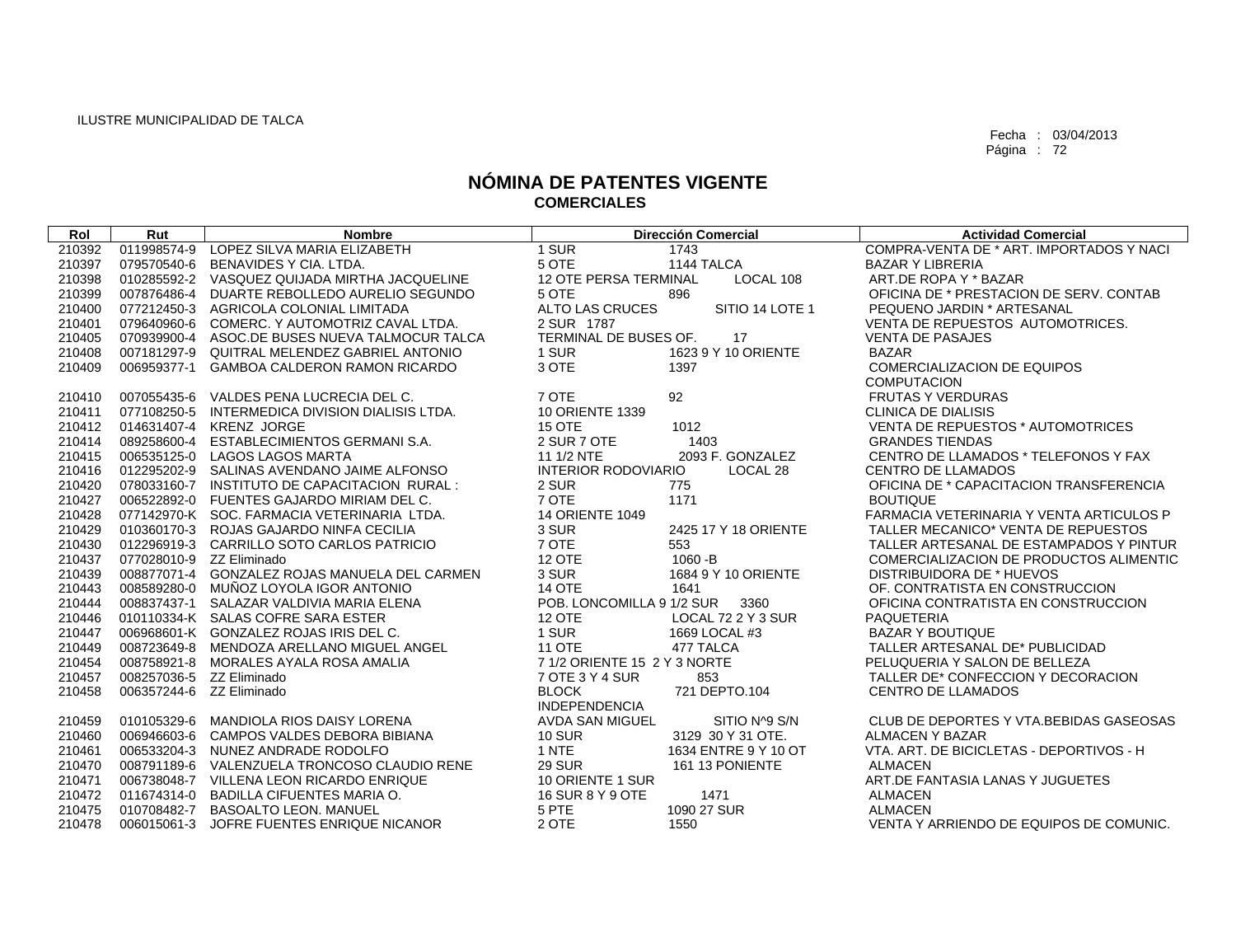| Rol    | Rut                      | <b>Nombre</b>                                   |                              | <b>Dirección Comercial</b> | <b>Actividad Comercial</b>               |
|--------|--------------------------|-------------------------------------------------|------------------------------|----------------------------|------------------------------------------|
| 210392 | 011998574-9              | LOPEZ SILVA MARIA ELIZABETH                     | 1 SUR                        | 1743                       | COMPRA-VENTA DE * ART. IMPORTADOS Y NACI |
| 210397 |                          | 079570540-6 BENAVIDES Y CIA. LTDA.              | 5 OTE                        | 1144 TALCA                 | <b>BAZAR Y LIBRERIA</b>                  |
| 210398 |                          | 010285592-2 VASQUEZ QUIJADA MIRTHA JACQUELINE   | 12 OTE PERSA TERMINAL        | LOCAL 108                  | ART.DE ROPA Y * BAZAR                    |
| 210399 |                          | 007876486-4 DUARTE REBOLLEDO AURELIO SEGUNDO    | 5 OTE                        | 896                        | OFICINA DE * PRESTACION DE SERV. CONTAB  |
| 210400 | 077212450-3              | AGRICOLA COLONIAL LIMITADA                      | ALTO LAS CRUCES              | SITIO 14 LOTE 1            | PEQUENO JARDIN * ARTESANAL               |
| 210401 |                          | 079640960-6 COMERC, Y AUTOMOTRIZ CAVAL LTDA.    | 2 SUR 1787                   |                            | VENTA DE REPUESTOS AUTOMOTRICES.         |
| 210405 |                          | 070939900-4 ASOC.DE BUSES NUEVA TALMOCUR TALCA  | TERMINAL DE BUSES OF.        | 17                         | <b>VENTA DE PASAJES</b>                  |
| 210408 |                          | 007181297-9 QUITRAL MELENDEZ GABRIEL ANTONIO    | 1 SUR                        | 1623 9 Y 10 ORIENTE        | <b>BAZAR</b>                             |
| 210409 | 006959377-1              | GAMBOA CALDERON RAMON RICARDO                   | 3 OTE                        | 1397                       | <b>COMERCIALIZACION DE EQUIPOS</b>       |
|        |                          |                                                 |                              |                            | <b>COMPUTACION</b>                       |
| 210410 |                          | 007055435-6 VALDES PENA LUCRECIA DEL C.         | 7 OTE                        | 92                         | <b>FRUTAS Y VERDURAS</b>                 |
| 210411 |                          | 077108250-5 INTERMEDICA DIVISION DIALISIS LTDA. | 10 ORIENTE 1339              |                            | <b>CLINICA DE DIALISIS</b>               |
| 210412 |                          | 014631407-4 KRENZ JORGE                         | <b>15 OTE</b>                | 1012                       | VENTA DE REPUESTOS * AUTOMOTRICES        |
| 210414 |                          | 089258600-4 ESTABLECIMIENTOS GERMANI S.A.       | 2 SUR 7 OTE                  | 1403                       | <b>GRANDES TIENDAS</b>                   |
| 210415 |                          | 006535125-0 LAGOS LAGOS MARTA                   | 11 1/2 NTE                   | 2093 F. GONZALEZ           | CENTRO DE LLAMADOS * TELEFONOS Y FAX     |
| 210416 |                          | 012295202-9 SALINAS AVENDANO JAIME ALFONSO      | <b>INTERIOR RODOVIARIO</b>   | LOCAL 28                   | <b>CENTRO DE LLAMADOS</b>                |
| 210420 |                          | 078033160-7 INSTITUTO DE CAPACITACION RURAL :   | 2 SUR                        | 775                        | OFICINA DE * CAPACITACION TRANSFERENCIA  |
| 210427 |                          | 006522892-0 FUENTES GAJARDO MIRIAM DEL C.       | 7 OTE                        | 1171                       | <b>BOUTIQUE</b>                          |
| 210428 |                          | 077142970-K SOC. FARMACIA VETERINARIA LTDA.     | <b>14 ORIENTE 1049</b>       |                            | FARMACIA VETERINARIA Y VENTA ARTICULOS P |
| 210429 |                          | 010360170-3 ROJAS GAJARDO NINFA CECILIA         | 3 SUR                        | 2425 17 Y 18 ORIENTE       | TALLER MECANICO* VENTA DE REPUESTOS      |
| 210430 |                          | 012296919-3 CARRILLO SOTO CARLOS PATRICIO       | 7 OTE                        | 553                        | TALLER ARTESANAL DE ESTAMPADOS Y PINTUR  |
| 210437 | 077028010-9 ZZ Eliminado |                                                 | <b>12 OTE</b>                | 1060 - B                   | COMERCIALIZACION DE PRODUCTOS ALIMENTIC  |
| 210439 |                          | 008877071-4 GONZALEZ ROJAS MANUELA DEL CARMEN   | 3 SUR                        | 1684 9 Y 10 ORIENTE        | DISTRIBUIDORA DE * HUEVOS                |
| 210443 |                          | 008589280-0 MUÑOZ LOYOLA IGOR ANTONIO           | 14 OTE                       | 1641                       | OF. CONTRATISTA EN CONSTRUCCION          |
| 210444 |                          | 008837437-1 SALAZAR VALDIVIA MARIA ELENA        | POB. LONCOMILLA 9 1/2 SUR    | 3360                       | OFICINA CONTRATISTA EN CONSTRUCCION      |
| 210446 |                          | 010110334-K SALAS COFRE SARA ESTER              | 12 OTE                       | LOCAL 72 2 Y 3 SUR         | <b>PAQUETERIA</b>                        |
| 210447 |                          | 006968601-K GONZALEZ ROJAS IRIS DEL C.          | 1 SUR                        | 1669 LOCAL #3              | <b>BAZAR Y BOUTIQUE</b>                  |
| 210449 |                          | 008723649-8 MENDOZA ARELLANO MIGUEL ANGEL       | <b>11 OTE</b>                | 477 TALCA                  | TALLER ARTESANAL DE* PUBLICIDAD          |
| 210454 |                          | 008758921-8 MORALES AYALA ROSA AMALIA           | 7 1/2 ORIENTE 15 2 Y 3 NORTE |                            | PELUQUERIA Y SALON DE BELLEZA            |
| 210457 | 008257036-5 ZZ Eliminado |                                                 | 7 OTE 3 Y 4 SUR              | 853                        | TALLER DE* CONFECCION Y DECORACION       |
| 210458 | 006357244-6 ZZ Eliminado |                                                 | <b>BLOCK</b>                 | 721 DEPTO.104              | <b>CENTRO DE LLAMADOS</b>                |
|        |                          |                                                 | <b>INDEPENDENCIA</b>         |                            |                                          |
| 210459 |                          | 010105329-6 MANDIOLA RIOS DAISY LORENA          | AVDA SAN MIGUEL              | SITIO N^9 S/N              | CLUB DE DEPORTES Y VTA.BEBIDAS GASEOSAS  |
| 210460 |                          | 006946603-6 CAMPOS VALDES DEBORA BIBIANA        | <b>10 SUR</b>                | 3129 30 Y 31 OTE.          | <b>ALMACEN Y BAZAR</b>                   |
| 210461 |                          | 006533204-3 NUNEZ ANDRADE RODOLFO               | 1 NTE                        | 1634 ENTRE 9 Y 10 OT       | VTA. ART. DE BICICLETAS - DEPORTIVOS - H |
| 210470 |                          | 008791189-6 VALENZUELA TRONCOSO CLAUDIO RENE    | <b>29 SUR</b>                | 161 13 PONIENTE            | <b>ALMACEN</b>                           |
| 210471 |                          | 006738048-7 VILLENA LEON RICARDO ENRIQUE        | 10 ORIENTE 1 SUR             |                            | ART.DE FANTASIA LANAS Y JUGUETES         |
| 210472 |                          | 011674314-0 BADILLA CIFUENTES MARIA O.          | 16 SUR 8 Y 9 OTE             | 1471                       | <b>ALMACEN</b>                           |
| 210475 |                          | 010708482-7 BASOALTO LEON. MANUEL               | 5 PTE                        | 1090 27 SUR                | <b>ALMACEN</b>                           |
| 210478 |                          | 006015061-3 JOFRE FUENTES ENRIQUE NICANOR       | 2 OTE                        | 1550                       | VENTA Y ARRIENDO DE EQUIPOS DE COMUNIC.  |
|        |                          |                                                 |                              |                            |                                          |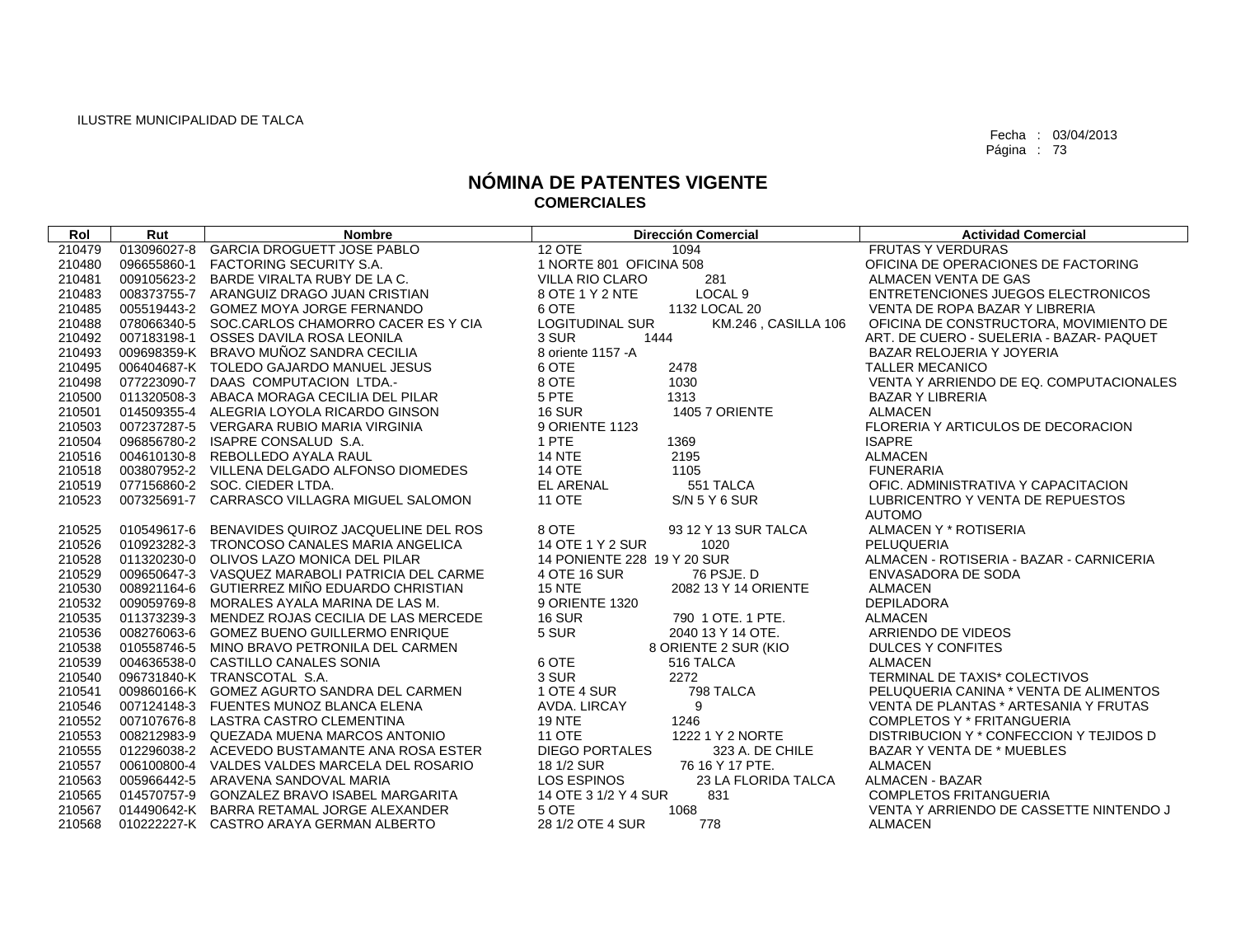| Rol    | Rut         | <b>Nombre</b>                                   | <b>Dirección Comercial</b>                    | <b>Actividad Comercial</b>               |
|--------|-------------|-------------------------------------------------|-----------------------------------------------|------------------------------------------|
| 210479 | 013096027-8 | <b>GARCIA DROGUETT JOSE PABLO</b>               | <b>12 OTE</b><br>1094                         | <b>FRUTAS Y VERDURAS</b>                 |
| 210480 |             | 096655860-1 FACTORING SECURITY S.A.             | 1 NORTE 801 OFICINA 508                       | OFICINA DE OPERACIONES DE FACTORING      |
| 210481 |             | 009105623-2 BARDE VIRALTA RUBY DE LA C.         | 281<br><b>VILLA RIO CLARO</b>                 | ALMACEN VENTA DE GAS                     |
| 210483 |             | 008373755-7 ARANGUIZ DRAGO JUAN CRISTIAN        | LOCAL <sub>9</sub><br>8 OTE 1 Y 2 NTE         | ENTRETENCIONES JUEGOS ELECTRONICOS       |
| 210485 |             | 005519443-2 GOMEZ MOYA JORGE FERNANDO           | 6 OTE<br>1132 LOCAL 20                        | VENTA DE ROPA BAZAR Y LIBRERIA           |
| 210488 |             | 078066340-5 SOC.CARLOS CHAMORRO CACER ES Y CIA  | <b>LOGITUDINAL SUR</b><br>KM.246, CASILLA 106 | OFICINA DE CONSTRUCTORA, MOVIMIENTO DE   |
| 210492 |             | 007183198-1 OSSES DAVILA ROSA LEONILA           | 1444<br>3 SUR                                 | ART. DE CUERO - SUELERIA - BAZAR- PAQUET |
| 210493 |             | 009698359-K BRAVO MUÑOZ SANDRA CECILIA          | 8 oriente 1157 - A                            | BAZAR RELOJERIA Y JOYERIA                |
| 210495 |             | 006404687-K TOLEDO GAJARDO MANUEL JESUS         | 6 OTE<br>2478                                 | <b>TALLER MECANICO</b>                   |
| 210498 |             | 077223090-7 DAAS COMPUTACION LTDA.-             | 8 OTE<br>1030                                 | VENTA Y ARRIENDO DE EQ. COMPUTACIONALES  |
| 210500 |             | 011320508-3 ABACA MORAGA CECILIA DEL PILAR      | 5 PTE<br>1313                                 | <b>BAZAR Y LIBRERIA</b>                  |
| 210501 |             | 014509355-4 ALEGRIA LOYOLA RICARDO GINSON       | <b>16 SUR</b><br>1405 7 ORIENTE               | <b>ALMACEN</b>                           |
| 210503 |             | 007237287-5 VERGARA RUBIO MARIA VIRGINIA        | 9 ORIENTE 1123                                | FLORERIA Y ARTICULOS DE DECORACION       |
| 210504 |             | 096856780-2 ISAPRE CONSALUD S.A.                | 1 PTE<br>1369                                 | <b>ISAPRE</b>                            |
| 210516 |             | 004610130-8 REBOLLEDO AYALA RAUL                | <b>14 NTE</b><br>2195                         | <b>ALMACEN</b>                           |
| 210518 |             | 003807952-2 VILLENA DELGADO ALFONSO DIOMEDES    | <b>14 OTE</b><br>1105                         | <b>FUNERARIA</b>                         |
| 210519 |             | 077156860-2 SOC. CIEDER LTDA.                   | <b>EL ARENAL</b><br>551 TALCA                 | OFIC. ADMINISTRATIVA Y CAPACITACION      |
| 210523 |             | 007325691-7 CARRASCO VILLAGRA MIGUEL SALOMON    | <b>11 OTE</b><br>S/N 5 Y 6 SUR                | LUBRICENTRO Y VENTA DE REPUESTOS         |
|        |             |                                                 |                                               | <b>AUTOMO</b>                            |
| 210525 | 010549617-6 | BENAVIDES QUIROZ JACQUELINE DEL ROS             | 8 OTE<br>93 12 Y 13 SUR TALCA                 | ALMACEN Y * ROTISERIA                    |
| 210526 |             | 010923282-3 TRONCOSO CANALES MARIA ANGELICA     | 14 OTE 1 Y 2 SUR<br>1020                      | PELUQUERIA                               |
| 210528 |             | 011320230-0 OLIVOS LAZO MONICA DEL PILAR        | 14 PONIENTE 228 19 Y 20 SUR                   | ALMACEN - ROTISERIA - BAZAR - CARNICERIA |
| 210529 |             | 009650647-3 VASQUEZ MARABOLI PATRICIA DEL CARME | 4 OTE 16 SUR<br>76 PSJE, D                    | ENVASADORA DE SODA                       |
| 210530 |             | 008921164-6 GUTIERREZ MIÑO EDUARDO CHRISTIAN    | <b>15 NTE</b><br>2082 13 Y 14 ORIENTE         | <b>ALMACEN</b>                           |
| 210532 |             | 009059769-8 MORALES AYALA MARINA DE LAS M.      | 9 ORIENTE 1320                                | <b>DEPILADORA</b>                        |
| 210535 |             | 011373239-3 MENDEZ ROJAS CECILIA DE LAS MERCEDE | <b>16 SUR</b><br>790 1 OTE. 1 PTE.            | <b>ALMACEN</b>                           |
| 210536 |             | 008276063-6 GOMEZ BUENO GUILLERMO ENRIQUE       | 5 SUR<br>2040 13 Y 14 OTE.                    | ARRIENDO DE VIDEOS                       |
| 210538 |             | 010558746-5 MINO BRAVO PETRONILA DEL CARMEN     | 8 ORIENTE 2 SUR (KIO                          | <b>DULCES Y CONFITES</b>                 |
| 210539 |             | 004636538-0 CASTILLO CANALES SONIA              | 6 OTE<br>516 TALCA                            | <b>ALMACEN</b>                           |
| 210540 |             | 096731840-K TRANSCOTAL S.A.                     | 3 SUR<br>2272                                 | TERMINAL DE TAXIS* COLECTIVOS            |
| 210541 |             | 009860166-K GOMEZ AGURTO SANDRA DEL CARMEN      | 1 OTE 4 SUR<br>798 TALCA                      | PELUQUERIA CANINA * VENTA DE ALIMENTOS   |
| 210546 |             | 007124148-3 FUENTES MUNOZ BLANCA ELENA          | AVDA. LIRCAY<br>9                             | VENTA DE PLANTAS * ARTESANIA Y FRUTAS    |
| 210552 |             | 007107676-8 LASTRA CASTRO CLEMENTINA            | <b>19 NTE</b><br>1246                         | <b>COMPLETOS Y * FRITANGUERIA</b>        |
| 210553 |             | 008212983-9 QUEZADA MUENA MARCOS ANTONIO        | <b>11 OTE</b><br>1222 1 Y 2 NORTE             | DISTRIBUCION Y * CONFECCION Y TEJIDOS D  |
| 210555 |             | 012296038-2 ACEVEDO BUSTAMANTE ANA ROSA ESTER   | <b>DIEGO PORTALES</b><br>323 A. DE CHILE      | <b>BAZAR Y VENTA DE * MUEBLES</b>        |
| 210557 |             | 006100800-4 VALDES VALDES MARCELA DEL ROSARIO   | 76 16 Y 17 PTE.<br>18 1/2 SUR                 | <b>ALMACEN</b>                           |
| 210563 |             | 005966442-5 ARAVENA SANDOVAL MARIA              | LOS ESPINOS<br>23 LA FLORIDA TALCA            | ALMACEN - BAZAR                          |
| 210565 |             | 014570757-9 GONZALEZ BRAVO ISABEL MARGARITA     | 14 OTE 3 1/2 Y 4 SUR<br>831                   | <b>COMPLETOS FRITANGUERIA</b>            |
| 210567 |             | 014490642-K BARRA RETAMAL JORGE ALEXANDER       | 5 OTE<br>1068                                 | VENTA Y ARRIENDO DE CASSETTE NINTENDO J  |
| 210568 |             | 010222227-K CASTRO ARAYA GERMAN ALBERTO         | 28 1/2 OTE 4 SUR<br>778                       | <b>ALMACEN</b>                           |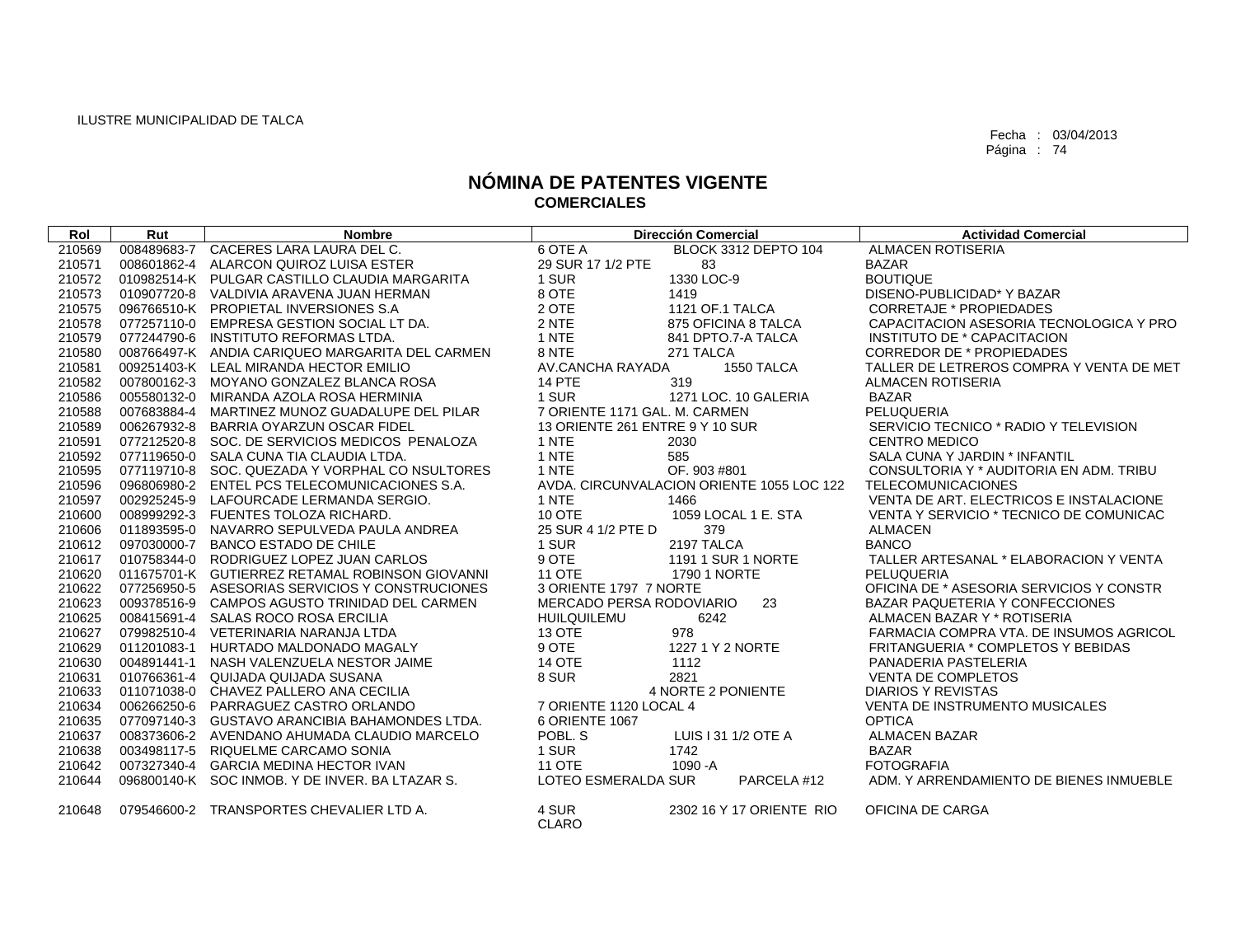| Rol    | Rut         | <b>Nombre</b>                                   |                                 | <b>Dirección Comercial</b>                | <b>Actividad Comercial</b>               |
|--------|-------------|-------------------------------------------------|---------------------------------|-------------------------------------------|------------------------------------------|
| 210569 |             | 008489683-7 CACERES LARA LAURA DEL C.           | 6 OTE A                         | BLOCK 3312 DEPTO 104                      | <b>ALMACEN ROTISERIA</b>                 |
| 210571 | 008601862-4 | ALARCON QUIROZ LUISA ESTER                      | 29 SUR 17 1/2 PTE               | 83                                        | <b>BAZAR</b>                             |
| 210572 |             | 010982514-K PULGAR CASTILLO CLAUDIA MARGARITA   | 1 SUR                           | 1330 LOC-9                                | <b>BOUTIQUE</b>                          |
| 210573 |             | 010907720-8 VALDIVIA ARAVENA JUAN HERMAN        | 8 OTE                           | 1419                                      | DISENO-PUBLICIDAD* Y BAZAR               |
| 210575 |             | 096766510-K PROPIETAL INVERSIONES S.A           | 2 OTE                           | 1121 OF.1 TALCA                           | <b>CORRETAJE * PROPIEDADES</b>           |
| 210578 |             | 077257110-0 EMPRESA GESTION SOCIAL LT DA.       | 2 NTE                           | 875 OFICINA 8 TALCA                       | CAPACITACION ASESORIA TECNOLOGICA Y PRO  |
| 210579 | 077244790-6 | INSTITUTO REFORMAS LTDA.                        | 1 NTE                           | 841 DPTO.7-A TALCA                        | INSTITUTO DE * CAPACITACION              |
| 210580 |             | 008766497-K ANDIA CARIQUEO MARGARITA DEL CARMEN | 8 NTE                           | 271 TALCA                                 | <b>CORREDOR DE * PROPIEDADES</b>         |
| 210581 |             | 009251403-K LEAL MIRANDA HECTOR EMILIO          | AV.CANCHA RAYADA                | 1550 TALCA                                | TALLER DE LETREROS COMPRA Y VENTA DE MET |
| 210582 |             | 007800162-3 MOYANO GONZALEZ BLANCA ROSA         | <b>14 PTE</b>                   | 319                                       | <b>ALMACEN ROTISERIA</b>                 |
| 210586 | 005580132-0 | MIRANDA AZOLA ROSA HERMINIA                     | 1 SUR                           | 1271 LOC. 10 GALERIA                      | <b>BAZAR</b>                             |
| 210588 | 007683884-4 | MARTINEZ MUNOZ GUADALUPE DEL PILAR              | 7 ORIENTE 1171 GAL, M. CARMEN   |                                           | PELUQUERIA                               |
| 210589 | 006267932-8 | BARRIA OYARZUN OSCAR FIDEL                      | 13 ORIENTE 261 ENTRE 9 Y 10 SUR |                                           | SERVICIO TECNICO * RADIO Y TELEVISION    |
| 210591 |             | 077212520-8 SOC. DE SERVICIOS MEDICOS PENALOZA  | 1 NTE                           | 2030                                      | <b>CENTRO MEDICO</b>                     |
| 210592 |             | 077119650-0 SALA CUNA TIA CLAUDIA LTDA.         | 1 NTE                           | 585                                       | SALA CUNA Y JARDIN * INFANTIL            |
| 210595 |             | 077119710-8 SOC. QUEZADA Y VORPHAL CO NSULTORES | 1 NTE                           | OF. 903 #801                              | CONSULTORIA Y * AUDITORIA EN ADM. TRIBU  |
| 210596 | 096806980-2 | ENTEL PCS TELECOMUNICACIONES S.A.               |                                 | AVDA, CIRCUNVALACION ORIENTE 1055 LOC 122 | <b>TELECOMUNICACIONES</b>                |
| 210597 | 002925245-9 | LAFOURCADE LERMANDA SERGIO.                     | 1 NTE                           | 1466                                      | VENTA DE ART. ELECTRICOS E INSTALACIONE  |
| 210600 |             | 008999292-3 FUENTES TOLOZA RICHARD.             | 10 OTE                          | 1059 LOCAL 1 E. STA                       | VENTA Y SERVICIO * TECNICO DE COMUNICAC  |
| 210606 |             | 011893595-0 NAVARRO SEPULVEDA PAULA ANDREA      | 25 SUR 4 1/2 PTE D              | 379                                       | <b>ALMACEN</b>                           |
| 210612 |             | 097030000-7 BANCO ESTADO DE CHILE               | 1 SUR                           | 2197 TALCA                                | <b>BANCO</b>                             |
| 210617 |             | 010758344-0 RODRIGUEZ LOPEZ JUAN CARLOS         | 9 OTE                           | 1191 1 SUR 1 NORTE                        | TALLER ARTESANAL * ELABORACION Y VENTA   |
| 210620 |             | 011675701-K GUTIERREZ RETAMAL ROBINSON GIOVANNI | <b>11 OTE</b>                   | 1790 1 NORTE                              | PELUQUERIA                               |
| 210622 |             | 077256950-5 ASESORIAS SERVICIOS Y CONSTRUCIONES | 3 ORIENTE 1797 7 NORTE          |                                           | OFICINA DE * ASESORIA SERVICIOS Y CONSTR |
| 210623 |             | 009378516-9 CAMPOS AGUSTO TRINIDAD DEL CARMEN   | MERCADO PERSA RODOVIARIO        | 23                                        | <b>BAZAR PAQUETERIA Y CONFECCIONES</b>   |
| 210625 |             | 008415691-4 SALAS ROCO ROSA ERCILIA             | <b>HUILQUILEMU</b>              | 6242                                      | ALMACEN BAZAR Y * ROTISERIA              |
| 210627 |             | 079982510-4 VETERINARIA NARANJA LTDA            | <b>13 OTE</b>                   | 978                                       | FARMACIA COMPRA VTA, DE INSUMOS AGRICOL  |
| 210629 | 011201083-1 | HURTADO MALDONADO MAGALY                        | 9 OTE                           | 1227 1 Y 2 NORTE                          | FRITANGUERIA * COMPLETOS Y BEBIDAS       |
| 210630 |             | 004891441-1 NASH VALENZUELA NESTOR JAIME        | <b>14 OTE</b>                   | 1112                                      | PANADERIA PASTELERIA                     |
| 210631 |             | 010766361-4 QUIJADA QUIJADA SUSANA              | 8 SUR                           | 2821                                      | <b>VENTA DE COMPLETOS</b>                |
| 210633 |             | 011071038-0 CHAVEZ PALLERO ANA CECILIA          |                                 | 4 NORTE 2 PONIENTE                        | <b>DIARIOS Y REVISTAS</b>                |
| 210634 | 006266250-6 | PARRAGUEZ CASTRO ORLANDO                        | 7 ORIENTE 1120 LOCAL 4          |                                           | <b>VENTA DE INSTRUMENTO MUSICALES</b>    |
| 210635 |             | 077097140-3 GUSTAVO ARANCIBIA BAHAMONDES LTDA.  | 6 ORIENTE 1067                  |                                           | <b>OPTICA</b>                            |
| 210637 |             | 008373606-2 AVENDANO AHUMADA CLAUDIO MARCELO    | POBL, S                         | LUIS I 31 1/2 OTE A                       | <b>ALMACEN BAZAR</b>                     |
| 210638 |             | 003498117-5 RIQUELME CARCAMO SONIA              | 1 SUR                           | 1742                                      | <b>BAZAR</b>                             |
| 210642 |             | 007327340-4 GARCIA MEDINA HECTOR IVAN           | <b>11 OTE</b>                   | $1090 - A$                                | <b>FOTOGRAFIA</b>                        |
| 210644 |             | 096800140-K SOC INMOB. Y DE INVER. BA LTAZAR S. | LOTEO ESMERALDA SUR             | PARCELA #12                               | ADM. Y ARRENDAMIENTO DE BIENES INMUEBLE  |
| 210648 | 079546600-2 | TRANSPORTES CHEVALIER LTD A.                    | 4 SUR<br><b>CLARO</b>           | 2302 16 Y 17 ORIENTE RIO                  | OFICINA DE CARGA                         |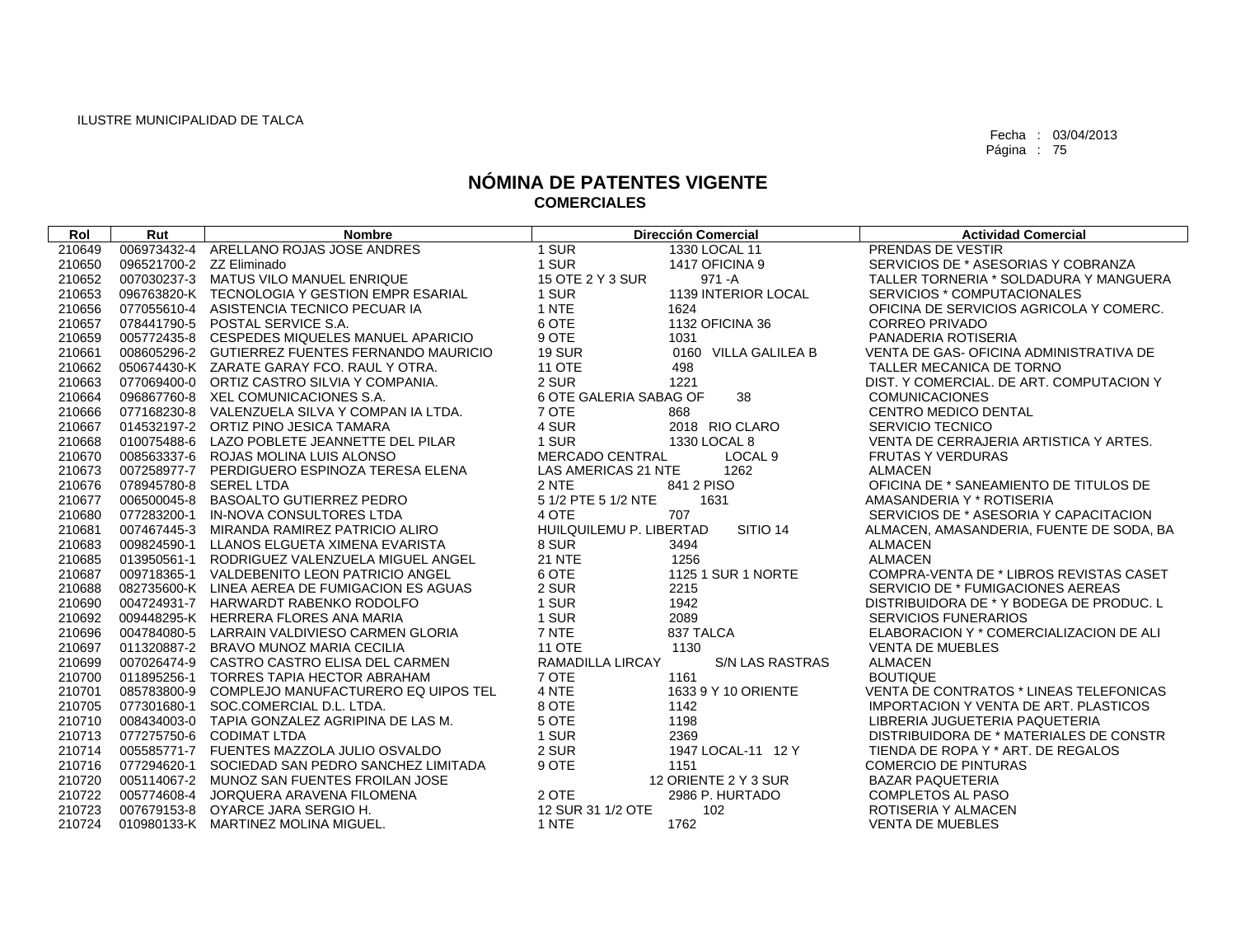| Rol    | Rut                      | <b>Nombre</b>                                   |                         | <b>Dirección Comercial</b> | <b>Actividad Comercial</b>                   |
|--------|--------------------------|-------------------------------------------------|-------------------------|----------------------------|----------------------------------------------|
| 210649 |                          | 006973432-4 ARELLANO ROJAS JOSE ANDRES          | 1 SUR                   | 1330 LOCAL 11              | PRENDAS DE VESTIR                            |
| 210650 | 096521700-2 ZZ Eliminado |                                                 | 1 SUR                   | 1417 OFICINA 9             | SERVICIOS DE * ASESORIAS Y COBRANZA          |
| 210652 |                          | 007030237-3 MATUS VILO MANUEL ENRIQUE           | 15 OTE 2 Y 3 SUR        | $971 - A$                  | TALLER TORNERIA * SOLDADURA Y MANGUERA       |
| 210653 |                          | 096763820-K TECNOLOGIA Y GESTION EMPR ESARIAL   | 1 SUR                   | 1139 INTERIOR LOCAL        | SERVICIOS * COMPUTACIONALES                  |
| 210656 |                          | 077055610-4 ASISTENCIA TECNICO PECUAR IA        | 1 NTE                   | 1624                       | OFICINA DE SERVICIOS AGRICOLA Y COMERC.      |
| 210657 |                          | 078441790-5 POSTAL SERVICE S.A.                 | 6 OTE                   | 1132 OFICINA 36            | <b>CORREO PRIVADO</b>                        |
| 210659 |                          | 005772435-8 CESPEDES MIQUELES MANUEL APARICIO   | 9 OTE                   | 1031                       | PANADERIA ROTISERIA                          |
| 210661 |                          | 008605296-2 GUTIERREZ FUENTES FERNANDO MAURICIO | <b>19 SUR</b>           | 0160 VILLA GALILEA B       | VENTA DE GAS- OFICINA ADMINISTRATIVA DE      |
| 210662 |                          | 050674430-K ZARATE GARAY FCO, RAUL Y OTRA.      | <b>11 OTE</b>           | 498                        | TALLER MECANICA DE TORNO                     |
| 210663 |                          | 077069400-0 ORTIZ CASTRO SILVIA Y COMPANIA.     | 2 SUR                   | 1221                       | DIST. Y COMERCIAL, DE ART, COMPUTACION Y     |
| 210664 |                          | 096867760-8 XEL COMUNICACIONES S.A.             | 6 OTE GALERIA SABAG OF  | 38                         | <b>COMUNICACIONES</b>                        |
| 210666 |                          | 077168230-8 VALENZUELA SILVA Y COMPAN IA LTDA.  | 7 OTE                   | 868                        | <b>CENTRO MEDICO DENTAL</b>                  |
| 210667 |                          | 014532197-2 ORTIZ PINO JESICA TAMARA            | 4 SUR                   | 2018 RIO CLARO             | <b>SERVICIO TECNICO</b>                      |
| 210668 |                          | 010075488-6 LAZO POBLETE JEANNETTE DEL PILAR    | 1 SUR                   | 1330 LOCAL 8               | VENTA DE CERRAJERIA ARTISTICA Y ARTES.       |
| 210670 |                          | 008563337-6 ROJAS MOLINA LUIS ALONSO            | MERCADO CENTRAL         | LOCAL <sub>9</sub>         | <b>FRUTAS Y VERDURAS</b>                     |
| 210673 |                          | 007258977-7 PERDIGUERO ESPINOZA TERESA ELENA    | LAS AMERICAS 21 NTE     | 1262                       | ALMACEN                                      |
| 210676 | 078945780-8 SEREL LTDA   |                                                 | 2 NTE                   | 841 2 PISO                 | OFICINA DE * SANEAMIENTO DE TITULOS DE       |
| 210677 |                          | 006500045-8 BASOALTO GUTIERREZ PEDRO            | 5 1/2 PTE 5 1/2 NTE     | 1631                       | AMASANDERIA Y * ROTISERIA                    |
| 210680 |                          | 077283200-1 IN-NOVA CONSULTORES LTDA            | 4 OTE                   | 707                        | SERVICIOS DE * ASESORIA Y CAPACITACION       |
| 210681 |                          | 007467445-3 MIRANDA RAMIREZ PATRICIO ALIRO      | HUILQUILEMU P. LIBERTAD | SITIO <sub>14</sub>        | ALMACEN, AMASANDERIA, FUENTE DE SODA, BA     |
| 210683 |                          | 009824590-1 LLANOS ELGUETA XIMENA EVARISTA      | 8 SUR                   | 3494                       | <b>ALMACEN</b>                               |
| 210685 |                          | 013950561-1 RODRIGUEZ VALENZUELA MIGUEL ANGEL   | <b>21 NTE</b>           | 1256                       | <b>ALMACEN</b>                               |
| 210687 |                          | 009718365-1 VALDEBENITO LEON PATRICIO ANGEL     | 6 OTE                   | 1125 1 SUR 1 NORTE         | COMPRA-VENTA DE * LIBROS REVISTAS CASET      |
| 210688 |                          | 082735600-K LINEA AEREA DE FUMIGACION ES AGUAS  | 2 SUR                   | 2215                       | SERVICIO DE * FUMIGACIONES AEREAS            |
| 210690 |                          | 004724931-7 HARWARDT RABENKO RODOLFO            | 1 SUR                   | 1942                       | DISTRIBUIDORA DE * Y BODEGA DE PRODUC. L     |
| 210692 |                          | 009448295-K HERRERA FLORES ANA MARIA            | 1 SUR                   | 2089                       | <b>SERVICIOS FUNERARIOS</b>                  |
| 210696 |                          | 004784080-5 LARRAIN VALDIVIESO CARMEN GLORIA    | 7 NTE                   | 837 TALCA                  | ELABORACION Y * COMERCIALIZACION DE ALI      |
| 210697 |                          | 011320887-2 BRAVO MUNOZ MARIA CECILIA           | <b>11 OTE</b>           | 1130                       | <b>VENTA DE MUEBLES</b>                      |
| 210699 |                          | 007026474-9 CASTRO CASTRO ELISA DEL CARMEN      | <b>RAMADILLA LIRCAY</b> | <b>S/N LAS RASTRAS</b>     | <b>ALMACEN</b>                               |
| 210700 |                          | 011895256-1 TORRES TAPIA HECTOR ABRAHAM         | 7 OTE                   | 1161                       | <b>BOUTIQUE</b>                              |
| 210701 | 085783800-9              | COMPLEJO MANUFACTURERO EQ UIPOS TEL             | 4 NTE                   | 1633 9 Y 10 ORIENTE        | VENTA DE CONTRATOS * LINEAS TELEFONICAS      |
| 210705 |                          | 077301680-1 SOC.COMERCIAL D.L. LTDA.            | 8 OTE                   | 1142                       | <b>IMPORTACION Y VENTA DE ART. PLASTICOS</b> |
| 210710 |                          | 008434003-0 TAPIA GONZALEZ AGRIPINA DE LAS M.   | 5 OTE                   | 1198                       | LIBRERIA JUGUETERIA PAQUETERIA               |
| 210713 |                          | 077275750-6 CODIMAT LTDA                        | 1 SUR                   | 2369                       | DISTRIBUIDORA DE * MATERIALES DE CONSTR      |
| 210714 |                          | 005585771-7 FUENTES MAZZOLA JULIO OSVALDO       | 2 SUR                   | 1947 LOCAL-11 12 Y         | TIENDA DE ROPA Y * ART. DE REGALOS           |
| 210716 | 077294620-1              | SOCIEDAD SAN PEDRO SANCHEZ LIMITADA             | 9 OTE                   | 1151                       | <b>COMERCIO DE PINTURAS</b>                  |
| 210720 |                          | 005114067-2 MUNOZ SAN FUENTES FROILAN JOSE      |                         | 12 ORIENTE 2 Y 3 SUR       | <b>BAZAR PAQUETERIA</b>                      |
| 210722 |                          | 005774608-4 JORQUERA ARAVENA FILOMENA           | 2 OTE                   | 2986 P. HURTADO            | <b>COMPLETOS AL PASO</b>                     |
| 210723 |                          | 007679153-8 OYARCE JARA SERGIO H.               | 12 SUR 31 1/2 OTE       | 102                        | ROTISERIA Y ALMACEN                          |
| 210724 |                          | 010980133-K MARTINEZ MOLINA MIGUEL.             | 1 NTE                   | 1762                       | <b>VENTA DE MUEBLES</b>                      |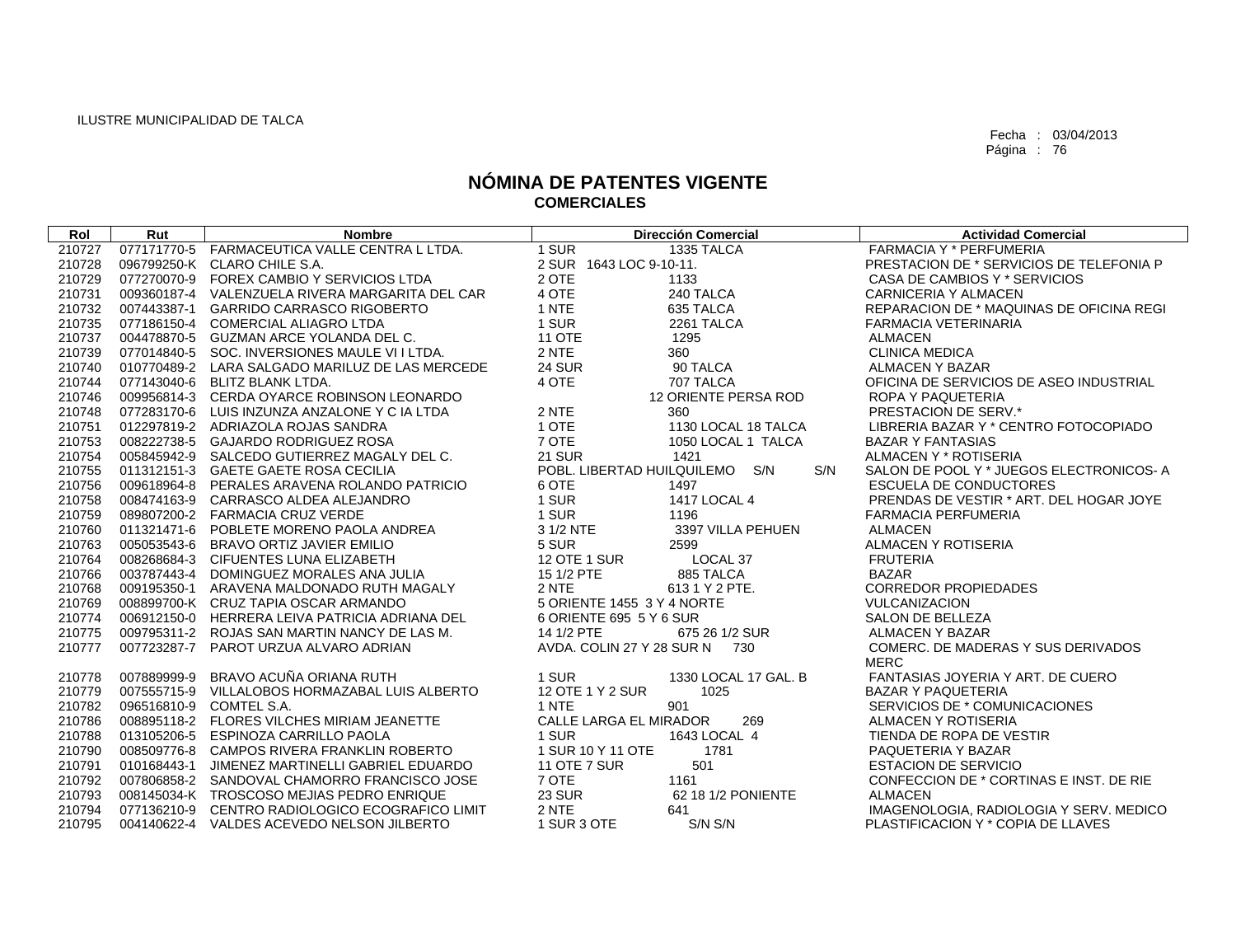| Rol    | Rut | <b>Nombre</b>                                   |                                | <b>Dirección Comercial</b> |     | <b>Actividad Comercial</b>                      |
|--------|-----|-------------------------------------------------|--------------------------------|----------------------------|-----|-------------------------------------------------|
| 210727 |     | 077171770-5 FARMACEUTICA VALLE CENTRA L LTDA.   | 1 SUR                          | 1335 TALCA                 |     | <b>FARMACIA Y * PERFUMERIA</b>                  |
| 210728 |     | 096799250-K CLARO CHILE S.A.                    | 2 SUR 1643 LOC 9-10-11.        |                            |     | PRESTACION DE * SERVICIOS DE TELEFONIA P        |
| 210729 |     | 077270070-9 FOREX CAMBIO Y SERVICIOS LTDA       | 2 OTE                          | 1133                       |     | CASA DE CAMBIOS Y * SERVICIOS                   |
| 210731 |     | 009360187-4 VALENZUELA RIVERA MARGARITA DEL CAR | 4 OTE                          | 240 TALCA                  |     | CARNICERIA Y ALMACEN                            |
| 210732 |     | 007443387-1 GARRIDO CARRASCO RIGOBERTO          | 1 NTE                          | 635 TALCA                  |     | <b>REPARACION DE * MAQUINAS DE OFICINA REGI</b> |
| 210735 |     | 077186150-4 COMERCIAL ALIAGRO LTDA              | 1 SUR                          | 2261 TALCA                 |     | FARMACIA VETERINARIA                            |
| 210737 |     | 004478870-5 GUZMAN ARCE YOLANDA DEL C.          | <b>11 OTE</b>                  | 1295                       |     | <b>ALMACEN</b>                                  |
| 210739 |     | 077014840-5 SOC. INVERSIONES MAULE VII LTDA.    | 2 NTE                          | 360                        |     | <b>CLINICA MEDICA</b>                           |
| 210740 |     | 010770489-2 LARA SALGADO MARILUZ DE LAS MERCEDE | <b>24 SUR</b>                  | 90 TALCA                   |     | ALMACEN Y BAZAR                                 |
| 210744 |     | 077143040-6 BLITZ BLANK LTDA.                   | 4 OTE                          | 707 TALCA                  |     | OFICINA DE SERVICIOS DE ASEO INDUSTRIAL         |
| 210746 |     | 009956814-3 CERDA OYARCE ROBINSON LEONARDO      |                                | 12 ORIENTE PERSA ROD       |     | ROPA Y PAQUETERIA                               |
| 210748 |     | 077283170-6 LUIS INZUNZA ANZALONE Y C IA LTDA   | 2 NTE                          | 360                        |     | <b>PRESTACION DE SERV.*</b>                     |
| 210751 |     | 012297819-2 ADRIAZOLA ROJAS SANDRA              | 1 OTE                          | 1130 LOCAL 18 TALCA        |     | LIBRERIA BAZAR Y * CENTRO FOTOCOPIADO           |
| 210753 |     | 008222738-5 GAJARDO RODRIGUEZ ROSA              | 7 OTE                          | 1050 LOCAL 1 TALCA         |     | <b>BAZAR Y FANTASIAS</b>                        |
| 210754 |     | 005845942-9 SALCEDO GUTIERREZ MAGALY DEL C.     | <b>21 SUR</b>                  | 1421                       |     | ALMACEN Y * ROTISERIA                           |
| 210755 |     | 011312151-3 GAETE GAETE ROSA CECILIA            | POBL. LIBERTAD HUILQUILEMO S/N |                            | S/N | SALON DE POOL Y * JUEGOS ELECTRONICOS-A         |
| 210756 |     | 009618964-8 PERALES ARAVENA ROLANDO PATRICIO    | 6 OTE                          | 1497                       |     | <b>ESCUELA DE CONDUCTORES</b>                   |
| 210758 |     | 008474163-9 CARRASCO ALDEA ALEJANDRO            | 1 SUR                          | 1417 LOCAL 4               |     | PRENDAS DE VESTIR * ART. DEL HOGAR JOYE         |
| 210759 |     | 089807200-2 FARMACIA CRUZ VERDE                 | 1 SUR                          | 1196                       |     | <b>FARMACIA PERFUMERIA</b>                      |
| 210760 |     | 011321471-6 POBLETE MORENO PAOLA ANDREA         | 3 1/2 NTE                      | 3397 VILLA PEHUEN          |     | <b>ALMACEN</b>                                  |
| 210763 |     | 005053543-6 BRAVO ORTIZ JAVIER EMILIO           | 5 SUR                          | 2599                       |     | ALMACEN Y ROTISERIA                             |
| 210764 |     | 008268684-3 CIFUENTES LUNA ELIZABETH            | <b>12 OTE 1 SUR</b>            | LOCAL 37                   |     | <b>FRUTERIA</b>                                 |
| 210766 |     | 003787443-4 DOMINGUEZ MORALES ANA JULIA         | 15 1/2 PTE                     | 885 TALCA                  |     | <b>BAZAR</b>                                    |
| 210768 |     | 009195350-1 ARAVENA MALDONADO RUTH MAGALY       | 2 NTE                          | 6131 Y 2 PTE.              |     | <b>CORREDOR PROPIEDADES</b>                     |
| 210769 |     | 008899700-K CRUZ TAPIA OSCAR ARMANDO            | 5 ORIENTE 1455 3 Y 4 NORTE     |                            |     | <b>VULCANIZACION</b>                            |
| 210774 |     | 006912150-0 HERRERA LEIVA PATRICIA ADRIANA DEL  | 6 ORIENTE 695 5 Y 6 SUR        |                            |     | SALON DE BELLEZA                                |
| 210775 |     | 009795311-2 ROJAS SAN MARTIN NANCY DE LAS M.    | 14 1/2 PTE                     | 675 26 1/2 SUR             |     | ALMACEN Y BAZAR                                 |
| 210777 |     | 007723287-7 PAROT URZUA ALVARO ADRIAN           | AVDA, COLIN 27 Y 28 SUR N 730  |                            |     | COMERC. DE MADERAS Y SUS DERIVADOS              |
|        |     |                                                 |                                |                            |     | <b>MERC</b>                                     |
| 210778 |     | 007889999-9 BRAVO ACUÑA ORIANA RUTH             | 1 SUR                          | 1330 LOCAL 17 GAL. B       |     | FANTASIAS JOYERIA Y ART. DE CUERO               |
| 210779 |     | 007555715-9 VILLALOBOS HORMAZABAL LUIS ALBERTO  | 12 OTE 1 Y 2 SUR               | 1025                       |     | <b>BAZAR Y PAQUETERIA</b>                       |
| 210782 |     | 096516810-9 COMTEL S.A.                         | 1 NTE                          | 901                        |     | SERVICIOS DE * COMUNICACIONES                   |
| 210786 |     | 008895118-2 FLORES VILCHES MIRIAM JEANETTE      | CALLE LARGA EL MIRADOR         | 269                        |     | ALMACEN Y ROTISERIA                             |
| 210788 |     | 013105206-5 ESPINOZA CARRILLO PAOLA             | 1 SUR                          | 1643 LOCAL 4               |     | TIENDA DE ROPA DE VESTIR                        |
| 210790 |     | 008509776-8 CAMPOS RIVERA FRANKLIN ROBERTO      | 1 SUR 10 Y 11 OTE              | 1781                       |     | PAQUETERIA Y BAZAR                              |
| 210791 |     | 010168443-1 JIMENEZ MARTINELLI GABRIEL EDUARDO  | <b>11 OTE 7 SUR</b>            | 501                        |     | <b>ESTACION DE SERVICIO</b>                     |
| 210792 |     | 007806858-2 SANDOVAL CHAMORRO FRANCISCO JOSE    | 7 OTE                          | 1161                       |     | CONFECCION DE * CORTINAS E INST. DE RIE         |
| 210793 |     | 008145034-K TROSCOSO MEJIAS PEDRO ENRIQUE       | <b>23 SUR</b>                  | 62 18 1/2 PONIENTE         |     | <b>ALMACEN</b>                                  |
| 210794 |     | 077136210-9 CENTRO RADIOLOGICO ECOGRAFICO LIMIT | 2 NTE                          | 641                        |     | IMAGENOLOGIA, RADIOLOGIA Y SERV. MEDICO         |
| 210795 |     | 004140622-4 VALDES ACEVEDO NELSON JILBERTO      | 1 SUR 3 OTE                    | S/N S/N                    |     | PLASTIFICACION Y * COPIA DE LLAVES              |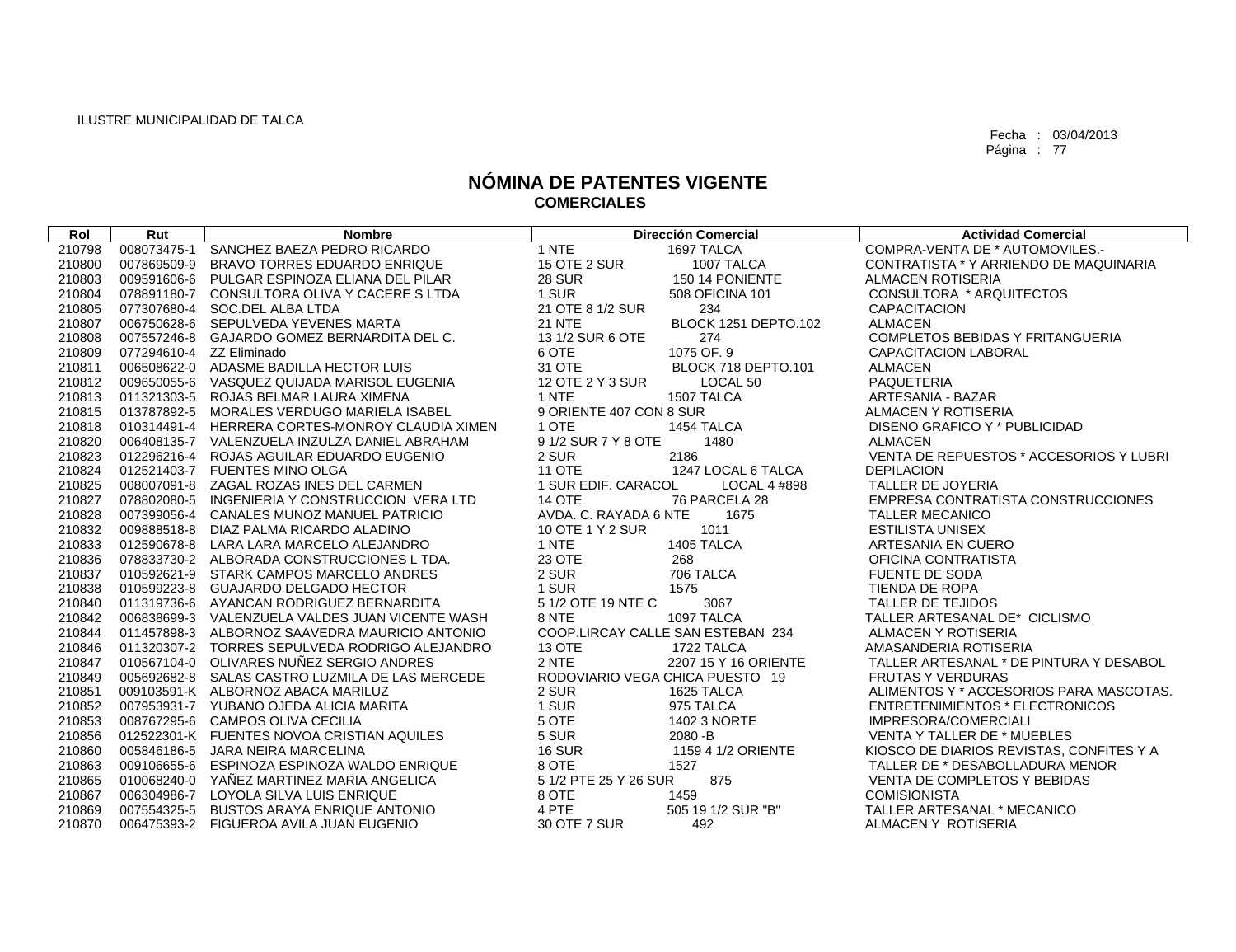| Rol    | Rut                      | <b>Nombre</b>                                   |                         | <b>Dirección Comercial</b>        | <b>Actividad Comercial</b>               |
|--------|--------------------------|-------------------------------------------------|-------------------------|-----------------------------------|------------------------------------------|
| 210798 | 008073475-1              | SANCHEZ BAEZA PEDRO RICARDO                     | 1 NTE                   | 1697 TALCA                        | COMPRA-VENTA DE * AUTOMOVILES.-          |
| 210800 |                          | 007869509-9 BRAVO TORRES EDUARDO ENRIQUE        | <b>15 OTE 2 SUR</b>     | 1007 TALCA                        | CONTRATISTA * Y ARRIENDO DE MAQUINARIA   |
| 210803 |                          | 009591606-6 PULGAR ESPINOZA ELIANA DEL PILAR    | <b>28 SUR</b>           | 150 14 PONIENTE                   | <b>ALMACEN ROTISERIA</b>                 |
| 210804 |                          | 078891180-7 CONSULTORA OLIVA Y CACERE S LTDA    | 1 SUR                   | 508 OFICINA 101                   | CONSULTORA * ARQUITECTOS                 |
| 210805 |                          | 077307680-4 SOC.DEL ALBA LTDA                   | 21 OTE 8 1/2 SUR        | 234                               | <b>CAPACITACION</b>                      |
| 210807 |                          | 006750628-6 SEPULVEDA YEVENES MARTA             | <b>21 NTE</b>           | BLOCK 1251 DEPTO.102              | <b>ALMACEN</b>                           |
| 210808 |                          | 007557246-8 GAJARDO GOMEZ BERNARDITA DEL C.     | 13 1/2 SUR 6 OTE        | 274                               | COMPLETOS BEBIDAS Y FRITANGUERIA         |
| 210809 | 077294610-4 ZZ Eliminado |                                                 | 6 OTE                   | 1075 OF. 9                        | CAPACITACION LABORAL                     |
| 210811 |                          | 006508622-0 ADASME BADILLA HECTOR LUIS          | 31 OTE                  | BLOCK 718 DEPTO.101               | <b>ALMACEN</b>                           |
| 210812 |                          | 009650055-6 VASQUEZ QUIJADA MARISOL EUGENIA     | 12 OTE 2 Y 3 SUR        | LOCAL <sub>50</sub>               | <b>PAQUETERIA</b>                        |
| 210813 |                          | 011321303-5 ROJAS BELMAR LAURA XIMENA           | 1 NTE                   | 1507 TALCA                        | ARTESANIA - BAZAR                        |
| 210815 |                          | 013787892-5 MORALES VERDUGO MARIELA ISABEL      | 9 ORIENTE 407 CON 8 SUR |                                   | ALMACEN Y ROTISERIA                      |
| 210818 |                          | 010314491-4 HERRERA CORTES-MONROY CLAUDIA XIMEN | 1 OTE                   | 1454 TALCA                        | DISENO GRAFICO Y * PUBLICIDAD            |
| 210820 |                          | 006408135-7 VALENZUELA INZULZA DANIEL ABRAHAM   | 91/2 SUR 7 Y 8 OTE      | 1480                              | <b>ALMACEN</b>                           |
| 210823 |                          | 012296216-4 ROJAS AGUILAR EDUARDO EUGENIO       | 2 SUR                   | 2186                              | VENTA DE REPUESTOS * ACCESORIOS Y LUBRI  |
| 210824 |                          | 012521403-7 FUENTES MINO OLGA                   | <b>11 OTE</b>           | 1247 LOCAL 6 TALCA                | <b>DEPILACION</b>                        |
| 210825 |                          | 008007091-8 ZAGAL ROZAS INES DEL CARMEN         | 1 SUR EDIF. CARACOL     | LOCAL 4 #898                      | TALLER DE JOYERIA                        |
| 210827 |                          | 078802080-5 INGENIERIA Y CONSTRUCCION VERA LTD  | <b>14 OTE</b>           | 76 PARCELA 28                     | EMPRESA CONTRATISTA CONSTRUCCIONES       |
| 210828 |                          | 007399056-4 CANALES MUNOZ MANUEL PATRICIO       | AVDA, C. RAYADA 6 NTE   | 1675                              | <b>TALLER MECANICO</b>                   |
| 210832 |                          | 009888518-8 DIAZ PALMA RICARDO ALADINO          | 10 OTE 1 Y 2 SUR        | 1011                              | <b>ESTILISTA UNISEX</b>                  |
| 210833 |                          | 012590678-8 LARA LARA MARCELO ALEJANDRO         | 1 NTE                   | 1405 TALCA                        | ARTESANIA EN CUERO                       |
| 210836 |                          | 078833730-2 ALBORADA CONSTRUCCIONES L TDA.      | 23 OTE                  | 268                               | OFICINA CONTRATISTA                      |
| 210837 |                          | 010592621-9 STARK CAMPOS MARCELO ANDRES         | 2 SUR                   | 706 TALCA                         | <b>FUENTE DE SODA</b>                    |
| 210838 |                          | 010599223-8 GUAJARDO DELGADO HECTOR             | 1 SUR                   | 1575                              | TIENDA DE ROPA                           |
| 210840 |                          | 011319736-6 AYANCAN RODRIGUEZ BERNARDITA        | 5 1/2 OTE 19 NTE C      | 3067                              | TALLER DE TEJIDOS                        |
| 210842 |                          | 006838699-3 VALENZUELA VALDES JUAN VICENTE WASH | 8 NTE                   | 1097 TALCA                        | TALLER ARTESANAL DE* CICLISMO            |
| 210844 |                          | 011457898-3 ALBORNOZ SAAVEDRA MAURICIO ANTONIO  |                         | COOP.LIRCAY CALLE SAN ESTEBAN 234 | ALMACEN Y ROTISERIA                      |
| 210846 |                          | 011320307-2 TORRES SEPULVEDA RODRIGO ALEJANDRO  | 13 OTE                  | 1722 TALCA                        | AMASANDERIA ROTISERIA                    |
| 210847 |                          | 010567104-0 OLIVARES NUÑEZ SERGIO ANDRES        | 2 NTE                   | 2207 15 Y 16 ORIENTE              | TALLER ARTESANAL * DE PINTURA Y DESABOL  |
| 210849 |                          | 005692682-8 SALAS CASTRO LUZMILA DE LAS MERCEDE |                         | RODOVIARIO VEGA CHICA PUESTO 19   | <b>FRUTAS Y VERDURAS</b>                 |
| 210851 |                          | 009103591-K ALBORNOZ ABACA MARILUZ              | 2 SUR                   | 1625 TALCA                        | ALIMENTOS Y * ACCESORIOS PARA MASCOTAS.  |
| 210852 |                          | 007953931-7 YUBANO OJEDA ALICIA MARITA          | 1 SUR                   | 975 TALCA                         | ENTRETENIMIENTOS * ELECTRONICOS          |
| 210853 |                          | 008767295-6 CAMPOS OLIVA CECILIA                | 5 OTE                   | 1402 3 NORTE                      | IMPRESORA/COMERCIALI                     |
| 210856 |                          | 012522301-K FUENTES NOVOA CRISTIAN AQUILES      | 5 SUR                   | 2080 - B                          | VENTA Y TALLER DE * MUEBLES              |
| 210860 |                          | 005846186-5 JARA NEIRA MARCELINA                | <b>16 SUR</b>           | 1159 4 1/2 ORIENTE                | KIOSCO DE DIARIOS REVISTAS, CONFITES Y A |
| 210863 |                          | 009106655-6 ESPINOZA ESPINOZA WALDO ENRIQUE     | 8 OTE                   | 1527                              | TALLER DE * DESABOLLADURA MENOR          |
| 210865 |                          | 010068240-0 YAÑEZ MARTINEZ MARIA ANGELICA       | 5 1/2 PTE 25 Y 26 SUR   | 875                               | VENTA DE COMPLETOS Y BEBIDAS             |
| 210867 |                          | 006304986-7 LOYOLA SILVA LUIS ENRIQUE           | 8 OTE                   | 1459                              | <b>COMISIONISTA</b>                      |
| 210869 |                          | 007554325-5 BUSTOS ARAYA ENRIQUE ANTONIO        | 4 PTE                   | 505 19 1/2 SUR "B"                | TALLER ARTESANAL * MECANICO              |
| 210870 |                          | 006475393-2 FIGUEROA AVILA JUAN EUGENIO         | 30 OTE 7 SUR            | 492                               | ALMACEN Y ROTISERIA                      |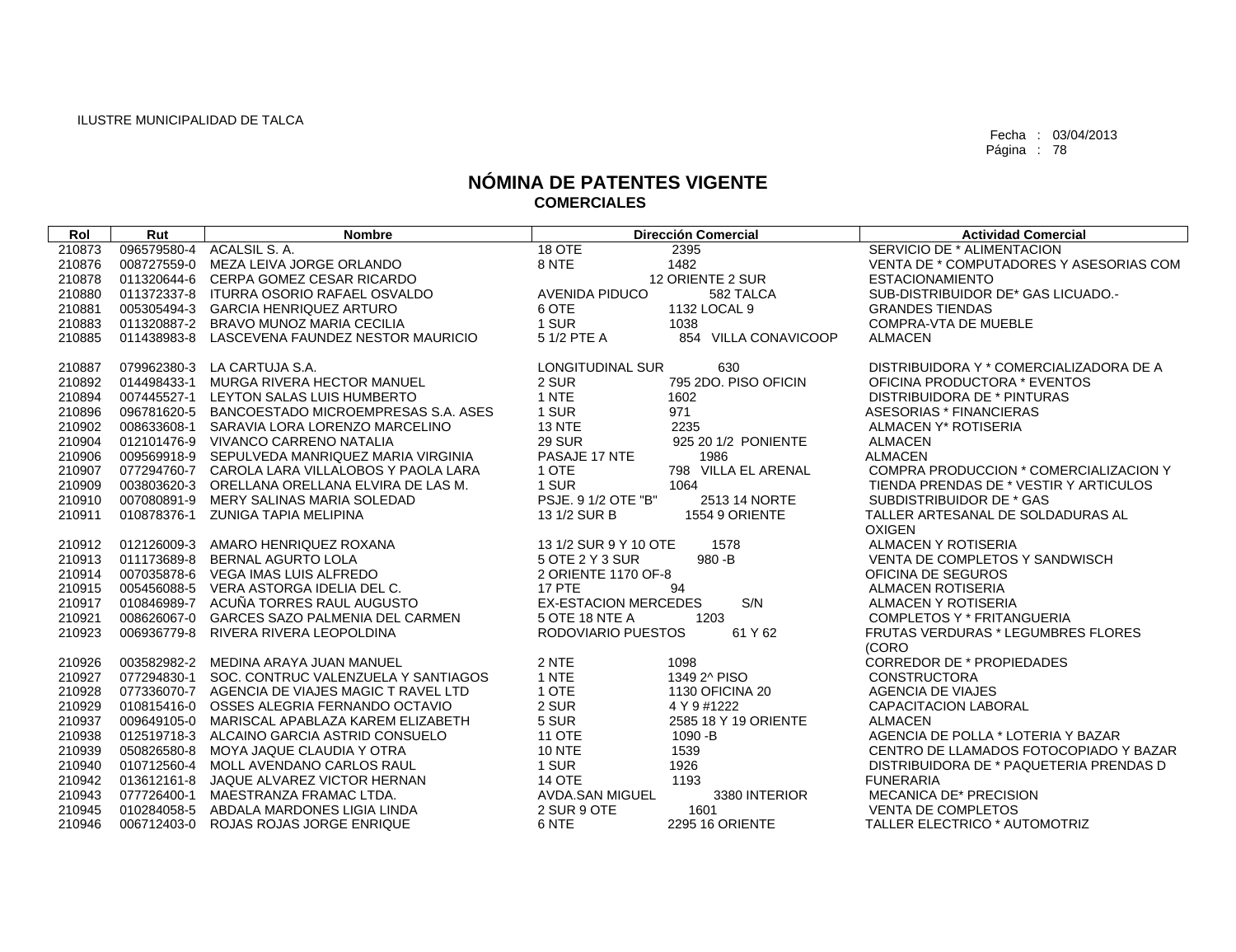| Rol    | Rut         | <b>Nombre</b>                                   |                             | <b>Dirección Comercial</b> | <b>Actividad Comercial</b>                |
|--------|-------------|-------------------------------------------------|-----------------------------|----------------------------|-------------------------------------------|
| 210873 | 096579580-4 | ACALSIL S. A.                                   | 18 OTE                      | 2395                       | SERVICIO DE * ALIMENTACION                |
| 210876 |             | 008727559-0 MEZA LEIVA JORGE ORLANDO            | 8 NTE                       | 1482                       | VENTA DE * COMPUTADORES Y ASESORIAS COM   |
| 210878 |             | 011320644-6 CERPA GOMEZ CESAR RICARDO           |                             | 12 ORIENTE 2 SUR           | <b>ESTACIONAMIENTO</b>                    |
| 210880 |             | 011372337-8 ITURRA OSORIO RAFAEL OSVALDO        | <b>AVENIDA PIDUCO</b>       | 582 TALCA                  | SUB-DISTRIBUIDOR DE* GAS LICUADO.-        |
| 210881 | 005305494-3 | <b>GARCIA HENRIQUEZ ARTURO</b>                  | 6 OTE                       | 1132 LOCAL 9               | <b>GRANDES TIENDAS</b>                    |
| 210883 |             | 011320887-2 BRAVO MUNOZ MARIA CECILIA           | 1 SUR                       | 1038                       | <b>COMPRA-VTA DE MUEBLE</b>               |
| 210885 |             | 011438983-8 LASCEVENA FAUNDEZ NESTOR MAURICIO   | 5 1/2 PTE A                 | 854 VILLA CONAVICOOP       | <b>ALMACEN</b>                            |
|        |             |                                                 |                             |                            |                                           |
| 210887 |             | 079962380-3 LA CARTUJA S.A.                     | <b>LONGITUDINAL SUR</b>     | 630                        | DISTRIBUIDORA Y * COMERCIALIZADORA DE A   |
| 210892 | 014498433-1 | MURGA RIVERA HECTOR MANUEL                      | 2 SUR                       | 795 2DO, PISO OFICIN       | OFICINA PRODUCTORA * EVENTOS              |
| 210894 | 007445527-1 | LEYTON SALAS LUIS HUMBERTO                      | 1 NTE                       | 1602                       | DISTRIBUIDORA DE * PINTURAS               |
| 210896 |             | 096781620-5 BANCOESTADO MICROEMPRESAS S.A. ASES | 1 SUR                       | 971                        | ASESORIAS * FINANCIERAS                   |
| 210902 | 008633608-1 | SARAVIA LORA LORENZO MARCELINO                  | <b>13 NTE</b>               | 2235                       | ALMACEN Y* ROTISERIA                      |
| 210904 |             | 012101476-9 VIVANCO CARRENO NATALIA             | <b>29 SUR</b>               | 925 20 1/2 PONIENTE        | <b>ALMACEN</b>                            |
| 210906 |             | 009569918-9 SEPULVEDA MANRIQUEZ MARIA VIRGINIA  | PASAJE 17 NTE               | 1986                       | <b>ALMACEN</b>                            |
| 210907 |             | 077294760-7 CAROLA LARA VILLALOBOS Y PAOLA LARA | 1 OTE                       | 798 VILLA EL ARENAL        | COMPRA PRODUCCION * COMERCIALIZACION Y    |
| 210909 |             | 003803620-3 ORELLANA ORELLANA ELVIRA DE LAS M.  | 1 SUR                       | 1064                       | TIENDA PRENDAS DE * VESTIR Y ARTICULOS    |
| 210910 | 007080891-9 | MERY SALINAS MARIA SOLEDAD                      | PSJE. 9 1/2 OTE "B"         | 2513 14 NORTE              | SUBDISTRIBUIDOR DE * GAS                  |
| 210911 |             | 010878376-1 ZUNIGA TAPIA MELIPINA               | 13 1/2 SUR B                | <b>1554 9 ORIENTE</b>      | TALLER ARTESANAL DE SOLDADURAS AL         |
|        |             |                                                 |                             |                            | <b>OXIGEN</b>                             |
| 210912 | 012126009-3 | AMARO HENRIQUEZ ROXANA                          | 13 1/2 SUR 9 Y 10 OTE       | 1578                       | <b>ALMACEN Y ROTISERIA</b>                |
| 210913 | 011173689-8 | <b>BERNAL AGURTO LOLA</b>                       | 5 OTE 2 Y 3 SUR             | $980 - B$                  | VENTA DE COMPLETOS Y SANDWISCH            |
| 210914 |             | 007035878-6 VEGA IMAS LUIS ALFREDO              | 2 ORIENTE 1170 OF-8         |                            | OFICINA DE SEGUROS                        |
| 210915 |             | 005456088-5 VERA ASTORGA IDELIA DEL C.          | <b>17 PTE</b>               | 94                         | <b>ALMACEN ROTISERIA</b>                  |
| 210917 | 010846989-7 | ACUÑA TORRES RAUL AUGUSTO                       | <b>EX-ESTACION MERCEDES</b> | S/N                        | ALMACEN Y ROTISERIA                       |
| 210921 | 008626067-0 | <b>GARCES SAZO PALMENIA DEL CARMEN</b>          | 5 OTE 18 NTE A              | 1203                       | COMPLETOS Y * FRITANGUERIA                |
| 210923 |             | 006936779-8 RIVERA RIVERA LEOPOLDINA            | RODOVIARIO PUESTOS          | 61 Y 62                    | <b>FRUTAS VERDURAS * LEGUMBRES FLORES</b> |
|        |             |                                                 |                             |                            | (CORO                                     |
| 210926 |             | 003582982-2 MEDINA ARAYA JUAN MANUEL            | 2 NTE                       | 1098                       | <b>CORREDOR DE * PROPIEDADES</b>          |
| 210927 | 077294830-1 | SOC. CONTRUC VALENZUELA Y SANTIAGOS             | 1 NTE                       | 1349 2^ PISO               | <b>CONSTRUCTORA</b>                       |
| 210928 |             | 077336070-7 AGENCIA DE VIAJES MAGIC T RAVEL LTD | 1 OTE                       | 1130 OFICINA 20            | AGENCIA DE VIAJES                         |
| 210929 | 010815416-0 | OSSES ALEGRIA FERNANDO OCTAVIO                  | 2 SUR                       | 4 Y 9 #1222                | CAPACITACION LABORAL                      |
| 210937 | 009649105-0 | MARISCAL APABLAZA KAREM ELIZABETH               | 5 SUR                       | 2585 18 Y 19 ORIENTE       | <b>ALMACEN</b>                            |
| 210938 |             | 012519718-3 ALCAINO GARCIA ASTRID CONSUELO      | <b>11 OTE</b>               | 1090 - B                   | AGENCIA DE POLLA * LOTERIA Y BAZAR        |
| 210939 |             | 050826580-8 MOYA JAQUE CLAUDIA Y OTRA           | <b>10 NTE</b>               | 1539                       | CENTRO DE LLAMADOS FOTOCOPIADO Y BAZAR    |
| 210940 |             | 010712560-4 MOLL AVENDANO CARLOS RAUL           | 1 SUR                       | 1926                       | DISTRIBUIDORA DE * PAQUETERIA PRENDAS D   |
| 210942 |             | 013612161-8 JAQUE ALVAREZ VICTOR HERNAN         | <b>14 OTE</b>               | 1193                       | <b>FUNERARIA</b>                          |
| 210943 | 077726400-1 | MAESTRANZA FRAMAC LTDA.                         | <b>AVDA.SAN MIGUEL</b>      | 3380 INTERIOR              | <b>MECANICA DE* PRECISION</b>             |
| 210945 |             | 010284058-5 ABDALA MARDONES LIGIA LINDA         | 2 SUR 9 OTE                 | 1601                       | <b>VENTA DE COMPLETOS</b>                 |
| 210946 |             | 006712403-0 ROJAS ROJAS JORGE ENRIQUE           | 6 NTE                       | <b>2295 16 ORIENTE</b>     | TALLER ELECTRICO * AUTOMOTRIZ             |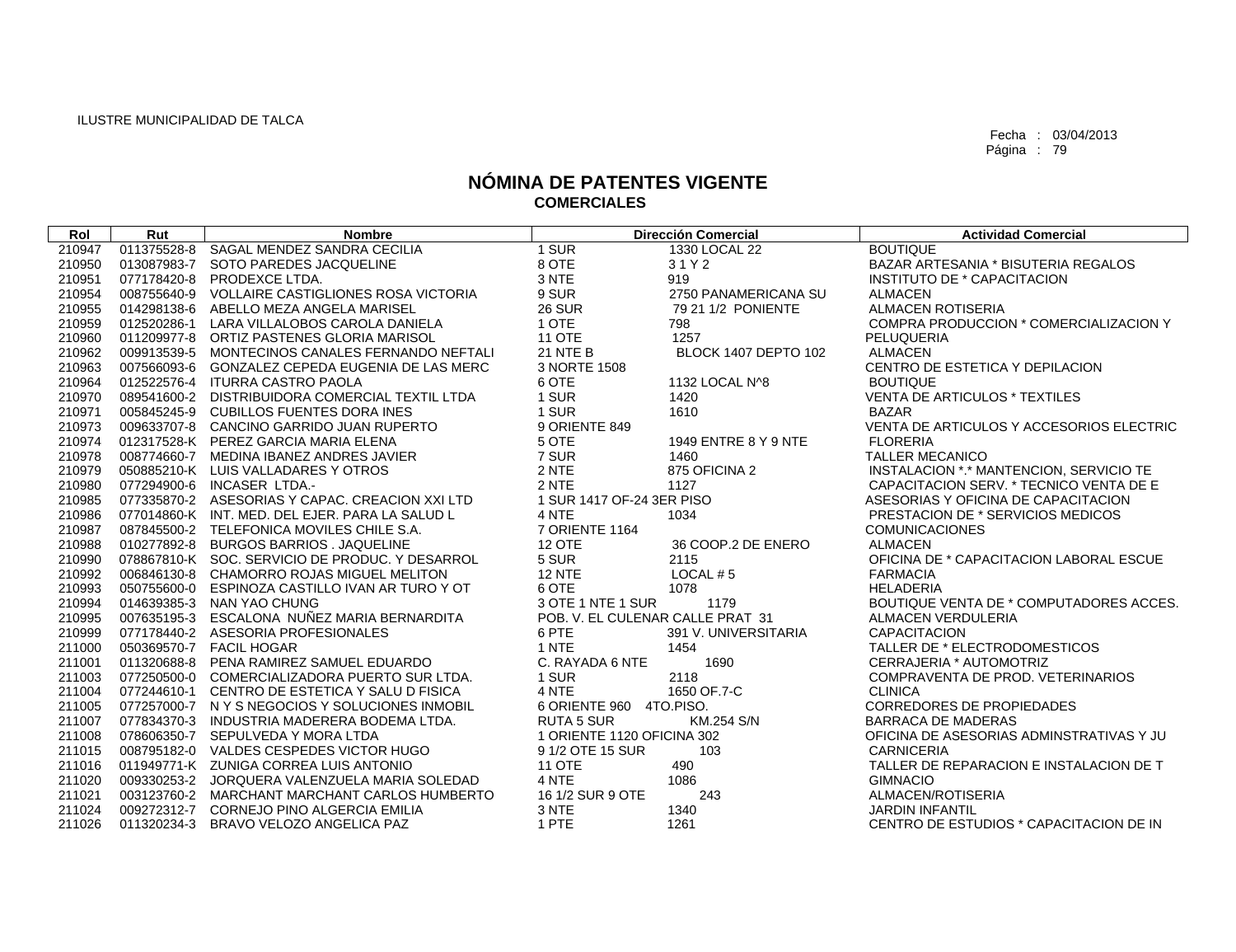| Rol    | Rut         | <b>Nombre</b>                                   |                                  | <b>Dirección Comercial</b> | <b>Actividad Comercial</b>               |
|--------|-------------|-------------------------------------------------|----------------------------------|----------------------------|------------------------------------------|
| 210947 | 011375528-8 | SAGAL MENDEZ SANDRA CECILIA                     | 1 SUR                            | 1330 LOCAL 22              | <b>BOUTIQUE</b>                          |
| 210950 |             | 013087983-7 SOTO PAREDES JACQUELINE             | 8 OTE                            | 31Y2                       | BAZAR ARTESANIA * BISUTERIA REGALOS      |
| 210951 | 077178420-8 | PRODEXCE LTDA.                                  | 3 NTE                            | 919                        | INSTITUTO DE * CAPACITACION              |
| 210954 |             | 008755640-9 VOLLAIRE CASTIGLIONES ROSA VICTORIA | 9 SUR                            | 2750 PANAMERICANA SU       | <b>ALMACEN</b>                           |
| 210955 | 014298138-6 | ABELLO MEZA ANGELA MARISEL                      | <b>26 SUR</b>                    | 79 21 1/2 PONIENTE         | <b>ALMACEN ROTISERIA</b>                 |
| 210959 | 012520286-1 | LARA VILLALOBOS CAROLA DANIELA                  | 1 OTE                            | 798                        | COMPRA PRODUCCION * COMERCIALIZACION Y   |
| 210960 |             | 011209977-8 ORTIZ PASTENES GLORIA MARISOL       | <b>11 OTE</b>                    | 1257                       | <b>PELUQUERIA</b>                        |
| 210962 |             | 009913539-5 MONTECINOS CANALES FERNANDO NEFTALI | 21 NTE B                         | BLOCK 1407 DEPTO 102       | <b>ALMACEN</b>                           |
| 210963 |             | 007566093-6 GONZALEZ CEPEDA EUGENIA DE LAS MERC | 3 NORTE 1508                     |                            | CENTRO DE ESTETICA Y DEPILACION          |
| 210964 |             | 012522576-4 ITURRA CASTRO PAOLA                 | 6 OTE                            | 1132 LOCAL N^8             | <b>BOUTIQUE</b>                          |
| 210970 |             | 089541600-2 DISTRIBUIDORA COMERCIAL TEXTIL LTDA | 1 SUR                            | 1420                       | VENTA DE ARTICULOS * TEXTILES            |
| 210971 |             | 005845245-9 CUBILLOS FUENTES DORA INES          | 1 SUR                            | 1610                       | <b>BAZAR</b>                             |
| 210973 |             | 009633707-8 CANCINO GARRIDO JUAN RUPERTO        | 9 ORIENTE 849                    |                            | VENTA DE ARTICULOS Y ACCESORIOS ELECTRIC |
| 210974 |             | 012317528-K PEREZ GARCIA MARIA ELENA            | 5 OTE                            | 1949 ENTRE 8 Y 9 NTE       | <b>FLORERIA</b>                          |
| 210978 |             | 008774660-7 MEDINA IBANEZ ANDRES JAVIER         | 7 SUR                            | 1460                       | <b>TALLER MECANICO</b>                   |
| 210979 |             | 050885210-K LUIS VALLADARES Y OTROS             | 2 NTE                            | 875 OFICINA 2              | INSTALACION *.* MANTENCION, SERVICIO TE  |
| 210980 |             | 077294900-6 INCASER LTDA.-                      | 2 NTE                            | 1127                       | CAPACITACION SERV. * TECNICO VENTA DE E  |
| 210985 |             | 077335870-2 ASESORIAS Y CAPAC, CREACION XXI LTD | 1 SUR 1417 OF-24 3ER PISO        |                            | ASESORIAS Y OFICINA DE CAPACITACION      |
| 210986 |             | 077014860-K INT, MED, DEL EJER, PARA LA SALUD L | 4 NTE                            | 1034                       | PRESTACION DE * SERVICIOS MEDICOS        |
| 210987 |             | 087845500-2 TELEFONICA MOVILES CHILE S.A.       | <b>7 ORIENTE 1164</b>            |                            | <b>COMUNICACIONES</b>                    |
| 210988 |             | 010277892-8 BURGOS BARRIOS . JAQUELINE          | <b>12 OTE</b>                    | 36 COOP.2 DE ENERO         | <b>ALMACEN</b>                           |
| 210990 |             | 078867810-K SOC. SERVICIO DE PRODUC. Y DESARROL | 5 SUR                            | 2115                       | OFICINA DE * CAPACITACION LABORAL ESCUE  |
| 210992 |             | 006846130-8 CHAMORRO ROJAS MIGUEL MELITON       | <b>12 NTE</b>                    | LOCAL $# 5$                | <b>FARMACIA</b>                          |
| 210993 |             | 050755600-0 ESPINOZA CASTILLO IVAN AR TURO Y OT | 6 OTE                            | 1078                       | <b>HELADERIA</b>                         |
| 210994 |             | 014639385-3 NAN YAO CHUNG                       | 3 OTE 1 NTE 1 SUR                | 1179                       | BOUTIQUE VENTA DE * COMPUTADORES ACCES.  |
| 210995 |             | 007635195-3 ESCALONA NUÑEZ MARIA BERNARDITA     | POB. V. EL CULENAR CALLE PRAT 31 |                            | <b>ALMACEN VERDULERIA</b>                |
| 210999 |             | 077178440-2 ASESORIA PROFESIONALES              | 6 PTE                            | 391 V. UNIVERSITARIA       | <b>CAPACITACION</b>                      |
| 211000 |             | 050369570-7 FACIL HOGAR                         | 1 NTE                            | 1454                       | TALLER DE * ELECTRODOMESTICOS            |
| 211001 |             | 011320688-8 PENA RAMIREZ SAMUEL EDUARDO         | C. RAYADA 6 NTE                  | 1690                       | CERRAJERIA * AUTOMOTRIZ                  |
| 211003 |             | 077250500-0 COMERCIALIZADORA PUERTO SUR LTDA.   | 1 SUR                            | 2118                       | COMPRAVENTA DE PROD. VETERINARIOS        |
| 211004 |             | 077244610-1 CENTRO DE ESTETICA Y SALU D FISICA  | 4 NTE                            | 1650 OF 7-C                | <b>CLINICA</b>                           |
| 211005 |             | 077257000-7 NYSNEGOCIOSYSOLUCIONES INMOBIL      | 6 ORIENTE 960 4TO.PISO.          |                            | <b>CORREDORES DE PROPIEDADES</b>         |
| 211007 |             | 077834370-3 INDUSTRIA MADERERA BODEMA LTDA.     | <b>RUTA 5 SUR</b>                | KM.254 S/N                 | <b>BARRACA DE MADERAS</b>                |
| 211008 |             | 078606350-7 SEPULVEDA Y MORA LTDA               | 1 ORIENTE 1120 OFICINA 302       |                            | OFICINA DE ASESORIAS ADMINSTRATIVAS Y JU |
| 211015 |             | 008795182-0 VALDES CESPEDES VICTOR HUGO         | 9 1/2 OTE 15 SUR                 | 103                        | <b>CARNICERIA</b>                        |
| 211016 |             | 011949771-K ZUNIGA CORREA LUIS ANTONIO          | <b>11 OTE</b>                    | 490                        | TALLER DE REPARACION E INSTALACION DE T  |
| 211020 |             | 009330253-2 JORQUERA VALENZUELA MARIA SOLEDAD   | 4 NTE                            | 1086                       | <b>GIMNACIO</b>                          |
| 211021 |             | 003123760-2 MARCHANT MARCHANT CARLOS HUMBERTO   | 16 1/2 SUR 9 OTE                 | 243                        | ALMACEN/ROTISERIA                        |
| 211024 |             | 009272312-7 CORNEJO PINO ALGERCIA EMILIA        | 3 NTE                            | 1340                       | <b>JARDIN INFANTIL</b>                   |
| 211026 |             | 011320234-3 BRAVO VELOZO ANGELICA PAZ           | 1 PTE                            | 1261                       | CENTRO DE ESTUDIOS * CAPACITACION DE IN  |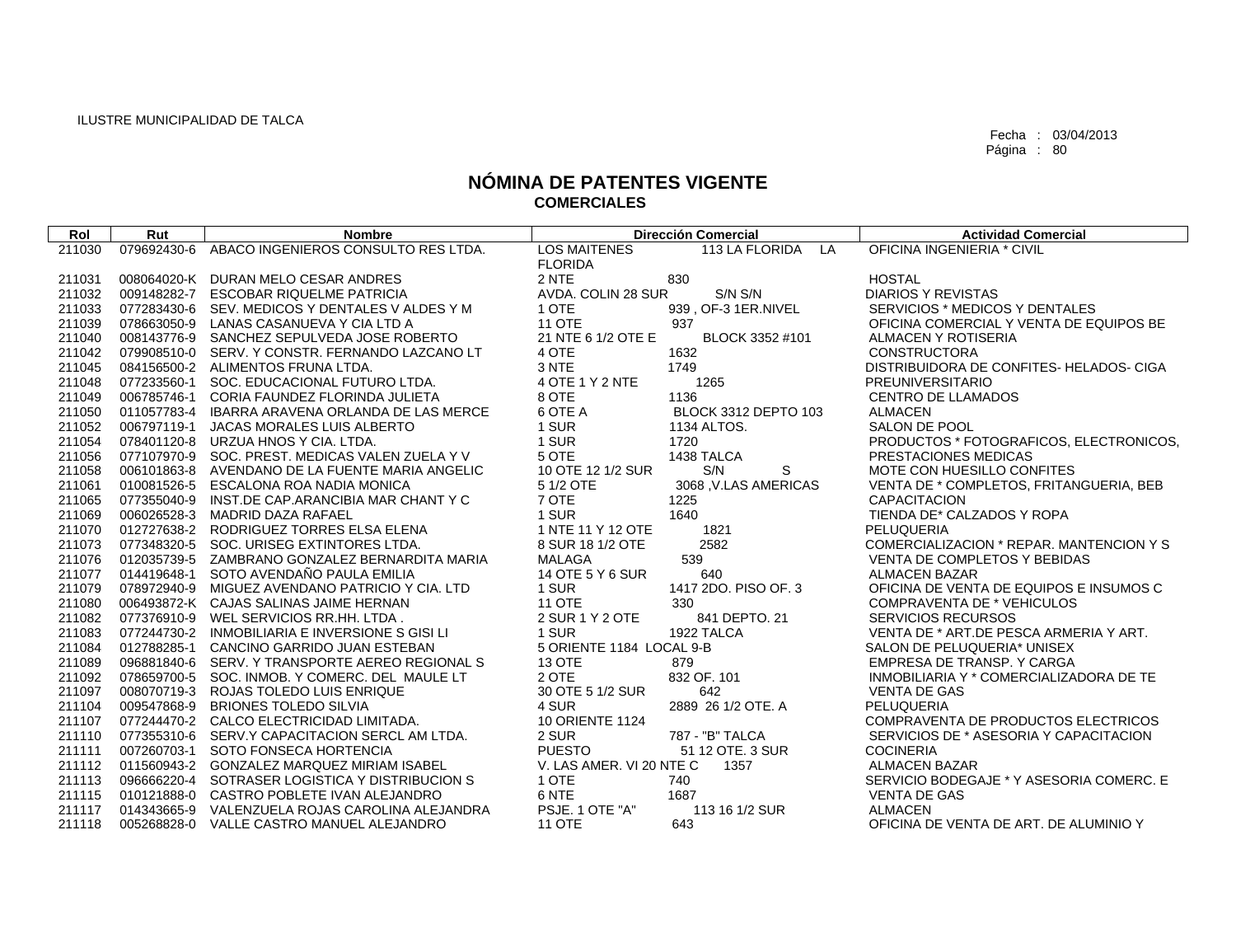| Rol    | Rut         | <b>Nombre</b>                             |                          | <b>Dirección Comercial</b> | <b>Actividad Comercial</b>               |
|--------|-------------|-------------------------------------------|--------------------------|----------------------------|------------------------------------------|
| 211030 | 079692430-6 | ABACO INGENIEROS CONSULTO RES LTDA.       | <b>LOS MAITENES</b>      | 113 LA FLORIDA<br>LA       | OFICINA INGENIERIA * CIVIL               |
|        |             |                                           | <b>FLORIDA</b>           |                            |                                          |
| 211031 |             | 008064020-K DURAN MELO CESAR ANDRES       | 2 NTE                    | 830                        | <b>HOSTAL</b>                            |
| 211032 | 009148282-7 | <b>ESCOBAR RIQUELME PATRICIA</b>          | AVDA, COLIN 28 SUR       | S/N S/N                    | <b>DIARIOS Y REVISTAS</b>                |
| 211033 | 077283430-6 | SEV. MEDICOS Y DENTALES V ALDES Y M       | 1 OTE                    | 939, OF-3 1ER.NIVEL        | SERVICIOS * MEDICOS Y DENTALES           |
| 211039 | 078663050-9 | LANAS CASANUEVA Y CIA LTD A               | <b>11 OTE</b>            | 937                        | OFICINA COMERCIAL Y VENTA DE EQUIPOS BE  |
| 211040 | 008143776-9 | SANCHEZ SEPULVEDA JOSE ROBERTO            | 21 NTE 6 1/2 OTE E       | BLOCK 3352 #101            | ALMACEN Y ROTISERIA                      |
| 211042 | 079908510-0 | SERV. Y CONSTR. FERNANDO LAZCANO LT       | 4 OTE                    | 1632                       | <b>CONSTRUCTORA</b>                      |
| 211045 |             | 084156500-2 ALIMENTOS FRUNA LTDA.         | 3 NTE                    | 1749                       | DISTRIBUIDORA DE CONFITES- HELADOS- CIGA |
| 211048 | 077233560-1 | SOC. EDUCACIONAL FUTURO LTDA.             | 4 OTE 1 Y 2 NTE          | 1265                       | PREUNIVERSITARIO                         |
| 211049 | 006785746-1 | CORIA FAUNDEZ FLORINDA JULIETA            | 8 OTE                    | 1136                       | <b>CENTRO DE LLAMADOS</b>                |
| 211050 | 011057783-4 | IBARRA ARAVENA ORLANDA DE LAS MERCE       | 6 OTE A                  | BLOCK 3312 DEPTO 103       | <b>ALMACEN</b>                           |
| 211052 | 006797119-1 | JACAS MORALES LUIS ALBERTO                | 1 SUR                    | 1134 ALTOS.                | SALON DE POOL                            |
| 211054 | 078401120-8 | URZUA HNOS Y CIA. LTDA.                   | 1 SUR                    | 1720                       | PRODUCTOS * FOTOGRAFICOS, ELECTRONICOS,  |
| 211056 | 077107970-9 | SOC. PREST. MEDICAS VALEN ZUELA Y V       | 5 OTE                    | 1438 TALCA                 | PRESTACIONES MEDICAS                     |
| 211058 | 006101863-8 | AVENDANO DE LA FUENTE MARIA ANGELIC       | 10 OTE 12 1/2 SUR        | S<br>S/N                   | MOTE CON HUESILLO CONFITES               |
| 211061 | 010081526-5 | ESCALONA ROA NADIA MONICA                 | 5 1/2 OTE                | 3068, V.LAS AMERICAS       | VENTA DE * COMPLETOS, FRITANGUERIA, BEB  |
| 211065 | 077355040-9 | INST.DE CAP.ARANCIBIA MAR CHANT Y C       | 7 OTE                    | 1225                       | <b>CAPACITACION</b>                      |
| 211069 | 006026528-3 | MADRID DAZA RAFAEL                        | 1 SUR                    | 1640                       | TIENDA DE* CALZADOS Y ROPA               |
| 211070 | 012727638-2 | RODRIGUEZ TORRES ELSA ELENA               | 1 NTE 11 Y 12 OTE        | 1821                       | PELUQUERIA                               |
| 211073 | 077348320-5 | SOC. URISEG EXTINTORES LTDA.              | 8 SUR 18 1/2 OTE         | 2582                       | COMERCIALIZACION * REPAR. MANTENCION Y S |
| 211076 | 012035739-5 | ZAMBRANO GONZALEZ BERNARDITA MARIA        | <b>MALAGA</b>            | 539                        | VENTA DE COMPLETOS Y BEBIDAS             |
| 211077 | 014419648-1 | SOTO AVENDAÑO PAULA EMILIA                | 14 OTE 5 Y 6 SUR         | 640                        | <b>ALMACEN BAZAR</b>                     |
| 211079 | 078972940-9 | MIGUEZ AVENDANO PATRICIO Y CIA. LTD       | 1 SUR                    | 1417 2DO. PISO OF. 3       | OFICINA DE VENTA DE EQUIPOS E INSUMOS C  |
| 211080 |             | 006493872-K CAJAS SALINAS JAIME HERNAN    | <b>11 OTE</b>            | 330                        | <b>COMPRAVENTA DE * VEHICULOS</b>        |
| 211082 | 077376910-9 | WEL SERVICIOS RR.HH. LTDA.                | 2 SUR 1 Y 2 OTE          | 841 DEPTO, 21              | <b>SERVICIOS RECURSOS</b>                |
| 211083 | 077244730-2 | INMOBILIARIA E INVERSIONE S GISI LI       | 1 SUR                    | 1922 TALCA                 | VENTA DE * ART. DE PESCA ARMERIA Y ART.  |
| 211084 | 012788285-1 | CANCINO GARRIDO JUAN ESTEBAN              | 5 ORIENTE 1184 LOCAL 9-B |                            | SALON DE PELUQUERIA* UNISEX              |
| 211089 | 096881840-6 | SERV. Y TRANSPORTE AEREO REGIONAL S       | <b>13 OTE</b>            | 879                        | EMPRESA DE TRANSP. Y CARGA               |
| 211092 | 078659700-5 | SOC. INMOB. Y COMERC. DEL MAULE LT        | 2 OTE                    | 832 OF, 101                | INMOBILIARIA Y * COMERCIALIZADORA DE TE  |
| 211097 | 008070719-3 | ROJAS TOLEDO LUIS ENRIQUE                 | 30 OTE 5 1/2 SUR         | 642                        | <b>VENTA DE GAS</b>                      |
| 211104 | 009547868-9 | <b>BRIONES TOLEDO SILVIA</b>              | 4 SUR                    | 2889 26 1/2 OTE, A         | PELUQUERIA                               |
| 211107 |             | 077244470-2 CALCO ELECTRICIDAD LIMITADA.  | 10 ORIENTE 1124          |                            | COMPRAVENTA DE PRODUCTOS ELECTRICOS      |
| 211110 | 077355310-6 | SERV.Y CAPACITACION SERCL AM LTDA.        | 2 SUR                    | 787 - "B" TALCA            | SERVICIOS DE * ASESORIA Y CAPACITACION   |
| 211111 | 007260703-1 | SOTO FONSECA HORTENCIA                    | <b>PUESTO</b>            | 51 12 OTE, 3 SUR           | <b>COCINERIA</b>                         |
| 211112 | 011560943-2 | <b>GONZALEZ MARQUEZ MIRIAM ISABEL</b>     | V. LAS AMER. VI 20 NTE C | 1357                       | <b>ALMACEN BAZAR</b>                     |
| 211113 | 096666220-4 | SOTRASER LOGISTICA Y DISTRIBUCION S       | 1 OTE                    | 740                        | SERVICIO BODEGAJE * Y ASESORIA COMERC. E |
| 211115 |             | 010121888-0 CASTRO POBLETE IVAN ALEJANDRO | 6 NTE                    | 1687                       | <b>VENTA DE GAS</b>                      |
| 211117 | 014343665-9 | VALENZUELA ROJAS CAROLINA ALEJANDRA       | PSJE. 1 OTE "A"          | 113 16 1/2 SUR             | <b>ALMACEN</b>                           |
| 211118 |             | 005268828-0 VALLE CASTRO MANUEL ALEJANDRO | <b>11 OTE</b>            | 643                        | OFICINA DE VENTA DE ART. DE ALUMINIO Y   |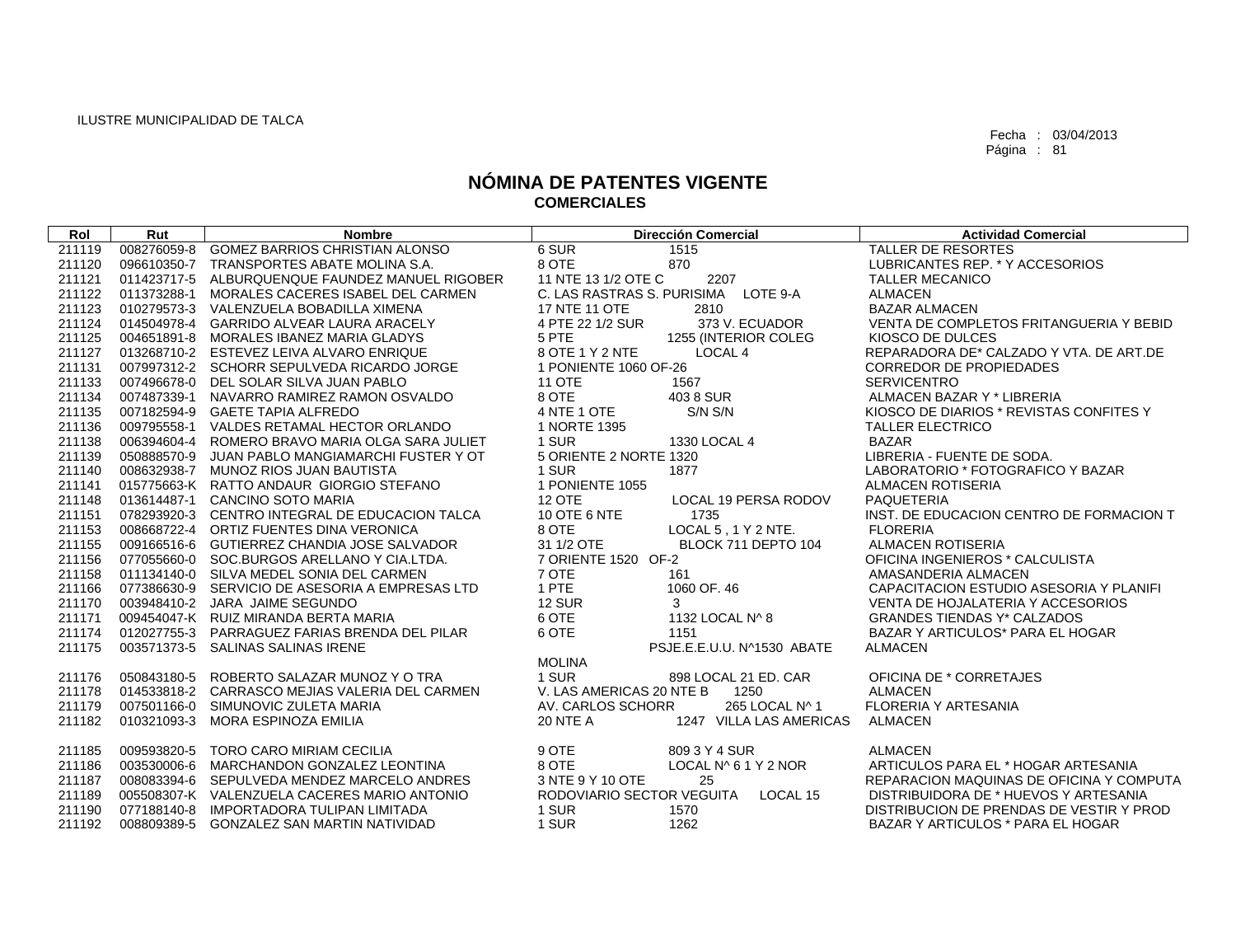| Rol    | Rut         | <b>Nombre</b>                                   | <b>Dirección Comercial</b>                 | <b>Actividad Comercial</b>               |
|--------|-------------|-------------------------------------------------|--------------------------------------------|------------------------------------------|
| 211119 | 008276059-8 | GOMEZ BARRIOS CHRISTIAN ALONSO                  | 6 SUR<br>1515                              | TALLER DE RESORTES                       |
| 211120 |             | 096610350-7 TRANSPORTES ABATE MOLINA S.A.       | 8 OTE<br>870                               | LUBRICANTES REP. * Y ACCESORIOS          |
| 211121 |             | 011423717-5 ALBURQUENQUE FAUNDEZ MANUEL RIGOBER | 11 NTE 13 1/2 OTE C<br>2207                | <b>TALLER MECANICO</b>                   |
| 211122 |             | 011373288-1 MORALES CACERES ISABEL DEL CARMEN   | C. LAS RASTRAS S. PURISIMA LOTE 9-A        | <b>ALMACEN</b>                           |
| 211123 |             | 010279573-3 VALENZUELA BOBADILLA XIMENA         | 17 NTE 11 OTE<br>2810                      | <b>BAZAR ALMACEN</b>                     |
| 211124 |             | 014504978-4 GARRIDO ALVEAR LAURA ARACELY        | 373 V. ECUADOR<br>4 PTE 22 1/2 SUR         | VENTA DE COMPLETOS FRITANGUERIA Y BEBID  |
| 211125 |             | 004651891-8 MORALES IBANEZ MARIA GLADYS         | 1255 (INTERIOR COLEG<br>5 PTE              | KIOSCO DE DULCES                         |
| 211127 |             | 013268710-2 ESTEVEZ LEIVA ALVARO ENRIQUE        | 8 OTE 1 Y 2 NTE<br>LOCAL <sub>4</sub>      | REPARADORA DE* CALZADO Y VTA. DE ART.DE  |
| 211131 |             | 007997312-2 SCHORR SEPULVEDA RICARDO JORGE      | 1 PONIENTE 1060 OF-26                      | <b>CORREDOR DE PROPIEDADES</b>           |
| 211133 |             | 007496678-0 DEL SOLAR SILVA JUAN PABLO          | <b>11 OTE</b><br>1567                      | <b>SERVICENTRO</b>                       |
| 211134 | 007487339-1 | NAVARRO RAMIREZ RAMON OSVALDO                   | 8 OTE<br>403 8 SUR                         | ALMACEN BAZAR Y * LIBRERIA               |
| 211135 |             | 007182594-9 GAETE TAPIA ALFREDO                 | S/N S/N<br>4 NTE 1 OTE                     | KIOSCO DE DIARIOS * REVISTAS CONFITES Y  |
| 211136 |             | 009795558-1 VALDES RETAMAL HECTOR ORLANDO       | 1 NORTE 1395                               | <b>TALLER ELECTRICO</b>                  |
| 211138 |             | 006394604-4 ROMERO BRAVO MARIA OLGA SARA JULIET | 1 SUR<br>1330 LOCAL 4                      | <b>BAZAR</b>                             |
| 211139 |             | 050888570-9 JUAN PABLO MANGIAMARCHI FUSTER Y OT | 5 ORIENTE 2 NORTE 1320                     | LIBRERIA - FUENTE DE SODA.               |
| 211140 |             | 008632938-7 MUNOZ RIOS JUAN BAUTISTA            | 1 SUR<br>1877                              | LABORATORIO * FOTOGRAFICO Y BAZAR        |
| 211141 |             | 015775663-K RATTO ANDAUR GIORGIO STEFANO        | 1 PONIENTE 1055                            | <b>ALMACEN ROTISERIA</b>                 |
| 211148 |             | 013614487-1 CANCINO SOTO MARIA                  | <b>12 OTE</b><br>LOCAL 19 PERSA RODOV      | PAQUETERIA                               |
| 211151 |             | 078293920-3 CENTRO INTEGRAL DE EDUCACION TALCA  | 10 OTE 6 NTE<br>1735                       | INST. DE EDUCACION CENTRO DE FORMACION T |
| 211153 |             | 008668722-4 ORTIZ FUENTES DINA VERONICA         | 8 OTE<br>LOCAL 5, 1 Y 2 NTE.               | <b>FLORERIA</b>                          |
| 211155 |             | 009166516-6 GUTIERREZ CHANDIA JOSE SALVADOR     | 31 1/2 OTE<br>BLOCK 711 DEPTO 104          | <b>ALMACEN ROTISERIA</b>                 |
| 211156 |             | 077055660-0 SOC.BURGOS ARELLANO Y CIA.LTDA.     | 7 ORIENTE 1520 OF-2                        | OFICINA INGENIEROS * CALCULISTA          |
| 211158 |             | 011134140-0 SILVA MEDEL SONIA DEL CARMEN        | 7 OTE<br>161                               | AMASANDERIA ALMACEN                      |
| 211166 |             | 077386630-9 SERVICIO DE ASESORIA A EMPRESAS LTD | 1 PTE<br>1060 OF, 46                       | CAPACITACION ESTUDIO ASESORIA Y PLANIFI  |
| 211170 |             | 003948410-2 JARA JAIME SEGUNDO                  | <b>12 SUR</b><br>3                         | VENTA DE HOJALATERIA Y ACCESORIOS        |
| 211171 |             | 009454047-K RUIZ MIRANDA BERTA MARIA            | 6 OTE<br>1132 LOCAL N^ 8                   | <b>GRANDES TIENDAS Y* CALZADOS</b>       |
| 211174 |             | 012027755-3 PARRAGUEZ FARIAS BRENDA DEL PILAR   | 6 OTE<br>1151                              | BAZAR Y ARTICULOS* PARA EL HOGAR         |
| 211175 | 003571373-5 | SALINAS SALINAS IRENE                           | PSJE.E.E.U.U. N^1530 ABATE                 | ALMACEN                                  |
|        |             |                                                 | <b>MOLINA</b>                              |                                          |
| 211176 |             | 050843180-5 ROBERTO SALAZAR MUNOZ Y O TRA       | 1 SUR<br>898 LOCAL 21 ED. CAR              | OFICINA DE * CORRETAJES                  |
| 211178 |             | 014533818-2 CARRASCO MEJIAS VALERIA DEL CARMEN  | V. LAS AMERICAS 20 NTE B<br>1250           | <b>ALMACEN</b>                           |
| 211179 | 007501166-0 | SIMUNOVIC ZULETA MARIA                          | 265 LOCAL N^ 1<br>AV. CARLOS SCHORR        | <b>FLORERIA Y ARTESANIA</b>              |
| 211182 | 010321093-3 | MORA ESPINOZA EMILIA                            | <b>20 NTE A</b><br>1247 VILLA LAS AMERICAS | <b>ALMACEN</b>                           |
| 211185 |             | 009593820-5 TORO CARO MIRIAM CECILIA            | 9 OTE<br>809 3 Y 4 SUR                     | <b>ALMACEN</b>                           |
| 211186 |             | 003530006-6 MARCHANDON GONZALEZ LEONTINA        | 8 OTE<br>LOCAL N^ 6 1 Y 2 NOR              | ARTICULOS PARA EL * HOGAR ARTESANIA      |
| 211187 |             | 008083394-6 SEPULVEDA MENDEZ MARCELO ANDRES     | 3 NTE 9 Y 10 OTE<br>25                     | REPARACION MAQUINAS DE OFICINA Y COMPUTA |
| 211189 |             | 005508307-K VALENZUELA CACERES MARIO ANTONIO    | RODOVIARIO SECTOR VEGUITA<br>LOCAL 15      | DISTRIBUIDORA DE * HUEVOS Y ARTESANIA    |
| 211190 | 077188140-8 | IMPORTADORA TULIPAN LIMITADA                    | 1 SUR<br>1570                              | DISTRIBUCION DE PRENDAS DE VESTIR Y PROD |
| 211192 |             | 008809389-5 GONZALEZ SAN MARTIN NATIVIDAD       | 1 SUR<br>1262                              | BAZAR Y ARTICULOS * PARA EL HOGAR        |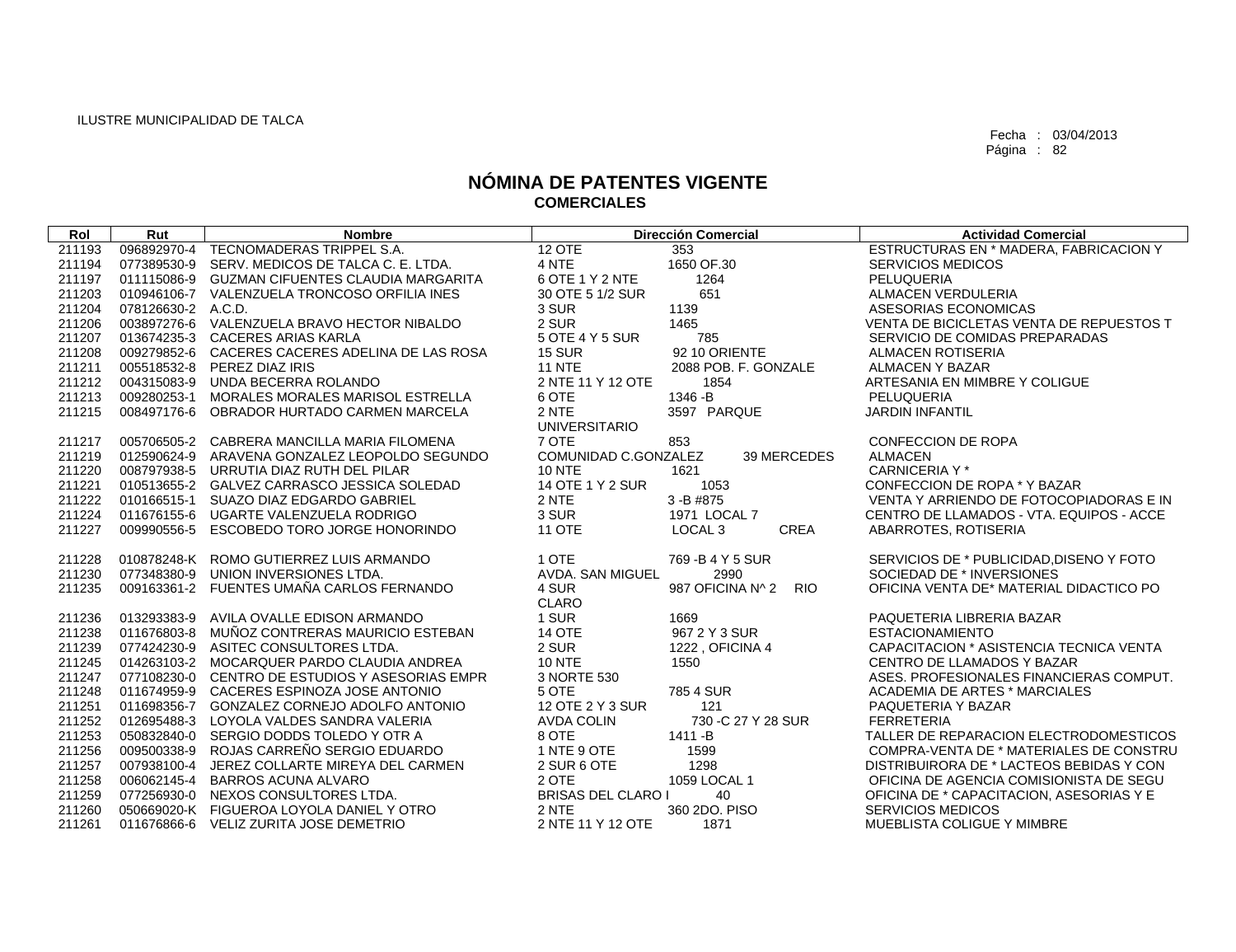| Rol    | Rut                | <b>Nombre</b>                                   |                           | <b>Dirección Comercial</b>     | <b>Actividad Comercial</b>               |
|--------|--------------------|-------------------------------------------------|---------------------------|--------------------------------|------------------------------------------|
| 211193 |                    | 096892970-4 TECNOMADERAS TRIPPEL S.A.           | <b>12 OTE</b>             | 353                            | ESTRUCTURAS EN * MADERA, FABRICACION Y   |
| 211194 |                    | 077389530-9 SERV, MEDICOS DE TALCA C. E. LTDA.  | 4 NTE                     | 1650 OF.30                     | <b>SERVICIOS MEDICOS</b>                 |
| 211197 |                    | 011115086-9 GUZMAN CIFUENTES CLAUDIA MARGARITA  | 6 OTE 1 Y 2 NTE           | 1264                           | <b>PELUQUERIA</b>                        |
| 211203 |                    | 010946106-7 VALENZUELA TRONCOSO ORFILIA INES    | 30 OTE 5 1/2 SUR          | 651                            | <b>ALMACEN VERDULERIA</b>                |
| 211204 | 078126630-2 A.C.D. |                                                 | 3 SUR                     | 1139                           | ASESORIAS ECONOMICAS                     |
| 211206 |                    | 003897276-6 VALENZUELA BRAVO HECTOR NIBALDO     | 2 SUR                     | 1465                           | VENTA DE BICICLETAS VENTA DE REPUESTOS T |
| 211207 |                    | 013674235-3 CACERES ARIAS KARLA                 | 5 OTE 4 Y 5 SUR           | 785                            | SERVICIO DE COMIDAS PREPARADAS           |
| 211208 |                    | 009279852-6 CACERES CACERES ADELINA DE LAS ROSA | <b>15 SUR</b>             | 92 10 ORIENTE                  | <b>ALMACEN ROTISERIA</b>                 |
| 211211 |                    | 005518532-8 PEREZ DIAZ IRIS                     | <b>11 NTE</b>             | 2088 POB. F. GONZALE           | ALMACEN Y BAZAR                          |
| 211212 |                    | 004315083-9 UNDA BECERRA ROLANDO                | 2 NTE 11 Y 12 OTE         | 1854                           | ARTESANIA EN MIMBRE Y COLIGUE            |
| 211213 |                    | 009280253-1 MORALES MORALES MARISOL ESTRELLA    | 6 OTE                     | 1346 - B                       | <b>PELUQUERIA</b>                        |
| 211215 |                    | 008497176-6 OBRADOR HURTADO CARMEN MARCELA      | 2 NTE                     | 3597 PARQUE                    | <b>JARDIN INFANTIL</b>                   |
|        |                    |                                                 | <b>UNIVERSITARIO</b>      |                                |                                          |
| 211217 |                    | 005706505-2 CABRERA MANCILLA MARIA FILOMENA     | 7 OTE                     | 853                            | <b>CONFECCION DE ROPA</b>                |
| 211219 |                    | 012590624-9 ARAVENA GONZALEZ LEOPOLDO SEGUNDO   | COMUNIDAD C.GONZALEZ      | 39 MERCEDES                    | <b>ALMACEN</b>                           |
| 211220 |                    | 008797938-5 URRUTIA DIAZ RUTH DEL PILAR         | <b>10 NTE</b>             | 1621                           | CARNICERIA Y *                           |
| 211221 |                    | 010513655-2 GALVEZ CARRASCO JESSICA SOLEDAD     | 14 OTE 1 Y 2 SUR          | 1053                           | CONFECCION DE ROPA * Y BAZAR             |
| 211222 |                    | 010166515-1 SUAZO DIAZ EDGARDO GABRIEL          | 2 NTE                     | 3-B #875                       | VENTA Y ARRIENDO DE FOTOCOPIADORAS E IN  |
| 211224 |                    | 011676155-6 UGARTE VALENZUELA RODRIGO           | 3 SUR                     | 1971 LOCAL 7                   | CENTRO DE LLAMADOS - VTA. EQUIPOS - ACCE |
| 211227 | 009990556-5        | ESCOBEDO TORO JORGE HONORINDO                   | <b>11 OTE</b>             | CREA<br>LOCAL <sub>3</sub>     | ABARROTES, ROTISERIA                     |
| 211228 |                    | 010878248-K ROMO GUTIERREZ LUIS ARMANDO         | 1 OTE                     | 769 - B 4 Y 5 SUR              | SERVICIOS DE * PUBLICIDAD. DISENO Y FOTO |
| 211230 | 077348380-9        | UNION INVERSIONES LTDA.                         | AVDA. SAN MIGUEL          | 2990                           | SOCIEDAD DE * INVERSIONES                |
| 211235 |                    | 009163361-2 FUENTES UMAÑA CARLOS FERNANDO       | 4 SUR                     | 987 OFICINA Nº 2<br><b>RIO</b> | OFICINA VENTA DE* MATERIAL DIDACTICO PO  |
|        |                    |                                                 | <b>CLARO</b>              |                                |                                          |
| 211236 |                    | 013293383-9 AVILA OVALLE EDISON ARMANDO         | 1 SUR                     | 1669                           | PAQUETERIA LIBRERIA BAZAR                |
| 211238 |                    | 011676803-8 MUÑOZ CONTRERAS MAURICIO ESTEBAN    | <b>14 OTE</b>             | 967 2 Y 3 SUR                  | <b>ESTACIONAMIENTO</b>                   |
| 211239 |                    | 077424230-9 ASITEC CONSULTORES LTDA.            | 2 SUR                     | 1222, OFICINA 4                | CAPACITACION * ASISTENCIA TECNICA VENTA  |
| 211245 |                    | 014263103-2 MOCARQUER PARDO CLAUDIA ANDREA      | <b>10 NTE</b>             | 1550                           | CENTRO DE LLAMADOS Y BAZAR               |
| 211247 |                    | 077108230-0 CENTRO DE ESTUDIOS Y ASESORIAS EMPR | 3 NORTE 530               |                                | ASES. PROFESIONALES FINANCIERAS COMPUT.  |
| 211248 |                    | 011674959-9 CACERES ESPINOZA JOSE ANTONIO       | 5 OTE                     | 785 4 SUR                      | ACADEMIA DE ARTES * MARCIALES            |
| 211251 |                    | 011698356-7 GONZALEZ CORNEJO ADOLFO ANTONIO     | 12 OTE 2 Y 3 SUR          | 121                            | PAQUETERIA Y BAZAR                       |
| 211252 | 012695488-3        | LOYOLA VALDES SANDRA VALERIA                    | <b>AVDA COLIN</b>         | 730 - C 27 Y 28 SUR            | <b>FERRETERIA</b>                        |
| 211253 |                    | 050832840-0 SERGIO DODDS TOLEDO Y OTR A         | 8 OTE                     | 1411 - B                       | TALLER DE REPARACION ELECTRODOMESTICOS   |
| 211256 |                    | 009500338-9 ROJAS CARREÑO SERGIO EDUARDO        | 1 NTE 9 OTE               | 1599                           | COMPRA-VENTA DE * MATERIALES DE CONSTRU  |
| 211257 |                    | 007938100-4 JEREZ COLLARTE MIREYA DEL CARMEN    | 2 SUR 6 OTE               | 1298                           | DISTRIBUIRORA DE * LACTEOS BEBIDAS Y CON |
| 211258 | 006062145-4        | <b>BARROS ACUNA ALVARO</b>                      | 2 OTE                     | 1059 LOCAL 1                   | OFICINA DE AGENCIA COMISIONISTA DE SEGU  |
| 211259 |                    | 077256930-0 NEXOS CONSULTORES LTDA.             | <b>BRISAS DEL CLARO I</b> | 40                             | OFICINA DE * CAPACITACION, ASESORIAS Y E |
| 211260 |                    | 050669020-K FIGUEROA LOYOLA DANIEL Y OTRO       | 2 NTE                     | 360 2DO. PISO                  | <b>SERVICIOS MEDICOS</b>                 |
| 211261 |                    | 011676866-6 VELIZ ZURITA JOSE DEMETRIO          | 2 NTE 11 Y 12 OTE         | 1871                           | <b>MUEBLISTA COLIGUE Y MIMBRE</b>        |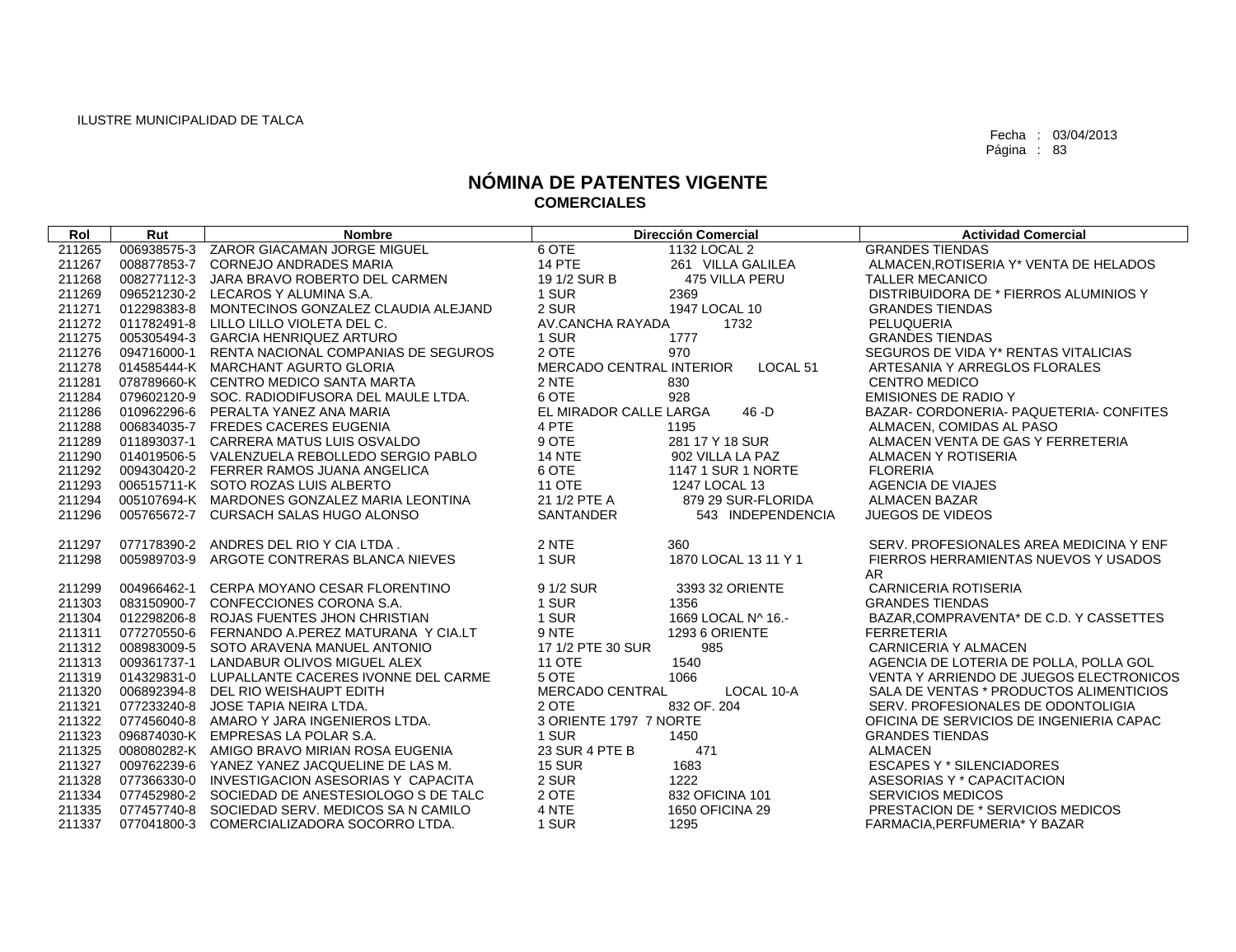| Rol    | Rut         | <b>Nombre</b>                                   |                          | <b>Dirección Comercial</b> | <b>Actividad Comercial</b>                  |
|--------|-------------|-------------------------------------------------|--------------------------|----------------------------|---------------------------------------------|
| 211265 |             | 006938575-3 ZAROR GIACAMAN JORGE MIGUEL         | 6 OTE                    | 1132 LOCAL 2               | <b>GRANDES TIENDAS</b>                      |
| 211267 |             | 008877853-7 CORNEJO ANDRADES MARIA              | <b>14 PTE</b>            | 261 VILLA GALILEA          | ALMACEN, ROTISERIA Y* VENTA DE HELADOS      |
| 211268 |             | 008277112-3 JARA BRAVO ROBERTO DEL CARMEN       | 19 1/2 SUR B             | 475 VILLA PERU             | <b>TALLER MECANICO</b>                      |
| 211269 |             | 096521230-2 LECAROS Y ALUMINA S.A.              | 1 SUR                    | 2369                       | DISTRIBUIDORA DE * FIERROS ALUMINIOS Y      |
| 211271 | 012298383-8 | MONTECINOS GONZALEZ CLAUDIA ALEJAND             | 2 SUR                    | 1947 LOCAL 10              | <b>GRANDES TIENDAS</b>                      |
| 211272 |             | 011782491-8 LILLO LILLO VIOLETA DEL C.          | AV.CANCHA RAYADA         | 1732                       | PELUQUERIA                                  |
| 211275 |             | 005305494-3 GARCIA HENRIQUEZ ARTURO             | 1 SUR                    | 1777                       | <b>GRANDES TIENDAS</b>                      |
| 211276 |             | 094716000-1 RENTA NACIONAL COMPANIAS DE SEGUROS | 2 OTE                    | 970                        | SEGUROS DE VIDA Y* RENTAS VITALICIAS        |
| 211278 |             | 014585444-K MARCHANT AGURTO GLORIA              | MERCADO CENTRAL INTERIOR | LOCAL <sub>51</sub>        | ARTESANIA Y ARREGLOS FLORALES               |
| 211281 |             | 078789660-K CENTRO MEDICO SANTA MARTA           | 2 NTE                    | 830                        | <b>CENTRO MEDICO</b>                        |
| 211284 |             | 079602120-9 SOC. RADIODIFUSORA DEL MAULE LTDA.  | 6 OTE                    | 928                        | <b>EMISIONES DE RADIO Y</b>                 |
| 211286 |             | 010962296-6 PERALTA YANEZ ANA MARIA             | EL MIRADOR CALLE LARGA   | $46 - D$                   | BAZAR- CORDONERIA- PAQUETERIA- CONFITES     |
| 211288 |             | 006834035-7 FREDES CACERES EUGENIA              | 4 PTE                    | 1195                       | ALMACEN, COMIDAS AL PASO                    |
| 211289 |             | 011893037-1 CARRERA MATUS LUIS OSVALDO          | 9 OTE                    | 281 17 Y 18 SUR            | ALMACEN VENTA DE GAS Y FERRETERIA           |
| 211290 |             | 014019506-5 VALENZUELA REBOLLEDO SERGIO PABLO   | 14 NTE                   | 902 VILLA LA PAZ           | ALMACEN Y ROTISERIA                         |
| 211292 |             | 009430420-2 FERRER RAMOS JUANA ANGELICA         | 6 OTE                    | 1147 1 SUR 1 NORTE         | <b>FLORERIA</b>                             |
| 211293 |             | 006515711-K SOTO ROZAS LUIS ALBERTO             | <b>11 OTE</b>            | 1247 LOCAL 13              | AGENCIA DE VIAJES                           |
| 211294 |             | 005107694-K MARDONES GONZALEZ MARIA LEONTINA    | 21 1/2 PTE A             | 879 29 SUR-FLORIDA         | <b>ALMACEN BAZAR</b>                        |
| 211296 |             | 005765672-7 CURSACH SALAS HUGO ALONSO           | SANTANDER                | 543 INDEPENDENCIA          | <b>JUEGOS DE VIDEOS</b>                     |
| 211297 |             | 077178390-2 ANDRES DEL RIO Y CIA LTDA.          | 2 NTE                    | 360                        | SERV. PROFESIONALES AREA MEDICINA Y ENF     |
| 211298 |             | 005989703-9 ARGOTE CONTRERAS BLANCA NIEVES      | 1 SUR                    | 1870 LOCAL 13 11 Y 1       | FIERROS HERRAMIENTAS NUEVOS Y USADOS<br>AR. |
| 211299 |             | 004966462-1 CERPA MOYANO CESAR FLORENTINO       | 9 1/2 SUR                | 3393 32 ORIENTE            | <b>CARNICERIA ROTISERIA</b>                 |
| 211303 |             | 083150900-7 CONFECCIONES CORONA S.A.            | 1 SUR                    | 1356                       | <b>GRANDES TIENDAS</b>                      |
| 211304 |             | 012298206-8 ROJAS FUENTES JHON CHRISTIAN        | 1 SUR                    | 1669 LOCAL N^ 16.-         | BAZAR.COMPRAVENTA* DE C.D. Y CASSETTES      |
| 211311 |             | 077270550-6 FERNANDO A.PEREZ MATURANA Y CIA.LT  | 9 NTE                    | <b>1293 6 ORIENTE</b>      | <b>FERRETERIA</b>                           |
| 211312 |             | 008983009-5 SOTO ARAVENA MANUEL ANTONIO         | 17 1/2 PTE 30 SUR        | 985                        | <b>CARNICERIA Y ALMACEN</b>                 |
| 211313 |             | 009361737-1 LANDABUR OLIVOS MIGUEL ALEX         | <b>11 OTE</b>            | 1540                       | AGENCIA DE LOTERIA DE POLLA, POLLA GOL      |
| 211319 |             | 014329831-0 LUPALLANTE CACERES IVONNE DEL CARME | 5 OTE                    | 1066                       | VENTA Y ARRIENDO DE JUEGOS ELECTRONICOS     |
| 211320 |             | 006892394-8 DEL RIO WEISHAUPT EDITH             | MERCADO CENTRAL          | LOCAL 10-A                 | SALA DE VENTAS * PRODUCTOS ALIMENTICIOS     |
| 211321 |             | 077233240-8 JOSE TAPIA NEIRA LTDA.              | 2 OTE                    | 832 OF. 204                | SERV. PROFESIONALES DE ODONTOLIGIA          |
| 211322 |             | 077456040-8 AMARO Y JARA INGENIEROS LTDA.       | 3 ORIENTE 1797 7 NORTE   |                            | OFICINA DE SERVICIOS DE INGENIERIA CAPAC    |
| 211323 |             | 096874030-K EMPRESAS LA POLAR S.A.              | 1 SUR                    | 1450                       | <b>GRANDES TIENDAS</b>                      |
| 211325 |             | 008080282-K AMIGO BRAVO MIRIAN ROSA EUGENIA     | 23 SUR 4 PTE B           | 471                        | <b>ALMACEN</b>                              |
| 211327 |             | 009762239-6 YANEZ YANEZ JACQUELINE DE LAS M.    | <b>15 SUR</b>            | 1683                       | <b>ESCAPES Y * SILENCIADORES</b>            |
| 211328 |             | 077366330-0 INVESTIGACION ASESORIAS Y CAPACITA  | 2 SUR                    | 1222                       | ASESORIAS Y * CAPACITACION                  |
| 211334 |             | 077452980-2 SOCIEDAD DE ANESTESIOLOGO S DE TALC | 2 OTE                    | 832 OFICINA 101            | <b>SERVICIOS MEDICOS</b>                    |
| 211335 |             | 077457740-8 SOCIEDAD SERV. MEDICOS SA N CAMILO  | 4 NTE                    | 1650 OFICINA 29            | PRESTACION DE * SERVICIOS MEDICOS           |
| 211337 |             | 077041800-3 COMERCIALIZADORA SOCORRO LTDA.      | 1 SUR                    | 1295                       | FARMACIA.PERFUMERIA* Y BAZAR                |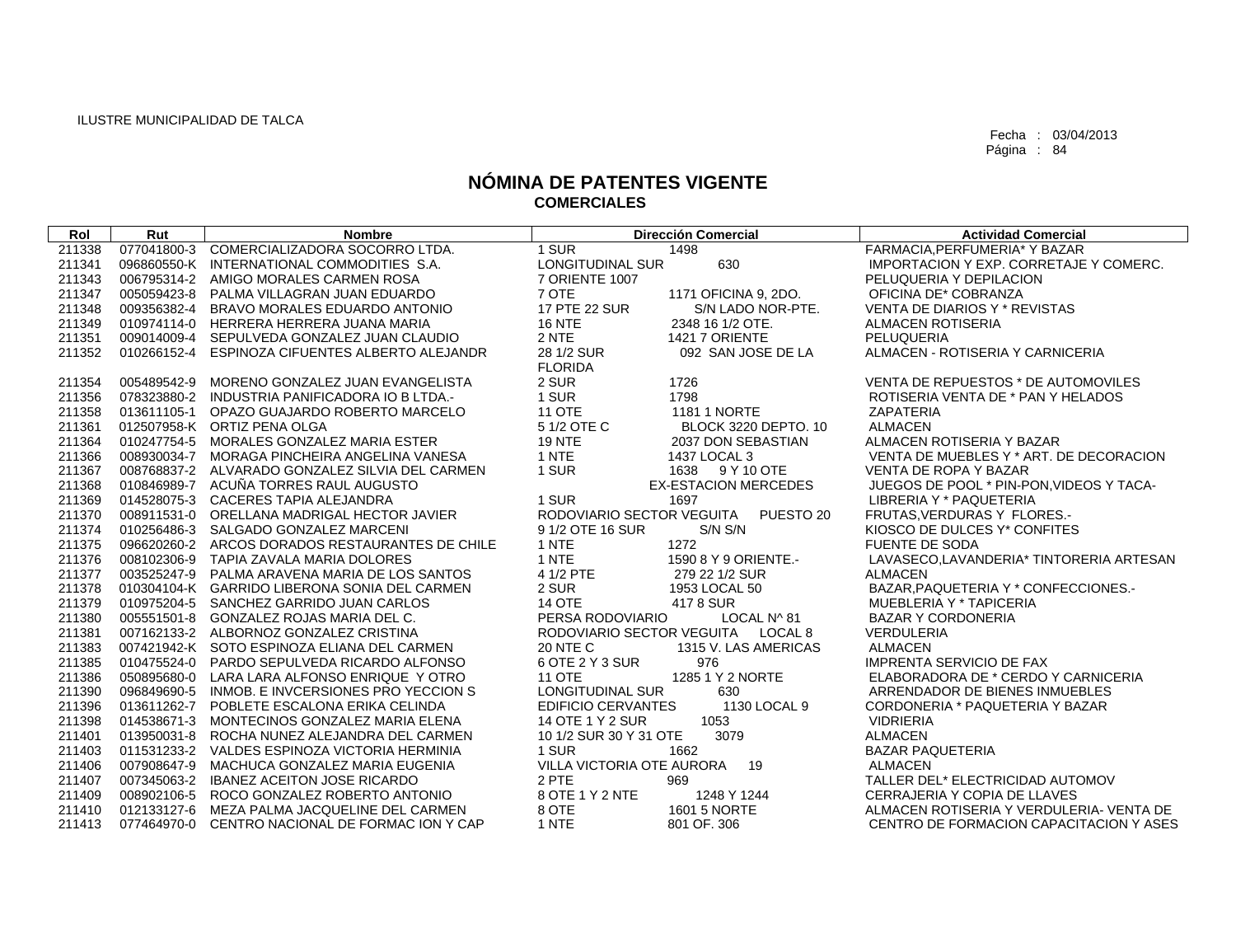| Rol    | Rut         | <b>Nombre</b>                                   | <b>Dirección Comercial</b>                 | <b>Actividad Comercial</b>                    |
|--------|-------------|-------------------------------------------------|--------------------------------------------|-----------------------------------------------|
| 211338 |             | 077041800-3 COMERCIALIZADORA SOCORRO LTDA.      | 1 SUR<br>1498                              | FARMACIA.PERFUMERIA* Y BAZAR                  |
| 211341 |             | 096860550-K INTERNATIONAL COMMODITIES S.A.      | 630<br>LONGITUDINAL SUR                    | <b>IMPORTACION Y EXP. CORRETAJE Y COMERC.</b> |
| 211343 |             | 006795314-2 AMIGO MORALES CARMEN ROSA           | 7 ORIENTE 1007                             | PELUQUERIA Y DEPILACION                       |
| 211347 |             | 005059423-8 PALMA VILLAGRAN JUAN EDUARDO        | 7 OTE<br>1171 OFICINA 9, 2DO.              | OFICINA DE* COBRANZA                          |
| 211348 |             | 009356382-4 BRAVO MORALES EDUARDO ANTONIO       | 17 PTE 22 SUR<br>S/N LADO NOR-PTE.         | VENTA DE DIARIOS Y * REVISTAS                 |
| 211349 |             | 010974114-0 HERRERA HERRERA JUANA MARIA         | <b>16 NTE</b><br>2348 16 1/2 OTE.          | ALMACEN ROTISERIA                             |
| 211351 |             | 009014009-4 SEPULVEDA GONZALEZ JUAN CLAUDIO     | 2 NTE<br><b>1421 7 ORIENTE</b>             | PELUQUERIA                                    |
| 211352 |             | 010266152-4 ESPINOZA CIFUENTES ALBERTO ALEJANDR | 28 1/2 SUR<br>092 SAN JOSE DE LA           | ALMACEN - ROTISERIA Y CARNICERIA              |
|        |             |                                                 | <b>FLORIDA</b>                             |                                               |
| 211354 |             | 005489542-9 MORENO GONZALEZ JUAN EVANGELISTA    | 2 SUR<br>1726                              | VENTA DE REPUESTOS * DE AUTOMOVILES           |
| 211356 |             | 078323880-2 INDUSTRIA PANIFICADORA IO B LTDA.   | 1 SUR<br>1798                              | ROTISERIA VENTA DE * PAN Y HELADOS            |
| 211358 |             | 013611105-1 OPAZO GUAJARDO ROBERTO MARCELO      | <b>11 OTE</b><br><b>1181 1 NORTE</b>       | <b>ZAPATERIA</b>                              |
| 211361 |             | 012507958-K ORTIZ PENA OLGA                     | 5 1/2 OTE C<br><b>BLOCK 3220 DEPTO. 10</b> | <b>ALMACEN</b>                                |
| 211364 |             | 010247754-5 MORALES GONZALEZ MARIA ESTER        | <b>19 NTE</b><br>2037 DON SEBASTIAN        | ALMACEN ROTISERIA Y BAZAR                     |
| 211366 |             | 008930034-7 MORAGA PINCHEIRA ANGELINA VANESA    | 1 NTE<br>1437 LOCAL 3                      | VENTA DE MUEBLES Y * ART. DE DECORACION       |
| 211367 |             | 008768837-2 ALVARADO GONZALEZ SILVIA DEL CARMEN | 1 SUR<br>1638 9 Y 10 OTE                   | VENTA DE ROPA Y BAZAR                         |
| 211368 |             | 010846989-7 ACUÑA TORRES RAUL AUGUSTO           | <b>EX-ESTACION MERCEDES</b>                | JUEGOS DE POOL * PIN-PON, VIDEOS Y TACA-      |
| 211369 |             | 014528075-3 CACERES TAPIA ALEJANDRA             | 1 SUR<br>1697                              | LIBRERIA Y * PAQUETERIA                       |
| 211370 |             | 008911531-0 ORELLANA MADRIGAL HECTOR JAVIER     | RODOVIARIO SECTOR VEGUITA<br>PUESTO 20     | FRUTAS.VERDURAS Y FLORES.-                    |
| 211374 |             | 010256486-3 SALGADO GONZALEZ MARCENI            | 9 1/2 OTE 16 SUR<br>S/N S/N                | KIOSCO DE DULCES Y* CONFITES                  |
| 211375 |             | 096620260-2 ARCOS DORADOS RESTAURANTES DE CHILE | 1 NTE<br>1272                              | <b>FUENTE DE SODA</b>                         |
| 211376 |             | 008102306-9 TAPIA ZAVALA MARIA DOLORES          | 1 NTE<br>1590 8 Y 9 ORIENTE.-              | LAVASECO,LAVANDERIA* TINTORERIA ARTESAN       |
| 211377 |             | 003525247-9 PALMA ARAVENA MARIA DE LOS SANTOS   | 4 1/2 PTE<br>279 22 1/2 SUR                | <b>ALMACEN</b>                                |
| 211378 |             | 010304104-K GARRIDO LIBERONA SONIA DEL CARMEN   | 2 SUR<br>1953 LOCAL 50                     | BAZAR, PAQUETERIA Y * CONFECCIONES.-          |
| 211379 |             | 010975204-5 SANCHEZ GARRIDO JUAN CARLOS         | <b>14 OTE</b><br>4178 SUR                  | MUEBLERIA Y * TAPICERIA                       |
| 211380 |             | 005551501-8 GONZALEZ ROJAS MARIA DEL C.         | PERSA RODOVIARIO<br>LOCAL N^ 81            | <b>BAZAR Y CORDONERIA</b>                     |
| 211381 |             | 007162133-2 ALBORNOZ GONZALEZ CRISTINA          | RODOVIARIO SECTOR VEGUITA LOCAL 8          | <b>VERDULERIA</b>                             |
| 211383 |             | 007421942-K SOTO ESPINOZA ELIANA DEL CARMEN     | 1315 V. LAS AMERICAS<br><b>20 NTE C</b>    | <b>ALMACEN</b>                                |
| 211385 |             | 010475524-0 PARDO SEPULVEDA RICARDO ALFONSO     | 6 OTE 2 Y 3 SUR<br>976                     | <b>IMPRENTA SERVICIO DE FAX</b>               |
| 211386 |             | 050895680-0 LARA LARA ALFONSO ENRIQUE Y OTRO    | <b>11 OTE</b><br>1285 1 Y 2 NORTE          | ELABORADORA DE * CERDO Y CARNICERIA           |
| 211390 | 096849690-5 | INMOB. E INVCERSIONES PRO YECCION S             | LONGITUDINAL SUR<br>630                    | ARRENDADOR DE BIENES INMUEBLES                |
| 211396 |             | 013611262-7 POBLETE ESCALONA ERIKA CELINDA      | <b>EDIFICIO CERVANTES</b><br>1130 LOCAL 9  | CORDONERIA * PAQUETERIA Y BAZAR               |
| 211398 |             | 014538671-3 MONTECINOS GONZALEZ MARIA ELENA     | 14 OTE 1 Y 2 SUR<br>1053                   | <b>VIDRIERIA</b>                              |
| 211401 |             | 013950031-8 ROCHA NUNEZ ALEJANDRA DEL CARMEN    | 10 1/2 SUR 30 Y 31 OTE<br>3079             | <b>ALMACEN</b>                                |
| 211403 |             | 011531233-2 VALDES ESPINOZA VICTORIA HERMINIA   | 1 SUR<br>1662                              | <b>BAZAR PAQUETERIA</b>                       |
| 211406 |             | 007908647-9 MACHUCA GONZALEZ MARIA EUGENIA      | VILLA VICTORIA OTE AURORA<br>19            | <b>ALMACEN</b>                                |
| 211407 |             | 007345063-2 IBANEZ ACEITON JOSE RICARDO         | 2 PTE<br>969                               | TALLER DEL* ELECTRICIDAD AUTOMOV              |
| 211409 |             | 008902106-5 ROCO GONZALEZ ROBERTO ANTONIO       | 8 OTE 1 Y 2 NTE<br>1248 Y 1244             | CERRAJERIA Y COPIA DE LLAVES                  |
| 211410 |             | 012133127-6 MEZA PALMA JACQUELINE DEL CARMEN    | 8 OTE<br>1601 5 NORTE                      | ALMACEN ROTISERIA Y VERDULERIA- VENTA DE      |
| 211413 |             | 077464970-0 CENTRO NACIONAL DE FORMAC ION Y CAP | 1 NTE<br>801 OF. 306                       | CENTRO DE FORMACION CAPACITACION Y ASES       |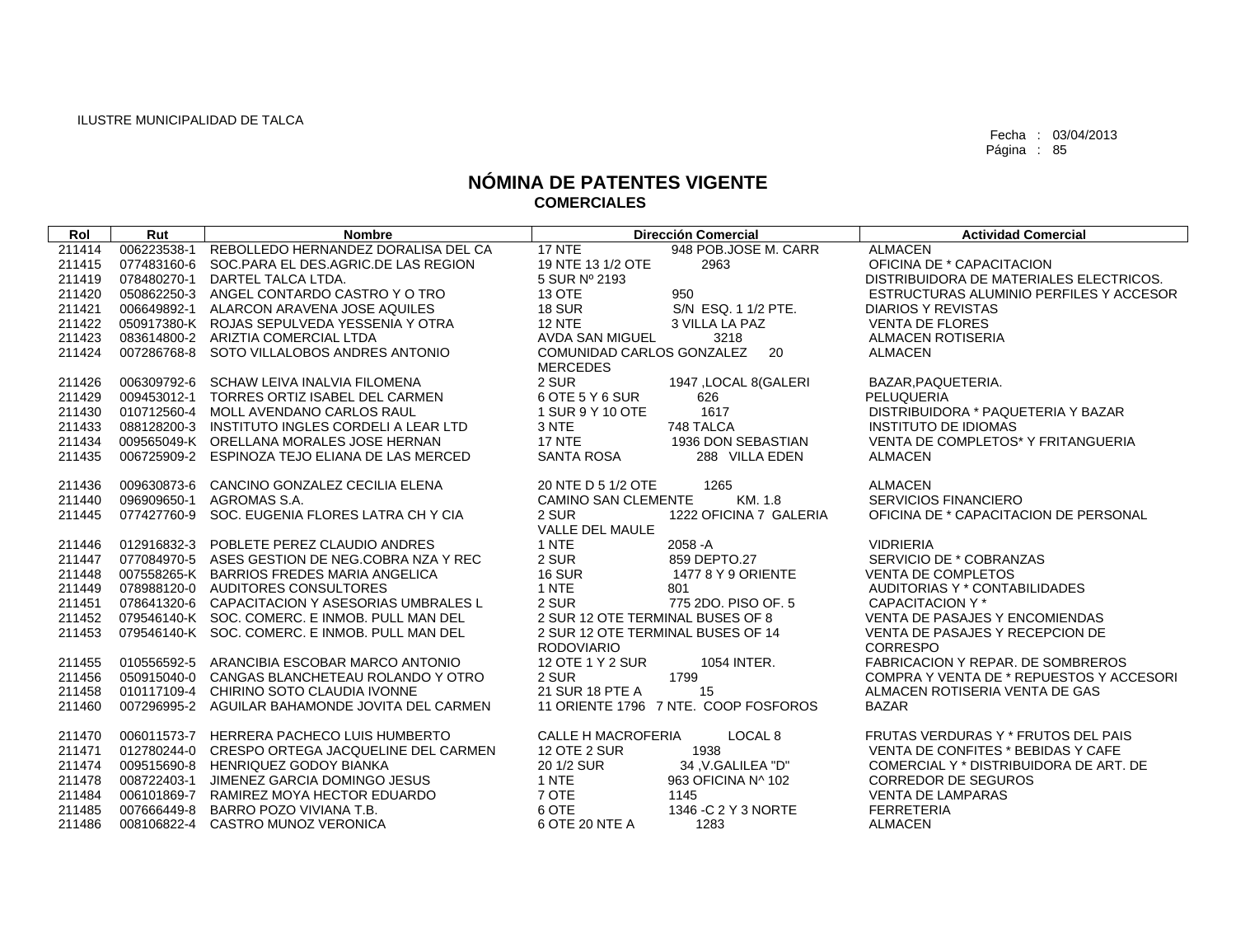| Rol    | Rut         | <b>Nombre</b>                                   |                                                 | <b>Dirección Comercial</b>           | <b>Actividad Comercial</b>               |
|--------|-------------|-------------------------------------------------|-------------------------------------------------|--------------------------------------|------------------------------------------|
| 211414 | 006223538-1 | REBOLLEDO HERNANDEZ DORALISA DEL CA             | 17 NTE                                          | 948 POB.JOSE M. CARR                 | <b>ALMACEN</b>                           |
| 211415 |             | 077483160-6 SOC.PARA EL DES.AGRIC.DE LAS REGION | 19 NTE 13 1/2 OTE                               | 2963                                 | OFICINA DE * CAPACITACION                |
| 211419 |             | 078480270-1 DARTEL TALCA LTDA.                  | 5 SUR Nº 2193                                   |                                      | DISTRIBUIDORA DE MATERIALES ELECTRICOS.  |
| 211420 |             | 050862250-3 ANGEL CONTARDO CASTRO Y O TRO       | 13 OTE                                          | 950                                  | ESTRUCTURAS ALUMINIO PERFILES Y ACCESOR  |
| 211421 |             | 006649892-1 ALARCON ARAVENA JOSE AQUILES        | <b>18 SUR</b>                                   | S/N ESQ. 1 1/2 PTE.                  | <b>DIARIOS Y REVISTAS</b>                |
| 211422 |             | 050917380-K ROJAS SEPULVEDA YESSENIA Y OTRA     | <b>12 NTE</b>                                   | 3 VILLA LA PAZ                       | <b>VENTA DE FLORES</b>                   |
| 211423 |             | 083614800-2 ARIZTIA COMERCIAL LTDA              | AVDA SAN MIGUEL                                 | 3218                                 | <b>ALMACEN ROTISERIA</b>                 |
| 211424 |             | 007286768-8 SOTO VILLALOBOS ANDRES ANTONIO      | COMUNIDAD CARLOS GONZALEZ 20<br><b>MERCEDES</b> |                                      | ALMACEN                                  |
| 211426 |             | 006309792-6 SCHAW LEIVA INALVIA FILOMENA        | 2 SUR                                           | 1947, LOCAL 8(GALERI                 | BAZAR.PAQUETERIA.                        |
| 211429 | 009453012-1 | TORRES ORTIZ ISABEL DEL CARMEN                  | 6 OTE 5 Y 6 SUR                                 | 626                                  | PELUQUERIA                               |
| 211430 |             | 010712560-4 MOLL AVENDANO CARLOS RAUL           | 1 SUR 9 Y 10 OTE                                | 1617                                 | DISTRIBUIDORA * PAQUETERIA Y BAZAR       |
| 211433 |             | 088128200-3 INSTITUTO INGLES CORDELI A LEAR LTD | 3 NTE                                           | 748 TALCA                            | <b>INSTITUTO DE IDIOMAS</b>              |
| 211434 |             | 009565049-K ORELLANA MORALES JOSE HERNAN        | <b>17 NTE</b>                                   | 1936 DON SEBASTIAN                   | VENTA DE COMPLETOS* Y FRITANGUERIA       |
| 211435 |             | 006725909-2 ESPINOZA TEJO ELIANA DE LAS MERCED  | SANTA ROSA                                      | 288 VILLA EDEN                       | ALMACEN                                  |
|        |             |                                                 |                                                 |                                      |                                          |
| 211436 |             | 009630873-6 CANCINO GONZALEZ CECILIA ELENA      | 20 NTE D 5 1/2 OTE                              | 1265                                 | <b>ALMACEN</b>                           |
| 211440 |             | 096909650-1 AGROMAS S.A.                        | <b>CAMINO SAN CLEMENTE</b>                      | KM. 1.8                              | SERVICIOS FINANCIERO                     |
| 211445 |             | 077427760-9 SOC. EUGENIA FLORES LATRA CH Y CIA  | 2 SUR                                           | 1222 OFICINA 7 GALERIA               | OFICINA DE * CAPACITACION DE PERSONAL    |
|        |             |                                                 | VALLE DEL MAULE                                 |                                      |                                          |
| 211446 |             | 012916832-3 POBLETE PEREZ CLAUDIO ANDRES        | 1 NTE                                           | 2058 - A                             | <b>VIDRIERIA</b>                         |
| 211447 |             | 077084970-5 ASES GESTION DE NEG.COBRA NZA Y REC | 2 SUR                                           | 859 DEPTO.27                         | SERVICIO DE * COBRANZAS                  |
| 211448 |             | 007558265-K BARRIOS FREDES MARIA ANGELICA       | <b>16 SUR</b>                                   | 1477 8 Y 9 ORIENTE                   | <b>VENTA DE COMPLETOS</b>                |
| 211449 |             | 078988120-0 AUDITORES CONSULTORES               | 1 NTE                                           | 801                                  | AUDITORIAS Y * CONTABILIDADES            |
| 211451 |             | 078641320-6 CAPACITACION Y ASESORIAS UMBRALES L | 2 SUR                                           | 775 2DO, PISO OF, 5                  | CAPACITACION Y *                         |
| 211452 |             | 079546140-K SOC, COMERC, E INMOB, PULL MAN DEL  | 2 SUR 12 OTE TERMINAL BUSES OF 8                |                                      | <b>VENTA DE PASAJES Y ENCOMIENDAS</b>    |
| 211453 |             | 079546140-K SOC. COMERC. E INMOB. PULL MAN DEL  | 2 SUR 12 OTE TERMINAL BUSES OF 14               |                                      | VENTA DE PASAJES Y RECEPCION DE          |
|        |             |                                                 | <b>RODOVIARIO</b>                               |                                      | CORRESPO                                 |
| 211455 |             | 010556592-5 ARANCIBIA ESCOBAR MARCO ANTONIO     | 12 OTE 1 Y 2 SUR                                | 1054 INTER.                          | <b>FABRICACION Y REPAR. DE SOMBREROS</b> |
| 211456 |             | 050915040-0 CANGAS BLANCHETEAU ROLANDO Y OTRO   | 2 SUR                                           | 1799                                 | COMPRA Y VENTA DE * REPUESTOS Y ACCESORI |
| 211458 |             | 010117109-4 CHIRINO SOTO CLAUDIA IVONNE         | 21 SUR 18 PTE A                                 | 15                                   | ALMACEN ROTISERIA VENTA DE GAS           |
| 211460 |             | 007296995-2 AGUILAR BAHAMONDE JOVITA DEL CARMEN |                                                 | 11 ORIENTE 1796 7 NTE. COOP FOSFOROS | <b>BAZAR</b>                             |
| 211470 |             | 006011573-7 HERRERA PACHECO LUIS HUMBERTO       | <b>CALLE H MACROFERIA</b>                       | LOCAL 8                              | FRUTAS VERDURAS Y * FRUTOS DEL PAIS      |
| 211471 |             | 012780244-0 CRESPO ORTEGA JACQUELINE DEL CARMEN | <b>12 OTE 2 SUR</b>                             | 1938                                 | VENTA DE CONFITES * BEBIDAS Y CAFE       |
| 211474 |             | 009515690-8 HENRIQUEZ GODOY BIANKA              | 20 1/2 SUR                                      | 34 V.GALILEA "D"                     | COMERCIAL Y * DISTRIBUIDORA DE ART. DE   |
| 211478 | 008722403-1 | JIMENEZ GARCIA DOMINGO JESUS                    | 1 NTE                                           | 963 OFICINA N^ 102                   | <b>CORREDOR DE SEGUROS</b>               |
| 211484 | 006101869-7 | RAMIREZ MOYA HECTOR EDUARDO                     | 7 OTE                                           | 1145                                 | <b>VENTA DE LAMPARAS</b>                 |
| 211485 |             | 007666449-8 BARRO POZO VIVIANA T.B.             | 6 OTE                                           | 1346 - C 2 Y 3 NORTE                 | <b>FERRETERIA</b>                        |
| 211486 |             | 008106822-4 CASTRO MUNOZ VERONICA               | 6 OTE 20 NTE A                                  | 1283                                 | <b>ALMACEN</b>                           |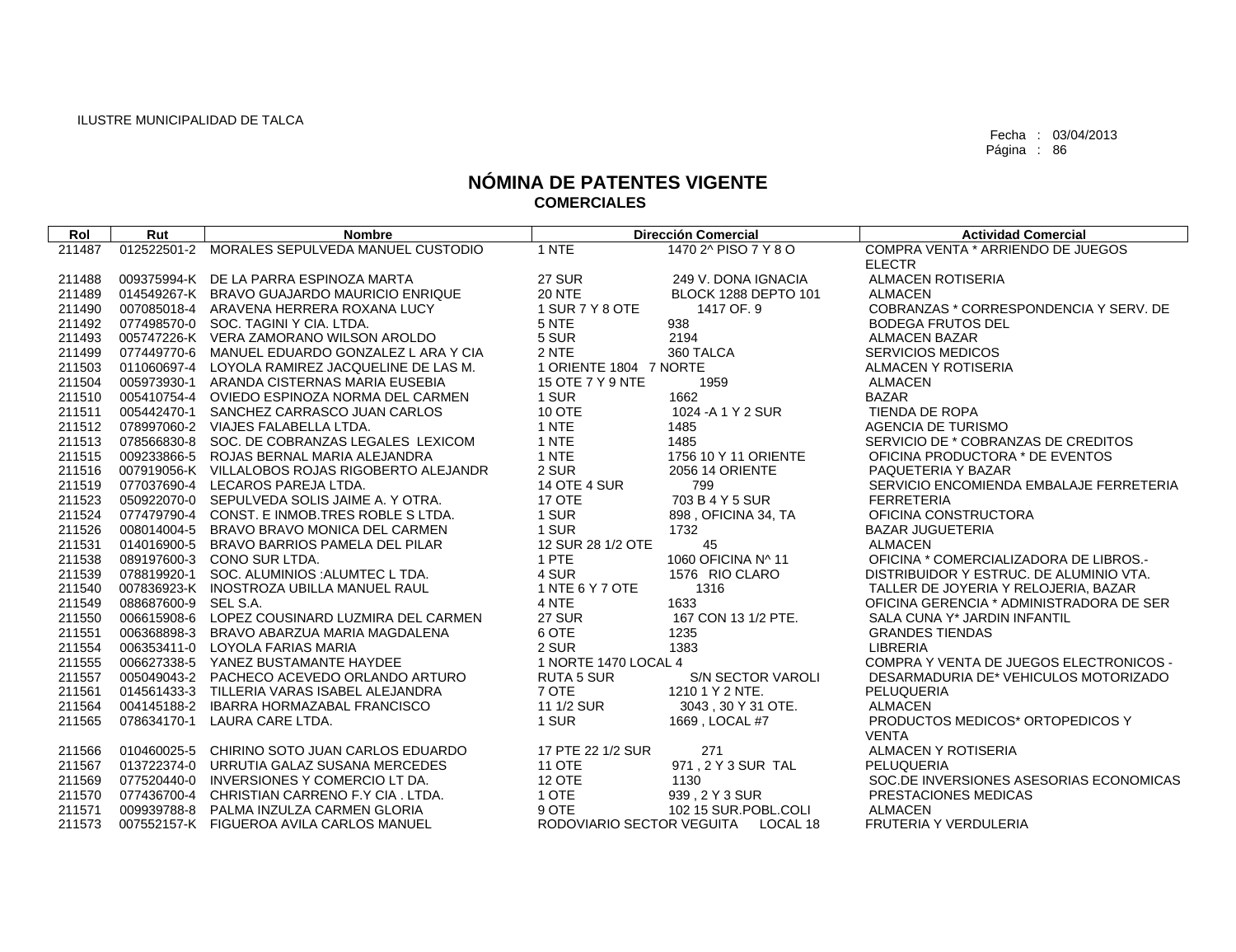| Rol    | Rut                  | <b>Nombre</b>                                   |                           | <b>Dirección Comercial</b>  | <b>Actividad Comercial</b>               |
|--------|----------------------|-------------------------------------------------|---------------------------|-----------------------------|------------------------------------------|
| 211487 |                      | 012522501-2 MORALES SEPULVEDA MANUEL CUSTODIO   | 1 NTE                     | 1470 2^ PISO 7 Y 8 O        | COMPRA VENTA * ARRIENDO DE JUEGOS        |
|        |                      |                                                 |                           |                             | <b>ELECTR</b>                            |
| 211488 |                      | 009375994-K DE LA PARRA ESPINOZA MARTA          | <b>27 SUR</b>             | 249 V. DONA IGNACIA         | <b>ALMACEN ROTISERIA</b>                 |
| 211489 |                      | 014549267-K BRAVO GUAJARDO MAURICIO ENRIQUE     | <b>20 NTE</b>             | <b>BLOCK 1288 DEPTO 101</b> | <b>ALMACEN</b>                           |
| 211490 |                      | 007085018-4 ARAVENA HERRERA ROXANA LUCY         | 1 SUR 7 Y 8 OTE           | 1417 OF, 9                  | COBRANZAS * CORRESPONDENCIA Y SERV. DE   |
| 211492 |                      | 077498570-0 SOC. TAGINI Y CIA. LTDA.            | 5 NTE                     | 938                         | <b>BODEGA FRUTOS DEL</b>                 |
| 211493 |                      | 005747226-K VERA ZAMORANO WILSON AROLDO         | 5 SUR                     | 2194                        | <b>ALMACEN BAZAR</b>                     |
| 211499 |                      | 077449770-6 MANUEL EDUARDO GONZALEZ L ARA Y CIA | 2 NTE                     | 360 TALCA                   | <b>SERVICIOS MEDICOS</b>                 |
| 211503 |                      | 011060697-4 LOYOLA RAMIREZ JACQUELINE DE LAS M. | 1 ORIENTE 1804 7 NORTE    |                             | ALMACEN Y ROTISERIA                      |
| 211504 |                      | 005973930-1 ARANDA CISTERNAS MARIA EUSEBIA      | 15 OTE 7 Y 9 NTE          | 1959                        | <b>ALMACEN</b>                           |
| 211510 |                      | 005410754-4 OVIEDO ESPINOZA NORMA DEL CARMEN    | 1 SUR                     | 1662                        | <b>BAZAR</b>                             |
| 211511 | 005442470-1          | SANCHEZ CARRASCO JUAN CARLOS                    | <b>10 OTE</b>             | 1024 - A 1 Y 2 SUR          | TIENDA DE ROPA                           |
| 211512 |                      | 078997060-2 VIAJES FALABELLA LTDA.              | 1 NTE                     | 1485                        | <b>AGENCIA DE TURISMO</b>                |
| 211513 |                      | 078566830-8 SOC. DE COBRANZAS LEGALES LEXICOM   | 1 NTE                     | 1485                        | SERVICIO DE * COBRANZAS DE CREDITOS      |
| 211515 |                      | 009233866-5 ROJAS BERNAL MARIA ALEJANDRA        | 1 NTE                     | 1756 10 Y 11 ORIENTE        | OFICINA PRODUCTORA * DE EVENTOS          |
| 211516 |                      | 007919056-K VILLALOBOS ROJAS RIGOBERTO ALEJANDR | 2 SUR                     | 2056 14 ORIENTE             | PAQUETERIA Y BAZAR                       |
| 211519 |                      | 077037690-4 LECAROS PAREJA LTDA.                | <b>14 OTE 4 SUR</b>       | 799                         | SERVICIO ENCOMIENDA EMBALAJE FERRETERIA  |
| 211523 |                      | 050922070-0 SEPULVEDA SOLIS JAIME A. Y OTRA.    | 17 OTE                    | 703 B 4 Y 5 SUR             | <b>FERRETERIA</b>                        |
| 211524 |                      | 077479790-4 CONST, E INMOB, TRES ROBLE S LTDA.  | 1 SUR                     | 898, OFICINA 34, TA         | OFICINA CONSTRUCTORA                     |
| 211526 | 008014004-5          | BRAVO BRAVO MONICA DEL CARMEN                   | 1 SUR                     | 1732                        | <b>BAZAR JUGUETERIA</b>                  |
| 211531 |                      | 014016900-5 BRAVO BARRIOS PAMELA DEL PILAR      | 12 SUR 28 1/2 OTE         | 45                          | <b>ALMACEN</b>                           |
| 211538 |                      | 089197600-3 CONO SUR LTDA.                      | 1 PTE                     | 1060 OFICINA N^ 11          | OFICINA * COMERCIALIZADORA DE LIBROS.-   |
| 211539 | 078819920-1          | SOC. ALUMINIOS : ALUMTEC L TDA.                 | 4 SUR                     | 1576 RIO CLARO              | DISTRIBUIDOR Y ESTRUC. DE ALUMINIO VTA.  |
| 211540 |                      | 007836923-K INOSTROZA UBILLA MANUEL RAUL        | 1 NTE 6 Y 7 OTE           | 1316                        | TALLER DE JOYERIA Y RELOJERIA, BAZAR     |
| 211549 | 088687600-9 SEL S.A. |                                                 | 4 NTE                     | 1633                        | OFICINA GERENCIA * ADMINISTRADORA DE SER |
| 211550 |                      | 006615908-6 LOPEZ COUSINARD LUZMIRA DEL CARMEN  | <b>27 SUR</b>             | 167 CON 13 1/2 PTE.         | SALA CUNA Y* JARDIN INFANTIL             |
| 211551 |                      | 006368898-3 BRAVO ABARZUA MARIA MAGDALENA       | 6 OTE                     | 1235                        | <b>GRANDES TIENDAS</b>                   |
| 211554 |                      | 006353411-0 LOYOLA FARIAS MARIA                 | 2 SUR                     | 1383                        | <b>LIBRERIA</b>                          |
| 211555 |                      | 006627338-5 YANEZ BUSTAMANTE HAYDEE             | 1 NORTE 1470 LOCAL 4      |                             | COMPRA Y VENTA DE JUEGOS ELECTRONICOS -  |
| 211557 |                      | 005049043-2 PACHECO ACEVEDO ORLANDO ARTURO      | <b>RUTA 5 SUR</b>         | S/N SECTOR VAROLI           | DESARMADURIA DE* VEHICULOS MOTORIZADO    |
| 211561 |                      | 014561433-3 TILLERIA VARAS ISABEL ALEJANDRA     | 7 OTE                     | 1210 1 Y 2 NTE.             | PELUQUERIA                               |
| 211564 |                      | 004145188-2 IBARRA HORMAZABAL FRANCISCO         | 11 1/2 SUR                | 3043, 30 Y 31 OTE.          | <b>ALMACEN</b>                           |
| 211565 |                      | 078634170-1 LAURA CARE LTDA.                    | 1 SUR                     | 1669, LOCAL #7              | PRODUCTOS MEDICOS* ORTOPEDICOS Y         |
|        |                      |                                                 |                           |                             | <b>VENTA</b>                             |
| 211566 |                      | 010460025-5 CHIRINO SOTO JUAN CARLOS EDUARDO    | 17 PTE 22 1/2 SUR         | 271                         | ALMACEN Y ROTISERIA                      |
| 211567 |                      | 013722374-0 URRUTIA GALAZ SUSANA MERCEDES       | <b>11 OTE</b>             | 971.2 Y 3 SUR TAL           | PELUQUERIA                               |
| 211569 |                      | 077520440-0 INVERSIONES Y COMERCIO LT DA.       | <b>12 OTE</b>             | 1130                        | SOC.DE INVERSIONES ASESORIAS ECONOMICAS  |
| 211570 |                      | 077436700-4 CHRISTIAN CARRENO F.Y CIA. LTDA.    | 1 OTE                     | 939, 2 Y 3 SUR              | PRESTACIONES MEDICAS                     |
| 211571 |                      | 009939788-8 PALMA INZULZA CARMEN GLORIA         | 9 OTE                     | 102 15 SUR.POBL.COLI        | <b>ALMACEN</b>                           |
| 211573 |                      | 007552157-K FIGUEROA AVILA CARLOS MANUEL        | RODOVIARIO SECTOR VEGUITA | LOCAL 18                    | <b>FRUTERIA Y VERDULERIA</b>             |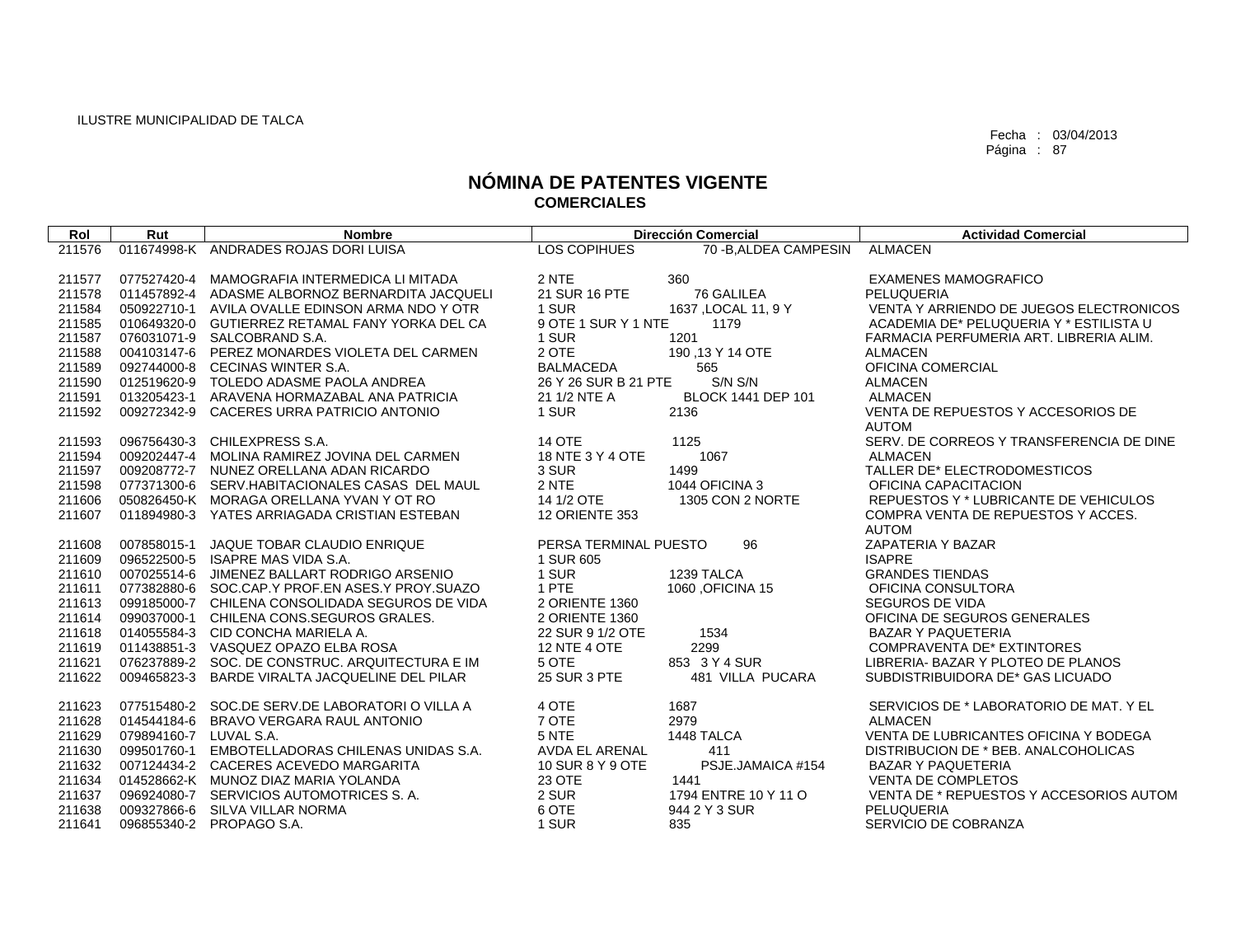| Rol    | Rut                    | <b>Nombre</b>                                   |                       | <b>Dirección Comercial</b> | <b>Actividad Comercial</b>               |
|--------|------------------------|-------------------------------------------------|-----------------------|----------------------------|------------------------------------------|
| 211576 |                        | 011674998-K ANDRADES ROJAS DORI LUISA           | LOS COPIHUES          | 70 - B, ALDEA CAMPESIN     | <b>ALMACEN</b>                           |
|        |                        |                                                 |                       |                            |                                          |
| 211577 | 077527420-4            | MAMOGRAFIA INTERMEDICA LI MITADA                | 2 NTE                 | 360                        | <b>EXAMENES MAMOGRAFICO</b>              |
| 211578 |                        | 011457892-4 ADASME ALBORNOZ BERNARDITA JACQUELI | 21 SUR 16 PTE         | 76 GALILEA                 | <b>PELUQUERIA</b>                        |
| 211584 |                        | 050922710-1 AVILA OVALLE EDINSON ARMA NDO Y OTR | 1 SUR                 | 1637, LOCAL 11, 9 Y        | VENTA Y ARRIENDO DE JUEGOS ELECTRONICOS  |
| 211585 |                        | 010649320-0 GUTIERREZ RETAMAL FANY YORKA DEL CA | 9 OTE 1 SUR Y 1 NTE   | 1179                       | ACADEMIA DE* PELUQUERIA Y * ESTILISTA U  |
| 211587 |                        | 076031071-9 SALCOBRAND S.A.                     | 1 SUR                 | 1201                       | FARMACIA PERFUMERIA ART. LIBRERIA ALIM.  |
| 211588 |                        | 004103147-6 PEREZ MONARDES VIOLETA DEL CARMEN   | 2 OTE                 | 190, 13 Y 14 OTE           | <b>ALMACEN</b>                           |
| 211589 |                        | 092744000-8 CECINAS WINTER S.A.                 | <b>BALMACEDA</b>      | 565                        | OFICINA COMERCIAL                        |
| 211590 |                        | 012519620-9 TOLEDO ADASME PAOLA ANDREA          | 26 Y 26 SUR B 21 PTE  | S/N S/N                    | <b>ALMACEN</b>                           |
| 211591 | 013205423-1            | ARAVENA HORMAZABAL ANA PATRICIA                 | 21 1/2 NTE A          | BLOCK 1441 DEP 101         | <b>ALMACEN</b>                           |
| 211592 | 009272342-9            | CACERES URRA PATRICIO ANTONIO                   | 1 SUR                 | 2136                       | VENTA DE REPUESTOS Y ACCESORIOS DE       |
|        |                        |                                                 |                       |                            | <b>AUTOM</b>                             |
| 211593 |                        | 096756430-3 CHILEXPRESS S.A.                    | <b>14 OTE</b>         | 1125                       | SERV. DE CORREOS Y TRANSFERENCIA DE DINE |
| 211594 |                        | 009202447-4 MOLINA RAMIREZ JOVINA DEL CARMEN    | 18 NTE 3 Y 4 OTE      | 1067                       | <b>ALMACEN</b>                           |
| 211597 |                        | 009208772-7 NUNEZ ORELLANA ADAN RICARDO         | 3 SUR                 | 1499                       | TALLER DE* ELECTRODOMESTICOS             |
| 211598 |                        | 077371300-6 SERV.HABITACIONALES CASAS DEL MAUL  | 2 NTE                 | 1044 OFICINA 3             | OFICINA CAPACITACION                     |
| 211606 |                        | 050826450-K MORAGA ORELLANA YVAN Y OT RO        | 14 1/2 OTE            | 1305 CON 2 NORTE           | REPUESTOS Y * LUBRICANTE DE VEHICULOS    |
| 211607 |                        | 011894980-3 YATES ARRIAGADA CRISTIAN ESTEBAN    | 12 ORIENTE 353        |                            | COMPRA VENTA DE REPUESTOS Y ACCES.       |
|        |                        |                                                 |                       |                            | <b>AUTOM</b>                             |
| 211608 | 007858015-1            | <b>JAQUE TOBAR CLAUDIO ENRIQUE</b>              | PERSA TERMINAL PUESTO | 96                         | ZAPATERIA Y BAZAR                        |
| 211609 | 096522500-5            | ISAPRE MAS VIDA S.A.                            | 1 SUR 605             |                            | <b>ISAPRE</b>                            |
| 211610 | 007025514-6            | JIMENEZ BALLART RODRIGO ARSENIO                 | 1 SUR                 | 1239 TALCA                 | <b>GRANDES TIENDAS</b>                   |
| 211611 |                        | 077382880-6 SOC.CAP.Y PROF.EN ASES.Y PROY.SUAZO | 1 PTE                 | 1060 OFICINA 15            | OFICINA CONSULTORA                       |
| 211613 |                        | 099185000-7 CHILENA CONSOLIDADA SEGUROS DE VIDA | 2 ORIENTE 1360        |                            | <b>SEGUROS DE VIDA</b>                   |
| 211614 |                        | 099037000-1 CHILENA CONS.SEGUROS GRALES.        | 2 ORIENTE 1360        |                            | OFICINA DE SEGUROS GENERALES             |
| 211618 |                        | 014055584-3 CID CONCHA MARIELA A.               | 22 SUR 9 1/2 OTE      | 1534                       | <b>BAZAR Y PAQUETERIA</b>                |
| 211619 |                        | 011438851-3 VASQUEZ OPAZO ELBA ROSA             | <b>12 NTE 4 OTE</b>   | 2299                       | <b>COMPRAVENTA DE* EXTINTORES</b>        |
| 211621 |                        | 076237889-2 SOC, DE CONSTRUC, ARQUITECTURA E IM | 5 OTE                 | 853 3 Y 4 SUR              | LIBRERIA- BAZAR Y PLOTEO DE PLANOS       |
| 211622 | 009465823-3            | BARDE VIRALTA JACQUELINE DEL PILAR              | 25 SUR 3 PTE          | 481 VILLA PUCARA           | SUBDISTRIBUIDORA DE* GAS LICUADO         |
| 211623 |                        | 077515480-2 SOC.DE SERV.DE LABORATORI O VILLA A | 4 OTE                 | 1687                       | SERVICIOS DE * LABORATORIO DE MAT. Y EL  |
| 211628 | 014544184-6            | BRAVO VERGARA RAUL ANTONIO                      | 7 OTE                 | 2979                       | <b>ALMACEN</b>                           |
| 211629 | 079894160-7 LUVAL S.A. |                                                 | 5 NTE                 | 1448 TALCA                 | VENTA DE LUBRICANTES OFICINA Y BODEGA    |
| 211630 |                        | 099501760-1 EMBOTELLADORAS CHILENAS UNIDAS S.A. | <b>AVDA EL ARENAL</b> | 411                        | DISTRIBUCION DE * BEB. ANALCOHOLICAS     |
| 211632 |                        | 007124434-2 CACERES ACEVEDO MARGARITA           | 10 SUR 8 Y 9 OTE      | PSJE.JAMAICA #154          | <b>BAZAR Y PAQUETERIA</b>                |
| 211634 |                        | 014528662-K MUNOZ DIAZ MARIA YOLANDA            | 23 OTE                | 1441                       | <b>VENTA DE COMPLETOS</b>                |
| 211637 |                        | 096924080-7 SERVICIOS AUTOMOTRICES S.A.         | 2 SUR                 | 1794 ENTRE 10 Y 11 O       | VENTA DE * REPUESTOS Y ACCESORIOS AUTOM  |
| 211638 | 009327866-6            | SILVA VILLAR NORMA                              | 6 OTE                 | 944 2 Y 3 SUR              | PELUQUERIA                               |
| 211641 |                        | 096855340-2 PROPAGO S.A.                        | 1 SUR                 | 835                        | SERVICIO DE COBRANZA                     |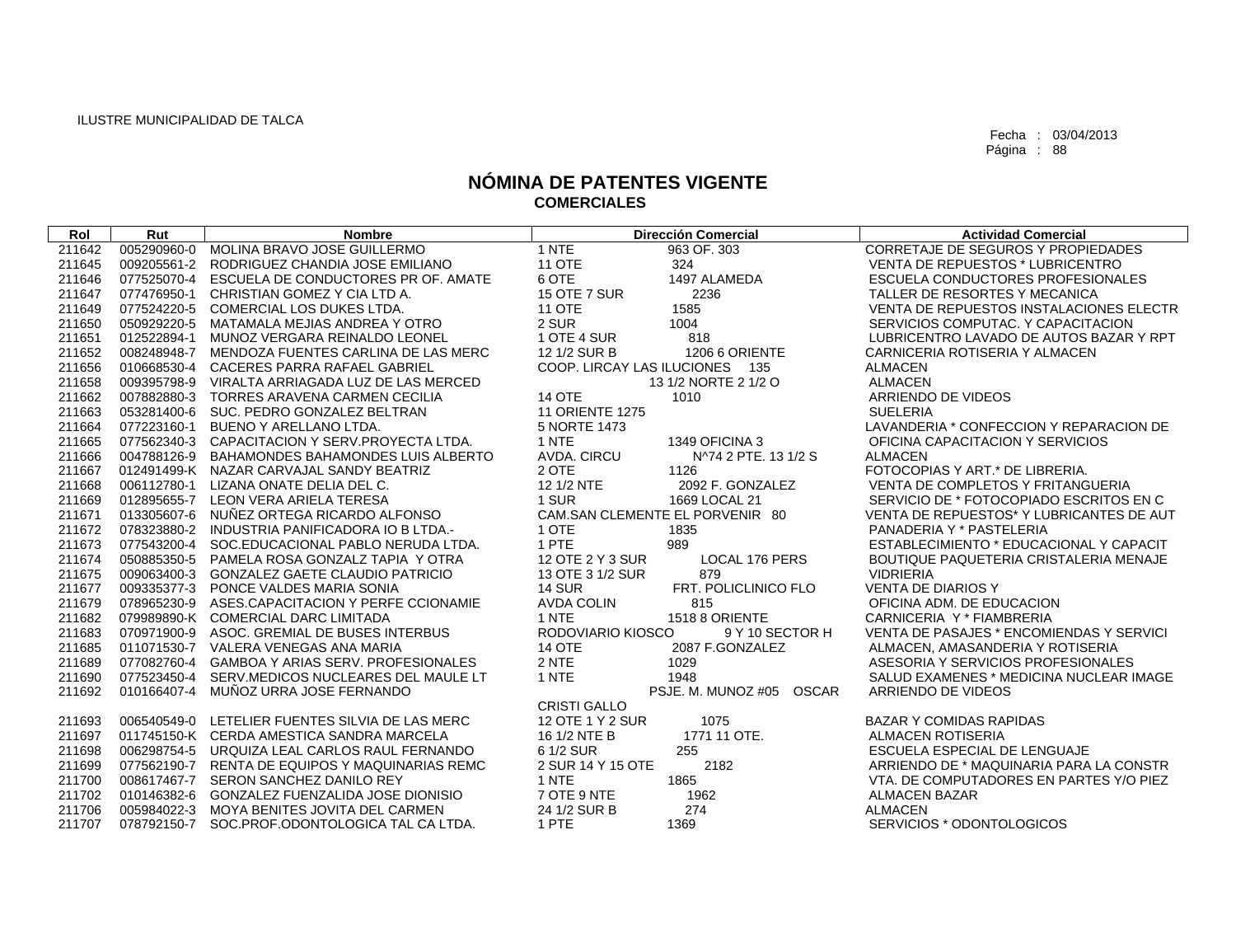| Rol    | Rut         | <b>Nombre</b>                                   |                                 | <b>Dirección Comercial</b> | <b>Actividad Comercial</b>               |
|--------|-------------|-------------------------------------------------|---------------------------------|----------------------------|------------------------------------------|
| 211642 | 005290960-0 | MOLINA BRAVO JOSE GUILLERMO                     | 1 NTE                           | 963 OF, 303                | CORRETAJE DE SEGUROS Y PROPIEDADES       |
| 211645 | 009205561-2 | RODRIGUEZ CHANDIA JOSE EMILIANO                 | <b>11 OTE</b>                   | 324                        | <b>VENTA DE REPUESTOS * LUBRICENTRO</b>  |
| 211646 | 077525070-4 | ESCUELA DE CONDUCTORES PR OF, AMATE             | 6 OTE                           | 1497 ALAMEDA               | ESCUELA CONDUCTORES PROFESIONALES        |
| 211647 | 077476950-1 | CHRISTIAN GOMEZ Y CIA LTD A.                    | <b>15 OTE 7 SUR</b>             | 2236                       | TALLER DE RESORTES Y MECANICA            |
| 211649 | 077524220-5 | COMERCIAL LOS DUKES LTDA.                       | <b>11 OTE</b>                   | 1585                       | VENTA DE REPUESTOS INSTALACIONES ELECTR  |
| 211650 | 050929220-5 | MATAMALA MEJIAS ANDREA Y OTRO                   | 2 SUR                           | 1004                       | SERVICIOS COMPUTAC. Y CAPACITACION       |
| 211651 | 012522894-1 | MUNOZ VERGARA REINALDO LEONEL                   | 1 OTE 4 SUR                     | 818                        | LUBRICENTRO LAVADO DE AUTOS BAZAR Y RPT  |
| 211652 | 008248948-7 | MENDOZA FUENTES CARLINA DE LAS MERC             | 12 1/2 SUR B                    | 1206 6 ORIENTE             | CARNICERIA ROTISERIA Y ALMACEN           |
| 211656 | 010668530-4 | CACERES PARRA RAFAEL GABRIEL                    | COOP. LIRCAY LAS ILUCIONES 135  |                            | <b>ALMACEN</b>                           |
| 211658 |             | 009395798-9 VIRALTA ARRIAGADA LUZ DE LAS MERCED |                                 | 13 1/2 NORTE 2 1/2 O       | <b>ALMACEN</b>                           |
| 211662 | 007882880-3 | <b>TORRES ARAVENA CARMEN CECILIA</b>            | <b>14 OTE</b>                   | 1010                       | ARRIENDO DE VIDEOS                       |
| 211663 |             | 053281400-6 SUC, PEDRO GONZALEZ BELTRAN         | <b>11 ORIENTE 1275</b>          |                            | <b>SUELERIA</b>                          |
| 211664 | 077223160-1 | BUENO Y ARELLANO LTDA.                          | 5 NORTE 1473                    |                            | LAVANDERIA * CONFECCION Y REPARACION DE  |
| 211665 |             | 077562340-3 CAPACITACION Y SERV.PROYECTA LTDA.  | 1 NTE                           | 1349 OFICINA 3             | OFICINA CAPACITACION Y SERVICIOS         |
| 211666 | 004788126-9 | BAHAMONDES BAHAMONDES LUIS ALBERTO              | AVDA. CIRCU                     | N^74 2 PTE, 13 1/2 S       | <b>ALMACEN</b>                           |
| 211667 |             | 012491499-K NAZAR CARVAJAL SANDY BEATRIZ        | 2 OTE                           | 1126                       | FOTOCOPIAS Y ART.* DE LIBRERIA.          |
| 211668 | 006112780-1 | LIZANA ONATE DELIA DEL C.                       | 12 1/2 NTE                      | 2092 F. GONZALEZ           | VENTA DE COMPLETOS Y FRITANGUERIA        |
| 211669 | 012895655-7 | LEON VERA ARIELA TERESA                         | 1 SUR                           | 1669 LOCAL 21              | SERVICIO DE * FOTOCOPIADO ESCRITOS EN C  |
| 211671 |             | 013305607-6 NUÑEZ ORTEGA RICARDO ALFONSO        | CAM.SAN CLEMENTE EL PORVENIR 80 |                            | VENTA DE REPUESTOS* Y LUBRICANTES DE AUT |
| 211672 |             | 078323880-2 INDUSTRIA PANIFICADORA IO B LTDA.   | 1 OTE                           | 1835                       | PANADERIA Y * PASTELERIA                 |
| 211673 | 077543200-4 | SOC.EDUCACIONAL PABLO NERUDA LTDA.              | 1 PTE                           | 989                        | ESTABLECIMIENTO * EDUCACIONAL Y CAPACIT  |
| 211674 |             | 050885350-5 PAMELA ROSA GONZALZ TAPIA Y OTRA    | 12 OTE 2 Y 3 SUR                | LOCAL 176 PERS             | BOUTIQUE PAQUETERIA CRISTALERIA MENAJE   |
| 211675 |             | 009063400-3 GONZALEZ GAETE CLAUDIO PATRICIO     | 13 OTE 3 1/2 SUR                | 879                        | <b>VIDRIERIA</b>                         |
| 211677 |             | 009335377-3 PONCE VALDES MARIA SONIA            | <b>14 SUR</b>                   | FRT. POLICLINICO FLO       | <b>VENTA DE DIARIOS Y</b>                |
| 211679 |             | 078965230-9 ASES.CAPACITACION Y PERFE CCIONAMIE | <b>AVDA COLIN</b>               | 815                        | OFICINA ADM. DE EDUCACION                |
| 211682 |             | 079989890-K COMERCIAL DARC LIMITADA             | 1 NTE                           | 1518 8 ORIENTE             | CARNICERIA Y * FIAMBRERIA                |
| 211683 |             | 070971900-9 ASOC, GREMIAL DE BUSES INTERBUS     | RODOVIARIO KIOSCO               | 9 Y 10 SECTOR H            | VENTA DE PASAJES * ENCOMIENDAS Y SERVICI |
| 211685 |             | 011071530-7 VALERA VENEGAS ANA MARIA            | <b>14 OTE</b>                   | 2087 F.GONZALEZ            | ALMACEN, AMASANDERIA Y ROTISERIA         |
| 211689 | 077082760-4 | <b>GAMBOA Y ARIAS SERV. PROFESIONALES</b>       | 2 NTE                           | 1029                       | ASESORIA Y SERVICIOS PROFESIONALES       |
| 211690 | 077523450-4 | SERV.MEDICOS NUCLEARES DEL MAULE LT             | 1 NTE                           | 1948                       | SALUD EXAMENES * MEDICINA NUCLEAR IMAGE  |
| 211692 | 010166407-4 | MUÑOZ URRA JOSE FERNANDO                        |                                 | PSJE. M. MUNOZ #05 OSCAR   | ARRIENDO DE VIDEOS                       |
|        |             |                                                 | <b>CRISTI GALLO</b>             |                            |                                          |
| 211693 | 006540549-0 | LETELIER FUENTES SILVIA DE LAS MERC             | 12 OTE 1 Y 2 SUR                | 1075                       | <b>BAZAR Y COMIDAS RAPIDAS</b>           |
| 211697 |             | 011745150-K CERDA AMESTICA SANDRA MARCELA       | 16 1/2 NTE B                    | 1771 11 OTE.               | <b>ALMACEN ROTISERIA</b>                 |
| 211698 |             | 006298754-5 URQUIZA LEAL CARLOS RAUL FERNANDO   | 6 1/2 SUR                       | 255                        | ESCUELA ESPECIAL DE LENGUAJE             |
| 211699 |             | 077562190-7 RENTA DE EQUIPOS Y MAQUINARIAS REMC | 2 SUR 14 Y 15 OTE               | 2182                       | ARRIENDO DE * MAQUINARIA PARA LA CONSTR  |
| 211700 |             | 008617467-7 SERON SANCHEZ DANILO REY            | 1 NTE                           | 1865                       | VTA. DE COMPUTADORES EN PARTES Y/O PIEZ  |
| 211702 |             | 010146382-6 GONZALEZ FUENZALIDA JOSE DIONISIO   | 7 OTE 9 NTE                     | 1962                       | <b>ALMACEN BAZAR</b>                     |
| 211706 |             | 005984022-3 MOYA BENITES JOVITA DEL CARMEN      | 24 1/2 SUR B                    | 274                        | <b>ALMACEN</b>                           |
| 211707 |             | 078792150-7 SOC.PROF.ODONTOLOGICA TAL CA LTDA.  | 1 PTE                           | 1369                       | SERVICIOS * ODONTOLOGICOS                |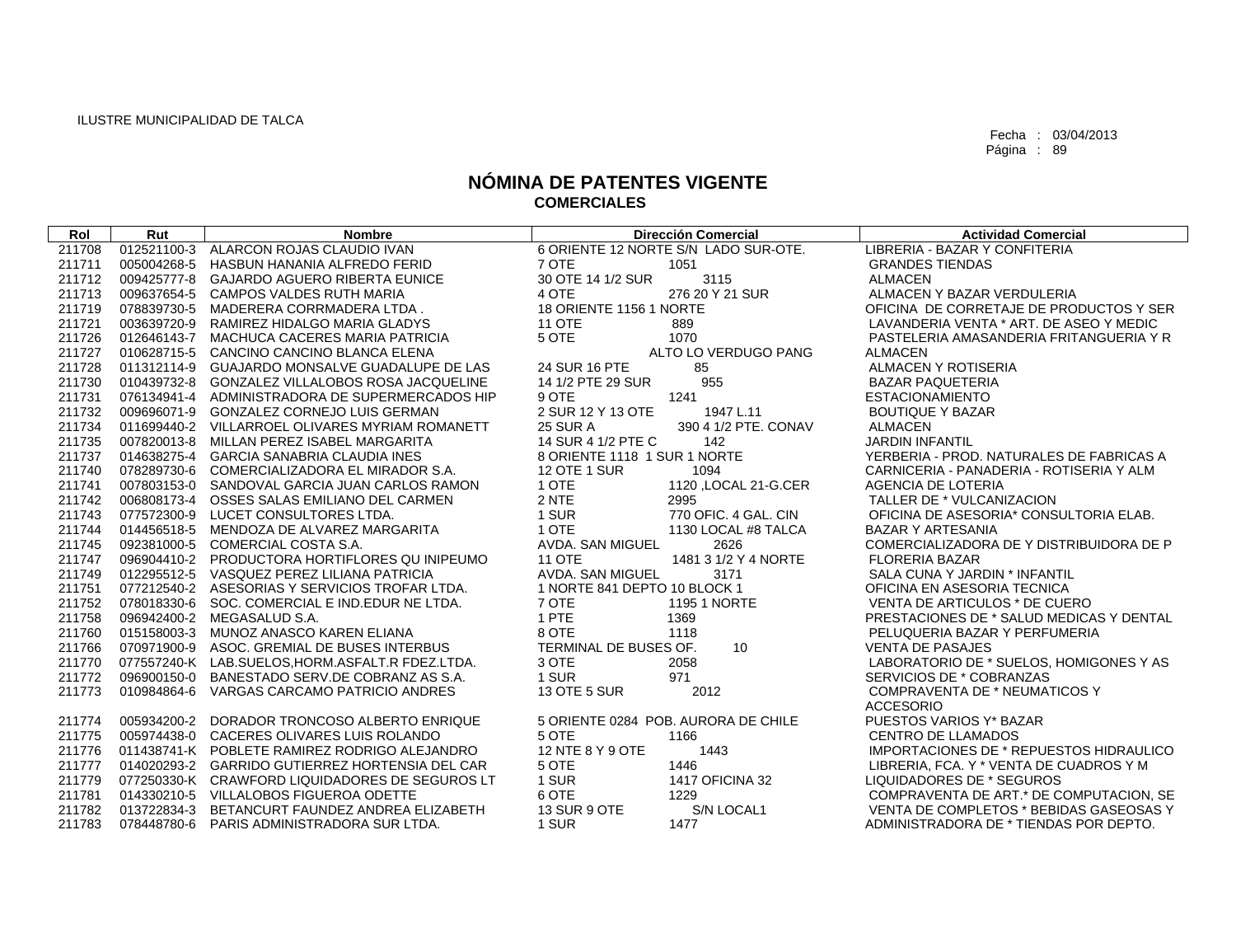| Rol    | Rut         | <b>Nombre</b>                                    | <b>Dirección Comercial</b>              | <b>Actividad Comercial</b>                     |
|--------|-------------|--------------------------------------------------|-----------------------------------------|------------------------------------------------|
| 211708 | 012521100-3 | ALARCON ROJAS CLAUDIO IVAN                       | 6 ORIENTE 12 NORTE S/N LADO SUR-OTE.    | LIBRERIA - BAZAR Y CONFITERIA                  |
| 211711 | 005004268-5 | HASBUN HANANIA ALFREDO FERID                     | 7 OTE<br>1051                           | <b>GRANDES TIENDAS</b>                         |
| 211712 |             | 009425777-8 GAJARDO AGUERO RIBERTA EUNICE        | 30 OTE 14 1/2 SUR<br>3115               | <b>ALMACEN</b>                                 |
| 211713 | 009637654-5 | <b>CAMPOS VALDES RUTH MARIA</b>                  | 4 OTE<br>276 20 Y 21 SUR                | ALMACEN Y BAZAR VERDULERIA                     |
| 211719 | 078839730-5 | MADERERA CORRMADERA LTDA.                        | 18 ORIENTE 1156 1 NORTE                 | OFICINA DE CORRETAJE DE PRODUCTOS Y SER        |
| 211721 | 003639720-9 | RAMIREZ HIDALGO MARIA GLADYS                     | <b>11 OTE</b><br>889                    | LAVANDERIA VENTA * ART. DE ASEO Y MEDIC        |
| 211726 | 012646143-7 | MACHUCA CACERES MARIA PATRICIA                   | 5 OTE<br>1070                           | PASTELERIA AMASANDERIA FRITANGUERIA Y R        |
| 211727 | 010628715-5 | CANCINO CANCINO BLANCA ELENA                     | ALTO LO VERDUGO PANG                    | <b>ALMACEN</b>                                 |
| 211728 |             | 011312114-9 GUAJARDO MONSALVE GUADALUPE DE LAS   | 24 SUR 16 PTE<br>85                     | ALMACEN Y ROTISERIA                            |
| 211730 | 010439732-8 | <b>GONZALEZ VILLALOBOS ROSA JACQUELINE</b>       | 955<br>14 1/2 PTE 29 SUR                | <b>BAZAR PAQUETERIA</b>                        |
| 211731 | 076134941-4 | ADMINISTRADORA DE SUPERMERCADOS HIP              | 9 OTE<br>1241                           | <b>ESTACIONAMIENTO</b>                         |
| 211732 |             | 009696071-9 GONZALEZ CORNEJO LUIS GERMAN         | 2 SUR 12 Y 13 OTE<br>1947 L.11          | <b>BOUTIQUE Y BAZAR</b>                        |
| 211734 |             | 011699440-2 VILLARROEL OLIVARES MYRIAM ROMANETT  | <b>25 SUR A</b><br>390 4 1/2 PTE, CONAV | <b>ALMACEN</b>                                 |
| 211735 |             | 007820013-8 MILLAN PEREZ ISABEL MARGARITA        | 14 SUR 4 1/2 PTE C<br>142               | <b>JARDIN INFANTIL</b>                         |
| 211737 |             | 014638275-4 GARCIA SANABRIA CLAUDIA INES         | 8 ORIENTE 1118 1 SUR 1 NORTE            | YERBERIA - PROD. NATURALES DE FABRICAS A       |
| 211740 | 078289730-6 | COMERCIALIZADORA EL MIRADOR S.A.                 | <b>12 OTE 1 SUR</b><br>1094             | CARNICERIA - PANADERIA - ROTISERIA Y ALM       |
| 211741 |             | 007803153-0 SANDOVAL GARCIA JUAN CARLOS RAMON    | 1 OTE<br>1120, LOCAL 21-G.CER           | AGENCIA DE LOTERIA                             |
| 211742 |             | 006808173-4 OSSES SALAS EMILIANO DEL CARMEN      | 2 NTE<br>2995                           | TALLER DE * VULCANIZACION                      |
| 211743 |             | 077572300-9 LUCET CONSULTORES LTDA.              | 1 SUR<br>770 OFIC, 4 GAL, CIN           | OFICINA DE ASESORIA* CONSULTORIA ELAB.         |
| 211744 |             | 014456518-5 MENDOZA DE ALVAREZ MARGARITA         | 1 OTE<br>1130 LOCAL #8 TALCA            | <b>BAZAR Y ARTESANIA</b>                       |
| 211745 |             | 092381000-5 COMERCIAL COSTA S.A.                 | AVDA, SAN MIGUEL<br>2626                | COMERCIALIZADORA DE Y DISTRIBUIDORA DE P       |
| 211747 |             | 096904410-2 PRODUCTORA HORTIFLORES QUINIPEUMO    | <b>11 OTE</b><br>1481 3 1/2 Y 4 NORTE   | <b>FLORERIA BAZAR</b>                          |
| 211749 |             | 012295512-5 VASQUEZ PEREZ LILIANA PATRICIA       | AVDA. SAN MIGUEL<br>3171                | SALA CUNA Y JARDIN * INFANTIL                  |
| 211751 |             | 077212540-2 ASESORIAS Y SERVICIOS TROFAR LTDA.   | 1 NORTE 841 DEPTO 10 BLOCK 1            | OFICINA EN ASESORIA TECNICA                    |
| 211752 |             | 078018330-6 SOC, COMERCIAL E IND.EDUR NE LTDA.   | 7 OTE<br><b>1195 1 NORTE</b>            | VENTA DE ARTICULOS * DE CUERO                  |
| 211758 |             | 096942400-2 MEGASALUD S.A.                       | 1 PTE<br>1369                           | PRESTACIONES DE * SALUD MEDICAS Y DENTAL       |
| 211760 |             | 015158003-3 MUNOZ ANASCO KAREN ELIANA            | 8 OTE<br>1118                           | PELUQUERIA BAZAR Y PERFUMERIA                  |
| 211766 |             | 070971900-9 ASOC, GREMIAL DE BUSES INTERBUS      | 10<br>TERMINAL DE BUSES OF.             | <b>VENTA DE PASAJES</b>                        |
| 211770 |             | 077557240-K LAB.SUELOS, HORM.ASFALT.R FDEZ.LTDA. | 3 OTE<br>2058                           | LABORATORIO DE * SUELOS, HOMIGONES Y AS        |
| 211772 |             | 096900150-0 BANESTADO SERV.DE COBRANZ AS S.A.    | 1 SUR<br>971                            | SERVICIOS DE * COBRANZAS                       |
| 211773 | 010984864-6 | VARGAS CARCAMO PATRICIO ANDRES                   | 13 OTE 5 SUR<br>2012                    | COMPRAVENTA DE * NEUMATICOS Y                  |
|        |             |                                                  |                                         | <b>ACCESORIO</b>                               |
| 211774 |             | 005934200-2 DORADOR TRONCOSO ALBERTO ENRIQUE     | 5 ORIENTE 0284 POB. AURORA DE CHILE     | PUESTOS VARIOS Y* BAZAR                        |
| 211775 |             | 005974438-0 CACERES OLIVARES LUIS ROLANDO        | 5 OTE<br>1166                           | <b>CENTRO DE LLAMADOS</b>                      |
| 211776 |             | 011438741-K POBLETE RAMIREZ RODRIGO ALEJANDRO    | 12 NTE 8 Y 9 OTE<br>1443                | <b>IMPORTACIONES DE * REPUESTOS HIDRAULICO</b> |
| 211777 | 014020293-2 | <b>GARRIDO GUTIERREZ HORTENSIA DEL CAR</b>       | 5 OTE<br>1446                           | LIBRERIA, FCA. Y * VENTA DE CUADROS Y M        |
| 211779 |             | 077250330-K CRAWFORD LIQUIDADORES DE SEGUROS LT  | 1 SUR<br>1417 OFICINA 32                | LIQUIDADORES DE * SEGUROS                      |
| 211781 |             | 014330210-5 VILLALOBOS FIGUEROA ODETTE           | 6 OTE<br>1229                           | COMPRAVENTA DE ART.* DE COMPUTACION, SE        |
| 211782 |             | 013722834-3 BETANCURT FAUNDEZ ANDREA ELIZABETH   | S/N LOCAL1<br>13 SUR 9 OTE              | VENTA DE COMPLETOS * BEBIDAS GASEOSAS Y        |
| 211783 |             | 078448780-6 PARIS ADMINISTRADORA SUR LTDA.       | 1 SUR<br>1477                           | ADMINISTRADORA DE * TIENDAS POR DEPTO.         |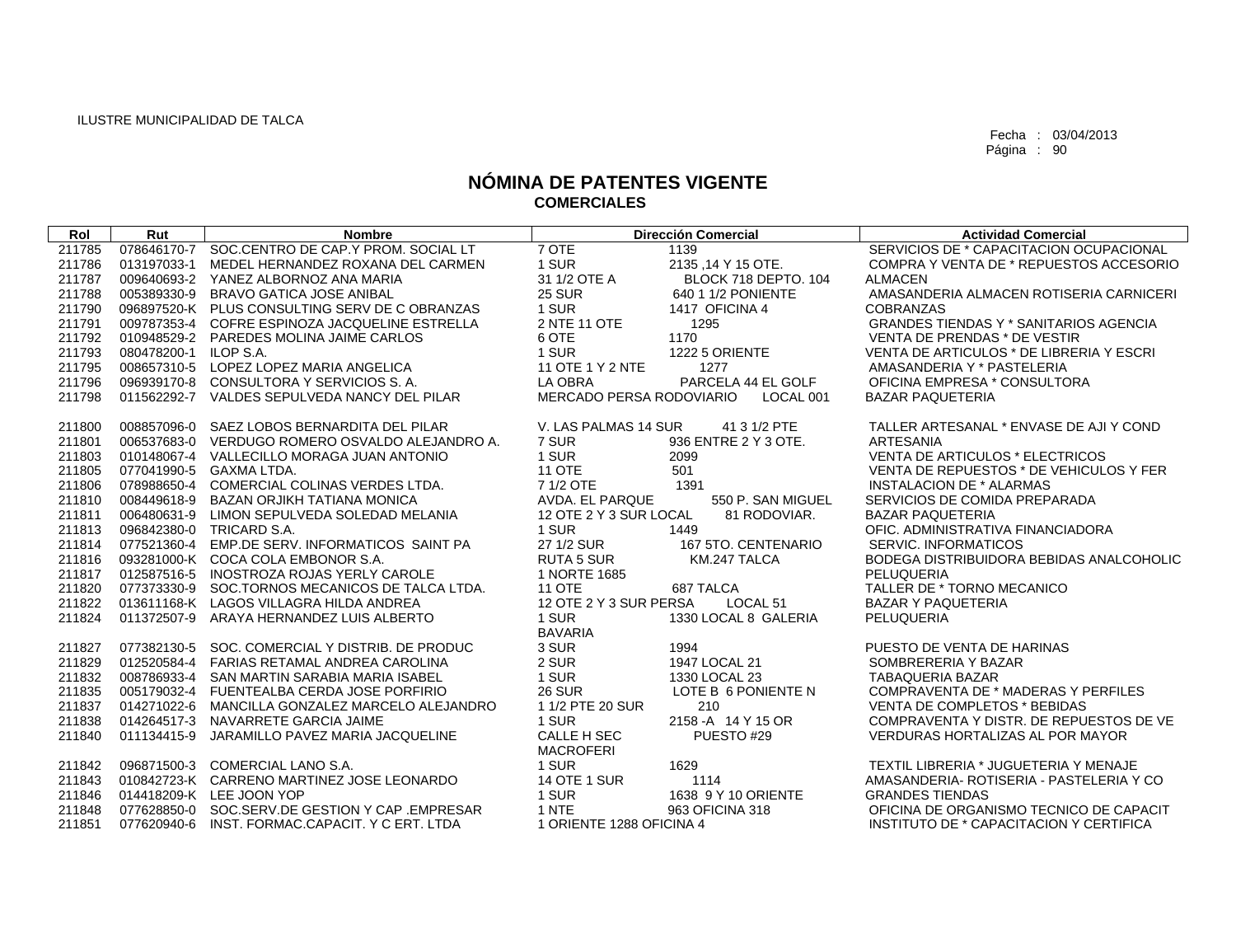| Rol    | Rut                   | <b>Nombre</b>                                   |                           | <b>Dirección Comercial</b> | <b>Actividad Comercial</b>               |
|--------|-----------------------|-------------------------------------------------|---------------------------|----------------------------|------------------------------------------|
| 211785 | 078646170-7           | SOC.CENTRO DE CAP.Y PROM. SOCIAL LT             | 7 OTE                     | 1139                       | SERVICIOS DE * CAPACITACION OCUPACIONAL  |
| 211786 | 013197033-1           | MEDEL HERNANDEZ ROXANA DEL CARMEN               | 1 SUR                     | 2135 .14 Y 15 OTE.         | COMPRA Y VENTA DE * REPUESTOS ACCESORIO  |
| 211787 |                       | 009640693-2 YANEZ ALBORNOZ ANA MARIA            | 31 1/2 OTE A              | BLOCK 718 DEPTO, 104       | <b>ALMACEN</b>                           |
| 211788 | 005389330-9           | <b>BRAVO GATICA JOSE ANIBAL</b>                 | <b>25 SUR</b>             | 640 1 1/2 PONIENTE         | AMASANDERIA ALMACEN ROTISERIA CARNICERI  |
| 211790 |                       | 096897520-K PLUS CONSULTING SERV DE C OBRANZAS  | 1 SUR                     | 1417 OFICINA 4             | <b>COBRANZAS</b>                         |
| 211791 |                       | 009787353-4 COFRE ESPINOZA JACQUELINE ESTRELLA  | 2 NTE 11 OTE              | 1295                       | GRANDES TIENDAS Y * SANITARIOS AGENCIA   |
| 211792 |                       | 010948529-2 PAREDES MOLINA JAIME CARLOS         | 6 OTE                     | 1170                       | VENTA DE PRENDAS * DE VESTIR             |
| 211793 | 080478200-1 ILOP S.A. |                                                 | 1 SUR                     | 1222 5 ORIENTE             | VENTA DE ARTICULOS * DE LIBRERIA Y ESCRI |
| 211795 |                       | 008657310-5 LOPEZ LOPEZ MARIA ANGELICA          | 11 OTE 1 Y 2 NTE          | 1277                       | AMASANDERIA Y * PASTELERIA               |
| 211796 |                       | 096939170-8 CONSULTORA Y SERVICIOS S.A.         | LA OBRA                   | PARCELA 44 EL GOLF         | OFICINA EMPRESA * CONSULTORA             |
| 211798 |                       | 011562292-7 VALDES SEPULVEDA NANCY DEL PILAR    | MERCADO PERSA RODOVIARIO  | LOCAL 001                  | <b>BAZAR PAQUETERIA</b>                  |
| 211800 | 008857096-0           | SAEZ LOBOS BERNARDITA DEL PILAR                 | V. LAS PALMAS 14 SUR      | 41 3 1/2 PTE               | TALLER ARTESANAL * ENVASE DE AJI Y COND  |
| 211801 |                       | 006537683-0 VERDUGO ROMERO OSVALDO ALEJANDRO A. | 7 SUR                     | 936 ENTRE 2 Y 3 OTE.       | <b>ARTESANIA</b>                         |
| 211803 |                       | 010148067-4 VALLECILLO MORAGA JUAN ANTONIO      | 1 SUR                     | 2099                       | VENTA DE ARTICULOS * ELECTRICOS          |
| 211805 |                       | 077041990-5 GAXMA LTDA.                         | <b>11 OTE</b>             | 501                        | VENTA DE REPUESTOS * DE VEHICULOS Y FER  |
| 211806 |                       | 078988650-4 COMERCIAL COLINAS VERDES LTDA.      | 7 1/2 OTE                 | 1391                       | <b>INSTALACION DE * ALARMAS</b>          |
| 211810 | 008449618-9           | <b>BAZAN ORJIKH TATIANA MONICA</b>              | AVDA. EL PARQUE           | 550 P. SAN MIGUEL          | SERVICIOS DE COMIDA PREPARADA            |
| 211811 |                       | 006480631-9 LIMON SEPULVEDA SOLEDAD MELANIA     | 12 OTE 2 Y 3 SUR LOCAL    | 81 RODOVIAR.               | <b>BAZAR PAQUETERIA</b>                  |
| 211813 |                       | 096842380-0 TRICARD S.A.                        | 1 SUR                     | 1449                       | OFIC. ADMINISTRATIVA FINANCIADORA        |
| 211814 |                       | 077521360-4 EMP.DE SERV. INFORMATICOS SAINT PA  | 27 1/2 SUR                | 167 5TO, CENTENARIO        | SERVIC. INFORMATICOS                     |
| 211816 |                       | 093281000-K COCA COLA EMBONOR S.A.              | <b>RUTA 5 SUR</b>         | KM.247 TALCA               | BODEGA DISTRIBUIDORA BEBIDAS ANALCOHOLIC |
| 211817 |                       | 012587516-5 INOSTROZA ROJAS YERLY CAROLE        | 1 NORTE 1685              |                            | PELUQUERIA                               |
| 211820 |                       | 077373330-9 SOC.TORNOS MECANICOS DE TALCA LTDA. | <b>11 OTE</b>             | 687 TALCA                  | TALLER DE * TORNO MECANICO               |
| 211822 |                       | 013611168-K LAGOS VILLAGRA HILDA ANDREA         | 12 OTE 2 Y 3 SUR PERSA    | LOCAL <sub>51</sub>        | <b>BAZAR Y PAQUETERIA</b>                |
| 211824 | 011372507-9           | ARAYA HERNANDEZ LUIS ALBERTO                    | 1 SUR                     | 1330 LOCAL 8 GALERIA       | PELUQUERIA                               |
|        |                       |                                                 | <b>BAVARIA</b>            |                            |                                          |
| 211827 |                       | 077382130-5 SOC. COMERCIAL Y DISTRIB. DE PRODUC | 3 SUR                     | 1994                       | PUESTO DE VENTA DE HARINAS               |
| 211829 |                       | 012520584-4 FARIAS RETAMAL ANDREA CAROLINA      | 2 SUR                     | 1947 LOCAL 21              | SOMBRERERIA Y BAZAR                      |
| 211832 | 008786933-4           | SAN MARTIN SARABIA MARIA ISABEL                 | 1 SUR                     | 1330 LOCAL 23              | <b>TABAQUERIA BAZAR</b>                  |
| 211835 |                       | 005179032-4 FUENTEALBA CERDA JOSE PORFIRIO      | <b>26 SUR</b>             | LOTE B 6 PONIENTE N        | COMPRAVENTA DE * MADERAS Y PERFILES      |
| 211837 |                       | 014271022-6 MANCILLA GONZALEZ MARCELO ALEJANDRO | 1 1/2 PTE 20 SUR          | 210                        | <b>VENTA DE COMPLETOS * BEBIDAS</b>      |
| 211838 |                       | 014264517-3 NAVARRETE GARCIA JAIME              | 1 SUR                     | 2158 - A 14 Y 15 OR        | COMPRAVENTA Y DISTR. DE REPUESTOS DE VE  |
| 211840 | 011134415-9           | JARAMILLO PAVEZ MARIA JACQUELINE                | CALLE H SEC               | PUESTO#29                  | <b>VERDURAS HORTALIZAS AL POR MAYOR</b>  |
| 211842 |                       | 096871500-3 COMERCIAL LANO S.A.                 | <b>MACROFERI</b><br>1 SUR | 1629                       | TEXTIL LIBRERIA * JUGUETERIA Y MENAJE    |
| 211843 |                       | 010842723-K CARRENO MARTINEZ JOSE LEONARDO      | <b>14 OTE 1 SUR</b>       | 1114                       | AMASANDERIA- ROTISERIA - PASTELERIA Y CO |
| 211846 |                       | 014418209-K LEE JOON YOP                        | 1 SUR                     | 1638 9 Y 10 ORIENTE        | <b>GRANDES TIENDAS</b>                   |
| 211848 |                       | 077628850-0 SOC.SERV.DE GESTION Y CAP .EMPRESAR | 1 NTE                     | 963 OFICINA 318            | OFICINA DE ORGANISMO TECNICO DE CAPACIT  |
| 211851 |                       | 077620940-6 INST. FORMAC.CAPACIT. Y C ERT. LTDA | 1 ORIENTE 1288 OFICINA 4  |                            | INSTITUTO DE * CAPACITACION Y CERTIFICA  |
|        |                       |                                                 |                           |                            |                                          |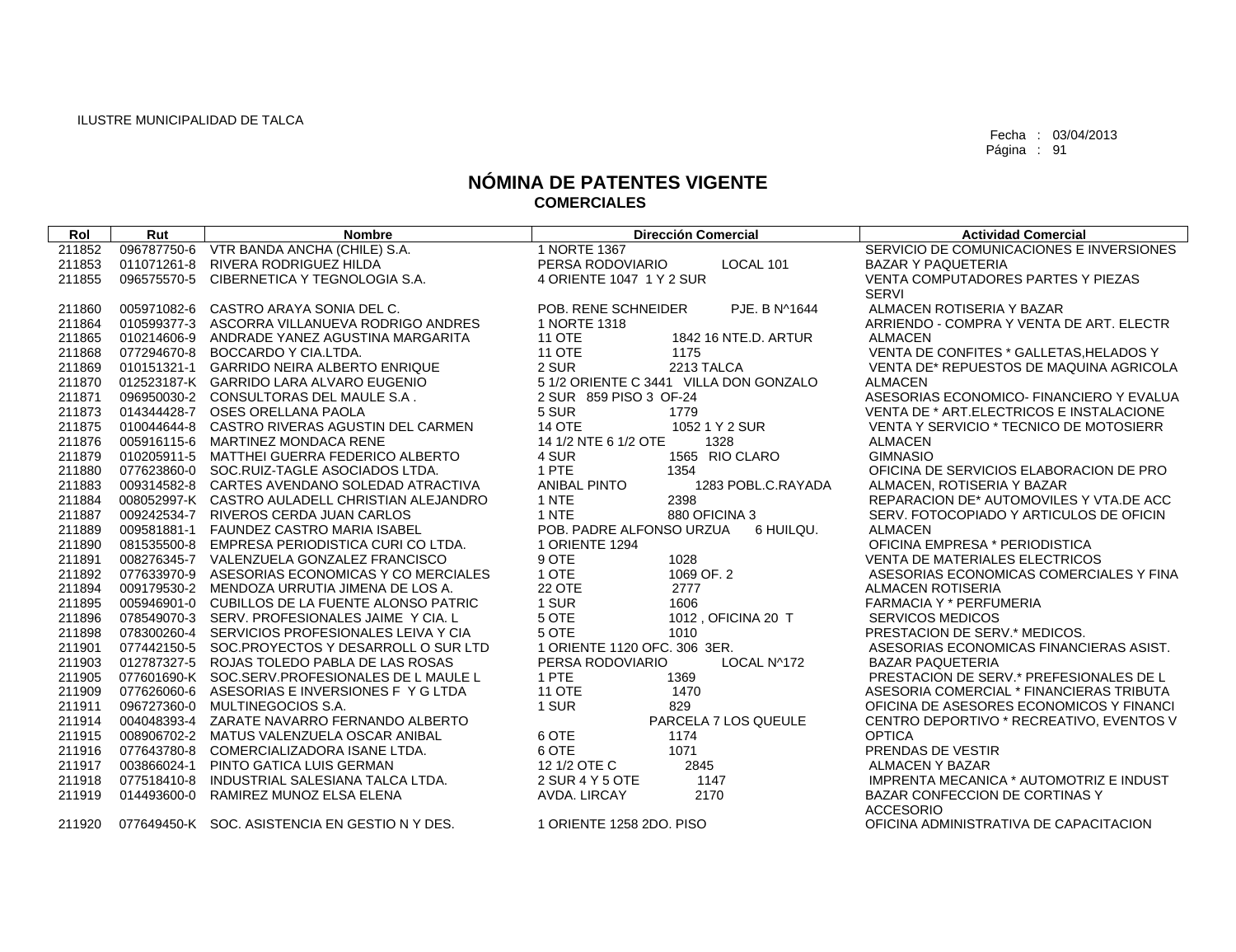| Rol    | Rut         | <b>Nombre</b>                                   | <b>Dirección Comercial</b>                | <b>Actividad Comercial</b>               |
|--------|-------------|-------------------------------------------------|-------------------------------------------|------------------------------------------|
| 211852 |             | 096787750-6 VTR BANDA ANCHA (CHILE) S.A.        | 1 NORTE 1367                              | SERVICIO DE COMUNICACIONES E INVERSIONES |
| 211853 |             | 011071261-8 RIVERA RODRIGUEZ HILDA              | LOCAL 101<br>PERSA RODOVIARIO             | <b>BAZAR Y PAQUETERIA</b>                |
| 211855 |             | 096575570-5 CIBERNETICA Y TEGNOLOGIA S.A.       | 4 ORIENTE 1047 1 Y 2 SUR                  | VENTA COMPUTADORES PARTES Y PIEZAS       |
|        |             |                                                 |                                           | <b>SERVI</b>                             |
| 211860 |             | 005971082-6 CASTRO ARAYA SONIA DEL C.           | PJE. B N^1644<br>POB. RENE SCHNEIDER      | ALMACEN ROTISERIA Y BAZAR                |
| 211864 |             | 010599377-3 ASCORRA VILLANUEVA RODRIGO ANDRES   | 1 NORTE 1318                              | ARRIENDO - COMPRA Y VENTA DE ART. ELECTR |
| 211865 |             | 010214606-9 ANDRADE YANEZ AGUSTINA MARGARITA    | <b>11 OTE</b><br>1842 16 NTE.D. ARTUR     | <b>ALMACEN</b>                           |
| 211868 | 077294670-8 | BOCCARDO Y CIA.LTDA.                            | <b>11 OTE</b><br>1175                     | VENTA DE CONFITES * GALLETAS, HELADOS Y  |
| 211869 |             | 010151321-1 GARRIDO NEIRA ALBERTO ENRIQUE       | 2 SUR<br>2213 TALCA                       | VENTA DE* REPUESTOS DE MAQUINA AGRICOLA  |
| 211870 |             | 012523187-K GARRIDO LARA ALVARO EUGENIO         | 5 1/2 ORIENTE C 3441 VILLA DON GONZALO    | <b>ALMACEN</b>                           |
| 211871 |             | 096950030-2 CONSULTORAS DEL MAULE S.A.          | 2 SUR 859 PISO 3 OF-24                    | ASESORIAS ECONOMICO- FINANCIERO Y EVALUA |
| 211873 |             | 014344428-7 OSES ORELLANA PAOLA                 | 5 SUR<br>1779                             | VENTA DE * ART.ELECTRICOS E INSTALACIONE |
| 211875 |             | 010044644-8 CASTRO RIVERAS AGUSTIN DEL CARMEN   | <b>14 OTE</b><br>1052 1 Y 2 SUR           | VENTA Y SERVICIO * TECNICO DE MOTOSIERR  |
| 211876 |             | 005916115-6 MARTINEZ MONDACA RENE               | 14 1/2 NTE 6 1/2 OTE<br>1328              | <b>ALMACEN</b>                           |
| 211879 |             | 010205911-5 MATTHEI GUERRA FEDERICO ALBERTO     | 1565 RIO CLARO<br>4 SUR                   | <b>GIMNASIO</b>                          |
| 211880 |             | 077623860-0 SOC.RUIZ-TAGLE ASOCIADOS LTDA.      | 1 PTE<br>1354                             | OFICINA DE SERVICIOS ELABORACION DE PRO  |
| 211883 |             | 009314582-8 CARTES AVENDANO SOLEDAD ATRACTIVA   | <b>ANIBAL PINTO</b><br>1283 POBL.C.RAYADA | ALMACEN, ROTISERIA Y BAZAR               |
| 211884 |             | 008052997-K CASTRO AULADELL CHRISTIAN ALEJANDRO | 2398<br>1 NTE                             | REPARACION DE* AUTOMOVILES Y VTA.DE ACC  |
| 211887 |             | 009242534-7 RIVEROS CERDA JUAN CARLOS           | 1 NTE<br>880 OFICINA 3                    | SERV. FOTOCOPIADO Y ARTICULOS DE OFICIN  |
| 211889 |             | 009581881-1 FAUNDEZ CASTRO MARIA ISABEL         | POB. PADRE ALFONSO URZUA<br>6 HUILQU.     | <b>ALMACEN</b>                           |
| 211890 |             | 081535500-8 EMPRESA PERIODISTICA CURI CO LTDA.  | 1 ORIENTE 1294                            | OFICINA EMPRESA * PERIODISTICA           |
| 211891 |             | 008276345-7 VALENZUELA GONZALEZ FRANCISCO       | 9 OTE<br>1028                             | <b>VENTA DE MATERIALES ELECTRICOS</b>    |
| 211892 |             | 077633970-9 ASESORIAS ECONOMICAS Y CO MERCIALES | 1 OTE<br>1069 OF, 2                       | ASESORIAS ECONOMICAS COMERCIALES Y FINA  |
| 211894 |             | 009179530-2 MENDOZA URRUTIA JIMENA DE LOS A.    | <b>22 OTE</b><br>2777                     | <b>ALMACEN ROTISERIA</b>                 |
| 211895 |             | 005946901-0 CUBILLOS DE LA FUENTE ALONSO PATRIC | 1 SUR<br>1606                             | <b>FARMACIA Y * PERFUMERIA</b>           |
| 211896 |             | 078549070-3 SERV. PROFESIONALES JAIME Y CIA. L  | 5 OTE<br>1012, OFICINA 20 T               | <b>SERVICOS MEDICOS</b>                  |
| 211898 |             | 078300260-4 SERVICIOS PROFESIONALES LEIVA Y CIA | 5 OTE<br>1010                             | PRESTACION DE SERV.* MEDICOS.            |
| 211901 |             | 077442150-5 SOC.PROYECTOS Y DESARROLL O SUR LTD | 1 ORIENTE 1120 OFC, 306 3ER.              | ASESORIAS ECONOMICAS FINANCIERAS ASIST.  |
| 211903 |             | 012787327-5 ROJAS TOLEDO PABLA DE LAS ROSAS     | PERSA RODOVIARIO<br>LOCAL N^172           | <b>BAZAR PAQUETERIA</b>                  |
| 211905 |             | 077601690-K SOC.SERV.PROFESIONALES DE L MAULE L | 1 PTE<br>1369                             | PRESTACION DE SERV.* PREFESIONALES DE L  |
| 211909 |             | 077626060-6 ASESORIAS E INVERSIONES F Y G LTDA  | <b>11 OTE</b><br>1470                     | ASESORIA COMERCIAL * FINANCIERAS TRIBUTA |
| 211911 |             | 096727360-0 MULTINEGOCIOS S.A.                  | 1 SUR<br>829                              | OFICINA DE ASESORES ECONOMICOS Y FINANCI |
| 211914 |             | 004048393-4 ZARATE NAVARRO FERNANDO ALBERTO     | PARCELA 7 LOS QUEULE                      | CENTRO DEPORTIVO * RECREATIVO, EVENTOS V |
| 211915 |             | 008906702-2 MATUS VALENZUELA OSCAR ANIBAL       | 6 OTE<br>1174                             | <b>OPTICA</b>                            |
| 211916 | 077643780-8 | COMERCIALIZADORA ISANE LTDA.                    | 6 OTE<br>1071                             | PRENDAS DE VESTIR                        |
| 211917 | 003866024-1 | PINTO GATICA LUIS GERMAN                        | 2845<br>12 1/2 OTE C                      | <b>ALMACEN Y BAZAR</b>                   |
| 211918 | 077518410-8 | INDUSTRIAL SALESIANA TALCA LTDA.                | 2 SUR 4 Y 5 OTE<br>1147                   | IMPRENTA MECANICA * AUTOMOTRIZ E INDUST  |
| 211919 | 014493600-0 | RAMIREZ MUNOZ ELSA ELENA                        | 2170<br>AVDA. LIRCAY                      | BAZAR CONFECCION DE CORTINAS Y           |
|        |             |                                                 |                                           | <b>ACCESORIO</b>                         |
| 211920 |             | 077649450-K SOC. ASISTENCIA EN GESTIO N Y DES.  | 1 ORIENTE 1258 2DO. PISO                  | OFICINA ADMINISTRATIVA DE CAPACITACION   |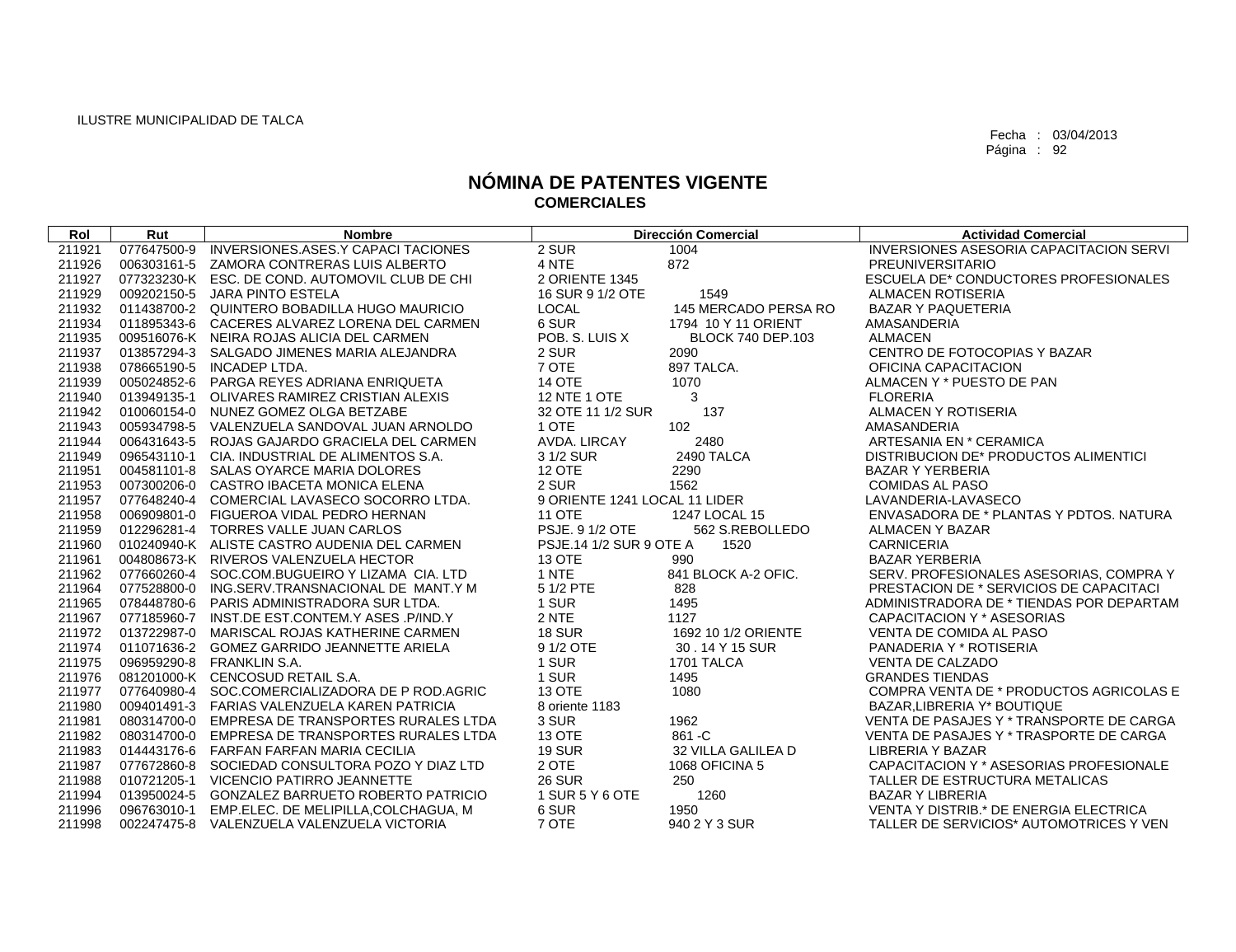| Rol    | Rut         | <b>Nombre</b>                                    |                               | <b>Dirección Comercial</b> | <b>Actividad Comercial</b>                     |
|--------|-------------|--------------------------------------------------|-------------------------------|----------------------------|------------------------------------------------|
| 211921 | 077647500-9 | INVERSIONES.ASES.Y CAPACI TACIONES               | 2 SUR                         | 1004                       | <b>INVERSIONES ASESORIA CAPACITACION SERVI</b> |
| 211926 |             | 006303161-5 ZAMORA CONTRERAS LUIS ALBERTO        | 4 NTE                         | 872                        | PREUNIVERSITARIO                               |
| 211927 |             | 077323230-K ESC. DE COND. AUTOMOVIL CLUB DE CHI  | 2 ORIENTE 1345                |                            | ESCUELA DE* CONDUCTORES PROFESIONALES          |
| 211929 |             | 009202150-5 JARA PINTO ESTELA                    | 16 SUR 9 1/2 OTE              | 1549                       | <b>ALMACEN ROTISERIA</b>                       |
| 211932 |             | 011438700-2 QUINTERO BOBADILLA HUGO MAURICIO     | LOCAL                         | 145 MERCADO PERSA RO       | <b>BAZAR Y PAQUETERIA</b>                      |
| 211934 |             | 011895343-6 CACERES ALVAREZ LORENA DEL CARMEN    | 6 SUR                         | 1794 10 Y 11 ORIENT        | AMASANDERIA                                    |
| 211935 |             | 009516076-K NEIRA ROJAS ALICIA DEL CARMEN        | POB. S. LUIS X                | <b>BLOCK 740 DEP.103</b>   | <b>ALMACEN</b>                                 |
| 211937 |             | 013857294-3 SALGADO JIMENES MARIA ALEJANDRA      | 2 SUR                         | 2090                       | CENTRO DE FOTOCOPIAS Y BAZAR                   |
| 211938 |             | 078665190-5 INCADEP LTDA.                        | 7 OTE                         | 897 TALCA.                 | OFICINA CAPACITACION                           |
| 211939 |             | 005024852-6 PARGA REYES ADRIANA ENRIQUETA        | <b>14 OTE</b>                 | 1070                       | ALMACEN Y * PUESTO DE PAN                      |
| 211940 |             | 013949135-1 OLIVARES RAMIREZ CRISTIAN ALEXIS     | <b>12 NTE 1 OTE</b>           | 3                          | <b>FLORERIA</b>                                |
| 211942 |             | 010060154-0 NUNEZ GOMEZ OLGA BETZABE             | 32 OTE 11 1/2 SUR             | 137                        | ALMACEN Y ROTISERIA                            |
| 211943 |             | 005934798-5 VALENZUELA SANDOVAL JUAN ARNOLDO     | 1 OTE                         | 102                        | AMASANDERIA                                    |
| 211944 |             | 006431643-5 ROJAS GAJARDO GRACIELA DEL CARMEN    | AVDA, LIRCAY                  | 2480                       | ARTESANIA EN * CERAMICA                        |
| 211949 |             | 096543110-1 CIA. INDUSTRIAL DE ALIMENTOS S.A.    | 3 1/2 SUR                     | 2490 TALCA                 | DISTRIBUCION DE* PRODUCTOS ALIMENTICI          |
| 211951 |             | 004581101-8 SALAS OYARCE MARIA DOLORES           | <b>12 OTE</b>                 | 2290                       | <b>BAZAR Y YERBERIA</b>                        |
| 211953 |             | 007300206-0 CASTRO IBACETA MONICA ELENA          | 2 SUR                         | 1562                       | <b>COMIDAS AL PASO</b>                         |
| 211957 |             | 077648240-4 COMERCIAL LAVASECO SOCORRO LTDA.     | 9 ORIENTE 1241 LOCAL 11 LIDER |                            | LAVANDERIA-LAVASECO                            |
| 211958 |             | 006909801-0 FIGUEROA VIDAL PEDRO HERNAN          | <b>11 OTE</b>                 | 1247 LOCAL 15              | ENVASADORA DE * PLANTAS Y PDTOS, NATURA        |
| 211959 |             | 012296281-4 TORRES VALLE JUAN CARLOS             | PSJE. 9 1/2 OTE               | 562 S.REBOLLEDO            | ALMACEN Y BAZAR                                |
| 211960 |             | 010240940-K ALISTE CASTRO AUDENIA DEL CARMEN     | PSJE.14 1/2 SUR 9 OTE A       | 1520                       | <b>CARNICERIA</b>                              |
| 211961 |             | 004808673-K RIVEROS VALENZUELA HECTOR            | <b>13 OTE</b>                 | 990                        | <b>BAZAR YERBERIA</b>                          |
| 211962 |             | 077660260-4 SOC.COM.BUGUEIRO Y LIZAMA CIA. LTD   | 1 NTE                         | 841 BLOCK A-2 OFIC.        | SERV. PROFESIONALES ASESORIAS, COMPRA Y        |
| 211964 |             | 077528800-0 ING.SERV.TRANSNACIONAL DE MANT.Y M   | 5 1/2 PTE                     | 828                        | PRESTACION DE * SERVICIOS DE CAPACITACI        |
| 211965 |             | 078448780-6 PARIS ADMINISTRADORA SUR LTDA.       | 1 SUR                         | 1495                       | ADMINISTRADORA DE * TIENDAS POR DEPARTAM       |
| 211967 |             | 077185960-7 INST.DE EST.CONTEM.Y ASES .P/IND.Y   | 2 NTE                         | 1127                       | CAPACITACION Y * ASESORIAS                     |
| 211972 |             | 013722987-0 MARISCAL ROJAS KATHERINE CARMEN      | <b>18 SUR</b>                 | 1692 10 1/2 ORIENTE        | VENTA DE COMIDA AL PASO                        |
| 211974 |             | 011071636-2 GOMEZ GARRIDO JEANNETTE ARIELA       | 9 1/2 OTE                     | 30 . 14 Y 15 SUR           | PANADERIA Y * ROTISERIA                        |
| 211975 |             | 096959290-8 FRANKLIN S.A.                        | 1 SUR                         | 1701 TALCA                 | <b>VENTA DE CALZADO</b>                        |
| 211976 |             | 081201000-K CENCOSUD RETAIL S.A.                 | 1 SUR                         | 1495                       | <b>GRANDES TIENDAS</b>                         |
| 211977 |             | 077640980-4 SOC.COMERCIALIZADORA DE P ROD.AGRIC  | <b>13 OTE</b>                 | 1080                       | COMPRA VENTA DE * PRODUCTOS AGRICOLAS E        |
| 211980 |             | 009401491-3 FARIAS VALENZUELA KAREN PATRICIA     | 8 oriente 1183                |                            | BAZAR, LIBRERIA Y* BOUTIQUE                    |
| 211981 |             | 080314700-0 EMPRESA DE TRANSPORTES RURALES LTDA  | 3 SUR                         | 1962                       | VENTA DE PASAJES Y * TRANSPORTE DE CARGA       |
| 211982 |             | 080314700-0 EMPRESA DE TRANSPORTES RURALES LTDA  | <b>13 OTE</b>                 | 861 - C                    | VENTA DE PASAJES Y * TRASPORTE DE CARGA        |
| 211983 |             | 014443176-6 FARFAN FARFAN MARIA CECILIA          | <b>19 SUR</b>                 | 32 VILLA GALILEA D         | <b>LIBRERIA Y BAZAR</b>                        |
| 211987 |             | 077672860-8 SOCIEDAD CONSULTORA POZO Y DIAZ LTD  | 2 OTE                         | 1068 OFICINA 5             | CAPACITACION Y * ASESORIAS PROFESIONALE        |
| 211988 |             | 010721205-1 VICENCIO PATIRRO JEANNETTE           | <b>26 SUR</b>                 | 250                        | TALLER DE ESTRUCTURA METALICAS                 |
| 211994 |             | 013950024-5 GONZALEZ BARRUETO ROBERTO PATRICIO   | 1 SUR 5 Y 6 OTE               | 1260                       | <b>BAZAR Y LIBRERIA</b>                        |
| 211996 |             | 096763010-1 EMP.ELEC. DE MELIPILLA, COLCHAGUA, M | 6 SUR                         | 1950                       | VENTA Y DISTRIB.* DE ENERGIA ELECTRICA         |
| 211998 |             | 002247475-8 VALENZUELA VALENZUELA VICTORIA       | 7 OTE                         | 940 2 Y 3 SUR              | TALLER DE SERVICIOS* AUTOMOTRICES Y VEN        |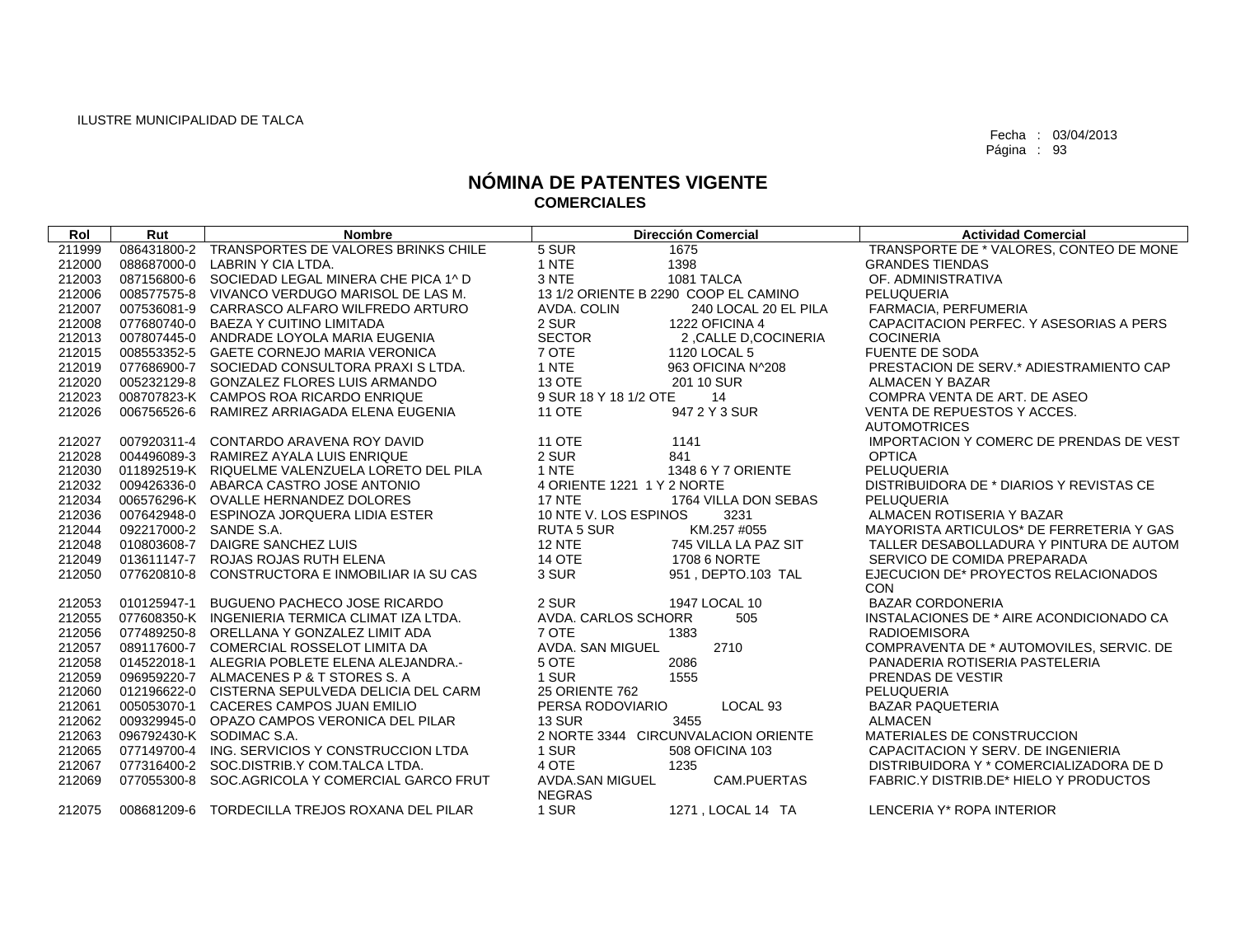| Rol    | Rut                    | <b>Nombre</b>                                   |                                  | <b>Dirección Comercial</b>           | <b>Actividad Comercial</b>                    |
|--------|------------------------|-------------------------------------------------|----------------------------------|--------------------------------------|-----------------------------------------------|
| 211999 |                        | 086431800-2 TRANSPORTES DE VALORES BRINKS CHILE | 5 SUR                            | 1675                                 | TRANSPORTE DE * VALORES, CONTEO DE MONE       |
| 212000 |                        | 088687000-0 LABRIN Y CIA LTDA.                  | 1 NTE                            | 1398                                 | <b>GRANDES TIENDAS</b>                        |
| 212003 |                        | 087156800-6 SOCIEDAD LEGAL MINERA CHE PICA 1^ D | 3 NTE                            | 1081 TALCA                           | OF. ADMINISTRATIVA                            |
| 212006 |                        | 008577575-8 VIVANCO VERDUGO MARISOL DE LAS M.   |                                  | 13 1/2 ORIENTE B 2290 COOP EL CAMINO | <b>PELUQUERIA</b>                             |
| 212007 |                        | 007536081-9 CARRASCO ALFARO WILFREDO ARTURO     | AVDA, COLIN                      | 240 LOCAL 20 EL PILA                 | FARMACIA, PERFUMERIA                          |
| 212008 | 077680740-0            | <b>BAEZA Y CUITINO LIMITADA</b>                 | 2 SUR                            | 1222 OFICINA 4                       | CAPACITACION PERFEC. Y ASESORIAS A PERS       |
| 212013 | 007807445-0            | ANDRADE LOYOLA MARIA EUGENIA                    | <b>SECTOR</b>                    | 2, CALLE D, COCINERIA                | <b>COCINERIA</b>                              |
| 212015 |                        | 008553352-5 GAETE CORNEJO MARIA VERONICA        | 7 OTE                            | 1120 LOCAL 5                         | <b>FUENTE DE SODA</b>                         |
| 212019 |                        | 077686900-7 SOCIEDAD CONSULTORA PRAXIS LTDA.    | 1 NTE                            | 963 OFICINA N^208                    | PRESTACION DE SERV.* ADIESTRAMIENTO CAP       |
| 212020 |                        | 005232129-8 GONZALEZ FLORES LUIS ARMANDO        | 13 OTE                           | 201 10 SUR                           | <b>ALMACEN Y BAZAR</b>                        |
| 212023 |                        | 008707823-K CAMPOS ROA RICARDO ENRIQUE          | 9 SUR 18 Y 18 1/2 OTE            | 14                                   | COMPRA VENTA DE ART. DE ASEO                  |
| 212026 |                        | 006756526-6 RAMIREZ ARRIAGADA ELENA EUGENIA     | <b>11 OTE</b>                    | 947 2 Y 3 SUR                        | VENTA DE REPUESTOS Y ACCES.                   |
|        |                        |                                                 |                                  |                                      | <b>AUTOMOTRICES</b>                           |
| 212027 | 007920311-4            | CONTARDO ARAVENA ROY DAVID                      | <b>11 OTE</b>                    | 1141                                 | IMPORTACION Y COMERC DE PRENDAS DE VEST       |
| 212028 |                        | 004496089-3 RAMIREZ AYALA LUIS ENRIQUE          | 2 SUR                            | 841                                  | <b>OPTICA</b>                                 |
| 212030 |                        | 011892519-K RIQUELME VALENZUELA LORETO DEL PILA | 1 NTE                            | 1348 6 Y 7 ORIENTE                   | <b>PELUQUERIA</b>                             |
| 212032 |                        | 009426336-0 ABARCA CASTRO JOSE ANTONIO          | 4 ORIENTE 1221 1 Y 2 NORTE       |                                      | DISTRIBUIDORA DE * DIARIOS Y REVISTAS CE      |
| 212034 |                        | 006576296-K OVALLE HERNANDEZ DOLORES            | <b>17 NTE</b>                    | 1764 VILLA DON SEBAS                 | PELUQUERIA                                    |
| 212036 |                        | 007642948-0 ESPINOZA JORQUERA LIDIA ESTER       | 10 NTE V. LOS ESPINOS            | 3231                                 | ALMACEN ROTISERIA Y BAZAR                     |
| 212044 | 092217000-2 SANDE S.A. |                                                 | <b>RUTA 5 SUR</b>                | KM.257 #055                          | MAYORISTA ARTICULOS* DE FERRETERIA Y GAS      |
| 212048 |                        | 010803608-7 DAIGRE SANCHEZ LUIS                 | <b>12 NTE</b>                    | 745 VILLA LA PAZ SIT                 | TALLER DESABOLLADURA Y PINTURA DE AUTOM       |
| 212049 |                        | 013611147-7 ROJAS ROJAS RUTH ELENA              | <b>14 OTE</b>                    | 1708 6 NORTE                         | SERVICO DE COMIDA PREPARADA                   |
| 212050 | 077620810-8            | CONSTRUCTORA E INMOBILIAR IA SU CAS             | 3 SUR                            | 951. DEPTO.103 TAL                   | EJECUCION DE* PROYECTOS RELACIONADOS          |
|        |                        |                                                 |                                  |                                      | <b>CON</b>                                    |
| 212053 | 010125947-1            | <b>BUGUENO PACHECO JOSE RICARDO</b>             | 2 SUR                            | 1947 LOCAL 10                        | <b>BAZAR CORDONERIA</b>                       |
| 212055 |                        | 077608350-K INGENIERIA TERMICA CLIMAT IZA LTDA. | AVDA. CARLOS SCHORR              | 505                                  | INSTALACIONES DE * AIRE ACONDICIONADO CA      |
| 212056 |                        | 077489250-8 ORELLANA Y GONZALEZ LIMIT ADA       | 7 OTE                            | 1383                                 | <b>RADIOEMISORA</b>                           |
| 212057 |                        | 089117600-7 COMERCIAL ROSSELOT LIMITA DA        | AVDA. SAN MIGUEL                 | 2710                                 | COMPRAVENTA DE * AUTOMOVILES, SERVIC, DE      |
| 212058 |                        | 014522018-1 ALEGRIA POBLETE ELENA ALEJANDRA.-   | 5 OTE                            | 2086                                 | PANADERIA ROTISERIA PASTELERIA                |
| 212059 |                        | 096959220-7 ALMACENES P & T STORES S. A         | 1 SUR                            | 1555                                 | PRENDAS DE VESTIR                             |
| 212060 |                        | 012196622-0 CISTERNA SEPULVEDA DELICIA DEL CARM | <b>25 ORIENTE 762</b>            |                                      | <b>PELUQUERIA</b>                             |
| 212061 |                        | 005053070-1 CACERES CAMPOS JUAN EMILIO          | PERSA RODOVIARIO                 | LOCAL <sub>93</sub>                  | <b>BAZAR PAQUETERIA</b>                       |
| 212062 |                        | 009329945-0 OPAZO CAMPOS VERONICA DEL PILAR     | <b>13 SUR</b>                    | 3455                                 | <b>ALMACEN</b>                                |
| 212063 |                        | 096792430-K SODIMAC S.A.                        |                                  | 2 NORTE 3344 CIRCUNVALACION ORIENTE  | MATERIALES DE CONSTRUCCION                    |
| 212065 |                        | 077149700-4 ING, SERVICIOS Y CONSTRUCCION LTDA  | 1 SUR                            | 508 OFICINA 103                      | CAPACITACION Y SERV. DE INGENIERIA            |
| 212067 |                        | 077316400-2 SOC.DISTRIB.Y COM.TALCA LTDA.       | 4 OTE                            | 1235                                 | DISTRIBUIDORA Y * COMERCIALIZADORA DE D       |
| 212069 | 077055300-8            | SOC.AGRICOLA Y COMERCIAL GARCO FRUT             | AVDA.SAN MIGUEL<br><b>NEGRAS</b> | CAM.PUERTAS                          | <b>FABRIC.Y DISTRIB.DE* HIELO Y PRODUCTOS</b> |
| 212075 |                        | 008681209-6 TORDECILLA TREJOS ROXANA DEL PILAR  | 1 SUR                            | 1271, LOCAL 14 TA                    | LENCERIA Y* ROPA INTERIOR                     |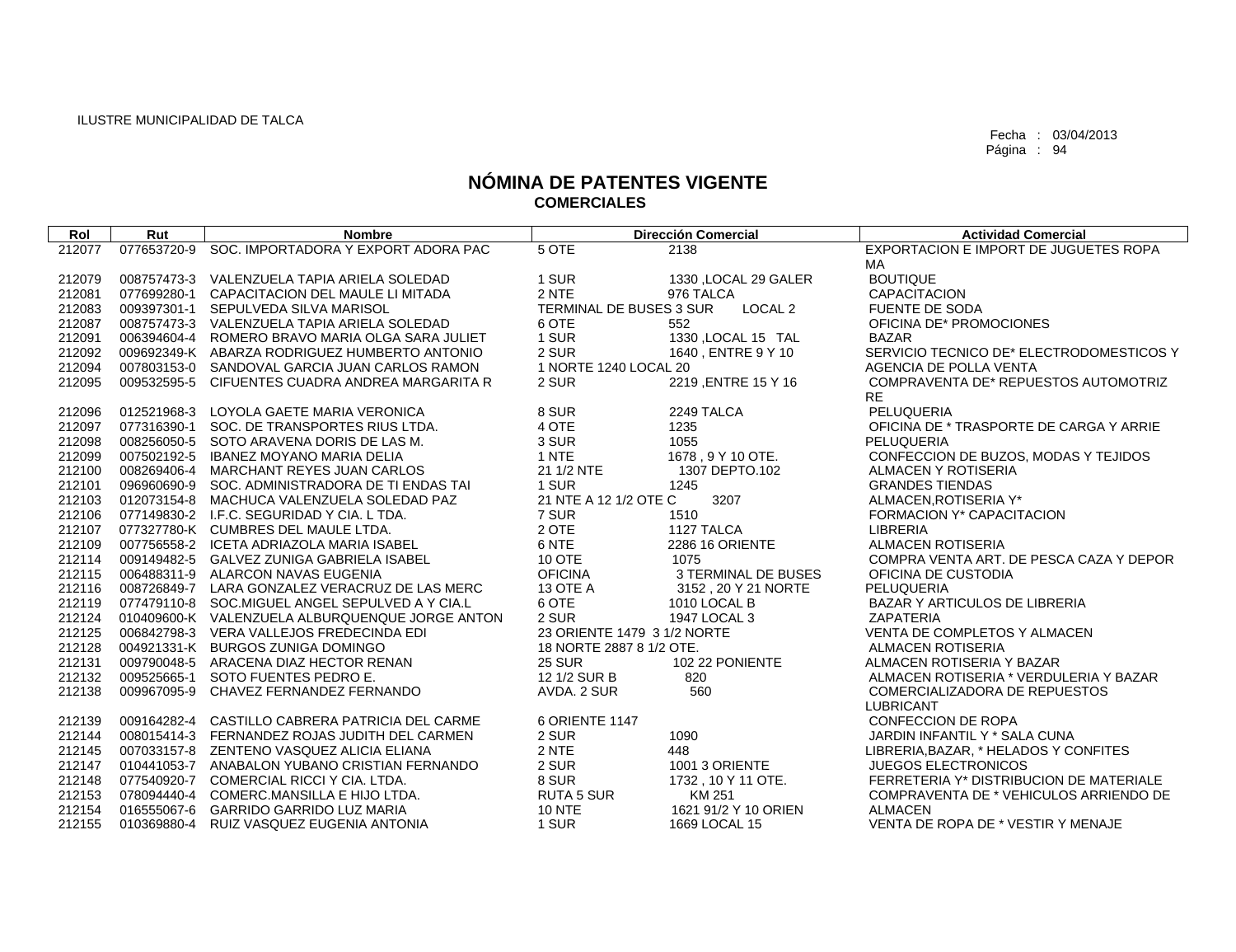| Rol    | Rut         | <b>Nombre</b>                                   |                             | <b>Dirección Comercial</b> | <b>Actividad Comercial</b>               |
|--------|-------------|-------------------------------------------------|-----------------------------|----------------------------|------------------------------------------|
| 212077 | 077653720-9 | SOC. IMPORTADORA Y EXPORT ADORA PAC             | 5 OTE                       | 2138                       | EXPORTACION E IMPORT DE JUGUETES ROPA    |
|        |             |                                                 |                             |                            | MA                                       |
| 212079 |             | 008757473-3 VALENZUELA TAPIA ARIELA SOLEDAD     | 1 SUR                       | 1330 , LOCAL 29 GALER      | <b>BOUTIQUE</b>                          |
| 212081 |             | 077699280-1 CAPACITACION DEL MAULE LI MITADA    | 2 NTE                       | 976 TALCA                  | <b>CAPACITACION</b>                      |
| 212083 |             | 009397301-1 SEPULVEDA SILVA MARISOL             | TERMINAL DE BUSES 3 SUR     | LOCAL <sub>2</sub>         | FUENTE DE SODA                           |
| 212087 |             | 008757473-3 VALENZUELA TAPIA ARIELA SOLEDAD     | 6 OTE                       | 552                        | OFICINA DE* PROMOCIONES                  |
| 212091 |             | 006394604-4 ROMERO BRAVO MARIA OLGA SARA JULIET | 1 SUR                       | 1330 , LOCAL 15 TAL        | <b>BAZAR</b>                             |
| 212092 |             | 009692349-K ABARZA RODRIGUEZ HUMBERTO ANTONIO   | 2 SUR                       | 1640, ENTRE 9 Y 10         | SERVICIO TECNICO DE* ELECTRODOMESTICOS Y |
| 212094 |             | 007803153-0 SANDOVAL GARCIA JUAN CARLOS RAMON   | 1 NORTE 1240 LOCAL 20       |                            | AGENCIA DE POLLA VENTA                   |
| 212095 |             | 009532595-5 CIFUENTES CUADRA ANDREA MARGARITA R | 2 SUR                       | 2219, ENTRE 15 Y 16        | COMPRAVENTA DE* REPUESTOS AUTOMOTRIZ     |
|        |             |                                                 |                             |                            | <b>RE</b>                                |
| 212096 | 012521968-3 | LOYOLA GAETE MARIA VERONICA                     | 8 SUR                       | 2249 TALCA                 | PELUQUERIA                               |
| 212097 |             | 077316390-1 SOC. DE TRANSPORTES RIUS LTDA.      | 4 OTE                       | 1235                       | OFICINA DE * TRASPORTE DE CARGA Y ARRIE  |
| 212098 |             | 008256050-5 SOTO ARAVENA DORIS DE LAS M.        | 3 SUR                       | 1055                       | PELUQUERIA                               |
| 212099 |             | 007502192-5 IBANEZ MOYANO MARIA DELIA           | 1 NTE                       | 1678, 9 Y 10 OTE.          | CONFECCION DE BUZOS, MODAS Y TEJIDOS     |
| 212100 |             | 008269406-4 MARCHANT REYES JUAN CARLOS          | 21 1/2 NTE                  | 1307 DEPTO.102             | ALMACEN Y ROTISERIA                      |
| 212101 |             | 096960690-9 SOC. ADMINISTRADORA DE TI ENDAS TAI | 1 SUR                       | 1245                       | <b>GRANDES TIENDAS</b>                   |
| 212103 |             | 012073154-8 MACHUCA VALENZUELA SOLEDAD PAZ      | 21 NTE A 12 1/2 OTE C       | 3207                       | ALMACEN, ROTISERIA Y*                    |
| 212106 |             | 077149830-2 I.F.C. SEGURIDAD Y CIA. L TDA.      | 7 SUR                       | 1510                       | FORMACION Y* CAPACITACION                |
| 212107 |             | 077327780-K CUMBRES DEL MAULE LTDA.             | 2 OTE                       | 1127 TALCA                 | <b>LIBRERIA</b>                          |
| 212109 |             | 007756558-2 ICETA ADRIAZOLA MARIA ISABEL        | 6 NTE                       | 2286 16 ORIENTE            | <b>ALMACEN ROTISERIA</b>                 |
| 212114 |             | 009149482-5 GALVEZ ZUNIGA GABRIELA ISABEL       | 10 OTE                      | 1075                       | COMPRA VENTA ART. DE PESCA CAZA Y DEPOR  |
| 212115 |             | 006488311-9 ALARCON NAVAS EUGENIA               | <b>OFICINA</b>              | 3 TERMINAL DE BUSES        | OFICINA DE CUSTODIA                      |
| 212116 |             | 008726849-7 LARA GONZALEZ VERACRUZ DE LAS MERC  | 13 OTE A                    | 3152, 20 Y 21 NORTE        | PELUQUERIA                               |
| 212119 |             | 077479110-8 SOC.MIGUEL ANGEL SEPULVED A Y CIA.L | 6 OTE                       | 1010 LOCAL B               | BAZAR Y ARTICULOS DE LIBRERIA            |
| 212124 |             | 010409600-K VALENZUELA ALBURQUENQUE JORGE ANTON | 2 SUR                       | 1947 LOCAL 3               | <b>ZAPATERIA</b>                         |
| 212125 |             | 006842798-3 VERA VALLEJOS FREDECINDA EDI        | 23 ORIENTE 1479 3 1/2 NORTE |                            | VENTA DE COMPLETOS Y ALMACEN             |
| 212128 |             | 004921331-K BURGOS ZUNIGA DOMINGO               | 18 NORTE 2887 8 1/2 OTE.    |                            | <b>ALMACEN ROTISERIA</b>                 |
| 212131 |             | 009790048-5 ARACENA DIAZ HECTOR RENAN           | <b>25 SUR</b>               | 102 22 PONIENTE            | ALMACEN ROTISERIA Y BAZAR                |
| 212132 | 009525665-1 | SOTO FUENTES PEDRO E.                           | 12 1/2 SUR B                | 820                        | ALMACEN ROTISERIA * VERDULERIA Y BAZAR   |
| 212138 | 009967095-9 | CHAVEZ FERNANDEZ FERNANDO                       | AVDA. 2 SUR                 | 560                        | COMERCIALIZADORA DE REPUESTOS            |
|        |             |                                                 |                             |                            | <b>LUBRICANT</b>                         |
| 212139 |             | 009164282-4 CASTILLO CABRERA PATRICIA DEL CARME | 6 ORIENTE 1147              |                            | CONFECCION DE ROPA                       |
| 212144 |             | 008015414-3 FERNANDEZ ROJAS JUDITH DEL CARMEN   | 2 SUR                       | 1090                       | JARDIN INFANTIL Y * SALA CUNA            |
| 212145 |             | 007033157-8 ZENTENO VASQUEZ ALICIA ELIANA       | 2 NTE                       | 448                        | LIBRERIA, BAZAR, * HELADOS Y CONFITES    |
| 212147 |             | 010441053-7 ANABALON YUBANO CRISTIAN FERNANDO   | 2 SUR                       | 1001 3 ORIENTE             | <b>JUEGOS ELECTRONICOS</b>               |
| 212148 |             | 077540920-7 COMERCIAL RICCI Y CIA. LTDA.        | 8 SUR                       | 1732, 10 Y 11 OTE.         | FERRETERIA Y* DISTRIBUCION DE MATERIALE  |
| 212153 |             | 078094440-4 COMERC.MANSILLA E HIJO LTDA.        | <b>RUTA 5 SUR</b>           | KM 251                     | COMPRAVENTA DE * VEHICULOS ARRIENDO DE   |
| 212154 |             | 016555067-6 GARRIDO GARRIDO LUZ MARIA           | <b>10 NTE</b>               | 1621 91/2 Y 10 ORIEN       | <b>ALMACEN</b>                           |
| 212155 |             | 010369880-4 RUIZ VASQUEZ EUGENIA ANTONIA        | 1 SUR                       | 1669 LOCAL 15              | VENTA DE ROPA DE * VESTIR Y MENAJE       |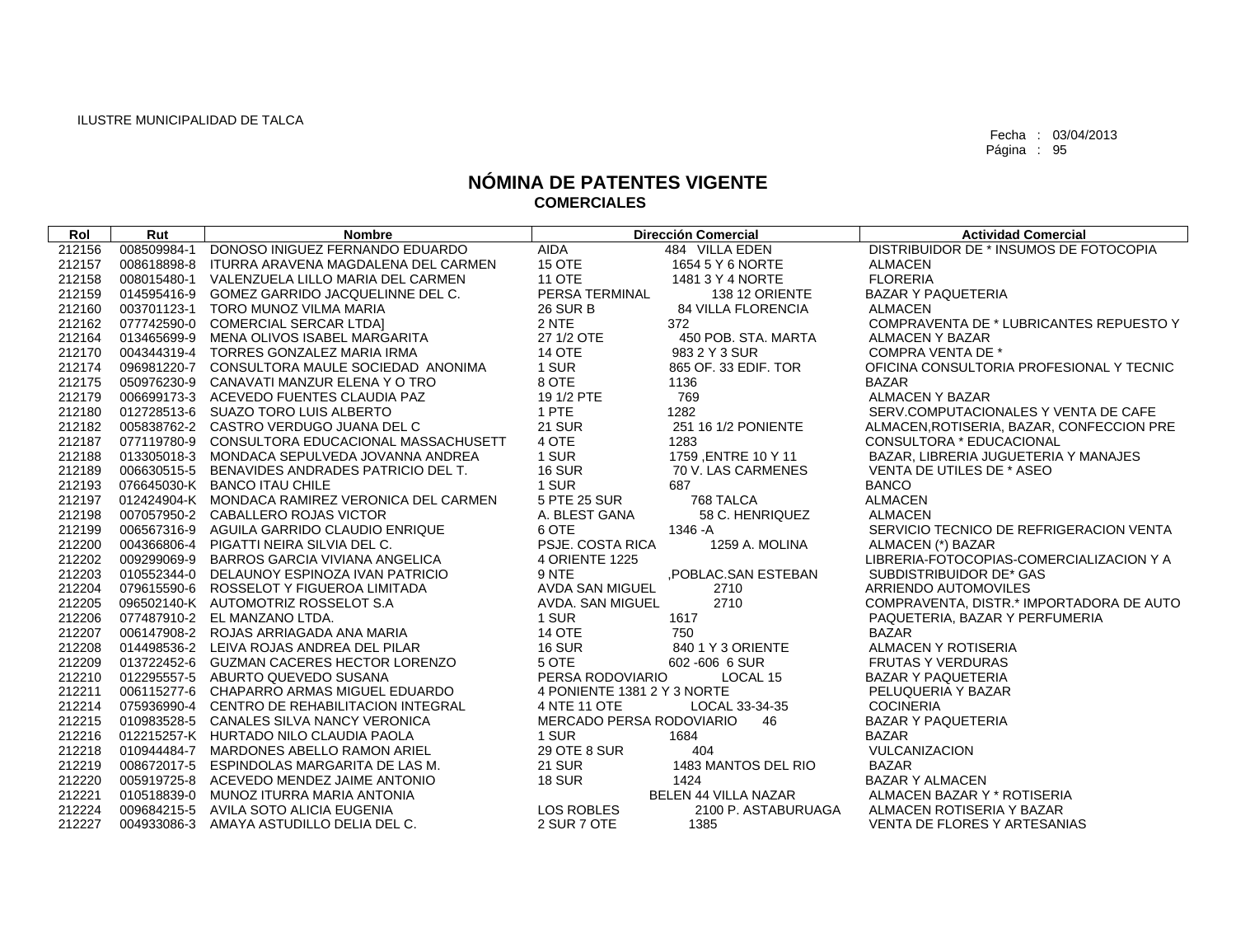| Rol    | Rut         | <b>Nombre</b>                                   |                             | <b>Dirección Comercial</b> | <b>Actividad Comercial</b>                |
|--------|-------------|-------------------------------------------------|-----------------------------|----------------------------|-------------------------------------------|
| 212156 | 008509984-1 | DONOSO INIGUEZ FERNANDO EDUARDO                 | AIDA                        | 484 VILLA EDEN             | DISTRIBUIDOR DE * INSUMOS DE FOTOCOPIA    |
| 212157 |             | 008618898-8 ITURRA ARAVENA MAGDALENA DEL CARMEN | <b>15 OTE</b>               | 1654 5 Y 6 NORTE           | <b>ALMACEN</b>                            |
| 212158 |             | 008015480-1 VALENZUELA LILLO MARIA DEL CARMEN   | <b>11 OTE</b>               | 1481 3 Y 4 NORTE           | <b>FLORERIA</b>                           |
| 212159 |             | 014595416-9 GOMEZ GARRIDO JACQUELINNE DEL C.    | PERSA TERMINAL              | 138 12 ORIENTE             | BAZAR Y PAQUETERIA                        |
| 212160 |             | 003701123-1 TORO MUNOZ VILMA MARIA              | <b>26 SUR B</b>             | 84 VILLA FLORENCIA         | <b>ALMACEN</b>                            |
| 212162 |             | 077742590-0 COMERCIAL SERCAR LTDA]              | 2 NTE                       | 372                        | COMPRAVENTA DE * LUBRICANTES REPUESTO Y   |
| 212164 |             | 013465699-9 MENA OLIVOS ISABEL MARGARITA        | 27 1/2 OTE                  | 450 POB. STA. MARTA        | ALMACEN Y BAZAR                           |
| 212170 |             | 004344319-4 TORRES GONZALEZ MARIA IRMA          | <b>14 OTE</b>               | 983 2 Y 3 SUR              | <b>COMPRA VENTA DE *</b>                  |
| 212174 |             | 096981220-7 CONSULTORA MAULE SOCIEDAD ANONIMA   | 1 SUR                       | 865 OF. 33 EDIF. TOR       | OFICINA CONSULTORIA PROFESIONAL Y TECNIC  |
| 212175 |             | 050976230-9 CANAVATI MANZUR ELENA Y O TRO       | 8 OTE                       | 1136                       | <b>BAZAR</b>                              |
| 212179 |             | 006699173-3 ACEVEDO FUENTES CLAUDIA PAZ         | 19 1/2 PTE                  | 769                        | <b>ALMACEN Y BAZAR</b>                    |
| 212180 |             | 012728513-6 SUAZO TORO LUIS ALBERTO             | 1 PTE                       | 1282                       | SERV.COMPUTACIONALES Y VENTA DE CAFE      |
| 212182 |             | 005838762-2 CASTRO VERDUGO JUANA DEL C          | <b>21 SUR</b>               | 251 16 1/2 PONIENTE        | ALMACEN, ROTISERIA, BAZAR, CONFECCION PRE |
| 212187 |             | 077119780-9 CONSULTORA EDUCACIONAL MASSACHUSETT | 4 OTE                       | 1283                       | CONSULTORA * EDUCACIONAL                  |
| 212188 |             | 013305018-3 MONDACA SEPULVEDA JOVANNA ANDREA    | 1 SUR                       | 1759 ,ENTRE 10 Y 11        | BAZAR, LIBRERIA JUGUETERIA Y MANAJES      |
| 212189 |             | 006630515-5 BENAVIDES ANDRADES PATRICIO DEL T.  | <b>16 SUR</b>               | 70 V. LAS CARMENES         | VENTA DE UTILES DE * ASEO                 |
| 212193 |             | 076645030-K BANCO ITAU CHILE                    | 1 SUR                       | 687                        | <b>BANCO</b>                              |
| 212197 |             | 012424904-K MONDACA RAMIREZ VERONICA DEL CARMEN | 5 PTE 25 SUR                | 768 TALCA                  | <b>ALMACEN</b>                            |
| 212198 |             | 007057950-2 CABALLERO ROJAS VICTOR              | A. BLEST GANA               | 58 C. HENRIQUEZ            | <b>ALMACEN</b>                            |
| 212199 |             | 006567316-9 AGUILA GARRIDO CLAUDIO ENRIQUE      | 6 OTE                       | 1346 - A                   | SERVICIO TECNICO DE REFRIGERACION VENTA   |
| 212200 |             | 004366806-4 PIGATTI NEIRA SILVIA DEL C.         | PSJE. COSTA RICA            | 1259 A. MOLINA             | ALMACEN (*) BAZAR                         |
| 212202 |             | 009299069-9 BARROS GARCIA VIVIANA ANGELICA      | <b>4 ORIENTE 1225</b>       |                            | LIBRERIA-FOTOCOPIAS-COMERCIALIZACION Y A  |
| 212203 |             | 010552344-0 DELAUNOY ESPINOZA IVAN PATRICIO     | 9 NTE                       | ,POBLAC.SAN ESTEBAN        | SUBDISTRIBUIDOR DE* GAS                   |
| 212204 |             | 079615590-6 ROSSELOT Y FIGUEROA LIMITADA        | AVDA SAN MIGUEL             | 2710                       | ARRIENDO AUTOMOVILES                      |
| 212205 |             | 096502140-K AUTOMOTRIZ ROSSELOT S.A             | AVDA. SAN MIGUEL            | 2710                       | COMPRAVENTA, DISTR.* IMPORTADORA DE AUTO  |
| 212206 |             | 077487910-2 EL MANZANO LTDA.                    | 1 SUR                       | 1617                       | PAQUETERIA, BAZAR Y PERFUMERIA            |
| 212207 |             | 006147908-2 ROJAS ARRIAGADA ANA MARIA           | <b>14 OTE</b>               | 750                        | <b>BAZAR</b>                              |
| 212208 |             | 014498536-2 LEIVA ROJAS ANDREA DEL PILAR        | <b>16 SUR</b>               | 840 1 Y 3 ORIENTE          | ALMACEN Y ROTISERIA                       |
| 212209 |             | 013722452-6 GUZMAN CACERES HECTOR LORENZO       | 5 OTE                       | 602-606 6 SUR              | <b>FRUTAS Y VERDURAS</b>                  |
| 212210 |             | 012295557-5 ABURTO QUEVEDO SUSANA               | PERSA RODOVIARIO            | LOCAL 15                   | <b>BAZAR Y PAQUETERIA</b>                 |
| 212211 |             | 006115277-6 CHAPARRO ARMAS MIGUEL EDUARDO       | 4 PONIENTE 1381 2 Y 3 NORTE |                            | PELUQUERIA Y BAZAR                        |
| 212214 |             | 075936990-4 CENTRO DE REHABILITACION INTEGRAL   | 4 NTE 11 OTE                | LOCAL 33-34-35             | <b>COCINERIA</b>                          |
| 212215 |             | 010983528-5 CANALES SILVA NANCY VERONICA        | MERCADO PERSA RODOVIARIO    | 46                         | <b>BAZAR Y PAQUETERIA</b>                 |
| 212216 |             | 012215257-K HURTADO NILO CLAUDIA PAOLA          | 1 SUR                       | 1684                       | <b>BAZAR</b>                              |
| 212218 |             | 010944484-7 MARDONES ABELLO RAMON ARIEL         | <b>29 OTE 8 SUR</b>         | 404                        | VULCANIZACION                             |
| 212219 |             | 008672017-5 ESPINDOLAS MARGARITA DE LAS M.      | <b>21 SUR</b>               | 1483 MANTOS DEL RIO        | <b>BAZAR</b>                              |
| 212220 |             | 005919725-8 ACEVEDO MENDEZ JAIME ANTONIO        | <b>18 SUR</b>               | 1424                       | <b>BAZAR Y ALMACEN</b>                    |
| 212221 |             | 010518839-0 MUNOZ ITURRA MARIA ANTONIA          |                             | BELEN 44 VILLA NAZAR       | ALMACEN BAZAR Y * ROTISERIA               |
| 212224 |             | 009684215-5 AVILA SOTO ALICIA EUGENIA           | <b>LOS ROBLES</b>           | 2100 P. ASTABURUAGA        | ALMACEN ROTISERIA Y BAZAR                 |
| 212227 |             | 004933086-3 AMAYA ASTUDILLO DELIA DEL C.        | 2 SUR 7 OTE                 | 1385                       | VENTA DE FLORES Y ARTESANIAS              |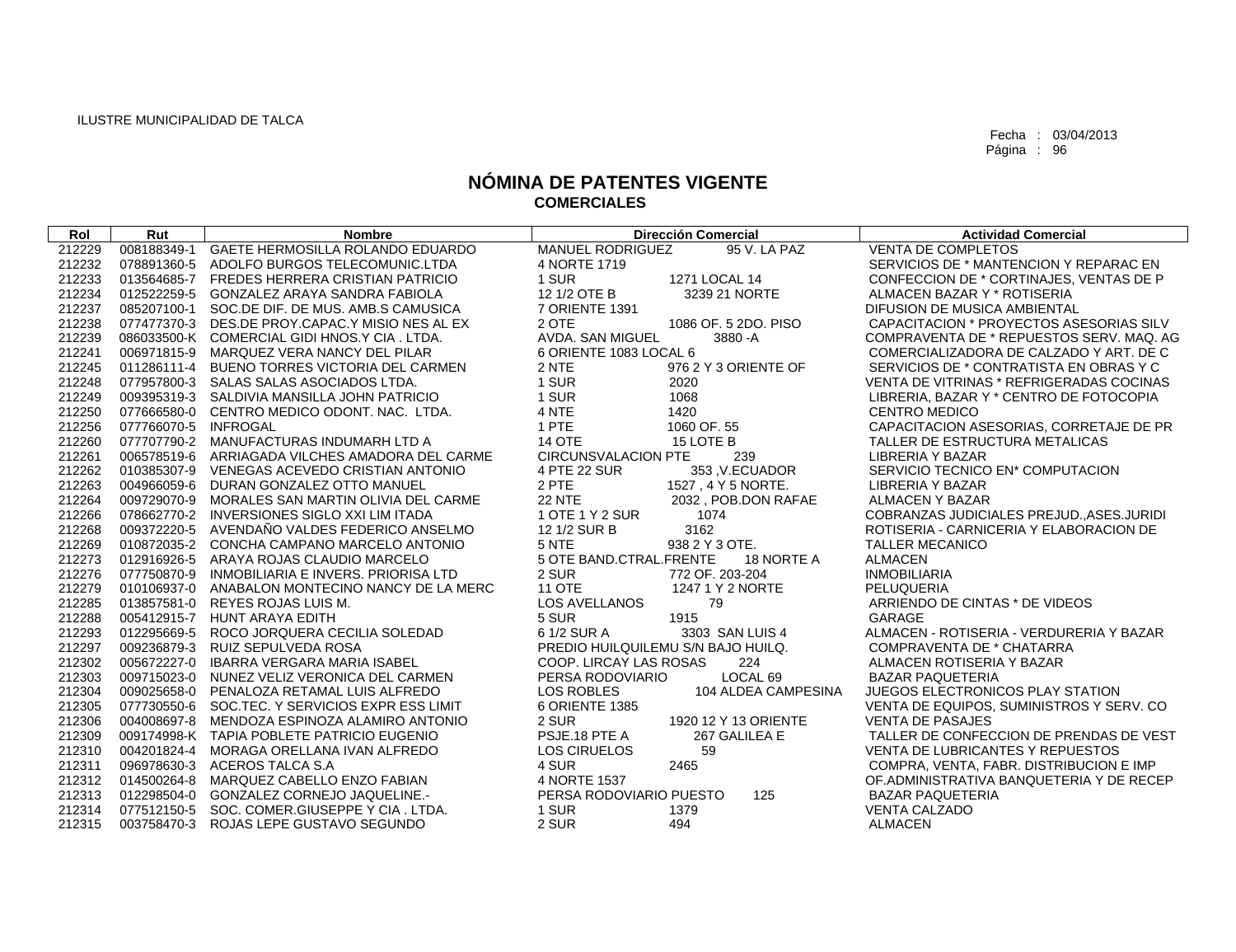| Rol    | Rut                  | <b>Nombre</b>                                   | <b>Dirección Comercial</b>              | <b>Actividad Comercial</b>                 |
|--------|----------------------|-------------------------------------------------|-----------------------------------------|--------------------------------------------|
| 212229 | 008188349-1          | GAETE HERMOSILLA ROLANDO EDUARDO                | <b>MANUEL RODRIGUEZ</b><br>95 V. LA PAZ | <b>VENTA DE COMPLETOS</b>                  |
| 212232 | 078891360-5          | ADOLFO BURGOS TELECOMUNIC.LTDA                  | 4 NORTE 1719                            | SERVICIOS DE * MANTENCION Y REPARAC EN     |
| 212233 |                      | 013564685-7 FREDES HERRERA CRISTIAN PATRICIO    | 1 SUR<br>1271 LOCAL 14                  | CONFECCION DE * CORTINAJES, VENTAS DE P    |
| 212234 |                      | 012522259-5 GONZALEZ ARAYA SANDRA FABIOLA       | 12 1/2 OTE B<br>3239 21 NORTE           | ALMACEN BAZAR Y * ROTISERIA                |
| 212237 | 085207100-1          | SOC.DE DIF. DE MUS. AMB.S CAMUSICA              | 7 ORIENTE 1391                          | DIFUSION DE MUSICA AMBIENTAL               |
| 212238 |                      | 077477370-3 DES.DE PROY.CAPAC.Y MISIO NES AL EX | 1086 OF. 5 2DO. PISO<br>2 OTE           | CAPACITACION * PROYECTOS ASESORIAS SILV    |
| 212239 |                      | 086033500-K COMERCIAL GIDI HNOS.Y CIA. LTDA.    | AVDA. SAN MIGUEL<br>3880-A              | COMPRAVENTA DE * REPUESTOS SERV. MAQ. AG   |
| 212241 |                      | 006971815-9 MARQUEZ VERA NANCY DEL PILAR        | 6 ORIENTE 1083 LOCAL 6                  | COMERCIALIZADORA DE CALZADO Y ART. DE C    |
| 212245 |                      | 011286111-4 BUENO TORRES VICTORIA DEL CARMEN    | 2 NTE<br>976 2 Y 3 ORIENTE OF           | SERVICIOS DE * CONTRATISTA EN OBRAS Y C    |
| 212248 |                      | 077957800-3 SALAS SALAS ASOCIADOS LTDA.         | 1 SUR<br>2020                           | VENTA DE VITRINAS * REFRIGERADAS COCINAS   |
| 212249 |                      | 009395319-3 SALDIVIA MANSILLA JOHN PATRICIO     | 1 SUR<br>1068                           | LIBRERIA, BAZAR Y * CENTRO DE FOTOCOPIA    |
| 212250 |                      | 077666580-0 CENTRO MEDICO ODONT. NAC. LTDA.     | 4 NTE<br>1420                           | <b>CENTRO MEDICO</b>                       |
| 212256 | 077766070-5 INFROGAL |                                                 | 1 PTE<br>1060 OF, 55                    | CAPACITACION ASESORIAS, CORRETAJE DE PR    |
| 212260 |                      | 077707790-2 MANUFACTURAS INDUMARH LTD A         | <b>14 OTE</b><br>15 LOTE B              | TALLER DE ESTRUCTURA METALICAS             |
| 212261 |                      | 006578519-6 ARRIAGADA VILCHES AMADORA DEL CARME | <b>CIRCUNSVALACION PTE</b><br>239       | LIBRERIA Y BAZAR                           |
| 212262 | 010385307-9          | VENEGAS ACEVEDO CRISTIAN ANTONIO                | 4 PTE 22 SUR<br>353, V.ECUADOR          | SERVICIO TECNICO EN* COMPUTACION           |
| 212263 |                      | 004966059-6 DURAN GONZALEZ OTTO MANUEL          | 2 PTE<br>1527, 4 Y 5 NORTE.             | LIBRERIA Y BAZAR                           |
| 212264 |                      | 009729070-9 MORALES SAN MARTIN OLIVIA DEL CARME | <b>22 NTE</b><br>2032, POB.DON RAFAE    | <b>ALMACEN Y BAZAR</b>                     |
| 212266 |                      | 078662770-2 INVERSIONES SIGLO XXI LIM ITADA     | 1 OTE 1 Y 2 SUR<br>1074                 | COBRANZAS JUDICIALES PREJUD., ASES. JURIDI |
| 212268 |                      | 009372220-5 AVENDAÑO VALDES FEDERICO ANSELMO    | 12 1/2 SUR B<br>3162                    | ROTISERIA - CARNICERIA Y ELABORACION DE    |
| 212269 |                      | 010872035-2 CONCHA CAMPANO MARCELO ANTONIO      | 5 NTE<br>938 2 Y 3 OTE.                 | <b>TALLER MECANICO</b>                     |
| 212273 |                      | 012916926-5 ARAYA ROJAS CLAUDIO MARCELO         | 5 OTE BAND.CTRAL.FRENTE<br>18 NORTE A   | <b>ALMACEN</b>                             |
| 212276 |                      | 077750870-9 INMOBILIARIA E INVERS. PRIORISA LTD | 2 SUR<br>772 OF. 203-204                | <b>INMOBILIARIA</b>                        |
| 212279 |                      | 010106937-0 ANABALON MONTECINO NANCY DE LA MERC | <b>11 OTE</b><br>1247 1 Y 2 NORTE       | PELUQUERIA                                 |
| 212285 |                      | 013857581-0 REYES ROJAS LUIS M.                 | <b>LOS AVELLANOS</b><br>79              | ARRIENDO DE CINTAS * DE VIDEOS             |
| 212288 |                      | 005412915-7 HUNT ARAYA EDITH                    | 5 SUR<br>1915                           | GARAGE                                     |
| 212293 |                      | 012295669-5 ROCO JORQUERA CECILIA SOLEDAD       | 6 1/2 SUR A<br>3303 SAN LUIS 4          | ALMACEN - ROTISERIA - VERDURERIA Y BAZAR   |
| 212297 |                      | 009236879-3 RUIZ SEPULVEDA ROSA                 | PREDIO HUILQUILEMU S/N BAJO HUILQ.      | COMPRAVENTA DE * CHATARRA                  |
| 212302 |                      | 005672227-0 IBARRA VERGARA MARIA ISABEL         | 224<br>COOP. LIRCAY LAS ROSAS           | ALMACEN ROTISERIA Y BAZAR                  |
| 212303 |                      | 009715023-0 NUNEZ VELIZ VERONICA DEL CARMEN     | LOCAL <sub>69</sub><br>PERSA RODOVIARIO | <b>BAZAR PAQUETERIA</b>                    |
| 212304 |                      | 009025658-0 PENALOZA RETAMAL LUIS ALFREDO       | LOS ROBLES<br>104 ALDEA CAMPESINA       | JUEGOS ELECTRONICOS PLAY STATION           |
| 212305 |                      | 077730550-6 SOC.TEC. Y SERVICIOS EXPR ESS LIMIT | 6 ORIENTE 1385                          | VENTA DE EQUIPOS, SUMINISTROS Y SERV. CO   |
| 212306 |                      | 004008697-8 MENDOZA ESPINOZA ALAMIRO ANTONIO    | 2 SUR<br>1920 12 Y 13 ORIENTE           | <b>VENTA DE PASAJES</b>                    |
| 212309 |                      | 009174998-K TAPIA POBLETE PATRICIO EUGENIO      | PSJE.18 PTE A<br>267 GALILEA E          | TALLER DE CONFECCION DE PRENDAS DE VEST    |
| 212310 | 004201824-4          | MORAGA ORELLANA IVAN ALFREDO                    | 59<br><b>LOS CIRUELOS</b>               | VENTA DE LUBRICANTES Y REPUESTOS           |
| 212311 |                      | 096978630-3 ACEROS TALCA S.A                    | 2465<br>4 SUR                           | COMPRA, VENTA, FABR. DISTRIBUCION E IMP    |
| 212312 |                      | 014500264-8 MARQUEZ CABELLO ENZO FABIAN         | 4 NORTE 1537                            | OF ADMINISTRATIVA BANQUETERIA Y DE RECEP   |
| 212313 | 012298504-0          | <b>GONZALEZ CORNEJO JAQUELINE.-</b>             | PERSA RODOVIARIO PUESTO<br>125          | <b>BAZAR PAQUETERIA</b>                    |
| 212314 |                      | 077512150-5 SOC. COMER.GIUSEPPE Y CIA. LTDA.    | 1 SUR<br>1379                           | <b>VENTA CALZADO</b>                       |
| 212315 |                      | 003758470-3 ROJAS LEPE GUSTAVO SEGUNDO          | 2 SUR<br>494                            | <b>ALMACEN</b>                             |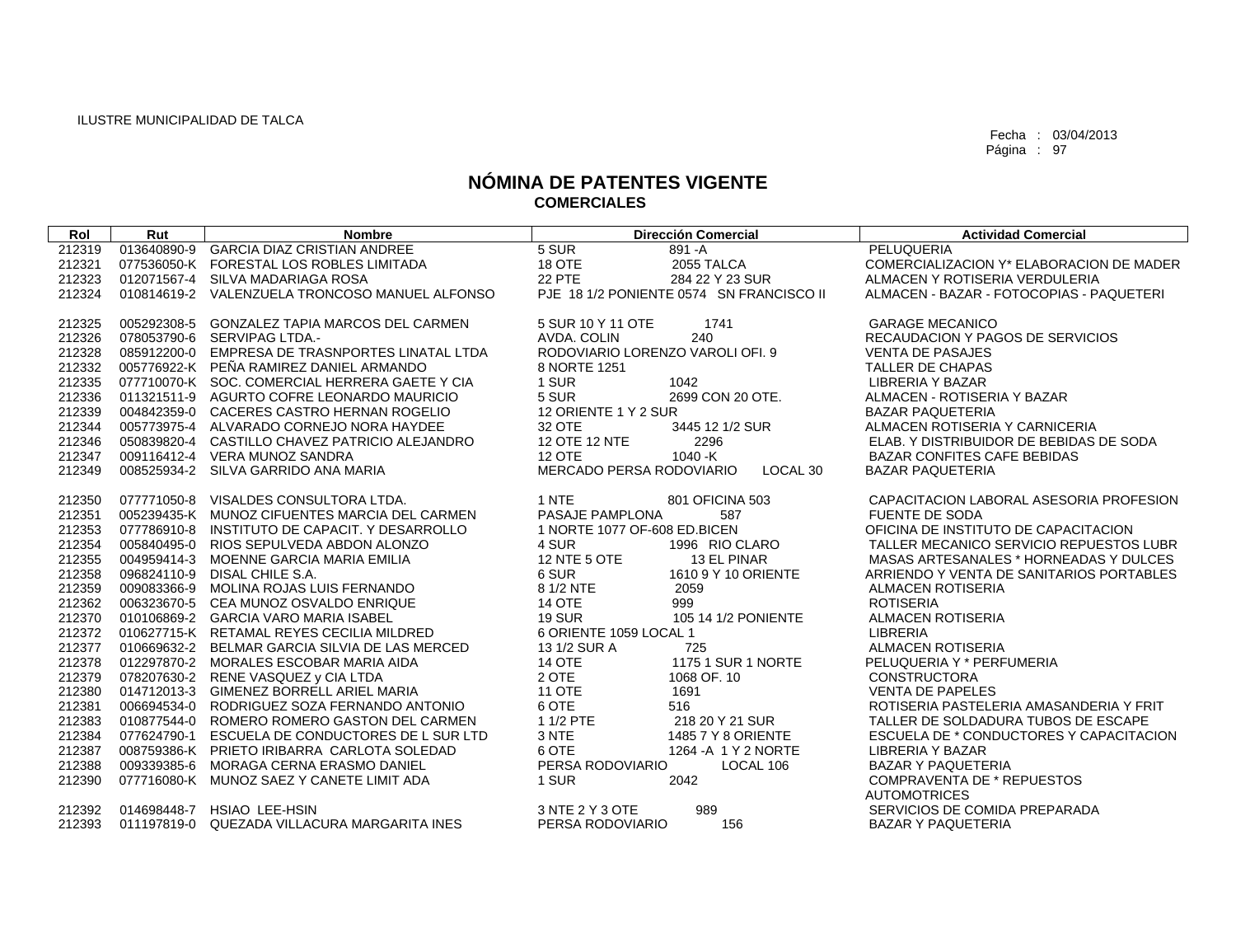| Rol    | Rut         | <b>Nombre</b>                                   | <b>Dirección Comercial</b>               | <b>Actividad Comercial</b>               |
|--------|-------------|-------------------------------------------------|------------------------------------------|------------------------------------------|
| 212319 | 013640890-9 | <b>GARCIA DIAZ CRISTIAN ANDREE</b>              | $5$ SUR<br>891-A                         | <b>PELUQUERIA</b>                        |
| 212321 |             | 077536050-K FORESTAL LOS ROBLES LIMITADA        | 18 OTE<br>2055 TALCA                     | COMERCIALIZACION Y* ELABORACION DE MADER |
| 212323 |             | 012071567-4 SILVA MADARIAGA ROSA                | <b>22 PTE</b><br>284 22 Y 23 SUR         | ALMACEN Y ROTISERIA VERDULERIA           |
| 212324 |             | 010814619-2 VALENZUELA TRONCOSO MANUEL ALFONSO  | PJE 18 1/2 PONIENTE 0574 SN FRANCISCO II | ALMACEN - BAZAR - FOTOCOPIAS - PAQUETERI |
|        |             |                                                 |                                          |                                          |
| 212325 | 005292308-5 | GONZALEZ TAPIA MARCOS DEL CARMEN                | 5 SUR 10 Y 11 OTE<br>1741                | <b>GARAGE MECANICO</b>                   |
| 212326 | 078053790-6 | SERVIPAG LTDA.-                                 | AVDA, COLIN<br>240                       | RECAUDACION Y PAGOS DE SERVICIOS         |
| 212328 |             | 085912200-0 EMPRESA DE TRASNPORTES LINATAL LTDA | RODOVIARIO LORENZO VAROLI OFI. 9         | <b>VENTA DE PASAJES</b>                  |
| 212332 |             | 005776922-K PEÑA RAMIREZ DANIEL ARMANDO         | 8 NORTE 1251                             | <b>TALLER DE CHAPAS</b>                  |
| 212335 |             | 077710070-K SOC. COMERCIAL HERRERA GAETE Y CIA  | 1 SUR<br>1042                            | <b>LIBRERIA Y BAZAR</b>                  |
| 212336 |             | 011321511-9 AGURTO COFRE LEONARDO MAURICIO      | 5 SUR<br>2699 CON 20 OTE.                | ALMACEN - ROTISERIA Y BAZAR              |
| 212339 |             | 004842359-0 CACERES CASTRO HERNAN ROGELIO       | 12 ORIENTE 1 Y 2 SUR                     | <b>BAZAR PAQUETERIA</b>                  |
| 212344 |             | 005773975-4 ALVARADO CORNEJO NORA HAYDEE        | 32 OTE<br>3445 12 1/2 SUR                | ALMACEN ROTISERIA Y CARNICERIA           |
| 212346 |             | 050839820-4 CASTILLO CHAVEZ PATRICIO ALEJANDRO  | 12 OTE 12 NTE<br>2296                    | ELAB. Y DISTRIBUIDOR DE BEBIDAS DE SODA  |
| 212347 |             | 009116412-4 VERA MUNOZ SANDRA                   | $1040 - K$<br><b>12 OTE</b>              | <b>BAZAR CONFITES CAFE BEBIDAS</b>       |
| 212349 |             | 008525934-2 SILVA GARRIDO ANA MARIA             | MERCADO PERSA RODOVIARIO<br>LOCAL 30     | <b>BAZAR PAQUETERIA</b>                  |
| 212350 | 077771050-8 | VISALDES CONSULTORA LTDA.                       | 1 NTE<br>801 OFICINA 503                 | CAPACITACION LABORAL ASESORIA PROFESION  |
| 212351 |             | 005239435-K MUNOZ CIFUENTES MARCIA DEL CARMEN   | PASAJE PAMPLONA<br>587                   | <b>FUENTE DE SODA</b>                    |
| 212353 | 077786910-8 | INSTITUTO DE CAPACIT. Y DESARROLLO              | 1 NORTE 1077 OF-608 ED.BICEN             | OFICINA DE INSTITUTO DE CAPACITACION     |
| 212354 |             | 005840495-0 RIOS SEPULVEDA ABDON ALONZO         | 4 SUR<br>1996 RIO CLARO                  | TALLER MECANICO SERVICIO REPUESTOS LUBR  |
| 212355 |             | 004959414-3 MOENNE GARCIA MARIA EMILIA          | 12 NTE 5 OTE<br>13 EL PINAR              | MASAS ARTESANALES * HORNEADAS Y DULCES   |
| 212358 | 096824110-9 | DISAL CHILE S.A.                                | 6 SUR<br>1610 9 Y 10 ORIENTE             | ARRIENDO Y VENTA DE SANITARIOS PORTABLES |
| 212359 | 009083366-9 | MOLINA ROJAS LUIS FERNANDO                      | 8 1/2 NTE<br>2059                        | <b>ALMACEN ROTISERIA</b>                 |
| 212362 | 006323670-5 | CEA MUNOZ OSVALDO ENRIQUE                       | <b>14 OTE</b><br>999                     | <b>ROTISERIA</b>                         |
| 212370 |             | 010106869-2 GARCIA VARO MARIA ISABEL            | <b>19 SUR</b><br>105 14 1/2 PONIENTE     | <b>ALMACEN ROTISERIA</b>                 |
| 212372 |             | 010627715-K RETAMAL REYES CECILIA MILDRED       | 6 ORIENTE 1059 LOCAL 1                   | <b>LIBRERIA</b>                          |
| 212377 |             | 010669632-2 BELMAR GARCIA SILVIA DE LAS MERCED  | 13 1/2 SUR A<br>725                      | <b>ALMACEN ROTISERIA</b>                 |
| 212378 |             | 012297870-2 MORALES ESCOBAR MARIA AIDA          | 1175 1 SUR 1 NORTE<br><b>14 OTE</b>      | PELUQUERIA Y * PERFUMERIA                |
| 212379 |             | 078207630-2 RENE VASQUEZ y CIA LTDA             | 2 OTE<br>1068 OF, 10                     | <b>CONSTRUCTORA</b>                      |
| 212380 |             | 014712013-3 GIMENEZ BORRELL ARIEL MARIA         | <b>11 OTE</b><br>1691                    | <b>VENTA DE PAPELES</b>                  |
| 212381 | 006694534-0 | RODRIGUEZ SOZA FERNANDO ANTONIO                 | 6 OTE<br>516                             | ROTISERIA PASTELERIA AMASANDERIA Y FRIT  |
| 212383 | 010877544-0 | ROMERO ROMERO GASTON DEL CARMEN                 | 1 1/2 PTE<br>218 20 Y 21 SUR             | TALLER DE SOLDADURA TUBOS DE ESCAPE      |
| 212384 | 077624790-1 | ESCUELA DE CONDUCTORES DE L SUR LTD             | 3 NTE<br>1485 7 Y 8 ORIENTE              | ESCUELA DE * CONDUCTORES Y CAPACITACION  |
| 212387 |             | 008759386-K PRIETO IRIBARRA CARLOTA SOLEDAD     | 6 OTE<br>1264 - A 1 Y 2 NORTE            | <b>LIBRERIA Y BAZAR</b>                  |
| 212388 | 009339385-6 | MORAGA CERNA ERASMO DANIEL                      | PERSA RODOVIARIO<br>LOCAL 106            | <b>BAZAR Y PAQUETERIA</b>                |
| 212390 |             | 077716080-K MUNOZ SAEZ Y CANETE LIMIT ADA       | 1 SUR<br>2042                            | <b>COMPRAVENTA DE * REPUESTOS</b>        |
|        |             |                                                 |                                          | <b>AUTOMOTRICES</b>                      |
| 212392 | 014698448-7 | <b>HSIAO LEE-HSIN</b>                           | 3 NTE 2 Y 3 OTE<br>989                   | SERVICIOS DE COMIDA PREPARADA            |
| 212393 | 011197819-0 | QUEZADA VILLACURA MARGARITA INES                | PERSA RODOVIARIO<br>156                  | <b>BAZAR Y PAQUETERIA</b>                |
|        |             |                                                 |                                          |                                          |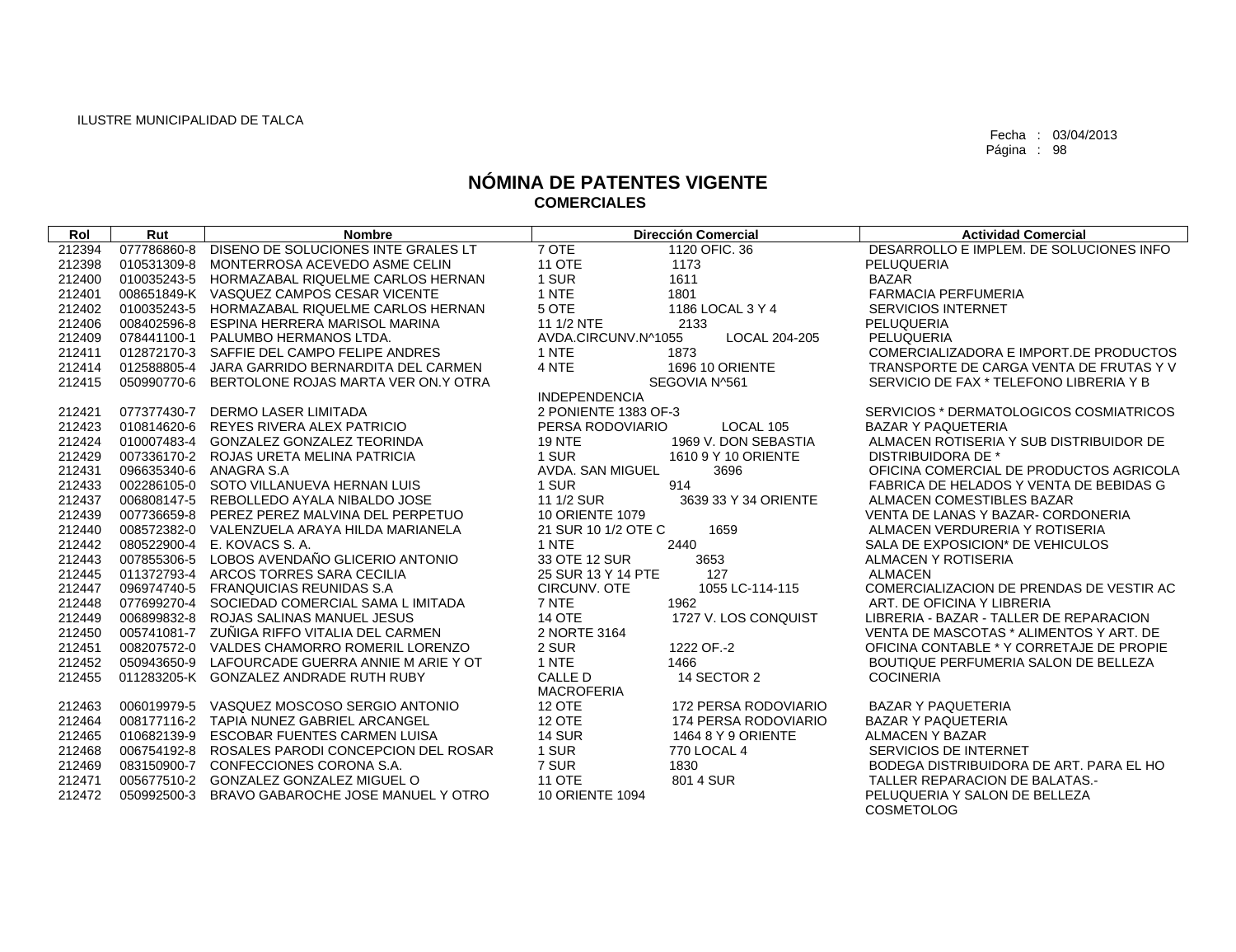| Rol    | Rut                    | <b>Nombre</b>                                  | <b>Dirección Comercial</b>            | <b>Actividad Comercial</b>                         |
|--------|------------------------|------------------------------------------------|---------------------------------------|----------------------------------------------------|
| 212394 | 077786860-8            | DISENO DE SOLUCIONES INTE GRALES LT            | 7 OTE<br>1120 OFIC, 36                | DESARROLLO E IMPLEM. DE SOLUCIONES INFO            |
| 212398 | 010531309-8            | MONTERROSA ACEVEDO ASME CELIN                  | <b>11 OTE</b><br>1173                 | PELUQUERIA                                         |
| 212400 | 010035243-5            | HORMAZABAL RIQUELME CARLOS HERNAN              | 1 SUR<br>1611                         | <b>BAZAR</b>                                       |
| 212401 |                        | 008651849-K VASQUEZ CAMPOS CESAR VICENTE       | 1 NTE<br>1801                         | <b>FARMACIA PERFUMERIA</b>                         |
| 212402 | 010035243-5            | HORMAZABAL RIQUELME CARLOS HERNAN              | 5 OTE<br>1186 LOCAL 3 Y 4             | <b>SERVICIOS INTERNET</b>                          |
| 212406 | 008402596-8            | ESPINA HERRERA MARISOL MARINA                  | 11 1/2 NTE<br>2133                    | <b>PELUQUERIA</b>                                  |
| 212409 | 078441100-1            | PALUMBO HERMANOS LTDA.                         | AVDA.CIRCUNV.N^1055<br>LOCAL 204-205  | PELUQUERIA                                         |
| 212411 |                        | 012872170-3 SAFFIE DEL CAMPO FELIPE ANDRES     | 1 NTE<br>1873                         | COMERCIALIZADORA E IMPORT.DE PRODUCTOS             |
| 212414 |                        | 012588805-4 JARA GARRIDO BERNARDITA DEL CARMEN | 4 NTE<br><b>1696 10 ORIENTE</b>       | TRANSPORTE DE CARGA VENTA DE FRUTAS Y V            |
| 212415 | 050990770-6            | BERTOLONE ROJAS MARTA VER ON Y OTRA            | SEGOVIA N^561                         | SERVICIO DE FAX <sup>*</sup> TELEFONO LIBRERIA Y B |
|        |                        |                                                | <b>INDEPENDENCIA</b>                  |                                                    |
| 212421 | 077377430-7            | DERMO LASER LIMITADA                           | 2 PONIENTE 1383 OF-3                  | SERVICIOS * DERMATOLOGICOS COSMIATRICOS            |
| 212423 | 010814620-6            | REYES RIVERA ALEX PATRICIO                     | LOCAL 105<br>PERSA RODOVIARIO         | <b>BAZAR Y PAQUETERIA</b>                          |
| 212424 |                        | 010007483-4 GONZALEZ GONZALEZ TEORINDA         | <b>19 NTE</b><br>1969 V. DON SEBASTIA | ALMACEN ROTISERIA Y SUB DISTRIBUIDOR DE            |
| 212429 |                        | 007336170-2 ROJAS URETA MELINA PATRICIA        | 1 SUR<br>1610 9 Y 10 ORIENTE          | DISTRIBUIDORA DE *                                 |
| 212431 | 096635340-6 ANAGRA S.A |                                                | AVDA, SAN MIGUEL<br>3696              | OFICINA COMERCIAL DE PRODUCTOS AGRICOLA            |
| 212433 |                        | 002286105-0 SOTO VILLANUEVA HERNAN LUIS        | 1 SUR<br>914                          | FABRICA DE HELADOS Y VENTA DE BEBIDAS G            |
| 212437 |                        | 006808147-5 REBOLLEDO AYALA NIBALDO JOSE       | 11 1/2 SUR<br>3639 33 Y 34 ORIENTE    | ALMACEN COMESTIBLES BAZAR                          |
| 212439 |                        | 007736659-8 PEREZ PEREZ MALVINA DEL PERPETUO   | <b>10 ORIENTE 1079</b>                | VENTA DE LANAS Y BAZAR- CORDONERIA                 |
| 212440 |                        | 008572382-0 VALENZUELA ARAYA HILDA MARIANELA   | 21 SUR 10 1/2 OTE C<br>1659           | ALMACEN VERDURERIA Y ROTISERIA                     |
| 212442 | 080522900-4            | E. KOVACS S. A.                                | 1 NTE<br>2440                         | SALA DE EXPOSICION* DE VEHICULOS                   |
| 212443 | 007855306-5            | LOBOS AVENDAÑO GLICERIO ANTONIO                | 33 OTE 12 SUR<br>3653                 | ALMACEN Y ROTISERIA                                |
| 212445 |                        | 011372793-4 ARCOS TORRES SARA CECILIA          | 25 SUR 13 Y 14 PTE<br>127             | <b>ALMACEN</b>                                     |
| 212447 |                        | 096974740-5 FRANQUICIAS REUNIDAS S.A           | CIRCUNV. OTE<br>1055 LC-114-115       | COMERCIALIZACION DE PRENDAS DE VESTIR AC           |
| 212448 |                        | 077699270-4 SOCIEDAD COMERCIAL SAMA L IMITADA  | 7 NTE<br>1962                         | ART. DE OFICINA Y LIBRERIA                         |
| 212449 | 006899832-8            | ROJAS SALINAS MANUEL JESUS                     | <b>14 OTE</b><br>1727 V. LOS CONQUIST | LIBRERIA - BAZAR - TALLER DE REPARACION            |
| 212450 |                        | 005741081-7 ZUÑIGA RIFFO VITALIA DEL CARMEN    | 2 NORTE 3164                          | VENTA DE MASCOTAS * ALIMENTOS Y ART. DE            |
| 212451 |                        | 008207572-0 VALDES CHAMORRO ROMERIL LORENZO    | 2 SUR<br>1222 OF -2                   | OFICINA CONTABLE * Y CORRETAJE DE PROPIE           |
| 212452 | 050943650-9            | LAFOURCADE GUERRA ANNIE M ARIE Y OT            | 1 NTE<br>1466                         | BOUTIQUE PERFUMERIA SALON DE BELLEZA               |
| 212455 |                        | 011283205-K GONZALEZ ANDRADE RUTH RUBY         | CALLE D<br>14 SECTOR 2                | <b>COCINERIA</b>                                   |
|        |                        |                                                | <b>MACROFERIA</b>                     |                                                    |
| 212463 |                        | 006019979-5 VASQUEZ MOSCOSO SERGIO ANTONIO     | <b>12 OTE</b><br>172 PERSA RODOVIARIO | <b>BAZAR Y PAQUETERIA</b>                          |
| 212464 |                        | 008177116-2 TAPIA NUNEZ GABRIEL ARCANGEL       | <b>12 OTE</b><br>174 PERSA RODOVIARIO | <b>BAZAR Y PAQUETERIA</b>                          |
| 212465 | 010682139-9            | <b>ESCOBAR FUENTES CARMEN LUISA</b>            | <b>14 SUR</b><br>1464 8 Y 9 ORIENTE   | <b>ALMACEN Y BAZAR</b>                             |
| 212468 | 006754192-8            | ROSALES PARODI CONCEPCION DEL ROSAR            | 1 SUR<br>770 LOCAL 4                  | SERVICIOS DE INTERNET                              |
| 212469 | 083150900-7            | CONFECCIONES CORONA S.A.                       | 7 SUR<br>1830                         | BODEGA DISTRIBUIDORA DE ART. PARA EL HO            |
| 212471 |                        | 005677510-2 GONZALEZ GONZALEZ MIGUEL O         | <b>11 OTE</b><br>801 4 SUR            | TALLER REPARACION DE BALATAS.-                     |
| 212472 | 050992500-3            | BRAVO GABAROCHE JOSE MANUEL Y OTRO             | <b>10 ORIENTE 1094</b>                | PELUQUERIA Y SALON DE BELLEZA                      |
|        |                        |                                                |                                       | <b>COSMETOLOG</b>                                  |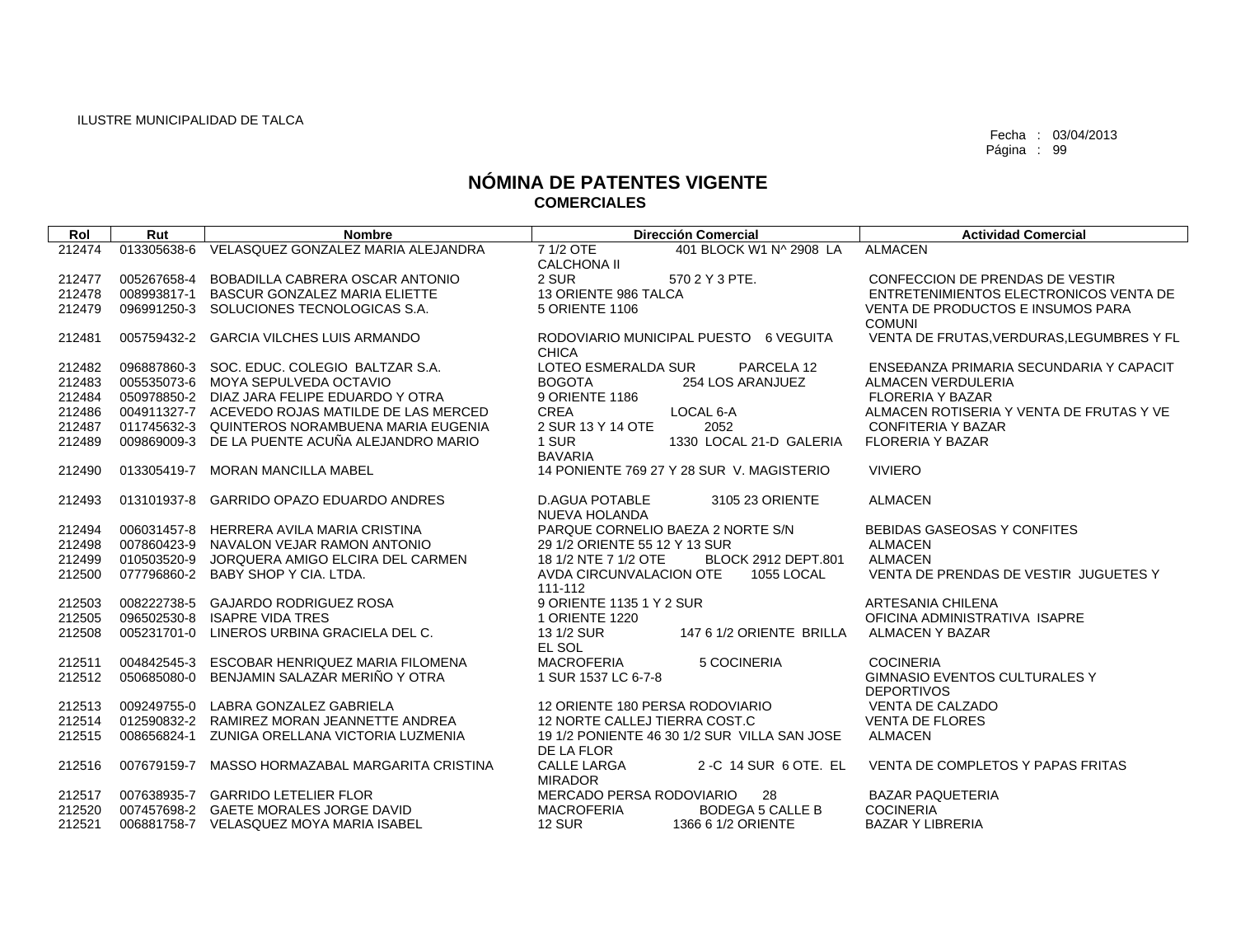| Rol    | Rut         | <b>Nombre</b>                                   | <b>Dirección Comercial</b>                                       | <b>Actividad Comercial</b>                                |
|--------|-------------|-------------------------------------------------|------------------------------------------------------------------|-----------------------------------------------------------|
| 212474 | 013305638-6 | VELASQUEZ GONZALEZ MARIA ALEJANDRA              | 7 1/2 OTE<br>401 BLOCK W1 N^ 2908 LA                             | <b>ALMACEN</b>                                            |
|        |             |                                                 | <b>CALCHONA II</b>                                               |                                                           |
| 212477 | 005267658-4 | BOBADILLA CABRERA OSCAR ANTONIO                 | 2 SUR<br>570 2 Y 3 PTE.                                          | CONFECCION DE PRENDAS DE VESTIR                           |
| 212478 |             | 008993817-1 BASCUR GONZALEZ MARIA ELIETTE       | 13 ORIENTE 986 TALCA                                             | ENTRETENIMIENTOS ELECTRONICOS VENTA DE                    |
| 212479 | 096991250-3 | SOLUCIONES TECNOLOGICAS S.A.                    | 5 ORIENTE 1106                                                   | VENTA DE PRODUCTOS E INSUMOS PARA<br><b>COMUNI</b>        |
| 212481 | 005759432-2 | <b>GARCIA VILCHES LUIS ARMANDO</b>              | RODOVIARIO MUNICIPAL PUESTO 6 VEGUITA<br><b>CHICA</b>            | VENTA DE FRUTAS, VERDURAS, LEGUMBRES Y FL                 |
| 212482 |             | 096887860-3 SOC. EDUC. COLEGIO BALTZAR S.A.     | LOTEO ESMERALDA SUR<br>PARCELA 12                                | ENSEĐANZA PRIMARIA SECUNDARIA Y CAPACIT                   |
| 212483 |             | 005535073-6 MOYA SEPULVEDA OCTAVIO              | <b>BOGOTA</b><br>254 LOS ARANJUEZ                                | <b>ALMACEN VERDULERIA</b>                                 |
| 212484 |             | 050978850-2 DIAZ JARA FELIPE EDUARDO Y OTRA     | 9 ORIENTE 1186                                                   | <b>FLORERIA Y BAZAR</b>                                   |
| 212486 |             | 004911327-7 ACEVEDO ROJAS MATILDE DE LAS MERCED | <b>CREA</b><br>LOCAL 6-A                                         | ALMACEN ROTISERIA Y VENTA DE FRUTAS Y VE                  |
| 212487 |             | 011745632-3 QUINTEROS NORAMBUENA MARIA EUGENIA  | 2 SUR 13 Y 14 OTE<br>2052                                        | <b>CONFITERIA Y BAZAR</b>                                 |
| 212489 | 009869009-3 | DE LA PUENTE ACUÑA ALEJANDRO MARIO              | 1 SUR<br>1330 LOCAL 21-D GALERIA<br><b>BAVARIA</b>               | <b>FLORERIA Y BAZAR</b>                                   |
| 212490 | 013305419-7 | MORAN MANCILLA MABEL                            | 14 PONIENTE 769 27 Y 28 SUR V. MAGISTERIO                        | <b>VIVIERO</b>                                            |
| 212493 | 013101937-8 | <b>GARRIDO OPAZO EDUARDO ANDRES</b>             | <b>D.AGUA POTABLE</b><br>3105 23 ORIENTE<br><b>NUEVA HOLANDA</b> | <b>ALMACEN</b>                                            |
| 212494 |             | 006031457-8 HERRERA AVILA MARIA CRISTINA        | PARQUE CORNELIO BAEZA 2 NORTE S/N                                | BEBIDAS GASEOSAS Y CONFITES                               |
| 212498 |             | 007860423-9 NAVALON VEJAR RAMON ANTONIO         | 29 1/2 ORIENTE 55 12 Y 13 SUR                                    | <b>ALMACEN</b>                                            |
| 212499 | 010503520-9 | JORQUERA AMIGO ELCIRA DEL CARMEN                | 18 1/2 NTE 7 1/2 OTE<br>BLOCK 2912 DEPT.801                      | <b>ALMACEN</b>                                            |
| 212500 |             | 077796860-2 BABY SHOP Y CIA. LTDA.              | AVDA CIRCUNVALACION OTE<br>1055 LOCAL<br>111-112                 | VENTA DE PRENDAS DE VESTIR JUGUETES Y                     |
| 212503 |             | 008222738-5 GAJARDO RODRIGUEZ ROSA              | 9 ORIENTE 1135 1 Y 2 SUR                                         | <b>ARTESANIA CHILENA</b>                                  |
| 212505 | 096502530-8 | <b>ISAPRE VIDA TRES</b>                         | 1 ORIENTE 1220                                                   | OFICINA ADMINISTRATIVA ISAPRE                             |
| 212508 | 005231701-0 | LINEROS URBINA GRACIELA DEL C.                  | 13 1/2 SUR<br>147 6 1/2 ORIENTE BRILLA<br>EL SOL                 | <b>ALMACEN Y BAZAR</b>                                    |
| 212511 | 004842545-3 | ESCOBAR HENRIQUEZ MARIA FILOMENA                | <b>MACROFERIA</b><br>5 COCINERIA                                 | <b>COCINERIA</b>                                          |
| 212512 | 050685080-0 | BENJAMIN SALAZAR MERIÑO Y OTRA                  | 1 SUR 1537 LC 6-7-8                                              | <b>GIMNASIO EVENTOS CULTURALES Y</b><br><b>DEPORTIVOS</b> |
| 212513 | 009249755-0 | LABRA GONZALEZ GABRIELA                         | 12 ORIENTE 180 PERSA RODOVIARIO                                  | <b>VENTA DE CALZADO</b>                                   |
| 212514 | 012590832-2 | RAMIREZ MORAN JEANNETTE ANDREA                  | 12 NORTE CALLEJ TIERRA COST.C                                    | <b>VENTA DE FLORES</b>                                    |
| 212515 | 008656824-1 | ZUNIGA ORELLANA VICTORIA LUZMENIA               | 19 1/2 PONIENTE 46 30 1/2 SUR VILLA SAN JOSE<br>DE LA FLOR       | <b>ALMACEN</b>                                            |
| 212516 | 007679159-7 | MASSO HORMAZABAL MARGARITA CRISTINA             | <b>CALLE LARGA</b><br>2 -C 14 SUR 6 OTE. EL<br><b>MIRADOR</b>    | VENTA DE COMPLETOS Y PAPAS FRITAS                         |
| 212517 |             | 007638935-7 GARRIDO LETELIER FLOR               | MERCADO PERSA RODOVIARIO<br>28                                   | <b>BAZAR PAQUETERIA</b>                                   |
| 212520 |             | 007457698-2 GAETE MORALES JORGE DAVID           | <b>MACROFERIA</b><br><b>BODEGA 5 CALLE B</b>                     | <b>COCINERIA</b>                                          |
| 212521 |             | 006881758-7 VELASQUEZ MOYA MARIA ISABEL         | <b>12 SUR</b><br>1366 6 1/2 ORIENTE                              | <b>BAZAR Y LIBRERIA</b>                                   |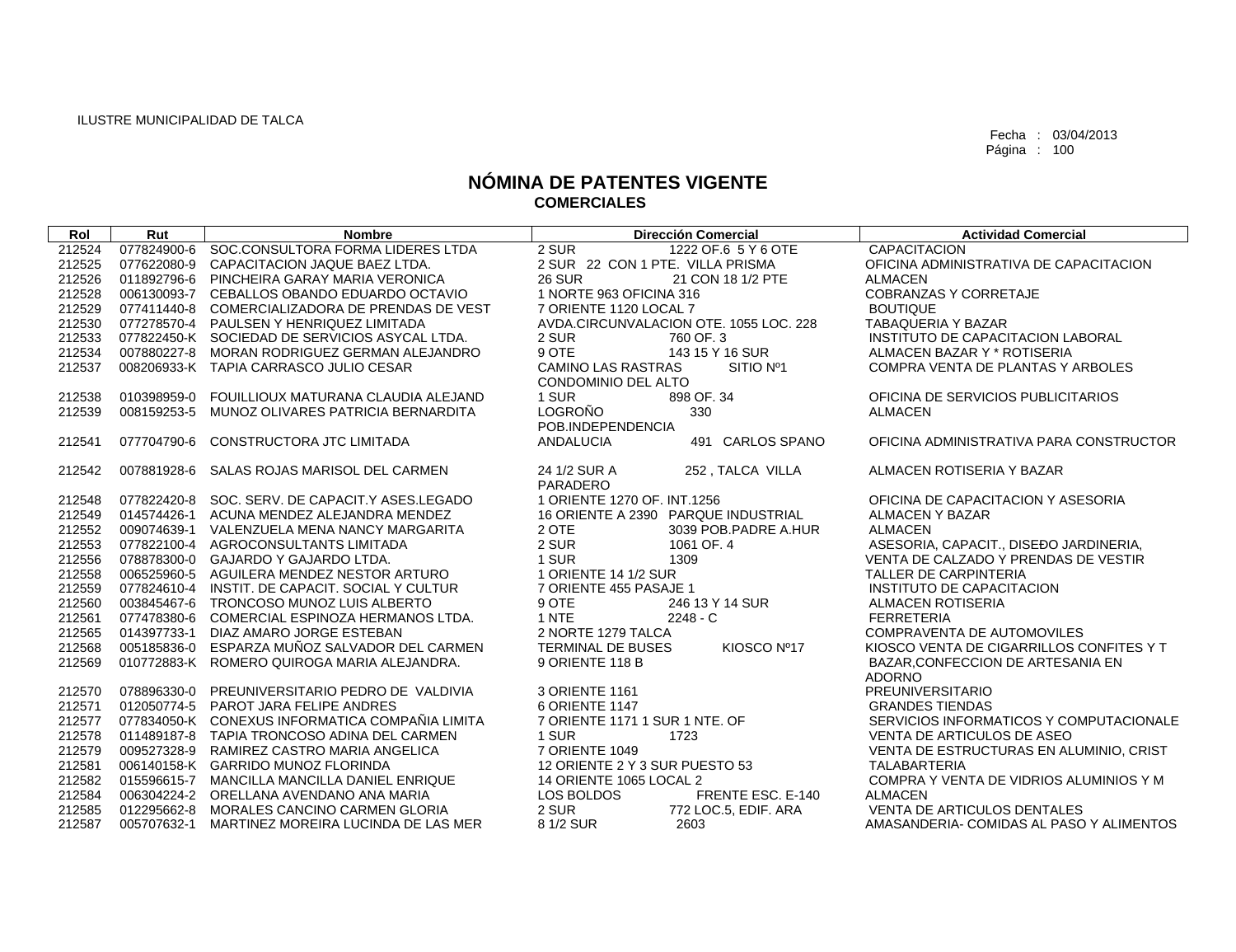| Rol              | Rut         | <b>Nombre</b>                                                                              |                                  | <b>Dirección Comercial</b>             | <b>Actividad Comercial</b>                     |
|------------------|-------------|--------------------------------------------------------------------------------------------|----------------------------------|----------------------------------------|------------------------------------------------|
| 212524           |             | 077824900-6 SOC.CONSULTORA FORMA LIDERES LTDA                                              | 2 SUR                            | 1222 OF.6 5 Y 6 OTE                    | <b>CAPACITACION</b>                            |
| 212525           |             | 077622080-9 CAPACITACION JAQUE BAEZ LTDA.                                                  | 2 SUR 22 CON 1 PTE. VILLA PRISMA |                                        | OFICINA ADMINISTRATIVA DE CAPACITACION         |
| 212526           |             | 011892796-6 PINCHEIRA GARAY MARIA VERONICA                                                 | <b>26 SUR</b>                    | 21 CON 18 1/2 PTE                      | <b>ALMACEN</b>                                 |
| 212528           |             | 006130093-7 CEBALLOS OBANDO EDUARDO OCTAVIO                                                | 1 NORTE 963 OFICINA 316          |                                        | <b>COBRANZAS Y CORRETAJE</b>                   |
| 212529           |             | 077411440-8 COMERCIALIZADORA DE PRENDAS DE VEST                                            | 7 ORIENTE 1120 LOCAL 7           |                                        | <b>BOUTIQUE</b>                                |
| 212530           |             | 077278570-4 PAULSEN Y HENRIQUEZ LIMITADA                                                   |                                  | AVDA.CIRCUNVALACION OTE. 1055 LOC. 228 | TABAQUERIA Y BAZAR                             |
| 212533           |             | 077822450-K SOCIEDAD DE SERVICIOS ASYCAL LTDA.                                             | 2 SUR                            | 760 OF 3                               | INSTITUTO DE CAPACITACION LABORAL              |
| 212534           |             | 007880227-8 MORAN RODRIGUEZ GERMAN ALEJANDRO                                               | 9 OTE                            | 143 15 Y 16 SUR                        | ALMACEN BAZAR Y * ROTISERIA                    |
| 212537           |             | 008206933-K TAPIA CARRASCO JULIO CESAR                                                     | <b>CAMINO LAS RASTRAS</b>        | SITIO Nº1                              | COMPRA VENTA DE PLANTAS Y ARBOLES              |
|                  |             |                                                                                            | CONDOMINIO DEL ALTO              |                                        |                                                |
| 212538           |             | 010398959-0 FOUILLIOUX MATURANA CLAUDIA ALEJAND                                            | 1 SUR                            | 898 OF, 34                             | OFICINA DE SERVICIOS PUBLICITARIOS             |
| 212539           |             | 008159253-5 MUNOZ OLIVARES PATRICIA BERNARDITA                                             | <b>LOGROÑO</b>                   | 330                                    | <b>ALMACEN</b>                                 |
|                  |             |                                                                                            | POB.INDEPENDENCIA                |                                        |                                                |
| 212541           | 077704790-6 | CONSTRUCTORA JTC LIMITADA                                                                  | <b>ANDALUCIA</b>                 | 491 CARLOS SPANO                       | OFICINA ADMINISTRATIVA PARA CONSTRUCTOR        |
|                  |             |                                                                                            |                                  |                                        |                                                |
| 212542           |             | 007881928-6 SALAS ROJAS MARISOL DEL CARMEN                                                 | 24 1/2 SUR A                     | 252, TALCA VILLA                       | ALMACEN ROTISERIA Y BAZAR                      |
|                  |             |                                                                                            | PARADERO                         |                                        |                                                |
| 212548           |             | 077822420-8 SOC. SERV. DE CAPACIT.Y ASES.LEGADO                                            | 1 ORIENTE 1270 OF, INT.1256      |                                        | OFICINA DE CAPACITACION Y ASESORIA             |
| 212549           |             | 014574426-1 ACUNA MENDEZ ALEJANDRA MENDEZ                                                  |                                  | 16 ORIENTE A 2390 PARQUE INDUSTRIAL    | ALMACEN Y BAZAR                                |
| 212552           |             | 009074639-1 VALENZUELA MENA NANCY MARGARITA                                                | 2 OTE                            | 3039 POB PADRE A.HUR                   | <b>ALMACEN</b>                                 |
| 212553           |             | 077822100-4 AGROCONSULTANTS LIMITADA                                                       | 2 SUR                            | 1061 OF, 4                             | ASESORIA, CAPACIT., DISEĐO JARDINERIA,         |
| 212556           |             | 078878300-0 GAJARDO Y GAJARDO LTDA.                                                        | 1 SUR                            | 1309                                   | VENTA DE CALZADO Y PRENDAS DE VESTIR           |
| 212558           |             | 006525960-5 AGUILERA MENDEZ NESTOR ARTURO                                                  | 1 ORIENTE 14 1/2 SUR             |                                        | <b>TALLER DE CARPINTERIA</b>                   |
| 212559           |             | 077824610-4 INSTIT, DE CAPACIT, SOCIAL Y CULTUR<br>003845467-6 TRONCOSO MUNOZ LUIS ALBERTO | 7 ORIENTE 455 PASAJE 1<br>9 OTE  | 246 13 Y 14 SUR                        | INSTITUTO DE CAPACITACION<br>ALMACEN ROTISERIA |
| 212560           |             | 077478380-6 COMERCIAL ESPINOZA HERMANOS LTDA.                                              | 1 NTE                            |                                        | <b>FERRETERIA</b>                              |
| 212561           |             | 014397733-1 DIAZ AMARO JORGE ESTEBAN                                                       | 2 NORTE 1279 TALCA               | $2248 - C$                             | COMPRAVENTA DE AUTOMOVILES                     |
| 212565           |             | 005185836-0 ESPARZA MUÑOZ SALVADOR DEL CARMEN                                              | TERMINAL DE BUSES                | KIOSCO Nº17                            | KIOSCO VENTA DE CIGARRILLOS CONFITES Y T       |
| 212568<br>212569 |             | 010772883-K ROMERO QUIROGA MARIA ALEJANDRA.                                                | 9 ORIENTE 118 B                  |                                        | BAZAR, CONFECCION DE ARTESANIA EN              |
|                  |             |                                                                                            |                                  |                                        | <b>ADORNO</b>                                  |
| 212570           |             | 078896330-0 PREUNIVERSITARIO PEDRO DE VALDIVIA                                             | 3 ORIENTE 1161                   |                                        | PREUNIVERSITARIO                               |
| 212571           |             | 012050774-5 PAROT JARA FELIPE ANDRES                                                       | 6 ORIENTE 1147                   |                                        | <b>GRANDES TIENDAS</b>                         |
| 212577           |             | 077834050-K CONEXUS INFORMATICA COMPAÑIA LIMITA                                            | 7 ORIENTE 1171 1 SUR 1 NTE. OF   |                                        | SERVICIOS INFORMATICOS Y COMPUTACIONALE        |
| 212578           |             | 011489187-8 TAPIA TRONCOSO ADINA DEL CARMEN                                                | 1 SUR                            | 1723                                   | VENTA DE ARTICULOS DE ASEO                     |
| 212579           |             | 009527328-9 RAMIREZ CASTRO MARIA ANGELICA                                                  | 7 ORIENTE 1049                   |                                        | VENTA DE ESTRUCTURAS EN ALUMINIO, CRIST        |
| 212581           |             | 006140158-K GARRIDO MUNOZ FLORINDA                                                         | 12 ORIENTE 2 Y 3 SUR PUESTO 53   |                                        | <b>TALABARTERIA</b>                            |
| 212582           |             | 015596615-7 MANCILLA MANCILLA DANIEL ENRIQUE                                               | 14 ORIENTE 1065 LOCAL 2          |                                        | COMPRA Y VENTA DE VIDRIOS ALUMINIOS Y M        |
| 212584           |             | 006304224-2 ORELLANA AVENDANO ANA MARIA                                                    | LOS BOLDOS                       | FRENTE ESC. E-140                      | <b>ALMACEN</b>                                 |
| 212585           |             | 012295662-8 MORALES CANCINO CARMEN GLORIA                                                  | 2 SUR                            | 772 LOC.5, EDIF. ARA                   | VENTA DE ARTICULOS DENTALES                    |
| 212587           |             | 005707632-1 MARTINEZ MOREIRA LUCINDA DE LAS MER                                            | 8 1/2 SUR                        | 2603                                   | AMASANDERIA- COMIDAS AL PASO Y ALIMENTOS       |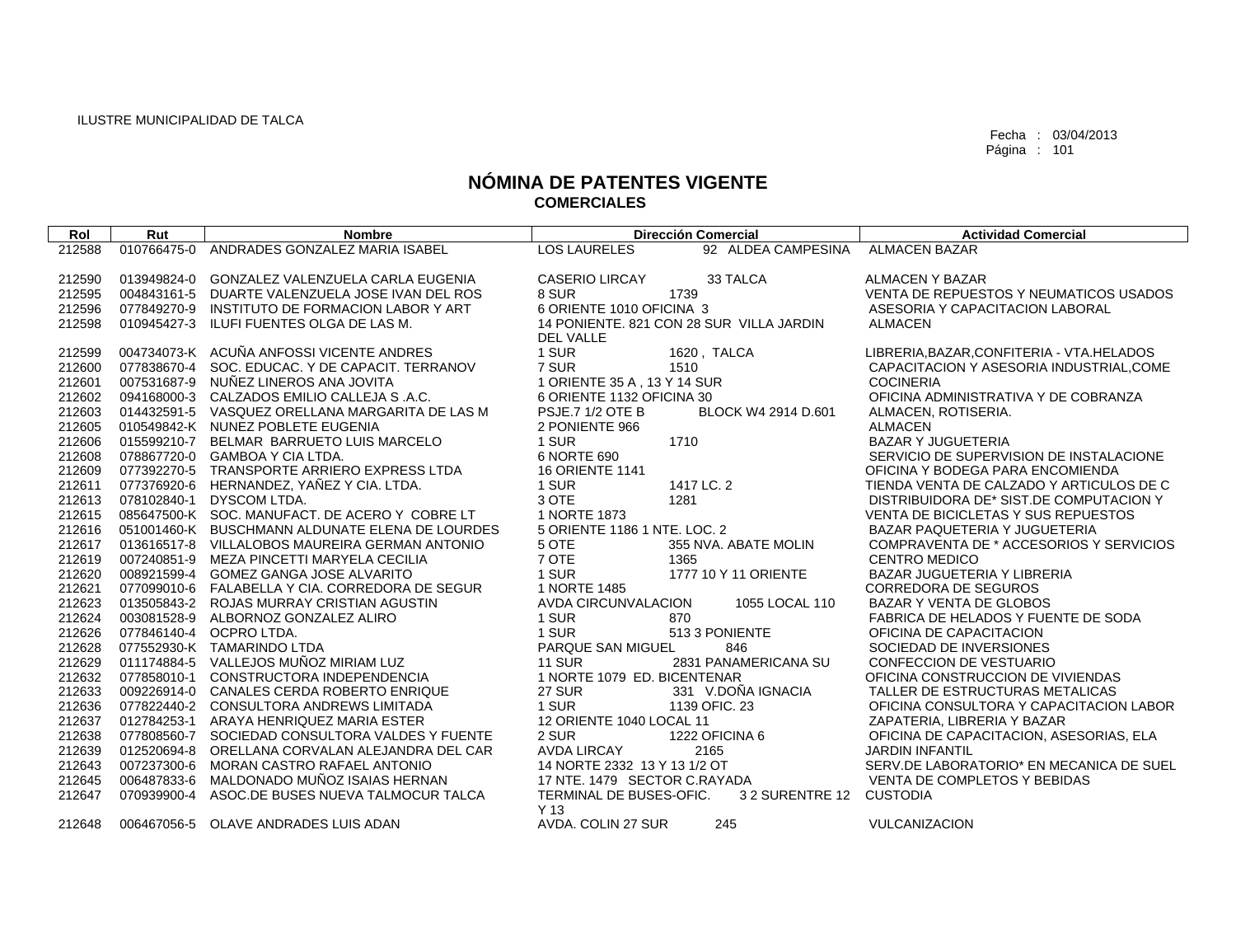| Rol    | Rut         | <b>Nombre</b>                                   |                              | <b>Dirección Comercial</b>               | <b>Actividad Comercial</b>                 |
|--------|-------------|-------------------------------------------------|------------------------------|------------------------------------------|--------------------------------------------|
| 212588 | 010766475-0 | ANDRADES GONZALEZ MARIA ISABEL                  | <b>LOS LAURELES</b>          | 92 ALDEA CAMPESINA                       | <b>ALMACEN BAZAR</b>                       |
|        |             |                                                 |                              |                                          |                                            |
| 212590 | 013949824-0 | GONZALEZ VALENZUELA CARLA EUGENIA               | <b>CASERIO LIRCAY</b>        | 33 TALCA                                 | ALMACEN Y BAZAR                            |
| 212595 | 004843161-5 | DUARTE VALENZUELA JOSE IVAN DEL ROS             | 8 SUR                        | 1739                                     | VENTA DE REPUESTOS Y NEUMATICOS USADOS     |
| 212596 | 077849270-9 | INSTITUTO DE FORMACION LABOR Y ART              | 6 ORIENTE 1010 OFICINA 3     |                                          | ASESORIA Y CAPACITACION LABORAL            |
| 212598 |             | 010945427-3 ILUFI FUENTES OLGA DE LAS M.        |                              | 14 PONIENTE. 821 CON 28 SUR VILLA JARDIN | <b>ALMACEN</b>                             |
|        |             |                                                 | <b>DEL VALLE</b>             |                                          |                                            |
| 212599 |             | 004734073-K ACUÑA ANFOSSI VICENTE ANDRES        | 1 SUR                        | 1620, TALCA                              | LIBRERIA, BAZAR, CONFITERIA - VTA. HELADOS |
| 212600 | 077838670-4 | SOC. EDUCAC. Y DE CAPACIT. TERRANOV             | 7 SUR                        | 1510                                     | CAPACITACION Y ASESORIA INDUSTRIAL, COME   |
| 212601 |             | 007531687-9 NUÑEZ LINEROS ANA JOVITA            | 1 ORIENTE 35 A, 13 Y 14 SUR  |                                          | <b>COCINERIA</b>                           |
| 212602 |             | 094168000-3 CALZADOS EMILIO CALLEJA S.A.C.      | 6 ORIENTE 1132 OFICINA 30    |                                          | OFICINA ADMINISTRATIVA Y DE COBRANZA       |
| 212603 |             | 014432591-5 VASQUEZ ORELLANA MARGARITA DE LAS M | PSJE.7 1/2 OTE B             | BLOCK W4 2914 D.601                      | ALMACEN, ROTISERIA.                        |
| 212605 |             | 010549842-K NUNEZ POBLETE EUGENIA               | 2 PONIENTE 966               |                                          | <b>ALMACEN</b>                             |
| 212606 |             | 015599210-7 BELMAR BARRUETO LUIS MARCELO        | 1 SUR                        | 1710                                     | <b>BAZAR Y JUGUETERIA</b>                  |
| 212608 |             | 078867720-0 GAMBOA Y CIA LTDA.                  | 6 NORTE 690                  |                                          | SERVICIO DE SUPERVISION DE INSTALACIONE    |
| 212609 |             | 077392270-5 TRANSPORTE ARRIERO EXPRESS LTDA     | <b>16 ORIENTE 1141</b>       |                                          | OFICINA Y BODEGA PARA ENCOMIENDA           |
| 212611 |             | 077376920-6 HERNANDEZ, YAÑEZ Y CIA. LTDA.       | 1 SUR                        | 1417 LC. 2                               | TIENDA VENTA DE CALZADO Y ARTICULOS DE C   |
| 212613 |             | 078102840-1 DYSCOM LTDA.                        | 3 OTE                        | 1281                                     | DISTRIBUIDORA DE* SIST.DE COMPUTACION Y    |
| 212615 |             | 085647500-K SOC. MANUFACT. DE ACERO Y COBRE LT  | 1 NORTE 1873                 |                                          | <b>VENTA DE BICICLETAS Y SUS REPUESTOS</b> |
| 212616 |             | 051001460-K BUSCHMANN ALDUNATE ELENA DE LOURDES | 5 ORIENTE 1186 1 NTE. LOC. 2 |                                          | BAZAR PAQUETERIA Y JUGUETERIA              |
| 212617 |             | 013616517-8 VILLALOBOS MAUREIRA GERMAN ANTONIO  | 5 OTE                        | 355 NVA. ABATE MOLIN                     | COMPRAVENTA DE * ACCESORIOS Y SERVICIOS    |
| 212619 |             | 007240851-9 MEZA PINCETTI MARYELA CECILIA       | 7 OTE                        | 1365                                     | <b>CENTRO MEDICO</b>                       |
| 212620 |             | 008921599-4 GOMEZ GANGA JOSE ALVARITO           | 1 SUR                        | 1777 10 Y 11 ORIENTE                     | <b>BAZAR JUGUETERIA Y LIBRERIA</b>         |
| 212621 |             | 077099010-6 FALABELLA Y CIA. CORREDORA DE SEGUR | 1 NORTE 1485                 |                                          | <b>CORREDORA DE SEGUROS</b>                |
| 212623 |             | 013505843-2 ROJAS MURRAY CRISTIAN AGUSTIN       | AVDA CIRCUNVALACION          | 1055 LOCAL 110                           | BAZAR Y VENTA DE GLOBOS                    |
| 212624 | 003081528-9 | ALBORNOZ GONZALEZ ALIRO                         | 1 SUR                        | 870                                      | FABRICA DE HELADOS Y FUENTE DE SODA        |
| 212626 |             | 077846140-4 OCPRO LTDA.                         | 1 SUR                        | 513 3 PONIENTE                           | OFICINA DE CAPACITACION                    |
| 212628 |             | 077552930-K TAMARINDO LTDA                      | PARQUE SAN MIGUEL            | 846                                      | SOCIEDAD DE INVERSIONES                    |
| 212629 |             | 011174884-5 VALLEJOS MUÑOZ MIRIAM LUZ           | <b>11 SUR</b>                | 2831 PANAMERICANA SU                     | CONFECCION DE VESTUARIO                    |
| 212632 |             | 077858010-1 CONSTRUCTORA INDEPENDENCIA          | 1 NORTE 1079 ED. BICENTENAR  |                                          | OFICINA CONSTRUCCION DE VIVIENDAS          |
| 212633 |             | 009226914-0 CANALES CERDA ROBERTO ENRIQUE       | 27 SUR                       | 331 V.DOÑA IGNACIA                       | TALLER DE ESTRUCTURAS METALICAS            |
| 212636 |             | 077822440-2 CONSULTORA ANDREWS LIMITADA         | 1 SUR                        | 1139 OFIC. 23                            | OFICINA CONSULTORA Y CAPACITACION LABOR    |
| 212637 |             | 012784253-1 ARAYA HENRIQUEZ MARIA ESTER         | 12 ORIENTE 1040 LOCAL 11     |                                          | ZAPATERIA, LIBRERIA Y BAZAR                |
| 212638 | 077808560-7 | SOCIEDAD CONSULTORA VALDES Y FUENTE             | 2 SUR                        | 1222 OFICINA 6                           | OFICINA DE CAPACITACION, ASESORIAS, ELA    |
| 212639 | 012520694-8 | ORELLANA CORVALAN ALEJANDRA DEL CAR             | <b>AVDA LIRCAY</b>           | 2165                                     | <b>JARDIN INFANTIL</b>                     |
| 212643 |             | 007237300-6 MORAN CASTRO RAFAEL ANTONIO         | 14 NORTE 2332 13 Y 13 1/2 OT |                                          | SERV.DE LABORATORIO* EN MECANICA DE SUEL   |
| 212645 |             | 006487833-6 MALDONADO MUÑOZ ISAIAS HERNAN       | 17 NTE. 1479 SECTOR C.RAYADA |                                          | VENTA DE COMPLETOS Y BEBIDAS               |
| 212647 | 070939900-4 | ASOC.DE BUSES NUEVA TALMOCUR TALCA              | TERMINAL DE BUSES-OFIC.      | 3 2 SURENTRE 12                          | <b>CUSTODIA</b>                            |
|        |             |                                                 | Y <sub>13</sub>              |                                          |                                            |
| 212648 |             | 006467056-5 OLAVE ANDRADES LUIS ADAN            | AVDA. COLIN 27 SUR           | 245                                      | VULCANIZACION                              |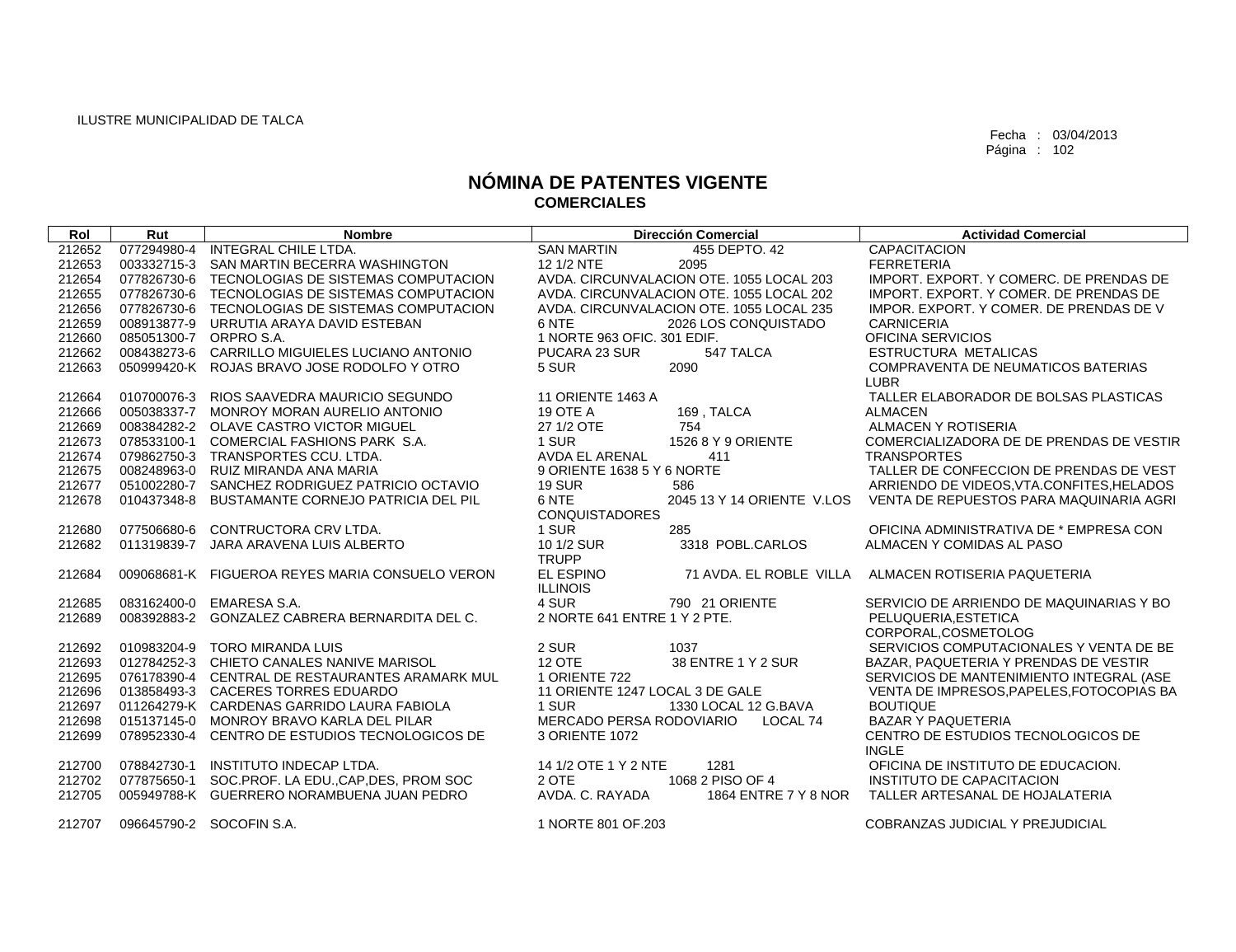| Rol    | Rut                    | <b>Nombre</b>                                   | <b>Dirección Comercial</b>               | <b>Actividad Comercial</b>                |
|--------|------------------------|-------------------------------------------------|------------------------------------------|-------------------------------------------|
| 212652 | 077294980-4            | <b>INTEGRAL CHILE LTDA.</b>                     | <b>SAN MARTIN</b><br>455 DEPTO, 42       | <b>CAPACITACION</b>                       |
| 212653 | 003332715-3            | SAN MARTIN BECERRA WASHINGTON                   | 12 1/2 NTE<br>2095                       | <b>FERRETERIA</b>                         |
| 212654 |                        | 077826730-6 TECNOLOGIAS DE SISTEMAS COMPUTACION | AVDA, CIRCUNVALACION OTE, 1055 LOCAL 203 | IMPORT, EXPORT, Y COMERC, DE PRENDAS DE   |
| 212655 |                        | 077826730-6 TECNOLOGIAS DE SISTEMAS COMPUTACION | AVDA, CIRCUNVALACION OTE, 1055 LOCAL 202 | IMPORT, EXPORT, Y COMER, DE PRENDAS DE    |
| 212656 |                        | 077826730-6 TECNOLOGIAS DE SISTEMAS COMPUTACION | AVDA. CIRCUNVALACION OTE. 1055 LOCAL 235 | IMPOR. EXPORT. Y COMER. DE PRENDAS DE V   |
| 212659 | 008913877-9            | URRUTIA ARAYA DAVID ESTEBAN                     | 6 NTE<br>2026 LOS CONQUISTADO            | <b>CARNICERIA</b>                         |
| 212660 | 085051300-7 ORPRO S.A. |                                                 | 1 NORTE 963 OFIC, 301 EDIF.              | OFICINA SERVICIOS                         |
| 212662 | 008438273-6            | CARRILLO MIGUIELES LUCIANO ANTONIO              | 547 TALCA<br>PUCARA 23 SUR               | <b>ESTRUCTURA METALICAS</b>               |
| 212663 |                        | 050999420-K ROJAS BRAVO JOSE RODOLFO Y OTRO     | 5 SUR<br>2090                            | COMPRAVENTA DE NEUMATICOS BATERIAS        |
|        |                        |                                                 |                                          | <b>LUBR</b>                               |
| 212664 |                        | 010700076-3 RIOS SAAVEDRA MAURICIO SEGUNDO      | 11 ORIENTE 1463 A                        | TALLER ELABORADOR DE BOLSAS PLASTICAS     |
| 212666 |                        | 005038337-7 MONROY MORAN AURELIO ANTONIO        | 19 OTE A<br>169, TALCA                   | <b>ALMACEN</b>                            |
| 212669 |                        | 008384282-2 OLAVE CASTRO VICTOR MIGUEL          | 27 1/2 OTE<br>754                        | <b>ALMACEN Y ROTISERIA</b>                |
| 212673 |                        | 078533100-1 COMERCIAL FASHIONS PARK S.A.        | 1 SUR<br>1526 8 Y 9 ORIENTE              | COMERCIALIZADORA DE DE PRENDAS DE VESTIR  |
| 212674 |                        | 079862750-3 TRANSPORTES CCU. LTDA.              | <b>AVDA EL ARENAL</b><br>411             | <b>TRANSPORTES</b>                        |
| 212675 |                        | 008248963-0 RUIZ MIRANDA ANA MARIA              | 9 ORIENTE 1638 5 Y 6 NORTE               | TALLER DE CONFECCION DE PRENDAS DE VEST   |
| 212677 |                        | 051002280-7 SANCHEZ RODRIGUEZ PATRICIO OCTAVIO  | <b>19 SUR</b><br>586                     | ARRIENDO DE VIDEOS, VTA.CONFITES, HELADOS |
| 212678 | 010437348-8            | BUSTAMANTE CORNEJO PATRICIA DEL PIL             | 6 NTE<br>2045 13 Y 14 ORIENTE V.LOS      | VENTA DE REPUESTOS PARA MAQUINARIA AGRI   |
|        |                        |                                                 | <b>CONQUISTADORES</b>                    |                                           |
| 212680 | 077506680-6            | CONTRUCTORA CRV LTDA.                           | 1 SUR<br>285                             | OFICINA ADMINISTRATIVA DE * EMPRESA CON   |
| 212682 | 011319839-7            | JARA ARAVENA LUIS ALBERTO                       | 10 1/2 SUR<br>3318 POBL.CARLOS           | ALMACEN Y COMIDAS AL PASO                 |
|        |                        |                                                 | <b>TRUPP</b>                             |                                           |
| 212684 |                        | 009068681-K FIGUEROA REYES MARIA CONSUELO VERON | EL ESPINO<br>71 AVDA, EL ROBLE VILLA     | ALMACEN ROTISERIA PAQUETERIA              |
|        |                        |                                                 | <b>ILLINOIS</b>                          |                                           |
| 212685 | 083162400-0            | EMARESA S.A.                                    | 4 SUR<br>790 21 ORIENTE                  | SERVICIO DE ARRIENDO DE MAQUINARIAS Y BO  |
| 212689 | 008392883-2            | GONZALEZ CABRERA BERNARDITA DEL C.              | 2 NORTE 641 ENTRE 1 Y 2 PTE.             | PELUQUERIA.ESTETICA                       |
|        |                        |                                                 |                                          | CORPORAL, COSMETOLOG                      |
| 212692 |                        | 010983204-9 TORO MIRANDA LUIS                   | 2 SUR<br>1037                            | SERVICIOS COMPUTACIONALES Y VENTA DE BE   |
| 212693 |                        | 012784252-3 CHIETO CANALES NANIVE MARISOL       | <b>12 OTE</b><br>38 ENTRE 1 Y 2 SUR      | BAZAR, PAQUETERIA Y PRENDAS DE VESTIR     |
| 212695 |                        | 076178390-4 CENTRAL DE RESTAURANTES ARAMARK MUL | 1 ORIENTE 722                            | SERVICIOS DE MANTENIMIENTO INTEGRAL (ASE  |
| 212696 |                        | 013858493-3 CACERES TORRES EDUARDO              | 11 ORIENTE 1247 LOCAL 3 DE GALE          | VENTA DE IMPRESOS, PAPELES, FOTOCOPIAS BA |
| 212697 |                        | 011264279-K CARDENAS GARRIDO LAURA FABIOLA      | 1 SUR<br>1330 LOCAL 12 G.BAVA            | <b>BOUTIQUE</b>                           |
| 212698 | 015137145-0            | MONROY BRAVO KARLA DEL PILAR                    | MERCADO PERSA RODOVIARIO<br>LOCAL 74     | <b>BAZAR Y PAQUETERIA</b>                 |
| 212699 |                        | 078952330-4 CENTRO DE ESTUDIOS TECNOLOGICOS DE  | 3 ORIENTE 1072                           | CENTRO DE ESTUDIOS TECNOLOGICOS DE        |
|        |                        |                                                 |                                          | <b>INGLE</b>                              |
| 212700 | 078842730-1            | INSTITUTO INDECAP LTDA.                         | 14 1/2 OTE 1 Y 2 NTE<br>1281             | OFICINA DE INSTITUTO DE EDUCACION.        |
| 212702 | 077875650-1            | SOC.PROF. LA EDU., CAP, DES, PROM SOC           | 1068 2 PISO OF 4<br>2 OTE                | INSTITUTO DE CAPACITACION                 |
| 212705 |                        | 005949788-K GUERRERO NORAMBUENA JUAN PEDRO      | AVDA, C. RAYADA<br>1864 ENTRE 7 Y 8 NOR  | TALLER ARTESANAL DE HOJALATERIA           |
| 212707 |                        | 096645790-2 SOCOFIN S.A.                        | 1 NORTE 801 OF 203                       | COBRANZAS JUDICIAL Y PREJUDICIAL          |
|        |                        |                                                 |                                          |                                           |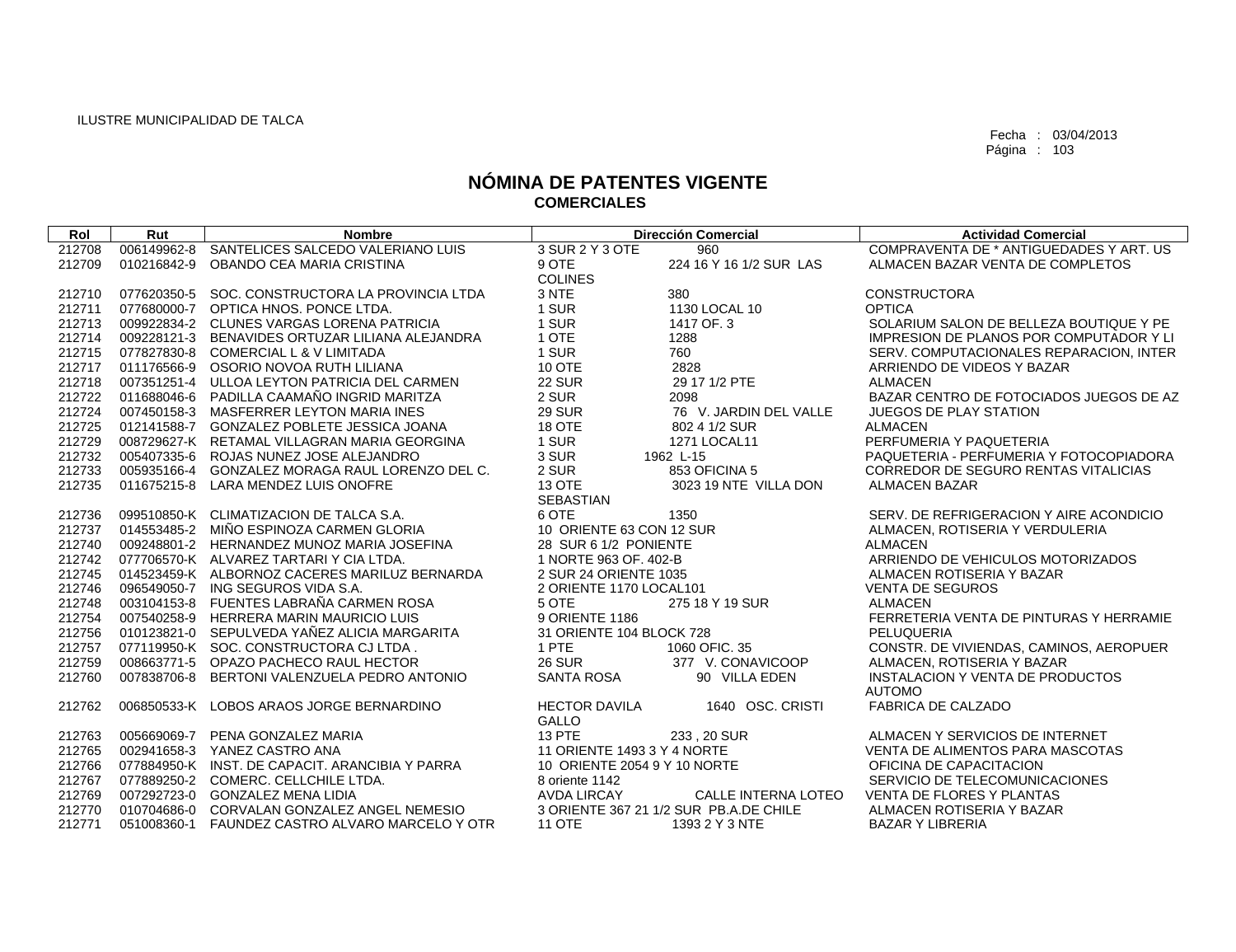| Rol    | Rut         | <b>Nombre</b>                                   |                              | <b>Dirección Comercial</b>             | <b>Actividad Comercial</b>              |
|--------|-------------|-------------------------------------------------|------------------------------|----------------------------------------|-----------------------------------------|
| 212708 | 006149962-8 | SANTELICES SALCEDO VALERIANO LUIS               | 3 SUR 2 Y 3 OTE              | 960                                    | COMPRAVENTA DE * ANTIGUEDADES Y ART. US |
| 212709 | 010216842-9 | OBANDO CEA MARIA CRISTINA                       | 9 OTE                        | 224 16 Y 16 1/2 SUR LAS                | ALMACEN BAZAR VENTA DE COMPLETOS        |
|        |             |                                                 | <b>COLINES</b>               |                                        |                                         |
| 212710 |             | 077620350-5 SOC, CONSTRUCTORA LA PROVINCIA LTDA | 3 NTE                        | 380                                    | <b>CONSTRUCTORA</b>                     |
| 212711 |             | 077680000-7 OPTICA HNOS, PONCE LTDA.            | 1 SUR                        | 1130 LOCAL 10                          | <b>OPTICA</b>                           |
| 212713 |             | 009922834-2 CLUNES VARGAS LORENA PATRICIA       | 1 SUR                        | 1417 OF, 3                             | SOLARIUM SALON DE BELLEZA BOUTIQUE Y PE |
| 212714 |             | 009228121-3 BENAVIDES ORTUZAR LILIANA ALEJANDRA | 1 OTE                        | 1288                                   | IMPRESION DE PLANOS POR COMPUTADOR Y LI |
| 212715 |             | 077827830-8 COMERCIAL L & V LIMITADA            | 1 SUR                        | 760                                    | SERV. COMPUTACIONALES REPARACION, INTER |
| 212717 |             | 011176566-9 OSORIO NOVOA RUTH LILIANA           | 10 OTE                       | 2828                                   | ARRIENDO DE VIDEOS Y BAZAR              |
| 212718 |             | 007351251-4 ULLOA LEYTON PATRICIA DEL CARMEN    | <b>22 SUR</b>                | 29 17 1/2 PTE                          | <b>ALMACEN</b>                          |
| 212722 |             | 011688046-6 PADILLA CAAMAÑO INGRID MARITZA      | 2 SUR                        | 2098                                   | BAZAR CENTRO DE FOTOCIADOS JUEGOS DE AZ |
| 212724 |             | 007450158-3 MASFERRER LEYTON MARIA INES         | <b>29 SUR</b>                | 76 V. JARDIN DEL VALLE                 | <b>JUEGOS DE PLAY STATION</b>           |
| 212725 |             | 012141588-7 GONZALEZ POBLETE JESSICA JOANA      | 18 OTE                       | 802 4 1/2 SUR                          | <b>ALMACEN</b>                          |
| 212729 |             | 008729627-K RETAMAL VILLAGRAN MARIA GEORGINA    | 1 SUR                        | 1271 LOCAL11                           | PERFUMERIA Y PAQUETERIA                 |
| 212732 |             | 005407335-6 ROJAS NUNEZ JOSE ALEJANDRO          | 3 SUR                        | 1962 L-15                              | PAQUETERIA - PERFUMERIA Y FOTOCOPIADORA |
| 212733 |             | 005935166-4 GONZALEZ MORAGA RAUL LORENZO DEL C. | 2 SUR                        | 853 OFICINA 5                          | CORREDOR DE SEGURO RENTAS VITALICIAS    |
| 212735 |             | 011675215-8 LARA MENDEZ LUIS ONOFRE             | 13 OTE                       | 3023 19 NTE VILLA DON                  | <b>ALMACEN BAZAR</b>                    |
|        |             |                                                 | <b>SEBASTIAN</b>             |                                        |                                         |
| 212736 |             | 099510850-K CLIMATIZACION DE TALCA S.A.         | 6 OTE                        | 1350                                   | SERV. DE REFRIGERACION Y AIRE ACONDICIO |
| 212737 |             | 014553485-2 MIÑO ESPINOZA CARMEN GLORIA         | 10 ORIENTE 63 CON 12 SUR     |                                        | ALMACEN, ROTISERIA Y VERDULERIA         |
| 212740 |             | 009248801-2 HERNANDEZ MUNOZ MARIA JOSEFINA      | 28 SUR 6 1/2 PONIENTE        |                                        | <b>ALMACEN</b>                          |
| 212742 |             | 077706570-K ALVAREZ TARTARI Y CIA LTDA.         | 1 NORTE 963 OF. 402-B        |                                        | ARRIENDO DE VEHICULOS MOTORIZADOS       |
| 212745 |             | 014523459-K ALBORNOZ CACERES MARILUZ BERNARDA   | 2 SUR 24 ORIENTE 1035        |                                        | ALMACEN ROTISERIA Y BAZAR               |
| 212746 |             | 096549050-7 ING SEGUROS VIDA S.A.               | 2 ORIENTE 1170 LOCAL101      |                                        | <b>VENTA DE SEGUROS</b>                 |
| 212748 |             | 003104153-8 FUENTES LABRAÑA CARMEN ROSA         | 5 OTE                        | 275 18 Y 19 SUR                        | <b>ALMACEN</b>                          |
| 212754 |             | 007540258-9 HERRERA MARIN MAURICIO LUIS         | 9 ORIENTE 1186               |                                        | FERRETERIA VENTA DE PINTURAS Y HERRAMIE |
| 212756 |             | 010123821-0 SEPULVEDA YAÑEZ ALICIA MARGARITA    | 31 ORIENTE 104 BLOCK 728     |                                        | PELUQUERIA                              |
| 212757 |             | 077119950-K SOC. CONSTRUCTORA CJ LTDA.          | 1 PTE                        | 1060 OFIC, 35                          | CONSTR. DE VIVIENDAS, CAMINOS, AEROPUER |
| 212759 |             | 008663771-5 OPAZO PACHECO RAUL HECTOR           | <b>26 SUR</b>                | 377 V. CONAVICOOP                      | ALMACEN, ROTISERIA Y BAZAR              |
| 212760 |             | 007838706-8 BERTONI VALENZUELA PEDRO ANTONIO    | SANTA ROSA                   | 90 VILLA EDEN                          | INSTALACION Y VENTA DE PRODUCTOS        |
|        |             |                                                 |                              |                                        | <b>AUTOMO</b>                           |
| 212762 |             | 006850533-K LOBOS ARAOS JORGE BERNARDINO        | <b>HECTOR DAVILA</b>         | 1640 OSC, CRISTI                       | <b>FABRICA DE CALZADO</b>               |
|        |             |                                                 | <b>GALLO</b>                 |                                        |                                         |
| 212763 | 005669069-7 | PENA GONZALEZ MARIA                             | <b>13 PTE</b>                | 233, 20 SUR                            | ALMACEN Y SERVICIOS DE INTERNET         |
| 212765 |             | 002941658-3 YANEZ CASTRO ANA                    | 11 ORIENTE 1493 3 Y 4 NORTE  |                                        | VENTA DE ALIMENTOS PARA MASCOTAS        |
| 212766 |             | 077884950-K INST. DE CAPACIT. ARANCIBIA Y PARRA | 10 ORIENTE 2054 9 Y 10 NORTE |                                        | OFICINA DE CAPACITACION                 |
| 212767 |             | 077889250-2 COMERC, CELLCHILE LTDA.             | 8 oriente 1142               |                                        | SERVICIO DE TELECOMUNICACIONES          |
| 212769 |             | 007292723-0 GONZALEZ MENA LIDIA                 | <b>AVDA LIRCAY</b>           | CALLE INTERNA LOTEO                    | <b>VENTA DE FLORES Y PLANTAS</b>        |
| 212770 |             | 010704686-0 CORVALAN GONZALEZ ANGEL NEMESIO     |                              | 3 ORIENTE 367 21 1/2 SUR PB.A.DE CHILE | ALMACEN ROTISERIA Y BAZAR               |
| 212771 | 051008360-1 | FAUNDEZ CASTRO ALVARO MARCELO Y OTR             | <b>11 OTE</b>                | 1393 2 Y 3 NTE                         | <b>BAZAR Y LIBRERIA</b>                 |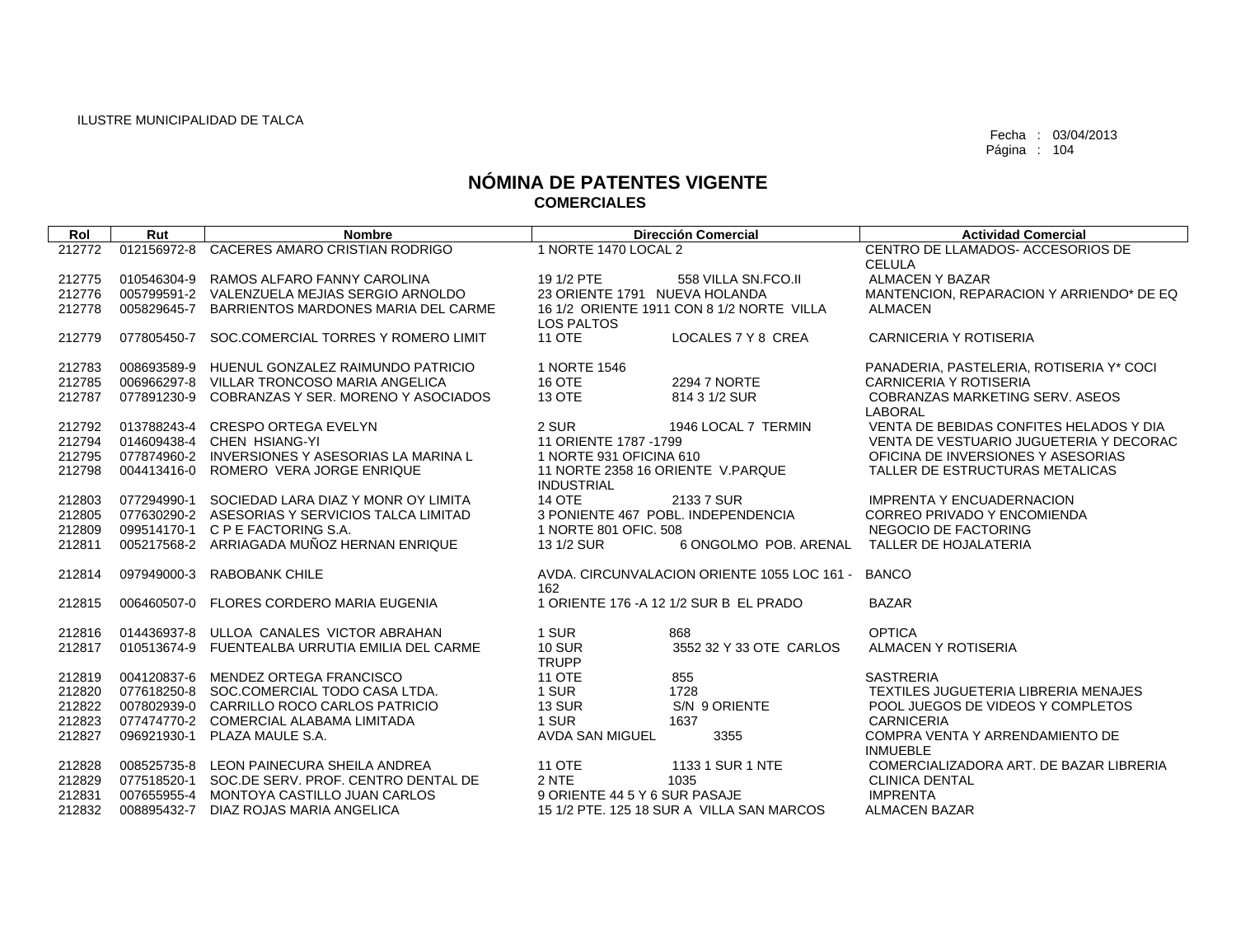| Rol              | Rut         | <b>Nombre</b>                                                                 |                                                   | <b>Dirección Comercial</b>                  | <b>Actividad Comercial</b>                                                    |
|------------------|-------------|-------------------------------------------------------------------------------|---------------------------------------------------|---------------------------------------------|-------------------------------------------------------------------------------|
| 212772           | 012156972-8 | CACERES AMARO CRISTIAN RODRIGO                                                | 1 NORTE 1470 LOCAL 2                              |                                             | CENTRO DE LLAMADOS-ACCESORIOS DE                                              |
|                  |             |                                                                               |                                                   |                                             | <b>CELULA</b>                                                                 |
| 212775           |             | 010546304-9 RAMOS ALFARO FANNY CAROLINA                                       | 19 1/2 PTE                                        | 558 VILLA SN.FCO.II                         | <b>ALMACEN Y BAZAR</b>                                                        |
| 212776           |             | 005799591-2 VALENZUELA MEJIAS SERGIO ARNOLDO                                  | 23 ORIENTE 1791 NUEVA HOLANDA                     |                                             | MANTENCION, REPARACION Y ARRIENDO* DE EQ                                      |
| 212778           |             | 005829645-7 BARRIENTOS MARDONES MARIA DEL CARME                               |                                                   | 16 1/2 ORIENTE 1911 CON 8 1/2 NORTE VILLA   | <b>ALMACEN</b>                                                                |
|                  |             |                                                                               | <b>LOS PALTOS</b>                                 |                                             |                                                                               |
| 212779           | 077805450-7 | SOC.COMERCIAL TORRES Y ROMERO LIMIT                                           | <b>11 OTE</b>                                     | LOCALES 7 Y 8 CREA                          | <b>CARNICERIA Y ROTISERIA</b>                                                 |
|                  |             |                                                                               |                                                   |                                             |                                                                               |
| 212783           |             | 008693589-9 HUENUL GONZALEZ RAIMUNDO PATRICIO                                 | 1 NORTE 1546                                      |                                             | PANADERIA, PASTELERIA, ROTISERIA Y* COCI                                      |
| 212785           |             | 006966297-8 VILLAR TRONCOSO MARIA ANGELICA                                    | 16 OTE                                            | 2294 7 NORTE                                | CARNICERIA Y ROTISERIA                                                        |
| 212787           |             | 077891230-9 COBRANZAS Y SER, MORENO Y ASOCIADOS                               | 13 OTE                                            | 814 3 1/2 SUR                               | <b>COBRANZAS MARKETING SERV. ASEOS</b>                                        |
|                  |             |                                                                               |                                                   |                                             | <b>LABORAL</b>                                                                |
| 212792           |             | 013788243-4 CRESPO ORTEGA EVELYN                                              | 2 SUR                                             | 1946 LOCAL 7 TERMIN                         | VENTA DE BEBIDAS CONFITES HELADOS Y DIA                                       |
| 212794<br>212795 |             | 014609438-4 CHEN HSIANG-YI<br>077874960-2 INVERSIONES Y ASESORIAS LA MARINA L | 11 ORIENTE 1787 - 1799<br>1 NORTE 931 OFICINA 610 |                                             | VENTA DE VESTUARIO JUGUETERIA Y DECORAC<br>OFICINA DE INVERSIONES Y ASESORIAS |
| 212798           |             | 004413416-0 ROMERO VERA JORGE ENRIQUE                                         |                                                   | 11 NORTE 2358 16 ORIENTE V.PARQUE           | TALLER DE ESTRUCTURAS METALICAS                                               |
|                  |             |                                                                               | <b>INDUSTRIAL</b>                                 |                                             |                                                                               |
| 212803           |             | 077294990-1 SOCIEDAD LARA DIAZ Y MONR OY LIMITA                               | <b>14 OTE</b>                                     | 2133 7 SUR                                  | <b>IMPRENTA Y ENCUADERNACION</b>                                              |
| 212805           |             | 077630290-2 ASESORIAS Y SERVICIOS TALCA LIMITAD                               |                                                   | 3 PONIENTE 467 POBL. INDEPENDENCIA          | CORREO PRIVADO Y ENCOMIENDA                                                   |
| 212809           |             | 099514170-1 C P E FACTORING S.A.                                              | 1 NORTE 801 OFIC, 508                             |                                             | NEGOCIO DE FACTORING                                                          |
| 212811           |             | 005217568-2 ARRIAGADA MUÑOZ HERNAN ENRIQUE                                    | 13 1/2 SUR                                        | 6 ONGOLMO POB, ARENAL                       | TALLER DE HOJALATERIA                                                         |
|                  |             |                                                                               |                                                   |                                             |                                                                               |
| 212814           | 097949000-3 | <b>RABOBANK CHILE</b>                                                         |                                                   | AVDA, CIRCUNVALACION ORIENTE 1055 LOC 161 - | <b>BANCO</b>                                                                  |
|                  |             |                                                                               | 162                                               |                                             |                                                                               |
| 212815           |             | 006460507-0 FLORES CORDERO MARIA EUGENIA                                      |                                                   | 1 ORIENTE 176 - A 12 1/2 SUR B EL PRADO     | <b>BAZAR</b>                                                                  |
|                  |             |                                                                               |                                                   |                                             |                                                                               |
| 212816           |             | 014436937-8 ULLOA CANALES VICTOR ABRAHAN                                      | 1 SUR                                             | 868                                         | <b>OPTICA</b>                                                                 |
| 212817           |             | 010513674-9 FUENTEALBA URRUTIA EMILIA DEL CARME                               | <b>10 SUR</b>                                     | 3552 32 Y 33 OTE CARLOS                     | ALMACEN Y ROTISERIA                                                           |
|                  |             |                                                                               | <b>TRUPP</b>                                      |                                             |                                                                               |
| 212819           |             | 004120837-6 MENDEZ ORTEGA FRANCISCO                                           | <b>11 OTE</b>                                     | 855                                         | <b>SASTRERIA</b>                                                              |
| 212820           |             | 077618250-8 SOC.COMERCIAL TODO CASA LTDA.                                     | 1 SUR                                             | 1728                                        | TEXTILES JUGUETERIA LIBRERIA MENAJES                                          |
| 212822           |             | 007802939-0 CARRILLO ROCO CARLOS PATRICIO                                     | <b>13 SUR</b>                                     | S/N 9 ORIENTE                               | POOL JUEGOS DE VIDEOS Y COMPLETOS                                             |
| 212823           |             | 077474770-2 COMERCIAL ALABAMA LIMITADA                                        | 1 SUR                                             | 1637                                        | <b>CARNICERIA</b>                                                             |
| 212827           |             | 096921930-1 PLAZA MAULE S.A.                                                  | AVDA SAN MIGUEL                                   | 3355                                        | COMPRA VENTA Y ARRENDAMIENTO DE                                               |
|                  |             |                                                                               |                                                   |                                             | <b>INMUEBLE</b>                                                               |
| 212828           |             | 008525735-8 LEON PAINECURA SHEILA ANDREA                                      | <b>11 OTE</b>                                     | 1133 1 SUR 1 NTE                            | COMERCIALIZADORA ART. DE BAZAR LIBRERIA                                       |
| 212829           |             | 077518520-1 SOC.DE SERV. PROF. CENTRO DENTAL DE                               | 2 NTE                                             | 1035                                        | <b>CLINICA DENTAL</b>                                                         |
| 212831           |             | 007655955-4 MONTOYA CASTILLO JUAN CARLOS                                      | 9 ORIENTE 44 5 Y 6 SUR PASAJE                     |                                             | <b>IMPRENTA</b>                                                               |
| 212832           |             | 008895432-7 DIAZ ROJAS MARIA ANGELICA                                         |                                                   | 15 1/2 PTE, 125 18 SUR A VILLA SAN MARCOS   | <b>ALMACEN BAZAR</b>                                                          |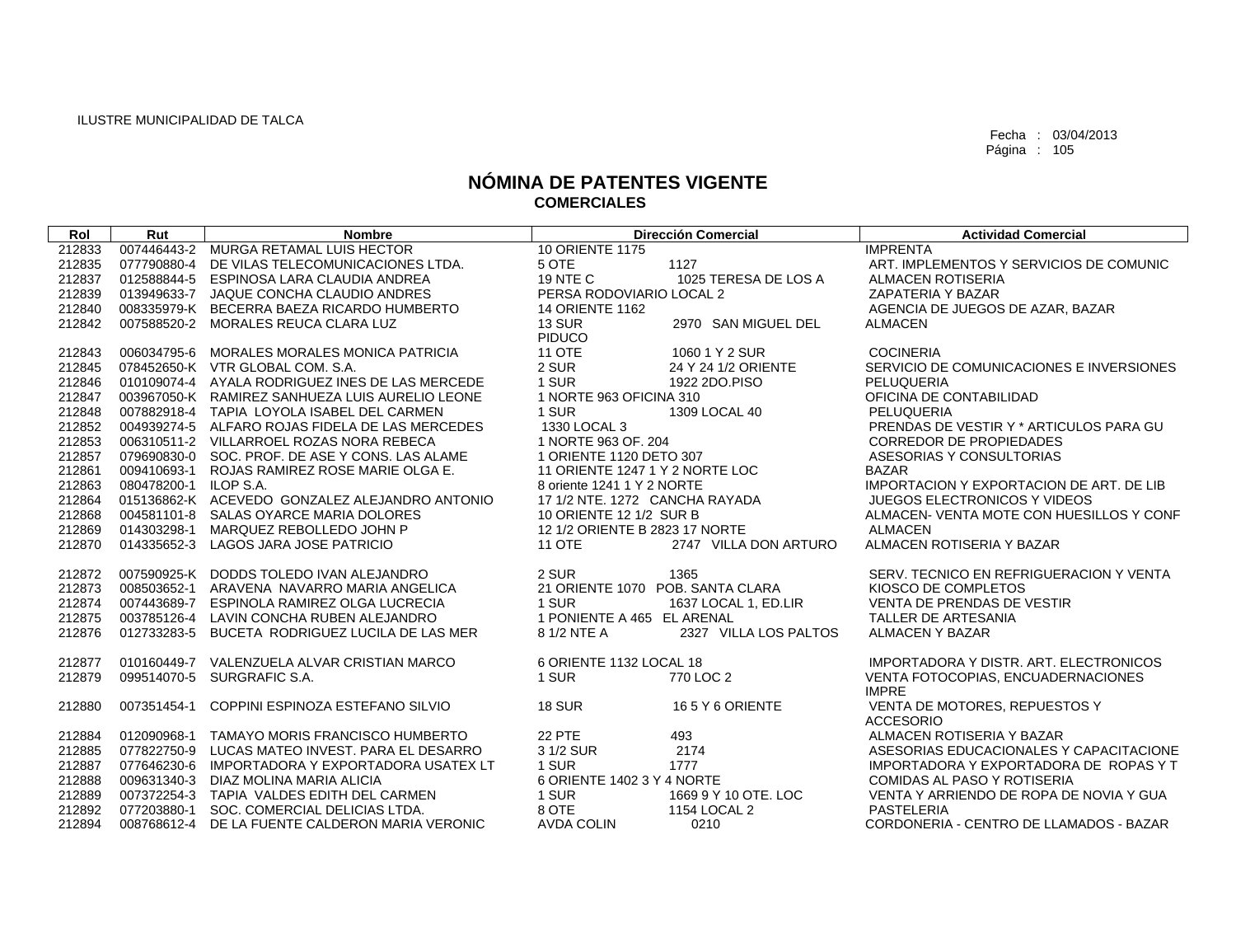| Rol    | Rut                   | <b>Nombre</b>                                   |                                  | <b>Dirección Comercial</b> | <b>Actividad Comercial</b>                      |
|--------|-----------------------|-------------------------------------------------|----------------------------------|----------------------------|-------------------------------------------------|
| 212833 |                       | 007446443-2 MURGA RETAMAL LUIS HECTOR           | <b>10 ORIENTE 1175</b>           |                            | <b>IMPRENTA</b>                                 |
| 212835 |                       | 077790880-4 DE VILAS TELECOMUNICACIONES LTDA.   | 5 OTE                            | 1127                       | ART. IMPLEMENTOS Y SERVICIOS DE COMUNIC         |
| 212837 |                       | 012588844-5 ESPINOSA LARA CLAUDIA ANDREA        | <b>19 NTE C</b>                  | 1025 TERESA DE LOS A       | <b>ALMACEN ROTISERIA</b>                        |
| 212839 |                       | 013949633-7 JAQUE CONCHA CLAUDIO ANDRES         | PERSA RODOVIARIO LOCAL 2         |                            | ZAPATERIA Y BAZAR                               |
| 212840 |                       | 008335979-K BECERRA BAEZA RICARDO HUMBERTO      | <b>14 ORIENTE 1162</b>           |                            | AGENCIA DE JUEGOS DE AZAR, BAZAR                |
| 212842 |                       | 007588520-2 MORALES REUCA CLARA LUZ             | <b>13 SUR</b>                    | 2970 SAN MIGUEL DEL        | <b>ALMACEN</b>                                  |
|        |                       |                                                 | <b>PIDUCO</b>                    |                            |                                                 |
| 212843 |                       | 006034795-6 MORALES MORALES MONICA PATRICIA     | <b>11 OTE</b>                    | 1060 1 Y 2 SUR             | <b>COCINERIA</b>                                |
| 212845 |                       | 078452650-K VTR GLOBAL COM. S.A.                | 2 SUR                            | 24 Y 24 1/2 ORIENTE        | SERVICIO DE COMUNICACIONES E INVERSIONES        |
| 212846 |                       | 010109074-4 AYALA RODRIGUEZ INES DE LAS MERCEDE | 1 SUR                            | 1922 2DO.PISO              | PELUQUERIA                                      |
| 212847 |                       | 003967050-K RAMIREZ SANHUEZA LUIS AURELIO LEONE | 1 NORTE 963 OFICINA 310          |                            | OFICINA DE CONTABILIDAD                         |
| 212848 |                       | 007882918-4 TAPIA LOYOLA ISABEL DEL CARMEN      | 1 SUR                            | 1309 LOCAL 40              | PELUQUERIA                                      |
| 212852 |                       | 004939274-5 ALFARO ROJAS FIDELA DE LAS MERCEDES | 1330 LOCAL 3                     |                            | PRENDAS DE VESTIR Y * ARTICULOS PARA GU         |
| 212853 |                       | 006310511-2 VILLARROEL ROZAS NORA REBECA        | 1 NORTE 963 OF. 204              |                            | <b>CORREDOR DE PROPIEDADES</b>                  |
| 212857 |                       | 079690830-0 SOC, PROF, DE ASE Y CONS, LAS ALAME | 1 ORIENTE 1120 DETO 307          |                            | ASESORIAS Y CONSULTORIAS                        |
| 212861 |                       | 009410693-1 ROJAS RAMIREZ ROSE MARIE OLGA E.    | 11 ORIENTE 1247 1 Y 2 NORTE LOC  |                            | <b>BAZAR</b>                                    |
| 212863 | 080478200-1 ILOP S.A. |                                                 | 8 oriente 1241 1 Y 2 NORTE       |                            | <b>IMPORTACION Y EXPORTACION DE ART. DE LIB</b> |
| 212864 |                       | 015136862-K ACEVEDO GONZALEZ ALEJANDRO ANTONIO  | 17 1/2 NTE, 1272 CANCHA RAYADA   |                            | JUEGOS ELECTRONICOS Y VIDEOS                    |
| 212868 |                       | 004581101-8 SALAS OYARCE MARIA DOLORES          | 10 ORIENTE 12 1/2 SUR B          |                            | ALMACEN- VENTA MOTE CON HUESILLOS Y CONF        |
| 212869 | 014303298-1           | MARQUEZ REBOLLEDO JOHN P                        | 12 1/2 ORIENTE B 2823 17 NORTE   |                            | <b>ALMACEN</b>                                  |
| 212870 |                       | 014335652-3 LAGOS JARA JOSE PATRICIO            | <b>11 OTE</b>                    | 2747 VILLA DON ARTURO      | ALMACEN ROTISERIA Y BAZAR                       |
|        |                       |                                                 |                                  |                            |                                                 |
| 212872 |                       | 007590925-K DODDS TOLEDO IVAN ALEJANDRO         | 2 SUR                            | 1365                       | SERV. TECNICO EN REFRIGUERACION Y VENTA         |
| 212873 |                       | 008503652-1 ARAVENA NAVARRO MARIA ANGELICA      | 21 ORIENTE 1070 POB, SANTA CLARA |                            | KIOSCO DE COMPLETOS                             |
| 212874 |                       | 007443689-7 ESPINOLA RAMIREZ OLGA LUCRECIA      | 1 SUR                            | 1637 LOCAL 1, ED.LIR       | <b>VENTA DE PRENDAS DE VESTIR</b>               |
| 212875 |                       | 003785126-4 LAVIN CONCHA RUBEN ALEJANDRO        | 1 PONIENTE A 465 EL ARENAL       |                            | TALLER DE ARTESANIA                             |
| 212876 |                       | 012733283-5 BUCETA RODRIGUEZ LUCILA DE LAS MER  | 8 1/2 NTE A                      | 2327 VILLA LOS PALTOS      | <b>ALMACEN Y BAZAR</b>                          |
| 212877 |                       | 010160449-7 VALENZUELA ALVAR CRISTIAN MARCO     | 6 ORIENTE 1132 LOCAL 18          |                            | IMPORTADORA Y DISTR. ART. ELECTRONICOS          |
| 212879 |                       | 099514070-5 SURGRAFIC S.A.                      | 1 SUR                            | 770 LOC 2                  | VENTA FOTOCOPIAS. ENCUADERNACIONES              |
|        |                       |                                                 |                                  |                            | <b>IMPRE</b>                                    |
| 212880 |                       | 007351454-1 COPPINI ESPINOZA ESTEFANO SILVIO    | <b>18 SUR</b>                    | 165Y 6 ORIENTE             | VENTA DE MOTORES, REPUESTOS Y                   |
|        |                       |                                                 |                                  |                            | <b>ACCESORIO</b>                                |
| 212884 |                       | 012090968-1 TAMAYO MORIS FRANCISCO HUMBERTO     | <b>22 PTE</b>                    | 493                        | ALMACEN ROTISERIA Y BAZAR                       |
| 212885 | 077822750-9           | LUCAS MATEO INVEST. PARA EL DESARRO             | 3 1/2 SUR                        | 2174                       | ASESORIAS EDUCACIONALES Y CAPACITACIONE         |
| 212887 |                       | 077646230-6 IMPORTADORA Y EXPORTADORA USATEX LT | 1 SUR                            | 1777                       | IMPORTADORA Y EXPORTADORA DE ROPAS Y T          |
| 212888 | 009631340-3           | DIAZ MOLINA MARIA ALICIA                        | 6 ORIENTE 1402 3 Y 4 NORTE       |                            | COMIDAS AL PASO Y ROTISERIA                     |
| 212889 |                       | 007372254-3 TAPIA VALDES EDITH DEL CARMEN       | 1 SUR                            | 1669 9 Y 10 OTE. LOC       | VENTA Y ARRIENDO DE ROPA DE NOVIA Y GUA         |
| 212892 |                       | 077203880-1 SOC. COMERCIAL DELICIAS LTDA.       | 8 OTE                            | 1154 LOCAL 2               | PASTELERIA                                      |
| 212894 |                       | 008768612-4 DE LA FUENTE CALDERON MARIA VERONIC | <b>AVDA COLIN</b>                | 0210                       | CORDONERIA - CENTRO DE LLAMADOS - BAZAR         |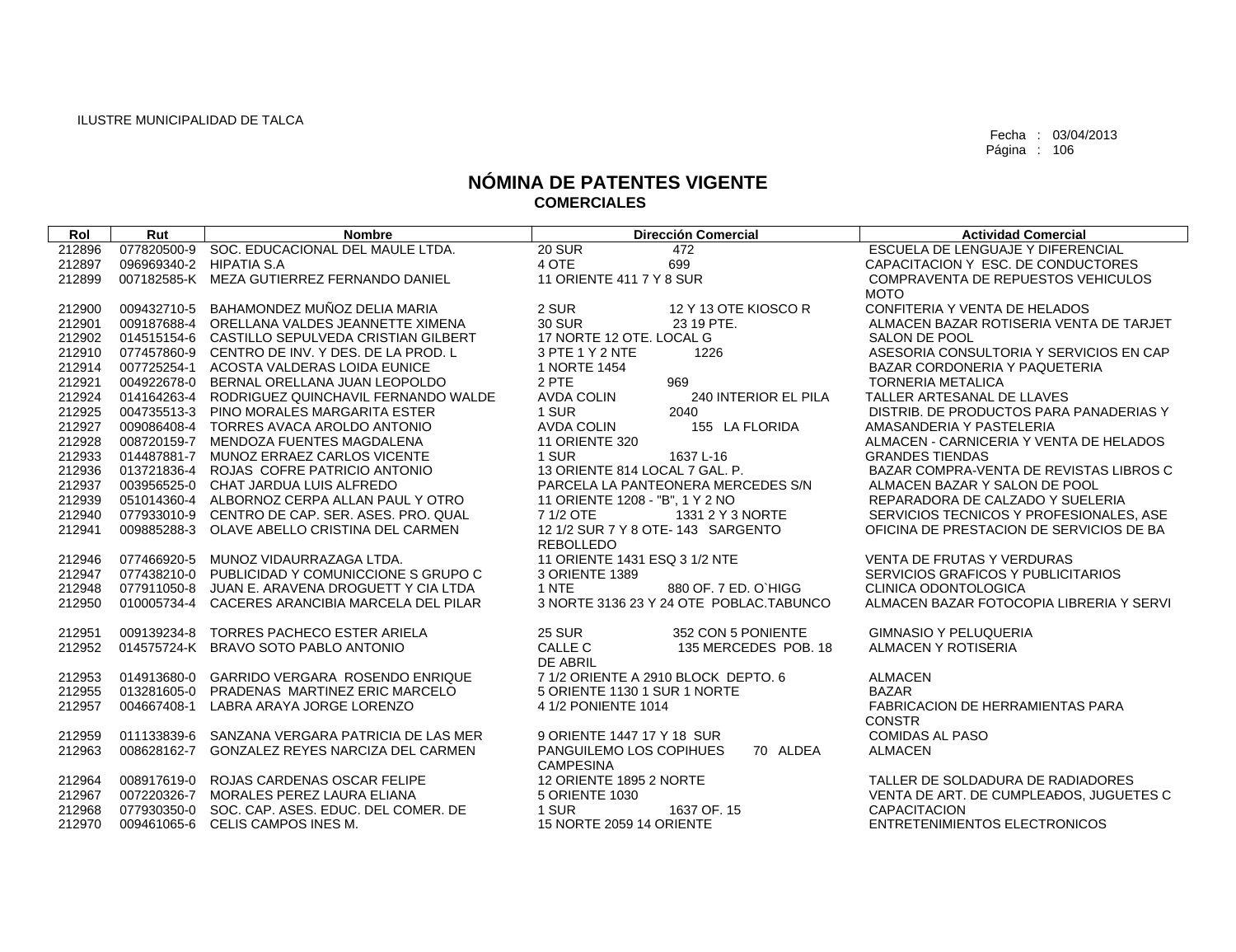| Rol    | Rut                     | <b>Nombre</b>                                   | <b>Dirección Comercial</b>                | <b>Actividad Comercial</b>               |
|--------|-------------------------|-------------------------------------------------|-------------------------------------------|------------------------------------------|
| 212896 |                         | 077820500-9 SOC. EDUCACIONAL DEL MAULE LTDA.    | <b>20 SUR</b><br>472                      | ESCUELA DE LENGUAJE Y DIFERENCIAL        |
| 212897 | 096969340-2 HIPATIA S.A |                                                 | 4 OTE<br>699                              | CAPACITACION Y ESC. DE CONDUCTORES       |
| 212899 |                         | 007182585-K MEZA GUTIERREZ FERNANDO DANIEL      | 11 ORIENTE 411 7 Y 8 SUR                  | COMPRAVENTA DE REPUESTOS VEHICULOS       |
|        |                         |                                                 |                                           | <b>MOTO</b>                              |
| 212900 | 009432710-5             | BAHAMONDEZ MUÑOZ DELIA MARIA                    | 2 SUR<br>12 Y 13 OTE KIOSCO R             | CONFITERIA Y VENTA DE HELADOS            |
| 212901 |                         | 009187688-4 ORELLANA VALDES JEANNETTE XIMENA    | <b>30 SUR</b><br>23 19 PTE.               | ALMACEN BAZAR ROTISERIA VENTA DE TARJET  |
| 212902 |                         | 014515154-6 CASTILLO SEPULVEDA CRISTIAN GILBERT | 17 NORTE 12 OTE, LOCAL G                  | SALON DE POOL                            |
| 212910 |                         | 077457860-9 CENTRO DE INV. Y DES. DE LA PROD. L | 3 PTE 1 Y 2 NTE<br>1226                   | ASESORIA CONSULTORIA Y SERVICIOS EN CAP  |
| 212914 |                         | 007725254-1 ACOSTA VALDERAS LOIDA EUNICE        | 1 NORTE 1454                              | BAZAR CORDONERIA Y PAQUETERIA            |
| 212921 |                         | 004922678-0 BERNAL ORELLANA JUAN LEOPOLDO       | 2 PTE<br>969                              | <b>TORNERIA METALICA</b>                 |
| 212924 |                         | 014164263-4 RODRIGUEZ QUINCHAVIL FERNANDO WALDE | <b>AVDA COLIN</b><br>240 INTERIOR EL PILA | TALLER ARTESANAL DE LLAVES               |
| 212925 |                         | 004735513-3 PINO MORALES MARGARITA ESTER        | 1 SUR<br>2040                             | DISTRIB. DE PRODUCTOS PARA PANADERIAS Y  |
| 212927 |                         | 009086408-4 TORRES AVACA AROLDO ANTONIO         | <b>AVDA COLIN</b><br>155 LA FLORIDA       | AMASANDERIA Y PASTELERIA                 |
| 212928 |                         | 008720159-7 MENDOZA FUENTES MAGDALENA           | <b>11 ORIENTE 320</b>                     | ALMACEN - CARNICERIA Y VENTA DE HELADOS  |
| 212933 |                         | 014487881-7 MUNOZ ERRAEZ CARLOS VICENTE         | 1 SUR<br>1637 L-16                        | <b>GRANDES TIENDAS</b>                   |
| 212936 |                         | 013721836-4 ROJAS COFRE PATRICIO ANTONIO        | 13 ORIENTE 814 LOCAL 7 GAL, P.            | BAZAR COMPRA-VENTA DE REVISTAS LIBROS C  |
| 212937 |                         | 003956525-0 CHAT JARDUA LUIS ALFREDO            | PARCELA LA PANTEONERA MERCEDES S/N        | ALMACEN BAZAR Y SALON DE POOL            |
| 212939 |                         | 051014360-4 ALBORNOZ CERPA ALLAN PAUL Y OTRO    | 11 ORIENTE 1208 - "B", 1 Y 2 NO           | REPARADORA DE CALZADO Y SUELERIA         |
| 212940 |                         | 077933010-9 CENTRO DE CAP. SER. ASES. PRO. QUAL | 7 1/2 OTE<br>1331 2 Y 3 NORTE             | SERVICIOS TECNICOS Y PROFESIONALES. ASE  |
| 212941 |                         | 009885288-3 OLAVE ABELLO CRISTINA DEL CARMEN    | 12 1/2 SUR 7 Y 8 OTE- 143 SARGENTO        | OFICINA DE PRESTACION DE SERVICIOS DE BA |
|        |                         |                                                 | REBOLLEDO                                 |                                          |
| 212946 |                         | 077466920-5 MUNOZ VIDAURRAZAGA LTDA.            | 11 ORIENTE 1431 ESQ 3 1/2 NTE             | <b>VENTA DE FRUTAS Y VERDURAS</b>        |
| 212947 |                         | 077438210-0 PUBLICIDAD Y COMUNICCIONE S GRUPO C | 3 ORIENTE 1389                            | SERVICIOS GRAFICOS Y PUBLICITARIOS       |
| 212948 |                         | 077911050-8 JUAN E. ARAVENA DROGUETT Y CIA LTDA | 1 NTE<br>880 OF, 7 ED, O'HIGG             | <b>CLINICA ODONTOLOGICA</b>              |
| 212950 |                         | 010005734-4 CACERES ARANCIBIA MARCELA DEL PILAR | 3 NORTE 3136 23 Y 24 OTE POBLAC.TABUNCO   | ALMACEN BAZAR FOTOCOPIA LIBRERIA Y SERVI |
|        |                         |                                                 |                                           |                                          |
| 212951 |                         | 009139234-8 TORRES PACHECO ESTER ARIELA         | <b>25 SUR</b><br>352 CON 5 PONIENTE       | <b>GIMNASIO Y PELUQUERIA</b>             |
| 212952 |                         | 014575724-K BRAVO SOTO PABLO ANTONIO            | CALLE C<br>135 MERCEDES POB, 18           | ALMACEN Y ROTISERIA                      |
|        |                         |                                                 | DE ABRIL                                  |                                          |
| 212953 |                         | 014913680-0 GARRIDO VERGARA ROSENDO ENRIQUE     | 7 1/2 ORIENTE A 2910 BLOCK DEPTO, 6       | <b>ALMACEN</b>                           |
| 212955 |                         | 013281605-0 PRADENAS MARTINEZ ERIC MARCELO      | 5 ORIENTE 1130 1 SUR 1 NORTE              | <b>BAZAR</b>                             |
| 212957 | 004667408-1             | LABRA ARAYA JORGE LORENZO                       | 4 1/2 PONIENTE 1014                       | <b>FABRICACION DE HERRAMIENTAS PARA</b>  |
|        |                         |                                                 |                                           | <b>CONSTR</b>                            |
| 212959 |                         | 011133839-6 SANZANA VERGARA PATRICIA DE LAS MER | 9 ORIENTE 1447 17 Y 18 SUR                | <b>COMIDAS AL PASO</b>                   |
| 212963 |                         | 008628162-7 GONZALEZ REYES NARCIZA DEL CARMEN   | PANGUILEMO LOS COPIHUES<br>70 ALDEA       | <b>ALMACEN</b>                           |
|        |                         |                                                 | <b>CAMPESINA</b>                          |                                          |
| 212964 |                         | 008917619-0 ROJAS CARDENAS OSCAR FELIPE         | 12 ORIENTE 1895 2 NORTE                   | TALLER DE SOLDADURA DE RADIADORES        |
| 212967 |                         | 007220326-7 MORALES PEREZ LAURA ELIANA          | 5 ORIENTE 1030                            | VENTA DE ART. DE CUMPLEADOS, JUGUETES C  |
| 212968 |                         | 077930350-0 SOC, CAP, ASES, EDUC, DEL COMER, DE | 1 SUR<br>1637 OF, 15                      | <b>CAPACITACION</b>                      |
| 212970 |                         | 009461065-6 CELIS CAMPOS INES M.                | 15 NORTE 2059 14 ORIENTE                  | ENTRETENIMIENTOS ELECTRONICOS            |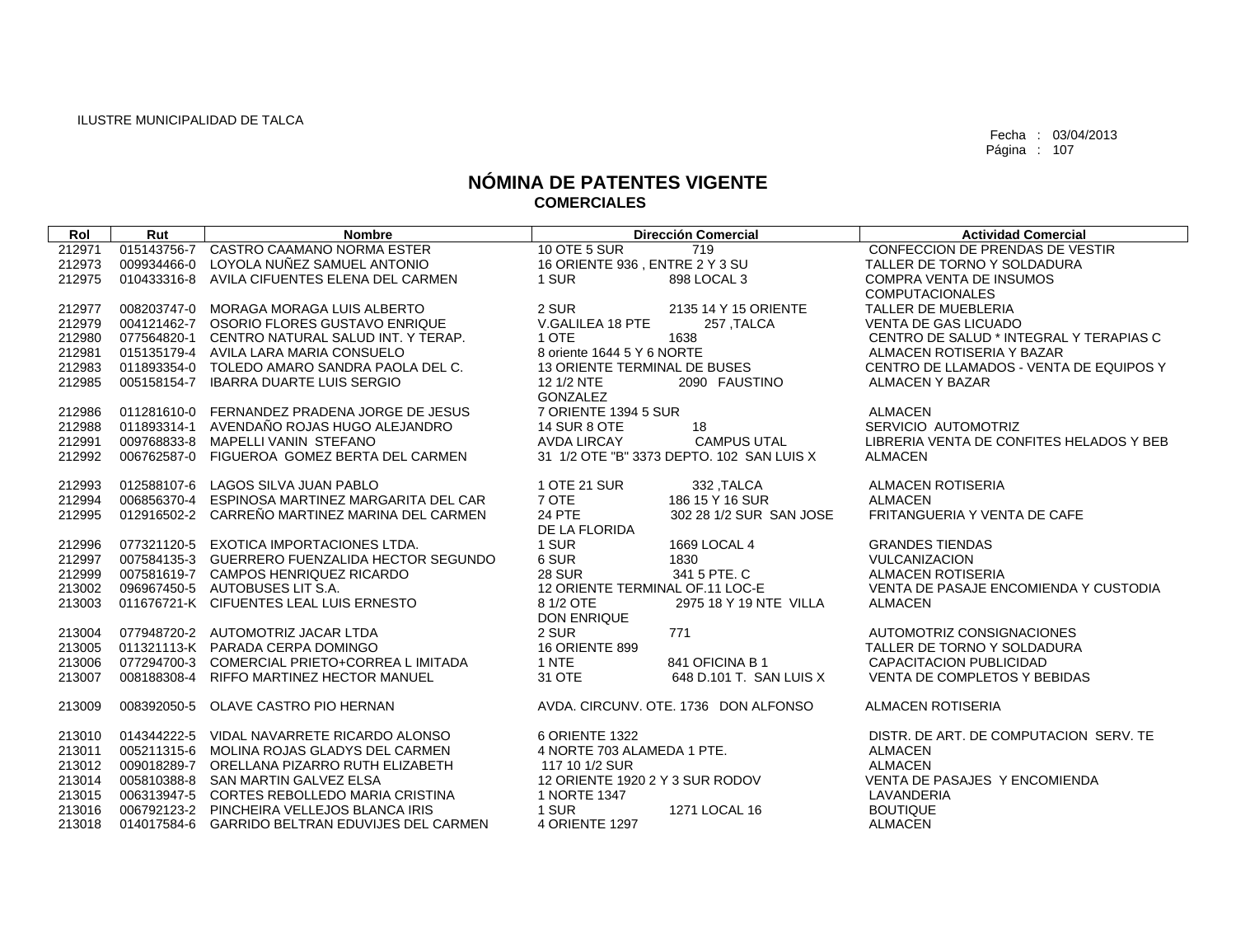| Rol    | Rut         | <b>Nombre</b>                                   | <b>Dirección Comercial</b>                | <b>Actividad Comercial</b>               |
|--------|-------------|-------------------------------------------------|-------------------------------------------|------------------------------------------|
| 212971 |             | 015143756-7 CASTRO CAAMANO NORMA ESTER          | <b>10 OTE 5 SUR</b><br>719                | CONFECCION DE PRENDAS DE VESTIR          |
| 212973 | 009934466-0 | LOYOLA NUÑEZ SAMUEL ANTONIO                     | 16 ORIENTE 936, ENTRE 2 Y 3 SU            | TALLER DE TORNO Y SOLDADURA              |
| 212975 |             | 010433316-8 AVILA CIFUENTES ELENA DEL CARMEN    | 1 SUR<br>898 LOCAL 3                      | <b>COMPRA VENTA DE INSUMOS</b>           |
|        |             |                                                 |                                           | <b>COMPUTACIONALES</b>                   |
| 212977 | 008203747-0 | <b>MORAGA MORAGA LUIS ALBERTO</b>               | 2 SUR<br>2135 14 Y 15 ORIENTE             | TALLER DE MUEBLERIA                      |
| 212979 |             | 004121462-7 OSORIO FLORES GUSTAVO ENRIQUE       | V.GALILEA 18 PTE<br>257, TALCA            | <b>VENTA DE GAS LICUADO</b>              |
| 212980 |             | 077564820-1 CENTRO NATURAL SALUD INT, Y TERAP.  | 1 OTE<br>1638                             | CENTRO DE SALUD * INTEGRAL Y TERAPIAS C  |
| 212981 |             | 015135179-4 AVILA LARA MARIA CONSUELO           | 8 oriente 1644 5 Y 6 NORTE                | ALMACEN ROTISERIA Y BAZAR                |
| 212983 |             | 011893354-0 TOLEDO AMARO SANDRA PAOLA DEL C.    | <b>13 ORIENTE TERMINAL DE BUSES</b>       | CENTRO DE LLAMADOS - VENTA DE EQUIPOS Y  |
| 212985 |             | 005158154-7 IBARRA DUARTE LUIS SERGIO           | 12 1/2 NTE<br>2090 FAUSTINO               | ALMACEN Y BAZAR                          |
|        |             |                                                 | GONZALEZ                                  |                                          |
| 212986 |             | 011281610-0 FERNANDEZ PRADENA JORGE DE JESUS    | 7 ORIENTE 1394 5 SUR                      | <b>ALMACEN</b>                           |
| 212988 |             | 011893314-1 AVENDAÑO ROJAS HUGO ALEJANDRO       | <b>14 SUR 8 OTE</b><br>18                 | SERVICIO AUTOMOTRIZ                      |
| 212991 |             | 009768833-8 MAPELLI VANIN STEFANO               | <b>AVDA LIRCAY</b><br><b>CAMPUS UTAL</b>  | LIBRERIA VENTA DE CONFITES HELADOS Y BEB |
| 212992 |             | 006762587-0 FIGUEROA GOMEZ BERTA DEL CARMEN     | 31 1/2 OTE "B" 3373 DEPTO, 102 SAN LUIS X | <b>ALMACEN</b>                           |
|        |             |                                                 |                                           |                                          |
| 212993 |             | 012588107-6 LAGOS SILVA JUAN PABLO              | 1 OTE 21 SUR<br>332, TALCA                | ALMACEN ROTISERIA                        |
| 212994 |             | 006856370-4 ESPINOSA MARTINEZ MARGARITA DEL CAR | 7 OTE<br>186 15 Y 16 SUR                  | <b>ALMACEN</b>                           |
| 212995 |             | 012916502-2 CARRENO MARTINEZ MARINA DEL CARMEN  | <b>24 PTE</b><br>302 28 1/2 SUR SAN JOSE  | FRITANGUERIA Y VENTA DE CAFE             |
|        |             |                                                 | DE LA FLORIDA                             |                                          |
| 212996 |             | 077321120-5 EXOTICA IMPORTACIONES LTDA.         | 1 SUR<br>1669 LOCAL 4                     | <b>GRANDES TIENDAS</b>                   |
| 212997 |             | 007584135-3 GUERRERO FUENZALIDA HECTOR SEGUNDO  | 6 SUR<br>1830                             | <b>VULCANIZACION</b>                     |
| 212999 |             | 007581619-7 CAMPOS HENRIQUEZ RICARDO            | <b>28 SUR</b><br>341 5 PTE. C             | ALMACEN ROTISERIA                        |
| 213002 |             | 096967450-5 AUTOBUSES LIT S.A.                  | 12 ORIENTE TERMINAL OF.11 LOC-E           | VENTA DE PASAJE ENCOMIENDA Y CUSTODIA    |
| 213003 |             | 011676721-K CIFUENTES LEAL LUIS ERNESTO         | 8 1/2 OTE<br>2975 18 Y 19 NTE VILLA       | <b>ALMACEN</b>                           |
|        |             |                                                 | <b>DON ENRIQUE</b>                        |                                          |
| 213004 |             | 077948720-2 AUTOMOTRIZ JACAR LTDA               | 2 SUR<br>771                              | AUTOMOTRIZ CONSIGNACIONES                |
| 213005 |             | 011321113-K PARADA CERPA DOMINGO                | <b>16 ORIENTE 899</b>                     | TALLER DE TORNO Y SOLDADURA              |
| 213006 |             | 077294700-3 COMERCIAL PRIETO+CORREA LIMITADA    | 1 NTE<br>841 OFICINA B 1                  | <b>CAPACITACION PUBLICIDAD</b>           |
| 213007 |             | 008188308-4 RIFFO MARTINEZ HECTOR MANUEL        | 31 OTE<br>648 D.101 T. SAN LUIS X         | VENTA DE COMPLETOS Y BEBIDAS             |
| 213009 |             | 008392050-5 OLAVE CASTRO PIO HERNAN             | AVDA. CIRCUNV. OTE. 1736 DON ALFONSO      | ALMACEN ROTISERIA                        |
|        |             |                                                 |                                           |                                          |
| 213010 |             | 014344222-5 VIDAL NAVARRETE RICARDO ALONSO      | 6 ORIENTE 1322                            | DISTR. DE ART. DE COMPUTACION SERV. TE   |
| 213011 |             | 005211315-6 MOLINA ROJAS GLADYS DEL CARMEN      | 4 NORTE 703 ALAMEDA 1 PTE.                | <b>ALMACEN</b>                           |
| 213012 |             | 009018289-7 ORELLANA PIZARRO RUTH ELIZABETH     | 117 10 1/2 SUR                            | <b>ALMACEN</b>                           |
| 213014 |             | 005810388-8 SAN MARTIN GALVEZ ELSA              | 12 ORIENTE 1920 2 Y 3 SUR RODOV           | VENTA DE PASAJES Y ENCOMIENDA            |
| 213015 |             | 006313947-5 CORTES REBOLLEDO MARIA CRISTINA     | 1 NORTE 1347                              | LAVANDERIA                               |
| 213016 |             | 006792123-2 PINCHEIRA VELLEJOS BLANCA IRIS      | 1 SUR<br>1271 LOCAL 16                    | <b>BOUTIQUE</b>                          |
| 213018 |             | 014017584-6 GARRIDO BELTRAN EDUVIJES DEL CARMEN | <b>4 ORIENTE 1297</b>                     | <b>ALMACEN</b>                           |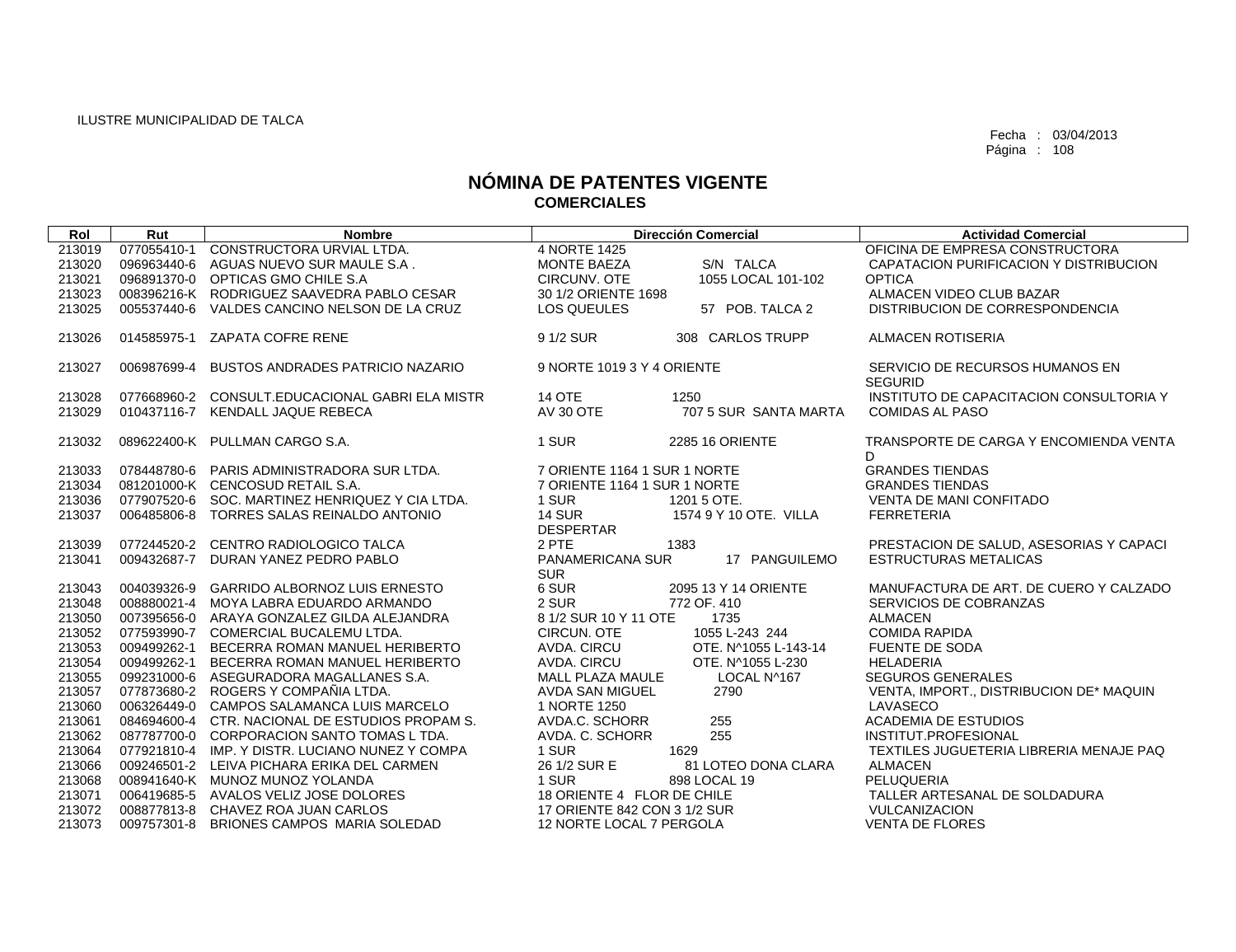| Rol    | Rut         | <b>Nombre</b>                                   |                                | <b>Dirección Comercial</b> | <b>Actividad Comercial</b>                        |
|--------|-------------|-------------------------------------------------|--------------------------------|----------------------------|---------------------------------------------------|
| 213019 | 077055410-1 | CONSTRUCTORA URVIAL LTDA.                       | 4 NORTE 1425                   |                            | OFICINA DE EMPRESA CONSTRUCTORA                   |
| 213020 |             | 096963440-6 AGUAS NUEVO SUR MAULE S.A.          | <b>MONTE BAEZA</b>             | S/N TALCA                  | CAPATACION PURIFICACION Y DISTRIBUCION            |
| 213021 |             | 096891370-0 OPTICAS GMO CHILE S.A               | CIRCUNV, OTE                   | 1055 LOCAL 101-102         | <b>OPTICA</b>                                     |
| 213023 |             | 008396216-K RODRIGUEZ SAAVEDRA PABLO CESAR      | 30 1/2 ORIENTE 1698            |                            | ALMACEN VIDEO CLUB BAZAR                          |
| 213025 |             | 005537440-6 VALDES CANCINO NELSON DE LA CRUZ    | <b>LOS QUEULES</b>             | 57 POB. TALCA 2            | DISTRIBUCION DE CORRESPONDENCIA                   |
| 213026 |             | 014585975-1 ZAPATA COFRE RENE                   | 9 1/2 SUR                      | 308 CARLOS TRUPP           | <b>ALMACEN ROTISERIA</b>                          |
| 213027 | 006987699-4 | BUSTOS ANDRADES PATRICIO NAZARIO                | 9 NORTE 1019 3 Y 4 ORIENTE     |                            | SERVICIO DE RECURSOS HUMANOS EN<br><b>SEGURID</b> |
| 213028 |             | 077668960-2 CONSULT.EDUCACIONAL GABRI ELA MISTR | <b>14 OTE</b>                  | 1250                       | INSTITUTO DE CAPACITACION CONSULTORIA Y           |
| 213029 |             | 010437116-7 KENDALL JAQUE REBECA                | <b>AV 30 OTE</b>               | 707 5 SUR SANTA MARTA      | <b>COMIDAS AL PASO</b>                            |
|        |             |                                                 |                                |                            |                                                   |
| 213032 |             | 089622400-K PULLMAN CARGO S.A.                  | 1 SUR                          | <b>2285 16 ORIENTE</b>     | TRANSPORTE DE CARGA Y ENCOMIENDA VENTA<br>D.      |
| 213033 |             | 078448780-6 PARIS ADMINISTRADORA SUR LTDA.      | 7 ORIENTE 1164 1 SUR 1 NORTE   |                            | <b>GRANDES TIENDAS</b>                            |
| 213034 |             | 081201000-K CENCOSUD RETAIL S.A.                | 7 ORIENTE 1164 1 SUR 1 NORTE   |                            | <b>GRANDES TIENDAS</b>                            |
| 213036 |             | 077907520-6 SOC, MARTINEZ HENRIQUEZ Y CIA LTDA. | 1 SUR                          | 1201 5 OTE.                | <b>VENTA DE MANI CONFITADO</b>                    |
| 213037 |             | 006485806-8 TORRES SALAS REINALDO ANTONIO       | <b>14 SUR</b>                  | 1574 9 Y 10 OTE, VILLA     | <b>FERRETERIA</b>                                 |
|        |             |                                                 | <b>DESPERTAR</b>               |                            |                                                   |
| 213039 |             | 077244520-2 CENTRO RADIOLOGICO TALCA            | 2 PTE                          | 1383                       | PRESTACION DE SALUD, ASESORIAS Y CAPACI           |
| 213041 |             | 009432687-7 DURAN YANEZ PEDRO PABLO             | PANAMERICANA SUR<br><b>SUR</b> | 17 PANGUILEMO              | <b>ESTRUCTURAS METALICAS</b>                      |
| 213043 |             | 004039326-9 GARRIDO ALBORNOZ LUIS ERNESTO       | 6 SUR                          | 2095 13 Y 14 ORIENTE       | MANUFACTURA DE ART. DE CUERO Y CALZADO            |
| 213048 |             | 008880021-4 MOYA LABRA EDUARDO ARMANDO          | 2 SUR                          | 772 OF, 410                | SERVICIOS DE COBRANZAS                            |
| 213050 |             | 007395656-0 ARAYA GONZALEZ GILDA ALEJANDRA      | 8 1/2 SUR 10 Y 11 OTE          | 1735                       | <b>ALMACEN</b>                                    |
| 213052 |             | 077593990-7 COMERCIAL BUCALEMU LTDA.            | CIRCUN, OTE                    | 1055 L-243 244             | <b>COMIDA RAPIDA</b>                              |
| 213053 |             | 009499262-1 BECERRA ROMAN MANUEL HERIBERTO      | AVDA, CIRCU                    | OTE. N^1055 L-143-14       | <b>FUENTE DE SODA</b>                             |
| 213054 |             | 009499262-1 BECERRA ROMAN MANUEL HERIBERTO      | AVDA. CIRCU                    | OTE. N^1055 L-230          | <b>HELADERIA</b>                                  |
| 213055 |             | 099231000-6 ASEGURADORA MAGALLANES S.A.         | <b>MALL PLAZA MAULE</b>        | LOCAL N^167                | <b>SEGUROS GENERALES</b>                          |
| 213057 |             | 077873680-2 ROGERS Y COMPAÑIA LTDA.             | AVDA SAN MIGUEL                | 2790                       | VENTA, IMPORT., DISTRIBUCION DE* MAQUIN           |
| 213060 |             | 006326449-0 CAMPOS SALAMANCA LUIS MARCELO       | 1 NORTE 1250                   |                            | LAVASECO                                          |
| 213061 |             | 084694600-4 CTR, NACIONAL DE ESTUDIOS PROPAM S. | AVDA.C. SCHORR                 | 255                        | <b>ACADEMIA DE ESTUDIOS</b>                       |
| 213062 |             | 087787700-0 CORPORACION SANTO TOMAS L TDA.      | AVDA. C. SCHORR                | 255                        | INSTITUT.PROFESIONAL                              |
| 213064 |             | 077921810-4 IMP, Y DISTR, LUCIANO NUNEZ Y COMPA | 1 SUR                          | 1629                       | TEXTILES JUGUETERIA LIBRERIA MENAJE PAQ           |
| 213066 |             | 009246501-2 LEIVA PICHARA ERIKA DEL CARMEN      | 26 1/2 SUR E                   | 81 LOTEO DONA CLARA        | <b>ALMACEN</b>                                    |
| 213068 |             | 008941640-K MUNOZ MUNOZ YOLANDA                 | 1 SUR                          | 898 LOCAL 19               | PELUQUERIA                                        |
| 213071 |             | 006419685-5 AVALOS VELIZ JOSE DOLORES           | 18 ORIENTE 4 FLOR DE CHILE     |                            | TALLER ARTESANAL DE SOLDADURA                     |
| 213072 |             | 008877813-8 CHAVEZ ROA JUAN CARLOS              | 17 ORIENTE 842 CON 3 1/2 SUR   |                            | <b>VULCANIZACION</b>                              |
| 213073 |             | 009757301-8 BRIONES CAMPOS MARIA SOLEDAD        | 12 NORTE LOCAL 7 PERGOLA       |                            | <b>VENTA DE FLORES</b>                            |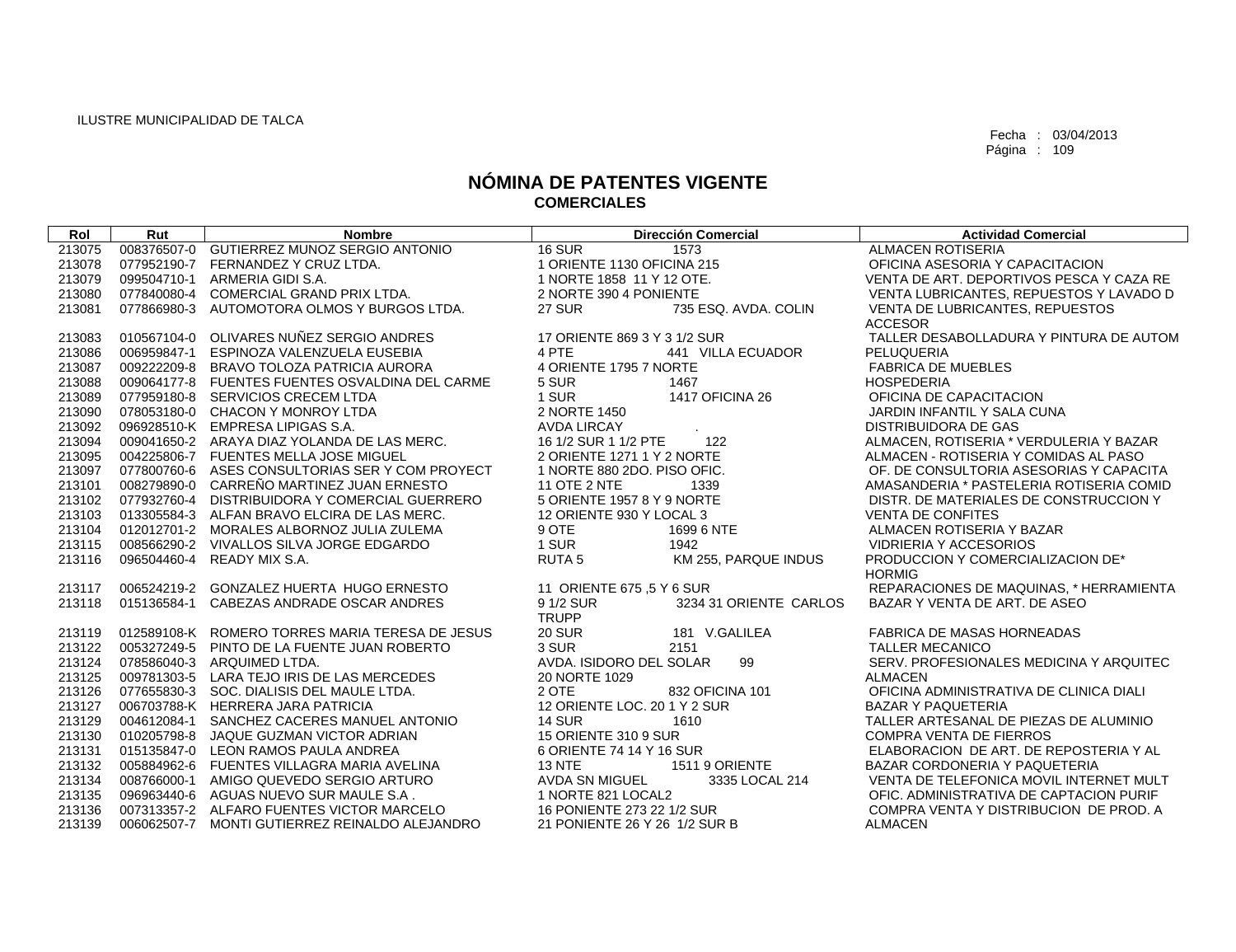| Rol    | Rut | <b>Nombre</b>                                   | <b>Dirección Comercial</b>            | <b>Actividad Comercial</b>               |
|--------|-----|-------------------------------------------------|---------------------------------------|------------------------------------------|
| 213075 |     | 008376507-0 GUTIERREZ MUNOZ SERGIO ANTONIO      | <b>16 SUR</b><br>1573                 | <b>ALMACEN ROTISERIA</b>                 |
| 213078 |     | 077952190-7 FERNANDEZ Y CRUZ LTDA.              | 1 ORIENTE 1130 OFICINA 215            | OFICINA ASESORIA Y CAPACITACION          |
| 213079 |     | 099504710-1 ARMERIA GIDI S.A.                   | 1 NORTE 1858 11 Y 12 OTE.             | VENTA DE ART. DEPORTIVOS PESCA Y CAZA RE |
| 213080 |     | 077840080-4 COMERCIAL GRAND PRIX LTDA.          | 2 NORTE 390 4 PONIENTE                | VENTA LUBRICANTES, REPUESTOS Y LAVADO D  |
| 213081 |     | 077866980-3 AUTOMOTORA OLMOS Y BURGOS LTDA.     | 735 ESQ. AVDA. COLIN<br><b>27 SUR</b> | VENTA DE LUBRICANTES, REPUESTOS          |
|        |     |                                                 |                                       | <b>ACCESOR</b>                           |
| 213083 |     | 010567104-0 OLIVARES NUÑEZ SERGIO ANDRES        | 17 ORIENTE 869 3 Y 3 1/2 SUR          | TALLER DESABOLLADURA Y PINTURA DE AUTOM  |
| 213086 |     | 006959847-1 ESPINOZA VALENZUELA EUSEBIA         | 441 VILLA ECUADOR<br>4 PTE            | PELUQUERIA                               |
| 213087 |     | 009222209-8 BRAVO TOLOZA PATRICIA AURORA        | 4 ORIENTE 1795 7 NORTE                | <b>FABRICA DE MUEBLES</b>                |
| 213088 |     | 009064177-8 FUENTES FUENTES OSVALDINA DEL CARME | 5 SUR<br>1467                         | <b>HOSPEDERIA</b>                        |
| 213089 |     | 077959180-8 SERVICIOS CRECEM LTDA               | 1 SUR<br>1417 OFICINA 26              | OFICINA DE CAPACITACION                  |
| 213090 |     | 078053180-0 CHACON Y MONROY LTDA                | 2 NORTE 1450                          | JARDIN INFANTIL Y SALA CUNA              |
| 213092 |     | 096928510-K EMPRESA LIPIGAS S.A.                | AVDA LIRCAY                           | <b>DISTRIBUIDORA DE GAS</b>              |
| 213094 |     | 009041650-2 ARAYA DIAZ YOLANDA DE LAS MERC.     | 16 1/2 SUR 1 1/2 PTE<br>122           | ALMACEN, ROTISERIA * VERDULERIA Y BAZAR  |
| 213095 |     | 004225806-7 FUENTES MELLA JOSE MIGUEL           | 2 ORIENTE 1271 1 Y 2 NORTE            | ALMACEN - ROTISERIA Y COMIDAS AL PASO    |
| 213097 |     | 077800760-6 ASES CONSULTORIAS SER Y COM PROYECT | 1 NORTE 880 2DO, PISO OFIC.           | OF. DE CONSULTORIA ASESORIAS Y CAPACITA  |
| 213101 |     | 008279890-0 CARREÑO MARTINEZ JUAN ERNESTO       | <b>11 OTE 2 NTE</b><br>1339           | AMASANDERIA * PASTELERIA ROTISERIA COMID |
| 213102 |     | 077932760-4 DISTRIBUIDORA Y COMERCIAL GUERRERO  | 5 ORIENTE 1957 8 Y 9 NORTE            | DISTR. DE MATERIALES DE CONSTRUCCION Y   |
| 213103 |     | 013305584-3 ALFAN BRAVO ELCIRA DE LAS MERC.     | 12 ORIENTE 930 Y LOCAL 3              | <b>VENTA DE CONFITES</b>                 |
| 213104 |     | 012012701-2 MORALES ALBORNOZ JULIA ZULEMA       | 9 OTE<br>1699 6 NTE                   | ALMACEN ROTISERIA Y BAZAR                |
| 213115 |     | 008566290-2 VIVALLOS SILVA JORGE EDGARDO        | 1 SUR<br>1942                         | <b>VIDRIERIA Y ACCESORIOS</b>            |
| 213116 |     | 096504460-4 READY MIX S.A.                      | RUTA 5<br>KM 255, PARQUE INDUS        | PRODUCCION Y COMERCIALIZACION DE*        |
|        |     |                                                 |                                       | <b>HORMIG</b>                            |
| 213117 |     | 006524219-2 GONZALEZ HUERTA HUGO ERNESTO        | 11 ORIENTE 675 .5 Y 6 SUR             | REPARACIONES DE MAQUINAS, * HERRAMIENTA  |
| 213118 |     | 015136584-1 CABEZAS ANDRADE OSCAR ANDRES        | 9 1/2 SUR<br>3234 31 ORIENTE CARLOS   | BAZAR Y VENTA DE ART. DE ASEO            |
|        |     |                                                 | <b>TRUPP</b>                          |                                          |
| 213119 |     | 012589108-K ROMERO TORRES MARIA TERESA DE JESUS | 181 V.GALILEA<br><b>20 SUR</b>        | <b>FABRICA DE MASAS HORNEADAS</b>        |
| 213122 |     | 005327249-5 PINTO DE LA FUENTE JUAN ROBERTO     | 3 SUR<br>2151                         | <b>TALLER MECANICO</b>                   |
| 213124 |     | 078586040-3 ARQUIMED LTDA.                      | AVDA. ISIDORO DEL SOLAR<br>99         | SERV. PROFESIONALES MEDICINA Y ARQUITEC  |
| 213125 |     | 009781303-5 LARA TEJO IRIS DE LAS MERCEDES      | 20 NORTE 1029                         | <b>ALMACEN</b>                           |
| 213126 |     | 077655830-3 SOC. DIALISIS DEL MAULE LTDA.       | 2 OTE<br>832 OFICINA 101              | OFICINA ADMINISTRATIVA DE CLINICA DIALI  |
| 213127 |     | 006703788-K HERRERA JARA PATRICIA               | 12 ORIENTE LOC, 20 1 Y 2 SUR          | <b>BAZAR Y PAQUETERIA</b>                |
| 213129 |     | 004612084-1 SANCHEZ CACERES MANUEL ANTONIO      | <b>14 SUR</b><br>1610                 | TALLER ARTESANAL DE PIEZAS DE ALUMINIO   |
| 213130 |     | 010205798-8 JAQUE GUZMAN VICTOR ADRIAN          | 15 ORIENTE 310 9 SUR                  | <b>COMPRA VENTA DE FIERROS</b>           |
| 213131 |     | 015135847-0 LEON RAMOS PAULA ANDREA             | 6 ORIENTE 74 14 Y 16 SUR              | ELABORACION DE ART. DE REPOSTERIA Y AL   |
| 213132 |     | 005884962-6 FUENTES VILLAGRA MARIA AVELINA      | <b>13 NTE</b><br>1511 9 ORIENTE       | BAZAR CORDONERIA Y PAQUETERIA            |
| 213134 |     | 008766000-1 AMIGO QUEVEDO SERGIO ARTURO         | AVDA SN MIGUEL<br>3335 LOCAL 214      | VENTA DE TELEFONICA MOVIL INTERNET MULT  |
| 213135 |     | 096963440-6 AGUAS NUEVO SUR MAULE S.A.          | 1 NORTE 821 LOCAL2                    | OFIC. ADMINISTRATIVA DE CAPTACION PURIF  |
| 213136 |     | 007313357-2 ALFARO FUENTES VICTOR MARCELO       | 16 PONIENTE 273 22 1/2 SUR            | COMPRA VENTA Y DISTRIBUCION DE PROD. A   |
| 213139 |     | 006062507-7 MONTI GUTIERREZ REINALDO ALEJANDRO  | 21 PONIENTE 26 Y 26 1/2 SUR B         | <b>ALMACEN</b>                           |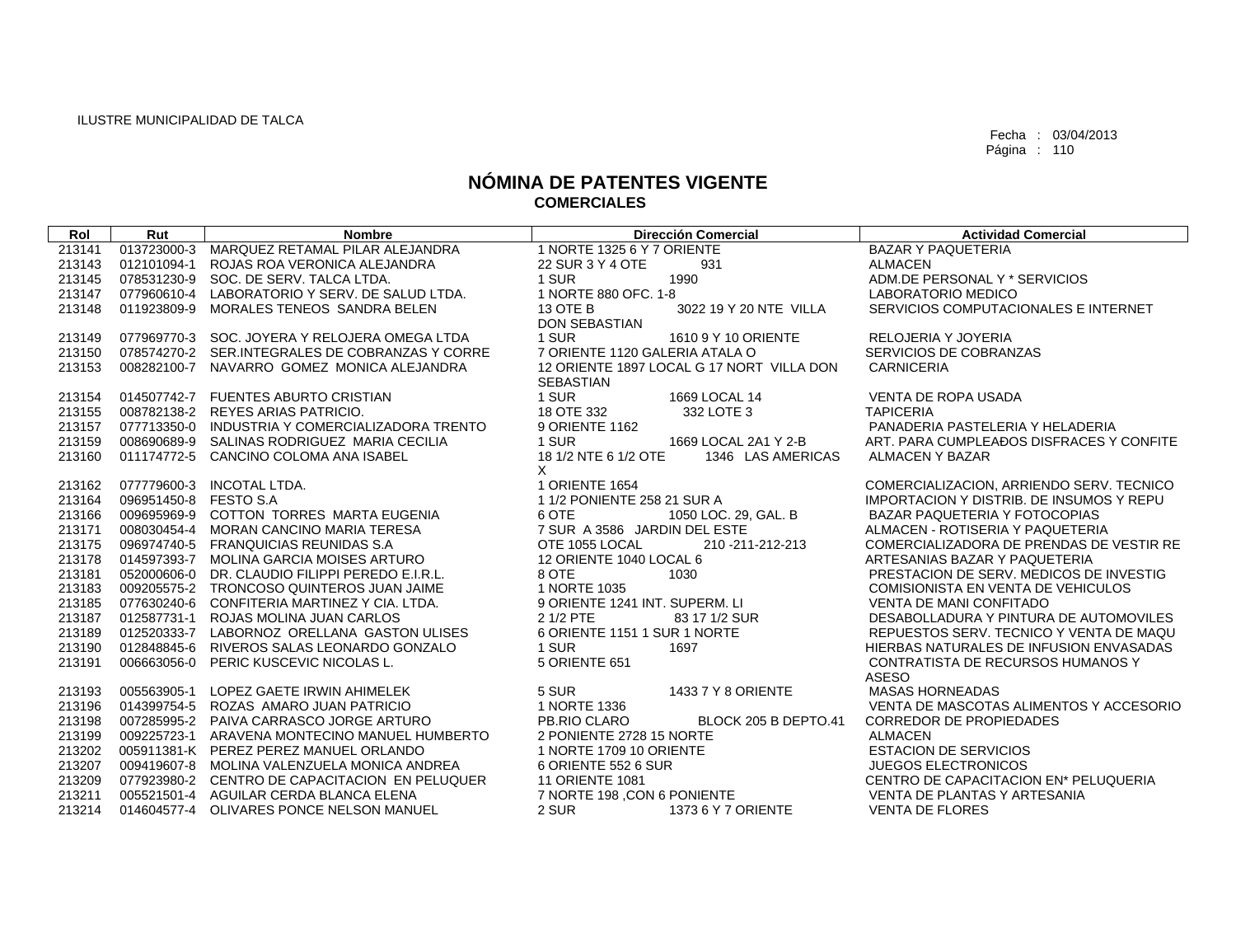| Rol    | Rut                   | <b>Nombre</b>                                   | <b>Dirección Comercial</b>                | <b>Actividad Comercial</b>                      |
|--------|-----------------------|-------------------------------------------------|-------------------------------------------|-------------------------------------------------|
| 213141 | 013723000-3           | MARQUEZ RETAMAL PILAR ALEJANDRA                 | 1 NORTE 1325 6 Y 7 ORIENTE                | <b>BAZAR Y PAQUETERIA</b>                       |
| 213143 | 012101094-1           | ROJAS ROA VERONICA ALEJANDRA                    | 22 SUR 3 Y 4 OTE<br>931                   | <b>ALMACEN</b>                                  |
| 213145 |                       | 078531230-9 SOC. DE SERV. TALCA LTDA.           | 1 SUR<br>1990                             | ADM.DE PERSONAL Y * SERVICIOS                   |
| 213147 |                       | 077960610-4 LABORATORIO Y SERV. DE SALUD LTDA.  | 1 NORTE 880 OFC, 1-8                      | LABORATORIO MEDICO                              |
| 213148 | 011923809-9           | MORALES TENEOS SANDRA BELEN                     | 13 OTE B<br>3022 19 Y 20 NTE VILLA        | SERVICIOS COMPUTACIONALES E INTERNET            |
|        |                       |                                                 | <b>DON SEBASTIAN</b>                      |                                                 |
| 213149 |                       | 077969770-3 SOC. JOYERA Y RELOJERA OMEGA LTDA   | 1 SUR<br>1610 9 Y 10 ORIENTE              | <b>RELOJERIA Y JOYERIA</b>                      |
| 213150 |                       | 078574270-2 SER.INTEGRALES DE COBRANZAS Y CORRE | 7 ORIENTE 1120 GALERIA ATALA O            | SERVICIOS DE COBRANZAS                          |
| 213153 |                       | 008282100-7 NAVARRO GOMEZ MONICA ALEJANDRA      | 12 ORIENTE 1897 LOCAL G 17 NORT VILLA DON | <b>CARNICERIA</b>                               |
|        |                       |                                                 | <b>SEBASTIAN</b>                          |                                                 |
| 213154 |                       | 014507742-7 FUENTES ABURTO CRISTIAN             | 1 SUR<br>1669 LOCAL 14                    | <b>VENTA DE ROPA USADA</b>                      |
| 213155 |                       | 008782138-2 REYES ARIAS PATRICIO.               | 18 OTE 332<br>332 LOTE 3                  | <b>TAPICERIA</b>                                |
| 213157 |                       | 077713350-0 INDUSTRIA Y COMERCIALIZADORA TRENTO | 9 ORIENTE 1162                            | PANADERIA PASTELERIA Y HELADERIA                |
| 213159 |                       | 008690689-9 SALINAS RODRIGUEZ MARIA CECILIA     | 1 SUR<br>1669 LOCAL 2A1 Y 2-B             | ART. PARA CUMPLEADOS DISFRACES Y CONFITE        |
| 213160 |                       | 011174772-5 CANCINO COLOMA ANA ISABEL           | 18 1/2 NTE 6 1/2 OTE<br>1346 LAS AMERICAS | ALMACEN Y BAZAR                                 |
|        |                       |                                                 | X                                         |                                                 |
| 213162 |                       | 077779600-3 INCOTAL LTDA.                       | 1 ORIENTE 1654                            | COMERCIALIZACION, ARRIENDO SERV. TECNICO        |
| 213164 | 096951450-8 FESTO S.A |                                                 | 1 1/2 PONIENTE 258 21 SUR A               | <b>IMPORTACION Y DISTRIB, DE INSUMOS Y REPU</b> |
| 213166 |                       | 009695969-9 COTTON TORRES MARTA EUGENIA         | 6 OTE<br>1050 LOC. 29, GAL. B             | BAZAR PAQUETERIA Y FOTOCOPIAS                   |
| 213171 |                       | 008030454-4 MORAN CANCINO MARIA TERESA          | 7 SUR A 3586 JARDIN DEL ESTE              | ALMACEN - ROTISERIA Y PAQUETERIA                |
| 213175 |                       | 096974740-5 FRANQUICIAS REUNIDAS S.A            | OTE 1055 LOCAL<br>210 - 211 - 212 - 213   | COMERCIALIZADORA DE PRENDAS DE VESTIR RE        |
| 213178 |                       | 014597393-7 MOLINA GARCIA MOISES ARTURO         | 12 ORIENTE 1040 LOCAL 6                   | ARTESANIAS BAZAR Y PAQUETERIA                   |
| 213181 |                       | 052000606-0 DR. CLAUDIO FILIPPI PEREDO E.I.R.L. | 8 OTE<br>1030                             | PRESTACION DE SERV. MEDICOS DE INVESTIG         |
| 213183 |                       | 009205575-2 TRONCOSO QUINTEROS JUAN JAIME       | 1 NORTE 1035                              | COMISIONISTA EN VENTA DE VEHICULOS              |
| 213185 |                       | 077630240-6 CONFITERIA MARTINEZ Y CIA. LTDA.    | 9 ORIENTE 1241 INT. SUPERM. LI            | <b>VENTA DE MANI CONFITADO</b>                  |
| 213187 |                       | 012587731-1 ROJAS MOLINA JUAN CARLOS            | 2 1/2 PTE<br>83 17 1/2 SUR                | DESABOLLADURA Y PINTURA DE AUTOMOVILES          |
| 213189 |                       | 012520333-7 LABORNOZ ORELLANA GASTON ULISES     | 6 ORIENTE 1151 1 SUR 1 NORTE              | REPUESTOS SERV. TECNICO Y VENTA DE MAQU         |
| 213190 |                       | 012848845-6 RIVEROS SALAS LEONARDO GONZALO      | 1 SUR<br>1697                             | HIERBAS NATURALES DE INFUSION ENVASADAS         |
| 213191 |                       | 006663056-0 PERIC KUSCEVIC NICOLAS L.           | 5 ORIENTE 651                             | CONTRATISTA DE RECURSOS HUMANOS Y               |
|        |                       |                                                 |                                           | <b>ASESO</b>                                    |
| 213193 |                       | 005563905-1 LOPEZ GAETE IRWIN AHIMELEK          | 5 SUR<br>1433 7 Y 8 ORIENTE               | <b>MASAS HORNEADAS</b>                          |
| 213196 |                       | 014399754-5 ROZAS AMARO JUAN PATRICIO           | 1 NORTE 1336                              | VENTA DE MASCOTAS ALIMENTOS Y ACCESORIO         |
| 213198 |                       | 007285995-2 PAIVA CARRASCO JORGE ARTURO         | PB.RIO CLARO<br>BLOCK 205 B DEPTO.41      | <b>CORREDOR DE PROPIEDADES</b>                  |
| 213199 |                       | 009225723-1 ARAVENA MONTECINO MANUEL HUMBERTO   | 2 PONIENTE 2728 15 NORTE                  | <b>ALMACEN</b>                                  |
| 213202 |                       | 005911381-K PEREZ PEREZ MANUEL ORLANDO          | 1 NORTE 1709 10 ORIENTE                   | <b>ESTACION DE SERVICIOS</b>                    |
| 213207 |                       | 009419607-8 MOLINA VALENZUELA MONICA ANDREA     | 6 ORIENTE 552 6 SUR                       | <b>JUEGOS ELECTRONICOS</b>                      |
| 213209 |                       | 077923980-2 CENTRO DE CAPACITACION EN PELUQUER  | <b>11 ORIENTE 1081</b>                    | CENTRO DE CAPACITACION EN* PELUQUERIA           |
| 213211 |                       | 005521501-4 AGUILAR CERDA BLANCA ELENA          | 7 NORTE 198 ,CON 6 PONIENTE               | VENTA DE PLANTAS Y ARTESANIA                    |
| 213214 |                       | 014604577-4 OLIVARES PONCE NELSON MANUEL        | 2 SUR<br>1373 6 Y 7 ORIENTE               | <b>VENTA DE FLORES</b>                          |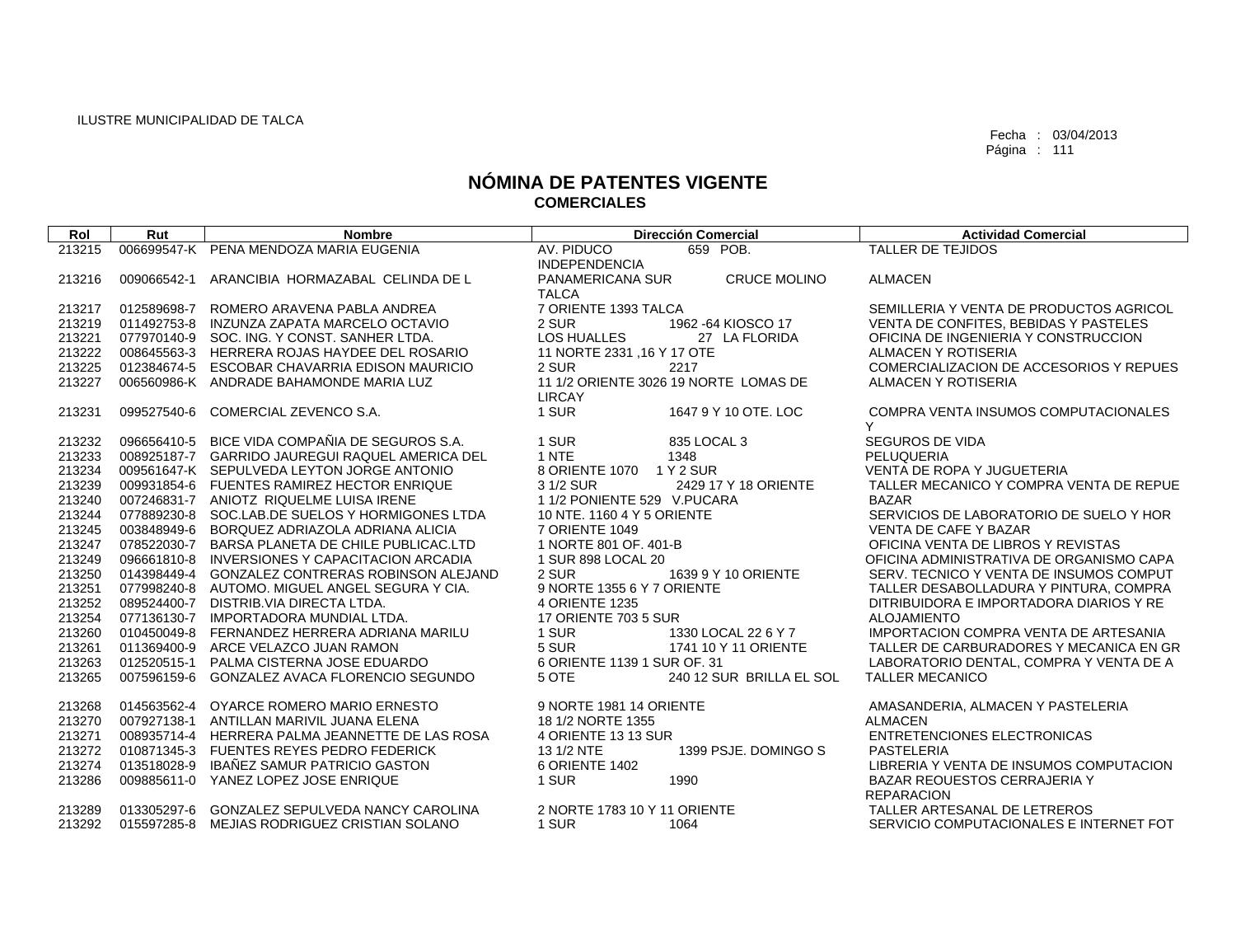| Rol              | Rut         | <b>Nombre</b>                                                                       | <b>Dirección Comercial</b>                              | <b>Actividad Comercial</b>                                              |
|------------------|-------------|-------------------------------------------------------------------------------------|---------------------------------------------------------|-------------------------------------------------------------------------|
| 213215           |             | 006699547-K PENA MENDOZA MARIA EUGENIA                                              | AV. PIDUCO<br>659 POB.                                  | TALLER DE TEJIDOS                                                       |
|                  |             |                                                                                     | <b>INDEPENDENCIA</b>                                    |                                                                         |
| 213216           | 009066542-1 | ARANCIBIA HORMAZABAL CELINDA DE L                                                   | PANAMERICANA SUR<br><b>CRUCE MOLINO</b><br><b>TALCA</b> | <b>ALMACEN</b>                                                          |
| 213217           | 012589698-7 | ROMERO ARAVENA PABLA ANDREA                                                         | 7 ORIENTE 1393 TALCA                                    | SEMILLERIA Y VENTA DE PRODUCTOS AGRICOL                                 |
| 213219           | 011492753-8 | INZUNZA ZAPATA MARCELO OCTAVIO                                                      | 2 SUR<br>1962 - 64 KIOSCO 17                            | VENTA DE CONFITES, BEBIDAS Y PASTELES                                   |
| 213221           |             | 077970140-9 SOC. ING. Y CONST. SANHER LTDA.                                         | LOS HUALLES<br>27 LA FLORIDA                            | OFICINA DE INGENIERIA Y CONSTRUCCION                                    |
| 213222           |             | 008645563-3 HERRERA ROJAS HAYDEE DEL ROSARIO                                        | 11 NORTE 2331 , 16 Y 17 OTE                             | ALMACEN Y ROTISERIA                                                     |
| 213225           |             | 012384674-5 ESCOBAR CHAVARRIA EDISON MAURICIO                                       | 2 SUR<br>2217                                           | COMERCIALIZACION DE ACCESORIOS Y REPUES                                 |
| 213227           |             | 006560986-K ANDRADE BAHAMONDE MARIA LUZ                                             | 11 1/2 ORIENTE 3026 19 NORTE LOMAS DE<br><b>LIRCAY</b>  | ALMACEN Y ROTISERIA                                                     |
| 213231           | 099527540-6 | COMERCIAL ZEVENCO S.A.                                                              | 1 SUR<br>1647 9 Y 10 OTE, LOC                           | COMPRA VENTA INSUMOS COMPUTACIONALES<br>Y                               |
| 213232           | 096656410-5 | BICE VIDA COMPAÑIA DE SEGUROS S.A.                                                  | 1 SUR<br>835 LOCAL 3                                    | SEGUROS DE VIDA                                                         |
| 213233           |             | 008925187-7 GARRIDO JAUREGUI RAQUEL AMERICA DEL                                     | 1 NTE<br>1348                                           | PELUQUERIA                                                              |
| 213234           |             | 009561647-K SEPULVEDA LEYTON JORGE ANTONIO                                          | 8 ORIENTE 1070<br>1 Y 2 SUR                             | VENTA DE ROPA Y JUGUETERIA                                              |
| 213239           |             | 009931854-6 FUENTES RAMIREZ HECTOR ENRIQUE                                          | 3 1/2 SUR<br>2429 17 Y 18 ORIENTE                       | TALLER MECANICO Y COMPRA VENTA DE REPUE                                 |
| 213240           |             | 007246831-7 ANIOTZ RIQUELME LUISA IRENE                                             | 1 1/2 PONIENTE 529 V.PUCARA                             | <b>BAZAR</b>                                                            |
| 213244<br>213245 | 003848949-6 | 077889230-8 SOC.LAB.DE SUELOS Y HORMIGONES LTDA<br>BORQUEZ ADRIAZOLA ADRIANA ALICIA | 10 NTE, 1160 4 Y 5 ORIENTE<br>7 ORIENTE 1049            | SERVICIOS DE LABORATORIO DE SUELO Y HOR<br><b>VENTA DE CAFE Y BAZAR</b> |
| 213247           | 078522030-7 | BARSA PLANETA DE CHILE PUBLICAC.LTD                                                 | 1 NORTE 801 OF, 401-B                                   | OFICINA VENTA DE LIBROS Y REVISTAS                                      |
| 213249           |             | 096661810-8 INVERSIONES Y CAPACITACION ARCADIA                                      | 1 SUR 898 LOCAL 20                                      | OFICINA ADMINISTRATIVA DE ORGANISMO CAPA                                |
| 213250           | 014398449-4 | GONZALEZ CONTRERAS ROBINSON ALEJAND                                                 | 2 SUR<br>1639 9 Y 10 ORIENTE                            | SERV. TECNICO Y VENTA DE INSUMOS COMPUT                                 |
| 213251           |             | 077998240-8 AUTOMO, MIGUEL ANGEL SEGURA Y CIA.                                      | 9 NORTE 1355 6 Y 7 ORIENTE                              | TALLER DESABOLLADURA Y PINTURA, COMPRA                                  |
| 213252           | 089524400-7 | DISTRIB.VIA DIRECTA LTDA.                                                           | <b>4 ORIENTE 1235</b>                                   | DITRIBUIDORA E IMPORTADORA DIARIOS Y RE                                 |
| 213254           |             | 077136130-7 IMPORTADORA MUNDIAL LTDA.                                               | 17 ORIENTE 703 5 SUR                                    | <b>ALOJAMIENTO</b>                                                      |
| 213260           |             | 010450049-8 FERNANDEZ HERRERA ADRIANA MARILU                                        | 1 SUR<br>1330 LOCAL 22 6 Y 7                            | <b>IMPORTACION COMPRA VENTA DE ARTESANIA</b>                            |
| 213261           |             | 011369400-9 ARCE VELAZCO JUAN RAMON                                                 | 5 SUR<br>1741 10 Y 11 ORIENTE                           | TALLER DE CARBURADORES Y MECANICA EN GR                                 |
| 213263           | 012520515-1 | PALMA CISTERNA JOSE EDUARDO                                                         | 6 ORIENTE 1139 1 SUR OF. 31                             | LABORATORIO DENTAL, COMPRA Y VENTA DE A                                 |
| 213265           | 007596159-6 | GONZALEZ AVACA FLORENCIO SEGUNDO                                                    | 5 OTE<br>240 12 SUR BRILLA EL SOL                       | <b>TALLER MECANICO</b>                                                  |
| 213268           | 014563562-4 | OYARCE ROMERO MARIO ERNESTO                                                         | 9 NORTE 1981 14 ORIENTE                                 | AMASANDERIA, ALMACEN Y PASTELERIA                                       |
| 213270           | 007927138-1 | ANTILLAN MARIVIL JUANA ELENA                                                        | 18 1/2 NORTE 1355                                       | <b>ALMACEN</b>                                                          |
| 213271           | 008935714-4 | HERRERA PALMA JEANNETTE DE LAS ROSA                                                 | 4 ORIENTE 13 13 SUR                                     | ENTRETENCIONES ELECTRONICAS                                             |
| 213272           |             | 010871345-3 FUENTES REYES PEDRO FEDERICK                                            | 13 1/2 NTE<br>1399 PSJE. DOMINGO S                      | <b>PASTELERIA</b>                                                       |
| 213274           | 013518028-9 | IBAÑEZ SAMUR PATRICIO GASTON                                                        | 6 ORIENTE 1402                                          | LIBRERIA Y VENTA DE INSUMOS COMPUTACION                                 |
| 213286           |             | 009885611-0 YANEZ LOPEZ JOSE ENRIQUE                                                | 1 SUR<br>1990                                           | BAZAR REOUESTOS CERRAJERIA Y                                            |
| 213289           |             | 013305297-6 GONZALEZ SEPULVEDA NANCY CAROLINA                                       | 2 NORTE 1783 10 Y 11 ORIENTE                            | <b>REPARACION</b><br>TALLER ARTESANAL DE LETREROS                       |
| 213292           |             | 015597285-8 MEJIAS RODRIGUEZ CRISTIAN SOLANO                                        | 1 SUR<br>1064                                           | SERVICIO COMPUTACIONALES E INTERNET FOT                                 |
|                  |             |                                                                                     |                                                         |                                                                         |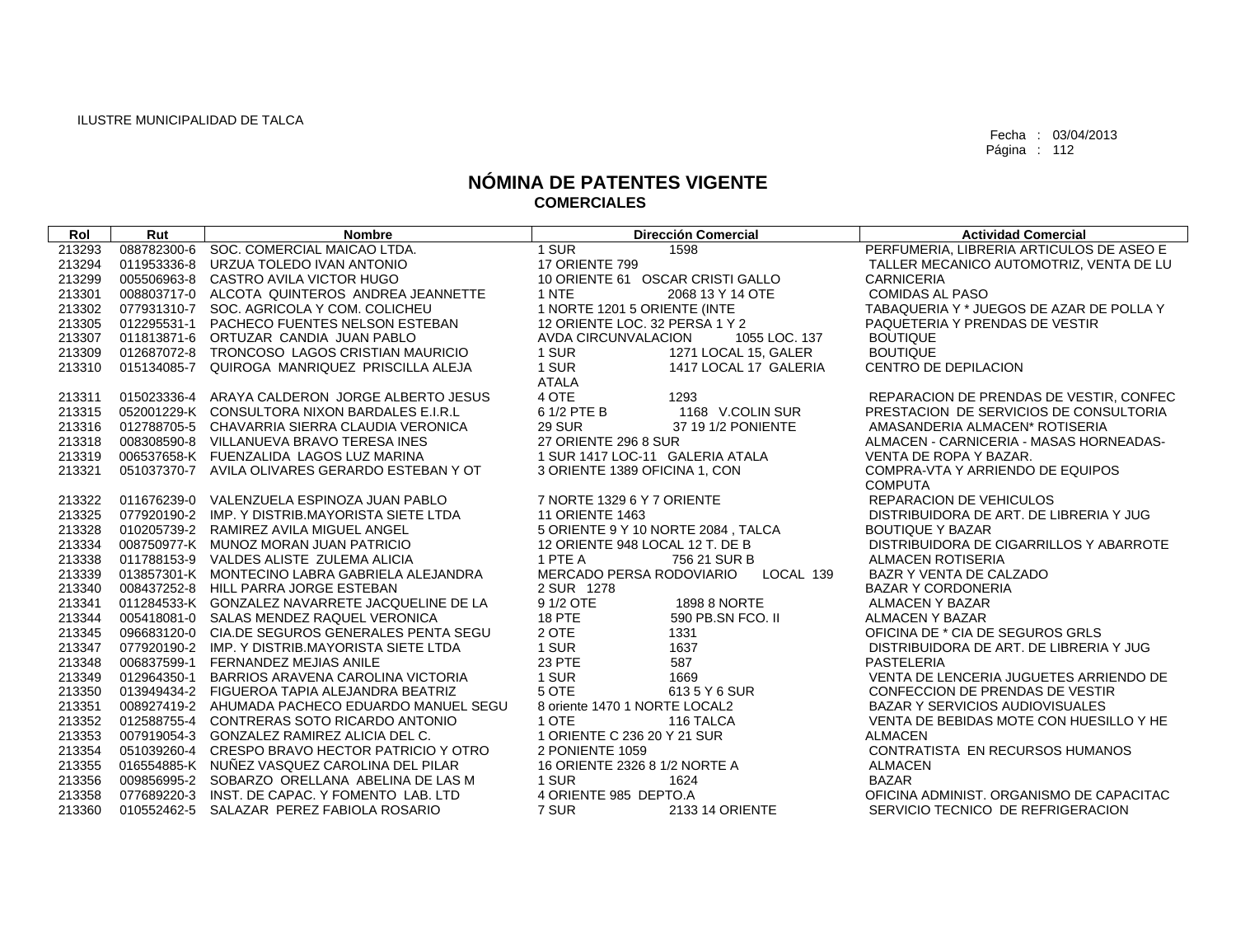| Rol    | Rut | <b>Nombre</b>                                    | <b>Dirección Comercial</b>            | <b>Actividad Comercial</b>               |
|--------|-----|--------------------------------------------------|---------------------------------------|------------------------------------------|
| 213293 |     | 088782300-6 SOC. COMERCIAL MAICAO LTDA.          | 1 SUR<br>1598                         | PERFUMERIA, LIBRERIA ARTICULOS DE ASEO E |
| 213294 |     | 011953336-8 URZUA TOLEDO IVAN ANTONIO            | 17 ORIENTE 799                        | TALLER MECANICO AUTOMOTRIZ, VENTA DE LU  |
| 213299 |     | 005506963-8 CASTRO AVILA VICTOR HUGO             | 10 ORIENTE 61 OSCAR CRISTI GALLO      | <b>CARNICERIA</b>                        |
| 213301 |     | 008803717-0 ALCOTA QUINTEROS ANDREA JEANNETTE    | 1 NTE<br>2068 13 Y 14 OTE             | <b>COMIDAS AL PASO</b>                   |
| 213302 |     | 077931310-7 SOC. AGRICOLA Y COM. COLICHEU        | 1 NORTE 1201 5 ORIENTE (INTE          | TABAQUERIA Y * JUEGOS DE AZAR DE POLLA Y |
| 213305 |     | 012295531-1 PACHECO FUENTES NELSON ESTEBAN       | 12 ORIENTE LOC. 32 PERSA 1 Y 2        | PAQUETERIA Y PRENDAS DE VESTIR           |
| 213307 |     | 011813871-6 ORTUZAR CANDIA JUAN PABLO            | AVDA CIRCUNVALACION<br>1055 LOC. 137  | <b>BOUTIQUE</b>                          |
| 213309 |     | 012687072-8 TRONCOSO LAGOS CRISTIAN MAURICIO     | 1 SUR<br>1271 LOCAL 15, GALER         | <b>BOUTIQUE</b>                          |
| 213310 |     | 015134085-7 QUIROGA MANRIQUEZ PRISCILLA ALEJA    | 1 SUR<br>1417 LOCAL 17 GALERIA        | CENTRO DE DEPILACION                     |
|        |     |                                                  | ATALA                                 |                                          |
| 213311 |     | 015023336-4 ARAYA CALDERON JORGE ALBERTO JESUS   | 4 OTE<br>1293                         | REPARACION DE PRENDAS DE VESTIR, CONFEC  |
| 213315 |     | 052001229-K CONSULTORA NIXON BARDALES E.I.R.L    | 6 1/2 PTE B<br>1168 V.COLIN SUR       | PRESTACION DE SERVICIOS DE CONSULTORIA   |
| 213316 |     | 012788705-5 CHAVARRIA SIERRA CLAUDIA VERONICA    | <b>29 SUR</b><br>37 19 1/2 PONIENTE   | AMASANDERIA ALMACEN* ROTISERIA           |
| 213318 |     | 008308590-8 VILLANUEVA BRAVO TERESA INES         | 27 ORIENTE 296 8 SUR                  | ALMACEN - CARNICERIA - MASAS HORNEADAS-  |
| 213319 |     | 006537658-K FUENZALIDA LAGOS LUZ MARINA          | 1 SUR 1417 LOC-11 GALERIA ATALA       | VENTA DE ROPA Y BAZAR.                   |
| 213321 |     | 051037370-7 AVILA OLIVARES GERARDO ESTEBAN Y OT  | 3 ORIENTE 1389 OFICINA 1, CON         | COMPRA-VTA Y ARRIENDO DE EQUIPOS         |
|        |     |                                                  |                                       | <b>COMPUTA</b>                           |
| 213322 |     | 011676239-0 VALENZUELA ESPINOZA JUAN PABLO       | 7 NORTE 1329 6 Y 7 ORIENTE            | <b>REPARACION DE VEHICULOS</b>           |
| 213325 |     | 077920190-2 IMP, Y DISTRIB.MAYORISTA SIETE LTDA  | <b>11 ORIENTE 1463</b>                | DISTRIBUIDORA DE ART. DE LIBRERIA Y JUG  |
| 213328 |     | 010205739-2 RAMIREZ AVILA MIGUEL ANGEL           | 5 ORIENTE 9 Y 10 NORTE 2084, TALCA    | <b>BOUTIQUE Y BAZAR</b>                  |
| 213334 |     | 008750977-K MUNOZ MORAN JUAN PATRICIO            | 12 ORIENTE 948 LOCAL 12 T. DE B       | DISTRIBUIDORA DE CIGARRILLOS Y ABARROTE  |
| 213338 |     | 011788153-9 VALDES ALISTE ZULEMA ALICIA          | 1 PTE A<br>756 21 SUR B               | ALMACEN ROTISERIA                        |
| 213339 |     | 013857301-K MONTECINO LABRA GABRIELA ALEJANDRA   | MERCADO PERSA RODOVIARIO<br>LOCAL 139 | BAZR Y VENTA DE CALZADO                  |
| 213340 |     | 008437252-8 HILL PARRA JORGE ESTEBAN             | 2 SUR 1278                            | <b>BAZAR Y CORDONERIA</b>                |
| 213341 |     | 011284533-K GONZALEZ NAVARRETE JACQUELINE DE LA  | 9 1/2 OTE<br>1898 8 NORTE             | ALMACEN Y BAZAR                          |
| 213344 |     | 005418081-0 SALAS MENDEZ RAQUEL VERONICA         | <b>18 PTE</b><br>590 PB.SN FCO. II    | ALMACEN Y BAZAR                          |
| 213345 |     | 096683120-0 CIA.DE SEGUROS GENERALES PENTA SEGU  | 2 OTE<br>1331                         | OFICINA DE * CIA DE SEGUROS GRLS         |
| 213347 |     | 077920190-2 IMP, Y DISTRIB, MAYORISTA SIETE LTDA | 1 SUR<br>1637                         | DISTRIBUIDORA DE ART. DE LIBRERIA Y JUG  |
| 213348 |     | 006837599-1 FERNANDEZ MEJIAS ANILE               | 23 PTE<br>587                         | <b>PASTELERIA</b>                        |
| 213349 |     | 012964350-1 BARRIOS ARAVENA CAROLINA VICTORIA    | 1 SUR<br>1669                         | VENTA DE LENCERIA JUGUETES ARRIENDO DE   |
| 213350 |     | 013949434-2 FIGUEROA TAPIA ALEJANDRA BEATRIZ     | 5 OTE<br>6135 Y 6 SUR                 | CONFECCION DE PRENDAS DE VESTIR          |
| 213351 |     | 008927419-2 AHUMADA PACHECO EDUARDO MANUEL SEGU  | 8 oriente 1470 1 NORTE LOCAL2         | BAZAR Y SERVICIOS AUDIOVISUALES          |
| 213352 |     | 012588755-4 CONTRERAS SOTO RICARDO ANTONIO       | 1 OTE<br>116 TALCA                    | VENTA DE BEBIDAS MOTE CON HUESILLO Y HE  |
| 213353 |     | 007919054-3 GONZALEZ RAMIREZ ALICIA DEL C.       | 1 ORIENTE C 236 20 Y 21 SUR           | ALMACEN                                  |
| 213354 |     | 051039260-4 CRESPO BRAVO HECTOR PATRICIO Y OTRO  | 2 PONIENTE 1059                       | CONTRATISTA EN RECURSOS HUMANOS          |
| 213355 |     | 016554885-K NUÑEZ VASQUEZ CAROLINA DEL PILAR     | 16 ORIENTE 2326 8 1/2 NORTE A         | <b>ALMACEN</b>                           |
| 213356 |     | 009856995-2 SOBARZO ORELLANA ABELINA DE LAS M    | 1 SUR<br>1624                         | <b>BAZAR</b>                             |
| 213358 |     | 077689220-3 INST. DE CAPAC. Y FOMENTO LAB. LTD   | 4 ORIENTE 985 DEPTO.A                 | OFICINA ADMINIST. ORGANISMO DE CAPACITAC |
| 213360 |     | 010552462-5 SALAZAR PEREZ FABIOLA ROSARIO        | 7 SUR<br>2133 14 ORIENTE              | SERVICIO TECNICO DE REFRIGERACION        |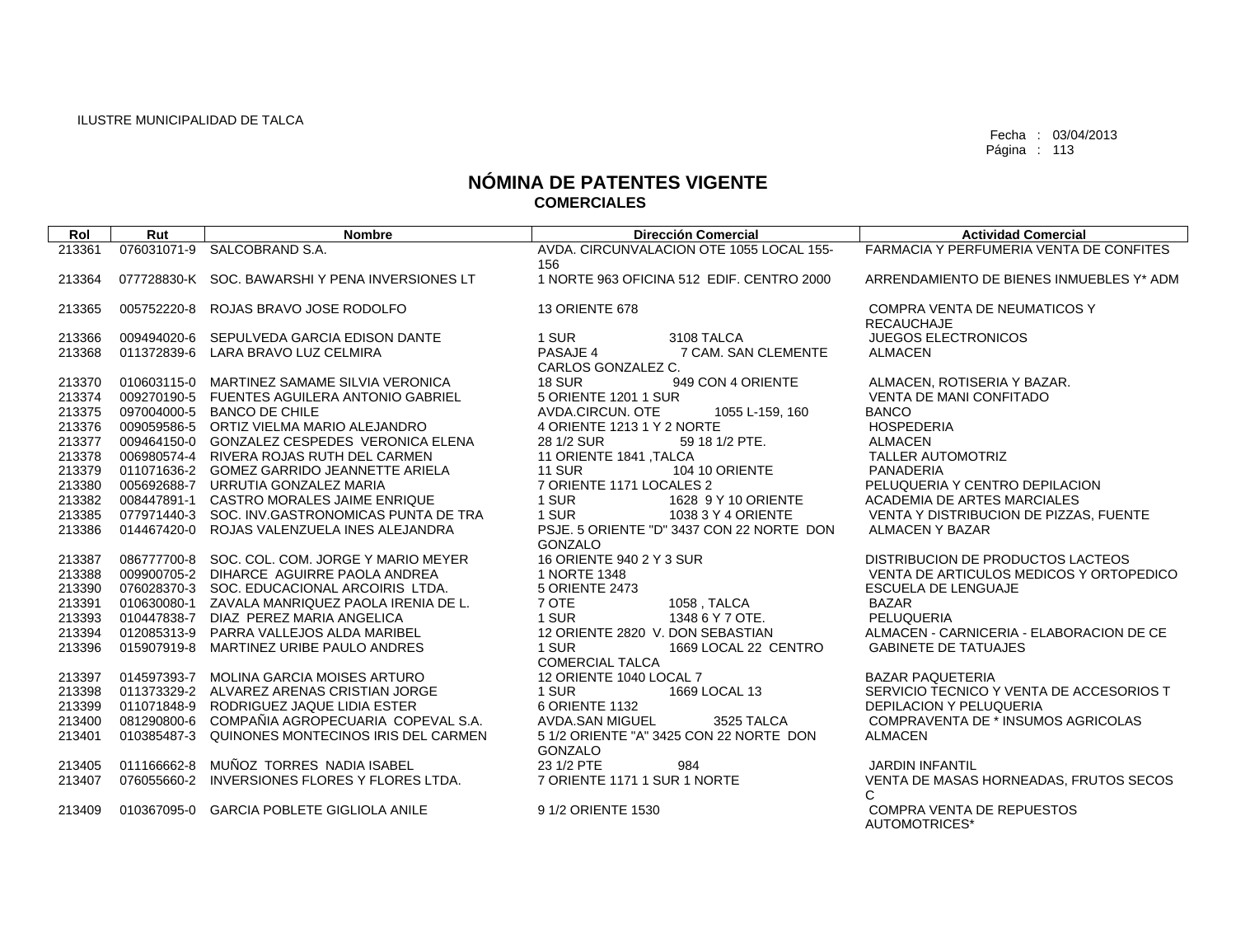| 213361<br>076031071-9<br>AVDA, CIRCUNVALACION OTE 1055 LOCAL 155-<br>FARMACIA Y PERFUMERIA VENTA DE CONFITES<br>SALCOBRAND S.A.<br>156<br>1 NORTE 963 OFICINA 512 EDIF. CENTRO 2000<br>077728830-K SOC. BAWARSHI Y PENA INVERSIONES LT<br>ARRENDAMIENTO DE BIENES INMUEBLES Y* ADM<br>213364<br>005752220-8<br>ROJAS BRAVO JOSE RODOLFO<br>COMPRA VENTA DE NEUMATICOS Y<br>213365<br>13 ORIENTE 678 |  |
|-----------------------------------------------------------------------------------------------------------------------------------------------------------------------------------------------------------------------------------------------------------------------------------------------------------------------------------------------------------------------------------------------------|--|
|                                                                                                                                                                                                                                                                                                                                                                                                     |  |
|                                                                                                                                                                                                                                                                                                                                                                                                     |  |
|                                                                                                                                                                                                                                                                                                                                                                                                     |  |
|                                                                                                                                                                                                                                                                                                                                                                                                     |  |
| <b>RECAUCHAJE</b>                                                                                                                                                                                                                                                                                                                                                                                   |  |
| 1 SUR<br><b>JUEGOS ELECTRONICOS</b><br>213366<br>009494020-6<br>SEPULVEDA GARCIA EDISON DANTE<br>3108 TALCA                                                                                                                                                                                                                                                                                         |  |
| PASAJE 4<br>7 CAM. SAN CLEMENTE<br>213368<br>011372839-6 LARA BRAVO LUZ CELMIRA<br><b>ALMACEN</b>                                                                                                                                                                                                                                                                                                   |  |
| CARLOS GONZALEZ C.                                                                                                                                                                                                                                                                                                                                                                                  |  |
| 949 CON 4 ORIENTE<br>213370<br>010603115-0 MARTINEZ SAMAME SILVIA VERONICA<br><b>18 SUR</b><br>ALMACEN, ROTISERIA Y BAZAR.                                                                                                                                                                                                                                                                          |  |
| 5 ORIENTE 1201 1 SUR<br>213374<br>009270190-5 FUENTES AGUILERA ANTONIO GABRIEL<br><b>VENTA DE MANI CONFITADO</b>                                                                                                                                                                                                                                                                                    |  |
| 213375<br>097004000-5 BANCO DE CHILE<br>AVDA.CIRCUN. OTE<br><b>BANCO</b><br>1055 L-159, 160                                                                                                                                                                                                                                                                                                         |  |
| 213376<br>009059586-5 ORTIZ VIELMA MARIO ALEJANDRO<br>4 ORIENTE 1213 1 Y 2 NORTE<br><b>HOSPEDERIA</b>                                                                                                                                                                                                                                                                                               |  |
| 213377<br>009464150-0 GONZALEZ CESPEDES VERONICA ELENA<br>28 1/2 SUR<br>59 18 1/2 PTE.<br><b>ALMACEN</b>                                                                                                                                                                                                                                                                                            |  |
| 213378<br>11 ORIENTE 1841, TALCA<br><b>TALLER AUTOMOTRIZ</b><br>006980574-4 RIVERA ROJAS RUTH DEL CARMEN                                                                                                                                                                                                                                                                                            |  |
| <b>11 SUR</b><br><b>104 10 ORIENTE</b><br>213379<br>011071636-2 GOMEZ GARRIDO JEANNETTE ARIELA<br><b>PANADERIA</b><br>7 ORIENTE 1171 LOCALES 2<br>PELUQUERIA Y CENTRO DEPILACION<br>213380<br>005692688-7 URRUTIA GONZALEZ MARIA                                                                                                                                                                    |  |
| 213382<br>008447891-1 CASTRO MORALES JAIME ENRIQUE<br>1 SUR<br>1628 9 Y 10 ORIENTE<br>ACADEMIA DE ARTES MARCIALES                                                                                                                                                                                                                                                                                   |  |
| 1 SUR<br>213385<br>077971440-3 SOC. INV.GASTRONOMICAS PUNTA DE TRA<br>1038 3 Y 4 ORIENTE<br>VENTA Y DISTRIBUCION DE PIZZAS, FUENTE                                                                                                                                                                                                                                                                  |  |
| PSJE, 5 ORIENTE "D" 3437 CON 22 NORTE DON<br>213386<br>014467420-0 ROJAS VALENZUELA INES ALEJANDRA<br><b>ALMACEN Y BAZAR</b>                                                                                                                                                                                                                                                                        |  |
| GONZALO                                                                                                                                                                                                                                                                                                                                                                                             |  |
| 16 ORIENTE 940 2 Y 3 SUR<br>086777700-8 SOC. COL. COM. JORGE Y MARIO MEYER<br>213387<br>DISTRIBUCION DE PRODUCTOS LACTEOS                                                                                                                                                                                                                                                                           |  |
| 213388<br>009900705-2 DIHARCE AGUIRRE PAOLA ANDREA<br>1 NORTE 1348<br>VENTA DE ARTICULOS MEDICOS Y ORTOPEDICO                                                                                                                                                                                                                                                                                       |  |
| 213390<br>076028370-3 SOC, EDUCACIONAL ARCOIRIS LTDA.<br>5 ORIENTE 2473<br><b>ESCUELA DE LENGUAJE</b>                                                                                                                                                                                                                                                                                               |  |
| 7 OTE<br>213391<br>010630080-1 ZAVALA MANRIQUEZ PAOLA IRENIA DE L.<br><b>BAZAR</b><br>1058, TALCA                                                                                                                                                                                                                                                                                                   |  |
| 1 SUR<br>1348 6 Y 7 OTE.<br>PELUQUERIA<br>213393<br>010447838-7 DIAZ PEREZ MARIA ANGELICA                                                                                                                                                                                                                                                                                                           |  |
| 213394<br>012085313-9 PARRA VALLEJOS ALDA MARIBEL<br>12 ORIENTE 2820 V. DON SEBASTIAN<br>ALMACEN - CARNICERIA - ELABORACION DE CE                                                                                                                                                                                                                                                                   |  |
| 213396<br>015907919-8 MARTINEZ URIBE PAULO ANDRES<br>1 SUR<br>1669 LOCAL 22 CENTRO<br><b>GABINETE DE TATUAJES</b><br><b>COMERCIAL TALCA</b>                                                                                                                                                                                                                                                         |  |
| 014597393-7 MOLINA GARCIA MOISES ARTURO<br>12 ORIENTE 1040 LOCAL 7<br><b>BAZAR PAQUETERIA</b><br>213397                                                                                                                                                                                                                                                                                             |  |
| 213398<br>011373329-2 ALVAREZ ARENAS CRISTIAN JORGE<br>1 SUR<br>1669 LOCAL 13<br>SERVICIO TECNICO Y VENTA DE ACCESORIOS T                                                                                                                                                                                                                                                                           |  |
| 213399<br>011071848-9 RODRIGUEZ JAQUE LIDIA ESTER<br>6 ORIENTE 1132<br><b>DEPILACION Y PELUQUERIA</b>                                                                                                                                                                                                                                                                                               |  |
| 081290800-6 COMPAÑIA AGROPECUARIA COPEVAL S.A.<br>213400<br>AVDA.SAN MIGUEL<br>3525 TALCA<br>COMPRAVENTA DE * INSUMOS AGRICOLAS                                                                                                                                                                                                                                                                     |  |
| 5 1/2 ORIENTE "A" 3425 CON 22 NORTE DON<br>213401<br>010385487-3 QUINONES MONTECINOS IRIS DEL CARMEN<br><b>ALMACEN</b>                                                                                                                                                                                                                                                                              |  |
| GONZALO                                                                                                                                                                                                                                                                                                                                                                                             |  |
| 23 1/2 PTE<br>011166662-8 MUÑOZ TORRES NADIA ISABEL<br>213405<br>984<br><b>JARDIN INFANTIL</b>                                                                                                                                                                                                                                                                                                      |  |
| VENTA DE MASAS HORNEADAS, FRUTOS SECOS<br>076055660-2<br>INVERSIONES FLORES Y FLORES LTDA.<br>7 ORIENTE 1171 1 SUR 1 NORTE<br>213407                                                                                                                                                                                                                                                                |  |
| C                                                                                                                                                                                                                                                                                                                                                                                                   |  |
| 010367095-0 GARCIA POBLETE GIGLIOLA ANILE<br>9 1/2 ORIENTE 1530<br><b>COMPRA VENTA DE REPUESTOS</b><br>213409<br>AUTOMOTRICES*                                                                                                                                                                                                                                                                      |  |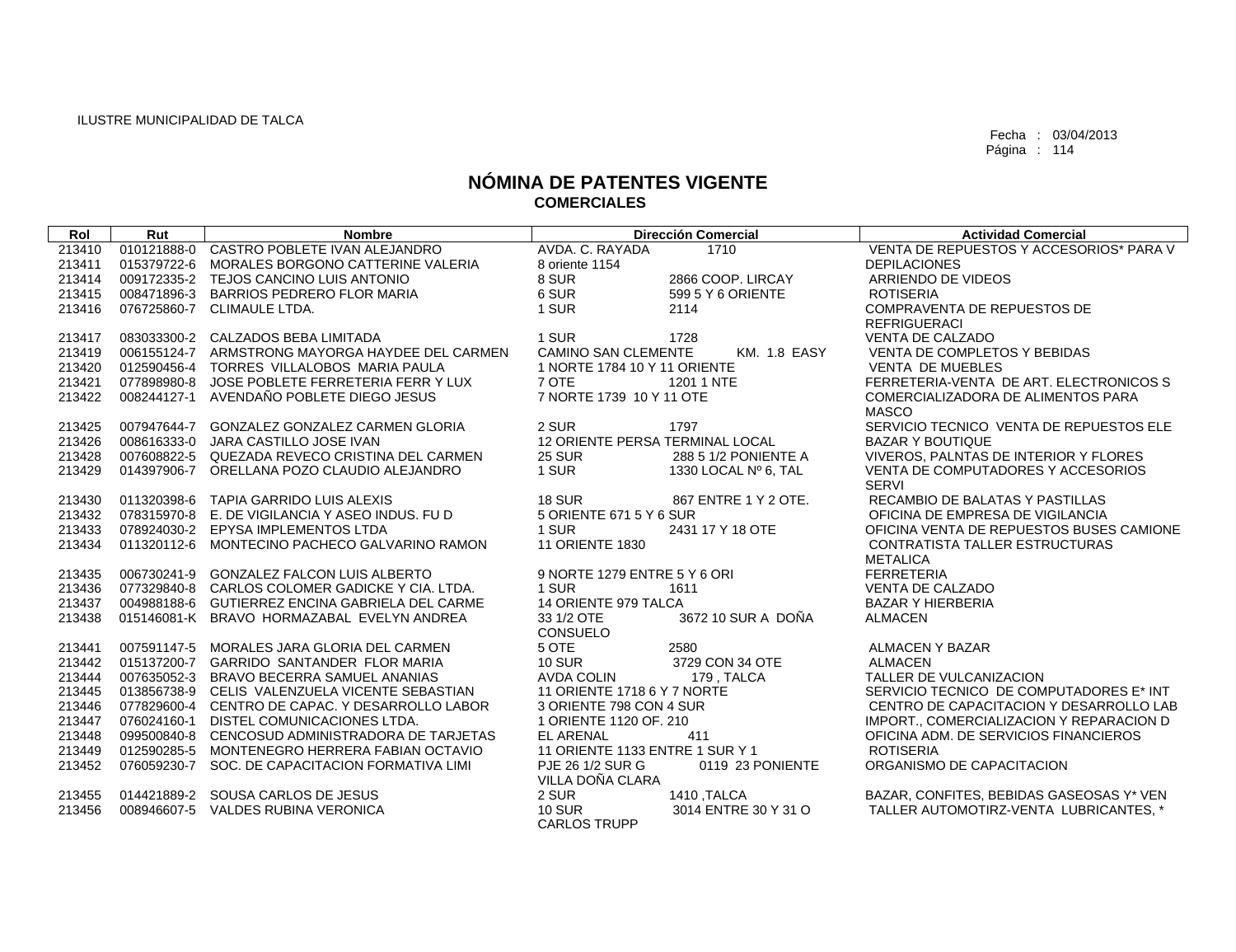| Rol    | Rut | <b>Nombre</b>                                   |                                 | <b>Dirección Comercial</b> | <b>Actividad Comercial</b>               |
|--------|-----|-------------------------------------------------|---------------------------------|----------------------------|------------------------------------------|
| 213410 |     | 010121888-0 CASTRO POBLETE IVAN ALEJANDRO       | AVDA, C. RAYADA                 | 1710                       | VENTA DE REPUESTOS Y ACCESORIOS* PARA V  |
| 213411 |     | 015379722-6 MORALES BORGONO CATTERINE VALERIA   | 8 oriente 1154                  |                            | <b>DEPILACIONES</b>                      |
| 213414 |     | 009172335-2 TEJOS CANCINO LUIS ANTONIO          | 8 SUR                           | 2866 COOP, LIRCAY          | ARRIENDO DE VIDEOS                       |
| 213415 |     | 008471896-3 BARRIOS PEDRERO FLOR MARIA          | 6 SUR                           | 599 5 Y 6 ORIENTE          | <b>ROTISERIA</b>                         |
| 213416 |     | 076725860-7 CLIMAULE LTDA.                      | 1 SUR                           | 2114                       | COMPRAVENTA DE REPUESTOS DE              |
|        |     |                                                 |                                 |                            | <b>REFRIGUERACI</b>                      |
| 213417 |     | 083033300-2 CALZADOS BEBA LIMITADA              | 1 SUR                           | 1728                       | <b>VENTA DE CALZADO</b>                  |
| 213419 |     | 006155124-7 ARMSTRONG MAYORGA HAYDEE DEL CARMEN | <b>CAMINO SAN CLEMENTE</b>      | <b>KM. 1.8 EASY</b>        | VENTA DE COMPLETOS Y BEBIDAS             |
| 213420 |     | 012590456-4 TORRES VILLALOBOS MARIA PAULA       | 1 NORTE 1784 10 Y 11 ORIENTE    |                            | <b>VENTA DE MUEBLES</b>                  |
| 213421 |     | 077898980-8 JOSE POBLETE FERRETERIA FERR Y LUX  | 7 OTE                           | 1201 1 NTE                 | FERRETERIA-VENTA DE ART. ELECTRONICOS S  |
| 213422 |     | 008244127-1 AVENDAÑO POBLETE DIEGO JESUS        | 7 NORTE 1739 10 Y 11 OTE        |                            | COMERCIALIZADORA DE ALIMENTOS PARA       |
|        |     |                                                 |                                 |                            | <b>MASCO</b>                             |
| 213425 |     | 007947644-7 GONZALEZ GONZALEZ CARMEN GLORIA     | 2 SUR                           | 1797                       | SERVICIO TECNICO VENTA DE REPUESTOS ELE  |
| 213426 |     | 008616333-0 JARA CASTILLO JOSE IVAN             | 12 ORIENTE PERSA TERMINAL LOCAL |                            | <b>BAZAR Y BOUTIQUE</b>                  |
| 213428 |     | 007608822-5 QUEZADA REVECO CRISTINA DEL CARMEN  | <b>25 SUR</b>                   | 288 5 1/2 PONIENTE A       | VIVEROS, PALNTAS DE INTERIOR Y FLORES    |
| 213429 |     | 014397906-7 ORELLANA POZO CLAUDIO ALEJANDRO     | 1 SUR                           | 1330 LOCAL Nº 6, TAL       | VENTA DE COMPUTADORES Y ACCESORIOS       |
|        |     |                                                 |                                 |                            | SERVI                                    |
| 213430 |     | 011320398-6 TAPIA GARRIDO LUIS ALEXIS           | 18 SUR                          | 867 ENTRE 1 Y 2 OTE.       | RECAMBIO DE BALATAS Y PASTILLAS          |
| 213432 |     | 078315970-8 E. DE VIGILANCIA Y ASEO INDUS. FU D | 5 ORIENTE 671 5 Y 6 SUR         |                            | OFICINA DE EMPRESA DE VIGILANCIA         |
| 213433 |     | 078924030-2 EPYSA IMPLEMENTOS LTDA              | 1 SUR                           | 2431 17 Y 18 OTE           | OFICINA VENTA DE REPUESTOS BUSES CAMIONE |
| 213434 |     | 011320112-6 MONTECINO PACHECO GALVARINO RAMON   | <b>11 ORIENTE 1830</b>          |                            | CONTRATISTA TALLER ESTRUCTURAS           |
|        |     |                                                 |                                 |                            | <b>METALICA</b>                          |
| 213435 |     | 006730241-9 GONZALEZ FALCON LUIS ALBERTO        | 9 NORTE 1279 ENTRE 5 Y 6 ORI    |                            | <b>FERRETERIA</b>                        |
| 213436 |     | 077329840-8 CARLOS COLOMER GADICKE Y CIA. LTDA. | 1 SUR                           | 1611                       | VENTA DE CALZADO                         |
| 213437 |     | 004988188-6 GUTIERREZ ENCINA GABRIELA DEL CARME | 14 ORIENTE 979 TALCA            |                            | <b>BAZAR Y HIERBERIA</b>                 |
| 213438 |     | 015146081-K BRAVO HORMAZABAL EVELYN ANDREA      | 33 1/2 OTE                      | 3672 10 SUR A DOÑA         | <b>ALMACEN</b>                           |
|        |     |                                                 | <b>CONSUELO</b>                 |                            |                                          |
| 213441 |     | 007591147-5 MORALES JARA GLORIA DEL CARMEN      | 5 OTE                           | 2580                       | ALMACEN Y BAZAR                          |
| 213442 |     | 015137200-7 GARRIDO SANTANDER FLOR MARIA        | <b>10 SUR</b>                   | 3729 CON 34 OTE            | <b>ALMACEN</b>                           |
| 213444 |     | 007635052-3 BRAVO BECERRA SAMUEL ANANIAS        | <b>AVDA COLIN</b>               | 179 . TALCA                | TALLER DE VULCANIZACION                  |
| 213445 |     | 013856738-9 CELIS VALENZUELA VICENTE SEBASTIAN  | 11 ORIENTE 1718 6 Y 7 NORTE     |                            | SERVICIO TECNICO DE COMPUTADORES E* INT  |
| 213446 |     | 077829600-4 CENTRO DE CAPAC. Y DESARROLLO LABOR | 3 ORIENTE 798 CON 4 SUR         |                            | CENTRO DE CAPACITACION Y DESARROLLO LAB  |
| 213447 |     | 076024160-1 DISTEL COMUNICACIONES LTDA.         | 1 ORIENTE 1120 OF, 210          |                            | IMPORT., COMERCIALIZACION Y REPARACION D |
| 213448 |     | 099500840-8 CENCOSUD ADMINISTRADORA DE TARJETAS | <b>EL ARENAL</b>                | 411                        | OFICINA ADM. DE SERVICIOS FINANCIEROS    |
| 213449 |     | 012590285-5 MONTENEGRO HERRERA FABIAN OCTAVIO   | 11 ORIENTE 1133 ENTRE 1 SUR Y 1 |                            | <b>ROTISERIA</b>                         |
| 213452 |     | 076059230-7 SOC. DE CAPACITACION FORMATIVA LIMI | PJE 26 1/2 SUR G                | 0119 23 PONIENTE           | ORGANISMO DE CAPACITACION                |
|        |     |                                                 | VILLA DOÑA CLARA                |                            |                                          |
| 213455 |     | 014421889-2 SOUSA CARLOS DE JESUS               | 2 SUR                           | 1410 .TALCA                | BAZAR, CONFITES, BEBIDAS GASEOSAS Y* VEN |
| 213456 |     | 008946607-5 VALDES RUBINA VERONICA              | <b>10 SUR</b>                   | 3014 ENTRE 30 Y 31 O       | TALLER AUTOMOTIRZ-VENTA LUBRICANTES. *   |
|        |     |                                                 | <b>CARLOS TRUPP</b>             |                            |                                          |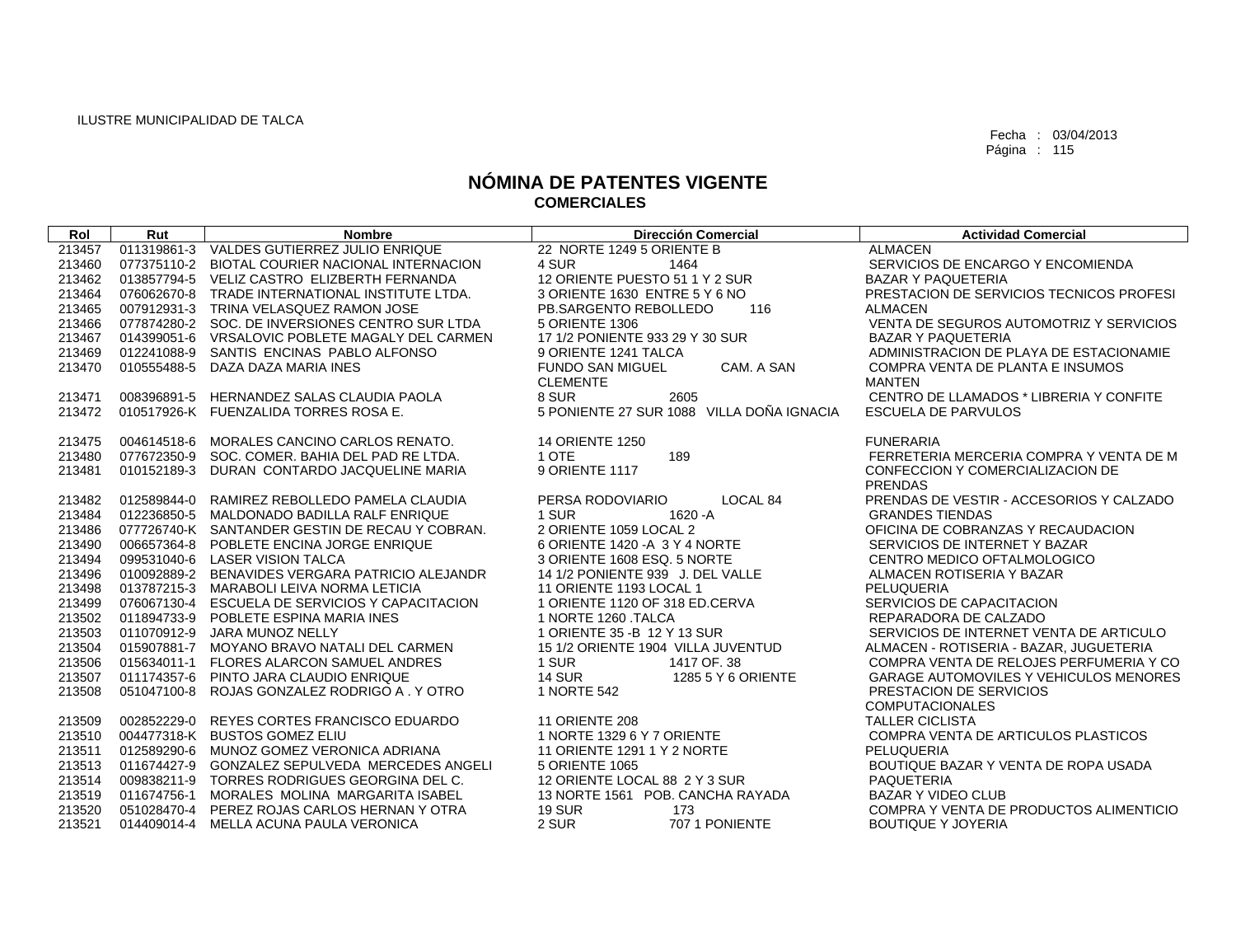| Rol    | Rut         | <b>Nombre</b>                                   | <b>Dirección Comercial</b>                | <b>Actividad Comercial</b>                    |
|--------|-------------|-------------------------------------------------|-------------------------------------------|-----------------------------------------------|
| 213457 |             | 011319861-3 VALDES GUTIERREZ JULIO ENRIQUE      | 22 NORTE 1249 5 ORIENTE B                 | <b>ALMACEN</b>                                |
| 213460 |             | 077375110-2 BIOTAL COURIER NACIONAL INTERNACION | 4 SUR<br>1464                             | SERVICIOS DE ENCARGO Y ENCOMIENDA             |
| 213462 |             | 013857794-5 VELIZ CASTRO ELIZBERTH FERNANDA     | 12 ORIENTE PUESTO 51 1 Y 2 SUR            | <b>BAZAR Y PAQUETERIA</b>                     |
| 213464 |             | 076062670-8 TRADE INTERNATIONAL INSTITUTE LTDA. | 3 ORIENTE 1630 ENTRE 5 Y 6 NO             | PRESTACION DE SERVICIOS TECNICOS PROFESI      |
| 213465 |             | 007912931-3 TRINA VELASQUEZ RAMON JOSE          | PB.SARGENTO REBOLLEDO<br>116              | <b>ALMACEN</b>                                |
| 213466 |             | 077874280-2 SOC. DE INVERSIONES CENTRO SUR LTDA | 5 ORIENTE 1306                            | VENTA DE SEGUROS AUTOMOTRIZ Y SERVICIOS       |
| 213467 | 014399051-6 | VRSALOVIC POBLETE MAGALY DEL CARMEN             | 17 1/2 PONIENTE 933 29 Y 30 SUR           | <b>BAZAR Y PAQUETERIA</b>                     |
| 213469 |             | 012241088-9 SANTIS ENCINAS PABLO ALFONSO        | 9 ORIENTE 1241 TALCA                      | ADMINISTRACION DE PLAYA DE ESTACIONAMIE       |
| 213470 |             | 010555488-5 DAZA DAZA MARIA INES                | <b>FUNDO SAN MIGUEL</b><br>CAM. A SAN     | COMPRA VENTA DE PLANTA E INSUMOS              |
|        |             |                                                 | <b>CLEMENTE</b>                           | <b>MANTEN</b>                                 |
| 213471 |             | 008396891-5 HERNANDEZ SALAS CLAUDIA PAOLA       | 8 SUR<br>2605                             | CENTRO DE LLAMADOS * LIBRERIA Y CONFITE       |
| 213472 |             | 010517926-K FUENZALIDA TORRES ROSA E.           | 5 PONIENTE 27 SUR 1088 VILLA DOÑA IGNACIA | <b>ESCUELA DE PARVULOS</b>                    |
|        |             |                                                 |                                           |                                               |
| 213475 | 004614518-6 | MORALES CANCINO CARLOS RENATO.                  | <b>14 ORIENTE 1250</b>                    | <b>FUNERARIA</b>                              |
| 213480 |             | 077672350-9 SOC. COMER. BAHIA DEL PAD RE LTDA.  | 1 OTE<br>189                              | FERRETERIA MERCERIA COMPRA Y VENTA DE M       |
| 213481 | 010152189-3 | DURAN CONTARDO JACQUELINE MARIA                 | 9 ORIENTE 1117                            | CONFECCION Y COMERCIALIZACION DE              |
|        |             |                                                 |                                           | <b>PRENDAS</b>                                |
| 213482 | 012589844-0 | RAMIREZ REBOLLEDO PAMELA CLAUDIA                | LOCAL 84<br>PERSA RODOVIARIO              | PRENDAS DE VESTIR - ACCESORIOS Y CALZADO      |
| 213484 |             | 012236850-5 MALDONADO BADILLA RALF ENRIQUE      | 1620 - A<br>1 SUR                         | <b>GRANDES TIENDAS</b>                        |
| 213486 |             | 077726740-K SANTANDER GESTIN DE RECAU Y COBRAN. | 2 ORIENTE 1059 LOCAL 2                    | OFICINA DE COBRANZAS Y RECAUDACION            |
| 213490 |             | 006657364-8 POBLETE ENCINA JORGE ENRIQUE        | 6 ORIENTE 1420 - A 3 Y 4 NORTE            | SERVICIOS DE INTERNET Y BAZAR                 |
| 213494 |             | 099531040-6 LASER VISION TALCA                  | 3 ORIENTE 1608 ESQ, 5 NORTE               | CENTRO MEDICO OFTALMOLOGICO                   |
| 213496 |             | 010092889-2 BENAVIDES VERGARA PATRICIO ALEJANDR | 14 1/2 PONIENTE 939 J. DEL VALLE          | ALMACEN ROTISERIA Y BAZAR                     |
| 213498 |             | 013787215-3 MARABOLI LEIVA NORMA LETICIA        | 11 ORIENTE 1193 LOCAL 1                   | PELUQUERIA                                    |
| 213499 |             | 076067130-4 ESCUELA DE SERVICIOS Y CAPACITACION | 1 ORIENTE 1120 OF 318 ED.CERVA            | SERVICIOS DE CAPACITACION                     |
| 213502 |             | 011894733-9 POBLETE ESPINA MARIA INES           | 1 NORTE 1260 TALCA                        | REPARADORA DE CALZADO                         |
| 213503 | 011070912-9 | JARA MUNOZ NELLY                                | 1 ORIENTE 35 - B 12 Y 13 SUR              | SERVICIOS DE INTERNET VENTA DE ARTICULO       |
| 213504 |             | 015907881-7 MOYANO BRAVO NATALI DEL CARMEN      | 15 1/2 ORIENTE 1904 VILLA JUVENTUD        | ALMACEN - ROTISERIA - BAZAR, JUGUETERIA       |
| 213506 | 015634011-1 | FLORES ALARCON SAMUEL ANDRES                    | 1 SUR<br>1417 OF, 38                      | COMPRA VENTA DE RELOJES PERFUMERIA Y CO       |
| 213507 |             | 011174357-6 PINTO JARA CLAUDIO ENRIQUE          | <b>14 SUR</b><br>1285 5 Y 6 ORIENTE       | <b>GARAGE AUTOMOVILES Y VEHICULOS MENORES</b> |
| 213508 |             | 051047100-8 ROJAS GONZALEZ RODRIGO A . Y OTRO   | 1 NORTE 542                               | PRESTACION DE SERVICIOS                       |
|        |             |                                                 |                                           | <b>COMPUTACIONALES</b>                        |
| 213509 |             | 002852229-0 REYES CORTES FRANCISCO EDUARDO      | <b>11 ORIENTE 208</b>                     | <b>TALLER CICLISTA</b>                        |
| 213510 |             | 004477318-K BUSTOS GOMEZ ELIU                   | 1 NORTE 1329 6 Y 7 ORIENTE                | COMPRA VENTA DE ARTICULOS PLASTICOS           |
| 213511 |             | 012589290-6 MUNOZ GOMEZ VERONICA ADRIANA        | 11 ORIENTE 1291 1 Y 2 NORTE               | PELUQUERIA                                    |
| 213513 | 011674427-9 | <b>GONZALEZ SEPULVEDA MERCEDES ANGELI</b>       | 5 ORIENTE 1065                            | BOUTIQUE BAZAR Y VENTA DE ROPA USADA          |
| 213514 | 009838211-9 | TORRES RODRIGUES GEORGINA DEL C.                | 12 ORIENTE LOCAL 88 2 Y 3 SUR             | <b>PAQUETERIA</b>                             |
| 213519 | 011674756-1 | MORALES MOLINA MARGARITA ISABEL                 | 13 NORTE 1561 POB. CANCHA RAYADA          | <b>BAZAR Y VIDEO CLUB</b>                     |
| 213520 |             | 051028470-4 PEREZ ROJAS CARLOS HERNAN Y OTRA    | <b>19 SUR</b><br>173                      | COMPRA Y VENTA DE PRODUCTOS ALIMENTICIO       |
| 213521 |             | 014409014-4 MELLA ACUNA PAULA VERONICA          | 2 SUR<br>707 1 PONIENTE                   | <b>BOUTIQUE Y JOYERIA</b>                     |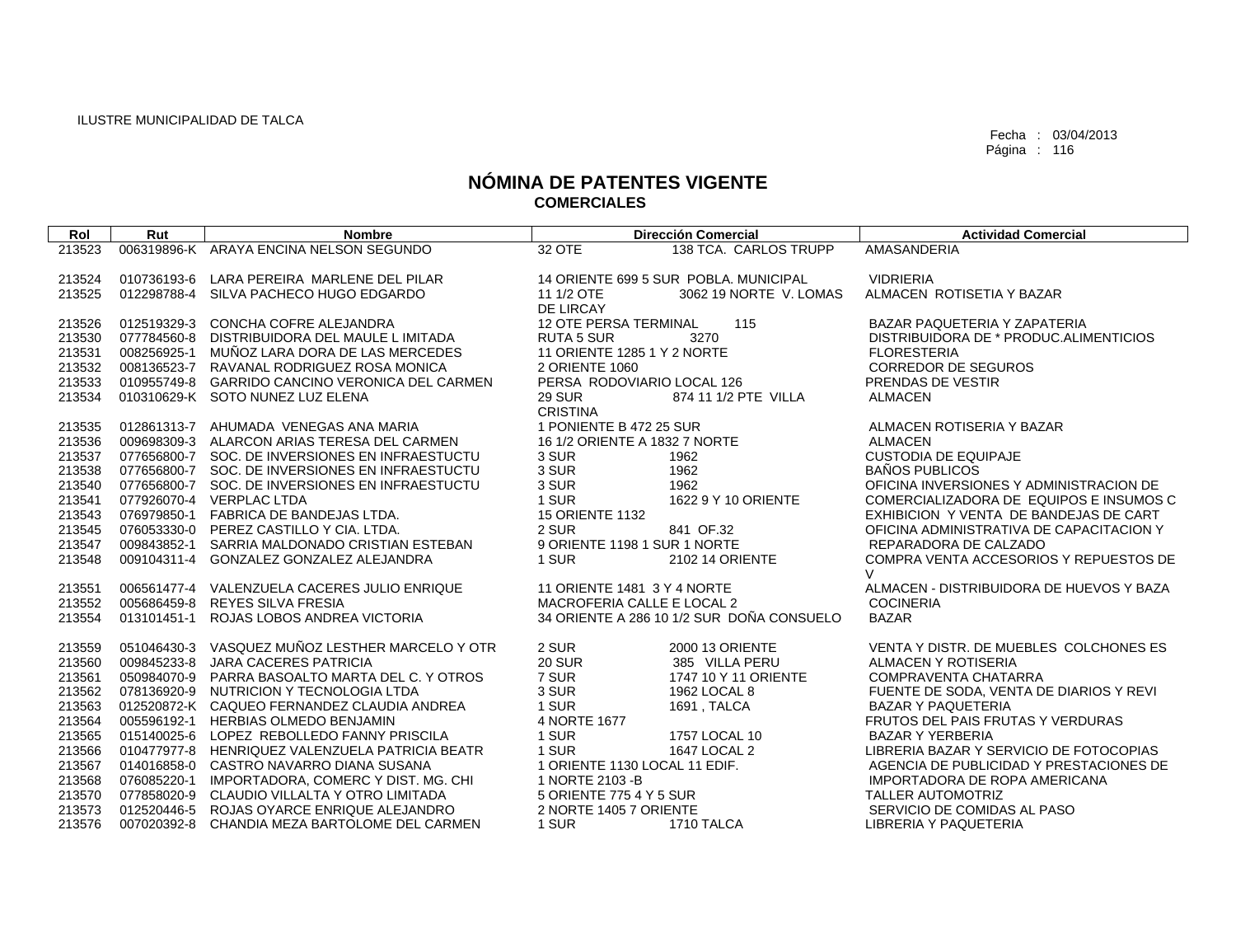| Rol    | Rut | <b>Nombre</b>                                   |                               | <b>Dirección Comercial</b>                | <b>Actividad Comercial</b>               |
|--------|-----|-------------------------------------------------|-------------------------------|-------------------------------------------|------------------------------------------|
| 213523 |     | 006319896-K ARAYA ENCINA NELSON SEGUNDO         | 32 OTE                        | 138 TCA. CARLOS TRUPP                     | AMASANDERIA                              |
|        |     |                                                 |                               |                                           |                                          |
| 213524 |     | 010736193-6 LARA PEREIRA MARLENE DEL PILAR      |                               | 14 ORIENTE 699 5 SUR POBLA, MUNICIPAL     | <b>VIDRIERIA</b>                         |
| 213525 |     | 012298788-4 SILVA PACHECO HUGO EDGARDO          | 11 1/2 OTE                    | 3062 19 NORTE V. LOMAS                    | ALMACEN ROTISETIA Y BAZAR                |
|        |     |                                                 | DE LIRCAY                     |                                           |                                          |
| 213526 |     | 012519329-3 CONCHA COFRE ALEJANDRA              | <b>12 OTE PERSA TERMINAL</b>  | 115                                       | BAZAR PAQUETERIA Y ZAPATERIA             |
| 213530 |     | 077784560-8 DISTRIBUIDORA DEL MAULE LIMITADA    | <b>RUTA 5 SUR</b>             | 3270                                      | DISTRIBUIDORA DE * PRODUC.ALIMENTICIOS   |
| 213531 |     | 008256925-1 MUÑOZ LARA DORA DE LAS MERCEDES     | 11 ORIENTE 1285 1 Y 2 NORTE   |                                           | <b>FLORESTERIA</b>                       |
| 213532 |     | 008136523-7 RAVANAL RODRIGUEZ ROSA MONICA       | 2 ORIENTE 1060                |                                           | <b>CORREDOR DE SEGUROS</b>               |
| 213533 |     | 010955749-8 GARRIDO CANCINO VERONICA DEL CARMEN | PERSA RODOVIARIO LOCAL 126    |                                           | PRENDAS DE VESTIR                        |
| 213534 |     | 010310629-K SOTO NUNEZ LUZ ELENA                | <b>29 SUR</b>                 | 874 11 1/2 PTE VILLA                      | <b>ALMACEN</b>                           |
|        |     |                                                 | <b>CRISTINA</b>               |                                           |                                          |
| 213535 |     | 012861313-7 AHUMADA VENEGAS ANA MARIA           | 1 PONIENTE B 472 25 SUR       |                                           | ALMACEN ROTISERIA Y BAZAR                |
| 213536 |     | 009698309-3 ALARCON ARIAS TERESA DEL CARMEN     | 16 1/2 ORIENTE A 1832 7 NORTE |                                           | <b>ALMACEN</b>                           |
| 213537 |     | 077656800-7 SOC. DE INVERSIONES EN INFRAESTUCTU | 3 SUR                         | 1962                                      | <b>CUSTODIA DE EQUIPAJE</b>              |
| 213538 |     | 077656800-7 SOC. DE INVERSIONES EN INFRAESTUCTU | 3 SUR                         | 1962                                      | <b>BAÑOS PUBLICOS</b>                    |
| 213540 |     | 077656800-7 SOC. DE INVERSIONES EN INFRAESTUCTU | 3 SUR                         | 1962                                      | OFICINA INVERSIONES Y ADMINISTRACION DE  |
| 213541 |     | 077926070-4 VERPLAC LTDA                        | 1 SUR                         | 1622 9 Y 10 ORIENTE                       | COMERCIALIZADORA DE EQUIPOS E INSUMOS C  |
| 213543 |     | 076979850-1 FABRICA DE BANDEJAS LTDA.           | <b>15 ORIENTE 1132</b>        |                                           | EXHIBICION Y VENTA DE BANDEJAS DE CART   |
| 213545 |     | 076053330-0 PEREZ CASTILLO Y CIA, LTDA.         | 2 SUR                         | 841 OF.32                                 | OFICINA ADMINISTRATIVA DE CAPACITACION Y |
| 213547 |     | 009843852-1 SARRIA MALDONADO CRISTIAN ESTEBAN   | 9 ORIENTE 1198 1 SUR 1 NORTE  |                                           | REPARADORA DE CALZADO                    |
| 213548 |     | 009104311-4 GONZALEZ GONZALEZ ALEJANDRA         | 1 SUR                         | 2102 14 ORIENTE                           | COMPRA VENTA ACCESORIOS Y REPUESTOS DE   |
|        |     |                                                 |                               |                                           | $\vee$                                   |
| 213551 |     | 006561477-4 VALENZUELA CACERES JULIO ENRIQUE    | 11 ORIENTE 1481 3 Y 4 NORTE   |                                           | ALMACEN - DISTRIBUIDORA DE HUEVOS Y BAZA |
| 213552 |     | 005686459-8 REYES SILVA FRESIA                  | MACROFERIA CALLE E LOCAL 2    |                                           | <b>COCINERIA</b>                         |
| 213554 |     | 013101451-1 ROJAS LOBOS ANDREA VICTORIA         |                               | 34 ORIENTE A 286 10 1/2 SUR DOÑA CONSUELO | <b>BAZAR</b>                             |
| 213559 |     | 051046430-3 VASQUEZ MUÑOZ LESTHER MARCELO Y OTR | 2 SUR                         | 2000 13 ORIENTE                           | VENTA Y DISTR. DE MUEBLES COLCHONES ES   |
| 213560 |     | 009845233-8 JARA CACERES PATRICIA               | <b>20 SUR</b>                 | 385 VILLA PERU                            | ALMACEN Y ROTISERIA                      |
| 213561 |     | 050984070-9 PARRA BASOALTO MARTA DEL C. Y OTROS | 7 SUR                         | 1747 10 Y 11 ORIENTE                      | COMPRAVENTA CHATARRA                     |
| 213562 |     | 078136920-9 NUTRICION Y TECNOLOGIA LTDA         | 3 SUR                         | 1962 LOCAL 8                              | FUENTE DE SODA, VENTA DE DIARIOS Y REVI  |
| 213563 |     | 012520872-K CAQUEO FERNANDEZ CLAUDIA ANDREA     | 1 SUR                         | 1691, TALCA                               | <b>BAZAR Y PAQUETERIA</b>                |
| 213564 |     | 005596192-1 HERBIAS OLMEDO BENJAMIN             | 4 NORTE 1677                  |                                           | FRUTOS DEL PAIS FRUTAS Y VERDURAS        |
| 213565 |     | 015140025-6 LOPEZ REBOLLEDO FANNY PRISCILA      | 1 SUR                         | 1757 LOCAL 10                             | <b>BAZAR Y YERBERIA</b>                  |
| 213566 |     | 010477977-8 HENRIQUEZ VALENZUELA PATRICIA BEATR | 1 SUR                         | 1647 LOCAL 2                              | LIBRERIA BAZAR Y SERVICIO DE FOTOCOPIAS  |
| 213567 |     | 014016858-0 CASTRO NAVARRO DIANA SUSANA         | 1 ORIENTE 1130 LOCAL 11 EDIF. |                                           | AGENCIA DE PUBLICIDAD Y PRESTACIONES DE  |
| 213568 |     | 076085220-1 IMPORTADORA, COMERC Y DIST. MG. CHI | 1 NORTE 2103 - B              |                                           | IMPORTADORA DE ROPA AMERICANA            |
| 213570 |     | 077858020-9 CLAUDIO VILLALTA Y OTRO LIMITADA    | 5 ORIENTE 775 4 Y 5 SUR       |                                           | <b>TALLER AUTOMOTRIZ</b>                 |
| 213573 |     | 012520446-5 ROJAS OYARCE ENRIQUE ALEJANDRO      | 2 NORTE 1405 7 ORIENTE        |                                           | SERVICIO DE COMIDAS AL PASO              |
| 213576 |     | 007020392-8 CHANDIA MEZA BARTOLOME DEL CARMEN   | 1 SUR                         | 1710 TALCA                                | LIBRERIA Y PAQUETERIA                    |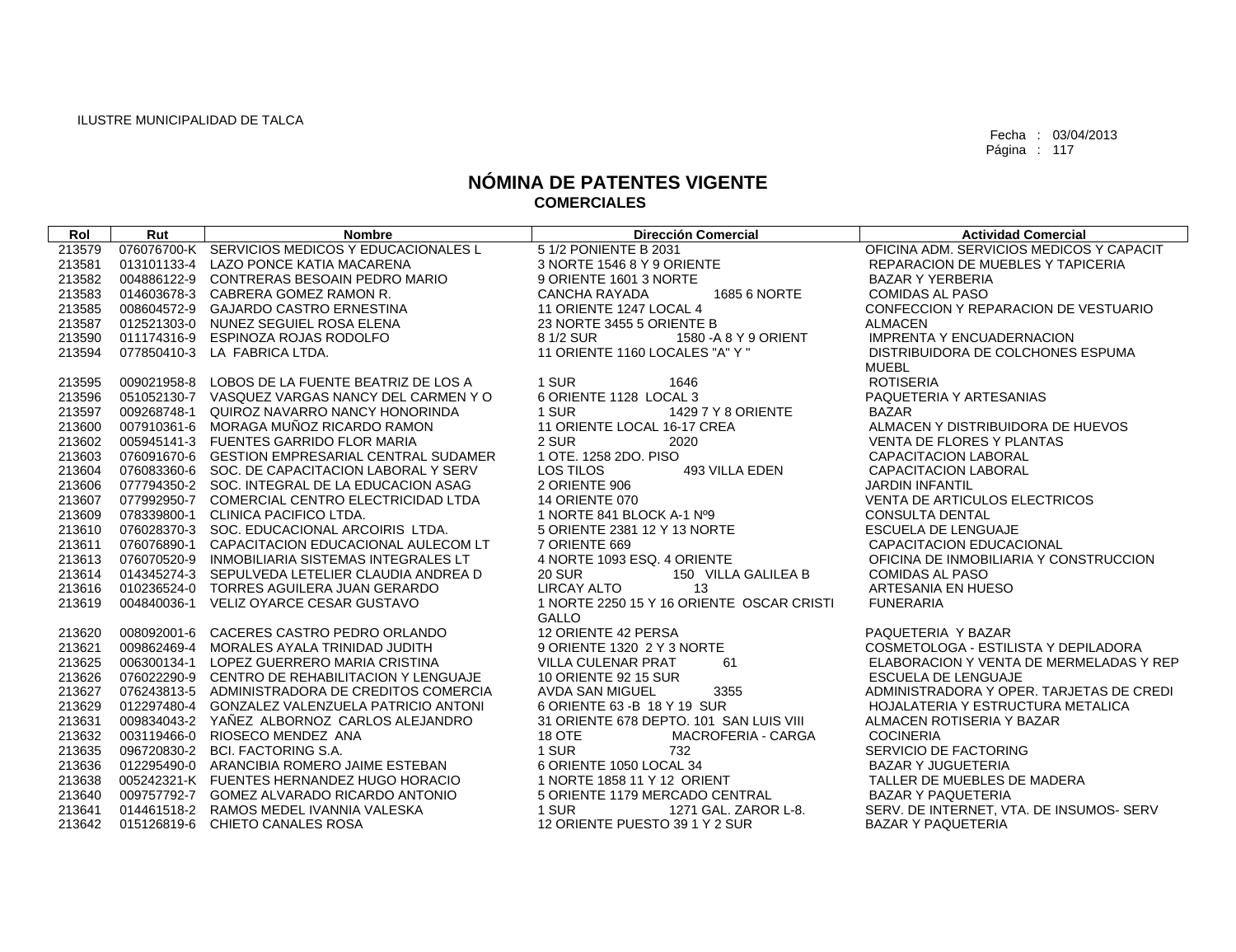| Rol    | Rut | <b>Nombre</b>                                   | <b>Dirección Comercial</b>                | <b>Actividad Comercial</b>               |
|--------|-----|-------------------------------------------------|-------------------------------------------|------------------------------------------|
| 213579 |     | 076076700-K SERVICIOS MEDICOS Y EDUCACIONALES L | 5 1/2 PONIENTE B 2031                     | OFICINA ADM. SERVICIOS MEDICOS Y CAPACIT |
| 213581 |     | 013101133-4 LAZO PONCE KATIA MACARENA           | 3 NORTE 1546 8 Y 9 ORIENTE                | REPARACION DE MUEBLES Y TAPICERIA        |
| 213582 |     | 004886122-9 CONTRERAS BESOAIN PEDRO MARIO       | 9 ORIENTE 1601 3 NORTE                    | <b>BAZAR Y YERBERIA</b>                  |
| 213583 |     | 014603678-3 CABRERA GOMEZ RAMON R.              | 1685 6 NORTE<br>CANCHA RAYADA             | <b>COMIDAS AL PASO</b>                   |
| 213585 |     | 008604572-9 GAJARDO CASTRO ERNESTINA            | 11 ORIENTE 1247 LOCAL 4                   | CONFECCION Y REPARACION DE VESTUARIO     |
| 213587 |     | 012521303-0 NUNEZ SEGUIEL ROSA ELENA            | 23 NORTE 3455 5 ORIENTE B                 | ALMACEN                                  |
|        |     | 213590 011174316-9 ESPINOZA ROJAS RODOLFO       | 8 1/2 SUR<br>1580 - A 8 Y 9 ORIENT        | <b>IMPRENTA Y ENCUADERNACION</b>         |
| 213594 |     | 077850410-3 LA FABRICA LTDA.                    | 11 ORIENTE 1160 LOCALES "A" Y "           | DISTRIBUIDORA DE COLCHONES ESPUMA        |
|        |     |                                                 |                                           | <b>MUEBL</b>                             |
| 213595 |     | 009021958-8 LOBOS DE LA FUENTE BEATRIZ DE LOS A | 1 SUR<br>1646                             | <b>ROTISERIA</b>                         |
| 213596 |     | 051052130-7 VASQUEZ VARGAS NANCY DEL CARMEN Y O | 6 ORIENTE 1128 LOCAL 3                    | PAQUETERIA Y ARTESANIAS                  |
| 213597 |     | 009268748-1 QUIROZ NAVARRO NANCY HONORINDA      | 1 SUR<br>1429 7 Y 8 ORIENTE               | <b>BAZAR</b>                             |
|        |     | 213600 007910361-6 MORAGA MUÑOZ RICARDO RAMON   | 11 ORIENTE LOCAL 16-17 CREA               | ALMACEN Y DISTRIBUIDORA DE HUEVOS        |
| 213602 |     | 005945141-3 FUENTES GARRIDO FLOR MARIA          | 2 SUR<br>2020                             | VENTA DE FLORES Y PLANTAS                |
| 213603 |     | 076091670-6 GESTION EMPRESARIAL CENTRAL SUDAMER | 1 OTE, 1258 2DO, PISO                     | <b>CAPACITACION LABORAL</b>              |
| 213604 |     | 076083360-6 SOC. DE CAPACITACION LABORAL Y SERV | LOS TILOS<br>493 VILLA EDEN               | CAPACITACION LABORAL                     |
| 213606 |     | 077794350-2 SOC. INTEGRAL DE LA EDUCACION ASAG  | 2 ORIENTE 906                             | <b>JARDIN INFANTIL</b>                   |
| 213607 |     | 077992950-7 COMERCIAL CENTRO ELECTRICIDAD LTDA  | <b>14 ORIENTE 070</b>                     | VENTA DE ARTICULOS ELECTRICOS            |
| 213609 |     | 078339800-1 CLINICA PACIFICO LTDA.              | 1 NORTE 841 BLOCK A-1 Nº9                 | <b>CONSULTA DENTAL</b>                   |
| 213610 |     | 076028370-3 SOC. EDUCACIONAL ARCOIRIS LTDA.     | 5 ORIENTE 2381 12 Y 13 NORTE              | <b>ESCUELA DE LENGUAJE</b>               |
| 213611 |     | 076076890-1 CAPACITACION EDUCACIONAL AULECOM LT | 7 ORIENTE 669                             | CAPACITACION EDUCACIONAL                 |
| 213613 |     | 076070520-9 INMOBILIARIA SISTEMAS INTEGRALES LT | 4 NORTE 1093 ESQ. 4 ORIENTE               | OFICINA DE INMOBILIARIA Y CONSTRUCCION   |
| 213614 |     | 014345274-3 SEPULVEDA LETELIER CLAUDIA ANDREA D | <b>20 SUR</b><br>150 VILLA GALILEA B      | <b>COMIDAS AL PASO</b>                   |
|        |     | 213616 010236524-0 TORRES AGUILERA JUAN GERARDO | <b>LIRCAY ALTO</b><br>13                  | ARTESANIA EN HUESO                       |
| 213619 |     | 004840036-1 VELIZ OYARCE CESAR GUSTAVO          | 1 NORTE 2250 15 Y 16 ORIENTE OSCAR CRISTI | <b>FUNERARIA</b>                         |
|        |     |                                                 | GALLO                                     |                                          |
| 213620 |     | 008092001-6 CACERES CASTRO PEDRO ORLANDO        | 12 ORIENTE 42 PERSA                       | PAQUETERIA Y BAZAR                       |
| 213621 |     | 009862469-4 MORALES AYALA TRINIDAD JUDITH       | 9 ORIENTE 1320 2 Y 3 NORTE                | COSMETOLOGA - ESTILISTA Y DEPILADORA     |
| 213625 |     | 006300134-1 LOPEZ GUERRERO MARIA CRISTINA       | 61<br>VILLA CULENAR PRAT                  | ELABORACION Y VENTA DE MERMELADAS Y REP  |
| 213626 |     | 076022290-9 CENTRO DE REHABILITACION Y LENGUAJE | 10 ORIENTE 92 15 SUR                      | ESCUELA DE LENGUAJE                      |
| 213627 |     | 076243813-5 ADMINISTRADORA DE CREDITOS COMERCIA | AVDA SAN MIGUEL<br>3355                   | ADMINISTRADORA Y OPER. TARJETAS DE CREDI |
| 213629 |     | 012297480-4 GONZALEZ VALENZUELA PATRICIO ANTONI | 6 ORIENTE 63 - B 18 Y 19 SUR              | HOJALATERIA Y ESTRUCTURA METALICA        |
| 213631 |     | 009834043-2 YAÑEZ ALBORNOZ CARLOS ALEJANDRO     | 31 ORIENTE 678 DEPTO, 101 SAN LUIS VIII   | ALMACEN ROTISERIA Y BAZAR                |
| 213632 |     | 003119466-0 RIOSECO MENDEZ ANA                  | 18 OTE<br>MACROFERIA - CARGA              | <b>COCINERIA</b>                         |
| 213635 |     | 096720830-2 BCI. FACTORING S.A.                 | 1 SUR<br>732                              | SERVICIO DE FACTORING                    |
| 213636 |     | 012295490-0 ARANCIBIA ROMERO JAIME ESTEBAN      | 6 ORIENTE 1050 LOCAL 34                   | <b>BAZAR Y JUGUETERIA</b>                |
| 213638 |     | 005242321-K FUENTES HERNANDEZ HUGO HORACIO      | 1 NORTE 1858 11 Y 12 ORIENT               | TALLER DE MUEBLES DE MADERA              |
| 213640 |     | 009757792-7 GOMEZ ALVARADO RICARDO ANTONIO      | 5 ORIENTE 1179 MERCADO CENTRAL            | <b>BAZAR Y PAQUETERIA</b>                |
| 213641 |     | 014461518-2 RAMOS MEDEL IVANNIA VALESKA         | 1 SUR<br>1271 GAL. ZAROR L-8.             | SERV. DE INTERNET, VTA. DE INSUMOS- SERV |
| 213642 |     | 015126819-6 CHIETO CANALES ROSA                 | 12 ORIENTE PUESTO 39 1 Y 2 SUR            | <b>BAZAR Y PAQUETERIA</b>                |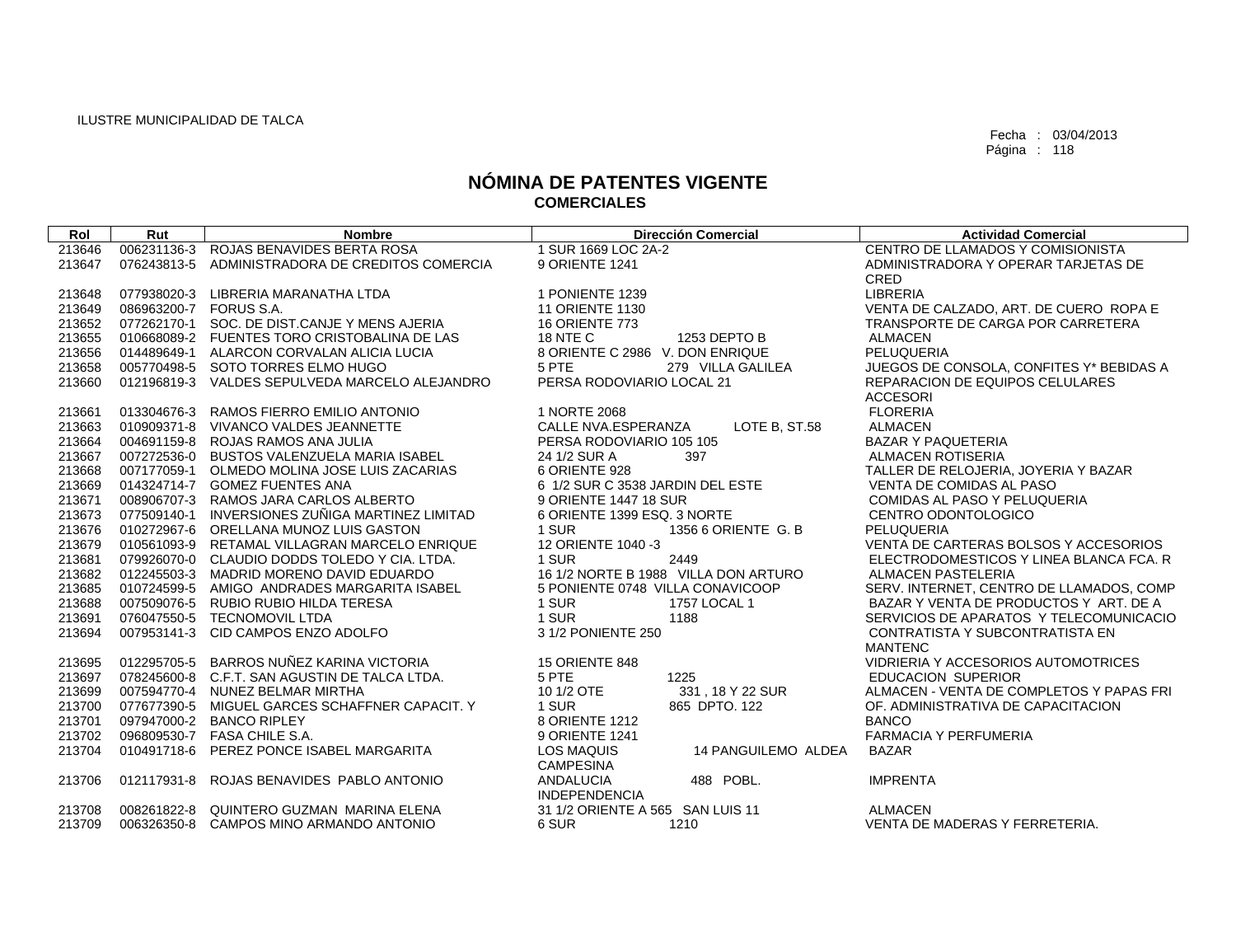| Rol    | Rut                    | <b>Nombre</b>                                   | <b>Dirección Comercial</b>                                   | <b>Actividad Comercial</b>               |
|--------|------------------------|-------------------------------------------------|--------------------------------------------------------------|------------------------------------------|
| 213646 | 006231136-3            | ROJAS BENAVIDES BERTA ROSA                      | 1 SUR 1669 LOC 2A-2                                          | CENTRO DE LLAMADOS Y COMISIONISTA        |
| 213647 | 076243813-5            | ADMINISTRADORA DE CREDITOS COMERCIA             | 9 ORIENTE 1241                                               | ADMINISTRADORA Y OPERAR TARJETAS DE      |
|        |                        |                                                 |                                                              | CRED                                     |
| 213648 | 077938020-3            | LIBRERIA MARANATHA LTDA                         | 1 PONIENTE 1239                                              | <b>LIBRERIA</b>                          |
| 213649 | 086963200-7 FORUS S.A. |                                                 | <b>11 ORIENTE 1130</b>                                       | VENTA DE CALZADO, ART. DE CUERO ROPA E   |
| 213652 |                        | 077262170-1 SOC. DE DIST.CANJE Y MENS AJERIA    | <b>16 ORIENTE 773</b>                                        | TRANSPORTE DE CARGA POR CARRETERA        |
| 213655 |                        | 010668089-2 FUENTES TORO CRISTOBALINA DE LAS    | <b>18 NTE C</b><br>1253 DEPTO B                              | <b>ALMACEN</b>                           |
| 213656 |                        | 014489649-1 ALARCON CORVALAN ALICIA LUCIA       | 8 ORIENTE C 2986 V. DON ENRIQUE                              | PELUQUERIA                               |
| 213658 |                        | 005770498-5 SOTO TORRES ELMO HUGO               | 5 PTE<br>279 VILLA GALILEA                                   | JUEGOS DE CONSOLA, CONFITES Y* BEBIDAS A |
| 213660 |                        | 012196819-3 VALDES SEPULVEDA MARCELO ALEJANDRO  | PERSA RODOVIARIO LOCAL 21                                    | REPARACION DE EQUIPOS CELULARES          |
|        |                        |                                                 |                                                              | <b>ACCESORI</b>                          |
| 213661 |                        | 013304676-3 RAMOS FIERRO EMILIO ANTONIO         | 1 NORTE 2068                                                 | <b>FLORERIA</b>                          |
| 213663 |                        | 010909371-8 VIVANCO VALDES JEANNETTE            | CALLE NVA.ESPERANZA<br>LOTE B, ST.58                         | <b>ALMACEN</b>                           |
| 213664 | 004691159-8            | ROJAS RAMOS ANA JULIA                           | PERSA RODOVIARIO 105 105                                     | <b>BAZAR Y PAQUETERIA</b>                |
| 213667 |                        | 007272536-0 BUSTOS VALENZUELA MARIA ISABEL      | 24 1/2 SUR A<br>397                                          | <b>ALMACEN ROTISERIA</b>                 |
| 213668 |                        | 007177059-1 OLMEDO MOLINA JOSE LUIS ZACARIAS    | 6 ORIENTE 928                                                | TALLER DE RELOJERIA, JOYERIA Y BAZAR     |
| 213669 |                        | 014324714-7 GOMEZ FUENTES ANA                   | 6 1/2 SUR C 3538 JARDIN DEL ESTE                             | VENTA DE COMIDAS AL PASO                 |
| 213671 |                        | 008906707-3 RAMOS JARA CARLOS ALBERTO           | 9 ORIENTE 1447 18 SUR                                        | COMIDAS AL PASO Y PELUQUERIA             |
| 213673 |                        | 077509140-1 INVERSIONES ZUÑIGA MARTINEZ LIMITAD | 6 ORIENTE 1399 ESQ, 3 NORTE                                  | CENTRO ODONTOLOGICO                      |
| 213676 |                        | 010272967-6 ORELLANA MUNOZ LUIS GASTON          | 1 SUR<br>1356 6 ORIENTE G. B                                 | PELUQUERIA                               |
| 213679 | 010561093-9            | RETAMAL VILLAGRAN MARCELO ENRIQUE               | 12 ORIENTE 1040 -3                                           | VENTA DE CARTERAS BOLSOS Y ACCESORIOS    |
| 213681 |                        | 079926070-0 CLAUDIO DODDS TOLEDO Y CIA. LTDA.   | 1 SUR<br>2449                                                | ELECTRODOMESTICOS Y LINEA BLANCA FCA. R  |
| 213682 |                        | 012245503-3 MADRID MORENO DAVID EDUARDO         | 16 1/2 NORTE B 1988 VILLA DON ARTURO                         | <b>ALMACEN PASTELERIA</b>                |
| 213685 |                        | 010724599-5 AMIGO ANDRADES MARGARITA ISABEL     | 5 PONIENTE 0748 VILLA CONAVICOOP                             | SERV. INTERNET, CENTRO DE LLAMADOS, COMP |
| 213688 | 007509076-5            | <b>RUBIO RUBIO HILDA TERESA</b>                 | 1 SUR<br>1757 LOCAL 1                                        | BAZAR Y VENTA DE PRODUCTOS Y ART. DE A   |
| 213691 |                        | 076047550-5 TECNOMOVIL LTDA                     | 1 SUR<br>1188                                                | SERVICIOS DE APARATOS Y TELECOMUNICACIO  |
| 213694 | 007953141-3            | CID CAMPOS ENZO ADOLFO                          | 3 1/2 PONIENTE 250                                           | CONTRATISTA Y SUBCONTRATISTA EN          |
|        |                        |                                                 |                                                              | <b>MANTENC</b>                           |
| 213695 |                        | 012295705-5 BARROS NUÑEZ KARINA VICTORIA        | <b>15 ORIENTE 848</b>                                        | VIDRIERIA Y ACCESORIOS AUTOMOTRICES      |
| 213697 |                        | 078245600-8 C.F.T. SAN AGUSTIN DE TALCA LTDA.   | 5 PTE<br>1225                                                | EDUCACION SUPERIOR                       |
| 213699 |                        | 007594770-4 NUNEZ BELMAR MIRTHA                 | 10 1/2 OTE<br>331, 18 Y 22 SUR                               | ALMACEN - VENTA DE COMPLETOS Y PAPAS FRI |
| 213700 |                        | 077677390-5 MIGUEL GARCES SCHAFFNER CAPACIT. Y  | 1 SUR<br>865 DPTO. 122                                       | OF. ADMINISTRATIVA DE CAPACITACION       |
| 213701 |                        | 097947000-2 BANCO RIPLEY                        | 8 ORIENTE 1212                                               | <b>BANCO</b>                             |
| 213702 |                        | 096809530-7 FASA CHILE S.A.                     | 9 ORIENTE 1241                                               | <b>FARMACIA Y PERFUMERIA</b>             |
| 213704 | 010491718-6            | PEREZ PONCE ISABEL MARGARITA                    | <b>LOS MAQUIS</b><br>14 PANGUILEMO ALDEA<br><b>CAMPESINA</b> | <b>BAZAR</b>                             |
| 213706 | 012117931-8            | ROJAS BENAVIDES PABLO ANTONIO                   | 488 POBL.<br>ANDALUCIA<br><b>INDEPENDENCIA</b>               | <b>IMPRENTA</b>                          |
| 213708 |                        | 008261822-8 QUINTERO GUZMAN MARINA ELENA        | 31 1/2 ORIENTE A 565 SAN LUIS 11                             | <b>ALMACEN</b>                           |
| 213709 |                        | 006326350-8 CAMPOS MINO ARMANDO ANTONIO         | 6 SUR<br>1210                                                | VENTA DE MADERAS Y FERRETERIA.           |
|        |                        |                                                 |                                                              |                                          |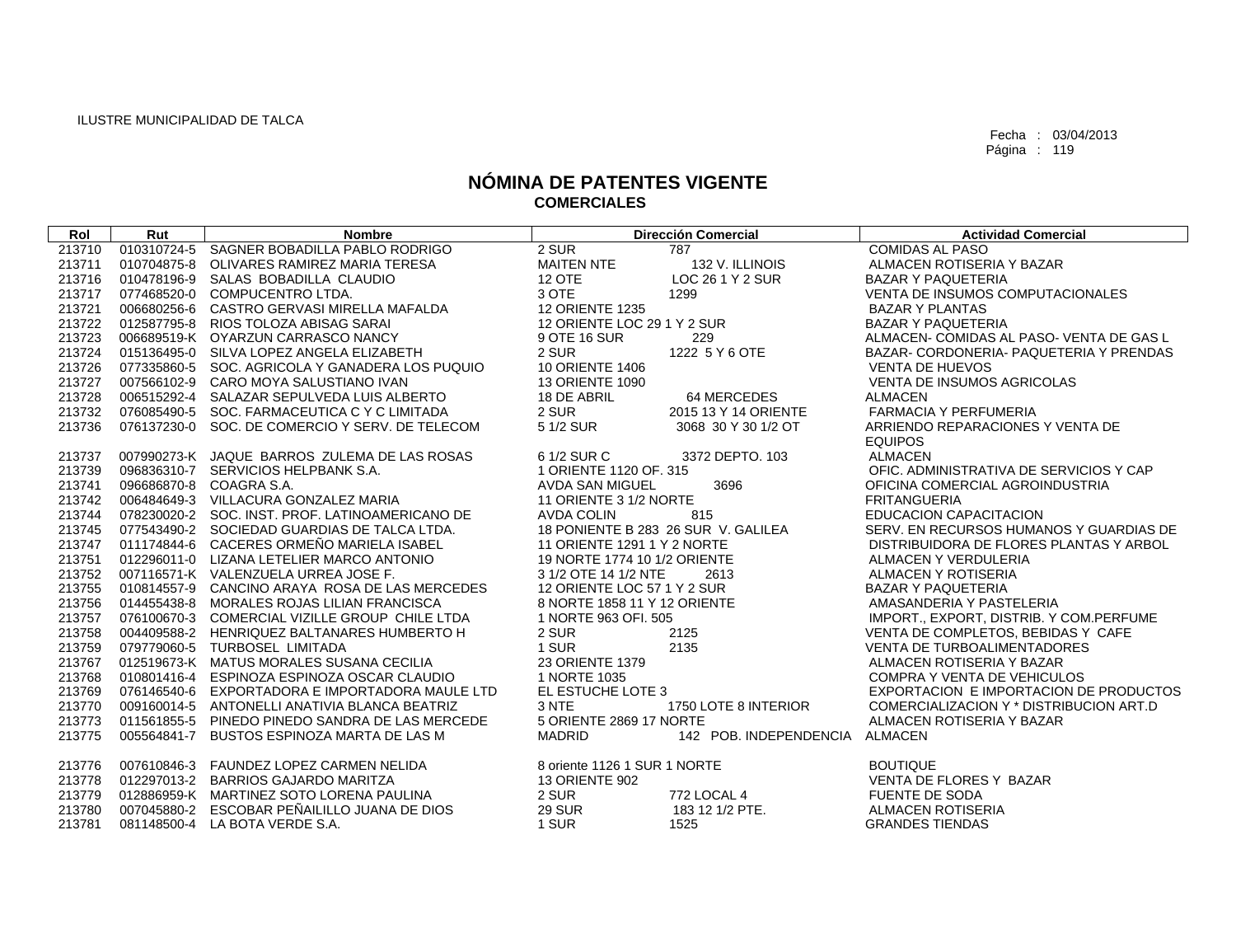| Rol    | Rut | <b>Nombre</b>                                   |                              | <b>Dirección Comercial</b>          | <b>Actividad Comercial</b>               |
|--------|-----|-------------------------------------------------|------------------------------|-------------------------------------|------------------------------------------|
| 213710 |     | 010310724-5 SAGNER BOBADILLA PABLO RODRIGO      | 2 SUR                        | 787                                 | <b>COMIDAS AL PASO</b>                   |
| 213711 |     | 010704875-8 OLIVARES RAMIREZ MARIA TERESA       | <b>MAITEN NTE</b>            | 132 V. ILLINOIS                     | ALMACEN ROTISERIA Y BAZAR                |
| 213716 |     | 010478196-9 SALAS BOBADILLA CLAUDIO             | <b>12 OTE</b>                | LOC 26 1 Y 2 SUR                    | <b>BAZAR Y PAQUETERIA</b>                |
| 213717 |     | 077468520-0 COMPUCENTRO LTDA.                   | 3 OTE                        | 1299                                | <b>VENTA DE INSUMOS COMPUTACIONALES</b>  |
| 213721 |     | 006680256-6 CASTRO GERVASI MIRELLA MAFALDA      | <b>12 ORIENTE 1235</b>       |                                     | <b>BAZAR Y PLANTAS</b>                   |
| 213722 |     | 012587795-8 RIOS TOLOZA ABISAG SARAI            | 12 ORIENTE LOC 29 1 Y 2 SUR  |                                     | <b>BAZAR Y PAQUETERIA</b>                |
| 213723 |     | 006689519-K OYARZUN CARRASCO NANCY              | 9 OTE 16 SUR                 | 229                                 | ALMACEN- COMIDAS AL PASO- VENTA DE GAS L |
| 213724 |     | 015136495-0 SILVA LOPEZ ANGELA ELIZABETH        | 2 SUR                        | 1222 5 Y 6 OTE                      | BAZAR- CORDONERIA- PAQUETERIA Y PRENDAS  |
| 213726 |     | 077335860-5 SOC. AGRICOLA Y GANADERA LOS PUQUIO | <b>10 ORIENTE 1406</b>       |                                     | <b>VENTA DE HUEVOS</b>                   |
| 213727 |     | 007566102-9 CARO MOYA SALUSTIANO IVAN           | <b>13 ORIENTE 1090</b>       |                                     | <b>VENTA DE INSUMOS AGRICOLAS</b>        |
| 213728 |     | 006515292-4 SALAZAR SEPULVEDA LUIS ALBERTO      | 18 DE ABRIL                  | 64 MERCEDES                         | <b>ALMACEN</b>                           |
| 213732 |     | 076085490-5 SOC. FARMACEUTICA C Y C LIMITADA    | 2 SUR                        | 2015 13 Y 14 ORIENTE                | <b>FARMACIA Y PERFUMERIA</b>             |
| 213736 |     | 076137230-0 SOC, DE COMERCIO Y SERV, DE TELECOM | 5 1/2 SUR                    | 3068 30 Y 30 1/2 OT                 | ARRIENDO REPARACIONES Y VENTA DE         |
|        |     |                                                 |                              |                                     | <b>EQUIPOS</b>                           |
| 213737 |     | 007990273-K JAQUE BARROS ZULEMA DE LAS ROSAS    | 6 1/2 SUR C                  | 3372 DEPTO. 103                     | <b>ALMACEN</b>                           |
| 213739 |     | 096836310-7 SERVICIOS HELPBANK S.A.             | 1 ORIENTE 1120 OF, 315       |                                     | OFIC. ADMINISTRATIVA DE SERVICIOS Y CAP  |
| 213741 |     | 096686870-8 COAGRA S.A.                         | AVDA SAN MIGUEL              | 3696                                | OFICINA COMERCIAL AGROINDUSTRIA          |
| 213742 |     | 006484649-3 VILLACURA GONZALEZ MARIA            | 11 ORIENTE 3 1/2 NORTE       |                                     | <b>FRITANGUERIA</b>                      |
| 213744 |     | 078230020-2 SOC. INST. PROF. LATINOAMERICANO DE | <b>AVDA COLIN</b>            | 815                                 | <b>EDUCACION CAPACITACION</b>            |
| 213745 |     | 077543490-2 SOCIEDAD GUARDIAS DE TALCA LTDA.    |                              | 18 PONIENTE B 283 26 SUR V. GALILEA | SERV. EN RECURSOS HUMANOS Y GUARDIAS DE  |
| 213747 |     | 011174844-6 CACERES ORMEÑO MARIELA ISABEL       | 11 ORIENTE 1291 1 Y 2 NORTE  |                                     | DISTRIBUIDORA DE FLORES PLANTAS Y ARBOL  |
| 213751 |     | 012296011-0 LIZANA LETELIER MARCO ANTONIO       | 19 NORTE 1774 10 1/2 ORIENTE |                                     | ALMACEN Y VERDULERIA                     |
| 213752 |     | 007116571-K VALENZUELA URREA JOSE F.            | 3 1/2 OTE 14 1/2 NTE         | 2613                                | ALMACEN Y ROTISERIA                      |
| 213755 |     | 010814557-9 CANCINO ARAYA ROSA DE LAS MERCEDES  | 12 ORIENTE LOC 57 1 Y 2 SUR  |                                     | <b>BAZAR Y PAQUETERIA</b>                |
| 213756 |     | 014455438-8 MORALES ROJAS LILIAN FRANCISCA      | 8 NORTE 1858 11 Y 12 ORIENTE |                                     | AMASANDERIA Y PASTELERIA                 |
| 213757 |     | 076100670-3 COMERCIAL VIZILLE GROUP CHILE LTDA  | 1 NORTE 963 OFI, 505         |                                     | IMPORT., EXPORT, DISTRIB. Y COM.PERFUME  |
| 213758 |     | 004409588-2 HENRIQUEZ BALTANARES HUMBERTO H     | 2 SUR                        | 2125                                | VENTA DE COMPLETOS, BEBIDAS Y CAFE       |
| 213759 |     | 079779060-5 TURBOSEL LIMITADA                   | 1 SUR                        | 2135                                | <b>VENTA DE TURBOALIMENTADORES</b>       |
| 213767 |     | 012519673-K MATUS MORALES SUSANA CECILIA        | 23 ORIENTE 1379              |                                     | ALMACEN ROTISERIA Y BAZAR                |
| 213768 |     | 010801416-4 ESPINOZA ESPINOZA OSCAR CLAUDIO     | 1 NORTE 1035                 |                                     | <b>COMPRA Y VENTA DE VEHICULOS</b>       |
| 213769 |     | 076146540-6 EXPORTADORA E IMPORTADORA MAULE LTD | EL ESTUCHE LOTE 3            |                                     | EXPORTACION E IMPORTACION DE PRODUCTOS   |
| 213770 |     | 009160014-5 ANTONELLI ANATIVIA BLANCA BEATRIZ   | 3 NTE                        | 1750 LOTE 8 INTERIOR                | COMERCIALIZACION Y * DISTRIBUCION ART.D  |
| 213773 |     | 011561855-5 PINEDO PINEDO SANDRA DE LAS MERCEDE | 5 ORIENTE 2869 17 NORTE      |                                     | ALMACEN ROTISERIA Y BAZAR                |
| 213775 |     | 005564841-7 BUSTOS ESPINOZA MARTA DE LAS M      | <b>MADRID</b>                | 142 POB. INDEPENDENCIA              | <b>ALMACEN</b>                           |
|        |     |                                                 |                              |                                     |                                          |
| 213776 |     | 007610846-3 FAUNDEZ LOPEZ CARMEN NELIDA         | 8 oriente 1126 1 SUR 1 NORTE |                                     | <b>BOUTIQUE</b>                          |
| 213778 |     | 012297013-2 BARRIOS GAJARDO MARITZA             | <b>13 ORIENTE 902</b>        |                                     | VENTA DE FLORES Y BAZAR                  |
| 213779 |     | 012886959-K MARTINEZ SOTO LORENA PAULINA        | 2 SUR                        | <b>772 LOCAL 4</b>                  | <b>FUENTE DE SODA</b>                    |
| 213780 |     | 007045880-2 ESCOBAR PEÑAILILLO JUANA DE DIOS    | <b>29 SUR</b>                | 183 12 1/2 PTE.                     | ALMACEN ROTISERIA                        |
| 213781 |     | 081148500-4 LA BOTA VERDE S.A.                  | 1 SUR                        | 1525                                | <b>GRANDES TIENDAS</b>                   |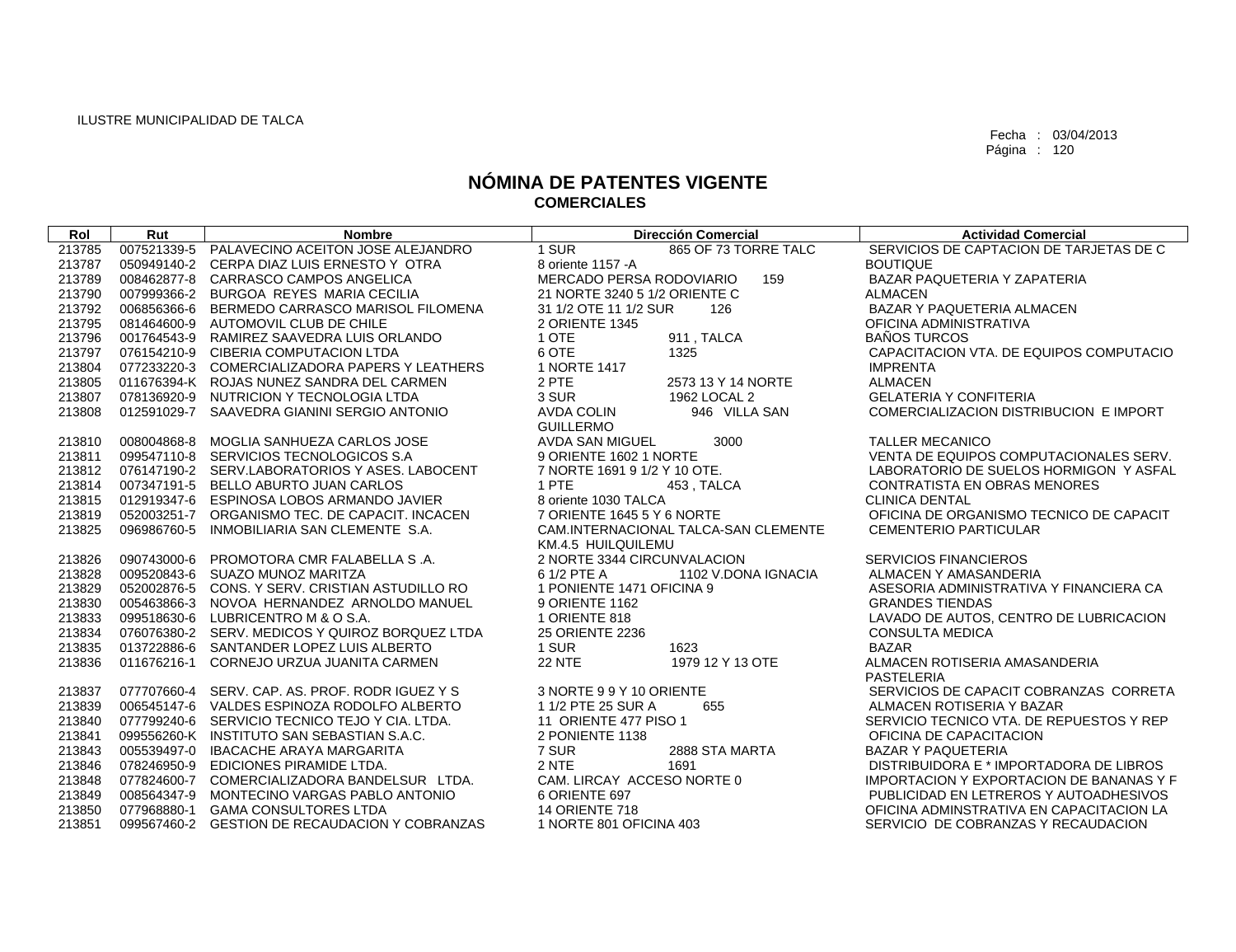| Rol              | Rut         | <b>Nombre</b>                                                                      | <b>Dirección Comercial</b>                       | <b>Actividad Comercial</b>                                        |
|------------------|-------------|------------------------------------------------------------------------------------|--------------------------------------------------|-------------------------------------------------------------------|
| 213785           |             | 007521339-5 PALAVECINO ACEITON JOSE ALEJANDRO                                      | 1 SUR<br>865 OF 73 TORRE TALC                    | SERVICIOS DE CAPTACION DE TARJETAS DE C                           |
| 213787           |             | 050949140-2 CERPA DIAZ LUIS ERNESTO Y OTRA                                         | 8 oriente 1157 - A                               | <b>BOUTIQUE</b>                                                   |
| 213789           |             | 008462877-8 CARRASCO CAMPOS ANGELICA                                               | MERCADO PERSA RODOVIARIO<br>159                  | BAZAR PAQUETERIA Y ZAPATERIA                                      |
| 213790           |             | 007999366-2 BURGOA REYES MARIA CECILIA                                             | 21 NORTE 3240 5 1/2 ORIENTE C                    | <b>ALMACEN</b>                                                    |
| 213792           |             | 006856366-6 BERMEDO CARRASCO MARISOL FILOMENA                                      | 31 1/2 OTE 11 1/2 SUR<br>126                     | BAZAR Y PAQUETERIA ALMACEN                                        |
| 213795           |             | 081464600-9 AUTOMOVIL CLUB DE CHILE                                                | 2 ORIENTE 1345                                   | OFICINA ADMINISTRATIVA                                            |
| 213796           |             | 001764543-9 RAMIREZ SAAVEDRA LUIS ORLANDO                                          | 1 OTE<br>911, TALCA                              | <b>BAÑOS TURCOS</b>                                               |
| 213797           |             | 076154210-9 CIBERIA COMPUTACION LTDA                                               | 6 OTE<br>1325                                    | CAPACITACION VTA, DE EQUIPOS COMPUTACIO                           |
| 213804           |             | 077233220-3 COMERCIALIZADORA PAPERS Y LEATHERS                                     | 1 NORTE 1417                                     | <b>IMPRENTA</b>                                                   |
| 213805           |             | 011676394-K ROJAS NUNEZ SANDRA DEL CARMEN                                          | 2 PTE<br>2573 13 Y 14 NORTE                      | <b>ALMACEN</b>                                                    |
| 213807           |             | 078136920-9 NUTRICION Y TECNOLOGIA LTDA                                            | 3 SUR<br>1962 LOCAL 2                            | <b>GELATERIA Y CONFITERIA</b>                                     |
| 213808           |             | 012591029-7 SAAVEDRA GIANINI SERGIO ANTONIO                                        | <b>AVDA COLIN</b><br>946 VILLA SAN               | COMERCIALIZACION DISTRIBUCION E IMPORT                            |
|                  |             |                                                                                    | <b>GUILLERMO</b>                                 |                                                                   |
| 213810           |             | 008004868-8 MOGLIA SANHUEZA CARLOS JOSE                                            | <b>AVDA SAN MIGUEL</b><br>3000                   | <b>TALLER MECANICO</b>                                            |
| 213811           |             | 099547110-8 SERVICIOS TECNOLOGICOS S.A                                             | 9 ORIENTE 1602 1 NORTE                           | VENTA DE EQUIPOS COMPUTACIONALES SERV.                            |
| 213812           |             | 076147190-2 SERV.LABORATORIOS Y ASES. LABOCENT                                     | 7 NORTE 1691 9 1/2 Y 10 OTE.                     | LABORATORIO DE SUELOS HORMIGON Y ASFAL                            |
| 213814           |             | 007347191-5 BELLO ABURTO JUAN CARLOS                                               | 1 PTE<br>453, TALCA                              | <b>CONTRATISTA EN OBRAS MENORES</b>                               |
| 213815           |             | 012919347-6 ESPINOSA LOBOS ARMANDO JAVIER                                          | 8 oriente 1030 TALCA                             | <b>CLINICA DENTAL</b>                                             |
| 213819           |             | 052003251-7 ORGANISMO TEC. DE CAPACIT. INCACEN                                     | 7 ORIENTE 1645 5 Y 6 NORTE                       | OFICINA DE ORGANISMO TECNICO DE CAPACIT                           |
| 213825           | 096986760-5 | INMOBILIARIA SAN CLEMENTE S.A.                                                     | CAM.INTERNACIONAL TALCA-SAN CLEMENTE             | <b>CEMENTERIO PARTICULAR</b>                                      |
|                  |             |                                                                                    | KM.4.5 HUILQUILEMU                               |                                                                   |
| 213826           |             | 090743000-6 PROMOTORA CMR FALABELLA S.A.                                           | 2 NORTE 3344 CIRCUNVALACION<br>6 1/2 PTE A       | <b>SERVICIOS FINANCIEROS</b>                                      |
| 213828           |             | 009520843-6 SUAZO MUNOZ MARITZA<br>052002876-5 CONS, Y SERV, CRISTIAN ASTUDILLO RO | 1102 V.DONA IGNACIA<br>1 PONIENTE 1471 OFICINA 9 | ALMACEN Y AMASANDERIA                                             |
| 213829<br>213830 |             | 005463866-3 NOVOA HERNANDEZ ARNOLDO MANUEL                                         | 9 ORIENTE 1162                                   | ASESORIA ADMINISTRATIVA Y FINANCIERA CA<br><b>GRANDES TIENDAS</b> |
| 213833           |             | 099518630-6 LUBRICENTROM & O S.A.                                                  | 1 ORIENTE 818                                    | LAVADO DE AUTOS, CENTRO DE LUBRICACION                            |
| 213834           |             | 076076380-2 SERV. MEDICOS Y QUIROZ BORQUEZ LTDA                                    | 25 ORIENTE 2236                                  | <b>CONSULTA MEDICA</b>                                            |
| 213835           |             | 013722886-6 SANTANDER LOPEZ LUIS ALBERTO                                           | 1 SUR<br>1623                                    | <b>BAZAR</b>                                                      |
| 213836           |             | 011676216-1 CORNEJO URZUA JUANITA CARMEN                                           | <b>22 NTE</b><br>1979 12 Y 13 OTE                | ALMACEN ROTISERIA AMASANDERIA                                     |
|                  |             |                                                                                    |                                                  | <b>PASTELERIA</b>                                                 |
| 213837           |             | 077707660-4 SERV, CAP, AS, PROF, RODR IGUEZ Y S                                    | 3 NORTE 99Y 10 ORIENTE                           | SERVICIOS DE CAPACIT COBRANZAS CORRETA                            |
| 213839           |             | 006545147-6 VALDES ESPINOZA RODOLFO ALBERTO                                        | 1 1/2 PTE 25 SUR A<br>655                        | ALMACEN ROTISERIA Y BAZAR                                         |
| 213840           |             | 077799240-6 SERVICIO TECNICO TEJO Y CIA. LTDA.                                     | 11 ORIENTE 477 PISO 1                            | SERVICIO TECNICO VTA. DE REPUESTOS Y REP                          |
| 213841           |             | 099556260-K INSTITUTO SAN SEBASTIAN S.A.C.                                         | 2 PONIENTE 1138                                  | OFICINA DE CAPACITACION                                           |
| 213843           |             | 005539497-0 IBACACHE ARAYA MARGARITA                                               | 7 SUR<br>2888 STA MARTA                          | <b>BAZAR Y PAQUETERIA</b>                                         |
| 213846           | 078246950-9 | EDICIONES PIRAMIDE LTDA.                                                           | 2 NTE<br>1691                                    | DISTRIBUIDORA E * IMPORTADORA DE LIBROS                           |
| 213848           |             | 077824600-7 COMERCIALIZADORA BANDELSUR LTDA.                                       | CAM. LIRCAY ACCESO NORTE 0                       | IMPORTACION Y EXPORTACION DE BANANAS Y F                          |
| 213849           |             | 008564347-9 MONTECINO VARGAS PABLO ANTONIO                                         | 6 ORIENTE 697                                    | PUBLICIDAD EN LETREROS Y AUTOADHESIVOS                            |
| 213850           |             | 077968880-1 GAMA CONSULTORES LTDA                                                  | <b>14 ORIENTE 718</b>                            | OFICINA ADMINSTRATIVA EN CAPACITACION LA                          |
| 213851           |             | 099567460-2 GESTION DE RECAUDACION Y COBRANZAS                                     | 1 NORTE 801 OFICINA 403                          | SERVICIO DE COBRANZAS Y RECAUDACION                               |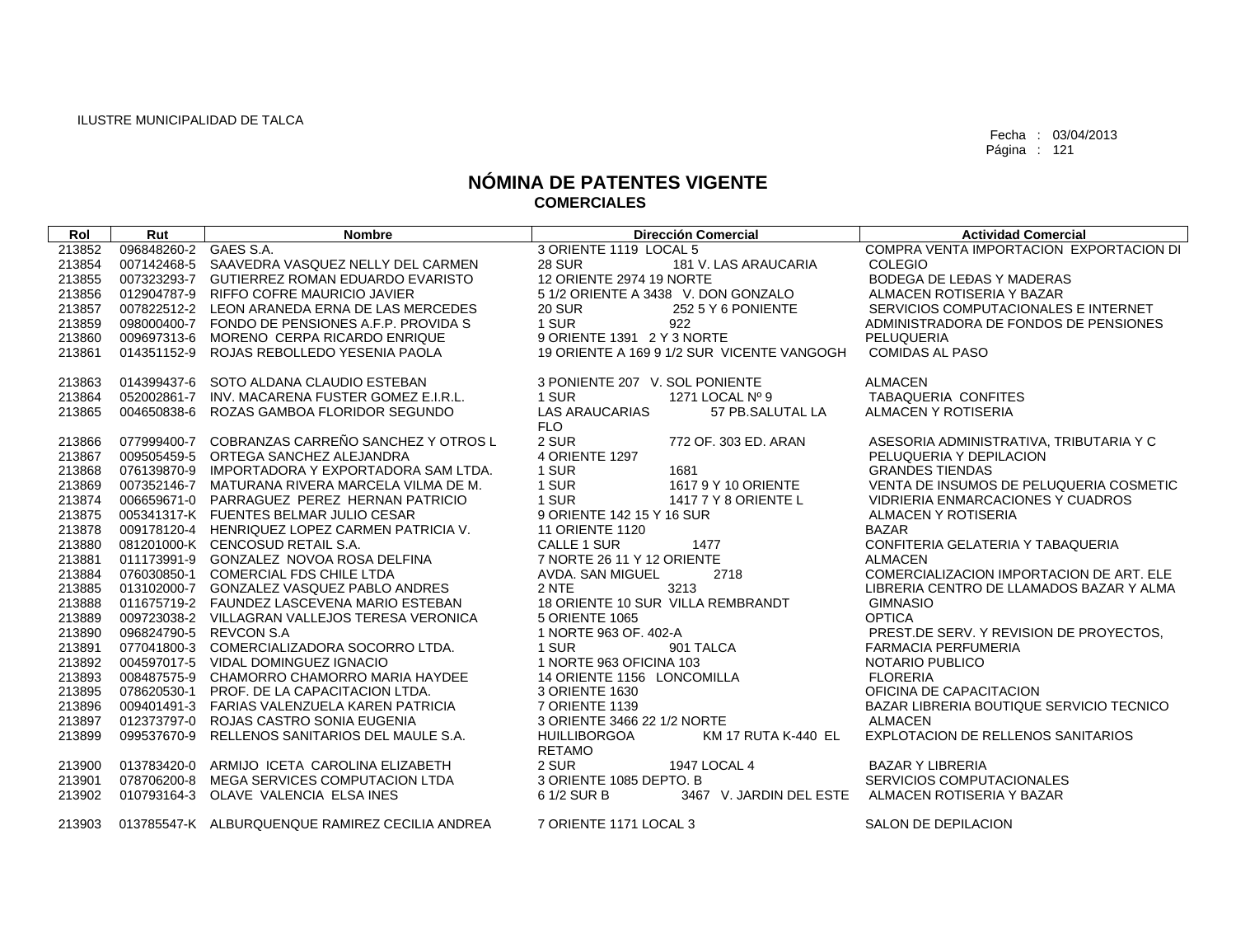| Rol    | Rut                   | <b>Nombre</b>                                   | <b>Dirección Comercial</b>                 | <b>Actividad Comercial</b>               |
|--------|-----------------------|-------------------------------------------------|--------------------------------------------|------------------------------------------|
| 213852 | 096848260-2 GAES S.A. |                                                 | 3 ORIENTE 1119 LOCAL 5                     | COMPRA VENTA IMPORTACION EXPORTACION DI  |
| 213854 | 007142468-5           | SAAVEDRA VASQUEZ NELLY DEL CARMEN               | <b>28 SUR</b><br>181 V. LAS ARAUCARIA      | <b>COLEGIO</b>                           |
| 213855 |                       | 007323293-7 GUTIERREZ ROMAN EDUARDO EVARISTO    | 12 ORIENTE 2974 19 NORTE                   | BODEGA DE LEĐAS Y MADERAS                |
| 213856 |                       | 012904787-9 RIFFO COFRE MAURICIO JAVIER         | 5 1/2 ORIENTE A 3438 V. DON GONZALO        | ALMACEN ROTISERIA Y BAZAR                |
| 213857 |                       | 007822512-2 LEON ARANEDA ERNA DE LAS MERCEDES   | <b>20 SUR</b><br>252 5 Y 6 PONIENTE        | SERVICIOS COMPUTACIONALES E INTERNET     |
| 213859 |                       | 098000400-7 FONDO DE PENSIONES A.F.P. PROVIDA S | 1 SUR<br>922                               | ADMINISTRADORA DE FONDOS DE PENSIONES    |
| 213860 | 009697313-6           | MORENO CERPA RICARDO ENRIQUE                    | 9 ORIENTE 1391 2 Y 3 NORTE                 | PELUQUERIA                               |
| 213861 |                       | 014351152-9 ROJAS REBOLLEDO YESENIA PAOLA       | 19 ORIENTE A 169 9 1/2 SUR VICENTE VANGOGH | <b>COMIDAS AL PASO</b>                   |
|        |                       |                                                 |                                            |                                          |
| 213863 | 014399437-6           | SOTO ALDANA CLAUDIO ESTEBAN                     | 3 PONIENTE 207 V. SOL PONIENTE             | <b>ALMACEN</b>                           |
| 213864 | 052002861-7           | INV. MACARENA FUSTER GOMEZ E.I.R.L.             | 1 SUR<br>1271 LOCAL Nº 9                   | <b>TABAQUERIA CONFITES</b>               |
| 213865 | 004650838-6           | ROZAS GAMBOA FLORIDOR SEGUNDO                   | <b>LAS ARAUCARIAS</b><br>57 PB.SALUTAL LA  | ALMACEN Y ROTISERIA                      |
|        |                       |                                                 | <b>FLO</b>                                 |                                          |
| 213866 |                       | 077999400-7 COBRANZAS CARREÑO SANCHEZ Y OTROS L | 2 SUR<br>772 OF, 303 ED, ARAN              | ASESORIA ADMINISTRATIVA, TRIBUTARIA Y C  |
| 213867 |                       | 009505459-5 ORTEGA SANCHEZ ALEJANDRA            | 4 ORIENTE 1297                             | PELUQUERIA Y DEPILACION                  |
| 213868 |                       | 076139870-9 IMPORTADORA Y EXPORTADORA SAM LTDA. | 1 SUR<br>1681                              | <b>GRANDES TIENDAS</b>                   |
| 213869 |                       | 007352146-7 MATURANA RIVERA MARCELA VILMA DE M. | 1 SUR<br>1617 9 Y 10 ORIENTE               | VENTA DE INSUMOS DE PELUQUERIA COSMETIC  |
| 213874 |                       | 006659671-0 PARRAGUEZ PEREZ HERNAN PATRICIO     | 1 SUR<br>1417 7 Y 8 ORIENTE L              | VIDRIERIA ENMARCACIONES Y CUADROS        |
| 213875 |                       | 005341317-K FUENTES BELMAR JULIO CESAR          | 9 ORIENTE 142 15 Y 16 SUR                  | ALMACEN Y ROTISERIA                      |
| 213878 |                       | 009178120-4 HENRIQUEZ LOPEZ CARMEN PATRICIA V.  | <b>11 ORIENTE 1120</b>                     | <b>BAZAR</b>                             |
| 213880 |                       | 081201000-K CENCOSUD RETAIL S.A.                | <b>CALLE 1 SUR</b><br>1477                 | CONFITERIA GELATERIA Y TABAQUERIA        |
| 213881 |                       | 011173991-9 GONZALEZ NOVOA ROSA DELFINA         | 7 NORTE 26 11 Y 12 ORIENTE                 | <b>ALMACEN</b>                           |
| 213884 |                       | 076030850-1 COMERCIAL FDS CHILE LTDA            | AVDA. SAN MIGUEL<br>2718                   | COMERCIALIZACION IMPORTACION DE ART. ELE |
| 213885 |                       | 013102000-7 GONZALEZ VASQUEZ PABLO ANDRES       | 2 NTE<br>3213                              | LIBRERIA CENTRO DE LLAMADOS BAZAR Y ALMA |
| 213888 |                       | 011675719-2 FAUNDEZ LASCEVENA MARIO ESTEBAN     | 18 ORIENTE 10 SUR VILLA REMBRANDT          | <b>GIMNASIO</b>                          |
| 213889 |                       | 009723038-2 VILLAGRAN VALLEJOS TERESA VERONICA  | 5 ORIENTE 1065                             | <b>OPTICA</b>                            |
| 213890 |                       | 096824790-5 REVCON S.A                          | 1 NORTE 963 OF, 402-A                      | PREST.DE SERV. Y REVISION DE PROYECTOS,  |
| 213891 |                       | 077041800-3 COMERCIALIZADORA SOCORRO LTDA.      | 1 SUR<br>901 TALCA                         | <b>FARMACIA PERFUMERIA</b>               |
| 213892 |                       | 004597017-5 VIDAL DOMINGUEZ IGNACIO             | 1 NORTE 963 OFICINA 103                    | NOTARIO PUBLICO                          |
| 213893 |                       | 008487575-9 CHAMORRO CHAMORRO MARIA HAYDEE      | 14 ORIENTE 1156 LONCOMILLA                 | <b>FLORERIA</b>                          |
| 213895 |                       | 078620530-1 PROF, DE LA CAPACITACION LTDA.      | 3 ORIENTE 1630                             | OFICINA DE CAPACITACION                  |
| 213896 |                       | 009401491-3 FARIAS VALENZUELA KAREN PATRICIA    | 7 ORIENTE 1139                             | BAZAR LIBRERIA BOUTIQUE SERVICIO TECNICO |
| 213897 |                       | 012373797-0 ROJAS CASTRO SONIA EUGENIA          | 3 ORIENTE 3466 22 1/2 NORTE                | <b>ALMACEN</b>                           |
| 213899 |                       | 099537670-9 RELLENOS SANITARIOS DEL MAULE S.A.  | <b>HUILLIBORGOA</b><br>KM 17 RUTA K-440 EL | EXPLOTACION DE RELLENOS SANITARIOS       |
|        |                       |                                                 | <b>RETAMO</b>                              |                                          |
| 213900 |                       | 013783420-0 ARMIJO ICETA CAROLINA ELIZABETH     | 2 SUR<br>1947 LOCAL 4                      | <b>BAZAR Y LIBRERIA</b>                  |
| 213901 | 078706200-8           | MEGA SERVICES COMPUTACION LTDA                  | 3 ORIENTE 1085 DEPTO. B                    | SERVICIOS COMPUTACIONALES                |
| 213902 | 010793164-3           | OLAVE VALENCIA ELSA INES                        | 6 1/2 SUR B<br>3467 V. JARDIN DEL ESTE     | ALMACEN ROTISERIA Y BAZAR                |
| 213903 |                       | 013785547-K ALBURQUENQUE RAMIREZ CECILIA ANDREA | 7 ORIENTE 1171 LOCAL 3                     | SALON DE DEPILACION                      |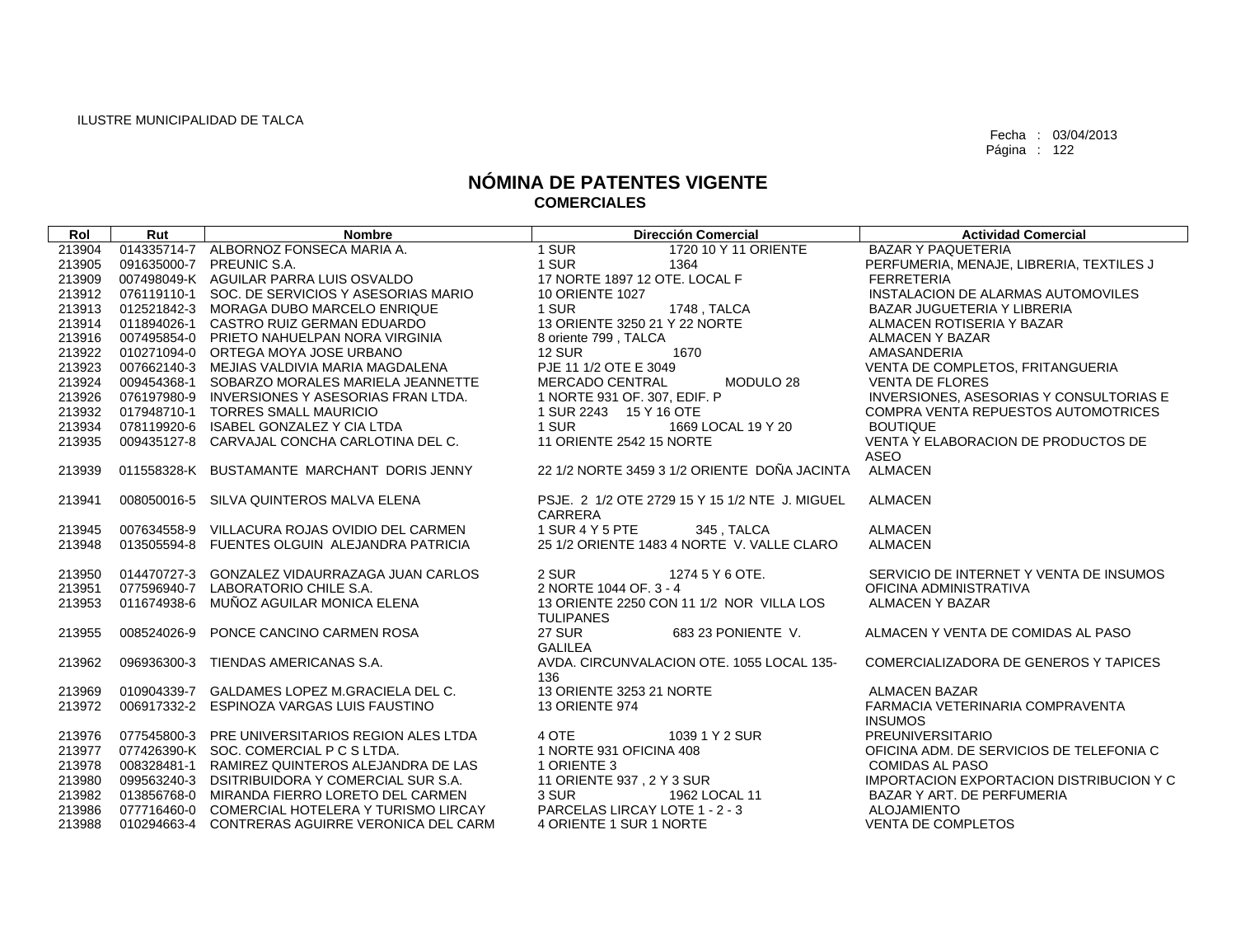| Rol    | Rut         | <b>Nombre</b>                                   | <b>Dirección Comercial</b>                     | <b>Actividad Comercial</b>               |
|--------|-------------|-------------------------------------------------|------------------------------------------------|------------------------------------------|
| 213904 |             | 014335714-7 ALBORNOZ FONSECA MARIA A.           | 1 SUR<br>1720 10 Y 11 ORIENTE                  | <b>BAZAR Y PAQUETERIA</b>                |
| 213905 |             | 091635000-7 PREUNIC S.A.                        | 1 SUR<br>1364                                  | PERFUMERIA, MENAJE, LIBRERIA, TEXTILES J |
| 213909 |             | 007498049-K AGUILAR PARRA LUIS OSVALDO          | 17 NORTE 1897 12 OTE. LOCAL F                  | <b>FERRETERIA</b>                        |
| 213912 |             | 076119110-1 SOC. DE SERVICIOS Y ASESORIAS MARIO | <b>10 ORIENTE 1027</b>                         | INSTALACION DE ALARMAS AUTOMOVILES       |
| 213913 |             | 012521842-3 MORAGA DUBO MARCELO ENRIQUE         | 1 SUR<br>1748 , TALCA                          | BAZAR JUGUETERIA Y LIBRERIA              |
| 213914 |             | 011894026-1 CASTRO RUIZ GERMAN EDUARDO          | 13 ORIENTE 3250 21 Y 22 NORTE                  | ALMACEN ROTISERIA Y BAZAR                |
| 213916 |             | 007495854-0 PRIETO NAHUELPAN NORA VIRGINIA      | 8 oriente 799, TALCA                           | ALMACEN Y BAZAR                          |
| 213922 |             | 010271094-0 ORTEGA MOYA JOSE URBANO             | <b>12 SUR</b><br>1670                          | AMASANDERIA                              |
| 213923 |             | 007662140-3 MEJIAS VALDIVIA MARIA MAGDALENA     | PJE 11 1/2 OTE E 3049                          | VENTA DE COMPLETOS, FRITANGUERIA         |
| 213924 |             | 009454368-1 SOBARZO MORALES MARIELA JEANNETTE   | <b>MERCADO CENTRAL</b><br>MODULO 28            | <b>VENTA DE FLORES</b>                   |
| 213926 |             | 076197980-9 INVERSIONES Y ASESORIAS FRAN LTDA.  | 1 NORTE 931 OF, 307, EDIF, P                   | INVERSIONES, ASESORIAS Y CONSULTORIAS E  |
| 213932 |             | 017948710-1 TORRES SMALL MAURICIO               | 1 SUR 2243 15 Y 16 OTE                         | COMPRA VENTA REPUESTOS AUTOMOTRICES      |
| 213934 |             | 078119920-6 ISABEL GONZALEZ Y CIA LTDA          | 1 SUR<br>1669 LOCAL 19 Y 20                    | <b>BOUTIQUE</b>                          |
| 213935 |             | 009435127-8 CARVAJAL CONCHA CARLOTINA DEL C.    | 11 ORIENTE 2542 15 NORTE                       | VENTA Y ELABORACION DE PRODUCTOS DE      |
|        |             |                                                 |                                                | ASEO                                     |
| 213939 |             | 011558328-K BUSTAMANTE MARCHANT DORIS JENNY     | 22 1/2 NORTE 3459 3 1/2 ORIENTE DOÑA JACINTA   | <b>ALMACEN</b>                           |
|        |             |                                                 |                                                |                                          |
| 213941 |             | 008050016-5 SILVA QUINTEROS MALVA ELENA         | PSJE, 2 1/2 OTE 2729 15 Y 15 1/2 NTE J. MIGUEL | <b>ALMACEN</b>                           |
|        |             |                                                 | CARRERA                                        |                                          |
| 213945 |             | 007634558-9 VILLACURA ROJAS OVIDIO DEL CARMEN   | 1 SUR 4 Y 5 PTE<br>345, TALCA                  | <b>ALMACEN</b>                           |
| 213948 |             | 013505594-8 FUENTES OLGUIN ALEJANDRA PATRICIA   | 25 1/2 ORIENTE 1483 4 NORTE V. VALLE CLARO     | <b>ALMACEN</b>                           |
| 213950 |             | 014470727-3 GONZALEZ VIDAURRAZAGA JUAN CARLOS   | 2 SUR<br>1274 5 Y 6 OTE.                       | SERVICIO DE INTERNET Y VENTA DE INSUMOS  |
| 213951 |             | 077596940-7 LABORATORIO CHILE S.A.              | 2 NORTE 1044 OF, 3 - 4                         | OFICINA ADMINISTRATIVA                   |
| 213953 |             | 011674938-6 MUÑOZ AGUILAR MONICA ELENA          | 13 ORIENTE 2250 CON 11 1/2 NOR VILLA LOS       | <b>ALMACEN Y BAZAR</b>                   |
|        |             |                                                 | <b>TULIPANES</b>                               |                                          |
| 213955 | 008524026-9 | PONCE CANCINO CARMEN ROSA                       | <b>27 SUR</b><br>683 23 PONIENTE V.            | ALMACEN Y VENTA DE COMIDAS AL PASO       |
|        |             |                                                 | <b>GALILEA</b>                                 |                                          |
| 213962 |             | 096936300-3 TIENDAS AMERICANAS S.A.             | AVDA, CIRCUNVALACION OTE, 1055 LOCAL 135-      | COMERCIALIZADORA DE GENEROS Y TAPICES    |
|        |             |                                                 | 136                                            |                                          |
| 213969 |             | 010904339-7 GALDAMES LOPEZ M.GRACIELA DEL C.    | 13 ORIENTE 3253 21 NORTE                       | <b>ALMACEN BAZAR</b>                     |
| 213972 |             | 006917332-2 ESPINOZA VARGAS LUIS FAUSTINO       | <b>13 ORIENTE 974</b>                          | FARMACIA VETERINARIA COMPRAVENTA         |
|        |             |                                                 |                                                | <b>INSUMOS</b>                           |
| 213976 |             | 077545800-3 PRE UNIVERSITARIOS REGION ALES LTDA | 4 OTE<br>1039 1 Y 2 SUR                        | <b>PREUNIVERSITARIO</b>                  |
| 213977 |             | 077426390-K SOC, COMERCIAL P C S LTDA.          | 1 NORTE 931 OFICINA 408                        | OFICINA ADM. DE SERVICIOS DE TELEFONIA C |
| 213978 |             | 008328481-1 RAMIREZ QUINTEROS ALEJANDRA DE LAS  | 1 ORIENTE 3                                    | <b>COMIDAS AL PASO</b>                   |
| 213980 |             | 099563240-3 DSITRIBUIDORA Y COMERCIAL SUR S.A.  | 11 ORIENTE 937, 2 Y 3 SUR                      | IMPORTACION EXPORTACION DISTRIBUCION Y C |
| 213982 |             | 013856768-0 MIRANDA FIERRO LORETO DEL CARMEN    | 3 SUR<br>1962 LOCAL 11                         | BAZAR Y ART. DE PERFUMERIA               |
| 213986 |             | 077716460-0 COMERCIAL HOTELERA Y TURISMO LIRCAY | PARCELAS LIRCAY LOTE 1 - 2 - 3                 | <b>ALOJAMIENTO</b>                       |
| 213988 |             | 010294663-4 CONTRERAS AGUIRRE VERONICA DEL CARM | 4 ORIENTE 1 SUR 1 NORTE                        | <b>VENTA DE COMPLETOS</b>                |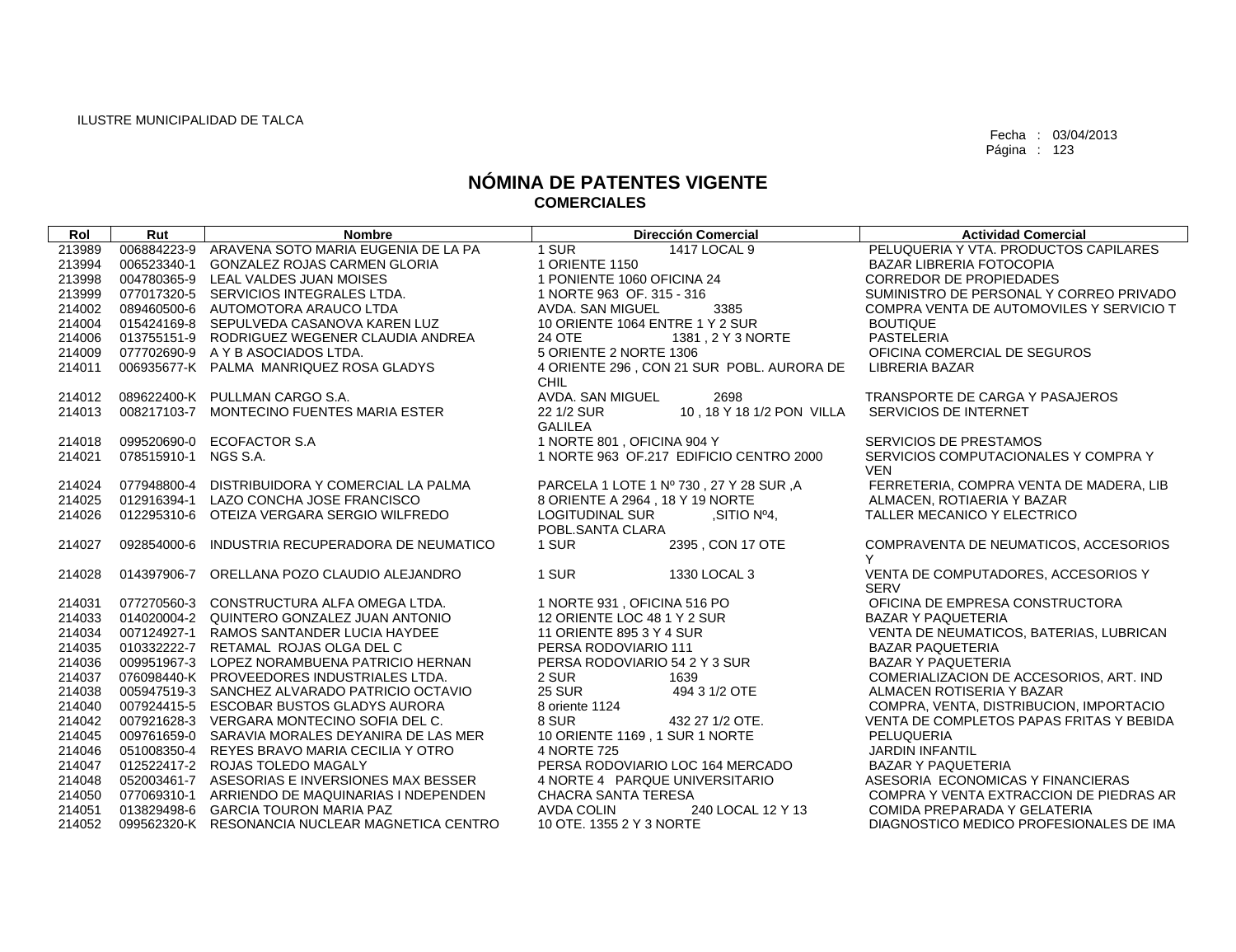| Rol    | Rut                  | <b>Nombre</b>                                   | <b>Dirección Comercial</b>                | <b>Actividad Comercial</b>                         |
|--------|----------------------|-------------------------------------------------|-------------------------------------------|----------------------------------------------------|
| 213989 |                      | 006884223-9 ARAVENA SOTO MARIA EUGENIA DE LA PA | 1 SUR<br>1417 LOCAL 9                     | PELUQUERIA Y VTA, PRODUCTOS CAPILARES              |
| 213994 |                      | 006523340-1 GONZALEZ ROJAS CARMEN GLORIA        | 1 ORIENTE 1150                            | <b>BAZAR LIBRERIA FOTOCOPIA</b>                    |
| 213998 |                      | 004780365-9 LEAL VALDES JUAN MOISES             | 1 PONIENTE 1060 OFICINA 24                | CORREDOR DE PROPIEDADES                            |
| 213999 |                      | 077017320-5 SERVICIOS INTEGRALES LTDA.          | 1 NORTE 963 OF, 315 - 316                 | SUMINISTRO DE PERSONAL Y CORREO PRIVADO            |
| 214002 |                      | 089460500-6 AUTOMOTORA ARAUCO LTDA              | 3385<br>AVDA, SAN MIGUEL                  | COMPRA VENTA DE AUTOMOVILES Y SERVICIO T           |
| 214004 |                      | 015424169-8 SEPULVEDA CASANOVA KAREN LUZ        | 10 ORIENTE 1064 ENTRE 1 Y 2 SUR           | <b>BOUTIQUE</b>                                    |
| 214006 |                      | 013755151-9 RODRIGUEZ WEGENER CLAUDIA ANDREA    | <b>24 OTE</b><br>1381, 2 Y 3 NORTE        | PASTELERIA                                         |
| 214009 |                      | 077702690-9 A Y B ASOCIADOS LTDA.               | 5 ORIENTE 2 NORTE 1306                    | OFICINA COMERCIAL DE SEGUROS                       |
| 214011 |                      | 006935677-K PALMA MANRIQUEZ ROSA GLADYS         | 4 ORIENTE 296, CON 21 SUR POBL. AURORA DE | LIBRERIA BAZAR                                     |
|        |                      |                                                 | <b>CHIL</b>                               |                                                    |
| 214012 |                      | 089622400-K PULLMAN CARGO S.A.                  | <b>AVDA, SAN MIGUEL</b><br>2698           | TRANSPORTE DE CARGA Y PASAJEROS                    |
| 214013 |                      | 008217103-7 MONTECINO FUENTES MARIA ESTER       | 22 1/2 SUR<br>10, 18 Y 18 1/2 PON VILLA   | SERVICIOS DE INTERNET                              |
|        |                      |                                                 | <b>GALILEA</b>                            |                                                    |
| 214018 | 099520690-0          | <b>ECOFACTOR S.A</b>                            | 1 NORTE 801, OFICINA 904 Y                | <b>SERVICIOS DE PRESTAMOS</b>                      |
| 214021 | 078515910-1 NGS S.A. |                                                 | 1 NORTE 963 OF.217 EDIFICIO CENTRO 2000   | SERVICIOS COMPUTACIONALES Y COMPRA Y               |
|        |                      |                                                 |                                           | <b>VEN</b>                                         |
| 214024 |                      | 077948800-4 DISTRIBUIDORA Y COMERCIAL LA PALMA  | PARCELA 1 LOTE 1 Nº 730, 27 Y 28 SUR, A   | FERRETERIA, COMPRA VENTA DE MADERA, LIB            |
| 214025 |                      | 012916394-1 LAZO CONCHA JOSE FRANCISCO          | 8 ORIENTE A 2964, 18 Y 19 NORTE           | ALMACEN, ROTIAERIA Y BAZAR                         |
| 214026 |                      | 012295310-6 OTEIZA VERGARA SERGIO WILFREDO      | <b>LOGITUDINAL SUR</b><br>,SITIO Nº4,     | TALLER MECANICO Y ELECTRICO                        |
|        |                      |                                                 | POBL.SANTA CLARA                          |                                                    |
| 214027 | 092854000-6          | INDUSTRIA RECUPERADORA DE NEUMATICO             | 1 SUR<br>2395, CON 17 OTE                 | COMPRAVENTA DE NEUMATICOS, ACCESORIOS              |
|        |                      |                                                 | 1 SUR                                     | Y                                                  |
| 214028 |                      | 014397906-7 ORELLANA POZO CLAUDIO ALEJANDRO     | 1330 LOCAL 3                              | VENTA DE COMPUTADORES, ACCESORIOS Y<br><b>SERV</b> |
| 214031 |                      | 077270560-3 CONSTRUCTURA ALFA OMEGA LTDA.       | 1 NORTE 931, OFICINA 516 PO               | OFICINA DE EMPRESA CONSTRUCTORA                    |
| 214033 |                      | 014020004-2 QUINTERO GONZALEZ JUAN ANTONIO      | 12 ORIENTE LOC 48 1 Y 2 SUR               | <b>BAZAR Y PAQUETERIA</b>                          |
| 214034 |                      | 007124927-1 RAMOS SANTANDER LUCIA HAYDEE        | 11 ORIENTE 895 3 Y 4 SUR                  | VENTA DE NEUMATICOS, BATERIAS, LUBRICAN            |
| 214035 |                      | 010332222-7 RETAMAL ROJAS OLGA DEL C            | PERSA RODOVIARIO 111                      | <b>BAZAR PAQUETERIA</b>                            |
| 214036 |                      | 009951967-3 LOPEZ NORAMBUENA PATRICIO HERNAN    | PERSA RODOVIARIO 54 2 Y 3 SUR             | <b>BAZAR Y PAQUETERIA</b>                          |
| 214037 |                      | 076098440-K PROVEEDORES INDUSTRIALES LTDA.      | 2 SUR<br>1639                             | COMERIALIZACION DE ACCESORIOS, ART. IND            |
| 214038 |                      | 005947519-3 SANCHEZ ALVARADO PATRICIO OCTAVIO   | <b>25 SUR</b><br>494 3 1/2 OTE            | ALMACEN ROTISERIA Y BAZAR                          |
| 214040 |                      | 007924415-5 ESCOBAR BUSTOS GLADYS AURORA        | 8 oriente 1124                            | COMPRA, VENTA, DISTRIBUCION, IMPORTACIO            |
| 214042 |                      | 007921628-3 VERGARA MONTECINO SOFIA DEL C.      | 8 SUR<br>432 27 1/2 OTE.                  | VENTA DE COMPLETOS PAPAS FRITAS Y BEBIDA           |
| 214045 |                      | 009761659-0 SARAVIA MORALES DEYANIRA DE LAS MER | 10 ORIENTE 1169, 1 SUR 1 NORTE            | PELUQUERIA                                         |
| 214046 |                      | 051008350-4 REYES BRAVO MARIA CECILIA Y OTRO    | 4 NORTE 725                               | <b>JARDIN INFANTIL</b>                             |
| 214047 |                      | 012522417-2 ROJAS TOLEDO MAGALY                 | PERSA RODOVIARIO LOC 164 MERCADO          | <b>BAZAR Y PAQUETERIA</b>                          |
| 214048 |                      | 052003461-7 ASESORIAS E INVERSIONES MAX BESSER  | 4 NORTE 4 PARQUE UNIVERSITARIO            | ASESORIA ECONOMICAS Y FINANCIERAS                  |
| 214050 |                      | 077069310-1 ARRIENDO DE MAQUINARIAS I NDEPENDEN | CHACRA SANTA TERESA                       | COMPRA Y VENTA EXTRACCION DE PIEDRAS AR            |
| 214051 |                      | 013829498-6 GARCIA TOURON MARIA PAZ             | 240 LOCAL 12 Y 13<br><b>AVDA COLIN</b>    | COMIDA PREPARADA Y GELATERIA                       |
| 214052 |                      | 099562320-K RESONANCIA NUCLEAR MAGNETICA CENTRO | 10 OTE. 1355 2 Y 3 NORTE                  | DIAGNOSTICO MEDICO PROFESIONALES DE IMA            |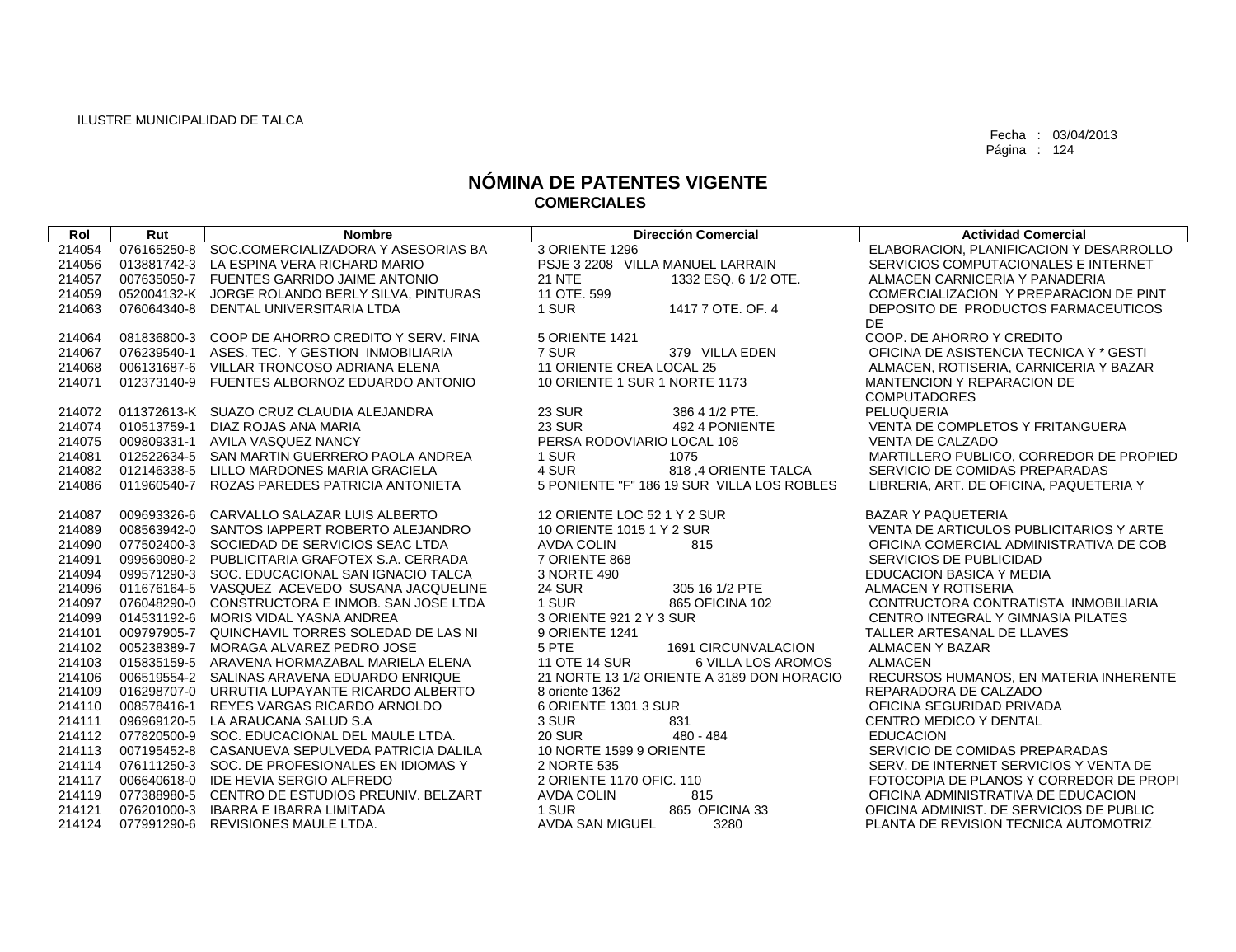| Rol    | Rut         | <b>Nombre</b>                                   | <b>Dirección Comercial</b>                 | <b>Actividad Comercial</b>               |
|--------|-------------|-------------------------------------------------|--------------------------------------------|------------------------------------------|
| 214054 |             | 076165250-8 SOC.COMERCIALIZADORA Y ASESORIAS BA | 3 ORIENTE 1296                             | ELABORACION, PLANIFICACION Y DESARROLLO  |
| 214056 |             | 013881742-3 LA ESPINA VERA RICHARD MARIO        | PSJE 3 2208 VILLA MANUEL LARRAIN           | SERVICIOS COMPUTACIONALES E INTERNET     |
| 214057 |             | 007635050-7 FUENTES GARRIDO JAIME ANTONIO       | <b>21 NTE</b><br>1332 ESQ. 6 1/2 OTE.      | ALMACEN CARNICERIA Y PANADERIA           |
| 214059 |             | 052004132-K JORGE ROLANDO BERLY SILVA, PINTURAS | 11 OTE, 599                                | COMERCIALIZACION Y PREPARACION DE PINT   |
| 214063 | 076064340-8 | DENTAL UNIVERSITARIA LTDA                       | 1 SUR<br>1417 7 OTE, OF, 4                 | DEPOSITO DE PRODUCTOS FARMACEUTICOS      |
|        |             |                                                 |                                            | DE.                                      |
| 214064 |             | 081836800-3 COOP DE AHORRO CREDITO Y SERV. FINA | 5 ORIENTE 1421                             | COOP. DE AHORRO Y CREDITO                |
| 214067 |             | 076239540-1 ASES, TEC. Y GESTION INMOBILIARIA   | 7 SUR<br>379 VILLA EDEN                    | OFICINA DE ASISTENCIA TECNICA Y * GESTI  |
| 214068 |             | 006131687-6 VILLAR TRONCOSO ADRIANA ELENA       | 11 ORIENTE CREA LOCAL 25                   | ALMACEN, ROTISERIA, CARNICERIA Y BAZAR   |
| 214071 |             | 012373140-9 FUENTES ALBORNOZ EDUARDO ANTONIO    | 10 ORIENTE 1 SUR 1 NORTE 1173              | MANTENCION Y REPARACION DE               |
|        |             |                                                 |                                            | <b>COMPUTADORES</b>                      |
| 214072 |             | 011372613-K SUAZO CRUZ CLAUDIA ALEJANDRA        | <b>23 SUR</b><br>386 4 1/2 PTE.            | PELUQUERIA                               |
| 214074 |             | 010513759-1 DIAZ ROJAS ANA MARIA                | <b>23 SUR</b><br>492 4 PONIENTE            | VENTA DE COMPLETOS Y FRITANGUERA         |
| 214075 |             | 009809331-1 AVILA VASQUEZ NANCY                 | PERSA RODOVIARIO LOCAL 108                 | <b>VENTA DE CALZADO</b>                  |
| 214081 |             | 012522634-5 SAN MARTIN GUERRERO PAOLA ANDREA    | 1 SUR<br>1075                              | MARTILLERO PUBLICO, CORREDOR DE PROPIED  |
| 214082 |             | 012146338-5 LILLO MARDONES MARIA GRACIELA       | 4 SUR<br>818.4 ORIENTE TALCA               | SERVICIO DE COMIDAS PREPARADAS           |
| 214086 |             | 011960540-7 ROZAS PAREDES PATRICIA ANTONIETA    | 5 PONIENTE "F" 186 19 SUR VILLA LOS ROBLES | LIBRERIA, ART. DE OFICINA, PAQUETERIA Y  |
| 214087 |             | 009693326-6 CARVALLO SALAZAR LUIS ALBERTO       | 12 ORIENTE LOC 52 1 Y 2 SUR                | <b>BAZAR Y PAQUETERIA</b>                |
| 214089 |             | 008563942-0 SANTOS IAPPERT ROBERTO ALEJANDRO    | 10 ORIENTE 1015 1 Y 2 SUR                  | VENTA DE ARTICULOS PUBLICITARIOS Y ARTE  |
| 214090 |             | 077502400-3 SOCIEDAD DE SERVICIOS SEAC LTDA     | 815<br>AVDA COLIN                          | OFICINA COMERCIAL ADMINISTRATIVA DE COB  |
| 214091 |             | 099569080-2 PUBLICITARIA GRAFOTEX S.A. CERRADA  | 7 ORIENTE 868                              | SERVICIOS DE PUBLICIDAD                  |
| 214094 |             | 099571290-3 SOC, EDUCACIONAL SAN IGNACIO TALCA  | 3 NORTE 490                                | EDUCACION BASICA Y MEDIA                 |
| 214096 |             | 011676164-5 VASQUEZ ACEVEDO SUSANA JACQUELINE   | <b>24 SUR</b><br>305 16 1/2 PTE            | ALMACEN Y ROTISERIA                      |
| 214097 |             | 076048290-0 CONSTRUCTORA E INMOB. SAN JOSE LTDA | 1 SUR<br>865 OFICINA 102                   | CONTRUCTORA CONTRATISTA INMOBILIARIA     |
| 214099 |             | 014531192-6 MORIS VIDAL YASNA ANDREA            | 3 ORIENTE 921 2 Y 3 SUR                    | CENTRO INTEGRAL Y GIMNASIA PILATES       |
| 214101 |             | 009797905-7 QUINCHAVIL TORRES SOLEDAD DE LAS NI | 9 ORIENTE 1241                             | TALLER ARTESANAL DE LLAVES               |
| 214102 |             | 005238389-7 MORAGA ALVAREZ PEDRO JOSE           | 5 PTE<br>1691 CIRCUNVALACION               | ALMACEN Y BAZAR                          |
| 214103 |             | 015835159-5 ARAVENA HORMAZABAL MARIELA ELENA    | <b>11 OTE 14 SUR</b><br>6 VILLA LOS AROMOS | <b>ALMACEN</b>                           |
| 214106 |             | 006519554-2 SALINAS ARAVENA EDUARDO ENRIQUE     | 21 NORTE 13 1/2 ORIENTE A 3189 DON HORACIO | RECURSOS HUMANOS, EN MATERIA INHERENTE   |
| 214109 |             | 016298707-0 URRUTIA LUPAYANTE RICARDO ALBERTO   | 8 oriente 1362                             | REPARADORA DE CALZADO                    |
| 214110 |             | 008578416-1 REYES VARGAS RICARDO ARNOLDO        | 6 ORIENTE 1301 3 SUR                       | OFICINA SEGURIDAD PRIVADA                |
| 214111 |             | 096969120-5 LA ARAUCANA SALUD S.A               | 3 SUR<br>831                               | CENTRO MEDICO Y DENTAL                   |
| 214112 |             | 077820500-9 SOC. EDUCACIONAL DEL MAULE LTDA.    | $480 - 484$<br><b>20 SUR</b>               | <b>EDUCACION</b>                         |
| 214113 |             | 007195452-8 CASANUEVA SEPULVEDA PATRICIA DALILA | 10 NORTE 1599 9 ORIENTE                    | SERVICIO DE COMIDAS PREPARADAS           |
| 214114 |             | 076111250-3 SOC. DE PROFESIONALES EN IDIOMAS Y  | 2 NORTE 535                                | SERV. DE INTERNET SERVICIOS Y VENTA DE   |
| 214117 |             | 006640618-0 IDE HEVIA SERGIO ALFREDO            | 2 ORIENTE 1170 OFIC. 110                   | FOTOCOPIA DE PLANOS Y CORREDOR DE PROPI  |
| 214119 |             | 077388980-5 CENTRO DE ESTUDIOS PREUNIV. BELZART | <b>AVDA COLIN</b><br>815                   | OFICINA ADMINISTRATIVA DE EDUCACION      |
| 214121 |             | 076201000-3 IBARRA E IBARRA LIMITADA            | 1 SUR<br>865 OFICINA 33                    | OFICINA ADMINIST. DE SERVICIOS DE PUBLIC |
| 214124 |             | 077991290-6 REVISIONES MAULE LTDA.              | AVDA SAN MIGUEL<br>3280                    | PLANTA DE REVISION TECNICA AUTOMOTRIZ    |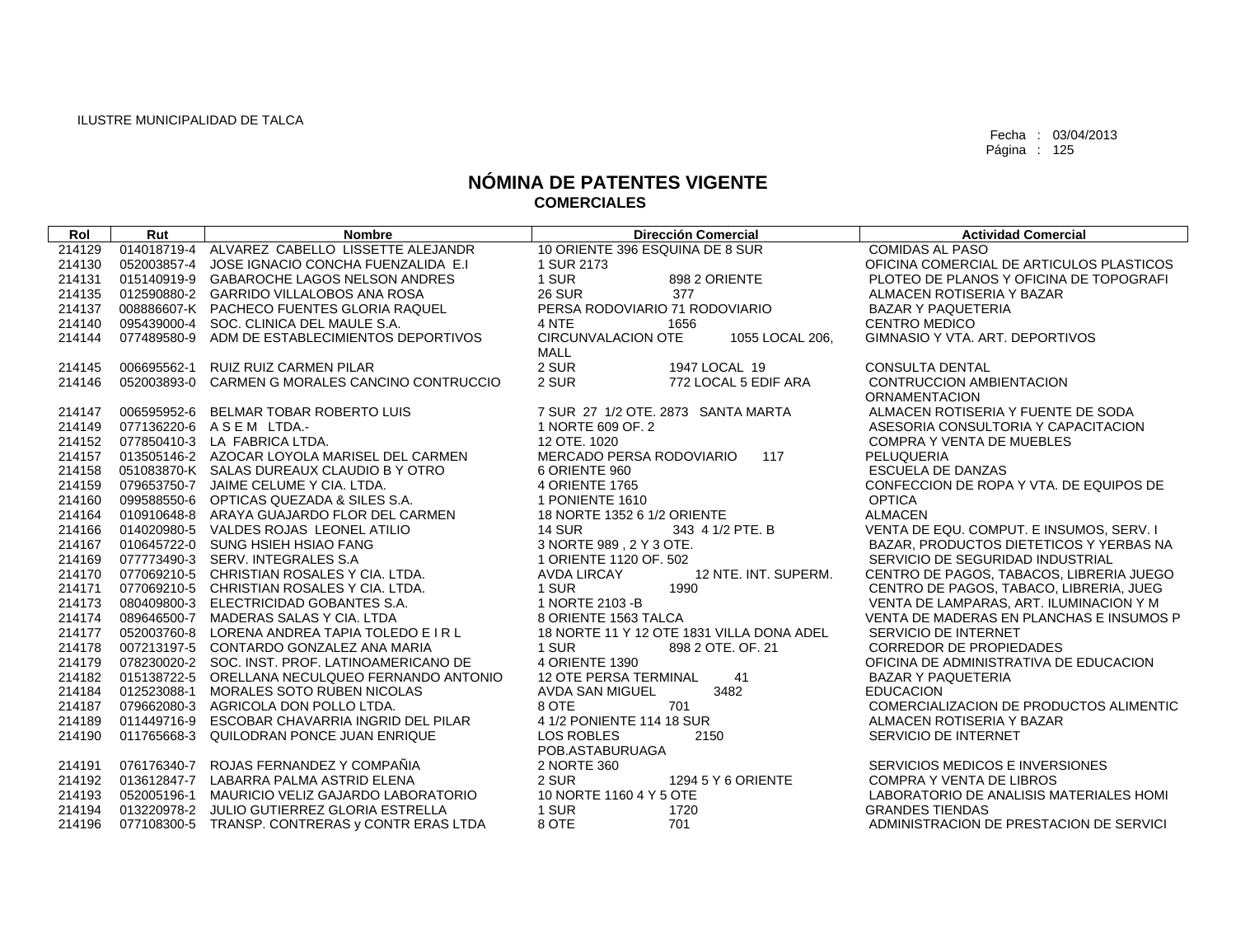| Rol    | Rut         | <b>Nombre</b>                                   | <b>Dirección Comercial</b>                   | <b>Actividad Comercial</b>               |
|--------|-------------|-------------------------------------------------|----------------------------------------------|------------------------------------------|
| 214129 |             | 014018719-4 ALVAREZ CABELLO LISSETTE ALEJANDR   | 10 ORIENTE 396 ESQUINA DE 8 SUR              | <b>COMIDAS AL PASO</b>                   |
| 214130 |             | 052003857-4 JOSE IGNACIO CONCHA FUENZALIDA E.I  | 1 SUR 2173                                   | OFICINA COMERCIAL DE ARTICULOS PLASTICOS |
| 214131 |             | 015140919-9 GABAROCHE LAGOS NELSON ANDRES       | 1 SUR<br>898 2 ORIENTE                       | PLOTEO DE PLANOS Y OFICINA DE TOPOGRAFI  |
| 214135 |             | 012590880-2 GARRIDO VILLALOBOS ANA ROSA         | <b>26 SUR</b><br>377                         | ALMACEN ROTISERIA Y BAZAR                |
| 214137 |             | 008886607-K PACHECO FUENTES GLORIA RAQUEL       | PERSA RODOVIARIO 71 RODOVIARIO               | <b>BAZAR Y PAQUETERIA</b>                |
| 214140 | 095439000-4 | SOC. CLINICA DEL MAULE S.A.                     | 4 NTE<br>1656                                | <b>CENTRO MEDICO</b>                     |
| 214144 | 077489580-9 | ADM DE ESTABLECIMIENTOS DEPORTIVOS              | <b>CIRCUNVALACION OTE</b><br>1055 LOCAL 206, | GIMNASIO Y VTA, ART, DEPORTIVOS          |
|        |             |                                                 | <b>MALL</b>                                  |                                          |
| 214145 | 006695562-1 | <b>RUIZ RUIZ CARMEN PILAR</b>                   | 2 SUR<br>1947 LOCAL 19                       | <b>CONSULTA DENTAL</b>                   |
| 214146 |             | 052003893-0 CARMEN G MORALES CANCINO CONTRUCCIO | 2 SUR<br>772 LOCAL 5 EDIF ARA                | CONTRUCCION AMBIENTACION                 |
|        |             |                                                 |                                              | <b>ORNAMENTACION</b>                     |
| 214147 |             | 006595952-6 BELMAR TOBAR ROBERTO LUIS           | 7 SUR 27 1/2 OTE. 2873 SANTA MARTA           | ALMACEN ROTISERIA Y FUENTE DE SODA       |
| 214149 |             | 077136220-6 ASEM LTDA.-                         | 1 NORTE 609 OF, 2                            | ASESORIA CONSULTORIA Y CAPACITACION      |
| 214152 |             | 077850410-3 LA FABRICA LTDA.                    | 12 OTE, 1020                                 | <b>COMPRA Y VENTA DE MUEBLES</b>         |
| 214157 |             | 013505146-2 AZOCAR LOYOLA MARISEL DEL CARMEN    | MERCADO PERSA RODOVIARIO<br>117              | PELUQUERIA                               |
| 214158 |             | 051083870-K SALAS DUREAUX CLAUDIO B Y OTRO      | 6 ORIENTE 960                                | <b>ESCUELA DE DANZAS</b>                 |
| 214159 |             | 079653750-7 JAIME CELUME Y CIA, LTDA.           | <b>4 ORIENTE 1765</b>                        | CONFECCION DE ROPA Y VTA, DE EQUIPOS DE  |
| 214160 |             | 099588550-6 OPTICAS QUEZADA & SILES S.A.        | 1 PONIENTE 1610                              | <b>OPTICA</b>                            |
| 214164 |             | 010910648-8 ARAYA GUAJARDO FLOR DEL CARMEN      | 18 NORTE 1352 6 1/2 ORIENTE                  | <b>ALMACEN</b>                           |
| 214166 |             | 014020980-5 VALDES ROJAS LEONEL ATILIO          | 343 4 1/2 PTE, B<br><b>14 SUR</b>            | VENTA DE EQU. COMPUT. E INSUMOS, SERV. I |
| 214167 |             | 010645722-0 SUNG HSIEH HSIAO FANG               | 3 NORTE 989 . 2 Y 3 OTE.                     | BAZAR, PRODUCTOS DIETETICOS Y YERBAS NA  |
| 214169 |             | 077773490-3 SERV. INTEGRALES S.A                | 1 ORIENTE 1120 OF. 502                       | SERVICIO DE SEGURIDAD INDUSTRIAL         |
| 214170 |             | 077069210-5 CHRISTIAN ROSALES Y CIA. LTDA.      | 12 NTE. INT. SUPERM.<br><b>AVDA LIRCAY</b>   | CENTRO DE PAGOS, TABACOS, LIBRERIA JUEGO |
| 214171 |             | 077069210-5 CHRISTIAN ROSALES Y CIA. LTDA.      | 1 SUR<br>1990                                | CENTRO DE PAGOS, TABACO, LIBRERIA, JUEG  |
| 214173 |             | 080409800-3 ELECTRICIDAD GOBANTES S.A.          | 1 NORTE 2103 - B                             | VENTA DE LAMPARAS, ART. ILUMINACION Y M  |
| 214174 | 089646500-7 | MADERAS SALAS Y CIA, LTDA                       | 8 ORIENTE 1563 TALCA                         | VENTA DE MADERAS EN PLANCHAS E INSUMOS P |
| 214177 |             | 052003760-8 LORENA ANDREA TAPIA TOLEDO E I R L  | 18 NORTE 11 Y 12 OTE 1831 VILLA DONA ADEL    | SERVICIO DE INTERNET                     |
| 214178 |             | 007213197-5 CONTARDO GONZALEZ ANA MARIA         | 1 SUR<br>898 2 OTE, OF, 21                   | <b>CORREDOR DE PROPIEDADES</b>           |
| 214179 |             | 078230020-2 SOC. INST. PROF. LATINOAMERICANO DE | 4 ORIENTE 1390                               | OFICINA DE ADMINISTRATIVA DE EDUCACION   |
| 214182 |             | 015138722-5 ORELLANA NECULQUEO FERNANDO ANTONIO | <b>12 OTE PERSA TERMINAL</b><br>41           | <b>BAZAR Y PAQUETERIA</b>                |
| 214184 | 012523088-1 | MORALES SOTO RUBEN NICOLAS                      | 3482<br><b>AVDA SAN MIGUEL</b>               | <b>EDUCACION</b>                         |
| 214187 |             | 079662080-3 AGRICOLA DON POLLO LTDA.            | 8 OTE<br>701                                 | COMERCIALIZACION DE PRODUCTOS ALIMENTIC  |
| 214189 | 011449716-9 | ESCOBAR CHAVARRIA INGRID DEL PILAR              | 4 1/2 PONIENTE 114 18 SUR                    | ALMACEN ROTISERIA Y BAZAR                |
| 214190 | 011765668-3 | QUILODRAN PONCE JUAN ENRIQUE                    | <b>LOS ROBLES</b><br>2150                    | SERVICIO DE INTERNET                     |
|        |             |                                                 | POB.ASTABURUAGA                              |                                          |
| 214191 |             | 076176340-7 ROJAS FERNANDEZ Y COMPAÑIA          | 2 NORTE 360                                  | SERVICIOS MEDICOS E INVERSIONES          |
| 214192 |             | 013612847-7 LABARRA PALMA ASTRID ELENA          | 2 SUR<br>1294 5 Y 6 ORIENTE                  | <b>COMPRA Y VENTA DE LIBROS</b>          |
| 214193 |             | 052005196-1 MAURICIO VELIZ GAJARDO LABORATORIO  | 10 NORTE 1160 4 Y 5 OTE                      | LABORATORIO DE ANALISIS MATERIALES HOMI  |
| 214194 |             | 013220978-2 JULIO GUTIERREZ GLORIA ESTRELLA     | 1 SUR<br>1720                                | <b>GRANDES TIENDAS</b>                   |
| 214196 |             | 077108300-5 TRANSP. CONTRERAS y CONTR ERAS LTDA | 8 OTE<br>701                                 | ADMINISTRACION DE PRESTACION DE SERVICI  |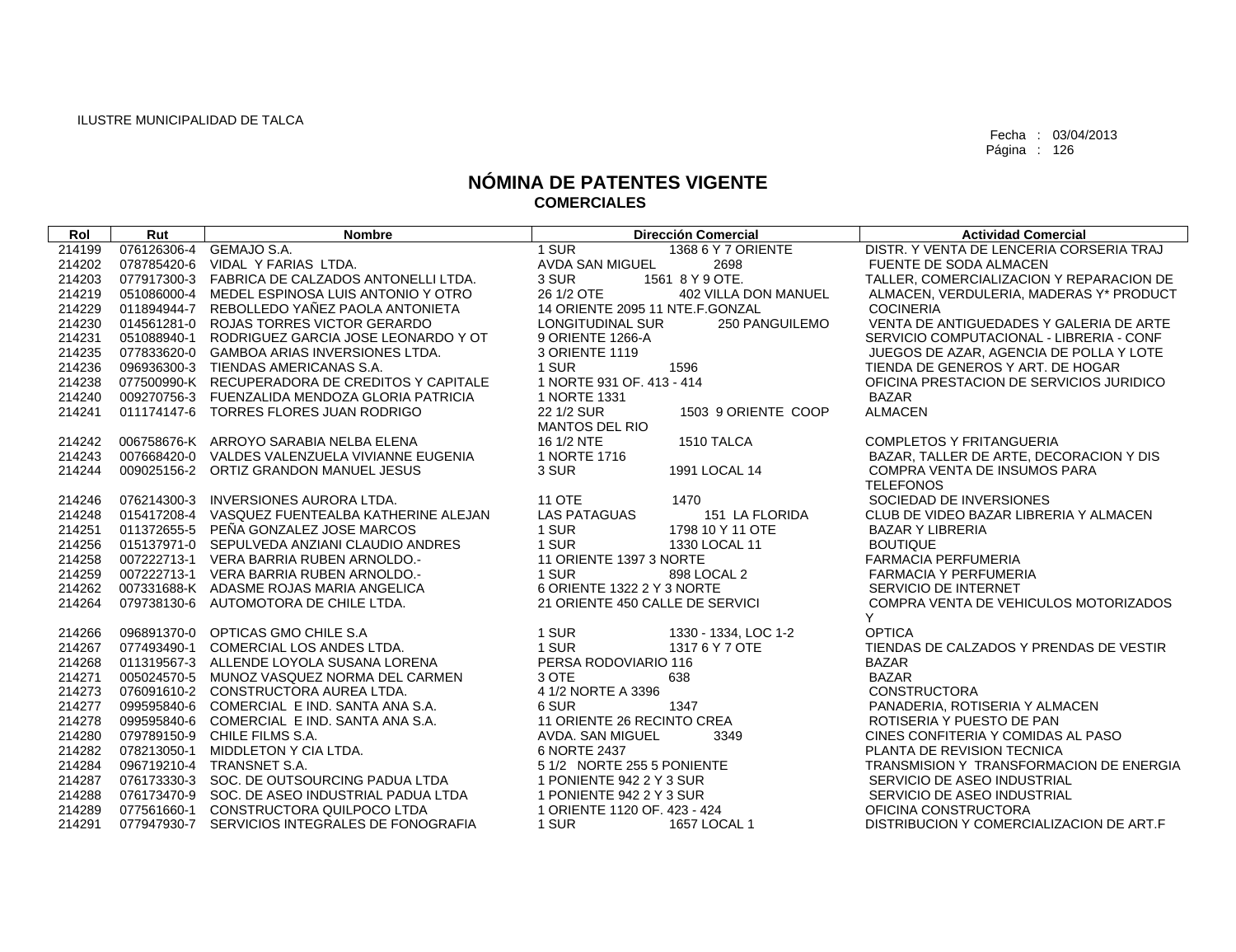| Rol    | Rut | <b>Nombre</b>                                   | <b>Dirección Comercial</b>            | <b>Actividad Comercial</b>               |
|--------|-----|-------------------------------------------------|---------------------------------------|------------------------------------------|
| 214199 |     | 076126306-4 GEMAJO S.A.                         | 1 SUR<br>1368 6 Y 7 ORIENTE           | DISTR. Y VENTA DE LENCERIA CORSERIA TRAJ |
| 214202 |     | 078785420-6 VIDAL Y FARIAS LTDA.                | AVDA SAN MIGUEL<br>2698               | FUENTE DE SODA ALMACEN                   |
| 214203 |     | 077917300-3 FABRICA DE CALZADOS ANTONELLI LTDA. | 1561 8 Y 9 OTE.<br>3 SUR              | TALLER, COMERCIALIZACION Y REPARACION DE |
| 214219 |     | 051086000-4 MEDEL ESPINOSA LUIS ANTONIO Y OTRO  | 26 1/2 OTE<br>402 VILLA DON MANUEL    | ALMACEN, VERDULERIA, MADERAS Y* PRODUCT  |
| 214229 |     | 011894944-7 REBOLLEDO YAÑEZ PAOLA ANTONIETA     | 14 ORIENTE 2095 11 NTE.F.GONZAL       | <b>COCINERIA</b>                         |
| 214230 |     | 014561281-0 ROJAS TORRES VICTOR GERARDO         | 250 PANGUILEMO<br>LONGITUDINAL SUR    | VENTA DE ANTIGUEDADES Y GALERIA DE ARTE  |
| 214231 |     | 051088940-1 RODRIGUEZ GARCIA JOSE LEONARDO Y OT | 9 ORIENTE 1266-A                      | SERVICIO COMPUTACIONAL - LIBRERIA - CONF |
| 214235 |     | 077833620-0 GAMBOA ARIAS INVERSIONES LTDA.      | 3 ORIENTE 1119                        | JUEGOS DE AZAR, AGENCIA DE POLLA Y LOTE  |
| 214236 |     | 096936300-3 TIENDAS AMERICANAS S.A.             | 1 SUR<br>1596                         | TIENDA DE GENEROS Y ART. DE HOGAR        |
| 214238 |     | 077500990-K RECUPERADORA DE CREDITOS Y CAPITALE | 1 NORTE 931 OF, 413 - 414             | OFICINA PRESTACION DE SERVICIOS JURIDICO |
| 214240 |     | 009270756-3 FUENZALIDA MENDOZA GLORIA PATRICIA  | 1 NORTE 1331                          | <b>BAZAR</b>                             |
| 214241 |     | 011174147-6 TORRES FLORES JUAN RODRIGO          | 22 1/2 SUR<br>1503 9 ORIENTE COOP     | <b>ALMACEN</b>                           |
|        |     |                                                 | <b>MANTOS DEL RIO</b>                 |                                          |
| 214242 |     | 006758676-K ARROYO SARABIA NELBA ELENA          | 16 1/2 NTE<br>1510 TALCA              | <b>COMPLETOS Y FRITANGUERIA</b>          |
| 214243 |     | 007668420-0 VALDES VALENZUELA VIVIANNE EUGENIA  | 1 NORTE 1716                          | BAZAR, TALLER DE ARTE, DECORACION Y DIS  |
| 214244 |     | 009025156-2 ORTIZ GRANDON MANUEL JESUS          | 3 SUR<br>1991 LOCAL 14                | <b>COMPRA VENTA DE INSUMOS PARA</b>      |
|        |     |                                                 |                                       | <b>TELEFONOS</b>                         |
| 214246 |     | 076214300-3 INVERSIONES AURORA LTDA.            | <b>11 OTE</b><br>1470                 | SOCIEDAD DE INVERSIONES                  |
| 214248 |     | 015417208-4 VASQUEZ FUENTEALBA KATHERINE ALEJAN | <b>LAS PATAGUAS</b><br>151 LA FLORIDA | CLUB DE VIDEO BAZAR LIBRERIA Y ALMACEN   |
| 214251 |     | 011372655-5 PEÑA GONZALEZ JOSE MARCOS           | 1 SUR<br>1798 10 Y 11 OTE             | <b>BAZAR Y LIBRERIA</b>                  |
| 214256 |     | 015137971-0 SEPULVEDA ANZIANI CLAUDIO ANDRES    | 1 SUR<br>1330 LOCAL 11                | <b>BOUTIQUE</b>                          |
| 214258 |     | 007222713-1 VERA BARRIA RUBEN ARNOLDO.          | 11 ORIENTE 1397 3 NORTE               | <b>FARMACIA PERFUMERIA</b>               |
| 214259 |     | 007222713-1 VERA BARRIA RUBEN ARNOLDO.          | 1 SUR<br>898 LOCAL 2                  | FARMACIA Y PERFUMERIA                    |
| 214262 |     | 007331688-K ADASME ROJAS MARIA ANGELICA         | 6 ORIENTE 1322 2 Y 3 NORTE            | SERVICIO DE INTERNET                     |
| 214264 |     | 079738130-6 AUTOMOTORA DE CHILE LTDA.           | 21 ORIENTE 450 CALLE DE SERVICI       | COMPRA VENTA DE VEHICULOS MOTORIZADOS    |
|        |     |                                                 |                                       | Y                                        |
| 214266 |     | 096891370-0 OPTICAS GMO CHILE S.A               | 1 SUR<br>1330 - 1334, LOC 1-2         | <b>OPTICA</b>                            |
| 214267 |     | 077493490-1 COMERCIAL LOS ANDES LTDA.           | 1 SUR<br>1317 6 Y 7 OTE               | TIENDAS DE CALZADOS Y PRENDAS DE VESTIR  |
| 214268 |     | 011319567-3 ALLENDE LOYOLA SUSANA LORENA        | PERSA RODOVIARIO 116                  | <b>BAZAR</b>                             |
| 214271 |     | 005024570-5 MUNOZ VASQUEZ NORMA DEL CARMEN      | 3 OTE<br>638                          | <b>BAZAR</b>                             |
| 214273 |     | 076091610-2 CONSTRUCTORA AUREA LTDA.            | 4 1/2 NORTE A 3396                    | <b>CONSTRUCTORA</b>                      |
| 214277 |     | 099595840-6 COMERCIAL E IND. SANTA ANA S.A.     | 6 SUR<br>1347                         | PANADERIA, ROTISERIA Y ALMACEN           |
| 214278 |     | 099595840-6 COMERCIAL E IND. SANTA ANA S.A.     | 11 ORIENTE 26 RECINTO CREA            | ROTISERIA Y PUESTO DE PAN                |
| 214280 |     | 079789150-9 CHILE FILMS S.A.                    | 3349<br>AVDA. SAN MIGUEL              | CINES CONFITERIA Y COMIDAS AL PASO       |
| 214282 |     | 078213050-1 MIDDLETON Y CIA LTDA.               | 6 NORTE 2437                          | PLANTA DE REVISION TECNICA               |
| 214284 |     | 096719210-4 TRANSNET S.A.                       | 5 1/2 NORTE 255 5 PONIENTE            | TRANSMISION Y TRANSFORMACION DE ENERGIA  |
| 214287 |     | 076173330-3 SOC. DE OUTSOURCING PADUA LTDA      | 1 PONIENTE 942 2 Y 3 SUR              | SERVICIO DE ASEO INDUSTRIAL              |
| 214288 |     | 076173470-9 SOC. DE ASEO INDUSTRIAL PADUA LTDA  | 1 PONIENTE 942 2 Y 3 SUR              | SERVICIO DE ASEO INDUSTRIAL              |
| 214289 |     | 077561660-1 CONSTRUCTORA QUILPOCO LTDA          | 1 ORIENTE 1120 OF, 423 - 424          | OFICINA CONSTRUCTORA                     |
| 214291 |     | 077947930-7 SERVICIOS INTEGRALES DE FONOGRAFIA  | 1 SUR<br>1657 LOCAL 1                 | DISTRIBUCION Y COMERCIALIZACION DE ART.F |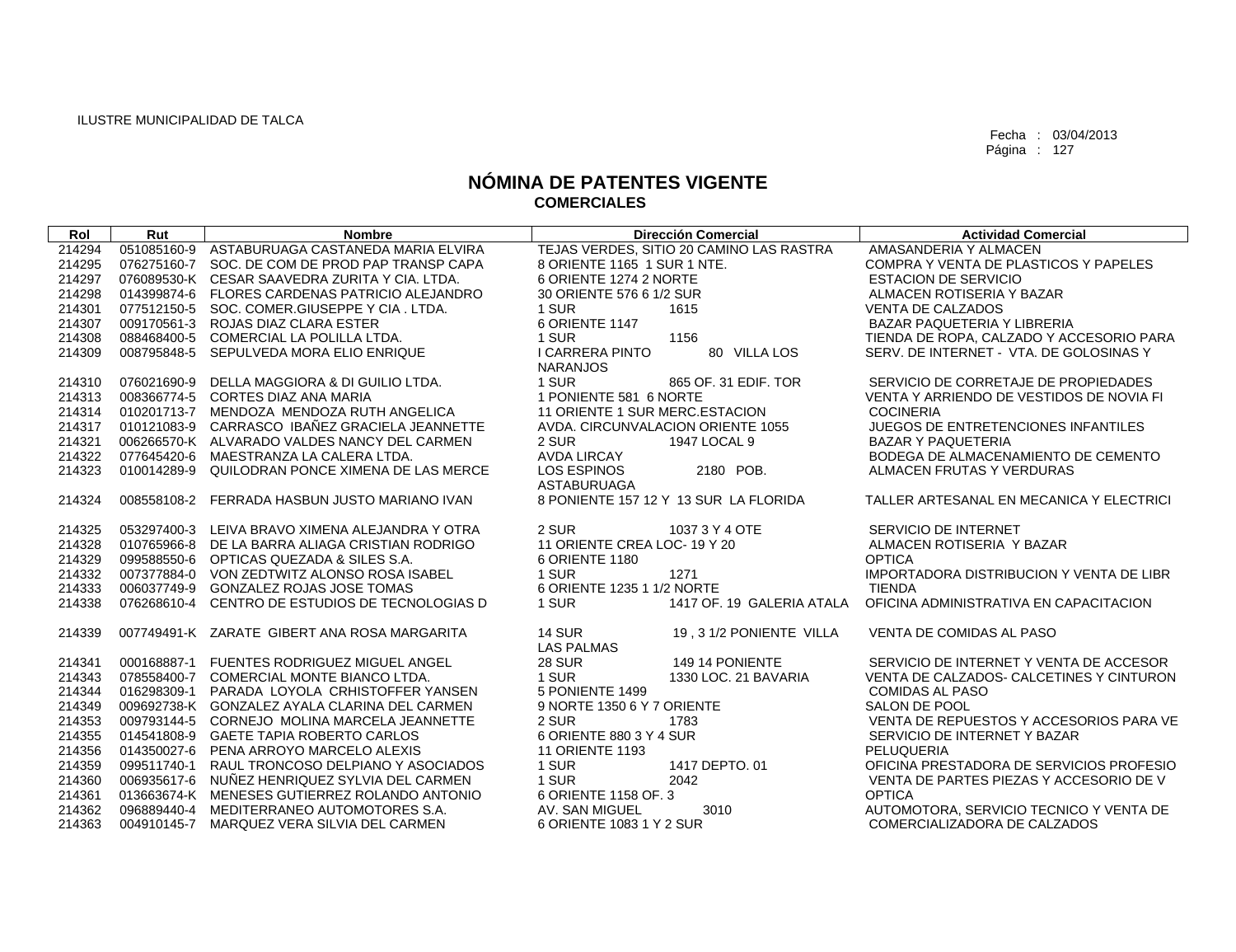| Rol    | Rut         | <b>Nombre</b>                                   | <b>Dirección Comercial</b>                                     | <b>Actividad Comercial</b>               |
|--------|-------------|-------------------------------------------------|----------------------------------------------------------------|------------------------------------------|
| 214294 |             | 051085160-9 ASTABURUAGA CASTANEDA MARIA ELVIRA  | TEJAS VERDES, SITIO 20 CAMINO LAS RASTRA                       | AMASANDERIA Y ALMACEN                    |
| 214295 |             | 076275160-7 SOC, DE COM DE PROD PAP TRANSP CAPA | 8 ORIENTE 1165 1 SUR 1 NTE.                                    | COMPRA Y VENTA DE PLASTICOS Y PAPELES    |
| 214297 |             | 076089530-K CESAR SAAVEDRA ZURITA Y CIA. LTDA.  | 6 ORIENTE 1274 2 NORTE                                         | <b>ESTACION DE SERVICIO</b>              |
| 214298 |             | 014399874-6 FLORES CARDENAS PATRICIO ALEJANDRO  | 30 ORIENTE 576 6 1/2 SUR                                       | ALMACEN ROTISERIA Y BAZAR                |
| 214301 |             | 077512150-5 SOC. COMER.GIUSEPPE Y CIA. LTDA.    | 1 SUR<br>1615                                                  | <b>VENTA DE CALZADOS</b>                 |
| 214307 |             | 009170561-3 ROJAS DIAZ CLARA ESTER              | 6 ORIENTE 1147                                                 | BAZAR PAQUETERIA Y LIBRERIA              |
| 214308 |             | 088468400-5 COMERCIAL LA POLILLA LTDA.          | 1 SUR<br>1156                                                  | TIENDA DE ROPA, CALZADO Y ACCESORIO PARA |
| 214309 |             | 008795848-5 SEPULVEDA MORA ELIO ENRIQUE         | I CARRERA PINTO<br>80 VILLA LOS<br><b>NARANJOS</b>             | SERV. DE INTERNET - VTA. DE GOLOSINAS Y  |
| 214310 |             | 076021690-9 DELLA MAGGIORA & DI GUILIO LTDA.    | 1 SUR<br>865 OF. 31 EDIF. TOR                                  | SERVICIO DE CORRETAJE DE PROPIEDADES     |
| 214313 |             | 008366774-5 CORTES DIAZ ANA MARIA               | 1 PONIENTE 581 6 NORTE                                         | VENTA Y ARRIENDO DE VESTIDOS DE NOVIA FI |
| 214314 |             | 010201713-7 MENDOZA MENDOZA RUTH ANGELICA       | 11 ORIENTE 1 SUR MERC. ESTACION                                | <b>COCINERIA</b>                         |
| 214317 |             | 010121083-9 CARRASCO IBAÑEZ GRACIELA JEANNETTE  | AVDA. CIRCUNVALACION ORIENTE 1055                              | JUEGOS DE ENTRETENCIONES INFANTILES      |
| 214321 |             | 006266570-K ALVARADO VALDES NANCY DEL CARMEN    | 2 SUR<br>1947 LOCAL 9                                          | <b>BAZAR Y PAQUETERIA</b>                |
| 214322 |             | 077645420-6 MAESTRANZA LA CALERA LTDA.          | AVDA LIRCAY                                                    | BODEGA DE ALMACENAMIENTO DE CEMENTO      |
| 214323 | 010014289-9 | QUILODRAN PONCE XIMENA DE LAS MERCE             | LOS ESPINOS<br>2180 POB.<br>ASTABURUAGA                        | ALMACEN FRUTAS Y VERDURAS                |
| 214324 |             | 008558108-2 FERRADA HASBUN JUSTO MARIANO IVAN   | 8 PONIENTE 157 12 Y 13 SUR LA FLORIDA                          | TALLER ARTESANAL EN MECANICA Y ELECTRICI |
| 214325 |             | 053297400-3 LEIVA BRAVO XIMENA ALEJANDRA Y OTRA | 2 SUR<br>1037 3 Y 4 OTE                                        | SERVICIO DE INTERNET                     |
| 214328 |             | 010765966-8 DE LA BARRA ALIAGA CRISTIAN RODRIGO | 11 ORIENTE CREA LOC-19 Y 20                                    | ALMACEN ROTISERIA Y BAZAR                |
| 214329 |             | 099588550-6 OPTICAS QUEZADA & SILES S.A.        | 6 ORIENTE 1180                                                 | <b>OPTICA</b>                            |
| 214332 |             | 007377884-0 VON ZEDTWITZ ALONSO ROSA ISABEL     | 1 SUR<br>1271                                                  | IMPORTADORA DISTRIBUCION Y VENTA DE LIBR |
| 214333 |             | 006037749-9 GONZALEZ ROJAS JOSE TOMAS           | 6 ORIENTE 1235 1 1/2 NORTE                                     | <b>TIENDA</b>                            |
| 214338 |             | 076268610-4 CENTRO DE ESTUDIOS DE TECNOLOGIAS D | 1 SUR<br>1417 OF, 19 GALERIA ATALA                             | OFICINA ADMINISTRATIVA EN CAPACITACION   |
| 214339 |             | 007749491-K ZARATE GIBERT ANA ROSA MARGARITA    | <b>14 SUR</b><br>19, 3 1/2 PONIENTE VILLA<br><b>LAS PALMAS</b> | VENTA DE COMIDAS AL PASO                 |
| 214341 |             | 000168887-1 FUENTES RODRIGUEZ MIGUEL ANGEL      | <b>28 SUR</b><br>149 14 PONIENTE                               | SERVICIO DE INTERNET Y VENTA DE ACCESOR  |
| 214343 |             | 078558400-7 COMERCIAL MONTE BIANCO LTDA.        | 1 SUR<br>1330 LOC, 21 BAVARIA                                  | VENTA DE CALZADOS- CALCETINES Y CINTURON |
| 214344 |             | 016298309-1 PARADA LOYOLA CRHISTOFFER YANSEN    | 5 PONIENTE 1499                                                | <b>COMIDAS AL PASO</b>                   |
| 214349 |             | 009692738-K GONZALEZ AYALA CLARINA DEL CARMEN   | 9 NORTE 1350 6 Y 7 ORIENTE                                     | SALON DE POOL                            |
| 214353 |             | 009793144-5 CORNEJO MOLINA MARCELA JEANNETTE    | 2 SUR<br>1783                                                  | VENTA DE REPUESTOS Y ACCESORIOS PARA VE  |
| 214355 |             | 014541808-9 GAETE TAPIA ROBERTO CARLOS          | 6 ORIENTE 880 3 Y 4 SUR                                        | SERVICIO DE INTERNET Y BAZAR             |
| 214356 |             | 014350027-6 PENA ARROYO MARCELO ALEXIS          | <b>11 ORIENTE 1193</b>                                         | PELUQUERIA                               |
| 214359 |             | 099511740-1 RAUL TRONCOSO DELPIANO Y ASOCIADOS  | 1 SUR<br>1417 DEPTO, 01                                        | OFICINA PRESTADORA DE SERVICIOS PROFESIO |
| 214360 |             | 006935617-6 NUNEZ HENRIQUEZ SYLVIA DEL CARMEN   | 1 SUR<br>2042                                                  | VENTA DE PARTES PIEZAS Y ACCESORIO DE V  |
| 214361 |             | 013663674-K MENESES GUTIERREZ ROLANDO ANTONIO   | 6 ORIENTE 1158 OF. 3                                           | <b>OPTICA</b>                            |
| 214362 |             | 096889440-4 MEDITERRANEO AUTOMOTORES S.A.       | AV. SAN MIGUEL<br>3010                                         | AUTOMOTORA, SERVICIO TECNICO Y VENTA DE  |
| 214363 |             | 004910145-7 MARQUEZ VERA SILVIA DEL CARMEN      | 6 ORIENTE 1083 1 Y 2 SUR                                       | COMERCIALIZADORA DE CALZADOS             |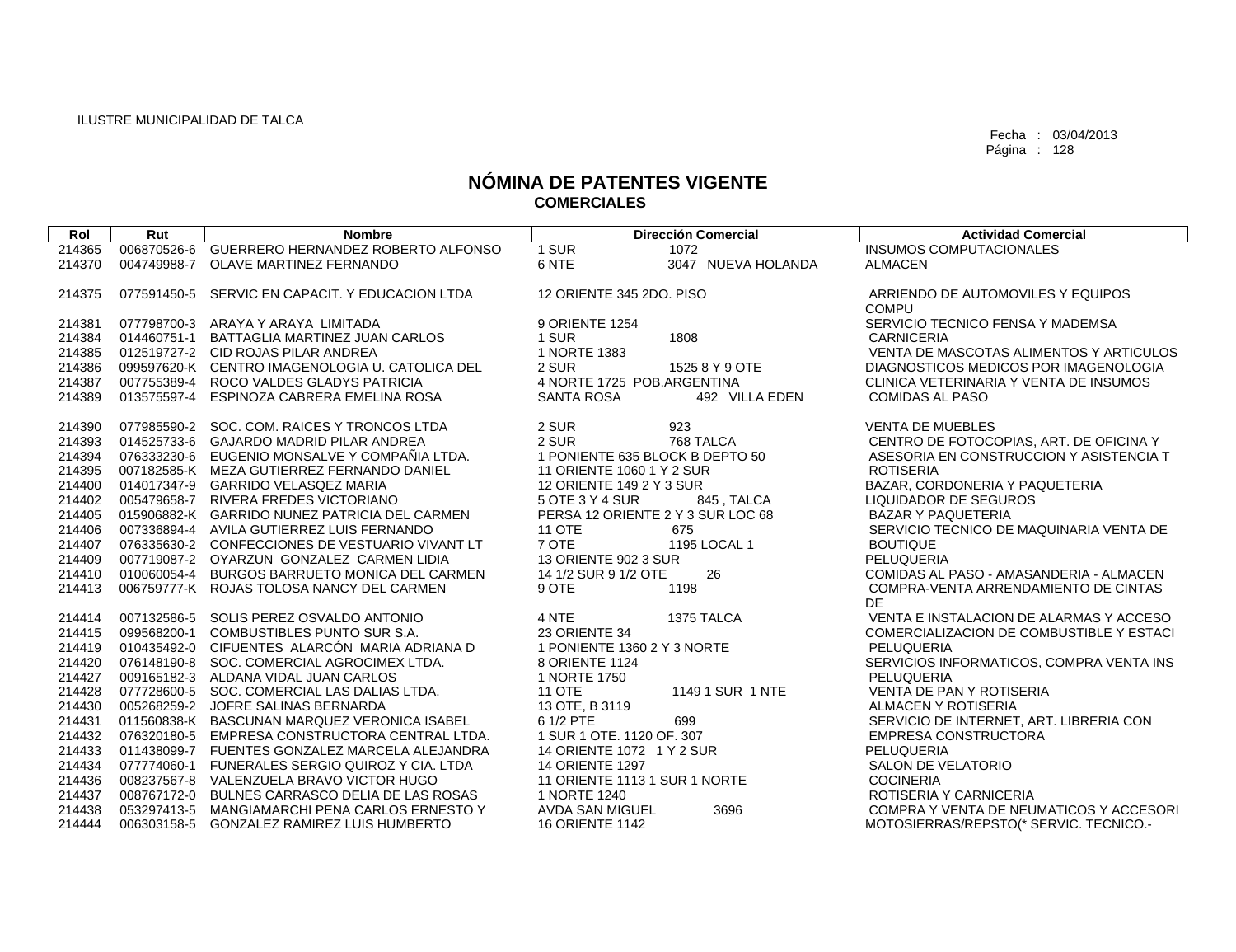| Rol    | Rut | <b>Nombre</b>                                   |                                   | <b>Dirección Comercial</b> | <b>Actividad Comercial</b>               |
|--------|-----|-------------------------------------------------|-----------------------------------|----------------------------|------------------------------------------|
| 214365 |     | 006870526-6 GUERRERO HERNANDEZ ROBERTO ALFONSO  | 1 SUR                             | 1072                       | <b>INSUMOS COMPUTACIONALES</b>           |
| 214370 |     | 004749988-7 OLAVE MARTINEZ FERNANDO             | 6 NTE                             | 3047 NUEVA HOLANDA         | <b>ALMACEN</b>                           |
|        |     |                                                 |                                   |                            |                                          |
| 214375 |     | 077591450-5 SERVIC EN CAPACIT. Y EDUCACION LTDA | 12 ORIENTE 345 2DO, PISO          |                            | ARRIENDO DE AUTOMOVILES Y EQUIPOS        |
|        |     |                                                 |                                   |                            | <b>COMPU</b>                             |
| 214381 |     | 077798700-3 ARAYA Y ARAYA LIMITADA              | 9 ORIENTE 1254                    |                            | SERVICIO TECNICO FENSA Y MADEMSA         |
| 214384 |     | 014460751-1 BATTAGLIA MARTINEZ JUAN CARLOS      | 1 SUR                             | 1808                       | <b>CARNICERIA</b>                        |
| 214385 |     | 012519727-2 CID ROJAS PILAR ANDREA              | 1 NORTE 1383                      |                            | VENTA DE MASCOTAS ALIMENTOS Y ARTICULOS  |
| 214386 |     | 099597620-K CENTRO IMAGENOLOGIA U. CATOLICA DEL | 2 SUR                             | 1525 8 Y 9 OTE             | DIAGNOSTICOS MEDICOS POR IMAGENOLOGIA    |
| 214387 |     | 007755389-4 ROCO VALDES GLADYS PATRICIA         | 4 NORTE 1725 POB.ARGENTINA        |                            | CLINICA VETERINARIA Y VENTA DE INSUMOS   |
| 214389 |     | 013575597-4 ESPINOZA CABRERA EMELINA ROSA       | <b>SANTA ROSA</b>                 | 492 VILLA EDEN             | <b>COMIDAS AL PASO</b>                   |
| 214390 |     | 077985590-2 SOC. COM. RAICES Y TRONCOS LTDA     | 2 SUR                             | 923                        | <b>VENTA DE MUEBLES</b>                  |
| 214393 |     | 014525733-6 GAJARDO MADRID PILAR ANDREA         | 2 SUR                             | 768 TALCA                  | CENTRO DE FOTOCOPIAS, ART. DE OFICINA Y  |
| 214394 |     | 076333230-6 EUGENIO MONSALVE Y COMPAÑIA LTDA.   | 1 PONIENTE 635 BLOCK B DEPTO 50   |                            | ASESORIA EN CONSTRUCCION Y ASISTENCIA T  |
| 214395 |     | 007182585-K MEZA GUTIERREZ FERNANDO DANIEL      | 11 ORIENTE 1060 1 Y 2 SUR         |                            | <b>ROTISERIA</b>                         |
| 214400 |     | 014017347-9 GARRIDO VELASQEZ MARIA              | 12 ORIENTE 149 2 Y 3 SUR          |                            | BAZAR, CORDONERIA Y PAQUETERIA           |
| 214402 |     | 005479658-7 RIVERA FREDES VICTORIANO            | 5 OTE 3 Y 4 SUR                   | 845, TALCA                 | <b>LIQUIDADOR DE SEGUROS</b>             |
| 214405 |     | 015906882-K GARRIDO NUNEZ PATRICIA DEL CARMEN   | PERSA 12 ORIENTE 2 Y 3 SUR LOC 68 |                            | <b>BAZAR Y PAQUETERIA</b>                |
| 214406 |     | 007336894-4 AVILA GUTIERREZ LUIS FERNANDO       | <b>11 OTE</b>                     | 675                        | SERVICIO TECNICO DE MAQUINARIA VENTA DE  |
| 214407 |     | 076335630-2 CONFECCIONES DE VESTUARIO VIVANT LT | 7 OTE                             | 1195 LOCAL 1               | <b>BOUTIQUE</b>                          |
| 214409 |     | 007719087-2 OYARZUN GONZALEZ CARMEN LIDIA       | 13 ORIENTE 902 3 SUR              |                            | PELUQUERIA                               |
| 214410 |     | 010060054-4 BURGOS BARRUETO MONICA DEL CARMEN   | 14 1/2 SUR 9 1/2 OTE              | 26                         | COMIDAS AL PASO - AMASANDERIA - ALMACEN  |
| 214413 |     | 006759777-K ROJAS TOLOSA NANCY DEL CARMEN       | 9 OTE                             | 1198                       | COMPRA-VENTA ARRENDAMIENTO DE CINTAS     |
|        |     |                                                 |                                   |                            | <b>DE</b>                                |
| 214414 |     | 007132586-5 SOLIS PEREZ OSVALDO ANTONIO         | 4 NTE                             | 1375 TALCA                 | VENTA E INSTALACION DE ALARMAS Y ACCESO  |
| 214415 |     | 099568200-1 COMBUSTIBLES PUNTO SUR S.A.         | 23 ORIENTE 34                     |                            | COMERCIALIZACION DE COMBUSTIBLE Y ESTACI |
| 214419 |     | 010435492-0 CIFUENTES ALARCÓN MARIA ADRIANA D   | 1 PONIENTE 1360 2 Y 3 NORTE       |                            | <b>PELUQUERIA</b>                        |
| 214420 |     | 076148190-8 SOC. COMERCIAL AGROCIMEX LTDA.      | 8 ORIENTE 1124                    |                            | SERVICIOS INFORMATICOS, COMPRA VENTA INS |
| 214427 |     | 009165182-3 ALDANA VIDAL JUAN CARLOS            | 1 NORTE 1750                      |                            | PELUQUERIA                               |
| 214428 |     | 077728600-5 SOC. COMERCIAL LAS DALIAS LTDA.     | <b>11 OTE</b>                     | 1149 1 SUR 1 NTE           | VENTA DE PAN Y ROTISERIA                 |
| 214430 |     | 005268259-2 JOFRE SALINAS BERNARDA              | 13 OTE, B 3119                    |                            | ALMACEN Y ROTISERIA                      |
| 214431 |     | 011560838-K BASCUNAN MARQUEZ VERONICA ISABEL    | 6 1/2 PTE                         | 699                        | SERVICIO DE INTERNET, ART. LIBRERIA CON  |
| 214432 |     | 076320180-5 EMPRESA CONSTRUCTORA CENTRAL LTDA.  | 1 SUR 1 OTE. 1120 OF. 307         |                            | <b>EMPRESA CONSTRUCTORA</b>              |
| 214433 |     | 011438099-7 FUENTES GONZALEZ MARCELA ALEJANDRA  | 14 ORIENTE 1072 1 Y 2 SUR         |                            | PELUQUERIA                               |
| 214434 |     | 077774060-1 FUNERALES SERGIO QUIROZ Y CIA, LTDA | <b>14 ORIENTE 1297</b>            |                            | <b>SALON DE VELATORIO</b>                |
| 214436 |     | 008237567-8 VALENZUELA BRAVO VICTOR HUGO        | 11 ORIENTE 1113 1 SUR 1 NORTE     |                            | <b>COCINERIA</b>                         |
| 214437 |     | 008767172-0 BULNES CARRASCO DELIA DE LAS ROSAS  | 1 NORTE 1240                      |                            | ROTISERIA Y CARNICERIA                   |
| 214438 |     | 053297413-5 MANGIAMARCHI PENA CARLOS ERNESTO Y  | AVDA SAN MIGUEL                   | 3696                       | COMPRA Y VENTA DE NEUMATICOS Y ACCESORI  |
| 214444 |     | 006303158-5 GONZALEZ RAMIREZ LUIS HUMBERTO      | <b>16 ORIENTE 1142</b>            |                            | MOTOSIERRAS/REPSTO(* SERVIC, TECNICO,-   |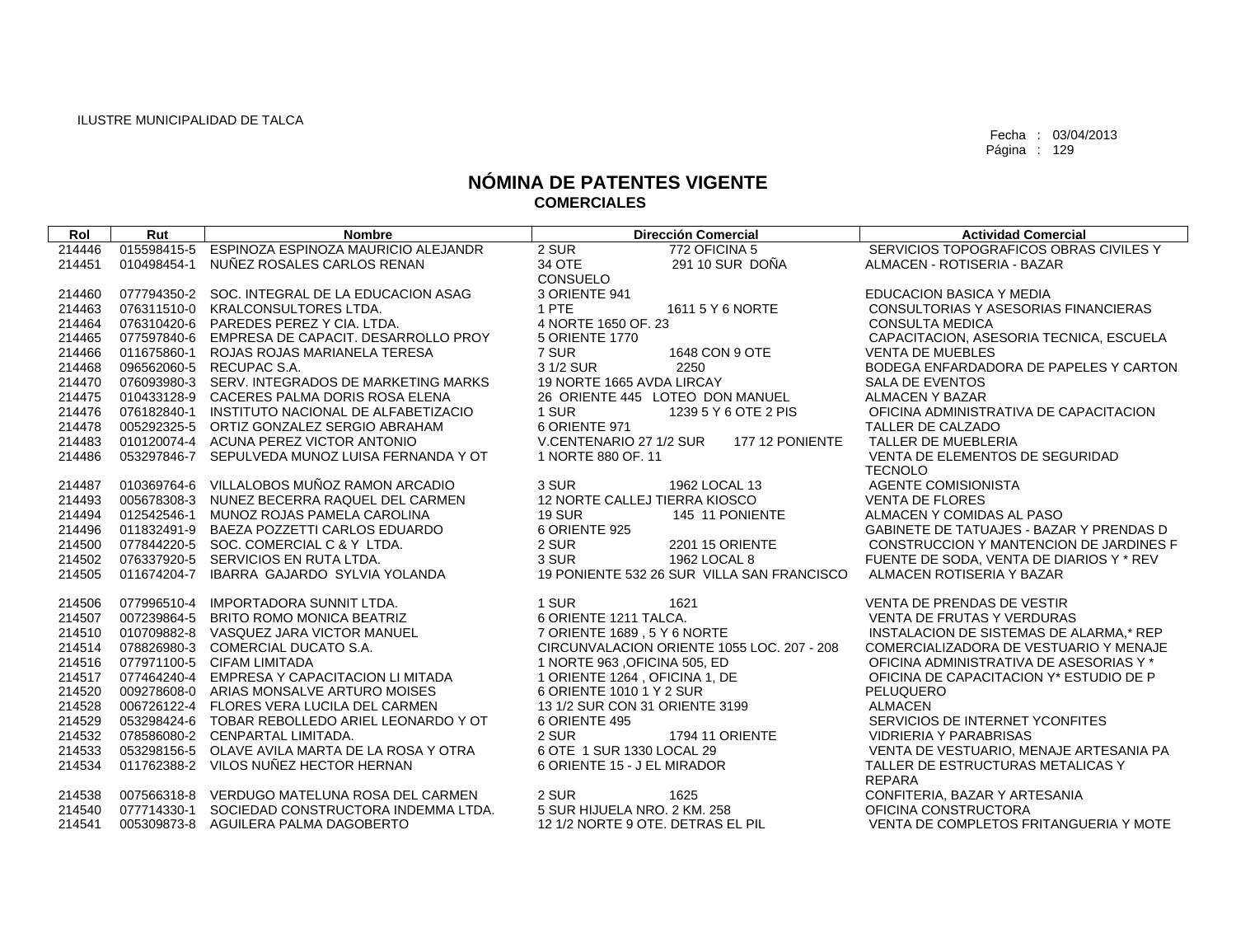| Rol    | Rut | <b>Nombre</b>                                   | <b>Dirección Comercial</b>                 | <b>Actividad Comercial</b>               |
|--------|-----|-------------------------------------------------|--------------------------------------------|------------------------------------------|
| 214446 |     | 015598415-5 ESPINOZA ESPINOZA MAURICIO ALEJANDR | 2 SUR<br>772 OFICINA 5                     | SERVICIOS TOPOGRAFICOS OBRAS CIVILES Y   |
| 214451 |     | 010498454-1 NUÑEZ ROSALES CARLOS RENAN          | 34 OTE<br>291 10 SUR DOÑA                  | ALMACEN - ROTISERIA - BAZAR              |
|        |     |                                                 | CONSUELO                                   |                                          |
| 214460 |     | 077794350-2 SOC. INTEGRAL DE LA EDUCACION ASAG  | 3 ORIENTE 941                              | EDUCACION BASICA Y MEDIA                 |
| 214463 |     | 076311510-0 KRALCONSULTORES LTDA.               | 1 PTE<br>1611 5 Y 6 NORTE                  | CONSULTORIAS Y ASESORIAS FINANCIERAS     |
| 214464 |     | 076310420-6 PAREDES PEREZ Y CIA, LTDA.          | 4 NORTE 1650 OF, 23                        | <b>CONSULTA MEDICA</b>                   |
| 214465 |     | 077597840-6 EMPRESA DE CAPACIT. DESARROLLO PROY | 5 ORIENTE 1770                             | CAPACITACION, ASESORIA TECNICA, ESCUELA  |
| 214466 |     | 011675860-1 ROJAS ROJAS MARIANELA TERESA        | 7 SUR<br>1648 CON 9 OTE                    | <b>VENTA DE MUEBLES</b>                  |
| 214468 |     | 096562060-5 RECUPAC S.A.                        | 3 1/2 SUR<br>2250                          | BODEGA ENFARDADORA DE PAPELES Y CARTON   |
| 214470 |     | 076093980-3 SERV. INTEGRADOS DE MARKETING MARKS | 19 NORTE 1665 AVDA LIRCAY                  | <b>SALA DE EVENTOS</b>                   |
| 214475 |     | 010433128-9 CACERES PALMA DORIS ROSA ELENA      | 26 ORIENTE 445 LOTEO DON MANUEL            | <b>ALMACEN Y BAZAR</b>                   |
| 214476 |     | 076182840-1 INSTITUTO NACIONAL DE ALFABETIZACIO | 1 SUR<br>1239 5 Y 6 OTE 2 PIS              | OFICINA ADMINISTRATIVA DE CAPACITACION   |
| 214478 |     | 005292325-5 ORTIZ GONZALEZ SERGIO ABRAHAM       | 6 ORIENTE 971                              | TALLER DE CALZADO                        |
| 214483 |     | 010120074-4 ACUNA PEREZ VICTOR ANTONIO          | V.CENTENARIO 27 1/2 SUR<br>177 12 PONIENTE | TALLER DE MUEBLERIA                      |
| 214486 |     | 053297846-7 SEPULVEDA MUNOZ LUISA FERNANDA Y OT | 1 NORTE 880 OF, 11                         | VENTA DE ELEMENTOS DE SEGURIDAD          |
|        |     |                                                 |                                            | <b>TECNOLO</b>                           |
| 214487 |     | 010369764-6 VILLALOBOS MUÑOZ RAMON ARCADIO      | 3 SUR<br>1962 LOCAL 13                     | <b>AGENTE COMISIONISTA</b>               |
| 214493 |     | 005678308-3 NUNEZ BECERRA RAQUEL DEL CARMEN     | 12 NORTE CALLEJ TIERRA KIOSCO              | <b>VENTA DE FLORES</b>                   |
| 214494 |     | 012542546-1 MUNOZ ROJAS PAMELA CAROLINA         | <b>19 SUR</b><br>145 11 PONIENTE           | ALMACEN Y COMIDAS AL PASO                |
| 214496 |     | 011832491-9 BAEZA POZZETTI CARLOS EDUARDO       | 6 ORIENTE 925                              | GABINETE DE TATUAJES - BAZAR Y PRENDAS D |
| 214500 |     | 077844220-5 SOC. COMERCIAL C & Y LTDA.          | 2 SUR<br>2201 15 ORIENTE                   | CONSTRUCCION Y MANTENCION DE JARDINES F  |
| 214502 |     | 076337920-5 SERVICIOS EN RUTA LTDA.             | 3 SUR<br>1962 LOCAL 8                      | FUENTE DE SODA, VENTA DE DIARIOS Y * REV |
| 214505 |     | 011674204-7 IBARRA GAJARDO SYLVIA YOLANDA       | 19 PONIENTE 532 26 SUR VILLA SAN FRANCISCO | ALMACEN ROTISERIA Y BAZAR                |
| 214506 |     | 077996510-4 IMPORTADORA SUNNIT LTDA.            | 1 SUR<br>1621                              | <b>VENTA DE PRENDAS DE VESTIR</b>        |
| 214507 |     | 007239864-5 BRITO ROMO MONICA BEATRIZ           | 6 ORIENTE 1211 TALCA.                      | <b>VENTA DE FRUTAS Y VERDURAS</b>        |
| 214510 |     | 010709882-8 VASQUEZ JARA VICTOR MANUEL          | 7 ORIENTE 1689, 5 Y 6 NORTE                | INSTALACION DE SISTEMAS DE ALARMA,* REP  |
| 214514 |     | 078826980-3 COMERCIAL DUCATO S.A.               | CIRCUNVALACION ORIENTE 1055 LOC. 207 - 208 | COMERCIALIZADORA DE VESTUARIO Y MENAJE   |
| 214516 |     | 077971100-5 CIFAM LIMITADA                      | 1 NORTE 963 , OFICINA 505, ED              | OFICINA ADMINISTRATIVA DE ASESORIAS Y *  |
| 214517 |     | 077464240-4 EMPRESA Y CAPACITACION LI MITADA    | 1 ORIENTE 1264, OFICINA 1, DE              | OFICINA DE CAPACITACION Y* ESTUDIO DE P  |
| 214520 |     | 009278608-0 ARIAS MONSALVE ARTURO MOISES        | 6 ORIENTE 1010 1 Y 2 SUR                   | PELUQUERO                                |
| 214528 |     | 006726122-4 FLORES VERA LUCILA DEL CARMEN       | 13 1/2 SUR CON 31 ORIENTE 3199             | <b>ALMACEN</b>                           |
| 214529 |     | 053298424-6 TOBAR REBOLLEDO ARIEL LEONARDO Y OT | 6 ORIENTE 495                              | SERVICIOS DE INTERNET YCONFITES          |
| 214532 |     | 078586080-2 CENPARTAL LIMITADA.                 | 2 SUR<br><b>1794 11 ORIENTE</b>            | <b>VIDRIERIA Y PARABRISAS</b>            |
| 214533 |     | 053298156-5 OLAVE AVILA MARTA DE LA ROSA Y OTRA | 6 OTE 1 SUR 1330 LOCAL 29                  | VENTA DE VESTUARIO, MENAJE ARTESANIA PA  |
| 214534 |     | 011762388-2 VILOS NUÑEZ HECTOR HERNAN           | 6 ORIENTE 15 - J EL MIRADOR                | TALLER DE ESTRUCTURAS METALICAS Y        |
|        |     |                                                 |                                            | <b>REPARA</b>                            |
| 214538 |     | 007566318-8 VERDUGO MATELUNA ROSA DEL CARMEN    | 2 SUR<br>1625                              | CONFITERIA, BAZAR Y ARTESANIA            |
| 214540 |     | 077714330-1 SOCIEDAD CONSTRUCTORA INDEMMA LTDA. | 5 SUR HIJUELA NRO. 2 KM. 258               | OFICINA CONSTRUCTORA                     |
| 214541 |     | 005309873-8 AGUILERA PALMA DAGOBERTO            | 12 1/2 NORTE 9 OTE, DETRAS EL PIL          | VENTA DE COMPLETOS FRITANGUERIA Y MOTE   |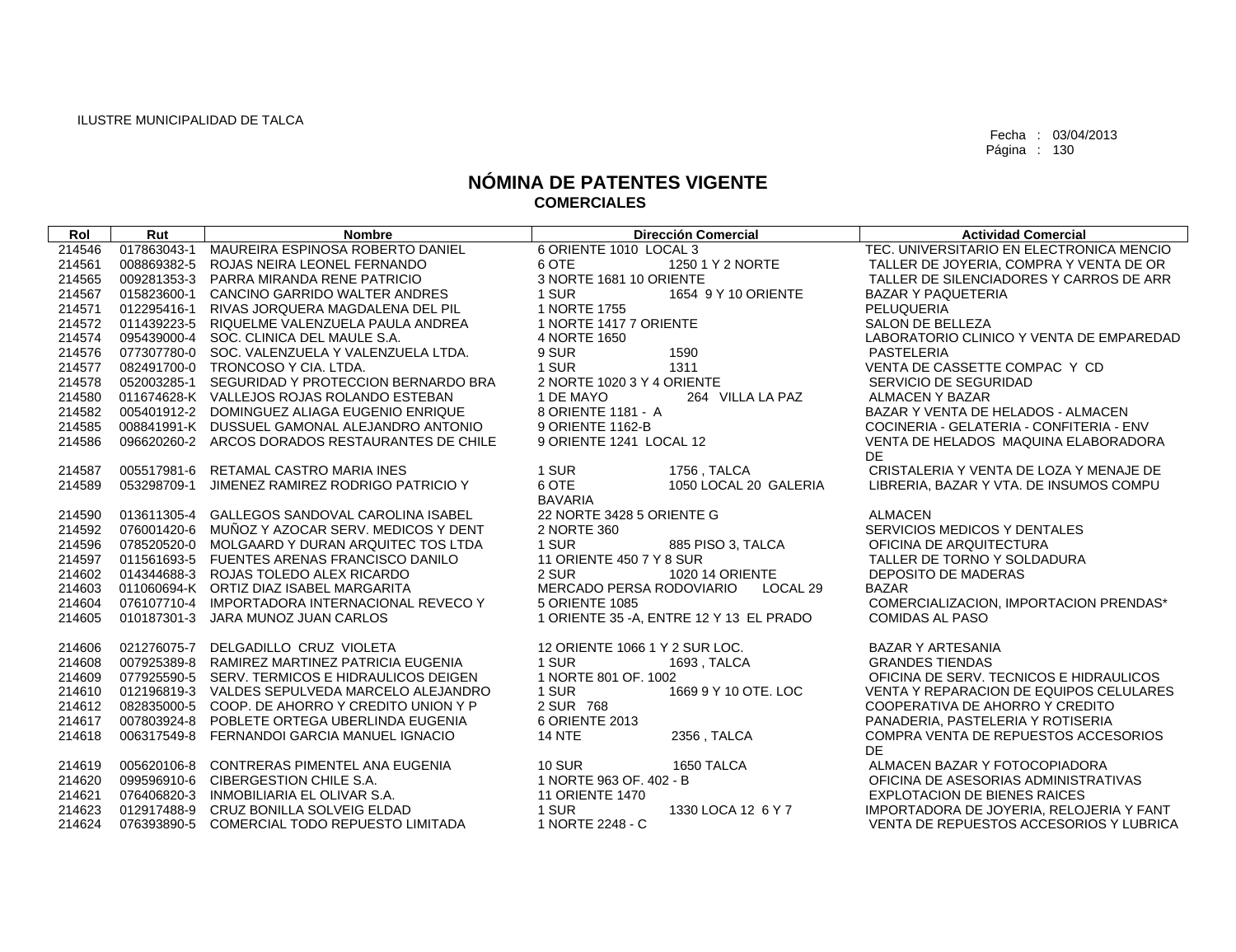| Rol                        | Rut         | <b>Nombre</b>                                                                                                                                  | <b>Dirección Comercial</b>                                  | <b>Actividad Comercial</b>                                                                                   |
|----------------------------|-------------|------------------------------------------------------------------------------------------------------------------------------------------------|-------------------------------------------------------------|--------------------------------------------------------------------------------------------------------------|
| 214546                     | 017863043-1 | MAUREIRA ESPINOSA ROBERTO DANIEL                                                                                                               | 6 ORIENTE 1010 LOCAL 3                                      | TEC. UNIVERSITARIO EN ELECTRONICA MENCIO                                                                     |
| 214561                     |             | 008869382-5 ROJAS NEIRA LEONEL FERNANDO                                                                                                        | 1250 1 Y 2 NORTE<br>6 OTE                                   | TALLER DE JOYERIA, COMPRA Y VENTA DE OR                                                                      |
| 214565                     |             | 009281353-3 PARRA MIRANDA RENE PATRICIO                                                                                                        | 3 NORTE 1681 10 ORIENTE                                     | TALLER DE SILENCIADORES Y CARROS DE ARR                                                                      |
| 214567                     | 015823600-1 | CANCINO GARRIDO WALTER ANDRES                                                                                                                  | 1 SUR<br>1654 9 Y 10 ORIENTE                                | <b>BAZAR Y PAQUETERIA</b>                                                                                    |
| 214571                     | 012295416-1 | RIVAS JORQUERA MAGDALENA DEL PIL                                                                                                               | 1 NORTE 1755                                                | PELUQUERIA                                                                                                   |
| 214572                     |             | 011439223-5 RIQUELME VALENZUELA PAULA ANDREA                                                                                                   | 1 NORTE 1417 7 ORIENTE                                      | <b>SALON DE BELLEZA</b>                                                                                      |
| 214574                     |             | 095439000-4 SOC. CLINICA DEL MAULE S.A.                                                                                                        | 4 NORTE 1650                                                | LABORATORIO CLINICO Y VENTA DE EMPAREDAD                                                                     |
| 214576                     |             | 077307780-0 SOC. VALENZUELA Y VALENZUELA LTDA.                                                                                                 | 9 SUR<br>1590                                               | PASTELERIA                                                                                                   |
| 214577                     |             | 082491700-0 TRONCOSO Y CIA, LTDA.                                                                                                              | 1 SUR<br>1311                                               | VENTA DE CASSETTE COMPAC Y CD                                                                                |
| 214578                     |             | 052003285-1 SEGURIDAD Y PROTECCION BERNARDO BRA                                                                                                | 2 NORTE 1020 3 Y 4 ORIENTE                                  | SERVICIO DE SEGURIDAD                                                                                        |
| 214580                     |             | 011674628-K VALLEJOS ROJAS ROLANDO ESTEBAN                                                                                                     | 1 DE MAYO<br>264 VILLA LA PAZ                               | <b>ALMACEN Y BAZAR</b>                                                                                       |
| 214582                     |             | 005401912-2 DOMINGUEZ ALIAGA EUGENIO ENRIQUE                                                                                                   | 8 ORIENTE 1181 - A                                          | BAZAR Y VENTA DE HELADOS - ALMACEN                                                                           |
| 214585                     |             | 008841991-K DUSSUEL GAMONAL ALEJANDRO ANTONIO                                                                                                  | 9 ORIENTE 1162-B                                            | COCINERIA - GELATERIA - CONFITERIA - ENV                                                                     |
| 214586                     |             | 096620260-2 ARCOS DORADOS RESTAURANTES DE CHILE                                                                                                | 9 ORIENTE 1241 LOCAL 12                                     | VENTA DE HELADOS MAQUINA ELABORADORA                                                                         |
|                            |             |                                                                                                                                                |                                                             | DE.                                                                                                          |
| 214587                     |             | 005517981-6 RETAMAL CASTRO MARIA INES                                                                                                          | 1 SUR<br>1756, TALCA                                        | CRISTALERIA Y VENTA DE LOZA Y MENAJE DE                                                                      |
| 214589                     | 053298709-1 | JIMENEZ RAMIREZ RODRIGO PATRICIO Y                                                                                                             | 6 OTE<br>1050 LOCAL 20 GALERIA                              | LIBRERIA, BAZAR Y VTA. DE INSUMOS COMPU                                                                      |
|                            |             |                                                                                                                                                | <b>BAVARIA</b>                                              |                                                                                                              |
| 214590                     |             | 013611305-4 GALLEGOS SANDOVAL CAROLINA ISABEL                                                                                                  | 22 NORTE 3428 5 ORIENTE G                                   | <b>ALMACEN</b>                                                                                               |
| 214592                     | 076001420-6 | MUÑOZ Y AZOCAR SERV. MEDICOS Y DENT                                                                                                            | 2 NORTE 360                                                 | SERVICIOS MEDICOS Y DENTALES                                                                                 |
| 214596                     |             | 078520520-0 MOLGAARD Y DURAN ARQUITEC TOS LTDA                                                                                                 | 1 SUR<br>885 PISO 3, TALCA                                  | OFICINA DE ARQUITECTURA                                                                                      |
| 214597                     |             | 011561693-5 FUENTES ARENAS FRANCISCO DANILO                                                                                                    | 11 ORIENTE 450 7 Y 8 SUR                                    | TALLER DE TORNO Y SOLDADURA                                                                                  |
| 214602                     |             | 014344688-3 ROJAS TOLEDO ALEX RICARDO                                                                                                          | 2 SUR<br><b>1020 14 ORIENTE</b>                             | <b>DEPOSITO DE MADERAS</b>                                                                                   |
| 214603                     |             | 011060694-K ORTIZ DIAZ ISABEL MARGARITA                                                                                                        | MERCADO PERSA RODOVIARIO<br>LOCAL <sub>29</sub>             | <b>BAZAR</b>                                                                                                 |
| 214604                     |             | 076107710-4 IMPORTADORA INTERNACIONAL REVECO Y                                                                                                 | 5 ORIENTE 1085                                              | COMERCIALIZACION, IMPORTACION PRENDAS*                                                                       |
| 214605                     |             | 010187301-3 JARA MUNOZ JUAN CARLOS                                                                                                             | 1 ORIENTE 35 - A, ENTRE 12 Y 13 EL PRADO                    | <b>COMIDAS AL PASO</b>                                                                                       |
| 214606                     |             | 021276075-7 DELGADILLO CRUZ VIOLETA                                                                                                            | 12 ORIENTE 1066 1 Y 2 SUR LOC.                              | BAZAR Y ARTESANIA                                                                                            |
| 214608                     |             | 007925389-8 RAMIREZ MARTINEZ PATRICIA EUGENIA                                                                                                  | 1 SUR<br>1693, TALCA                                        | <b>GRANDES TIENDAS</b>                                                                                       |
| 214609                     |             | 077925590-5 SERV, TERMICOS E HIDRAULICOS DEIGEN                                                                                                | 1 NORTE 801 OF. 1002                                        | OFICINA DE SERV. TECNICOS E HIDRAULICOS                                                                      |
| 214610                     |             | 012196819-3 VALDES SEPULVEDA MARCELO ALEJANDRO                                                                                                 | 1 SUR<br>1669 9 Y 10 OTE. LOC                               | VENTA Y REPARACION DE EQUIPOS CELULARES                                                                      |
|                            |             |                                                                                                                                                |                                                             |                                                                                                              |
|                            |             |                                                                                                                                                |                                                             |                                                                                                              |
|                            |             |                                                                                                                                                |                                                             |                                                                                                              |
|                            |             |                                                                                                                                                |                                                             | DE                                                                                                           |
| 214619                     |             | 005620106-8 CONTRERAS PIMENTEL ANA EUGENIA                                                                                                     | <b>10 SUR</b><br>1650 TALCA                                 | ALMACEN BAZAR Y FOTOCOPIADORA                                                                                |
| 214620                     |             | 099596910-6 CIBERGESTION CHILE S.A.                                                                                                            | 1 NORTE 963 OF. 402 - B                                     | OFICINA DE ASESORIAS ADMINISTRATIVAS                                                                         |
| 214621                     |             | 076406820-3 INMOBILIARIA EL OLIVAR S.A.                                                                                                        | <b>11 ORIENTE 1470</b>                                      | <b>EXPLOTACION DE BIENES RAICES</b>                                                                          |
| 214623                     |             | 012917488-9 CRUZ BONILLA SOLVEIG ELDAD                                                                                                         | 1 SUR<br>1330 LOCA 12 6 Y 7                                 | IMPORTADORA DE JOYERIA, RELOJERIA Y FANT                                                                     |
| 214624                     |             | 076393890-5 COMERCIAL TODO REPUESTO LIMITADA                                                                                                   | 1 NORTE 2248 - C                                            | VENTA DE REPUESTOS ACCESORIOS Y LUBRICA                                                                      |
| 214612<br>214617<br>214618 |             | 082835000-5 COOP. DE AHORRO Y CREDITO UNION Y P<br>007803924-8 POBLETE ORTEGA UBERLINDA EUGENIA<br>006317549-8 FERNANDOI GARCIA MANUEL IGNACIO | 2 SUR 768<br>6 ORIENTE 2013<br>2356, TALCA<br><b>14 NTE</b> | COOPERATIVA DE AHORRO Y CREDITO<br>PANADERIA, PASTELERIA Y ROTISERIA<br>COMPRA VENTA DE REPUESTOS ACCESORIOS |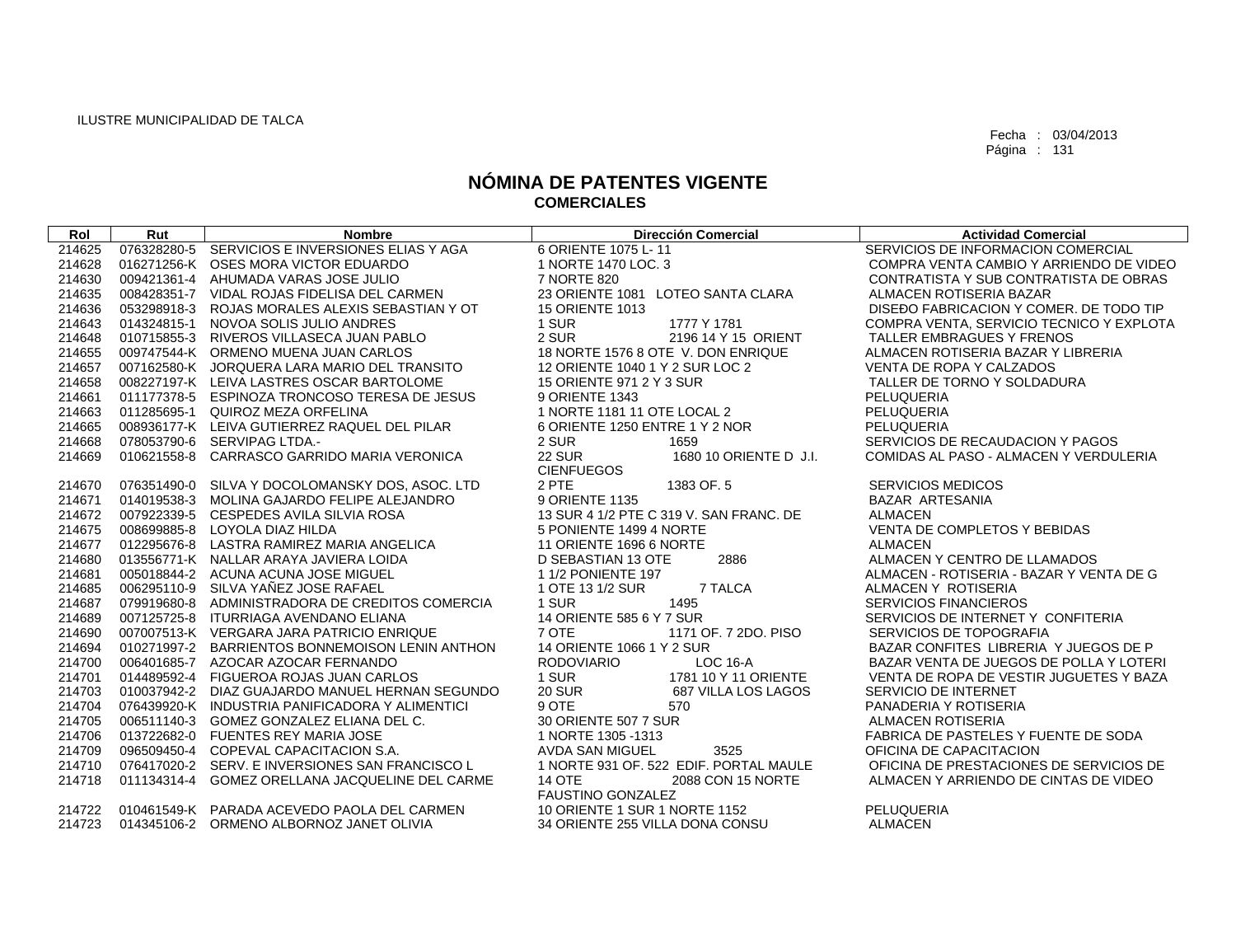| Rol    | Rut         | <b>Nombre</b>                                   | <b>Dirección Comercial</b>              | <b>Actividad Comercial</b>               |
|--------|-------------|-------------------------------------------------|-----------------------------------------|------------------------------------------|
| 214625 |             | 076328280-5 SERVICIOS E INVERSIONES ELIAS Y AGA | 6 ORIENTE 1075 L-11                     | SERVICIOS DE INFORMACION COMERCIAL       |
| 214628 |             | 016271256-K OSES MORA VICTOR EDUARDO            | 1 NORTE 1470 LOC. 3                     | COMPRA VENTA CAMBIO Y ARRIENDO DE VIDEO  |
| 214630 |             | 009421361-4 AHUMADA VARAS JOSE JULIO            | 7 NORTE 820                             | CONTRATISTA Y SUB CONTRATISTA DE OBRAS   |
| 214635 |             | 008428351-7 VIDAL ROJAS FIDELISA DEL CARMEN     | 23 ORIENTE 1081 LOTEO SANTA CLARA       | ALMACEN ROTISERIA BAZAR                  |
| 214636 |             | 053298918-3 ROJAS MORALES ALEXIS SEBASTIAN Y OT | <b>15 ORIENTE 1013</b>                  | DISEDO FABRICACION Y COMER. DE TODO TIP  |
| 214643 | 014324815-1 | NOVOA SOLIS JULIO ANDRES                        | 1777 Y 1781<br>1 SUR                    | COMPRA VENTA, SERVICIO TECNICO Y EXPLOTA |
| 214648 |             | 010715855-3 RIVEROS VILLASECA JUAN PABLO        | 2 SUR<br>2196 14 Y 15 ORIENT            | TALLER EMBRAGUES Y FRENOS                |
| 214655 |             | 009747544-K ORMENO MUENA JUAN CARLOS            | 18 NORTE 1576 8 OTE V. DON ENRIQUE      | ALMACEN ROTISERIA BAZAR Y LIBRERIA       |
| 214657 |             | 007162580-K JORQUERA LARA MARIO DEL TRANSITO    | 12 ORIENTE 1040 1 Y 2 SUR LOC 2         | VENTA DE ROPA Y CALZADOS                 |
| 214658 |             | 008227197-K LEIVA LASTRES OSCAR BARTOLOME       | 15 ORIENTE 971 2 Y 3 SUR                | TALLER DE TORNO Y SOLDADURA              |
| 214661 |             | 011177378-5 ESPINOZA TRONCOSO TERESA DE JESUS   | 9 ORIENTE 1343                          | PELUQUERIA                               |
| 214663 |             | 011285695-1 QUIROZ MEZA ORFELINA                | 1 NORTE 1181 11 OTE LOCAL 2             | PELUQUERIA                               |
| 214665 |             | 008936177-K LEIVA GUTIERREZ RAQUEL DEL PILAR    | 6 ORIENTE 1250 ENTRE 1 Y 2 NOR          | PELUQUERIA                               |
| 214668 |             | 078053790-6 SERVIPAG LTDA.-                     | 2 SUR<br>1659                           | SERVICIOS DE RECAUDACION Y PAGOS         |
| 214669 |             | 010621558-8 CARRASCO GARRIDO MARIA VERONICA     | <b>22 SUR</b><br>1680 10 ORIENTE D J.I. | COMIDAS AL PASO - ALMACEN Y VERDULERIA   |
|        |             |                                                 | <b>CIENFUEGOS</b>                       |                                          |
| 214670 |             | 076351490-0 SILVA Y DOCOLOMANSKY DOS, ASOC. LTD | 1383 OF 5<br>2 PTE                      | <b>SERVICIOS MEDICOS</b>                 |
| 214671 |             | 014019538-3 MOLINA GAJARDO FELIPE ALEJANDRO     | 9 ORIENTE 1135                          | <b>BAZAR ARTESANIA</b>                   |
| 214672 |             | 007922339-5 CESPEDES AVILA SILVIA ROSA          | 13 SUR 4 1/2 PTE C 319 V. SAN FRANC, DE | <b>ALMACEN</b>                           |
| 214675 |             | 008699885-8 LOYOLA DIAZ HILDA                   | 5 PONIENTE 1499 4 NORTE                 | VENTA DE COMPLETOS Y BEBIDAS             |
| 214677 |             | 012295676-8 LASTRA RAMIREZ MARIA ANGELICA       | 11 ORIENTE 1696 6 NORTE                 | <b>ALMACEN</b>                           |
| 214680 |             | 013556771-K NALLAR ARAYA JAVIERA LOIDA          | D SEBASTIAN 13 OTE<br>2886              | ALMACEN Y CENTRO DE LLAMADOS             |
| 214681 |             | 005018844-2 ACUNA ACUNA JOSE MIGUEL             | 1 1/2 PONIENTE 197                      | ALMACEN - ROTISERIA - BAZAR Y VENTA DE G |
| 214685 |             | 006295110-9 SILVA YAÑEZ JOSE RAFAEL             | 7 TALCA<br>1 OTE 13 1/2 SUR             | ALMACEN Y ROTISERIA                      |
| 214687 |             | 079919680-8 ADMINISTRADORA DE CREDITOS COMERCIA | 1 SUR<br>1495                           | <b>SERVICIOS FINANCIEROS</b>             |
| 214689 |             | 007125725-8 ITURRIAGA AVENDANO ELIANA           | 14 ORIENTE 585 6 Y 7 SUR                | SERVICIOS DE INTERNET Y CONFITERIA       |
| 214690 |             | 007007513-K VERGARA JARA PATRICIO ENRIQUE       | 1171 OF, 7 2DO, PISO<br>7 OTE           | SERVICIOS DE TOPOGRAFIA                  |
| 214694 |             | 010271997-2 BARRIENTOS BONNEMOISON LENIN ANTHON | 14 ORIENTE 1066 1 Y 2 SUR               | BAZAR CONFITES LIBRERIA Y JUEGOS DE P    |
| 214700 |             | 006401685-7 AZOCAR AZOCAR FERNANDO              | $LOC 16-A$<br><b>RODOVIARIO</b>         | BAZAR VENTA DE JUEGOS DE POLLA Y LOTERI  |
| 214701 |             | 014489592-4 FIGUEROA ROJAS JUAN CARLOS          | 1 SUR<br>1781 10 Y 11 ORIENTE           | VENTA DE ROPA DE VESTIR JUGUETES Y BAZA  |
| 214703 |             | 010037942-2 DIAZ GUAJARDO MANUEL HERNAN SEGUNDO | <b>20 SUR</b><br>687 VILLA LOS LAGOS    | SERVICIO DE INTERNET                     |
| 214704 |             | 076439920-K INDUSTRIA PANIFICADORA Y ALIMENTICI | 9 OTE<br>570                            | PANADERIA Y ROTISERIA                    |
| 214705 |             | 006511140-3 GOMEZ GONZALEZ ELIANA DEL C.        | 30 ORIENTE 507 7 SUR                    | <b>ALMACEN ROTISERIA</b>                 |
| 214706 |             | 013722682-0 FUENTES REY MARIA JOSE              | 1 NORTE 1305 - 1313                     | FABRICA DE PASTELES Y FUENTE DE SODA     |
| 214709 |             | 096509450-4 COPEVAL CAPACITACION S.A.           | AVDA SAN MIGUEL<br>3525                 | OFICINA DE CAPACITACION                  |
| 214710 |             | 076417020-2 SERV. E INVERSIONES SAN FRANCISCO L | 1 NORTE 931 OF. 522 EDIF. PORTAL MAULE  | OFICINA DE PRESTACIONES DE SERVICIOS DE  |
| 214718 |             | 011134314-4 GOMEZ ORELLANA JACQUELINE DEL CARME | 2088 CON 15 NORTE<br><b>14 OTE</b>      | ALMACEN Y ARRIENDO DE CINTAS DE VIDEO    |
|        |             |                                                 | <b>FAUSTINO GONZALEZ</b>                |                                          |
| 214722 |             | 010461549-K PARADA ACEVEDO PAOLA DEL CARMEN     | 10 ORIENTE 1 SUR 1 NORTE 1152           | PELUQUERIA                               |
| 214723 |             | 014345106-2 ORMENO ALBORNOZ JANET OLIVIA        | 34 ORIENTE 255 VILLA DONA CONSU         | <b>ALMACEN</b>                           |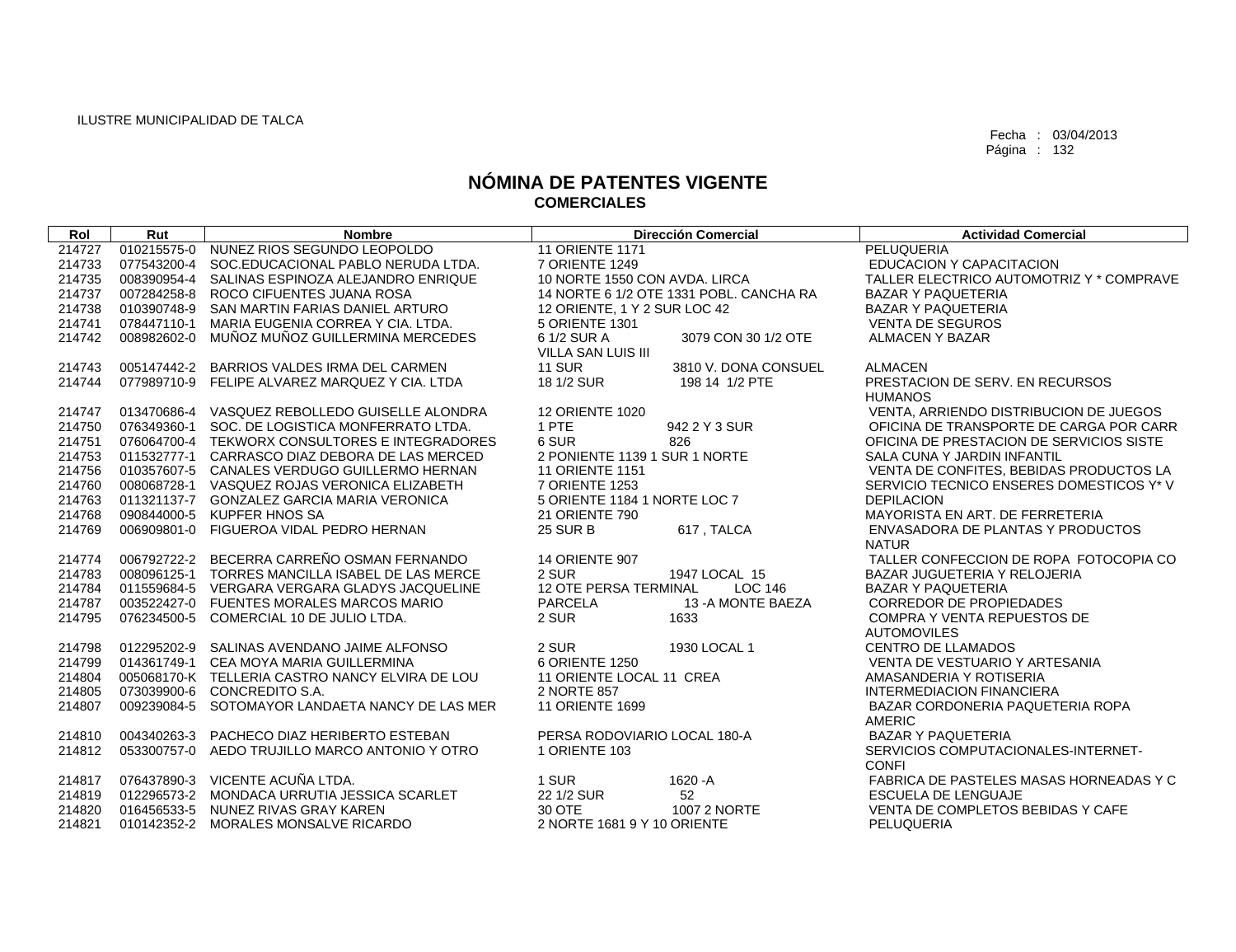| Rol    | Rut         | <b>Nombre</b>                                   | <b>Dirección Comercial</b>              | <b>Actividad Comercial</b>               |
|--------|-------------|-------------------------------------------------|-----------------------------------------|------------------------------------------|
| 214727 | 010215575-0 | NUNEZ RIOS SEGUNDO LEOPOLDO                     | <b>11 ORIENTE 1171</b>                  | PELUQUERIA                               |
| 214733 | 077543200-4 | SOC.EDUCACIONAL PABLO NERUDA LTDA.              | 7 ORIENTE 1249                          | <b>EDUCACION Y CAPACITACION</b>          |
| 214735 | 008390954-4 | SALINAS ESPINOZA ALEJANDRO ENRIQUE              | 10 NORTE 1550 CON AVDA, LIRCA           | TALLER ELECTRICO AUTOMOTRIZ Y * COMPRAVE |
| 214737 | 007284258-8 | ROCO CIFUENTES JUANA ROSA                       | 14 NORTE 6 1/2 OTE 1331 POBL, CANCHA RA | <b>BAZAR Y PAQUETERIA</b>                |
| 214738 | 010390748-9 | SAN MARTIN FARIAS DANIEL ARTURO                 | 12 ORIENTE, 1 Y 2 SUR LOC 42            | <b>BAZAR Y PAQUETERIA</b>                |
| 214741 | 078447110-1 | MARIA EUGENIA CORREA Y CIA, LTDA.               | 5 ORIENTE 1301                          | <b>VENTA DE SEGUROS</b>                  |
| 214742 | 008982602-0 | MUÑOZ MUÑOZ GUILLERMINA MERCEDES                | 6 1/2 SUR A<br>3079 CON 30 1/2 OTE      | <b>ALMACEN Y BAZAR</b>                   |
|        |             |                                                 | <b>VILLA SAN LUIS III</b>               |                                          |
| 214743 |             | 005147442-2 BARRIOS VALDES IRMA DEL CARMEN      | <b>11 SUR</b><br>3810 V. DONA CONSUEL   | <b>ALMACEN</b>                           |
| 214744 |             | 077989710-9 FELIPE ALVAREZ MARQUEZ Y CIA. LTDA  | 18 1/2 SUR<br>198 14 1/2 PTE            | PRESTACION DE SERV. EN RECURSOS          |
|        |             |                                                 |                                         | <b>HUMANOS</b>                           |
| 214747 |             | 013470686-4 VASQUEZ REBOLLEDO GUISELLE ALONDRA  | <b>12 ORIENTE 1020</b>                  | VENTA, ARRIENDO DISTRIBUCION DE JUEGOS   |
| 214750 |             | 076349360-1 SOC. DE LOGISTICA MONFERRATO LTDA.  | 1 PTE<br>942 2 Y 3 SUR                  | OFICINA DE TRANSPORTE DE CARGA POR CARR  |
| 214751 |             | 076064700-4 TEKWORX CONSULTORES E INTEGRADORES  | 6 SUR<br>826                            | OFICINA DE PRESTACION DE SERVICIOS SISTE |
| 214753 | 011532777-1 | CARRASCO DIAZ DEBORA DE LAS MERCED              | 2 PONIENTE 1139 1 SUR 1 NORTE           | SALA CUNA Y JARDIN INFANTIL              |
| 214756 |             | 010357607-5 CANALES VERDUGO GUILLERMO HERNAN    | 11 ORIENTE 1151                         | VENTA DE CONFITES, BEBIDAS PRODUCTOS LA  |
| 214760 |             | 008068728-1 VASQUEZ ROJAS VERONICA ELIZABETH    | 7 ORIENTE 1253                          | SERVICIO TECNICO ENSERES DOMESTICOS Y* V |
| 214763 |             | 011321137-7 GONZALEZ GARCIA MARIA VERONICA      | 5 ORIENTE 1184 1 NORTE LOC 7            | <b>DEPILACION</b>                        |
| 214768 |             | 090844000-5 KUPFER HNOS SA                      | <b>21 ORIENTE 790</b>                   | MAYORISTA EN ART. DE FERRETERIA          |
| 214769 |             | 006909801-0 FIGUEROA VIDAL PEDRO HERNAN         | <b>25 SUR B</b><br>617, TALCA           | ENVASADORA DE PLANTAS Y PRODUCTOS        |
|        |             |                                                 |                                         | <b>NATUR</b>                             |
| 214774 |             | 006792722-2 BECERRA CARREÑO OSMAN FERNANDO      | <b>14 ORIENTE 907</b>                   | TALLER CONFECCION DE ROPA FOTOCOPIA CO   |
| 214783 |             | 008096125-1 TORRES MANCILLA ISABEL DE LAS MERCE | 2 SUR<br>1947 LOCAL 15                  | BAZAR JUGUETERIA Y RELOJERIA             |
| 214784 |             | 011559684-5 VERGARA VERGARA GLADYS JACQUELINE   | <b>12 OTE PERSA TERMINAL</b><br>LOC 146 | <b>BAZAR Y PAQUETERIA</b>                |
| 214787 |             | 003522427-0 FUENTES MORALES MARCOS MARIO        | <b>PARCELA</b><br>13 - A MONTE BAEZA    | <b>CORREDOR DE PROPIEDADES</b>           |
| 214795 | 076234500-5 | COMERCIAL 10 DE JULIO LTDA.                     | 2 SUR<br>1633                           | <b>COMPRA Y VENTA REPUESTOS DE</b>       |
|        |             |                                                 |                                         | <b>AUTOMOVILES</b>                       |
| 214798 |             | 012295202-9 SALINAS AVENDANO JAIME ALFONSO      | 2 SUR<br>1930 LOCAL 1                   | <b>CENTRO DE LLAMADOS</b>                |
| 214799 | 014361749-1 | CEA MOYA MARIA GUILLERMINA                      | 6 ORIENTE 1250                          | VENTA DE VESTUARIO Y ARTESANIA           |
| 214804 |             | 005068170-K TELLERIA CASTRO NANCY ELVIRA DE LOU | 11 ORIENTE LOCAL 11 CREA                | AMASANDERIA Y ROTISERIA                  |
| 214805 | 073039900-6 | CONCREDITO S.A.                                 | 2 NORTE 857                             | <b>INTERMEDIACION FINANCIERA</b>         |
| 214807 | 009239084-5 | SOTOMAYOR LANDAETA NANCY DE LAS MER             | 11 ORIENTE 1699                         | BAZAR CORDONERIA PAQUETERIA ROPA         |
|        |             |                                                 |                                         | <b>AMERIC</b>                            |
| 214810 |             | 004340263-3 PACHECO DIAZ HERIBERTO ESTEBAN      | PERSA RODOVIARIO LOCAL 180-A            | <b>BAZAR Y PAQUETERIA</b>                |
| 214812 | 053300757-0 | AEDO TRUJILLO MARCO ANTONIO Y OTRO              | 1 ORIENTE 103                           | SERVICIOS COMPUTACIONALES-INTERNET-      |
|        |             |                                                 |                                         | <b>CONFI</b>                             |
| 214817 |             | 076437890-3 VICENTE ACUÑA LTDA.                 | 1 SUR<br>1620 - A                       | FABRICA DE PASTELES MASAS HORNEADAS Y C  |
| 214819 |             | 012296573-2 MONDACA URRUTIA JESSICA SCARLET     | 22 1/2 SUR<br>52                        | <b>ESCUELA DE LENGUAJE</b>               |
| 214820 |             | 016456533-5 NUNEZ RIVAS GRAY KAREN              | 30 OTE<br>1007 2 NORTE                  | VENTA DE COMPLETOS BEBIDAS Y CAFE        |
| 214821 |             | 010142352-2 MORALES MONSALVE RICARDO            | 2 NORTE 1681 9 Y 10 ORIENTE             | PELUQUERIA                               |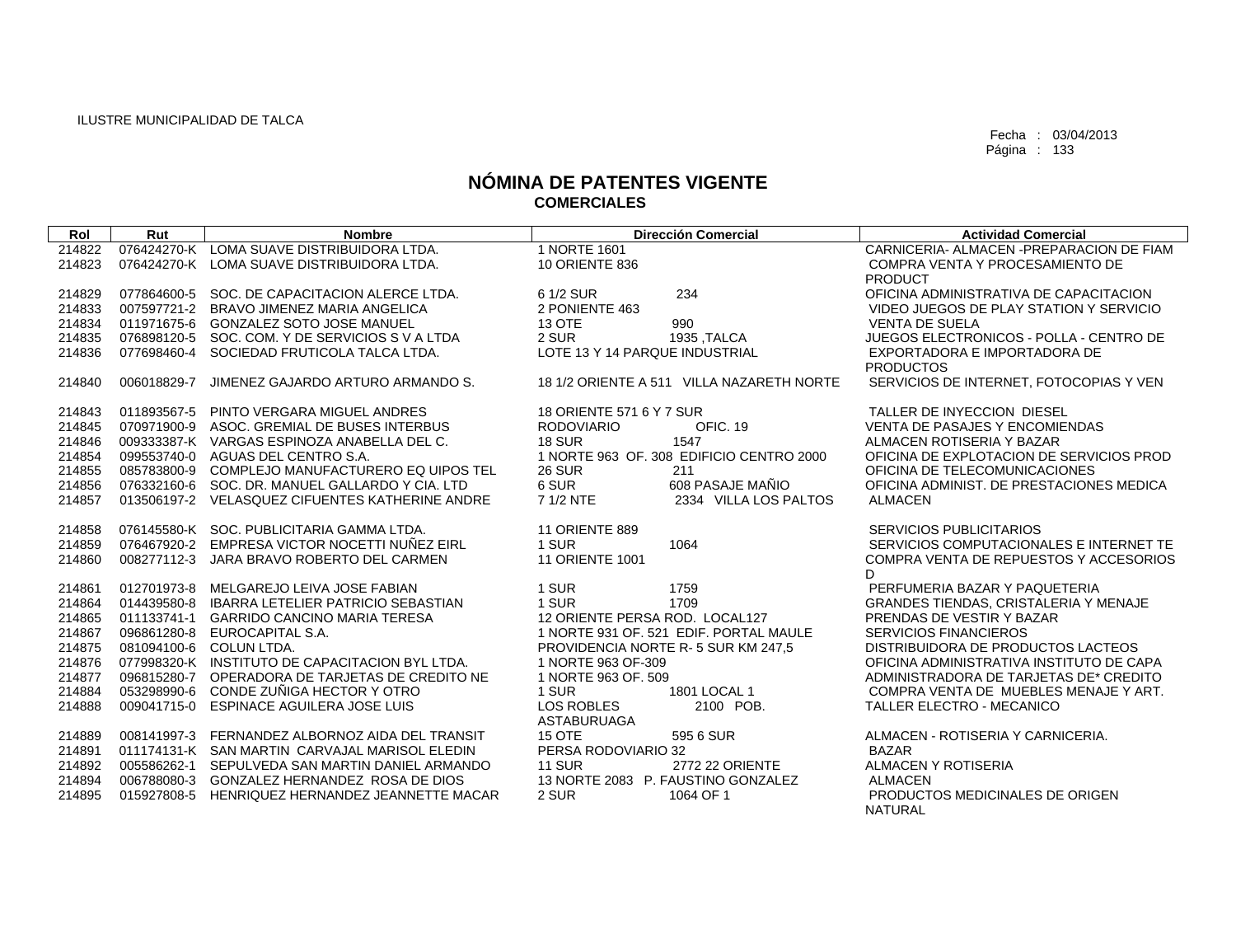$\sqrt{ }$ 

Fecha : 03/04/2013 Página : 133

| Rol    | Rut         | <b>Nombre</b>                                   | <b>Dirección Comercial</b>                | <b>Actividad Comercial</b>                   |
|--------|-------------|-------------------------------------------------|-------------------------------------------|----------------------------------------------|
| 214822 |             | 076424270-K LOMA SUAVE DISTRIBUIDORA LTDA.      | 1 NORTE 1601                              | CARNICERIA- ALMACEN - PREPARACION DE FIAM    |
| 214823 |             | 076424270-K LOMA SUAVE DISTRIBUIDORA LTDA.      | 10 ORIENTE 836                            | COMPRA VENTA Y PROCESAMIENTO DE              |
|        |             |                                                 |                                           | <b>PRODUCT</b>                               |
| 214829 |             | 077864600-5 SOC, DE CAPACITACION ALERCE LTDA.   | 234<br>6 1/2 SUR                          | OFICINA ADMINISTRATIVA DE CAPACITACION       |
| 214833 |             | 007597721-2 BRAVO JIMENEZ MARIA ANGELICA        | 2 PONIENTE 463                            | VIDEO JUEGOS DE PLAY STATION Y SERVICIO      |
| 214834 |             | 011971675-6 GONZALEZ SOTO JOSE MANUEL           | <b>13 OTE</b><br>990                      | <b>VENTA DE SUELA</b>                        |
| 214835 |             | 076898120-5 SOC, COM, Y DE SERVICIOS S V A LTDA | 2 SUR<br>1935 .TALCA                      | JUEGOS ELECTRONICOS - POLLA - CENTRO DE      |
| 214836 | 077698460-4 | SOCIEDAD FRUTICOLA TALCA LTDA.                  | LOTE 13 Y 14 PARQUE INDUSTRIAL            | EXPORTADORA E IMPORTADORA DE                 |
|        |             |                                                 |                                           | <b>PRODUCTOS</b>                             |
| 214840 | 006018829-7 | JIMENEZ GAJARDO ARTURO ARMANDO S.               | 18 1/2 ORIENTE A 511 VILLA NAZARETH NORTE | SERVICIOS DE INTERNET, FOTOCOPIAS Y VEN      |
|        |             |                                                 |                                           |                                              |
| 214843 | 011893567-5 | PINTO VERGARA MIGUEL ANDRES                     | 18 ORIENTE 571 6 Y 7 SUR                  | TALLER DE INYECCION DIESEL                   |
| 214845 |             | 070971900-9 ASOC, GREMIAL DE BUSES INTERBUS     | OFIC, 19<br><b>RODOVIARIO</b>             | <b>VENTA DE PASAJES Y ENCOMIENDAS</b>        |
| 214846 |             | 009333387-K VARGAS ESPINOZA ANABELLA DEL C.     | <b>18 SUR</b><br>1547                     | ALMACEN ROTISERIA Y BAZAR                    |
| 214854 |             | 099553740-0 AGUAS DEL CENTRO S.A.               | 1 NORTE 963 OF, 308 EDIFICIO CENTRO 2000  | OFICINA DE EXPLOTACION DE SERVICIOS PROD     |
| 214855 | 085783800-9 | COMPLEJO MANUFACTURERO EQ UIPOS TEL             | <b>26 SUR</b><br>211                      | OFICINA DE TELECOMUNICACIONES                |
| 214856 |             | 076332160-6 SOC. DR. MANUEL GALLARDO Y CIA. LTD | 6 SUR<br>608 PASAJE MAÑIO                 | OFICINA ADMINIST. DE PRESTACIONES MEDICA     |
| 214857 |             | 013506197-2 VELASQUEZ CIFUENTES KATHERINE ANDRE | 7 1/2 NTE<br>2334 VILLA LOS PALTOS        | <b>ALMACEN</b>                               |
|        |             |                                                 |                                           |                                              |
| 214858 |             | 076145580-K SOC. PUBLICITARIA GAMMA LTDA.       | 11 ORIENTE 889                            | <b>SERVICIOS PUBLICITARIOS</b>               |
| 214859 |             | 076467920-2 EMPRESA VICTOR NOCETTI NUÑEZ EIRL   | 1 SUR<br>1064                             | SERVICIOS COMPUTACIONALES E INTERNET TE      |
| 214860 | 008277112-3 | JARA BRAVO ROBERTO DEL CARMEN                   | <b>11 ORIENTE 1001</b>                    | COMPRA VENTA DE REPUESTOS Y ACCESORIOS       |
|        |             |                                                 |                                           | D.                                           |
| 214861 | 012701973-8 | MELGAREJO LEIVA JOSE FABIAN                     | 1 SUR<br>1759                             | PERFUMERIA BAZAR Y PAQUETERIA                |
| 214864 | 014439580-8 | <b>IBARRA LETELIER PATRICIO SEBASTIAN</b>       | 1709<br>1 SUR                             | <b>GRANDES TIENDAS, CRISTALERIA Y MENAJE</b> |
| 214865 |             | 011133741-1 GARRIDO CANCINO MARIA TERESA        | 12 ORIENTE PERSA ROD. LOCAL127            | PRENDAS DE VESTIR Y BAZAR                    |
| 214867 |             | 096861280-8 EUROCAPITAL S.A.                    | 1 NORTE 931 OF, 521 EDIF, PORTAL MAULE    | <b>SERVICIOS FINANCIEROS</b>                 |
| 214875 |             | 081094100-6 COLUN LTDA.                         | PROVIDENCIA NORTE R-5 SUR KM 247.5        | DISTRIBUIDORA DE PRODUCTOS LACTEOS           |
| 214876 |             | 077998320-K INSTITUTO DE CAPACITACION BYL LTDA. | 1 NORTE 963 OF-309                        | OFICINA ADMINISTRATIVA INSTITUTO DE CAPA     |
| 214877 |             | 096815280-7 OPERADORA DE TARJETAS DE CREDITO NE | 1 NORTE 963 OF, 509                       | ADMINISTRADORA DE TARJETAS DE* CREDITO       |
| 214884 | 053298990-6 | CONDE ZUÑIGA HECTOR Y OTRO                      | 1 SUR<br>1801 LOCAL 1                     | COMPRA VENTA DE MUEBLES MENAJE Y ART.        |
| 214888 | 009041715-0 | ESPINACE AGUILERA JOSE LUIS                     | <b>LOS ROBLES</b><br>2100 POB.            | TALLER ELECTRO - MECANICO                    |
|        |             |                                                 | <b>ASTABURUAGA</b>                        |                                              |
| 214889 |             | 008141997-3 FERNANDEZ ALBORNOZ AIDA DEL TRANSIT | <b>15 OTE</b><br>595 6 SUR                | ALMACEN - ROTISERIA Y CARNICERIA.            |
| 214891 |             | 011174131-K SAN MARTIN CARVAJAL MARISOL ELEDIN  | PERSA RODOVIARIO 32                       | <b>BAZAR</b>                                 |
| 214892 |             | 005586262-1 SEPULVEDA SAN MARTIN DANIEL ARMANDO | <b>11 SUR</b><br><b>2772 22 ORIENTE</b>   | <b>ALMACEN Y ROTISERIA</b>                   |
| 214894 | 006788080-3 | GONZALEZ HERNANDEZ ROSA DE DIOS                 | 13 NORTE 2083 P. FAUSTINO GONZALEZ        | <b>ALMACEN</b>                               |
| 214895 | 015927808-5 | HENRIQUEZ HERNANDEZ JEANNETTE MACAR             | 2 SUR<br>1064 OF 1                        | PRODUCTOS MEDICINALES DE ORIGEN              |
|        |             |                                                 |                                           | <b>NATURAL</b>                               |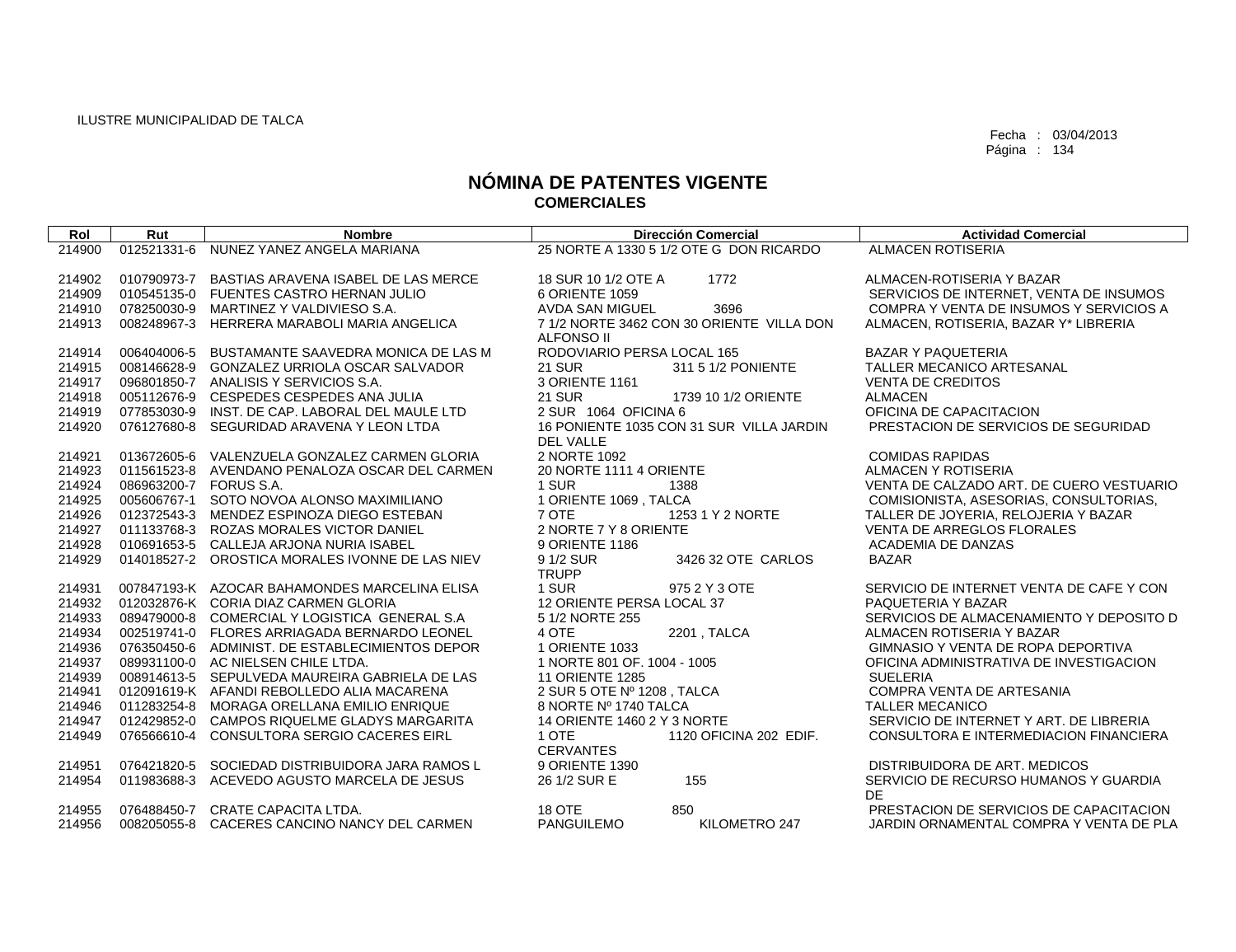| Rol    | Rut                    | <b>Nombre</b>                                   | <b>Dirección Comercial</b>                | <b>Actividad Comercial</b>               |
|--------|------------------------|-------------------------------------------------|-------------------------------------------|------------------------------------------|
| 214900 | 012521331-6            | NUNEZ YANEZ ANGELA MARIANA                      | 25 NORTE A 1330 5 1/2 OTE G DON RICARDO   | <b>ALMACEN ROTISERIA</b>                 |
|        |                        |                                                 |                                           |                                          |
| 214902 |                        | 010790973-7 BASTIAS ARAVENA ISABEL DE LAS MERCE | 18 SUR 10 1/2 OTE A<br>1772               | ALMACEN-ROTISERIA Y BAZAR                |
| 214909 |                        | 010545135-0 FUENTES CASTRO HERNAN JULIO         | 6 ORIENTE 1059                            | SERVICIOS DE INTERNET. VENTA DE INSUMOS  |
| 214910 |                        | 078250030-9 MARTINEZ Y VALDIVIESO S.A.          | <b>AVDA SAN MIGUEL</b><br>3696            | COMPRA Y VENTA DE INSUMOS Y SERVICIOS A  |
| 214913 |                        | 008248967-3 HERRERA MARABOLI MARIA ANGELICA     | 7 1/2 NORTE 3462 CON 30 ORIENTE VILLA DON | ALMACEN, ROTISERIA, BAZAR Y* LIBRERIA    |
|        |                        |                                                 | ALFONSO II                                |                                          |
| 214914 |                        | 006404006-5 BUSTAMANTE SAAVEDRA MONICA DE LAS M | RODOVIARIO PERSA LOCAL 165                | <b>BAZAR Y PAQUETERIA</b>                |
| 214915 |                        | 008146628-9 GONZALEZ URRIOLA OSCAR SALVADOR     | <b>21 SUR</b><br>311 5 1/2 PONIENTE       | TALLER MECANICO ARTESANAL                |
| 214917 |                        | 096801850-7 ANALISIS Y SERVICIOS S.A.           | 3 ORIENTE 1161                            | <b>VENTA DE CREDITOS</b>                 |
| 214918 |                        | 005112676-9 CESPEDES CESPEDES ANA JULIA         | <b>21 SUR</b><br>1739 10 1/2 ORIENTE      | <b>ALMACEN</b>                           |
| 214919 |                        | 077853030-9 INST, DE CAP, LABORAL DEL MAULE LTD | 2 SUR 1064 OFICINA 6                      | OFICINA DE CAPACITACION                  |
| 214920 |                        | 076127680-8 SEGURIDAD ARAVENA Y LEON LTDA       | 16 PONIENTE 1035 CON 31 SUR VILLA JARDIN  | PRESTACION DE SERVICIOS DE SEGURIDAD     |
|        |                        |                                                 | DEL VALLE                                 |                                          |
| 214921 |                        | 013672605-6 VALENZUELA GONZALEZ CARMEN GLORIA   | 2 NORTE 1092                              | <b>COMIDAS RAPIDAS</b>                   |
| 214923 |                        | 011561523-8 AVENDANO PENALOZA OSCAR DEL CARMEN  | 20 NORTE 1111 4 ORIENTE                   | ALMACEN Y ROTISERIA                      |
| 214924 | 086963200-7 FORUS S.A. |                                                 | 1 SUR<br>1388                             | VENTA DE CALZADO ART. DE CUERO VESTUARIO |
| 214925 |                        | 005606767-1 SOTO NOVOA ALONSO MAXIMILIANO       | 1 ORIENTE 1069, TALCA                     | COMISIONISTA, ASESORIAS, CONSULTORIAS,   |
| 214926 |                        | 012372543-3 MENDEZ ESPINOZA DIEGO ESTEBAN       | 7 OTE<br>1253 1 Y 2 NORTE                 | TALLER DE JOYERIA, RELOJERIA Y BAZAR     |
| 214927 |                        | 011133768-3 ROZAS MORALES VICTOR DANIEL         | 2 NORTE 7 Y 8 ORIENTE                     | <b>VENTA DE ARREGLOS FLORALES</b>        |
| 214928 |                        | 010691653-5 CALLEJA ARJONA NURIA ISABEL         | 9 ORIENTE 1186                            | ACADEMIA DE DANZAS                       |
| 214929 |                        | 014018527-2 OROSTICA MORALES IVONNE DE LAS NIEV | 9 1/2 SUR<br>3426 32 OTE CARLOS           | <b>BAZAR</b>                             |
|        |                        |                                                 | <b>TRUPP</b>                              |                                          |
| 214931 |                        | 007847193-K AZOCAR BAHAMONDES MARCELINA ELISA   | 1 SUR<br>975 2 Y 3 OTE                    | SERVICIO DE INTERNET VENTA DE CAFE Y CON |
| 214932 |                        | 012032876-K CORIA DIAZ CARMEN GLORIA            | 12 ORIENTE PERSA LOCAL 37                 | PAQUETERIA Y BAZAR                       |
| 214933 |                        | 089479000-8 COMERCIAL Y LOGISTICA GENERAL S.A   | 5 1/2 NORTE 255                           | SERVICIOS DE ALMACENAMIENTO Y DEPOSITO D |
| 214934 |                        | 002519741-0 FLORES ARRIAGADA BERNARDO LEONEL    | 2201, TALCA<br>4 OTE                      | ALMACEN ROTISERIA Y BAZAR                |
| 214936 |                        | 076350450-6 ADMINIST. DE ESTABLECIMIENTOS DEPOR | 1 ORIENTE 1033                            | GIMNASIO Y VENTA DE ROPA DEPORTIVA       |
| 214937 |                        | 089931100-0 AC NIELSEN CHILE LTDA.              | 1 NORTE 801 OF. 1004 - 1005               | OFICINA ADMINISTRATIVA DE INVESTIGACION  |
| 214939 |                        | 008914613-5 SEPULVEDA MAUREIRA GABRIELA DE LAS  | <b>11 ORIENTE 1285</b>                    | <b>SUELERIA</b>                          |
| 214941 |                        | 012091619-K AFANDI REBOLLEDO ALIA MACARENA      | 2 SUR 5 OTE Nº 1208, TALCA                | COMPRA VENTA DE ARTESANIA                |
| 214946 |                        | 011283254-8 MORAGA ORELLANA EMILIO ENRIQUE      | 8 NORTE Nº 1740 TALCA                     | <b>TALLER MECANICO</b>                   |
| 214947 |                        | 012429852-0 CAMPOS RIQUELME GLADYS MARGARITA    | 14 ORIENTE 1460 2 Y 3 NORTE               | SERVICIO DE INTERNET Y ART. DE LIBRERIA  |
| 214949 | 076566610-4            | CONSULTORA SERGIO CACERES EIRL                  | 1 OTE<br>1120 OFICINA 202 EDIF.           | CONSULTORA E INTERMEDIACION FINANCIERA   |
|        |                        |                                                 | <b>CERVANTES</b>                          |                                          |
| 214951 | 076421820-5            | SOCIEDAD DISTRIBUIDORA JARA RAMOS L             | 9 ORIENTE 1390                            | DISTRIBUIDORA DE ART. MEDICOS            |
| 214954 |                        | 011983688-3 ACEVEDO AGUSTO MARCELA DE JESUS     | 26 1/2 SUR E<br>155                       | SERVICIO DE RECURSO HUMANOS Y GUARDIA    |
|        |                        |                                                 |                                           | DE.                                      |
| 214955 |                        | 076488450-7 CRATE CAPACITA LTDA.                | <b>18 OTE</b><br>850                      | PRESTACION DE SERVICIOS DE CAPACITACION  |
| 214956 |                        | 008205055-8 CACERES CANCINO NANCY DEL CARMEN    | <b>PANGUILEMO</b><br>KILOMETRO 247        | JARDIN ORNAMENTAL COMPRA Y VENTA DE PLA  |
|        |                        |                                                 |                                           |                                          |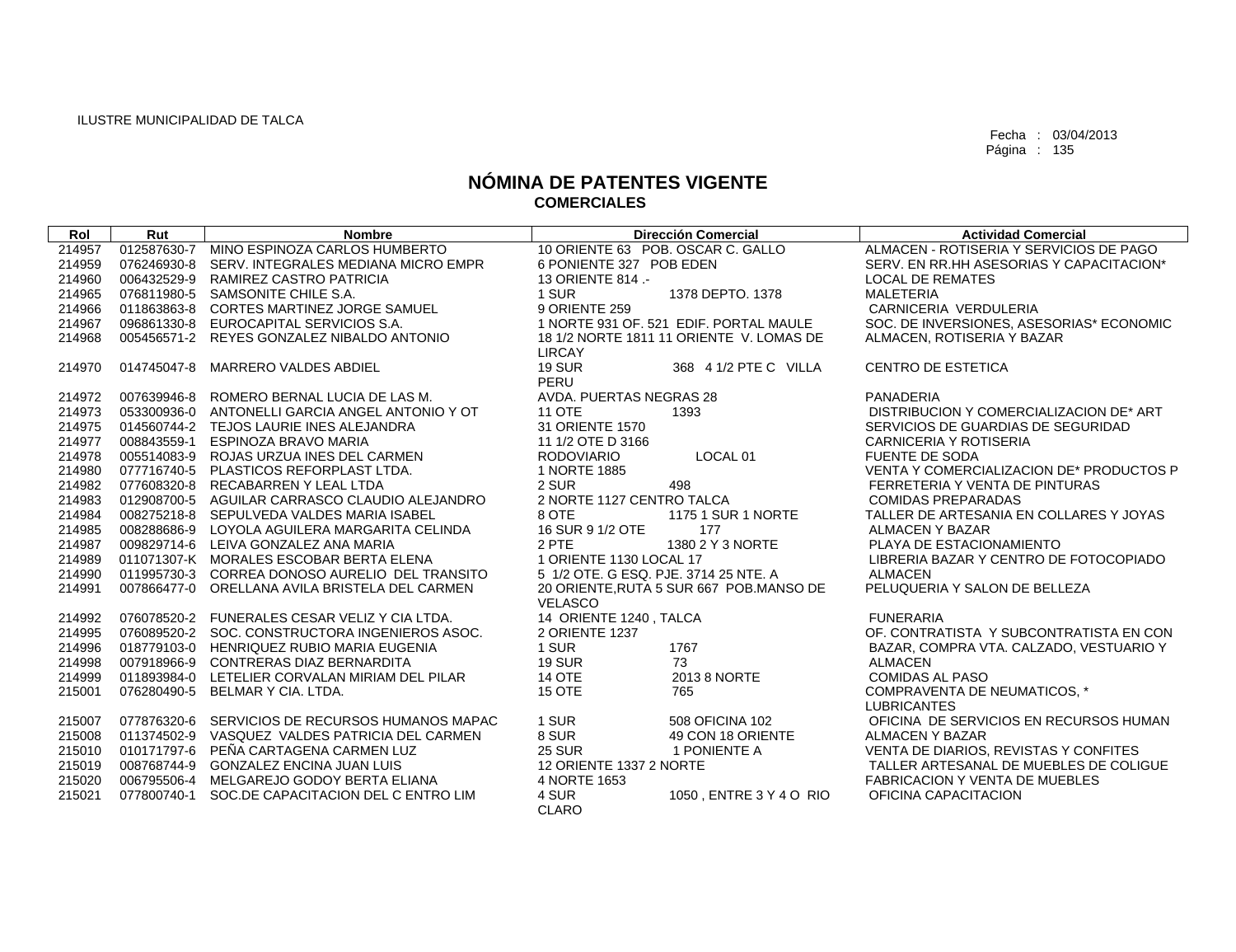| Rol    | Rut         | <b>Nombre</b>                                   |                                       | <b>Dirección Comercial</b>               | <b>Actividad Comercial</b>                         |
|--------|-------------|-------------------------------------------------|---------------------------------------|------------------------------------------|----------------------------------------------------|
| 214957 | 012587630-7 | MINO ESPINOZA CARLOS HUMBERTO                   | 10 ORIENTE 63 POB. OSCAR C. GALLO     |                                          | ALMACEN - ROTISERIA Y SERVICIOS DE PAGO            |
| 214959 |             | 076246930-8 SERV. INTEGRALES MEDIANA MICRO EMPR | 6 PONIENTE 327 POB EDEN               |                                          | SERV. EN RR.HH ASESORIAS Y CAPACITACION*           |
| 214960 |             | 006432529-9 RAMIREZ CASTRO PATRICIA             | 13 ORIENTE 814 .-                     |                                          | <b>LOCAL DE REMATES</b>                            |
| 214965 |             | 076811980-5 SAMSONITE CHILE S.A.                | 1 SUR                                 | 1378 DEPTO. 1378                         | <b>MALETERIA</b>                                   |
| 214966 |             | 011863863-8 CORTES MARTINEZ JORGE SAMUEL        | 9 ORIENTE 259                         |                                          | CARNICERIA VERDULERIA                              |
| 214967 |             | 096861330-8 EUROCAPITAL SERVICIOS S.A.          |                                       | 1 NORTE 931 OF, 521 EDIF, PORTAL MAULE   | SOC. DE INVERSIONES, ASESORIAS* ECONOMIC           |
| 214968 |             | 005456571-2 REYES GONZALEZ NIBALDO ANTONIO      |                                       | 18 1/2 NORTE 1811 11 ORIENTE V. LOMAS DE | ALMACEN, ROTISERIA Y BAZAR                         |
|        |             |                                                 | <b>LIRCAY</b>                         |                                          |                                                    |
| 214970 | 014745047-8 | <b>MARRERO VALDES ABDIEL</b>                    | <b>19 SUR</b><br>PERU                 | 368 4 1/2 PTE C VILLA                    | <b>CENTRO DE ESTETICA</b>                          |
|        |             |                                                 |                                       |                                          |                                                    |
| 214972 |             | 007639946-8 ROMERO BERNAL LUCIA DE LAS M.       | AVDA. PUERTAS NEGRAS 28               |                                          | PANADERIA                                          |
| 214973 |             | 053300936-0 ANTONELLI GARCIA ANGEL ANTONIO Y OT | <b>11 OTE</b><br>31 ORIENTE 1570      | 1393                                     | DISTRIBUCION Y COMERCIALIZACION DE* ART            |
| 214975 |             | 014560744-2 TEJOS LAURIE INES ALEJANDRA         |                                       |                                          | SERVICIOS DE GUARDIAS DE SEGURIDAD                 |
| 214977 |             | 008843559-1 ESPINOZA BRAVO MARIA                | 11 1/2 OTE D 3166                     |                                          | CARNICERIA Y ROTISERIA                             |
| 214978 |             | 005514083-9 ROJAS URZUA INES DEL CARMEN         | <b>RODOVIARIO</b>                     | LOCAL <sub>01</sub>                      | <b>FUENTE DE SODA</b>                              |
| 214980 |             | 077716740-5 PLASTICOS REFORPLAST LTDA.          | 1 NORTE 1885                          |                                          | VENTA Y COMERCIALIZACION DE* PRODUCTOS P           |
| 214982 |             | 077608320-8 RECABARREN Y LEAL LTDA              | 2 SUR                                 | 498                                      | FERRETERIA Y VENTA DE PINTURAS                     |
| 214983 |             | 012908700-5 AGUILAR CARRASCO CLAUDIO ALEJANDRO  | 2 NORTE 1127 CENTRO TALCA             |                                          | <b>COMIDAS PREPARADAS</b>                          |
| 214984 |             | 008275218-8 SEPULVEDA VALDES MARIA ISABEL       | 8 OTE                                 | 1175 1 SUR 1 NORTE                       | TALLER DE ARTESANIA EN COLLARES Y JOYAS            |
| 214985 |             | 008288686-9 LOYOLA AGUILERA MARGARITA CELINDA   | 16 SUR 9 1/2 OTE                      | 177                                      | <b>ALMACEN Y BAZAR</b>                             |
| 214987 |             | 009829714-6 LEIVA GONZALEZ ANA MARIA            | 2 PTE                                 | 1380 2 Y 3 NORTE                         | PLAYA DE ESTACIONAMIENTO                           |
| 214989 |             | 011071307-K MORALES ESCOBAR BERTA ELENA         | 1 ORIENTE 1130 LOCAL 17               |                                          | LIBRERIA BAZAR Y CENTRO DE FOTOCOPIADO             |
| 214990 |             | 011995730-3 CORREA DONOSO AURELIO DEL TRANSITO  | 5 1/2 OTE, G ESQ, PJE, 3714 25 NTE, A |                                          | <b>ALMACEN</b>                                     |
| 214991 |             | 007866477-0 ORELLANA AVILA BRISTELA DEL CARMEN  | <b>VELASCO</b>                        | 20 ORIENTE, RUTA 5 SUR 667 POB MANSO DE  | PELUQUERIA Y SALON DE BELLEZA                      |
| 214992 |             | 076078520-2 FUNERALES CESAR VELIZ Y CIA LTDA.   | 14 ORIENTE 1240, TALCA                |                                          | <b>FUNERARIA</b>                                   |
| 214995 |             | 076089520-2 SOC. CONSTRUCTORA INGENIEROS ASOC.  | 2 ORIENTE 1237                        |                                          | OF, CONTRATISTA Y SUBCONTRATISTA EN CON            |
| 214996 |             | 018779103-0 HENRIQUEZ RUBIO MARIA EUGENIA       | 1 SUR                                 | 1767                                     | BAZAR, COMPRA VTA. CALZADO, VESTUARIO Y            |
| 214998 |             | 007918966-9 CONTRERAS DIAZ BERNARDITA           | <b>19 SUR</b>                         | 73                                       | <b>ALMACEN</b>                                     |
| 214999 |             | 011893984-0 LETELIER CORVALAN MIRIAM DEL PILAR  | 14 OTE                                | 2013 8 NORTE                             | <b>COMIDAS AL PASO</b>                             |
| 215001 |             | 076280490-5 BELMAR Y CIA. LTDA.                 | 15 OTE                                | 765                                      | COMPRAVENTA DE NEUMATICOS, *<br><b>LUBRICANTES</b> |
| 215007 |             | 077876320-6 SERVICIOS DE RECURSOS HUMANOS MAPAC | 1 SUR                                 | 508 OFICINA 102                          | OFICINA DE SERVICIOS EN RECURSOS HUMAN             |
| 215008 |             | 011374502-9 VASQUEZ VALDES PATRICIA DEL CARMEN  | 8 SUR                                 | 49 CON 18 ORIENTE                        | <b>ALMACEN Y BAZAR</b>                             |
| 215010 |             | 010171797-6 PEÑA CARTAGENA CARMEN LUZ           | <b>25 SUR</b>                         | 1 PONIENTE A                             | VENTA DE DIARIOS, REVISTAS Y CONFITES              |
| 215019 |             | 008768744-9 GONZALEZ ENCINA JUAN LUIS           | 12 ORIENTE 1337 2 NORTE               |                                          | TALLER ARTESANAL DE MUEBLES DE COLIGUE             |
| 215020 | 006795506-4 | MELGAREJO GODOY BERTA ELIANA                    | 4 NORTE 1653                          |                                          | <b>FABRICACION Y VENTA DE MUEBLES</b>              |
| 215021 | 077800740-1 | SOC.DE CAPACITACION DEL C ENTRO LIM             | 4 SUR                                 | 1050, ENTRE 3 Y 4 O RIO                  | OFICINA CAPACITACION                               |
|        |             |                                                 | <b>CLARO</b>                          |                                          |                                                    |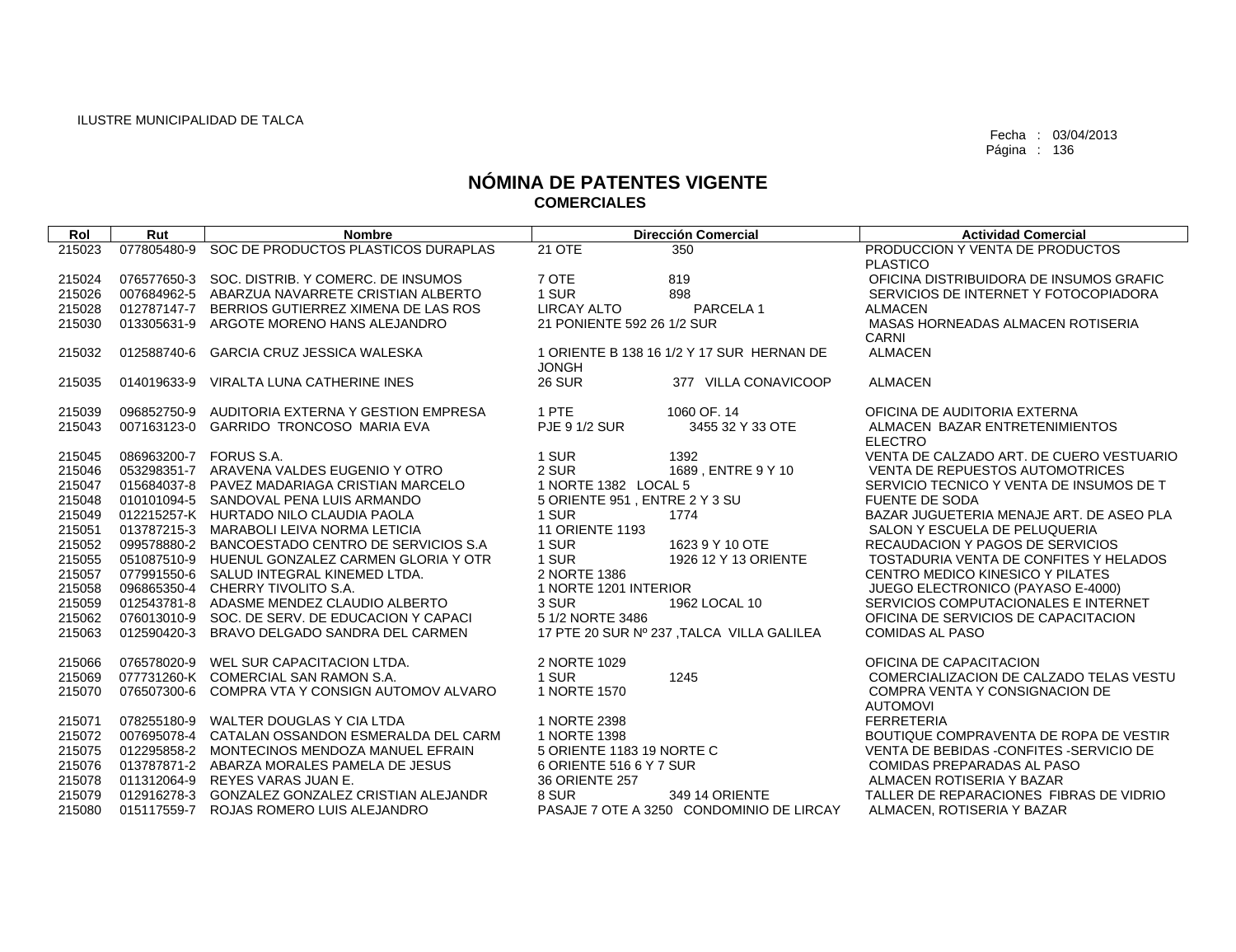| Rol    | Rut                    | <b>Nombre</b>                                   |                               | <b>Dirección Comercial</b>                | <b>Actividad Comercial</b>                        |
|--------|------------------------|-------------------------------------------------|-------------------------------|-------------------------------------------|---------------------------------------------------|
| 215023 | 077805480-9            | SOC DE PRODUCTOS PLASTICOS DURAPLAS             | <b>21 OTE</b>                 | 350                                       | PRODUCCION Y VENTA DE PRODUCTOS                   |
|        |                        |                                                 |                               |                                           | <b>PLASTICO</b>                                   |
| 215024 |                        | 076577650-3 SOC, DISTRIB, Y COMERC, DE INSUMOS  | 7 OTE                         | 819                                       | OFICINA DISTRIBUIDORA DE INSUMOS GRAFIC           |
| 215026 |                        | 007684962-5 ABARZUA NAVARRETE CRISTIAN ALBERTO  | 1 SUR                         | 898                                       | SERVICIOS DE INTERNET Y FOTOCOPIADORA             |
| 215028 |                        | 012787147-7 BERRIOS GUTIERREZ XIMENA DE LAS ROS | <b>LIRCAY ALTO</b>            | PARCELA 1                                 | <b>ALMACEN</b>                                    |
| 215030 | 013305631-9            | ARGOTE MORENO HANS ALEJANDRO                    | 21 PONIENTE 592 26 1/2 SUR    |                                           | MASAS HORNEADAS ALMACEN ROTISERIA<br>CARNI        |
| 215032 | 012588740-6            | GARCIA CRUZ JESSICA WALESKA                     | <b>JONGH</b>                  | 1 ORIENTE B 138 16 1/2 Y 17 SUR HERNAN DE | <b>ALMACEN</b>                                    |
| 215035 |                        | 014019633-9 VIRALTA LUNA CATHERINE INES         | <b>26 SUR</b>                 | 377 VILLA CONAVICOOP                      | <b>ALMACEN</b>                                    |
| 215039 |                        | 096852750-9 AUDITORIA EXTERNA Y GESTION EMPRESA | 1 PTE                         | 1060 OF, 14                               | OFICINA DE AUDITORIA EXTERNA                      |
| 215043 |                        | 007163123-0 GARRIDO TRONCOSO MARIA EVA          | <b>PJE 9 1/2 SUR</b>          | 3455 32 Y 33 OTE                          | ALMACEN BAZAR ENTRETENIMIENTOS<br><b>ELECTRO</b>  |
| 215045 | 086963200-7 FORUS S.A. |                                                 | 1 SUR                         | 1392                                      | VENTA DE CALZADO ART. DE CUERO VESTUARIO          |
| 215046 |                        | 053298351-7 ARAVENA VALDES EUGENIO Y OTRO       | 2 SUR                         | 1689, ENTRE 9 Y 10                        | <b>VENTA DE REPUESTOS AUTOMOTRICES</b>            |
| 215047 |                        | 015684037-8 PAVEZ MADARIAGA CRISTIAN MARCELO    | 1 NORTE 1382 LOCAL 5          |                                           | SERVICIO TECNICO Y VENTA DE INSUMOS DE T          |
| 215048 |                        | 010101094-5 SANDOVAL PENA LUIS ARMANDO          | 5 ORIENTE 951, ENTRE 2 Y 3 SU |                                           | <b>FUENTE DE SODA</b>                             |
| 215049 |                        | 012215257-K HURTADO NILO CLAUDIA PAOLA          | 1 SUR                         | 1774                                      | BAZAR JUGUETERIA MENAJE ART. DE ASEO PLA          |
| 215051 |                        | 013787215-3 MARABOLI LEIVA NORMA LETICIA        | <b>11 ORIENTE 1193</b>        |                                           | SALON Y ESCUELA DE PELUQUERIA                     |
| 215052 |                        | 099578880-2 BANCOESTADO CENTRO DE SERVICIOS S.A | 1 SUR                         | 1623 9 Y 10 OTE                           | RECAUDACION Y PAGOS DE SERVICIOS                  |
| 215055 |                        | 051087510-9 HUENUL GONZALEZ CARMEN GLORIA Y OTR | 1 SUR                         | 1926 12 Y 13 ORIENTE                      | TOSTADURIA VENTA DE CONFITES Y HELADOS            |
| 215057 |                        | 077991550-6 SALUD INTEGRAL KINEMED LTDA.        | 2 NORTE 1386                  |                                           | CENTRO MEDICO KINESICO Y PILATES                  |
| 215058 |                        | 096865350-4 CHERRY TIVOLITO S.A.                | 1 NORTE 1201 INTERIOR         |                                           | JUEGO ELECTRONICO (PAYASO E-4000)                 |
| 215059 |                        | 012543781-8 ADASME MENDEZ CLAUDIO ALBERTO       | 3 SUR                         | 1962 LOCAL 10                             | SERVICIOS COMPUTACIONALES E INTERNET              |
| 215062 |                        | 076013010-9 SOC. DE SERV. DE EDUCACION Y CAPACI | 5 1/2 NORTE 3486              |                                           | OFICINA DE SERVICIOS DE CAPACITACION              |
| 215063 |                        | 012590420-3 BRAVO DELGADO SANDRA DEL CARMEN     |                               | 17 PTE 20 SUR Nº 237, TALCA VILLA GALILEA | <b>COMIDAS AL PASO</b>                            |
| 215066 |                        | 076578020-9 WEL SUR CAPACITACION LTDA.          | 2 NORTE 1029                  |                                           | OFICINA DE CAPACITACION                           |
| 215069 |                        | 077731260-K COMERCIAL SAN RAMON S.A.            | 1 SUR                         | 1245                                      | COMERCIALIZACION DE CALZADO TELAS VESTU           |
| 215070 |                        | 076507300-6 COMPRA VTA Y CONSIGN AUTOMOV ALVARO | 1 NORTE 1570                  |                                           | COMPRA VENTA Y CONSIGNACION DE<br><b>AUTOMOVI</b> |
| 215071 |                        | 078255180-9 WALTER DOUGLAS Y CIA LTDA           | 1 NORTE 2398                  |                                           | <b>FERRETERIA</b>                                 |
| 215072 |                        | 007695078-4 CATALAN OSSANDON ESMERALDA DEL CARM | 1 NORTE 1398                  |                                           | BOUTIQUE COMPRAVENTA DE ROPA DE VESTIR            |
| 215075 |                        | 012295858-2 MONTECINOS MENDOZA MANUEL EFRAIN    | 5 ORIENTE 1183 19 NORTE C     |                                           | VENTA DE BEBIDAS - CONFITES - SERVICIO DE         |
| 215076 |                        | 013787871-2 ABARZA MORALES PAMELA DE JESUS      | 6 ORIENTE 516 6 Y 7 SUR       |                                           | <b>COMIDAS PREPARADAS AL PASO</b>                 |
| 215078 |                        | 011312064-9 REYES VARAS JUAN E.                 | 36 ORIENTE 257                |                                           | ALMACEN ROTISERIA Y BAZAR                         |
| 215079 |                        | 012916278-3 GONZALEZ GONZALEZ CRISTIAN ALEJANDR | 8 SUR                         | 349 14 ORIENTE                            | TALLER DE REPARACIONES FIBRAS DE VIDRIO           |
| 215080 |                        | 015117559-7 ROJAS ROMERO LUIS ALEJANDRO         |                               | PASAJE 7 OTE A 3250 CONDOMINIO DE LIRCAY  | ALMACEN, ROTISERIA Y BAZAR                        |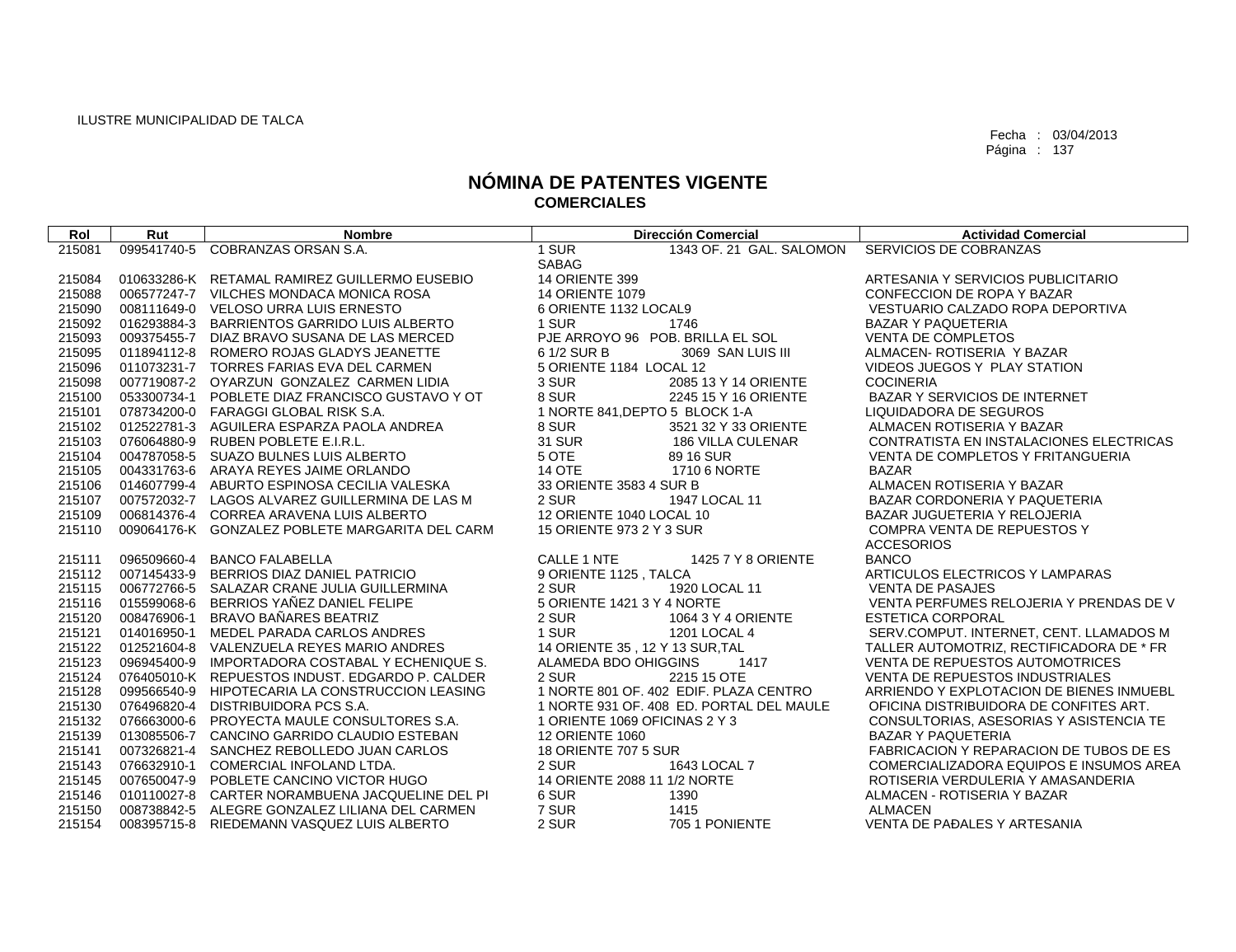| Rol              | Rut         | <b>Nombre</b>                                                                              | <b>Dirección Comercial</b>                | <b>Actividad Comercial</b>                    |
|------------------|-------------|--------------------------------------------------------------------------------------------|-------------------------------------------|-----------------------------------------------|
| 215081           |             | 099541740-5 COBRANZAS ORSAN S.A.                                                           | 1 SUR<br>1343 OF. 21 GAL. SALOMON         | SERVICIOS DE COBRANZAS                        |
|                  |             |                                                                                            | <b>SABAG</b>                              |                                               |
| 215084           |             | 010633286-K RETAMAL RAMIREZ GUILLERMO EUSEBIO                                              | <b>14 ORIENTE 399</b>                     | ARTESANIA Y SERVICIOS PUBLICITARIO            |
| 215088           |             | 006577247-7 VILCHES MONDACA MONICA ROSA                                                    | <b>14 ORIENTE 1079</b>                    | CONFECCION DE ROPA Y BAZAR                    |
| 215090           |             | 008111649-0 VELOSO URRA LUIS ERNESTO                                                       | 6 ORIENTE 1132 LOCAL9                     | VESTUARIO CALZADO ROPA DEPORTIVA              |
| 215092           | 016293884-3 | BARRIENTOS GARRIDO LUIS ALBERTO                                                            | 1 SUR<br>1746                             | <b>BAZAR Y PAQUETERIA</b>                     |
| 215093           |             | 009375455-7 DIAZ BRAVO SUSANA DE LAS MERCED                                                | PJE ARROYO 96 POB. BRILLA EL SOL          | <b>VENTA DE COMPLETOS</b>                     |
| 215095           |             | 011894112-8 ROMERO ROJAS GLADYS JEANETTE                                                   | 6 1/2 SUR B<br>3069 SAN LUIS III          | ALMACEN- ROTISERIA Y BAZAR                    |
| 215096           |             | 011073231-7 TORRES FARIAS EVA DEL CARMEN                                                   | 5 ORIENTE 1184 LOCAL 12                   | VIDEOS JUEGOS Y PLAY STATION                  |
| 215098           |             | 007719087-2 OYARZUN GONZALEZ CARMEN LIDIA                                                  | 3 SUR<br>2085 13 Y 14 ORIENTE             | <b>COCINERIA</b>                              |
| 215100           | 053300734-1 | POBLETE DIAZ FRANCISCO GUSTAVO Y OT                                                        | 8 SUR<br>2245 15 Y 16 ORIENTE             | <b>BAZAR Y SERVICIOS DE INTERNET</b>          |
| 215101           |             | 078734200-0 FARAGGI GLOBAL RISK S.A.                                                       | 1 NORTE 841, DEPTO 5 BLOCK 1-A            | LIQUIDADORA DE SEGUROS                        |
| 215102           |             | 012522781-3 AGUILERA ESPARZA PAOLA ANDREA                                                  | 8 SUR<br>3521 32 Y 33 ORIENTE             | ALMACEN ROTISERIA Y BAZAR                     |
| 215103           |             | 076064880-9 RUBEN POBLETE E.I.R.L.                                                         | <b>31 SUR</b><br><b>186 VILLA CULENAR</b> | CONTRATISTA EN INSTALACIONES ELECTRICAS       |
| 215104           |             | 004787058-5 SUAZO BULNES LUIS ALBERTO                                                      | 5 OTE<br>89 16 SUR                        | VENTA DE COMPLETOS Y FRITANGUERIA             |
| 215105           |             | 004331763-6 ARAYA REYES JAIME ORLANDO                                                      | <b>14 OTE</b><br>1710 6 NORTE             | <b>BAZAR</b>                                  |
| 215106           |             | 014607799-4 ABURTO ESPINOSA CECILIA VALESKA                                                | 33 ORIENTE 3583 4 SUR B                   | ALMACEN ROTISERIA Y BAZAR                     |
| 215107           |             | 007572032-7 LAGOS ALVAREZ GUILLERMINA DE LAS M                                             | 2 SUR<br>1947 LOCAL 11                    | BAZAR CORDONERIA Y PAQUETERIA                 |
| 215109           |             | 006814376-4 CORREA ARAVENA LUIS ALBERTO                                                    | 12 ORIENTE 1040 LOCAL 10                  | BAZAR JUGUETERIA Y RELOJERIA                  |
| 215110           |             | 009064176-K GONZALEZ POBLETE MARGARITA DEL CARM                                            | 15 ORIENTE 973 2 Y 3 SUR                  | <b>COMPRA VENTA DE REPUESTOS Y</b>            |
|                  |             |                                                                                            |                                           | <b>ACCESORIOS</b>                             |
| 215111           |             | 096509660-4 BANCO FALABELLA                                                                | CALLE 1 NTE<br>1425 7 Y 8 ORIENTE         | <b>BANCO</b>                                  |
| 215112           |             | 007145433-9 BERRIOS DIAZ DANIEL PATRICIO                                                   | 9 ORIENTE 1125, TALCA                     | ARTICULOS ELECTRICOS Y LAMPARAS               |
| 215115           | 006772766-5 | SALAZAR CRANE JULIA GUILLERMINA                                                            | 2 SUR<br>1920 LOCAL 11                    | <b>VENTA DE PASAJES</b>                       |
| 215116           | 015599068-6 | BERRIOS YAÑEZ DANIEL FELIPE                                                                | 5 ORIENTE 1421 3 Y 4 NORTE                | VENTA PERFUMES RELOJERIA Y PRENDAS DE V       |
| 215120           | 008476906-1 | BRAVO BAÑARES BEATRIZ                                                                      | 2 SUR<br>1064 3 Y 4 ORIENTE               | <b>ESTETICA CORPORAL</b>                      |
| 215121           |             | 014016950-1 MEDEL PARADA CARLOS ANDRES                                                     | 1 SUR<br>1201 LOCAL 4                     | SERV.COMPUT. INTERNET, CENT. LLAMADOS M       |
| 215122           |             | 012521604-8 VALENZUELA REYES MARIO ANDRES                                                  | 14 ORIENTE 35, 12 Y 13 SUR, TAL           | TALLER AUTOMOTRIZ, RECTIFICADORA DE * FR      |
| 215123           | 096945400-9 | IMPORTADORA COSTABAL Y ECHENIQUE S.                                                        | ALAMEDA BDO OHIGGINS<br>1417              | VENTA DE REPUESTOS AUTOMOTRICES               |
| 215124           |             | 076405010-K REPUESTOS INDUST, EDGARDO P. CALDER                                            | 2 SUR<br>2215 15 OTE                      | <b>VENTA DE REPUESTOS INDUSTRIALES</b>        |
| 215128           |             | 099566540-9 HIPOTECARIA LA CONSTRUCCION LEASING                                            | 1 NORTE 801 OF, 402 EDIF, PLAZA CENTRO    | ARRIENDO Y EXPLOTACION DE BIENES INMUEBL      |
| 215130           |             | 076496820-4 DISTRIBUIDORA PCS S.A.                                                         | 1 NORTE 931 OF, 408 ED, PORTAL DEL MAULE  | OFICINA DISTRIBUIDORA DE CONFITES ART.        |
| 215132           |             | 076663000-6 PROYECTA MAULE CONSULTORES S.A.                                                | 1 ORIENTE 1069 OFICINAS 2 Y 3             | CONSULTORIAS, ASESORIAS Y ASISTENCIA TE       |
| 215139           | 013085506-7 | CANCINO GARRIDO CLAUDIO ESTEBAN                                                            | <b>12 ORIENTE 1060</b>                    | <b>BAZAR Y PAQUETERIA</b>                     |
| 215141           | 007326821-4 | SANCHEZ REBOLLEDO JUAN CARLOS                                                              | <b>18 ORIENTE 707 5 SUR</b>               | FABRICACION Y REPARACION DE TUBOS DE ES       |
| 215143           |             | 076632910-1 COMERCIAL INFOLAND LTDA.                                                       | 1643 LOCAL 7<br>2 SUR                     | COMERCIALIZADORA EQUIPOS E INSUMOS AREA       |
| 215145           |             | 007650047-9 POBLETE CANCINO VICTOR HUGO<br>010110027-8 CARTER NORAMBUENA JACQUELINE DEL PI | 14 ORIENTE 2088 11 1/2 NORTE<br>1390      | ROTISERIA VERDULERIA Y AMASANDERIA            |
| 215146<br>215150 |             | 008738842-5 ALEGRE GONZALEZ LILIANA DEL CARMEN                                             | 6 SUR<br>7 SUR<br>1415                    | ALMACEN - ROTISERIA Y BAZAR<br><b>ALMACEN</b> |
| 215154           |             | 008395715-8 RIEDEMANN VASQUEZ LUIS ALBERTO                                                 | 2 SUR<br>705 1 PONIENTE                   | VENTA DE PAĐALES Y ARTESANIA                  |
|                  |             |                                                                                            |                                           |                                               |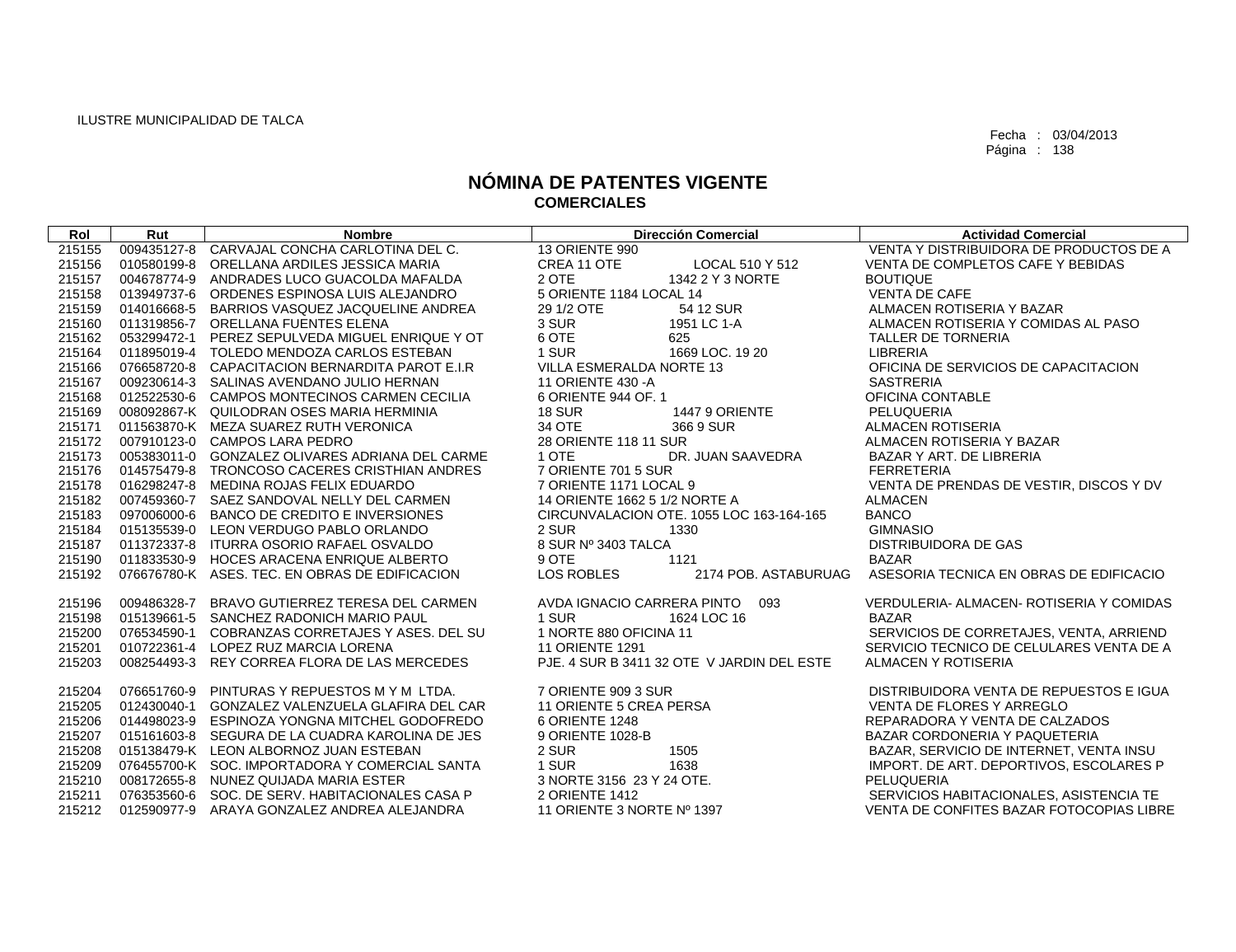| Rol    | Rut         | <b>Nombre</b>                                      | <b>Dirección Comercial</b>                 | <b>Actividad Comercial</b>               |
|--------|-------------|----------------------------------------------------|--------------------------------------------|------------------------------------------|
| 215155 |             | 009435127-8 CARVAJAL CONCHA CARLOTINA DEL C.       | 13 ORIENTE 990                             | VENTA Y DISTRIBUIDORA DE PRODUCTOS DE A  |
| 215156 | 010580199-8 | ORELLANA ARDILES JESSICA MARIA                     | CREA 11 OTE<br><b>LOCAL 510 Y 512</b>      | VENTA DE COMPLETOS CAFE Y BEBIDAS        |
| 215157 |             | 004678774-9 ANDRADES LUCO GUACOLDA MAFALDA         | 2 OTE<br>1342 2 Y 3 NORTE                  | <b>BOUTIQUE</b>                          |
| 215158 |             | 013949737-6 ORDENES ESPINOSA LUIS ALEJANDRO        | 5 ORIENTE 1184 LOCAL 14                    | <b>VENTA DE CAFE</b>                     |
| 215159 |             | 014016668-5 BARRIOS VASQUEZ JACQUELINE ANDREA      | 29 1/2 OTE<br>54 12 SUR                    | ALMACEN ROTISERIA Y BAZAR                |
| 215160 |             | 011319856-7 ORELLANA FUENTES ELENA                 | 3 SUR<br>1951 LC 1-A                       | ALMACEN ROTISERIA Y COMIDAS AL PASO      |
| 215162 |             | 053299472-1 PEREZ SEPULVEDA MIGUEL ENRIQUE Y OT    | 6 OTE<br>625                               | TALLER DE TORNERIA                       |
| 215164 |             | 011895019-4 TOLEDO MENDOZA CARLOS ESTEBAN          | 1 SUR<br>1669 LOC, 19 20                   | LIBRERIA                                 |
| 215166 |             | 076658720-8 CAPACITACION BERNARDITA PAROT E.I.R    | VILLA ESMERALDA NORTE 13                   | OFICINA DE SERVICIOS DE CAPACITACION     |
| 215167 |             | 009230614-3 SALINAS AVENDANO JULIO HERNAN          | 11 ORIENTE 430 - A                         | <b>SASTRERIA</b>                         |
| 215168 |             | 012522530-6 CAMPOS MONTECINOS CARMEN CECILIA       | 6 ORIENTE 944 OF. 1                        | OFICINA CONTABLE                         |
| 215169 |             | 008092867-K QUILODRAN OSES MARIA HERMINIA          | 18 SUR<br>1447 9 ORIENTE                   | PELUQUERIA                               |
| 215171 |             | 011563870-K MEZA SUAREZ RUTH VERONICA              | 34 OTE<br>366 9 SUR                        | <b>ALMACEN ROTISERIA</b>                 |
| 215172 |             | 007910123-0 CAMPOS LARA PEDRO                      | 28 ORIENTE 118 11 SUR                      | ALMACEN ROTISERIA Y BAZAR                |
| 215173 |             | 005383011-0 GONZALEZ OLIVARES ADRIANA DEL CARME    | 1 OTE<br>DR. JUAN SAAVEDRA                 | BAZAR Y ART, DE LIBRERIA                 |
| 215176 |             | 014575479-8 TRONCOSO CACERES CRISTHIAN ANDRES      | 7 ORIENTE 701 5 SUR                        | <b>FERRETERIA</b>                        |
| 215178 |             | 016298247-8 MEDINA ROJAS FELIX EDUARDO             | 7 ORIENTE 1171 LOCAL 9                     | VENTA DE PRENDAS DE VESTIR, DISCOS Y DV  |
| 215182 |             | 007459360-7 SAEZ SANDOVAL NELLY DEL CARMEN         | 14 ORIENTE 1662 5 1/2 NORTE A              | <b>ALMACEN</b>                           |
| 215183 |             | 097006000-6 BANCO DE CREDITO E INVERSIONES         | CIRCUNVALACION OTE. 1055 LOC 163-164-165   | <b>BANCO</b>                             |
| 215184 |             | 015135539-0 LEON VERDUGO PABLO ORLANDO             | 2 SUR<br>1330                              | <b>GIMNASIO</b>                          |
| 215187 |             | 011372337-8 ITURRA OSORIO RAFAEL OSVALDO           | 8 SUR Nº 3403 TALCA                        | <b>DISTRIBUIDORA DE GAS</b>              |
| 215190 |             | 011833530-9 HOCES ARACENA ENRIQUE ALBERTO          | 9 OTE<br>1121                              | <b>BAZAR</b>                             |
| 215192 |             | 076676780-K ASES. TEC. EN OBRAS DE EDIFICACION     | <b>LOS ROBLES</b><br>2174 POB. ASTABURUAG  | ASESORIA TECNICA EN OBRAS DE EDIFICACIO  |
|        |             |                                                    |                                            |                                          |
| 215196 |             | 009486328-7 BRAVO GUTIERREZ TERESA DEL CARMEN      | AVDA IGNACIO CARRERA PINTO 093             | VERDULERIA- ALMACEN- ROTISERIA Y COMIDAS |
| 215198 |             | 015139661-5 SANCHEZ RADONICH MARIO PAUL            | 1 SUR<br>1624 LOC 16                       | <b>BAZAR</b>                             |
| 215200 |             | 076534590-1 COBRANZAS CORRETAJES Y ASES, DEL SU    | 1 NORTE 880 OFICINA 11                     | SERVICIOS DE CORRETAJES, VENTA, ARRIEND  |
| 215201 |             | 010722361-4 LOPEZ RUZ MARCIA LORENA                | <b>11 ORIENTE 1291</b>                     | SERVICIO TECNICO DE CELULARES VENTA DE A |
| 215203 |             | 008254493-3 REY CORREA FLORA DE LAS MERCEDES       | PJE, 4 SUR B 3411 32 OTE V JARDIN DEL ESTE | ALMACEN Y ROTISERIA                      |
| 215204 |             | 076651760-9 PINTURAS Y REPUESTOS M Y M LTDA.       | 7 ORIENTE 909 3 SUR                        | DISTRIBUIDORA VENTA DE REPUESTOS E IGUA  |
| 215205 |             | 012430040-1 GONZALEZ VALENZUELA GLAFIRA DEL CAR    | 11 ORIENTE 5 CREA PERSA                    | VENTA DE FLORES Y ARREGLO                |
| 215206 |             | 014498023-9 ESPINOZA YONGNA MITCHEL GODOFREDO      | 6 ORIENTE 1248                             | REPARADORA Y VENTA DE CALZADOS           |
| 215207 |             | 015161603-8 SEGURA DE LA CUADRA KAROLINA DE JES    | 9 ORIENTE 1028-B                           | BAZAR CORDONERIA Y PAQUETERIA            |
| 215208 |             | 015138479-K LEON ALBORNOZ JUAN ESTEBAN             | 2 SUR<br>1505                              | BAZAR, SERVICIO DE INTERNET, VENTA INSU  |
| 215209 |             | 076455700-K SOC. IMPORTADORA Y COMERCIAL SANTA     | 1 SUR<br>1638                              | IMPORT. DE ART. DEPORTIVOS, ESCOLARES P  |
| 215210 |             | 008172655-8 NUNEZ QUIJADA MARIA ESTER              | 3 NORTE 3156 23 Y 24 OTE.                  | PELUQUERIA                               |
| 215211 |             | 076353560-6 SOC. DE SERV. HABITACIONALES CASA P    | 2 ORIENTE 1412                             | SERVICIOS HABITACIONALES, ASISTENCIA TE  |
|        |             | 215212 012590977-9 ARAYA GONZALEZ ANDREA ALEJANDRA | 11 ORIENTE 3 NORTE Nº 1397                 | VENTA DE CONFITES BAZAR FOTOCOPIAS LIBRE |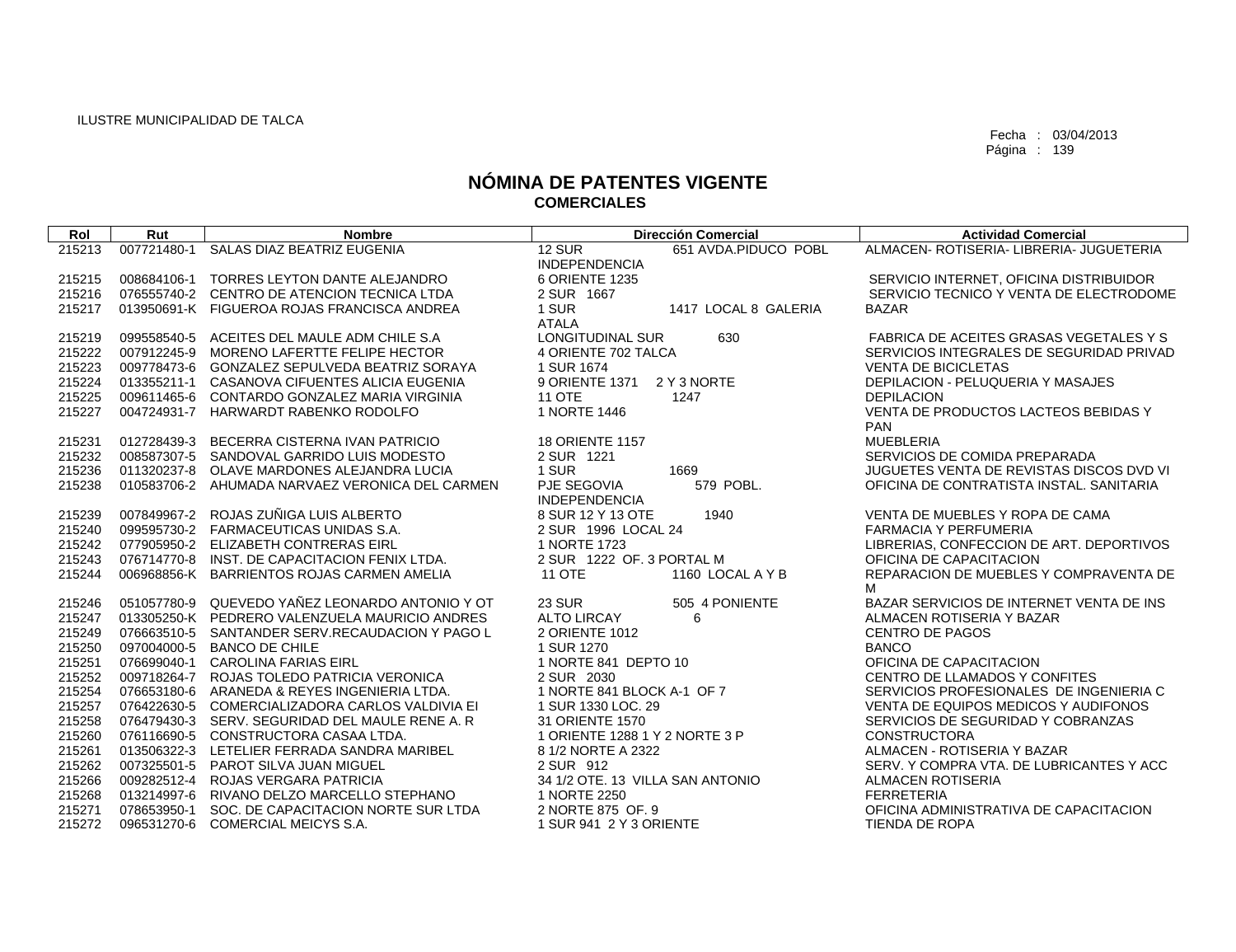| Rol    | Rut         | <b>Nombre</b>                                   | <b>Dirección Comercial</b>            | <b>Actividad Comercial</b>               |
|--------|-------------|-------------------------------------------------|---------------------------------------|------------------------------------------|
| 215213 | 007721480-1 | SALAS DIAZ BEATRIZ EUGENIA                      | <b>12 SUR</b><br>651 AVDA.PIDUCO POBL | ALMACEN- ROTISERIA- LIBRERIA- JUGUETERIA |
|        |             |                                                 | <b>INDEPENDENCIA</b>                  |                                          |
| 215215 |             | 008684106-1 TORRES LEYTON DANTE ALEJANDRO       | 6 ORIENTE 1235                        | SERVICIO INTERNET, OFICINA DISTRIBUIDOR  |
| 215216 |             | 076555740-2 CENTRO DE ATENCION TECNICA LTDA     | 2 SUR 1667                            | SERVICIO TECNICO Y VENTA DE ELECTRODOME  |
| 215217 |             | 013950691-K FIGUEROA ROJAS FRANCISCA ANDREA     | 1 SUR<br>1417 LOCAL 8 GALERIA         | <b>BAZAR</b>                             |
|        |             |                                                 | <b>ATALA</b>                          |                                          |
| 215219 |             | 099558540-5 ACEITES DEL MAULE ADM CHILE S.A     | LONGITUDINAL SUR<br>630               | FABRICA DE ACEITES GRASAS VEGETALES Y S  |
| 215222 |             | 007912245-9 MORENO LAFERTTE FELIPE HECTOR       | 4 ORIENTE 702 TALCA                   | SERVICIOS INTEGRALES DE SEGURIDAD PRIVAD |
| 215223 |             | 009778473-6 GONZALEZ SEPULVEDA BEATRIZ SORAYA   | 1 SUR 1674                            | <b>VENTA DE BICICLETAS</b>               |
| 215224 |             | 013355211-1 CASANOVA CIFUENTES ALICIA EUGENIA   | 9 ORIENTE 1371<br>2 Y 3 NORTE         | <b>DEPILACION - PELUQUERIA Y MASAJES</b> |
| 215225 |             | 009611465-6 CONTARDO GONZALEZ MARIA VIRGINIA    | <b>11 OTE</b><br>1247                 | <b>DEPILACION</b>                        |
| 215227 |             | 004724931-7 HARWARDT RABENKO RODOLFO            | 1 NORTE 1446                          | VENTA DE PRODUCTOS LACTEOS BEBIDAS Y     |
|        |             |                                                 |                                       | <b>PAN</b>                               |
| 215231 |             | 012728439-3 BECERRA CISTERNA IVAN PATRICIO      | <b>18 ORIENTE 1157</b>                | <b>MUEBLERIA</b>                         |
| 215232 |             | 008587307-5 SANDOVAL GARRIDO LUIS MODESTO       | 2 SUR 1221                            | SERVICIOS DE COMIDA PREPARADA            |
| 215236 |             | 011320237-8 OLAVE MARDONES ALEJANDRA LUCIA      | 1 SUR<br>1669                         | JUGUETES VENTA DE REVISTAS DISCOS DVD VI |
| 215238 |             | 010583706-2 AHUMADA NARVAEZ VERONICA DEL CARMEN | PJE SEGOVIA<br>579 POBL.              | OFICINA DE CONTRATISTA INSTAL, SANITARIA |
|        |             |                                                 | <b>INDEPENDENCIA</b>                  |                                          |
| 215239 |             | 007849967-2 ROJAS ZUÑIGA LUIS ALBERTO           | 8 SUR 12 Y 13 OTE<br>1940             | VENTA DE MUEBLES Y ROPA DE CAMA          |
| 215240 |             | 099595730-2 FARMACEUTICAS UNIDAS S.A.           | 2 SUR 1996 LOCAL 24                   | <b>FARMACIA Y PERFUMERIA</b>             |
| 215242 |             | 077905950-2 ELIZABETH CONTRERAS EIRL            | 1 NORTE 1723                          | LIBRERIAS, CONFECCION DE ART. DEPORTIVOS |
| 215243 |             | 076714770-8 INST, DE CAPACITACION FENIX LTDA.   | 2 SUR 1222 OF, 3 PORTAL M             | OFICINA DE CAPACITACION                  |
| 215244 |             | 006968856-K BARRIENTOS ROJAS CARMEN AMELIA      | <b>11 OTE</b><br>1160 LOCAL A Y B     | REPARACION DE MUEBLES Y COMPRAVENTA DE   |
|        |             |                                                 |                                       | M                                        |
| 215246 |             | 051057780-9 QUEVEDO YAÑEZ LEONARDO ANTONIO Y OT | <b>23 SUR</b><br>505 4 PONIENTE       | BAZAR SERVICIOS DE INTERNET VENTA DE INS |
| 215247 |             | 013305250-K PEDRERO VALENZUELA MAURICIO ANDRES  | <b>ALTO LIRCAY</b><br>6               | ALMACEN ROTISERIA Y BAZAR                |
| 215249 |             | 076663510-5 SANTANDER SERV.RECAUDACION Y PAGO L | 2 ORIENTE 1012                        | <b>CENTRO DE PAGOS</b>                   |
| 215250 |             | 097004000-5 BANCO DE CHILE                      | 1 SUR 1270                            | <b>BANCO</b>                             |
| 215251 |             | 076699040-1 CAROLINA FARIAS EIRL                | 1 NORTE 841 DEPTO 10                  | OFICINA DE CAPACITACION                  |
| 215252 |             | 009718264-7 ROJAS TOLEDO PATRICIA VERONICA      | 2 SUR 2030                            | CENTRO DE LLAMADOS Y CONFITES            |
| 215254 |             | 076653180-6 ARANEDA & REYES INGENIERIA LTDA.    | 1 NORTE 841 BLOCK A-1 OF 7            | SERVICIOS PROFESIONALES DE INGENIERIA C  |
| 215257 |             | 076422630-5 COMERCIALIZADORA CARLOS VALDIVIA EI | 1 SUR 1330 LOC. 29                    | VENTA DE EQUIPOS MEDICOS Y AUDIFONOS     |
| 215258 |             | 076479430-3 SERV, SEGURIDAD DEL MAULE RENE A. R | 31 ORIENTE 1570                       | SERVICIOS DE SEGURIDAD Y COBRANZAS       |
| 215260 |             | 076116690-5 CONSTRUCTORA CASAA LTDA.            | 1 ORIENTE 1288 1 Y 2 NORTE 3 P        | <b>CONSTRUCTORA</b>                      |
| 215261 |             | 013506322-3 LETELIER FERRADA SANDRA MARIBEL     | 8 1/2 NORTE A 2322                    | ALMACEN - ROTISERIA Y BAZAR              |
| 215262 |             | 007325501-5 PAROT SILVA JUAN MIGUEL             | 2 SUR 912                             | SERV. Y COMPRA VTA, DE LUBRICANTES Y ACC |
| 215266 |             | 009282512-4 ROJAS VERGARA PATRICIA              | 34 1/2 OTE. 13 VILLA SAN ANTONIO      | <b>ALMACEN ROTISERIA</b>                 |
| 215268 |             | 013214997-6 RIVANO DELZO MARCELLO STEPHANO      | 1 NORTE 2250                          | <b>FERRETERIA</b>                        |
| 215271 |             | 078653950-1 SOC. DE CAPACITACION NORTE SUR LTDA | 2 NORTE 875 OF, 9                     | OFICINA ADMINISTRATIVA DE CAPACITACION   |
| 215272 |             | 096531270-6 COMERCIAL MEICYS S.A.               | 1 SUR 941 2 Y 3 ORIENTE               | TIENDA DE ROPA                           |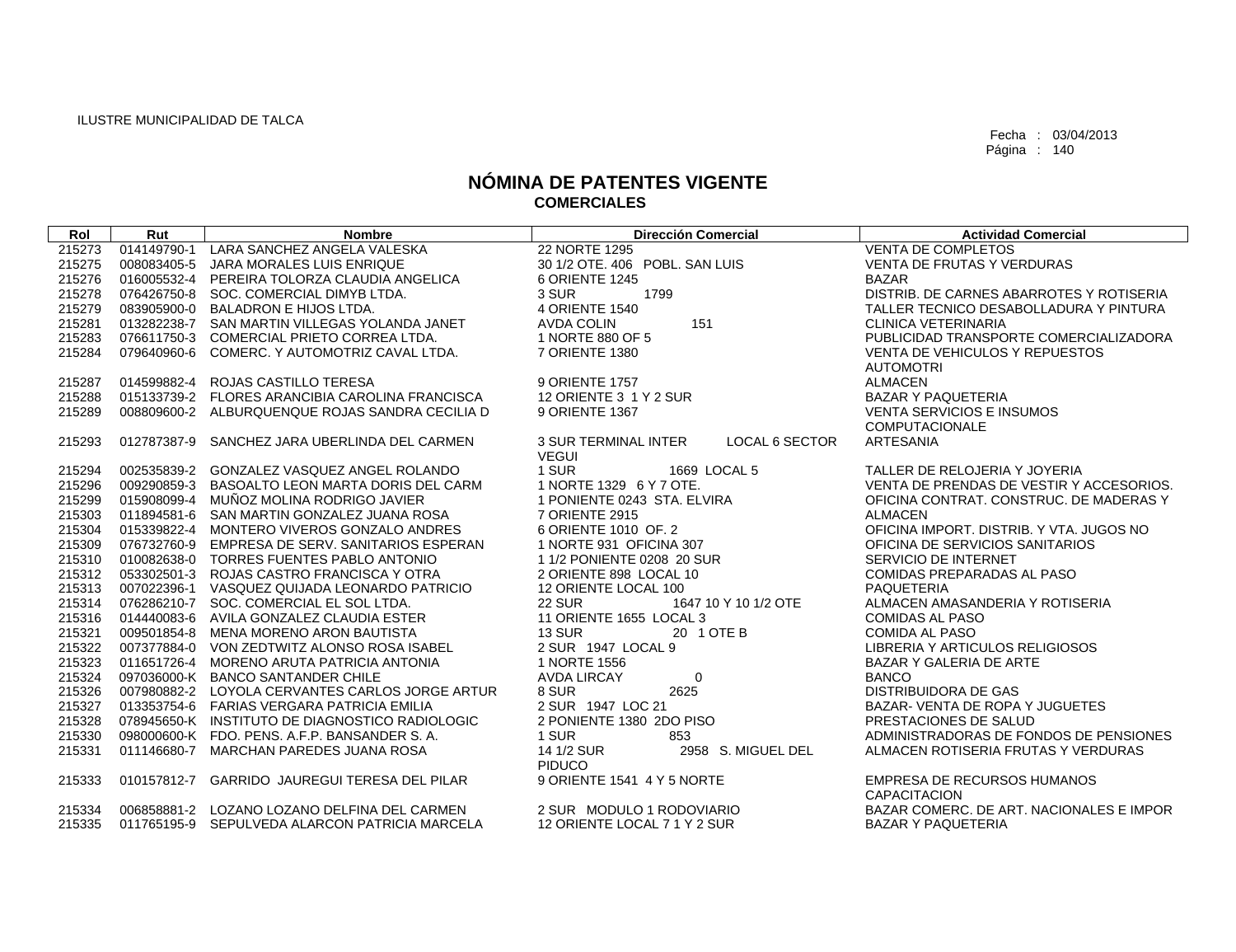| Rol    | Rut         | <b>Nombre</b>                                   | <b>Dirección Comercial</b>                           | <b>Actividad Comercial</b>               |
|--------|-------------|-------------------------------------------------|------------------------------------------------------|------------------------------------------|
| 215273 | 014149790-1 | LARA SANCHEZ ANGELA VALESKA                     | 22 NORTE 1295                                        | <b>VENTA DE COMPLETOS</b>                |
| 215275 | 008083405-5 | JARA MORALES LUIS ENRIQUE                       | 30 1/2 OTE. 406 POBL. SAN LUIS                       | <b>VENTA DE FRUTAS Y VERDURAS</b>        |
| 215276 |             | 016005532-4 PEREIRA TOLORZA CLAUDIA ANGELICA    | 6 ORIENTE 1245                                       | <b>BAZAR</b>                             |
| 215278 |             | 076426750-8 SOC, COMERCIAL DIMYB LTDA.          | 3 SUR<br>1799                                        | DISTRIB. DE CARNES ABARROTES Y ROTISERIA |
| 215279 |             | 083905900-0 BALADRON E HIJOS LTDA.              | 4 ORIENTE 1540                                       | TALLER TECNICO DESABOLLADURA Y PINTURA   |
| 215281 |             | 013282238-7 SAN MARTIN VILLEGAS YOLANDA JANET   | 151<br><b>AVDA COLIN</b>                             | <b>CLINICA VETERINARIA</b>               |
| 215283 |             | 076611750-3 COMERCIAL PRIETO CORREA LTDA.       | 1 NORTE 880 OF 5                                     | PUBLICIDAD TRANSPORTE COMERCIALIZADORA   |
| 215284 |             | 079640960-6 COMERC. Y AUTOMOTRIZ CAVAL LTDA.    | 7 ORIENTE 1380                                       | <b>VENTA DE VEHICULOS Y REPUESTOS</b>    |
|        |             |                                                 |                                                      | <b>AUTOMOTRI</b>                         |
| 215287 |             | 014599882-4 ROJAS CASTILLO TERESA               | 9 ORIENTE 1757                                       | <b>ALMACEN</b>                           |
| 215288 |             | 015133739-2 FLORES ARANCIBIA CAROLINA FRANCISCA | 12 ORIENTE 3 1 Y 2 SUR                               | <b>BAZAR Y PAQUETERIA</b>                |
| 215289 |             | 008809600-2 ALBURQUENQUE ROJAS SANDRA CECILIA D | 9 ORIENTE 1367                                       | <b>VENTA SERVICIOS E INSUMOS</b>         |
|        |             |                                                 |                                                      | <b>COMPUTACIONALE</b>                    |
| 215293 | 012787387-9 | SANCHEZ JARA UBERLINDA DEL CARMEN               | <b>3 SUR TERMINAL INTER</b><br><b>LOCAL 6 SECTOR</b> | <b>ARTESANIA</b>                         |
|        |             |                                                 | <b>VEGUI</b>                                         |                                          |
| 215294 |             | 002535839-2 GONZALEZ VASQUEZ ANGEL ROLANDO      | 1 SUR<br>1669 LOCAL 5                                | TALLER DE RELOJERIA Y JOYERIA            |
| 215296 |             | 009290859-3 BASOALTO LEON MARTA DORIS DEL CARM  | 1 NORTE 1329 6 Y 7 OTE.                              | VENTA DE PRENDAS DE VESTIR Y ACCESORIOS. |
| 215299 |             | 015908099-4 MUÑOZ MOLINA RODRIGO JAVIER         | 1 PONIENTE 0243 STA. ELVIRA                          | OFICINA CONTRAT, CONSTRUC, DE MADERAS Y  |
| 215303 |             | 011894581-6 SAN MARTIN GONZALEZ JUANA ROSA      | 7 ORIENTE 2915                                       | <b>ALMACEN</b>                           |
| 215304 |             | 015339822-4 MONTERO VIVEROS GONZALO ANDRES      | 6 ORIENTE 1010 OF, 2                                 | OFICINA IMPORT, DISTRIB, Y VTA, JUGOS NO |
| 215309 |             | 076732760-9 EMPRESA DE SERV. SANITARIOS ESPERAN | 1 NORTE 931 OFICINA 307                              | OFICINA DE SERVICIOS SANITARIOS          |
| 215310 |             | 010082638-0 TORRES FUENTES PABLO ANTONIO        | 1 1/2 PONIENTE 0208 20 SUR                           | SERVICIO DE INTERNET                     |
| 215312 |             | 053302501-3 ROJAS CASTRO FRANCISCA Y OTRA       | 2 ORIENTE 898 LOCAL 10                               | COMIDAS PREPARADAS AL PASO               |
| 215313 |             | 007022396-1 VASQUEZ QUIJADA LEONARDO PATRICIO   | 12 ORIENTE LOCAL 100                                 | <b>PAQUETERIA</b>                        |
| 215314 |             | 076286210-7 SOC. COMERCIAL EL SOL LTDA.         | <b>22 SUR</b><br>1647 10 Y 10 1/2 OTE                | ALMACEN AMASANDERIA Y ROTISERIA          |
| 215316 |             | 014440083-6 AVILA GONZALEZ CLAUDIA ESTER        | 11 ORIENTE 1655 LOCAL 3                              | <b>COMIDAS AL PASO</b>                   |
| 215321 |             | 009501854-8 MENA MORENO ARON BAUTISTA           | <b>13 SUR</b><br>20 1 OTE B                          | <b>COMIDA AL PASO</b>                    |
| 215322 |             | 007377884-0 VON ZEDTWITZ ALONSO ROSA ISABEL     | 2 SUR 1947 LOCAL 9                                   | LIBRERIA Y ARTICULOS RELIGIOSOS          |
| 215323 |             | 011651726-4 MORENO ARUTA PATRICIA ANTONIA       | 1 NORTE 1556                                         | BAZAR Y GALERIA DE ARTE                  |
| 215324 |             | 097036000-K BANCO SANTANDER CHILE               | <b>AVDA LIRCAY</b><br>$\mathbf 0$                    | <b>BANCO</b>                             |
| 215326 |             | 007980882-2 LOYOLA CERVANTES CARLOS JORGE ARTUR | 8 SUR<br>2625                                        | <b>DISTRIBUIDORA DE GAS</b>              |
| 215327 |             | 013353754-6 FARIAS VERGARA PATRICIA EMILIA      | 2 SUR 1947 LOC 21                                    | BAZAR- VENTA DE ROPA Y JUGUETES          |
| 215328 |             | 078945650-K INSTITUTO DE DIAGNOSTICO RADIOLOGIC | 2 PONIENTE 1380 2DO PISO                             | PRESTACIONES DE SALUD                    |
| 215330 |             | 098000600-K FDO, PENS, A.F.P. BANSANDER S.A.    | 1 SUR<br>853                                         | ADMINISTRADORAS DE FONDOS DE PENSIONES   |
| 215331 |             | 011146680-7 MARCHAN PAREDES JUANA ROSA          | 14 1/2 SUR<br>2958 S. MIGUEL DEL<br><b>PIDUCO</b>    | ALMACEN ROTISERIA FRUTAS Y VERDURAS      |
| 215333 |             | 010157812-7 GARRIDO JAUREGUI TERESA DEL PILAR   | 9 ORIENTE 1541 4 Y 5 NORTE                           | <b>EMPRESA DE RECURSOS HUMANOS</b>       |
|        |             |                                                 |                                                      | <b>CAPACITACION</b>                      |
| 215334 |             | 006858881-2 LOZANO LOZANO DELFINA DEL CARMEN    | 2 SUR MODULO 1 RODOVIARIO                            | BAZAR COMERC. DE ART. NACIONALES E IMPOR |
| 215335 |             | 011765195-9 SEPULVEDA ALARCON PATRICIA MARCELA  | 12 ORIENTE LOCAL 7 1 Y 2 SUR                         | <b>BAZAR Y PAQUETERIA</b>                |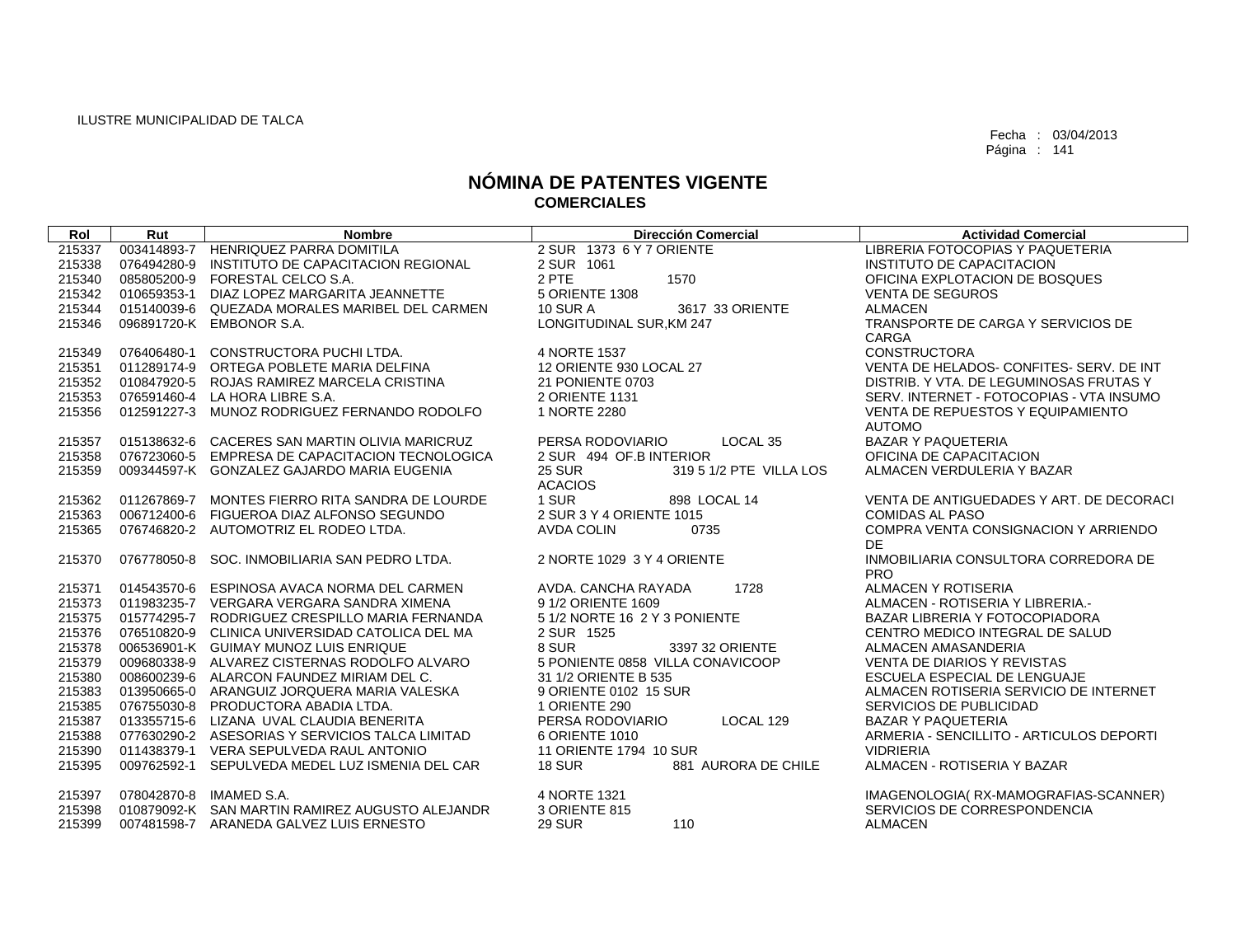| Rol    | Rut         | <b>Nombre</b>                                   | <b>Dirección Comercial</b>               | <b>Actividad Comercial</b>                         |
|--------|-------------|-------------------------------------------------|------------------------------------------|----------------------------------------------------|
| 215337 |             | 003414893-7 HENRIQUEZ PARRA DOMITILA            | 2 SUR 1373 6 Y 7 ORIENTE                 | LIBRERIA FOTOCOPIAS Y PAQUETERIA                   |
| 215338 | 076494280-9 | INSTITUTO DE CAPACITACION REGIONAL              | 2 SUR 1061                               | INSTITUTO DE CAPACITACION                          |
| 215340 |             | 085805200-9 FORESTAL CELCO S.A.                 | 2 PTE<br>1570                            | OFICINA EXPLOTACION DE BOSQUES                     |
| 215342 | 010659353-1 | DIAZ LOPEZ MARGARITA JEANNETTE                  | 5 ORIENTE 1308                           | <b>VENTA DE SEGUROS</b>                            |
| 215344 |             | 015140039-6 QUEZADA MORALES MARIBEL DEL CARMEN  | 3617 33 ORIENTE<br><b>10 SUR A</b>       | <b>ALMACEN</b>                                     |
| 215346 |             | 096891720-K EMBONOR S.A.                        | LONGITUDINAL SUR, KM 247                 | TRANSPORTE DE CARGA Y SERVICIOS DE                 |
|        |             |                                                 |                                          | CARGA                                              |
| 215349 | 076406480-1 | CONSTRUCTORA PUCHI LTDA.                        | 4 NORTE 1537                             | <b>CONSTRUCTORA</b>                                |
| 215351 |             | 011289174-9 ORTEGA POBLETE MARIA DELFINA        | 12 ORIENTE 930 LOCAL 27                  | VENTA DE HELADOS- CONFITES- SERV. DE INT           |
| 215352 |             | 010847920-5 ROJAS RAMIREZ MARCELA CRISTINA      | 21 PONIENTE 0703                         | DISTRIB. Y VTA, DE LEGUMINOSAS FRUTAS Y            |
| 215353 |             | 076591460-4 LA HORA LIBRE S.A.                  | 2 ORIENTE 1131                           | SERV. INTERNET - FOTOCOPIAS - VTA INSUMO           |
| 215356 |             | 012591227-3 MUNOZ RODRIGUEZ FERNANDO RODOLFO    | 1 NORTE 2280                             | VENTA DE REPUESTOS Y EQUIPAMIENTO<br><b>AUTOMO</b> |
| 215357 |             | 015138632-6 CACERES SAN MARTIN OLIVIA MARICRUZ  | LOCAL <sub>35</sub><br>PERSA RODOVIARIO  | <b>BAZAR Y PAQUETERIA</b>                          |
| 215358 |             | 076723060-5 EMPRESA DE CAPACITACION TECNOLOGICA | 2 SUR 494 OF B INTERIOR                  | OFICINA DE CAPACITACION                            |
| 215359 |             | 009344597-K GONZALEZ GAJARDO MARIA EUGENIA      | <b>25 SUR</b><br>319 5 1/2 PTE VILLA LOS | ALMACEN VERDULERIA Y BAZAR                         |
|        |             |                                                 | <b>ACACIOS</b>                           |                                                    |
| 215362 |             | 011267869-7 MONTES FIERRO RITA SANDRA DE LOURDE | 1 SUR<br>898 LOCAL 14                    | VENTA DE ANTIGUEDADES Y ART. DE DECORACI           |
| 215363 |             | 006712400-6 FIGUEROA DIAZ ALFONSO SEGUNDO       | 2 SUR 3 Y 4 ORIENTE 1015                 | <b>COMIDAS AL PASO</b>                             |
| 215365 |             | 076746820-2 AUTOMOTRIZ EL RODEO LTDA.           | <b>AVDA COLIN</b><br>0735                | COMPRA VENTA CONSIGNACION Y ARRIENDO               |
|        |             |                                                 |                                          | DE.                                                |
| 215370 |             | 076778050-8 SOC. INMOBILIARIA SAN PEDRO LTDA.   | 2 NORTE 1029 3 Y 4 ORIENTE               | INMOBILIARIA CONSULTORA CORREDORA DE<br><b>PRO</b> |
| 215371 |             | 014543570-6 ESPINOSA AVACA NORMA DEL CARMEN     | 1728<br>AVDA. CANCHA RAYADA              | ALMACEN Y ROTISERIA                                |
| 215373 |             | 011983235-7 VERGARA VERGARA SANDRA XIMENA       | 9 1/2 ORIENTE 1609                       | ALMACEN - ROTISERIA Y LIBRERIA.-                   |
| 215375 |             | 015774295-7 RODRIGUEZ CRESPILLO MARIA FERNANDA  | 5 1/2 NORTE 16 2 Y 3 PONIENTE            | BAZAR LIBRERIA Y FOTOCOPIADORA                     |
| 215376 |             | 076510820-9 CLINICA UNIVERSIDAD CATOLICA DEL MA | 2 SUR 1525                               | CENTRO MEDICO INTEGRAL DE SALUD                    |
| 215378 |             | 006536901-K GUIMAY MUNOZ LUIS ENRIQUE           | 8 SUR<br>3397 32 ORIENTE                 | ALMACEN AMASANDERIA                                |
| 215379 |             | 009680338-9 ALVAREZ CISTERNAS RODOLFO ALVARO    | 5 PONIENTE 0858 VILLA CONAVICOOP         | <b>VENTA DE DIARIOS Y REVISTAS</b>                 |
| 215380 |             | 008600239-6 ALARCON FAUNDEZ MIRIAM DEL C.       | 31 1/2 ORIENTE B 535                     | ESCUELA ESPECIAL DE LENGUAJE                       |
| 215383 |             | 013950665-0 ARANGUIZ JORQUERA MARIA VALESKA     | 9 ORIENTE 0102 15 SUR                    | ALMACEN ROTISERIA SERVICIO DE INTERNET             |
| 215385 |             | 076755030-8 PRODUCTORA ABADIA LTDA.             | 1 ORIENTE 290                            | SERVICIOS DE PUBLICIDAD                            |
| 215387 |             | 013355715-6 LIZANA UVAL CLAUDIA BENERITA        | PERSA RODOVIARIO<br>LOCAL 129            | <b>BAZAR Y PAQUETERIA</b>                          |
| 215388 |             | 077630290-2 ASESORIAS Y SERVICIOS TALCA LIMITAD | 6 ORIENTE 1010                           | ARMERIA - SENCILLITO - ARTICULOS DEPORTI           |
| 215390 |             | 011438379-1 VERA SEPULVEDA RAUL ANTONIO         | 11 ORIENTE 1794 10 SUR                   | <b>VIDRIERIA</b>                                   |
| 215395 | 009762592-1 | SEPULVEDA MEDEL LUZ ISMENIA DEL CAR             | <b>18 SUR</b><br>881 AURORA DE CHILE     | ALMACEN - ROTISERIA Y BAZAR                        |
| 215397 |             | 078042870-8 IMAMED S.A.                         | 4 NORTE 1321                             | IMAGENOLOGIA(RX-MAMOGRAFIAS-SCANNER)               |
| 215398 |             | 010879092-K SAN MARTIN RAMIREZ AUGUSTO ALEJANDR | 3 ORIENTE 815                            | SERVICIOS DE CORRESPONDENCIA                       |
| 215399 |             | 007481598-7 ARANEDA GALVEZ LUIS ERNESTO         | <b>29 SUR</b><br>110                     | <b>ALMACEN</b>                                     |
|        |             |                                                 |                                          |                                                    |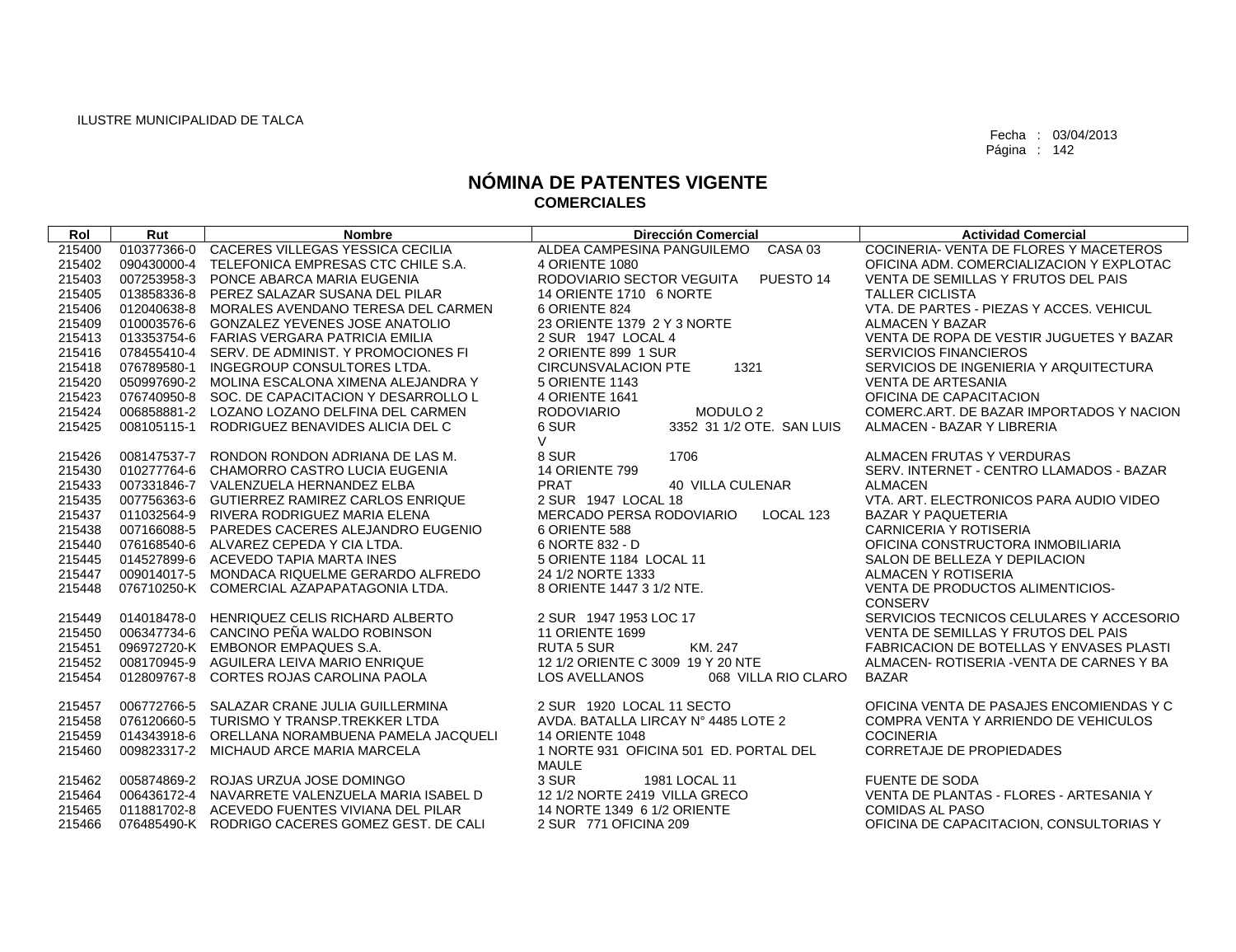| Rol    | Rut         | <b>Nombre</b>                                   | <b>Dirección Comercial</b>                        | <b>Actividad Comercial</b>                      |
|--------|-------------|-------------------------------------------------|---------------------------------------------------|-------------------------------------------------|
| 215400 | 010377366-0 | CACERES VILLEGAS YESSICA CECILIA                | ALDEA CAMPESINA PANGUILEMO<br>CASA 03             | COCINERIA- VENTA DE FLORES Y MACETEROS          |
| 215402 | 090430000-4 | TELEFONICA EMPRESAS CTC CHILE S.A.              | 4 ORIENTE 1080                                    | OFICINA ADM. COMERCIALIZACION Y EXPLOTAC        |
| 215403 | 007253958-3 | PONCE ABARCA MARIA EUGENIA                      | RODOVIARIO SECTOR VEGUITA<br>PUESTO <sub>14</sub> | VENTA DE SEMILLAS Y FRUTOS DEL PAIS             |
| 215405 |             | 013858336-8 PEREZ SALAZAR SUSANA DEL PILAR      | 14 ORIENTE 1710 6 NORTE                           | <b>TALLER CICLISTA</b>                          |
| 215406 | 012040638-8 | MORALES AVENDANO TERESA DEL CARMEN              | 6 ORIENTE 824                                     | VTA. DE PARTES - PIEZAS Y ACCES. VEHICUL        |
| 215409 | 010003576-6 | GONZALEZ YEVENES JOSE ANATOLIO                  | 23 ORIENTE 1379 2 Y 3 NORTE                       | ALMACEN Y BAZAR                                 |
| 215413 | 013353754-6 | FARIAS VERGARA PATRICIA EMILIA                  | 2 SUR 1947 LOCAL 4                                | VENTA DE ROPA DE VESTIR JUGUETES Y BAZAR        |
| 215416 |             | 078455410-4 SERV, DE ADMINIST, Y PROMOCIONES FI | 2 ORIENTE 899 1 SUR                               | <b>SERVICIOS FINANCIEROS</b>                    |
| 215418 | 076789580-1 | INGEGROUP CONSULTORES LTDA.                     | <b>CIRCUNSVALACION PTE</b><br>1321                | SERVICIOS DE INGENIERIA Y ARQUITECTURA          |
| 215420 | 050997690-2 | MOLINA ESCALONA XIMENA ALEJANDRA Y              | 5 ORIENTE 1143                                    | <b>VENTA DE ARTESANIA</b>                       |
| 215423 | 076740950-8 | SOC. DE CAPACITACION Y DESARROLLO L             | 4 ORIENTE 1641                                    | OFICINA DE CAPACITACION                         |
| 215424 |             | 006858881-2 LOZANO LOZANO DELFINA DEL CARMEN    | <b>RODOVIARIO</b><br>MODULO <sub>2</sub>          | COMERC. ART. DE BAZAR IMPORTADOS Y NACION       |
| 215425 | 008105115-1 | RODRIGUEZ BENAVIDES ALICIA DEL C                | 6 SUR<br>3352 31 1/2 OTE. SAN LUIS                | ALMACEN - BAZAR Y LIBRERIA                      |
|        |             |                                                 | $\vee$                                            |                                                 |
| 215426 | 008147537-7 | RONDON RONDON ADRIANA DE LAS M.                 | 8 SUR<br>1706                                     | ALMACEN FRUTAS Y VERDURAS                       |
| 215430 | 010277764-6 | CHAMORRO CASTRO LUCIA EUGENIA                   | <b>14 ORIENTE 799</b>                             | SERV. INTERNET - CENTRO LLAMADOS - BAZAR        |
| 215433 |             | 007331846-7 VALENZUELA HERNANDEZ ELBA           | <b>PRAT</b><br><b>40 VILLA CULENAR</b>            | <b>ALMACEN</b>                                  |
| 215435 | 007756363-6 | GUTIERREZ RAMIREZ CARLOS ENRIQUE                | 2 SUR 1947 LOCAL 18                               | VTA. ART. ELECTRONICOS PARA AUDIO VIDEO         |
| 215437 |             | 011032564-9 RIVERA RODRIGUEZ MARIA ELENA        | MERCADO PERSA RODOVIARIO<br>LOCAL 123             | <b>BAZAR Y PAQUETERIA</b>                       |
| 215438 | 007166088-5 | PAREDES CACERES ALEJANDRO EUGENIO               | 6 ORIENTE 588                                     | <b>CARNICERIA Y ROTISERIA</b>                   |
| 215440 | 076168540-6 | ALVAREZ CEPEDA Y CIA LTDA.                      | 6 NORTE 832 - D                                   | OFICINA CONSTRUCTORA INMOBILIARIA               |
| 215445 | 014527899-6 | ACEVEDO TAPIA MARTA INES                        | 5 ORIENTE 1184 LOCAL 11                           | SALON DE BELLEZA Y DEPILACION                   |
| 215447 |             | 009014017-5 MONDACA RIQUELME GERARDO ALFREDO    | 24 1/2 NORTE 1333                                 | ALMACEN Y ROTISERIA                             |
| 215448 |             | 076710250-K COMERCIAL AZAPAPATAGONIA LTDA.      | 8 ORIENTE 1447 3 1/2 NTE.                         | VENTA DE PRODUCTOS ALIMENTICIOS-                |
|        |             |                                                 |                                                   | CONSERV                                         |
| 215449 | 014018478-0 | HENRIQUEZ CELIS RICHARD ALBERTO                 | 2 SUR 1947 1953 LOC 17                            | SERVICIOS TECNICOS CELULARES Y ACCESORIO        |
| 215450 | 006347734-6 | CANCINO PEÑA WALDO ROBINSON                     | <b>11 ORIENTE 1699</b>                            | VENTA DE SEMILLAS Y FRUTOS DEL PAIS             |
| 215451 |             | 096972720-K EMBONOR EMPAQUES S.A.               | KM, 247<br><b>RUTA 5 SUR</b>                      | <b>FABRICACION DE BOTELLAS Y ENVASES PLASTI</b> |
| 215452 |             | 008170945-9 AGUILERA LEIVA MARIO ENRIQUE        | 12 1/2 ORIENTE C 3009 19 Y 20 NTE                 | ALMACEN- ROTISERIA - VENTA DE CARNES Y BA       |
| 215454 | 012809767-8 | CORTES ROJAS CAROLINA PAOLA                     | 068 VILLA RIO CLARO<br><b>LOS AVELLANOS</b>       | <b>BAZAR</b>                                    |
| 215457 | 006772766-5 | SALAZAR CRANE JULIA GUILLERMINA                 | 2 SUR 1920 LOCAL 11 SECTO                         | OFICINA VENTA DE PASAJES ENCOMIENDAS Y C        |
| 215458 | 076120660-5 | TURISMO Y TRANSP.TREKKER LTDA                   | AVDA, BATALLA LIRCAY Nº 4485 LOTE 2               | COMPRA VENTA Y ARRIENDO DE VEHICULOS            |
| 215459 | 014343918-6 | ORELLANA NORAMBUENA PAMELA JACQUELI             | <b>14 ORIENTE 1048</b>                            | <b>COCINERIA</b>                                |
| 215460 |             | 009823317-2 MICHAUD ARCE MARIA MARCELA          | 1 NORTE 931 OFICINA 501 ED. PORTAL DEL            | CORRETAJE DE PROPIEDADES                        |
|        |             |                                                 | <b>MAULE</b>                                      |                                                 |
| 215462 |             | 005874869-2 ROJAS URZUA JOSE DOMINGO            | 3 SUR<br>1981 LOCAL 11                            | <b>FUENTE DE SODA</b>                           |
| 215464 |             | 006436172-4 NAVARRETE VALENZUELA MARIA ISABEL D | 12 1/2 NORTE 2419 VILLA GRECO                     | VENTA DE PLANTAS - FLORES - ARTESANIA Y         |
| 215465 | 011881702-8 | ACEVEDO FUENTES VIVIANA DEL PILAR               | 14 NORTE 1349 6 1/2 ORIENTE                       | <b>COMIDAS AL PASO</b>                          |
| 215466 |             | 076485490-K RODRIGO CACERES GOMEZ GEST. DE CALI | 2 SUR 771 OFICINA 209                             | OFICINA DE CAPACITACION, CONSULTORIAS Y         |
|        |             |                                                 |                                                   |                                                 |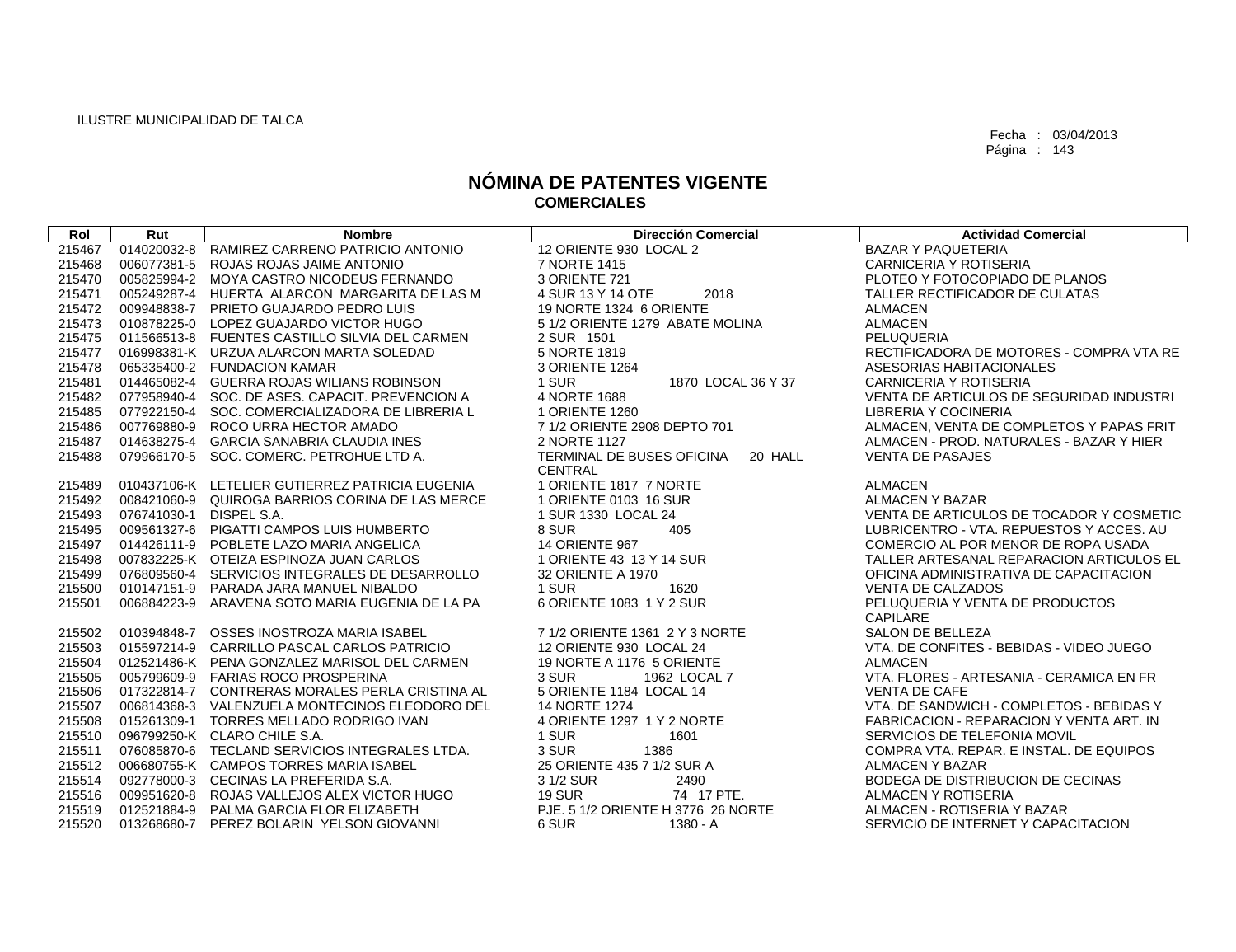| Rol    | Rut                     | <b>Nombre</b>                                   | <b>Dirección Comercial</b>           | <b>Actividad Comercial</b>               |
|--------|-------------------------|-------------------------------------------------|--------------------------------------|------------------------------------------|
| 215467 |                         | 014020032-8 RAMIREZ CARRENO PATRICIO ANTONIO    | 12 ORIENTE 930 LOCAL 2               | <b>BAZAR Y PAQUETERIA</b>                |
| 215468 |                         | 006077381-5 ROJAS ROJAS JAIME ANTONIO           | 7 NORTE 1415                         | CARNICERIA Y ROTISERIA                   |
| 215470 |                         | 005825994-2 MOYA CASTRO NICODEUS FERNANDO       | 3 ORIENTE 721                        | PLOTEO Y FOTOCOPIADO DE PLANOS           |
| 215471 |                         | 005249287-4 HUERTA ALARCON MARGARITA DE LAS M   | 2018<br>4 SUR 13 Y 14 OTE            | TALLER RECTIFICADOR DE CULATAS           |
| 215472 |                         | 009948838-7 PRIETO GUAJARDO PEDRO LUIS          | 19 NORTE 1324 6 ORIENTE              | <b>ALMACEN</b>                           |
| 215473 |                         | 010878225-0 LOPEZ GUAJARDO VICTOR HUGO          | 5 1/2 ORIENTE 1279 ABATE MOLINA      | <b>ALMACEN</b>                           |
| 215475 |                         | 011566513-8 FUENTES CASTILLO SILVIA DEL CARMEN  | 2 SUR 1501                           | PELUQUERIA                               |
| 215477 |                         | 016998381-K URZUA ALARCON MARTA SOLEDAD         | 5 NORTE 1819                         | RECTIFICADORA DE MOTORES - COMPRA VTA RE |
| 215478 |                         | 065335400-2 FUNDACION KAMAR                     | 3 ORIENTE 1264                       | ASESORIAS HABITACIONALES                 |
| 215481 |                         | 014465082-4 GUERRA ROJAS WILIANS ROBINSON       | 1 SUR<br>1870 LOCAL 36 Y 37          | CARNICERIA Y ROTISERIA                   |
| 215482 |                         | 077958940-4 SOC. DE ASES. CAPACIT. PREVENCION A | 4 NORTE 1688                         | VENTA DE ARTICULOS DE SEGURIDAD INDUSTRI |
| 215485 |                         | 077922150-4 SOC. COMERCIALIZADORA DE LIBRERIA L | 1 ORIENTE 1260                       | LIBRERIA Y COCINERIA                     |
| 215486 |                         | 007769880-9 ROCO URRA HECTOR AMADO              | 7 1/2 ORIENTE 2908 DEPTO 701         | ALMACEN, VENTA DE COMPLETOS Y PAPAS FRIT |
| 215487 |                         | 014638275-4 GARCIA SANABRIA CLAUDIA INES        | 2 NORTE 1127                         | ALMACEN - PROD. NATURALES - BAZAR Y HIER |
| 215488 |                         | 079966170-5 SOC. COMERC. PETROHUE LTD A.        | TERMINAL DE BUSES OFICINA<br>20 HALL | <b>VENTA DE PASAJES</b>                  |
|        |                         |                                                 | <b>CENTRAL</b>                       |                                          |
| 215489 |                         | 010437106-K LETELIER GUTIERREZ PATRICIA EUGENIA | 1 ORIENTE 1817 7 NORTE               | <b>ALMACEN</b>                           |
| 215492 |                         | 008421060-9 QUIROGA BARRIOS CORINA DE LAS MERCE | 1 ORIENTE 0103 16 SUR                | <b>ALMACEN Y BAZAR</b>                   |
| 215493 | 076741030-1 DISPEL S.A. |                                                 | 1 SUR 1330 LOCAL 24                  | VENTA DE ARTICULOS DE TOCADOR Y COSMETIC |
| 215495 |                         | 009561327-6 PIGATTI CAMPOS LUIS HUMBERTO        | 8 SUR<br>405                         | LUBRICENTRO - VTA, REPUESTOS Y ACCES, AU |
| 215497 |                         | 014426111-9 POBLETE LAZO MARIA ANGELICA         | <b>14 ORIENTE 967</b>                | COMERCIO AL POR MENOR DE ROPA USADA      |
| 215498 |                         | 007832225-K OTEIZA ESPINOZA JUAN CARLOS         | 1 ORIENTE 43 13 Y 14 SUR             | TALLER ARTESANAL REPARACION ARTICULOS EL |
| 215499 |                         | 076809560-4 SERVICIOS INTEGRALES DE DESARROLLO  | 32 ORIENTE A 1970                    | OFICINA ADMINISTRATIVA DE CAPACITACION   |
| 215500 |                         | 010147151-9 PARADA JARA MANUEL NIBALDO          | 1 SUR<br>1620                        | <b>VENTA DE CALZADOS</b>                 |
| 215501 |                         | 006884223-9 ARAVENA SOTO MARIA EUGENIA DE LA PA | 6 ORIENTE 1083 1 Y 2 SUR             | PELUQUERIA Y VENTA DE PRODUCTOS          |
|        |                         |                                                 |                                      | <b>CAPILARE</b>                          |
| 215502 |                         | 010394848-7 OSSES INOSTROZA MARIA ISABEL        | 7 1/2 ORIENTE 1361 2 Y 3 NORTE       | SALON DE BELLEZA                         |
| 215503 |                         | 015597214-9 CARRILLO PASCAL CARLOS PATRICIO     | 12 ORIENTE 930 LOCAL 24              | VTA, DE CONFITES - BEBIDAS - VIDEO JUEGO |
| 215504 |                         | 012521486-K PENA GONZALEZ MARISOL DEL CARMEN    | 19 NORTE A 1176 5 ORIENTE            | <b>ALMACEN</b>                           |
| 215505 |                         | 005799609-9 FARIAS ROCO PROSPERINA              | 3 SUR<br>1962 LOCAL 7                | VTA. FLORES - ARTESANIA - CERAMICA EN FR |
| 215506 |                         | 017322814-7 CONTRERAS MORALES PERLA CRISTINA AL | 5 ORIENTE 1184 LOCAL 14              | <b>VENTA DE CAFE</b>                     |
| 215507 |                         | 006814368-3 VALENZUELA MONTECINOS ELEODORO DEL  | 14 NORTE 1274                        | VTA, DE SANDWICH - COMPLETOS - BEBIDAS Y |
| 215508 |                         | 015261309-1 TORRES MELLADO RODRIGO IVAN         | 4 ORIENTE 1297 1 Y 2 NORTE           | FABRICACION - REPARACION Y VENTA ART. IN |
| 215510 |                         | 096799250-K CLARO CHILE S.A.                    | 1 SUR<br>1601                        | SERVICIOS DE TELEFONIA MOVIL             |
| 215511 |                         | 076085870-6 TECLAND SERVICIOS INTEGRALES LTDA.  | 3 SUR<br>1386                        | COMPRA VTA, REPAR, E INSTAL, DE EQUIPOS  |
| 215512 |                         | 006680755-K CAMPOS TORRES MARIA ISABEL          | 25 ORIENTE 435 7 1/2 SUR A           | <b>ALMACEN Y BAZAR</b>                   |
| 215514 |                         | 092778000-3 CECINAS LA PREFERIDA S.A.           | 3 1/2 SUR<br>2490                    | BODEGA DE DISTRIBUCION DE CECINAS        |
| 215516 |                         | 009951620-8 ROJAS VALLEJOS ALEX VICTOR HUGO     | <b>19 SUR</b><br>74 17 PTE.          | ALMACEN Y ROTISERIA                      |
| 215519 |                         | 012521884-9 PALMA GARCIA FLOR ELIZABETH         | PJE, 5 1/2 ORIENTE H 3776 26 NORTE   | ALMACEN - ROTISERIA Y BAZAR              |
| 215520 |                         | 013268680-7 PEREZ BOLARIN YELSON GIOVANNI       | 6 SUR<br>1380 - A                    | SERVICIO DE INTERNET Y CAPACITACION      |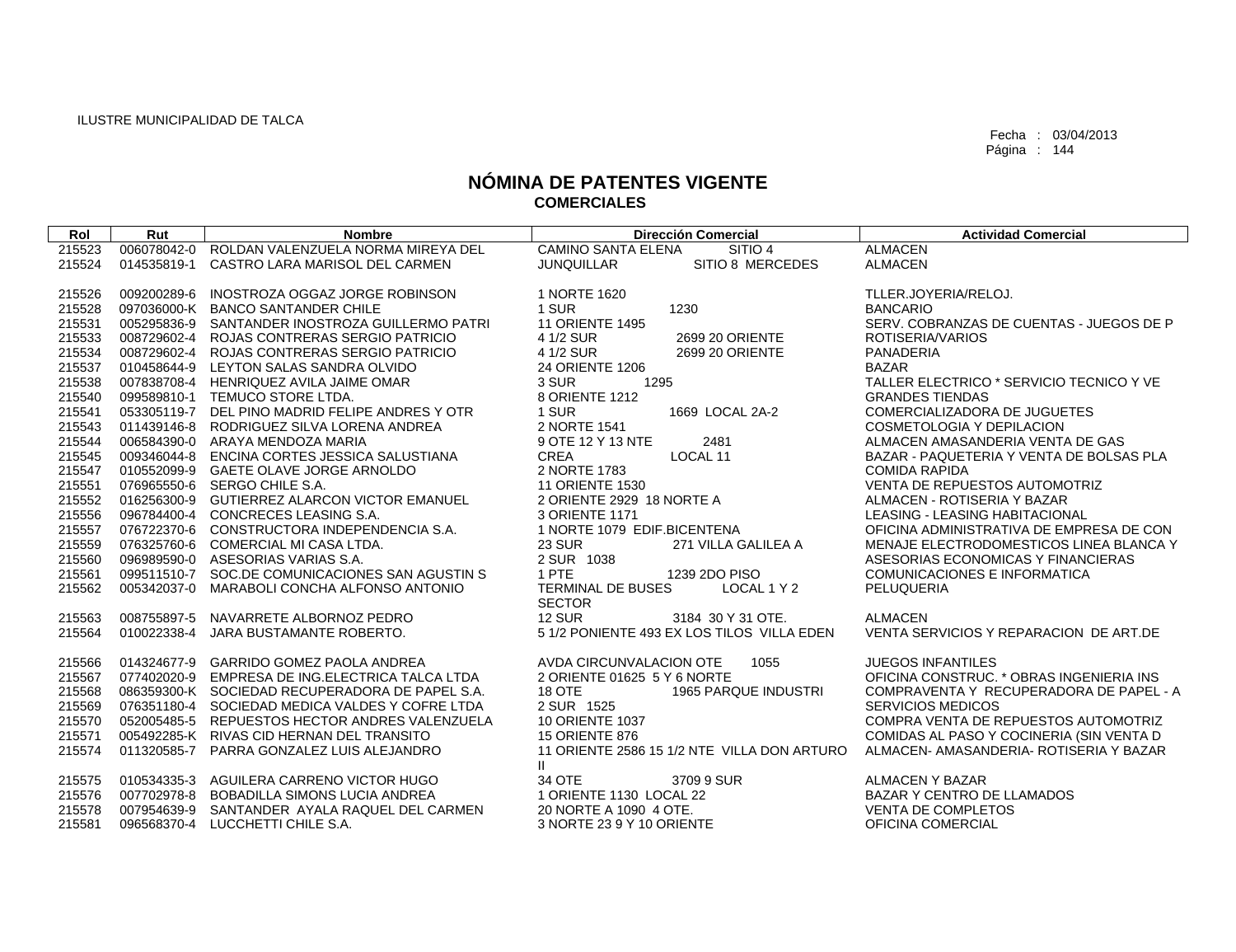| Rol    | Rut         | <b>Nombre</b>                                   | <b>Dirección Comercial</b>                  | <b>Actividad Comercial</b>               |
|--------|-------------|-------------------------------------------------|---------------------------------------------|------------------------------------------|
| 215523 |             | 006078042-0 ROLDAN VALENZUELA NORMA MIREYA DEL  | <b>CAMINO SANTA ELENA</b><br>SITIO 4        | <b>ALMACEN</b>                           |
| 215524 | 014535819-1 | CASTRO LARA MARISOL DEL CARMEN                  | SITIO 8 MERCEDES<br><b>JUNQUILLAR</b>       | <b>ALMACEN</b>                           |
|        |             |                                                 |                                             |                                          |
| 215526 |             | 009200289-6 INOSTROZA OGGAZ JORGE ROBINSON      | 1 NORTE 1620                                | TLLER.JOYERIA/RELOJ.                     |
| 215528 |             | 097036000-K BANCO SANTANDER CHILE               | 1 SUR<br>1230                               | <b>BANCARIO</b>                          |
| 215531 |             | 005295836-9 SANTANDER INOSTROZA GUILLERMO PATRI | <b>11 ORIENTE 1495</b>                      | SERV. COBRANZAS DE CUENTAS - JUEGOS DE P |
| 215533 |             | 008729602-4 ROJAS CONTRERAS SERGIO PATRICIO     | 4 1/2 SUR<br>2699 20 ORIENTE                | ROTISERIA/VARIOS                         |
| 215534 | 008729602-4 | ROJAS CONTRERAS SERGIO PATRICIO                 | 4 1/2 SUR<br>2699 20 ORIENTE                | <b>PANADERIA</b>                         |
| 215537 |             | 010458644-9 LEYTON SALAS SANDRA OLVIDO          | 24 ORIENTE 1206                             | <b>BAZAR</b>                             |
| 215538 |             | 007838708-4 HENRIQUEZ AVILA JAIME OMAR          | 3 SUR<br>1295                               | TALLER ELECTRICO * SERVICIO TECNICO Y VE |
| 215540 |             | 099589810-1 TEMUCO STORE LTDA.                  | 8 ORIENTE 1212                              | <b>GRANDES TIENDAS</b>                   |
| 215541 |             | 053305119-7 DEL PINO MADRID FELIPE ANDRES Y OTR | 1 SUR<br>1669 LOCAL 2A-2                    | COMERCIALIZADORA DE JUGUETES             |
| 215543 |             | 011439146-8 RODRIGUEZ SILVA LORENA ANDREA       | 2 NORTE 1541                                | <b>COSMETOLOGIA Y DEPILACION</b>         |
| 215544 |             | 006584390-0 ARAYA MENDOZA MARIA                 | 9 OTE 12 Y 13 NTE<br>2481                   | ALMACEN AMASANDERIA VENTA DE GAS         |
| 215545 |             | 009346044-8 ENCINA CORTES JESSICA SALUSTIANA    | <b>CREA</b><br>LOCAL 11                     | BAZAR - PAQUETERIA Y VENTA DE BOLSAS PLA |
| 215547 |             | 010552099-9 GAETE OLAVE JORGE ARNOLDO           | 2 NORTE 1783                                | <b>COMIDA RAPIDA</b>                     |
| 215551 |             | 076965550-6 SERGO CHILE S.A.                    | <b>11 ORIENTE 1530</b>                      | <b>VENTA DE REPUESTOS AUTOMOTRIZ</b>     |
| 215552 |             | 016256300-9 GUTIERREZ ALARCON VICTOR EMANUEL    | 2 ORIENTE 2929 18 NORTE A                   | ALMACEN - ROTISERIA Y BAZAR              |
| 215556 |             | 096784400-4 CONCRECES LEASING S.A.              | 3 ORIENTE 1171                              | LEASING - LEASING HABITACIONAL           |
| 215557 |             | 076722370-6 CONSTRUCTORA INDEPENDENCIA S.A.     | 1 NORTE 1079 EDIF.BICENTENA                 | OFICINA ADMINISTRATIVA DE EMPRESA DE CON |
| 215559 |             | 076325760-6 COMERCIAL MI CASA LTDA.             | 23 SUR<br>271 VILLA GALILEA A               | MENAJE ELECTRODOMESTICOS LINEA BLANCA Y  |
| 215560 |             | 096989590-0 ASESORIAS VARIAS S.A.               | 2 SUR 1038                                  | ASESORIAS ECONOMICAS Y FINANCIERAS       |
| 215561 |             | 099511510-7 SOC.DE COMUNICACIONES SAN AGUSTIN S | 1 PTE<br>1239 2DO PISO                      | COMUNICACIONES E INFORMATICA             |
| 215562 | 005342037-0 | MARABOLI CONCHA ALFONSO ANTONIO                 | TERMINAL DE BUSES<br>LOCAL 1 Y 2            | PELUQUERIA                               |
|        |             |                                                 | <b>SECTOR</b>                               |                                          |
| 215563 |             | 008755897-5 NAVARRETE ALBORNOZ PEDRO            | <b>12 SUR</b><br>3184 30 Y 31 OTE.          | <b>ALMACEN</b>                           |
| 215564 |             | 010022338-4 JARA BUSTAMANTE ROBERTO.            | 5 1/2 PONIENTE 493 EX LOS TILOS VILLA EDEN  | VENTA SERVICIOS Y REPARACION DE ART.DE   |
|        |             |                                                 |                                             |                                          |
| 215566 |             | 014324677-9 GARRIDO GOMEZ PAOLA ANDREA          | 1055<br>AVDA CIRCUNVALACION OTE             | <b>JUEGOS INFANTILES</b>                 |
| 215567 |             | 077402020-9 EMPRESA DE ING.ELECTRICA TALCA LTDA | 2 ORIENTE 01625 5 Y 6 NORTE                 | OFICINA CONSTRUC. * OBRAS INGENIERIA INS |
| 215568 |             | 086359300-K SOCIEDAD RECUPERADORA DE PAPEL S.A. | 1965 PARQUE INDUSTRI<br>18 OTE              | COMPRAVENTA Y RECUPERADORA DE PAPEL - A  |
| 215569 |             | 076351180-4 SOCIEDAD MEDICA VALDES Y COFRE LTDA | 2 SUR 1525                                  | <b>SERVICIOS MEDICOS</b>                 |
| 215570 |             | 052005485-5 REPUESTOS HECTOR ANDRES VALENZUELA  | <b>10 ORIENTE 1037</b>                      | COMPRA VENTA DE REPUESTOS AUTOMOTRIZ     |
| 215571 |             | 005492285-K RIVAS CID HERNAN DEL TRANSITO       | <b>15 ORIENTE 876</b>                       | COMIDAS AL PASO Y COCINERIA (SIN VENTA D |
| 215574 |             | 011320585-7 PARRA GONZALEZ LUIS ALEJANDRO       | 11 ORIENTE 2586 15 1/2 NTE VILLA DON ARTURO | ALMACEN- AMASANDERIA- ROTISERIA Y BAZAR  |
|        |             |                                                 | $\mathbf{II}$                               |                                          |
| 215575 |             | 010534335-3 AGUILERA CARRENO VICTOR HUGO        | 34 OTE<br>3709 9 SUR                        | <b>ALMACEN Y BAZAR</b>                   |
| 215576 |             | 007702978-8 BOBADILLA SIMONS LUCIA ANDREA       | 1 ORIENTE 1130 LOCAL 22                     | BAZAR Y CENTRO DE LLAMADOS               |
| 215578 | 007954639-9 | SANTANDER AYALA RAQUEL DEL CARMEN               | 20 NORTE A 1090 4 OTE.                      | <b>VENTA DE COMPLETOS</b>                |
| 215581 |             | 096568370-4 LUCCHETTI CHILE S.A.                | 3 NORTE 23 9 Y 10 ORIENTE                   | OFICINA COMERCIAL                        |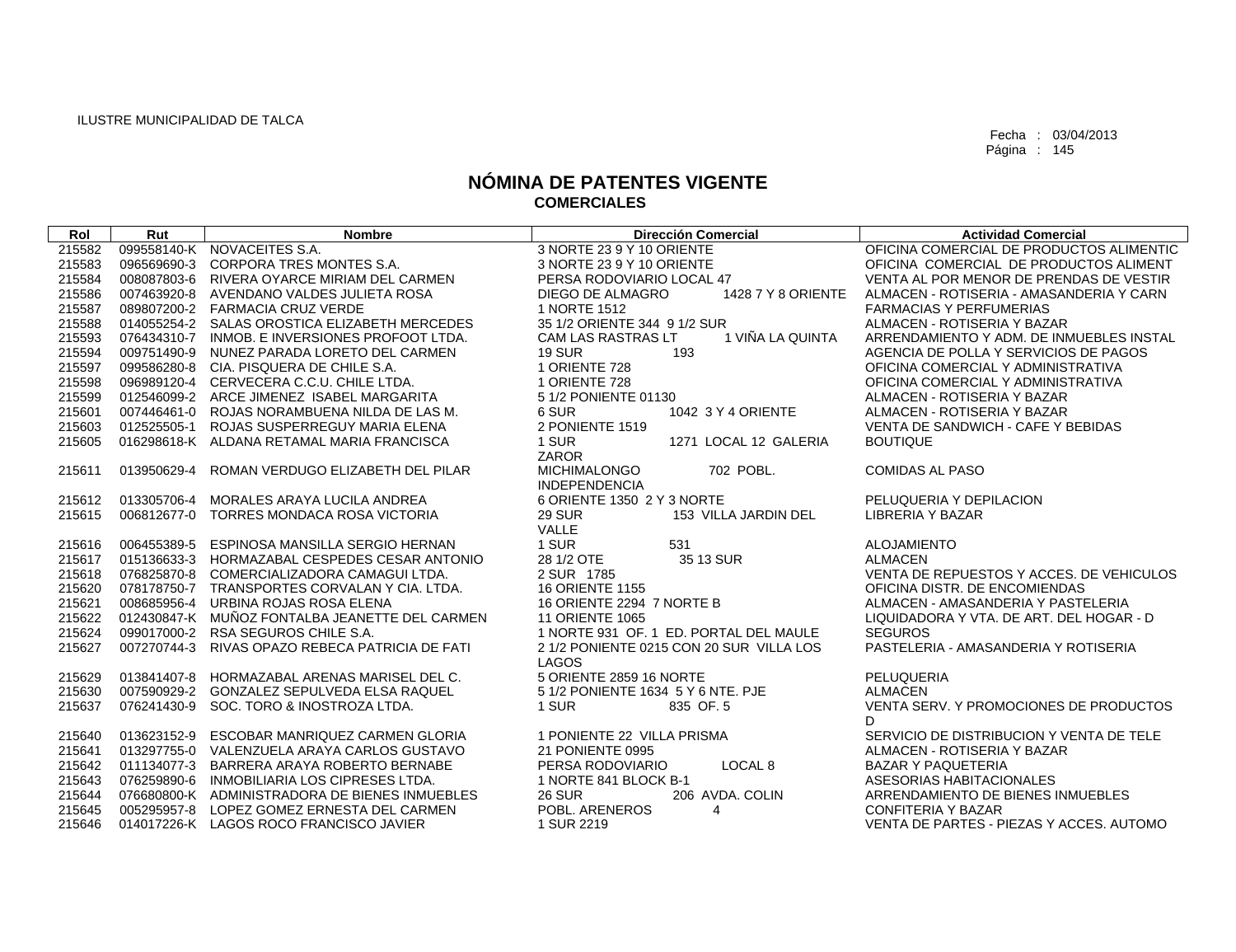| Rol              | Rut         | <b>Nombre</b>                                                                  | <b>Dirección Comercial</b>                    | <b>Actividad Comercial</b>               |
|------------------|-------------|--------------------------------------------------------------------------------|-----------------------------------------------|------------------------------------------|
| 215582           |             | 099558140-K NOVACEITES S.A.                                                    | 3 NORTE 23 9 Y 10 ORIENTE                     | OFICINA COMERCIAL DE PRODUCTOS ALIMENTIC |
| 215583           | 096569690-3 | CORPORA TRES MONTES S.A.                                                       | 3 NORTE 23 9 Y 10 ORIENTE                     | OFICINA COMERCIAL DE PRODUCTOS ALIMENT   |
| 215584           |             | 008087803-6 RIVERA OYARCE MIRIAM DEL CARMEN                                    | PERSA RODOVIARIO LOCAL 47                     | VENTA AL POR MENOR DE PRENDAS DE VESTIR  |
| 215586           |             | 007463920-8 AVENDANO VALDES JULIETA ROSA                                       | DIEGO DE ALMAGRO<br>1428 7 Y 8 ORIENTE        | ALMACEN - ROTISERIA - AMASANDERIA Y CARN |
| 215587           |             | 089807200-2 FARMACIA CRUZ VERDE                                                | 1 NORTE 1512                                  | <b>FARMACIAS Y PERFUMERIAS</b>           |
| 215588           |             | 014055254-2 SALAS OROSTICA ELIZABETH MERCEDES                                  | 35 1/2 ORIENTE 344 9 1/2 SUR                  | ALMACEN - ROTISERIA Y BAZAR              |
| 215593           |             | 076434310-7 INMOB, E INVERSIONES PROFOOT LTDA.                                 | 1 VIÑA LA QUINTA<br><b>CAM LAS RASTRAS LT</b> | ARRENDAMIENTO Y ADM. DE INMUEBLES INSTAL |
| 215594           |             | 009751490-9 NUNEZ PARADA LORETO DEL CARMEN                                     | <b>19 SUR</b><br>193                          | AGENCIA DE POLLA Y SERVICIOS DE PAGOS    |
| 215597           |             | 099586280-8 CIA. PISQUERA DE CHILE S.A.                                        | 1 ORIENTE 728                                 | OFICINA COMERCIAL Y ADMINISTRATIVA       |
| 215598           |             | 096989120-4 CERVECERA C.C.U. CHILE LTDA.                                       | 1 ORIENTE 728                                 | OFICINA COMERCIAL Y ADMINISTRATIVA       |
| 215599           |             | 012546099-2 ARCE JIMENEZ ISABEL MARGARITA                                      | 5 1/2 PONIENTE 01130                          | ALMACEN - ROTISERIA Y BAZAR              |
| 215601           |             | 007446461-0 ROJAS NORAMBUENA NILDA DE LAS M.                                   | 6 SUR<br>1042 3 Y 4 ORIENTE                   | ALMACEN - ROTISERIA Y BAZAR              |
| 215603           |             | 012525505-1 ROJAS SUSPERREGUY MARIA ELENA                                      | 2 PONIENTE 1519                               | VENTA DE SANDWICH - CAFE Y BEBIDAS       |
| 215605           |             | 016298618-K ALDANA RETAMAL MARIA FRANCISCA                                     | 1 SUR<br>1271 LOCAL 12 GALERIA                | <b>BOUTIQUE</b>                          |
|                  |             |                                                                                | ZAROR                                         |                                          |
| 215611           | 013950629-4 | ROMAN VERDUGO ELIZABETH DEL PILAR                                              | <b>MICHIMALONGO</b><br>702 POBL.              | <b>COMIDAS AL PASO</b>                   |
|                  |             |                                                                                | <b>INDEPENDENCIA</b>                          |                                          |
| 215612           | 013305706-4 | MORALES ARAYA LUCILA ANDREA                                                    | 6 ORIENTE 1350 2 Y 3 NORTE                    | PELUQUERIA Y DEPILACION                  |
| 215615           |             | 006812677-0 TORRES MONDACA ROSA VICTORIA                                       | <b>29 SUR</b><br>153 VILLA JARDIN DEL         | <b>LIBRERIA Y BAZAR</b>                  |
|                  |             |                                                                                | VALLE                                         |                                          |
| 215616           | 006455389-5 | ESPINOSA MANSILLA SERGIO HERNAN                                                | 1 SUR<br>531                                  | <b>ALOJAMIENTO</b>                       |
| 215617           | 015136633-3 | HORMAZABAL CESPEDES CESAR ANTONIO                                              | 28 1/2 OTE<br>35 13 SUR                       | <b>ALMACEN</b>                           |
| 215618           |             | 076825870-8 COMERCIALIZADORA CAMAGUI LTDA.                                     | 2 SUR 1785                                    | VENTA DE REPUESTOS Y ACCES. DE VEHICULOS |
| 215620           |             | 078178750-7 TRANSPORTES CORVALAN Y CIA. LTDA.                                  | <b>16 ORIENTE 1155</b>                        | OFICINA DISTR. DE ENCOMIENDAS            |
| 215621           | 008685956-4 | URBINA ROJAS ROSA ELENA                                                        | 16 ORIENTE 2294 7 NORTE B                     | ALMACEN - AMASANDERIA Y PASTELERIA       |
| 215622           |             | 012430847-K MUÑOZ FONTALBA JEANETTE DEL CARMEN                                 | <b>11 ORIENTE 1065</b>                        | LIQUIDADORA Y VTA, DE ART, DEL HOGAR - D |
| 215624           | 099017000-2 | RSA SEGUROS CHILE S.A.                                                         | 1 NORTE 931 OF, 1 ED, PORTAL DEL MAULE        | <b>SEGUROS</b>                           |
| 215627           | 007270744-3 | RIVAS OPAZO REBECA PATRICIA DE FATI                                            | 2 1/2 PONIENTE 0215 CON 20 SUR VILLA LOS      | PASTELERIA - AMASANDERIA Y ROTISERIA     |
|                  |             |                                                                                | LAGOS<br>5 ORIENTE 2859 16 NORTE              | PELUQUERIA                               |
| 215629<br>215630 | 013841407-8 | HORMAZABAL ARENAS MARISEL DEL C.<br>007590929-2 GONZALEZ SEPULVEDA ELSA RAQUEL | 5 1/2 PONIENTE 1634 5 Y 6 NTE, PJE            | <b>ALMACEN</b>                           |
| 215637           | 076241430-9 | SOC. TORO & INOSTROZA LTDA.                                                    | 1 SUR                                         | VENTA SERV. Y PROMOCIONES DE PRODUCTOS   |
|                  |             |                                                                                | 835 OF 5                                      | D.                                       |
| 215640           |             | 013623152-9 ESCOBAR MANRIQUEZ CARMEN GLORIA                                    | 1 PONIENTE 22 VILLA PRISMA                    | SERVICIO DE DISTRIBUCION Y VENTA DE TELE |
| 215641           |             | 013297755-0 VALENZUELA ARAYA CARLOS GUSTAVO                                    | 21 PONIENTE 0995                              | ALMACEN - ROTISERIA Y BAZAR              |
| 215642           | 011134077-3 | BARRERA ARAYA ROBERTO BERNABE                                                  | PERSA RODOVIARIO<br>LOCAL <sub>8</sub>        | <b>BAZAR Y PAQUETERIA</b>                |
| 215643           |             | 076259890-6 INMOBILIARIA LOS CIPRESES LTDA.                                    | 1 NORTE 841 BLOCK B-1                         | ASESORIAS HABITACIONALES                 |
| 215644           |             | 076680800-K ADMINISTRADORA DE BIENES INMUEBLES                                 | <b>26 SUR</b><br>206 AVDA, COLIN              | ARRENDAMIENTO DE BIENES INMUEBLES        |
| 215645           |             | 005295957-8 LOPEZ GOMEZ ERNESTA DEL CARMEN                                     | POBL, ARENEROS<br>$\overline{4}$              | <b>CONFITERIA Y BAZAR</b>                |
|                  |             |                                                                                |                                               |                                          |
| 215646           |             | 014017226-K LAGOS ROCO FRANCISCO JAVIER                                        | 1 SUR 2219                                    | VENTA DE PARTES - PIEZAS Y ACCES. AUTOMO |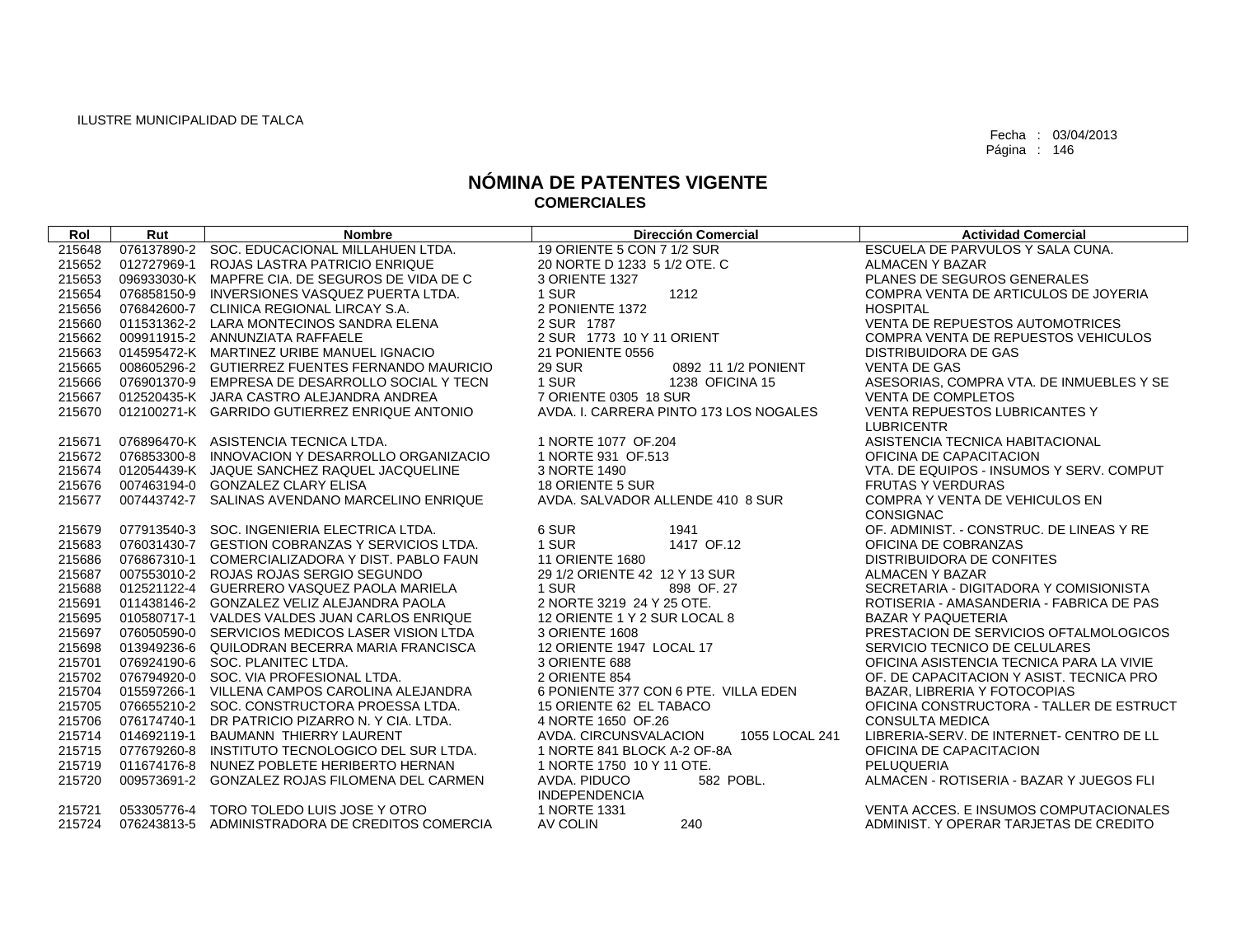| Rol    | Rut | <b>Nombre</b>                                   | <b>Dirección Comercial</b>              | <b>Actividad Comercial</b>               |
|--------|-----|-------------------------------------------------|-----------------------------------------|------------------------------------------|
| 215648 |     | 076137890-2 SOC, EDUCACIONAL MILLAHUEN LTDA.    | 19 ORIENTE 5 CON 7 1/2 SUR              | ESCUELA DE PARVULOS Y SALA CUNA.         |
| 215652 |     | 012727969-1 ROJAS LASTRA PATRICIO ENRIQUE       | 20 NORTE D 1233 5 1/2 OTE, C            | <b>ALMACEN Y BAZAR</b>                   |
| 215653 |     | 096933030-K MAPFRE CIA. DE SEGUROS DE VIDA DE C | 3 ORIENTE 1327                          | PLANES DE SEGUROS GENERALES              |
| 215654 |     | 076858150-9 INVERSIONES VASQUEZ PUERTA LTDA.    | 1 SUR<br>1212                           | COMPRA VENTA DE ARTICULOS DE JOYERIA     |
| 215656 |     | 076842600-7 CLINICA REGIONAL LIRCAY S.A.        | 2 PONIENTE 1372                         | <b>HOSPITAL</b>                          |
| 215660 |     | 011531362-2 LARA MONTECINOS SANDRA ELENA        | 2 SUR 1787                              | <b>VENTA DE REPUESTOS AUTOMOTRICES</b>   |
| 215662 |     | 009911915-2 ANNUNZIATA RAFFAELE                 | 2 SUR 1773 10 Y 11 ORIENT               | COMPRA VENTA DE REPUESTOS VEHICULOS      |
| 215663 |     | 014595472-K MARTINEZ URIBE MANUEL IGNACIO       | 21 PONIENTE 0556                        | <b>DISTRIBUIDORA DE GAS</b>              |
| 215665 |     | 008605296-2 GUTIERREZ FUENTES FERNANDO MAURICIO | <b>29 SUR</b><br>0892 11 1/2 PONIENT    | <b>VENTA DE GAS</b>                      |
| 215666 |     | 076901370-9 EMPRESA DE DESARROLLO SOCIAL Y TECN | 1 SUR<br>1238 OFICINA 15                | ASESORIAS, COMPRA VTA. DE INMUEBLES Y SE |
| 215667 |     | 012520435-K JARA CASTRO ALEJANDRA ANDREA        | 7 ORIENTE 0305 18 SUR                   | <b>VENTA DE COMPLETOS</b>                |
| 215670 |     | 012100271-K GARRIDO GUTIERREZ ENRIQUE ANTONIO   | AVDA. I. CARRERA PINTO 173 LOS NOGALES  | <b>VENTA REPUESTOS LUBRICANTES Y</b>     |
|        |     |                                                 |                                         | <b>LUBRICENTR</b>                        |
| 215671 |     | 076896470-K ASISTENCIA TECNICA LTDA.            | 1 NORTE 1077 OF 204                     | ASISTENCIA TECNICA HABITACIONAL          |
| 215672 |     | 076853300-8 INNOVACION Y DESARROLLO ORGANIZACIO | 1 NORTE 931 OF.513                      | OFICINA DE CAPACITACION                  |
| 215674 |     | 012054439-K JAQUE SANCHEZ RAQUEL JACQUELINE     | 3 NORTE 1490                            | VTA, DE EQUIPOS - INSUMOS Y SERV, COMPUT |
| 215676 |     | 007463194-0 GONZALEZ CLARY ELISA                | 18 ORIENTE 5 SUR                        | <b>FRUTAS Y VERDURAS</b>                 |
| 215677 |     | 007443742-7 SALINAS AVENDANO MARCELINO ENRIQUE  | AVDA, SALVADOR ALLENDE 410 8 SUR        | COMPRA Y VENTA DE VEHICULOS EN           |
|        |     |                                                 |                                         | <b>CONSIGNAC</b>                         |
| 215679 |     | 077913540-3 SOC. INGENIERIA ELECTRICA LTDA.     | 6 SUR<br>1941                           | OF. ADMINIST. - CONSTRUC. DE LINEAS Y RE |
| 215683 |     | 076031430-7 GESTION COBRANZAS Y SERVICIOS LTDA. | 1 SUR<br>1417 OF.12                     | OFICINA DE COBRANZAS                     |
| 215686 |     | 076867310-1 COMERCIALIZADORA Y DIST. PABLO FAUN | <b>11 ORIENTE 1680</b>                  | DISTRIBUIDORA DE CONFITES                |
| 215687 |     | 007553010-2 ROJAS ROJAS SERGIO SEGUNDO          | 29 1/2 ORIENTE 42 12 Y 13 SUR           | <b>ALMACEN Y BAZAR</b>                   |
| 215688 |     | 012521122-4 GUERRERO VASQUEZ PAOLA MARIELA      | 1 SUR<br>898 OF 27                      | SECRETARIA - DIGITADORA Y COMISIONISTA   |
| 215691 |     | 011438146-2 GONZALEZ VELIZ ALEJANDRA PAOLA      | 2 NORTE 3219 24 Y 25 OTE.               | ROTISERIA - AMASANDERIA - FABRICA DE PAS |
| 215695 |     | 010580717-1 VALDES VALDES JUAN CARLOS ENRIQUE   | 12 ORIENTE 1 Y 2 SUR LOCAL 8            | <b>BAZAR Y PAQUETERIA</b>                |
| 215697 |     | 076050590-0 SERVICIOS MEDICOS LASER VISION LTDA | 3 ORIENTE 1608                          | PRESTACION DE SERVICIOS OFTALMOLOGICOS   |
| 215698 |     | 013949236-6 QUILODRAN BECERRA MARIA FRANCISCA   | 12 ORIENTE 1947 LOCAL 17                | SERVICIO TECNICO DE CELULARES            |
| 215701 |     | 076924190-6 SOC. PLANITEC LTDA.                 | 3 ORIENTE 688                           | OFICINA ASISTENCIA TECNICA PARA LA VIVIE |
| 215702 |     | 076794920-0 SOC. VIA PROFESIONAL LTDA.          | 2 ORIENTE 854                           | OF, DE CAPACITACION Y ASIST, TECNICA PRO |
| 215704 |     | 015597266-1 VILLENA CAMPOS CAROLINA ALEJANDRA   | 6 PONIENTE 377 CON 6 PTE. VILLA EDEN    | BAZAR, LIBRERIA Y FOTOCOPIAS             |
| 215705 |     | 076655210-2 SOC. CONSTRUCTORA PROESSA LTDA.     | 15 ORIENTE 62 EL TABACO                 | OFICINA CONSTRUCTORA - TALLER DE ESTRUCT |
| 215706 |     | 076174740-1 DR PATRICIO PIZARRO N. Y CIA. LTDA. | 4 NORTE 1650 OF 26                      | <b>CONSULTA MEDICA</b>                   |
| 215714 |     | 014692119-1 BAUMANN THIERRY LAURENT             | 1055 LOCAL 241<br>AVDA. CIRCUNSVALACION | LIBRERIA-SERV. DE INTERNET- CENTRO DE LL |
| 215715 |     | 077679260-8 INSTITUTO TECNOLOGICO DEL SUR LTDA. | 1 NORTE 841 BLOCK A-2 OF-8A             | OFICINA DE CAPACITACION                  |
| 215719 |     | 011674176-8 NUNEZ POBLETE HERIBERTO HERNAN      | 1 NORTE 1750 10 Y 11 OTE.               | PELUQUERIA                               |
| 215720 |     | 009573691-2 GONZALEZ ROJAS FILOMENA DEL CARMEN  | 582 POBL.<br>AVDA, PIDUCO               | ALMACEN - ROTISERIA - BAZAR Y JUEGOS FLI |
|        |     |                                                 | <b>INDEPENDENCIA</b>                    |                                          |
| 215721 |     | 053305776-4 TORO TOLEDO LUIS JOSE Y OTRO        | 1 NORTE 1331<br>240                     | VENTA ACCES. E INSUMOS COMPUTACIONALES   |
| 215724 |     | 076243813-5 ADMINISTRADORA DE CREDITOS COMERCIA | AV COLIN                                | ADMINIST. Y OPERAR TARJETAS DE CREDITO   |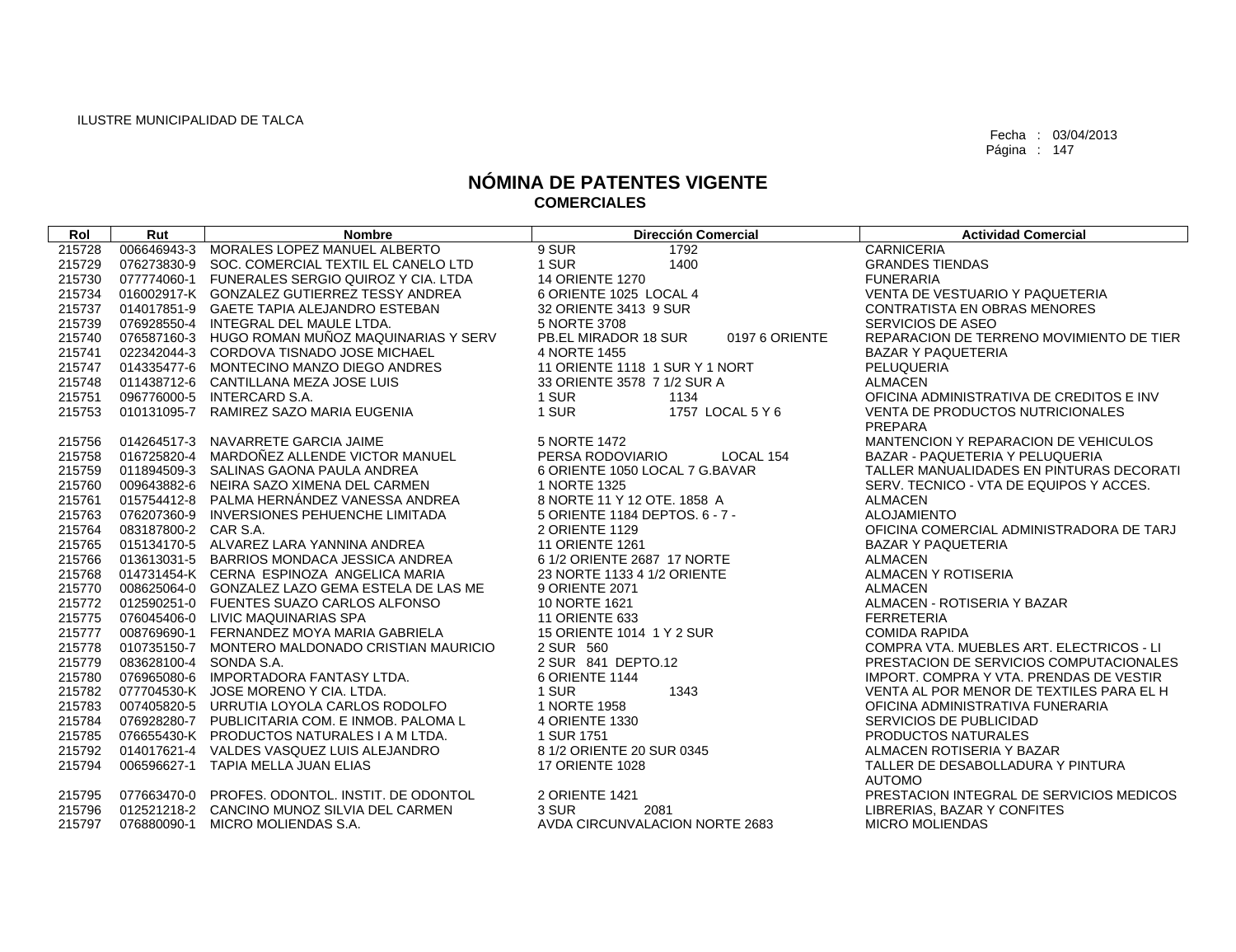| Rol    | Rut                    | <b>Nombre</b>                                   | <b>Dirección Comercial</b>             | <b>Actividad Comercial</b>                  |
|--------|------------------------|-------------------------------------------------|----------------------------------------|---------------------------------------------|
| 215728 | 006646943-3            | MORALES LOPEZ MANUEL ALBERTO                    | 9 SUR<br>1792                          | <b>CARNICERIA</b>                           |
| 215729 |                        | 076273830-9 SOC, COMERCIAL TEXTIL EL CANELO LTD | 1 SUR<br>1400                          | <b>GRANDES TIENDAS</b>                      |
| 215730 |                        | 077774060-1 FUNERALES SERGIO QUIROZ Y CIA. LTDA | 14 ORIENTE 1270                        | <b>FUNERARIA</b>                            |
| 215734 |                        | 016002917-K GONZALEZ GUTIERREZ TESSY ANDREA     | 6 ORIENTE 1025 LOCAL 4                 | VENTA DE VESTUARIO Y PAQUETERIA             |
| 215737 |                        | 014017851-9 GAETE TAPIA ALEJANDRO ESTEBAN       | 32 ORIENTE 3413 9 SUR                  | <b>CONTRATISTA EN OBRAS MENORES</b>         |
| 215739 |                        | 076928550-4 INTEGRAL DEL MAULE LTDA.            | 5 NORTE 3708                           | SERVICIOS DE ASEO                           |
| 215740 |                        | 076587160-3 HUGO ROMAN MUÑOZ MAQUINARIAS Y SERV | PB.EL MIRADOR 18 SUR<br>0197 6 ORIENTE | REPARACION DE TERRENO MOVIMIENTO DE TIER    |
| 215741 |                        | 022342044-3 CORDOVA TISNADO JOSE MICHAEL        | 4 NORTE 1455                           | <b>BAZAR Y PAQUETERIA</b>                   |
| 215747 |                        | 014335477-6 MONTECINO MANZO DIEGO ANDRES        | 11 ORIENTE 1118 1 SUR Y 1 NORT         | PELUQUERIA                                  |
| 215748 |                        | 011438712-6 CANTILLANA MEZA JOSE LUIS           | 33 ORIENTE 3578 7 1/2 SUR A            | <b>ALMACEN</b>                              |
| 215751 |                        | 096776000-5 INTERCARD S.A.                      | 1 SUR<br>1134                          | OFICINA ADMINISTRATIVA DE CREDITOS E INV    |
| 215753 |                        | 010131095-7 RAMIREZ SAZO MARIA EUGENIA          | 1 SUR<br>1757 LOCAL 5 Y 6              | VENTA DE PRODUCTOS NUTRICIONALES<br>PREPARA |
| 215756 | 014264517-3            | NAVARRETE GARCIA JAIME                          | 5 NORTE 1472                           | MANTENCION Y REPARACION DE VEHICULOS        |
| 215758 | 016725820-4            | MARDOÑEZ ALLENDE VICTOR MANUEL                  | LOCAL 154<br>PERSA RODOVIARIO          | BAZAR - PAQUETERIA Y PELUQUERIA             |
| 215759 |                        | 011894509-3 SALINAS GAONA PAULA ANDREA          | 6 ORIENTE 1050 LOCAL 7 G.BAVAR         | TALLER MANUALIDADES EN PINTURAS DECORATI    |
| 215760 |                        | 009643882-6 NEIRA SAZO XIMENA DEL CARMEN        | 1 NORTE 1325                           | SERV. TECNICO - VTA DE EQUIPOS Y ACCES.     |
| 215761 |                        | 015754412-8 PALMA HERNÁNDEZ VANESSA ANDREA      | 8 NORTE 11 Y 12 OTE, 1858 A            | <b>ALMACEN</b>                              |
| 215763 |                        | 076207360-9 INVERSIONES PEHUENCHE LIMITADA      | 5 ORIENTE 1184 DEPTOS. 6 - 7 -         | <b>ALOJAMIENTO</b>                          |
| 215764 | 083187800-2 CAR S.A.   |                                                 | 2 ORIENTE 1129                         | OFICINA COMERCIAL ADMINISTRADORA DE TARJ    |
| 215765 |                        | 015134170-5 ALVAREZ LARA YANNINA ANDREA         | 11 ORIENTE 1261                        | <b>BAZAR Y PAQUETERIA</b>                   |
| 215766 |                        | 013613031-5 BARRIOS MONDACA JESSICA ANDREA      | 6 1/2 ORIENTE 2687 17 NORTE            | <b>ALMACEN</b>                              |
| 215768 |                        | 014731454-K CERNA ESPINOZA ANGELICA MARIA       | 23 NORTE 1133 4 1/2 ORIENTE            | ALMACEN Y ROTISERIA                         |
| 215770 |                        | 008625064-0 GONZALEZ LAZO GEMA ESTELA DE LAS ME | 9 ORIENTE 2071                         | <b>ALMACEN</b>                              |
| 215772 |                        | 012590251-0 FUENTES SUAZO CARLOS ALFONSO        | 10 NORTE 1621                          | ALMACEN - ROTISERIA Y BAZAR                 |
| 215775 |                        | 076045406-0 LIVIC MAQUINARIAS SPA               | <b>11 ORIENTE 633</b>                  | <b>FERRETERIA</b>                           |
| 215777 |                        | 008769690-1 FERNANDEZ MOYA MARIA GABRIELA       | 15 ORIENTE 1014 1 Y 2 SUR              | <b>COMIDA RAPIDA</b>                        |
| 215778 |                        | 010735150-7 MONTERO MALDONADO CRISTIAN MAURICIO | 2 SUR 560                              | COMPRA VTA. MUEBLES ART. ELECTRICOS - LI    |
| 215779 | 083628100-4 SONDA S.A. |                                                 | 2 SUR 841 DEPTO.12                     | PRESTACION DE SERVICIOS COMPUTACIONALES     |
| 215780 |                        | 076965080-6 IMPORTADORA FANTASY LTDA.           | 6 ORIENTE 1144                         | IMPORT, COMPRA Y VTA, PRENDAS DE VESTIR     |
| 215782 |                        | 077704530-K JOSE MORENO Y CIA, LTDA.            | 1 SUR<br>1343                          | VENTA AL POR MENOR DE TEXTILES PARA EL H    |
| 215783 |                        | 007405820-5 URRUTIA LOYOLA CARLOS RODOLFO       | 1 NORTE 1958                           | OFICINA ADMINISTRATIVA FUNERARIA            |
| 215784 |                        | 076928280-7 PUBLICITARIA COM. E INMOB. PALOMA L | 4 ORIENTE 1330                         | SERVICIOS DE PUBLICIDAD                     |
| 215785 |                        | 076655430-K PRODUCTOS NATURALES I A M LTDA.     | 1 SUR 1751                             | <b>PRODUCTOS NATURALES</b>                  |
| 215792 |                        | 014017621-4 VALDES VASQUEZ LUIS ALEJANDRO       | 8 1/2 ORIENTE 20 SUR 0345              | ALMACEN ROTISERIA Y BAZAR                   |
| 215794 |                        | 006596627-1 TAPIA MELLA JUAN ELIAS              | <b>17 ORIENTE 1028</b>                 | TALLER DE DESABOLLADURA Y PINTURA           |
|        |                        |                                                 |                                        | <b>AUTOMO</b>                               |
| 215795 |                        | 077663470-0 PROFES, ODONTOL, INSTIT, DE ODONTOL | 2 ORIENTE 1421                         | PRESTACION INTEGRAL DE SERVICIOS MEDICOS    |
| 215796 |                        | 012521218-2 CANCINO MUNOZ SILVIA DEL CARMEN     | 3 SUR<br>2081                          | LIBRERIAS, BAZAR Y CONFITES                 |
| 215797 | 076880090-1            | MICRO MOLIENDAS S.A.                            | AVDA CIRCUNVALACION NORTE 2683         | <b>MICRO MOLIENDAS</b>                      |
|        |                        |                                                 |                                        |                                             |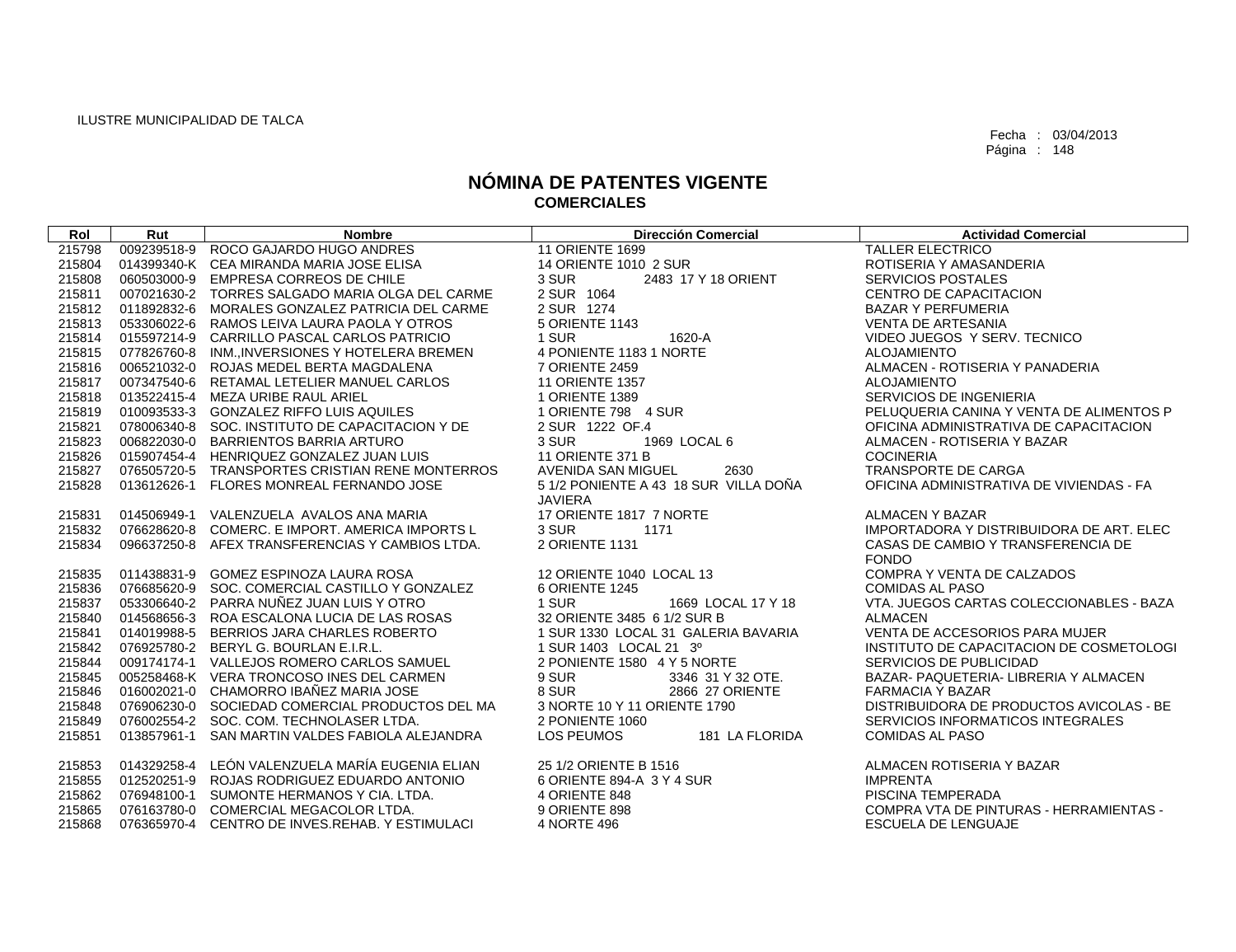| Rol    | Rut | <b>Nombre</b>                                   | <b>Dirección Comercial</b>            | <b>Actividad Comercial</b>                     |
|--------|-----|-------------------------------------------------|---------------------------------------|------------------------------------------------|
| 215798 |     | 009239518-9 ROCO GAJARDO HUGO ANDRES            | 11 ORIENTE 1699                       | <b>TALLER ELECTRICO</b>                        |
| 215804 |     | 014399340-K CEA MIRANDA MARIA JOSE ELISA        | 14 ORIENTE 1010 2 SUR                 | ROTISERIA Y AMASANDERIA                        |
| 215808 |     | 060503000-9 EMPRESA CORREOS DE CHILE            | 3 SUR<br>2483 17 Y 18 ORIENT          | <b>SERVICIOS POSTALES</b>                      |
| 215811 |     | 007021630-2 TORRES SALGADO MARIA OLGA DEL CARME | 2 SUR 1064                            | CENTRO DE CAPACITACION                         |
| 215812 |     | 011892832-6 MORALES GONZALEZ PATRICIA DEL CARME | 2 SUR 1274                            | <b>BAZAR Y PERFUMERIA</b>                      |
| 215813 |     | 053306022-6 RAMOS LEIVA LAURA PAOLA Y OTROS     | 5 ORIENTE 1143                        | <b>VENTA DE ARTESANIA</b>                      |
| 215814 |     | 015597214-9 CARRILLO PASCAL CARLOS PATRICIO     | 1 SUR<br>1620-A                       | VIDEO JUEGOS Y SERV. TECNICO                   |
| 215815 |     | 077826760-8 INM., INVERSIONES Y HOTELERA BREMEN | 4 PONIENTE 1183 1 NORTE               | ALOJAMIENTO                                    |
| 215816 |     | 006521032-0 ROJAS MEDEL BERTA MAGDALENA         | 7 ORIENTE 2459                        | ALMACEN - ROTISERIA Y PANADERIA                |
| 215817 |     | 007347540-6 RETAMAL LETELIER MANUEL CARLOS      | <b>11 ORIENTE 1357</b>                | ALOJAMIENTO                                    |
| 215818 |     | 013522415-4 MEZA URIBE RAUL ARIEL               | 1 ORIENTE 1389                        | <b>SERVICIOS DE INGENIERIA</b>                 |
| 215819 |     | 010093533-3 GONZALEZ RIFFO LUIS AQUILES         | 1 ORIENTE 798 4 SUR                   | PELUQUERIA CANINA Y VENTA DE ALIMENTOS P       |
| 215821 |     | 078006340-8 SOC. INSTITUTO DE CAPACITACION Y DE | 2 SUR 1222 OF.4                       | OFICINA ADMINISTRATIVA DE CAPACITACION         |
| 215823 |     | 006822030-0 BARRIENTOS BARRIA ARTURO            | 3 SUR<br>1969 LOCAL 6                 | ALMACEN - ROTISERIA Y BAZAR                    |
| 215826 |     | 015907454-4 HENRIQUEZ GONZALEZ JUAN LUIS        | <b>11 ORIENTE 371 B</b>               | <b>COCINERIA</b>                               |
| 215827 |     | 076505720-5 TRANSPORTES CRISTIAN RENE MONTERROS | AVENIDA SAN MIGUEL<br>2630            | TRANSPORTE DE CARGA                            |
| 215828 |     | 013612626-1 FLORES MONREAL FERNANDO JOSE        | 5 1/2 PONIENTE A 43 18 SUR VILLA DOÑA | OFICINA ADMINISTRATIVA DE VIVIENDAS - FA       |
|        |     |                                                 | <b>JAVIERA</b>                        |                                                |
| 215831 |     | 014506949-1 VALENZUELA AVALOS ANA MARIA         | 17 ORIENTE 1817 7 NORTE               | ALMACEN Y BAZAR                                |
| 215832 |     | 076628620-8 COMERC, E IMPORT, AMERICA IMPORTS L | 3 SUR<br>1171                         | IMPORTADORA Y DISTRIBUIDORA DE ART. ELEC       |
| 215834 |     | 096637250-8 AFEX TRANSFERENCIAS Y CAMBIOS LTDA. | 2 ORIENTE 1131                        | CASAS DE CAMBIO Y TRANSFERENCIA DE             |
|        |     |                                                 |                                       | <b>FONDO</b>                                   |
| 215835 |     | 011438831-9 GOMEZ ESPINOZA LAURA ROSA           | 12 ORIENTE 1040 LOCAL 13              | COMPRA Y VENTA DE CALZADOS                     |
| 215836 |     | 076685620-9 SOC. COMERCIAL CASTILLO Y GONZALEZ  | 6 ORIENTE 1245                        | <b>COMIDAS AL PASO</b>                         |
| 215837 |     | 053306640-2 PARRA NUÑEZ JUAN LUIS Y OTRO        | 1 SUR<br>1669 LOCAL 17 Y 18           | VTA. JUEGOS CARTAS COLECCIONABLES - BAZA       |
| 215840 |     | 014568656-3 ROA ESCALONA LUCIA DE LAS ROSAS     | 32 ORIENTE 3485 6 1/2 SUR B           | <b>ALMACEN</b>                                 |
| 215841 |     | 014019988-5 BERRIOS JARA CHARLES ROBERTO        | 1 SUR 1330 LOCAL 31 GALERIA BAVARIA   | VENTA DE ACCESORIOS PARA MUJER                 |
| 215842 |     | 076925780-2 BERYL G. BOURLAN E.I.R.L.           | 1 SUR 1403 LOCAL 21 3º                | INSTITUTO DE CAPACITACION DE COSMETOLOGI       |
| 215844 |     | 009174174-1 VALLEJOS ROMERO CARLOS SAMUEL       | 2 PONIENTE 1580 4 Y 5 NORTE           | SERVICIOS DE PUBLICIDAD                        |
| 215845 |     | 005258468-K VERA TRONCOSO INES DEL CARMEN       | 9 SUR<br>3346 31 Y 32 OTE.            | BAZAR- PAQUETERIA- LIBRERIA Y ALMACEN          |
| 215846 |     | 016002021-0 CHAMORRO IBAÑEZ MARIA JOSE          | 8 SUR<br>2866 27 ORIENTE              | <b>FARMACIA Y BAZAR</b>                        |
| 215848 |     | 076906230-0 SOCIEDAD COMERCIAL PRODUCTOS DEL MA | 3 NORTE 10 Y 11 ORIENTE 1790          | DISTRIBUIDORA DE PRODUCTOS AVICOLAS - BE       |
| 215849 |     | 076002554-2 SOC. COM. TECHNOLASER LTDA.         | 2 PONIENTE 1060                       | SERVICIOS INFORMATICOS INTEGRALES              |
| 215851 |     | 013857961-1 SAN MARTIN VALDES FABIOLA ALEJANDRA | LOS PEUMOS<br>181 LA FLORIDA          | <b>COMIDAS AL PASO</b>                         |
| 215853 |     | 014329258-4 LEÓN VALENZUELA MARÍA EUGENIA ELIAN | 25 1/2 ORIENTE B 1516                 | ALMACEN ROTISERIA Y BAZAR                      |
| 215855 |     | 012520251-9 ROJAS RODRIGUEZ EDUARDO ANTONIO     | 6 ORIENTE 894-A 3 Y 4 SUR             | <b>IMPRENTA</b>                                |
| 215862 |     | 076948100-1 SUMONTE HERMANOS Y CIA. LTDA.       | 4 ORIENTE 848                         | PISCINA TEMPERADA                              |
| 215865 |     | 076163780-0 COMERCIAL MEGACOLOR LTDA.           | 9 ORIENTE 898                         | <b>COMPRA VTA DE PINTURAS - HERRAMIENTAS -</b> |
| 215868 |     | 076365970-4 CENTRO DE INVES.REHAB. Y ESTIMULACI | 4 NORTE 496                           | <b>ESCUELA DE LENGUAJE</b>                     |
|        |     |                                                 |                                       |                                                |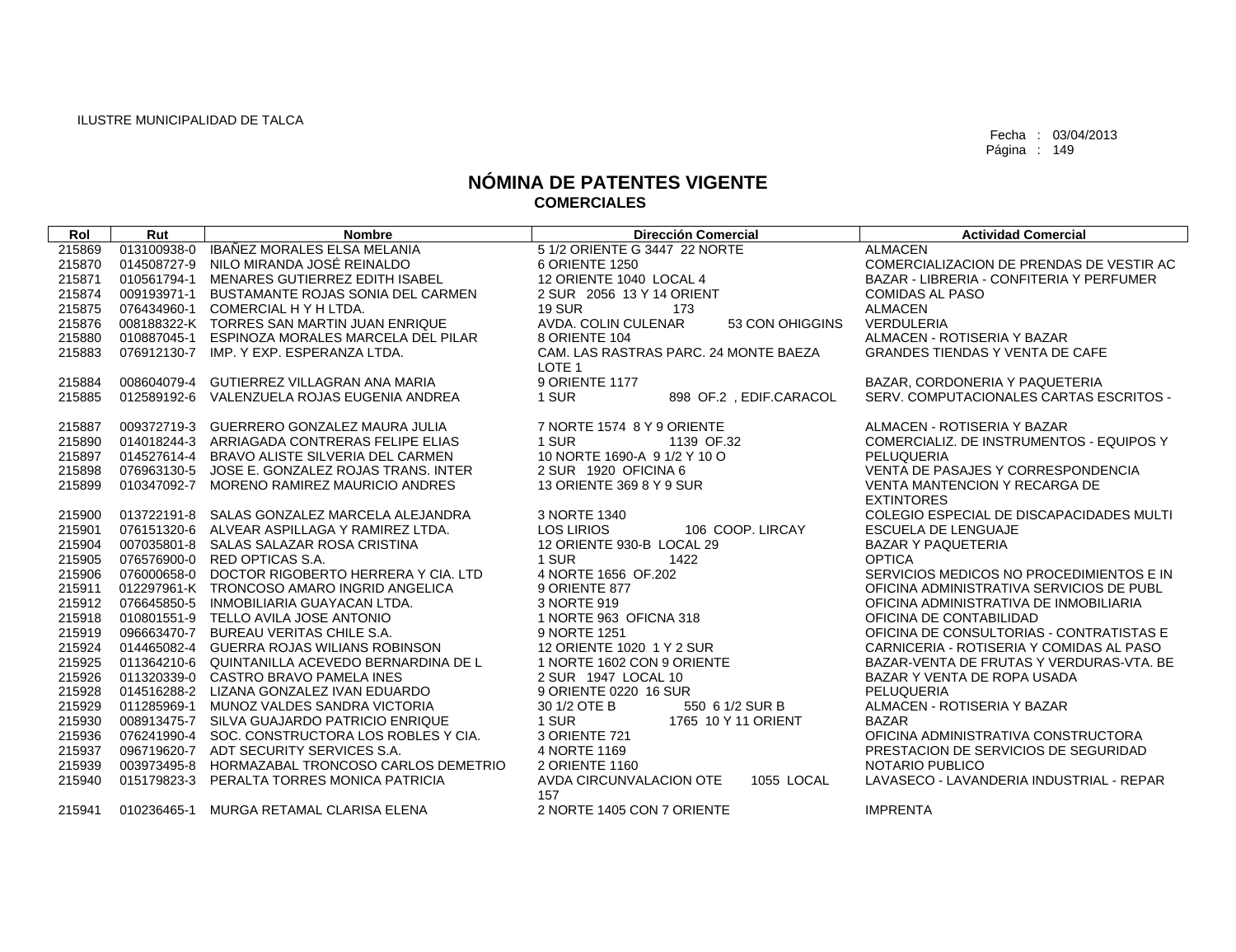| Rol    | Rut         | <b>Nombre</b>                                   | <b>Dirección Comercial</b>                                 | <b>Actividad Comercial</b>                |
|--------|-------------|-------------------------------------------------|------------------------------------------------------------|-------------------------------------------|
| 215869 | 013100938-0 | IBAÑEZ MORALES ELSA MELANIA                     | 5 1/2 ORIENTE G 3447 22 NORTE                              | <b>ALMACEN</b>                            |
| 215870 | 014508727-9 | NILO MIRANDA JOSÉ REINALDO                      | 6 ORIENTE 1250                                             | COMERCIALIZACION DE PRENDAS DE VESTIR AC  |
| 215871 | 010561794-1 | MENARES GUTIERREZ EDITH ISABEL                  | 12 ORIENTE 1040 LOCAL 4                                    | BAZAR - LIBRERIA - CONFITERIA Y PERFUMER  |
| 215874 | 009193971-1 | BUSTAMANTE ROJAS SONIA DEL CARMEN               | 2 SUR 2056 13 Y 14 ORIENT                                  | <b>COMIDAS AL PASO</b>                    |
| 215875 | 076434960-1 | COMERCIAL H Y H LTDA.                           | <b>19 SUR</b><br>173                                       | <b>ALMACEN</b>                            |
| 215876 |             | 008188322-K TORRES SAN MARTIN JUAN ENRIQUE      | AVDA, COLIN CULENAR<br>53 CON OHIGGINS                     | <b>VERDULERIA</b>                         |
| 215880 |             | 010887045-1 ESPINOZA MORALES MARCELA DEL PILAR  | 8 ORIENTE 104                                              | ALMACEN - ROTISERIA Y BAZAR               |
| 215883 |             | 076912130-7 IMP, Y EXP, ESPERANZA LTDA.         | CAM. LAS RASTRAS PARC. 24 MONTE BAEZA<br>LOTE <sub>1</sub> | <b>GRANDES TIENDAS Y VENTA DE CAFE</b>    |
| 215884 | 008604079-4 | GUTIERREZ VILLAGRAN ANA MARIA                   | 9 ORIENTE 1177                                             | BAZAR, CORDONERIA Y PAQUETERIA            |
| 215885 |             | 012589192-6 VALENZUELA ROJAS EUGENIA ANDREA     | 1 SUR<br>898 OF.2, EDIF.CARACOL                            | SERV. COMPUTACIONALES CARTAS ESCRITOS -   |
| 215887 |             | 009372719-3 GUERRERO GONZALEZ MAURA JULIA       | 7 NORTE 1574 8 Y 9 ORIENTE                                 | ALMACEN - ROTISERIA Y BAZAR               |
| 215890 |             | 014018244-3 ARRIAGADA CONTRERAS FELIPE ELIAS    | 1 SUR<br>1139 OF.32                                        | COMERCIALIZ, DE INSTRUMENTOS - EQUIPOS Y  |
| 215897 | 014527614-4 | BRAVO ALISTE SILVERIA DEL CARMEN                | 10 NORTE 1690-A 9 1/2 Y 10 O                               | PELUQUERIA                                |
| 215898 |             | 076963130-5 JOSE E. GONZALEZ ROJAS TRANS. INTER | 2 SUR 1920 OFICINA 6                                       | <b>VENTA DE PASAJES Y CORRESPONDENCIA</b> |
| 215899 | 010347092-7 | MORENO RAMIREZ MAURICIO ANDRES                  | 13 ORIENTE 369 8 Y 9 SUR                                   | VENTA MANTENCION Y RECARGA DE             |
|        |             |                                                 |                                                            | <b>EXTINTORES</b>                         |
| 215900 |             | 013722191-8 SALAS GONZALEZ MARCELA ALEJANDRA    | 3 NORTE 1340                                               | COLEGIO ESPECIAL DE DISCAPACIDADES MULTI  |
| 215901 |             | 076151320-6 ALVEAR ASPILLAGA Y RAMIREZ LTDA.    | <b>LOS LIRIOS</b><br>106 COOP, LIRCAY                      | <b>ESCUELA DE LENGUAJE</b>                |
| 215904 |             | 007035801-8 SALAS SALAZAR ROSA CRISTINA         | 12 ORIENTE 930-B LOCAL 29                                  | <b>BAZAR Y PAQUETERIA</b>                 |
| 215905 |             | 076576900-0 RED OPTICAS S.A.                    | 1 SUR<br>1422                                              | <b>OPTICA</b>                             |
| 215906 |             | 076000658-0 DOCTOR RIGOBERTO HERRERA Y CIA. LTD | 4 NORTE 1656 OF 202                                        | SERVICIOS MEDICOS NO PROCEDIMIENTOS E IN  |
| 215911 |             | 012297961-K TRONCOSO AMARO INGRID ANGELICA      | 9 ORIENTE 877                                              | OFICINA ADMINISTRATIVA SERVICIOS DE PUBL  |
| 215912 |             | 076645850-5 INMOBILIARIA GUAYACAN LTDA.         | 3 NORTE 919                                                | OFICINA ADMINISTRATIVA DE INMOBILIARIA    |
| 215918 |             | 010801551-9 TELLO AVILA JOSE ANTONIO            | 1 NORTE 963 OFICNA 318                                     | OFICINA DE CONTABILIDAD                   |
| 215919 |             | 096663470-7 BUREAU VERITAS CHILE S.A.           | 9 NORTE 1251                                               | OFICINA DE CONSULTORIAS - CONTRATISTAS E  |
| 215924 |             | 014465082-4 GUERRA ROJAS WILIANS ROBINSON       | 12 ORIENTE 1020 1 Y 2 SUR                                  | CARNICERIA - ROTISERIA Y COMIDAS AL PASO  |
| 215925 |             | 011364210-6 QUINTANILLA ACEVEDO BERNARDINA DE L | 1 NORTE 1602 CON 9 ORIENTE                                 | BAZAR-VENTA DE FRUTAS Y VERDURAS-VTA. BE  |
| 215926 |             | 011320339-0 CASTRO BRAVO PAMELA INES            | 2 SUR 1947 LOCAL 10                                        | BAZAR Y VENTA DE ROPA USADA               |
| 215928 |             | 014516288-2 LIZANA GONZALEZ IVAN EDUARDO        | 9 ORIENTE 0220 16 SUR                                      | PELUQUERIA                                |
| 215929 | 011285969-1 | MUNOZ VALDES SANDRA VICTORIA                    | 30 1/2 OTE B<br>550 6 1/2 SUR B                            | ALMACEN - ROTISERIA Y BAZAR               |
| 215930 |             | 008913475-7 SILVA GUAJARDO PATRICIO ENRIQUE     | 1 SUR<br>1765 10 Y 11 ORIENT                               | <b>BAZAR</b>                              |
| 215936 | 076241990-4 | SOC. CONSTRUCTORA LOS ROBLES Y CIA.             | 3 ORIENTE 721                                              | OFICINA ADMINISTRATIVA CONSTRUCTORA       |
| 215937 |             | 096719620-7 ADT SECURITY SERVICES S.A.          | 4 NORTE 1169                                               | PRESTACION DE SERVICIOS DE SEGURIDAD      |
| 215939 |             | 003973495-8 HORMAZABAL TRONCOSO CARLOS DEMETRIO | 2 ORIENTE 1160                                             | NOTARIO PUBLICO                           |
| 215940 | 015179823-3 | PERALTA TORRES MONICA PATRICIA                  | AVDA CIRCUNVALACION OTE<br>1055 LOCAL<br>157               | LAVASECO - LAVANDERIA INDUSTRIAL - REPAR  |
| 215941 |             | 010236465-1 MURGA RETAMAL CLARISA ELENA         | 2 NORTE 1405 CON 7 ORIENTE                                 | <b>IMPRENTA</b>                           |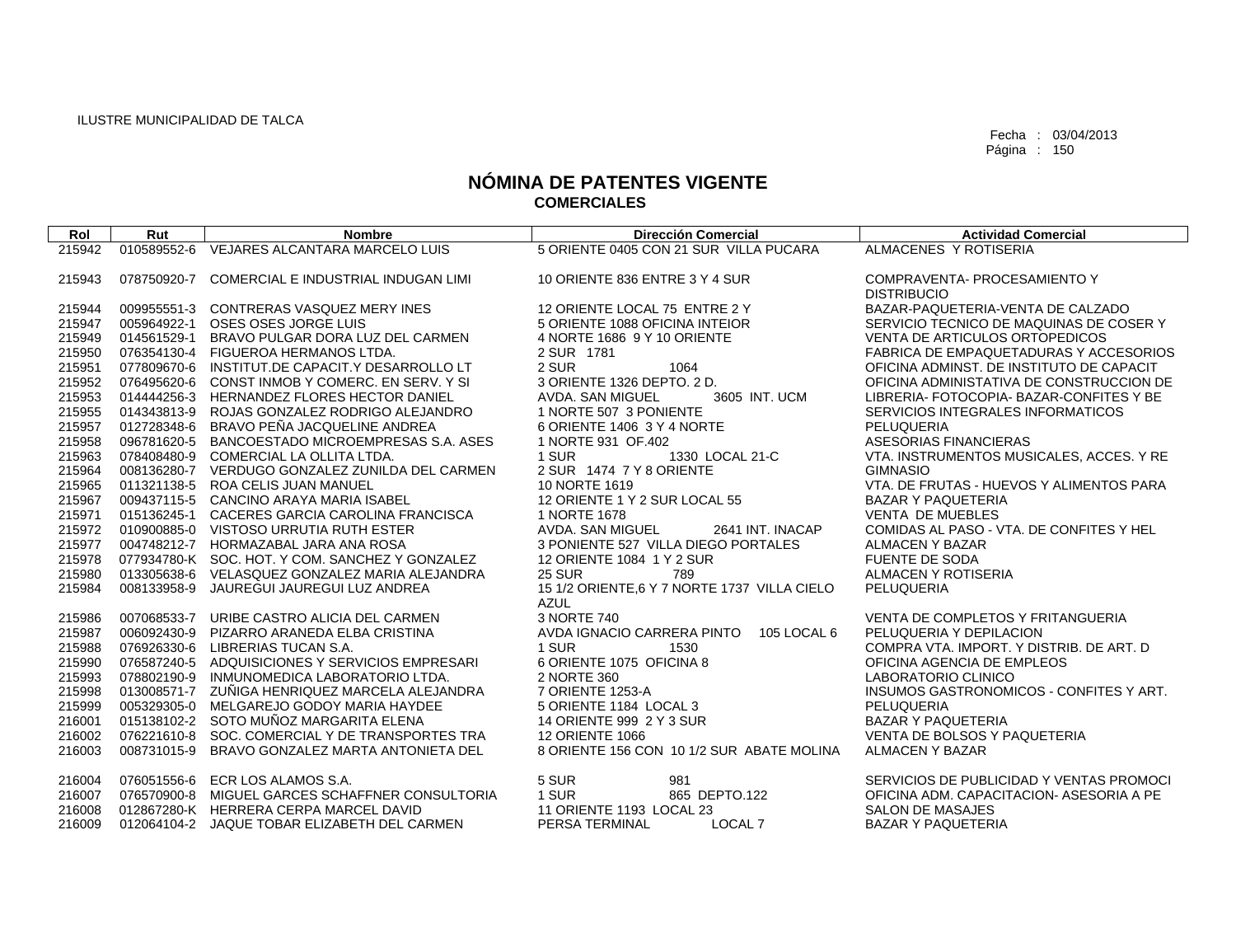| Rol              | Rut         | <b>Nombre</b>                                                                                     | <b>Dirección Comercial</b>                                       | <b>Actividad Comercial</b>                      |
|------------------|-------------|---------------------------------------------------------------------------------------------------|------------------------------------------------------------------|-------------------------------------------------|
| 215942           | 010589552-6 | VEJARES ALCANTARA MARCELO LUIS                                                                    | 5 ORIENTE 0405 CON 21 SUR VILLA PUCARA                           | ALMACENES Y ROTISERIA                           |
|                  |             |                                                                                                   |                                                                  |                                                 |
| 215943           | 078750920-7 | COMERCIAL E INDUSTRIAL INDUGAN LIMI                                                               | 10 ORIENTE 836 ENTRE 3 Y 4 SUR                                   | COMPRAVENTA- PROCESAMIENTO Y                    |
|                  |             |                                                                                                   |                                                                  | <b>DISTRIBUCIO</b>                              |
| 215944           |             | 009955551-3 CONTRERAS VASQUEZ MERY INES                                                           | 12 ORIENTE LOCAL 75 ENTRE 2 Y                                    | BAZAR-PAQUETERIA-VENTA DE CALZADO               |
| 215947           |             | 005964922-1 OSES OSES JORGE LUIS                                                                  | 5 ORIENTE 1088 OFICINA INTEIOR                                   | SERVICIO TECNICO DE MAQUINAS DE COSER Y         |
| 215949           | 014561529-1 | BRAVO PULGAR DORA LUZ DEL CARMEN                                                                  | 4 NORTE 1686 9 Y 10 ORIENTE                                      | <b>VENTA DE ARTICULOS ORTOPEDICOS</b>           |
| 215950           |             | 076354130-4 FIGUEROA HERMANOS LTDA.                                                               | 2 SUR 1781                                                       | FABRICA DE EMPAQUETADURAS Y ACCESORIOS          |
| 215951           |             | 077809670-6 INSTITUT.DE CAPACIT.Y DESARROLLO LT                                                   | 2 SUR<br>1064                                                    | OFICINA ADMINST. DE INSTITUTO DE CAPACIT        |
| 215952           |             | 076495620-6 CONST INMOB Y COMERC. EN SERV. Y SI                                                   | 3 ORIENTE 1326 DEPTO, 2 D.                                       | OFICINA ADMINISTATIVA DE CONSTRUCCION DE        |
| 215953           |             | 014444256-3 HERNANDEZ FLORES HECTOR DANIEL                                                        | AVDA, SAN MIGUEL<br>3605 INT, UCM                                | LIBRERIA- FOTOCOPIA- BAZAR-CONFITES Y BE        |
| 215955           |             | 014343813-9 ROJAS GONZALEZ RODRIGO ALEJANDRO                                                      | 1 NORTE 507 3 PONIENTE                                           | SERVICIOS INTEGRALES INFORMATICOS               |
| 215957           |             | 012728348-6 BRAVO PEÑA JACQUELINE ANDREA                                                          | 6 ORIENTE 1406 3 Y 4 NORTE                                       | PELUQUERIA                                      |
| 215958           |             | 096781620-5 BANCOESTADO MICROEMPRESAS S.A. ASES                                                   | 1 NORTE 931 OF.402                                               | <b>ASESORIAS FINANCIERAS</b>                    |
| 215963           |             | 078408480-9 COMERCIAL LA OLLITA LTDA.                                                             | 1 SUR<br>1330 LOCAL 21-C                                         | VTA. INSTRUMENTOS MUSICALES, ACCES. Y RE        |
| 215964           |             | 008136280-7 VERDUGO GONZALEZ ZUNILDA DEL CARMEN                                                   | 2 SUR 1474 7 Y 8 ORIENTE                                         | <b>GIMNASIO</b>                                 |
| 215965           |             | 011321138-5 ROA CELIS JUAN MANUEL                                                                 | 10 NORTE 1619                                                    | VTA, DE FRUTAS - HUEVOS Y ALIMENTOS PARA        |
| 215967           |             | 009437115-5 CANCINO ARAYA MARIA ISABEL                                                            | 12 ORIENTE 1 Y 2 SUR LOCAL 55                                    | <b>BAZAR Y PAQUETERIA</b>                       |
| 215971           |             | 015136245-1 CACERES GARCIA CAROLINA FRANCISCA                                                     | 1 NORTE 1678                                                     | <b>VENTA DE MUEBLES</b>                         |
| 215972           |             | 010900885-0 VISTOSO URRUTIA RUTH ESTER                                                            | AVDA, SAN MIGUEL<br>2641 INT. INACAP                             | COMIDAS AL PASO - VTA, DE CONFITES Y HEL        |
| 215977<br>215978 |             | 004748212-7 HORMAZABAL JARA ANA ROSA                                                              | 3 PONIENTE 527 VILLA DIEGO PORTALES<br>12 ORIENTE 1084 1 Y 2 SUR | <b>ALMACEN Y BAZAR</b><br><b>FUENTE DE SODA</b> |
|                  |             | 077934780-K SOC. HOT. Y COM. SANCHEZ Y GONZALEZ<br>013305638-6 VELASQUEZ GONZALEZ MARIA ALEJANDRA | <b>25 SUR</b><br>789                                             | ALMACEN Y ROTISERIA                             |
| 215980<br>215984 |             | 008133958-9 JAUREGUI JAUREGUI LUZ ANDREA                                                          | 15 1/2 ORIENTE, 6 Y 7 NORTE 1737 VILLA CIELO                     | <b>PELUQUERIA</b>                               |
|                  |             |                                                                                                   | <b>AZUL</b>                                                      |                                                 |
| 215986           |             | 007068533-7 URIBE CASTRO ALICIA DEL CARMEN                                                        | 3 NORTE 740                                                      | VENTA DE COMPLETOS Y FRITANGUERIA               |
| 215987           |             | 006092430-9 PIZARRO ARANEDA ELBA CRISTINA                                                         | 105 LOCAL 6<br>AVDA IGNACIO CARRERA PINTO                        | PELUQUERIA Y DEPILACION                         |
| 215988           |             | 076926330-6 LIBRERIAS TUCAN S.A.                                                                  | 1 SUR<br>1530                                                    | COMPRA VTA. IMPORT. Y DISTRIB. DE ART. D        |
| 215990           |             | 076587240-5 ADQUISICIONES Y SERVICIOS EMPRESARI                                                   | 6 ORIENTE 1075 OFICINA 8                                         | OFICINA AGENCIA DE EMPLEOS                      |
| 215993           |             | 078802190-9 INMUNOMEDICA LABORATORIO LTDA.                                                        | 2 NORTE 360                                                      | LABORATORIO CLINICO                             |
| 215998           |             | 013008571-7 ZUÑIGA HENRIQUEZ MARCELA ALEJANDRA                                                    | 7 ORIENTE 1253-A                                                 | INSUMOS GASTRONOMICOS - CONFITES Y ART.         |
| 215999           | 005329305-0 | MELGAREJO GODOY MARIA HAYDEE                                                                      | 5 ORIENTE 1184 LOCAL 3                                           | PELUQUERIA                                      |
| 216001           |             | 015138102-2 SOTO MUÑOZ MARGARITA ELENA                                                            | 14 ORIENTE 999 2 Y 3 SUR                                         | <b>BAZAR Y PAQUETERIA</b>                       |
| 216002           |             | 076221610-8 SOC. COMERCIAL Y DE TRANSPORTES TRA                                                   | <b>12 ORIENTE 1066</b>                                           | VENTA DE BOLSOS Y PAQUETERIA                    |
| 216003           | 008731015-9 | BRAVO GONZALEZ MARTA ANTONIETA DEL                                                                | 8 ORIENTE 156 CON 10 1/2 SUR ABATE MOLINA                        | <b>ALMACEN Y BAZAR</b>                          |
| 216004           |             | 076051556-6 ECR LOS ALAMOS S.A.                                                                   | 5 SUR<br>981                                                     | SERVICIOS DE PUBLICIDAD Y VENTAS PROMOCI        |
| 216007           |             | 076570900-8 MIGUEL GARCES SCHAFFNER CONSULTORIA                                                   | 865 DEPTO.122<br>1 SUR                                           | OFICINA ADM. CAPACITACION- ASESORIA A PE        |
| 216008           |             | 012867280-K HERRERA CERPA MARCEL DAVID                                                            | 11 ORIENTE 1193 LOCAL 23                                         | <b>SALON DE MASAJES</b>                         |
| 216009           |             | 012064104-2 JAQUE TOBAR ELIZABETH DEL CARMEN                                                      | PERSA TERMINAL<br>LOCAL <sub>7</sub>                             | <b>BAZAR Y PAQUETERIA</b>                       |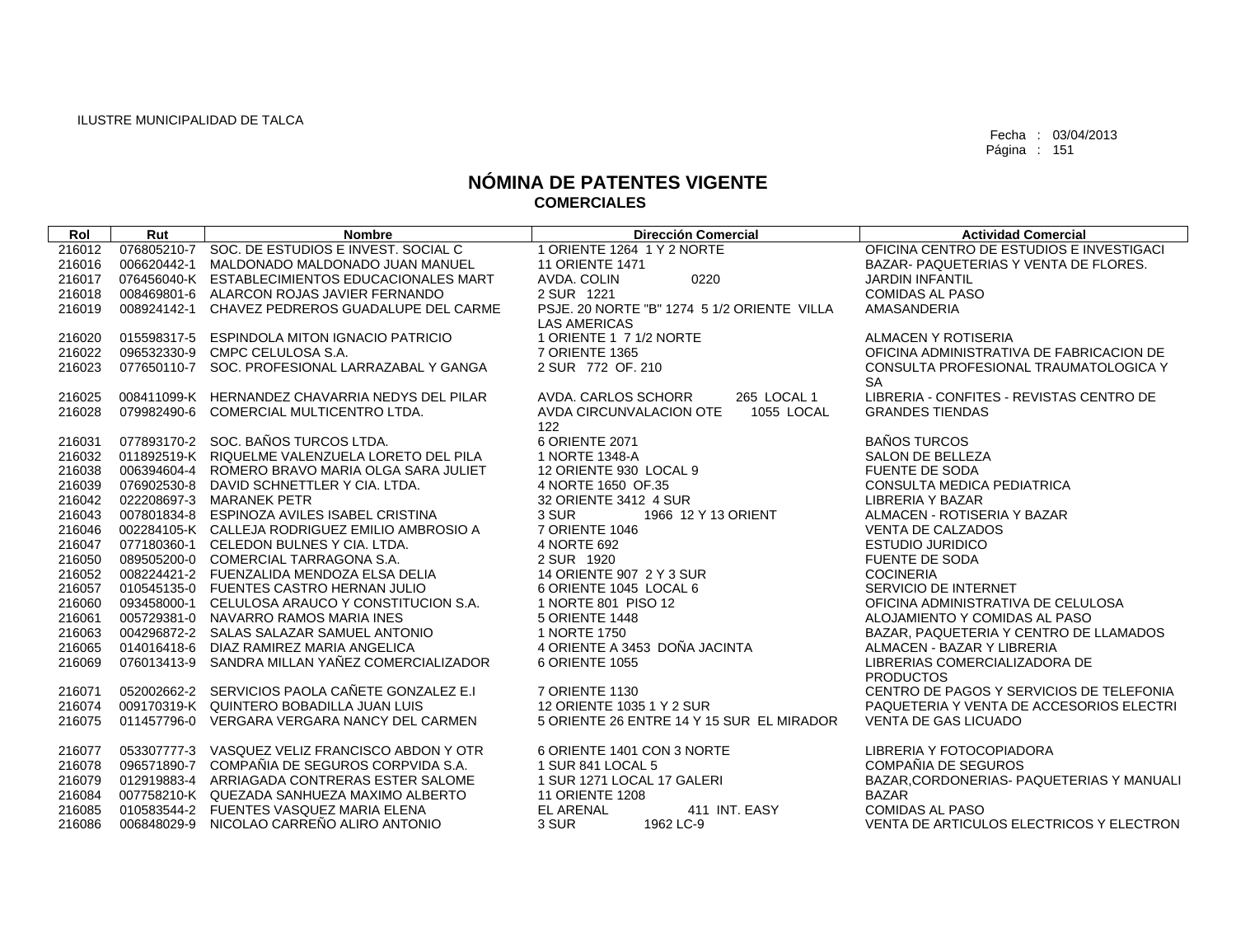| Rol    | Rut         | <b>Nombre</b>                                   | <b>Dirección Comercial</b>                  | <b>Actividad Comercial</b>                 |
|--------|-------------|-------------------------------------------------|---------------------------------------------|--------------------------------------------|
| 216012 |             | 076805210-7 SOC. DE ESTUDIOS E INVEST. SOCIAL C | 1 ORIENTE 1264 1 Y 2 NORTE                  | OFICINA CENTRO DE ESTUDIOS E INVESTIGACI   |
| 216016 | 006620442-1 | MALDONADO MALDONADO JUAN MANUEL                 | <b>11 ORIENTE 1471</b>                      | BAZAR- PAQUETERIAS Y VENTA DE FLORES.      |
| 216017 |             | 076456040-K ESTABLECIMIENTOS EDUCACIONALES MART | AVDA, COLIN<br>0220                         | <b>JARDIN INFANTIL</b>                     |
| 216018 |             | 008469801-6 ALARCON ROJAS JAVIER FERNANDO       | 2 SUR 1221                                  | <b>COMIDAS AL PASO</b>                     |
| 216019 |             | 008924142-1 CHAVEZ PEDREROS GUADALUPE DEL CARME | PSJE, 20 NORTE "B" 1274 5 1/2 ORIENTE VILLA | AMASANDERIA                                |
|        |             |                                                 | <b>LAS AMERICAS</b>                         |                                            |
| 216020 |             | 015598317-5 ESPINDOLA MITON IGNACIO PATRICIO    | 1 ORIENTE 1 7 1/2 NORTE                     | ALMACEN Y ROTISERIA                        |
| 216022 |             | 096532330-9 CMPC CELULOSA S.A.                  | 7 ORIENTE 1365                              | OFICINA ADMINISTRATIVA DE FABRICACION DE   |
| 216023 |             | 077650110-7 SOC. PROFESIONAL LARRAZABAL Y GANGA | 2 SUR 772 OF 210                            | CONSULTA PROFESIONAL TRAUMATOLOGICA Y      |
|        |             |                                                 |                                             | <b>SA</b>                                  |
| 216025 |             | 008411099-K HERNANDEZ CHAVARRIA NEDYS DEL PILAR | 265 LOCAL 1<br>AVDA, CARLOS SCHORR          | LIBRERIA - CONFITES - REVISTAS CENTRO DE   |
| 216028 |             | 079982490-6 COMERCIAL MULTICENTRO LTDA.         | AVDA CIRCUNVALACION OTE<br>1055 LOCAL       | <b>GRANDES TIENDAS</b>                     |
|        |             |                                                 | 122                                         |                                            |
| 216031 |             | 077893170-2 SOC. BAÑOS TURCOS LTDA.             | 6 ORIENTE 2071                              | <b>BAÑOS TURCOS</b>                        |
| 216032 |             | 011892519-K RIQUELME VALENZUELA LORETO DEL PILA | 1 NORTE 1348-A                              | <b>SALON DE BELLEZA</b>                    |
| 216038 |             | 006394604-4 ROMERO BRAVO MARIA OLGA SARA JULIET | 12 ORIENTE 930 LOCAL 9                      | <b>FUENTE DE SODA</b>                      |
| 216039 |             | 076902530-8 DAVID SCHNETTLER Y CIA. LTDA.       | 4 NORTE 1650 OF.35                          | CONSULTA MEDICA PEDIATRICA                 |
| 216042 |             | 022208697-3 MARANEK PETR                        | 32 ORIENTE 3412 4 SUR                       | <b>LIBRERIA Y BAZAR</b>                    |
| 216043 |             | 007801834-8 ESPINOZA AVILES ISABEL CRISTINA     | 3 SUR<br>1966 12 Y 13 ORIENT                | ALMACEN - ROTISERIA Y BAZAR                |
| 216046 |             | 002284105-K CALLEJA RODRIGUEZ EMILIO AMBROSIO A | 7 ORIENTE 1046                              | <b>VENTA DE CALZADOS</b>                   |
| 216047 |             | 077180360-1 CELEDON BULNES Y CIA, LTDA.         | 4 NORTE 692                                 | <b>ESTUDIO JURIDICO</b>                    |
| 216050 |             | 089505200-0 COMERCIAL TARRAGONA S.A.            | 2 SUR 1920                                  | <b>FUENTE DE SODA</b>                      |
| 216052 |             | 008224421-2 FUENZALIDA MENDOZA ELSA DELIA       | 14 ORIENTE 907 2 Y 3 SUR                    | <b>COCINERIA</b>                           |
| 216057 |             | 010545135-0 FUENTES CASTRO HERNAN JULIO         | 6 ORIENTE 1045 LOCAL 6                      | SERVICIO DE INTERNET                       |
| 216060 |             | 093458000-1 CELULOSA ARAUCO Y CONSTITUCION S.A. | 1 NORTE 801 PISO 12                         | OFICINA ADMINISTRATIVA DE CELULOSA         |
| 216061 |             | 005729381-0 NAVARRO RAMOS MARIA INES            | 5 ORIENTE 1448                              | ALOJAMIENTO Y COMIDAS AL PASO              |
| 216063 |             | 004296872-2 SALAS SALAZAR SAMUEL ANTONIO        | 1 NORTE 1750                                | BAZAR, PAQUETERIA Y CENTRO DE LLAMADOS     |
| 216065 |             | 014016418-6 DIAZ RAMIREZ MARIA ANGELICA         | 4 ORIENTE A 3453 DOÑA JACINTA               | ALMACEN - BAZAR Y LIBRERIA                 |
| 216069 |             | 076013413-9 SANDRA MILLAN YAÑEZ COMERCIALIZADOR | 6 ORIENTE 1055                              | LIBRERIAS COMERCIALIZADORA DE              |
|        |             |                                                 |                                             | <b>PRODUCTOS</b>                           |
| 216071 |             | 052002662-2 SERVICIOS PAOLA CAÑETE GONZALEZ E.I | 7 ORIENTE 1130                              | CENTRO DE PAGOS Y SERVICIOS DE TELEFONIA   |
| 216074 |             | 009170319-K QUINTERO BOBADILLA JUAN LUIS        | 12 ORIENTE 1035 1 Y 2 SUR                   | PAQUETERIA Y VENTA DE ACCESORIOS ELECTRI   |
| 216075 |             | 011457796-0 VERGARA VERGARA NANCY DEL CARMEN    | 5 ORIENTE 26 ENTRE 14 Y 15 SUR EL MIRADOR   | <b>VENTA DE GAS LICUADO</b>                |
| 216077 |             | 053307777-3 VASQUEZ VELIZ FRANCISCO ABDON Y OTR | 6 ORIENTE 1401 CON 3 NORTE                  | LIBRERIA Y FOTOCOPIADORA                   |
| 216078 |             | 096571890-7 COMPAÑIA DE SEGUROS CORPVIDA S.A.   | 1 SUR 841 LOCAL 5                           | COMPAÑIA DE SEGUROS                        |
| 216079 |             | 012919883-4 ARRIAGADA CONTRERAS ESTER SALOME    | 1 SUR 1271 LOCAL 17 GALERI                  | BAZAR, CORDONERIAS - PAQUETERIAS Y MANUALI |
| 216084 |             | 007758210-K QUEZADA SANHUEZA MAXIMO ALBERTO     | <b>11 ORIENTE 1208</b>                      | <b>BAZAR</b>                               |
| 216085 |             | 010583544-2 FUENTES VASQUEZ MARIA ELENA         | 411 INT. EASY<br><b>EL ARENAL</b>           | <b>COMIDAS AL PASO</b>                     |
| 216086 |             | 006848029-9 NICOLAO CARREÑO ALIRO ANTONIO       | 3 SUR<br>1962 LC-9                          | VENTA DE ARTICULOS ELECTRICOS Y ELECTRON   |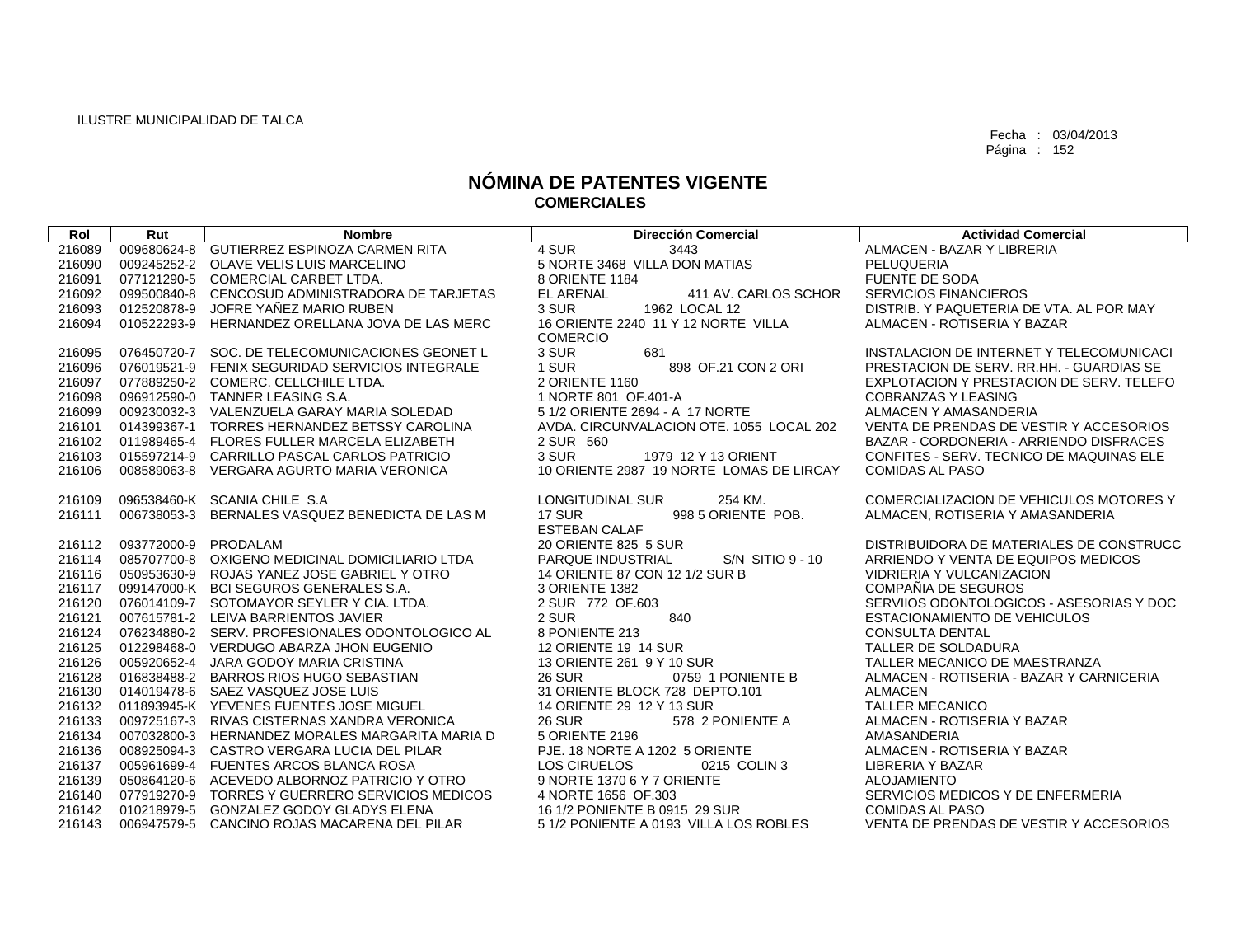| Rol              | Rut                  | <b>Nombre</b>                                                                    | Dirección Comercial                               | <b>Actividad Comercial</b>                                                |
|------------------|----------------------|----------------------------------------------------------------------------------|---------------------------------------------------|---------------------------------------------------------------------------|
| 216089           |                      | 009680624-8 GUTIERREZ ESPINOZA CARMEN RITA                                       | 4 SUR<br>3443                                     | ALMACEN - BAZAR Y LIBRERIA                                                |
| 216090           |                      | 009245252-2 OLAVE VELIS LUIS MARCELINO                                           | 5 NORTE 3468 VILLA DON MATIAS                     | PELUQUERIA                                                                |
| 216091           |                      | 077121290-5 COMERCIAL CARBET LTDA.                                               | 8 ORIENTE 1184                                    | <b>FUENTE DE SODA</b>                                                     |
| 216092           |                      | 099500840-8 CENCOSUD ADMINISTRADORA DE TARJETAS                                  | <b>EL ARENAL</b><br>411 AV. CARLOS SCHOR          | <b>SERVICIOS FINANCIEROS</b>                                              |
| 216093           |                      | 012520878-9 JOFRE YAÑEZ MARIO RUBEN                                              | 3 SUR<br>1962 LOCAL 12                            | DISTRIB. Y PAQUETERIA DE VTA. AL POR MAY                                  |
| 216094           |                      | 010522293-9 HERNANDEZ ORELLANA JOVA DE LAS MERC                                  | 16 ORIENTE 2240 11 Y 12 NORTE VILLA               | ALMACEN - ROTISERIA Y BAZAR                                               |
|                  |                      |                                                                                  | <b>COMERCIO</b>                                   |                                                                           |
| 216095           |                      | 076450720-7 SOC. DE TELECOMUNICACIONES GEONET L                                  | 3 SUR<br>681                                      | INSTALACION DE INTERNET Y TELECOMUNICACI                                  |
| 216096           |                      | 076019521-9 FENIX SEGURIDAD SERVICIOS INTEGRALE                                  | 1 SUR<br>898 OF 21 CON 2 ORI                      | PRESTACION DE SERV. RR.HH. - GUARDIAS SE                                  |
| 216097           |                      | 077889250-2 COMERC, CELLCHILE LTDA.                                              | 2 ORIENTE 1160                                    | EXPLOTACION Y PRESTACION DE SERV. TELEFO                                  |
| 216098           |                      | 096912590-0 TANNER LEASING S.A.                                                  | 1 NORTE 801 OF 401-A                              | <b>COBRANZAS Y LEASING</b>                                                |
| 216099           |                      | 009230032-3 VALENZUELA GARAY MARIA SOLEDAD                                       | 5 1/2 ORIENTE 2694 - A 17 NORTE                   | ALMACEN Y AMASANDERIA                                                     |
| 216101           |                      | 014399367-1 TORRES HERNANDEZ BETSSY CAROLINA                                     | AVDA, CIRCUNVALACION OTE, 1055 LOCAL 202          | VENTA DE PRENDAS DE VESTIR Y ACCESORIOS                                   |
| 216102           |                      | 011989465-4 FLORES FULLER MARCELA ELIZABETH                                      | 2 SUR 560                                         | BAZAR - CORDONERIA - ARRIENDO DISFRACES                                   |
| 216103           |                      | 015597214-9 CARRILLO PASCAL CARLOS PATRICIO                                      | 3 SUR<br>1979 12 Y 13 ORIENT                      | CONFITES - SERV. TECNICO DE MAQUINAS ELE                                  |
| 216106           |                      | 008589063-8 VERGARA AGURTO MARIA VERONICA                                        | 10 ORIENTE 2987 19 NORTE LOMAS DE LIRCAY          | <b>COMIDAS AL PASO</b>                                                    |
|                  |                      |                                                                                  |                                                   |                                                                           |
| 216109           |                      | 096538460-K SCANIA CHILE S.A                                                     | LONGITUDINAL SUR<br>254 KM.                       | COMERCIALIZACION DE VEHICULOS MOTORES Y                                   |
| 216111           |                      | 006738053-3 BERNALES VASQUEZ BENEDICTA DE LAS M                                  | 17 SUR<br>998 5 ORIENTE POB.                      | ALMACEN, ROTISERIA Y AMASANDERIA                                          |
|                  |                      |                                                                                  | <b>ESTEBAN CALAF</b>                              |                                                                           |
| 216112           | 093772000-9 PRODALAM |                                                                                  | 20 ORIENTE 825 5 SUR                              | DISTRIBUIDORA DE MATERIALES DE CONSTRUCC                                  |
| 216114           |                      | 085707700-8 OXIGENO MEDICINAL DOMICILIARIO LTDA                                  | $S/N$ SITIO 9 - 10<br>PARQUE INDUSTRIAL           | ARRIENDO Y VENTA DE EQUIPOS MEDICOS                                       |
| 216116           |                      | 050953630-9 ROJAS YANEZ JOSE GABRIEL Y OTRO                                      | 14 ORIENTE 87 CON 12 1/2 SUR B                    | <b>VIDRIERIA Y VULCANIZACION</b>                                          |
| 216117           |                      | 099147000-K BCI SEGUROS GENERALES S.A.                                           | 3 ORIENTE 1382                                    | COMPAÑIA DE SEGUROS                                                       |
| 216120           |                      | 076014109-7 SOTOMAYOR SEYLER Y CIA. LTDA.                                        | 2 SUR 772 OF.603                                  | SERVIIOS ODONTOLOGICOS - ASESORIAS Y DOC                                  |
| 216121           |                      | 007615781-2 LEIVA BARRIENTOS JAVIER                                              | 2 SUR<br>840                                      | ESTACIONAMIENTO DE VEHICULOS                                              |
| 216124           |                      | 076234880-2 SERV, PROFESIONALES ODONTOLOGICO AL                                  | 8 PONIENTE 213                                    | <b>CONSULTA DENTAL</b>                                                    |
| 216125<br>216126 |                      | 012298468-0 VERDUGO ABARZA JHON EUGENIO<br>005920652-4 JARA GODOY MARIA CRISTINA | 12 ORIENTE 19 14 SUR<br>13 ORIENTE 261 9 Y 10 SUR | TALLER DE SOLDADURA                                                       |
|                  |                      | 016838488-2 BARROS RIOS HUGO SEBASTIAN                                           | 0759 1 PONIENTE B<br><b>26 SUR</b>                | TALLER MECANICO DE MAESTRANZA<br>ALMACEN - ROTISERIA - BAZAR Y CARNICERIA |
| 216128<br>216130 |                      | 014019478-6 SAEZ VASQUEZ JOSE LUIS                                               | 31 ORIENTE BLOCK 728 DEPTO.101                    | ALMACEN                                                                   |
| 216132           |                      | 011893945-K YEVENES FUENTES JOSE MIGUEL                                          | 14 ORIENTE 29 12 Y 13 SUR                         | <b>TALLER MECANICO</b>                                                    |
| 216133           |                      | 009725167-3 RIVAS CISTERNAS XANDRA VERONICA                                      | <b>26 SUR</b><br>578 2 PONIENTE A                 | ALMACEN - ROTISERIA Y BAZAR                                               |
| 216134           |                      | 007032800-3 HERNANDEZ MORALES MARGARITA MARIA D                                  | 5 ORIENTE 2196                                    | AMASANDERIA                                                               |
| 216136           |                      | 008925094-3 CASTRO VERGARA LUCIA DEL PILAR                                       | PJE, 18 NORTE A 1202 5 ORIENTE                    | ALMACEN - ROTISERIA Y BAZAR                                               |
| 216137           |                      | 005961699-4 FUENTES ARCOS BLANCA ROSA                                            | <b>LOS CIRUELOS</b><br>0215 COLIN 3               | LIBRERIA Y BAZAR                                                          |
| 216139           |                      | 050864120-6 ACEVEDO ALBORNOZ PATRICIO Y OTRO                                     | 9 NORTE 1370 6 Y 7 ORIENTE                        | <b>ALOJAMIENTO</b>                                                        |
| 216140           |                      | 077919270-9 TORRES Y GUERRERO SERVICIOS MEDICOS                                  | 4 NORTE 1656 OF 303                               | SERVICIOS MEDICOS Y DE ENFERMERIA                                         |
| 216142           |                      |                                                                                  |                                                   |                                                                           |
|                  |                      | 010218979-5 GONZALEZ GODOY GLADYS ELENA                                          | 16 1/2 PONIENTE B 0915 29 SUR                     | <b>COMIDAS AL PASO</b>                                                    |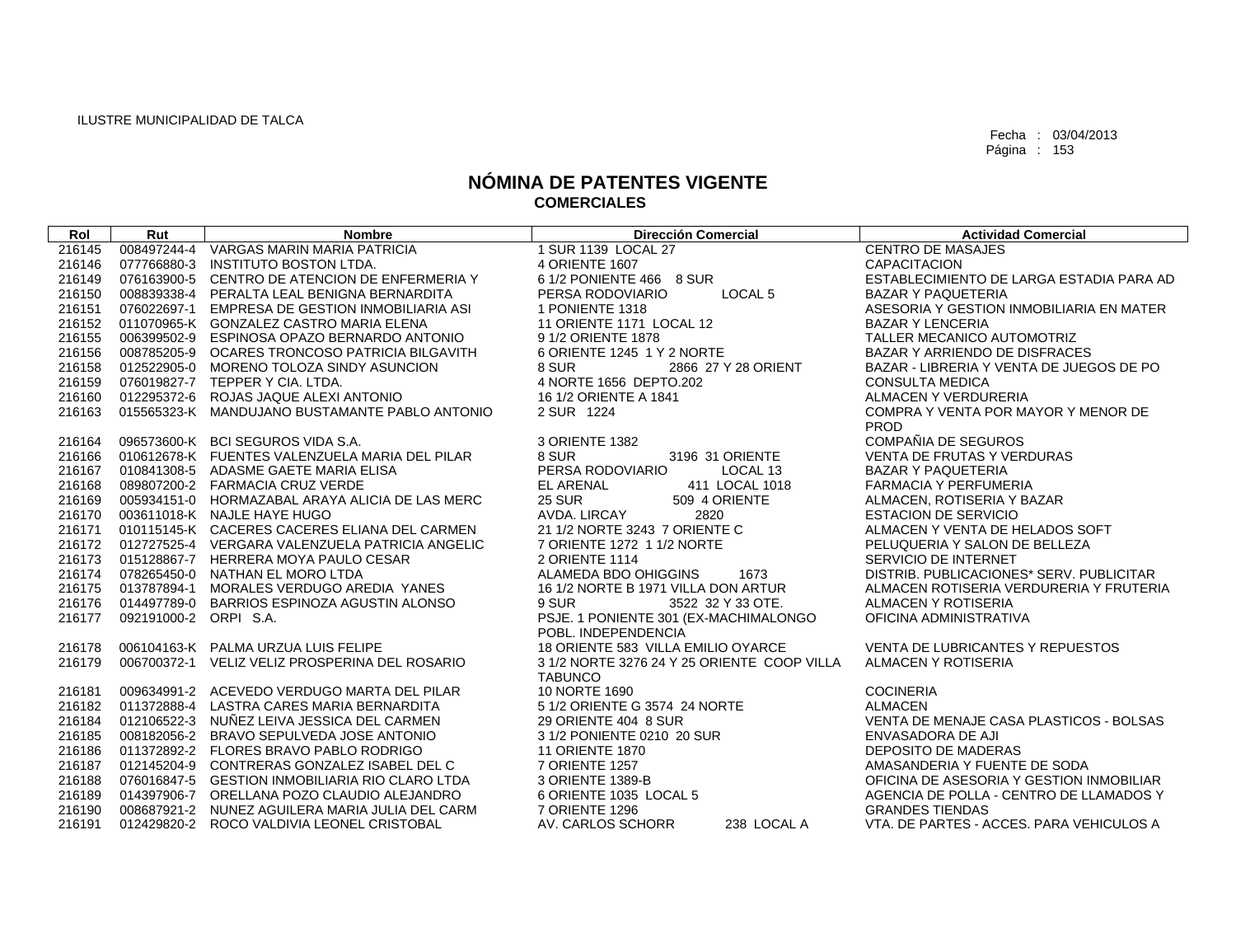| Rol    | Rut                   | <b>Nombre</b>                                   | <b>Dirección Comercial</b>                                   | <b>Actividad Comercial</b>               |
|--------|-----------------------|-------------------------------------------------|--------------------------------------------------------------|------------------------------------------|
| 216145 |                       | 008497244-4 VARGAS MARIN MARIA PATRICIA         | 1 SUR 1139 LOCAL 27                                          | <b>CENTRO DE MASAJES</b>                 |
| 216146 | 077766880-3           | INSTITUTO BOSTON LTDA.                          | <b>4 ORIENTE 1607</b>                                        | <b>CAPACITACION</b>                      |
| 216149 |                       | 076163900-5 CENTRO DE ATENCION DE ENFERMERIA Y  | 6 1/2 PONIENTE 466 8 SUR                                     | ESTABLECIMIENTO DE LARGA ESTADIA PARA AD |
| 216150 |                       | 008839338-4 PERALTA LEAL BENIGNA BERNARDITA     | LOCAL <sub>5</sub><br>PERSA RODOVIARIO                       | <b>BAZAR Y PAQUETERIA</b>                |
| 216151 |                       | 076022697-1 EMPRESA DE GESTION INMOBILIARIA ASI | 1 PONIENTE 1318                                              | ASESORIA Y GESTION INMOBILIARIA EN MATER |
| 216152 |                       | 011070965-K GONZALEZ CASTRO MARIA ELENA         | 11 ORIENTE 1171 LOCAL 12                                     | <b>BAZAR Y LENCERIA</b>                  |
| 216155 |                       | 006399502-9 ESPINOSA OPAZO BERNARDO ANTONIO     | 9 1/2 ORIENTE 1878                                           | TALLER MECANICO AUTOMOTRIZ               |
| 216156 |                       | 008785205-9 OCARES TRONCOSO PATRICIA BILGAVITH  | 6 ORIENTE 1245 1 Y 2 NORTE                                   | BAZAR Y ARRIENDO DE DISFRACES            |
| 216158 |                       | 012522905-0 MORENO TOLOZA SINDY ASUNCION        | 8 SUR<br>2866 27 Y 28 ORIENT                                 | BAZAR - LIBRERIA Y VENTA DE JUEGOS DE PO |
| 216159 |                       | 076019827-7 TEPPER Y CIA. LTDA.                 | 4 NORTE 1656 DEPTO.202                                       | <b>CONSULTA MEDICA</b>                   |
| 216160 |                       | 012295372-6 ROJAS JAQUE ALEXI ANTONIO           | 16 1/2 ORIENTE A 1841                                        | ALMACEN Y VERDURERIA                     |
| 216163 |                       | 015565323-K MANDUJANO BUSTAMANTE PABLO ANTONIO  | 2 SUR 1224                                                   | COMPRA Y VENTA POR MAYOR Y MENOR DE      |
|        |                       |                                                 |                                                              | <b>PROD</b>                              |
| 216164 |                       | 096573600-K BCI SEGUROS VIDA S.A.               | 3 ORIENTE 1382                                               | COMPAÑIA DE SEGUROS                      |
| 216166 |                       | 010612678-K FUENTES VALENZUELA MARIA DEL PILAR  | 8 SUR<br>3196 31 ORIENTE                                     | <b>VENTA DE FRUTAS Y VERDURAS</b>        |
| 216167 |                       | 010841308-5 ADASME GAETE MARIA ELISA            | PERSA RODOVIARIO<br>LOCAL 13                                 | <b>BAZAR Y PAQUETERIA</b>                |
| 216168 |                       | 089807200-2 FARMACIA CRUZ VERDE                 | EL ARENAL<br>411 LOCAL 1018                                  | <b>FARMACIA Y PERFUMERIA</b>             |
| 216169 |                       | 005934151-0 HORMAZABAL ARAYA ALICIA DE LAS MERC | <b>25 SUR</b><br>509 4 ORIENTE                               | ALMACEN, ROTISERIA Y BAZAR               |
|        |                       | 216170 003611018-K NAJLE HAYE HUGO              | AVDA, LIRCAY<br>2820                                         | <b>ESTACION DE SERVICIO</b>              |
| 216171 |                       | 010115145-K CACERES CACERES ELIANA DEL CARMEN   | 21 1/2 NORTE 3243 7 ORIENTE C                                | ALMACEN Y VENTA DE HELADOS SOFT          |
| 216172 |                       | 012727525-4 VERGARA VALENZUELA PATRICIA ANGELIC | 7 ORIENTE 1272 1 1/2 NORTE                                   | PELUQUERIA Y SALON DE BELLEZA            |
| 216173 |                       | 015128867-7 HERRERA MOYA PAULO CESAR            | 2 ORIENTE 1114                                               | <b>SERVICIO DE INTERNET</b>              |
| 216174 |                       | 078265450-0 NATHAN EL MORO LTDA                 | ALAMEDA BDO OHIGGINS<br>1673                                 | DISTRIB, PUBLICACIONES* SERV, PUBLICITAR |
| 216175 |                       | 013787894-1 MORALES VERDUGO AREDIA YANES        | 16 1/2 NORTE B 1971 VILLA DON ARTUR                          | ALMACEN ROTISERIA VERDURERIA Y FRUTERIA  |
| 216176 |                       | 014497789-0 BARRIOS ESPINOZA AGUSTIN ALONSO     | 9 SUR<br>3522 32 Y 33 OTE.                                   | ALMACEN Y ROTISERIA                      |
| 216177 | 092191000-2 ORPI S.A. |                                                 | PSJE. 1 PONIENTE 301 (EX-MACHIMALONGO<br>POBL. INDEPENDENCIA | OFICINA ADMINISTRATIVA                   |
| 216178 |                       | 006104163-K PALMA URZUA LUIS FELIPE             | 18 ORIENTE 583 VILLA EMILIO OYARCE                           | VENTA DE LUBRICANTES Y REPUESTOS         |
| 216179 |                       | 006700372-1 VELIZ VELIZ PROSPERINA DEL ROSARIO  | 3 1/2 NORTE 3276 24 Y 25 ORIENTE COOP VILLA                  | ALMACEN Y ROTISERIA                      |
|        |                       |                                                 | <b>TABUNCO</b>                                               |                                          |
| 216181 |                       | 009634991-2 ACEVEDO VERDUGO MARTA DEL PILAR     | 10 NORTE 1690                                                | <b>COCINERIA</b>                         |
| 216182 |                       | 011372888-4 LASTRA CARES MARIA BERNARDITA       | 5 1/2 ORIENTE G 3574 24 NORTE                                | <b>ALMACEN</b>                           |
| 216184 |                       | 012106522-3 NUÑEZ LEIVA JESSICA DEL CARMEN      | 29 ORIENTE 404 8 SUR                                         | VENTA DE MENAJE CASA PLASTICOS - BOLSAS  |
| 216185 |                       | 008182056-2 BRAVO SEPULVEDA JOSE ANTONIO        | 3 1/2 PONIENTE 0210 20 SUR                                   | ENVASADORA DE AJI                        |
| 216186 |                       | 011372892-2 FLORES BRAVO PABLO RODRIGO          | <b>11 ORIENTE 1870</b>                                       | <b>DEPOSITO DE MADERAS</b>               |
| 216187 |                       | 012145204-9 CONTRERAS GONZALEZ ISABEL DEL C     | 7 ORIENTE 1257                                               | AMASANDERIA Y FUENTE DE SODA             |
| 216188 |                       | 076016847-5 GESTION INMOBILIARIA RIO CLARO LTDA | 3 ORIENTE 1389-B                                             | OFICINA DE ASESORIA Y GESTION INMOBILIAR |
| 216189 |                       | 014397906-7 ORELLANA POZO CLAUDIO ALEJANDRO     | 6 ORIENTE 1035 LOCAL 5                                       | AGENCIA DE POLLA - CENTRO DE LLAMADOS Y  |
| 216190 |                       | 008687921-2 NUNEZ AGUILERA MARIA JULIA DEL CARM | 7 ORIENTE 1296                                               | <b>GRANDES TIENDAS</b>                   |
| 216191 |                       | 012429820-2 ROCO VALDIVIA LEONEL CRISTOBAL      | AV. CARLOS SCHORR<br>238 LOCAL A                             | VTA, DE PARTES - ACCES, PARA VEHICULOS A |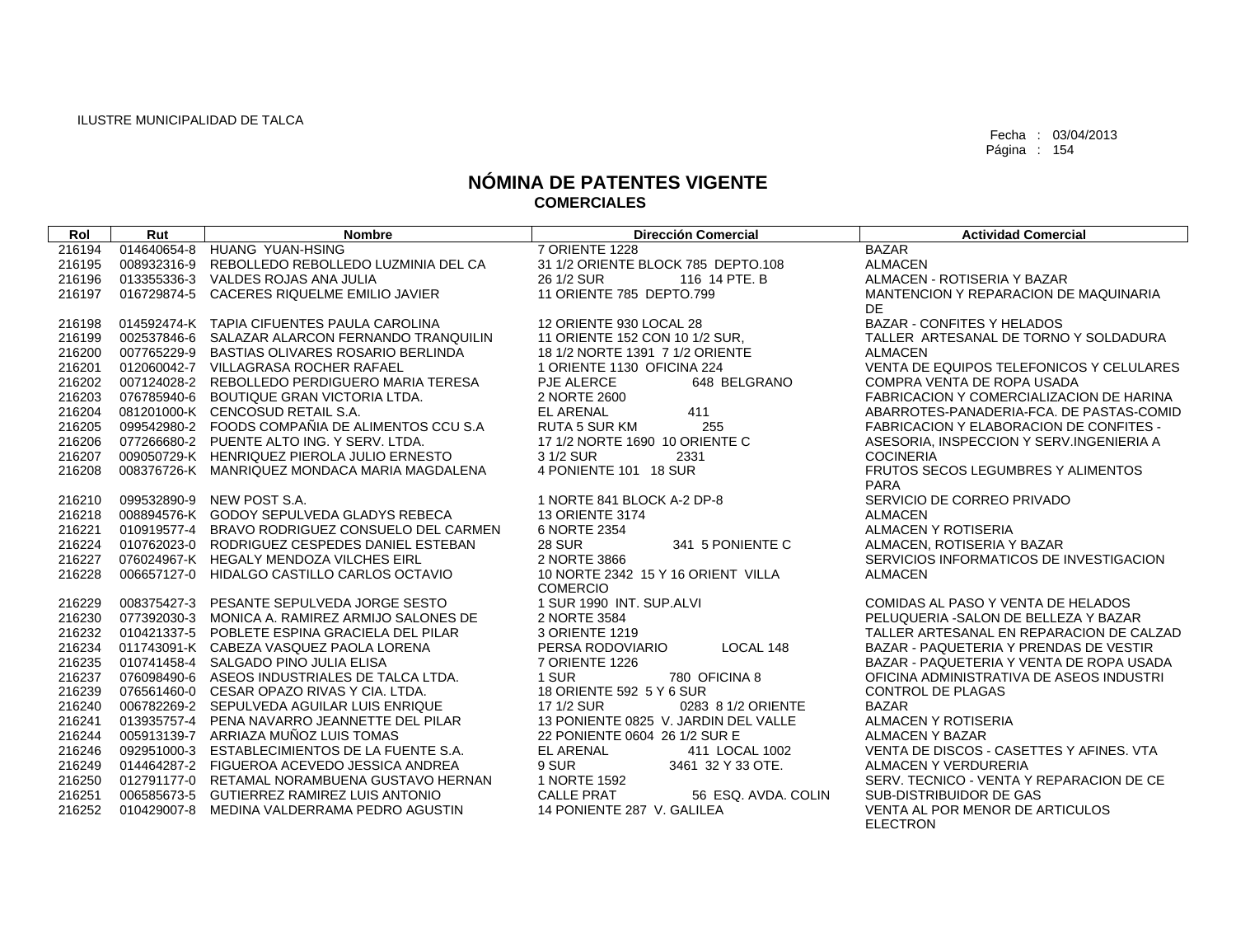| Rol              | Rut         | <b>Nombre</b>                                                                             | <b>Dirección Comercial</b>                                             | <b>Actividad Comercial</b>                                 |
|------------------|-------------|-------------------------------------------------------------------------------------------|------------------------------------------------------------------------|------------------------------------------------------------|
| 216194           |             | 014640654-8 HUANG YUAN-HSING                                                              | 7 ORIENTE 1228                                                         | <b>BAZAR</b>                                               |
| 216195           | 008932316-9 | REBOLLEDO REBOLLEDO LUZMINIA DEL CA                                                       | 31 1/2 ORIENTE BLOCK 785 DEPTO.108                                     | <b>ALMACEN</b>                                             |
| 216196           |             | 013355336-3 VALDES ROJAS ANA JULIA                                                        | 116 14 PTE, B<br>26 1/2 SUR                                            | ALMACEN - ROTISERIA Y BAZAR                                |
| 216197           |             | 016729874-5 CACERES RIQUELME EMILIO JAVIER                                                | 11 ORIENTE 785 DEPTO.799                                               | MANTENCION Y REPARACION DE MAQUINARIA                      |
|                  |             |                                                                                           |                                                                        | DE                                                         |
| 216198           |             | 014592474-K TAPIA CIFUENTES PAULA CAROLINA                                                | 12 ORIENTE 930 LOCAL 28                                                | <b>BAZAR - CONFITES Y HELADOS</b>                          |
| 216199           |             | 002537846-6 SALAZAR ALARCON FERNANDO TRANQUILIN                                           | 11 ORIENTE 152 CON 10 1/2 SUR.                                         | TALLER ARTESANAL DE TORNO Y SOLDADURA                      |
| 216200           |             | 007765229-9 BASTIAS OLIVARES ROSARIO BERLINDA                                             | 18 1/2 NORTE 1391 7 1/2 ORIENTE                                        | ALMACEN                                                    |
| 216201           |             | 012060042-7 VILLAGRASA ROCHER RAFAEL                                                      | 1 ORIENTE 1130 OFICINA 224                                             | VENTA DE EQUIPOS TELEFONICOS Y CELULARES                   |
| 216202           |             | 007124028-2 REBOLLEDO PERDIGUERO MARIA TERESA                                             | 648 BELGRANO<br>PJE ALERCE                                             | COMPRA VENTA DE ROPA USADA                                 |
| 216203           |             | 076785940-6 BOUTIQUE GRAN VICTORIA LTDA.                                                  | 2 NORTE 2600                                                           | FABRICACION Y COMERCIALIZACION DE HARINA                   |
| 216204           |             | 081201000-K CENCOSUD RETAIL S.A.                                                          | <b>EL ARENAL</b><br>411                                                | ABARROTES-PANADERIA-FCA. DE PASTAS-COMID                   |
| 216205           |             | 099542980-2 FOODS COMPAÑIA DE ALIMENTOS CCU S.A                                           | <b>RUTA 5 SUR KM</b><br>255                                            | <b>FABRICACION Y ELABORACION DE CONFITES -</b>             |
| 216206           |             | 077266680-2 PUENTE ALTO ING. Y SERV. LTDA.                                                | 17 1/2 NORTE 1690 10 ORIENTE C                                         | ASESORIA, INSPECCION Y SERV.INGENIERIA A                   |
| 216207           |             | 009050729-K HENRIQUEZ PIEROLA JULIO ERNESTO                                               | 3 1/2 SUR<br>2331                                                      | <b>COCINERIA</b>                                           |
| 216208           |             | 008376726-K MANRIQUEZ MONDACA MARIA MAGDALENA                                             | 4 PONIENTE 101 18 SUR                                                  | FRUTOS SECOS LEGUMBRES Y ALIMENTOS                         |
|                  |             |                                                                                           |                                                                        | <b>PARA</b>                                                |
| 216210           |             | 099532890-9 NEW POST S.A.                                                                 | 1 NORTE 841 BLOCK A-2 DP-8                                             | SERVICIO DE CORREO PRIVADO                                 |
| 216218           |             | 008894576-K GODOY SEPULVEDA GLADYS REBECA                                                 | <b>13 ORIENTE 3174</b>                                                 | <b>ALMACEN</b>                                             |
| 216221           |             | 010919577-4 BRAVO RODRIGUEZ CONSUELO DEL CARMEN                                           | 6 NORTE 2354                                                           | <b>ALMACEN Y ROTISERIA</b>                                 |
| 216224           |             | 010762023-0 RODRIGUEZ CESPEDES DANIEL ESTEBAN                                             | <b>28 SUR</b><br>341 5 PONIENTE C                                      | ALMACEN, ROTISERIA Y BAZAR                                 |
| 216227           |             | 076024967-K HEGALY MENDOZA VILCHES EIRL                                                   | 2 NORTE 3866                                                           | SERVICIOS INFORMATICOS DE INVESTIGACION                    |
| 216228           |             | 006657127-0 HIDALGO CASTILLO CARLOS OCTAVIO                                               | 10 NORTE 2342 15 Y 16 ORIENT VILLA                                     | <b>ALMACEN</b>                                             |
|                  |             |                                                                                           | <b>COMERCIO</b>                                                        |                                                            |
| 216229           |             | 008375427-3 PESANTE SEPULVEDA JORGE SESTO                                                 | 1 SUR 1990 INT, SUP, ALVI                                              | COMIDAS AL PASO Y VENTA DE HELADOS                         |
| 216230           |             | 077392030-3 MONICA A. RAMIREZ ARMIJO SALONES DE                                           | 2 NORTE 3584                                                           | PELUQUERIA - SALON DE BELLEZA Y BAZAR                      |
| 216232           |             | 010421337-5 POBLETE ESPINA GRACIELA DEL PILAR                                             | 3 ORIENTE 1219                                                         | TALLER ARTESANAL EN REPARACION DE CALZAD                   |
| 216234           |             | 011743091-K CABEZA VASQUEZ PAOLA LORENA                                                   | LOCAL 148<br>PERSA RODOVIARIO                                          | BAZAR - PAQUETERIA Y PRENDAS DE VESTIR                     |
| 216235           |             | 010741458-4 SALGADO PINO JULIA ELISA                                                      | 7 ORIENTE 1226                                                         | BAZAR - PAQUETERIA Y VENTA DE ROPA USADA                   |
| 216237           |             | 076098490-6 ASEOS INDUSTRIALES DE TALCA LTDA.                                             | 1 SUR<br>780 OFICINA 8                                                 | OFICINA ADMINISTRATIVA DE ASEOS INDUSTRI                   |
| 216239           |             | 076561460-0 CESAR OPAZO RIVAS Y CIA. LTDA.                                                | 18 ORIENTE 592 5 Y 6 SUR                                               | <b>CONTROL DE PLAGAS</b>                                   |
| 216240           |             | 006782269-2 SEPULVEDA AGUILAR LUIS ENRIQUE                                                | 17 1/2 SUR<br>0283 8 1/2 ORIENTE                                       | <b>BAZAR</b>                                               |
| 216241           |             | 013935757-4 PENA NAVARRO JEANNETTE DEL PILAR                                              | 13 PONIENTE 0825 V. JARDIN DEL VALLE                                   | <b>ALMACEN Y ROTISERIA</b>                                 |
| 216244           |             | 005913139-7 ARRIAZA MUNOZ LUIS TOMAS                                                      | 22 PONIENTE 0604 26 1/2 SUR E                                          | <b>ALMACEN Y BAZAR</b>                                     |
| 216246           |             | 092951000-3 ESTABLECIMIENTOS DE LA FUENTE S.A.                                            | <b>EL ARENAL</b><br>411 LOCAL 1002                                     | VENTA DE DISCOS - CASETTES Y AFINES, VTA                   |
| 216249           |             | 014464287-2 FIGUEROA ACEVEDO JESSICA ANDREA                                               | 9 SUR<br>3461 32 Y 33 OTE.                                             | ALMACEN Y VERDURERIA                                       |
| 216250           |             | 012791177-0 RETAMAL NORAMBUENA GUSTAVO HERNAN                                             | 1 NORTE 1592                                                           | SERV. TECNICO - VENTA Y REPARACION DE CE                   |
| 216251<br>216252 |             | 006585673-5 GUTIERREZ RAMIREZ LUIS ANTONIO<br>010429007-8 MEDINA VALDERRAMA PEDRO AGUSTIN | <b>CALLE PRAT</b><br>56 ESQ, AVDA, COLIN<br>14 PONIENTE 287 V. GALILEA | SUB-DISTRIBUIDOR DE GAS<br>VENTA AL POR MENOR DE ARTICULOS |
|                  |             |                                                                                           |                                                                        | <b>ELECTRON</b>                                            |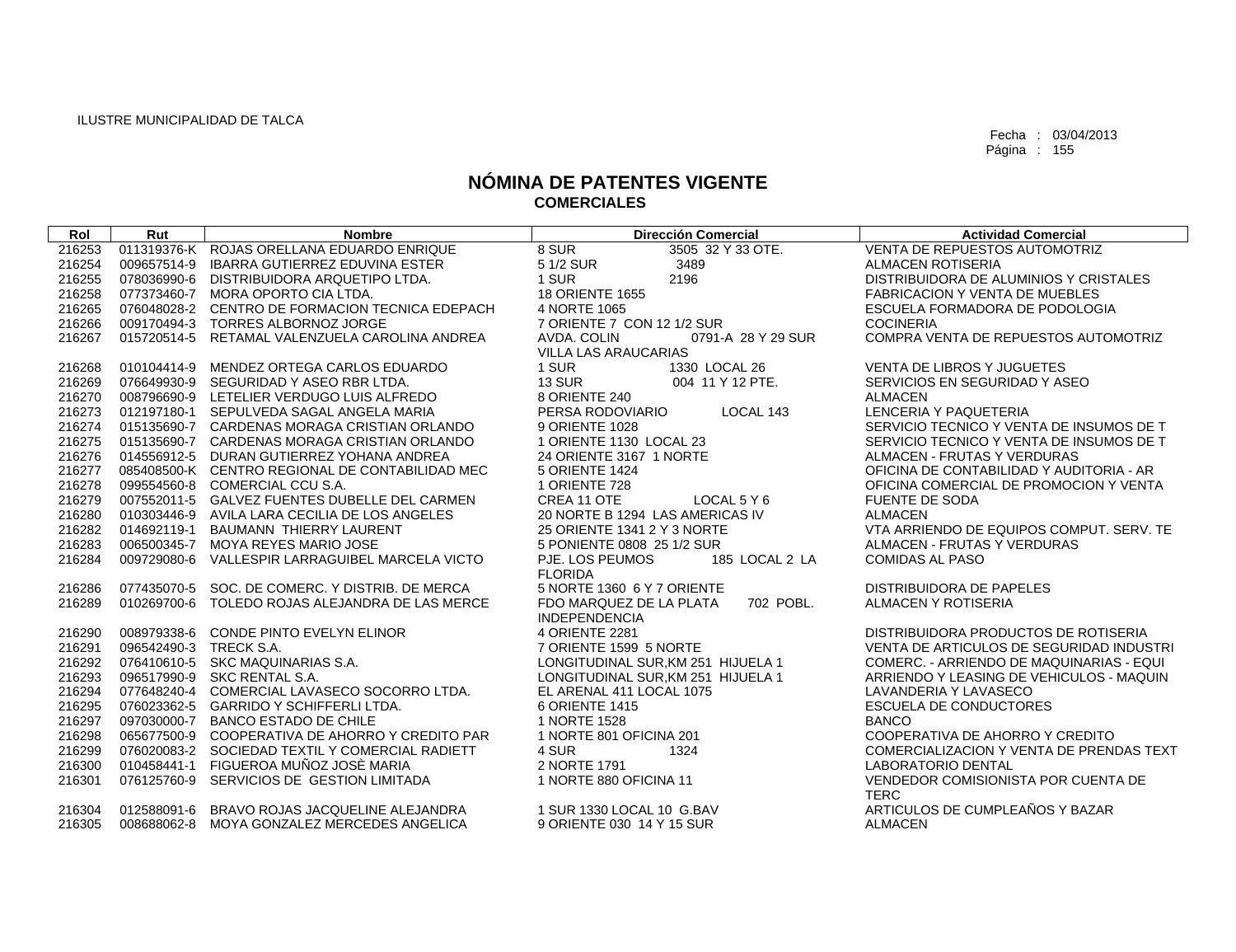| Rol    | Rut                    | <b>Nombre</b>                                   | <b>Dirección Comercial</b>           | <b>Actividad Comercial</b>               |
|--------|------------------------|-------------------------------------------------|--------------------------------------|------------------------------------------|
| 216253 |                        | 011319376-K ROJAS ORELLANA EDUARDO ENRIQUE      | 8 SUR<br>3505 32 Y 33 OTE.           | <b>VENTA DE REPUESTOS AUTOMOTRIZ</b>     |
| 216254 | 009657514-9            | <b>IBARRA GUTIERREZ EDUVINA ESTER</b>           | 5 1/2 SUR<br>3489                    | <b>ALMACEN ROTISERIA</b>                 |
| 216255 |                        | 078036990-6 DISTRIBUIDORA ARQUETIPO LTDA.       | 1 SUR<br>2196                        | DISTRIBUIDORA DE ALUMINIOS Y CRISTALES   |
| 216258 |                        | 077373460-7 MORA OPORTO CIA LTDA.               | <b>18 ORIENTE 1655</b>               | <b>FABRICACION Y VENTA DE MUEBLES</b>    |
| 216265 |                        | 076048028-2 CENTRO DE FORMACION TECNICA EDEPACH | 4 NORTE 1065                         | ESCUELA FORMADORA DE PODOLOGIA           |
| 216266 |                        | 009170494-3 TORRES ALBORNOZ JORGE               | 7 ORIENTE 7 CON 12 1/2 SUR           | <b>COCINERIA</b>                         |
| 216267 |                        | 015720514-5 RETAMAL VALENZUELA CAROLINA ANDREA  | AVDA, COLIN<br>0791-A 28 Y 29 SUR    | COMPRA VENTA DE REPUESTOS AUTOMOTRIZ     |
|        |                        |                                                 | VILLA LAS ARAUCARIAS                 |                                          |
| 216268 |                        | 010104414-9 MENDEZ ORTEGA CARLOS EDUARDO        | 1 SUR<br>1330 LOCAL 26               | <b>VENTA DE LIBROS Y JUGUETES</b>        |
| 216269 |                        | 076649930-9 SEGURIDAD Y ASEO RBR LTDA.          | <b>13 SUR</b><br>004 11 Y 12 PTE.    | SERVICIOS EN SEGURIDAD Y ASEO            |
| 216270 |                        | 008796690-9 LETELIER VERDUGO LUIS ALFREDO       | 8 ORIENTE 240                        | <b>ALMACEN</b>                           |
| 216273 |                        | 012197180-1 SEPULVEDA SAGAL ANGELA MARIA        | PERSA RODOVIARIO<br>LOCAL 143        | LENCERIA Y PAQUETERIA                    |
| 216274 |                        | 015135690-7 CARDENAS MORAGA CRISTIAN ORLANDO    | 9 ORIENTE 1028                       | SERVICIO TECNICO Y VENTA DE INSUMOS DE T |
| 216275 |                        | 015135690-7 CARDENAS MORAGA CRISTIAN ORLANDO    | 1 ORIENTE 1130 LOCAL 23              | SERVICIO TECNICO Y VENTA DE INSUMOS DE T |
| 216276 |                        | 014556912-5 DURAN GUTIERREZ YOHANA ANDREA       | 24 ORIENTE 3167 1 NORTE              | ALMACEN - FRUTAS Y VERDURAS              |
| 216277 |                        | 085408500-K CENTRO REGIONAL DE CONTABILIDAD MEC | <b>5 ORIENTE 1424</b>                | OFICINA DE CONTABILIDAD Y AUDITORIA - AR |
| 216278 |                        | 099554560-8 COMERCIAL CCU S.A.                  | 1 ORIENTE 728                        | OFICINA COMERCIAL DE PROMOCION Y VENTA   |
| 216279 |                        | 007552011-5 GALVEZ FUENTES DUBELLE DEL CARMEN   | CREA 11 OTE<br>LOCAL 5 Y 6           | <b>FUENTE DE SODA</b>                    |
| 216280 |                        | 010303446-9 AVILA LARA CECILIA DE LOS ANGELES   | 20 NORTE B 1294 LAS AMERICAS IV      | <b>ALMACEN</b>                           |
| 216282 |                        | 014692119-1 BAUMANN THIERRY LAURENT             | 25 ORIENTE 1341 2 Y 3 NORTE          | VTA ARRIENDO DE EQUIPOS COMPUT. SERV. TE |
| 216283 |                        | 006500345-7 MOYA REYES MARIO JOSE               | 5 PONIENTE 0808 25 1/2 SUR           | ALMACEN - FRUTAS Y VERDURAS              |
| 216284 |                        | 009729080-6 VALLESPIR LARRAGUIBEL MARCELA VICTO | PJE. LOS PEUMOS<br>185 LOCAL 2 LA    | <b>COMIDAS AL PASO</b>                   |
|        |                        |                                                 | <b>FLORIDA</b>                       |                                          |
| 216286 |                        | 077435070-5 SOC. DE COMERC. Y DISTRIB. DE MERCA | 5 NORTE 1360 6 Y 7 ORIENTE           | DISTRIBUIDORA DE PAPELES                 |
| 216289 | 010269700-6            | TOLEDO ROJAS ALEJANDRA DE LAS MERCE             | 702 POBL.<br>FDO MARQUEZ DE LA PLATA | ALMACEN Y ROTISERIA                      |
|        |                        |                                                 | <b>INDEPENDENCIA</b>                 |                                          |
| 216290 |                        | 008979338-6 CONDE PINTO EVELYN ELINOR           | 4 ORIENTE 2281                       | DISTRIBUIDORA PRODUCTOS DE ROTISERIA     |
| 216291 | 096542490-3 TRECK S.A. |                                                 | 7 ORIENTE 1599 5 NORTE               | VENTA DE ARTICULOS DE SEGURIDAD INDUSTRI |
| 216292 |                        | 076410610-5 SKC MAQUINARIAS S.A.                | LONGITUDINAL SUR, KM 251 HIJUELA 1   | COMERC. - ARRIENDO DE MAQUINARIAS - EQUI |
| 216293 |                        | 096517990-9 SKC RENTAL S.A.                     | LONGITUDINAL SUR.KM 251 HIJUELA 1    | ARRIENDO Y LEASING DE VEHICULOS - MAQUIN |
| 216294 |                        | 077648240-4 COMERCIAL LAVASECO SOCORRO LTDA.    | EL ARENAL 411 LOCAL 1075             | LAVANDERIA Y LAVASECO                    |
| 216295 |                        | 076023362-5 GARRIDO Y SCHIFFERLI LTDA.          | 6 ORIENTE 1415                       | <b>ESCUELA DE CONDUCTORES</b>            |
| 216297 |                        | 097030000-7 BANCO ESTADO DE CHILE               | 1 NORTE 1528                         | <b>BANCO</b>                             |
| 216298 |                        | 065677500-9 COOPERATIVA DE AHORRO Y CREDITO PAR | 1 NORTE 801 OFICINA 201              | COOPERATIVA DE AHORRO Y CREDITO          |
| 216299 |                        | 076020083-2 SOCIEDAD TEXTIL Y COMERCIAL RADIETT | 4 SUR<br>1324                        | COMERCIALIZACION Y VENTA DE PRENDAS TEXT |
| 216300 |                        | 010458441-1 FIGUEROA MUÑOZ JOSÈ MARIA           | 2 NORTE 1791                         | <b>LABORATORIO DENTAL</b>                |
| 216301 |                        | 076125760-9 SERVICIOS DE GESTION LIMITADA       | 1 NORTE 880 OFICINA 11               | VENDEDOR COMISIONISTA POR CUENTA DE      |
|        |                        |                                                 |                                      | <b>TERC</b>                              |
| 216304 |                        | 012588091-6 BRAVO ROJAS JACQUELINE ALEJANDRA    | 1 SUR 1330 LOCAL 10 G.BAV            | ARTICULOS DE CUMPLEAÑOS Y BAZAR          |
| 216305 |                        | 008688062-8 MOYA GONZALEZ MERCEDES ANGELICA     | 9 ORIENTE 030 14 Y 15 SUR            | <b>ALMACEN</b>                           |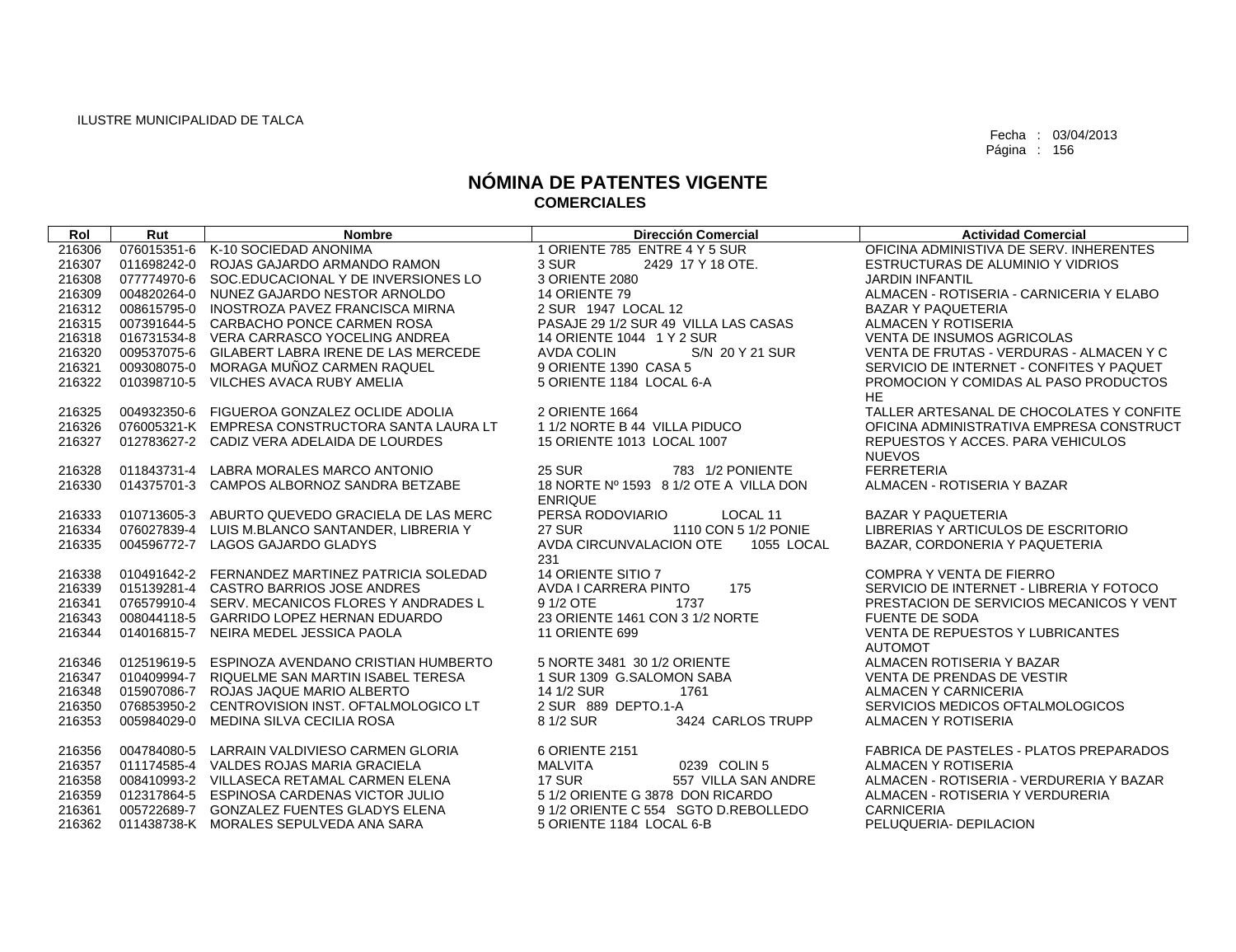| Rol    | Rut | <b>Nombre</b>                                   | <b>Dirección Comercial</b>             | <b>Actividad Comercial</b>                                       |
|--------|-----|-------------------------------------------------|----------------------------------------|------------------------------------------------------------------|
| 216306 |     | 076015351-6 K-10 SOCIEDAD ANONIMA               | 1 ORIENTE 785 ENTRE 4 Y 5 SUR          | OFICINA ADMINISTIVA DE SERV. INHERENTES                          |
| 216307 |     | 011698242-0 ROJAS GAJARDO ARMANDO RAMON         | 3 SUR<br>2429 17 Y 18 OTE.             | ESTRUCTURAS DE ALUMINIO Y VIDRIOS                                |
| 216308 |     | 077774970-6 SOC.EDUCACIONAL Y DE INVERSIONES LO | 3 ORIENTE 2080                         | <b>JARDIN INFANTIL</b>                                           |
| 216309 |     | 004820264-0 NUNEZ GAJARDO NESTOR ARNOLDO        | 14 ORIENTE 79                          | ALMACEN - ROTISERIA - CARNICERIA Y ELABO                         |
| 216312 |     | 008615795-0 INOSTROZA PAVEZ FRANCISCA MIRNA     | 2 SUR 1947 LOCAL 12                    | <b>BAZAR Y PAQUETERIA</b>                                        |
| 216315 |     | 007391644-5 CARBACHO PONCE CARMEN ROSA          | PASAJE 29 1/2 SUR 49 VILLA LAS CASAS   | ALMACEN Y ROTISERIA                                              |
| 216318 |     | 016731534-8 VERA CARRASCO YOCELING ANDREA       | 14 ORIENTE 1044 1 Y 2 SUR              | <b>VENTA DE INSUMOS AGRICOLAS</b>                                |
| 216320 |     | 009537075-6 GILABERT LABRA IRENE DE LAS MERCEDE | S/N 20 Y 21 SUR<br>AVDA COLIN          | VENTA DE FRUTAS - VERDURAS - ALMACEN Y C                         |
| 216321 |     | 009308075-0 MORAGA MUÑOZ CARMEN RAQUEL          | 9 ORIENTE 1390 CASA 5                  | SERVICIO DE INTERNET - CONFITES Y PAQUET                         |
| 216322 |     | 010398710-5 VILCHES AVACA RUBY AMELIA           | 5 ORIENTE 1184 LOCAL 6-A               | PROMOCION Y COMIDAS AL PASO PRODUCTOS                            |
|        |     |                                                 |                                        | HE.                                                              |
| 216325 |     | 004932350-6 FIGUEROA GONZALEZ OCLIDE ADOLIA     | 2 ORIENTE 1664                         | TALLER ARTESANAL DE CHOCOLATES Y CONFITE                         |
| 216326 |     | 076005321-K EMPRESA CONSTRUCTORA SANTA LAURA LT | 1 1/2 NORTE B 44 VILLA PIDUCO          | OFICINA ADMINISTRATIVA EMPRESA CONSTRUCT                         |
| 216327 |     | 012783627-2 CADIZ VERA ADELAIDA DE LOURDES      | 15 ORIENTE 1013 LOCAL 1007             | REPUESTOS Y ACCES. PARA VEHICULOS                                |
|        |     |                                                 |                                        | <b>NUEVOS</b>                                                    |
| 216328 |     | 011843731-4 LABRA MORALES MARCO ANTONIO         | <b>25 SUR</b><br>783 1/2 PONIENTE      | <b>FERRETERIA</b>                                                |
| 216330 |     | 014375701-3 CAMPOS ALBORNOZ SANDRA BETZABE      | 18 NORTE Nº 1593 8 1/2 OTE A VILLA DON | ALMACEN - ROTISERIA Y BAZAR                                      |
|        |     |                                                 | <b>ENRIQUE</b>                         |                                                                  |
| 216333 |     | 010713605-3 ABURTO QUEVEDO GRACIELA DE LAS MERC | PERSA RODOVIARIO<br>LOCAL 11           | <b>BAZAR Y PAQUETERIA</b>                                        |
| 216334 |     | 076027839-4 LUIS M.BLANCO SANTANDER, LIBRERIA Y | <b>27 SUR</b><br>1110 CON 5 1/2 PONIE  | LIBRERIAS Y ARTICULOS DE ESCRITORIO                              |
| 216335 |     | 004596772-7 LAGOS GAJARDO GLADYS                | AVDA CIRCUNVALACION OTE 1055 LOCAL     | BAZAR, CORDONERIA Y PAQUETERIA                                   |
|        |     |                                                 | 231                                    |                                                                  |
| 216338 |     | 010491642-2 FERNANDEZ MARTINEZ PATRICIA SOLEDAD | 14 ORIENTE SITIO 7                     | <b>COMPRA Y VENTA DE FIERRO</b>                                  |
| 216339 |     | 015139281-4 CASTRO BARRIOS JOSE ANDRES          | 175<br>AVDA I CARRERA PINTO<br>1737    | SERVICIO DE INTERNET - LIBRERIA Y FOTOCO                         |
| 216341 |     | 076579910-4 SERV. MECANICOS FLORES Y ANDRADES L | 9 1/2 OTE                              | PRESTACION DE SERVICIOS MECANICOS Y VENT                         |
| 216343 |     | 008044118-5 GARRIDO LOPEZ HERNAN EDUARDO        | 23 ORIENTE 1461 CON 3 1/2 NORTE        | <b>FUENTE DE SODA</b><br><b>VENTA DE REPUESTOS Y LUBRICANTES</b> |
| 216344 |     | 014016815-7 NEIRA MEDEL JESSICA PAOLA           | 11 ORIENTE 699                         | <b>AUTOMOT</b>                                                   |
| 216346 |     | 012519619-5 ESPINOZA AVENDANO CRISTIAN HUMBERTO | 5 NORTE 3481 30 1/2 ORIENTE            | ALMACEN ROTISERIA Y BAZAR                                        |
| 216347 |     | 010409994-7 RIQUELME SAN MARTIN ISABEL TERESA   | 1 SUR 1309 G.SALOMON SABA              | VENTA DE PRENDAS DE VESTIR                                       |
| 216348 |     | 015907086-7 ROJAS JAQUE MARIO ALBERTO           | 14 1/2 SUR<br>1761                     | ALMACEN Y CARNICERIA                                             |
| 216350 |     | 076853950-2 CENTROVISION INST. OFTALMOLOGICO LT | 2 SUR 889 DEPTO.1-A                    | SERVICIOS MEDICOS OFTALMOLOGICOS                                 |
| 216353 |     | 005984029-0 MEDINA SILVA CECILIA ROSA           | 8 1/2 SUR<br>3424 CARLOS TRUPP         | ALMACEN Y ROTISERIA                                              |
|        |     |                                                 |                                        |                                                                  |
| 216356 |     | 004784080-5 LARRAIN VALDIVIESO CARMEN GLORIA    | 6 ORIENTE 2151                         | <b>FABRICA DE PASTELES - PLATOS PREPARADOS</b>                   |
| 216357 |     | 011174585-4 VALDES ROJAS MARIA GRACIELA         | MALVITA<br>0239 COLIN 5                | <b>ALMACEN Y ROTISERIA</b>                                       |
| 216358 |     | 008410993-2 VILLASECA RETAMAL CARMEN ELENA      | <b>17 SUR</b><br>557 VILLA SAN ANDRE   | ALMACEN - ROTISERIA - VERDURERIA Y BAZAR                         |
| 216359 |     | 012317864-5 ESPINOSA CARDENAS VICTOR JULIO      | 5 1/2 ORIENTE G 3878 DON RICARDO       | ALMACEN - ROTISERIA Y VERDURERIA                                 |
| 216361 |     | 005722689-7 GONZALEZ FUENTES GLADYS ELENA       | 9 1/2 ORIENTE C 554 SGTO D.REBOLLEDO   | <b>CARNICERIA</b>                                                |
|        |     | 216362 011438738-K MORALES SEPULVEDA ANA SARA   | 5 ORIENTE 1184 LOCAL 6-B               | PELUQUERIA- DEPILACION                                           |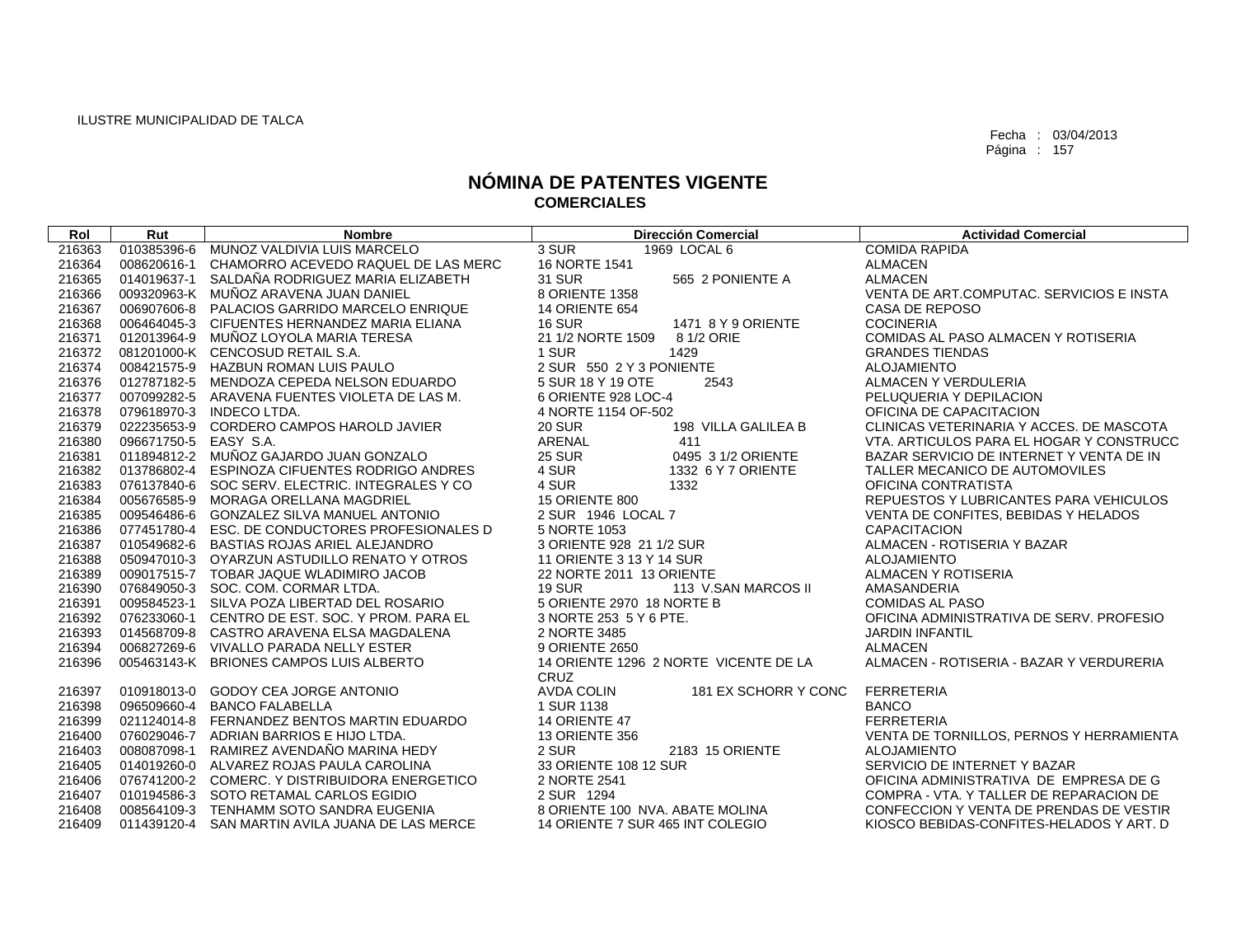| Rol    | Rut         | <b>Nombre</b>                                   | <b>Dirección Comercial</b>                    | <b>Actividad Comercial</b>               |
|--------|-------------|-------------------------------------------------|-----------------------------------------------|------------------------------------------|
| 216363 | 010385396-6 | MUNOZ VALDIVIA LUIS MARCELO                     | 3 SUR<br>1969 LOCAL 6                         | <b>COMIDA RAPIDA</b>                     |
| 216364 | 008620616-1 | CHAMORRO ACEVEDO RAQUEL DE LAS MERC             | 16 NORTE 1541                                 | <b>ALMACEN</b>                           |
| 216365 |             | 014019637-1 SALDAÑA RODRIGUEZ MARIA ELIZABETH   | <b>31 SUR</b><br>565 2 PONIENTE A             | <b>ALMACEN</b>                           |
| 216366 |             | 009320963-K MUÑOZ ARAVENA JUAN DANIEL           | 8 ORIENTE 1358                                | VENTA DE ART.COMPUTAC. SERVICIOS E INSTA |
| 216367 |             | 006907606-8 PALACIOS GARRIDO MARCELO ENRIQUE    | <b>14 ORIENTE 654</b>                         | CASA DE REPOSO                           |
| 216368 |             | 006464045-3 CIFUENTES HERNANDEZ MARIA ELIANA    | <b>16 SUR</b><br>1471 8 Y 9 ORIENTE           | <b>COCINERIA</b>                         |
| 216371 |             | 012013964-9 MUÑOZ LOYOLA MARIA TERESA           | 21 1/2 NORTE 1509<br>8 1/2 ORIE               | COMIDAS AL PASO ALMACEN Y ROTISERIA      |
| 216372 |             | 081201000-K CENCOSUD RETAIL S.A.                | 1 SUR<br>1429                                 | <b>GRANDES TIENDAS</b>                   |
| 216374 |             | 008421575-9 HAZBUN ROMAN LUIS PAULO             | 2 SUR 550 2 Y 3 PONIENTE                      | <b>ALOJAMIENTO</b>                       |
| 216376 |             | 012787182-5 MENDOZA CEPEDA NELSON EDUARDO       | 5 SUR 18 Y 19 OTE<br>2543                     | ALMACEN Y VERDULERIA                     |
| 216377 |             | 007099282-5 ARAVENA FUENTES VIOLETA DE LAS M.   | 6 ORIENTE 928 LOC-4                           | PELUQUERIA Y DEPILACION                  |
| 216378 |             | 079618970-3 INDECO LTDA.                        | 4 NORTE 1154 OF-502                           | OFICINA DE CAPACITACION                  |
| 216379 |             | 022235653-9 CORDERO CAMPOS HAROLD JAVIER        | <b>20 SUR</b><br>198 VILLA GALILEA B          | CLINICAS VETERINARIA Y ACCES. DE MASCOTA |
| 216380 | 096671750-5 | EASY S.A.                                       | ARENAL<br>411                                 | VTA, ARTICULOS PARA EL HOGAR Y CONSTRUCC |
| 216381 |             | 011894812-2 MUÑOZ GAJARDO JUAN GONZALO          | <b>25 SUR</b><br>0495 3 1/2 ORIENTE           | BAZAR SERVICIO DE INTERNET Y VENTA DE IN |
| 216382 |             | 013786802-4 ESPINOZA CIFUENTES RODRIGO ANDRES   | 4 SUR<br>1332 6 Y 7 ORIENTE                   | TALLER MECANICO DE AUTOMOVILES           |
| 216383 |             | 076137840-6 SOC SERV. ELECTRIC. INTEGRALES Y CO | 4 SUR<br>1332                                 | OFICINA CONTRATISTA                      |
| 216384 |             | 005676585-9 MORAGA ORELLANA MAGDRIEL            | 15 ORIENTE 800                                | REPUESTOS Y LUBRICANTES PARA VEHICULOS   |
| 216385 |             | 009546486-6 GONZALEZ SILVA MANUEL ANTONIO       | 2 SUR 1946 LOCAL 7                            | VENTA DE CONFITES, BEBIDAS Y HELADOS     |
| 216386 |             | 077451780-4 ESC. DE CONDUCTORES PROFESIONALES D | 5 NORTE 1053                                  | <b>CAPACITACION</b>                      |
| 216387 |             | 010549682-6 BASTIAS ROJAS ARIEL ALEJANDRO       | 3 ORIENTE 928 21 1/2 SUR                      | ALMACEN - ROTISERIA Y BAZAR              |
| 216388 |             | 050947010-3 OYARZUN ASTUDILLO RENATO Y OTROS    | 11 ORIENTE 3 13 Y 14 SUR                      | <b>ALOJAMIENTO</b>                       |
| 216389 |             | 009017515-7 TOBAR JAQUE WLADIMIRO JACOB         | 22 NORTE 2011 13 ORIENTE                      | ALMACEN Y ROTISERIA                      |
| 216390 |             | 076849050-3 SOC. COM. CORMAR LTDA.              | <b>19 SUR</b><br>113 V.SAN MARCOS II          | AMASANDERIA                              |
| 216391 |             | 009584523-1 SILVA POZA LIBERTAD DEL ROSARIO     | 5 ORIENTE 2970 18 NORTE B                     | <b>COMIDAS AL PASO</b>                   |
| 216392 |             | 076233060-1 CENTRO DE EST, SOC, Y PROM, PARA EL | 3 NORTE 253 5 Y 6 PTE.                        | OFICINA ADMINISTRATIVA DE SERV. PROFESIO |
| 216393 |             | 014568709-8 CASTRO ARAVENA ELSA MAGDALENA       | 2 NORTE 3485                                  | <b>JARDIN INFANTIL</b>                   |
| 216394 |             | 006827269-6 VIVALLO PARADA NELLY ESTER          | 9 ORIENTE 2650                                | <b>ALMACEN</b>                           |
| 216396 |             | 005463143-K BRIONES CAMPOS LUIS ALBERTO         | 14 ORIENTE 1296 2 NORTE VICENTE DE LA<br>CRUZ | ALMACEN - ROTISERIA - BAZAR Y VERDURERIA |
| 216397 |             | 010918013-0 GODOY CEA JORGE ANTONIO             | <b>AVDA COLIN</b><br>181 EX SCHORR Y CONC     | <b>FERRETERIA</b>                        |
| 216398 | 096509660-4 | <b>BANCO FALABELLA</b>                          | 1 SUR 1138                                    | <b>BANCO</b>                             |
| 216399 |             | 021124014-8 FERNANDEZ BENTOS MARTIN EDUARDO     | 14 ORIENTE 47                                 | <b>FERRETERIA</b>                        |
| 216400 |             | 076029046-7 ADRIAN BARRIOS E HIJO LTDA.         | <b>13 ORIENTE 356</b>                         | VENTA DE TORNILLOS, PERNOS Y HERRAMIENTA |
| 216403 |             | 008087098-1 RAMIREZ AVENDAÑO MARINA HEDY        | 2 SUR<br>2183 15 ORIENTE                      | <b>ALOJAMIENTO</b>                       |
| 216405 |             | 014019260-0 ALVAREZ ROJAS PAULA CAROLINA        | 33 ORIENTE 108 12 SUR                         | SERVICIO DE INTERNET Y BAZAR             |
| 216406 |             | 076741200-2 COMERC. Y DISTRIBUIDORA ENERGETICO  | 2 NORTE 2541                                  | OFICINA ADMINISTRATIVA DE EMPRESA DE G   |
| 216407 |             | 010194586-3 SOTO RETAMAL CARLOS EGIDIO          | 2 SUR 1294                                    | COMPRA - VTA. Y TALLER DE REPARACION DE  |
| 216408 |             | 008564109-3 TENHAMM SOTO SANDRA EUGENIA         | 8 ORIENTE 100 NVA, ABATE MOLINA               | CONFECCION Y VENTA DE PRENDAS DE VESTIR  |
| 216409 |             | 011439120-4 SAN MARTIN AVILA JUANA DE LAS MERCE | 14 ORIENTE 7 SUR 465 INT COLEGIO              | KIOSCO BEBIDAS-CONFITES-HELADOS Y ART. D |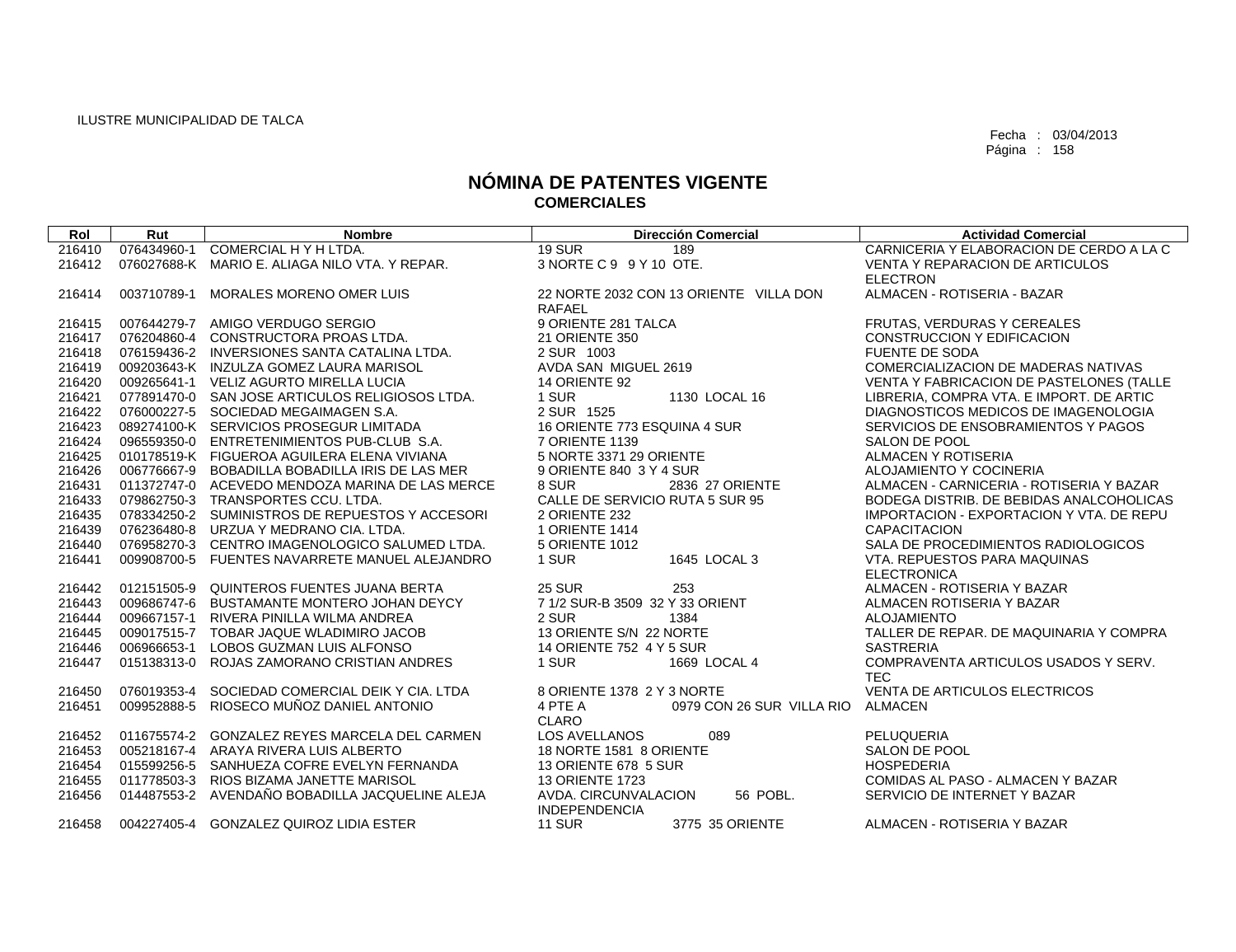| Rol    | Rut         | <b>Nombre</b>                                   | <b>Dirección Comercial</b>             | <b>Actividad Comercial</b>                      |
|--------|-------------|-------------------------------------------------|----------------------------------------|-------------------------------------------------|
| 216410 | 076434960-1 | COMERCIAL H Y H LTDA.                           | <b>19 SUR</b><br>189                   | CARNICERIA Y ELABORACION DE CERDO A LA C        |
| 216412 |             | 076027688-K MARIO E. ALIAGA NILO VTA. Y REPAR.  | 3 NORTE C 9 9 Y 10 OTE.                | <b>VENTA Y REPARACION DE ARTICULOS</b>          |
|        |             |                                                 |                                        | <b>ELECTRON</b>                                 |
| 216414 | 003710789-1 | MORALES MORENO OMER LUIS                        | 22 NORTE 2032 CON 13 ORIENTE VILLA DON | ALMACEN - ROTISERIA - BAZAR                     |
|        |             |                                                 | RAFAEL                                 |                                                 |
| 216415 |             | 007644279-7 AMIGO VERDUGO SERGIO                | 9 ORIENTE 281 TALCA                    | FRUTAS, VERDURAS Y CEREALES                     |
| 216417 |             | 076204860-4 CONSTRUCTORA PROAS LTDA.            | 21 ORIENTE 350                         | <b>CONSTRUCCION Y EDIFICACION</b>               |
| 216418 |             | 076159436-2 INVERSIONES SANTA CATALINA LTDA.    | 2 SUR 1003                             | <b>FUENTE DE SODA</b>                           |
| 216419 |             | 009203643-K INZULZA GOMEZ LAURA MARISOL         | AVDA SAN MIGUEL 2619                   | COMERCIALIZACION DE MADERAS NATIVAS             |
| 216420 |             | 009265641-1 VELIZ AGURTO MIRELLA LUCIA          | 14 ORIENTE 92                          | VENTA Y FABRICACION DE PASTELONES (TALLE        |
| 216421 |             | 077891470-0 SAN JOSE ARTICULOS RELIGIOSOS LTDA. | 1 SUR<br>1130 LOCAL 16                 | LIBRERIA, COMPRA VTA. E IMPORT. DE ARTIC        |
| 216422 |             | 076000227-5 SOCIEDAD MEGAIMAGEN S.A.            | 2 SUR 1525                             | DIAGNOSTICOS MEDICOS DE IMAGENOLOGIA            |
| 216423 |             | 089274100-K SERVICIOS PROSEGUR LIMITADA         | 16 ORIENTE 773 ESQUINA 4 SUR           | SERVICIOS DE ENSOBRAMIENTOS Y PAGOS             |
| 216424 |             | 096559350-0 ENTRETENIMIENTOS PUB-CLUB S.A.      | 7 ORIENTE 1139                         | SALON DE POOL                                   |
| 216425 |             | 010178519-K FIGUEROA AGUILERA ELENA VIVIANA     | 5 NORTE 3371 29 ORIENTE                | ALMACEN Y ROTISERIA                             |
| 216426 |             | 006776667-9 BOBADILLA BOBADILLA IRIS DE LAS MER | 9 ORIENTE 840 3 Y 4 SUR                | ALOJAMIENTO Y COCINERIA                         |
| 216431 |             | 011372747-0 ACEVEDO MENDOZA MARINA DE LAS MERCE | 8 SUR<br>2836 27 ORIENTE               | ALMACEN - CARNICERIA - ROTISERIA Y BAZAR        |
| 216433 |             | 079862750-3 TRANSPORTES CCU. LTDA.              | CALLE DE SERVICIO RUTA 5 SUR 95        | BODEGA DISTRIB. DE BEBIDAS ANALCOHOLICAS        |
| 216435 |             | 078334250-2 SUMINISTROS DE REPUESTOS Y ACCESORI | 2 ORIENTE 232                          | <b>IMPORTACION - EXPORTACION Y VTA. DE REPU</b> |
| 216439 |             | 076236480-8 URZUA Y MEDRANO CIA, LTDA.          | <b>1 ORIENTE 1414</b>                  | <b>CAPACITACION</b>                             |
| 216440 |             | 076958270-3 CENTRO IMAGENOLOGICO SALUMED LTDA.  | 5 ORIENTE 1012                         | SALA DE PROCEDIMIENTOS RADIOLOGICOS             |
| 216441 |             | 009908700-5 FUENTES NAVARRETE MANUEL ALEJANDRO  | 1 SUR<br>1645 LOCAL 3                  | VTA. REPUESTOS PARA MAQUINAS                    |
|        |             |                                                 |                                        | <b>ELECTRONICA</b>                              |
| 216442 |             | 012151505-9 QUINTEROS FUENTES JUANA BERTA       | <b>25 SUR</b><br>253                   | ALMACEN - ROTISERIA Y BAZAR                     |
| 216443 |             | 009686747-6 BUSTAMANTE MONTERO JOHAN DEYCY      | 7 1/2 SUR-B 3509 32 Y 33 ORIENT        | ALMACEN ROTISERIA Y BAZAR                       |
| 216444 |             | 009667157-1 RIVERA PINILLA WILMA ANDREA         | 2 SUR<br>1384                          | <b>ALOJAMIENTO</b>                              |
| 216445 |             | 009017515-7 TOBAR JAQUE WLADIMIRO JACOB         | 13 ORIENTE S/N 22 NORTE                | TALLER DE REPAR. DE MAQUINARIA Y COMPRA         |
| 216446 |             | 006966653-1 LOBOS GUZMAN LUIS ALFONSO           | 14 ORIENTE 752 4 Y 5 SUR               | <b>SASTRERIA</b>                                |
| 216447 |             | 015138313-0 ROJAS ZAMORANO CRISTIAN ANDRES      | 1669 LOCAL 4<br>1 SUR                  | COMPRAVENTA ARTICULOS USADOS Y SERV.            |
|        |             |                                                 |                                        | <b>TEC</b>                                      |
| 216450 |             | 076019353-4 SOCIEDAD COMERCIAL DEIK Y CIA. LTDA | 8 ORIENTE 1378 2 Y 3 NORTE             | VENTA DE ARTICULOS ELECTRICOS                   |
| 216451 |             | 009952888-5 RIOSECO MUÑOZ DANIEL ANTONIO        | 4 PTE A<br>0979 CON 26 SUR VILLA RIO   | ALMACEN                                         |
|        |             |                                                 | <b>CLARO</b>                           |                                                 |
| 216452 |             | 011675574-2 GONZALEZ REYES MARCELA DEL CARMEN   | <b>LOS AVELLANOS</b><br>089            | <b>PELUQUERIA</b>                               |
| 216453 |             | 005218167-4 ARAYA RIVERA LUIS ALBERTO           | 18 NORTE 1581 8 ORIENTE                | SALON DE POOL                                   |
| 216454 |             | 015599256-5 SANHUEZA COFRE EVELYN FERNANDA      | 13 ORIENTE 678 5 SUR                   | <b>HOSPEDERIA</b>                               |
| 216455 |             | 011778503-3 RIOS BIZAMA JANETTE MARISOL         | <b>13 ORIENTE 1723</b>                 | COMIDAS AL PASO - ALMACEN Y BAZAR               |
| 216456 |             | 014487553-2 AVENDAÑO BOBADILLA JACQUELINE ALEJA | 56 POBL.<br>AVDA. CIRCUNVALACION       | SERVICIO DE INTERNET Y BAZAR                    |
|        |             |                                                 | <b>INDEPENDENCIA</b>                   |                                                 |
| 216458 |             | 004227405-4 GONZALEZ QUIROZ LIDIA ESTER         | <b>11 SUR</b><br>3775 35 ORIENTE       | ALMACEN - ROTISERIA Y BAZAR                     |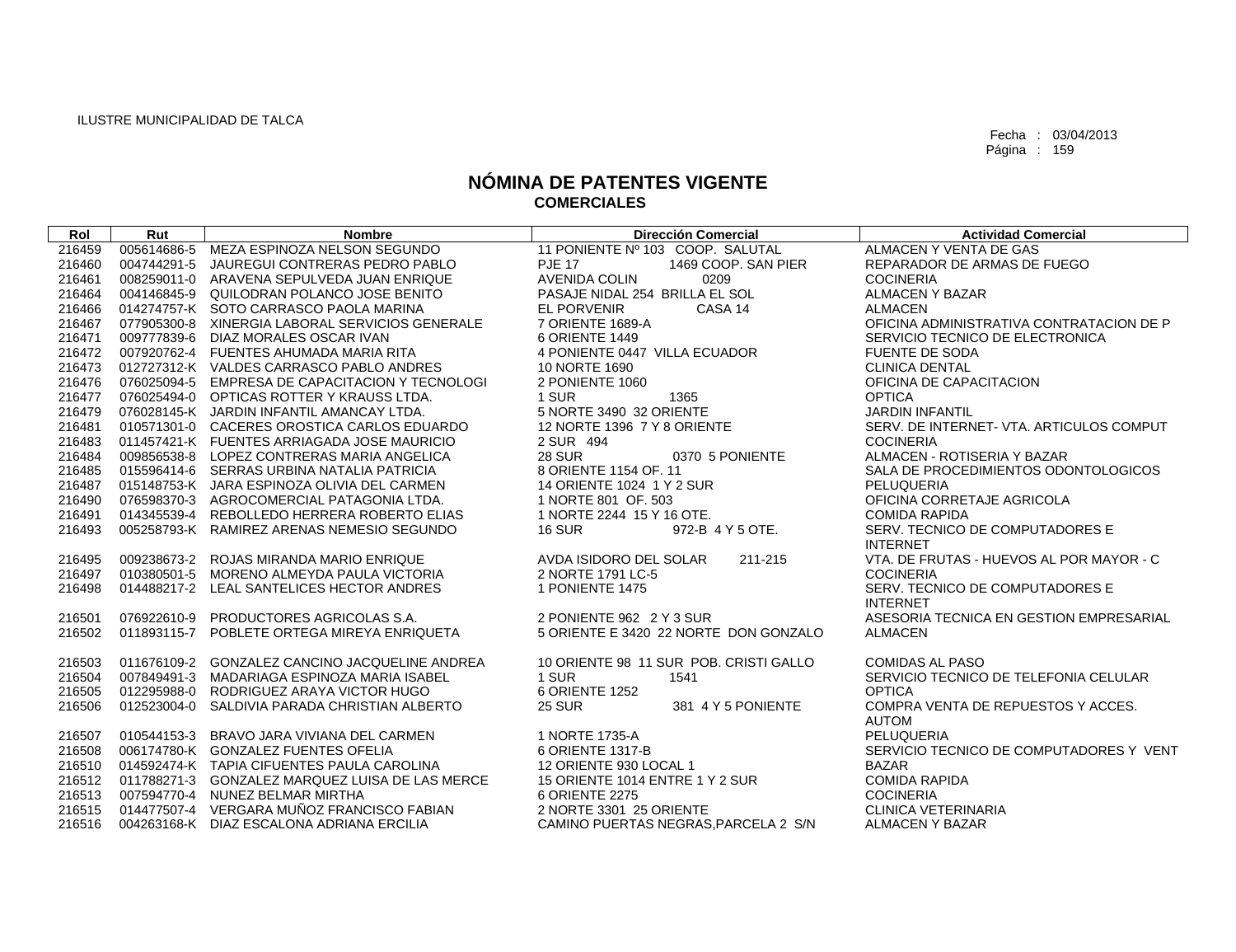| Rol    | Rut         | <b>Nombre</b>                                     | <b>Dirección Comercial</b>             | <b>Actividad Comercial</b>               |
|--------|-------------|---------------------------------------------------|----------------------------------------|------------------------------------------|
| 216459 |             | 005614686-5 MEZA ESPINOZA NELSON SEGUNDO          | 11 PONIENTE Nº 103 COOP. SALUTAL       | ALMACEN Y VENTA DE GAS                   |
| 216460 |             | 004744291-5 JAUREGUI CONTRERAS PEDRO PABLO        | <b>PJE 17</b><br>1469 COOP, SAN PIER   | REPARADOR DE ARMAS DE FUEGO              |
| 216461 |             | 008259011-0 ARAVENA SEPULVEDA JUAN ENRIQUE        | AVENIDA COLIN<br>0209                  | <b>COCINERIA</b>                         |
| 216464 |             | 004146845-9 QUILODRAN POLANCO JOSE BENITO         | PASAJE NIDAL 254 BRILLA EL SOL         | <b>ALMACEN Y BAZAR</b>                   |
| 216466 |             | 014274757-K SOTO CARRASCO PAOLA MARINA            | <b>EL PORVENIR</b><br>CASA 14          | <b>ALMACEN</b>                           |
| 216467 |             | 077905300-8 XINERGIA LABORAL SERVICIOS GENERALE   | 7 ORIENTE 1689-A                       | OFICINA ADMINISTRATIVA CONTRATACION DE P |
| 216471 |             | 009777839-6 DIAZ MORALES OSCAR IVAN               | 6 ORIENTE 1449                         | SERVICIO TECNICO DE ELECTRONICA          |
| 216472 |             | 007920762-4 FUENTES AHUMADA MARIA RITA            | 4 PONIENTE 0447 VILLA ECUADOR          | <b>FUENTE DE SODA</b>                    |
| 216473 |             | 012727312-K VALDES CARRASCO PABLO ANDRES          | 10 NORTE 1690                          | <b>CLINICA DENTAL</b>                    |
| 216476 |             | 076025094-5 EMPRESA DE CAPACITACION Y TECNOLOGI   | 2 PONIENTE 1060                        | OFICINA DE CAPACITACION                  |
| 216477 |             | 076025494-0 OPTICAS ROTTER Y KRAUSS LTDA.         | 1 SUR<br>1365                          | <b>OPTICA</b>                            |
| 216479 |             | 076028145-K JARDIN INFANTIL AMANCAY LTDA.         | 5 NORTE 3490 32 ORIENTE                | <b>JARDIN INFANTIL</b>                   |
| 216481 |             | 010571301-0 CACERES OROSTICA CARLOS EDUARDO       | 12 NORTE 1396 7 Y 8 ORIENTE            | SERV. DE INTERNET- VTA. ARTICULOS COMPUT |
| 216483 |             | 011457421-K FUENTES ARRIAGADA JOSE MAURICIO       | 2 SUR 494                              | <b>COCINERIA</b>                         |
| 216484 |             | 009856538-8 LOPEZ CONTRERAS MARIA ANGELICA        | <b>28 SUR</b><br>0370 5 PONIENTE       | ALMACEN - ROTISERIA Y BAZAR              |
| 216485 |             | 015596414-6 SERRAS URBINA NATALIA PATRICIA        | 8 ORIENTE 1154 OF, 11                  | SALA DE PROCEDIMIENTOS ODONTOLOGICOS     |
| 216487 |             | 015148753-K JARA ESPINOZA OLIVIA DEL CARMEN       | 14 ORIENTE 1024 1 Y 2 SUR              | PELUQUERIA                               |
| 216490 |             | 076598370-3 AGROCOMERCIAL PATAGONIA LTDA.         | 1 NORTE 801 OF, 503                    | OFICINA CORRETAJE AGRICOLA               |
| 216491 |             | 014345539-4 REBOLLEDO HERRERA ROBERTO ELIAS       | 1 NORTE 2244 15 Y 16 OTE.              | <b>COMIDA RAPIDA</b>                     |
| 216493 |             | 005258793-K RAMIREZ ARENAS NEMESIO SEGUNDO        | <b>16 SUR</b><br>972-B 4 Y 5 OTE.      | SERV. TECNICO DE COMPUTADORES E          |
|        |             |                                                   |                                        | <b>INTERNET</b>                          |
| 216495 |             | 009238673-2 ROJAS MIRANDA MARIO ENRIQUE           | AVDA ISIDORO DEL SOLAR<br>211-215      | VTA, DE FRUTAS - HUEVOS AL POR MAYOR - C |
| 216497 |             | 010380501-5 MORENO ALMEYDA PAULA VICTORIA         | 2 NORTE 1791 LC-5                      | <b>COCINERIA</b>                         |
| 216498 |             | 014488217-2 LEAL SANTELICES HECTOR ANDRES         | 1 PONIENTE 1475                        | SERV. TECNICO DE COMPUTADORES E          |
|        |             |                                                   |                                        | <b>INTERNET</b>                          |
| 216501 |             | 076922610-9 PRODUCTORES AGRICOLAS S.A.            | 2 PONIENTE 962 2 Y 3 SUR               | ASESORIA TECNICA EN GESTION EMPRESARIAL  |
| 216502 |             | 011893115-7 POBLETE ORTEGA MIREYA ENRIQUETA       | 5 ORIENTE E 3420 22 NORTE DON GONZALO  | <b>ALMACEN</b>                           |
|        |             |                                                   |                                        |                                          |
| 216503 |             | 011676109-2 GONZALEZ CANCINO JACQUELINE ANDREA    | 10 ORIENTE 98 11 SUR POB. CRISTI GALLO | <b>COMIDAS AL PASO</b>                   |
| 216504 |             | 007849491-3 MADARIAGA ESPINOZA MARIA ISABEL       | 1 SUR<br>1541                          | SERVICIO TECNICO DE TELEFONIA CELULAR    |
| 216505 |             | 012295988-0 RODRIGUEZ ARAYA VICTOR HUGO           | 6 ORIENTE 1252                         | <b>OPTICA</b>                            |
| 216506 | 012523004-0 | SALDIVIA PARADA CHRISTIAN ALBERTO                 | <b>25 SUR</b><br>381 4 Y 5 PONIENTE    | COMPRA VENTA DE REPUESTOS Y ACCES.       |
|        |             |                                                   |                                        | <b>AUTOM</b>                             |
| 216507 |             | 010544153-3 BRAVO JARA VIVIANA DEL CARMEN         | 1 NORTE 1735-A                         | PELUQUERIA                               |
| 216508 |             | 006174780-K GONZALEZ FUENTES OFELIA               | 6 ORIENTE 1317-B                       | SERVICIO TECNICO DE COMPUTADORES Y VENT  |
| 216510 |             | 014592474-K TAPIA CIFUENTES PAULA CAROLINA        | 12 ORIENTE 930 LOCAL 1                 | <b>BAZAR</b>                             |
| 216512 |             | 011788271-3 GONZALEZ MARQUEZ LUISA DE LAS MERCE   | 15 ORIENTE 1014 ENTRE 1 Y 2 SUR        | <b>COMIDA RAPIDA</b>                     |
| 216513 |             | 007594770-4 NUNEZ BELMAR MIRTHA                   | 6 ORIENTE 2275                         | <b>COCINERIA</b>                         |
|        |             | 216515 014477507-4 VERGARA MUÑOZ FRANCISCO FABIAN | 2 NORTE 3301 25 ORIENTE                | <b>CLINICA VETERINARIA</b>               |
|        |             | 216516 004263168-K DIAZ ESCALONA ADRIANA ERCILIA  | CAMINO PUERTAS NEGRAS.PARCELA 2 S/N    | <b>ALMACEN Y BAZAR</b>                   |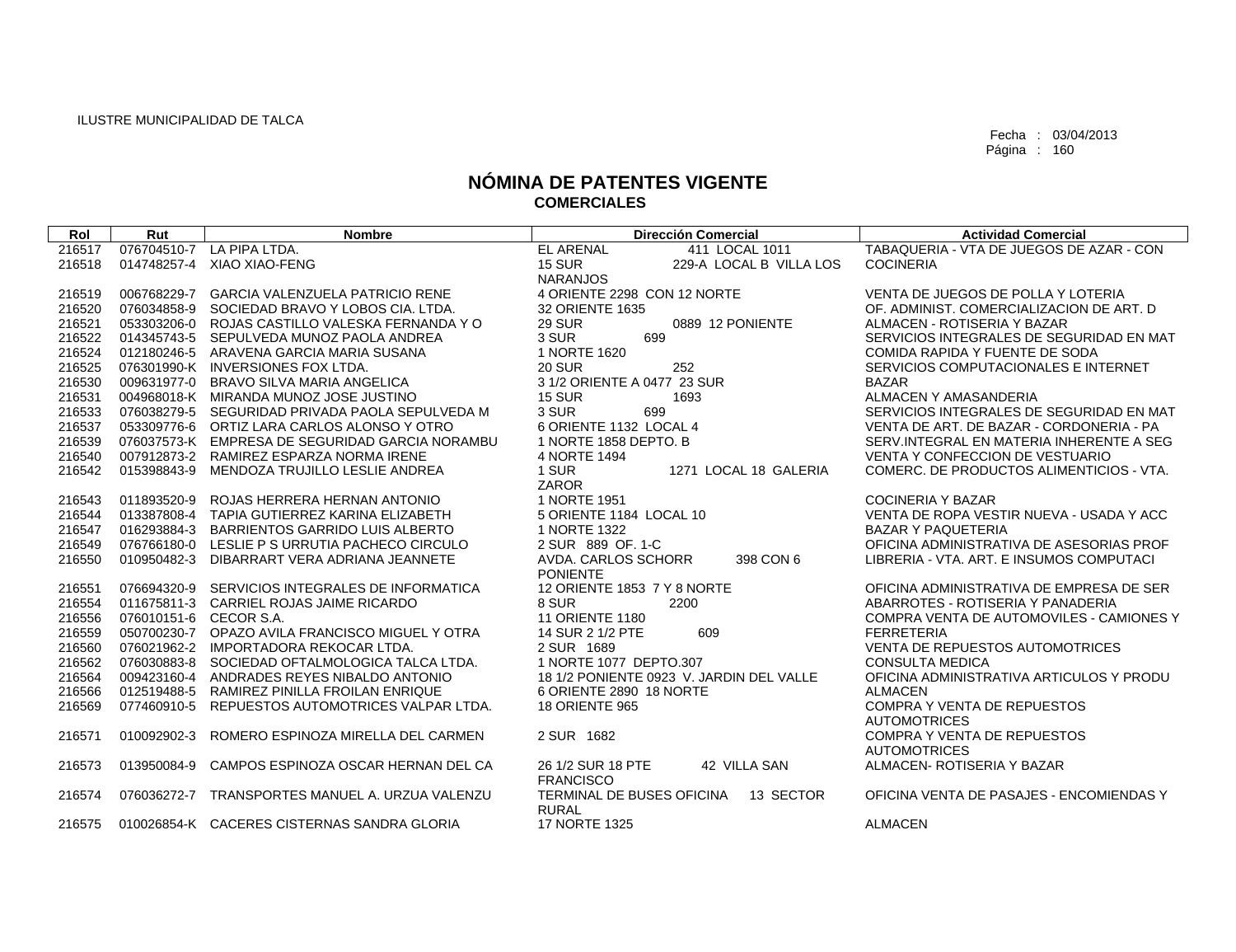| Rol    | Rut                    | <b>Nombre</b>                                   | <b>Dirección Comercial</b>               | <b>Actividad Comercial</b>                |
|--------|------------------------|-------------------------------------------------|------------------------------------------|-------------------------------------------|
| 216517 | 076704510-7            | LA PIPA LTDA.                                   | <b>EL ARENAL</b><br>411 LOCAL 1011       | TABAQUERIA - VTA DE JUEGOS DE AZAR - CON  |
| 216518 | 014748257-4            | XIAO XIAO-FENG                                  | <b>15 SUR</b><br>229-A LOCAL B VILLA LOS | <b>COCINERIA</b>                          |
|        |                        |                                                 | <b>NARANJOS</b>                          |                                           |
| 216519 | 006768229-7            | <b>GARCIA VALENZUELA PATRICIO RENE</b>          | 4 ORIENTE 2298 CON 12 NORTE              | VENTA DE JUEGOS DE POLLA Y LOTERIA        |
| 216520 |                        | 076034858-9 SOCIEDAD BRAVO Y LOBOS CIA, LTDA.   | 32 ORIENTE 1635                          | OF, ADMINIST, COMERCIALIZACION DE ART, D. |
| 216521 |                        | 053303206-0 ROJAS CASTILLO VALESKA FERNANDA Y O | <b>29 SUR</b><br>0889 12 PONIENTE        | ALMACEN - ROTISERIA Y BAZAR               |
| 216522 |                        | 014345743-5 SEPULVEDA MUNOZ PAOLA ANDREA        | 3 SUR<br>699                             | SERVICIOS INTEGRALES DE SEGURIDAD EN MAT  |
| 216524 |                        | 012180246-5 ARAVENA GARCIA MARIA SUSANA         | 1 NORTE 1620                             | COMIDA RAPIDA Y FUENTE DE SODA            |
| 216525 |                        | 076301990-K INVERSIONES FOX LTDA.               | 252<br><b>20 SUR</b>                     | SERVICIOS COMPUTACIONALES E INTERNET      |
| 216530 | 009631977-0            | <b>BRAVO SILVA MARIA ANGELICA</b>               | 3 1/2 ORIENTE A 0477 23 SUR              | <b>BAZAR</b>                              |
| 216531 |                        | 004968018-K MIRANDA MUNOZ JOSE JUSTINO          | <b>15 SUR</b><br>1693                    | ALMACEN Y AMASANDERIA                     |
| 216533 |                        | 076038279-5 SEGURIDAD PRIVADA PAOLA SEPULVEDA M | 3 SUR<br>699                             | SERVICIOS INTEGRALES DE SEGURIDAD EN MAT  |
| 216537 |                        | 053309776-6 ORTIZ LARA CARLOS ALONSO Y OTRO     | 6 ORIENTE 1132 LOCAL 4                   | VENTA DE ART. DE BAZAR - CORDONERIA - PA  |
| 216539 |                        | 076037573-K EMPRESA DE SEGURIDAD GARCIA NORAMBU | 1 NORTE 1858 DEPTO, B                    | SERV. INTEGRAL EN MATERIA INHERENTE A SEG |
| 216540 |                        | 007912873-2 RAMIREZ ESPARZA NORMA IRENE         | 4 NORTE 1494                             | <b>VENTA Y CONFECCION DE VESTUARIO</b>    |
| 216542 | 015398843-9            | MENDOZA TRUJILLO LESLIE ANDREA                  | 1 SUR<br>1271 LOCAL 18 GALERIA           | COMERC. DE PRODUCTOS ALIMENTICIOS - VTA.  |
|        |                        |                                                 | <b>ZAROR</b>                             |                                           |
| 216543 | 011893520-9            | ROJAS HERRERA HERNAN ANTONIO                    | 1 NORTE 1951                             | <b>COCINERIA Y BAZAR</b>                  |
| 216544 |                        | 013387808-4 TAPIA GUTIERREZ KARINA ELIZABETH    | 5 ORIENTE 1184 LOCAL 10                  | VENTA DE ROPA VESTIR NUEVA - USADA Y ACC  |
| 216547 | 016293884-3            | BARRIENTOS GARRIDO LUIS ALBERTO                 | 1 NORTE 1322                             | <b>BAZAR Y PAQUETERIA</b>                 |
| 216549 |                        | 076766180-0 LESLIE P S URRUTIA PACHECO CIRCULO  | 2 SUR 889 OF 1-C                         | OFICINA ADMINISTRATIVA DE ASESORIAS PROF  |
| 216550 | 010950482-3            | DIBARRART VERA ADRIANA JEANNETE                 | AVDA, CARLOS SCHORR<br>398 CON 6         | LIBRERIA - VTA, ART, E INSUMOS COMPUTACI  |
|        |                        |                                                 | <b>PONIENTE</b>                          |                                           |
| 216551 |                        | 076694320-9 SERVICIOS INTEGRALES DE INFORMATICA | 12 ORIENTE 1853 7 Y 8 NORTE              | OFICINA ADMINISTRATIVA DE EMPRESA DE SER  |
| 216554 |                        | 011675811-3 CARRIEL ROJAS JAIME RICARDO         | 8 SUR<br>2200                            | ABARROTES - ROTISERIA Y PANADERIA         |
| 216556 | 076010151-6 CECOR S.A. |                                                 | <b>11 ORIENTE 1180</b>                   | COMPRA VENTA DE AUTOMOVILES - CAMIONES Y  |
| 216559 |                        | 050700230-7 OPAZO AVILA FRANCISCO MIGUEL Y OTRA | 609<br>14 SUR 2 1/2 PTE                  | <b>FERRETERIA</b>                         |
| 216560 |                        | 076021962-2 IMPORTADORA REKOCAR LTDA.           | 2 SUR 1689                               | <b>VENTA DE REPUESTOS AUTOMOTRICES</b>    |
| 216562 |                        | 076030883-8 SOCIEDAD OFTALMOLOGICA TALCA LTDA.  | 1 NORTE 1077 DEPTO.307                   | <b>CONSULTA MEDICA</b>                    |
| 216564 |                        | 009423160-4 ANDRADES REYES NIBALDO ANTONIO      | 18 1/2 PONIENTE 0923 V. JARDIN DEL VALLE | OFICINA ADMINISTRATIVA ARTICULOS Y PRODU  |
| 216566 | 012519488-5            | RAMIREZ PINILLA FROILAN ENRIQUE                 | 6 ORIENTE 2890 18 NORTE                  | <b>ALMACEN</b>                            |
| 216569 | 077460910-5            | REPUESTOS AUTOMOTRICES VALPAR LTDA.             | <b>18 ORIENTE 965</b>                    | <b>COMPRA Y VENTA DE REPUESTOS</b>        |
|        |                        |                                                 |                                          | <b>AUTOMOTRICES</b>                       |
| 216571 | 010092902-3            | ROMERO ESPINOZA MIRELLA DEL CARMEN              | 2 SUR 1682                               | <b>COMPRA Y VENTA DE REPUESTOS</b>        |
|        |                        |                                                 |                                          | <b>AUTOMOTRICES</b>                       |
| 216573 | 013950084-9            | CAMPOS ESPINOZA OSCAR HERNAN DEL CA             | 26 1/2 SUR 18 PTE<br>42 VILLA SAN        | ALMACEN- ROTISERIA Y BAZAR                |
|        |                        |                                                 | <b>FRANCISCO</b>                         |                                           |
| 216574 | 076036272-7            | TRANSPORTES MANUEL A. URZUA VALENZU             | 13 SECTOR<br>TERMINAL DE BUSES OFICINA   | OFICINA VENTA DE PASAJES - ENCOMIENDAS Y  |
|        |                        |                                                 | <b>RURAL</b>                             |                                           |
| 216575 |                        | 010026854-K CACERES CISTERNAS SANDRA GLORIA     | <b>17 NORTE 1325</b>                     | <b>ALMACEN</b>                            |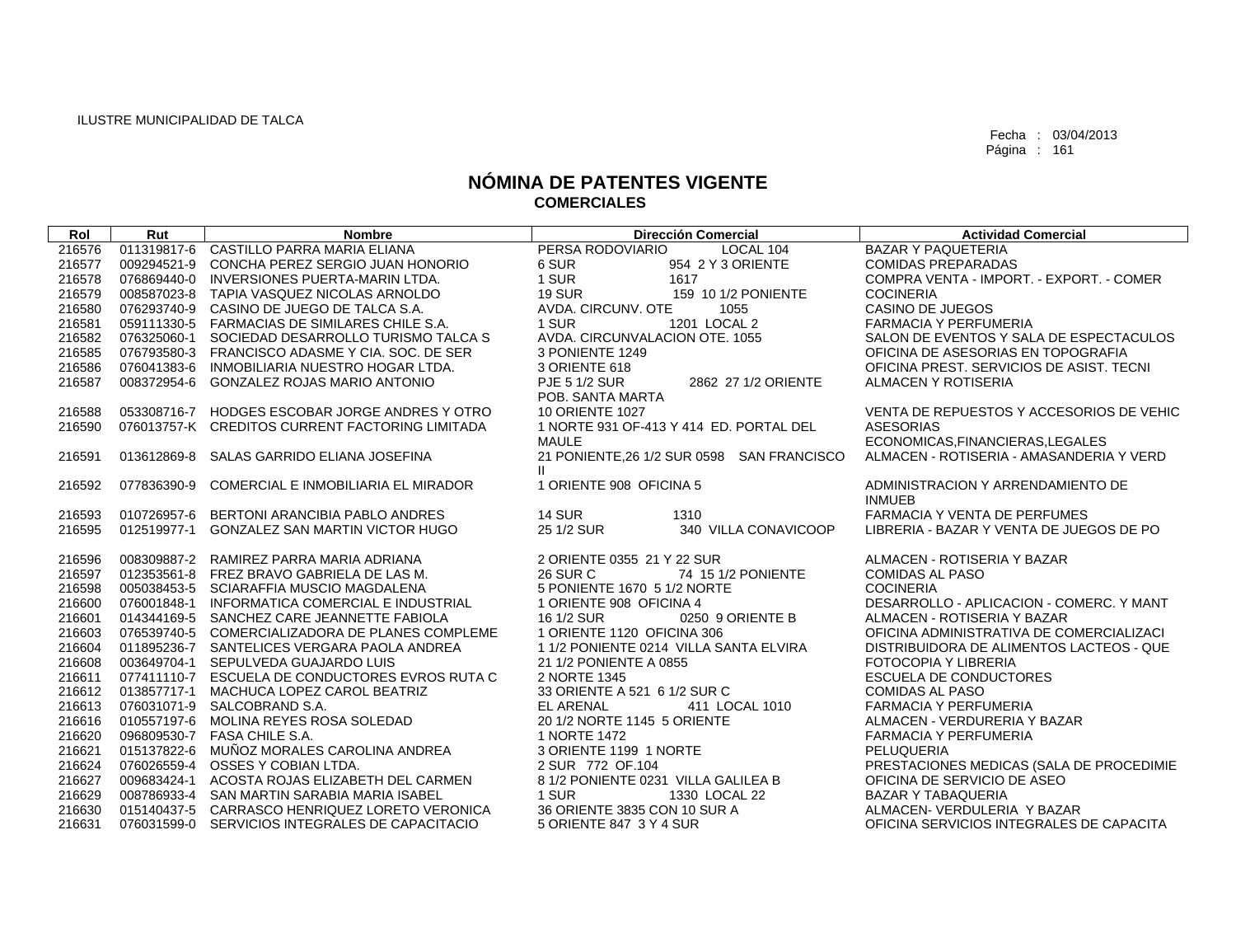| 216576<br>011319817-6 CASTILLO PARRA MARIA ELIANA<br>PERSA RODOVIARIO<br><b>BAZAR Y PAQUETERIA</b><br>LOCAL 104<br>6 SUR<br>954 2 Y 3 ORIENTE<br>216577<br>009294521-9 CONCHA PEREZ SERGIO JUAN HONORIO<br><b>COMIDAS PREPARADAS</b><br>1 SUR<br>1617<br>COMPRA VENTA - IMPORT. - EXPORT. - COMER<br>216578<br>076869440-0 INVERSIONES PUERTA-MARIN LTDA.<br><b>19 SUR</b><br>216579<br>008587023-8 TAPIA VASQUEZ NICOLAS ARNOLDO<br>159 10 1/2 PONIENTE<br><b>COCINERIA</b><br>CASINO DE JUEGOS<br>216580<br>076293740-9 CASINO DE JUEGO DE TALCA S.A.<br>AVDA, CIRCUNV, OTE<br>1055<br>1201 LOCAL 2<br>216581<br>1 SUR<br><b>FARMACIA Y PERFUMERIA</b><br>059111330-5 FARMACIAS DE SIMILARES CHILE S.A.<br>216582<br>AVDA, CIRCUNVALACION OTE, 1055<br>076325060-1 SOCIEDAD DESARROLLO TURISMO TALCA S<br>SALON DE EVENTOS Y SALA DE ESPECTACULOS<br>216585<br>076793580-3 FRANCISCO ADASME Y CIA. SOC. DE SER<br>3 PONIENTE 1249<br>OFICINA DE ASESORIAS EN TOPOGRAFIA<br>216586<br>076041383-6 INMOBILIARIA NUESTRO HOGAR LTDA.<br>3 ORIENTE 618<br>OFICINA PREST, SERVICIOS DE ASIST, TECNI<br>216587<br>008372954-6 GONZALEZ ROJAS MARIO ANTONIO<br><b>PJE 5 1/2 SUR</b><br>2862 27 1/2 ORIENTE<br>ALMACEN Y ROTISERIA<br>POB. SANTA MARTA<br>053308716-7 HODGES ESCOBAR JORGE ANDRES Y OTRO<br><b>10 ORIENTE 1027</b><br>VENTA DE REPUESTOS Y ACCESORIOS DE VEHIC<br>216588<br>1 NORTE 931 OF-413 Y 414 ED. PORTAL DEL<br><b>ASESORIAS</b><br>216590<br>076013757-K CREDITOS CURRENT FACTORING LIMITADA<br>ECONOMICAS, FINANCIERAS, LEGALES<br><b>MAULE</b><br>013612869-8<br>SALAS GARRIDO ELIANA JOSEFINA<br>21 PONIENTE, 26 1/2 SUR 0598 SAN FRANCISCO<br>ALMACEN - ROTISERIA - AMASANDERIA Y VERD<br>216591<br>Ш.<br>216592<br>077836390-9<br>COMERCIAL E INMOBILIARIA EL MIRADOR<br>1 ORIENTE 908 OFICINA 5<br>ADMINISTRACION Y ARRENDAMIENTO DE<br><b>INMUEB</b><br><b>FARMACIA Y VENTA DE PERFUMES</b><br>010726957-6 BERTONI ARANCIBIA PABLO ANDRES<br><b>14 SUR</b><br>1310<br>216593<br>012519977-1 GONZALEZ SAN MARTIN VICTOR HUGO<br>25 1/2 SUR<br>340 VILLA CONAVICOOP<br>LIBRERIA - BAZAR Y VENTA DE JUEGOS DE PO<br>216595<br>216596<br>008309887-2 RAMIREZ PARRA MARIA ADRIANA<br>2 ORIENTE 0355 21 Y 22 SUR<br>ALMACEN - ROTISERIA Y BAZAR |  |
|--------------------------------------------------------------------------------------------------------------------------------------------------------------------------------------------------------------------------------------------------------------------------------------------------------------------------------------------------------------------------------------------------------------------------------------------------------------------------------------------------------------------------------------------------------------------------------------------------------------------------------------------------------------------------------------------------------------------------------------------------------------------------------------------------------------------------------------------------------------------------------------------------------------------------------------------------------------------------------------------------------------------------------------------------------------------------------------------------------------------------------------------------------------------------------------------------------------------------------------------------------------------------------------------------------------------------------------------------------------------------------------------------------------------------------------------------------------------------------------------------------------------------------------------------------------------------------------------------------------------------------------------------------------------------------------------------------------------------------------------------------------------------------------------------------------------------------------------------------------------------------------------------------------------------------------------------------------------------------------------------------------------------------------------------------------------------------------------------------------------------------------------------------------------------------------------------------------------------------------------------------------------|--|
|                                                                                                                                                                                                                                                                                                                                                                                                                                                                                                                                                                                                                                                                                                                                                                                                                                                                                                                                                                                                                                                                                                                                                                                                                                                                                                                                                                                                                                                                                                                                                                                                                                                                                                                                                                                                                                                                                                                                                                                                                                                                                                                                                                                                                                                                    |  |
|                                                                                                                                                                                                                                                                                                                                                                                                                                                                                                                                                                                                                                                                                                                                                                                                                                                                                                                                                                                                                                                                                                                                                                                                                                                                                                                                                                                                                                                                                                                                                                                                                                                                                                                                                                                                                                                                                                                                                                                                                                                                                                                                                                                                                                                                    |  |
|                                                                                                                                                                                                                                                                                                                                                                                                                                                                                                                                                                                                                                                                                                                                                                                                                                                                                                                                                                                                                                                                                                                                                                                                                                                                                                                                                                                                                                                                                                                                                                                                                                                                                                                                                                                                                                                                                                                                                                                                                                                                                                                                                                                                                                                                    |  |
|                                                                                                                                                                                                                                                                                                                                                                                                                                                                                                                                                                                                                                                                                                                                                                                                                                                                                                                                                                                                                                                                                                                                                                                                                                                                                                                                                                                                                                                                                                                                                                                                                                                                                                                                                                                                                                                                                                                                                                                                                                                                                                                                                                                                                                                                    |  |
|                                                                                                                                                                                                                                                                                                                                                                                                                                                                                                                                                                                                                                                                                                                                                                                                                                                                                                                                                                                                                                                                                                                                                                                                                                                                                                                                                                                                                                                                                                                                                                                                                                                                                                                                                                                                                                                                                                                                                                                                                                                                                                                                                                                                                                                                    |  |
|                                                                                                                                                                                                                                                                                                                                                                                                                                                                                                                                                                                                                                                                                                                                                                                                                                                                                                                                                                                                                                                                                                                                                                                                                                                                                                                                                                                                                                                                                                                                                                                                                                                                                                                                                                                                                                                                                                                                                                                                                                                                                                                                                                                                                                                                    |  |
|                                                                                                                                                                                                                                                                                                                                                                                                                                                                                                                                                                                                                                                                                                                                                                                                                                                                                                                                                                                                                                                                                                                                                                                                                                                                                                                                                                                                                                                                                                                                                                                                                                                                                                                                                                                                                                                                                                                                                                                                                                                                                                                                                                                                                                                                    |  |
|                                                                                                                                                                                                                                                                                                                                                                                                                                                                                                                                                                                                                                                                                                                                                                                                                                                                                                                                                                                                                                                                                                                                                                                                                                                                                                                                                                                                                                                                                                                                                                                                                                                                                                                                                                                                                                                                                                                                                                                                                                                                                                                                                                                                                                                                    |  |
|                                                                                                                                                                                                                                                                                                                                                                                                                                                                                                                                                                                                                                                                                                                                                                                                                                                                                                                                                                                                                                                                                                                                                                                                                                                                                                                                                                                                                                                                                                                                                                                                                                                                                                                                                                                                                                                                                                                                                                                                                                                                                                                                                                                                                                                                    |  |
|                                                                                                                                                                                                                                                                                                                                                                                                                                                                                                                                                                                                                                                                                                                                                                                                                                                                                                                                                                                                                                                                                                                                                                                                                                                                                                                                                                                                                                                                                                                                                                                                                                                                                                                                                                                                                                                                                                                                                                                                                                                                                                                                                                                                                                                                    |  |
|                                                                                                                                                                                                                                                                                                                                                                                                                                                                                                                                                                                                                                                                                                                                                                                                                                                                                                                                                                                                                                                                                                                                                                                                                                                                                                                                                                                                                                                                                                                                                                                                                                                                                                                                                                                                                                                                                                                                                                                                                                                                                                                                                                                                                                                                    |  |
|                                                                                                                                                                                                                                                                                                                                                                                                                                                                                                                                                                                                                                                                                                                                                                                                                                                                                                                                                                                                                                                                                                                                                                                                                                                                                                                                                                                                                                                                                                                                                                                                                                                                                                                                                                                                                                                                                                                                                                                                                                                                                                                                                                                                                                                                    |  |
|                                                                                                                                                                                                                                                                                                                                                                                                                                                                                                                                                                                                                                                                                                                                                                                                                                                                                                                                                                                                                                                                                                                                                                                                                                                                                                                                                                                                                                                                                                                                                                                                                                                                                                                                                                                                                                                                                                                                                                                                                                                                                                                                                                                                                                                                    |  |
|                                                                                                                                                                                                                                                                                                                                                                                                                                                                                                                                                                                                                                                                                                                                                                                                                                                                                                                                                                                                                                                                                                                                                                                                                                                                                                                                                                                                                                                                                                                                                                                                                                                                                                                                                                                                                                                                                                                                                                                                                                                                                                                                                                                                                                                                    |  |
|                                                                                                                                                                                                                                                                                                                                                                                                                                                                                                                                                                                                                                                                                                                                                                                                                                                                                                                                                                                                                                                                                                                                                                                                                                                                                                                                                                                                                                                                                                                                                                                                                                                                                                                                                                                                                                                                                                                                                                                                                                                                                                                                                                                                                                                                    |  |
|                                                                                                                                                                                                                                                                                                                                                                                                                                                                                                                                                                                                                                                                                                                                                                                                                                                                                                                                                                                                                                                                                                                                                                                                                                                                                                                                                                                                                                                                                                                                                                                                                                                                                                                                                                                                                                                                                                                                                                                                                                                                                                                                                                                                                                                                    |  |
|                                                                                                                                                                                                                                                                                                                                                                                                                                                                                                                                                                                                                                                                                                                                                                                                                                                                                                                                                                                                                                                                                                                                                                                                                                                                                                                                                                                                                                                                                                                                                                                                                                                                                                                                                                                                                                                                                                                                                                                                                                                                                                                                                                                                                                                                    |  |
|                                                                                                                                                                                                                                                                                                                                                                                                                                                                                                                                                                                                                                                                                                                                                                                                                                                                                                                                                                                                                                                                                                                                                                                                                                                                                                                                                                                                                                                                                                                                                                                                                                                                                                                                                                                                                                                                                                                                                                                                                                                                                                                                                                                                                                                                    |  |
|                                                                                                                                                                                                                                                                                                                                                                                                                                                                                                                                                                                                                                                                                                                                                                                                                                                                                                                                                                                                                                                                                                                                                                                                                                                                                                                                                                                                                                                                                                                                                                                                                                                                                                                                                                                                                                                                                                                                                                                                                                                                                                                                                                                                                                                                    |  |
|                                                                                                                                                                                                                                                                                                                                                                                                                                                                                                                                                                                                                                                                                                                                                                                                                                                                                                                                                                                                                                                                                                                                                                                                                                                                                                                                                                                                                                                                                                                                                                                                                                                                                                                                                                                                                                                                                                                                                                                                                                                                                                                                                                                                                                                                    |  |
|                                                                                                                                                                                                                                                                                                                                                                                                                                                                                                                                                                                                                                                                                                                                                                                                                                                                                                                                                                                                                                                                                                                                                                                                                                                                                                                                                                                                                                                                                                                                                                                                                                                                                                                                                                                                                                                                                                                                                                                                                                                                                                                                                                                                                                                                    |  |
|                                                                                                                                                                                                                                                                                                                                                                                                                                                                                                                                                                                                                                                                                                                                                                                                                                                                                                                                                                                                                                                                                                                                                                                                                                                                                                                                                                                                                                                                                                                                                                                                                                                                                                                                                                                                                                                                                                                                                                                                                                                                                                                                                                                                                                                                    |  |
| 216597<br>26 SUR C<br><b>COMIDAS AL PASO</b><br>012353561-8 FREZ BRAVO GABRIELA DE LAS M.<br>74 15 1/2 PONIENTE<br><b>COCINERIA</b>                                                                                                                                                                                                                                                                                                                                                                                                                                                                                                                                                                                                                                                                                                                                                                                                                                                                                                                                                                                                                                                                                                                                                                                                                                                                                                                                                                                                                                                                                                                                                                                                                                                                                                                                                                                                                                                                                                                                                                                                                                                                                                                                |  |
| 5 PONIENTE 1670 5 1/2 NORTE<br>216598<br>005038453-5 SCIARAFFIA MUSCIO MAGDALENA                                                                                                                                                                                                                                                                                                                                                                                                                                                                                                                                                                                                                                                                                                                                                                                                                                                                                                                                                                                                                                                                                                                                                                                                                                                                                                                                                                                                                                                                                                                                                                                                                                                                                                                                                                                                                                                                                                                                                                                                                                                                                                                                                                                   |  |
| DESARROLLO - APLICACION - COMERC. Y MANT<br>216600<br>076001848-1 INFORMATICA COMERCIAL E INDUSTRIAL<br>1 ORIENTE 908 OFICINA 4                                                                                                                                                                                                                                                                                                                                                                                                                                                                                                                                                                                                                                                                                                                                                                                                                                                                                                                                                                                                                                                                                                                                                                                                                                                                                                                                                                                                                                                                                                                                                                                                                                                                                                                                                                                                                                                                                                                                                                                                                                                                                                                                    |  |
| 216601<br>014344169-5 SANCHEZ CARE JEANNETTE FABIOLA<br>16 1/2 SUR<br>0250 9 ORIENTE B<br>ALMACEN - ROTISERIA Y BAZAR                                                                                                                                                                                                                                                                                                                                                                                                                                                                                                                                                                                                                                                                                                                                                                                                                                                                                                                                                                                                                                                                                                                                                                                                                                                                                                                                                                                                                                                                                                                                                                                                                                                                                                                                                                                                                                                                                                                                                                                                                                                                                                                                              |  |
| 216603<br>1 ORIENTE 1120 OFICINA 306<br>076539740-5 COMERCIALIZADORA DE PLANES COMPLEME<br>OFICINA ADMINISTRATIVA DE COMERCIALIZACI                                                                                                                                                                                                                                                                                                                                                                                                                                                                                                                                                                                                                                                                                                                                                                                                                                                                                                                                                                                                                                                                                                                                                                                                                                                                                                                                                                                                                                                                                                                                                                                                                                                                                                                                                                                                                                                                                                                                                                                                                                                                                                                                |  |
| 216604<br>1 1/2 PONIENTE 0214 VILLA SANTA ELVIRA<br>011895236-7 SANTELICES VERGARA PAOLA ANDREA<br>DISTRIBUIDORA DE ALIMENTOS LACTEOS - QUE                                                                                                                                                                                                                                                                                                                                                                                                                                                                                                                                                                                                                                                                                                                                                                                                                                                                                                                                                                                                                                                                                                                                                                                                                                                                                                                                                                                                                                                                                                                                                                                                                                                                                                                                                                                                                                                                                                                                                                                                                                                                                                                        |  |
| 216608<br>003649704-1 SEPULVEDA GUAJARDO LUIS<br>21 1/2 PONIENTE A 0855<br><b>FOTOCOPIA Y LIBRERIA</b><br>216611<br>077411110-7 ESCUELA DE CONDUCTORES EVROS RUTA C<br>2 NORTE 1345<br><b>ESCUELA DE CONDUCTORES</b>                                                                                                                                                                                                                                                                                                                                                                                                                                                                                                                                                                                                                                                                                                                                                                                                                                                                                                                                                                                                                                                                                                                                                                                                                                                                                                                                                                                                                                                                                                                                                                                                                                                                                                                                                                                                                                                                                                                                                                                                                                               |  |
| 216612<br>013857717-1 MACHUCA LOPEZ CAROL BEATRIZ<br>33 ORIENTE A 521 6 1/2 SUR C<br><b>COMIDAS AL PASO</b>                                                                                                                                                                                                                                                                                                                                                                                                                                                                                                                                                                                                                                                                                                                                                                                                                                                                                                                                                                                                                                                                                                                                                                                                                                                                                                                                                                                                                                                                                                                                                                                                                                                                                                                                                                                                                                                                                                                                                                                                                                                                                                                                                        |  |
| 076031071-9 SALCOBRAND S.A.<br>216613<br>EL ARENAL<br>411 LOCAL 1010<br><b>FARMACIA Y PERFUMERIA</b>                                                                                                                                                                                                                                                                                                                                                                                                                                                                                                                                                                                                                                                                                                                                                                                                                                                                                                                                                                                                                                                                                                                                                                                                                                                                                                                                                                                                                                                                                                                                                                                                                                                                                                                                                                                                                                                                                                                                                                                                                                                                                                                                                               |  |
| 216616<br>010557197-6 MOLINA REYES ROSA SOLEDAD<br>20 1/2 NORTE 1145 5 ORIENTE<br>ALMACEN - VERDURERIA Y BAZAR                                                                                                                                                                                                                                                                                                                                                                                                                                                                                                                                                                                                                                                                                                                                                                                                                                                                                                                                                                                                                                                                                                                                                                                                                                                                                                                                                                                                                                                                                                                                                                                                                                                                                                                                                                                                                                                                                                                                                                                                                                                                                                                                                     |  |
| 216620<br>096809530-7  FASA CHILE S.A.<br>1 NORTE 1472<br><b>FARMACIA Y PERFUMERIA</b>                                                                                                                                                                                                                                                                                                                                                                                                                                                                                                                                                                                                                                                                                                                                                                                                                                                                                                                                                                                                                                                                                                                                                                                                                                                                                                                                                                                                                                                                                                                                                                                                                                                                                                                                                                                                                                                                                                                                                                                                                                                                                                                                                                             |  |
| 015137822-6 MUÑOZ MORALES CAROLINA ANDREA<br>3 ORIENTE 1199 1 NORTE<br>PELUQUERIA<br>216621                                                                                                                                                                                                                                                                                                                                                                                                                                                                                                                                                                                                                                                                                                                                                                                                                                                                                                                                                                                                                                                                                                                                                                                                                                                                                                                                                                                                                                                                                                                                                                                                                                                                                                                                                                                                                                                                                                                                                                                                                                                                                                                                                                        |  |
| 216624<br>076026559-4 OSSES Y COBIAN LTDA.<br>2 SUR 772 OF 104<br>PRESTACIONES MEDICAS (SALA DE PROCEDIMIE                                                                                                                                                                                                                                                                                                                                                                                                                                                                                                                                                                                                                                                                                                                                                                                                                                                                                                                                                                                                                                                                                                                                                                                                                                                                                                                                                                                                                                                                                                                                                                                                                                                                                                                                                                                                                                                                                                                                                                                                                                                                                                                                                         |  |
| 216627<br>009683424-1 ACOSTA ROJAS ELIZABETH DEL CARMEN<br>8 1/2 PONIENTE 0231 VILLA GALILEA B<br>OFICINA DE SERVICIO DE ASEO                                                                                                                                                                                                                                                                                                                                                                                                                                                                                                                                                                                                                                                                                                                                                                                                                                                                                                                                                                                                                                                                                                                                                                                                                                                                                                                                                                                                                                                                                                                                                                                                                                                                                                                                                                                                                                                                                                                                                                                                                                                                                                                                      |  |
| 216629<br>008786933-4 SAN MARTIN SARABIA MARIA ISABEL<br>1 SUR<br>1330 LOCAL 22<br><b>BAZAR Y TABAQUERIA</b>                                                                                                                                                                                                                                                                                                                                                                                                                                                                                                                                                                                                                                                                                                                                                                                                                                                                                                                                                                                                                                                                                                                                                                                                                                                                                                                                                                                                                                                                                                                                                                                                                                                                                                                                                                                                                                                                                                                                                                                                                                                                                                                                                       |  |
| 216630<br>36 ORIENTE 3835 CON 10 SUR A<br>015140437-5 CARRASCO HENRIQUEZ LORETO VERONICA<br>ALMACEN- VERDULERIA Y BAZAR                                                                                                                                                                                                                                                                                                                                                                                                                                                                                                                                                                                                                                                                                                                                                                                                                                                                                                                                                                                                                                                                                                                                                                                                                                                                                                                                                                                                                                                                                                                                                                                                                                                                                                                                                                                                                                                                                                                                                                                                                                                                                                                                            |  |
| 216631<br>076031599-0 SERVICIOS INTEGRALES DE CAPACITACIO<br>5 ORIENTE 847 3 Y 4 SUR<br>OFICINA SERVICIOS INTEGRALES DE CAPACITA                                                                                                                                                                                                                                                                                                                                                                                                                                                                                                                                                                                                                                                                                                                                                                                                                                                                                                                                                                                                                                                                                                                                                                                                                                                                                                                                                                                                                                                                                                                                                                                                                                                                                                                                                                                                                                                                                                                                                                                                                                                                                                                                   |  |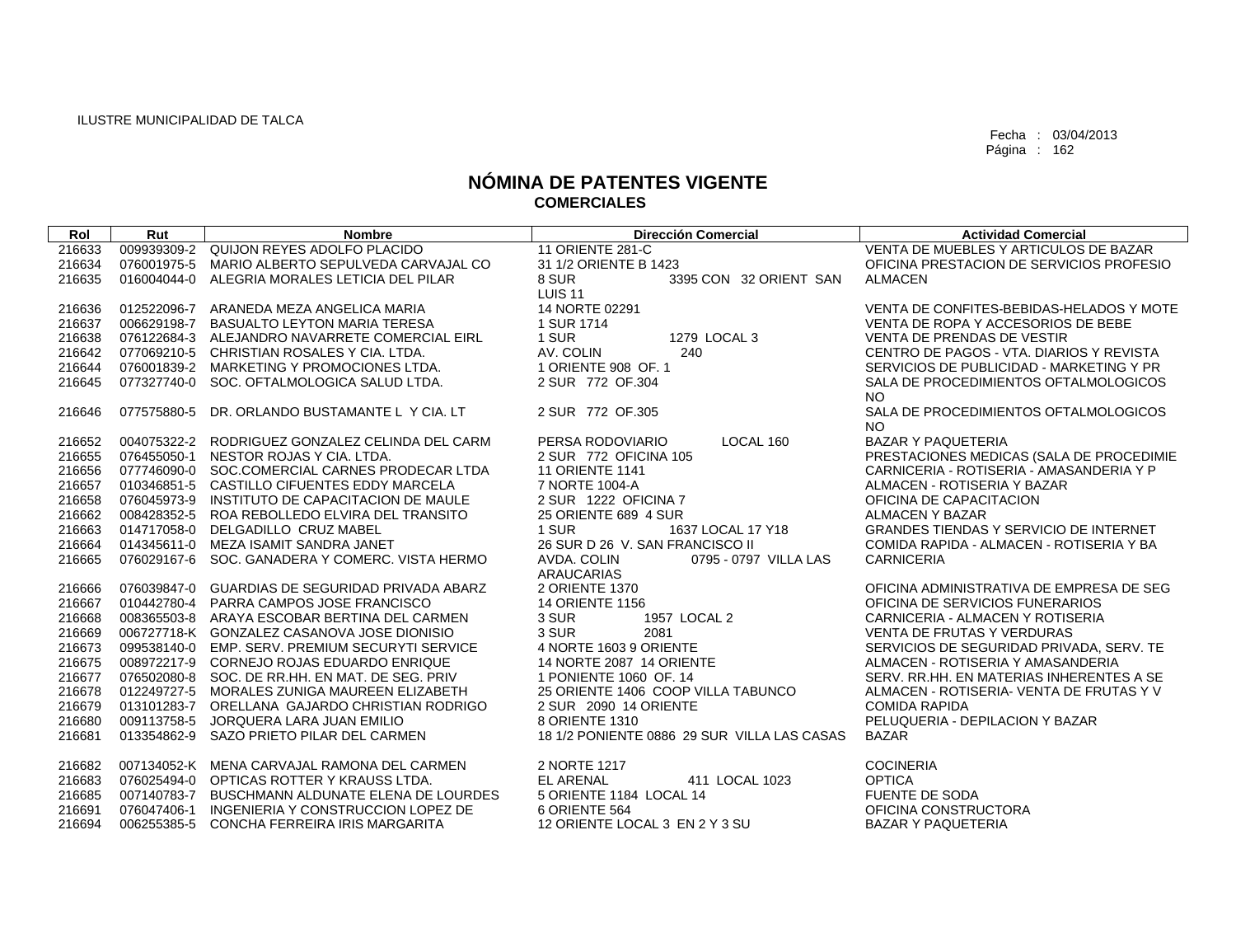| Rol    | Rut         | <b>Nombre</b>                                   | <b>Dirección Comercial</b>                                | <b>Actividad Comercial</b>                         |
|--------|-------------|-------------------------------------------------|-----------------------------------------------------------|----------------------------------------------------|
| 216633 |             | 009939309-2 QUIJON REYES ADOLFO PLACIDO         | <b>11 ORIENTE 281-C</b>                                   | VENTA DE MUEBLES Y ARTICULOS DE BAZAR              |
| 216634 |             | 076001975-5 MARIO ALBERTO SEPULVEDA CARVAJAL CO | 31 1/2 ORIENTE B 1423                                     | OFICINA PRESTACION DE SERVICIOS PROFESIO           |
| 216635 |             | 016004044-0 ALEGRIA MORALES LETICIA DEL PILAR   | 8 SUR<br>3395 CON 32 ORIENT SAN<br><b>LUIS 11</b>         | <b>ALMACEN</b>                                     |
| 216636 |             | 012522096-7 ARANEDA MEZA ANGELICA MARIA         | 14 NORTE 02291                                            | VENTA DE CONFITES-BEBIDAS-HELADOS Y MOTE           |
| 216637 | 006629198-7 | BASUALTO LEYTON MARIA TERESA                    | 1 SUR 1714                                                | VENTA DE ROPA Y ACCESORIOS DE BEBE                 |
| 216638 |             | 076122684-3 ALEJANDRO NAVARRETE COMERCIAL EIRL  | 1279 LOCAL 3<br>1 SUR                                     | <b>VENTA DE PRENDAS DE VESTIR</b>                  |
| 216642 |             | 077069210-5 CHRISTIAN ROSALES Y CIA. LTDA.      | AV. COLIN<br>240                                          | CENTRO DE PAGOS - VTA, DIARIOS Y REVISTA           |
| 216644 |             | 076001839-2 MARKETING Y PROMOCIONES LTDA.       | 1 ORIENTE 908 OF, 1                                       | SERVICIOS DE PUBLICIDAD - MARKETING Y PR           |
| 216645 |             | 077327740-0 SOC. OFTALMOLOGICA SALUD LTDA.      | 2 SUR 772 OF 304                                          | SALA DE PROCEDIMIENTOS OFTALMOLOGICOS              |
|        |             |                                                 |                                                           | <b>NO</b>                                          |
| 216646 |             | 077575880-5 DR. ORLANDO BUSTAMANTE L Y CIA, LT  | 2 SUR 772 OF 305                                          | SALA DE PROCEDIMIENTOS OFTALMOLOGICOS<br><b>NO</b> |
| 216652 |             | 004075322-2 RODRIGUEZ GONZALEZ CELINDA DEL CARM | PERSA RODOVIARIO<br>LOCAL 160                             | <b>BAZAR Y PAQUETERIA</b>                          |
| 216655 |             | 076455050-1 NESTOR ROJAS Y CIA. LTDA.           | 2 SUR 772 OFICINA 105                                     | PRESTACIONES MEDICAS (SALA DE PROCEDIMIE           |
| 216656 |             | 077746090-0 SOC.COMERCIAL CARNES PRODECAR LTDA  | <b>11 ORIENTE 1141</b>                                    | CARNICERIA - ROTISERIA - AMASANDERIA Y P           |
| 216657 |             | 010346851-5 CASTILLO CIFUENTES EDDY MARCELA     | 7 NORTE 1004-A                                            | ALMACEN - ROTISERIA Y BAZAR                        |
| 216658 |             | 076045973-9 INSTITUTO DE CAPACITACION DE MAULE  | 2 SUR 1222 OFICINA 7                                      | OFICINA DE CAPACITACION                            |
| 216662 |             | 008428352-5 ROA REBOLLEDO ELVIRA DEL TRANSITO   | 25 ORIENTE 689 4 SUR                                      | <b>ALMACEN Y BAZAR</b>                             |
| 216663 |             | 014717058-0 DELGADILLO CRUZ MABEL               | 1637 LOCAL 17 Y18<br>1 SUR                                | <b>GRANDES TIENDAS Y SERVICIO DE INTERNET</b>      |
| 216664 |             | 014345611-0 MEZA ISAMIT SANDRA JANET            | 26 SUR D 26 V. SAN FRANCISCO II                           | COMIDA RAPIDA - ALMACEN - ROTISERIA Y BA           |
| 216665 |             | 076029167-6 SOC, GANADERA Y COMERC, VISTA HERMO | AVDA, COLIN<br>0795 - 0797 VILLA LAS<br><b>ARAUCARIAS</b> | <b>CARNICERIA</b>                                  |
| 216666 |             | 076039847-0 GUARDIAS DE SEGURIDAD PRIVADA ABARZ | 2 ORIENTE 1370                                            | OFICINA ADMINISTRATIVA DE EMPRESA DE SEG           |
| 216667 |             | 010442780-4 PARRA CAMPOS JOSE FRANCISCO         | <b>14 ORIENTE 1156</b>                                    | OFICINA DE SERVICIOS FUNERARIOS                    |
| 216668 |             | 008365503-8 ARAYA ESCOBAR BERTINA DEL CARMEN    | 1957 LOCAL 2<br>3 SUR                                     | CARNICERIA - ALMACEN Y ROTISERIA                   |
| 216669 |             | 006727718-K GONZALEZ CASANOVA JOSE DIONISIO     | 3 SUR<br>2081                                             | VENTA DE FRUTAS Y VERDURAS                         |
| 216673 |             | 099538140-0 EMP. SERV. PREMIUM SECURYTI SERVICE | 4 NORTE 1603 9 ORIENTE                                    | SERVICIOS DE SEGURIDAD PRIVADA, SERV. TE           |
| 216675 |             | 008972217-9 CORNEJO ROJAS EDUARDO ENRIQUE       | 14 NORTE 2087 14 ORIENTE                                  | ALMACEN - ROTISERIA Y AMASANDERIA                  |
| 216677 |             | 076502080-8 SOC. DE RR.HH. EN MAT. DE SEG. PRIV | 1 PONIENTE 1060 OF, 14                                    | SERV. RR.HH. EN MATERIAS INHERENTES A SE           |
| 216678 |             | 012249727-5 MORALES ZUNIGA MAUREEN ELIZABETH    | 25 ORIENTE 1406 COOP VILLA TABUNCO                        | ALMACEN - ROTISERIA- VENTA DE FRUTAS Y V           |
| 216679 |             | 013101283-7 ORELLANA GAJARDO CHRISTIAN RODRIGO  | 2 SUR 2090 14 ORIENTE                                     | <b>COMIDA RAPIDA</b>                               |
| 216680 |             | 009113758-5 JORQUERA LARA JUAN EMILIO           | 8 ORIENTE 1310                                            | PELUQUERIA - DEPILACION Y BAZAR                    |
| 216681 |             | 013354862-9 SAZO PRIETO PILAR DEL CARMEN        | 18 1/2 PONIENTE 0886 29 SUR VILLA LAS CASAS               | <b>BAZAR</b>                                       |
| 216682 |             | 007134052-K MENA CARVAJAL RAMONA DEL CARMEN     | 2 NORTE 1217                                              | <b>COCINERIA</b>                                   |
| 216683 |             | 076025494-0 OPTICAS ROTTER Y KRAUSS LTDA.       | 411 LOCAL 1023<br><b>EL ARENAL</b>                        | <b>OPTICA</b>                                      |
| 216685 |             | 007140783-7 BUSCHMANN ALDUNATE ELENA DE LOURDES | 5 ORIENTE 1184 LOCAL 14                                   | <b>FUENTE DE SODA</b>                              |
| 216691 |             | 076047406-1 INGENIERIA Y CONSTRUCCION LOPEZ DE  | 6 ORIENTE 564                                             | OFICINA CONSTRUCTORA                               |
| 216694 |             | 006255385-5 CONCHA FERREIRA IRIS MARGARITA      | 12 ORIENTE LOCAL 3 EN 2 Y 3 SU                            | <b>BAZAR Y PAQUETERIA</b>                          |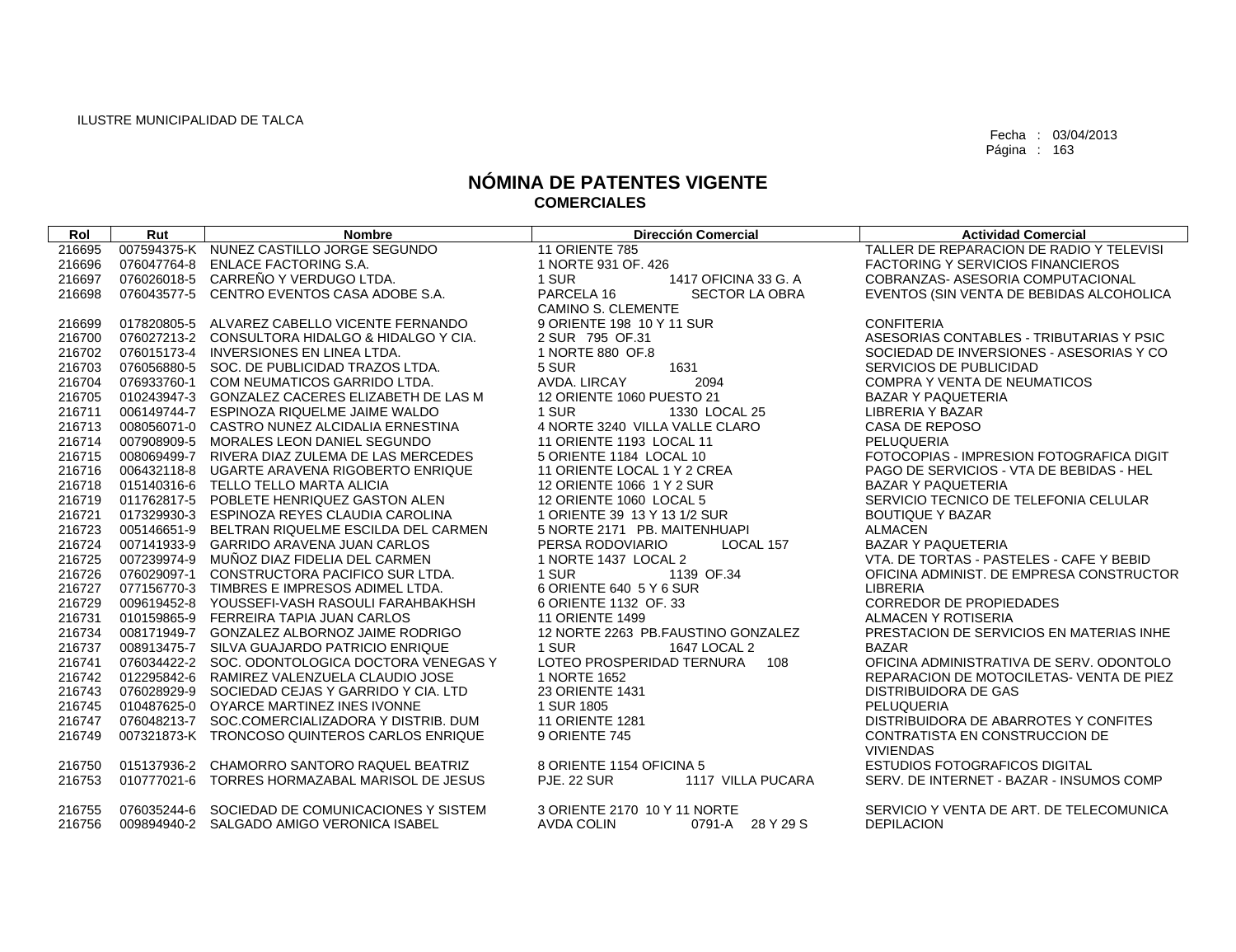| Rol    | Rut | <b>Nombre</b>                                   | <b>Dirección Comercial</b>              | <b>Actividad Comercial</b>               |
|--------|-----|-------------------------------------------------|-----------------------------------------|------------------------------------------|
| 216695 |     | 007594375-K NUNEZ CASTILLO JORGE SEGUNDO        | <b>11 ORIENTE 785</b>                   | TALLER DE REPARACION DE RADIO Y TELEVISI |
| 216696 |     | 076047764-8 ENLACE FACTORING S.A.               | 1 NORTE 931 OF, 426                     | <b>FACTORING Y SERVICIOS FINANCIEROS</b> |
| 216697 |     | 076026018-5 CARREÑO Y VERDUGO LTDA.             | 1 SUR<br>1417 OFICINA 33 G. A           | COBRANZAS- ASESORIA COMPUTACIONAL        |
| 216698 |     | 076043577-5 CENTRO EVENTOS CASA ADOBE S.A.      | PARCELA 16<br>SECTOR LA OBRA            | EVENTOS (SIN VENTA DE BEBIDAS ALCOHOLICA |
|        |     |                                                 | CAMINO S. CLEMENTE                      |                                          |
| 216699 |     | 017820805-5 ALVAREZ CABELLO VICENTE FERNANDO    | 9 ORIENTE 198 10 Y 11 SUR               | <b>CONFITERIA</b>                        |
| 216700 |     | 076027213-2 CONSULTORA HIDALGO & HIDALGO Y CIA. | 2 SUR 795 OF.31                         | ASESORIAS CONTABLES - TRIBUTARIAS Y PSIC |
| 216702 |     | 076015173-4 INVERSIONES EN LINEA LTDA.          | 1 NORTE 880 OF.8                        | SOCIEDAD DE INVERSIONES - ASESORIAS Y CO |
| 216703 |     | 076056880-5 SOC. DE PUBLICIDAD TRAZOS LTDA.     | 1631<br>5 SUR                           | SERVICIOS DE PUBLICIDAD                  |
| 216704 |     | 076933760-1 COM NEUMATICOS GARRIDO LTDA.        | AVDA, LIRCAY<br>2094                    | <b>COMPRA Y VENTA DE NEUMATICOS</b>      |
| 216705 |     | 010243947-3 GONZALEZ CACERES ELIZABETH DE LAS M | 12 ORIENTE 1060 PUESTO 21               | <b>BAZAR Y PAQUETERIA</b>                |
| 216711 |     | 006149744-7 ESPINOZA RIQUELME JAIME WALDO       | 1 SUR<br>1330 LOCAL 25                  | <b>LIBRERIA Y BAZAR</b>                  |
| 216713 |     | 008056071-0 CASTRO NUNEZ ALCIDALIA ERNESTINA    | 4 NORTE 3240 VILLA VALLE CLARO          | CASA DE REPOSO                           |
| 216714 |     | 007908909-5 MORALES LEON DANIEL SEGUNDO         | 11 ORIENTE 1193 LOCAL 11                | PELUQUERIA                               |
| 216715 |     | 008069499-7 RIVERA DIAZ ZULEMA DE LAS MERCEDES  | 5 ORIENTE 1184 LOCAL 10                 | FOTOCOPIAS - IMPRESION FOTOGRAFICA DIGIT |
| 216716 |     | 006432118-8 UGARTE ARAVENA RIGOBERTO ENRIQUE    | 11 ORIENTE LOCAL 1 Y 2 CREA             | PAGO DE SERVICIOS - VTA DE BEBIDAS - HEL |
| 216718 |     | 015140316-6 TELLO TELLO MARTA ALICIA            | 12 ORIENTE 1066 1 Y 2 SUR               | <b>BAZAR Y PAQUETERIA</b>                |
| 216719 |     | 011762817-5 POBLETE HENRIQUEZ GASTON ALEN       | 12 ORIENTE 1060 LOCAL 5                 | SERVICIO TECNICO DE TELEFONIA CELULAR    |
| 216721 |     | 017329930-3 ESPINOZA REYES CLAUDIA CAROLINA     | 1 ORIENTE 39 13 Y 13 1/2 SUR            | <b>BOUTIQUE Y BAZAR</b>                  |
| 216723 |     | 005146651-9 BELTRAN RIQUELME ESCILDA DEL CARMEN | 5 NORTE 2171 PB. MAITENHUAPI            | <b>ALMACEN</b>                           |
| 216724 |     | 007141933-9 GARRIDO ARAVENA JUAN CARLOS         | PERSA RODOVIARIO<br>LOCAL 157           | <b>BAZAR Y PAQUETERIA</b>                |
| 216725 |     | 007239974-9 MUÑOZ DIAZ FIDELIA DEL CARMEN       | 1 NORTE 1437 LOCAL 2                    | VTA, DE TORTAS - PASTELES - CAFE Y BEBID |
| 216726 |     | 076029097-1 CONSTRUCTORA PACIFICO SUR LTDA.     | 1 SUR<br>1139 OF.34                     | OFICINA ADMINIST. DE EMPRESA CONSTRUCTOR |
| 216727 |     | 077156770-3 TIMBRES E IMPRESOS ADIMEL LTDA.     | 6 ORIENTE 640 5 Y 6 SUR                 | <b>LIBRERIA</b>                          |
| 216729 |     | 009619452-8 YOUSSEFI-VASH RASOULI FARAHBAKHSH   | 6 ORIENTE 1132 OF, 33                   | <b>CORREDOR DE PROPIEDADES</b>           |
| 216731 |     | 010159865-9 FERREIRA TAPIA JUAN CARLOS          | <b>11 ORIENTE 1499</b>                  | ALMACEN Y ROTISERIA                      |
| 216734 |     | 008171949-7 GONZALEZ ALBORNOZ JAIME RODRIGO     | 12 NORTE 2263 PB.FAUSTINO GONZALEZ      | PRESTACION DE SERVICIOS EN MATERIAS INHE |
| 216737 |     | 008913475-7 SILVA GUAJARDO PATRICIO ENRIQUE     | 1 SUR<br>1647 LOCAL 2                   | <b>BAZAR</b>                             |
| 216741 |     | 076034422-2 SOC. ODONTOLOGICA DOCTORA VENEGAS Y | LOTEO PROSPERIDAD TERNURA<br>108        | OFICINA ADMINISTRATIVA DE SERV. ODONTOLO |
| 216742 |     | 012295842-6 RAMIREZ VALENZUELA CLAUDIO JOSE     | 1 NORTE 1652                            | REPARACION DE MOTOCILETAS- VENTA DE PIEZ |
| 216743 |     | 076028929-9 SOCIEDAD CEJAS Y GARRIDO Y CIA. LTD | 23 ORIENTE 1431                         | <b>DISTRIBUIDORA DE GAS</b>              |
| 216745 |     | 010487625-0 OYARCE MARTINEZ INES IVONNE         | 1 SUR 1805                              | PELUQUERIA                               |
| 216747 |     | 076048213-7 SOC.COMERCIALIZADORA Y DISTRIB. DUM | <b>11 ORIENTE 1281</b>                  | DISTRIBUIDORA DE ABARROTES Y CONFITES    |
| 216749 |     | 007321873-K TRONCOSO QUINTEROS CARLOS ENRIQUE   | 9 ORIENTE 745                           | CONTRATISTA EN CONSTRUCCION DE           |
|        |     |                                                 |                                         | <b>VIVIENDAS</b>                         |
| 216750 |     | 015137936-2 CHAMORRO SANTORO RAQUEL BEATRIZ     | 8 ORIENTE 1154 OFICINA 5                | <b>ESTUDIOS FOTOGRAFICOS DIGITAL</b>     |
| 216753 |     | 010777021-6 TORRES HORMAZABAL MARISOL DE JESUS  | <b>PJE. 22 SUR</b><br>1117 VILLA PUCARA | SERV. DE INTERNET - BAZAR - INSUMOS COMP |
|        |     |                                                 |                                         |                                          |
| 216755 |     | 076035244-6 SOCIEDAD DE COMUNICACIONES Y SISTEM | 3 ORIENTE 2170 10 Y 11 NORTE            | SERVICIO Y VENTA DE ART. DE TELECOMUNICA |
| 216756 |     | 009894940-2 SALGADO AMIGO VERONICA ISABEL       | <b>AVDA COLIN</b><br>0791-A 28 Y 29 S   | <b>DEPILACION</b>                        |
|        |     |                                                 |                                         |                                          |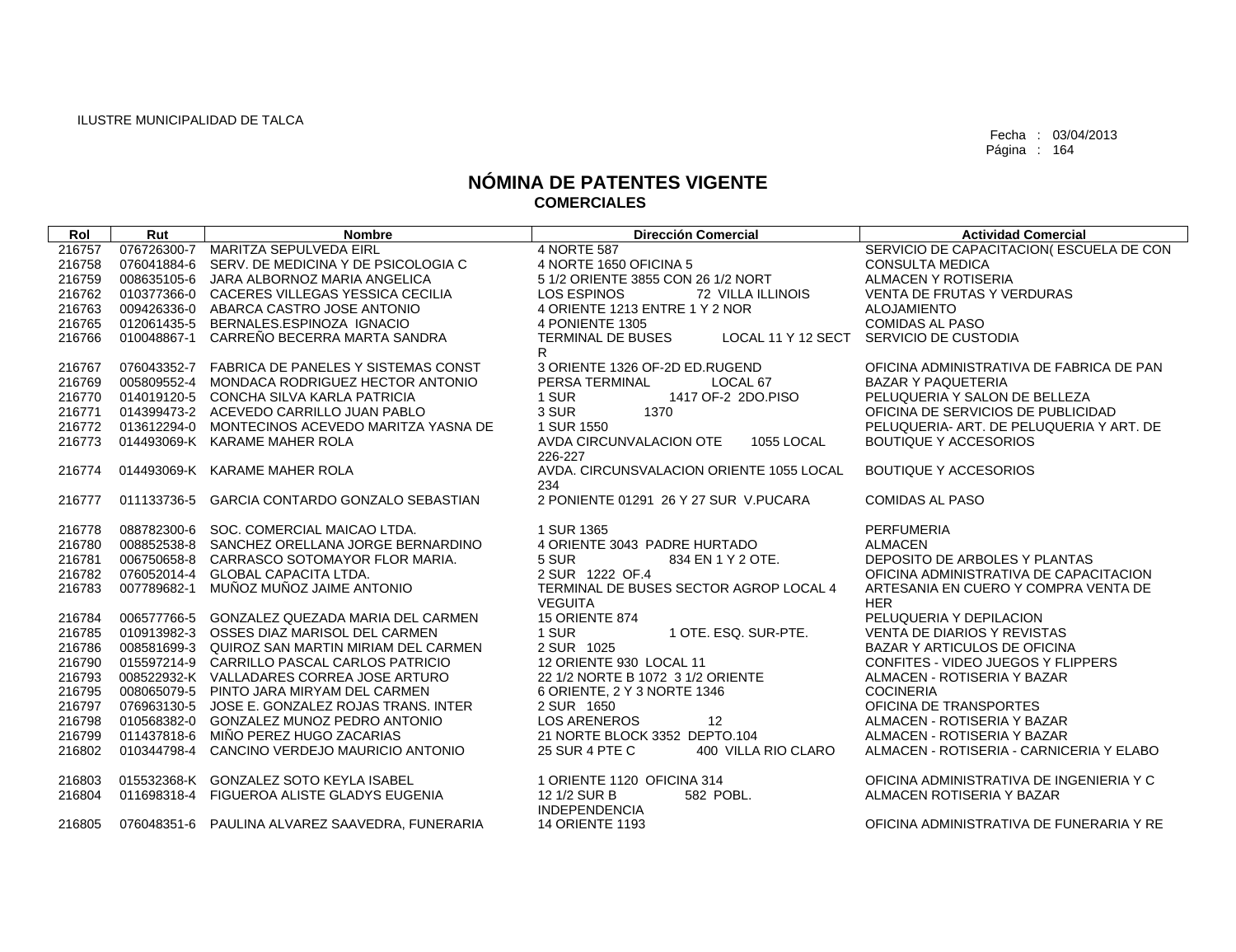| Rol    | Rut         | <b>Nombre</b>                                   | <b>Dirección Comercial</b>                     | <b>Actividad Comercial</b>               |
|--------|-------------|-------------------------------------------------|------------------------------------------------|------------------------------------------|
| 216757 |             | 076726300-7 MARITZA SEPULVEDA EIRL              | 4 NORTE 587                                    | SERVICIO DE CAPACITACION(ESCUELA DE CON  |
| 216758 |             | 076041884-6 SERV. DE MEDICINA Y DE PSICOLOGIA C | 4 NORTE 1650 OFICINA 5                         | <b>CONSULTA MEDICA</b>                   |
| 216759 |             | 008635105-6 JARA ALBORNOZ MARIA ANGELICA        | 5 1/2 ORIENTE 3855 CON 26 1/2 NORT             | ALMACEN Y ROTISERIA                      |
| 216762 |             | 010377366-0 CACERES VILLEGAS YESSICA CECILIA    | LOS ESPINOS<br><b>72 VILLA ILLINOIS</b>        | <b>VENTA DE FRUTAS Y VERDURAS</b>        |
| 216763 |             | 009426336-0 ABARCA CASTRO JOSE ANTONIO          | 4 ORIENTE 1213 ENTRE 1 Y 2 NOR                 | <b>ALOJAMIENTO</b>                       |
| 216765 |             | 012061435-5 BERNALES.ESPINOZA IGNACIO           | 4 PONIENTE 1305                                | <b>COMIDAS AL PASO</b>                   |
| 216766 | 010048867-1 | CARREÑO BECERRA MARTA SANDRA                    | <b>TERMINAL DE BUSES</b><br>LOCAL 11 Y 12 SECT | SERVICIO DE CUSTODIA                     |
|        |             |                                                 | R.                                             |                                          |
| 216767 |             | 076043352-7 FABRICA DE PANELES Y SISTEMAS CONST | 3 ORIENTE 1326 OF-2D ED.RUGEND                 | OFICINA ADMINISTRATIVA DE FABRICA DE PAN |
| 216769 |             | 005809552-4 MONDACA RODRIGUEZ HECTOR ANTONIO    | PERSA TERMINAL<br>LOCAL 67                     | <b>BAZAR Y PAQUETERIA</b>                |
| 216770 |             | 014019120-5 CONCHA SILVA KARLA PATRICIA         | 1 SUR<br>1417 OF-2 2DO.PISO                    | PELUQUERIA Y SALON DE BELLEZA            |
| 216771 |             | 014399473-2 ACEVEDO CARRILLO JUAN PABLO         | 3 SUR<br>1370                                  | OFICINA DE SERVICIOS DE PUBLICIDAD       |
| 216772 |             | 013612294-0 MONTECINOS ACEVEDO MARITZA YASNA DE | 1 SUR 1550                                     | PELUQUERIA- ART. DE PELUQUERIA Y ART. DE |
| 216773 |             | 014493069-K KARAME MAHER ROLA                   | AVDA CIRCUNVALACION OTE<br><b>1055 LOCAL</b>   | <b>BOUTIQUE Y ACCESORIOS</b>             |
|        |             |                                                 | 226-227                                        |                                          |
| 216774 |             | 014493069-K KARAME MAHER ROLA                   | AVDA, CIRCUNSVALACION ORIENTE 1055 LOCAL       | <b>BOUTIQUE Y ACCESORIOS</b>             |
|        |             |                                                 | 234                                            |                                          |
| 216777 |             | 011133736-5 GARCIA CONTARDO GONZALO SEBASTIAN   | 2 PONIENTE 01291 26 Y 27 SUR V.PUCARA          | <b>COMIDAS AL PASO</b>                   |
| 216778 |             | 088782300-6 SOC. COMERCIAL MAICAO LTDA.         | 1 SUR 1365                                     | <b>PERFUMERIA</b>                        |
| 216780 |             | 008852538-8 SANCHEZ ORELLANA JORGE BERNARDINO   | 4 ORIENTE 3043 PADRE HURTADO                   | <b>ALMACEN</b>                           |
| 216781 |             | 006750658-8 CARRASCO SOTOMAYOR FLOR MARIA.      | 5 SUR<br>834 EN 1 Y 2 OTE.                     | DEPOSITO DE ARBOLES Y PLANTAS            |
| 216782 |             | 076052014-4 GLOBAL CAPACITA LTDA.               | 2 SUR 1222 OF.4                                | OFICINA ADMINISTRATIVA DE CAPACITACION   |
| 216783 | 007789682-1 | MUÑOZ MUÑOZ JAIME ANTONIO                       | TERMINAL DE BUSES SECTOR AGROP LOCAL 4         | ARTESANIA EN CUERO Y COMPRA VENTA DE     |
|        |             |                                                 | <b>VEGUITA</b>                                 | <b>HER</b>                               |
| 216784 |             | 006577766-5 GONZALEZ QUEZADA MARIA DEL CARMEN   | <b>15 ORIENTE 874</b>                          | PELUQUERIA Y DEPILACION                  |
| 216785 |             | 010913982-3 OSSES DIAZ MARISOL DEL CARMEN       | 1 OTE, ESQ, SUR-PTE.<br>1 SUR                  | VENTA DE DIARIOS Y REVISTAS              |
| 216786 |             | 008581699-3 QUIROZ SAN MARTIN MIRIAM DEL CARMEN | 2 SUR 1025                                     | <b>BAZAR Y ARTICULOS DE OFICINA</b>      |
| 216790 |             | 015597214-9 CARRILLO PASCAL CARLOS PATRICIO     | 12 ORIENTE 930 LOCAL 11                        | CONFITES - VIDEO JUEGOS Y FLIPPERS       |
| 216793 |             | 008522932-K VALLADARES CORREA JOSE ARTURO       | 22 1/2 NORTE B 1072 3 1/2 ORIENTE              | ALMACEN - ROTISERIA Y BAZAR              |
| 216795 |             | 008065079-5 PINTO JARA MIRYAM DEL CARMEN        | 6 ORIENTE, 2 Y 3 NORTE 1346                    | <b>COCINERIA</b>                         |
| 216797 |             | 076963130-5 JOSE E. GONZALEZ ROJAS TRANS. INTER | 2 SUR 1650                                     | OFICINA DE TRANSPORTES                   |
| 216798 |             | 010568382-0 GONZALEZ MUNOZ PEDRO ANTONIO        | <b>LOS ARENEROS</b><br>12                      | ALMACEN - ROTISERIA Y BAZAR              |
| 216799 |             | 011437818-6 MIÑO PEREZ HUGO ZACARIAS            | 21 NORTE BLOCK 3352 DEPTO.104                  | ALMACEN - ROTISERIA Y BAZAR              |
| 216802 |             | 010344798-4 CANCINO VERDEJO MAURICIO ANTONIO    | 400 VILLA RIO CLARO<br>25 SUR 4 PTE C          | ALMACEN - ROTISERIA - CARNICERIA Y ELABO |
|        |             |                                                 |                                                |                                          |
| 216803 |             | 015532368-K GONZALEZ SOTO KEYLA ISABEL          | 1 ORIENTE 1120 OFICINA 314                     | OFICINA ADMINISTRATIVA DE INGENIERIA Y C |
| 216804 |             | 011698318-4 FIGUEROA ALISTE GLADYS EUGENIA      | 12 1/2 SUR B<br>582 POBL.                      | ALMACEN ROTISERIA Y BAZAR                |
| 216805 |             | 076048351-6 PAULINA ALVAREZ SAAVEDRA, FUNERARIA | <b>INDEPENDENCIA</b><br>14 ORIENTE 1193        | OFICINA ADMINISTRATIVA DE FUNERARIA Y RE |
|        |             |                                                 |                                                |                                          |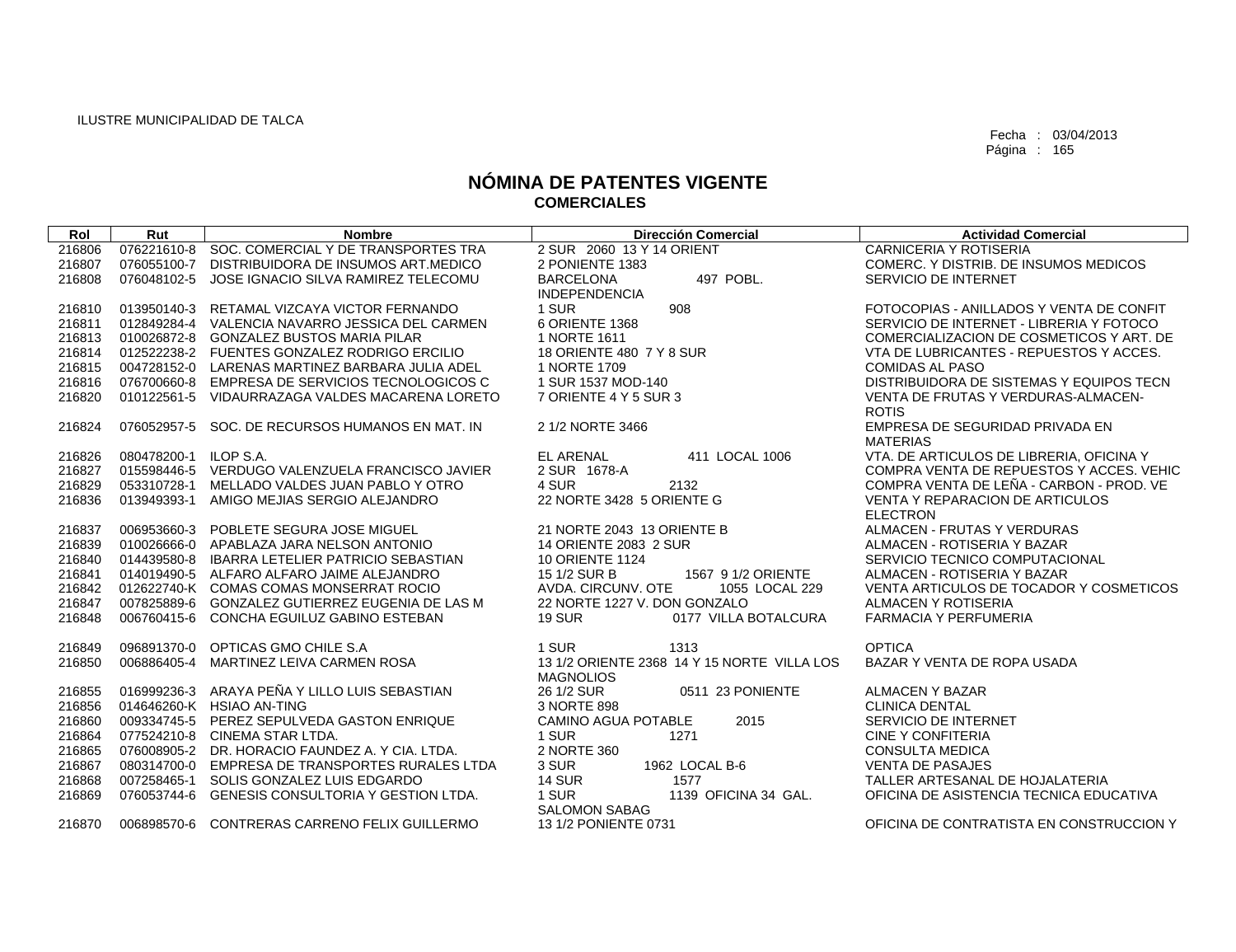| Rol    | Rut                   | <b>Nombre</b>                                   | <b>Dirección Comercial</b>                                      | <b>Actividad Comercial</b>                          |
|--------|-----------------------|-------------------------------------------------|-----------------------------------------------------------------|-----------------------------------------------------|
| 216806 | 076221610-8           | SOC. COMERCIAL Y DE TRANSPORTES TRA             | 2 SUR 2060 13 Y 14 ORIENT                                       | <b>CARNICERIA Y ROTISERIA</b>                       |
| 216807 |                       | 076055100-7 DISTRIBUIDORA DE INSUMOS ART.MEDICO | 2 PONIENTE 1383                                                 | COMERC. Y DISTRIB. DE INSUMOS MEDICOS               |
| 216808 | 076048102-5           | JOSE IGNACIO SILVA RAMIREZ TELECOMU             | 497 POBL.<br><b>BARCELONA</b><br><b>INDEPENDENCIA</b>           | SERVICIO DE INTERNET                                |
| 216810 |                       | 013950140-3 RETAMAL VIZCAYA VICTOR FERNANDO     | 1 SUR<br>908                                                    | FOTOCOPIAS - ANILLADOS Y VENTA DE CONFIT            |
| 216811 | 012849284-4           | VALENCIA NAVARRO JESSICA DEL CARMEN             | 6 ORIENTE 1368                                                  | SERVICIO DE INTERNET - LIBRERIA Y FOTOCO            |
| 216813 |                       | 010026872-8 GONZALEZ BUSTOS MARIA PILAR         | 1 NORTE 1611                                                    | COMERCIALIZACION DE COSMETICOS Y ART. DE            |
| 216814 |                       | 012522238-2 FUENTES GONZALEZ RODRIGO ERCILIO    | 18 ORIENTE 480 7 Y 8 SUR                                        | VTA DE LUBRICANTES - REPUESTOS Y ACCES.             |
| 216815 |                       | 004728152-0 LARENAS MARTINEZ BARBARA JULIA ADEL | 1 NORTE 1709                                                    | <b>COMIDAS AL PASO</b>                              |
| 216816 | 076700660-8           | EMPRESA DE SERVICIOS TECNOLOGICOS C             | 1 SUR 1537 MOD-140                                              | DISTRIBUIDORA DE SISTEMAS Y EQUIPOS TECN            |
| 216820 | 010122561-5           | VIDAURRAZAGA VALDES MACARENA LORETO             | 7 ORIENTE 4 Y 5 SUR 3                                           | VENTA DE FRUTAS Y VERDURAS-ALMACEN-<br><b>ROTIS</b> |
| 216824 | 076052957-5           | SOC. DE RECURSOS HUMANOS EN MAT. IN             | 2 1/2 NORTE 3466                                                | EMPRESA DE SEGURIDAD PRIVADA EN<br><b>MATERIAS</b>  |
| 216826 | 080478200-1 ILOP S.A. |                                                 | <b>EL ARENAL</b><br>411 LOCAL 1006                              | VTA, DE ARTICULOS DE LIBRERIA, OFICINA Y            |
| 216827 | 015598446-5           | VERDUGO VALENZUELA FRANCISCO JAVIER             | 2 SUR 1678-A                                                    | COMPRA VENTA DE REPUESTOS Y ACCES, VEHIC            |
| 216829 |                       | 053310728-1 MELLADO VALDES JUAN PABLO Y OTRO    | 4 SUR<br>2132                                                   | COMPRA VENTA DE LEÑA - CARBON - PROD. VE            |
| 216836 | 013949393-1           | AMIGO MEJIAS SERGIO ALEJANDRO                   | 22 NORTE 3428 5 ORIENTE G                                       | <b>VENTA Y REPARACION DE ARTICULOS</b>              |
|        |                       |                                                 |                                                                 | <b>ELECTRON</b>                                     |
| 216837 | 006953660-3           | POBLETE SEGURA JOSE MIGUEL                      | 21 NORTE 2043 13 ORIENTE B                                      | ALMACEN - FRUTAS Y VERDURAS                         |
| 216839 |                       | 010026666-0 APABLAZA JARA NELSON ANTONIO        | 14 ORIENTE 2083 2 SUR                                           | ALMACEN - ROTISERIA Y BAZAR                         |
| 216840 | 014439580-8           | <b>IBARRA LETELIER PATRICIO SEBASTIAN</b>       | <b>10 ORIENTE 1124</b>                                          | SERVICIO TECNICO COMPUTACIONAL                      |
| 216841 |                       | 014019490-5 ALFARO ALFARO JAIME ALEJANDRO       | 15 1/2 SUR B<br>1567 9 1/2 ORIENTE                              | ALMACEN - ROTISERIA Y BAZAR                         |
| 216842 |                       | 012622740-K COMAS COMAS MONSERRAT ROCIO         | AVDA, CIRCUNV, OTE<br>1055 LOCAL 229                            | VENTA ARTICULOS DE TOCADOR Y COSMETICOS             |
| 216847 |                       | 007825889-6 GONZALEZ GUTIERREZ EUGENIA DE LAS M | 22 NORTE 1227 V. DON GONZALO                                    | ALMACEN Y ROTISERIA                                 |
| 216848 |                       | 006760415-6 CONCHA EGUILUZ GABINO ESTEBAN       | <b>19 SUR</b><br>0177 VILLA BOTALCURA                           | <b>FARMACIA Y PERFUMERIA</b>                        |
| 216849 |                       | 096891370-0 OPTICAS GMO CHILE S.A               | 1 SUR<br>1313                                                   | <b>OPTICA</b>                                       |
| 216850 |                       | 006886405-4 MARTINEZ LEIVA CARMEN ROSA          | 13 1/2 ORIENTE 2368 14 Y 15 NORTE VILLA LOS<br><b>MAGNOLIOS</b> | BAZAR Y VENTA DE ROPA USADA                         |
| 216855 |                       | 016999236-3 ARAYA PEÑA Y LILLO LUIS SEBASTIAN   | 26 1/2 SUR<br>0511 23 PONIENTE                                  | <b>ALMACEN Y BAZAR</b>                              |
| 216856 |                       | 014646260-K HSIAO AN-TING                       | 3 NORTE 898                                                     | <b>CLINICA DENTAL</b>                               |
| 216860 |                       | 009334745-5 PEREZ SEPULVEDA GASTON ENRIQUE      | <b>CAMINO AGUA POTABLE</b><br>2015                              | SERVICIO DE INTERNET                                |
| 216864 |                       | 077524210-8 CINEMA STAR LTDA.                   | 1 SUR<br>1271                                                   | <b>CINE Y CONFITERIA</b>                            |
| 216865 |                       | 076008905-2 DR. HORACIO FAUNDEZ A. Y CIA, LTDA. | 2 NORTE 360                                                     | <b>CONSULTA MEDICA</b>                              |
| 216867 |                       | 080314700-0 EMPRESA DE TRANSPORTES RURALES LTDA | 1962 LOCAL B-6<br>3 SUR                                         | <b>VENTA DE PASAJES</b>                             |
| 216868 | 007258465-1           | SOLIS GONZALEZ LUIS EDGARDO                     | <b>14 SUR</b><br>1577                                           | TALLER ARTESANAL DE HOJALATERIA                     |
| 216869 | 076053744-6           | <b>GENESIS CONSULTORIA Y GESTION LTDA.</b>      | 1 SUR<br>1139 OFICINA 34 GAL.                                   | OFICINA DE ASISTENCIA TECNICA EDUCATIVA             |
| 216870 |                       | 006898570-6 CONTRERAS CARRENO FELIX GUILLERMO   | <b>SALOMON SABAG</b><br>13 1/2 PONIENTE 0731                    | OFICINA DE CONTRATISTA EN CONSTRUCCION Y            |
|        |                       |                                                 |                                                                 |                                                     |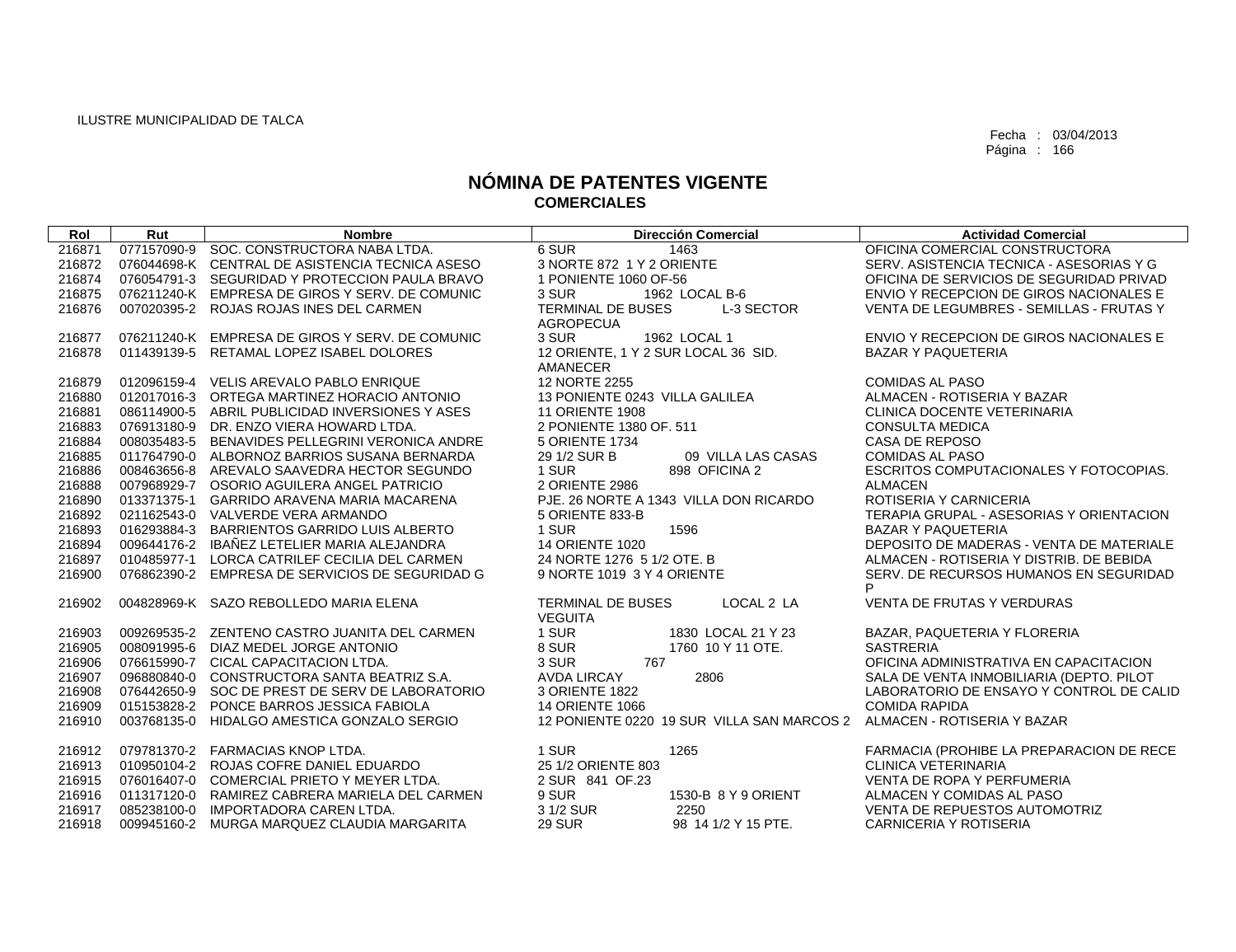| Rol    | Rut | <b>Nombre</b>                                   | <b>Dirección Comercial</b>                          | <b>Actividad Comercial</b>                  |
|--------|-----|-------------------------------------------------|-----------------------------------------------------|---------------------------------------------|
| 216871 |     | 077157090-9 SOC. CONSTRUCTORA NABA LTDA.        | 6 SUR<br>1463                                       | OFICINA COMERCIAL CONSTRUCTORA              |
| 216872 |     | 076044698-K CENTRAL DE ASISTENCIA TECNICA ASESO | 3 NORTE 872 1 Y 2 ORIENTE                           | SERV. ASISTENCIA TECNICA - ASESORIAS Y G    |
| 216874 |     | 076054791-3 SEGURIDAD Y PROTECCION PAULA BRAVO  | 1 PONIENTE 1060 OF-56                               | OFICINA DE SERVICIOS DE SEGURIDAD PRIVAD    |
| 216875 |     | 076211240-K EMPRESA DE GIROS Y SERV. DE COMUNIC | 1962 LOCAL B-6<br>3 SUR                             | ENVIO Y RECEPCION DE GIROS NACIONALES E     |
| 216876 |     | 007020395-2 ROJAS ROJAS INES DEL CARMEN         | TERMINAL DE BUSES<br>L-3 SECTOR<br><b>AGROPECUA</b> | VENTA DE LEGUMBRES - SEMILLAS - FRUTAS Y    |
| 216877 |     | 076211240-K EMPRESA DE GIROS Y SERV. DE COMUNIC | 3 SUR<br>1962 LOCAL 1                               | ENVIO Y RECEPCION DE GIROS NACIONALES E     |
| 216878 |     | 011439139-5 RETAMAL LOPEZ ISABEL DOLORES        | 12 ORIENTE, 1 Y 2 SUR LOCAL 36 SID.<br>AMANECER     | <b>BAZAR Y PAQUETERIA</b>                   |
| 216879 |     | 012096159-4 VELIS AREVALO PABLO ENRIQUE         | 12 NORTE 2255                                       | <b>COMIDAS AL PASO</b>                      |
| 216880 |     | 012017016-3 ORTEGA MARTINEZ HORACIO ANTONIO     | 13 PONIENTE 0243 VILLA GALILEA                      | ALMACEN - ROTISERIA Y BAZAR                 |
| 216881 |     | 086114900-5 ABRIL PUBLICIDAD INVERSIONES Y ASES | <b>11 ORIENTE 1908</b>                              | CLINICA DOCENTE VETERINARIA                 |
| 216883 |     | 076913180-9 DR. ENZO VIERA HOWARD LTDA.         | 2 PONIENTE 1380 OF. 511                             | <b>CONSULTA MEDICA</b>                      |
| 216884 |     | 008035483-5 BENAVIDES PELLEGRINI VERONICA ANDRE | 5 ORIENTE 1734                                      | CASA DE REPOSO                              |
| 216885 |     | 011764790-0 ALBORNOZ BARRIOS SUSANA BERNARDA    | 29 1/2 SUR B<br>09 VILLA LAS CASAS                  | <b>COMIDAS AL PASO</b>                      |
| 216886 |     | 008463656-8 AREVALO SAAVEDRA HECTOR SEGUNDO     | 1 SUR<br>898 OFICINA 2                              | ESCRITOS COMPUTACIONALES Y FOTOCOPIAS.      |
| 216888 |     | 007968929-7 OSORIO AGUILERA ANGEL PATRICIO      | 2 ORIENTE 2986                                      | <b>ALMACEN</b>                              |
| 216890 |     | 013371375-1 GARRIDO ARAVENA MARIA MACARENA      | PJE. 26 NORTE A 1343 VILLA DON RICARDO              | ROTISERIA Y CARNICERIA                      |
| 216892 |     | 021162543-0 VALVERDE VERA ARMANDO               | 5 ORIENTE 833-B                                     | TERAPIA GRUPAL - ASESORIAS Y ORIENTACION    |
| 216893 |     | 016293884-3 BARRIENTOS GARRIDO LUIS ALBERTO     | 1596<br>1 SUR                                       | <b>BAZAR Y PAQUETERIA</b>                   |
| 216894 |     | 009644176-2 IBAÑEZ LETELIER MARIA ALEJANDRA     | <b>14 ORIENTE 1020</b>                              | DEPOSITO DE MADERAS - VENTA DE MATERIALE    |
| 216897 |     | 010485977-1 LORCA CATRILEF CECILIA DEL CARMEN   | 24 NORTE 1276 5 1/2 OTE, B                          | ALMACEN - ROTISERIA Y DISTRIB. DE BEBIDA    |
| 216900 |     | 076862390-2 EMPRESA DE SERVICIOS DE SEGURIDAD G | 9 NORTE 1019 3 Y 4 ORIENTE                          | SERV. DE RECURSOS HUMANOS EN SEGURIDAD<br>P |
| 216902 |     | 004828969-K SAZO REBOLLEDO MARIA ELENA          | LOCAL 2 LA<br>TERMINAL DE BUSES<br>VEGUITA          | VENTA DE FRUTAS Y VERDURAS                  |
| 216903 |     | 009269535-2 ZENTENO CASTRO JUANITA DEL CARMEN   | 1 SUR<br>1830 LOCAL 21 Y 23                         | BAZAR, PAQUETERIA Y FLORERIA                |
| 216905 |     | 008091995-6 DIAZ MEDEL JORGE ANTONIO            | 8 SUR<br>1760 10 Y 11 OTE.                          | <b>SASTRERIA</b>                            |
| 216906 |     | 076615990-7 CICAL CAPACITACION LTDA.            | 3 SUR<br>767                                        | OFICINA ADMINISTRATIVA EN CAPACITACION      |
| 216907 |     | 096880840-0 CONSTRUCTORA SANTA BEATRIZ S.A.     | <b>AVDA LIRCAY</b><br>2806                          | SALA DE VENTA INMOBILIARIA (DEPTO. PILOT    |
| 216908 |     | 076442650-9 SOC DE PREST DE SERV DE LABORATORIO | 3 ORIENTE 1822                                      | LABORATORIO DE ENSAYO Y CONTROL DE CALID    |
| 216909 |     | 015153828-2 PONCE BARROS JESSICA FABIOLA        | <b>14 ORIENTE 1066</b>                              | <b>COMIDA RAPIDA</b>                        |
| 216910 |     | 003768135-0 HIDALGO AMESTICA GONZALO SERGIO     | 12 PONIENTE 0220 19 SUR VILLA SAN MARCOS 2          | ALMACEN - ROTISERIA Y BAZAR                 |
| 216912 |     | 079781370-2 FARMACIAS KNOP LTDA.                | 1 SUR<br>1265                                       | FARMACIA (PROHIBE LA PREPARACION DE RECE    |
| 216913 |     | 010950104-2 ROJAS COFRE DANIEL EDUARDO          | 25 1/2 ORIENTE 803                                  | <b>CLINICA VETERINARIA</b>                  |
| 216915 |     | 076016407-0 COMERCIAL PRIETO Y MEYER LTDA.      | 2 SUR 841 OF.23                                     | VENTA DE ROPA Y PERFUMERIA                  |
| 216916 |     | 011317120-0 RAMIREZ CABRERA MARIELA DEL CARMEN  | 9 SUR<br>1530-B 8 Y 9 ORIENT                        | ALMACEN Y COMIDAS AL PASO                   |
| 216917 |     | 085238100-0 IMPORTADORA CAREN LTDA.             | 3 1/2 SUR<br>2250                                   | VENTA DE REPUESTOS AUTOMOTRIZ               |
| 216918 |     | 009945160-2 MURGA MARQUEZ CLAUDIA MARGARITA     | <b>29 SUR</b><br>98 14 1/2 Y 15 PTE.                | CARNICERIA Y ROTISERIA                      |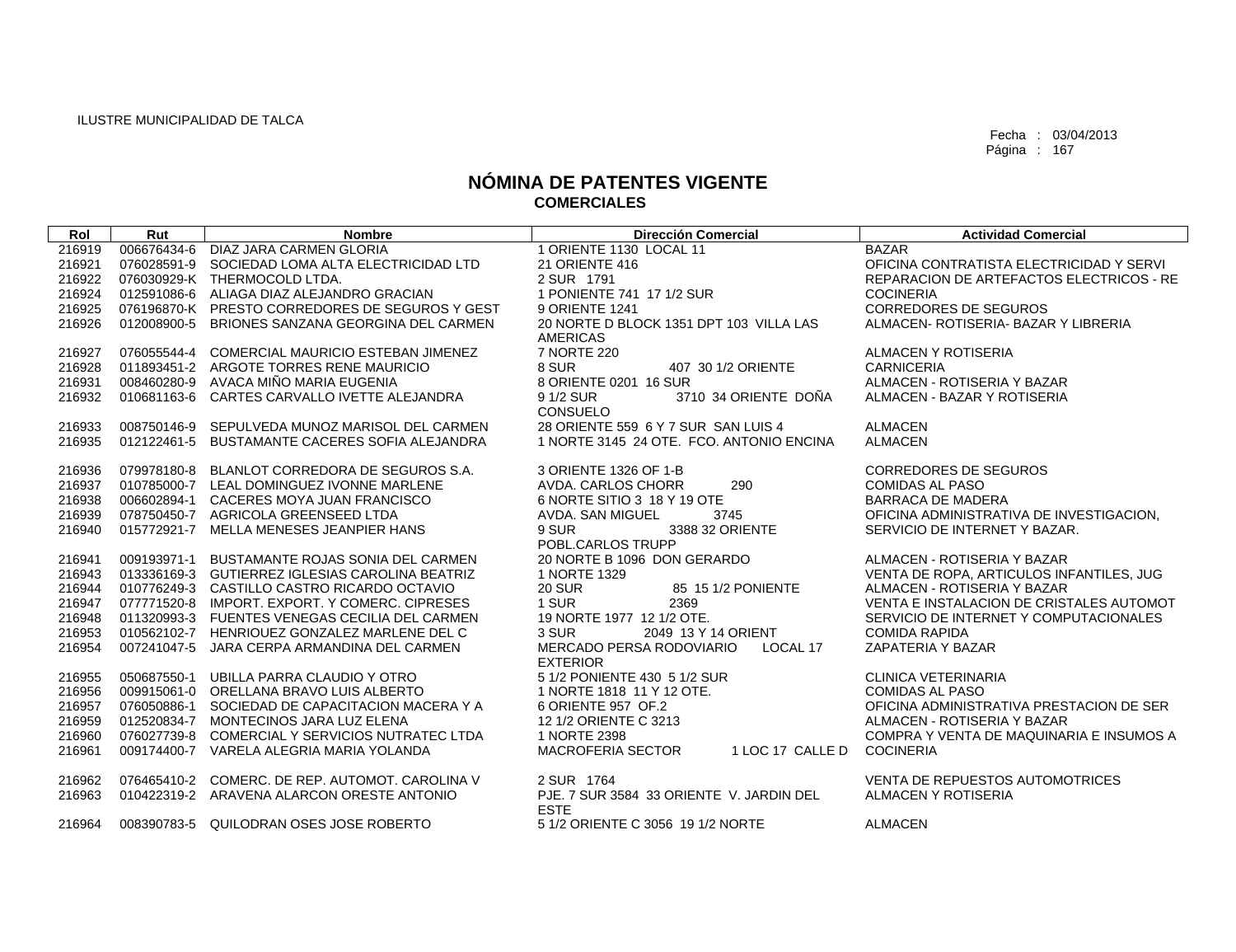| Rol    | Rut         | <b>Nombre</b>                                   | <b>Dirección Comercial</b>                                 | <b>Actividad Comercial</b>               |
|--------|-------------|-------------------------------------------------|------------------------------------------------------------|------------------------------------------|
| 216919 |             | 006676434-6 DIAZ JARA CARMEN GLORIA             | 1 ORIENTE 1130 LOCAL 11                                    | <b>BAZAR</b>                             |
| 216921 |             | 076028591-9 SOCIEDAD LOMA ALTA ELECTRICIDAD LTD | 21 ORIENTE 416                                             | OFICINA CONTRATISTA ELECTRICIDAD Y SERVI |
| 216922 |             | 076030929-K THERMOCOLD LTDA.                    | 2 SUR 1791                                                 | REPARACION DE ARTEFACTOS ELECTRICOS - RE |
| 216924 |             | 012591086-6 ALIAGA DIAZ ALEJANDRO GRACIAN       | 1 PONIENTE 741 17 1/2 SUR                                  | <b>COCINERIA</b>                         |
| 216925 |             | 076196870-K PRESTO CORREDORES DE SEGUROS Y GEST | 9 ORIENTE 1241                                             | <b>CORREDORES DE SEGUROS</b>             |
| 216926 | 012008900-5 | BRIONES SANZANA GEORGINA DEL CARMEN             | 20 NORTE D BLOCK 1351 DPT 103 VILLA LAS<br><b>AMERICAS</b> | ALMACEN- ROTISERIA- BAZAR Y LIBRERIA     |
| 216927 |             | 076055544-4 COMERCIAL MAURICIO ESTEBAN JIMENEZ  | 7 NORTE 220                                                | ALMACEN Y ROTISERIA                      |
| 216928 |             | 011893451-2 ARGOTE TORRES RENE MAURICIO         | 8 SUR<br>407 30 1/2 ORIENTE                                | <b>CARNICERIA</b>                        |
| 216931 |             | 008460280-9 AVACA MIÑO MARIA EUGENIA            | 8 ORIENTE 0201 16 SUR                                      | ALMACEN - ROTISERIA Y BAZAR              |
| 216932 |             | 010681163-6 CARTES CARVALLO IVETTE ALEJANDRA    | 9 1/2 SUR<br>3710 34 ORIENTE DOÑA<br>CONSUELO              | ALMACEN - BAZAR Y ROTISERIA              |
| 216933 |             | 008750146-9 SEPULVEDA MUNOZ MARISOL DEL CARMEN  | 28 ORIENTE 559 6 Y 7 SUR SAN LUIS 4                        | <b>ALMACEN</b>                           |
| 216935 |             | 012122461-5 BUSTAMANTE CACERES SOFIA ALEJANDRA  | 1 NORTE 3145 24 OTE, FCO, ANTONIO ENCINA                   | <b>ALMACEN</b>                           |
| 216936 |             | 079978180-8 BLANLOT CORREDORA DE SEGUROS S.A.   | 3 ORIENTE 1326 OF 1-B                                      | <b>CORREDORES DE SEGUROS</b>             |
| 216937 |             | 010785000-7 LEAL DOMINGUEZ IVONNE MARLENE       | AVDA. CARLOS CHORR<br>290                                  | <b>COMIDAS AL PASO</b>                   |
| 216938 |             | 006602894-1 CACERES MOYA JUAN FRANCISCO         | 6 NORTE SITIO 3 18 Y 19 OTE                                | <b>BARRACA DE MADERA</b>                 |
| 216939 |             | 078750450-7 AGRICOLA GREENSEED LTDA             | AVDA. SAN MIGUEL<br>3745                                   | OFICINA ADMINISTRATIVA DE INVESTIGACION. |
| 216940 |             | 015772921-7 MELLA MENESES JEANPIER HANS         | 9 SUR<br>3388 32 ORIENTE                                   | SERVICIO DE INTERNET Y BAZAR.            |
|        |             |                                                 | POBL.CARLOS TRUPP                                          |                                          |
| 216941 |             | 009193971-1 BUSTAMANTE ROJAS SONIA DEL CARMEN   | 20 NORTE B 1096 DON GERARDO                                | ALMACEN - ROTISERIA Y BAZAR              |
| 216943 |             | 013336169-3 GUTIERREZ IGLESIAS CAROLINA BEATRIZ | 1 NORTE 1329                                               | VENTA DE ROPA, ARTICULOS INFANTILES, JUG |
| 216944 |             | 010776249-3 CASTILLO CASTRO RICARDO OCTAVIO     | <b>20 SUR</b><br>85 15 1/2 PONIENTE                        | ALMACEN - ROTISERIA Y BAZAR              |
| 216947 |             | 077771520-8 IMPORT. EXPORT. Y COMERC. CIPRESES  | 1 SUR<br>2369                                              | VENTA E INSTALACION DE CRISTALES AUTOMOT |
| 216948 |             | 011320993-3 FUENTES VENEGAS CECILIA DEL CARMEN  | 19 NORTE 1977 12 1/2 OTE.                                  | SERVICIO DE INTERNET Y COMPUTACIONALES   |
| 216953 |             | 010562102-7 HENRIOUEZ GONZALEZ MARLENE DEL C    | 3 SUR<br>2049 13 Y 14 ORIENT                               | <b>COMIDA RAPIDA</b>                     |
| 216954 |             | 007241047-5 JARA CERPA ARMANDINA DEL CARMEN     | MERCADO PERSA RODOVIARIO<br>LOCAL 17<br><b>EXTERIOR</b>    | ZAPATERIA Y BAZAR                        |
| 216955 | 050687550-1 | UBILLA PARRA CLAUDIO Y OTRO                     | 5 1/2 PONIENTE 430 5 1/2 SUR                               | <b>CLINICA VETERINARIA</b>               |
| 216956 |             | 009915061-0 ORELLANA BRAVO LUIS ALBERTO         | 1 NORTE 1818 11 Y 12 OTE.                                  | <b>COMIDAS AL PASO</b>                   |
| 216957 |             | 076050886-1 SOCIEDAD DE CAPACITACION MACERA Y A | 6 ORIENTE 957 OF.2                                         | OFICINA ADMINISTRATIVA PRESTACION DE SER |
| 216959 |             | 012520834-7 MONTECINOS JARA LUZ ELENA           | 12 1/2 ORIENTE C 3213                                      | ALMACEN - ROTISERIA Y BAZAR              |
| 216960 |             | 076027739-8 COMERCIAL Y SERVICIOS NUTRATEC LTDA | 1 NORTE 2398                                               | COMPRA Y VENTA DE MAQUINARIA E INSUMOS A |
| 216961 |             | 009174400-7 VARELA ALEGRIA MARIA YOLANDA        | 1 LOC 17 CALLE D<br><b>MACROFERIA SECTOR</b>               | <b>COCINERIA</b>                         |
| 216962 |             | 076465410-2 COMERC, DE REP. AUTOMOT, CAROLINA V | 2 SUR 1764                                                 | <b>VENTA DE REPUESTOS AUTOMOTRICES</b>   |
| 216963 |             | 010422319-2 ARAVENA ALARCON ORESTE ANTONIO      | PJE, 7 SUR 3584 33 ORIENTE V. JARDIN DEL<br><b>ESTE</b>    | ALMACEN Y ROTISERIA                      |
| 216964 |             | 008390783-5 QUILODRAN OSES JOSE ROBERTO         | 5 1/2 ORIENTE C 3056 19 1/2 NORTE                          | <b>ALMACEN</b>                           |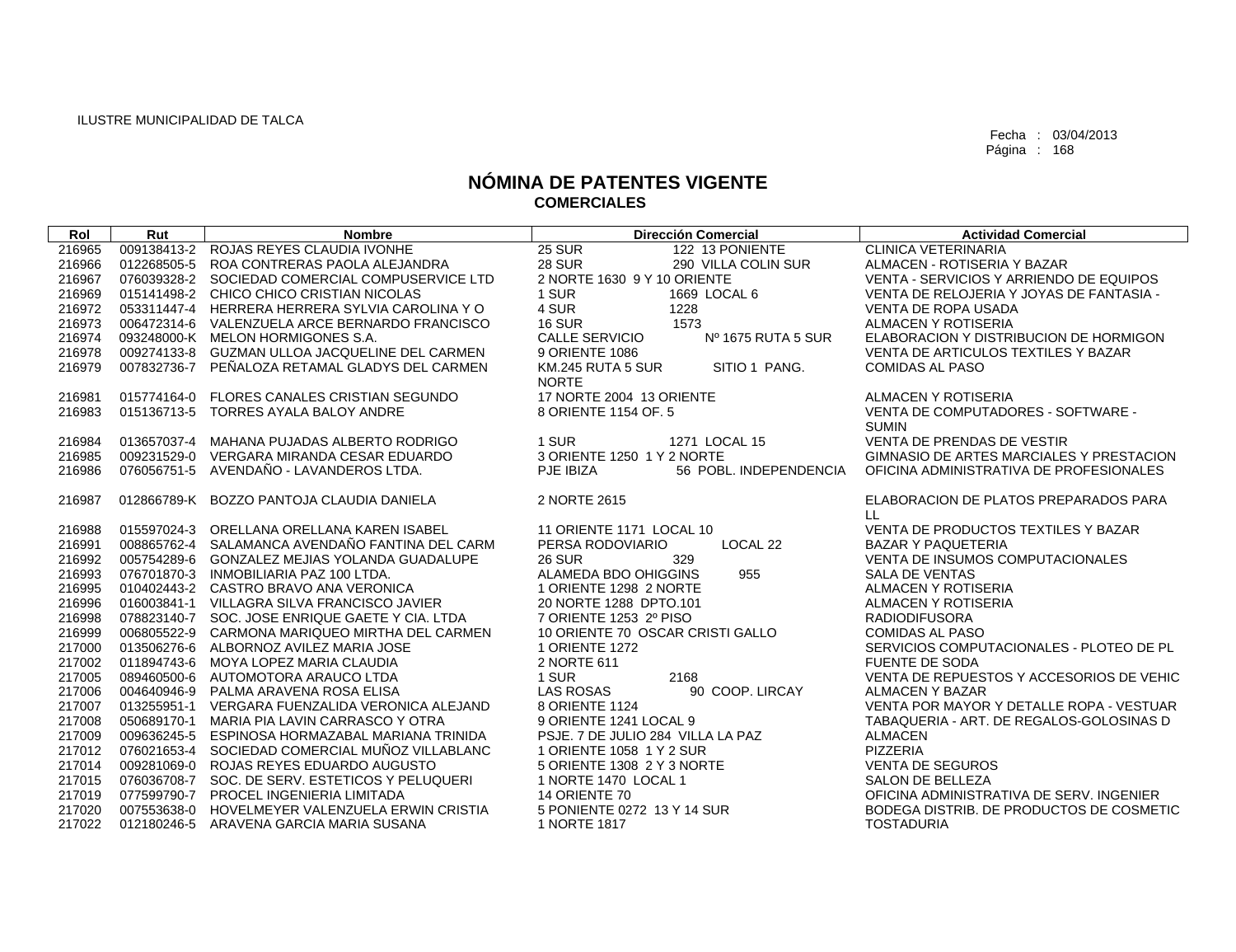| Rol    | Rut         | <b>Nombre</b>                                   | <b>Dirección Comercial</b>                         | <b>Actividad Comercial</b>                         |
|--------|-------------|-------------------------------------------------|----------------------------------------------------|----------------------------------------------------|
| 216965 |             | 009138413-2 ROJAS REYES CLAUDIA IVONHE          | <b>25 SUR</b><br>122 13 PONIENTE                   | <b>CLINICA VETERINARIA</b>                         |
| 216966 |             | 012268505-5 ROA CONTRERAS PAOLA ALEJANDRA       | <b>28 SUR</b><br>290 VILLA COLIN SUR               | ALMACEN - ROTISERIA Y BAZAR                        |
| 216967 |             | 076039328-2 SOCIEDAD COMERCIAL COMPUSERVICE LTD | 2 NORTE 1630 9 Y 10 ORIENTE                        | VENTA - SERVICIOS Y ARRIENDO DE EQUIPOS            |
| 216969 |             | 015141498-2 CHICO CHICO CRISTIAN NICOLAS        | 1 SUR<br>1669 LOCAL 6                              | VENTA DE RELOJERIA Y JOYAS DE FANTASIA -           |
| 216972 |             | 053311447-4 HERRERA HERRERA SYLVIA CAROLINA Y O | 4 SUR<br>1228                                      | <b>VENTA DE ROPA USADA</b>                         |
| 216973 |             | 006472314-6 VALENZUELA ARCE BERNARDO FRANCISCO  | 1573<br><b>16 SUR</b>                              | ALMACEN Y ROTISERIA                                |
| 216974 |             | 093248000-K MELON HORMIGONES S.A.               | <b>CALLE SERVICIO</b><br>Nº 1675 RUTA 5 SUR        | ELABORACION Y DISTRIBUCION DE HORMIGON             |
| 216978 |             | 009274133-8 GUZMAN ULLOA JACQUELINE DEL CARMEN  | 9 ORIENTE 1086                                     | VENTA DE ARTICULOS TEXTILES Y BAZAR                |
| 216979 |             | 007832736-7 PEÑALOZA RETAMAL GLADYS DEL CARMEN  | KM.245 RUTA 5 SUR<br>SITIO 1 PANG.<br><b>NORTE</b> | <b>COMIDAS AL PASO</b>                             |
| 216981 |             | 015774164-0 FLORES CANALES CRISTIAN SEGUNDO     | 17 NORTE 2004 13 ORIENTE                           | ALMACEN Y ROTISERIA                                |
| 216983 |             | 015136713-5 TORRES AYALA BALOY ANDRE            | 8 ORIENTE 1154 OF, 5                               | VENTA DE COMPUTADORES - SOFTWARE -<br><b>SUMIN</b> |
| 216984 | 013657037-4 | MAHANA PUJADAS ALBERTO RODRIGO                  | 1 SUR<br>1271 LOCAL 15                             | VENTA DE PRENDAS DE VESTIR                         |
| 216985 |             | 009231529-0 VERGARA MIRANDA CESAR EDUARDO       | 3 ORIENTE 1250 1 Y 2 NORTE                         | GIMNASIO DE ARTES MARCIALES Y PRESTACION           |
| 216986 |             | 076056751-5 AVENDAÑO - LAVANDEROS LTDA.         | 56 POBL. INDEPENDENCIA<br>PJE IBIZA                | OFICINA ADMINISTRATIVA DE PROFESIONALES            |
| 216987 |             | 012866789-K BOZZO PANTOJA CLAUDIA DANIELA       | 2 NORTE 2615                                       | ELABORACION DE PLATOS PREPARADOS PARA<br>LL.       |
| 216988 |             | 015597024-3 ORELLANA ORELLANA KAREN ISABEL      | 11 ORIENTE 1171 LOCAL 10                           | VENTA DE PRODUCTOS TEXTILES Y BAZAR                |
| 216991 |             | 008865762-4 SALAMANCA AVENDAÑO FANTINA DEL CARM | PERSA RODOVIARIO<br>LOCAL 22                       | <b>BAZAR Y PAQUETERIA</b>                          |
| 216992 |             | 005754289-6 GONZALEZ MEJIAS YOLANDA GUADALUPE   | <b>26 SUR</b><br>329                               | <b>VENTA DE INSUMOS COMPUTACIONALES</b>            |
| 216993 |             | 076701870-3 INMOBILIARIA PAZ 100 LTDA.          | ALAMEDA BDO OHIGGINS<br>955                        | <b>SALA DE VENTAS</b>                              |
| 216995 |             | 010402443-2 CASTRO BRAVO ANA VERONICA           | 1 ORIENTE 1298 2 NORTE                             | ALMACEN Y ROTISERIA                                |
| 216996 |             | 016003841-1 VILLAGRA SILVA FRANCISCO JAVIER     | 20 NORTE 1288 DPTO.101                             | ALMACEN Y ROTISERIA                                |
| 216998 | 078823140-7 | SOC. JOSE ENRIQUE GAETE Y CIA. LTDA             | 7 ORIENTE 1253 2º PISO                             | <b>RADIODIFUSORA</b>                               |
| 216999 |             | 006805522-9 CARMONA MARIQUEO MIRTHA DEL CARMEN  | 10 ORIENTE 70 OSCAR CRISTI GALLO                   | <b>COMIDAS AL PASO</b>                             |
| 217000 |             | 013506276-6 ALBORNOZ AVILEZ MARIA JOSE          | 1 ORIENTE 1272                                     | SERVICIOS COMPUTACIONALES - PLOTEO DE PL           |
| 217002 |             | 011894743-6 MOYA LOPEZ MARIA CLAUDIA            | 2 NORTE 611                                        | <b>FUENTE DE SODA</b>                              |
| 217005 |             | 089460500-6 AUTOMOTORA ARAUCO LTDA              | 1 SUR<br>2168                                      | VENTA DE REPUESTOS Y ACCESORIOS DE VEHIC           |
| 217006 |             | 004640946-9 PALMA ARAVENA ROSA ELISA            | <b>LAS ROSAS</b><br>90 COOP, LIRCAY                | ALMACEN Y BAZAR                                    |
| 217007 | 013255951-1 | VERGARA FUENZALIDA VERONICA ALEJAND             | 8 ORIENTE 1124                                     | VENTA POR MAYOR Y DETALLE ROPA - VESTUAR           |
| 217008 | 050689170-1 | MARIA PIA LAVIN CARRASCO Y OTRA                 | 9 ORIENTE 1241 LOCAL 9                             | TABAQUERIA - ART. DE REGALOS-GOLOSINAS D           |
| 217009 |             | 009636245-5 ESPINOSA HORMAZABAL MARIANA TRINIDA | PSJE, 7 DE JULIO 284 VILLA LA PAZ                  | <b>ALMACEN</b>                                     |
| 217012 |             | 076021653-4 SOCIEDAD COMERCIAL MUÑOZ VILLABLANC | 1 ORIENTE 1058 1 Y 2 SUR                           | PIZZERIA                                           |
| 217014 |             | 009281069-0 ROJAS REYES EDUARDO AUGUSTO         | 5 ORIENTE 1308 2 Y 3 NORTE                         | <b>VENTA DE SEGUROS</b>                            |
| 217015 |             | 076036708-7 SOC. DE SERV. ESTETICOS Y PELUQUERI | 1 NORTE 1470 LOCAL 1                               | <b>SALON DE BELLEZA</b>                            |
| 217019 |             | 077599790-7 PROCEL INGENIERIA LIMITADA          | 14 ORIENTE 70                                      | OFICINA ADMINISTRATIVA DE SERV. INGENIER           |
| 217020 |             | 007553638-0 HOVELMEYER VALENZUELA ERWIN CRISTIA | 5 PONIENTE 0272 13 Y 14 SUR                        | BODEGA DISTRIB. DE PRODUCTOS DE COSMETIC           |
| 217022 |             | 012180246-5 ARAVENA GARCIA MARIA SUSANA         | 1 NORTE 1817                                       | <b>TOSTADURIA</b>                                  |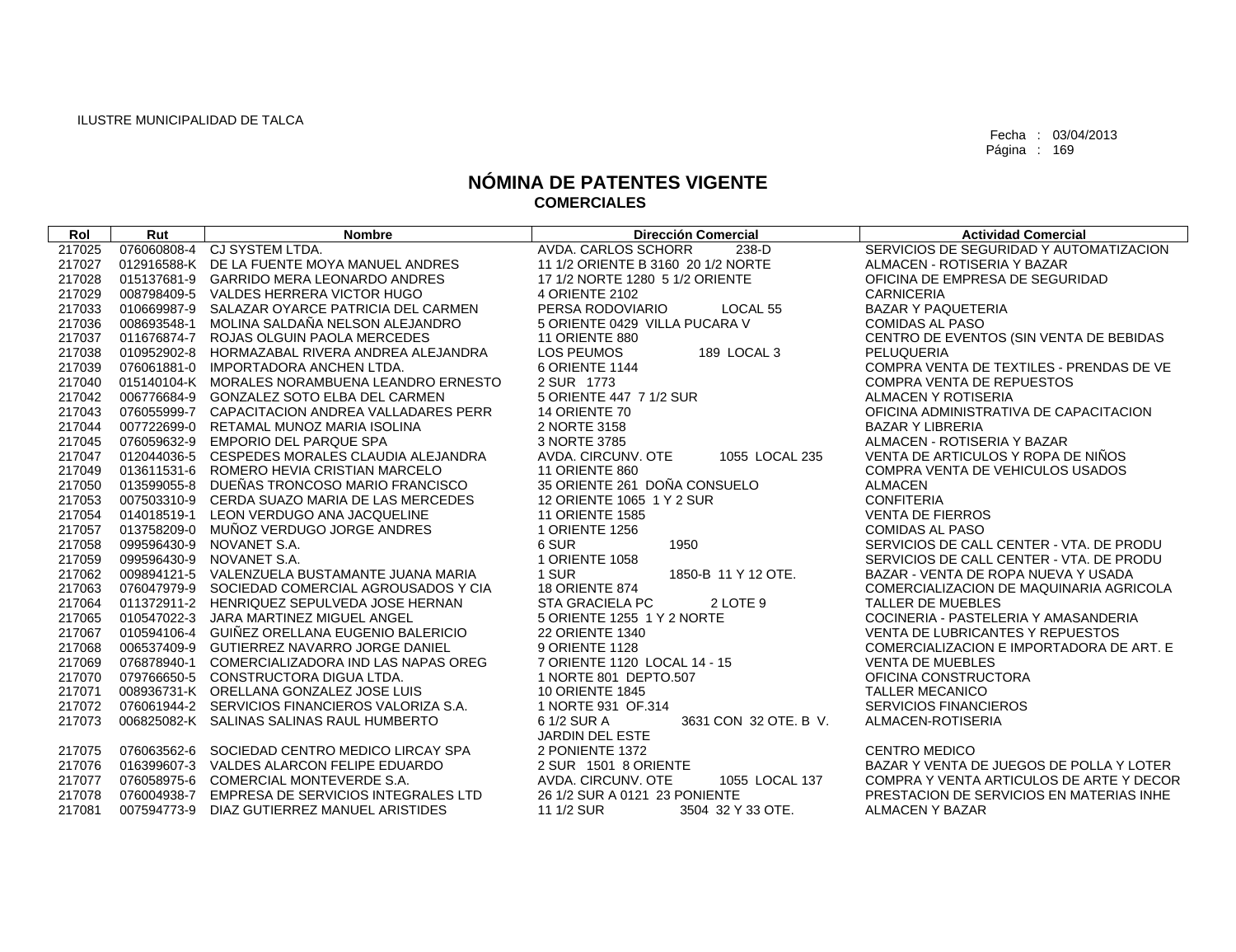| Rol    | Rut         | <b>Nombre</b>                                   | <b>Dirección Comercial</b>                                     | <b>Actividad Comercial</b>               |
|--------|-------------|-------------------------------------------------|----------------------------------------------------------------|------------------------------------------|
| 217025 |             | 076060808-4 CJ SYSTEM LTDA.                     | AVDA, CARLOS SCHORR<br>238-D                                   | SERVICIOS DE SEGURIDAD Y AUTOMATIZACION  |
| 217027 |             | 012916588-K DE LA FUENTE MOYA MANUEL ANDRES     | 11 1/2 ORIENTE B 3160 20 1/2 NORTE                             | ALMACEN - ROTISERIA Y BAZAR              |
| 217028 |             | 015137681-9 GARRIDO MERA LEONARDO ANDRES        | 17 1/2 NORTE 1280 5 1/2 ORIENTE                                | OFICINA DE EMPRESA DE SEGURIDAD          |
| 217029 |             | 008798409-5 VALDES HERRERA VICTOR HUGO          | 4 ORIENTE 2102                                                 | <b>CARNICERIA</b>                        |
| 217033 |             | 010669987-9 SALAZAR OYARCE PATRICIA DEL CARMEN  | PERSA RODOVIARIO<br>LOCAL <sub>55</sub>                        | <b>BAZAR Y PAQUETERIA</b>                |
| 217036 |             | 008693548-1 MOLINA SALDAÑA NELSON ALEJANDRO     | 5 ORIENTE 0429 VILLA PUCARA V                                  | <b>COMIDAS AL PASO</b>                   |
| 217037 |             | 011676874-7 ROJAS OLGUIN PAOLA MERCEDES         | 11 ORIENTE 880                                                 | CENTRO DE EVENTOS (SIN VENTA DE BEBIDAS  |
| 217038 |             | 010952902-8 HORMAZABAL RIVERA ANDREA ALEJANDRA  | 189 LOCAL 3<br><b>LOS PEUMOS</b>                               | PELUQUERIA                               |
| 217039 |             | 076061881-0 IMPORTADORA ANCHEN LTDA.            | 6 ORIENTE 1144                                                 | COMPRA VENTA DE TEXTILES - PRENDAS DE VE |
| 217040 |             | 015140104-K MORALES NORAMBUENA LEANDRO ERNESTO  | 2 SUR 1773                                                     | <b>COMPRA VENTA DE REPUESTOS</b>         |
| 217042 |             | 006776684-9 GONZALEZ SOTO ELBA DEL CARMEN       | 5 ORIENTE 447 7 1/2 SUR                                        | ALMACEN Y ROTISERIA                      |
| 217043 |             | 076055999-7 CAPACITACION ANDREA VALLADARES PERR | 14 ORIENTE 70                                                  | OFICINA ADMINISTRATIVA DE CAPACITACION   |
| 217044 |             | 007722699-0 RETAMAL MUNOZ MARIA ISOLINA         | 2 NORTE 3158                                                   | <b>BAZAR Y LIBRERIA</b>                  |
| 217045 |             | 076059632-9 EMPORIO DEL PARQUE SPA              | 3 NORTE 3785                                                   | ALMACEN - ROTISERIA Y BAZAR              |
| 217047 |             | 012044036-5 CESPEDES MORALES CLAUDIA ALEJANDRA  | AVDA, CIRCUNV, OTE<br>1055 LOCAL 235                           | VENTA DE ARTICULOS Y ROPA DE NIÑOS       |
| 217049 |             | 013611531-6 ROMERO HEVIA CRISTIAN MARCELO       | 11 ORIENTE 860                                                 | COMPRA VENTA DE VEHICULOS USADOS         |
| 217050 |             | 013599055-8 DUEÑAS TRONCOSO MARIO FRANCISCO     | 35 ORIENTE 261 DOÑA CONSUELO                                   | <b>ALMACEN</b>                           |
| 217053 |             | 007503310-9 CERDA SUAZO MARIA DE LAS MERCEDES   | 12 ORIENTE 1065 1 Y 2 SUR                                      | <b>CONFITERIA</b>                        |
| 217054 |             | 014018519-1 LEON VERDUGO ANA JACQUELINE         | <b>11 ORIENTE 1585</b>                                         | <b>VENTA DE FIERROS</b>                  |
| 217057 |             | 013758209-0 MUÑOZ VERDUGO JORGE ANDRES          | 1 ORIENTE 1256                                                 | <b>COMIDAS AL PASO</b>                   |
| 217058 | 099596430-9 | NOVANET S.A.                                    | 6 SUR<br>1950                                                  | SERVICIOS DE CALL CENTER - VTA. DE PRODU |
| 217059 |             | 099596430-9 NOVANET S.A.                        | 1 ORIENTE 1058                                                 | SERVICIOS DE CALL CENTER - VTA. DE PRODU |
| 217062 |             | 009894121-5 VALENZUELA BUSTAMANTE JUANA MARIA   | 1 SUR<br>1850-B 11 Y 12 OTE.                                   | BAZAR - VENTA DE ROPA NUEVA Y USADA      |
| 217063 |             | 076047979-9 SOCIEDAD COMERCIAL AGROUSADOS Y CIA | <b>18 ORIENTE 874</b>                                          | COMERCIALIZACION DE MAQUINARIA AGRICOLA  |
| 217064 |             | 011372911-2 HENRIQUEZ SEPULVEDA JOSE HERNAN     | <b>STA GRACIELA PC</b><br>2 LOTE 9                             | <b>TALLER DE MUEBLES</b>                 |
| 217065 |             | 010547022-3 JARA MARTINEZ MIGUEL ANGEL          | 5 ORIENTE 1255 1 Y 2 NORTE                                     | COCINERIA - PASTELERIA Y AMASANDERIA     |
| 217067 |             | 010594106-4 GUIÑEZ ORELLANA EUGENIO BALERICIO   | <b>22 ORIENTE 1340</b>                                         | <b>VENTA DE LUBRICANTES Y REPUESTOS</b>  |
| 217068 |             | 006537409-9 GUTIERREZ NAVARRO JORGE DANIEL      | 9 ORIENTE 1128                                                 | COMERCIALIZACION E IMPORTADORA DE ART. E |
| 217069 |             | 076878940-1 COMERCIALIZADORA IND LAS NAPAS OREG | 7 ORIENTE 1120 LOCAL 14 - 15                                   | <b>VENTA DE MUEBLES</b>                  |
| 217070 |             | 079766650-5 CONSTRUCTORA DIGUA LTDA.            | 1 NORTE 801 DEPTO.507                                          | OFICINA CONSTRUCTORA                     |
| 217071 |             | 008936731-K ORELLANA GONZALEZ JOSE LUIS         | <b>10 ORIENTE 1845</b>                                         | <b>TALLER MECANICO</b>                   |
| 217072 |             | 076061944-2 SERVICIOS FINANCIEROS VALORIZA S.A. | 1 NORTE 931 OF 314                                             | <b>SERVICIOS FINANCIEROS</b>             |
| 217073 |             | 006825082-K SALINAS SALINAS RAUL HUMBERTO       | 6 1/2 SUR A<br>3631 CON 32 OTE, B V.<br><b>JARDIN DEL ESTE</b> | ALMACEN-ROTISERIA                        |
| 217075 |             | 076063562-6 SOCIEDAD CENTRO MEDICO LIRCAY SPA   | 2 PONIENTE 1372                                                | <b>CENTRO MEDICO</b>                     |
| 217076 |             | 016399607-3 VALDES ALARCON FELIPE EDUARDO       | 2 SUR 1501 8 ORIENTE                                           | BAZAR Y VENTA DE JUEGOS DE POLLA Y LOTER |
| 217077 |             | 076058975-6 COMERCIAL MONTEVERDE S.A.           | 1055 LOCAL 137<br>AVDA, CIRCUNV, OTE                           | COMPRA Y VENTA ARTICULOS DE ARTE Y DECOR |
| 217078 |             | 076004938-7 EMPRESA DE SERVICIOS INTEGRALES LTD | 26 1/2 SUR A 0121 23 PONIENTE                                  | PRESTACION DE SERVICIOS EN MATERIAS INHE |
| 217081 |             | 007594773-9 DIAZ GUTIERREZ MANUEL ARISTIDES     | 11 1/2 SUR<br>3504 32 Y 33 OTE.                                | <b>ALMACEN Y BAZAR</b>                   |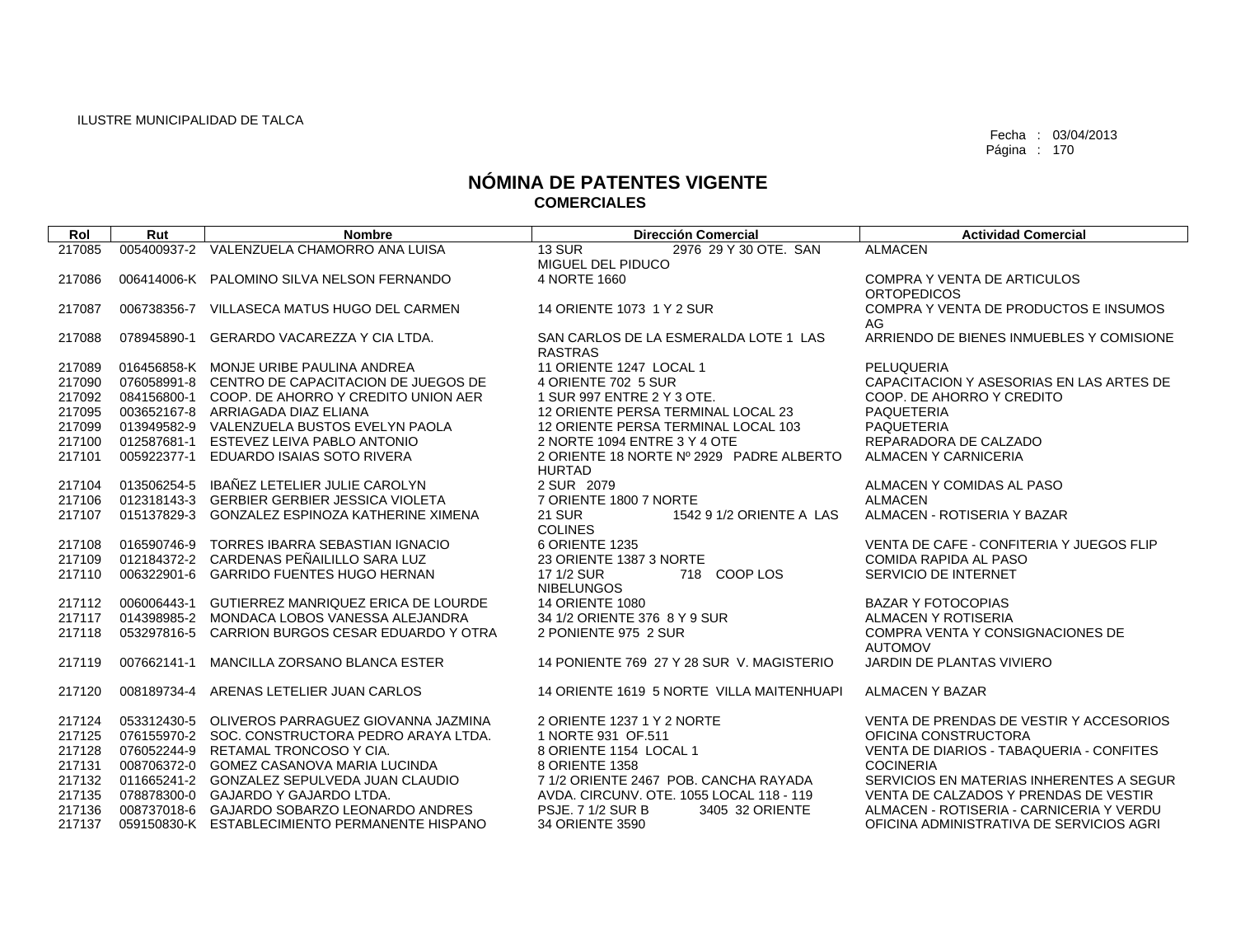| Rol    | Rut         | <b>Nombre</b>                                   | <b>Dirección Comercial</b>                                  | <b>Actividad Comercial</b>                               |
|--------|-------------|-------------------------------------------------|-------------------------------------------------------------|----------------------------------------------------------|
| 217085 |             | 005400937-2 VALENZUELA CHAMORRO ANA LUISA       | 2976 29 Y 30 OTE, SAN<br><b>13 SUR</b>                      | <b>ALMACEN</b>                                           |
|        |             |                                                 | MIGUEL DEL PIDUCO                                           |                                                          |
| 217086 |             | 006414006-K PALOMINO SILVA NELSON FERNANDO      | 4 NORTE 1660                                                | <b>COMPRA Y VENTA DE ARTICULOS</b><br><b>ORTOPEDICOS</b> |
| 217087 | 006738356-7 | VILLASECA MATUS HUGO DEL CARMEN                 | 14 ORIENTE 1073 1 Y 2 SUR                                   | COMPRA Y VENTA DE PRODUCTOS E INSUMOS                    |
|        |             |                                                 |                                                             | AG                                                       |
| 217088 | 078945890-1 | GERARDO VACAREZZA Y CIA LTDA.                   | SAN CARLOS DE LA ESMERALDA LOTE 1 LAS<br><b>RASTRAS</b>     | ARRIENDO DE BIENES INMUEBLES Y COMISIONE                 |
| 217089 |             | 016456858-K MONJE URIBE PAULINA ANDREA          | 11 ORIENTE 1247 LOCAL 1                                     | <b>PELUQUERIA</b>                                        |
| 217090 |             | 076058991-8 CENTRO DE CAPACITACION DE JUEGOS DE | 4 ORIENTE 702 5 SUR                                         | CAPACITACION Y ASESORIAS EN LAS ARTES DE                 |
| 217092 |             | 084156800-1 COOP, DE AHORRO Y CREDITO UNION AER | 1 SUR 997 ENTRE 2 Y 3 OTE.                                  | COOP. DE AHORRO Y CREDITO                                |
| 217095 |             | 003652167-8 ARRIAGADA DIAZ ELIANA               | 12 ORIENTE PERSA TERMINAL LOCAL 23                          | <b>PAQUETERIA</b>                                        |
| 217099 |             | 013949582-9 VALENZUELA BUSTOS EVELYN PAOLA      | 12 ORIENTE PERSA TERMINAL LOCAL 103                         | <b>PAQUETERIA</b>                                        |
| 217100 |             | 012587681-1 ESTEVEZ LEIVA PABLO ANTONIO         | 2 NORTE 1094 ENTRE 3 Y 4 OTE                                | REPARADORA DE CALZADO                                    |
| 217101 |             | 005922377-1 EDUARDO ISAIAS SOTO RIVERA          | 2 ORIENTE 18 NORTE Nº 2929 PADRE ALBERTO<br><b>HURTAD</b>   | ALMACEN Y CARNICERIA                                     |
| 217104 | 013506254-5 | IBAÑEZ LETELIER JULIE CAROLYN                   | 2 SUR 2079                                                  | ALMACEN Y COMIDAS AL PASO                                |
| 217106 |             | 012318143-3 GERBIER GERBIER JESSICA VIOLETA     | 7 ORIENTE 1800 7 NORTE                                      | <b>ALMACEN</b>                                           |
| 217107 | 015137829-3 | GONZALEZ ESPINOZA KATHERINE XIMENA              | <b>21 SUR</b><br>1542 9 1/2 ORIENTE A LAS<br><b>COLINES</b> | ALMACEN - ROTISERIA Y BAZAR                              |
| 217108 |             | 016590746-9 TORRES IBARRA SEBASTIAN IGNACIO     | 6 ORIENTE 1235                                              | VENTA DE CAFE - CONFITERIA Y JUEGOS FLIP                 |
| 217109 |             | 012184372-2 CARDENAS PEÑAILILLO SARA LUZ        | 23 ORIENTE 1387 3 NORTE                                     | <b>COMIDA RAPIDA AL PASO</b>                             |
| 217110 |             | 006322901-6 GARRIDO FUENTES HUGO HERNAN         | 718 COOP LOS<br>17 1/2 SUR<br><b>NIBELUNGOS</b>             | SERVICIO DE INTERNET                                     |
| 217112 |             | 006006443-1 GUTIERREZ MANRIQUEZ ERICA DE LOURDE | <b>14 ORIENTE 1080</b>                                      | <b>BAZAR Y FOTOCOPIAS</b>                                |
| 217117 |             | 014398985-2 MONDACA LOBOS VANESSA ALEJANDRA     | 34 1/2 ORIENTE 376 8 Y 9 SUR                                | ALMACEN Y ROTISERIA                                      |
| 217118 |             | 053297816-5 CARRION BURGOS CESAR EDUARDO Y OTRA | 2 PONIENTE 975 2 SUR                                        | COMPRA VENTA Y CONSIGNACIONES DE                         |
|        |             |                                                 |                                                             | <b>AUTOMOV</b>                                           |
| 217119 | 007662141-1 | MANCILLA ZORSANO BLANCA ESTER                   | 14 PONIENTE 769 27 Y 28 SUR V. MAGISTERIO                   | JARDIN DE PLANTAS VIVIERO                                |
| 217120 |             | 008189734-4 ARENAS LETELIER JUAN CARLOS         | 14 ORIENTE 1619 5 NORTE VILLA MAITENHUAPI                   | <b>ALMACEN Y BAZAR</b>                                   |
| 217124 |             | 053312430-5 OLIVEROS PARRAGUEZ GIOVANNA JAZMINA | 2 ORIENTE 1237 1 Y 2 NORTE                                  | VENTA DE PRENDAS DE VESTIR Y ACCESORIOS                  |
| 217125 |             | 076155970-2 SOC, CONSTRUCTORA PEDRO ARAYA LTDA. | 1 NORTE 931 OF.511                                          | OFICINA CONSTRUCTORA                                     |
| 217128 |             | 076052244-9 RETAMAL TRONCOSO Y CIA.             | 8 ORIENTE 1154 LOCAL 1                                      | VENTA DE DIARIOS - TABAQUERIA - CONFITES                 |
| 217131 |             | 008706372-0 GOMEZ CASANOVA MARIA LUCINDA        | 8 ORIENTE 1358                                              | <b>COCINERIA</b>                                         |
| 217132 |             | 011665241-2 GONZALEZ SEPULVEDA JUAN CLAUDIO     | 7 1/2 ORIENTE 2467 POB, CANCHA RAYADA                       | SERVICIOS EN MATERIAS INHERENTES A SEGUR                 |
| 217135 |             | 078878300-0 GAJARDO Y GAJARDO LTDA.             | AVDA. CIRCUNV. OTE. 1055 LOCAL 118 - 119                    | VENTA DE CALZADOS Y PRENDAS DE VESTIR                    |
| 217136 |             | 008737018-6 GAJARDO SOBARZO LEONARDO ANDRES     | <b>PSJE. 7 1/2 SUR B</b><br>3405 32 ORIENTE                 | ALMACEN - ROTISERIA - CARNICERIA Y VERDU                 |
| 217137 |             | 059150830-K ESTABLECIMIENTO PERMANENTE HISPANO  | 34 ORIENTE 3590                                             | OFICINA ADMINISTRATIVA DE SERVICIOS AGRI                 |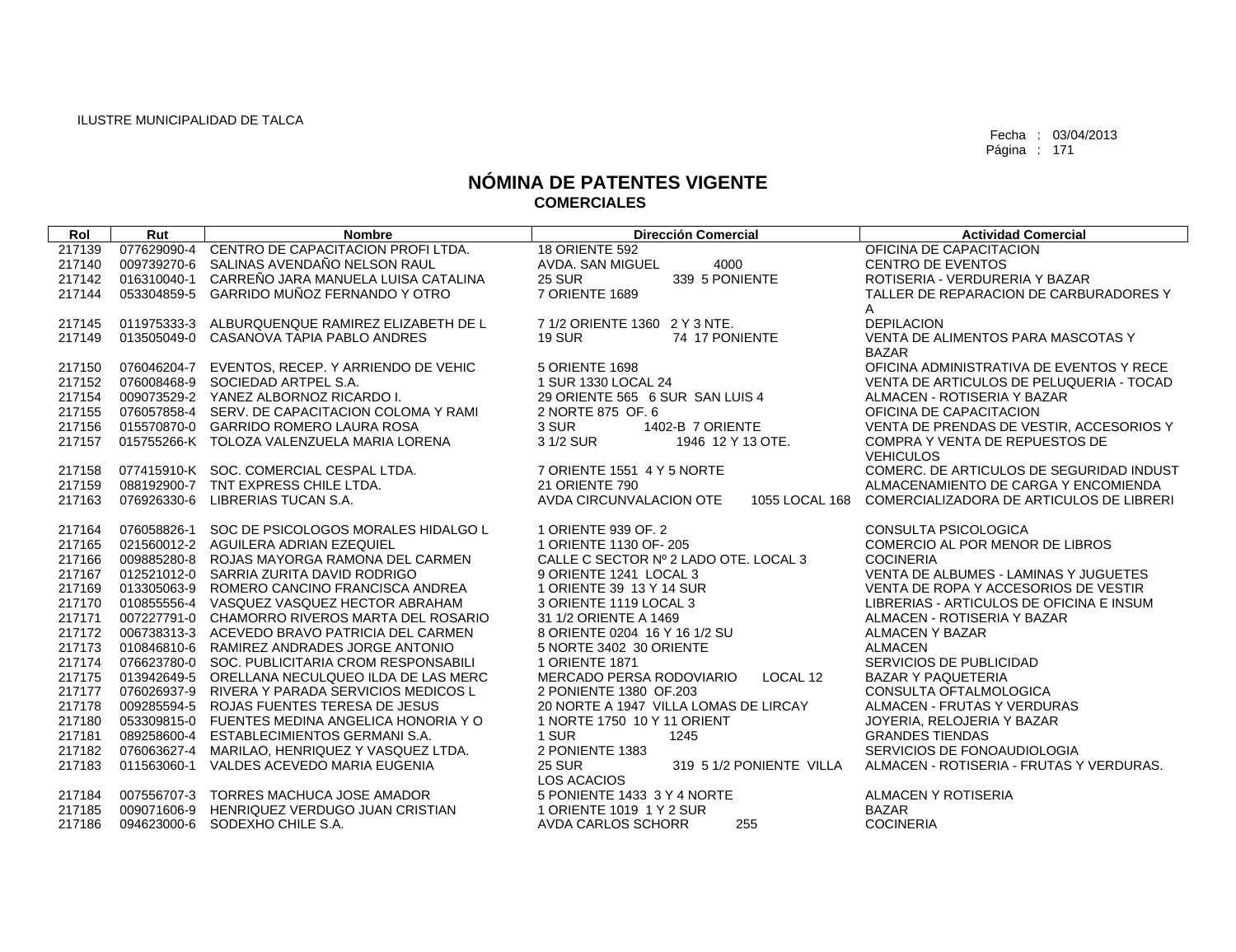| Rol    | Rut         | <b>Nombre</b>                                   | <b>Dirección Comercial</b>                | <b>Actividad Comercial</b>               |
|--------|-------------|-------------------------------------------------|-------------------------------------------|------------------------------------------|
| 217139 | 077629090-4 | CENTRO DE CAPACITACION PROFI LTDA.              | <b>18 ORIENTE 592</b>                     | OFICINA DE CAPACITACION                  |
| 217140 | 009739270-6 | SALINAS AVENDAÑO NELSON RAUL                    | 4000<br>AVDA. SAN MIGUEL                  | <b>CENTRO DE EVENTOS</b>                 |
| 217142 | 016310040-1 | CARREÑO JARA MANUELA LUISA CATALINA             | <b>25 SUR</b><br>339 5 PONIENTE           | ROTISERIA - VERDURERIA Y BAZAR           |
| 217144 | 053304859-5 | GARRIDO MUÑOZ FERNANDO Y OTRO                   | 7 ORIENTE 1689                            | TALLER DE REPARACION DE CARBURADORES Y   |
|        |             |                                                 |                                           | A                                        |
| 217145 |             | 011975333-3 ALBURQUENQUE RAMIREZ ELIZABETH DE L | 7 1/2 ORIENTE 1360 2 Y 3 NTE.             | <b>DEPILACION</b>                        |
| 217149 | 013505049-0 | CASANOVA TAPIA PABLO ANDRES                     | 74 17 PONIENTE<br><b>19 SUR</b>           | VENTA DE ALIMENTOS PARA MASCOTAS Y       |
|        |             |                                                 |                                           | <b>BAZAR</b>                             |
| 217150 | 076046204-7 | EVENTOS, RECEP. Y ARRIENDO DE VEHIC             | 5 ORIENTE 1698                            | OFICINA ADMINISTRATIVA DE EVENTOS Y RECE |
| 217152 |             | 076008468-9 SOCIEDAD ARTPEL S.A.                | 1 SUR 1330 LOCAL 24                       | VENTA DE ARTICULOS DE PELUQUERIA - TOCAD |
| 217154 |             | 009073529-2 YANEZ ALBORNOZ RICARDO I.           | 29 ORIENTE 565 6 SUR SAN LUIS 4           | ALMACEN - ROTISERIA Y BAZAR              |
| 217155 |             | 076057858-4 SERV, DE CAPACITACION COLOMA Y RAMI | 2 NORTE 875 OF, 6                         | OFICINA DE CAPACITACION                  |
| 217156 |             | 015570870-0 GARRIDO ROMERO LAURA ROSA           | 3 SUR<br>1402-B 7 ORIENTE                 | VENTA DE PRENDAS DE VESTIR, ACCESORIOS Y |
| 217157 |             | 015755266-K TOLOZA VALENZUELA MARIA LORENA      | 3 1/2 SUR<br>1946 12 Y 13 OTE.            | <b>COMPRA Y VENTA DE REPUESTOS DE</b>    |
|        |             |                                                 |                                           | <b>VEHICULOS</b>                         |
| 217158 |             | 077415910-K SOC. COMERCIAL CESPAL LTDA.         | 7 ORIENTE 1551 4 Y 5 NORTE                | COMERC. DE ARTICULOS DE SEGURIDAD INDUST |
| 217159 |             | 088192900-7 TNT EXPRESS CHILE LTDA.             | <b>21 ORIENTE 790</b>                     | ALMACENAMIENTO DE CARGA Y ENCOMIENDA     |
| 217163 | 076926330-6 | LIBRERIAS TUCAN S.A.                            | AVDA CIRCUNVALACION OTE<br>1055 LOCAL 168 | COMERCIALIZADORA DE ARTICULOS DE LIBRERI |
|        |             |                                                 |                                           |                                          |
| 217164 | 076058826-1 | SOC DE PSICOLOGOS MORALES HIDALGO L             | 1 ORIENTE 939 OF, 2                       | <b>CONSULTA PSICOLOGICA</b>              |
| 217165 |             | 021560012-2 AGUILERA ADRIAN EZEQUIEL            | 1 ORIENTE 1130 OF-205                     | COMERCIO AL POR MENOR DE LIBROS          |
| 217166 |             | 009885280-8 ROJAS MAYORGA RAMONA DEL CARMEN     | CALLE C SECTOR Nº 2 LADO OTE. LOCAL 3     | <b>COCINERIA</b>                         |
| 217167 |             | 012521012-0 SARRIA ZURITA DAVID RODRIGO         | 9 ORIENTE 1241 LOCAL 3                    | VENTA DE ALBUMES - LAMINAS Y JUGUETES    |
| 217169 |             | 013305063-9 ROMERO CANCINO FRANCISCA ANDREA     | 1 ORIENTE 39 13 Y 14 SUR                  | VENTA DE ROPA Y ACCESORIOS DE VESTIR     |
| 217170 |             | 010855556-4 VASQUEZ VASQUEZ HECTOR ABRAHAM      | 3 ORIENTE 1119 LOCAL 3                    | LIBRERIAS - ARTICULOS DE OFICINA E INSUM |
| 217171 |             | 007227791-0 CHAMORRO RIVEROS MARTA DEL ROSARIO  | 31 1/2 ORIENTE A 1469                     | ALMACEN - ROTISERIA Y BAZAR              |
| 217172 |             | 006738313-3 ACEVEDO BRAVO PATRICIA DEL CARMEN   | 8 ORIENTE 0204 16 Y 16 1/2 SU             | <b>ALMACEN Y BAZAR</b>                   |
| 217173 |             | 010846810-6 RAMIREZ ANDRADES JORGE ANTONIO      | 5 NORTE 3402 30 ORIENTE                   | <b>ALMACEN</b>                           |
| 217174 |             | 076623780-0 SOC, PUBLICITARIA CROM RESPONSABILI | 1 ORIENTE 1871                            | SERVICIOS DE PUBLICIDAD                  |
| 217175 |             | 013942649-5 ORELLANA NECULQUEO ILDA DE LAS MERC | MERCADO PERSA RODOVIARIO<br>LOCAL 12      | <b>BAZAR Y PAQUETERIA</b>                |
| 217177 |             | 076026937-9 RIVERA Y PARADA SERVICIOS MEDICOS L | 2 PONIENTE 1380 OF 203                    | CONSULTA OFTALMOLOGICA                   |
| 217178 |             | 009285594-5 ROJAS FUENTES TERESA DE JESUS       | 20 NORTE A 1947 VILLA LOMAS DE LIRCAY     | ALMACEN - FRUTAS Y VERDURAS              |
| 217180 |             | 053309815-0 FUENTES MEDINA ANGELICA HONORIA Y O | 1 NORTE 1750 10 Y 11 ORIENT               | JOYERIA, RELOJERIA Y BAZAR               |
| 217181 |             | 089258600-4 ESTABLECIMIENTOS GERMANI S.A.       | 1 SUR<br>1245                             | <b>GRANDES TIENDAS</b>                   |
| 217182 |             | 076063627-4 MARILAO, HENRIQUEZ Y VASQUEZ LTDA.  | 2 PONIENTE 1383                           | SERVICIOS DE FONOAUDIOLOGIA              |
| 217183 |             | 011563060-1 VALDES ACEVEDO MARIA EUGENIA        | <b>25 SUR</b><br>319 5 1/2 PONIENTE VILLA | ALMACEN - ROTISERIA - FRUTAS Y VERDURAS. |
|        |             |                                                 | <b>LOS ACACIOS</b>                        |                                          |
| 217184 |             | 007556707-3 TORRES MACHUCA JOSE AMADOR          | 5 PONIENTE 1433 3 Y 4 NORTE               | ALMACEN Y ROTISERIA                      |
| 217185 | 009071606-9 | HENRIQUEZ VERDUGO JUAN CRISTIAN                 | 1 ORIENTE 1019 1 Y 2 SUR                  | <b>BAZAR</b>                             |
| 217186 |             | 094623000-6 SODEXHO CHILE S.A.                  | AVDA CARLOS SCHORR<br>255                 | <b>COCINERIA</b>                         |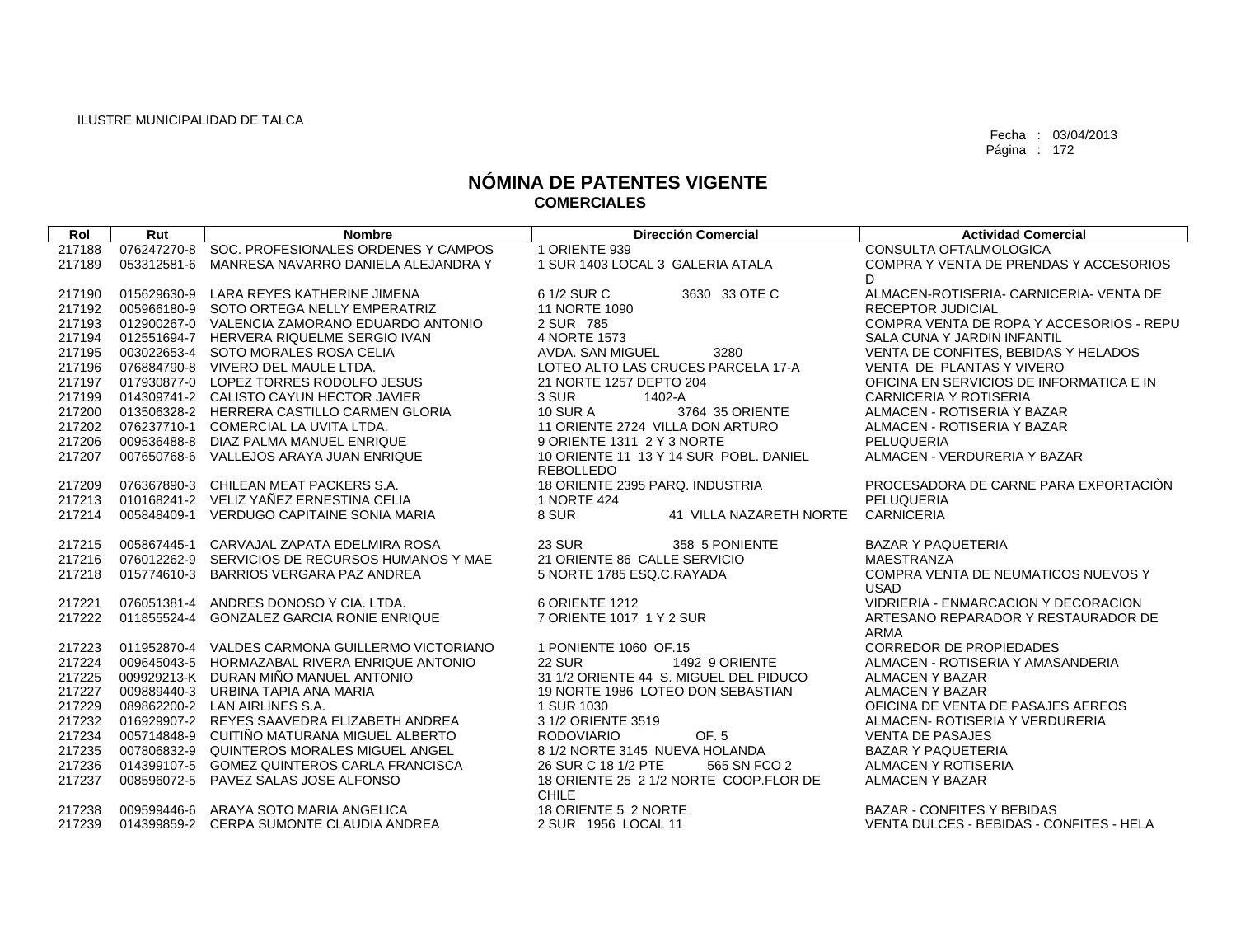| Rol    | Rut         | <b>Nombre</b>                                   | <b>Dirección Comercial</b>             | <b>Actividad Comercial</b>               |
|--------|-------------|-------------------------------------------------|----------------------------------------|------------------------------------------|
| 217188 |             | 076247270-8 SOC. PROFESIONALES ORDENES Y CAMPOS | 1 ORIENTE 939                          | CONSULTA OFTALMOLOGICA                   |
| 217189 |             | 053312581-6 MANRESA NAVARRO DANIELA ALEJANDRA Y | 1 SUR 1403 LOCAL 3 GALERIA ATALA       | COMPRA Y VENTA DE PRENDAS Y ACCESORIOS   |
|        |             |                                                 |                                        | D                                        |
| 217190 |             | 015629630-9 LARA REYES KATHERINE JIMENA         | 6 1/2 SUR C<br>3630 33 OTE C           | ALMACEN-ROTISERIA- CARNICERIA- VENTA DE  |
| 217192 |             | 005966180-9 SOTO ORTEGA NELLY EMPERATRIZ        | 11 NORTE 1090                          | <b>RECEPTOR JUDICIAL</b>                 |
| 217193 |             | 012900267-0 VALENCIA ZAMORANO EDUARDO ANTONIO   | 2 SUR 785                              | COMPRA VENTA DE ROPA Y ACCESORIOS - REPU |
| 217194 |             | 012551694-7 HERVERA RIQUELME SERGIO IVAN        | 4 NORTE 1573                           | SALA CUNA Y JARDIN INFANTIL              |
| 217195 |             | 003022653-4 SOTO MORALES ROSA CELIA             | 3280<br>AVDA. SAN MIGUEL               | VENTA DE CONFITES, BEBIDAS Y HELADOS     |
| 217196 |             | 076884790-8 VIVERO DEL MAULE LTDA.              | LOTEO ALTO LAS CRUCES PARCELA 17-A     | VENTA DE PLANTAS Y VIVERO                |
| 217197 |             | 017930877-0 LOPEZ TORRES RODOLFO JESUS          | 21 NORTE 1257 DEPTO 204                | OFICINA EN SERVICIOS DE INFORMATICA E IN |
| 217199 |             | 014309741-2 CALISTO CAYUN HECTOR JAVIER         | 3 SUR<br>1402-A                        | <b>CARNICERIA Y ROTISERIA</b>            |
| 217200 |             | 013506328-2 HERRERA CASTILLO CARMEN GLORIA      | <b>10 SUR A</b><br>3764 35 ORIENTE     | ALMACEN - ROTISERIA Y BAZAR              |
| 217202 |             | 076237710-1 COMERCIAL LA UVITA LTDA.            | 11 ORIENTE 2724 VILLA DON ARTURO       | ALMACEN - ROTISERIA Y BAZAR              |
| 217206 |             | 009536488-8 DIAZ PALMA MANUEL ENRIQUE           | 9 ORIENTE 1311 2 Y 3 NORTE             | PELUQUERIA                               |
| 217207 |             | 007650768-6 VALLEJOS ARAYA JUAN ENRIQUE         | 10 ORIENTE 11 13 Y 14 SUR POBL, DANIEL | ALMACEN - VERDURERIA Y BAZAR             |
|        |             |                                                 | <b>REBOLLEDO</b>                       |                                          |
| 217209 |             | 076367890-3 CHILEAN MEAT PACKERS S.A.           | 18 ORIENTE 2395 PARQ. INDUSTRIA        | PROCESADORA DE CARNE PARA EXPORTACIÓN    |
| 217213 |             | 010168241-2 VELIZ YAÑEZ ERNESTINA CELIA         | 1 NORTE 424                            | PELUQUERIA                               |
| 217214 |             | 005848409-1 VERDUGO CAPITAINE SONIA MARIA       | 8 SUR<br>41 VILLA NAZARETH NORTE       | <b>CARNICERIA</b>                        |
| 217215 | 005867445-1 | CARVAJAL ZAPATA EDELMIRA ROSA                   | <b>23 SUR</b><br>358 5 PONIENTE        | <b>BAZAR Y PAQUETERIA</b>                |
| 217216 |             | 076012262-9 SERVICIOS DE RECURSOS HUMANOS Y MAE | 21 ORIENTE 86 CALLE SERVICIO           | <b>MAESTRANZA</b>                        |
| 217218 |             | 015774610-3 BARRIOS VERGARA PAZ ANDREA          | 5 NORTE 1785 ESQ.C.RAYADA              | COMPRA VENTA DE NEUMATICOS NUEVOS Y      |
|        |             |                                                 |                                        | <b>USAD</b>                              |
| 217221 |             | 076051381-4 ANDRES DONOSO Y CIA. LTDA.          | 6 ORIENTE 1212                         | VIDRIERIA - ENMARCACION Y DECORACION     |
| 217222 |             | 011855524-4 GONZALEZ GARCIA RONIE ENRIQUE       | 7 ORIENTE 1017 1 Y 2 SUR               | ARTESANO REPARADOR Y RESTAURADOR DE      |
|        |             |                                                 |                                        | <b>ARMA</b>                              |
| 217223 |             | 011952870-4 VALDES CARMONA GUILLERMO VICTORIANO | 1 PONIENTE 1060 OF.15                  | <b>CORREDOR DE PROPIEDADES</b>           |
| 217224 |             | 009645043-5 HORMAZABAL RIVERA ENRIQUE ANTONIO   | <b>22 SUR</b><br>1492 9 ORIENTE        | ALMACEN - ROTISERIA Y AMASANDERIA        |
| 217225 |             | 009929213-K DURAN MIÑO MANUEL ANTONIO           | 31 1/2 ORIENTE 44 S. MIGUEL DEL PIDUCO | <b>ALMACEN Y BAZAR</b>                   |
| 217227 |             | 009889440-3 URBINA TAPIA ANA MARIA              | 19 NORTE 1986 LOTEO DON SEBASTIAN      | <b>ALMACEN Y BAZAR</b>                   |
| 217229 |             | 089862200-2 LAN AIRLINES S.A.                   | 1 SUR 1030                             | OFICINA DE VENTA DE PASAJES AEREOS       |
| 217232 |             | 016929907-2 REYES SAAVEDRA ELIZABETH ANDREA     | 3 1/2 ORIENTE 3519                     | ALMACEN- ROTISERIA Y VERDURERIA          |
| 217234 |             | 005714848-9 CUITIÑO MATURANA MIGUEL ALBERTO     | OF. 5<br><b>RODOVIARIO</b>             | <b>VENTA DE PASAJES</b>                  |
| 217235 |             | 007806832-9 QUINTEROS MORALES MIGUEL ANGEL      | 8 1/2 NORTE 3145 NUEVA HOLANDA         | <b>BAZAR Y PAQUETERIA</b>                |
| 217236 |             | 014399107-5 GOMEZ QUINTEROS CARLA FRANCISCA     | 26 SUR C 18 1/2 PTE<br>565 SN FCO 2    | ALMACEN Y ROTISERIA                      |
| 217237 |             | 008596072-5 PAVEZ SALAS JOSE ALFONSO            | 18 ORIENTE 25 2 1/2 NORTE COOP.FLOR DE | <b>ALMACEN Y BAZAR</b>                   |
|        |             |                                                 | <b>CHILE</b>                           |                                          |
| 217238 |             | 009599446-6 ARAYA SOTO MARIA ANGELICA           | 18 ORIENTE 5 2 NORTE                   | <b>BAZAR - CONFITES Y BEBIDAS</b>        |
| 217239 |             | 014399859-2 CERPA SUMONTE CLAUDIA ANDREA        | 2 SUR 1956 LOCAL 11                    | VENTA DULCES - BEBIDAS - CONFITES - HELA |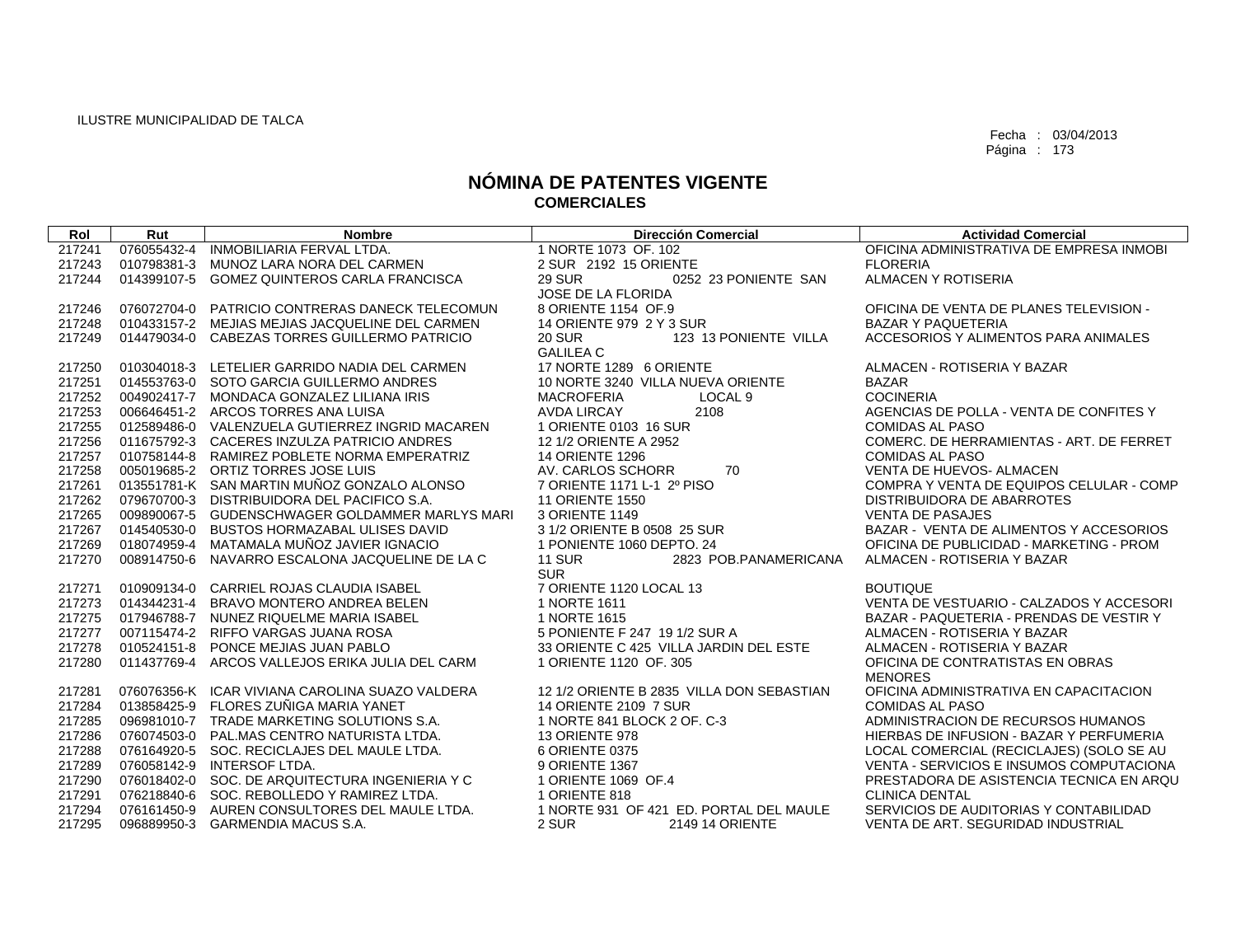| Rol    | Rut         | <b>Nombre</b>                                   | <b>Dirección Comercial</b>                           | <b>Actividad Comercial</b>               |
|--------|-------------|-------------------------------------------------|------------------------------------------------------|------------------------------------------|
| 217241 | 076055432-4 | INMOBILIARIA FERVAL LTDA.                       | 1 NORTE 1073 OF, 102                                 | OFICINA ADMINISTRATIVA DE EMPRESA INMOBI |
| 217243 | 010798381-3 | MUNOZ LARA NORA DEL CARMEN                      | 2 SUR 2192 15 ORIENTE                                | <b>FLORERIA</b>                          |
| 217244 | 014399107-5 | <b>GOMEZ QUINTEROS CARLA FRANCISCA</b>          | <b>29 SUR</b><br>0252 23 PONIENTE SAN                | ALMACEN Y ROTISERIA                      |
|        |             |                                                 | JOSE DE LA FLORIDA                                   |                                          |
| 217246 | 076072704-0 | PATRICIO CONTRERAS DANECK TELECOMUN             | 8 ORIENTE 1154 OF.9                                  | OFICINA DE VENTA DE PLANES TELEVISION -  |
| 217248 |             | 010433157-2 MEJIAS MEJIAS JACQUELINE DEL CARMEN | 14 ORIENTE 979 2 Y 3 SUR                             | <b>BAZAR Y PAQUETERIA</b>                |
| 217249 |             | 014479034-0 CABEZAS TORRES GUILLERMO PATRICIO   | <b>20 SUR</b><br>123 13 PONIENTE VILLA               | ACCESORIOS Y ALIMENTOS PARA ANIMALES     |
|        |             |                                                 | <b>GALILEA C</b>                                     |                                          |
| 217250 |             | 010304018-3 LETELIER GARRIDO NADIA DEL CARMEN   | 17 NORTE 1289 6 ORIENTE                              | ALMACEN - ROTISERIA Y BAZAR              |
| 217251 |             | 014553763-0 SOTO GARCIA GUILLERMO ANDRES        | 10 NORTE 3240 VILLA NUEVA ORIENTE                    | <b>BAZAR</b>                             |
| 217252 |             | 004902417-7 MONDACA GONZALEZ LILIANA IRIS       | <b>MACROFERIA</b><br>LOCAL <sub>9</sub>              | <b>COCINERIA</b>                         |
| 217253 |             | 006646451-2 ARCOS TORRES ANA LUISA              | <b>AVDA LIRCAY</b><br>2108                           | AGENCIAS DE POLLA - VENTA DE CONFITES Y  |
| 217255 |             | 012589486-0 VALENZUELA GUTIERREZ INGRID MACAREN | 1 ORIENTE 0103 16 SUR                                | <b>COMIDAS AL PASO</b>                   |
| 217256 |             | 011675792-3 CACERES INZULZA PATRICIO ANDRES     | 12 1/2 ORIENTE A 2952                                | COMERC. DE HERRAMIENTAS - ART. DE FERRET |
| 217257 |             | 010758144-8 RAMIREZ POBLETE NORMA EMPERATRIZ    | <b>14 ORIENTE 1296</b>                               | <b>COMIDAS AL PASO</b>                   |
| 217258 |             | 005019685-2 ORTIZ TORRES JOSE LUIS              | 70<br>AV. CARLOS SCHORR                              | VENTA DE HUEVOS- ALMACEN                 |
| 217261 |             | 013551781-K SAN MARTIN MUÑOZ GONZALO ALONSO     | 7 ORIENTE 1171 L-1 2º PISO                           | COMPRA Y VENTA DE EQUIPOS CELULAR - COMP |
| 217262 |             | 079670700-3 DISTRIBUIDORA DEL PACIFICO S.A.     | <b>11 ORIENTE 1550</b>                               | DISTRIBUIDORA DE ABARROTES               |
| 217265 | 009890067-5 | GUDENSCHWAGER GOLDAMMER MARLYS MARI             | 3 ORIENTE 1149                                       | <b>VENTA DE PASAJES</b>                  |
| 217267 | 014540530-0 | <b>BUSTOS HORMAZABAL ULISES DAVID</b>           | 3 1/2 ORIENTE B 0508 25 SUR                          | BAZAR - VENTA DE ALIMENTOS Y ACCESORIOS  |
| 217269 | 018074959-4 | MATAMALA MUÑOZ JAVIER IGNACIO                   | 1 PONIENTE 1060 DEPTO, 24                            | OFICINA DE PUBLICIDAD - MARKETING - PROM |
| 217270 | 008914750-6 | NAVARRO ESCALONA JACQUELINE DE LA C             | <b>11 SUR</b><br>2823 POB.PANAMERICANA<br><b>SUR</b> | ALMACEN - ROTISERIA Y BAZAR              |
| 217271 |             | 010909134-0 CARRIEL ROJAS CLAUDIA ISABEL        | 7 ORIENTE 1120 LOCAL 13                              | <b>BOUTIQUE</b>                          |
| 217273 | 014344231-4 | BRAVO MONTERO ANDREA BELEN                      | 1 NORTE 1611                                         | VENTA DE VESTUARIO - CALZADOS Y ACCESORI |
| 217275 | 017946788-7 | NUNEZ RIQUELME MARIA ISABEL                     | 1 NORTE 1615                                         | BAZAR - PAQUETERIA - PRENDAS DE VESTIR Y |
| 217277 | 007115474-2 | RIFFO VARGAS JUANA ROSA                         | 5 PONIENTE F 247 19 1/2 SUR A                        | ALMACEN - ROTISERIA Y BAZAR              |
| 217278 | 010524151-8 | PONCE MEJIAS JUAN PABLO                         | 33 ORIENTE C 425 VILLA JARDIN DEL ESTE               | ALMACEN - ROTISERIA Y BAZAR              |
| 217280 | 011437769-4 | ARCOS VALLEJOS ERIKA JULIA DEL CARM             | 1 ORIENTE 1120 OF, 305                               | OFICINA DE CONTRATISTAS EN OBRAS         |
|        |             |                                                 |                                                      | <b>MENORES</b>                           |
| 217281 |             | 076076356-K ICAR VIVIANA CAROLINA SUAZO VALDERA | 12 1/2 ORIENTE B 2835 VILLA DON SEBASTIAN            | OFICINA ADMINISTRATIVA EN CAPACITACION   |
| 217284 |             | 013858425-9 FLORES ZUÑIGA MARIA YANET           | 14 ORIENTE 2109 7 SUR                                | COMIDAS AL PASO                          |
| 217285 |             | 096981010-7 TRADE MARKETING SOLUTIONS S.A.      | 1 NORTE 841 BLOCK 2 OF. C-3                          | ADMINISTRACION DE RECURSOS HUMANOS       |
| 217286 |             | 076074503-0 PAL.MAS CENTRO NATURISTA LTDA.      | <b>13 ORIENTE 978</b>                                | HIERBAS DE INFUSION - BAZAR Y PERFUMERIA |
| 217288 | 076164920-5 | SOC. RECICLAJES DEL MAULE LTDA.                 | 6 ORIENTE 0375                                       | LOCAL COMERCIAL (RECICLAJES) (SOLO SE AU |
| 217289 | 076058142-9 | INTERSOF LTDA.                                  | 9 ORIENTE 1367                                       | VENTA - SERVICIOS E INSUMOS COMPUTACIONA |
| 217290 |             | 076018402-0 SOC. DE ARQUITECTURA INGENIERIA Y C | 1 ORIENTE 1069 OF.4                                  | PRESTADORA DE ASISTENCIA TECNICA EN ARQU |
| 217291 |             | 076218840-6 SOC, REBOLLEDO Y RAMIREZ LTDA.      | 1 ORIENTE 818                                        | <b>CLINICA DENTAL</b>                    |
| 217294 |             | 076161450-9 AUREN CONSULTORES DEL MAULE LTDA.   | 1 NORTE 931 OF 421 ED. PORTAL DEL MAULE              | SERVICIOS DE AUDITORIAS Y CONTABILIDAD   |
| 217295 |             | 096889950-3 GARMENDIA MACUS S.A.                | 2 SUR<br><b>2149 14 ORIENTE</b>                      | VENTA DE ART. SEGURIDAD INDUSTRIAL       |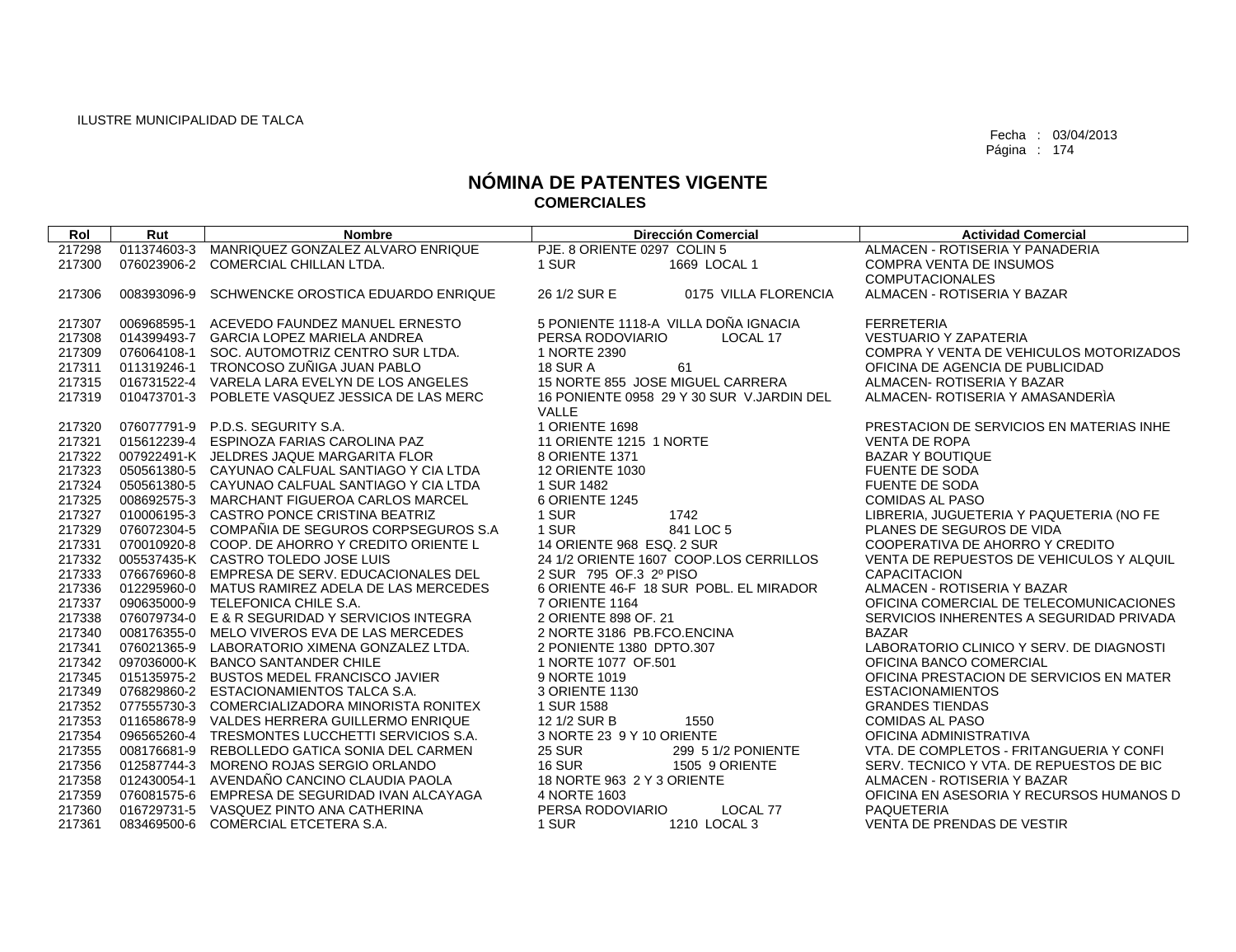| Rol    | Rut         | <b>Nombre</b>                                   | <b>Dirección Comercial</b>                | <b>Actividad Comercial</b>               |
|--------|-------------|-------------------------------------------------|-------------------------------------------|------------------------------------------|
| 217298 | 011374603-3 | MANRIQUEZ GONZALEZ ALVARO ENRIQUE               | PJE, 8 ORIENTE 0297 COLIN 5               | ALMACEN - ROTISERIA Y PANADERIA          |
| 217300 |             | 076023906-2 COMERCIAL CHILLAN LTDA.             | 1 SUR<br>1669 LOCAL 1                     | <b>COMPRA VENTA DE INSUMOS</b>           |
|        |             |                                                 |                                           | <b>COMPUTACIONALES</b>                   |
| 217306 | 008393096-9 | SCHWENCKE OROSTICA EDUARDO ENRIQUE              | 26 1/2 SUR E<br>0175 VILLA FLORENCIA      | ALMACEN - ROTISERIA Y BAZAR              |
|        |             |                                                 |                                           |                                          |
| 217307 | 006968595-1 | ACEVEDO FAUNDEZ MANUEL ERNESTO                  | 5 PONIENTE 1118-A VILLA DOÑA IGNACIA      | <b>FERRETERIA</b>                        |
| 217308 |             | 014399493-7 GARCIA LOPEZ MARIELA ANDREA         | PERSA RODOVIARIO<br>LOCAL 17              | <b>VESTUARIO Y ZAPATERIA</b>             |
| 217309 |             | 076064108-1 SOC. AUTOMOTRIZ CENTRO SUR LTDA.    | 1 NORTE 2390                              | COMPRA Y VENTA DE VEHICULOS MOTORIZADOS  |
| 217311 |             | 011319246-1 TRONCOSO ZUÑIGA JUAN PABLO          | 61<br><b>18 SUR A</b>                     | OFICINA DE AGENCIA DE PUBLICIDAD         |
| 217315 |             | 016731522-4 VARELA LARA EVELYN DE LOS ANGELES   | 15 NORTE 855 JOSE MIGUEL CARRERA          | ALMACEN- ROTISERIA Y BAZAR               |
| 217319 |             | 010473701-3 POBLETE VASQUEZ JESSICA DE LAS MERC | 16 PONIENTE 0958 29 Y 30 SUR V.JARDIN DEL | ALMACEN- ROTISERIA Y AMASANDERIA         |
|        |             |                                                 | VALLE                                     |                                          |
| 217320 |             | 076077791-9 P.D.S. SEGURITY S.A.                | 1 ORIENTE 1698                            | PRESTACION DE SERVICIOS EN MATERIAS INHE |
| 217321 |             | 015612239-4 ESPINOZA FARIAS CAROLINA PAZ        | 11 ORIENTE 1215 1 NORTE                   | <b>VENTA DE ROPA</b>                     |
| 217322 |             | 007922491-K JELDRES JAQUE MARGARITA FLOR        | 8 ORIENTE 1371                            | <b>BAZAR Y BOUTIQUE</b>                  |
| 217323 |             | 050561380-5 CAYUNAO CALFUAL SANTIAGO Y CIA LTDA | <b>12 ORIENTE 1030</b>                    | <b>FUENTE DE SODA</b>                    |
| 217324 |             | 050561380-5 CAYUNAO CALFUAL SANTIAGO Y CIA LTDA | 1 SUR 1482                                | <b>FUENTE DE SODA</b>                    |
| 217325 |             | 008692575-3 MARCHANT FIGUEROA CARLOS MARCEL     | 6 ORIENTE 1245                            | <b>COMIDAS AL PASO</b>                   |
| 217327 |             | 010006195-3 CASTRO PONCE CRISTINA BEATRIZ       | 1742<br>1 SUR                             | LIBRERIA, JUGUETERIA Y PAQUETERIA (NO FE |
| 217329 |             | 076072304-5 COMPAÑIA DE SEGUROS CORPSEGUROS S.A | 1 SUR<br>841 LOC 5                        | PLANES DE SEGUROS DE VIDA                |
| 217331 |             | 070010920-8 COOP. DE AHORRO Y CREDITO ORIENTE L | 14 ORIENTE 968 ESQ, 2 SUR                 | COOPERATIVA DE AHORRO Y CREDITO          |
| 217332 |             | 005537435-K CASTRO TOLEDO JOSE LUIS             | 24 1/2 ORIENTE 1607 COOP.LOS CERRILLOS    | VENTA DE REPUESTOS DE VEHICULOS Y ALQUIL |
| 217333 |             | 076676960-8 EMPRESA DE SERV. EDUCACIONALES DEL  | 2 SUR 795 OF 3 2º PISO                    | <b>CAPACITACION</b>                      |
| 217336 |             | 012295960-0 MATUS RAMIREZ ADELA DE LAS MERCEDES | 6 ORIENTE 46-F 18 SUR POBL. EL MIRADOR    | ALMACEN - ROTISERIA Y BAZAR              |
| 217337 |             | 090635000-9 TELEFONICA CHILE S.A.               | <b>7 ORIENTE 1164</b>                     | OFICINA COMERCIAL DE TELECOMUNICACIONES  |
| 217338 |             | 076079734-0 E & R SEGURIDAD Y SERVICIOS INTEGRA | 2 ORIENTE 898 OF, 21                      | SERVICIOS INHERENTES A SEGURIDAD PRIVADA |
| 217340 |             | 008176355-0 MELO VIVEROS EVA DE LAS MERCEDES    | 2 NORTE 3186 PB.FCO.ENCINA                | <b>BAZAR</b>                             |
| 217341 |             | 076021365-9 LABORATORIO XIMENA GONZALEZ LTDA.   | 2 PONIENTE 1380 DPTO.307                  | LABORATORIO CLINICO Y SERV. DE DIAGNOSTI |
| 217342 |             | 097036000-K BANCO SANTANDER CHILE               | 1 NORTE 1077 OF.501                       | OFICINA BANCO COMERCIAL                  |
| 217345 |             | 015135975-2 BUSTOS MEDEL FRANCISCO JAVIER       | 9 NORTE 1019                              | OFICINA PRESTACION DE SERVICIOS EN MATER |
| 217349 |             | 076829860-2 ESTACIONAMIENTOS TALCA S.A.         | 3 ORIENTE 1130                            | <b>ESTACIONAMIENTOS</b>                  |
| 217352 |             | 077555730-3 COMERCIALIZADORA MINORISTA RONITEX  | 1 SUR 1588                                | <b>GRANDES TIENDAS</b>                   |
| 217353 |             | 011658678-9 VALDES HERRERA GUILLERMO ENRIQUE    | 12 1/2 SUR B<br>1550                      | <b>COMIDAS AL PASO</b>                   |
| 217354 |             | 096565260-4 TRESMONTES LUCCHETTI SERVICIOS S.A. | 3 NORTE 23 9 Y 10 ORIENTE                 | OFICINA ADMINISTRATIVA                   |
| 217355 |             | 008176681-9 REBOLLEDO GATICA SONIA DEL CARMEN   | <b>25 SUR</b><br>299 5 1/2 PONIENTE       | VTA, DE COMPLETOS - FRITANGUERIA Y CONFI |
| 217356 |             | 012587744-3 MORENO ROJAS SERGIO ORLANDO         | <b>16 SUR</b><br>1505 9 ORIENTE           | SERV. TECNICO Y VTA, DE REPUESTOS DE BIC |
| 217358 |             | 012430054-1 AVENDAÑO CANCINO CLAUDIA PAOLA      | 18 NORTE 963 2 Y 3 ORIENTE                | ALMACEN - ROTISERIA Y BAZAR              |
| 217359 |             | 076081575-6 EMPRESA DE SEGURIDAD IVAN ALCAYAGA  | 4 NORTE 1603                              | OFICINA EN ASESORIA Y RECURSOS HUMANOS D |
| 217360 |             | 016729731-5 VASQUEZ PINTO ANA CATHERINA         | PERSA RODOVIARIO<br>LOCAL 77              | <b>PAQUETERIA</b>                        |
| 217361 |             | 083469500-6 COMERCIAL ETCETERA S.A.             | 1 SUR<br>1210 LOCAL 3                     | VENTA DE PRENDAS DE VESTIR               |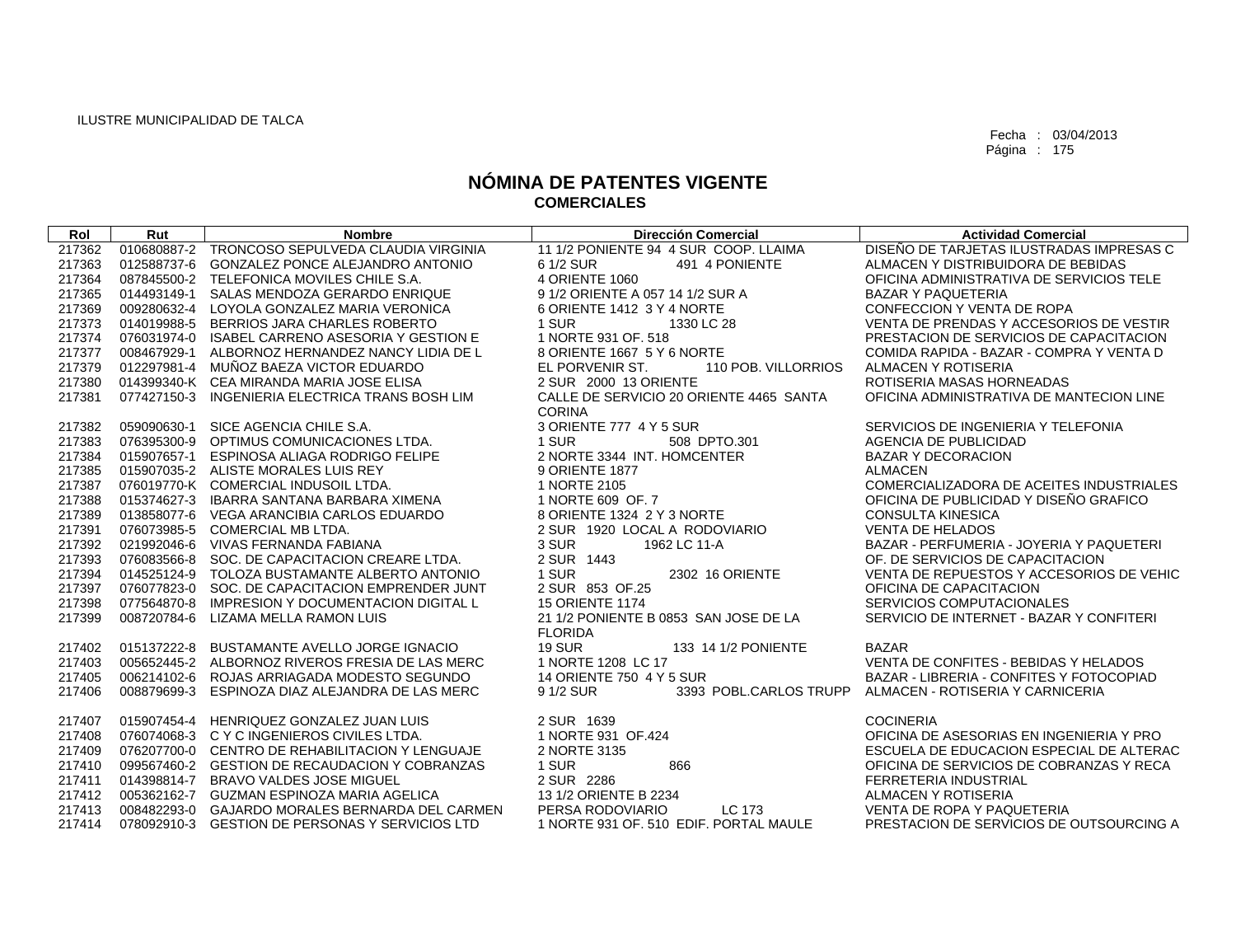| Rol    | Rut         | <b>Nombre</b>                                   | <b>Dirección Comercial</b>                               | <b>Actividad Comercial</b>               |
|--------|-------------|-------------------------------------------------|----------------------------------------------------------|------------------------------------------|
| 217362 |             | 010680887-2 TRONCOSO SEPULVEDA CLAUDIA VIRGINIA | 11 1/2 PONIENTE 94 4 SUR COOP, LLAIMA                    | DISEÑO DE TARJETAS ILUSTRADAS IMPRESAS C |
| 217363 | 012588737-6 | <b>GONZALEZ PONCE ALEJANDRO ANTONIO</b>         | 491 4 PONIENTE<br>6 1/2 SUR                              | ALMACEN Y DISTRIBUIDORA DE BEBIDAS       |
| 217364 |             | 087845500-2 TELEFONICA MOVILES CHILE S.A.       | 4 ORIENTE 1060                                           | OFICINA ADMINISTRATIVA DE SERVICIOS TELE |
| 217365 |             | 014493149-1 SALAS MENDOZA GERARDO ENRIQUE       | 9 1/2 ORIENTE A 057 14 1/2 SUR A                         | <b>BAZAR Y PAQUETERIA</b>                |
| 217369 |             | 009280632-4 LOYOLA GONZALEZ MARIA VERONICA      | 6 ORIENTE 1412 3 Y 4 NORTE                               | CONFECCION Y VENTA DE ROPA               |
| 217373 | 014019988-5 | BERRIOS JARA CHARLES ROBERTO                    | 1 SUR<br>1330 LC 28                                      | VENTA DE PRENDAS Y ACCESORIOS DE VESTIR  |
| 217374 |             | 076031974-0 ISABEL CARRENO ASESORIA Y GESTION E | 1 NORTE 931 OF. 518                                      | PRESTACION DE SERVICIOS DE CAPACITACION  |
| 217377 |             | 008467929-1 ALBORNOZ HERNANDEZ NANCY LIDIA DE L | 8 ORIENTE 1667 5 Y 6 NORTE                               | COMIDA RAPIDA - BAZAR - COMPRA Y VENTA D |
| 217379 |             | 012297981-4 MUÑOZ BAEZA VICTOR EDUARDO          | EL PORVENIR ST.<br>110 POB. VILLORRIOS                   | <b>ALMACEN Y ROTISERIA</b>               |
| 217380 |             | 014399340-K CEA MIRANDA MARIA JOSE ELISA        | 2 SUR 2000 13 ORIENTE                                    | ROTISERIA MASAS HORNEADAS                |
| 217381 |             | 077427150-3 INGENIERIA ELECTRICA TRANS BOSH LIM | CALLE DE SERVICIO 20 ORIENTE 4465 SANTA<br><b>CORINA</b> | OFICINA ADMINISTRATIVA DE MANTECION LINE |
| 217382 |             | 059090630-1 SICE AGENCIA CHILE S.A.             | 3 ORIENTE 777 4 Y 5 SUR                                  | SERVICIOS DE INGENIERIA Y TELEFONIA      |
| 217383 |             | 076395300-9 OPTIMUS COMUNICACIONES LTDA.        | 1 SUR<br>508 DPTO.301                                    | AGENCIA DE PUBLICIDAD                    |
| 217384 |             | 015907657-1 ESPINOSA ALIAGA RODRIGO FELIPE      | 2 NORTE 3344 INT. HOMCENTER                              | <b>BAZAR Y DECORACION</b>                |
| 217385 |             | 015907035-2 ALISTE MORALES LUIS REY             | 9 ORIENTE 1877                                           | <b>ALMACEN</b>                           |
| 217387 |             | 076019770-K COMERCIAL INDUSOIL LTDA.            | 1 NORTE 2105                                             | COMERCIALIZADORA DE ACEITES INDUSTRIALES |
| 217388 |             | 015374627-3 IBARRA SANTANA BARBARA XIMENA       | 1 NORTE 609 OF 7                                         | OFICINA DE PUBLICIDAD Y DISEÑO GRAFICO   |
| 217389 |             | 013858077-6 VEGA ARANCIBIA CARLOS EDUARDO       | 8 ORIENTE 1324 2 Y 3 NORTE                               | <b>CONSULTA KINESICA</b>                 |
| 217391 |             | 076073985-5 COMERCIAL MB LTDA.                  | 2 SUR 1920 LOCAL A RODOVIARIO                            | VENTA DE HELADOS                         |
| 217392 |             | 021992046-6 VIVAS FERNANDA FABIANA              | 3 SUR<br>1962 LC 11-A                                    | BAZAR - PERFUMERIA - JOYERIA Y PAQUETERI |
| 217393 |             | 076083566-8 SOC. DE CAPACITACION CREARE LTDA.   | 2 SUR 1443                                               | OF. DE SERVICIOS DE CAPACITACION         |
| 217394 |             | 014525124-9 TOLOZA BUSTAMANTE ALBERTO ANTONIO   | 1 SUR<br>2302 16 ORIENTE                                 | VENTA DE REPUESTOS Y ACCESORIOS DE VEHIC |
| 217397 |             | 076077823-0 SOC. DE CAPACITACION EMPRENDER JUNT | 2 SUR 853 OF.25                                          | OFICINA DE CAPACITACION                  |
| 217398 |             | 077564870-8 IMPRESION Y DOCUMENTACION DIGITAL L | <b>15 ORIENTE 1174</b>                                   | SERVICIOS COMPUTACIONALES                |
| 217399 | 008720784-6 | LIZAMA MELLA RAMON LUIS                         | 21 1/2 PONIENTE B 0853 SAN JOSE DE LA<br><b>FLORIDA</b>  | SERVICIO DE INTERNET - BAZAR Y CONFITERI |
| 217402 | 015137222-8 | BUSTAMANTE AVELLO JORGE IGNACIO                 | <b>19 SUR</b><br>133 14 1/2 PONIENTE                     | <b>BAZAR</b>                             |
| 217403 |             | 005652445-2 ALBORNOZ RIVEROS FRESIA DE LAS MERC | 1 NORTE 1208 LC 17                                       | VENTA DE CONFITES - BEBIDAS Y HELADOS    |
| 217405 |             | 006214102-6 ROJAS ARRIAGADA MODESTO SEGUNDO     | 14 ORIENTE 750 4 Y 5 SUR                                 | BAZAR - LIBRERIA - CONFITES Y FOTOCOPIAD |
| 217406 | 008879699-3 | ESPINOZA DIAZ ALEJANDRA DE LAS MERC             | 9 1/2 SUR<br>3393 POBL.CARLOS TRUPP                      | ALMACEN - ROTISERIA Y CARNICERIA         |
| 217407 |             | 015907454-4 HENRIQUEZ GONZALEZ JUAN LUIS        | 2 SUR 1639                                               | <b>COCINERIA</b>                         |
| 217408 |             | 076074068-3 CYCINGENIEROS CIVILES LTDA.         | 1 NORTE 931 OF.424                                       | OFICINA DE ASESORIAS EN INGENIERIA Y PRO |
| 217409 |             | 076207700-0 CENTRO DE REHABILITACION Y LENGUAJE | 2 NORTE 3135                                             | ESCUELA DE EDUCACION ESPECIAL DE ALTERAC |
| 217410 |             | 099567460-2 GESTION DE RECAUDACION Y COBRANZAS  | 1 SUR<br>866                                             | OFICINA DE SERVICIOS DE COBRANZAS Y RECA |
| 217411 |             | 014398814-7 BRAVO VALDES JOSE MIGUEL            | 2 SUR 2286                                               | FERRETERIA INDUSTRIAL                    |
| 217412 |             | 005362162-7 GUZMAN ESPINOZA MARIA AGELICA       | 13 1/2 ORIENTE B 2234                                    | ALMACEN Y ROTISERIA                      |
| 217413 |             | 008482293-0 GAJARDO MORALES BERNARDA DEL CARMEN | PERSA RODOVIARIO<br>LC 173                               | VENTA DE ROPA Y PAQUETERIA               |
| 217414 |             | 078092910-3 GESTION DE PERSONAS Y SERVICIOS LTD | 1 NORTE 931 OF, 510 EDIF, PORTAL MAULE                   | PRESTACION DE SERVICIOS DE OUTSOURCING A |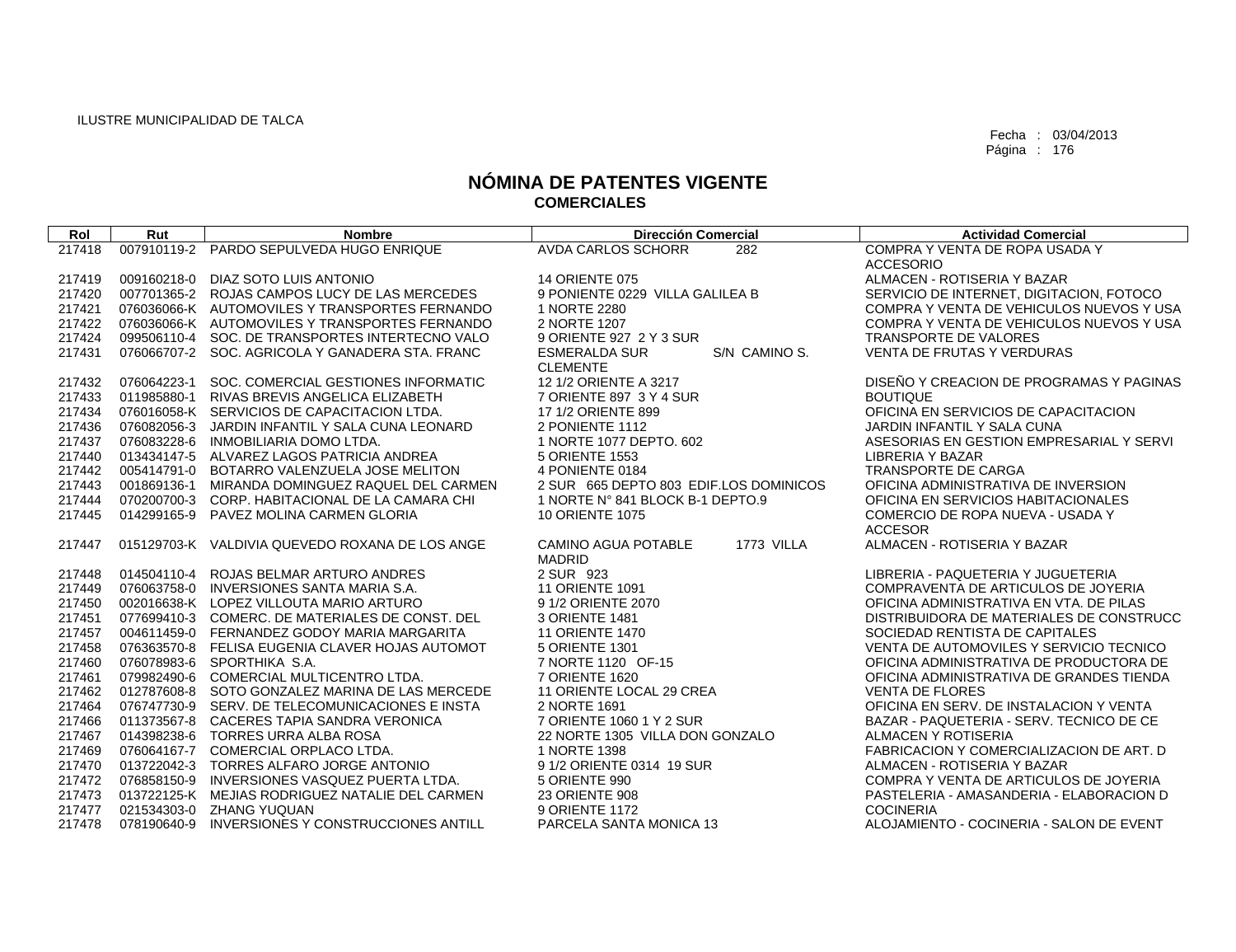| Rol    | Rut         | <b>Nombre</b>                                   | <b>Dirección Comercial</b>                         | <b>Actividad Comercial</b>               |
|--------|-------------|-------------------------------------------------|----------------------------------------------------|------------------------------------------|
| 217418 | 007910119-2 | PARDO SEPULVEDA HUGO ENRIQUE                    | <b>AVDA CARLOS SCHORR</b><br>282                   | COMPRA Y VENTA DE ROPA USADA Y           |
|        |             |                                                 |                                                    | <b>ACCESORIO</b>                         |
| 217419 | 009160218-0 | DIAZ SOTO LUIS ANTONIO                          | <b>14 ORIENTE 075</b>                              | ALMACEN - ROTISERIA Y BAZAR              |
| 217420 |             | 007701365-2 ROJAS CAMPOS LUCY DE LAS MERCEDES   | 9 PONIENTE 0229 VILLA GALILEA B                    | SERVICIO DE INTERNET, DIGITACION, FOTOCO |
| 217421 |             | 076036066-K AUTOMOVILES Y TRANSPORTES FERNANDO  | 1 NORTE 2280                                       | COMPRA Y VENTA DE VEHICULOS NUEVOS Y USA |
| 217422 |             | 076036066-K AUTOMOVILES Y TRANSPORTES FERNANDO  | 2 NORTE 1207                                       | COMPRA Y VENTA DE VEHICULOS NUEVOS Y USA |
| 217424 |             | 099506110-4 SOC. DE TRANSPORTES INTERTECNO VALO | 9 ORIENTE 927 2 Y 3 SUR                            | TRANSPORTE DE VALORES                    |
| 217431 |             | 076066707-2 SOC. AGRICOLA Y GANADERA STA, FRANC | S/N CAMINO S.<br><b>ESMERALDA SUR</b>              | VENTA DE FRUTAS Y VERDURAS               |
|        |             |                                                 | <b>CLEMENTE</b>                                    |                                          |
| 217432 | 076064223-1 | SOC. COMERCIAL GESTIONES INFORMATIC             | 12 1/2 ORIENTE A 3217                              | DISEÑO Y CREACION DE PROGRAMAS Y PAGINAS |
| 217433 | 011985880-1 | RIVAS BREVIS ANGELICA ELIZABETH                 | 7 ORIENTE 897 3 Y 4 SUR                            | <b>BOUTIQUE</b>                          |
| 217434 |             | 076016058-K SERVICIOS DE CAPACITACION LTDA.     | 17 1/2 ORIENTE 899                                 | OFICINA EN SERVICIOS DE CAPACITACION     |
| 217436 | 076082056-3 | JARDIN INFANTIL Y SALA CUNA LEONARD             | 2 PONIENTE 1112                                    | JARDIN INFANTIL Y SALA CUNA              |
| 217437 |             | 076083228-6 INMOBILIARIA DOMO LTDA.             | 1 NORTE 1077 DEPTO, 602                            | ASESORIAS EN GESTION EMPRESARIAL Y SERVI |
| 217440 |             | 013434147-5 ALVAREZ LAGOS PATRICIA ANDREA       | 5 ORIENTE 1553                                     | <b>LIBRERIA Y BAZAR</b>                  |
| 217442 | 005414791-0 | BOTARRO VALENZUELA JOSE MELITON                 | 4 PONIENTE 0184                                    | <b>TRANSPORTE DE CARGA</b>               |
| 217443 | 001869136-1 | MIRANDA DOMINGUEZ RAQUEL DEL CARMEN             | 2 SUR 665 DEPTO 803 EDIF.LOS DOMINICOS             | OFICINA ADMINISTRATIVA DE INVERSION      |
| 217444 |             | 070200700-3 CORP. HABITACIONAL DE LA CAMARA CHI | 1 NORTE N° 841 BLOCK B-1 DEPTO.9                   | OFICINA EN SERVICIOS HABITACIONALES      |
| 217445 | 014299165-9 | PAVEZ MOLINA CARMEN GLORIA                      | <b>10 ORIENTE 1075</b>                             | COMERCIO DE ROPA NUEVA - USADA Y         |
|        |             |                                                 |                                                    | <b>ACCESOR</b>                           |
| 217447 |             | 015129703-K VALDIVIA QUEVEDO ROXANA DE LOS ANGE | CAMINO AGUA POTABLE<br>1773 VILLA<br><b>MADRID</b> | ALMACEN - ROTISERIA Y BAZAR              |
| 217448 | 014504110-4 | ROJAS BELMAR ARTURO ANDRES                      | 2 SUR 923                                          | LIBRERIA - PAQUETERIA Y JUGUETERIA       |
| 217449 |             | 076063758-0 INVERSIONES SANTA MARIA S.A.        | <b>11 ORIENTE 1091</b>                             | COMPRAVENTA DE ARTICULOS DE JOYERIA      |
| 217450 |             | 002016638-K LOPEZ VILLOUTA MARIO ARTURO         | 9 1/2 ORIENTE 2070                                 | OFICINA ADMINISTRATIVA EN VTA. DE PILAS  |
| 217451 |             | 077699410-3 COMERC, DE MATERIALES DE CONST, DEL | 3 ORIENTE 1481                                     | DISTRIBUIDORA DE MATERIALES DE CONSTRUCC |
| 217457 |             | 004611459-0 FERNANDEZ GODOY MARIA MARGARITA     | <b>11 ORIENTE 1470</b>                             | SOCIEDAD RENTISTA DE CAPITALES           |
| 217458 |             | 076363570-8 FELISA EUGENIA CLAVER HOJAS AUTOMOT | 5 ORIENTE 1301                                     | VENTA DE AUTOMOVILES Y SERVICIO TECNICO  |
| 217460 |             | 076078983-6 SPORTHIKA S.A.                      | 7 NORTE 1120 OF-15                                 | OFICINA ADMINISTRATIVA DE PRODUCTORA DE  |
| 217461 |             | 079982490-6 COMERCIAL MULTICENTRO LTDA.         | 7 ORIENTE 1620                                     | OFICINA ADMINISTRATIVA DE GRANDES TIENDA |
| 217462 |             | 012787608-8 SOTO GONZALEZ MARINA DE LAS MERCEDE | 11 ORIENTE LOCAL 29 CREA                           | <b>VENTA DE FLORES</b>                   |
| 217464 |             | 076747730-9 SERV. DE TELECOMUNICACIONES E INSTA | 2 NORTE 1691                                       | OFICINA EN SERV. DE INSTALACION Y VENTA  |
| 217466 |             | 011373567-8 CACERES TAPIA SANDRA VERONICA       | 7 ORIENTE 1060 1 Y 2 SUR                           | BAZAR - PAQUETERIA - SERV. TECNICO DE CE |
| 217467 |             | 014398238-6 TORRES URRA ALBA ROSA               | 22 NORTE 1305 VILLA DON GONZALO                    | ALMACEN Y ROTISERIA                      |
| 217469 |             | 076064167-7 COMERCIAL ORPLACO LTDA.             | 1 NORTE 1398                                       | FABRICACION Y COMERCIALIZACION DE ART. D |
| 217470 |             | 013722042-3 TORRES ALFARO JORGE ANTONIO         | 9 1/2 ORIENTE 0314 19 SUR                          | ALMACEN - ROTISERIA Y BAZAR              |
| 217472 |             | 076858150-9 INVERSIONES VASQUEZ PUERTA LTDA.    | 5 ORIENTE 990                                      | COMPRA Y VENTA DE ARTICULOS DE JOYERIA   |
| 217473 |             | 013722125-K MEJIAS RODRIGUEZ NATALIE DEL CARMEN | 23 ORIENTE 908                                     | PASTELERIA - AMASANDERIA - ELABORACION D |
| 217477 |             | 021534303-0 ZHANG YUQUAN                        | 9 ORIENTE 1172                                     | <b>COCINERIA</b>                         |
| 217478 | 078190640-9 | INVERSIONES Y CONSTRUCCIONES ANTILL             | PARCELA SANTA MONICA 13                            | ALOJAMIENTO - COCINERIA - SALON DE EVENT |
|        |             |                                                 |                                                    |                                          |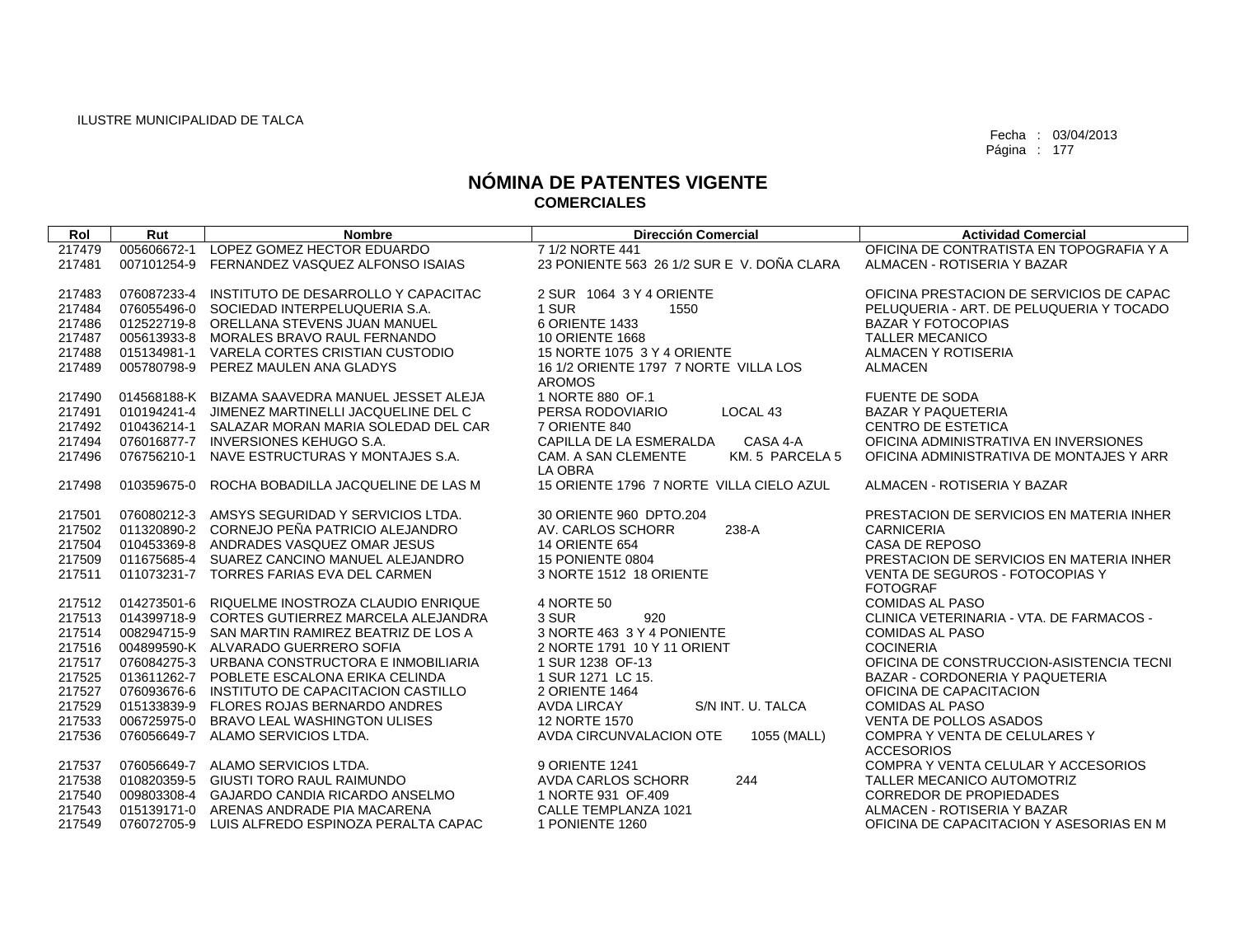| Rol    | Rut         | <b>Nombre</b>                                   | <b>Dirección Comercial</b>                             | <b>Actividad Comercial</b>                         |
|--------|-------------|-------------------------------------------------|--------------------------------------------------------|----------------------------------------------------|
| 217479 | 005606672-1 | LOPEZ GOMEZ HECTOR EDUARDO                      | 7 1/2 NORTE 441                                        | OFICINA DE CONTRATISTA EN TOPOGRAFIA Y A           |
| 217481 | 007101254-9 | FERNANDEZ VASQUEZ ALFONSO ISAIAS                | 23 PONIENTE 563 26 1/2 SUR E V. DOÑA CLARA             | ALMACEN - ROTISERIA Y BAZAR                        |
|        |             |                                                 |                                                        |                                                    |
| 217483 | 076087233-4 | INSTITUTO DE DESARROLLO Y CAPACITAC             | 2 SUR 1064 3 Y 4 ORIENTE                               | OFICINA PRESTACION DE SERVICIOS DE CAPAC           |
| 217484 |             | 076055496-0 SOCIEDAD INTERPELUQUERIA S.A.       | 1 SUR<br>1550                                          | PELUQUERIA - ART. DE PELUQUERIA Y TOCADO           |
| 217486 |             | 012522719-8 ORELLANA STEVENS JUAN MANUEL        | 6 ORIENTE 1433                                         | <b>BAZAR Y FOTOCOPIAS</b>                          |
| 217487 |             | 005613933-8 MORALES BRAVO RAUL FERNANDO         | <b>10 ORIENTE 1668</b>                                 | <b>TALLER MECANICO</b>                             |
| 217488 |             | 015134981-1 VARELA CORTES CRISTIAN CUSTODIO     | 15 NORTE 1075 3 Y 4 ORIENTE                            | ALMACEN Y ROTISERIA                                |
| 217489 |             | 005780798-9 PEREZ MAULEN ANA GLADYS             | 16 1/2 ORIENTE 1797 7 NORTE VILLA LOS<br><b>AROMOS</b> | <b>ALMACEN</b>                                     |
| 217490 |             | 014568188-K BIZAMA SAAVEDRA MANUEL JESSET ALEJA | 1 NORTE 880 OF.1                                       | <b>FUENTE DE SODA</b>                              |
| 217491 | 010194241-4 | JIMENEZ MARTINELLI JACQUELINE DEL C             | PERSA RODOVIARIO<br>LOCAL 43                           | <b>BAZAR Y PAQUETERIA</b>                          |
| 217492 |             | 010436214-1 SALAZAR MORAN MARIA SOLEDAD DEL CAR | 7 ORIENTE 840                                          | <b>CENTRO DE ESTETICA</b>                          |
| 217494 |             | 076016877-7 INVERSIONES KEHUGO S.A.             | CASA 4-A<br>CAPILLA DE LA ESMERALDA                    | OFICINA ADMINISTRATIVA EN INVERSIONES              |
| 217496 | 076756210-1 | NAVE ESTRUCTURAS Y MONTAJES S.A.                | CAM. A SAN CLEMENTE<br>KM. 5 PARCELA 5                 | OFICINA ADMINISTRATIVA DE MONTAJES Y ARR           |
|        |             |                                                 | LA OBRA                                                |                                                    |
| 217498 | 010359675-0 | ROCHA BOBADILLA JACQUELINE DE LAS M             | 15 ORIENTE 1796 7 NORTE VILLA CIELO AZUL               | ALMACEN - ROTISERIA Y BAZAR                        |
| 217501 |             | 076080212-3 AMSYS SEGURIDAD Y SERVICIOS LTDA.   | 30 ORIENTE 960 DPTO.204                                | PRESTACION DE SERVICIOS EN MATERIA INHER           |
| 217502 |             | 011320890-2 CORNEJO PEÑA PATRICIO ALEJANDRO     | 238-A<br>AV. CARLOS SCHORR                             | <b>CARNICERIA</b>                                  |
| 217504 |             | 010453369-8 ANDRADES VASQUEZ OMAR JESUS         | <b>14 ORIENTE 654</b>                                  | CASA DE REPOSO                                     |
| 217509 |             | 011675685-4 SUAREZ CANCINO MANUEL ALEJANDRO     | 15 PONIENTE 0804                                       | PRESTACION DE SERVICIOS EN MATERIA INHER           |
| 217511 |             | 011073231-7 TORRES FARIAS EVA DEL CARMEN        | 3 NORTE 1512 18 ORIENTE                                | VENTA DE SEGUROS - FOTOCOPIAS Y                    |
|        |             |                                                 |                                                        | <b>FOTOGRAF</b>                                    |
| 217512 |             | 014273501-6 RIQUELME INOSTROZA CLAUDIO ENRIQUE  | 4 NORTE 50                                             | <b>COMIDAS AL PASO</b>                             |
| 217513 |             | 014399718-9 CORTES GUTIERREZ MARCELA ALEJANDRA  | 920<br>3 SUR                                           | CLINICA VETERINARIA - VTA, DE FARMACOS -           |
| 217514 |             | 008294715-9 SAN MARTIN RAMIREZ BEATRIZ DE LOS A | 3 NORTE 463 3 Y 4 PONIENTE                             | <b>COMIDAS AL PASO</b>                             |
| 217516 |             | 004899590-K ALVARADO GUERRERO SOFIA             | 2 NORTE 1791 10 Y 11 ORIENT                            | <b>COCINERIA</b>                                   |
| 217517 |             | 076084275-3 URBANA CONSTRUCTORA E INMOBILIARIA  | 1 SUR 1238 OF-13                                       | OFICINA DE CONSTRUCCION-ASISTENCIA TECNI           |
| 217525 |             | 013611262-7 POBLETE ESCALONA ERIKA CELINDA      | 1 SUR 1271 LC 15.                                      | <b>BAZAR - CORDONERIA Y PAQUETERIA</b>             |
| 217527 |             | 076093676-6 INSTITUTO DE CAPACITACION CASTILLO  | 2 ORIENTE 1464                                         | OFICINA DE CAPACITACION                            |
| 217529 |             | 015133839-9 FLORES ROJAS BERNARDO ANDRES        | S/N INT. U. TALCA<br><b>AVDA LIRCAY</b>                | <b>COMIDAS AL PASO</b>                             |
| 217533 | 006725975-0 | <b>BRAVO LEAL WASHINGTON ULISES</b>             | 12 NORTE 1570                                          | <b>VENTA DE POLLOS ASADOS</b>                      |
| 217536 |             | 076056649-7 ALAMO SERVICIOS LTDA.               | AVDA CIRCUNVALACION OTE<br>1055 (MALL)                 | COMPRA Y VENTA DE CELULARES Y<br><b>ACCESORIOS</b> |
| 217537 |             | 076056649-7 ALAMO SERVICIOS LTDA.               | 9 ORIENTE 1241                                         | COMPRA Y VENTA CELULAR Y ACCESORIOS                |
| 217538 |             | 010820359-5 GIUSTI TORO RAUL RAIMUNDO           | 244<br>AVDA CARLOS SCHORR                              | TALLER MECANICO AUTOMOTRIZ                         |
| 217540 |             | 009803308-4 GAJARDO CANDIA RICARDO ANSELMO      | 1 NORTE 931 OF.409                                     | <b>CORREDOR DE PROPIEDADES</b>                     |
| 217543 |             | 015139171-0 ARENAS ANDRADE PIA MACARENA         | CALLE TEMPLANZA 1021                                   | ALMACEN - ROTISERIA Y BAZAR                        |
| 217549 |             | 076072705-9 LUIS ALFREDO ESPINOZA PERALTA CAPAC | 1 PONIENTE 1260                                        | OFICINA DE CAPACITACION Y ASESORIAS EN M           |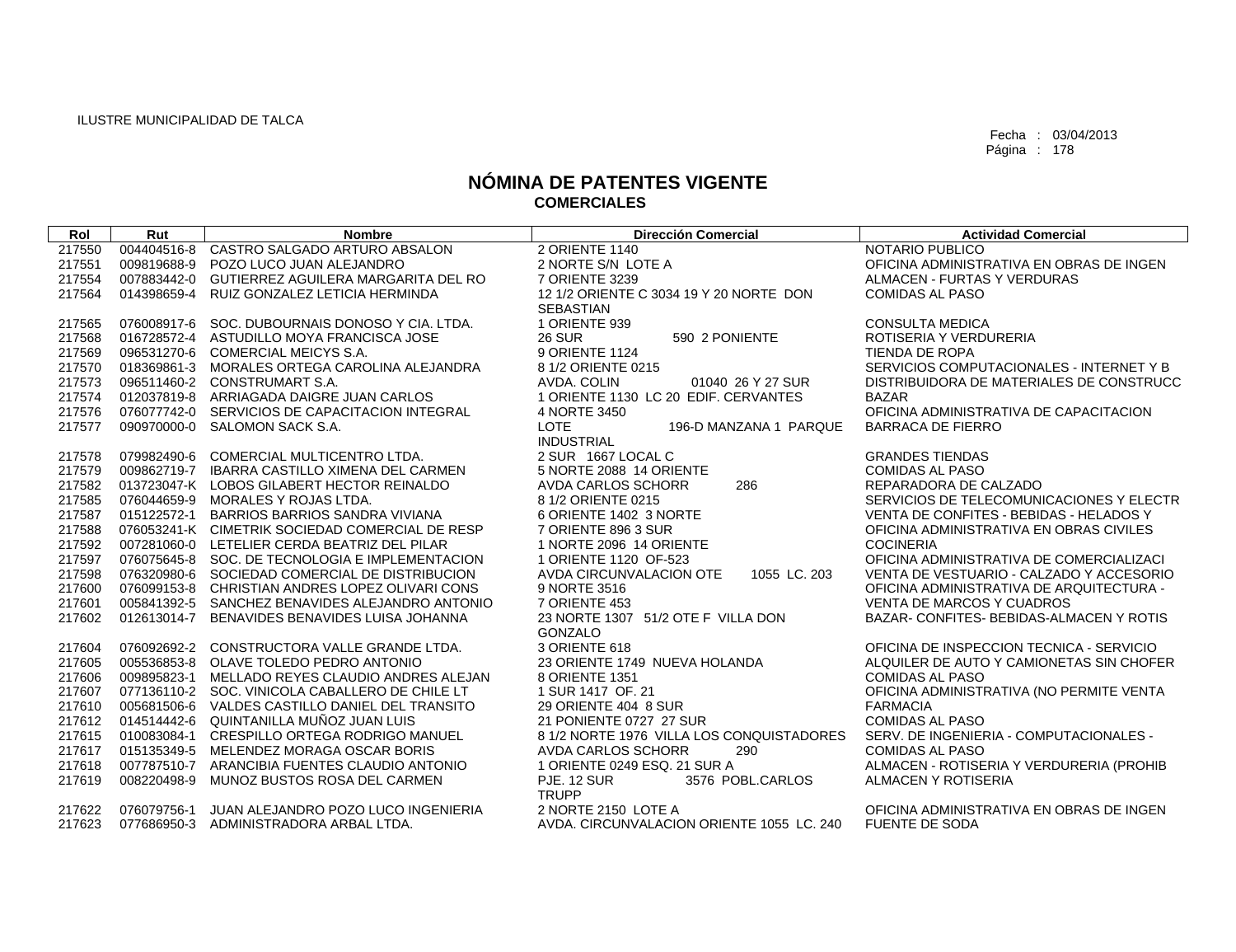| Rol    | Rut         | <b>Nombre</b>                                   | <b>Dirección Comercial</b>                    | <b>Actividad Comercial</b>               |
|--------|-------------|-------------------------------------------------|-----------------------------------------------|------------------------------------------|
| 217550 | 004404516-8 | CASTRO SALGADO ARTURO ABSALON                   | 2 ORIENTE 1140                                | NOTARIO PUBLICO                          |
| 217551 | 009819688-9 | POZO LUCO JUAN ALEJANDRO                        | 2 NORTE S/N LOTE A                            | OFICINA ADMINISTRATIVA EN OBRAS DE INGEN |
| 217554 |             | 007883442-0 GUTIERREZ AGUILERA MARGARITA DEL RO | 7 ORIENTE 3239                                | ALMACEN - FURTAS Y VERDURAS              |
| 217564 | 014398659-4 | RUIZ GONZALEZ LETICIA HERMINDA                  | 12 1/2 ORIENTE C 3034 19 Y 20 NORTE DON       | <b>COMIDAS AL PASO</b>                   |
|        |             |                                                 | <b>SEBASTIAN</b>                              |                                          |
| 217565 |             | 076008917-6 SOC. DUBOURNAIS DONOSO Y CIA. LTDA. | 1 ORIENTE 939                                 | <b>CONSULTA MEDICA</b>                   |
| 217568 |             | 016728572-4 ASTUDILLO MOYA FRANCISCA JOSE       | <b>26 SUR</b><br>590 2 PONIENTE               | ROTISERIA Y VERDURERIA                   |
| 217569 |             | 096531270-6 COMERCIAL MEICYS S.A.               | 9 ORIENTE 1124                                | TIENDA DE ROPA                           |
| 217570 |             | 018369861-3 MORALES ORTEGA CAROLINA ALEJANDRA   | 8 1/2 ORIENTE 0215                            | SERVICIOS COMPUTACIONALES - INTERNET Y B |
| 217573 |             | 096511460-2 CONSTRUMART S.A.                    | AVDA, COLIN<br>01040 26 Y 27 SUR              | DISTRIBUIDORA DE MATERIALES DE CONSTRUCC |
| 217574 |             | 012037819-8 ARRIAGADA DAIGRE JUAN CARLOS        | 1 ORIENTE 1130 LC 20 EDIF. CERVANTES          | <b>BAZAR</b>                             |
| 217576 |             | 076077742-0 SERVICIOS DE CAPACITACION INTEGRAL  | 4 NORTE 3450                                  | OFICINA ADMINISTRATIVA DE CAPACITACION   |
| 217577 |             | 090970000-0 SALOMON SACK S.A.                   | <b>LOTE</b><br>196-D MANZANA 1 PARQUE         | <b>BARRACA DE FIERRO</b>                 |
|        |             |                                                 | <b>INDUSTRIAL</b>                             |                                          |
| 217578 |             | 079982490-6 COMERCIAL MULTICENTRO LTDA.         | 2 SUR 1667 LOCAL C                            | <b>GRANDES TIENDAS</b>                   |
| 217579 |             | 009862719-7 IBARRA CASTILLO XIMENA DEL CARMEN   | 5 NORTE 2088 14 ORIENTE                       | <b>COMIDAS AL PASO</b>                   |
| 217582 |             | 013723047-K LOBOS GILABERT HECTOR REINALDO      | 286<br><b>AVDA CARLOS SCHORR</b>              | REPARADORA DE CALZADO                    |
| 217585 |             | 076044659-9 MORALES Y ROJAS LTDA.               | 8 1/2 ORIENTE 0215                            | SERVICIOS DE TELECOMUNICACIONES Y ELECTR |
| 217587 |             | 015122572-1 BARRIOS BARRIOS SANDRA VIVIANA      | 6 ORIENTE 1402 3 NORTE                        | VENTA DE CONFITES - BEBIDAS - HELADOS Y  |
| 217588 |             | 076053241-K CIMETRIK SOCIEDAD COMERCIAL DE RESP | 7 ORIENTE 896 3 SUR                           | OFICINA ADMINISTRATIVA EN OBRAS CIVILES  |
| 217592 |             | 007281060-0 LETELIER CERDA BEATRIZ DEL PILAR    | 1 NORTE 2096 14 ORIENTE                       | <b>COCINERIA</b>                         |
| 217597 |             | 076075645-8 SOC, DE TECNOLOGIA E IMPLEMENTACION | 1 ORIENTE 1120 OF-523                         | OFICINA ADMINISTRATIVA DE COMERCIALIZACI |
| 217598 |             | 076320980-6 SOCIEDAD COMERCIAL DE DISTRIBUCION  | AVDA CIRCUNVALACION OTE<br>1055 LC. 203       | VENTA DE VESTUARIO - CALZADO Y ACCESORIO |
| 217600 |             | 076099153-8 CHRISTIAN ANDRES LOPEZ OLIVARI CONS | 9 NORTE 3516                                  | OFICINA ADMINISTRATIVA DE ARQUITECTURA - |
| 217601 |             | 005841392-5 SANCHEZ BENAVIDES ALEJANDRO ANTONIO | 7 ORIENTE 453                                 | <b>VENTA DE MARCOS Y CUADROS</b>         |
| 217602 | 012613014-7 | BENAVIDES BENAVIDES LUISA JOHANNA               | 23 NORTE 1307 51/2 OTE F VILLA DON<br>GONZALO | BAZAR- CONFITES- BEBIDAS-ALMACEN Y ROTIS |
| 217604 | 076092692-2 | CONSTRUCTORA VALLE GRANDE LTDA.                 | 3 ORIENTE 618                                 | OFICINA DE INSPECCION TECNICA - SERVICIO |
| 217605 |             | 005536853-8 OLAVE TOLEDO PEDRO ANTONIO          | 23 ORIENTE 1749 NUEVA HOLANDA                 | ALQUILER DE AUTO Y CAMIONETAS SIN CHOFER |
| 217606 | 009895823-1 | MELLADO REYES CLAUDIO ANDRES ALEJAN             | 8 ORIENTE 1351                                | <b>COMIDAS AL PASO</b>                   |
| 217607 |             | 077136110-2 SOC. VINICOLA CABALLERO DE CHILE LT | 1 SUR 1417 OF, 21                             | OFICINA ADMINISTRATIVA (NO PERMITE VENTA |
| 217610 |             | 005681506-6 VALDES CASTILLO DANIEL DEL TRANSITO | 29 ORIENTE 404 8 SUR                          | <b>FARMACIA</b>                          |
| 217612 |             | 014514442-6 QUINTANILLA MUÑOZ JUAN LUIS         | 21 PONIENTE 0727 27 SUR                       | <b>COMIDAS AL PASO</b>                   |
| 217615 | 010083084-1 | CRESPILLO ORTEGA RODRIGO MANUEL                 | 8 1/2 NORTE 1976 VILLA LOS CONQUISTADORES     | SERV. DE INGENIERIA - COMPUTACIONALES -  |
| 217617 | 015135349-5 | MELENDEZ MORAGA OSCAR BORIS                     | AVDA CARLOS SCHORR<br>290                     | <b>COMIDAS AL PASO</b>                   |
| 217618 |             | 007787510-7 ARANCIBIA FUENTES CLAUDIO ANTONIO   | 1 ORIENTE 0249 ESQ, 21 SUR A                  | ALMACEN - ROTISERIA Y VERDURERIA (PROHIB |
| 217619 | 008220498-9 | MUNOZ BUSTOS ROSA DEL CARMEN                    | <b>PJE. 12 SUR</b><br>3576 POBL.CARLOS        | ALMACEN Y ROTISERIA                      |
|        |             |                                                 | <b>TRUPP</b>                                  |                                          |
| 217622 | 076079756-1 | JUAN ALEJANDRO POZO LUCO INGENIERIA             | 2 NORTE 2150 LOTE A                           | OFICINA ADMINISTRATIVA EN OBRAS DE INGEN |
| 217623 |             | 077686950-3 ADMINISTRADORA ARBAL LTDA.          | AVDA. CIRCUNVALACION ORIENTE 1055 LC. 240     | <b>FUENTE DE SODA</b>                    |
|        |             |                                                 |                                               |                                          |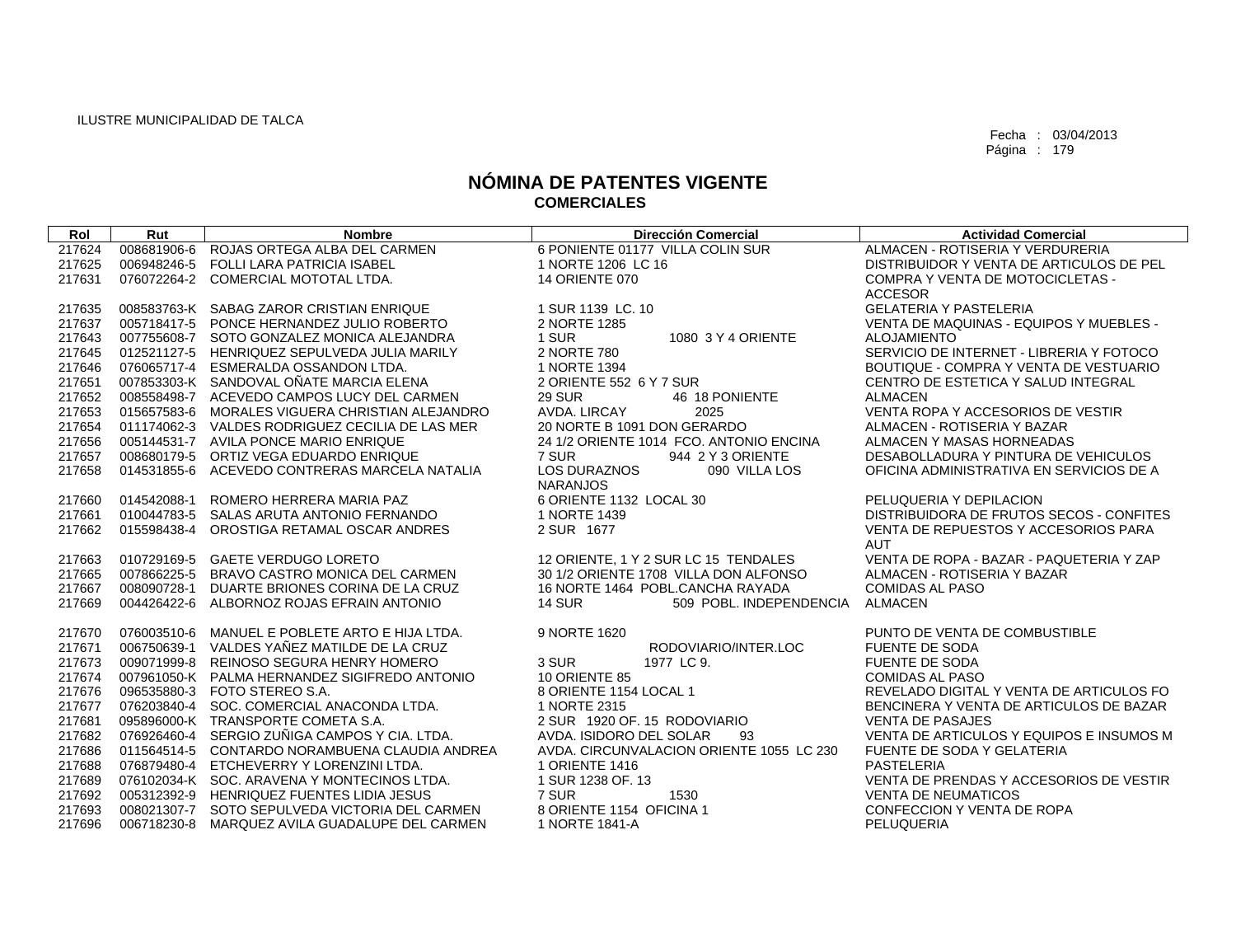| Rol    | Rut         | <b>Nombre</b>                                   | <b>Dirección Comercial</b>               | <b>Actividad Comercial</b>               |
|--------|-------------|-------------------------------------------------|------------------------------------------|------------------------------------------|
| 217624 | 008681906-6 | ROJAS ORTEGA ALBA DEL CARMEN                    | 6 PONIENTE 01177 VILLA COLIN SUR         | ALMACEN - ROTISERIA Y VERDURERIA         |
| 217625 |             | 006948246-5 FOLLI LARA PATRICIA ISABEL          | 1 NORTE 1206 LC 16                       | DISTRIBUIDOR Y VENTA DE ARTICULOS DE PEL |
| 217631 |             | 076072264-2 COMERCIAL MOTOTAL LTDA.             | <b>14 ORIENTE 070</b>                    | COMPRA Y VENTA DE MOTOCICLETAS -         |
|        |             |                                                 |                                          | <b>ACCESOR</b>                           |
| 217635 |             | 008583763-K SABAG ZAROR CRISTIAN ENRIQUE        | 1 SUR 1139 LC, 10                        | <b>GELATERIA Y PASTELERIA</b>            |
| 217637 |             | 005718417-5 PONCE HERNANDEZ JULIO ROBERTO       | 2 NORTE 1285                             | VENTA DE MAQUINAS - EQUIPOS Y MUEBLES -  |
| 217643 |             | 007755608-7 SOTO GONZALEZ MONICA ALEJANDRA      | 1 SUR<br>1080 3 Y 4 ORIENTE              | <b>ALOJAMIENTO</b>                       |
| 217645 |             | 012521127-5 HENRIQUEZ SEPULVEDA JULIA MARILY    | 2 NORTE 780                              | SERVICIO DE INTERNET - LIBRERIA Y FOTOCO |
| 217646 |             | 076065717-4 ESMERALDA OSSANDON LTDA.            | 1 NORTE 1394                             | BOUTIQUE - COMPRA Y VENTA DE VESTUARIO   |
| 217651 |             | 007853303-K SANDOVAL OÑATE MARCIA ELENA         | 2 ORIENTE 552 6 Y 7 SUR                  | CENTRO DE ESTETICA Y SALUD INTEGRAL      |
| 217652 |             | 008558498-7 ACEVEDO CAMPOS LUCY DEL CARMEN      | <b>29 SUR</b><br>46 18 PONIENTE          | <b>ALMACEN</b>                           |
| 217653 |             | 015657583-6 MORALES VIGUERA CHRISTIAN ALEJANDRO | AVDA, LIRCAY<br>2025                     | VENTA ROPA Y ACCESORIOS DE VESTIR        |
| 217654 |             | 011174062-3 VALDES RODRIGUEZ CECILIA DE LAS MER | 20 NORTE B 1091 DON GERARDO              | ALMACEN - ROTISERIA Y BAZAR              |
| 217656 |             | 005144531-7 AVILA PONCE MARIO ENRIQUE           | 24 1/2 ORIENTE 1014 FCO. ANTONIO ENCINA  | ALMACEN Y MASAS HORNEADAS                |
| 217657 |             | 008680179-5 ORTIZ VEGA EDUARDO ENRIQUE          | 7 SUR<br>944 2 Y 3 ORIENTE               | DESABOLLADURA Y PINTURA DE VEHICULOS     |
| 217658 |             | 014531855-6 ACEVEDO CONTRERAS MARCELA NATALIA   | <b>LOS DURAZNOS</b><br>090 VILLA LOS     | OFICINA ADMINISTRATIVA EN SERVICIOS DE A |
|        |             |                                                 | <b>NARANJOS</b>                          |                                          |
| 217660 | 014542088-1 | ROMERO HERRERA MARIA PAZ                        | 6 ORIENTE 1132 LOCAL 30                  | PELUQUERIA Y DEPILACION                  |
| 217661 |             | 010044783-5 SALAS ARUTA ANTONIO FERNANDO        | 1 NORTE 1439                             | DISTRIBUIDORA DE FRUTOS SECOS - CONFITES |
| 217662 | 015598438-4 | OROSTIGA RETAMAL OSCAR ANDRES                   | 2 SUR 1677                               | VENTA DE REPUESTOS Y ACCESORIOS PARA     |
|        |             |                                                 |                                          | <b>AUT</b>                               |
| 217663 |             | 010729169-5 GAETE VERDUGO LORETO                | 12 ORIENTE, 1 Y 2 SUR LC 15 TENDALES     | VENTA DE ROPA - BAZAR - PAQUETERIA Y ZAP |
| 217665 |             | 007866225-5 BRAVO CASTRO MONICA DEL CARMEN      | 30 1/2 ORIENTE 1708 VILLA DON ALFONSO    | ALMACEN - ROTISERIA Y BAZAR              |
| 217667 | 008090728-1 | DUARTE BRIONES CORINA DE LA CRUZ                | 16 NORTE 1464 POBL.CANCHA RAYADA         | <b>COMIDAS AL PASO</b>                   |
| 217669 |             | 004426422-6 ALBORNOZ ROJAS EFRAIN ANTONIO       | <b>14 SUR</b><br>509 POBL. INDEPENDENCIA | <b>ALMACEN</b>                           |
|        |             |                                                 |                                          |                                          |
| 217670 |             | 076003510-6 MANUEL E POBLETE ARTO E HIJA LTDA.  | 9 NORTE 1620                             | PUNTO DE VENTA DE COMBUSTIBLE            |
| 217671 | 006750639-1 | VALDES YAÑEZ MATILDE DE LA CRUZ                 | RODOVIARIO/INTER.LOC                     | <b>FUENTE DE SODA</b>                    |
| 217673 |             | 009071999-8 REINOSO SEGURA HENRY HOMERO         | 3 SUR<br>1977 LC 9.                      | FUENTE DE SODA                           |
| 217674 |             | 007961050-K PALMA HERNANDEZ SIGIFREDO ANTONIO   | 10 ORIENTE 85                            | <b>COMIDAS AL PASO</b>                   |
| 217676 |             | 096535880-3 FOTO STEREO S.A.                    | 8 ORIENTE 1154 LOCAL 1                   | REVELADO DIGITAL Y VENTA DE ARTICULOS FO |
| 217677 |             | 076203840-4 SOC. COMERCIAL ANACONDA LTDA.       | 1 NORTE 2315                             | BENCINERA Y VENTA DE ARTICULOS DE BAZAR  |
| 217681 |             | 095896000-K TRANSPORTE COMETA S.A.              | 2 SUR 1920 OF, 15 RODOVIARIO             | <b>VENTA DE PASAJES</b>                  |
| 217682 |             | 076926460-4 SERGIO ZUÑIGA CAMPOS Y CIA. LTDA.   | AVDA. ISIDORO DEL SOLAR<br>93            | VENTA DE ARTICULOS Y EQUIPOS E INSUMOS M |
| 217686 |             | 011564514-5 CONTARDO NORAMBUENA CLAUDIA ANDREA  | AVDA, CIRCUNVALACION ORIENTE 1055 LC 230 | FUENTE DE SODA Y GELATERIA               |
| 217688 |             | 076879480-4 ETCHEVERRY Y LORENZINI LTDA.        | 1 ORIENTE 1416                           | <b>PASTELERIA</b>                        |
| 217689 |             | 076102034-K SOC. ARAVENA Y MONTECINOS LTDA.     | 1 SUR 1238 OF. 13                        | VENTA DE PRENDAS Y ACCESORIOS DE VESTIR  |
| 217692 |             | 005312392-9 HENRIQUEZ FUENTES LIDIA JESUS       | 7 SUR<br>1530                            | <b>VENTA DE NEUMATICOS</b>               |
| 217693 |             | 008021307-7 SOTO SEPULVEDA VICTORIA DEL CARMEN  | 8 ORIENTE 1154 OFICINA 1                 | CONFECCION Y VENTA DE ROPA               |
| 217696 |             | 006718230-8 MARQUEZ AVILA GUADALUPE DEL CARMEN  | 1 NORTE 1841-A                           | PELUQUERIA                               |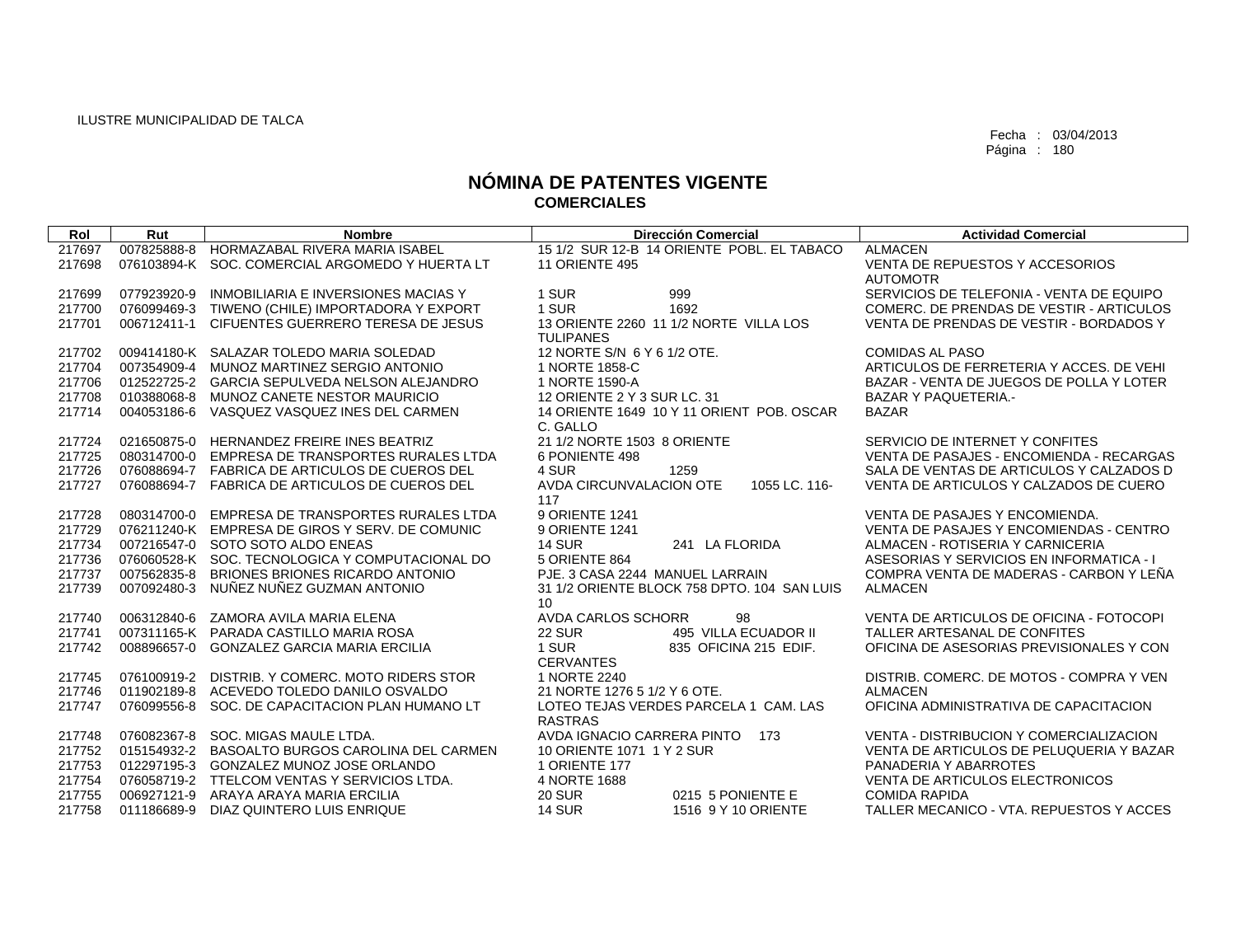| Rol    | Rut         | <b>Nombre</b>                                   | Dirección Comercial                                   | <b>Actividad Comercial</b>               |
|--------|-------------|-------------------------------------------------|-------------------------------------------------------|------------------------------------------|
| 217697 |             | 007825888-8 HORMAZABAL RIVERA MARIA ISABEL      | 15 1/2 SUR 12-B 14 ORIENTE POBL. EL TABACO            | <b>ALMACEN</b>                           |
| 217698 |             | 076103894-K SOC. COMERCIAL ARGOMEDO Y HUERTA LT | <b>11 ORIENTE 495</b>                                 | VENTA DE REPUESTOS Y ACCESORIOS          |
|        |             |                                                 |                                                       | <b>AUTOMOTR</b>                          |
| 217699 | 077923920-9 | INMOBILIARIA E INVERSIONES MACIAS Y             | 999<br>1 SUR                                          | SERVICIOS DE TELEFONIA - VENTA DE EQUIPO |
| 217700 |             | 076099469-3 TIWENO (CHILE) IMPORTADORA Y EXPORT | 1 SUR<br>1692                                         | COMERC. DE PRENDAS DE VESTIR - ARTICULOS |
| 217701 | 006712411-1 | CIFUENTES GUERRERO TERESA DE JESUS              | 13 ORIENTE 2260 11 1/2 NORTE VILLA LOS                | VENTA DE PRENDAS DE VESTIR - BORDADOS Y  |
|        |             |                                                 | <b>TULIPANES</b>                                      |                                          |
| 217702 |             | 009414180-K SALAZAR TOLEDO MARIA SOLEDAD        | 12 NORTE S/N 6 Y 6 1/2 OTE.                           | <b>COMIDAS AL PASO</b>                   |
| 217704 |             | 007354909-4 MUNOZ MARTINEZ SERGIO ANTONIO       | 1 NORTE 1858-C                                        | ARTICULOS DE FERRETERIA Y ACCES. DE VEHI |
| 217706 | 012522725-2 | GARCIA SEPULVEDA NELSON ALEJANDRO               | 1 NORTE 1590-A                                        | BAZAR - VENTA DE JUEGOS DE POLLA Y LOTER |
| 217708 | 010388068-8 | MUNOZ CANETE NESTOR MAURICIO                    | 12 ORIENTE 2 Y 3 SUR LC, 31                           | <b>BAZAR Y PAQUETERIA.-</b>              |
| 217714 | 004053186-6 | VASQUEZ VASQUEZ INES DEL CARMEN                 | 14 ORIENTE 1649 10 Y 11 ORIENT POB, OSCAR<br>C. GALLO | <b>BAZAR</b>                             |
| 217724 |             | 021650875-0 HERNANDEZ FREIRE INES BEATRIZ       | 21 1/2 NORTE 1503 8 ORIENTE                           | SERVICIO DE INTERNET Y CONFITES          |
| 217725 | 080314700-0 | EMPRESA DE TRANSPORTES RURALES LTDA             | 6 PONIENTE 498                                        | VENTA DE PASAJES - ENCOMIENDA - RECARGAS |
| 217726 |             | 076088694-7 FABRICA DE ARTICULOS DE CUEROS DEL  | 4 SUR<br>1259                                         | SALA DE VENTAS DE ARTICULOS Y CALZADOS D |
| 217727 | 076088694-7 | <b>FABRICA DE ARTICULOS DE CUEROS DEL</b>       | AVDA CIRCUNVALACION OTE<br>1055 LC. 116-              | VENTA DE ARTICULOS Y CALZADOS DE CUERO   |
|        |             |                                                 | 117                                                   |                                          |
| 217728 |             | 080314700-0 EMPRESA DE TRANSPORTES RURALES LTDA | 9 ORIENTE 1241                                        | VENTA DE PASAJES Y ENCOMIENDA.           |
| 217729 |             | 076211240-K EMPRESA DE GIROS Y SERV. DE COMUNIC | 9 ORIENTE 1241                                        | VENTA DE PASAJES Y ENCOMIENDAS - CENTRO  |
| 217734 |             | 007216547-0 SOTO SOTO ALDO ENEAS                | <b>14 SUR</b><br>241 LA FLORIDA                       | ALMACEN - ROTISERIA Y CARNICERIA         |
| 217736 |             | 076060528-K SOC. TECNOLOGICA Y COMPUTACIONAL DO | 5 ORIENTE 864                                         | ASESORIAS Y SERVICIOS EN INFORMATICA - I |
| 217737 | 007562835-8 | BRIONES BRIONES RICARDO ANTONIO                 | PJE. 3 CASA 2244 MANUEL LARRAIN                       | COMPRA VENTA DE MADERAS - CARBON Y LEÑA  |
| 217739 | 007092480-3 | NUÑEZ NUÑEZ GUZMAN ANTONIO                      | 31 1/2 ORIENTE BLOCK 758 DPTO, 104 SAN LUIS           | <b>ALMACEN</b>                           |
|        |             |                                                 | 10 <sup>°</sup>                                       |                                          |
| 217740 |             | 006312840-6 ZAMORA AVILA MARIA ELENA            | AVDA CARLOS SCHORR<br>98                              | VENTA DE ARTICULOS DE OFICINA - FOTOCOPI |
| 217741 |             | 007311165-K PARADA CASTILLO MARIA ROSA          | 495 VILLA ECUADOR II<br><b>22 SUR</b>                 | TALLER ARTESANAL DE CONFITES             |
| 217742 |             | 008896657-0 GONZALEZ GARCIA MARIA ERCILIA       | 1 SUR<br>835 OFICINA 215 EDIF.                        | OFICINA DE ASESORIAS PREVISIONALES Y CON |
|        |             |                                                 | <b>CERVANTES</b>                                      |                                          |
| 217745 |             | 076100919-2 DISTRIB, Y COMERC, MOTO RIDERS STOR | 1 NORTE 2240                                          | DISTRIB, COMERC, DE MOTOS - COMPRA Y VEN |
| 217746 | 011902189-8 | ACEVEDO TOLEDO DANILO OSVALDO                   | 21 NORTE 1276 5 1/2 Y 6 OTE.                          | <b>ALMACEN</b>                           |
| 217747 | 076099556-8 | SOC. DE CAPACITACION PLAN HUMANO LT             | LOTEO TEJAS VERDES PARCELA 1 CAM. LAS                 | OFICINA ADMINISTRATIVA DE CAPACITACION   |
|        |             |                                                 | <b>RASTRAS</b><br>AVDA IGNACIO CARRERA PINTO          | VENTA - DISTRIBUCION Y COMERCIALIZACION  |
| 217748 | 076082367-8 | SOC. MIGAS MAULE LTDA.                          | 173                                                   |                                          |
| 217752 |             | 015154932-2 BASOALTO BURGOS CAROLINA DEL CARMEN | 10 ORIENTE 1071 1 Y 2 SUR                             | VENTA DE ARTICULOS DE PELUQUERIA Y BAZAR |
| 217753 |             | 012297195-3 GONZALEZ MUNOZ JOSE ORLANDO         | 1 ORIENTE 177                                         | PANADERIA Y ABARROTES                    |
| 217754 | 076058719-2 | TTELCOM VENTAS Y SERVICIOS LTDA.                | 4 NORTE 1688                                          | <b>VENTA DE ARTICULOS ELECTRONICOS</b>   |
| 217755 |             | 006927121-9 ARAYA ARAYA MARIA ERCILIA           | <b>20 SUR</b><br>0215 5 PONIENTE E                    | <b>COMIDA RAPIDA</b>                     |
| 217758 | 011186689-9 | DIAZ QUINTERO LUIS ENRIQUE                      | <b>14 SUR</b><br>1516 9 Y 10 ORIENTE                  | TALLER MECANICO - VTA, REPUESTOS Y ACCES |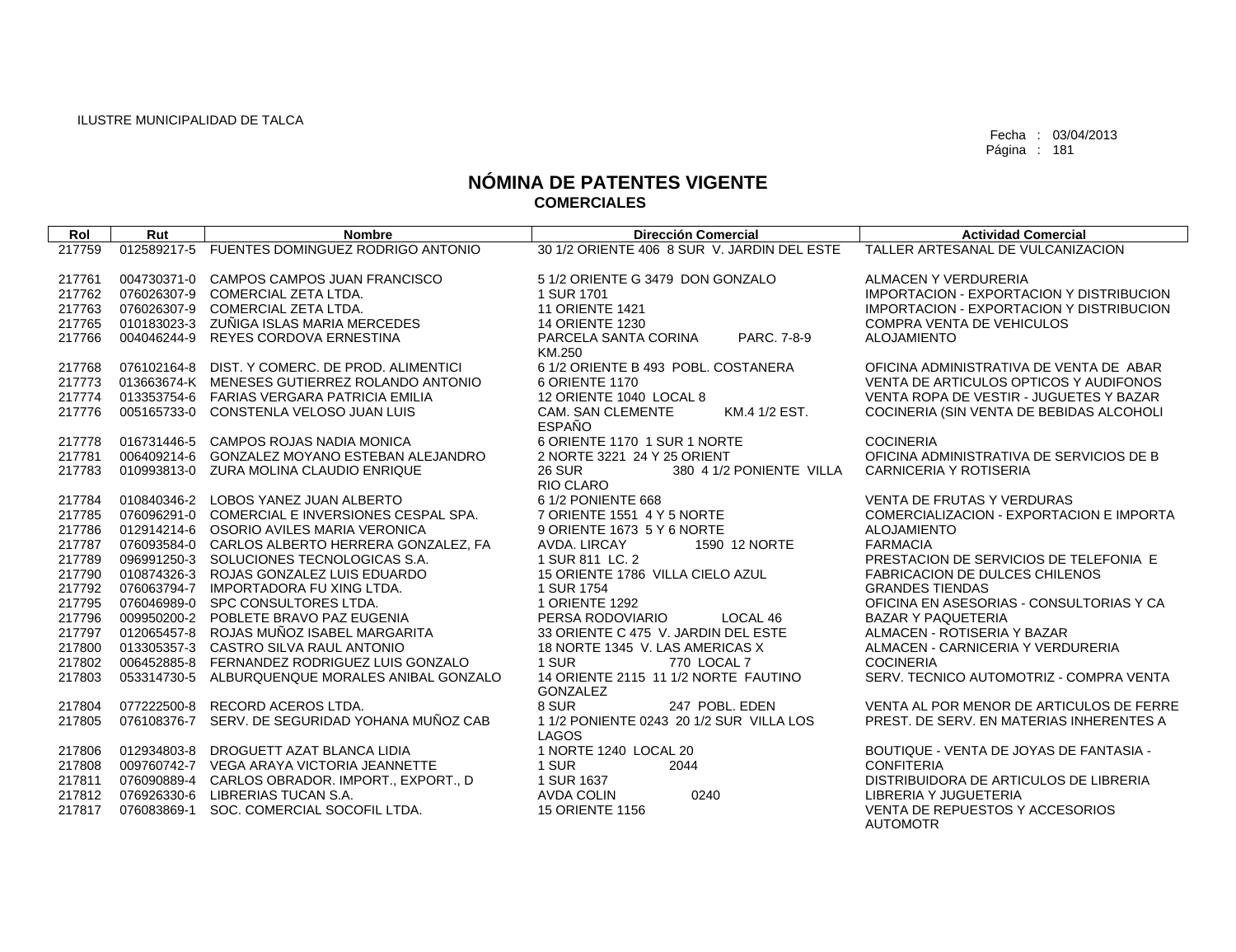| Rol    | Rut         | <b>Nombre</b>                                   | Dirección Comercial                         | <b>Actividad Comercial</b>                      |
|--------|-------------|-------------------------------------------------|---------------------------------------------|-------------------------------------------------|
| 217759 | 012589217-5 | FUENTES DOMINGUEZ RODRIGO ANTONIO               | 30 1/2 ORIENTE 406 8 SUR V. JARDIN DEL ESTE | TALLER ARTESANAL DE VULCANIZACION               |
|        |             |                                                 |                                             |                                                 |
| 217761 |             | 004730371-0 CAMPOS CAMPOS JUAN FRANCISCO        | 5 1/2 ORIENTE G 3479 DON GONZALO            | ALMACEN Y VERDURERIA                            |
| 217762 |             | 076026307-9 COMERCIAL ZETA LTDA.                | 1 SUR 1701                                  | <b>IMPORTACION - EXPORTACION Y DISTRIBUCION</b> |
| 217763 |             | 076026307-9 COMERCIAL ZETA LTDA.                | <b>11 ORIENTE 1421</b>                      | <b>IMPORTACION - EXPORTACION Y DISTRIBUCION</b> |
| 217765 |             | 010183023-3 ZUÑIGA ISLAS MARIA MERCEDES         | <b>14 ORIENTE 1230</b>                      | <b>COMPRA VENTA DE VEHICULOS</b>                |
| 217766 | 004046244-9 | <b>REYES CORDOVA ERNESTINA</b>                  | PARCELA SANTA CORINA<br>PARC, 7-8-9         | <b>ALOJAMIENTO</b>                              |
|        |             |                                                 | KM.250                                      |                                                 |
| 217768 |             | 076102164-8 DIST, Y COMERC, DE PROD, ALIMENTICI | 6 1/2 ORIENTE B 493 POBL. COSTANERA         | OFICINA ADMINISTRATIVA DE VENTA DE ABAR         |
| 217773 |             | 013663674-K MENESES GUTIERREZ ROLANDO ANTONIO   | 6 ORIENTE 1170                              | VENTA DE ARTICULOS OPTICOS Y AUDIFONOS          |
| 217774 |             | 013353754-6 FARIAS VERGARA PATRICIA EMILIA      | 12 ORIENTE 1040 LOCAL 8                     | VENTA ROPA DE VESTIR - JUGUETES Y BAZAR         |
| 217776 |             | 005165733-0 CONSTENLA VELOSO JUAN LUIS          | <b>CAM. SAN CLEMENTE</b><br>KM.4 1/2 EST.   | COCINERIA (SIN VENTA DE BEBIDAS ALCOHOLI        |
|        |             |                                                 | <b>ESPAÑO</b>                               |                                                 |
| 217778 |             | 016731446-5 CAMPOS ROJAS NADIA MONICA           | 6 ORIENTE 1170 1 SUR 1 NORTE                | <b>COCINERIA</b>                                |
| 217781 |             | 006409214-6 GONZALEZ MOYANO ESTEBAN ALEJANDRO   | 2 NORTE 3221 24 Y 25 ORIENT                 | OFICINA ADMINISTRATIVA DE SERVICIOS DE B        |
| 217783 |             | 010993813-0 ZURA MOLINA CLAUDIO ENRIQUE         | <b>26 SUR</b><br>380 4 1/2 PONIENTE VILLA   | <b>CARNICERIA Y ROTISERIA</b>                   |
|        |             |                                                 | RIO CLARO                                   |                                                 |
| 217784 |             | 010840346-2 LOBOS YANEZ JUAN ALBERTO            | 6 1/2 PONIENTE 668                          | <b>VENTA DE FRUTAS Y VERDURAS</b>               |
| 217785 |             | 076096291-0 COMERCIAL E INVERSIONES CESPAL SPA. | 7 ORIENTE 1551 4 Y 5 NORTE                  | COMERCIALIZACION - EXPORTACION E IMPORTA        |
| 217786 |             | 012914214-6 OSORIO AVILES MARIA VERONICA        | 9 ORIENTE 1673 5 Y 6 NORTE                  | <b>ALOJAMIENTO</b>                              |
| 217787 |             | 076093584-0 CARLOS ALBERTO HERRERA GONZALEZ, FA | AVDA, LIRCAY<br>1590 12 NORTE               | <b>FARMACIA</b>                                 |
| 217789 | 096991250-3 | SOLUCIONES TECNOLOGICAS S.A.                    | 1 SUR 811 LC. 2                             | PRESTACION DE SERVICIOS DE TELEFONIA E          |
| 217790 | 010874326-3 | ROJAS GONZALEZ LUIS EDUARDO                     | 15 ORIENTE 1786 VILLA CIELO AZUL            | <b>FABRICACION DE DULCES CHILENOS</b>           |
| 217792 | 076063794-7 | IMPORTADORA FU XING LTDA.                       | 1 SUR 1754                                  | <b>GRANDES TIENDAS</b>                          |
| 217795 |             | 076046989-0 SPC CONSULTORES LTDA.               | 1 ORIENTE 1292                              | OFICINA EN ASESORIAS - CONSULTORIAS Y CA        |
| 217796 |             | 009950200-2 POBLETE BRAVO PAZ EUGENIA           | PERSA RODOVIARIO<br>LOCAL 46                | <b>BAZAR Y PAQUETERIA</b>                       |
| 217797 | 012065457-8 | ROJAS MUÑOZ ISABEL MARGARITA                    | 33 ORIENTE C 475 V. JARDIN DEL ESTE         | ALMACEN - ROTISERIA Y BAZAR                     |
| 217800 |             | 013305357-3 CASTRO SILVA RAUL ANTONIO           | 18 NORTE 1345 V. LAS AMERICAS X             | ALMACEN - CARNICERIA Y VERDURERIA               |
| 217802 | 006452885-8 | FERNANDEZ RODRIGUEZ LUIS GONZALO                | 1 SUR<br>770 LOCAL 7                        | <b>COCINERIA</b>                                |
| 217803 | 053314730-5 | ALBURQUENQUE MORALES ANIBAL GONZALO             | 14 ORIENTE 2115 11 1/2 NORTE FAUTINO        | SERV. TECNICO AUTOMOTRIZ - COMPRA VENTA         |
|        |             |                                                 | <b>GONZALEZ</b>                             |                                                 |
| 217804 | 077222500-8 | RECORD ACEROS LTDA.                             | 8 SUR<br>247 POBL, EDEN                     | VENTA AL POR MENOR DE ARTICULOS DE FERRE        |
| 217805 | 076108376-7 | SERV. DE SEGURIDAD YOHANA MUÑOZ CAB             | 1 1/2 PONIENTE 0243 20 1/2 SUR VILLA LOS    | PREST. DE SERV. EN MATERIAS INHERENTES A        |
|        |             |                                                 | LAGOS                                       |                                                 |
| 217806 |             | 012934803-8 DROGUETT AZAT BLANCA LIDIA          | 1 NORTE 1240 LOCAL 20                       | BOUTIQUE - VENTA DE JOYAS DE FANTASIA -         |
| 217808 |             | 009760742-7 VEGA ARAYA VICTORIA JEANNETTE       | 1 SUR<br>2044                               | <b>CONFITERIA</b>                               |
| 217811 |             | 076090889-4 CARLOS OBRADOR. IMPORT., EXPORT., D | 1 SUR 1637                                  | DISTRIBUIDORA DE ARTICULOS DE LIBRERIA          |
| 217812 | 076926330-6 | LIBRERIAS TUCAN S.A.                            | <b>AVDA COLIN</b><br>0240                   | LIBRERIA Y JUGUETERIA                           |
| 217817 | 076083869-1 | SOC. COMERCIAL SOCOFIL LTDA.                    | <b>15 ORIENTE 1156</b>                      | VENTA DE REPUESTOS Y ACCESORIOS                 |
|        |             |                                                 |                                             | <b>AUTOMOTR</b>                                 |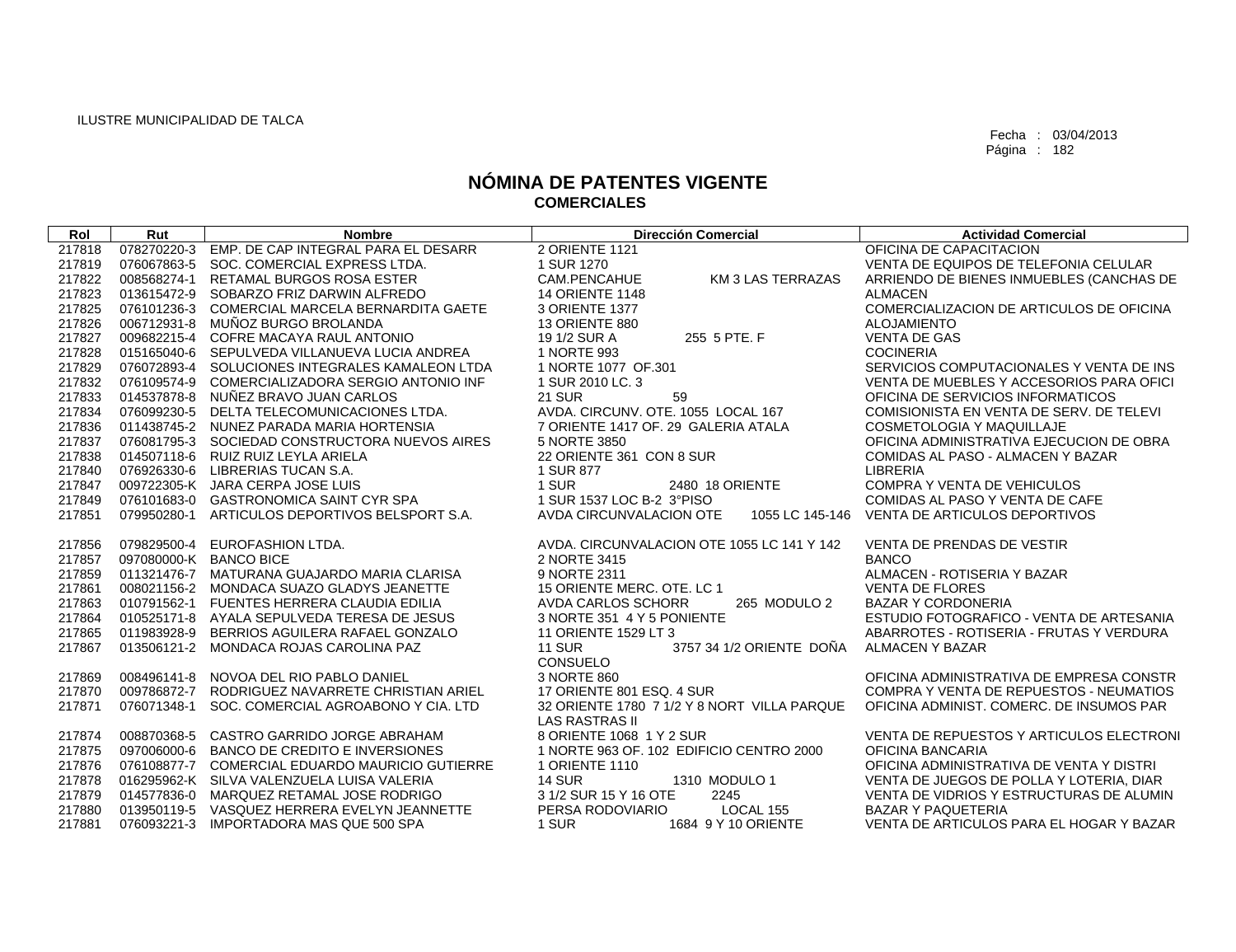| Rol    | Rut         | <b>Nombre</b>                                   | <b>Dirección Comercial</b>                  | <b>Actividad Comercial</b>               |
|--------|-------------|-------------------------------------------------|---------------------------------------------|------------------------------------------|
| 217818 | 078270220-3 | EMP. DE CAP INTEGRAL PARA EL DESARR             | 2 ORIENTE 1121                              | OFICINA DE CAPACITACION                  |
| 217819 | 076067863-5 | SOC. COMERCIAL EXPRESS LTDA.                    | 1 SUR 1270                                  | VENTA DE EQUIPOS DE TELEFONIA CELULAR    |
| 217822 | 008568274-1 | RETAMAL BURGOS ROSA ESTER                       | CAM.PENCAHUE<br>KM 3 LAS TERRAZAS           | ARRIENDO DE BIENES INMUEBLES (CANCHAS DE |
| 217823 | 013615472-9 | SOBARZO FRIZ DARWIN ALFREDO                     | <b>14 ORIENTE 1148</b>                      | <b>ALMACEN</b>                           |
| 217825 | 076101236-3 | COMERCIAL MARCELA BERNARDITA GAETE              | 3 ORIENTE 1377                              | COMERCIALIZACION DE ARTICULOS DE OFICINA |
| 217826 | 006712931-8 | MUÑOZ BURGO BROLANDA                            | 13 ORIENTE 880                              | <b>ALOJAMIENTO</b>                       |
| 217827 | 009682215-4 | COFRE MACAYA RAUL ANTONIO                       | 255 5 PTE. F<br>19 1/2 SUR A                | <b>VENTA DE GAS</b>                      |
| 217828 | 015165040-6 | SEPULVEDA VILLANUEVA LUCIA ANDREA               | 1 NORTE 993                                 | <b>COCINERIA</b>                         |
| 217829 |             | 076072893-4 SOLUCIONES INTEGRALES KAMALEON LTDA | 1 NORTE 1077 OF.301                         | SERVICIOS COMPUTACIONALES Y VENTA DE INS |
| 217832 | 076109574-9 | COMERCIALIZADORA SERGIO ANTONIO INF             | 1 SUR 2010 LC. 3                            | VENTA DE MUEBLES Y ACCESORIOS PARA OFICI |
| 217833 | 014537878-8 | NUÑEZ BRAVO JUAN CARLOS                         | <b>21 SUR</b><br>59                         | OFICINA DE SERVICIOS INFORMATICOS        |
| 217834 | 076099230-5 | DELTA TELECOMUNICACIONES LTDA.                  | AVDA. CIRCUNV. OTE. 1055 LOCAL 167          | COMISIONISTA EN VENTA DE SERV. DE TELEVI |
| 217836 |             | 011438745-2 NUNEZ PARADA MARIA HORTENSIA        | 7 ORIENTE 1417 OF, 29 GALERIA ATALA         | <b>COSMETOLOGIA Y MAQUILLAJE</b>         |
| 217837 |             | 076081795-3 SOCIEDAD CONSTRUCTORA NUEVOS AIRES  | 5 NORTE 3850                                | OFICINA ADMINISTRATIVA EJECUCION DE OBRA |
| 217838 | 014507118-6 | RUIZ RUIZ LEYLA ARIELA                          | 22 ORIENTE 361 CON 8 SUR                    | COMIDAS AL PASO - ALMACEN Y BAZAR        |
| 217840 | 076926330-6 | LIBRERIAS TUCAN S.A.                            | 1 SUR 877                                   | <b>LIBRERIA</b>                          |
| 217847 |             | 009722305-K JARA CERPA JOSE LUIS                | 1 SUR<br>2480 18 ORIENTE                    | COMPRA Y VENTA DE VEHICULOS              |
| 217849 |             | 076101683-0 GASTRONOMICA SAINT CYR SPA          | 1 SUR 1537 LOC B-2 3°PISO                   | COMIDAS AL PASO Y VENTA DE CAFE          |
| 217851 | 079950280-1 | ARTICULOS DEPORTIVOS BELSPORT S.A.              | AVDA CIRCUNVALACION OTE<br>1055 LC 145-146  | VENTA DE ARTICULOS DEPORTIVOS            |
| 217856 | 079829500-4 | EUROFASHION LTDA.                               | AVDA, CIRCUNVALACION OTE 1055 LC 141 Y 142  | <b>VENTA DE PRENDAS DE VESTIR</b>        |
| 217857 |             | 097080000-K BANCO BICE                          | 2 NORTE 3415                                | <b>BANCO</b>                             |
| 217859 |             | 011321476-7 MATURANA GUAJARDO MARIA CLARISA     | 9 NORTE 2311                                | ALMACEN - ROTISERIA Y BAZAR              |
| 217861 |             | 008021156-2 MONDACA SUAZO GLADYS JEANETTE       | 15 ORIENTE MERC. OTE. LC 1                  | <b>VENTA DE FLORES</b>                   |
| 217863 | 010791562-1 | <b>FUENTES HERRERA CLAUDIA EDILIA</b>           | <b>AVDA CARLOS SCHORR</b><br>265 MODULO 2   | <b>BAZAR Y CORDONERIA</b>                |
| 217864 | 010525171-8 | AYALA SEPULVEDA TERESA DE JESUS                 | 3 NORTE 351 4 Y 5 PONIENTE                  | ESTUDIO FOTOGRAFICO - VENTA DE ARTESANIA |
| 217865 | 011983928-9 | BERRIOS AGUILERA RAFAEL GONZALO                 | 11 ORIENTE 1529 LT 3                        | ABARROTES - ROTISERIA - FRUTAS Y VERDURA |
| 217867 | 013506121-2 | MONDACA ROJAS CAROLINA PAZ                      | <b>11 SUR</b><br>3757 34 1/2 ORIENTE DOÑA   | ALMACEN Y BAZAR                          |
|        |             |                                                 | <b>CONSUELO</b>                             |                                          |
| 217869 | 008496141-8 | NOVOA DEL RIO PABLO DANIEL                      | 3 NORTE 860                                 | OFICINA ADMINISTRATIVA DE EMPRESA CONSTR |
| 217870 | 009786872-7 | RODRIGUEZ NAVARRETE CHRISTIAN ARIEL             | 17 ORIENTE 801 ESQ. 4 SUR                   | COMPRA Y VENTA DE REPUESTOS - NEUMATIOS  |
| 217871 | 076071348-1 | SOC. COMERCIAL AGROABONO Y CIA. LTD             | 32 ORIENTE 1780 7 1/2 Y 8 NORT VILLA PARQUE | OFICINA ADMINIST. COMERC. DE INSUMOS PAR |
|        |             |                                                 | <b>LAS RASTRAS II</b>                       |                                          |
| 217874 | 008870368-5 | CASTRO GARRIDO JORGE ABRAHAM                    | 8 ORIENTE 1068 1 Y 2 SUR                    | VENTA DE REPUESTOS Y ARTICULOS ELECTRONI |
| 217875 | 097006000-6 | BANCO DE CREDITO E INVERSIONES                  | 1 NORTE 963 OF, 102 EDIFICIO CENTRO 2000    | OFICINA BANCARIA                         |
| 217876 |             | 076108877-7 COMERCIAL EDUARDO MAURICIO GUTIERRE | 1 ORIENTE 1110                              | OFICINA ADMINISTRATIVA DE VENTA Y DISTRI |
| 217878 |             | 016295962-K SILVA VALENZUELA LUISA VALERIA      | <b>14 SUR</b><br>1310 MODULO 1              | VENTA DE JUEGOS DE POLLA Y LOTERIA, DIAR |
| 217879 |             | 014577836-0 MARQUEZ RETAMAL JOSE RODRIGO        | 3 1/2 SUR 15 Y 16 OTE<br>2245               | VENTA DE VIDRIOS Y ESTRUCTURAS DE ALUMIN |
| 217880 |             | 013950119-5 VASQUEZ HERRERA EVELYN JEANNETTE    | PERSA RODOVIARIO<br>LOCAL 155               | <b>BAZAR Y PAQUETERIA</b>                |
| 217881 | 076093221-3 | IMPORTADORA MAS QUE 500 SPA                     | 1 SUR<br>1684 9 Y 10 ORIENTE                | VENTA DE ARTICULOS PARA EL HOGAR Y BAZAR |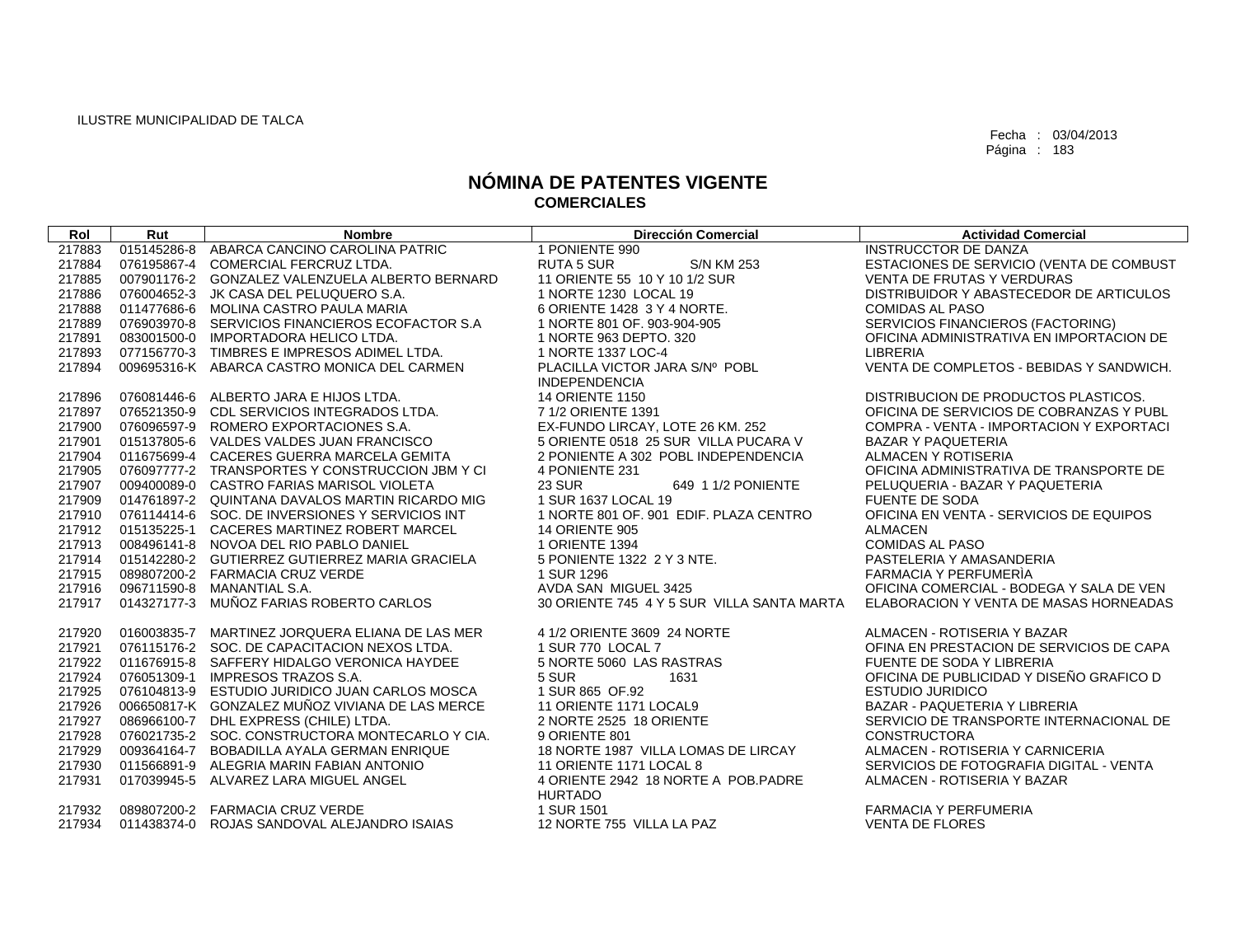| Rol    | Rut         | <b>Nombre</b>                                   | <b>Dirección Comercial</b>                 | <b>Actividad Comercial</b>               |
|--------|-------------|-------------------------------------------------|--------------------------------------------|------------------------------------------|
| 217883 | 015145286-8 | ABARCA CANCINO CAROLINA PATRIC                  | 1 PONIENTE 990                             | <b>INSTRUCCTOR DE DANZA</b>              |
| 217884 | 076195867-4 | COMERCIAL FERCRUZ LTDA.                         | <b>RUTA 5 SUR</b><br><b>S/N KM 253</b>     | ESTACIONES DE SERVICIO (VENTA DE COMBUST |
| 217885 |             | 007901176-2 GONZALEZ VALENZUELA ALBERTO BERNARD | 11 ORIENTE 55 10 Y 10 1/2 SUR              | <b>VENTA DE FRUTAS Y VERDURAS</b>        |
| 217886 |             | 076004652-3 JK CASA DEL PELUQUERO S.A.          | 1 NORTE 1230 LOCAL 19                      | DISTRIBUIDOR Y ABASTECEDOR DE ARTICULOS  |
| 217888 |             | 011477686-6 MOLINA CASTRO PAULA MARIA           | 6 ORIENTE 1428 3 Y 4 NORTE.                | <b>COMIDAS AL PASO</b>                   |
| 217889 |             | 076903970-8 SERVICIOS FINANCIEROS ECOFACTOR S.A | 1 NORTE 801 OF, 903-904-905                | SERVICIOS FINANCIEROS (FACTORING)        |
| 217891 |             | 083001500-0 IMPORTADORA HELICO LTDA.            | 1 NORTE 963 DEPTO, 320                     | OFICINA ADMINISTRATIVA EN IMPORTACION DE |
| 217893 |             | 077156770-3 TIMBRES E IMPRESOS ADIMEL LTDA.     | 1 NORTE 1337 LOC-4                         | <b>LIBRERIA</b>                          |
| 217894 |             | 009695316-K ABARCA CASTRO MONICA DEL CARMEN     | PLACILLA VICTOR JARA S/Nº POBL             | VENTA DE COMPLETOS - BEBIDAS Y SANDWICH. |
|        |             |                                                 | <b>INDEPENDENCIA</b>                       |                                          |
| 217896 | 076081446-6 | ALBERTO JARA E HIJOS LTDA.                      | <b>14 ORIENTE 1150</b>                     | DISTRIBUCION DE PRODUCTOS PLASTICOS.     |
| 217897 |             | 076521350-9 CDL SERVICIOS INTEGRADOS LTDA.      | 7 1/2 ORIENTE 1391                         | OFICINA DE SERVICIOS DE COBRANZAS Y PUBL |
| 217900 |             | 076096597-9 ROMERO EXPORTACIONES S.A.           | EX-FUNDO LIRCAY, LOTE 26 KM. 252           | COMPRA - VENTA - IMPORTACION Y EXPORTACI |
| 217901 |             | 015137805-6 VALDES VALDES JUAN FRANCISCO        | 5 ORIENTE 0518 25 SUR VILLA PUCARA V       | <b>BAZAR Y PAQUETERIA</b>                |
| 217904 |             | 011675699-4 CACERES GUERRA MARCELA GEMITA       | 2 PONIENTE A 302 POBL INDEPENDENCIA        | ALMACEN Y ROTISERIA                      |
| 217905 |             | 076097777-2 TRANSPORTES Y CONSTRUCCION JBM Y CI | 4 PONIENTE 231                             | OFICINA ADMINISTRATIVA DE TRANSPORTE DE  |
| 217907 |             | 009400089-0 CASTRO FARIAS MARISOL VIOLETA       | <b>23 SUR</b><br>649 1 1/2 PONIENTE        | PELUQUERIA - BAZAR Y PAQUETERIA          |
| 217909 |             | 014761897-2 QUINTANA DAVALOS MARTIN RICARDO MIG | 1 SUR 1637 LOCAL 19                        | <b>FUENTE DE SODA</b>                    |
| 217910 |             | 076114414-6 SOC. DE INVERSIONES Y SERVICIOS INT | 1 NORTE 801 OF. 901 EDIF. PLAZA CENTRO     | OFICINA EN VENTA - SERVICIOS DE EQUIPOS  |
| 217912 |             | 015135225-1 CACERES MARTINEZ ROBERT MARCEL      | <b>14 ORIENTE 905</b>                      | <b>ALMACEN</b>                           |
| 217913 |             | 008496141-8 NOVOA DEL RIO PABLO DANIEL          | 1 ORIENTE 1394                             | <b>COMIDAS AL PASO</b>                   |
| 217914 |             | 015142280-2 GUTIERREZ GUTIERREZ MARIA GRACIELA  | 5 PONIENTE 1322 2 Y 3 NTE.                 | PASTELERIA Y AMASANDERIA                 |
| 217915 |             | 089807200-2 FARMACIA CRUZ VERDE                 | 1 SUR 1296                                 | FARMACIA Y PERFUMERIA                    |
| 217916 |             | 096711590-8 MANANTIAL S.A.                      | AVDA SAN MIGUEL 3425                       | OFICINA COMERCIAL - BODEGA Y SALA DE VEN |
| 217917 |             | 014327177-3 MUÑOZ FARIAS ROBERTO CARLOS         | 30 ORIENTE 745 4 Y 5 SUR VILLA SANTA MARTA | ELABORACION Y VENTA DE MASAS HORNEADAS   |
| 217920 |             | 016003835-7 MARTINEZ JORQUERA ELIANA DE LAS MER | 4 1/2 ORIENTE 3609 24 NORTE                | ALMACEN - ROTISERIA Y BAZAR              |
| 217921 |             | 076115176-2 SOC. DE CAPACITACION NEXOS LTDA.    | 1 SUR 770 LOCAL 7                          | OFINA EN PRESTACION DE SERVICIOS DE CAPA |
| 217922 |             | 011676915-8 SAFFERY HIDALGO VERONICA HAYDEE     | 5 NORTE 5060 LAS RASTRAS                   | FUENTE DE SODA Y LIBRERIA                |
| 217924 |             | 076051309-1 IMPRESOS TRAZOS S.A.                | 5 SUR<br>1631                              | OFICINA DE PUBLICIDAD Y DISEÑO GRAFICO D |
| 217925 |             | 076104813-9 ESTUDIO JURIDICO JUAN CARLOS MOSCA  | 1 SUR 865 OF.92                            | <b>ESTUDIO JURIDICO</b>                  |
| 217926 |             | 006650817-K GONZALEZ MUÑOZ VIVIANA DE LAS MERCE | 11 ORIENTE 1171 LOCAL9                     | BAZAR - PAQUETERIA Y LIBRERIA            |
| 217927 |             | 086966100-7 DHL EXPRESS (CHILE) LTDA.           | 2 NORTE 2525 18 ORIENTE                    | SERVICIO DE TRANSPORTE INTERNACIONAL DE  |
| 217928 |             | 076021735-2 SOC. CONSTRUCTORA MONTECARLO Y CIA. | 9 ORIENTE 801                              | <b>CONSTRUCTORA</b>                      |
| 217929 |             | 009364164-7 BOBADILLA AYALA GERMAN ENRIQUE      | 18 NORTE 1987 VILLA LOMAS DE LIRCAY        | ALMACEN - ROTISERIA Y CARNICERIA         |
| 217930 |             | 011566891-9 ALEGRIA MARIN FABIAN ANTONIO        | 11 ORIENTE 1171 LOCAL 8                    | SERVICIOS DE FOTOGRAFIA DIGITAL - VENTA  |
| 217931 |             | 017039945-5 ALVAREZ LARA MIGUEL ANGEL           | 4 ORIENTE 2942 18 NORTE A POB PADRE        | ALMACEN - ROTISERIA Y BAZAR              |
|        |             |                                                 | <b>HURTADO</b>                             |                                          |
| 217932 |             | 089807200-2 FARMACIA CRUZ VERDE                 | 1 SUR 1501                                 | <b>FARMACIA Y PERFUMERIA</b>             |
| 217934 |             | 011438374-0 ROJAS SANDOVAL ALEJANDRO ISAIAS     | 12 NORTE 755 VILLA LA PAZ                  | <b>VENTA DE FLORES</b>                   |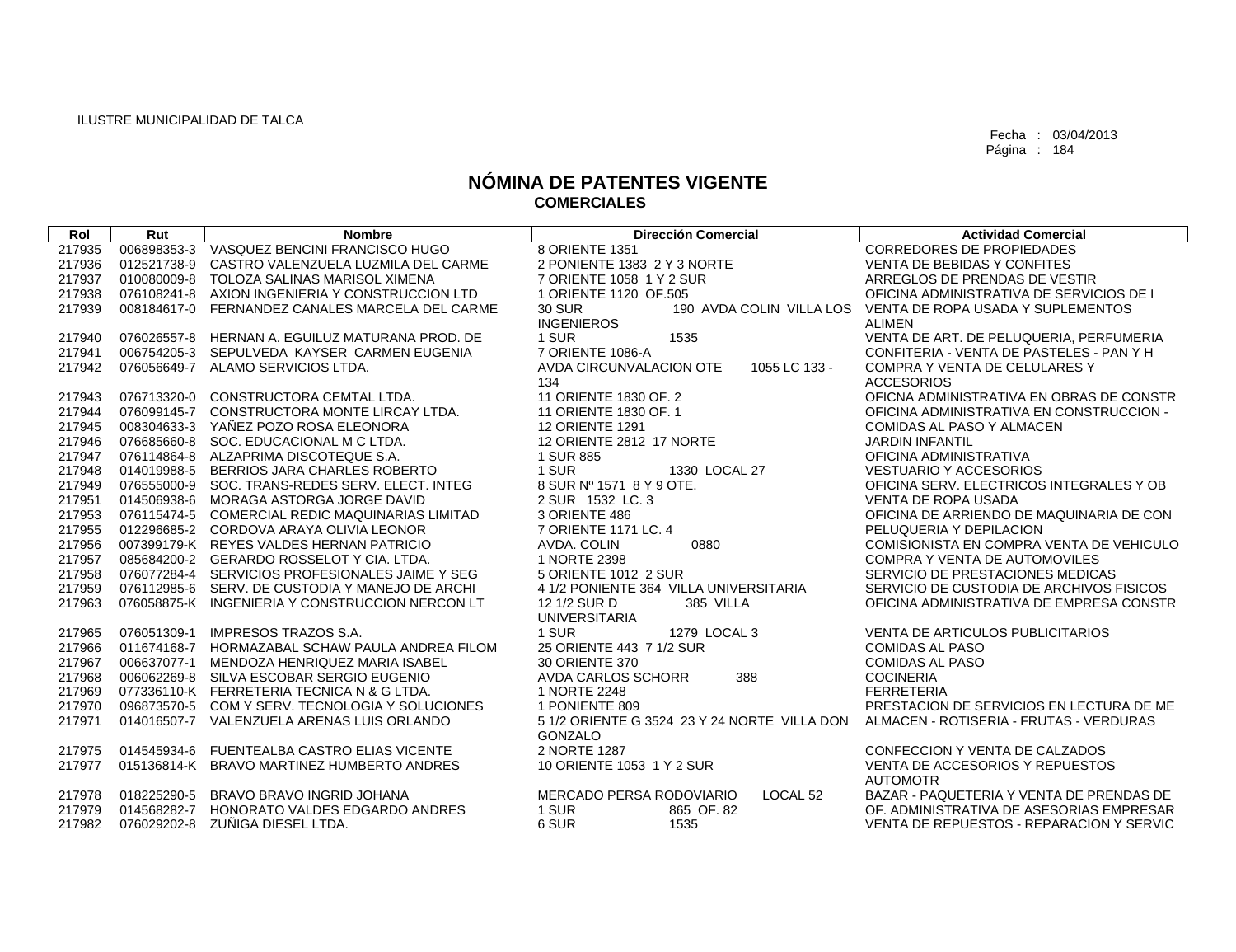| Rol    | Rut         | <b>Nombre</b>                                   | <b>Dirección Comercial</b>                                                           | <b>Actividad Comercial</b>               |
|--------|-------------|-------------------------------------------------|--------------------------------------------------------------------------------------|------------------------------------------|
| 217935 |             | 006898353-3 VASQUEZ BENCINI FRANCISCO HUGO      | 8 ORIENTE 1351                                                                       | CORREDORES DE PROPIEDADES                |
| 217936 | 012521738-9 | CASTRO VALENZUELA LUZMILA DEL CARME             | 2 PONIENTE 1383 2 Y 3 NORTE                                                          | <b>VENTA DE BEBIDAS Y CONFITES</b>       |
| 217937 |             | 010080009-8 TOLOZA SALINAS MARISOL XIMENA       | 7 ORIENTE 1058 1 Y 2 SUR                                                             | ARREGLOS DE PRENDAS DE VESTIR            |
| 217938 |             | 076108241-8 AXION INGENIERIA Y CONSTRUCCION LTD | 1 ORIENTE 1120 OF.505                                                                | OFICINA ADMINISTRATIVA DE SERVICIOS DE I |
| 217939 | 008184617-0 | FERNANDEZ CANALES MARCELA DEL CARME             | <b>30 SUR</b><br>190 AVDA COLIN VILLA LOS                                            | VENTA DE ROPA USADA Y SUPLEMENTOS        |
|        |             |                                                 | <b>INGENIEROS</b>                                                                    | <b>ALIMEN</b>                            |
| 217940 |             | 076026557-8 HERNAN A. EGUILUZ MATURANA PROD. DE | 1 SUR<br>1535                                                                        | VENTA DE ART. DE PELUQUERIA, PERFUMERIA  |
| 217941 |             | 006754205-3 SEPULVEDA KAYSER CARMEN EUGENIA     | 7 ORIENTE 1086-A                                                                     | CONFITERIA - VENTA DE PASTELES - PAN Y H |
| 217942 |             | 076056649-7 ALAMO SERVICIOS LTDA.               | 1055 LC 133 -<br>AVDA CIRCUNVALACION OTE                                             | <b>COMPRA Y VENTA DE CELULARES Y</b>     |
|        |             |                                                 | 134                                                                                  | <b>ACCESORIOS</b>                        |
| 217943 |             | 076713320-0 CONSTRUCTORA CEMTAL LTDA.           | 11 ORIENTE 1830 OF. 2                                                                | OFICNA ADMINISTRATIVA EN OBRAS DE CONSTR |
| 217944 |             | 076099145-7 CONSTRUCTORA MONTE LIRCAY LTDA.     | 11 ORIENTE 1830 OF. 1                                                                | OFICINA ADMINISTRATIVA EN CONSTRUCCION - |
| 217945 |             | 008304633-3 YAÑEZ POZO ROSA ELEONORA            | <b>12 ORIENTE 1291</b>                                                               | COMIDAS AL PASO Y ALMACEN                |
| 217946 |             | 076685660-8 SOC. EDUCACIONAL M C LTDA.          | 12 ORIENTE 2812 17 NORTE                                                             | <b>JARDIN INFANTIL</b>                   |
| 217947 |             | 076114864-8 ALZAPRIMA DISCOTEQUE S.A.           | 1 SUR 885                                                                            | OFICINA ADMINISTRATIVA                   |
| 217948 |             | 014019988-5 BERRIOS JARA CHARLES ROBERTO        | 1330 LOCAL 27<br>1 SUR                                                               | <b>VESTUARIO Y ACCESORIOS</b>            |
| 217949 |             | 076555000-9 SOC. TRANS-REDES SERV. ELECT. INTEG | 8 SUR Nº 1571 8 Y 9 OTE.                                                             | OFICINA SERV. ELECTRICOS INTEGRALES Y OB |
| 217951 |             | 014506938-6 MORAGA ASTORGA JORGE DAVID          | 2 SUR 1532 LC. 3                                                                     | <b>VENTA DE ROPA USADA</b>               |
| 217953 |             | 076115474-5 COMERCIAL REDIC MAQUINARIAS LIMITAD | 3 ORIENTE 486                                                                        | OFICINA DE ARRIENDO DE MAQUINARIA DE CON |
| 217955 |             | 012296685-2 CORDOVA ARAYA OLIVIA LEONOR         | 7 ORIENTE 1171 LC, 4                                                                 | PELUQUERIA Y DEPILACION                  |
| 217956 |             | 007399179-K REYES VALDES HERNAN PATRICIO        | 0880<br>AVDA. COLIN                                                                  | COMISIONISTA EN COMPRA VENTA DE VEHICULO |
| 217957 |             | 085684200-2 GERARDO ROSSELOT Y CIA. LTDA.       | 1 NORTE 2398                                                                         | COMPRA Y VENTA DE AUTOMOVILES            |
| 217958 |             | 076077284-4 SERVICIOS PROFESIONALES JAIME Y SEG | 5 ORIENTE 1012 2 SUR                                                                 | SERVICIO DE PRESTACIONES MEDICAS         |
| 217959 |             | 076112985-6 SERV, DE CUSTODIA Y MANEJO DE ARCHI | 4 1/2 PONIENTE 364 VILLA UNIVERSITARIA                                               | SERVICIO DE CUSTODIA DE ARCHIVOS FISICOS |
| 217963 |             | 076058875-K INGENIERIA Y CONSTRUCCION NERCON LT | 12 1/2 SUR D<br>385 VILLA                                                            | OFICINA ADMINISTRATIVA DE EMPRESA CONSTR |
|        |             |                                                 | <b>UNIVERSITARIA</b>                                                                 |                                          |
| 217965 | 076051309-1 | <b>IMPRESOS TRAZOS S.A.</b>                     | 1 SUR<br>1279 LOCAL 3                                                                | VENTA DE ARTICULOS PUBLICITARIOS         |
| 217966 |             | 011674168-7 HORMAZABAL SCHAW PAULA ANDREA FILOM | 25 ORIENTE 443 7 1/2 SUR                                                             | <b>COMIDAS AL PASO</b>                   |
| 217967 | 006637077-1 | MENDOZA HENRIQUEZ MARIA ISABEL                  | 30 ORIENTE 370                                                                       | <b>COMIDAS AL PASO</b>                   |
| 217968 |             | 006062269-8 SILVA ESCOBAR SERGIO EUGENIO        | 388<br>AVDA CARLOS SCHORR                                                            | <b>COCINERIA</b>                         |
| 217969 |             | 077336110-K FERRETERIA TECNICA N & G LTDA.      | 1 NORTE 2248                                                                         | <b>FERRETERIA</b>                        |
| 217970 |             | 096873570-5 COM Y SERV. TECNOLOGIA Y SOLUCIONES | 1 PONIENTE 809                                                                       | PRESTACION DE SERVICIOS EN LECTURA DE ME |
| 217971 |             | 014016507-7 VALENZUELA ARENAS LUIS ORLANDO      | 5 1/2 ORIENTE G 3524 23 Y 24 NORTE VILLA DON ALMACEN - ROTISERIA - FRUTAS - VERDURAS |                                          |
|        |             |                                                 | GONZALO                                                                              |                                          |
| 217975 |             | 014545934-6 FUENTEALBA CASTRO ELIAS VICENTE     | 2 NORTE 1287                                                                         | CONFECCION Y VENTA DE CALZADOS           |
| 217977 |             | 015136814-K BRAVO MARTINEZ HUMBERTO ANDRES      | 10 ORIENTE 1053 1 Y 2 SUR                                                            | VENTA DE ACCESORIOS Y REPUESTOS          |
|        |             |                                                 |                                                                                      | <b>AUTOMOTR</b>                          |
| 217978 | 018225290-5 | BRAVO BRAVO INGRID JOHANA                       | MERCADO PERSA RODOVIARIO<br>LOCAL <sub>52</sub>                                      | BAZAR - PAQUETERIA Y VENTA DE PRENDAS DE |
| 217979 | 014568282-7 | HONORATO VALDES EDGARDO ANDRES                  | 1 SUR<br>865 OF 82                                                                   | OF, ADMINISTRATIVA DE ASESORIAS EMPRESAR |
| 217982 |             | 076029202-8 ZUÑIGA DIESEL LTDA.                 | 6 SUR<br>1535                                                                        | VENTA DE REPUESTOS - REPARACION Y SERVIC |
|        |             |                                                 |                                                                                      |                                          |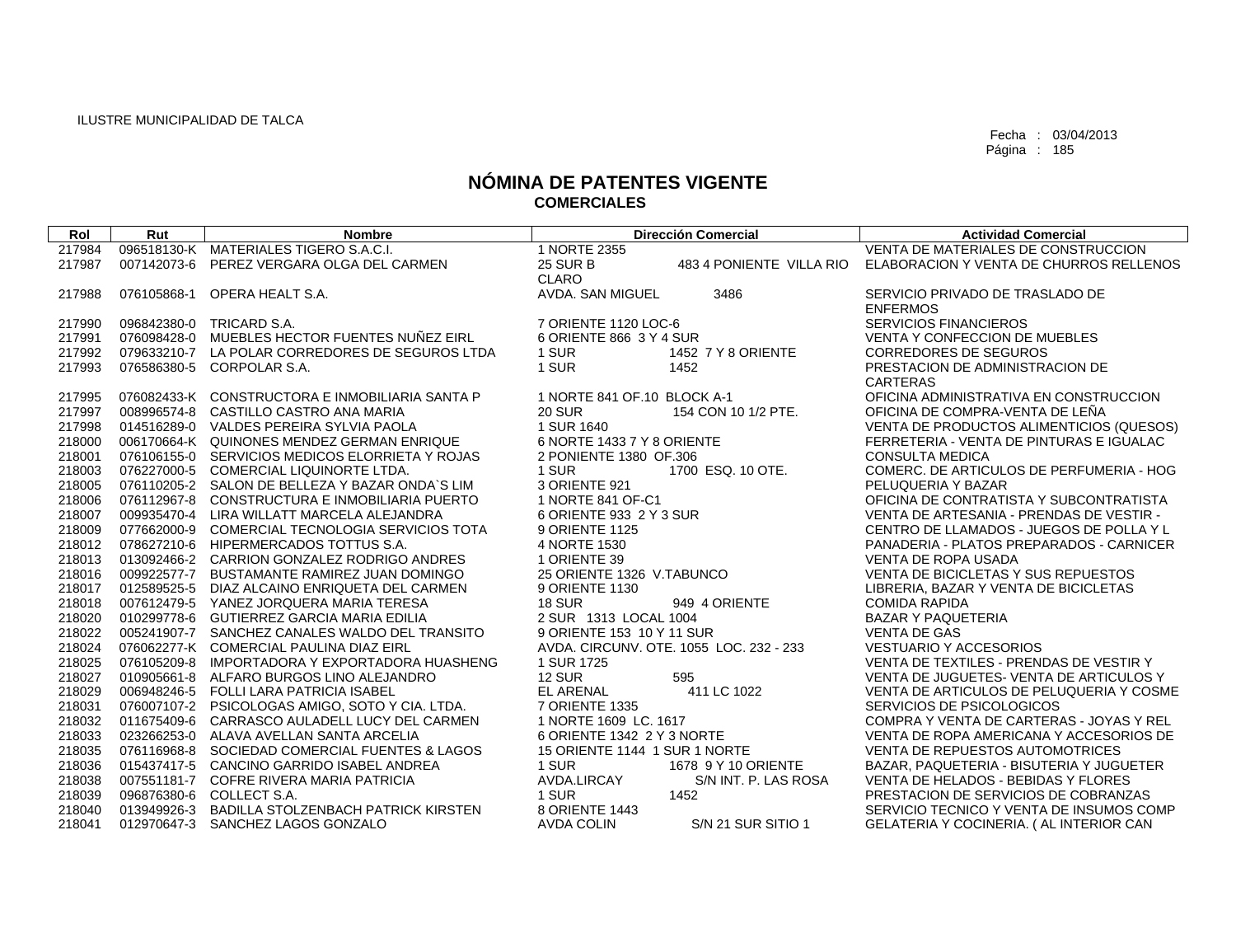| Rol    | Rut         | <b>Nombre</b>                                   |                               | <b>Dirección Comercial</b>              | <b>Actividad Comercial</b>               |
|--------|-------------|-------------------------------------------------|-------------------------------|-----------------------------------------|------------------------------------------|
| 217984 |             | 096518130-K MATERIALES TIGERO S.A.C.I.          | 1 NORTE 2355                  |                                         | VENTA DE MATERIALES DE CONSTRUCCION      |
| 217987 | 007142073-6 | PEREZ VERGARA OLGA DEL CARMEN                   | <b>25 SUR B</b>               | 483 4 PONIENTE VILLA RIO                | ELABORACION Y VENTA DE CHURROS RELLENOS  |
|        |             |                                                 | CLARO                         |                                         |                                          |
| 217988 | 076105868-1 | OPERA HEALT S.A.                                | AVDA. SAN MIGUEL              | 3486                                    | SERVICIO PRIVADO DE TRASLADO DE          |
|        |             |                                                 |                               |                                         | <b>ENFERMOS</b>                          |
| 217990 |             | 096842380-0 TRICARD S.A.                        | 7 ORIENTE 1120 LOC-6          |                                         | <b>SERVICIOS FINANCIEROS</b>             |
| 217991 |             | 076098428-0 MUEBLES HECTOR FUENTES NUÑEZ EIRL   | 6 ORIENTE 866 3 Y 4 SUR       |                                         | <b>VENTA Y CONFECCION DE MUEBLES</b>     |
| 217992 |             | 079633210-7 LA POLAR CORREDORES DE SEGUROS LTDA | 1 SUR                         | 1452 7 Y 8 ORIENTE                      | <b>CORREDORES DE SEGUROS</b>             |
| 217993 |             | 076586380-5 CORPOLAR S.A.                       | 1 SUR                         | 1452                                    | PRESTACION DE ADMINISTRACION DE          |
|        |             |                                                 |                               |                                         | <b>CARTERAS</b>                          |
| 217995 |             | 076082433-K CONSTRUCTORA E INMOBILIARIA SANTA P | 1 NORTE 841 OF 10 BLOCK A-1   |                                         | OFICINA ADMINISTRATIVA EN CONSTRUCCION   |
| 217997 |             | 008996574-8 CASTILLO CASTRO ANA MARIA           | <b>20 SUR</b>                 | 154 CON 10 1/2 PTE.                     | OFICINA DE COMPRA-VENTA DE LEÑA          |
| 217998 |             | 014516289-0 VALDES PEREIRA SYLVIA PAOLA         | 1 SUR 1640                    |                                         | VENTA DE PRODUCTOS ALIMENTICIOS (QUESOS) |
| 218000 |             | 006170664-K QUINONES MENDEZ GERMAN ENRIQUE      | 6 NORTE 1433 7 Y 8 ORIENTE    |                                         | FERRETERIA - VENTA DE PINTURAS E IGUALAC |
| 218001 |             | 076106155-0 SERVICIOS MEDICOS ELORRIETA Y ROJAS | 2 PONIENTE 1380 OF 306        |                                         | <b>CONSULTA MEDICA</b>                   |
| 218003 |             | 076227000-5 COMERCIAL LIQUINORTE LTDA.          | 1 SUR                         | 1700 ESQ, 10 OTE.                       | COMERC. DE ARTICULOS DE PERFUMERIA - HOG |
| 218005 |             | 076110205-2 SALON DE BELLEZA Y BAZAR ONDA'S LIM | 3 ORIENTE 921                 |                                         | PELUQUERIA Y BAZAR                       |
| 218006 |             | 076112967-8 CONSTRUCTURA E INMOBILIARIA PUERTO  | 1 NORTE 841 OF-C1             |                                         | OFICINA DE CONTRATISTA Y SUBCONTRATISTA  |
| 218007 |             | 009935470-4 LIRA WILLATT MARCELA ALEJANDRA      | 6 ORIENTE 933 2 Y 3 SUR       |                                         | VENTA DE ARTESANIA - PRENDAS DE VESTIR - |
| 218009 |             | 077662000-9 COMERCIAL TECNOLOGIA SERVICIOS TOTA | 9 ORIENTE 1125                |                                         | CENTRO DE LLAMADOS - JUEGOS DE POLLA Y L |
| 218012 |             | 078627210-6 HIPERMERCADOS TOTTUS S.A.           | 4 NORTE 1530                  |                                         | PANADERIA - PLATOS PREPARADOS - CARNICER |
| 218013 |             | 013092466-2 CARRION GONZALEZ RODRIGO ANDRES     | 1 ORIENTE 39                  |                                         | <b>VENTA DE ROPA USADA</b>               |
| 218016 |             | 009922577-7 BUSTAMANTE RAMIREZ JUAN DOMINGO     | 25 ORIENTE 1326 V.TABUNCO     |                                         | VENTA DE BICICLETAS Y SUS REPUESTOS      |
| 218017 |             | 012589525-5 DIAZ ALCAINO ENRIQUETA DEL CARMEN   | 9 ORIENTE 1130                |                                         | LIBRERIA, BAZAR Y VENTA DE BICICLETAS    |
| 218018 |             | 007612479-5 YANEZ JORQUERA MARIA TERESA         | 18 SUR                        | 949 4 ORIENTE                           | <b>COMIDA RAPIDA</b>                     |
| 218020 |             | 010299778-6 GUTIERREZ GARCIA MARIA EDILIA       | 2 SUR 1313 LOCAL 1004         |                                         | <b>BAZAR Y PAQUETERIA</b>                |
| 218022 |             | 005241907-7 SANCHEZ CANALES WALDO DEL TRANSITO  | 9 ORIENTE 153 10 Y 11 SUR     |                                         | <b>VENTA DE GAS</b>                      |
| 218024 |             | 076062277-K COMERCIAL PAULINA DIAZ EIRL         |                               | AVDA. CIRCUNV. OTE. 1055 LOC. 232 - 233 | VESTUARIO Y ACCESORIOS                   |
| 218025 |             | 076105209-8 IMPORTADORA Y EXPORTADORA HUASHENG  | 1 SUR 1725                    |                                         | VENTA DE TEXTILES - PRENDAS DE VESTIR Y  |
| 218027 |             | 010905661-8 ALFARO BURGOS LINO ALEJANDRO        | <b>12 SUR</b>                 | 595                                     | VENTA DE JUGUETES- VENTA DE ARTICULOS Y  |
| 218029 |             | 006948246-5 FOLLI LARA PATRICIA ISABEL          | <b>EL ARENAL</b>              | 411 LC 1022                             | VENTA DE ARTICULOS DE PELUQUERIA Y COSME |
| 218031 |             | 076007107-2 PSICOLOGAS AMIGO, SOTO Y CIA, LTDA. | 7 ORIENTE 1335                |                                         | SERVICIOS DE PSICOLOGICOS                |
| 218032 |             | 011675409-6 CARRASCO AULADELL LUCY DEL CARMEN   | 1 NORTE 1609 LC. 1617         |                                         | COMPRA Y VENTA DE CARTERAS - JOYAS Y REL |
| 218033 |             | 023266253-0 ALAVA AVELLAN SANTA ARCELIA         | 6 ORIENTE 1342 2 Y 3 NORTE    |                                         | VENTA DE ROPA AMERICANA Y ACCESORIOS DE  |
| 218035 |             | 076116968-8 SOCIEDAD COMERCIAL FUENTES & LAGOS  | 15 ORIENTE 1144 1 SUR 1 NORTE |                                         | VENTA DE REPUESTOS AUTOMOTRICES          |
| 218036 |             | 015437417-5 CANCINO GARRIDO ISABEL ANDREA       | 1 SUR                         | 1678 9 Y 10 ORIENTE                     | BAZAR, PAQUETERIA - BISUTERIA Y JUGUETER |
| 218038 |             | 007551181-7 COFRE RIVERA MARIA PATRICIA         | AVDA.LIRCAY                   | S/N INT. P. LAS ROSA                    | VENTA DE HELADOS - BEBIDAS Y FLORES      |
| 218039 |             | 096876380-6 COLLECT S.A.                        | 1 SUR                         | 1452                                    | PRESTACION DE SERVICIOS DE COBRANZAS     |
| 218040 |             | 013949926-3 BADILLA STOLZENBACH PATRICK KIRSTEN | 8 ORIENTE 1443                |                                         | SERVICIO TECNICO Y VENTA DE INSUMOS COMP |
| 218041 |             | 012970647-3 SANCHEZ LAGOS GONZALO               | <b>AVDA COLIN</b>             | S/N 21 SUR SITIO 1                      | GELATERIA Y COCINERIA. ( AL INTERIOR CAN |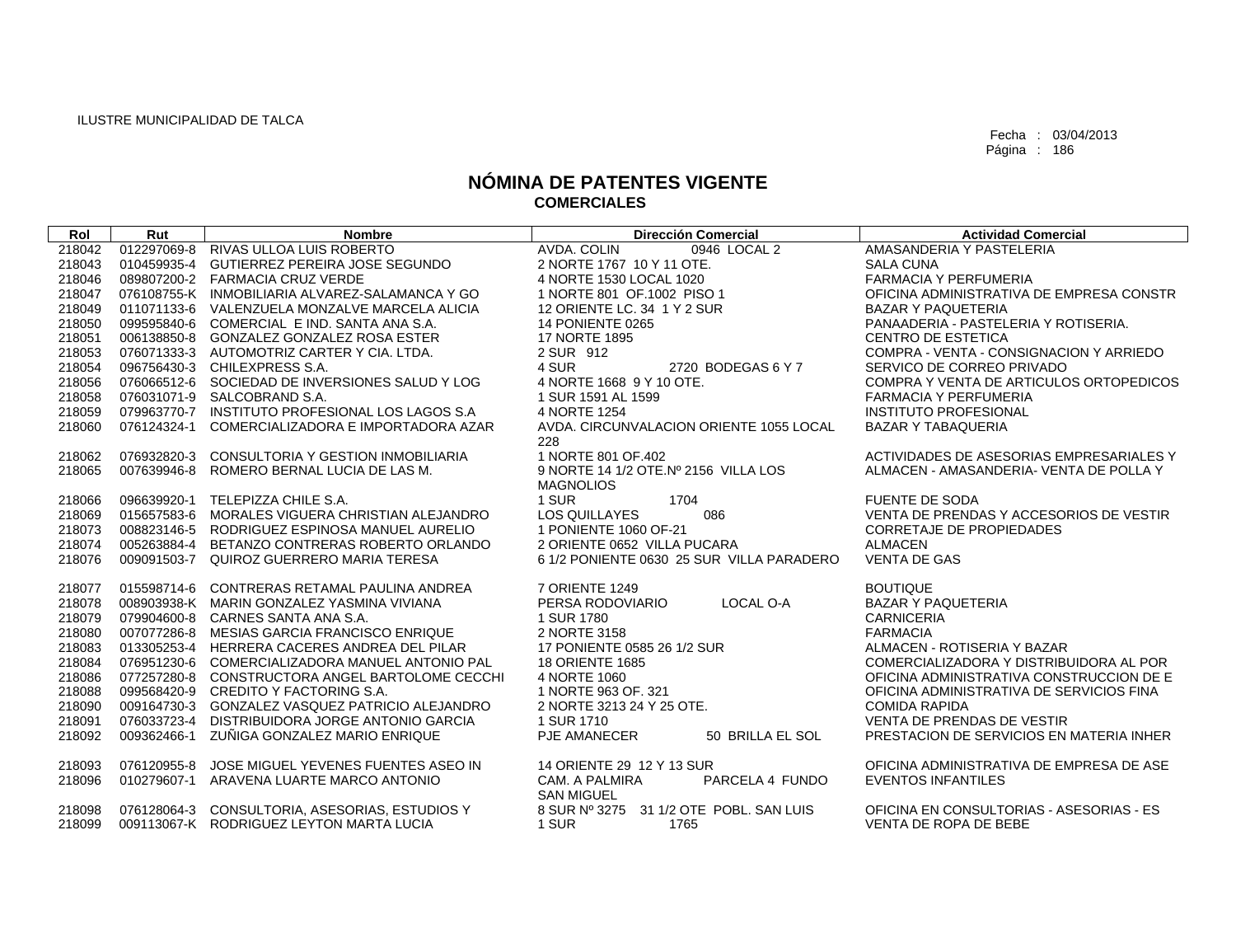| Rol    | Rut         | <b>Nombre</b>                                   | <b>Dirección Comercial</b>                | <b>Actividad Comercial</b>               |
|--------|-------------|-------------------------------------------------|-------------------------------------------|------------------------------------------|
| 218042 | 012297069-8 | RIVAS ULLOA LUIS ROBERTO                        | AVDA. COLIN<br>0946 LOCAL 2               | AMASANDERIA Y PASTELERIA                 |
| 218043 | 010459935-4 | GUTIERREZ PEREIRA JOSE SEGUNDO                  | 2 NORTE 1767 10 Y 11 OTE.                 | <b>SALA CUNA</b>                         |
| 218046 |             | 089807200-2 FARMACIA CRUZ VERDE                 | 4 NORTE 1530 LOCAL 1020                   | <b>FARMACIA Y PERFUMERIA</b>             |
| 218047 |             | 076108755-K INMOBILIARIA ALVAREZ-SALAMANCA Y GO | 1 NORTE 801 OF 1002 PISO 1                | OFICINA ADMINISTRATIVA DE EMPRESA CONSTR |
| 218049 |             | 011071133-6 VALENZUELA MONZALVE MARCELA ALICIA  | 12 ORIENTE LC. 34 1 Y 2 SUR               | <b>BAZAR Y PAQUETERIA</b>                |
| 218050 |             | 099595840-6 COMERCIAL E IND. SANTA ANA S.A.     | 14 PONIENTE 0265                          | PANAADERIA - PASTELERIA Y ROTISERIA.     |
| 218051 |             | 006138850-8 GONZALEZ GONZALEZ ROSA ESTER        | <b>17 NORTE 1895</b>                      | <b>CENTRO DE ESTETICA</b>                |
| 218053 |             | 076071333-3 AUTOMOTRIZ CARTER Y CIA. LTDA.      | 2 SUR 912                                 | COMPRA - VENTA - CONSIGNACION Y ARRIEDO  |
| 218054 |             | 096756430-3 CHILEXPRESS S.A.                    | 4 SUR<br>2720 BODEGAS 6 Y 7               | SERVICO DE CORREO PRIVADO                |
| 218056 |             | 076066512-6 SOCIEDAD DE INVERSIONES SALUD Y LOG | 4 NORTE 1668 9 Y 10 OTE.                  | COMPRA Y VENTA DE ARTICULOS ORTOPEDICOS  |
| 218058 |             | 076031071-9 SALCOBRAND S.A.                     | 1 SUR 1591 AL 1599                        | <b>FARMACIA Y PERFUMERIA</b>             |
| 218059 |             | 079963770-7 INSTITUTO PROFESIONAL LOS LAGOS S.A | 4 NORTE 1254                              | <b>INSTITUTO PROFESIONAL</b>             |
| 218060 | 076124324-1 | COMERCIALIZADORA E IMPORTADORA AZAR             | AVDA, CIRCUNVALACION ORIENTE 1055 LOCAL   | <b>BAZAR Y TABAQUERIA</b>                |
|        |             |                                                 | 228                                       |                                          |
| 218062 | 076932820-3 | CONSULTORIA Y GESTION INMOBILIARIA              | 1 NORTE 801 OF.402                        | ACTIVIDADES DE ASESORIAS EMPRESARIALES Y |
| 218065 |             | 007639946-8 ROMERO BERNAL LUCIA DE LAS M.       | 9 NORTE 14 1/2 OTE.Nº 2156 VILLA LOS      | ALMACEN - AMASANDERIA- VENTA DE POLLA Y  |
|        |             |                                                 | <b>MAGNOLIOS</b>                          |                                          |
| 218066 |             | 096639920-1 TELEPIZZA CHILE S.A.                | 1 SUR<br>1704                             | <b>FUENTE DE SODA</b>                    |
| 218069 |             | 015657583-6 MORALES VIGUERA CHRISTIAN ALEJANDRO | <b>LOS QUILLAYES</b><br>086               | VENTA DE PRENDAS Y ACCESORIOS DE VESTIR  |
| 218073 |             | 008823146-5 RODRIGUEZ ESPINOSA MANUEL AURELIO   | 1 PONIENTE 1060 OF-21                     | <b>CORRETAJE DE PROPIEDADES</b>          |
| 218074 | 005263884-4 | BETANZO CONTRERAS ROBERTO ORLANDO               | 2 ORIENTE 0652 VILLA PUCARA               | <b>ALMACEN</b>                           |
| 218076 |             | 009091503-7 QUIROZ GUERRERO MARIA TERESA        | 6 1/2 PONIENTE 0630 25 SUR VILLA PARADERO | <b>VENTA DE GAS</b>                      |
|        |             |                                                 |                                           |                                          |
| 218077 |             | 015598714-6 CONTRERAS RETAMAL PAULINA ANDREA    | 7 ORIENTE 1249                            | <b>BOUTIQUE</b>                          |
| 218078 |             | 008903938-K MARIN GONZALEZ YASMINA VIVIANA      | PERSA RODOVIARIO<br>LOCAL O-A             | <b>BAZAR Y PAQUETERIA</b>                |
| 218079 |             | 079904600-8 CARNES SANTA ANA S.A.               | 1 SUR 1780                                | <b>CARNICERIA</b>                        |
| 218080 |             | 007077286-8 MESIAS GARCIA FRANCISCO ENRIQUE     | 2 NORTE 3158                              | <b>FARMACIA</b>                          |
| 218083 |             | 013305253-4 HERRERA CACERES ANDREA DEL PILAR    | 17 PONIENTE 0585 26 1/2 SUR               | ALMACEN - ROTISERIA Y BAZAR              |
| 218084 |             | 076951230-6 COMERCIALIZADORA MANUEL ANTONIO PAL | 18 ORIENTE 1685                           | COMERCIALIZADORA Y DISTRIBUIDORA AL POR  |
| 218086 |             | 077257280-8 CONSTRUCTORA ANGEL BARTOLOME CECCHI | 4 NORTE 1060                              | OFICINA ADMINISTRATIVA CONSTRUCCION DE E |
| 218088 |             | 099568420-9 CREDITO Y FACTORING S.A.            | 1 NORTE 963 OF, 321                       | OFICINA ADMINISTRATIVA DE SERVICIOS FINA |
| 218090 |             | 009164730-3 GONZALEZ VASQUEZ PATRICIO ALEJANDRO | 2 NORTE 3213 24 Y 25 OTE.                 | <b>COMIDA RAPIDA</b>                     |
| 218091 | 076033723-4 | DISTRIBUIDORA JORGE ANTONIO GARCIA              | 1 SUR 1710                                | VENTA DE PRENDAS DE VESTIR               |
| 218092 |             | 009362466-1 ZUÑIGA GONZALEZ MARIO ENRIQUE       | <b>PJE AMANECER</b><br>50 BRILLA EL SOL   | PRESTACION DE SERVICIOS EN MATERIA INHER |
|        | 076120955-8 | JOSE MIGUEL YEVENES FUENTES ASEO IN             | 14 ORIENTE 29 12 Y 13 SUR                 | OFICINA ADMINISTRATIVA DE EMPRESA DE ASE |
| 218093 | 010279607-1 | ARAVENA LUARTE MARCO ANTONIO                    | PARCELA 4 FUNDO<br>CAM. A PALMIRA         | <b>EVENTOS INFANTILES</b>                |
| 218096 |             |                                                 | <b>SAN MIGUEL</b>                         |                                          |
| 218098 |             | 076128064-3 CONSULTORIA, ASESORIAS, ESTUDIOS Y  | 8 SUR Nº 3275 31 1/2 OTE POBL. SAN LUIS   | OFICINA EN CONSULTORIAS - ASESORIAS - ES |
| 218099 |             | 009113067-K RODRIGUEZ LEYTON MARTA LUCIA        | 1 SUR<br>1765                             | VENTA DE ROPA DE BEBE                    |
|        |             |                                                 |                                           |                                          |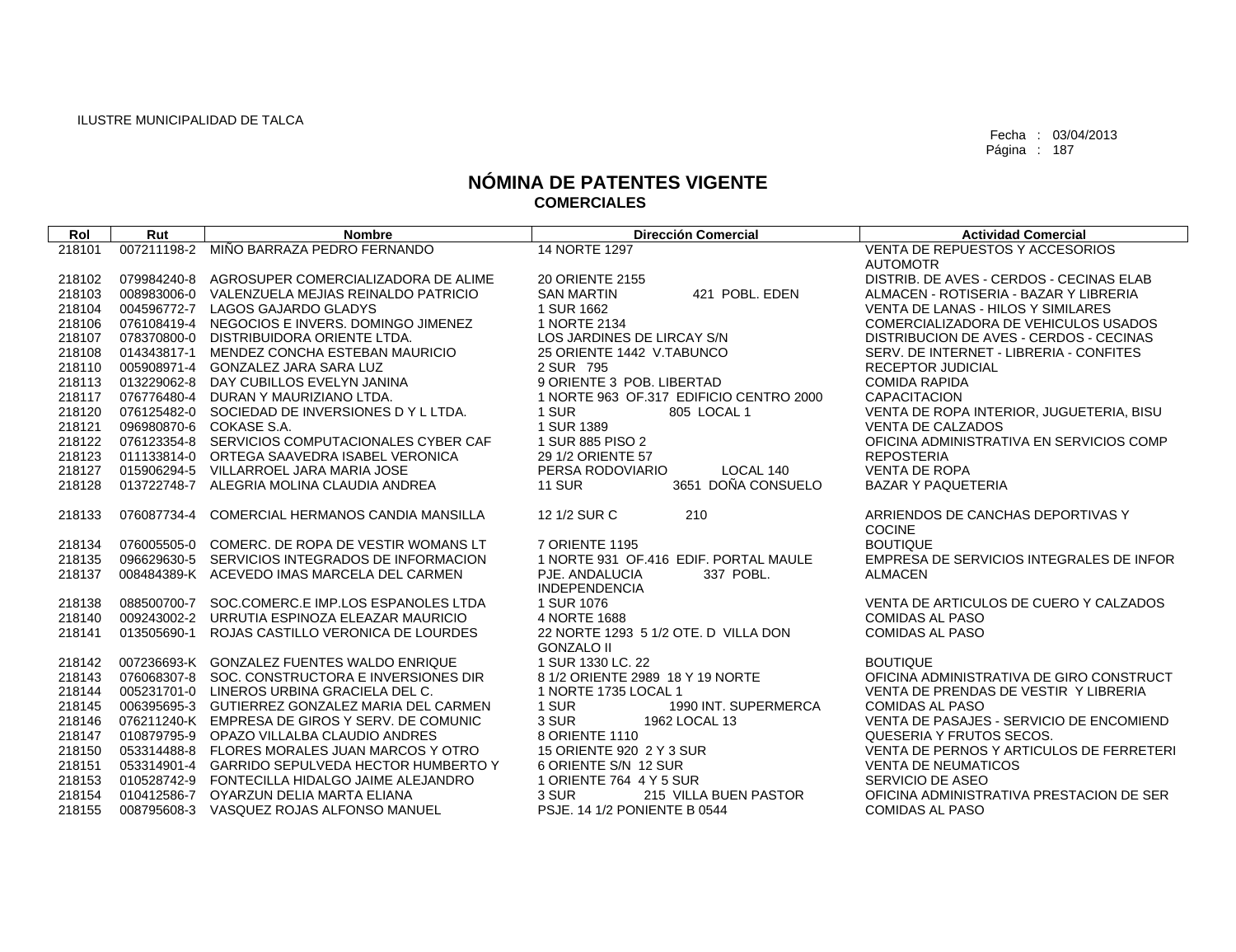| Rol    | Rut         | <b>Nombre</b>                                   | <b>Dirección Comercial</b>              | <b>Actividad Comercial</b>               |
|--------|-------------|-------------------------------------------------|-----------------------------------------|------------------------------------------|
| 218101 | 007211198-2 | MIÑO BARRAZA PEDRO FERNANDO                     | 14 NORTE 1297                           | VENTA DE REPUESTOS Y ACCESORIOS          |
|        |             |                                                 |                                         | <b>AUTOMOTR</b>                          |
| 218102 | 079984240-8 | AGROSUPER COMERCIALIZADORA DE ALIME             | 20 ORIENTE 2155                         | DISTRIB. DE AVES - CERDOS - CECINAS ELAB |
| 218103 | 008983006-0 | VALENZUELA MEJIAS REINALDO PATRICIO             | 421 POBL, EDEN<br><b>SAN MARTIN</b>     | ALMACEN - ROTISERIA - BAZAR Y LIBRERIA   |
| 218104 | 004596772-7 | LAGOS GAJARDO GLADYS                            | 1 SUR 1662                              | VENTA DE LANAS - HILOS Y SIMILARES       |
| 218106 | 076108419-4 | NEGOCIOS E INVERS. DOMINGO JIMENEZ              | 1 NORTE 2134                            | COMERCIALIZADORA DE VEHICULOS USADOS     |
| 218107 | 078370800-0 | DISTRIBUIDORA ORIENTE LTDA.                     | LOS JARDINES DE LIRCAY S/N              | DISTRIBUCION DE AVES - CERDOS - CECINAS  |
| 218108 | 014343817-1 | MENDEZ CONCHA ESTEBAN MAURICIO                  | 25 ORIENTE 1442 V.TABUNCO               | SERV. DE INTERNET - LIBRERIA - CONFITES  |
| 218110 | 005908971-4 | GONZALEZ JARA SARA LUZ                          | 2 SUR 795                               | <b>RECEPTOR JUDICIAL</b>                 |
| 218113 | 013229062-8 | DAY CUBILLOS EVELYN JANINA                      | 9 ORIENTE 3 POB. LIBERTAD               | <b>COMIDA RAPIDA</b>                     |
| 218117 | 076776480-4 | DURAN Y MAURIZIANO LTDA.                        | 1 NORTE 963 OF 317 EDIFICIO CENTRO 2000 | <b>CAPACITACION</b>                      |
| 218120 |             | 076125482-0 SOCIEDAD DE INVERSIONES DY L LTDA.  | 1 SUR<br>805 LOCAL 1                    | VENTA DE ROPA INTERIOR, JUGUETERIA, BISU |
| 218121 |             | 096980870-6 COKASE S.A.                         | 1 SUR 1389                              | <b>VENTA DE CALZADOS</b>                 |
| 218122 | 076123354-8 | SERVICIOS COMPUTACIONALES CYBER CAF             | 1 SUR 885 PISO 2                        | OFICINA ADMINISTRATIVA EN SERVICIOS COMP |
| 218123 |             | 011133814-0 ORTEGA SAAVEDRA ISABEL VERONICA     | 29 1/2 ORIENTE 57                       | <b>REPOSTERIA</b>                        |
| 218127 | 015906294-5 | VILLARROEL JARA MARIA JOSE                      | LOCAL 140<br>PERSA RODOVIARIO           | <b>VENTA DE ROPA</b>                     |
| 218128 | 013722748-7 | ALEGRIA MOLINA CLAUDIA ANDREA                   | 3651 DOÑA CONSUELO<br><b>11 SUR</b>     | <b>BAZAR Y PAQUETERIA</b>                |
|        |             |                                                 |                                         |                                          |
| 218133 | 076087734-4 | COMERCIAL HERMANOS CANDIA MANSILLA              | 12 1/2 SUR C<br>210                     | ARRIENDOS DE CANCHAS DEPORTIVAS Y        |
|        |             |                                                 |                                         | <b>COCINE</b>                            |
| 218134 | 076005505-0 | COMERC. DE ROPA DE VESTIR WOMANS LT             | 7 ORIENTE 1195                          | <b>BOUTIQUE</b>                          |
| 218135 | 096629630-5 | SERVICIOS INTEGRADOS DE INFORMACION             | 1 NORTE 931 OF 416 EDIF, PORTAL MAULE   | EMPRESA DE SERVICIOS INTEGRALES DE INFOR |
| 218137 |             | 008484389-K ACEVEDO IMAS MARCELA DEL CARMEN     | PJE. ANDALUCIA<br>337 POBL.             | <b>ALMACEN</b>                           |
|        |             |                                                 | <b>INDEPENDENCIA</b>                    |                                          |
| 218138 | 088500700-7 | SOC.COMERC.E IMP.LOS ESPANOLES LTDA             | 1 SUR 1076                              | VENTA DE ARTICULOS DE CUERO Y CALZADOS   |
| 218140 |             | 009243002-2 URRUTIA ESPINOZA ELEAZAR MAURICIO   | 4 NORTE 1688                            | <b>COMIDAS AL PASO</b>                   |
| 218141 | 013505690-1 | ROJAS CASTILLO VERONICA DE LOURDES              | 22 NORTE 1293 5 1/2 OTE. D VILLA DON    | <b>COMIDAS AL PASO</b>                   |
|        |             |                                                 | <b>GONZALO II</b>                       |                                          |
| 218142 |             | 007236693-K GONZALEZ FUENTES WALDO ENRIQUE      | 1 SUR 1330 LC, 22                       | <b>BOUTIQUE</b>                          |
| 218143 |             | 076068307-8 SOC. CONSTRUCTORA E INVERSIONES DIR | 8 1/2 ORIENTE 2989 18 Y 19 NORTE        | OFICINA ADMINISTRATIVA DE GIRO CONSTRUCT |
| 218144 |             | 005231701-0 LINEROS URBINA GRACIELA DEL C.      | 1 NORTE 1735 LOCAL 1                    | VENTA DE PRENDAS DE VESTIR Y LIBRERIA    |
| 218145 |             | 006395695-3 GUTIERREZ GONZALEZ MARIA DEL CARMEN | 1 SUR<br>1990 INT. SUPERMERCA           | <b>COMIDAS AL PASO</b>                   |
| 218146 |             | 076211240-K EMPRESA DE GIROS Y SERV. DE COMUNIC | 3 SUR<br>1962 LOCAL 13                  | VENTA DE PASAJES - SERVICIO DE ENCOMIEND |
| 218147 |             | 010879795-9 OPAZO VILLALBA CLAUDIO ANDRES       | 8 ORIENTE 1110                          | QUESERIA Y FRUTOS SECOS.                 |
| 218150 | 053314488-8 | FLORES MORALES JUAN MARCOS Y OTRO               | 15 ORIENTE 920 2 Y 3 SUR                | VENTA DE PERNOS Y ARTICULOS DE FERRETERI |
| 218151 | 053314901-4 | <b>GARRIDO SEPULVEDA HECTOR HUMBERTO Y</b>      | 6 ORIENTE S/N 12 SUR                    | <b>VENTA DE NEUMATICOS</b>               |
| 218153 |             | 010528742-9 FONTECILLA HIDALGO JAIME ALEJANDRO  | 1 ORIENTE 764 4 Y 5 SUR                 | SERVICIO DE ASEO                         |
| 218154 |             | 010412586-7 OYARZUN DELIA MARTA ELIANA          | 3 SUR<br>215 VILLA BUEN PASTOR          | OFICINA ADMINISTRATIVA PRESTACION DE SER |
| 218155 |             | 008795608-3 VASQUEZ ROJAS ALFONSO MANUEL        | PSJE. 14 1/2 PONIENTE B 0544            | <b>COMIDAS AL PASO</b>                   |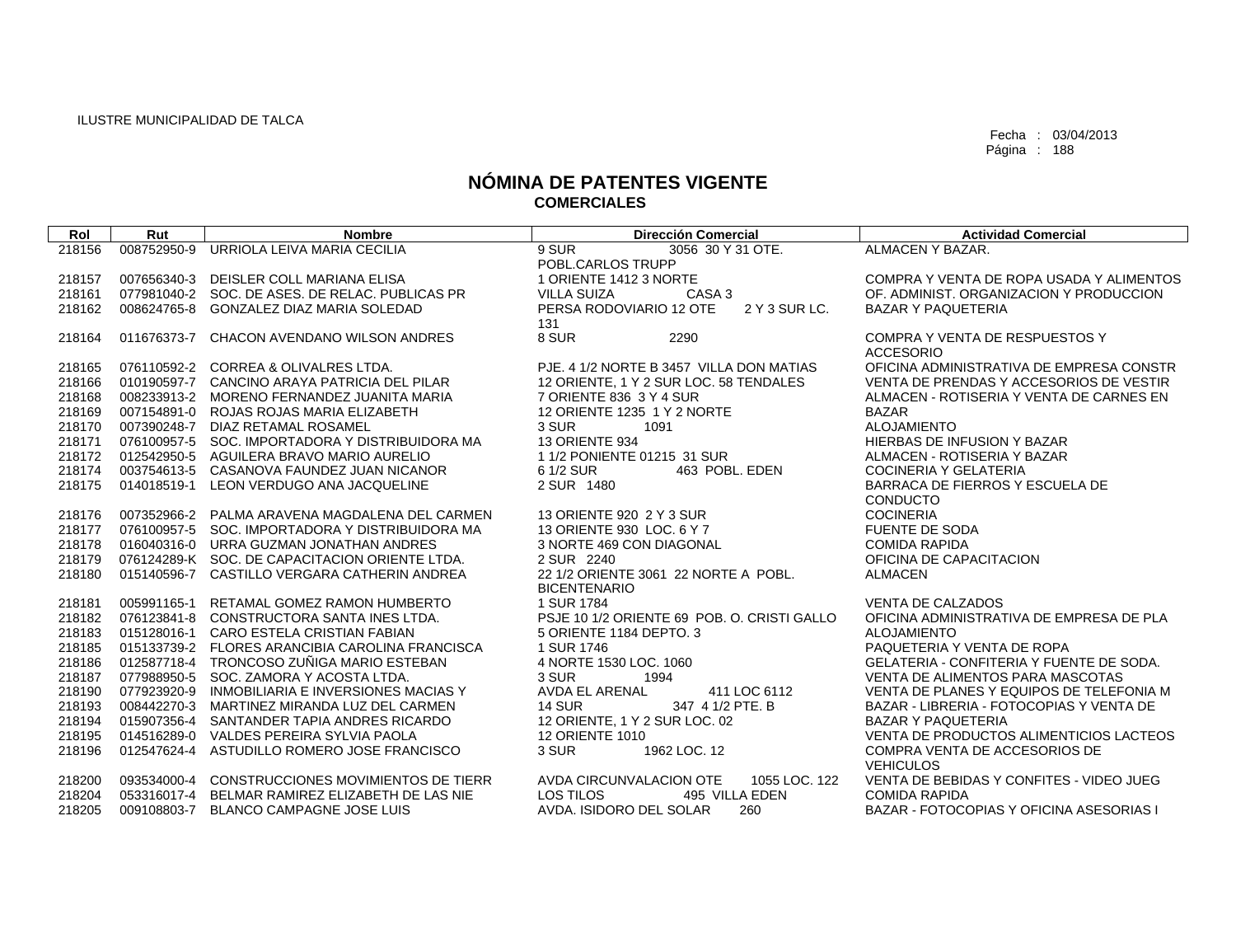| Rol    | Rut         | <b>Nombre</b>                                   | <b>Dirección Comercial</b>                  | <b>Actividad Comercial</b>                      |
|--------|-------------|-------------------------------------------------|---------------------------------------------|-------------------------------------------------|
| 218156 | 008752950-9 | URRIOLA LEIVA MARIA CECILIA                     | 9 SUR<br>3056 30 Y 31 OTE.                  | ALMACEN Y BAZAR.                                |
|        |             |                                                 | POBL.CARLOS TRUPP                           |                                                 |
| 218157 |             | 007656340-3 DEISLER COLL MARIANA ELISA          | 1 ORIENTE 1412 3 NORTE                      | COMPRA Y VENTA DE ROPA USADA Y ALIMENTOS        |
| 218161 |             | 077981040-2 SOC. DE ASES. DE RELAC. PUBLICAS PR | <b>VILLA SUIZA</b><br>CASA 3                | OF, ADMINIST, ORGANIZACION Y PRODUCCION         |
| 218162 |             | 008624765-8 GONZALEZ DIAZ MARIA SOLEDAD         | PERSA RODOVIARIO 12 OTE<br>2 Y 3 SUR LC.    | <b>BAZAR Y PAQUETERIA</b>                       |
|        |             |                                                 | 131                                         |                                                 |
| 218164 |             | 011676373-7 CHACON AVENDANO WILSON ANDRES       | 8 SUR<br>2290                               | COMPRA Y VENTA DE RESPUESTOS Y                  |
|        |             |                                                 |                                             | <b>ACCESORIO</b>                                |
| 218165 |             | 076110592-2 CORREA & OLIVALRES LTDA.            | PJE. 4 1/2 NORTE B 3457 VILLA DON MATIAS    | OFICINA ADMINISTRATIVA DE EMPRESA CONSTR        |
| 218166 |             | 010190597-7 CANCINO ARAYA PATRICIA DEL PILAR    | 12 ORIENTE, 1 Y 2 SUR LOC. 58 TENDALES      | VENTA DE PRENDAS Y ACCESORIOS DE VESTIR         |
| 218168 |             | 008233913-2 MORENO FERNANDEZ JUANITA MARIA      | 7 ORIENTE 836 3 Y 4 SUR                     | ALMACEN - ROTISERIA Y VENTA DE CARNES EN        |
| 218169 |             | 007154891-0 ROJAS ROJAS MARIA ELIZABETH         | 12 ORIENTE 1235 1 Y 2 NORTE                 | <b>BAZAR</b>                                    |
| 218170 |             | 007390248-7 DIAZ RETAMAL ROSAMEL                | 3 SUR<br>1091                               | <b>ALOJAMIENTO</b>                              |
| 218171 |             | 076100957-5 SOC. IMPORTADORA Y DISTRIBUIDORA MA | <b>13 ORIENTE 934</b>                       | <b>HIERBAS DE INFUSION Y BAZAR</b>              |
| 218172 |             | 012542950-5 AGUILERA BRAVO MARIO AURELIO        | 1 1/2 PONIENTE 01215 31 SUR                 | ALMACEN - ROTISERIA Y BAZAR                     |
| 218174 |             | 003754613-5 CASANOVA FAUNDEZ JUAN NICANOR       | 6 1/2 SUR<br>463 POBL, EDEN                 | <b>COCINERIA Y GELATERIA</b>                    |
| 218175 |             | 014018519-1 LEON VERDUGO ANA JACQUELINE         | 2 SUR 1480                                  | BARRACA DE FIERROS Y ESCUELA DE                 |
|        |             |                                                 |                                             | CONDUCTO                                        |
| 218176 |             | 007352966-2 PALMA ARAVENA MAGDALENA DEL CARMEN  | 13 ORIENTE 920 2 Y 3 SUR                    | <b>COCINERIA</b>                                |
| 218177 |             | 076100957-5 SOC. IMPORTADORA Y DISTRIBUIDORA MA | 13 ORIENTE 930 LOC. 6 Y 7                   | <b>FUENTE DE SODA</b>                           |
| 218178 |             | 016040316-0 URRA GUZMAN JONATHAN ANDRES         | 3 NORTE 469 CON DIAGONAL                    | <b>COMIDA RAPIDA</b>                            |
| 218179 |             | 076124289-K SOC. DE CAPACITACION ORIENTE LTDA.  | 2 SUR 2240                                  | OFICINA DE CAPACITACION                         |
| 218180 |             | 015140596-7 CASTILLO VERGARA CATHERIN ANDREA    | 22 1/2 ORIENTE 3061 22 NORTE A POBL.        | <b>ALMACEN</b>                                  |
|        |             |                                                 | <b>BICENTENARIO</b>                         |                                                 |
| 218181 |             | 005991165-1 RETAMAL GOMEZ RAMON HUMBERTO        | 1 SUR 1784                                  | <b>VENTA DE CALZADOS</b>                        |
| 218182 |             | 076123841-8 CONSTRUCTORA SANTA INES LTDA.       | PSJE 10 1/2 ORIENTE 69 POB, O. CRISTI GALLO | OFICINA ADMINISTRATIVA DE EMPRESA DE PLA        |
| 218183 |             | 015128016-1 CARO ESTELA CRISTIAN FABIAN         | 5 ORIENTE 1184 DEPTO, 3                     | <b>ALOJAMIENTO</b>                              |
| 218185 |             | 015133739-2 FLORES ARANCIBIA CAROLINA FRANCISCA | 1 SUR 1746                                  | PAQUETERIA Y VENTA DE ROPA                      |
| 218186 |             | 012587718-4 TRONCOSO ZUÑIGA MARIO ESTEBAN       | 4 NORTE 1530 LOC, 1060                      | <b>GELATERIA - CONFITERIA Y FUENTE DE SODA.</b> |
| 218187 |             | 077988950-5 SOC. ZAMORA Y ACOSTA LTDA.          | 1994<br>3 SUR                               | VENTA DE ALIMENTOS PARA MASCOTAS                |
| 218190 |             | 077923920-9 INMOBILIARIA E INVERSIONES MACIAS Y | <b>AVDA EL ARENAL</b><br>411 LOC 6112       | VENTA DE PLANES Y EQUIPOS DE TELEFONIA M        |
| 218193 |             | 008442270-3 MARTINEZ MIRANDA LUZ DEL CARMEN     | <b>14 SUR</b><br>347 4 1/2 PTE, B           | BAZAR - LIBRERIA - FOTOCOPIAS Y VENTA DE        |
| 218194 |             | 015907356-4 SANTANDER TAPIA ANDRES RICARDO      | 12 ORIENTE, 1 Y 2 SUR LOC. 02               | <b>BAZAR Y PAQUETERIA</b>                       |
| 218195 |             | 014516289-0 VALDES PEREIRA SYLVIA PAOLA         | <b>12 ORIENTE 1010</b>                      | VENTA DE PRODUCTOS ALIMENTICIOS LACTEOS         |
| 218196 |             | 012547624-4 ASTUDILLO ROMERO JOSE FRANCISCO     | 3 SUR<br>1962 LOC. 12                       | COMPRA VENTA DE ACCESORIOS DE                   |
|        |             |                                                 |                                             | <b>VEHICULOS</b>                                |
| 218200 |             | 093534000-4 CONSTRUCCIONES MOVIMIENTOS DE TIERR | AVDA CIRCUNVALACION OTE<br>1055 LOC. 122    | VENTA DE BEBIDAS Y CONFITES - VIDEO JUEG        |
| 218204 |             | 053316017-4 BELMAR RAMIREZ ELIZABETH DE LAS NIE | 495 VILLA EDEN<br>LOS TILOS                 | <b>COMIDA RAPIDA</b>                            |
| 218205 |             | 009108803-7 BLANCO CAMPAGNE JOSE LUIS           | AVDA. ISIDORO DEL SOLAR<br>260              | BAZAR - FOTOCOPIAS Y OFICINA ASESORIAS I        |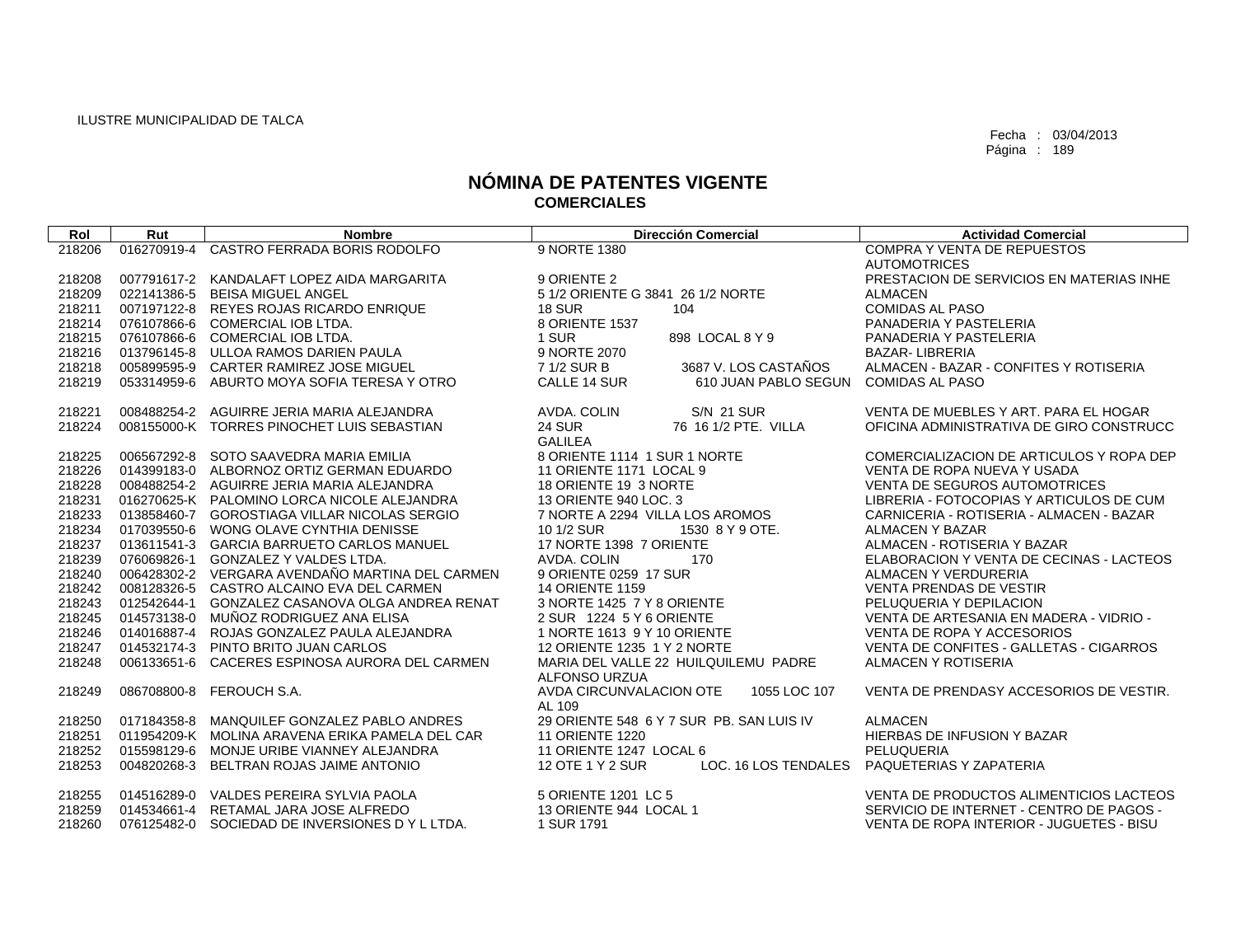| Rol    | Rut         | <b>Nombre</b>                                   | <b>Dirección Comercial</b>                                   | <b>Actividad Comercial</b>               |
|--------|-------------|-------------------------------------------------|--------------------------------------------------------------|------------------------------------------|
| 218206 |             | 016270919-4 CASTRO FERRADA BORIS RODOLFO        | 9 NORTE 1380                                                 | <b>COMPRA Y VENTA DE REPUESTOS</b>       |
|        |             |                                                 |                                                              | <b>AUTOMOTRICES</b>                      |
| 218208 |             | 007791617-2 KANDALAFT LOPEZ AIDA MARGARITA      | 9 ORIENTE 2                                                  | PRESTACION DE SERVICIOS EN MATERIAS INHE |
| 218209 |             | 022141386-5 BEISA MIGUEL ANGEL                  | 5 1/2 ORIENTE G 3841 26 1/2 NORTE                            | <b>ALMACEN</b>                           |
| 218211 |             | 007197122-8 REYES ROJAS RICARDO ENRIQUE         | <b>18 SUR</b><br>104                                         | <b>COMIDAS AL PASO</b>                   |
| 218214 |             | 076107866-6 COMERCIAL IOB LTDA.                 | 8 ORIENTE 1537                                               | PANADERIA Y PASTELERIA                   |
| 218215 |             | 076107866-6 COMERCIAL IOB LTDA.                 | 1 SUR<br>898 LOCAL 8 Y 9                                     | PANADERIA Y PASTELERIA                   |
| 218216 |             | 013796145-8 ULLOA RAMOS DARIEN PAULA            | 9 NORTE 2070                                                 | <b>BAZAR-LIBRERIA</b>                    |
| 218218 |             | 005899595-9 CARTER RAMIREZ JOSE MIGUEL          | 7 1/2 SUR B<br>3687 V. LOS CASTAÑOS                          | ALMACEN - BAZAR - CONFITES Y ROTISERIA   |
| 218219 | 053314959-6 | ABURTO MOYA SOFIA TERESA Y OTRO                 | CALLE 14 SUR<br>610 JUAN PABLO SEGUN                         | <b>COMIDAS AL PASO</b>                   |
| 218221 |             | 008488254-2 AGUIRRE JERIA MARIA ALEJANDRA       | <b>S/N 21 SUR</b><br>AVDA. COLIN                             | VENTA DE MUEBLES Y ART. PARA EL HOGAR    |
| 218224 |             | 008155000-K TORRES PINOCHET LUIS SEBASTIAN      | <b>24 SUR</b><br>76 16 1/2 PTE, VILLA                        | OFICINA ADMINISTRATIVA DE GIRO CONSTRUCC |
|        |             |                                                 | <b>GALILEA</b>                                               |                                          |
| 218225 | 006567292-8 | SOTO SAAVEDRA MARIA EMILIA                      | 8 ORIENTE 1114 1 SUR 1 NORTE                                 | COMERCIALIZACION DE ARTICULOS Y ROPA DEP |
| 218226 |             | 014399183-0 ALBORNOZ ORTIZ GERMAN EDUARDO       | 11 ORIENTE 1171 LOCAL 9                                      | VENTA DE ROPA NUEVA Y USADA              |
| 218228 |             | 008488254-2 AGUIRRE JERIA MARIA ALEJANDRA       | 18 ORIENTE 19 3 NORTE                                        | VENTA DE SEGUROS AUTOMOTRICES            |
| 218231 |             | 016270625-K PALOMINO LORCA NICOLE ALEJANDRA     | 13 ORIENTE 940 LOC. 3                                        | LIBRERIA - FOTOCOPIAS Y ARTICULOS DE CUM |
| 218233 |             | 013858460-7 GOROSTIAGA VILLAR NICOLAS SERGIO    | 7 NORTE A 2294 VILLA LOS AROMOS                              | CARNICERIA - ROTISERIA - ALMACEN - BAZAR |
| 218234 |             | 017039550-6 WONG OLAVE CYNTHIA DENISSE          | 10 1/2 SUR<br>1530 8 Y 9 OTE.                                | ALMACEN Y BAZAR                          |
| 218237 |             | 013611541-3 GARCIA BARRUETO CARLOS MANUEL       | 17 NORTE 1398 7 ORIENTE                                      | ALMACEN - ROTISERIA Y BAZAR              |
| 218239 |             | 076069826-1 GONZALEZ Y VALDES LTDA.             | AVDA, COLIN<br>170                                           | ELABORACION Y VENTA DE CECINAS - LACTEOS |
| 218240 |             | 006428302-2 VERGARA AVENDAÑO MARTINA DEL CARMEN | 9 ORIENTE 0259 17 SUR                                        | ALMACEN Y VERDURERIA                     |
| 218242 |             | 008128326-5 CASTRO ALCAINO EVA DEL CARMEN       | <b>14 ORIENTE 1159</b>                                       | <b>VENTA PRENDAS DE VESTIR</b>           |
| 218243 |             | 012542644-1 GONZALEZ CASANOVA OLGA ANDREA RENAT | 3 NORTE 1425 7 Y 8 ORIENTE                                   | PELUQUERIA Y DEPILACION                  |
| 218245 |             | 014573138-0 MUÑOZ RODRIGUEZ ANA ELISA           | 2 SUR 1224 5 Y 6 ORIENTE                                     | VENTA DE ARTESANIA EN MADERA - VIDRIO -  |
| 218246 | 014016887-4 | ROJAS GONZALEZ PAULA ALEJANDRA                  | 1 NORTE 1613 9 Y 10 ORIENTE                                  | VENTA DE ROPA Y ACCESORIOS               |
| 218247 |             | 014532174-3 PINTO BRITO JUAN CARLOS             | 12 ORIENTE 1235 1 Y 2 NORTE                                  | VENTA DE CONFITES - GALLETAS - CIGARROS  |
| 218248 |             | 006133651-6 CACERES ESPINOSA AURORA DEL CARMEN  | MARIA DEL VALLE 22 HUILQUILEMU PADRE<br><b>ALFONSO URZUA</b> | ALMACEN Y ROTISERIA                      |
| 218249 |             | 086708800-8 FEROUCH S.A.                        | AVDA CIRCUNVALACION OTE<br>1055 LOC 107                      | VENTA DE PRENDASY ACCESORIOS DE VESTIR.  |
|        |             |                                                 | AL 109                                                       |                                          |
| 218250 |             | 017184358-8 MANQUILEF GONZALEZ PABLO ANDRES     | 29 ORIENTE 548 6 Y 7 SUR PB. SAN LUIS IV                     | <b>ALMACEN</b>                           |
| 218251 |             | 011954209-K MOLINA ARAVENA ERIKA PAMELA DEL CAR | <b>11 ORIENTE 1220</b>                                       | HIERBAS DE INFUSION Y BAZAR              |
| 218252 |             | 015598129-6 MONJE URIBE VIANNEY ALEJANDRA       | 11 ORIENTE 1247 LOCAL 6                                      | PELUQUERIA                               |
| 218253 | 004820268-3 | BELTRAN ROJAS JAIME ANTONIO                     | 12 OTE 1 Y 2 SUR<br>LOC. 16 LOS TENDALES                     | PAQUETERIAS Y ZAPATERIA                  |
| 218255 |             | 014516289-0 VALDES PEREIRA SYLVIA PAOLA         | 5 ORIENTE 1201 LC 5                                          | VENTA DE PRODUCTOS ALIMENTICIOS LACTEOS  |
| 218259 |             | 014534661-4 RETAMAL JARA JOSE ALFREDO           | 13 ORIENTE 944 LOCAL 1                                       | SERVICIO DE INTERNET - CENTRO DE PAGOS - |
| 218260 |             | 076125482-0 SOCIEDAD DE INVERSIONES D Y L LTDA. | 1 SUR 1791                                                   | VENTA DE ROPA INTERIOR - JUGUETES - BISU |
|        |             |                                                 |                                                              |                                          |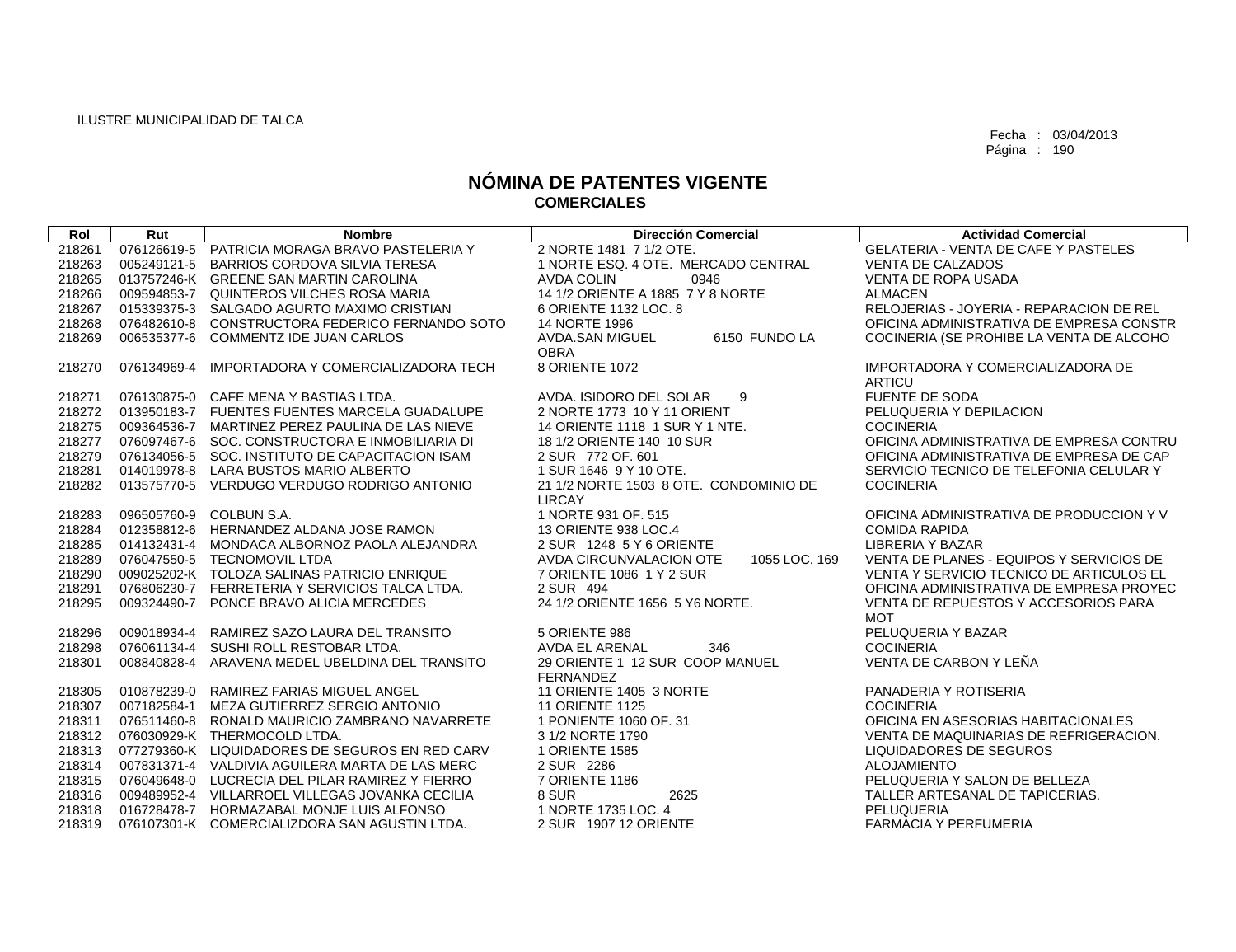| Rol    | Rut         | <b>Nombre</b>                                   | <b>Dirección Comercial</b>               | <b>Actividad Comercial</b>                  |
|--------|-------------|-------------------------------------------------|------------------------------------------|---------------------------------------------|
| 218261 |             | 076126619-5 PATRICIA MORAGA BRAVO PASTELERIA Y  | 2 NORTE 1481 7 1/2 OTE.                  | <b>GELATERIA - VENTA DE CAFE Y PASTELES</b> |
| 218263 |             | 005249121-5 BARRIOS CORDOVA SILVIA TERESA       | 1 NORTE ESQ, 4 OTE, MERCADO CENTRAL      | <b>VENTA DE CALZADOS</b>                    |
| 218265 |             | 013757246-K GREENE SAN MARTIN CAROLINA          | AVDA COLIN<br>0946                       | <b>VENTA DE ROPA USADA</b>                  |
| 218266 |             | 009594853-7 QUINTEROS VILCHES ROSA MARIA        | 14 1/2 ORIENTE A 1885 7 Y 8 NORTE        | <b>ALMACEN</b>                              |
| 218267 |             | 015339375-3 SALGADO AGURTO MAXIMO CRISTIAN      | 6 ORIENTE 1132 LOC. 8                    | RELOJERIAS - JOYERIA - REPARACION DE REL    |
| 218268 |             | 076482610-8 CONSTRUCTORA FEDERICO FERNANDO SOTO | 14 NORTE 1996                            | OFICINA ADMINISTRATIVA DE EMPRESA CONSTR    |
| 218269 |             | 006535377-6 COMMENTZ IDE JUAN CARLOS            | AVDA.SAN MIGUEL<br>6150 FUNDO LA         | COCINERIA (SE PROHIBE LA VENTA DE ALCOHO    |
|        |             |                                                 | <b>OBRA</b>                              |                                             |
| 218270 | 076134969-4 | IMPORTADORA Y COMERCIALIZADORA TECH             | 8 ORIENTE 1072                           | IMPORTADORA Y COMERCIALIZADORA DE           |
|        |             |                                                 |                                          | <b>ARTICU</b>                               |
| 218271 |             | 076130875-0 CAFE MENA Y BASTIAS LTDA.           | AVDA. ISIDORO DEL SOLAR<br>9             | <b>FUENTE DE SODA</b>                       |
| 218272 |             | 013950183-7 FUENTES FUENTES MARCELA GUADALUPE   | 2 NORTE 1773 10 Y 11 ORIENT              | PELUQUERIA Y DEPILACION                     |
| 218275 |             | 009364536-7 MARTINEZ PEREZ PAULINA DE LAS NIEVE | 14 ORIENTE 1118 1 SUR Y 1 NTE.           | <b>COCINERIA</b>                            |
| 218277 |             | 076097467-6 SOC, CONSTRUCTORA E INMOBILIARIA DI | 18 1/2 ORIENTE 140 10 SUR                | OFICINA ADMINISTRATIVA DE EMPRESA CONTRU    |
| 218279 |             | 076134056-5 SOC. INSTITUTO DE CAPACITACION ISAM | 2 SUR 772 OF, 601                        | OFICINA ADMINISTRATIVA DE EMPRESA DE CAP    |
| 218281 |             | 014019978-8 LARA BUSTOS MARIO ALBERTO           | 1 SUR 1646 9 Y 10 OTE.                   | SERVICIO TECNICO DE TELEFONIA CELULAR Y     |
| 218282 |             | 013575770-5 VERDUGO VERDUGO RODRIGO ANTONIO     | 21 1/2 NORTE 1503 8 OTE. CONDOMINIO DE   | <b>COCINERIA</b>                            |
|        |             |                                                 | <b>LIRCAY</b>                            |                                             |
| 218283 |             | 096505760-9 COLBUN S.A.                         | 1 NORTE 931 OF, 515                      | OFICINA ADMINISTRATIVA DE PRODUCCION Y V    |
| 218284 |             | 012358812-6 HERNANDEZ ALDANA JOSE RAMON         | 13 ORIENTE 938 LOC.4                     | <b>COMIDA RAPIDA</b>                        |
| 218285 |             | 014132431-4 MONDACA ALBORNOZ PAOLA ALEJANDRA    | 2 SUR 1248 5 Y 6 ORIENTE                 | <b>LIBRERIA Y BAZAR</b>                     |
| 218289 |             | 076047550-5 TECNOMOVIL LTDA                     | AVDA CIRCUNVALACION OTE<br>1055 LOC. 169 | VENTA DE PLANES - EQUIPOS Y SERVICIOS DE    |
| 218290 |             | 009025202-K TOLOZA SALINAS PATRICIO ENRIQUE     | 7 ORIENTE 1086 1 Y 2 SUR                 | VENTA Y SERVICIO TECNICO DE ARTICULOS EL    |
| 218291 |             | 076806230-7 FERRETERIA Y SERVICIOS TALCA LTDA.  | 2 SUR 494                                | OFICINA ADMINISTRATIVA DE EMPRESA PROYEC    |
| 218295 |             | 009324490-7 PONCE BRAVO ALICIA MERCEDES         | 24 1/2 ORIENTE 1656 5 Y6 NORTE.          | VENTA DE REPUESTOS Y ACCESORIOS PARA        |
|        |             |                                                 |                                          | <b>MOT</b>                                  |
| 218296 |             | 009018934-4 RAMIREZ SAZO LAURA DEL TRANSITO     | 5 ORIENTE 986                            | PELUQUERIA Y BAZAR                          |
| 218298 |             | 076061134-4 SUSHI ROLL RESTOBAR LTDA.           | AVDA EL ARENAL<br>346                    | <b>COCINERIA</b>                            |
| 218301 |             | 008840828-4 ARAVENA MEDEL UBELDINA DEL TRANSITO | 29 ORIENTE 1 12 SUR COOP MANUEL          | VENTA DE CARBON Y LEÑA                      |
|        |             |                                                 | <b>FERNANDEZ</b>                         |                                             |
| 218305 |             | 010878239-0 RAMIREZ FARIAS MIGUEL ANGEL         | 11 ORIENTE 1405 3 NORTE                  | PANADERIA Y ROTISERIA                       |
| 218307 |             | 007182584-1 MEZA GUTIERREZ SERGIO ANTONIO       | <b>11 ORIENTE 1125</b>                   | <b>COCINERIA</b>                            |
| 218311 | 076511460-8 | RONALD MAURICIO ZAMBRANO NAVARRETE              | 1 PONIENTE 1060 OF, 31                   | OFICINA EN ASESORIAS HABITACIONALES         |
| 218312 |             | 076030929-K THERMOCOLD LTDA.                    | 3 1/2 NORTE 1790                         | VENTA DE MAQUINARIAS DE REFRIGERACION.      |
| 218313 |             | 077279360-K LIQUIDADORES DE SEGUROS EN RED CARV | 1 ORIENTE 1585                           | LIQUIDADORES DE SEGUROS                     |
| 218314 |             | 007831371-4 VALDIVIA AGUILERA MARTA DE LAS MERC | 2 SUR 2286                               | <b>ALOJAMIENTO</b>                          |
| 218315 |             | 076049648-0 LUCRECIA DEL PILAR RAMIREZ Y FIERRO | 7 ORIENTE 1186                           | PELUQUERIA Y SALON DE BELLEZA               |
| 218316 |             | 009489952-4 VILLARROEL VILLEGAS JOVANKA CECILIA | 8 SUR<br>2625                            | TALLER ARTESANAL DE TAPICERIAS.             |
| 218318 |             | 016728478-7 HORMAZABAL MONJE LUIS ALFONSO       | 1 NORTE 1735 LOC. 4                      | <b>PELUQUERIA</b>                           |
| 218319 |             | 076107301-K COMERCIALIZDORA SAN AGUSTIN LTDA.   | 2 SUR 1907 12 ORIENTE                    | <b>FARMACIA Y PERFUMERIA</b>                |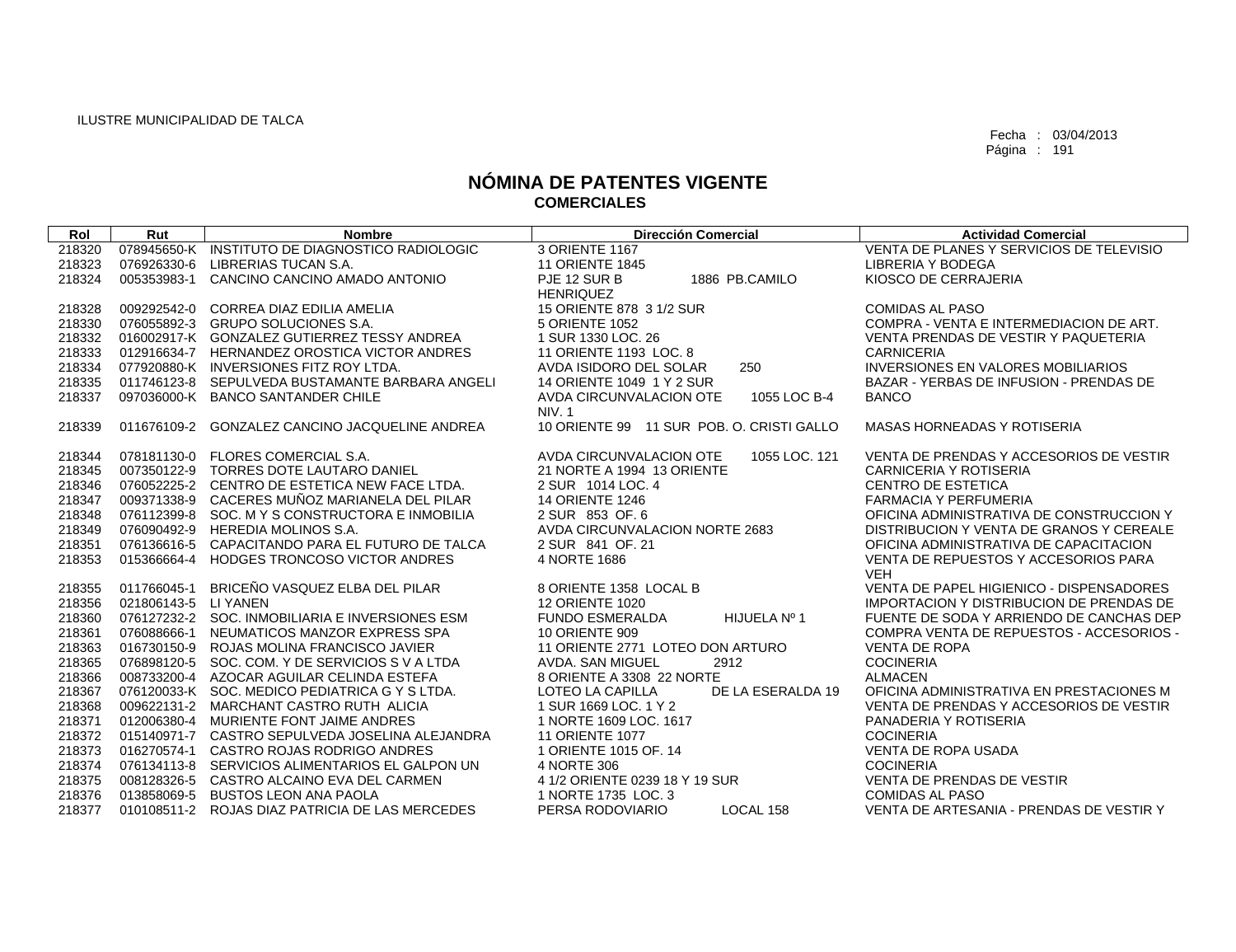| Rol    | Rut                  | <b>Nombre</b>                                   | <b>Dirección Comercial</b>                | <b>Actividad Comercial</b>                |
|--------|----------------------|-------------------------------------------------|-------------------------------------------|-------------------------------------------|
| 218320 |                      | 078945650-K INSTITUTO DE DIAGNOSTICO RADIOLOGIC | 3 ORIENTE 1167                            | VENTA DE PLANES Y SERVICIOS DE TELEVISIO  |
| 218323 | 076926330-6          | LIBRERIAS TUCAN S.A.                            | <b>11 ORIENTE 1845</b>                    | LIBRERIA Y BODEGA                         |
| 218324 | 005353983-1          | CANCINO CANCINO AMADO ANTONIO                   | PJE 12 SUR B<br>1886 PB.CAMILO            | KIOSCO DE CERRAJERIA                      |
|        |                      |                                                 | <b>HENRIQUEZ</b>                          |                                           |
| 218328 |                      | 009292542-0 CORREA DIAZ EDILIA AMELIA           | 15 ORIENTE 878 3 1/2 SUR                  | <b>COMIDAS AL PASO</b>                    |
| 218330 |                      | 076055892-3 GRUPO SOLUCIONES S.A.               | 5 ORIENTE 1052                            | COMPRA - VENTA E INTERMEDIACION DE ART.   |
| 218332 |                      | 016002917-K GONZALEZ GUTIERREZ TESSY ANDREA     | 1 SUR 1330 LOC, 26                        | VENTA PRENDAS DE VESTIR Y PAQUETERIA      |
| 218333 |                      | 012916634-7 HERNANDEZ OROSTICA VICTOR ANDRES    | 11 ORIENTE 1193 LOC. 8                    | <b>CARNICERIA</b>                         |
| 218334 |                      | 077920880-K INVERSIONES FITZ ROY LTDA.          | AVDA ISIDORO DEL SOLAR<br>250             | <b>INVERSIONES EN VALORES MOBILIARIOS</b> |
| 218335 |                      | 011746123-8 SEPULVEDA BUSTAMANTE BARBARA ANGELI | 14 ORIENTE 1049 1 Y 2 SUR                 | BAZAR - YERBAS DE INFUSION - PRENDAS DE   |
| 218337 |                      | 097036000-K BANCO SANTANDER CHILE               | AVDA CIRCUNVALACION OTE<br>1055 LOC B-4   | <b>BANCO</b>                              |
|        |                      |                                                 | NIV.1                                     |                                           |
| 218339 | 011676109-2          | <b>GONZALEZ CANCINO JACQUELINE ANDREA</b>       | 10 ORIENTE 99 11 SUR POB. O. CRISTI GALLO | <b>MASAS HORNEADAS Y ROTISERIA</b>        |
|        |                      |                                                 |                                           |                                           |
| 218344 |                      | 078181130-0 FLORES COMERCIAL S.A.               | AVDA CIRCUNVALACION OTE<br>1055 LOC, 121  | VENTA DE PRENDAS Y ACCESORIOS DE VESTIR   |
| 218345 | 007350122-9          | TORRES DOTE LAUTARO DANIEL                      | 21 NORTE A 1994 13 ORIENTE                | <b>CARNICERIA Y ROTISERIA</b>             |
| 218346 |                      | 076052225-2 CENTRO DE ESTETICA NEW FACE LTDA.   | 2 SUR 1014 LOC, 4                         | <b>CENTRO DE ESTETICA</b>                 |
| 218347 |                      | 009371338-9 CACERES MUÑOZ MARIANELA DEL PILAR   | <b>14 ORIENTE 1246</b>                    | <b>FARMACIA Y PERFUMERIA</b>              |
| 218348 |                      | 076112399-8 SOC. MYSCONSTRUCTORA E INMOBILIA    | 2 SUR 853 OF. 6                           | OFICINA ADMINISTRATIVA DE CONSTRUCCION Y  |
| 218349 |                      | 076090492-9 HEREDIA MOLINOS S.A.                | AVDA CIRCUNVALACION NORTE 2683            | DISTRIBUCION Y VENTA DE GRANOS Y CEREALE  |
| 218351 | 076136616-5          | CAPACITANDO PARA EL FUTURO DE TALCA             | 2 SUR 841 OF, 21                          | OFICINA ADMINISTRATIVA DE CAPACITACION    |
| 218353 |                      | 015366664-4 HODGES TRONCOSO VICTOR ANDRES       | 4 NORTE 1686                              | VENTA DE REPUESTOS Y ACCESORIOS PARA      |
|        |                      |                                                 |                                           | <b>VEH</b>                                |
| 218355 | 011766045-1          | BRICEÑO VASQUEZ ELBA DEL PILAR                  | 8 ORIENTE 1358 LOCAL B                    | VENTA DE PAPEL HIGIENICO - DISPENSADORES  |
| 218356 | 021806143-5 LI YANEN |                                                 | <b>12 ORIENTE 1020</b>                    | IMPORTACION Y DISTRIBUCION DE PRENDAS DE  |
| 218360 |                      | 076127232-2 SOC. INMOBILIARIA E INVERSIONES ESM | <b>FUNDO ESMERALDA</b><br>HIJUELA Nº 1    | FUENTE DE SODA Y ARRIENDO DE CANCHAS DEP  |
| 218361 |                      | 076088666-1 NEUMATICOS MANZOR EXPRESS SPA       | <b>10 ORIENTE 909</b>                     | COMPRA VENTA DE REPUESTOS - ACCESORIOS -  |
| 218363 |                      | 016730150-9 ROJAS MOLINA FRANCISCO JAVIER       | 11 ORIENTE 2771 LOTEO DON ARTURO          | <b>VENTA DE ROPA</b>                      |
| 218365 | 076898120-5          | SOC. COM. Y DE SERVICIOS S V A LTDA             | AVDA, SAN MIGUEL<br>2912                  | <b>COCINERIA</b>                          |
| 218366 |                      | 008733200-4 AZOCAR AGUILAR CELINDA ESTEFA       | 8 ORIENTE A 3308 22 NORTE                 | <b>ALMACEN</b>                            |
| 218367 |                      | 076120033-K SOC. MEDICO PEDIATRICA G Y S LTDA.  | LOTEO LA CAPILLA<br>DE LA ESERALDA 19     | OFICINA ADMINISTRATIVA EN PRESTACIONES M  |
| 218368 |                      | 009622131-2 MARCHANT CASTRO RUTH ALICIA         | 1 SUR 1669 LOC, 1 Y 2                     | VENTA DE PRENDAS Y ACCESORIOS DE VESTIR   |
| 218371 |                      | 012006380-4 MURIENTE FONT JAIME ANDRES          | 1 NORTE 1609 LOC. 1617                    | PANADERIA Y ROTISERIA                     |
| 218372 |                      | 015140971-7 CASTRO SEPULVEDA JOSELINA ALEJANDRA | <b>11 ORIENTE 1077</b>                    | <b>COCINERIA</b>                          |
| 218373 |                      | 016270574-1 CASTRO ROJAS RODRIGO ANDRES         | 1 ORIENTE 1015 OF, 14                     | <b>VENTA DE ROPA USADA</b>                |
| 218374 |                      | 076134113-8 SERVICIOS ALIMENTARIOS EL GALPON UN | 4 NORTE 306                               | <b>COCINERIA</b>                          |
| 218375 | 008128326-5          | CASTRO ALCAINO EVA DEL CARMEN                   | 4 1/2 ORIENTE 0239 18 Y 19 SUR            | VENTA DE PRENDAS DE VESTIR                |
| 218376 |                      | 013858069-5 BUSTOS LEON ANA PAOLA               | 1 NORTE 1735 LOC. 3                       | <b>COMIDAS AL PASO</b>                    |
| 218377 |                      | 010108511-2 ROJAS DIAZ PATRICIA DE LAS MERCEDES | PERSA RODOVIARIO<br>LOCAL 158             | VENTA DE ARTESANIA - PRENDAS DE VESTIR Y  |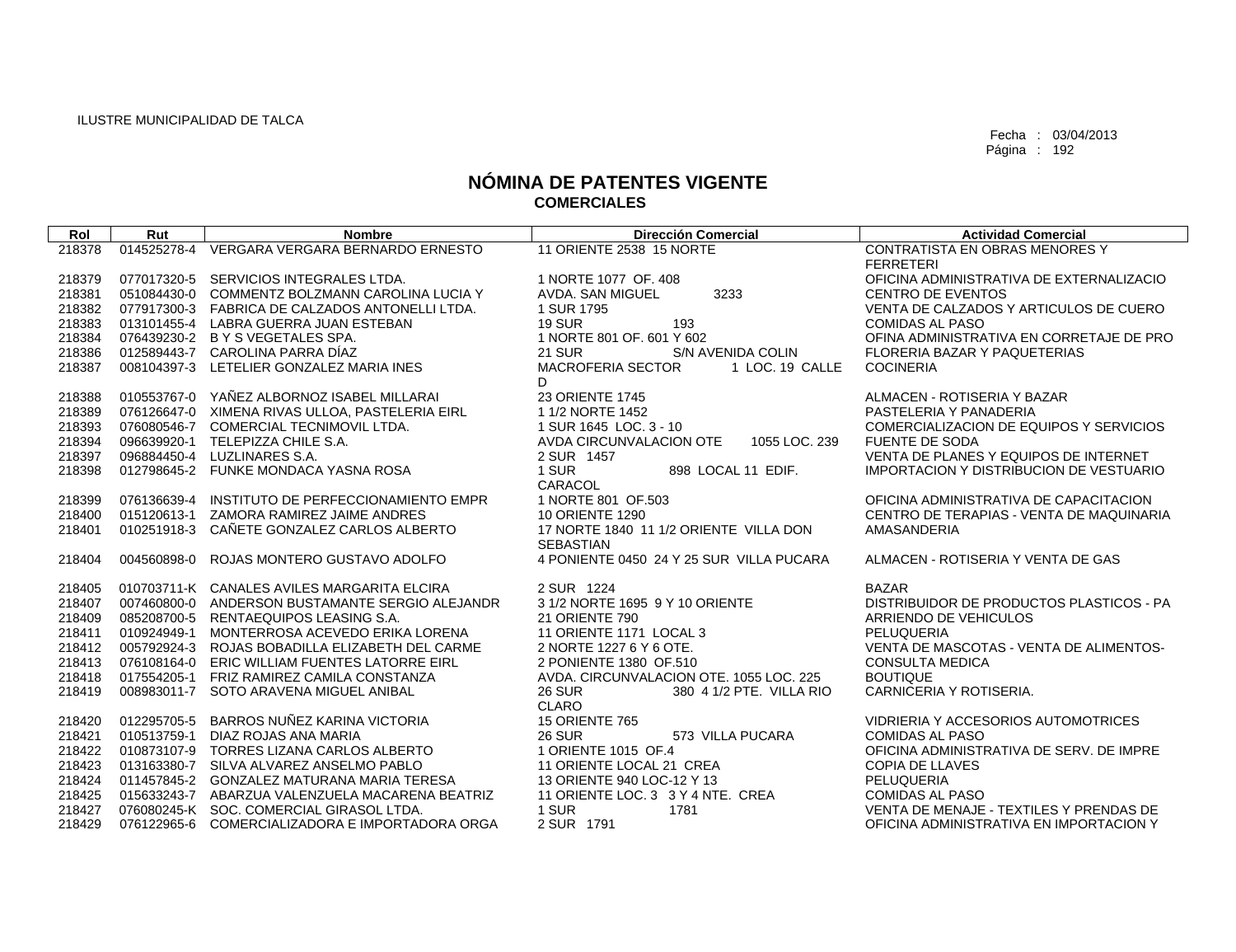| Rol    | Rut         | <b>Nombre</b>                                   | <b>Dirección Comercial</b>                                 | <b>Actividad Comercial</b>                     |
|--------|-------------|-------------------------------------------------|------------------------------------------------------------|------------------------------------------------|
| 218378 | 014525278-4 | VERGARA VERGARA BERNARDO ERNESTO                | 11 ORIENTE 2538 15 NORTE                                   | CONTRATISTA EN OBRAS MENORES Y                 |
|        |             |                                                 |                                                            | <b>FERRETERI</b>                               |
| 218379 |             | 077017320-5 SERVICIOS INTEGRALES LTDA.          | 1 NORTE 1077 OF, 408                                       | OFICINA ADMINISTRATIVA DE EXTERNALIZACIO       |
| 218381 |             | 051084430-0 COMMENTZ BOLZMANN CAROLINA LUCIA Y  | AVDA. SAN MIGUEL<br>3233                                   | <b>CENTRO DE EVENTOS</b>                       |
| 218382 |             | 077917300-3 FABRICA DE CALZADOS ANTONELLI LTDA. | 1 SUR 1795                                                 | VENTA DE CALZADOS Y ARTICULOS DE CUERO         |
| 218383 |             | 013101455-4 LABRA GUERRA JUAN ESTEBAN           | <b>19 SUR</b><br>193                                       | <b>COMIDAS AL PASO</b>                         |
| 218384 |             | 076439230-2 B Y S VEGETALES SPA.                | 1 NORTE 801 OF, 601 Y 602                                  | OFINA ADMINISTRATIVA EN CORRETAJE DE PRO       |
| 218386 |             | 012589443-7 CAROLINA PARRA DÍAZ                 | S/N AVENIDA COLIN<br><b>21 SUR</b>                         | FLORERIA BAZAR Y PAQUETERIAS                   |
| 218387 |             | 008104397-3 LETELIER GONZALEZ MARIA INES        | <b>MACROFERIA SECTOR</b><br>1 LOC. 19 CALLE                | <b>COCINERIA</b>                               |
|        |             |                                                 | D.                                                         |                                                |
| 218388 | 010553767-0 | YAÑEZ ALBORNOZ ISABEL MILLARAI                  | 23 ORIENTE 1745                                            | ALMACEN - ROTISERIA Y BAZAR                    |
| 218389 |             | 076126647-0 XIMENA RIVAS ULLOA, PASTELERIA EIRL | 1 1/2 NORTE 1452                                           | PASTELERIA Y PANADERIA                         |
| 218393 |             | 076080546-7 COMERCIAL TECNIMOVIL LTDA.          | 1 SUR 1645 LOC, 3 - 10                                     | COMERCIALIZACION DE EQUIPOS Y SERVICIOS        |
| 218394 |             | 096639920-1 TELEPIZZA CHILE S.A.                | AVDA CIRCUNVALACION OTE<br>1055 LOC. 239                   | <b>FUENTE DE SODA</b>                          |
| 218397 |             | 096884450-4 LUZLINARES S.A.                     | 2 SUR 1457                                                 | VENTA DE PLANES Y EQUIPOS DE INTERNET          |
| 218398 |             | 012798645-2 FUNKE MONDACA YASNA ROSA            | 898 LOCAL 11 EDIF.<br>1 SUR                                | <b>IMPORTACION Y DISTRIBUCION DE VESTUARIO</b> |
|        |             |                                                 | CARACOL                                                    |                                                |
| 218399 | 076136639-4 | INSTITUTO DE PERFECCIONAMIENTO EMPR             | 1 NORTE 801 OF 503                                         | OFICINA ADMINISTRATIVA DE CAPACITACION         |
| 218400 |             | 015120613-1 ZAMORA RAMIREZ JAIME ANDRES         | <b>10 ORIENTE 1290</b>                                     | CENTRO DE TERAPIAS - VENTA DE MAQUINARIA       |
| 218401 |             | 010251918-3 CAÑETE GONZALEZ CARLOS ALBERTO      | 17 NORTE 1840 11 1/2 ORIENTE VILLA DON<br><b>SEBASTIAN</b> | AMASANDERIA                                    |
| 218404 | 004560898-0 | ROJAS MONTERO GUSTAVO ADOLFO                    | 4 PONIENTE 0450 24 Y 25 SUR VILLA PUCARA                   | ALMACEN - ROTISERIA Y VENTA DE GAS             |
|        |             |                                                 |                                                            |                                                |
| 218405 |             | 010703711-K CANALES AVILES MARGARITA ELCIRA     | 2 SUR 1224                                                 | <b>BAZAR</b>                                   |
| 218407 |             | 007460800-0 ANDERSON BUSTAMANTE SERGIO ALEJANDR | 3 1/2 NORTE 1695 9 Y 10 ORIENTE                            | DISTRIBUIDOR DE PRODUCTOS PLASTICOS - PA       |
| 218409 |             | 085208700-5 RENTAEQUIPOS LEASING S.A.           | <b>21 ORIENTE 790</b>                                      | ARRIENDO DE VEHICULOS                          |
| 218411 |             | 010924949-1 MONTERROSA ACEVEDO ERIKA LORENA     | 11 ORIENTE 1171 LOCAL 3                                    | PELUQUERIA                                     |
| 218412 |             | 005792924-3 ROJAS BOBADILLA ELIZABETH DEL CARME | 2 NORTE 1227 6 Y 6 OTE.                                    | VENTA DE MASCOTAS - VENTA DE ALIMENTOS-        |
| 218413 |             | 076108164-0 ERIC WILLIAM FUENTES LATORRE EIRL   | 2 PONIENTE 1380 OF 510                                     | <b>CONSULTA MEDICA</b>                         |
| 218418 |             | 017554205-1 FRIZ RAMIREZ CAMILA CONSTANZA       | AVDA, CIRCUNVALACION OTE, 1055 LOC, 225                    | <b>BOUTIQUE</b>                                |
| 218419 |             | 008983011-7 SOTO ARAVENA MIGUEL ANIBAL          | <b>26 SUR</b><br>380 4 1/2 PTE. VILLA RIO                  | CARNICERIA Y ROTISERIA.                        |
|        |             |                                                 | <b>CLARO</b>                                               |                                                |
| 218420 | 012295705-5 | BARROS NUÑEZ KARINA VICTORIA                    | <b>15 ORIENTE 765</b>                                      | VIDRIERIA Y ACCESORIOS AUTOMOTRICES            |
| 218421 |             | 010513759-1 DIAZ ROJAS ANA MARIA                | <b>26 SUR</b><br>573 VILLA PUCARA                          | <b>COMIDAS AL PASO</b>                         |
| 218422 |             | 010873107-9 TORRES LIZANA CARLOS ALBERTO        | 1 ORIENTE 1015 OF.4                                        | OFICINA ADMINISTRATIVA DE SERV. DE IMPRE       |
| 218423 |             | 013163380-7 SILVA ALVAREZ ANSELMO PABLO         | 11 ORIENTE LOCAL 21 CREA                                   | <b>COPIA DE LLAVES</b>                         |
| 218424 |             | 011457845-2 GONZALEZ MATURANA MARIA TERESA      | 13 ORIENTE 940 LOC-12 Y 13                                 | PELUQUERIA                                     |
| 218425 |             | 015633243-7 ABARZUA VALENZUELA MACARENA BEATRIZ | 11 ORIENTE LOC. 3 3 Y 4 NTE. CREA                          | <b>COMIDAS AL PASO</b>                         |
| 218427 |             | 076080245-K SOC. COMERCIAL GIRASOL LTDA.        | 1 SUR<br>1781                                              | VENTA DE MENAJE - TEXTILES Y PRENDAS DE        |
| 218429 |             | 076122965-6 COMERCIALIZADORA E IMPORTADORA ORGA | 2 SUR 1791                                                 | OFICINA ADMINISTRATIVA EN IMPORTACION Y        |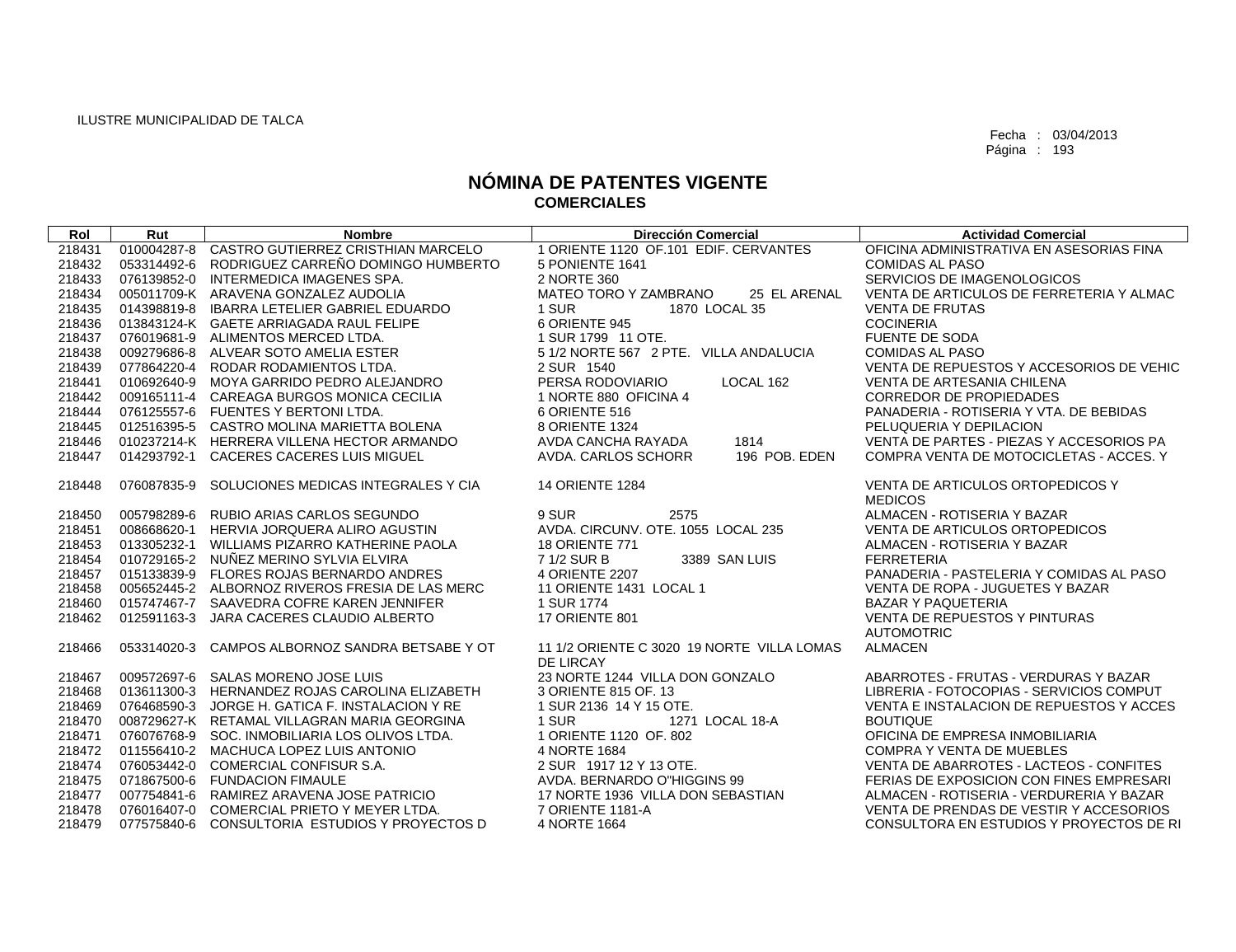| Rol    | Rut         | <b>Nombre</b>                                   | <b>Dirección Comercial</b>                 | <b>Actividad Comercial</b>                                |
|--------|-------------|-------------------------------------------------|--------------------------------------------|-----------------------------------------------------------|
| 218431 | 010004287-8 | CASTRO GUTIERREZ CRISTHIAN MARCELO              | 1 ORIENTE 1120 OF.101 EDIF. CERVANTES      | OFICINA ADMINISTRATIVA EN ASESORIAS FINA                  |
| 218432 |             | 053314492-6 RODRIGUEZ CARREÑO DOMINGO HUMBERTO  | 5 PONIENTE 1641                            | <b>COMIDAS AL PASO</b>                                    |
| 218433 |             | 076139852-0 INTERMEDICA IMAGENES SPA.           | 2 NORTE 360                                | SERVICIOS DE IMAGENOLOGICOS                               |
| 218434 |             | 005011709-K ARAVENA GONZALEZ AUDOLIA            | MATEO TORO Y ZAMBRANO<br>25 EL ARENAL      | VENTA DE ARTICULOS DE FERRETERIA Y ALMAC                  |
| 218435 |             | 014398819-8 IBARRA LETELIER GABRIEL EDUARDO     | 1 SUR<br>1870 LOCAL 35                     | <b>VENTA DE FRUTAS</b>                                    |
| 218436 |             | 013843124-K GAETE ARRIAGADA RAUL FELIPE         | 6 ORIENTE 945                              | <b>COCINERIA</b>                                          |
| 218437 |             | 076019681-9 ALIMENTOS MERCED LTDA.              | 1 SUR 1799 11 OTE.                         | <b>FUENTE DE SODA</b>                                     |
| 218438 |             | 009279686-8 ALVEAR SOTO AMELIA ESTER            | 5 1/2 NORTE 567 2 PTE. VILLA ANDALUCIA     | <b>COMIDAS AL PASO</b>                                    |
| 218439 |             | 077864220-4 RODAR RODAMIENTOS LTDA.             | 2 SUR 1540                                 | VENTA DE REPUESTOS Y ACCESORIOS DE VEHIC                  |
| 218441 |             | 010692640-9 MOYA GARRIDO PEDRO ALEJANDRO        | PERSA RODOVIARIO<br>LOCAL 162              | VENTA DE ARTESANIA CHILENA                                |
| 218442 |             | 009165111-4 CAREAGA BURGOS MONICA CECILIA       | 1 NORTE 880 OFICINA 4                      | <b>CORREDOR DE PROPIEDADES</b>                            |
| 218444 |             | 076125557-6 FUENTES Y BERTONI LTDA.             | 6 ORIENTE 516                              | PANADERIA - ROTISERIA Y VTA, DE BEBIDAS                   |
| 218445 |             | 012516395-5 CASTRO MOLINA MARIETTA BOLENA       | 8 ORIENTE 1324                             | PELUQUERIA Y DEPILACION                                   |
| 218446 |             | 010237214-K HERRERA VILLENA HECTOR ARMANDO      | 1814<br>AVDA CANCHA RAYADA                 | VENTA DE PARTES - PIEZAS Y ACCESORIOS PA                  |
| 218447 |             | 014293792-1 CACERES CACERES LUIS MIGUEL         | AVDA, CARLOS SCHORR<br>196 POB. EDEN       | COMPRA VENTA DE MOTOCICLETAS - ACCES. Y                   |
|        |             |                                                 |                                            |                                                           |
| 218448 | 076087835-9 | SOLUCIONES MEDICAS INTEGRALES Y CIA             | <b>14 ORIENTE 1284</b>                     | VENTA DE ARTICULOS ORTOPEDICOS Y                          |
|        |             |                                                 |                                            | <b>MEDICOS</b>                                            |
| 218450 |             | 005798289-6 RUBIO ARIAS CARLOS SEGUNDO          | 2575<br>9 SUR                              | ALMACEN - ROTISERIA Y BAZAR                               |
| 218451 |             | 008668620-1 HERVIA JORQUERA ALIRO AGUSTIN       | AVDA. CIRCUNV. OTE. 1055 LOCAL 235         | VENTA DE ARTICULOS ORTOPEDICOS                            |
| 218453 |             | 013305232-1 WILLIAMS PIZARRO KATHERINE PAOLA    | <b>18 ORIENTE 771</b>                      | ALMACEN - ROTISERIA Y BAZAR                               |
| 218454 | 010729165-2 | NUÑEZ MERINO SYLVIA ELVIRA                      | 7 1/2 SUR B<br>3389 SAN LUIS               | <b>FERRETERIA</b>                                         |
| 218457 |             | 015133839-9 FLORES ROJAS BERNARDO ANDRES        | 4 ORIENTE 2207                             | PANADERIA - PASTELERIA Y COMIDAS AL PASO                  |
| 218458 |             | 005652445-2 ALBORNOZ RIVEROS FRESIA DE LAS MERC | 11 ORIENTE 1431 LOCAL 1                    | VENTA DE ROPA - JUGUETES Y BAZAR                          |
| 218460 |             | 015747467-7 SAAVEDRA COFRE KAREN JENNIFER       | 1 SUR 1774                                 | <b>BAZAR Y PAQUETERIA</b>                                 |
| 218462 |             | 012591163-3 JARA CACERES CLAUDIO ALBERTO        | 17 ORIENTE 801                             | <b>VENTA DE REPUESTOS Y PINTURAS</b><br><b>AUTOMOTRIC</b> |
| 218466 | 053314020-3 | CAMPOS ALBORNOZ SANDRA BETSABE Y OT             | 11 1/2 ORIENTE C 3020 19 NORTE VILLA LOMAS | <b>ALMACEN</b>                                            |
|        |             |                                                 | DE LIRCAY                                  |                                                           |
| 218467 |             | 009572697-6 SALAS MORENO JOSE LUIS              | 23 NORTE 1244 VILLA DON GONZALO            | ABARROTES - FRUTAS - VERDURAS Y BAZAR                     |
| 218468 |             | 013611300-3 HERNANDEZ ROJAS CAROLINA ELIZABETH  | 3 ORIENTE 815 OF, 13                       | LIBRERIA - FOTOCOPIAS - SERVICIOS COMPUT                  |
| 218469 |             | 076468590-3 JORGE H. GATICA F. INSTALACION Y RE | 1 SUR 2136 14 Y 15 OTE.                    | VENTA E INSTALACION DE REPUESTOS Y ACCES                  |
| 218470 |             | 008729627-K RETAMAL VILLAGRAN MARIA GEORGINA    | 1 SUR<br>1271 LOCAL 18-A                   | <b>BOUTIQUE</b>                                           |
| 218471 |             | 076076768-9 SOC. INMOBILIARIA LOS OLIVOS LTDA.  | 1 ORIENTE 1120 OF, 802                     | OFICINA DE EMPRESA INMOBILIARIA                           |
| 218472 |             | 011556410-2 MACHUCA LOPEZ LUIS ANTONIO          | 4 NORTE 1684                               | <b>COMPRA Y VENTA DE MUEBLES</b>                          |
| 218474 |             | 076053442-0 COMERCIAL CONFISUR S.A.             | 2 SUR 1917 12 Y 13 OTE.                    | VENTA DE ABARROTES - LACTEOS - CONFITES                   |
| 218475 |             | 071867500-6 FUNDACION FIMAULE                   | AVDA, BERNARDO O"HIGGINS 99                | FERIAS DE EXPOSICION CON FINES EMPRESARI                  |
| 218477 |             | 007754841-6 RAMIREZ ARAVENA JOSE PATRICIO       | 17 NORTE 1936 VILLA DON SEBASTIAN          | ALMACEN - ROTISERIA - VERDURERIA Y BAZAR                  |
| 218478 |             | 076016407-0 COMERCIAL PRIETO Y MEYER LTDA.      | 7 ORIENTE 1181-A                           | VENTA DE PRENDAS DE VESTIR Y ACCESORIOS                   |
| 218479 |             | 077575840-6 CONSULTORIA ESTUDIOS Y PROYECTOS D  | 4 NORTE 1664                               | CONSULTORA EN ESTUDIOS Y PROYECTOS DE RI                  |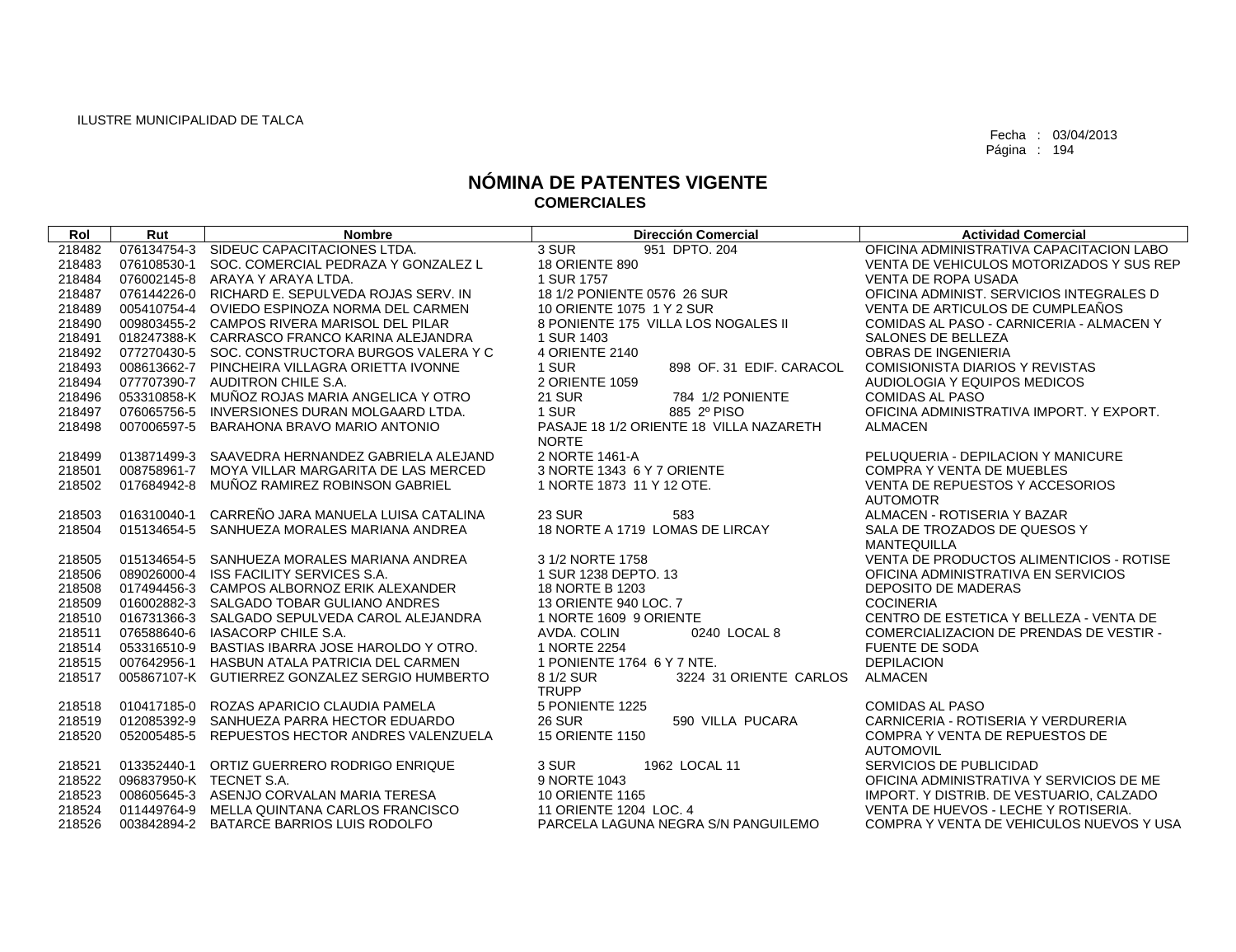| Rol    | Rut         | <b>Nombre</b>                                   | <b>Dirección Comercial</b>                          | <b>Actividad Comercial</b>               |
|--------|-------------|-------------------------------------------------|-----------------------------------------------------|------------------------------------------|
| 218482 |             | 076134754-3 SIDEUC CAPACITACIONES LTDA.         | 3 SUR<br>951 DPTO, 204                              | OFICINA ADMINISTRATIVA CAPACITACION LABO |
| 218483 |             | 076108530-1 SOC, COMERCIAL PEDRAZA Y GONZALEZ L | 18 ORIENTE 890                                      | VENTA DE VEHICULOS MOTORIZADOS Y SUS REP |
| 218484 |             | 076002145-8 ARAYA Y ARAYA LTDA.                 | 1 SUR 1757                                          | <b>VENTA DE ROPA USADA</b>               |
| 218487 |             | 076144226-0 RICHARD E. SEPULVEDA ROJAS SERV. IN | 18 1/2 PONIENTE 0576 26 SUR                         | OFICINA ADMINIST, SERVICIOS INTEGRALES D |
| 218489 |             | 005410754-4 OVIEDO ESPINOZA NORMA DEL CARMEN    | 10 ORIENTE 1075 1 Y 2 SUR                           | VENTA DE ARTICULOS DE CUMPLEAÑOS         |
| 218490 |             | 009803455-2 CAMPOS RIVERA MARISOL DEL PILAR     | 8 PONIENTE 175 VILLA LOS NOGALES II                 | COMIDAS AL PASO - CARNICERIA - ALMACEN Y |
| 218491 |             | 018247388-K CARRASCO FRANCO KARINA ALEJANDRA    | 1 SUR 1403                                          | SALONES DE BELLEZA                       |
| 218492 |             | 077270430-5 SOC. CONSTRUCTORA BURGOS VALERA Y C | 4 ORIENTE 2140                                      | OBRAS DE INGENIERIA                      |
| 218493 |             | 008613662-7 PINCHEIRA VILLAGRA ORIETTA IVONNE   | 1 SUR<br>898 OF, 31 EDIF, CARACOL                   | <b>COMISIONISTA DIARIOS Y REVISTAS</b>   |
| 218494 |             | 077707390-7 AUDITRON CHILE S.A.                 | 2 ORIENTE 1059                                      | AUDIOLOGIA Y EQUIPOS MEDICOS             |
| 218496 |             | 053310858-K MUÑOZ ROJAS MARIA ANGELICA Y OTRO   | <b>21 SUR</b><br>784 1/2 PONIENTE                   | <b>COMIDAS AL PASO</b>                   |
| 218497 |             | 076065756-5 INVERSIONES DURAN MOLGAARD LTDA.    | 1 SUR<br>885 2º PISO                                | OFICINA ADMINISTRATIVA IMPORT. Y EXPORT. |
| 218498 | 007006597-5 | BARAHONA BRAVO MARIO ANTONIO                    | PASAJE 18 1/2 ORIENTE 18 VILLA NAZARETH             | <b>ALMACEN</b>                           |
|        |             |                                                 | <b>NORTE</b>                                        |                                          |
| 218499 |             | 013871499-3 SAAVEDRA HERNANDEZ GABRIELA ALEJAND | 2 NORTE 1461-A                                      | PELUQUERIA - DEPILACION Y MANICURE       |
| 218501 | 008758961-7 | MOYA VILLAR MARGARITA DE LAS MERCED             | 3 NORTE 1343 6 Y 7 ORIENTE                          | <b>COMPRA Y VENTA DE MUEBLES</b>         |
| 218502 | 017684942-8 | MUÑOZ RAMIREZ ROBINSON GABRIEL                  | 1 NORTE 1873 11 Y 12 OTE.                           | VENTA DE REPUESTOS Y ACCESORIOS          |
|        |             |                                                 |                                                     | <b>AUTOMOTR</b>                          |
| 218503 | 016310040-1 | CARREÑO JARA MANUELA LUISA CATALINA             | <b>23 SUR</b><br>583                                | ALMACEN - ROTISERIA Y BAZAR              |
| 218504 |             | 015134654-5 SANHUEZA MORALES MARIANA ANDREA     | 18 NORTE A 1719 LOMAS DE LIRCAY                     | SALA DE TROZADOS DE QUESOS Y             |
|        |             |                                                 |                                                     | <b>MANTEQUILLA</b>                       |
| 218505 |             | 015134654-5 SANHUEZA MORALES MARIANA ANDREA     | 3 1/2 NORTE 1758                                    | VENTA DE PRODUCTOS ALIMENTICIOS - ROTISE |
| 218506 |             | 089026000-4 ISS FACILITY SERVICES S.A.          | 1 SUR 1238 DEPTO, 13                                | OFICINA ADMINISTRATIVA EN SERVICIOS      |
| 218508 |             | 017494456-3 CAMPOS ALBORNOZ ERIK ALEXANDER      | 18 NORTE B 1203                                     | <b>DEPOSITO DE MADERAS</b>               |
| 218509 |             | 016002882-3 SALGADO TOBAR GULIANO ANDRES        | 13 ORIENTE 940 LOC. 7                               | <b>COCINERIA</b>                         |
| 218510 |             | 016731366-3 SALGADO SEPULVEDA CAROL ALEJANDRA   | 1 NORTE 1609 9 ORIENTE                              | CENTRO DE ESTETICA Y BELLEZA - VENTA DE  |
| 218511 |             | 076588640-6 IASACORP CHILE S.A.                 | 0240 LOCAL 8<br>AVDA, COLIN                         | COMERCIALIZACION DE PRENDAS DE VESTIR -  |
| 218514 |             | 053316510-9 BASTIAS IBARRA JOSE HAROLDO Y OTRO. | 1 NORTE 2254                                        | <b>FUENTE DE SODA</b>                    |
| 218515 |             | 007642956-1 HASBUN ATALA PATRICIA DEL CARMEN    | 1 PONIENTE 1764 6 Y 7 NTE.                          | <b>DEPILACION</b>                        |
| 218517 |             | 005867107-K GUTIERREZ GONZALEZ SERGIO HUMBERTO  | 3224 31 ORIENTE CARLOS<br>8 1/2 SUR<br><b>TRUPP</b> | <b>ALMACEN</b>                           |
| 218518 |             | 010417185-0 ROZAS APARICIO CLAUDIA PAMELA       | 5 PONIENTE 1225                                     | <b>COMIDAS AL PASO</b>                   |
| 218519 |             | 012085392-9 SANHUEZA PARRA HECTOR EDUARDO       | <b>26 SUR</b><br>590 VILLA PUCARA                   | CARNICERIA - ROTISERIA Y VERDURERIA      |
| 218520 | 052005485-5 | REPUESTOS HECTOR ANDRES VALENZUELA              | <b>15 ORIENTE 1150</b>                              | <b>COMPRA Y VENTA DE REPUESTOS DE</b>    |
|        |             |                                                 |                                                     | <b>AUTOMOVIL</b>                         |
| 218521 |             | 013352440-1 ORTIZ GUERRERO RODRIGO ENRIQUE      | 3 SUR<br>1962 LOCAL 11                              | SERVICIOS DE PUBLICIDAD                  |
| 218522 |             | 096837950-K TECNET S.A.                         | 9 NORTE 1043                                        | OFICINA ADMINISTRATIVA Y SERVICIOS DE ME |
| 218523 |             | 008605645-3 ASENJO CORVALAN MARIA TERESA        | <b>10 ORIENTE 1165</b>                              | IMPORT. Y DISTRIB. DE VESTUARIO, CALZADO |
| 218524 |             | 011449764-9 MELLA QUINTANA CARLOS FRANCISCO     | 11 ORIENTE 1204 LOC, 4                              | VENTA DE HUEVOS - LECHE Y ROTISERIA.     |
|        |             |                                                 |                                                     |                                          |
| 218526 |             | 003842894-2 BATARCE BARRIOS LUIS RODOLFO        | PARCELA LAGUNA NEGRA S/N PANGUILEMO                 | COMPRA Y VENTA DE VEHICULOS NUEVOS Y USA |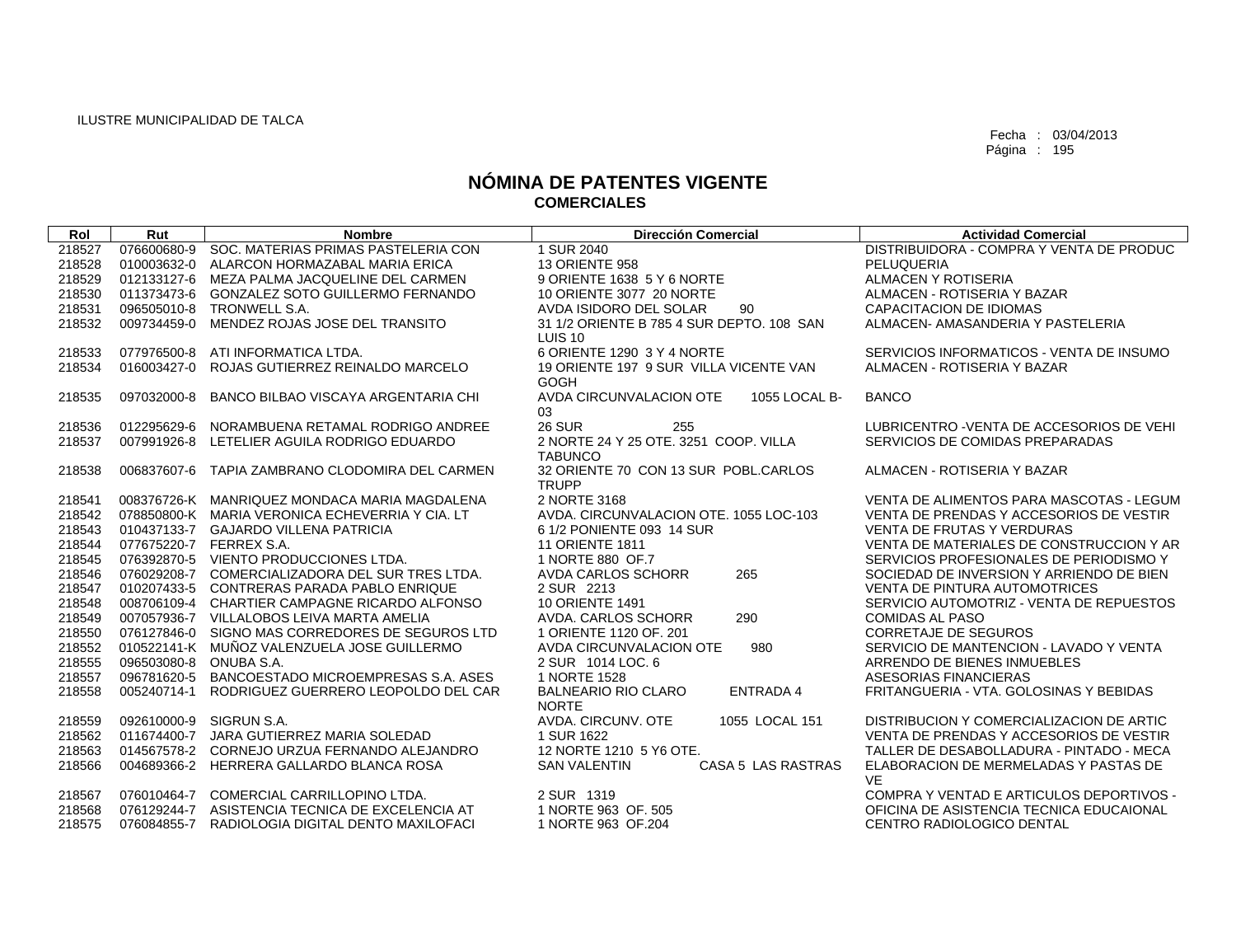| Rol    | Rut                    | <b>Nombre</b>                                   | <b>Dirección Comercial</b>                    | <b>Actividad Comercial</b>                |
|--------|------------------------|-------------------------------------------------|-----------------------------------------------|-------------------------------------------|
| 218527 | 076600680-9            | SOC. MATERIAS PRIMAS PASTELERIA CON             | 1 SUR 2040                                    | DISTRIBUIDORA - COMPRA Y VENTA DE PRODUC  |
| 218528 | 010003632-0            | ALARCON HORMAZABAL MARIA ERICA                  | <b>13 ORIENTE 958</b>                         | PELUQUERIA                                |
| 218529 | 012133127-6            | MEZA PALMA JACQUELINE DEL CARMEN                | 9 ORIENTE 1638 5 Y 6 NORTE                    | ALMACEN Y ROTISERIA                       |
| 218530 | 011373473-6            | GONZALEZ SOTO GUILLERMO FERNANDO                | 10 ORIENTE 3077 20 NORTE                      | ALMACEN - ROTISERIA Y BAZAR               |
| 218531 | 096505010-8            | TRONWELL S.A.                                   | AVDA ISIDORO DEL SOLAR<br>90                  | CAPACITACION DE IDIOMAS                   |
| 218532 | 009734459-0            | MENDEZ ROJAS JOSE DEL TRANSITO                  | 31 1/2 ORIENTE B 785 4 SUR DEPTO, 108 SAN     | ALMACEN- AMASANDERIA Y PASTELERIA         |
|        |                        |                                                 | LUIS <sub>10</sub>                            |                                           |
| 218533 | 077976500-8            | ATI INFORMATICA LTDA.                           | 6 ORIENTE 1290 3 Y 4 NORTE                    | SERVICIOS INFORMATICOS - VENTA DE INSUMO  |
| 218534 | 016003427-0            | ROJAS GUTIERREZ REINALDO MARCELO                | 19 ORIENTE 197 9 SUR VILLA VICENTE VAN        | ALMACEN - ROTISERIA Y BAZAR               |
|        |                        |                                                 | GOGH                                          |                                           |
| 218535 | 097032000-8            | BANCO BILBAO VISCAYA ARGENTARIA CHI             | AVDA CIRCUNVALACION OTE<br>1055 LOCAL B-      | <b>BANCO</b>                              |
|        |                        |                                                 | 03                                            |                                           |
| 218536 | 012295629-6            | NORAMBUENA RETAMAL RODRIGO ANDREE               | <b>26 SUR</b><br>255                          | LUBRICENTRO - VENTA DE ACCESORIOS DE VEHI |
| 218537 | 007991926-8            | LETELIER AGUILA RODRIGO EDUARDO                 | 2 NORTE 24 Y 25 OTE, 3251 COOP, VILLA         | SERVICIOS DE COMIDAS PREPARADAS           |
|        |                        |                                                 | <b>TABUNCO</b>                                |                                           |
| 218538 | 006837607-6            | TAPIA ZAMBRANO CLODOMIRA DEL CARMEN             | 32 ORIENTE 70 CON 13 SUR POBL.CARLOS          | ALMACEN - ROTISERIA Y BAZAR               |
|        |                        |                                                 | <b>TRUPP</b>                                  |                                           |
| 218541 |                        | 008376726-K MANRIQUEZ MONDACA MARIA MAGDALENA   | 2 NORTE 3168                                  | VENTA DE ALIMENTOS PARA MASCOTAS - LEGUM  |
| 218542 |                        | 078850800-K MARIA VERONICA ECHEVERRIA Y CIA. LT | AVDA, CIRCUNVALACION OTE, 1055 LOC-103        | VENTA DE PRENDAS Y ACCESORIOS DE VESTIR   |
| 218543 |                        | 010437133-7 GAJARDO VILLENA PATRICIA            | 6 1/2 PONIENTE 093 14 SUR                     | <b>VENTA DE FRUTAS Y VERDURAS</b>         |
| 218544 |                        | 077675220-7 FERREX S.A.                         | <b>11 ORIENTE 1811</b>                        | VENTA DE MATERIALES DE CONSTRUCCION Y AR  |
| 218545 |                        | 076392870-5 VIENTO PRODUCCIONES LTDA.           | 1 NORTE 880 OF.7                              | SERVICIOS PROFESIONALES DE PERIODISMO Y   |
| 218546 |                        | 076029208-7 COMERCIALIZADORA DEL SUR TRES LTDA. | AVDA CARLOS SCHORR<br>265                     | SOCIEDAD DE INVERSION Y ARRIENDO DE BIEN  |
| 218547 |                        | 010207433-5 CONTRERAS PARADA PABLO ENRIQUE      | 2 SUR 2213                                    | VENTA DE PINTURA AUTOMOTRICES             |
| 218548 |                        | 008706109-4 CHARTIER CAMPAGNE RICARDO ALFONSO   | <b>10 ORIENTE 1491</b>                        | SERVICIO AUTOMOTRIZ - VENTA DE REPUESTOS  |
| 218549 |                        | 007057936-7 VILLALOBOS LEIVA MARTA AMELIA       | AVDA, CARLOS SCHORR<br>290                    | <b>COMIDAS AL PASO</b>                    |
| 218550 |                        | 076127846-0 SIGNO MAS CORREDORES DE SEGUROS LTD | 1 ORIENTE 1120 OF, 201                        | <b>CORRETAJE DE SEGUROS</b>               |
| 218552 |                        | 010522141-K MUÑOZ VALENZUELA JOSE GUILLERMO     | AVDA CIRCUNVALACION OTE<br>980                | SERVICIO DE MANTENCION - LAVADO Y VENTA   |
| 218555 | 096503080-8 ONUBA S.A. |                                                 | 2 SUR 1014 LOC, 6                             | ARRENDO DE BIENES INMUEBLES               |
| 218557 | 096781620-5            | BANCOESTADO MICROEMPRESAS S.A. ASES             | 1 NORTE 1528                                  | ASESORIAS FINANCIERAS                     |
| 218558 | 005240714-1            | RODRIGUEZ GUERRERO LEOPOLDO DEL CAR             | <b>BALNEARIO RIO CLARO</b><br><b>ENTRADA4</b> | FRITANGUERIA - VTA, GOLOSINAS Y BEBIDAS   |
|        |                        |                                                 | <b>NORTE</b>                                  |                                           |
| 218559 | 092610000-9            | SIGRUN S.A.                                     | AVDA. CIRCUNV. OTE<br>1055 LOCAL 151          | DISTRIBUCION Y COMERCIALIZACION DE ARTIC  |
| 218562 | 011674400-7            | JARA GUTIERREZ MARIA SOLEDAD                    | 1 SUR 1622                                    | VENTA DE PRENDAS Y ACCESORIOS DE VESTIR   |
| 218563 | 014567578-2            | CORNEJO URZUA FERNANDO ALEJANDRO                | 12 NORTE 1210 5 Y6 OTE.                       | TALLER DE DESABOLLADURA - PINTADO - MECA  |
| 218566 |                        | 004689366-2 HERRERA GALLARDO BLANCA ROSA        | <b>SAN VALENTIN</b><br>CASA 5 LAS RASTRAS     | ELABORACION DE MERMELADAS Y PASTAS DE     |
|        |                        |                                                 |                                               | <b>VE</b>                                 |
| 218567 | 076010464-7            | COMERCIAL CARRILLOPINO LTDA.                    | 2 SUR 1319                                    | COMPRA Y VENTAD E ARTICULOS DEPORTIVOS -  |
| 218568 | 076129244-7            | ASISTENCIA TECNICA DE EXCELENCIA AT             | 1 NORTE 963 OF, 505                           | OFICINA DE ASISTENCIA TECNICA EDUCAIONAL  |
| 218575 | 076084855-7            | RADIOLOGIA DIGITAL DENTO MAXILOFACI             | 1 NORTE 963 OF.204                            | CENTRO RADIOLOGICO DENTAL                 |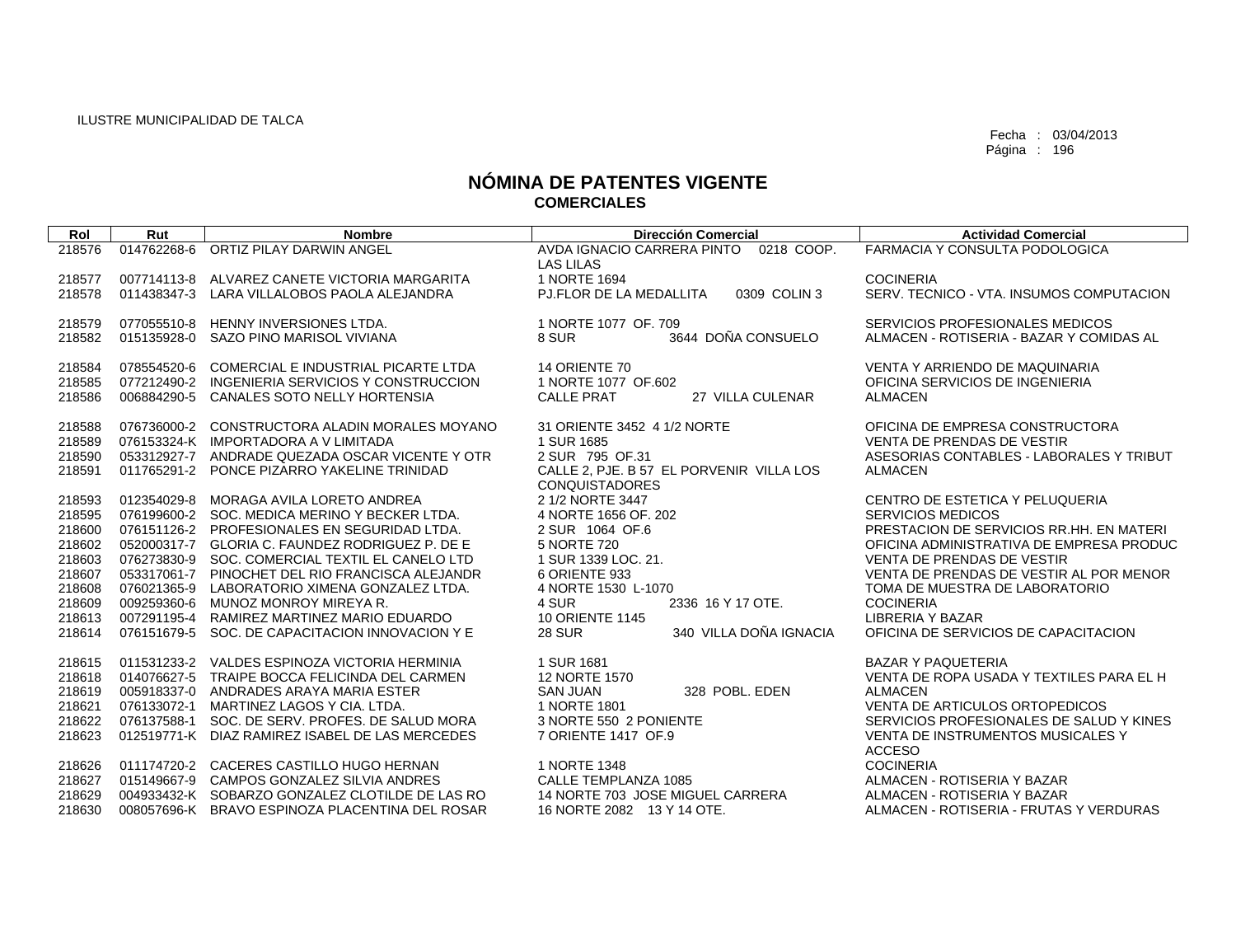| Rol    | Rut         | <b>Nombre</b>                                   | <b>Dirección Comercial</b>               | <b>Actividad Comercial</b>               |
|--------|-------------|-------------------------------------------------|------------------------------------------|------------------------------------------|
| 218576 |             | 014762268-6 ORTIZ PILAY DARWIN ANGEL            | AVDA IGNACIO CARRERA PINTO 0218 COOP.    | <b>FARMACIA Y CONSULTA PODOLOGICA</b>    |
|        |             |                                                 | LAS LILAS                                |                                          |
| 218577 |             | 007714113-8 ALVAREZ CANETE VICTORIA MARGARITA   | 1 NORTE 1694                             | <b>COCINERIA</b>                         |
| 218578 |             | 011438347-3 LARA VILLALOBOS PAOLA ALEJANDRA     | PJ.FLOR DE LA MEDALLITA<br>0309 COLIN 3  | SERV. TECNICO - VTA. INSUMOS COMPUTACION |
|        |             |                                                 |                                          |                                          |
| 218579 |             | 077055510-8 HENNY INVERSIONES LTDA.             | 1 NORTE 1077 OF, 709                     | SERVICIOS PROFESIONALES MEDICOS          |
| 218582 |             | 015135928-0 SAZO PINO MARISOL VIVIANA           | 3644 DOÑA CONSUELO<br>8 SUR              | ALMACEN - ROTISERIA - BAZAR Y COMIDAS AL |
|        |             |                                                 |                                          |                                          |
| 218584 | 078554520-6 | COMERCIAL E INDUSTRIAL PICARTE LTDA             | 14 ORIENTE 70                            | VENTA Y ARRIENDO DE MAQUINARIA           |
| 218585 |             | 077212490-2 INGENIERIA SERVICIOS Y CONSTRUCCION | 1 NORTE 1077 OF.602                      | OFICINA SERVICIOS DE INGENIERIA          |
| 218586 | 006884290-5 | <b>CANALES SOTO NELLY HORTENSIA</b>             | <b>CALLE PRAT</b><br>27 VILLA CULENAR    | <b>ALMACEN</b>                           |
| 218588 |             | 076736000-2 CONSTRUCTORA ALADIN MORALES MOYANO  | 31 ORIENTE 3452 4 1/2 NORTE              | OFICINA DE EMPRESA CONSTRUCTORA          |
| 218589 |             | 076153324-K IMPORTADORA A V LIMITADA            | 1 SUR 1685                               | VENTA DE PRENDAS DE VESTIR               |
| 218590 |             | 053312927-7 ANDRADE QUEZADA OSCAR VICENTE Y OTR | 2 SUR 795 OF.31                          | ASESORIAS CONTABLES - LABORALES Y TRIBUT |
| 218591 | 011765291-2 | PONCE PIZARRO YAKELINE TRINIDAD                 | CALLE 2, PJE. B 57 EL PORVENIR VILLA LOS | <b>ALMACEN</b>                           |
|        |             |                                                 | <b>CONQUISTADORES</b>                    |                                          |
| 218593 |             | 012354029-8 MORAGA AVILA LORETO ANDREA          | 2 1/2 NORTE 3447                         | CENTRO DE ESTETICA Y PELUQUERIA          |
| 218595 |             | 076199600-2 SOC. MEDICA MERINO Y BECKER LTDA.   | 4 NORTE 1656 OF. 202                     | <b>SERVICIOS MEDICOS</b>                 |
| 218600 |             | 076151126-2 PROFESIONALES EN SEGURIDAD LTDA.    | 2 SUR 1064 OF.6                          | PRESTACION DE SERVICIOS RR.HH. EN MATERI |
| 218602 |             | 052000317-7 GLORIA C. FAUNDEZ RODRIGUEZ P. DE E | 5 NORTE 720                              | OFICINA ADMINISTRATIVA DE EMPRESA PRODUC |
| 218603 |             | 076273830-9 SOC. COMERCIAL TEXTIL EL CANELO LTD | 1 SUR 1339 LOC, 21.                      | VENTA DE PRENDAS DE VESTIR               |
| 218607 |             | 053317061-7 PINOCHET DEL RIO FRANCISCA ALEJANDR | 6 ORIENTE 933                            | VENTA DE PRENDAS DE VESTIR AL POR MENOR  |
| 218608 |             | 076021365-9 LABORATORIO XIMENA GONZALEZ LTDA.   | 4 NORTE 1530 L-1070                      | TOMA DE MUESTRA DE LABORATORIO           |
| 218609 |             | 009259360-6 MUNOZ MONROY MIREYA R.              | 2336 16 Y 17 OTE.<br>4 SUR               | <b>COCINERIA</b>                         |
| 218613 |             | 007291195-4 RAMIREZ MARTINEZ MARIO EDUARDO      | <b>10 ORIENTE 1145</b>                   | LIBRERIA Y BAZAR                         |
| 218614 |             | 076151679-5 SOC. DE CAPACITACION INNOVACION Y E | 340 VILLA DOÑA IGNACIA<br><b>28 SUR</b>  | OFICINA DE SERVICIOS DE CAPACITACION     |
|        |             |                                                 |                                          |                                          |
| 218615 |             | 011531233-2 VALDES ESPINOZA VICTORIA HERMINIA   | 1 SUR 1681                               | <b>BAZAR Y PAQUETERIA</b>                |
| 218618 |             | 014076627-5 TRAIPE BOCCA FELICINDA DEL CARMEN   | 12 NORTE 1570                            | VENTA DE ROPA USADA Y TEXTILES PARA EL H |
| 218619 |             | 005918337-0 ANDRADES ARAYA MARIA ESTER          | <b>SAN JUAN</b><br>328 POBL, EDEN        | <b>ALMACEN</b>                           |
| 218621 |             | 076133072-1 MARTINEZ LAGOS Y CIA. LTDA.         | 1 NORTE 1801                             | VENTA DE ARTICULOS ORTOPEDICOS           |
| 218622 |             | 076137588-1 SOC. DE SERV. PROFES. DE SALUD MORA | 3 NORTE 550 2 PONIENTE                   | SERVICIOS PROFESIONALES DE SALUD Y KINES |
| 218623 |             | 012519771-K DIAZ RAMIREZ ISABEL DE LAS MERCEDES | 7 ORIENTE 1417 OF.9                      | VENTA DE INSTRUMENTOS MUSICALES Y        |
|        |             |                                                 |                                          | <b>ACCESO</b>                            |
| 218626 |             | 011174720-2 CACERES CASTILLO HUGO HERNAN        | 1 NORTE 1348                             | <b>COCINERIA</b>                         |
| 218627 |             | 015149667-9 CAMPOS GONZALEZ SILVIA ANDRES       | CALLE TEMPLANZA 1085                     | ALMACEN - ROTISERIA Y BAZAR              |
| 218629 |             | 004933432-K SOBARZO GONZALEZ CLOTILDE DE LAS RO | 14 NORTE 703 JOSE MIGUEL CARRERA         | ALMACEN - ROTISERIA Y BAZAR              |
| 218630 |             | 008057696-K BRAVO ESPINOZA PLACENTINA DEL ROSAR | 16 NORTE 2082 13 Y 14 OTE.               | ALMACEN - ROTISERIA - FRUTAS Y VERDURAS  |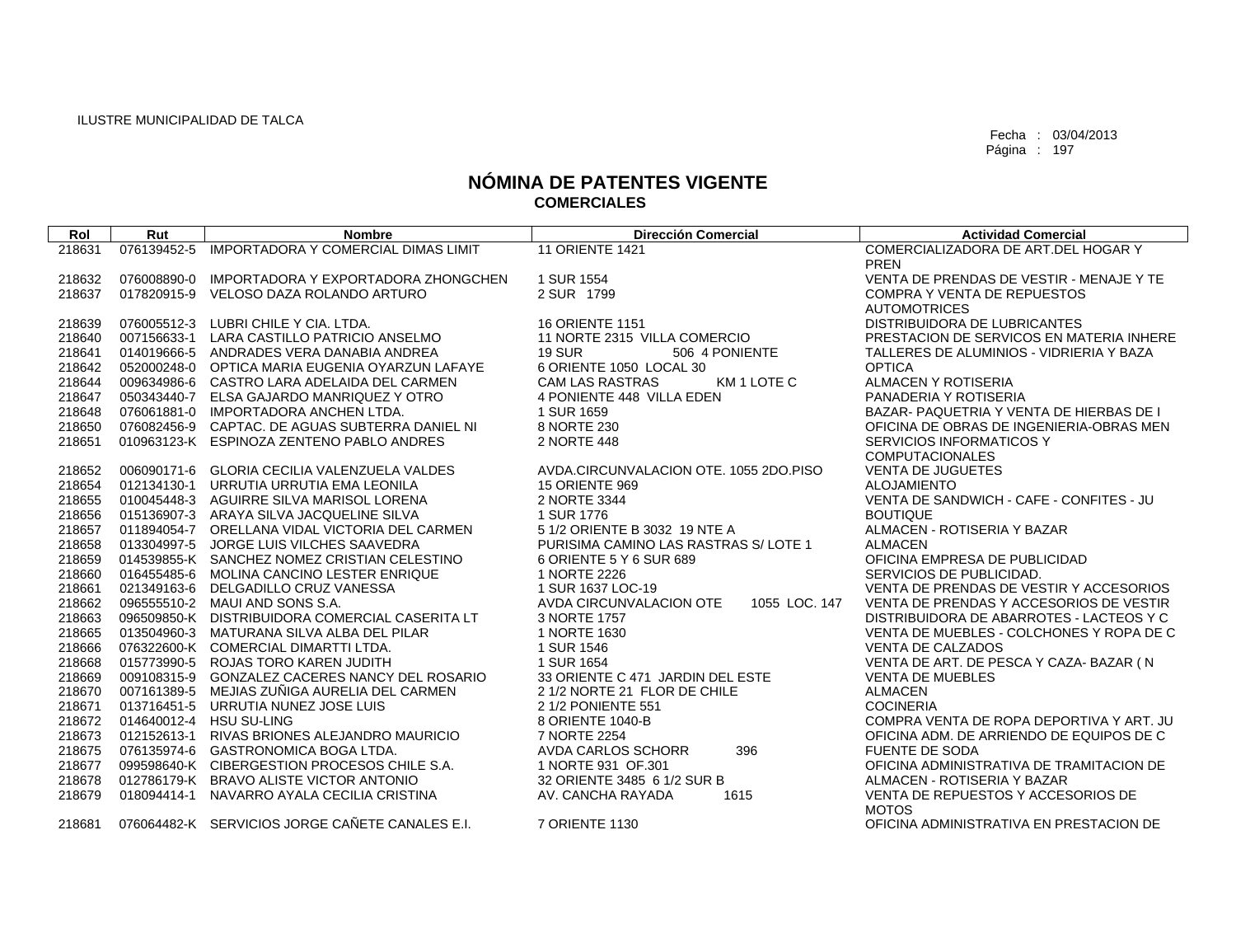| Rol              | Rut         | <b>Nombre</b>                                                           | <b>Dirección Comercial</b>               | <b>Actividad Comercial</b>                                     |
|------------------|-------------|-------------------------------------------------------------------------|------------------------------------------|----------------------------------------------------------------|
| 218631           | 076139452-5 | <b>IMPORTADORA Y COMERCIAL DIMAS LIMIT</b>                              | <b>11 ORIENTE 1421</b>                   | COMERCIALIZADORA DE ART.DEL HOGAR Y                            |
|                  |             |                                                                         |                                          | <b>PREN</b>                                                    |
| 218632           | 076008890-0 | IMPORTADORA Y EXPORTADORA ZHONGCHEN                                     | 1 SUR 1554                               | VENTA DE PRENDAS DE VESTIR - MENAJE Y TE                       |
| 218637           | 017820915-9 | VELOSO DAZA ROLANDO ARTURO                                              | 2 SUR 1799                               | <b>COMPRA Y VENTA DE REPUESTOS</b>                             |
|                  |             |                                                                         |                                          | <b>AUTOMOTRICES</b>                                            |
| 218639           | 076005512-3 | LUBRI CHILE Y CIA, LTDA.                                                | <b>16 ORIENTE 1151</b>                   | DISTRIBUIDORA DE LUBRICANTES                                   |
| 218640           | 007156633-1 | LARA CASTILLO PATRICIO ANSELMO                                          | 11 NORTE 2315 VILLA COMERCIO             | PRESTACION DE SERVICOS EN MATERIA INHERE                       |
| 218641           | 014019666-5 | ANDRADES VERA DANABIA ANDREA                                            | 19 SUR<br>506 4 PONIENTE                 | TALLERES DE ALUMINIOS - VIDRIERIA Y BAZA                       |
| 218642           |             | 052000248-0 OPTICA MARIA EUGENIA OYARZUN LAFAYE                         | 6 ORIENTE 1050 LOCAL 30                  | <b>OPTICA</b>                                                  |
| 218644           |             | 009634986-6 CASTRO LARA ADELAIDA DEL CARMEN                             | <b>CAM LAS RASTRAS</b><br>KM 1 LOTE C    | ALMACEN Y ROTISERIA                                            |
| 218647           | 050343440-7 | ELSA GAJARDO MANRIQUEZ Y OTRO                                           | 4 PONIENTE 448 VILLA EDEN                | PANADERIA Y ROTISERIA                                          |
| 218648           | 076061881-0 | <b>IMPORTADORA ANCHEN LTDA.</b>                                         | 1 SUR 1659                               | BAZAR- PAQUETRIA Y VENTA DE HIERBAS DE I                       |
| 218650           |             | 076082456-9 CAPTAC, DE AGUAS SUBTERRA DANIEL NI                         | 8 NORTE 230                              | OFICINA DE OBRAS DE INGENIERIA-OBRAS MEN                       |
| 218651           |             | 010963123-K ESPINOZA ZENTENO PABLO ANDRES                               | 2 NORTE 448                              | SERVICIOS INFORMATICOS Y                                       |
|                  |             |                                                                         |                                          | <b>COMPUTACIONALES</b>                                         |
| 218652           |             | 006090171-6 GLORIA CECILIA VALENZUELA VALDES                            | AVDA, CIRCUNVALACION OTE, 1055 2DO, PISO | <b>VENTA DE JUGUETES</b>                                       |
| 218654<br>218655 |             | 012134130-1 URRUTIA URRUTIA EMA LEONILA<br>AGUIRRE SILVA MARISOL LORENA | 15 ORIENTE 969<br>2 NORTE 3344           | <b>ALOJAMIENTO</b><br>VENTA DE SANDWICH - CAFE - CONFITES - JU |
| 218656           | 010045448-3 | 015136907-3 ARAYA SILVA JACQUELINE SILVA                                | 1 SUR 1776                               | <b>BOUTIQUE</b>                                                |
| 218657           |             | 011894054-7 ORELLANA VIDAL VICTORIA DEL CARMEN                          | 5 1/2 ORIENTE B 3032 19 NTE A            | ALMACEN - ROTISERIA Y BAZAR                                    |
| 218658           | 013304997-5 | JORGE LUIS VILCHES SAAVEDRA                                             | PURISIMA CAMINO LAS RASTRAS S/LOTE 1     | <b>ALMACEN</b>                                                 |
| 218659           |             | 014539855-K SANCHEZ NOMEZ CRISTIAN CELESTINO                            | 6 ORIENTE 5 Y 6 SUR 689                  | OFICINA EMPRESA DE PUBLICIDAD                                  |
| 218660           |             | 016455485-6 MOLINA CANCINO LESTER ENRIQUE                               | 1 NORTE 2226                             | SERVICIOS DE PUBLICIDAD.                                       |
| 218661           |             | 021349163-6 DELGADILLO CRUZ VANESSA                                     | 1 SUR 1637 LOC-19                        | VENTA DE PRENDAS DE VESTIR Y ACCESORIOS                        |
| 218662           |             | 096555510-2 MAUI AND SONS S.A.                                          | AVDA CIRCUNVALACION OTE<br>1055 LOC. 147 | VENTA DE PRENDAS Y ACCESORIOS DE VESTIR                        |
| 218663           |             | 096509850-K DISTRIBUIDORA COMERCIAL CASERITA LT                         | 3 NORTE 1757                             | DISTRIBUIDORA DE ABARROTES - LACTEOS Y C                       |
| 218665           |             | 013504960-3 MATURANA SILVA ALBA DEL PILAR                               | 1 NORTE 1630                             | VENTA DE MUEBLES - COLCHONES Y ROPA DE C                       |
| 218666           |             | 076322600-K COMERCIAL DIMARTTI LTDA.                                    | 1 SUR 1546                               | <b>VENTA DE CALZADOS</b>                                       |
| 218668           |             | 015773990-5 ROJAS TORO KAREN JUDITH                                     | 1 SUR 1654                               | VENTA DE ART. DE PESCA Y CAZA- BAZAR (N                        |
| 218669           |             | 009108315-9 GONZALEZ CACERES NANCY DEL ROSARIO                          | 33 ORIENTE C 471 JARDIN DEL ESTE         | <b>VENTA DE MUEBLES</b>                                        |
| 218670           |             | 007161389-5 MEJIAS ZUÑIGA AURELIA DEL CARMEN                            | 2 1/2 NORTE 21 FLOR DE CHILE             | <b>ALMACEN</b>                                                 |
| 218671           |             | 013716451-5 URRUTIA NUNEZ JOSE LUIS                                     | 2 1/2 PONIENTE 551                       | <b>COCINERIA</b>                                               |
| 218672           |             | 014640012-4 HSU SU-LING                                                 | 8 ORIENTE 1040-B                         | COMPRA VENTA DE ROPA DEPORTIVA Y ART. JU                       |
| 218673           |             | 012152613-1 RIVAS BRIONES ALEJANDRO MAURICIO                            | 7 NORTE 2254                             | OFICINA ADM. DE ARRIENDO DE EQUIPOS DE C                       |
| 218675           |             | 076135974-6 GASTRONOMICA BOGA LTDA.                                     | AVDA CARLOS SCHORR<br>396                | <b>FUENTE DE SODA</b>                                          |
| 218677           |             | 099598640-K CIBERGESTION PROCESOS CHILE S.A.                            | 1 NORTE 931 OF 301                       | OFICINA ADMINISTRATIVA DE TRAMITACION DE                       |
| 218678           |             | 012786179-K BRAVO ALISTE VICTOR ANTONIO                                 | 32 ORIENTE 3485 6 1/2 SUR B              | ALMACEN - ROTISERIA Y BAZAR                                    |
| 218679           | 018094414-1 | NAVARRO AYALA CECILIA CRISTINA                                          | AV. CANCHA RAYADA<br>1615                | VENTA DE REPUESTOS Y ACCESORIOS DE<br><b>MOTOS</b>             |
| 218681           |             | 076064482-K SERVICIOS JORGE CAÑETE CANALES E.I.                         | 7 ORIENTE 1130                           | OFICINA ADMINISTRATIVA EN PRESTACION DE                        |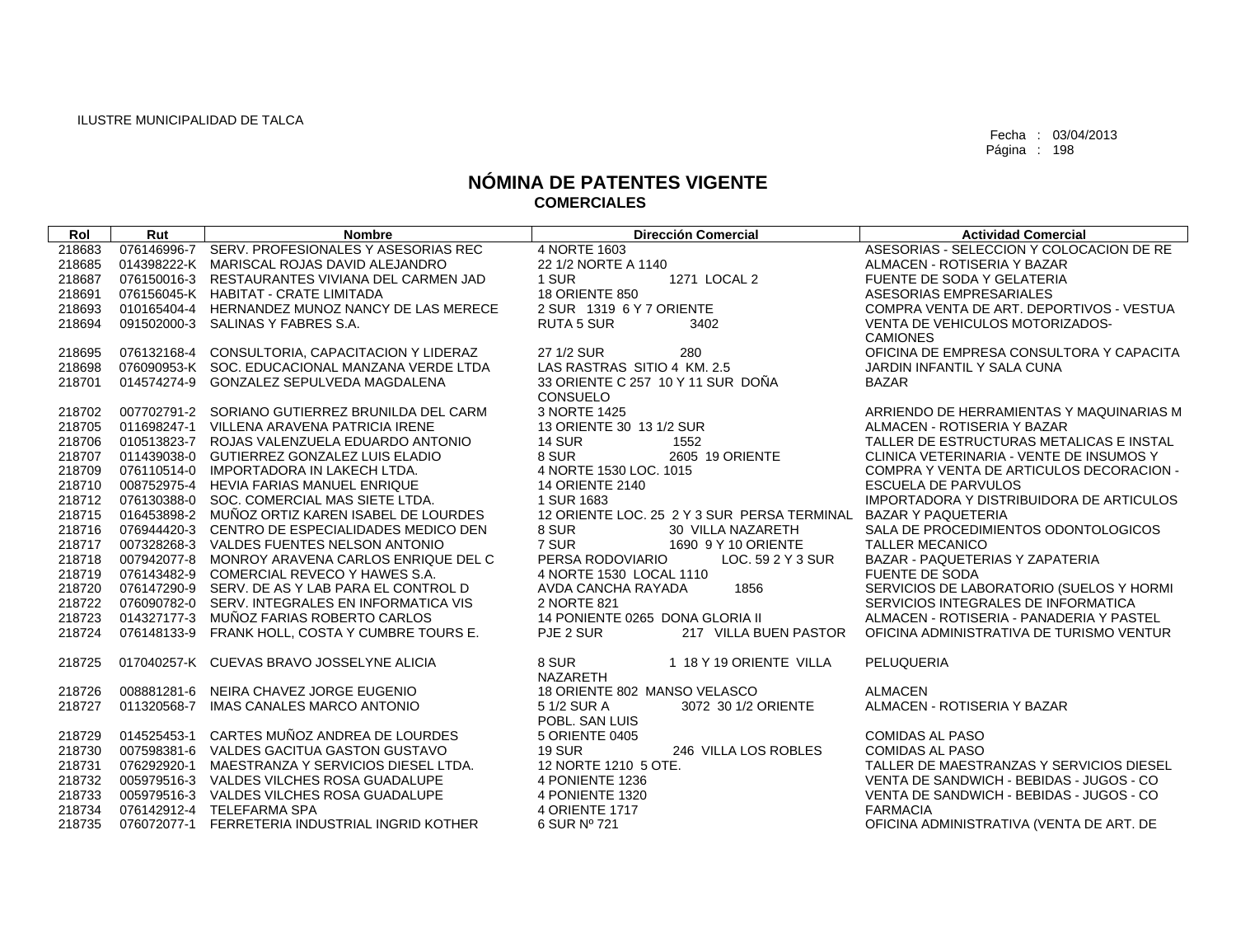| Rol    | Rut         | <b>Nombre</b>                                   | <b>Dirección Comercial</b>                  | <b>Actividad Comercial</b>               |
|--------|-------------|-------------------------------------------------|---------------------------------------------|------------------------------------------|
| 218683 |             | 076146996-7 SERV, PROFESIONALES Y ASESORIAS REC | 4 NORTE 1603                                | ASESORIAS - SELECCION Y COLOCACION DE RE |
| 218685 |             | 014398222-K MARISCAL ROJAS DAVID ALEJANDRO      | 22 1/2 NORTE A 1140                         | ALMACEN - ROTISERIA Y BAZAR              |
| 218687 |             | 076150016-3 RESTAURANTES VIVIANA DEL CARMEN JAD | 1 SUR<br>1271 LOCAL 2                       | FUENTE DE SODA Y GELATERIA               |
| 218691 |             | 076156045-K HABITAT - CRATE LIMITADA            | <b>18 ORIENTE 850</b>                       | ASESORIAS EMPRESARIALES                  |
| 218693 |             | 010165404-4 HERNANDEZ MUNOZ NANCY DE LAS MERECE | 2 SUR 1319 6 Y 7 ORIENTE                    | COMPRA VENTA DE ART. DEPORTIVOS - VESTUA |
| 218694 |             | 091502000-3 SALINAS Y FABRES S.A.               | <b>RUTA 5 SUR</b><br>3402                   | VENTA DE VEHICULOS MOTORIZADOS-          |
|        |             |                                                 |                                             | <b>CAMIONES</b>                          |
| 218695 |             | 076132168-4 CONSULTORIA, CAPACITACION Y LIDERAZ | 27 1/2 SUR<br>280                           | OFICINA DE EMPRESA CONSULTORA Y CAPACITA |
| 218698 |             | 076090953-K SOC. EDUCACIONAL MANZANA VERDE LTDA | LAS RASTRAS SITIO 4 KM, 2.5                 | JARDIN INFANTIL Y SALA CUNA              |
| 218701 |             | 014574274-9 GONZALEZ SEPULVEDA MAGDALENA        | 33 ORIENTE C 257 10 Y 11 SUR DOÑA           | <b>BAZAR</b>                             |
|        |             |                                                 | CONSUELO                                    |                                          |
| 218702 |             | 007702791-2 SORIANO GUTIERREZ BRUNILDA DEL CARM | 3 NORTE 1425                                | ARRIENDO DE HERRAMIENTAS Y MAQUINARIAS M |
| 218705 |             | 011698247-1 VILLENA ARAVENA PATRICIA IRENE      | 13 ORIENTE 30 13 1/2 SUR                    | ALMACEN - ROTISERIA Y BAZAR              |
| 218706 |             | 010513823-7 ROJAS VALENZUELA EDUARDO ANTONIO    | <b>14 SUR</b><br>1552                       | TALLER DE ESTRUCTURAS METALICAS E INSTAL |
| 218707 |             | 011439038-0 GUTIERREZ GONZALEZ LUIS ELADIO      | 2605 19 ORIENTE<br>8 SUR                    | CLINICA VETERINARIA - VENTE DE INSUMOS Y |
| 218709 |             | 076110514-0 IMPORTADORA IN LAKECH LTDA.         | 4 NORTE 1530 LOC. 1015                      | COMPRA Y VENTA DE ARTICULOS DECORACION - |
| 218710 |             | 008752975-4 HEVIA FARIAS MANUEL ENRIQUE         | <b>14 ORIENTE 2140</b>                      | <b>ESCUELA DE PARVULOS</b>               |
| 218712 |             | 076130388-0 SOC, COMERCIAL MAS SIETE LTDA.      | 1 SUR 1683                                  | IMPORTADORA Y DISTRIBUIDORA DE ARTICULOS |
| 218715 |             | 016453898-2 MUÑOZ ORTIZ KAREN ISABEL DE LOURDES | 12 ORIENTE LOC. 25 2 Y 3 SUR PERSA TERMINAL | <b>BAZAR Y PAQUETERIA</b>                |
| 218716 |             | 076944420-3 CENTRO DE ESPECIALIDADES MEDICO DEN | 8 SUR<br>30 VILLA NAZARETH                  | SALA DE PROCEDIMIENTOS ODONTOLOGICOS     |
| 218717 |             | 007328268-3 VALDES FUENTES NELSON ANTONIO       | 7 SUR<br>1690 9 Y 10 ORIENTE                | <b>TALLER MECANICO</b>                   |
| 218718 |             | 007942077-8 MONROY ARAVENA CARLOS ENRIQUE DEL C | PERSA RODOVIARIO<br>LOC. 59 2 Y 3 SUR       | BAZAR - PAQUETERIAS Y ZAPATERIA          |
| 218719 |             | 076143482-9 COMERCIAL REVECO Y HAWES S.A.       | 4 NORTE 1530 LOCAL 1110                     | <b>FUENTE DE SODA</b>                    |
| 218720 |             | 076147290-9 SERV, DE AS Y LAB PARA EL CONTROL D | AVDA CANCHA RAYADA<br>1856                  | SERVICIOS DE LABORATORIO (SUELOS Y HORMI |
| 218722 |             | 076090782-0 SERV. INTEGRALES EN INFORMATICA VIS | 2 NORTE 821                                 | SERVICIOS INTEGRALES DE INFORMATICA      |
| 218723 |             | 014327177-3 MUÑOZ FARIAS ROBERTO CARLOS         | 14 PONIENTE 0265 DONA GLORIA II             | ALMACEN - ROTISERIA - PANADERIA Y PASTEL |
| 218724 |             | 076148133-9 FRANK HOLL, COSTA Y CUMBRE TOURS E. | PJE 2 SUR<br>217 VILLA BUEN PASTOR          | OFICINA ADMINISTRATIVA DE TURISMO VENTUR |
| 218725 |             | 017040257-K CUEVAS BRAVO JOSSELYNE ALICIA       | 8 SUR<br>1 18 Y 19 ORIENTE VILLA            | PELUQUERIA                               |
|        |             |                                                 | <b>NAZARETH</b>                             |                                          |
| 218726 |             | 008881281-6 NEIRA CHAVEZ JORGE EUGENIO          | 18 ORIENTE 802 MANSO VELASCO                | <b>ALMACEN</b>                           |
| 218727 | 011320568-7 | IMAS CANALES MARCO ANTONIO                      | 5 1/2 SUR A<br>3072 30 1/2 ORIENTE          | ALMACEN - ROTISERIA Y BAZAR              |
|        |             |                                                 | POBL, SAN LUIS                              |                                          |
| 218729 |             | 014525453-1 CARTES MUÑOZ ANDREA DE LOURDES      | 5 ORIENTE 0405                              | <b>COMIDAS AL PASO</b>                   |
| 218730 |             | 007598381-6 VALDES GACITUA GASTON GUSTAVO       | <b>19 SUR</b><br>246 VILLA LOS ROBLES       | <b>COMIDAS AL PASO</b>                   |
| 218731 |             | 076292920-1 MAESTRANZA Y SERVICIOS DIESEL LTDA. | 12 NORTE 1210 5 OTE.                        | TALLER DE MAESTRANZAS Y SERVICIOS DIESEL |
| 218732 |             | 005979516-3 VALDES VILCHES ROSA GUADALUPE       | 4 PONIENTE 1236                             | VENTA DE SANDWICH - BEBIDAS - JUGOS - CO |
| 218733 |             | 005979516-3 VALDES VILCHES ROSA GUADALUPE       | 4 PONIENTE 1320                             | VENTA DE SANDWICH - BEBIDAS - JUGOS - CO |
| 218734 |             | 076142912-4 TELEFARMA SPA                       | <b>4 ORIENTE 1717</b>                       | <b>FARMACIA</b>                          |
| 218735 |             | 076072077-1 FERRETERIA INDUSTRIAL INGRID KOTHER | 6 SUR Nº 721                                | OFICINA ADMINISTRATIVA (VENTA DE ART. DE |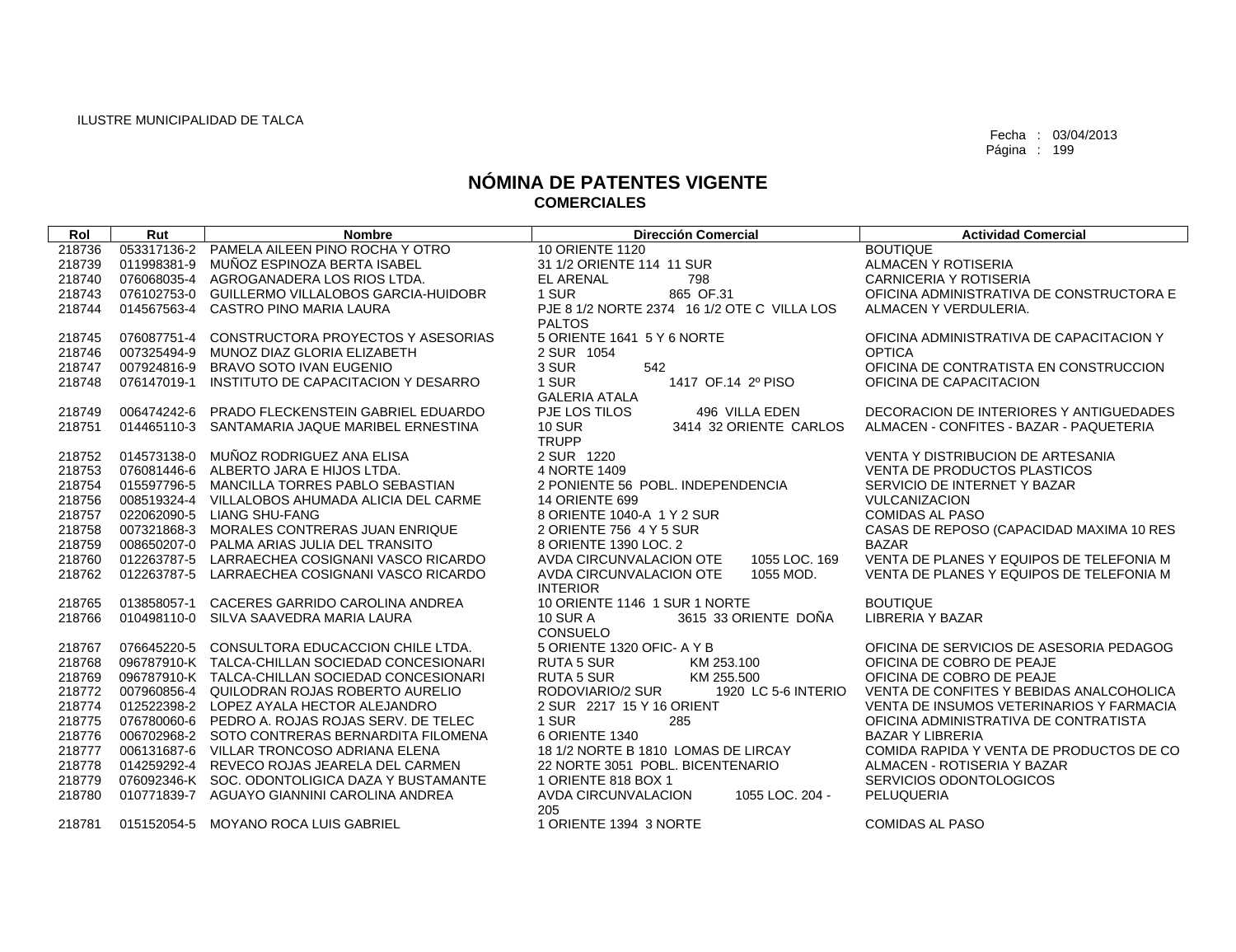| Rol    | Rut         | <b>Nombre</b>                                   | <b>Dirección Comercial</b>                    | <b>Actividad Comercial</b>               |
|--------|-------------|-------------------------------------------------|-----------------------------------------------|------------------------------------------|
| 218736 |             | 053317136-2 PAMELA AILEEN PINO ROCHA Y OTRO     | <b>10 ORIENTE 1120</b>                        | <b>BOUTIQUE</b>                          |
| 218739 | 011998381-9 | MUÑOZ ESPINOZA BERTA ISABEL                     | 31 1/2 ORIENTE 114 11 SUR                     | ALMACEN Y ROTISERIA                      |
| 218740 | 076068035-4 | AGROGANADERA LOS RIOS LTDA.                     | EL ARENAL<br>798                              | <b>CARNICERIA Y ROTISERIA</b>            |
| 218743 |             | 076102753-0 GUILLERMO VILLALOBOS GARCIA-HUIDOBR | 1 SUR<br>865 OF.31                            | OFICINA ADMINISTRATIVA DE CONSTRUCTORA E |
| 218744 | 014567563-4 | CASTRO PINO MARIA LAURA                         | PJE 8 1/2 NORTE 2374 16 1/2 OTE C VILLA LOS   | ALMACEN Y VERDULERIA.                    |
|        |             |                                                 | <b>PALTOS</b>                                 |                                          |
| 218745 | 076087751-4 | CONSTRUCTORA PROYECTOS Y ASESORIAS              | 5 ORIENTE 1641 5 Y 6 NORTE                    | OFICINA ADMINISTRATIVA DE CAPACITACION Y |
| 218746 | 007325494-9 | MUNOZ DIAZ GLORIA ELIZABETH                     | 2 SUR 1054                                    | <b>OPTICA</b>                            |
| 218747 | 007924816-9 | BRAVO SOTO IVAN EUGENIO                         | 3 SUR<br>542                                  | OFICINA DE CONTRATISTA EN CONSTRUCCION   |
| 218748 |             | 076147019-1 INSTITUTO DE CAPACITACION Y DESARRO | 1 SUR<br>1417 OF.14 2º PISO                   | OFICINA DE CAPACITACION                  |
|        |             |                                                 | <b>GALERIA ATALA</b>                          |                                          |
| 218749 | 006474242-6 | PRADO FLECKENSTEIN GABRIEL EDUARDO              | PJE LOS TILOS<br>496 VILLA EDEN               | DECORACION DE INTERIORES Y ANTIGUEDADES  |
| 218751 |             | 014465110-3 SANTAMARIA JAQUE MARIBEL ERNESTINA  | <b>10 SUR</b><br>3414 32 ORIENTE CARLOS       | ALMACEN - CONFITES - BAZAR - PAQUETERIA  |
|        |             |                                                 | <b>TRUPP</b>                                  |                                          |
| 218752 | 014573138-0 | MUÑOZ RODRIGUEZ ANA ELISA                       | 2 SUR 1220                                    | VENTA Y DISTRIBUCION DE ARTESANIA        |
| 218753 | 076081446-6 | ALBERTO JARA E HIJOS LTDA.                      | 4 NORTE 1409                                  | <b>VENTA DE PRODUCTOS PLASTICOS</b>      |
| 218754 | 015597796-5 | MANCILLA TORRES PABLO SEBASTIAN                 | 2 PONIENTE 56 POBL. INDEPENDENCIA             | SERVICIO DE INTERNET Y BAZAR             |
| 218756 | 008519324-4 | VILLALOBOS AHUMADA ALICIA DEL CARME             | <b>14 ORIENTE 699</b>                         | <b>VULCANIZACION</b>                     |
| 218757 |             | 022062090-5 LIANG SHU-FANG                      | 8 ORIENTE 1040-A 1 Y 2 SUR                    | <b>COMIDAS AL PASO</b>                   |
| 218758 |             | 007321868-3 MORALES CONTRERAS JUAN ENRIQUE      | 2 ORIENTE 756 4 Y 5 SUR                       | CASAS DE REPOSO (CAPACIDAD MAXIMA 10 RES |
| 218759 |             | 008650207-0 PALMA ARIAS JULIA DEL TRANSITO      | 8 ORIENTE 1390 LOC. 2                         | <b>BAZAR</b>                             |
| 218760 | 012263787-5 | LARRAECHEA COSIGNANI VASCO RICARDO              | AVDA CIRCUNVALACION OTE<br>1055 LOC, 169      | VENTA DE PLANES Y EQUIPOS DE TELEFONIA M |
| 218762 |             | 012263787-5 LARRAECHEA COSIGNANI VASCO RICARDO  | AVDA CIRCUNVALACION OTE<br>1055 MOD.          | VENTA DE PLANES Y EQUIPOS DE TELEFONIA M |
|        |             |                                                 | <b>INTERIOR</b>                               |                                          |
| 218765 | 013858057-1 | CACERES GARRIDO CAROLINA ANDREA                 | 10 ORIENTE 1146 1 SUR 1 NORTE                 | <b>BOUTIQUE</b>                          |
| 218766 | 010498110-0 | SILVA SAAVEDRA MARIA LAURA                      | 3615 33 ORIENTE DOÑA<br><b>10 SUR A</b>       | <b>LIBRERIA Y BAZAR</b>                  |
|        |             |                                                 | CONSUELO                                      |                                          |
| 218767 | 076645220-5 | CONSULTORA EDUCACCION CHILE LTDA.               | 5 ORIENTE 1320 OFIC- A Y B                    | OFICINA DE SERVICIOS DE ASESORIA PEDAGOG |
| 218768 |             | 096787910-K TALCA-CHILLAN SOCIEDAD CONCESIONARI | <b>RUTA 5 SUR</b><br>KM 253.100               | OFICINA DE COBRO DE PEAJE                |
| 218769 |             | 096787910-K TALCA-CHILLAN SOCIEDAD CONCESIONARI | <b>RUTA 5 SUR</b><br>KM 255.500               | OFICINA DE COBRO DE PEAJE                |
| 218772 |             | 007960856-4 QUILODRAN ROJAS ROBERTO AURELIO     | 1920 LC 5-6 INTERIO<br>RODOVIARIO/2 SUR       | VENTA DE CONFITES Y BEBIDAS ANALCOHOLICA |
| 218774 |             | 012522398-2 LOPEZ AYALA HECTOR ALEJANDRO        | 2 SUR 2217 15 Y 16 ORIENT                     | VENTA DE INSUMOS VETERINARIOS Y FARMACIA |
| 218775 |             | 076780060-6 PEDRO A. ROJAS ROJAS SERV. DE TELEC | 1 SUR<br>285                                  | OFICINA ADMINISTRATIVA DE CONTRATISTA    |
| 218776 |             | 006702968-2 SOTO CONTRERAS BERNARDITA FILOMENA  | 6 ORIENTE 1340                                | <b>BAZAR Y LIBRERIA</b>                  |
| 218777 |             | 006131687-6 VILLAR TRONCOSO ADRIANA ELENA       | 18 1/2 NORTE B 1810 LOMAS DE LIRCAY           | COMIDA RAPIDA Y VENTA DE PRODUCTOS DE CO |
| 218778 |             | 014259292-4 REVECO ROJAS JEARELA DEL CARMEN     | 22 NORTE 3051 POBL, BICENTENARIO              | ALMACEN - ROTISERIA Y BAZAR              |
| 218779 |             | 076092346-K SOC, ODONTOLIGICA DAZA Y BUSTAMANTE | 1 ORIENTE 818 BOX 1                           | SERVICIOS ODONTOLOGICOS                  |
| 218780 |             | 010771839-7 AGUAYO GIANNINI CAROLINA ANDREA     | AVDA CIRCUNVALACION<br>1055 LOC, 204 -<br>205 | PELUQUERIA                               |
| 218781 |             | 015152054-5 MOYANO ROCA LUIS GABRIEL            | 1 ORIENTE 1394 3 NORTE                        | <b>COMIDAS AL PASO</b>                   |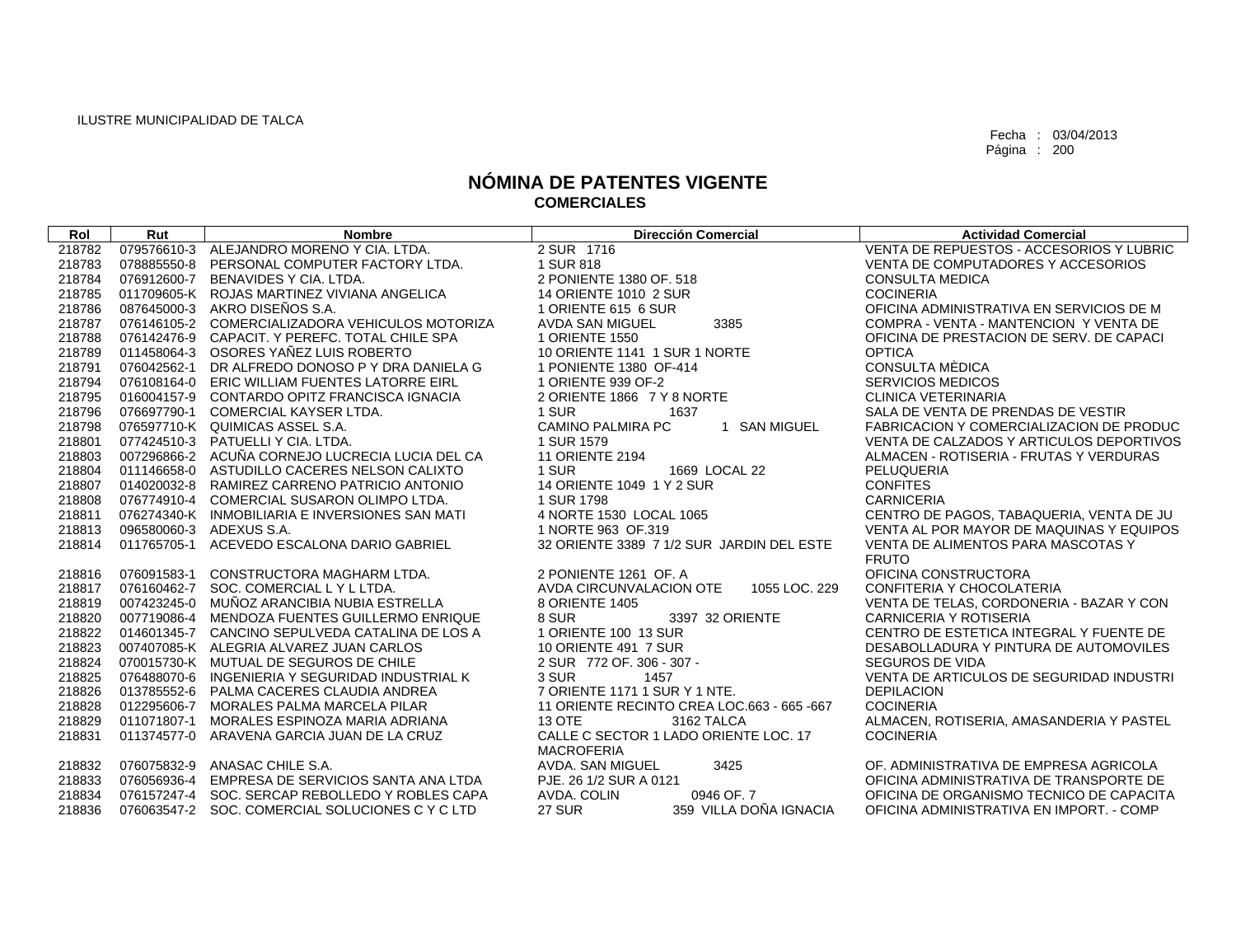| Rol    | Rut         | <b>Nombre</b>                                   | <b>Dirección Comercial</b>                  | <b>Actividad Comercial</b>               |
|--------|-------------|-------------------------------------------------|---------------------------------------------|------------------------------------------|
| 218782 |             | 079576610-3 ALEJANDRO MORENO Y CIA, LTDA.       | 2 SUR 1716                                  | VENTA DE REPUESTOS - ACCESORIOS Y LUBRIC |
| 218783 |             | 078885550-8 PERSONAL COMPUTER FACTORY LTDA.     | 1 SUR 818                                   | VENTA DE COMPUTADORES Y ACCESORIOS       |
| 218784 | 076912600-7 | BENAVIDES Y CIA, LTDA.                          | 2 PONIENTE 1380 OF, 518                     | <b>CONSULTA MEDICA</b>                   |
| 218785 |             | 011709605-K ROJAS MARTINEZ VIVIANA ANGELICA     | 14 ORIENTE 1010 2 SUR                       | <b>COCINERIA</b>                         |
| 218786 |             | 087645000-3 AKRO DISEÑOS S.A.                   | 1 ORIENTE 615 6 SUR                         | OFICINA ADMINISTRATIVA EN SERVICIOS DE M |
| 218787 |             | 076146105-2 COMERCIALIZADORA VEHICULOS MOTORIZA | 3385<br><b>AVDA SAN MIGUEL</b>              | COMPRA - VENTA - MANTENCION Y VENTA DE   |
| 218788 |             | 076142476-9 CAPACIT. Y PEREFC. TOTAL CHILE SPA  | 1 ORIENTE 1550                              | OFICINA DE PRESTACION DE SERV. DE CAPACI |
| 218789 |             | 011458064-3 OSORES YAÑEZ LUIS ROBERTO           | 10 ORIENTE 1141 1 SUR 1 NORTE               | <b>OPTICA</b>                            |
| 218791 | 076042562-1 | DR ALFREDO DONOSO P Y DRA DANIELA G             | 1 PONIENTE 1380 OF-414                      | CONSULTA MÈDICA                          |
| 218794 |             | 076108164-0 ERIC WILLIAM FUENTES LATORRE EIRL   | 1 ORIENTE 939 OF-2                          | <b>SERVICIOS MEDICOS</b>                 |
| 218795 |             | 016004157-9 CONTARDO OPITZ FRANCISCA IGNACIA    | 2 ORIENTE 1866 7 Y 8 NORTE                  | <b>CLINICA VETERINARIA</b>               |
| 218796 |             | 076697790-1 COMERCIAL KAYSER LTDA.              | 1 SUR<br>1637                               | SALA DE VENTA DE PRENDAS DE VESTIR       |
| 218798 |             | 076597710-K QUIMICAS ASSEL S.A.                 | <b>CAMINO PALMIRA PC</b><br>1 SAN MIGUEL    | FABRICACION Y COMERCIALIZACION DE PRODUC |
| 218801 |             | 077424510-3 PATUELLI Y CIA, LTDA.               | 1 SUR 1579                                  | VENTA DE CALZADOS Y ARTICULOS DEPORTIVOS |
| 218803 |             | 007296866-2 ACUÑA CORNEJO LUCRECIA LUCIA DEL CA | <b>11 ORIENTE 2194</b>                      | ALMACEN - ROTISERIA - FRUTAS Y VERDURAS  |
| 218804 |             | 011146658-0 ASTUDILLO CACERES NELSON CALIXTO    | 1 SUR<br>1669 LOCAL 22                      | PELUQUERIA                               |
| 218807 |             | 014020032-8 RAMIREZ CARRENO PATRICIO ANTONIO    | 14 ORIENTE 1049 1 Y 2 SUR                   | <b>CONFITES</b>                          |
| 218808 |             | 076774910-4 COMERCIAL SUSARON OLIMPO LTDA.      | 1 SUR 1798                                  | <b>CARNICERIA</b>                        |
| 218811 |             | 076274340-K INMOBILIARIA E INVERSIONES SAN MATI | 4 NORTE 1530 LOCAL 1065                     | CENTRO DE PAGOS, TABAQUERIA, VENTA DE JU |
| 218813 |             | 096580060-3 ADEXUS S.A.                         | 1 NORTE 963 OF.319                          | VENTA AL POR MAYOR DE MAQUINAS Y EQUIPOS |
| 218814 | 011765705-1 | ACEVEDO ESCALONA DARIO GABRIEL                  | 32 ORIENTE 3389 7 1/2 SUR JARDIN DEL ESTE   | VENTA DE ALIMENTOS PARA MASCOTAS Y       |
|        |             |                                                 |                                             | <b>FRUTO</b>                             |
| 218816 | 076091583-1 | CONSTRUCTORA MAGHARM LTDA.                      | 2 PONIENTE 1261 OF. A                       | OFICINA CONSTRUCTORA                     |
| 218817 |             | 076160462-7 SOC. COMERCIAL LYLLTDA.             | 1055 LOC. 229<br>AVDA CIRCUNVALACION OTE    | CONFITERIA Y CHOCOLATERIA                |
| 218819 |             | 007423245-0 MUÑOZ ARANCIBIA NUBIA ESTRELLA      | 8 ORIENTE 1405                              | VENTA DE TELAS, CORDONERIA - BAZAR Y CON |
| 218820 | 007719086-4 | MENDOZA FUENTES GUILLERMO ENRIQUE               | 8 SUR<br>3397 32 ORIENTE                    | <b>CARNICERIA Y ROTISERIA</b>            |
| 218822 |             | 014601345-7 CANCINO SEPULVEDA CATALINA DE LOS A | 1 ORIENTE 100 13 SUR                        | CENTRO DE ESTETICA INTEGRAL Y FUENTE DE  |
| 218823 |             | 007407085-K ALEGRIA ALVAREZ JUAN CARLOS         | 10 ORIENTE 491 7 SUR                        | DESABOLLADURA Y PINTURA DE AUTOMOVILES   |
| 218824 |             | 070015730-K MUTUAL DE SEGUROS DE CHILE          | 2 SUR 772 OF, 306 - 307 -                   | <b>SEGUROS DE VIDA</b>                   |
| 218825 |             | 076488070-6 INGENIERIA Y SEGURIDAD INDUSTRIAL K | 3 SUR<br>1457                               | VENTA DE ARTICULOS DE SEGURIDAD INDUSTRI |
| 218826 |             | 013785552-6 PALMA CACERES CLAUDIA ANDREA        | 7 ORIENTE 1171 1 SUR Y 1 NTE.               | <b>DEPILACION</b>                        |
| 218828 |             | 012295606-7 MORALES PALMA MARCELA PILAR         | 11 ORIENTE RECINTO CREA LOC.663 - 665 - 667 | <b>COCINERIA</b>                         |
| 218829 | 011071807-1 | MORALES ESPINOZA MARIA ADRIANA                  | <b>13 OTE</b><br>3162 TALCA                 | ALMACEN, ROTISERIA, AMASANDERIA Y PASTEL |
| 218831 |             | 011374577-0 ARAVENA GARCIA JUAN DE LA CRUZ      | CALLE C SECTOR 1 LADO ORIENTE LOC. 17       | <b>COCINERIA</b>                         |
|        |             |                                                 | <b>MACROFERIA</b>                           |                                          |
| 218832 |             | 076075832-9 ANASAC CHILE S.A.                   | 3425<br>AVDA. SAN MIGUEL                    | OF. ADMINISTRATIVA DE EMPRESA AGRICOLA   |
| 218833 |             | 076056936-4 EMPRESA DE SERVICIOS SANTA ANA LTDA | PJE. 26 1/2 SUR A 0121                      | OFICINA ADMINISTRATIVA DE TRANSPORTE DE  |
| 218834 |             | 076157247-4 SOC, SERCAP REBOLLEDO Y ROBLES CAPA | 0946 OF 7<br>AVDA, COLIN                    | OFICINA DE ORGANISMO TECNICO DE CAPACITA |
| 218836 |             | 076063547-2 SOC. COMERCIAL SOLUCIONES C Y C LTD | <b>27 SUR</b><br>359 VILLA DOÑA IGNACIA     | OFICINA ADMINISTRATIVA EN IMPORT. - COMP |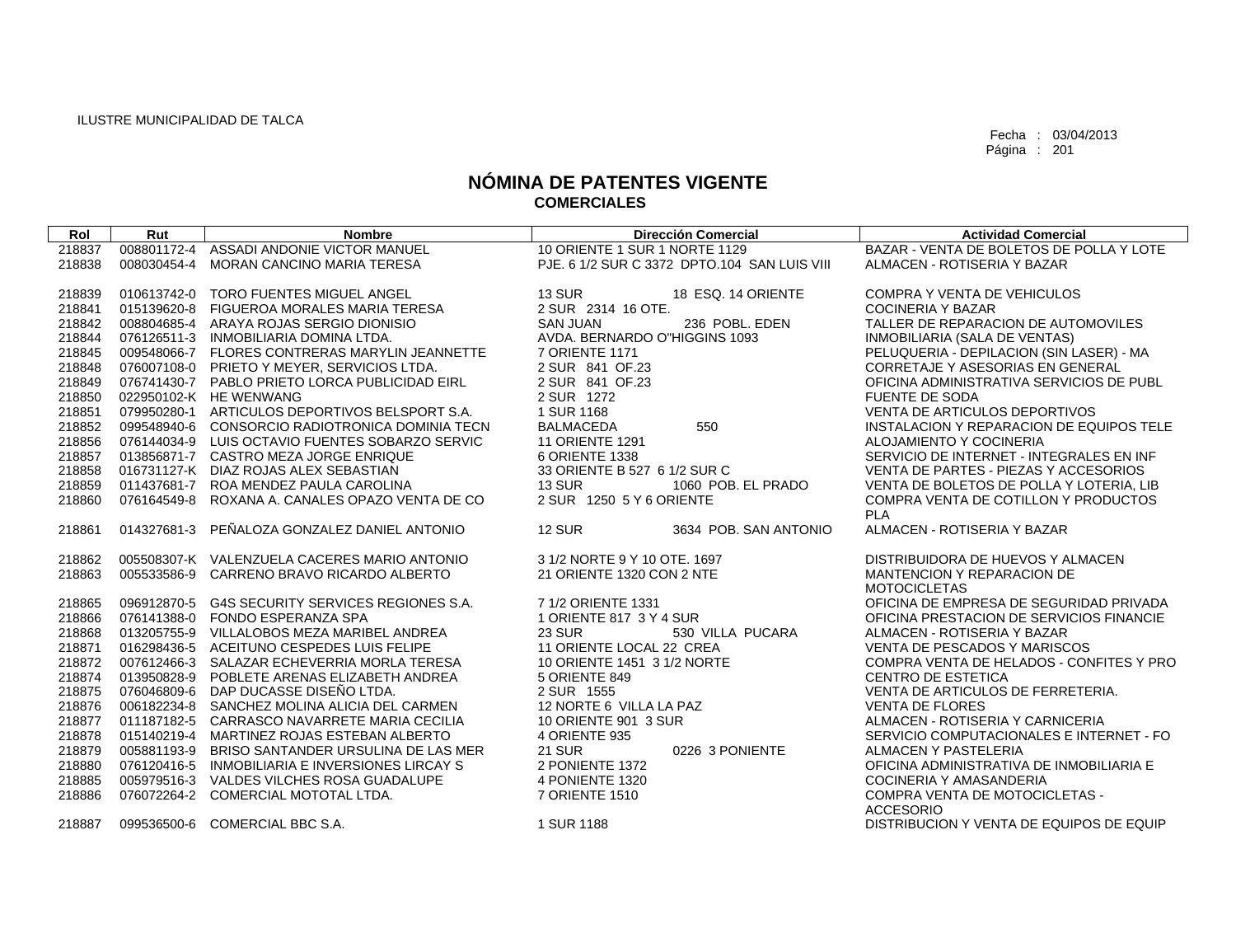| Rol              | Rut         | <b>Nombre</b>                                                                 | <b>Dirección Comercial</b>                   | <b>Actividad Comercial</b>                                      |
|------------------|-------------|-------------------------------------------------------------------------------|----------------------------------------------|-----------------------------------------------------------------|
| 218837           | 008801172-4 | ASSADI ANDONIE VICTOR MANUEL                                                  | 10 ORIENTE 1 SUR 1 NORTE 1129                | BAZAR - VENTA DE BOLETOS DE POLLA Y LOTE                        |
| 218838           | 008030454-4 | <b>MORAN CANCINO MARIA TERESA</b>                                             | PJE. 6 1/2 SUR C 3372 DPTO.104 SAN LUIS VIII | ALMACEN - ROTISERIA Y BAZAR                                     |
|                  |             |                                                                               |                                              |                                                                 |
| 218839           |             | 010613742-0 TORO FUENTES MIGUEL ANGEL                                         | <b>13 SUR</b><br>18 ESQ. 14 ORIENTE          | <b>COMPRA Y VENTA DE VEHICULOS</b>                              |
| 218841           |             | 015139620-8 FIGUEROA MORALES MARIA TERESA                                     | 2 SUR 2314 16 OTE.                           | <b>COCINERIA Y BAZAR</b>                                        |
| 218842           |             | 008804685-4 ARAYA ROJAS SERGIO DIONISIO                                       | <b>SAN JUAN</b><br>236 POBL, EDEN            | TALLER DE REPARACION DE AUTOMOVILES                             |
| 218844           |             | 076126511-3 INMOBILIARIA DOMINA LTDA.                                         | AVDA, BERNARDO O"HIGGINS 1093                | INMOBILIARIA (SALA DE VENTAS)                                   |
| 218845           |             | 009548066-7 FLORES CONTRERAS MARYLIN JEANNETTE                                | 7 ORIENTE 1171                               | PELUQUERIA - DEPILACION (SIN LASER) - MA                        |
| 218848           |             | 076007108-0 PRIETO Y MEYER, SERVICIOS LTDA.                                   | 2 SUR 841 OF 23                              | CORRETAJE Y ASESORIAS EN GENERAL                                |
| 218849           |             | 076741430-7 PABLO PRIETO LORCA PUBLICIDAD EIRL                                | 2 SUR 841 OF.23                              | OFICINA ADMINISTRATIVA SERVICIOS DE PUBL                        |
| 218850           |             | 022950102-K HE WENWANG                                                        | 2 SUR 1272                                   | <b>FUENTE DE SODA</b>                                           |
| 218851           |             | 079950280-1 ARTICULOS DEPORTIVOS BELSPORT S.A.                                | 1 SUR 1168                                   | <b>VENTA DE ARTICULOS DEPORTIVOS</b>                            |
| 218852           |             | 099548940-6 CONSORCIO RADIOTRONICA DOMINIA TECN                               | 550<br><b>BALMACEDA</b>                      | INSTALACION Y REPARACION DE EQUIPOS TELE                        |
| 218856           |             | 076144034-9 LUIS OCTAVIO FUENTES SOBARZO SERVIC                               | <b>11 ORIENTE 1291</b>                       | ALOJAMIENTO Y COCINERIA                                         |
| 218857           |             | 013856871-7 CASTRO MEZA JORGE ENRIQUE                                         | 6 ORIENTE 1338                               | SERVICIO DE INTERNET - INTEGRALES EN INF                        |
| 218858           |             | 016731127-K DIAZ ROJAS ALEX SEBASTIAN                                         | 33 ORIENTE B 527 6 1/2 SUR C                 | VENTA DE PARTES - PIEZAS Y ACCESORIOS                           |
| 218859           |             | 011437681-7 ROA MENDEZ PAULA CAROLINA                                         | <b>13 SUR</b><br>1060 POB. EL PRADO          | VENTA DE BOLETOS DE POLLA Y LOTERIA, LIB                        |
| 218860           |             | 076164549-8 ROXANA A. CANALES OPAZO VENTA DE CO                               | 2 SUR 1250 5 Y 6 ORIENTE                     | COMPRA VENTA DE COTILLON Y PRODUCTOS                            |
|                  |             |                                                                               |                                              | <b>PLA</b>                                                      |
| 218861           | 014327681-3 | PEÑALOZA GONZALEZ DANIEL ANTONIO                                              | <b>12 SUR</b><br>3634 POB, SAN ANTONIO       | ALMACEN - ROTISERIA Y BAZAR                                     |
|                  |             |                                                                               | 3 1/2 NORTE 9 Y 10 OTE, 1697                 |                                                                 |
| 218862<br>218863 | 005533586-9 | 005508307-K VALENZUELA CACERES MARIO ANTONIO<br>CARRENO BRAVO RICARDO ALBERTO | 21 ORIENTE 1320 CON 2 NTE                    | DISTRIBUIDORA DE HUEVOS Y ALMACEN<br>MANTENCION Y REPARACION DE |
|                  |             |                                                                               |                                              | <b>MOTOCICLETAS</b>                                             |
| 218865           |             | 096912870-5 G4S SECURITY SERVICES REGIONES S.A.                               | 7 1/2 ORIENTE 1331                           | OFICINA DE EMPRESA DE SEGURIDAD PRIVADA                         |
| 218866           |             | 076141388-0 FONDO ESPERANZA SPA                                               | 1 ORIENTE 817 3 Y 4 SUR                      | OFICINA PRESTACION DE SERVICIOS FINANCIE                        |
| 218868           |             | 013205755-9 VILLALOBOS MEZA MARIBEL ANDREA                                    | 530 VILLA PUCARA<br><b>23 SUR</b>            | ALMACEN - ROTISERIA Y BAZAR                                     |
| 218871           |             | 016298436-5 ACEITUNO CESPEDES LUIS FELIPE                                     | 11 ORIENTE LOCAL 22 CREA                     | VENTA DE PESCADOS Y MARISCOS                                    |
| 218872           |             | 007612466-3 SALAZAR ECHEVERRIA MORLA TERESA                                   | 10 ORIENTE 1451 3 1/2 NORTE                  | COMPRA VENTA DE HELADOS - CONFITES Y PRO                        |
| 218874           | 013950828-9 | POBLETE ARENAS ELIZABETH ANDREA                                               | 5 ORIENTE 849                                | <b>CENTRO DE ESTETICA</b>                                       |
| 218875           | 076046809-6 | DAP DUCASSE DISEÑO LTDA.                                                      | 2 SUR 1555                                   | VENTA DE ARTICULOS DE FERRETERIA.                               |
| 218876           |             | 006182234-8 SANCHEZ MOLINA ALICIA DEL CARMEN                                  | 12 NORTE 6 VILLA LA PAZ                      | <b>VENTA DE FLORES</b>                                          |
| 218877           |             | 011187182-5 CARRASCO NAVARRETE MARIA CECILIA                                  | 10 ORIENTE 901 3 SUR                         | ALMACEN - ROTISERIA Y CARNICERIA                                |
| 218878           |             | 015140219-4 MARTINEZ ROJAS ESTEBAN ALBERTO                                    | 4 ORIENTE 935                                | SERVICIO COMPUTACIONALES E INTERNET - FO                        |
| 218879           | 005881193-9 | BRISO SANTANDER URSULINA DE LAS MER                                           | <b>21 SUR</b><br>0226 3 PONIENTE             | ALMACEN Y PASTELERIA                                            |
| 218880           |             | 076120416-5 INMOBILIARIA E INVERSIONES LIRCAY S                               | 2 PONIENTE 1372                              | OFICINA ADMINISTRATIVA DE INMOBILIARIA E                        |
| 218885           |             | 005979516-3 VALDES VILCHES ROSA GUADALUPE                                     | 4 PONIENTE 1320                              | COCINERIA Y AMASANDERIA                                         |
| 218886           |             | 076072264-2 COMERCIAL MOTOTAL LTDA.                                           | 7 ORIENTE 1510                               | <b>COMPRA VENTA DE MOTOCICLETAS -</b>                           |
|                  |             |                                                                               |                                              | <b>ACCESORIO</b>                                                |
| 218887           |             | 099536500-6 COMERCIAL BBC S.A.                                                | 1 SUR 1188                                   | DISTRIBUCION Y VENTA DE EQUIPOS DE EQUIP                        |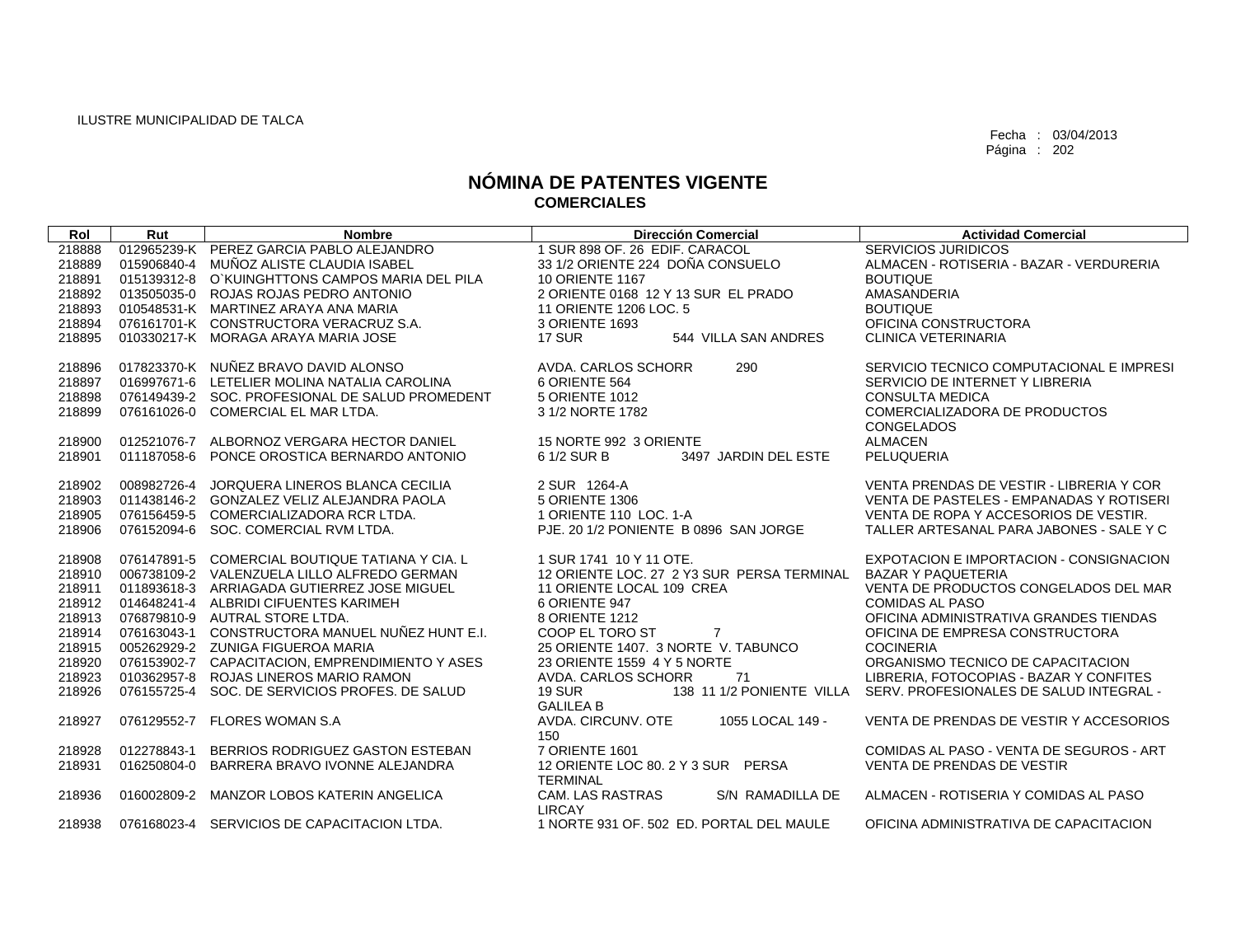| Rol              | Rut         | <b>Nombre</b>                                   | <b>Dirección Comercial</b>                                | <b>Actividad Comercial</b>               |
|------------------|-------------|-------------------------------------------------|-----------------------------------------------------------|------------------------------------------|
| 218888           |             | 012965239-K PEREZ GARCIA PABLO ALEJANDRO        | 1 SUR 898 OF. 26 EDIF. CARACOL                            | SERVICIOS JURIDICOS                      |
| 218889           |             | 015906840-4 MUÑOZ ALISTE CLAUDIA ISABEL         | 33 1/2 ORIENTE 224 DOÑA CONSUELO                          | ALMACEN - ROTISERIA - BAZAR - VERDURERIA |
| 218891           |             | 015139312-8 O`KUINGHTTONS CAMPOS MARIA DEL PILA | <b>10 ORIENTE 1167</b>                                    | <b>BOUTIQUE</b>                          |
| 218892           |             | 013505035-0 ROJAS ROJAS PEDRO ANTONIO           | 2 ORIENTE 0168 12 Y 13 SUR EL PRADO                       | AMASANDERIA                              |
| 218893           |             | 010548531-K MARTINEZ ARAYA ANA MARIA            | 11 ORIENTE 1206 LOC, 5                                    | <b>BOUTIQUE</b>                          |
| 218894           |             | 076161701-K CONSTRUCTORA VERACRUZ S.A.          | 3 ORIENTE 1693                                            | OFICINA CONSTRUCTORA                     |
| 218895           |             | 010330217-K MORAGA ARAYA MARIA JOSE             | 17 SUR<br>544 VILLA SAN ANDRES                            | <b>CLINICA VETERINARIA</b>               |
| 218896           |             | 017823370-K NUÑEZ BRAVO DAVID ALONSO            | AVDA, CARLOS SCHORR<br>290                                | SERVICIO TECNICO COMPUTACIONAL E IMPRESI |
| 218897           |             | 016997671-6 LETELIER MOLINA NATALIA CAROLINA    | 6 ORIENTE 564                                             | SERVICIO DE INTERNET Y LIBRERIA          |
| 218898           |             | 076149439-2 SOC. PROFESIONAL DE SALUD PROMEDENT | 5 ORIENTE 1012                                            | <b>CONSULTA MEDICA</b>                   |
| 218899           |             | 076161026-0 COMERCIAL EL MAR LTDA.              | 3 1/2 NORTE 1782                                          | COMERCIALIZADORA DE PRODUCTOS            |
|                  |             |                                                 |                                                           | <b>CONGELADOS</b>                        |
| 218900           |             | 012521076-7 ALBORNOZ VERGARA HECTOR DANIEL      | 15 NORTE 992 3 ORIENTE                                    | <b>ALMACEN</b>                           |
| 218901           | 011187058-6 | PONCE OROSTICA BERNARDO ANTONIO                 | 6 1/2 SUR B<br>3497 JARDIN DEL ESTE                       | PELUQUERIA                               |
| 218902           | 008982726-4 | JORQUERA LINEROS BLANCA CECILIA                 | 2 SUR 1264-A                                              | VENTA PRENDAS DE VESTIR - LIBRERIA Y COR |
| 218903           |             | 011438146-2 GONZALEZ VELIZ ALEJANDRA PAOLA      | 5 ORIENTE 1306                                            | VENTA DE PASTELES - EMPANADAS Y ROTISERI |
|                  |             | 076156459-5 COMERCIALIZADORA RCR LTDA.          | 1 ORIENTE 110 LOC. 1-A                                    | VENTA DE ROPA Y ACCESORIOS DE VESTIR.    |
| 218905<br>218906 |             | 076152094-6 SOC, COMERCIAL RVM LTDA.            | PJE, 20 1/2 PONIENTE B 0896 SAN JORGE                     | TALLER ARTESANAL PARA JABONES - SALE Y C |
|                  |             |                                                 |                                                           |                                          |
| 218908           |             | 076147891-5 COMERCIAL BOUTIQUE TATIANA Y CIA. L | 1 SUR 1741 10 Y 11 OTE.                                   | EXPOTACION E IMPORTACION - CONSIGNACION  |
| 218910           |             | 006738109-2 VALENZUELA LILLO ALFREDO GERMAN     | 12 ORIENTE LOC. 27 2 Y3 SUR PERSA TERMINAL                | <b>BAZAR Y PAQUETERIA</b>                |
| 218911           |             | 011893618-3 ARRIAGADA GUTIERREZ JOSE MIGUEL     | 11 ORIENTE LOCAL 109 CREA                                 | VENTA DE PRODUCTOS CONGELADOS DEL MAR    |
| 218912           |             | 014648241-4 ALBRIDI CIFUENTES KARIMEH           | 6 ORIENTE 947                                             | <b>COMIDAS AL PASO</b>                   |
| 218913           |             | 076879810-9 AUTRAL STORE LTDA.                  | 8 ORIENTE 1212                                            | OFICINA ADMINISTRATIVA GRANDES TIENDAS   |
| 218914           |             | 076163043-1 CONSTRUCTORA MANUEL NUÑEZ HUNT E.I. | COOP EL TORO ST<br>$\overline{7}$                         | OFICINA DE EMPRESA CONSTRUCTORA          |
| 218915           |             | 005262929-2 ZUNIGA FIGUEROA MARIA               | 25 ORIENTE 1407, 3 NORTE V. TABUNCO                       | <b>COCINERIA</b>                         |
| 218920           |             | 076153902-7 CAPACITACION, EMPRENDIMIENTO Y ASES | 23 ORIENTE 1559 4 Y 5 NORTE                               | ORGANISMO TECNICO DE CAPACITACION        |
| 218923           |             | 010362957-8 ROJAS LINEROS MARIO RAMON           | AVDA. CARLOS SCHORR<br>71                                 | LIBRERIA, FOTOCOPIAS - BAZAR Y CONFITES  |
| 218926           | 076155725-4 | SOC. DE SERVICIOS PROFES. DE SALUD              | <b>19 SUR</b><br>138 11 1/2 PONIENTE VILLA                | SERV. PROFESIONALES DE SALUD INTEGRAL -  |
|                  |             |                                                 | <b>GALILEA B</b>                                          |                                          |
| 218927           |             | 076129552-7 FLORES WOMAN S.A                    | AVDA, CIRCUNV, OTE<br>1055 LOCAL 149 -<br>150             | VENTA DE PRENDAS DE VESTIR Y ACCESORIOS  |
| 218928           | 012278843-1 | BERRIOS RODRIGUEZ GASTON ESTEBAN                | 7 ORIENTE 1601                                            | COMIDAS AL PASO - VENTA DE SEGUROS - ART |
| 218931           | 016250804-0 | BARRERA BRAVO IVONNE ALEJANDRA                  | 12 ORIENTE LOC 80. 2 Y 3 SUR PERSA                        | VENTA DE PRENDAS DE VESTIR               |
|                  |             |                                                 | <b>TERMINAL</b>                                           |                                          |
| 218936           | 016002809-2 | MANZOR LOBOS KATERIN ANGELICA                   | CAM. LAS RASTRAS<br>S/N RAMADILLA DE                      | ALMACEN - ROTISERIA Y COMIDAS AL PASO    |
| 218938           |             | 076168023-4 SERVICIOS DE CAPACITACION LTDA.     | <b>LIRCAY</b><br>1 NORTE 931 OF, 502 ED, PORTAL DEL MAULE | OFICINA ADMINISTRATIVA DE CAPACITACION   |
|                  |             |                                                 |                                                           |                                          |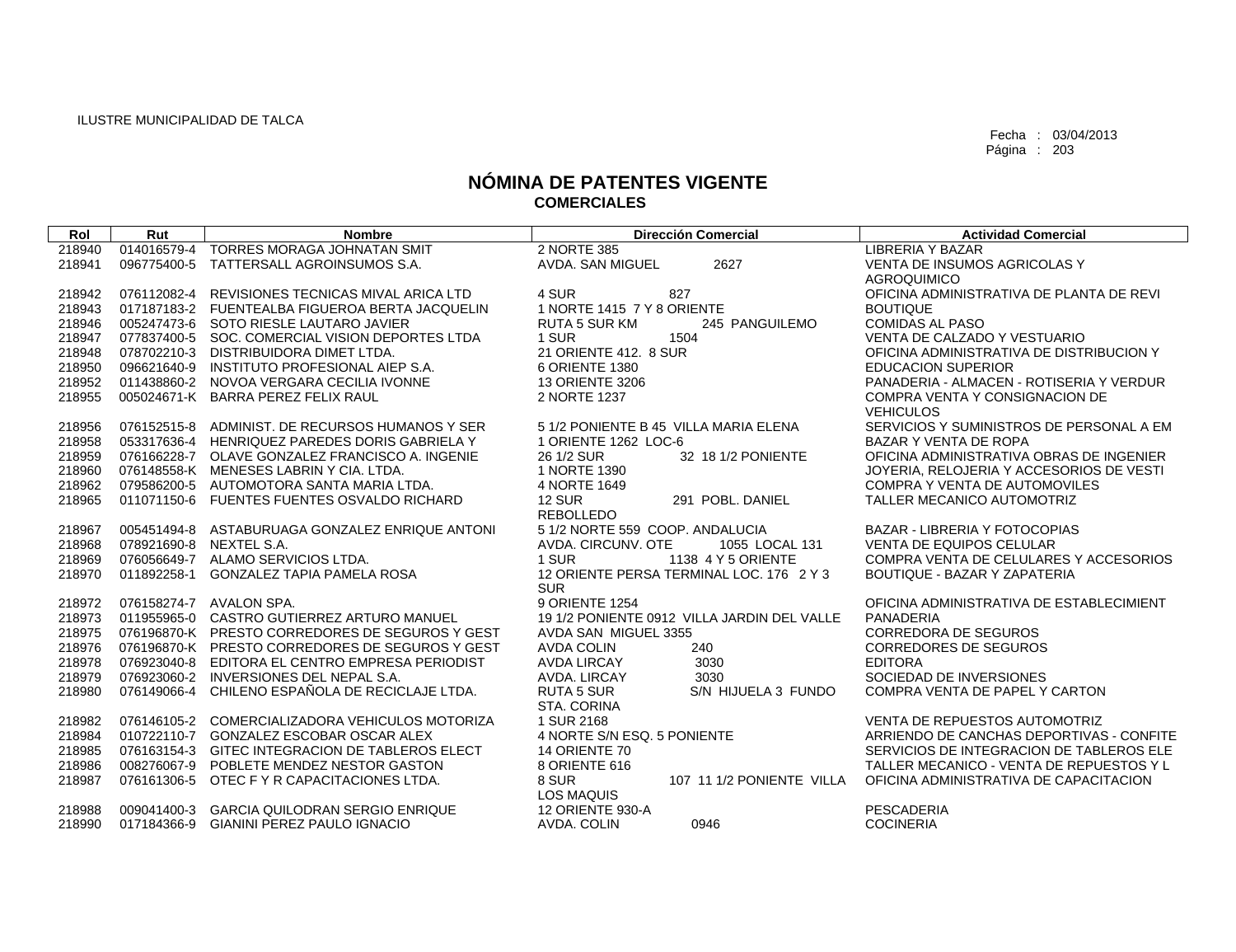| <b>TORRES MORAGA JOHNATAN SMIT</b><br>2 NORTE 385<br><b>LIBRERIA Y BAZAR</b><br>218940<br>014016579-4<br>2627<br><b>VENTA DE INSUMOS AGRICOLAS Y</b><br>218941<br>096775400-5 TATTERSALL AGROINSUMOS S.A.<br>AVDA. SAN MIGUEL<br><b>AGROQUIMICO</b><br>REVISIONES TECNICAS MIVAL ARICA LTD<br>4 SUR<br>827<br>OFICINA ADMINISTRATIVA DE PLANTA DE REVI<br>076112082-4<br>218942<br>1 NORTE 1415 7 Y 8 ORIENTE<br>017187183-2 FUENTEALBA FIGUEROA BERTA JACQUELIN<br><b>BOUTIQUE</b><br>218943<br>218946<br>005247473-6 SOTO RIESLE LAUTARO JAVIER<br><b>RUTA 5 SUR KM</b><br>245 PANGUILEMO<br><b>COMIDAS AL PASO</b><br>077837400-5 SOC, COMERCIAL VISION DEPORTES LTDA<br>1 SUR<br>1504<br>VENTA DE CALZADO Y VESTUARIO<br>218947<br>21 ORIENTE 412, 8 SUR<br>218948<br>078702210-3 DISTRIBUIDORA DIMET LTDA.<br>OFICINA ADMINISTRATIVA DE DISTRIBUCION Y<br>218950<br>096621640-9<br>INSTITUTO PROFESIONAL AIEP S.A.<br>6 ORIENTE 1380<br><b>EDUCACION SUPERIOR</b><br>218952<br>011438860-2 NOVOA VERGARA CECILIA IVONNE<br><b>13 ORIENTE 3206</b><br>PANADERIA - ALMACEN - ROTISERIA Y VERDUR<br>218955<br>005024671-K BARRA PEREZ FELIX RAUL<br>2 NORTE 1237<br>COMPRA VENTA Y CONSIGNACION DE<br><b>VEHICULOS</b><br>076152515-8 ADMINIST, DE RECURSOS HUMANOS Y SER<br>5 1/2 PONIENTE B 45 VILLA MARIA ELENA<br>SERVICIOS Y SUMINISTROS DE PERSONAL A EM<br>218956<br>218958<br>053317636-4 HENRIQUEZ PAREDES DORIS GABRIELA Y<br>1 ORIENTE 1262 LOC-6<br>BAZAR Y VENTA DE ROPA<br>26 1/2 SUR<br>OFICINA ADMINISTRATIVA OBRAS DE INGENIER<br>218959<br>076166228-7 OLAVE GONZALEZ FRANCISCO A. INGENIE<br>32 18 1/2 PONIENTE<br>218960<br>076148558-K MENESES LABRIN Y CIA, LTDA.<br>1 NORTE 1390<br>JOYERIA, RELOJERIA Y ACCESORIOS DE VESTI<br>218962<br>079586200-5 AUTOMOTORA SANTA MARIA LTDA.<br>4 NORTE 1649<br><b>COMPRA Y VENTA DE AUTOMOVILES</b><br><b>12 SUR</b><br>218965<br>011071150-6 FUENTES FUENTES OSVALDO RICHARD<br>291 POBL, DANIEL<br>TALLER MECANICO AUTOMOTRIZ<br><b>REBOLLEDO</b><br>5 1/2 NORTE 559 COOP, ANDALUCIA<br>005451494-8<br>ASTABURUAGA GONZALEZ ENRIQUE ANTONI<br><b>BAZAR - LIBRERIA Y FOTOCOPIAS</b><br>218967<br><b>VENTA DE EQUIPOS CELULAR</b><br>218968<br>078921690-8<br>NEXTEL S.A.<br>AVDA, CIRCUNV, OTE<br>1055 LOCAL 131<br>1 SUR<br>1138 4 Y 5 ORIENTE<br>218969<br>076056649-7 ALAMO SERVICIOS LTDA.<br>COMPRA VENTA DE CELULARES Y ACCESORIOS<br>12 ORIENTE PERSA TERMINAL LOC. 176 2 Y 3<br>218970<br>011892258-1<br><b>GONZALEZ TAPIA PAMELA ROSA</b><br><b>BOUTIQUE - BAZAR Y ZAPATERIA</b><br><b>SUR</b><br>9 ORIENTE 1254<br>218972<br>076158274-7 AVALON SPA.<br>OFICINA ADMINISTRATIVA DE ESTABLECIMIENT<br>218973<br>011955965-0 CASTRO GUTIERREZ ARTURO MANUEL<br>19 1/2 PONIENTE 0912 VILLA JARDIN DEL VALLE<br>PANADERIA<br>218975<br>076196870-K PRESTO CORREDORES DE SEGUROS Y GEST<br>AVDA SAN MIGUEL 3355<br><b>CORREDORA DE SEGUROS</b><br>240<br>218976<br>076196870-K PRESTO CORREDORES DE SEGUROS Y GEST<br><b>AVDA COLIN</b><br><b>CORREDORES DE SEGUROS</b><br>218978<br>076923040-8 EDITORA EL CENTRO EMPRESA PERIODIST<br><b>AVDA LIRCAY</b><br>3030<br><b>EDITORA</b><br>218979<br>076923060-2<br>INVERSIONES DEL NEPAL S.A.<br>3030<br>SOCIEDAD DE INVERSIONES<br>AVDA, LIRCAY<br>CHILENO ESPAÑOLA DE RECICLAJE LTDA.<br>218980<br>076149066-4<br><b>RUTA 5 SUR</b><br>S/N HIJUELA 3 FUNDO<br>COMPRA VENTA DE PAPEL Y CARTON<br>STA. CORINA<br>1 SUR 2168<br>076146105-2 COMERCIALIZADORA VEHICULOS MOTORIZA<br><b>VENTA DE REPUESTOS AUTOMOTRIZ</b><br>218982<br>010722110-7 GONZALEZ ESCOBAR OSCAR ALEX<br>4 NORTE S/N ESQ. 5 PONIENTE<br>ARRIENDO DE CANCHAS DEPORTIVAS - CONFITE<br>218984<br>218985<br>076163154-3 GITEC INTEGRACION DE TABLEROS ELECT<br>14 ORIENTE 70<br>SERVICIOS DE INTEGRACION DE TABLEROS ELE<br>218986<br>008276067-9<br>POBLETE MENDEZ NESTOR GASTON<br>8 ORIENTE 616<br>TALLER MECANICO - VENTA DE REPUESTOS Y L<br>218987<br>076161306-5<br>8 SUR<br>OTEC F Y R CAPACITACIONES LTDA.<br>107 11 1/2 PONIENTE VILLA<br>OFICINA ADMINISTRATIVA DE CAPACITACION<br><b>LOS MAQUIS</b><br><b>12 ORIENTE 930-A</b><br><b>PESCADERIA</b><br>218988<br>009041400-3<br><b>GARCIA QUILODRAN SERGIO ENRIQUE</b><br><b>GIANINI PEREZ PAULO IGNACIO</b><br>0946<br><b>COCINERIA</b><br>218990<br>017184366-9<br>AVDA, COLIN | <b>Rol</b> | Rut | <b>Nombre</b> | <b>Dirección Comercial</b> | <b>Actividad Comercial</b> |
|-----------------------------------------------------------------------------------------------------------------------------------------------------------------------------------------------------------------------------------------------------------------------------------------------------------------------------------------------------------------------------------------------------------------------------------------------------------------------------------------------------------------------------------------------------------------------------------------------------------------------------------------------------------------------------------------------------------------------------------------------------------------------------------------------------------------------------------------------------------------------------------------------------------------------------------------------------------------------------------------------------------------------------------------------------------------------------------------------------------------------------------------------------------------------------------------------------------------------------------------------------------------------------------------------------------------------------------------------------------------------------------------------------------------------------------------------------------------------------------------------------------------------------------------------------------------------------------------------------------------------------------------------------------------------------------------------------------------------------------------------------------------------------------------------------------------------------------------------------------------------------------------------------------------------------------------------------------------------------------------------------------------------------------------------------------------------------------------------------------------------------------------------------------------------------------------------------------------------------------------------------------------------------------------------------------------------------------------------------------------------------------------------------------------------------------------------------------------------------------------------------------------------------------------------------------------------------------------------------------------------------------------------------------------------------------------------------------------------------------------------------------------------------------------------------------------------------------------------------------------------------------------------------------------------------------------------------------------------------------------------------------------------------------------------------------------------------------------------------------------------------------------------------------------------------------------------------------------------------------------------------------------------------------------------------------------------------------------------------------------------------------------------------------------------------------------------------------------------------------------------------------------------------------------------------------------------------------------------------------------------------------------------------------------------------------------------------------------------------------------------------------------------------------------------------------------------------------------------------------------------------------------------------------------------------------------------------------------------------------------------------------------------------------------------------------------------------------------------------------------------------------------------------------------------------------------------------------------------------------------------------------------------------------------------------------------------------------|------------|-----|---------------|----------------------------|----------------------------|
|                                                                                                                                                                                                                                                                                                                                                                                                                                                                                                                                                                                                                                                                                                                                                                                                                                                                                                                                                                                                                                                                                                                                                                                                                                                                                                                                                                                                                                                                                                                                                                                                                                                                                                                                                                                                                                                                                                                                                                                                                                                                                                                                                                                                                                                                                                                                                                                                                                                                                                                                                                                                                                                                                                                                                                                                                                                                                                                                                                                                                                                                                                                                                                                                                                                                                                                                                                                                                                                                                                                                                                                                                                                                                                                                                                                                                                                                                                                                                                                                                                                                                                                                                                                                                                                                                                                                   |            |     |               |                            |                            |
|                                                                                                                                                                                                                                                                                                                                                                                                                                                                                                                                                                                                                                                                                                                                                                                                                                                                                                                                                                                                                                                                                                                                                                                                                                                                                                                                                                                                                                                                                                                                                                                                                                                                                                                                                                                                                                                                                                                                                                                                                                                                                                                                                                                                                                                                                                                                                                                                                                                                                                                                                                                                                                                                                                                                                                                                                                                                                                                                                                                                                                                                                                                                                                                                                                                                                                                                                                                                                                                                                                                                                                                                                                                                                                                                                                                                                                                                                                                                                                                                                                                                                                                                                                                                                                                                                                                                   |            |     |               |                            |                            |
|                                                                                                                                                                                                                                                                                                                                                                                                                                                                                                                                                                                                                                                                                                                                                                                                                                                                                                                                                                                                                                                                                                                                                                                                                                                                                                                                                                                                                                                                                                                                                                                                                                                                                                                                                                                                                                                                                                                                                                                                                                                                                                                                                                                                                                                                                                                                                                                                                                                                                                                                                                                                                                                                                                                                                                                                                                                                                                                                                                                                                                                                                                                                                                                                                                                                                                                                                                                                                                                                                                                                                                                                                                                                                                                                                                                                                                                                                                                                                                                                                                                                                                                                                                                                                                                                                                                                   |            |     |               |                            |                            |
|                                                                                                                                                                                                                                                                                                                                                                                                                                                                                                                                                                                                                                                                                                                                                                                                                                                                                                                                                                                                                                                                                                                                                                                                                                                                                                                                                                                                                                                                                                                                                                                                                                                                                                                                                                                                                                                                                                                                                                                                                                                                                                                                                                                                                                                                                                                                                                                                                                                                                                                                                                                                                                                                                                                                                                                                                                                                                                                                                                                                                                                                                                                                                                                                                                                                                                                                                                                                                                                                                                                                                                                                                                                                                                                                                                                                                                                                                                                                                                                                                                                                                                                                                                                                                                                                                                                                   |            |     |               |                            |                            |
|                                                                                                                                                                                                                                                                                                                                                                                                                                                                                                                                                                                                                                                                                                                                                                                                                                                                                                                                                                                                                                                                                                                                                                                                                                                                                                                                                                                                                                                                                                                                                                                                                                                                                                                                                                                                                                                                                                                                                                                                                                                                                                                                                                                                                                                                                                                                                                                                                                                                                                                                                                                                                                                                                                                                                                                                                                                                                                                                                                                                                                                                                                                                                                                                                                                                                                                                                                                                                                                                                                                                                                                                                                                                                                                                                                                                                                                                                                                                                                                                                                                                                                                                                                                                                                                                                                                                   |            |     |               |                            |                            |
|                                                                                                                                                                                                                                                                                                                                                                                                                                                                                                                                                                                                                                                                                                                                                                                                                                                                                                                                                                                                                                                                                                                                                                                                                                                                                                                                                                                                                                                                                                                                                                                                                                                                                                                                                                                                                                                                                                                                                                                                                                                                                                                                                                                                                                                                                                                                                                                                                                                                                                                                                                                                                                                                                                                                                                                                                                                                                                                                                                                                                                                                                                                                                                                                                                                                                                                                                                                                                                                                                                                                                                                                                                                                                                                                                                                                                                                                                                                                                                                                                                                                                                                                                                                                                                                                                                                                   |            |     |               |                            |                            |
|                                                                                                                                                                                                                                                                                                                                                                                                                                                                                                                                                                                                                                                                                                                                                                                                                                                                                                                                                                                                                                                                                                                                                                                                                                                                                                                                                                                                                                                                                                                                                                                                                                                                                                                                                                                                                                                                                                                                                                                                                                                                                                                                                                                                                                                                                                                                                                                                                                                                                                                                                                                                                                                                                                                                                                                                                                                                                                                                                                                                                                                                                                                                                                                                                                                                                                                                                                                                                                                                                                                                                                                                                                                                                                                                                                                                                                                                                                                                                                                                                                                                                                                                                                                                                                                                                                                                   |            |     |               |                            |                            |
|                                                                                                                                                                                                                                                                                                                                                                                                                                                                                                                                                                                                                                                                                                                                                                                                                                                                                                                                                                                                                                                                                                                                                                                                                                                                                                                                                                                                                                                                                                                                                                                                                                                                                                                                                                                                                                                                                                                                                                                                                                                                                                                                                                                                                                                                                                                                                                                                                                                                                                                                                                                                                                                                                                                                                                                                                                                                                                                                                                                                                                                                                                                                                                                                                                                                                                                                                                                                                                                                                                                                                                                                                                                                                                                                                                                                                                                                                                                                                                                                                                                                                                                                                                                                                                                                                                                                   |            |     |               |                            |                            |
|                                                                                                                                                                                                                                                                                                                                                                                                                                                                                                                                                                                                                                                                                                                                                                                                                                                                                                                                                                                                                                                                                                                                                                                                                                                                                                                                                                                                                                                                                                                                                                                                                                                                                                                                                                                                                                                                                                                                                                                                                                                                                                                                                                                                                                                                                                                                                                                                                                                                                                                                                                                                                                                                                                                                                                                                                                                                                                                                                                                                                                                                                                                                                                                                                                                                                                                                                                                                                                                                                                                                                                                                                                                                                                                                                                                                                                                                                                                                                                                                                                                                                                                                                                                                                                                                                                                                   |            |     |               |                            |                            |
|                                                                                                                                                                                                                                                                                                                                                                                                                                                                                                                                                                                                                                                                                                                                                                                                                                                                                                                                                                                                                                                                                                                                                                                                                                                                                                                                                                                                                                                                                                                                                                                                                                                                                                                                                                                                                                                                                                                                                                                                                                                                                                                                                                                                                                                                                                                                                                                                                                                                                                                                                                                                                                                                                                                                                                                                                                                                                                                                                                                                                                                                                                                                                                                                                                                                                                                                                                                                                                                                                                                                                                                                                                                                                                                                                                                                                                                                                                                                                                                                                                                                                                                                                                                                                                                                                                                                   |            |     |               |                            |                            |
|                                                                                                                                                                                                                                                                                                                                                                                                                                                                                                                                                                                                                                                                                                                                                                                                                                                                                                                                                                                                                                                                                                                                                                                                                                                                                                                                                                                                                                                                                                                                                                                                                                                                                                                                                                                                                                                                                                                                                                                                                                                                                                                                                                                                                                                                                                                                                                                                                                                                                                                                                                                                                                                                                                                                                                                                                                                                                                                                                                                                                                                                                                                                                                                                                                                                                                                                                                                                                                                                                                                                                                                                                                                                                                                                                                                                                                                                                                                                                                                                                                                                                                                                                                                                                                                                                                                                   |            |     |               |                            |                            |
|                                                                                                                                                                                                                                                                                                                                                                                                                                                                                                                                                                                                                                                                                                                                                                                                                                                                                                                                                                                                                                                                                                                                                                                                                                                                                                                                                                                                                                                                                                                                                                                                                                                                                                                                                                                                                                                                                                                                                                                                                                                                                                                                                                                                                                                                                                                                                                                                                                                                                                                                                                                                                                                                                                                                                                                                                                                                                                                                                                                                                                                                                                                                                                                                                                                                                                                                                                                                                                                                                                                                                                                                                                                                                                                                                                                                                                                                                                                                                                                                                                                                                                                                                                                                                                                                                                                                   |            |     |               |                            |                            |
|                                                                                                                                                                                                                                                                                                                                                                                                                                                                                                                                                                                                                                                                                                                                                                                                                                                                                                                                                                                                                                                                                                                                                                                                                                                                                                                                                                                                                                                                                                                                                                                                                                                                                                                                                                                                                                                                                                                                                                                                                                                                                                                                                                                                                                                                                                                                                                                                                                                                                                                                                                                                                                                                                                                                                                                                                                                                                                                                                                                                                                                                                                                                                                                                                                                                                                                                                                                                                                                                                                                                                                                                                                                                                                                                                                                                                                                                                                                                                                                                                                                                                                                                                                                                                                                                                                                                   |            |     |               |                            |                            |
|                                                                                                                                                                                                                                                                                                                                                                                                                                                                                                                                                                                                                                                                                                                                                                                                                                                                                                                                                                                                                                                                                                                                                                                                                                                                                                                                                                                                                                                                                                                                                                                                                                                                                                                                                                                                                                                                                                                                                                                                                                                                                                                                                                                                                                                                                                                                                                                                                                                                                                                                                                                                                                                                                                                                                                                                                                                                                                                                                                                                                                                                                                                                                                                                                                                                                                                                                                                                                                                                                                                                                                                                                                                                                                                                                                                                                                                                                                                                                                                                                                                                                                                                                                                                                                                                                                                                   |            |     |               |                            |                            |
|                                                                                                                                                                                                                                                                                                                                                                                                                                                                                                                                                                                                                                                                                                                                                                                                                                                                                                                                                                                                                                                                                                                                                                                                                                                                                                                                                                                                                                                                                                                                                                                                                                                                                                                                                                                                                                                                                                                                                                                                                                                                                                                                                                                                                                                                                                                                                                                                                                                                                                                                                                                                                                                                                                                                                                                                                                                                                                                                                                                                                                                                                                                                                                                                                                                                                                                                                                                                                                                                                                                                                                                                                                                                                                                                                                                                                                                                                                                                                                                                                                                                                                                                                                                                                                                                                                                                   |            |     |               |                            |                            |
|                                                                                                                                                                                                                                                                                                                                                                                                                                                                                                                                                                                                                                                                                                                                                                                                                                                                                                                                                                                                                                                                                                                                                                                                                                                                                                                                                                                                                                                                                                                                                                                                                                                                                                                                                                                                                                                                                                                                                                                                                                                                                                                                                                                                                                                                                                                                                                                                                                                                                                                                                                                                                                                                                                                                                                                                                                                                                                                                                                                                                                                                                                                                                                                                                                                                                                                                                                                                                                                                                                                                                                                                                                                                                                                                                                                                                                                                                                                                                                                                                                                                                                                                                                                                                                                                                                                                   |            |     |               |                            |                            |
|                                                                                                                                                                                                                                                                                                                                                                                                                                                                                                                                                                                                                                                                                                                                                                                                                                                                                                                                                                                                                                                                                                                                                                                                                                                                                                                                                                                                                                                                                                                                                                                                                                                                                                                                                                                                                                                                                                                                                                                                                                                                                                                                                                                                                                                                                                                                                                                                                                                                                                                                                                                                                                                                                                                                                                                                                                                                                                                                                                                                                                                                                                                                                                                                                                                                                                                                                                                                                                                                                                                                                                                                                                                                                                                                                                                                                                                                                                                                                                                                                                                                                                                                                                                                                                                                                                                                   |            |     |               |                            |                            |
|                                                                                                                                                                                                                                                                                                                                                                                                                                                                                                                                                                                                                                                                                                                                                                                                                                                                                                                                                                                                                                                                                                                                                                                                                                                                                                                                                                                                                                                                                                                                                                                                                                                                                                                                                                                                                                                                                                                                                                                                                                                                                                                                                                                                                                                                                                                                                                                                                                                                                                                                                                                                                                                                                                                                                                                                                                                                                                                                                                                                                                                                                                                                                                                                                                                                                                                                                                                                                                                                                                                                                                                                                                                                                                                                                                                                                                                                                                                                                                                                                                                                                                                                                                                                                                                                                                                                   |            |     |               |                            |                            |
|                                                                                                                                                                                                                                                                                                                                                                                                                                                                                                                                                                                                                                                                                                                                                                                                                                                                                                                                                                                                                                                                                                                                                                                                                                                                                                                                                                                                                                                                                                                                                                                                                                                                                                                                                                                                                                                                                                                                                                                                                                                                                                                                                                                                                                                                                                                                                                                                                                                                                                                                                                                                                                                                                                                                                                                                                                                                                                                                                                                                                                                                                                                                                                                                                                                                                                                                                                                                                                                                                                                                                                                                                                                                                                                                                                                                                                                                                                                                                                                                                                                                                                                                                                                                                                                                                                                                   |            |     |               |                            |                            |
|                                                                                                                                                                                                                                                                                                                                                                                                                                                                                                                                                                                                                                                                                                                                                                                                                                                                                                                                                                                                                                                                                                                                                                                                                                                                                                                                                                                                                                                                                                                                                                                                                                                                                                                                                                                                                                                                                                                                                                                                                                                                                                                                                                                                                                                                                                                                                                                                                                                                                                                                                                                                                                                                                                                                                                                                                                                                                                                                                                                                                                                                                                                                                                                                                                                                                                                                                                                                                                                                                                                                                                                                                                                                                                                                                                                                                                                                                                                                                                                                                                                                                                                                                                                                                                                                                                                                   |            |     |               |                            |                            |
|                                                                                                                                                                                                                                                                                                                                                                                                                                                                                                                                                                                                                                                                                                                                                                                                                                                                                                                                                                                                                                                                                                                                                                                                                                                                                                                                                                                                                                                                                                                                                                                                                                                                                                                                                                                                                                                                                                                                                                                                                                                                                                                                                                                                                                                                                                                                                                                                                                                                                                                                                                                                                                                                                                                                                                                                                                                                                                                                                                                                                                                                                                                                                                                                                                                                                                                                                                                                                                                                                                                                                                                                                                                                                                                                                                                                                                                                                                                                                                                                                                                                                                                                                                                                                                                                                                                                   |            |     |               |                            |                            |
|                                                                                                                                                                                                                                                                                                                                                                                                                                                                                                                                                                                                                                                                                                                                                                                                                                                                                                                                                                                                                                                                                                                                                                                                                                                                                                                                                                                                                                                                                                                                                                                                                                                                                                                                                                                                                                                                                                                                                                                                                                                                                                                                                                                                                                                                                                                                                                                                                                                                                                                                                                                                                                                                                                                                                                                                                                                                                                                                                                                                                                                                                                                                                                                                                                                                                                                                                                                                                                                                                                                                                                                                                                                                                                                                                                                                                                                                                                                                                                                                                                                                                                                                                                                                                                                                                                                                   |            |     |               |                            |                            |
|                                                                                                                                                                                                                                                                                                                                                                                                                                                                                                                                                                                                                                                                                                                                                                                                                                                                                                                                                                                                                                                                                                                                                                                                                                                                                                                                                                                                                                                                                                                                                                                                                                                                                                                                                                                                                                                                                                                                                                                                                                                                                                                                                                                                                                                                                                                                                                                                                                                                                                                                                                                                                                                                                                                                                                                                                                                                                                                                                                                                                                                                                                                                                                                                                                                                                                                                                                                                                                                                                                                                                                                                                                                                                                                                                                                                                                                                                                                                                                                                                                                                                                                                                                                                                                                                                                                                   |            |     |               |                            |                            |
|                                                                                                                                                                                                                                                                                                                                                                                                                                                                                                                                                                                                                                                                                                                                                                                                                                                                                                                                                                                                                                                                                                                                                                                                                                                                                                                                                                                                                                                                                                                                                                                                                                                                                                                                                                                                                                                                                                                                                                                                                                                                                                                                                                                                                                                                                                                                                                                                                                                                                                                                                                                                                                                                                                                                                                                                                                                                                                                                                                                                                                                                                                                                                                                                                                                                                                                                                                                                                                                                                                                                                                                                                                                                                                                                                                                                                                                                                                                                                                                                                                                                                                                                                                                                                                                                                                                                   |            |     |               |                            |                            |
|                                                                                                                                                                                                                                                                                                                                                                                                                                                                                                                                                                                                                                                                                                                                                                                                                                                                                                                                                                                                                                                                                                                                                                                                                                                                                                                                                                                                                                                                                                                                                                                                                                                                                                                                                                                                                                                                                                                                                                                                                                                                                                                                                                                                                                                                                                                                                                                                                                                                                                                                                                                                                                                                                                                                                                                                                                                                                                                                                                                                                                                                                                                                                                                                                                                                                                                                                                                                                                                                                                                                                                                                                                                                                                                                                                                                                                                                                                                                                                                                                                                                                                                                                                                                                                                                                                                                   |            |     |               |                            |                            |
|                                                                                                                                                                                                                                                                                                                                                                                                                                                                                                                                                                                                                                                                                                                                                                                                                                                                                                                                                                                                                                                                                                                                                                                                                                                                                                                                                                                                                                                                                                                                                                                                                                                                                                                                                                                                                                                                                                                                                                                                                                                                                                                                                                                                                                                                                                                                                                                                                                                                                                                                                                                                                                                                                                                                                                                                                                                                                                                                                                                                                                                                                                                                                                                                                                                                                                                                                                                                                                                                                                                                                                                                                                                                                                                                                                                                                                                                                                                                                                                                                                                                                                                                                                                                                                                                                                                                   |            |     |               |                            |                            |
|                                                                                                                                                                                                                                                                                                                                                                                                                                                                                                                                                                                                                                                                                                                                                                                                                                                                                                                                                                                                                                                                                                                                                                                                                                                                                                                                                                                                                                                                                                                                                                                                                                                                                                                                                                                                                                                                                                                                                                                                                                                                                                                                                                                                                                                                                                                                                                                                                                                                                                                                                                                                                                                                                                                                                                                                                                                                                                                                                                                                                                                                                                                                                                                                                                                                                                                                                                                                                                                                                                                                                                                                                                                                                                                                                                                                                                                                                                                                                                                                                                                                                                                                                                                                                                                                                                                                   |            |     |               |                            |                            |
|                                                                                                                                                                                                                                                                                                                                                                                                                                                                                                                                                                                                                                                                                                                                                                                                                                                                                                                                                                                                                                                                                                                                                                                                                                                                                                                                                                                                                                                                                                                                                                                                                                                                                                                                                                                                                                                                                                                                                                                                                                                                                                                                                                                                                                                                                                                                                                                                                                                                                                                                                                                                                                                                                                                                                                                                                                                                                                                                                                                                                                                                                                                                                                                                                                                                                                                                                                                                                                                                                                                                                                                                                                                                                                                                                                                                                                                                                                                                                                                                                                                                                                                                                                                                                                                                                                                                   |            |     |               |                            |                            |
|                                                                                                                                                                                                                                                                                                                                                                                                                                                                                                                                                                                                                                                                                                                                                                                                                                                                                                                                                                                                                                                                                                                                                                                                                                                                                                                                                                                                                                                                                                                                                                                                                                                                                                                                                                                                                                                                                                                                                                                                                                                                                                                                                                                                                                                                                                                                                                                                                                                                                                                                                                                                                                                                                                                                                                                                                                                                                                                                                                                                                                                                                                                                                                                                                                                                                                                                                                                                                                                                                                                                                                                                                                                                                                                                                                                                                                                                                                                                                                                                                                                                                                                                                                                                                                                                                                                                   |            |     |               |                            |                            |
|                                                                                                                                                                                                                                                                                                                                                                                                                                                                                                                                                                                                                                                                                                                                                                                                                                                                                                                                                                                                                                                                                                                                                                                                                                                                                                                                                                                                                                                                                                                                                                                                                                                                                                                                                                                                                                                                                                                                                                                                                                                                                                                                                                                                                                                                                                                                                                                                                                                                                                                                                                                                                                                                                                                                                                                                                                                                                                                                                                                                                                                                                                                                                                                                                                                                                                                                                                                                                                                                                                                                                                                                                                                                                                                                                                                                                                                                                                                                                                                                                                                                                                                                                                                                                                                                                                                                   |            |     |               |                            |                            |
|                                                                                                                                                                                                                                                                                                                                                                                                                                                                                                                                                                                                                                                                                                                                                                                                                                                                                                                                                                                                                                                                                                                                                                                                                                                                                                                                                                                                                                                                                                                                                                                                                                                                                                                                                                                                                                                                                                                                                                                                                                                                                                                                                                                                                                                                                                                                                                                                                                                                                                                                                                                                                                                                                                                                                                                                                                                                                                                                                                                                                                                                                                                                                                                                                                                                                                                                                                                                                                                                                                                                                                                                                                                                                                                                                                                                                                                                                                                                                                                                                                                                                                                                                                                                                                                                                                                                   |            |     |               |                            |                            |
|                                                                                                                                                                                                                                                                                                                                                                                                                                                                                                                                                                                                                                                                                                                                                                                                                                                                                                                                                                                                                                                                                                                                                                                                                                                                                                                                                                                                                                                                                                                                                                                                                                                                                                                                                                                                                                                                                                                                                                                                                                                                                                                                                                                                                                                                                                                                                                                                                                                                                                                                                                                                                                                                                                                                                                                                                                                                                                                                                                                                                                                                                                                                                                                                                                                                                                                                                                                                                                                                                                                                                                                                                                                                                                                                                                                                                                                                                                                                                                                                                                                                                                                                                                                                                                                                                                                                   |            |     |               |                            |                            |
|                                                                                                                                                                                                                                                                                                                                                                                                                                                                                                                                                                                                                                                                                                                                                                                                                                                                                                                                                                                                                                                                                                                                                                                                                                                                                                                                                                                                                                                                                                                                                                                                                                                                                                                                                                                                                                                                                                                                                                                                                                                                                                                                                                                                                                                                                                                                                                                                                                                                                                                                                                                                                                                                                                                                                                                                                                                                                                                                                                                                                                                                                                                                                                                                                                                                                                                                                                                                                                                                                                                                                                                                                                                                                                                                                                                                                                                                                                                                                                                                                                                                                                                                                                                                                                                                                                                                   |            |     |               |                            |                            |
|                                                                                                                                                                                                                                                                                                                                                                                                                                                                                                                                                                                                                                                                                                                                                                                                                                                                                                                                                                                                                                                                                                                                                                                                                                                                                                                                                                                                                                                                                                                                                                                                                                                                                                                                                                                                                                                                                                                                                                                                                                                                                                                                                                                                                                                                                                                                                                                                                                                                                                                                                                                                                                                                                                                                                                                                                                                                                                                                                                                                                                                                                                                                                                                                                                                                                                                                                                                                                                                                                                                                                                                                                                                                                                                                                                                                                                                                                                                                                                                                                                                                                                                                                                                                                                                                                                                                   |            |     |               |                            |                            |
|                                                                                                                                                                                                                                                                                                                                                                                                                                                                                                                                                                                                                                                                                                                                                                                                                                                                                                                                                                                                                                                                                                                                                                                                                                                                                                                                                                                                                                                                                                                                                                                                                                                                                                                                                                                                                                                                                                                                                                                                                                                                                                                                                                                                                                                                                                                                                                                                                                                                                                                                                                                                                                                                                                                                                                                                                                                                                                                                                                                                                                                                                                                                                                                                                                                                                                                                                                                                                                                                                                                                                                                                                                                                                                                                                                                                                                                                                                                                                                                                                                                                                                                                                                                                                                                                                                                                   |            |     |               |                            |                            |
|                                                                                                                                                                                                                                                                                                                                                                                                                                                                                                                                                                                                                                                                                                                                                                                                                                                                                                                                                                                                                                                                                                                                                                                                                                                                                                                                                                                                                                                                                                                                                                                                                                                                                                                                                                                                                                                                                                                                                                                                                                                                                                                                                                                                                                                                                                                                                                                                                                                                                                                                                                                                                                                                                                                                                                                                                                                                                                                                                                                                                                                                                                                                                                                                                                                                                                                                                                                                                                                                                                                                                                                                                                                                                                                                                                                                                                                                                                                                                                                                                                                                                                                                                                                                                                                                                                                                   |            |     |               |                            |                            |
|                                                                                                                                                                                                                                                                                                                                                                                                                                                                                                                                                                                                                                                                                                                                                                                                                                                                                                                                                                                                                                                                                                                                                                                                                                                                                                                                                                                                                                                                                                                                                                                                                                                                                                                                                                                                                                                                                                                                                                                                                                                                                                                                                                                                                                                                                                                                                                                                                                                                                                                                                                                                                                                                                                                                                                                                                                                                                                                                                                                                                                                                                                                                                                                                                                                                                                                                                                                                                                                                                                                                                                                                                                                                                                                                                                                                                                                                                                                                                                                                                                                                                                                                                                                                                                                                                                                                   |            |     |               |                            |                            |
|                                                                                                                                                                                                                                                                                                                                                                                                                                                                                                                                                                                                                                                                                                                                                                                                                                                                                                                                                                                                                                                                                                                                                                                                                                                                                                                                                                                                                                                                                                                                                                                                                                                                                                                                                                                                                                                                                                                                                                                                                                                                                                                                                                                                                                                                                                                                                                                                                                                                                                                                                                                                                                                                                                                                                                                                                                                                                                                                                                                                                                                                                                                                                                                                                                                                                                                                                                                                                                                                                                                                                                                                                                                                                                                                                                                                                                                                                                                                                                                                                                                                                                                                                                                                                                                                                                                                   |            |     |               |                            |                            |
|                                                                                                                                                                                                                                                                                                                                                                                                                                                                                                                                                                                                                                                                                                                                                                                                                                                                                                                                                                                                                                                                                                                                                                                                                                                                                                                                                                                                                                                                                                                                                                                                                                                                                                                                                                                                                                                                                                                                                                                                                                                                                                                                                                                                                                                                                                                                                                                                                                                                                                                                                                                                                                                                                                                                                                                                                                                                                                                                                                                                                                                                                                                                                                                                                                                                                                                                                                                                                                                                                                                                                                                                                                                                                                                                                                                                                                                                                                                                                                                                                                                                                                                                                                                                                                                                                                                                   |            |     |               |                            |                            |
|                                                                                                                                                                                                                                                                                                                                                                                                                                                                                                                                                                                                                                                                                                                                                                                                                                                                                                                                                                                                                                                                                                                                                                                                                                                                                                                                                                                                                                                                                                                                                                                                                                                                                                                                                                                                                                                                                                                                                                                                                                                                                                                                                                                                                                                                                                                                                                                                                                                                                                                                                                                                                                                                                                                                                                                                                                                                                                                                                                                                                                                                                                                                                                                                                                                                                                                                                                                                                                                                                                                                                                                                                                                                                                                                                                                                                                                                                                                                                                                                                                                                                                                                                                                                                                                                                                                                   |            |     |               |                            |                            |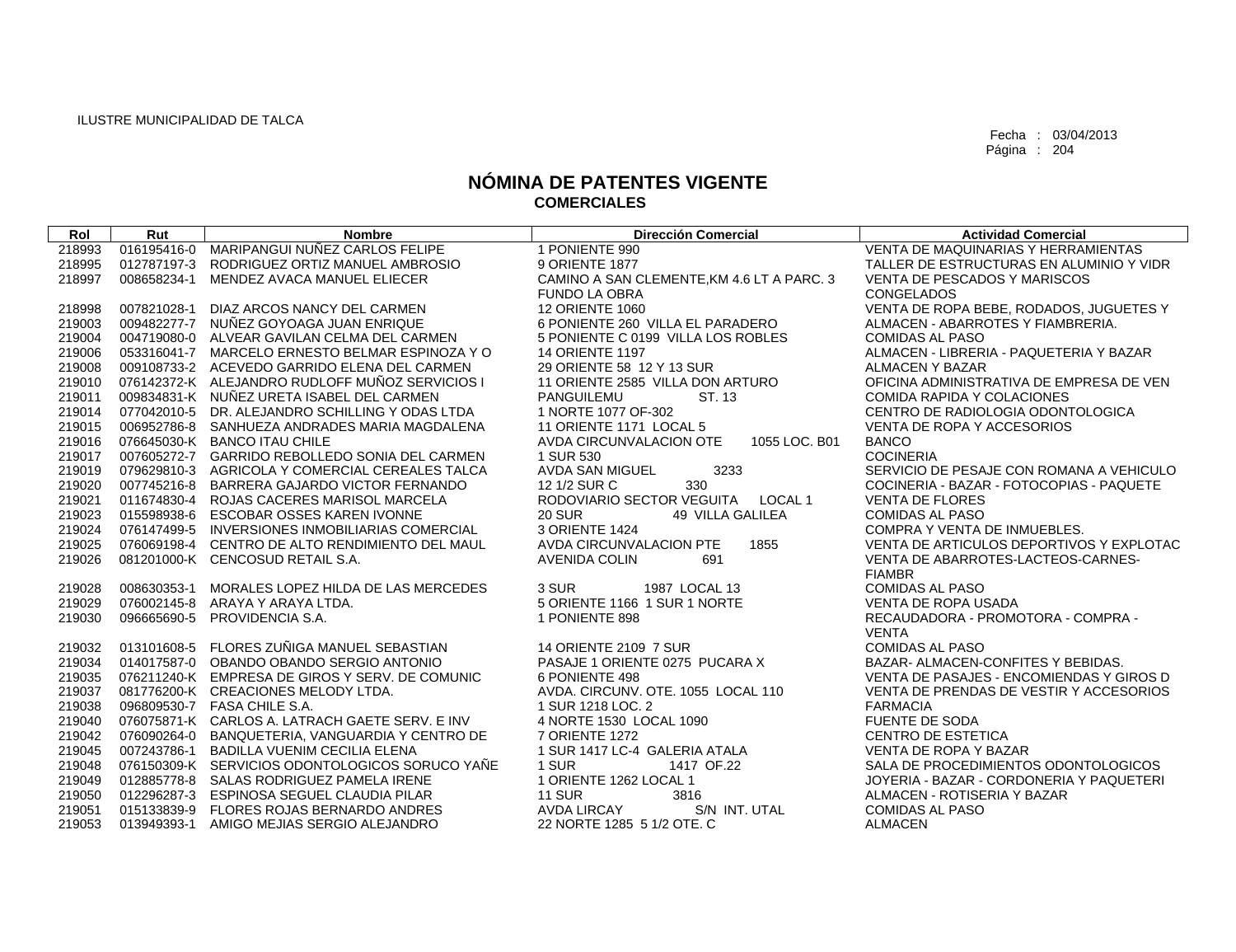| Rol    | Rut | <b>Nombre</b>                                   | <b>Dirección Comercial</b>                 | <b>Actividad Comercial</b>                 |
|--------|-----|-------------------------------------------------|--------------------------------------------|--------------------------------------------|
| 218993 |     | 016195416-0 MARIPANGUI NUÑEZ CARLOS FELIPE      | 1 PONIENTE 990                             | <b>VENTA DE MAQUINARIAS Y HERRAMIENTAS</b> |
| 218995 |     | 012787197-3 RODRIGUEZ ORTIZ MANUEL AMBROSIO     | 9 ORIENTE 1877                             | TALLER DE ESTRUCTURAS EN ALUMINIO Y VIDR   |
| 218997 |     | 008658234-1 MENDEZ AVACA MANUEL ELIECER         | CAMINO A SAN CLEMENTE, KM 4.6 LT A PARC. 3 | VENTA DE PESCADOS Y MARISCOS               |
|        |     |                                                 | <b>FUNDO LA OBRA</b>                       | CONGELADOS                                 |
| 218998 |     | 007821028-1 DIAZ ARCOS NANCY DEL CARMEN         | <b>12 ORIENTE 1060</b>                     | VENTA DE ROPA BEBE, RODADOS, JUGUETES Y    |
| 219003 |     | 009482277-7 NUÑEZ GOYOAGA JUAN ENRIQUE          | 6 PONIENTE 260 VILLA EL PARADERO           | ALMACEN - ABARROTES Y FIAMBRERIA.          |
| 219004 |     | 004719080-0 ALVEAR GAVILAN CELMA DEL CARMEN     | 5 PONIENTE C 0199 VILLA LOS ROBLES         | <b>COMIDAS AL PASO</b>                     |
| 219006 |     | 053316041-7 MARCELO ERNESTO BELMAR ESPINOZA Y O | <b>14 ORIENTE 1197</b>                     | ALMACEN - LIBRERIA - PAQUETERIA Y BAZAR    |
| 219008 |     | 009108733-2 ACEVEDO GARRIDO ELENA DEL CARMEN    | 29 ORIENTE 58 12 Y 13 SUR                  | ALMACEN Y BAZAR                            |
| 219010 |     | 076142372-K ALEJANDRO RUDLOFF MUÑOZ SERVICIOS I | 11 ORIENTE 2585 VILLA DON ARTURO           | OFICINA ADMINISTRATIVA DE EMPRESA DE VEN   |
| 219011 |     | 009834831-K NUÑEZ URETA ISABEL DEL CARMEN       | ST. 13<br>PANGUILEMU                       | <b>COMIDA RAPIDA Y COLACIONES</b>          |
| 219014 |     | 077042010-5 DR. ALEJANDRO SCHILLING Y ODAS LTDA | 1 NORTE 1077 OF-302                        | CENTRO DE RADIOLOGIA ODONTOLOGICA          |
| 219015 |     | 006952786-8 SANHUEZA ANDRADES MARIA MAGDALENA   | 11 ORIENTE 1171 LOCAL 5                    | VENTA DE ROPA Y ACCESORIOS                 |
| 219016 |     | 076645030-K BANCO ITAU CHILE                    | AVDA CIRCUNVALACION OTE<br>1055 LOC, B01   | <b>BANCO</b>                               |
| 219017 |     | 007605272-7 GARRIDO REBOLLEDO SONIA DEL CARMEN  | 1 SUR 530                                  | <b>COCINERIA</b>                           |
| 219019 |     | 079629810-3 AGRICOLA Y COMERCIAL CEREALES TALCA | <b>AVDA SAN MIGUEL</b><br>3233             | SERVICIO DE PESAJE CON ROMANA A VEHICULO   |
| 219020 |     | 007745216-8 BARRERA GAJARDO VICTOR FERNANDO     | 330<br>12 1/2 SUR C                        | COCINERIA - BAZAR - FOTOCOPIAS - PAQUETE   |
| 219021 |     | 011674830-4 ROJAS CACERES MARISOL MARCELA       | RODOVIARIO SECTOR VEGUITA LOCAL 1          | <b>VENTA DE FLORES</b>                     |
| 219023 |     | 015598938-6 ESCOBAR OSSES KAREN IVONNE          | <b>20 SUR</b><br>49 VILLA GALILEA          | <b>COMIDAS AL PASO</b>                     |
| 219024 |     | 076147499-5 INVERSIONES INMOBILIARIAS COMERCIAL | 3 ORIENTE 1424                             | COMPRA Y VENTA DE INMUEBLES.               |
| 219025 |     | 076069198-4 CENTRO DE ALTO RENDIMIENTO DEL MAUL | AVDA CIRCUNVALACION PTE<br>1855            | VENTA DE ARTICULOS DEPORTIVOS Y EXPLOTAC   |
| 219026 |     | 081201000-K CENCOSUD RETAIL S.A.                | <b>AVENIDA COLIN</b><br>691                | VENTA DE ABARROTES-LACTEOS-CARNES-         |
|        |     |                                                 |                                            | <b>FIAMBR</b>                              |
| 219028 |     | 008630353-1 MORALES LOPEZ HILDA DE LAS MERCEDES | 3 SUR<br>1987 LOCAL 13                     | <b>COMIDAS AL PASO</b>                     |
| 219029 |     | 076002145-8 ARAYA Y ARAYA LTDA.                 | 5 ORIENTE 1166 1 SUR 1 NORTE               | <b>VENTA DE ROPA USADA</b>                 |
| 219030 |     | 096665690-5 PROVIDENCIA S.A.                    | 1 PONIENTE 898                             | RECAUDADORA - PROMOTORA - COMPRA -         |
|        |     |                                                 |                                            | <b>VENTA</b>                               |
| 219032 |     | 013101608-5 FLORES ZUÑIGA MANUEL SEBASTIAN      | 14 ORIENTE 2109 7 SUR                      | <b>COMIDAS AL PASO</b>                     |
| 219034 |     | 014017587-0 OBANDO OBANDO SERGIO ANTONIO        | PASAJE 1 ORIENTE 0275 PUCARA X             | BAZAR- ALMACEN-CONFITES Y BEBIDAS.         |
| 219035 |     | 076211240-K EMPRESA DE GIROS Y SERV. DE COMUNIC | 6 PONIENTE 498                             | VENTA DE PASAJES - ENCOMIENDAS Y GIROS D   |
| 219037 |     | 081776200-K CREACIONES MELODY LTDA.             | AVDA. CIRCUNV. OTE. 1055 LOCAL 110         | VENTA DE PRENDAS DE VESTIR Y ACCESORIOS    |
| 219038 |     | 096809530-7 FASA CHILE S.A.                     | 1 SUR 1218 LOC. 2                          | <b>FARMACIA</b>                            |
| 219040 |     | 076075871-K CARLOS A. LATRACH GAETE SERV. E INV | 4 NORTE 1530 LOCAL 1090                    | <b>FUENTE DE SODA</b>                      |
| 219042 |     | 076090264-0 BANQUETERIA, VANGUARDIA Y CENTRO DE | 7 ORIENTE 1272                             | <b>CENTRO DE ESTETICA</b>                  |
| 219045 |     | 007243786-1 BADILLA VUENIM CECILIA ELENA        | 1 SUR 1417 LC-4 GALERIA ATALA              | <b>VENTA DE ROPA Y BAZAR</b>               |
| 219048 |     | 076150309-K SERVICIOS ODONTOLOGICOS SORUCO YAÑE | 1 SUR<br>1417 OF.22                        | SALA DE PROCEDIMIENTOS ODONTOLOGICOS       |
| 219049 |     | 012885778-8 SALAS RODRIGUEZ PAMELA IRENE        | 1 ORIENTE 1262 LOCAL 1                     | JOYERIA - BAZAR - CORDONERIA Y PAQUETERI   |
| 219050 |     | 012296287-3 ESPINOSA SEGUEL CLAUDIA PILAR       | <b>11 SUR</b><br>3816                      | ALMACEN - ROTISERIA Y BAZAR                |
| 219051 |     | 015133839-9 FLORES ROJAS BERNARDO ANDRES        | S/N INT. UTAL<br>AVDA LIRCAY               | <b>COMIDAS AL PASO</b>                     |
| 219053 |     | 013949393-1 AMIGO MEJIAS SERGIO ALEJANDRO       | 22 NORTE 1285 5 1/2 OTE, C                 | <b>ALMACEN</b>                             |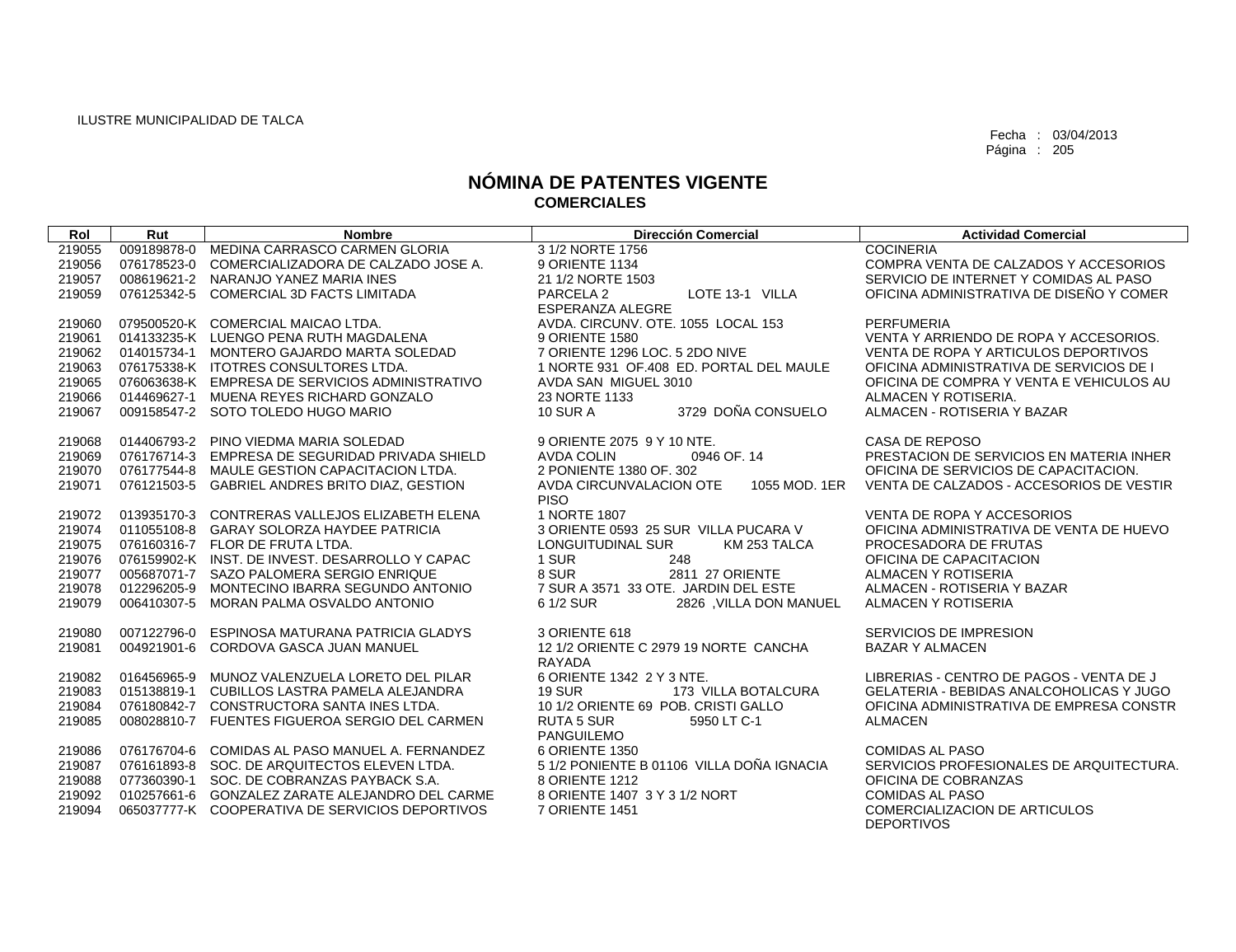| 219055<br>009189878-0<br>MEDINA CARRASCO CARMEN GLORIA<br>3 1/2 NORTE 1756<br><b>COCINERIA</b><br>219056<br>COMERCIALIZADORA DE CALZADO JOSE A.<br>9 ORIENTE 1134<br>COMPRA VENTA DE CALZADOS Y ACCESORIOS<br>076178523-0<br>219057<br>008619621-2 NARANJO YANEZ MARIA INES<br>21 1/2 NORTE 1503<br>SERVICIO DE INTERNET Y COMIDAS AL PASO<br>PARCELA 2<br>LOTE 13-1 VILLA<br>OFICINA ADMINISTRATIVA DE DISEÑO Y COMER<br>219059<br>076125342-5<br>COMERCIAL 3D FACTS LIMITADA<br><b>ESPERANZA ALEGRE</b><br>AVDA, CIRCUNV, OTE, 1055 LOCAL 153<br>079500520-K COMERCIAL MAICAO LTDA.<br>219060<br>PERFUMERIA<br>VENTA Y ARRIENDO DE ROPA Y ACCESORIOS.<br>219061<br>014133235-K LUENGO PENA RUTH MAGDALENA<br>9 ORIENTE 1580<br>7 ORIENTE 1296 LOC, 5 2DO NIVE<br>219062<br>014015734-1 MONTERO GAJARDO MARTA SOLEDAD<br>VENTA DE ROPA Y ARTICULOS DEPORTIVOS<br>219063<br>076175338-K ITOTRES CONSULTORES LTDA.<br>1 NORTE 931 OF.408 ED. PORTAL DEL MAULE<br>OFICINA ADMINISTRATIVA DE SERVICIOS DE I<br>076063638-K EMPRESA DE SERVICIOS ADMINISTRATIVO<br>219065<br>AVDA SAN MIGUEL 3010<br>OFICINA DE COMPRA Y VENTA E VEHICULOS AU<br>219066<br>014469627-1 MUENA REYES RICHARD GONZALO<br>23 NORTE 1133<br>ALMACEN Y ROTISERIA.<br>3729 DOÑA CONSUELO<br>219067<br>009158547-2 SOTO TOLEDO HUGO MARIO<br><b>10 SUR A</b><br>ALMACEN - ROTISERIA Y BAZAR<br>219068<br>014406793-2 PINO VIEDMA MARIA SOLEDAD<br>9 ORIENTE 2075 9 Y 10 NTE.<br>CASA DE REPOSO<br>PRESTACION DE SERVICIOS EN MATERIA INHER<br>076176714-3 EMPRESA DE SEGURIDAD PRIVADA SHIELD<br><b>AVDA COLIN</b><br>0946 OF, 14<br>219069<br>076177544-8 MAULE GESTION CAPACITACION LTDA.<br>2 PONIENTE 1380 OF, 302<br>OFICINA DE SERVICIOS DE CAPACITACION.<br>219070<br>219071<br>076121503-5 GABRIEL ANDRES BRITO DIAZ, GESTION<br>AVDA CIRCUNVALACION OTE<br>VENTA DE CALZADOS - ACCESORIOS DE VESTIR<br>1055 MOD, 1ER<br><b>PISO</b><br>1 NORTE 1807<br>013935170-3 CONTRERAS VALLEJOS ELIZABETH ELENA<br>VENTA DE ROPA Y ACCESORIOS<br>219072<br>219074<br>011055108-8 GARAY SOLORZA HAYDEE PATRICIA<br>3 ORIENTE 0593 25 SUR VILLA PUCARA V<br>OFICINA ADMINISTRATIVA DE VENTA DE HUEVO<br>219075<br>076160316-7 FLOR DE FRUTA LTDA.<br>LONGUITUDINAL SUR<br>KM 253 TALCA<br>PROCESADORA DE FRUTAS<br>076159902-K INST. DE INVEST. DESARROLLO Y CAPAC<br>219076<br>1 SUR<br>OFICINA DE CAPACITACION<br>248<br>8 SUR<br>219077<br>005687071-7 SAZO PALOMERA SERGIO ENRIQUE<br>2811 27 ORIENTE<br>ALMACEN Y ROTISERIA<br>7 SUR A 3571 33 OTE. JARDIN DEL ESTE<br>219078<br>012296205-9<br>MONTECINO IBARRA SEGUNDO ANTONIO<br>ALMACEN - ROTISERIA Y BAZAR<br>219079<br>006410307-5<br>MORAN PALMA OSVALDO ANTONIO<br>6 1/2 SUR<br>2826 ,VILLA DON MANUEL<br>ALMACEN Y ROTISERIA<br>007122796-0<br>ESPINOSA MATURANA PATRICIA GLADYS<br>3 ORIENTE 618<br>SERVICIOS DE IMPRESION<br>219080<br>12 1/2 ORIENTE C 2979 19 NORTE CANCHA<br>219081<br>004921901-6<br>CORDOVA GASCA JUAN MANUEL<br><b>BAZAR Y ALMACEN</b><br>RAYADA<br>6 ORIENTE 1342 2 Y 3 NTE.<br>LIBRERIAS - CENTRO DE PAGOS - VENTA DE J<br>219082<br>016456965-9 MUNOZ VALENZUELA LORETO DEL PILAR<br>015138819-1 CUBILLOS LASTRA PAMELA ALEJANDRA<br><b>19 SUR</b><br>173 VILLA BOTALCURA<br>GELATERIA - BEBIDAS ANALCOHOLICAS Y JUGO<br>219083<br>10 1/2 ORIENTE 69 POB, CRISTI GALLO<br>219084<br>076180842-7 CONSTRUCTORA SANTA INES LTDA.<br>OFICINA ADMINISTRATIVA DE EMPRESA CONSTR<br>219085<br>008028810-7 FUENTES FIGUEROA SERGIO DEL CARMEN<br><b>RUTA 5 SUR</b><br>5950 LT C-1<br><b>ALMACEN</b><br>PANGUILEMO<br>076176704-6 COMIDAS AL PASO MANUEL A. FERNANDEZ<br>6 ORIENTE 1350<br><b>COMIDAS AL PASO</b><br>219086<br>5 1/2 PONIENTE B 01106 VILLA DOÑA IGNACIA<br>SERVICIOS PROFESIONALES DE ARQUITECTURA.<br>219087<br>076161893-8 SOC. DE ARQUITECTOS ELEVEN LTDA.<br>077360390-1 SOC. DE COBRANZAS PAYBACK S.A.<br>8 ORIENTE 1212<br>219088<br>OFICINA DE COBRANZAS<br>010257661-6 GONZALEZ ZARATE ALEJANDRO DEL CARME<br>8 ORIENTE 1407 3 Y 3 1/2 NORT<br><b>COMIDAS AL PASO</b><br>219092 | Rol    | Rut | <b>Nombre</b> | <b>Dirección Comercial</b> | <b>Actividad Comercial</b>           |
|-----------------------------------------------------------------------------------------------------------------------------------------------------------------------------------------------------------------------------------------------------------------------------------------------------------------------------------------------------------------------------------------------------------------------------------------------------------------------------------------------------------------------------------------------------------------------------------------------------------------------------------------------------------------------------------------------------------------------------------------------------------------------------------------------------------------------------------------------------------------------------------------------------------------------------------------------------------------------------------------------------------------------------------------------------------------------------------------------------------------------------------------------------------------------------------------------------------------------------------------------------------------------------------------------------------------------------------------------------------------------------------------------------------------------------------------------------------------------------------------------------------------------------------------------------------------------------------------------------------------------------------------------------------------------------------------------------------------------------------------------------------------------------------------------------------------------------------------------------------------------------------------------------------------------------------------------------------------------------------------------------------------------------------------------------------------------------------------------------------------------------------------------------------------------------------------------------------------------------------------------------------------------------------------------------------------------------------------------------------------------------------------------------------------------------------------------------------------------------------------------------------------------------------------------------------------------------------------------------------------------------------------------------------------------------------------------------------------------------------------------------------------------------------------------------------------------------------------------------------------------------------------------------------------------------------------------------------------------------------------------------------------------------------------------------------------------------------------------------------------------------------------------------------------------------------------------------------------------------------------------------------------------------------------------------------------------------------------------------------------------------------------------------------------------------------------------------------------------------------------------------------------------------------------------------------------------------------------------------------------------------------------------------------------------------------------------------------------------------------------------------------------------------------------------------------------------------------------------------------------------------------------------------------------------------------------------------------------------------------------------------------------------------------------------------------|--------|-----|---------------|----------------------------|--------------------------------------|
|                                                                                                                                                                                                                                                                                                                                                                                                                                                                                                                                                                                                                                                                                                                                                                                                                                                                                                                                                                                                                                                                                                                                                                                                                                                                                                                                                                                                                                                                                                                                                                                                                                                                                                                                                                                                                                                                                                                                                                                                                                                                                                                                                                                                                                                                                                                                                                                                                                                                                                                                                                                                                                                                                                                                                                                                                                                                                                                                                                                                                                                                                                                                                                                                                                                                                                                                                                                                                                                                                                                                                                                                                                                                                                                                                                                                                                                                                                                                                                                                                                                           |        |     |               |                            |                                      |
|                                                                                                                                                                                                                                                                                                                                                                                                                                                                                                                                                                                                                                                                                                                                                                                                                                                                                                                                                                                                                                                                                                                                                                                                                                                                                                                                                                                                                                                                                                                                                                                                                                                                                                                                                                                                                                                                                                                                                                                                                                                                                                                                                                                                                                                                                                                                                                                                                                                                                                                                                                                                                                                                                                                                                                                                                                                                                                                                                                                                                                                                                                                                                                                                                                                                                                                                                                                                                                                                                                                                                                                                                                                                                                                                                                                                                                                                                                                                                                                                                                                           |        |     |               |                            |                                      |
|                                                                                                                                                                                                                                                                                                                                                                                                                                                                                                                                                                                                                                                                                                                                                                                                                                                                                                                                                                                                                                                                                                                                                                                                                                                                                                                                                                                                                                                                                                                                                                                                                                                                                                                                                                                                                                                                                                                                                                                                                                                                                                                                                                                                                                                                                                                                                                                                                                                                                                                                                                                                                                                                                                                                                                                                                                                                                                                                                                                                                                                                                                                                                                                                                                                                                                                                                                                                                                                                                                                                                                                                                                                                                                                                                                                                                                                                                                                                                                                                                                                           |        |     |               |                            |                                      |
|                                                                                                                                                                                                                                                                                                                                                                                                                                                                                                                                                                                                                                                                                                                                                                                                                                                                                                                                                                                                                                                                                                                                                                                                                                                                                                                                                                                                                                                                                                                                                                                                                                                                                                                                                                                                                                                                                                                                                                                                                                                                                                                                                                                                                                                                                                                                                                                                                                                                                                                                                                                                                                                                                                                                                                                                                                                                                                                                                                                                                                                                                                                                                                                                                                                                                                                                                                                                                                                                                                                                                                                                                                                                                                                                                                                                                                                                                                                                                                                                                                                           |        |     |               |                            |                                      |
|                                                                                                                                                                                                                                                                                                                                                                                                                                                                                                                                                                                                                                                                                                                                                                                                                                                                                                                                                                                                                                                                                                                                                                                                                                                                                                                                                                                                                                                                                                                                                                                                                                                                                                                                                                                                                                                                                                                                                                                                                                                                                                                                                                                                                                                                                                                                                                                                                                                                                                                                                                                                                                                                                                                                                                                                                                                                                                                                                                                                                                                                                                                                                                                                                                                                                                                                                                                                                                                                                                                                                                                                                                                                                                                                                                                                                                                                                                                                                                                                                                                           |        |     |               |                            |                                      |
|                                                                                                                                                                                                                                                                                                                                                                                                                                                                                                                                                                                                                                                                                                                                                                                                                                                                                                                                                                                                                                                                                                                                                                                                                                                                                                                                                                                                                                                                                                                                                                                                                                                                                                                                                                                                                                                                                                                                                                                                                                                                                                                                                                                                                                                                                                                                                                                                                                                                                                                                                                                                                                                                                                                                                                                                                                                                                                                                                                                                                                                                                                                                                                                                                                                                                                                                                                                                                                                                                                                                                                                                                                                                                                                                                                                                                                                                                                                                                                                                                                                           |        |     |               |                            |                                      |
|                                                                                                                                                                                                                                                                                                                                                                                                                                                                                                                                                                                                                                                                                                                                                                                                                                                                                                                                                                                                                                                                                                                                                                                                                                                                                                                                                                                                                                                                                                                                                                                                                                                                                                                                                                                                                                                                                                                                                                                                                                                                                                                                                                                                                                                                                                                                                                                                                                                                                                                                                                                                                                                                                                                                                                                                                                                                                                                                                                                                                                                                                                                                                                                                                                                                                                                                                                                                                                                                                                                                                                                                                                                                                                                                                                                                                                                                                                                                                                                                                                                           |        |     |               |                            |                                      |
|                                                                                                                                                                                                                                                                                                                                                                                                                                                                                                                                                                                                                                                                                                                                                                                                                                                                                                                                                                                                                                                                                                                                                                                                                                                                                                                                                                                                                                                                                                                                                                                                                                                                                                                                                                                                                                                                                                                                                                                                                                                                                                                                                                                                                                                                                                                                                                                                                                                                                                                                                                                                                                                                                                                                                                                                                                                                                                                                                                                                                                                                                                                                                                                                                                                                                                                                                                                                                                                                                                                                                                                                                                                                                                                                                                                                                                                                                                                                                                                                                                                           |        |     |               |                            |                                      |
|                                                                                                                                                                                                                                                                                                                                                                                                                                                                                                                                                                                                                                                                                                                                                                                                                                                                                                                                                                                                                                                                                                                                                                                                                                                                                                                                                                                                                                                                                                                                                                                                                                                                                                                                                                                                                                                                                                                                                                                                                                                                                                                                                                                                                                                                                                                                                                                                                                                                                                                                                                                                                                                                                                                                                                                                                                                                                                                                                                                                                                                                                                                                                                                                                                                                                                                                                                                                                                                                                                                                                                                                                                                                                                                                                                                                                                                                                                                                                                                                                                                           |        |     |               |                            |                                      |
|                                                                                                                                                                                                                                                                                                                                                                                                                                                                                                                                                                                                                                                                                                                                                                                                                                                                                                                                                                                                                                                                                                                                                                                                                                                                                                                                                                                                                                                                                                                                                                                                                                                                                                                                                                                                                                                                                                                                                                                                                                                                                                                                                                                                                                                                                                                                                                                                                                                                                                                                                                                                                                                                                                                                                                                                                                                                                                                                                                                                                                                                                                                                                                                                                                                                                                                                                                                                                                                                                                                                                                                                                                                                                                                                                                                                                                                                                                                                                                                                                                                           |        |     |               |                            |                                      |
|                                                                                                                                                                                                                                                                                                                                                                                                                                                                                                                                                                                                                                                                                                                                                                                                                                                                                                                                                                                                                                                                                                                                                                                                                                                                                                                                                                                                                                                                                                                                                                                                                                                                                                                                                                                                                                                                                                                                                                                                                                                                                                                                                                                                                                                                                                                                                                                                                                                                                                                                                                                                                                                                                                                                                                                                                                                                                                                                                                                                                                                                                                                                                                                                                                                                                                                                                                                                                                                                                                                                                                                                                                                                                                                                                                                                                                                                                                                                                                                                                                                           |        |     |               |                            |                                      |
|                                                                                                                                                                                                                                                                                                                                                                                                                                                                                                                                                                                                                                                                                                                                                                                                                                                                                                                                                                                                                                                                                                                                                                                                                                                                                                                                                                                                                                                                                                                                                                                                                                                                                                                                                                                                                                                                                                                                                                                                                                                                                                                                                                                                                                                                                                                                                                                                                                                                                                                                                                                                                                                                                                                                                                                                                                                                                                                                                                                                                                                                                                                                                                                                                                                                                                                                                                                                                                                                                                                                                                                                                                                                                                                                                                                                                                                                                                                                                                                                                                                           |        |     |               |                            |                                      |
|                                                                                                                                                                                                                                                                                                                                                                                                                                                                                                                                                                                                                                                                                                                                                                                                                                                                                                                                                                                                                                                                                                                                                                                                                                                                                                                                                                                                                                                                                                                                                                                                                                                                                                                                                                                                                                                                                                                                                                                                                                                                                                                                                                                                                                                                                                                                                                                                                                                                                                                                                                                                                                                                                                                                                                                                                                                                                                                                                                                                                                                                                                                                                                                                                                                                                                                                                                                                                                                                                                                                                                                                                                                                                                                                                                                                                                                                                                                                                                                                                                                           |        |     |               |                            |                                      |
|                                                                                                                                                                                                                                                                                                                                                                                                                                                                                                                                                                                                                                                                                                                                                                                                                                                                                                                                                                                                                                                                                                                                                                                                                                                                                                                                                                                                                                                                                                                                                                                                                                                                                                                                                                                                                                                                                                                                                                                                                                                                                                                                                                                                                                                                                                                                                                                                                                                                                                                                                                                                                                                                                                                                                                                                                                                                                                                                                                                                                                                                                                                                                                                                                                                                                                                                                                                                                                                                                                                                                                                                                                                                                                                                                                                                                                                                                                                                                                                                                                                           |        |     |               |                            |                                      |
|                                                                                                                                                                                                                                                                                                                                                                                                                                                                                                                                                                                                                                                                                                                                                                                                                                                                                                                                                                                                                                                                                                                                                                                                                                                                                                                                                                                                                                                                                                                                                                                                                                                                                                                                                                                                                                                                                                                                                                                                                                                                                                                                                                                                                                                                                                                                                                                                                                                                                                                                                                                                                                                                                                                                                                                                                                                                                                                                                                                                                                                                                                                                                                                                                                                                                                                                                                                                                                                                                                                                                                                                                                                                                                                                                                                                                                                                                                                                                                                                                                                           |        |     |               |                            |                                      |
|                                                                                                                                                                                                                                                                                                                                                                                                                                                                                                                                                                                                                                                                                                                                                                                                                                                                                                                                                                                                                                                                                                                                                                                                                                                                                                                                                                                                                                                                                                                                                                                                                                                                                                                                                                                                                                                                                                                                                                                                                                                                                                                                                                                                                                                                                                                                                                                                                                                                                                                                                                                                                                                                                                                                                                                                                                                                                                                                                                                                                                                                                                                                                                                                                                                                                                                                                                                                                                                                                                                                                                                                                                                                                                                                                                                                                                                                                                                                                                                                                                                           |        |     |               |                            |                                      |
|                                                                                                                                                                                                                                                                                                                                                                                                                                                                                                                                                                                                                                                                                                                                                                                                                                                                                                                                                                                                                                                                                                                                                                                                                                                                                                                                                                                                                                                                                                                                                                                                                                                                                                                                                                                                                                                                                                                                                                                                                                                                                                                                                                                                                                                                                                                                                                                                                                                                                                                                                                                                                                                                                                                                                                                                                                                                                                                                                                                                                                                                                                                                                                                                                                                                                                                                                                                                                                                                                                                                                                                                                                                                                                                                                                                                                                                                                                                                                                                                                                                           |        |     |               |                            |                                      |
|                                                                                                                                                                                                                                                                                                                                                                                                                                                                                                                                                                                                                                                                                                                                                                                                                                                                                                                                                                                                                                                                                                                                                                                                                                                                                                                                                                                                                                                                                                                                                                                                                                                                                                                                                                                                                                                                                                                                                                                                                                                                                                                                                                                                                                                                                                                                                                                                                                                                                                                                                                                                                                                                                                                                                                                                                                                                                                                                                                                                                                                                                                                                                                                                                                                                                                                                                                                                                                                                                                                                                                                                                                                                                                                                                                                                                                                                                                                                                                                                                                                           |        |     |               |                            |                                      |
|                                                                                                                                                                                                                                                                                                                                                                                                                                                                                                                                                                                                                                                                                                                                                                                                                                                                                                                                                                                                                                                                                                                                                                                                                                                                                                                                                                                                                                                                                                                                                                                                                                                                                                                                                                                                                                                                                                                                                                                                                                                                                                                                                                                                                                                                                                                                                                                                                                                                                                                                                                                                                                                                                                                                                                                                                                                                                                                                                                                                                                                                                                                                                                                                                                                                                                                                                                                                                                                                                                                                                                                                                                                                                                                                                                                                                                                                                                                                                                                                                                                           |        |     |               |                            |                                      |
|                                                                                                                                                                                                                                                                                                                                                                                                                                                                                                                                                                                                                                                                                                                                                                                                                                                                                                                                                                                                                                                                                                                                                                                                                                                                                                                                                                                                                                                                                                                                                                                                                                                                                                                                                                                                                                                                                                                                                                                                                                                                                                                                                                                                                                                                                                                                                                                                                                                                                                                                                                                                                                                                                                                                                                                                                                                                                                                                                                                                                                                                                                                                                                                                                                                                                                                                                                                                                                                                                                                                                                                                                                                                                                                                                                                                                                                                                                                                                                                                                                                           |        |     |               |                            |                                      |
|                                                                                                                                                                                                                                                                                                                                                                                                                                                                                                                                                                                                                                                                                                                                                                                                                                                                                                                                                                                                                                                                                                                                                                                                                                                                                                                                                                                                                                                                                                                                                                                                                                                                                                                                                                                                                                                                                                                                                                                                                                                                                                                                                                                                                                                                                                                                                                                                                                                                                                                                                                                                                                                                                                                                                                                                                                                                                                                                                                                                                                                                                                                                                                                                                                                                                                                                                                                                                                                                                                                                                                                                                                                                                                                                                                                                                                                                                                                                                                                                                                                           |        |     |               |                            |                                      |
|                                                                                                                                                                                                                                                                                                                                                                                                                                                                                                                                                                                                                                                                                                                                                                                                                                                                                                                                                                                                                                                                                                                                                                                                                                                                                                                                                                                                                                                                                                                                                                                                                                                                                                                                                                                                                                                                                                                                                                                                                                                                                                                                                                                                                                                                                                                                                                                                                                                                                                                                                                                                                                                                                                                                                                                                                                                                                                                                                                                                                                                                                                                                                                                                                                                                                                                                                                                                                                                                                                                                                                                                                                                                                                                                                                                                                                                                                                                                                                                                                                                           |        |     |               |                            |                                      |
|                                                                                                                                                                                                                                                                                                                                                                                                                                                                                                                                                                                                                                                                                                                                                                                                                                                                                                                                                                                                                                                                                                                                                                                                                                                                                                                                                                                                                                                                                                                                                                                                                                                                                                                                                                                                                                                                                                                                                                                                                                                                                                                                                                                                                                                                                                                                                                                                                                                                                                                                                                                                                                                                                                                                                                                                                                                                                                                                                                                                                                                                                                                                                                                                                                                                                                                                                                                                                                                                                                                                                                                                                                                                                                                                                                                                                                                                                                                                                                                                                                                           |        |     |               |                            |                                      |
|                                                                                                                                                                                                                                                                                                                                                                                                                                                                                                                                                                                                                                                                                                                                                                                                                                                                                                                                                                                                                                                                                                                                                                                                                                                                                                                                                                                                                                                                                                                                                                                                                                                                                                                                                                                                                                                                                                                                                                                                                                                                                                                                                                                                                                                                                                                                                                                                                                                                                                                                                                                                                                                                                                                                                                                                                                                                                                                                                                                                                                                                                                                                                                                                                                                                                                                                                                                                                                                                                                                                                                                                                                                                                                                                                                                                                                                                                                                                                                                                                                                           |        |     |               |                            |                                      |
|                                                                                                                                                                                                                                                                                                                                                                                                                                                                                                                                                                                                                                                                                                                                                                                                                                                                                                                                                                                                                                                                                                                                                                                                                                                                                                                                                                                                                                                                                                                                                                                                                                                                                                                                                                                                                                                                                                                                                                                                                                                                                                                                                                                                                                                                                                                                                                                                                                                                                                                                                                                                                                                                                                                                                                                                                                                                                                                                                                                                                                                                                                                                                                                                                                                                                                                                                                                                                                                                                                                                                                                                                                                                                                                                                                                                                                                                                                                                                                                                                                                           |        |     |               |                            |                                      |
|                                                                                                                                                                                                                                                                                                                                                                                                                                                                                                                                                                                                                                                                                                                                                                                                                                                                                                                                                                                                                                                                                                                                                                                                                                                                                                                                                                                                                                                                                                                                                                                                                                                                                                                                                                                                                                                                                                                                                                                                                                                                                                                                                                                                                                                                                                                                                                                                                                                                                                                                                                                                                                                                                                                                                                                                                                                                                                                                                                                                                                                                                                                                                                                                                                                                                                                                                                                                                                                                                                                                                                                                                                                                                                                                                                                                                                                                                                                                                                                                                                                           |        |     |               |                            |                                      |
|                                                                                                                                                                                                                                                                                                                                                                                                                                                                                                                                                                                                                                                                                                                                                                                                                                                                                                                                                                                                                                                                                                                                                                                                                                                                                                                                                                                                                                                                                                                                                                                                                                                                                                                                                                                                                                                                                                                                                                                                                                                                                                                                                                                                                                                                                                                                                                                                                                                                                                                                                                                                                                                                                                                                                                                                                                                                                                                                                                                                                                                                                                                                                                                                                                                                                                                                                                                                                                                                                                                                                                                                                                                                                                                                                                                                                                                                                                                                                                                                                                                           |        |     |               |                            |                                      |
|                                                                                                                                                                                                                                                                                                                                                                                                                                                                                                                                                                                                                                                                                                                                                                                                                                                                                                                                                                                                                                                                                                                                                                                                                                                                                                                                                                                                                                                                                                                                                                                                                                                                                                                                                                                                                                                                                                                                                                                                                                                                                                                                                                                                                                                                                                                                                                                                                                                                                                                                                                                                                                                                                                                                                                                                                                                                                                                                                                                                                                                                                                                                                                                                                                                                                                                                                                                                                                                                                                                                                                                                                                                                                                                                                                                                                                                                                                                                                                                                                                                           |        |     |               |                            |                                      |
|                                                                                                                                                                                                                                                                                                                                                                                                                                                                                                                                                                                                                                                                                                                                                                                                                                                                                                                                                                                                                                                                                                                                                                                                                                                                                                                                                                                                                                                                                                                                                                                                                                                                                                                                                                                                                                                                                                                                                                                                                                                                                                                                                                                                                                                                                                                                                                                                                                                                                                                                                                                                                                                                                                                                                                                                                                                                                                                                                                                                                                                                                                                                                                                                                                                                                                                                                                                                                                                                                                                                                                                                                                                                                                                                                                                                                                                                                                                                                                                                                                                           |        |     |               |                            |                                      |
|                                                                                                                                                                                                                                                                                                                                                                                                                                                                                                                                                                                                                                                                                                                                                                                                                                                                                                                                                                                                                                                                                                                                                                                                                                                                                                                                                                                                                                                                                                                                                                                                                                                                                                                                                                                                                                                                                                                                                                                                                                                                                                                                                                                                                                                                                                                                                                                                                                                                                                                                                                                                                                                                                                                                                                                                                                                                                                                                                                                                                                                                                                                                                                                                                                                                                                                                                                                                                                                                                                                                                                                                                                                                                                                                                                                                                                                                                                                                                                                                                                                           |        |     |               |                            |                                      |
|                                                                                                                                                                                                                                                                                                                                                                                                                                                                                                                                                                                                                                                                                                                                                                                                                                                                                                                                                                                                                                                                                                                                                                                                                                                                                                                                                                                                                                                                                                                                                                                                                                                                                                                                                                                                                                                                                                                                                                                                                                                                                                                                                                                                                                                                                                                                                                                                                                                                                                                                                                                                                                                                                                                                                                                                                                                                                                                                                                                                                                                                                                                                                                                                                                                                                                                                                                                                                                                                                                                                                                                                                                                                                                                                                                                                                                                                                                                                                                                                                                                           |        |     |               |                            |                                      |
|                                                                                                                                                                                                                                                                                                                                                                                                                                                                                                                                                                                                                                                                                                                                                                                                                                                                                                                                                                                                                                                                                                                                                                                                                                                                                                                                                                                                                                                                                                                                                                                                                                                                                                                                                                                                                                                                                                                                                                                                                                                                                                                                                                                                                                                                                                                                                                                                                                                                                                                                                                                                                                                                                                                                                                                                                                                                                                                                                                                                                                                                                                                                                                                                                                                                                                                                                                                                                                                                                                                                                                                                                                                                                                                                                                                                                                                                                                                                                                                                                                                           |        |     |               |                            |                                      |
|                                                                                                                                                                                                                                                                                                                                                                                                                                                                                                                                                                                                                                                                                                                                                                                                                                                                                                                                                                                                                                                                                                                                                                                                                                                                                                                                                                                                                                                                                                                                                                                                                                                                                                                                                                                                                                                                                                                                                                                                                                                                                                                                                                                                                                                                                                                                                                                                                                                                                                                                                                                                                                                                                                                                                                                                                                                                                                                                                                                                                                                                                                                                                                                                                                                                                                                                                                                                                                                                                                                                                                                                                                                                                                                                                                                                                                                                                                                                                                                                                                                           |        |     |               |                            |                                      |
|                                                                                                                                                                                                                                                                                                                                                                                                                                                                                                                                                                                                                                                                                                                                                                                                                                                                                                                                                                                                                                                                                                                                                                                                                                                                                                                                                                                                                                                                                                                                                                                                                                                                                                                                                                                                                                                                                                                                                                                                                                                                                                                                                                                                                                                                                                                                                                                                                                                                                                                                                                                                                                                                                                                                                                                                                                                                                                                                                                                                                                                                                                                                                                                                                                                                                                                                                                                                                                                                                                                                                                                                                                                                                                                                                                                                                                                                                                                                                                                                                                                           |        |     |               |                            |                                      |
|                                                                                                                                                                                                                                                                                                                                                                                                                                                                                                                                                                                                                                                                                                                                                                                                                                                                                                                                                                                                                                                                                                                                                                                                                                                                                                                                                                                                                                                                                                                                                                                                                                                                                                                                                                                                                                                                                                                                                                                                                                                                                                                                                                                                                                                                                                                                                                                                                                                                                                                                                                                                                                                                                                                                                                                                                                                                                                                                                                                                                                                                                                                                                                                                                                                                                                                                                                                                                                                                                                                                                                                                                                                                                                                                                                                                                                                                                                                                                                                                                                                           |        |     |               |                            |                                      |
|                                                                                                                                                                                                                                                                                                                                                                                                                                                                                                                                                                                                                                                                                                                                                                                                                                                                                                                                                                                                                                                                                                                                                                                                                                                                                                                                                                                                                                                                                                                                                                                                                                                                                                                                                                                                                                                                                                                                                                                                                                                                                                                                                                                                                                                                                                                                                                                                                                                                                                                                                                                                                                                                                                                                                                                                                                                                                                                                                                                                                                                                                                                                                                                                                                                                                                                                                                                                                                                                                                                                                                                                                                                                                                                                                                                                                                                                                                                                                                                                                                                           |        |     |               |                            |                                      |
| 065037777-K COOPERATIVA DE SERVICIOS DEPORTIVOS<br><b>DEPORTIVOS</b>                                                                                                                                                                                                                                                                                                                                                                                                                                                                                                                                                                                                                                                                                                                                                                                                                                                                                                                                                                                                                                                                                                                                                                                                                                                                                                                                                                                                                                                                                                                                                                                                                                                                                                                                                                                                                                                                                                                                                                                                                                                                                                                                                                                                                                                                                                                                                                                                                                                                                                                                                                                                                                                                                                                                                                                                                                                                                                                                                                                                                                                                                                                                                                                                                                                                                                                                                                                                                                                                                                                                                                                                                                                                                                                                                                                                                                                                                                                                                                                      | 219094 |     |               | 7 ORIENTE 1451             | <b>COMERCIALIZACION DE ARTICULOS</b> |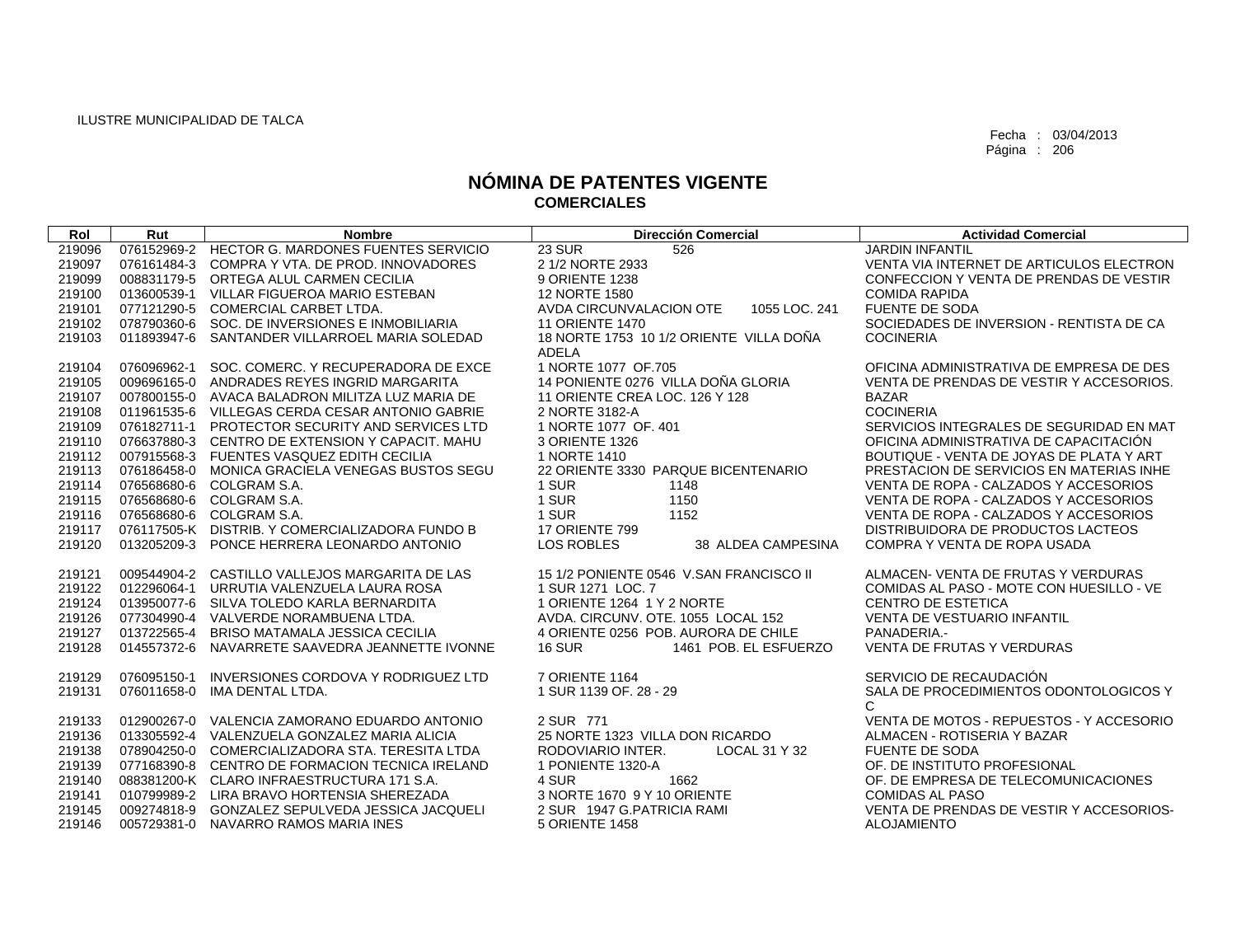| Rol    | Rut         | <b>Nombre</b>                                   | Dirección Comercial                      | <b>Actividad Comercial</b>               |
|--------|-------------|-------------------------------------------------|------------------------------------------|------------------------------------------|
| 219096 |             | 076152969-2 HECTOR G. MARDONES FUENTES SERVICIO | <b>23 SUR</b><br>526                     | <b>JARDIN INFANTIL</b>                   |
| 219097 |             | 076161484-3 COMPRA Y VTA, DE PROD, INNOVADORES  | 2 1/2 NORTE 2933                         | VENTA VIA INTERNET DE ARTICULOS ELECTRON |
| 219099 |             | 008831179-5 ORTEGA ALUL CARMEN CECILIA          | 9 ORIENTE 1238                           | CONFECCION Y VENTA DE PRENDAS DE VESTIR  |
| 219100 |             | 013600539-1 VILLAR FIGUEROA MARIO ESTEBAN       | 12 NORTE 1580                            | <b>COMIDA RAPIDA</b>                     |
| 219101 | 077121290-5 | COMERCIAL CARBET LTDA.                          | AVDA CIRCUNVALACION OTE<br>1055 LOC. 241 | <b>FUENTE DE SODA</b>                    |
| 219102 |             | 078790360-6 SOC. DE INVERSIONES E INMOBILIARIA  | <b>11 ORIENTE 1470</b>                   | SOCIEDADES DE INVERSION - RENTISTA DE CA |
| 219103 | 011893947-6 | SANTANDER VILLARROEL MARIA SOLEDAD              | 18 NORTE 1753 10 1/2 ORIENTE VILLA DOÑA  | <b>COCINERIA</b>                         |
|        |             |                                                 | <b>ADELA</b>                             |                                          |
| 219104 | 076096962-1 | SOC. COMERC. Y RECUPERADORA DE EXCE             | 1 NORTE 1077 OF.705                      | OFICINA ADMINISTRATIVA DE EMPRESA DE DES |
| 219105 |             | 009696165-0 ANDRADES REYES INGRID MARGARITA     | 14 PONIENTE 0276 VILLA DOÑA GLORIA       | VENTA DE PRENDAS DE VESTIR Y ACCESORIOS. |
| 219107 |             | 007800155-0 AVACA BALADRON MILITZA LUZ MARIA DE | 11 ORIENTE CREA LOC, 126 Y 128           | <b>BAZAR</b>                             |
| 219108 |             | 011961535-6 VILLEGAS CERDA CESAR ANTONIO GABRIE | 2 NORTE 3182-A                           | <b>COCINERIA</b>                         |
| 219109 |             | 076182711-1 PROTECTOR SECURITY AND SERVICES LTD | 1 NORTE 1077 OF, 401                     | SERVICIOS INTEGRALES DE SEGURIDAD EN MAT |
| 219110 |             | 076637880-3 CENTRO DE EXTENSION Y CAPACIT, MAHU | 3 ORIENTE 1326                           | OFICINA ADMINISTRATIVA DE CAPACITACIÓN   |
| 219112 |             | 007915568-3 FUENTES VASQUEZ EDITH CECILIA       | 1 NORTE 1410                             | BOUTIQUE - VENTA DE JOYAS DE PLATA Y ART |
| 219113 |             | 076186458-0 MONICA GRACIELA VENEGAS BUSTOS SEGU | 22 ORIENTE 3330 PARQUE BICENTENARIO      | PRESTACION DE SERVICIOS EN MATERIAS INHE |
| 219114 |             | 076568680-6 COLGRAM S.A.                        | 1 SUR<br>1148                            | VENTA DE ROPA - CALZADOS Y ACCESORIOS    |
| 219115 |             | 076568680-6 COLGRAM S.A.                        | 1 SUR<br>1150                            | VENTA DE ROPA - CALZADOS Y ACCESORIOS    |
| 219116 |             | 076568680-6 COLGRAM S.A.                        | 1152<br>1 SUR                            | VENTA DE ROPA - CALZADOS Y ACCESORIOS    |
| 219117 |             | 076117505-K DISTRIB, Y COMERCIALIZADORA FUNDO B | 17 ORIENTE 799                           | DISTRIBUIDORA DE PRODUCTOS LACTEOS       |
| 219120 |             | 013205209-3 PONCE HERRERA LEONARDO ANTONIO      | <b>LOS ROBLES</b><br>38 ALDEA CAMPESINA  | COMPRA Y VENTA DE ROPA USADA             |
| 219121 |             | 009544904-2 CASTILLO VALLEJOS MARGARITA DE LAS  | 15 1/2 PONIENTE 0546 V.SAN FRANCISCO II  | ALMACEN- VENTA DE FRUTAS Y VERDURAS      |
| 219122 |             | 012296064-1 URRUTIA VALENZUELA LAURA ROSA       | 1 SUR 1271 LOC. 7                        | COMIDAS AL PASO - MOTE CON HUESILLO - VE |
| 219124 |             | 013950077-6 SILVA TOLEDO KARLA BERNARDITA       | 1 ORIENTE 1264 1 Y 2 NORTE               | <b>CENTRO DE ESTETICA</b>                |
| 219126 |             | 077304990-4 VALVERDE NORAMBUENA LTDA.           | AVDA, CIRCUNV, OTE, 1055 LOCAL 152       | <b>VENTA DE VESTUARIO INFANTIL</b>       |
| 219127 |             | 013722565-4 BRISO MATAMALA JESSICA CECILIA      | 4 ORIENTE 0256 POB, AURORA DE CHILE      | PANADERIA.-                              |
| 219128 |             | 014557372-6 NAVARRETE SAAVEDRA JEANNETTE IVONNE | <b>16 SUR</b><br>1461 POB. EL ESFUERZO   | <b>VENTA DE FRUTAS Y VERDURAS</b>        |
| 219129 | 076095150-1 | INVERSIONES CORDOVA Y RODRIGUEZ LTD             | 7 ORIENTE 1164                           | SERVICIO DE RECAUDACIÓN                  |
| 219131 | 076011658-0 | IMA DENTAL LTDA.                                | 1 SUR 1139 OF, 28 - 29                   | SALA DE PROCEDIMIENTOS ODONTOLOGICOS Y   |
|        |             |                                                 |                                          | C                                        |
| 219133 |             | 012900267-0 VALENCIA ZAMORANO EDUARDO ANTONIO   | 2 SUR 771                                | VENTA DE MOTOS - REPUESTOS - Y ACCESORIO |
| 219136 |             | 013305592-4 VALENZUELA GONZALEZ MARIA ALICIA    | 25 NORTE 1323 VILLA DON RICARDO          | ALMACEN - ROTISERIA Y BAZAR              |
| 219138 |             | 078904250-0 COMERCIALIZADORA STA, TERESITA LTDA | RODOVIARIO INTER.<br>LOCAL 31 Y 32       | <b>FUENTE DE SODA</b>                    |
| 219139 |             | 077168390-8 CENTRO DE FORMACION TECNICA IRELAND | 1 PONIENTE 1320-A                        | OF. DE INSTITUTO PROFESIONAL             |
| 219140 |             | 088381200-K CLARO INFRAESTRUCTURA 171 S.A.      | 4 SUR<br>1662                            | OF. DE EMPRESA DE TELECOMUNICACIONES     |
| 219141 |             | 010799989-2 LIRA BRAVO HORTENSIA SHEREZADA      | 3 NORTE 1670 9 Y 10 ORIENTE              | <b>COMIDAS AL PASO</b>                   |
| 219145 |             | 009274818-9 GONZALEZ SEPULVEDA JESSICA JACQUELI | 2 SUR 1947 G.PATRICIA RAMI               | VENTA DE PRENDAS DE VESTIR Y ACCESORIOS- |
| 219146 |             | 005729381-0 NAVARRO RAMOS MARIA INES            | 5 ORIENTE 1458                           | <b>ALOJAMIENTO</b>                       |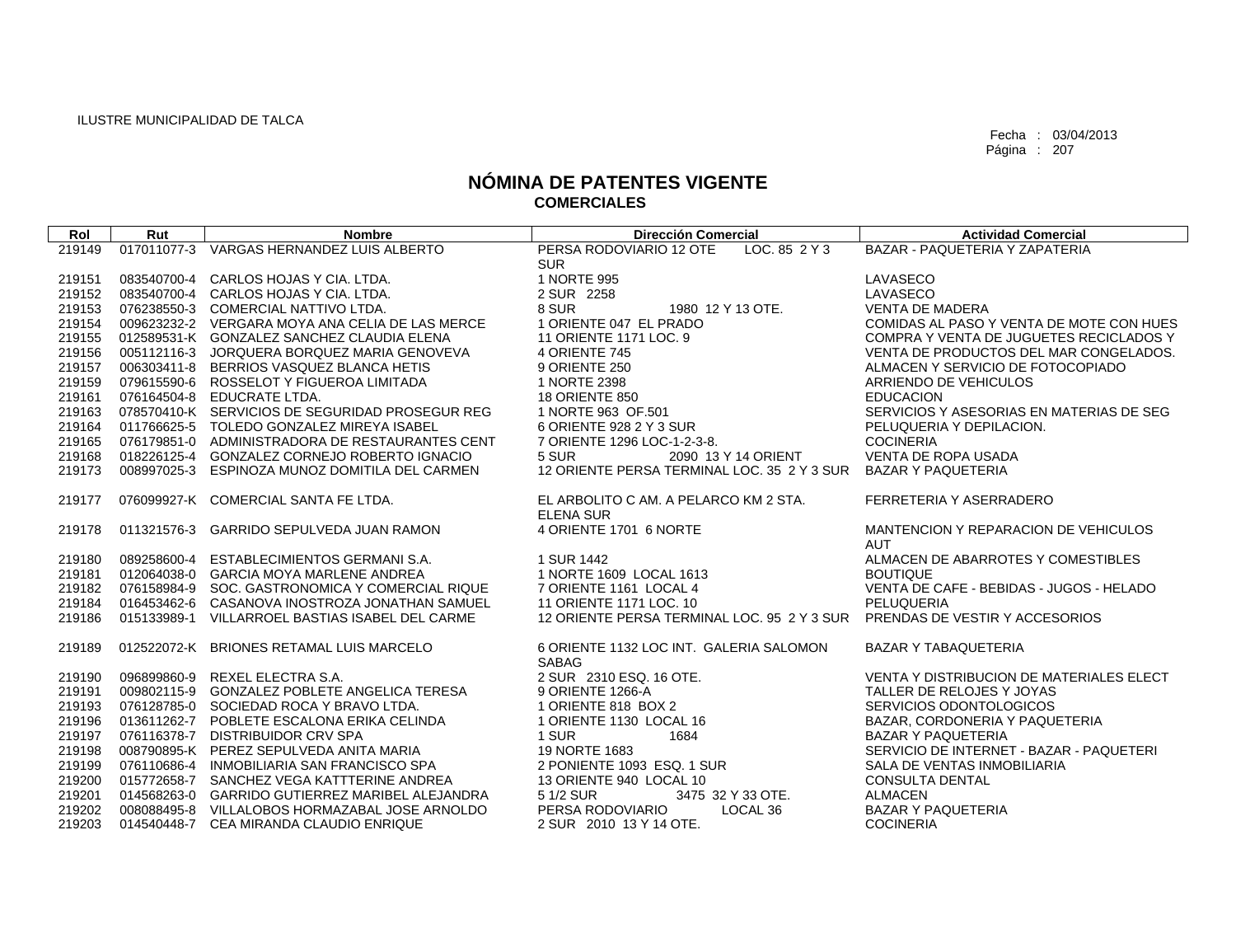| Rol              | Rut         | <b>Nombre</b>                                                                                | <b>Dirección Comercial</b>                    | <b>Actividad Comercial</b>                                           |
|------------------|-------------|----------------------------------------------------------------------------------------------|-----------------------------------------------|----------------------------------------------------------------------|
| 219149           |             | 017011077-3 VARGAS HERNANDEZ LUIS ALBERTO                                                    | PERSA RODOVIARIO 12 OTE<br>LOC. 85 2 Y 3      | BAZAR - PAQUETERIA Y ZAPATERIA                                       |
|                  |             |                                                                                              | <b>SUR</b>                                    |                                                                      |
| 219151           |             | 083540700-4 CARLOS HOJAS Y CIA. LTDA.                                                        | 1 NORTE 995                                   | LAVASECO                                                             |
| 219152           |             | 083540700-4 CARLOS HOJAS Y CIA, LTDA.                                                        | 2 SUR 2258                                    | LAVASECO                                                             |
| 219153           |             | 076238550-3 COMERCIAL NATTIVO LTDA.                                                          | 8 SUR<br>1980 12 Y 13 OTE.                    | <b>VENTA DE MADERA</b>                                               |
| 219154           |             | 009623232-2 VERGARA MOYA ANA CELIA DE LAS MERCE                                              | 1 ORIENTE 047 EL PRADO                        | COMIDAS AL PASO Y VENTA DE MOTE CON HUES                             |
| 219155           |             | 012589531-K GONZALEZ SANCHEZ CLAUDIA ELENA                                                   | 11 ORIENTE 1171 LOC. 9                        | COMPRA Y VENTA DE JUGUETES RECICLADOS Y                              |
| 219156           |             | 005112116-3 JORQUERA BORQUEZ MARIA GENOVEVA                                                  | 4 ORIENTE 745                                 | VENTA DE PRODUCTOS DEL MAR CONGELADOS.                               |
| 219157           |             | 006303411-8 BERRIOS VASQUEZ BLANCA HETIS                                                     | 9 ORIENTE 250                                 | ALMACEN Y SERVICIO DE FOTOCOPIADO                                    |
| 219159           |             | 079615590-6 ROSSELOT Y FIGUEROA LIMITADA                                                     | 1 NORTE 2398                                  | ARRIENDO DE VEHICULOS                                                |
| 219161           |             | 076164504-8 EDUCRATE LTDA.                                                                   | <b>18 ORIENTE 850</b>                         | <b>EDUCACION</b>                                                     |
| 219163           |             | 078570410-K SERVICIOS DE SEGURIDAD PROSEGUR REG<br>011766625-5 TOLEDO GONZALEZ MIREYA ISABEL | 1 NORTE 963 OF.501<br>6 ORIENTE 928 2 Y 3 SUR | SERVICIOS Y ASESORIAS EN MATERIAS DE SEG<br>PELUQUERIA Y DEPILACION. |
| 219164<br>219165 |             | 076179851-0 ADMINISTRADORA DE RESTAURANTES CENT                                              | 7 ORIENTE 1296 LOC-1-2-3-8.                   | <b>COCINERIA</b>                                                     |
| 219168           |             | 018226125-4 GONZALEZ CORNEJO ROBERTO IGNACIO                                                 | 5 SUR<br>2090 13 Y 14 ORIENT                  | <b>VENTA DE ROPA USADA</b>                                           |
| 219173           |             | 008997025-3 ESPINOZA MUNOZ DOMITILA DEL CARMEN                                               | 12 ORIENTE PERSA TERMINAL LOC. 35 2 Y 3 SUR   | <b>BAZAR Y PAQUETERIA</b>                                            |
|                  |             |                                                                                              |                                               |                                                                      |
| 219177           |             | 076099927-K COMERCIAL SANTA FE LTDA.                                                         | EL ARBOLITO C AM. A PELARCO KM 2 STA.         | FERRETERIA Y ASERRADERO                                              |
|                  |             |                                                                                              | <b>ELENA SUR</b>                              |                                                                      |
| 219178           | 011321576-3 | <b>GARRIDO SEPULVEDA JUAN RAMON</b>                                                          | 4 ORIENTE 1701 6 NORTE                        | MANTENCION Y REPARACION DE VEHICULOS                                 |
|                  |             |                                                                                              |                                               | <b>AUT</b>                                                           |
| 219180           | 089258600-4 | ESTABLECIMIENTOS GERMANI S.A.                                                                | 1 SUR 1442                                    | ALMACEN DE ABARROTES Y COMESTIBLES                                   |
| 219181           |             | 012064038-0 GARCIA MOYA MARLENE ANDREA                                                       | 1 NORTE 1609 LOCAL 1613                       | <b>BOUTIQUE</b>                                                      |
| 219182           |             | 076158984-9 SOC, GASTRONOMICA Y COMERCIAL RIQUE                                              | 7 ORIENTE 1161 LOCAL 4                        | VENTA DE CAFE - BEBIDAS - JUGOS - HELADO                             |
| 219184           |             | 016453462-6 CASANOVA INOSTROZA JONATHAN SAMUEL                                               | 11 ORIENTE 1171 LOC. 10                       | PELUQUERIA                                                           |
| 219186           | 015133989-1 | VILLARROEL BASTIAS ISABEL DEL CARME                                                          | 12 ORIENTE PERSA TERMINAL LOC. 95 2 Y 3 SUR   | PRENDAS DE VESTIR Y ACCESORIOS                                       |
| 219189           |             | 012522072-K BRIONES RETAMAL LUIS MARCELO                                                     | 6 ORIENTE 1132 LOC INT. GALERIA SALOMON       | <b>BAZAR Y TABAQUETERIA</b>                                          |
|                  |             |                                                                                              | <b>SABAG</b>                                  |                                                                      |
| 219190           | 096899860-9 | REXEL ELECTRA S.A.                                                                           | 2 SUR 2310 ESQ, 16 OTE.                       | VENTA Y DISTRIBUCION DE MATERIALES ELECT                             |
| 219191           |             | 009802115-9 GONZALEZ POBLETE ANGELICA TERESA                                                 | 9 ORIENTE 1266-A                              | TALLER DE RELOJES Y JOYAS                                            |
| 219193           |             | 076128785-0 SOCIEDAD ROCA Y BRAVO LTDA.                                                      | 1 ORIENTE 818 BOX 2                           | SERVICIOS ODONTOLOGICOS                                              |
| 219196           |             | 013611262-7 POBLETE ESCALONA ERIKA CELINDA                                                   | 1 ORIENTE 1130 LOCAL 16                       | BAZAR, CORDONERIA Y PAQUETERIA                                       |
| 219197           |             | 076116378-7 DISTRIBUIDOR CRV SPA                                                             | 1 SUR<br>1684                                 | <b>BAZAR Y PAQUETERIA</b>                                            |
| 219198           |             | 008790895-K PEREZ SEPULVEDA ANITA MARIA                                                      | 19 NORTE 1683                                 | SERVICIO DE INTERNET - BAZAR - PAQUETERI                             |
| 219199           |             | 076110686-4 INMOBILIARIA SAN FRANCISCO SPA                                                   | 2 PONIENTE 1093 ESQ. 1 SUR                    | SALA DE VENTAS INMOBILIARIA                                          |
| 219200           |             | 015772658-7 SANCHEZ VEGA KATTTERINE ANDREA                                                   | 13 ORIENTE 940 LOCAL 10                       | <b>CONSULTA DENTAL</b>                                               |
| 219201           |             | 014568263-0 GARRIDO GUTIERREZ MARIBEL ALEJANDRA                                              | 3475 32 Y 33 OTE.<br>5 1/2 SUR                | ALMACEN                                                              |
| 219202           |             | 008088495-8 VILLALOBOS HORMAZABAL JOSE ARNOLDO                                               | PERSA RODOVIARIO<br>LOCAL 36                  | <b>BAZAR Y PAQUETERIA</b>                                            |
| 219203           |             | 014540448-7 CEA MIRANDA CLAUDIO ENRIQUE                                                      | 2 SUR 2010 13 Y 14 OTE.                       | <b>COCINERIA</b>                                                     |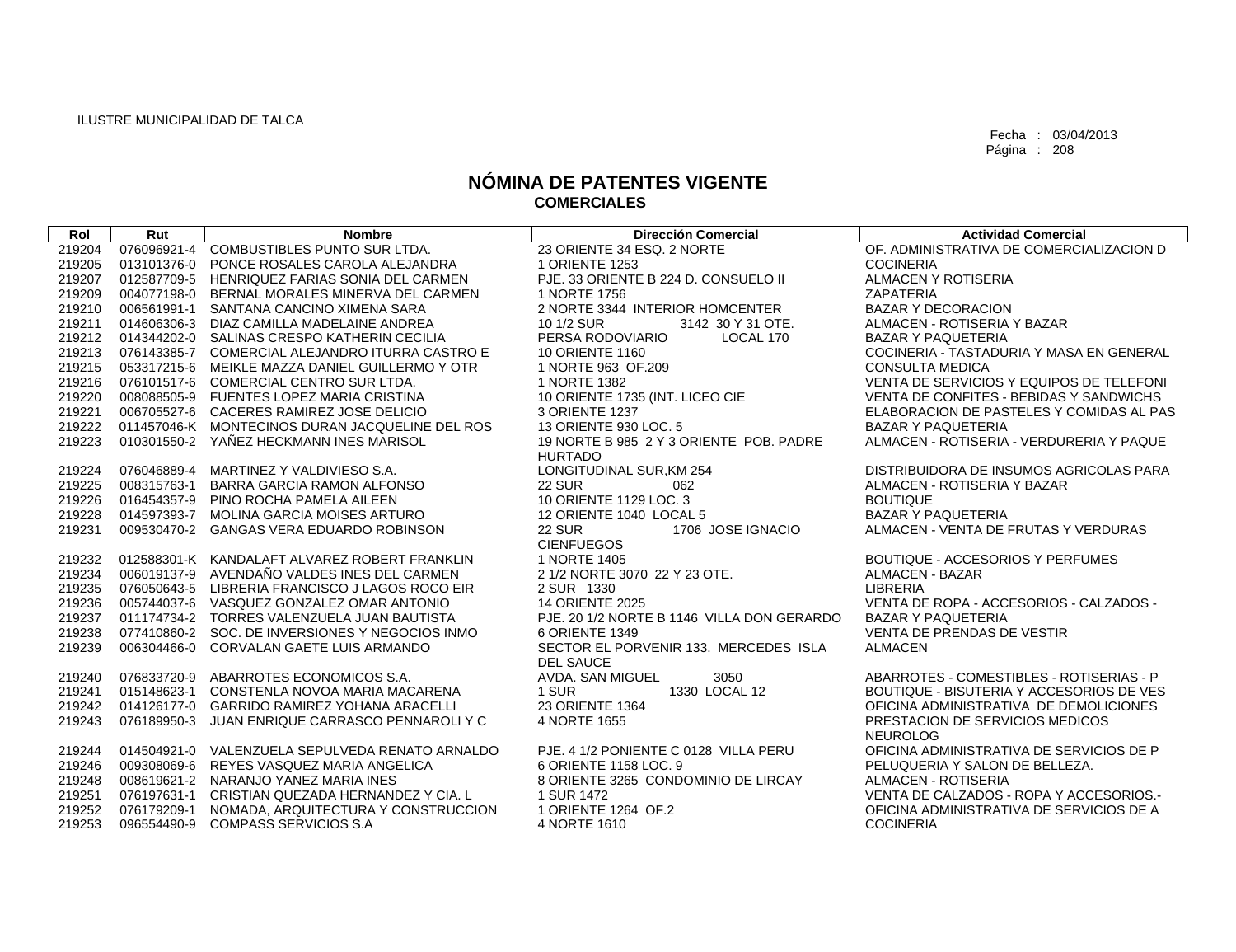| Rol    | Rut         | <b>Nombre</b>                                   | <b>Dirección Comercial</b>                              | <b>Actividad Comercial</b>               |
|--------|-------------|-------------------------------------------------|---------------------------------------------------------|------------------------------------------|
| 219204 |             | 076096921-4 COMBUSTIBLES PUNTO SUR LTDA.        | 23 ORIENTE 34 ESQ. 2 NORTE                              | OF, ADMINISTRATIVA DE COMERCIALIZACION D |
| 219205 | 013101376-0 | PONCE ROSALES CAROLA ALEJANDRA                  | 1 ORIENTE 1253                                          | <b>COCINERIA</b>                         |
| 219207 |             | 012587709-5 HENRIQUEZ FARIAS SONIA DEL CARMEN   | PJE. 33 ORIENTE B 224 D. CONSUELO II                    | ALMACEN Y ROTISERIA                      |
| 219209 |             | 004077198-0 BERNAL MORALES MINERVA DEL CARMEN   | 1 NORTE 1756                                            | <b>ZAPATERIA</b>                         |
| 219210 |             | 006561991-1 SANTANA CANCINO XIMENA SARA         | 2 NORTE 3344 INTERIOR HOMCENTER                         | <b>BAZAR Y DECORACION</b>                |
| 219211 |             | 014606306-3 DIAZ CAMILLA MADELAINE ANDREA       | 10 1/2 SUR<br>3142 30 Y 31 OTE.                         | ALMACEN - ROTISERIA Y BAZAR              |
| 219212 |             | 014344202-0 SALINAS CRESPO KATHERIN CECILIA     | PERSA RODOVIARIO<br>LOCAL 170                           | <b>BAZAR Y PAQUETERIA</b>                |
| 219213 |             | 076143385-7 COMERCIAL ALEJANDRO ITURRA CASTRO E | <b>10 ORIENTE 1160</b>                                  | COCINERIA - TASTADURIA Y MASA EN GENERAL |
| 219215 |             | 053317215-6 MEIKLE MAZZA DANIEL GUILLERMO Y OTR | 1 NORTE 963 OF.209                                      | <b>CONSULTA MEDICA</b>                   |
| 219216 |             | 076101517-6 COMERCIAL CENTRO SUR LTDA.          | 1 NORTE 1382                                            | VENTA DE SERVICIOS Y EQUIPOS DE TELEFONI |
| 219220 |             | 008088505-9 FUENTES LOPEZ MARIA CRISTINA        | 10 ORIENTE 1735 (INT. LICEO CIE                         | VENTA DE CONFITES - BEBIDAS Y SANDWICHS  |
| 219221 |             | 006705527-6 CACERES RAMIREZ JOSE DELICIO        | 3 ORIENTE 1237                                          | ELABORACION DE PASTELES Y COMIDAS AL PAS |
| 219222 |             | 011457046-K MONTECINOS DURAN JACQUELINE DEL ROS | 13 ORIENTE 930 LOC. 5                                   | <b>BAZAR Y PAQUETERIA</b>                |
| 219223 |             | 010301550-2 YAÑEZ HECKMANN INES MARISOL         | 19 NORTE B 985 2 Y 3 ORIENTE POB, PADRE                 | ALMACEN - ROTISERIA - VERDURERIA Y PAQUE |
|        |             |                                                 | <b>HURTADO</b>                                          |                                          |
| 219224 |             | 076046889-4 MARTINEZ Y VALDIVIESO S.A.          | LONGITUDINAL SUR, KM 254                                | DISTRIBUIDORA DE INSUMOS AGRICOLAS PARA  |
| 219225 |             | 008315763-1 BARRA GARCIA RAMON ALFONSO          | <b>22 SUR</b><br>062                                    | ALMACEN - ROTISERIA Y BAZAR              |
| 219226 |             | 016454357-9 PINO ROCHA PAMELA AILEEN            | 10 ORIENTE 1129 LOC. 3                                  | <b>BOUTIQUE</b>                          |
| 219228 |             | 014597393-7 MOLINA GARCIA MOISES ARTURO         | 12 ORIENTE 1040 LOCAL 5                                 | <b>BAZAR Y PAQUETERIA</b>                |
| 219231 |             | 009530470-2 GANGAS VERA EDUARDO ROBINSON        | 1706 JOSE IGNACIO<br><b>22 SUR</b><br><b>CIENFUEGOS</b> | ALMACEN - VENTA DE FRUTAS Y VERDURAS     |
| 219232 |             | 012588301-K KANDALAFT ALVAREZ ROBERT FRANKLIN   | 1 NORTE 1405                                            | <b>BOUTIQUE - ACCESORIOS Y PERFUMES</b>  |
| 219234 |             | 006019137-9 AVENDAÑO VALDES INES DEL CARMEN     | 2 1/2 NORTE 3070 22 Y 23 OTE.                           | <b>ALMACEN - BAZAR</b>                   |
| 219235 |             | 076050643-5 LIBRERIA FRANCISCO J LAGOS ROCO EIR | 2 SUR 1330                                              | <b>LIBRERIA</b>                          |
| 219236 |             | 005744037-6 VASQUEZ GONZALEZ OMAR ANTONIO       | <b>14 ORIENTE 2025</b>                                  | VENTA DE ROPA - ACCESORIOS - CALZADOS -  |
| 219237 |             | 011174734-2 TORRES VALENZUELA JUAN BAUTISTA     | PJE. 20 1/2 NORTE B 1146 VILLA DON GERARDO              | <b>BAZAR Y PAQUETERIA</b>                |
| 219238 |             | 077410860-2 SOC. DE INVERSIONES Y NEGOCIOS INMO | 6 ORIENTE 1349                                          | <b>VENTA DE PRENDAS DE VESTIR</b>        |
| 219239 | 006304466-0 | CORVALAN GAETE LUIS ARMANDO                     | SECTOR EL PORVENIR 133. MERCEDES ISLA                   | <b>ALMACEN</b>                           |
|        |             |                                                 | <b>DEL SAUCE</b>                                        |                                          |
| 219240 |             | 076833720-9 ABARROTES ECONOMICOS S.A.           | AVDA. SAN MIGUEL<br>3050                                | ABARROTES - COMESTIBLES - ROTISERIAS - P |
| 219241 |             | 015148623-1 CONSTENLA NOVOA MARIA MACARENA      | 1 SUR<br>1330 LOCAL 12                                  | BOUTIQUE - BISUTERIA Y ACCESORIOS DE VES |
| 219242 |             | 014126177-0 GARRIDO RAMIREZ YOHANA ARACELLI     | 23 ORIENTE 1364                                         | OFICINA ADMINISTRATIVA DE DEMOLICIONES   |
| 219243 | 076189950-3 | JUAN ENRIQUE CARRASCO PENNAROLI Y C             | 4 NORTE 1655                                            | PRESTACION DE SERVICIOS MEDICOS          |
|        |             |                                                 |                                                         | <b>NEUROLOG</b>                          |
| 219244 |             | 014504921-0 VALENZUELA SEPULVEDA RENATO ARNALDO | PJE. 4 1/2 PONIENTE C 0128 VILLA PERU                   | OFICINA ADMINISTRATIVA DE SERVICIOS DE P |
| 219246 |             | 009308069-6 REYES VASQUEZ MARIA ANGELICA        | 6 ORIENTE 1158 LOC. 9                                   | PELUQUERIA Y SALON DE BELLEZA.           |
| 219248 |             | 008619621-2 NARANJO YANEZ MARIA INES            | 8 ORIENTE 3265 CONDOMINIO DE LIRCAY                     | ALMACEN - ROTISERIA                      |
| 219251 |             | 076197631-1 CRISTIAN QUEZADA HERNANDEZ Y CIA. L | 1 SUR 1472                                              | VENTA DE CALZADOS - ROPA Y ACCESORIOS.-  |
| 219252 |             | 076179209-1 NOMADA, ARQUITECTURA Y CONSTRUCCION | 1 ORIENTE 1264 OF.2                                     | OFICINA ADMINISTRATIVA DE SERVICIOS DE A |
| 219253 |             | 096554490-9 COMPASS SERVICIOS S.A               | 4 NORTE 1610                                            | <b>COCINERIA</b>                         |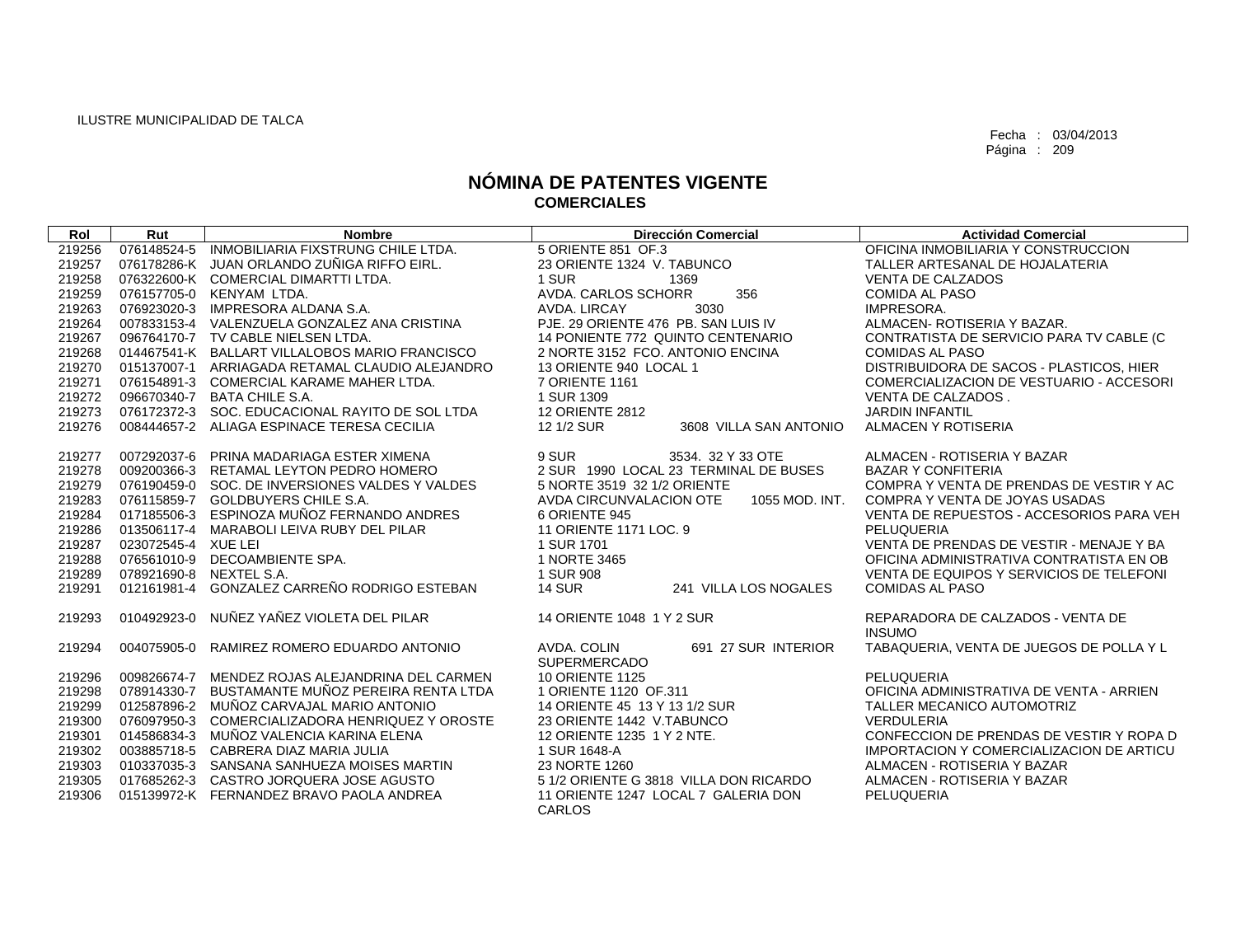| Rol                                                                                              | Rut                                                                                                                                                        | <b>Nombre</b>                                                                                                                                                                                                                                                                 | <b>Dirección Comercial</b>                                                                                                                                                                                                                                                      | <b>Actividad Comercial</b>                                                                                                                                                                                                                                                                                                                                     |
|--------------------------------------------------------------------------------------------------|------------------------------------------------------------------------------------------------------------------------------------------------------------|-------------------------------------------------------------------------------------------------------------------------------------------------------------------------------------------------------------------------------------------------------------------------------|---------------------------------------------------------------------------------------------------------------------------------------------------------------------------------------------------------------------------------------------------------------------------------|----------------------------------------------------------------------------------------------------------------------------------------------------------------------------------------------------------------------------------------------------------------------------------------------------------------------------------------------------------------|
| 219256                                                                                           | 076148524-5                                                                                                                                                | INMOBILIARIA FIXSTRUNG CHILE LTDA.                                                                                                                                                                                                                                            | 5 ORIENTE 851 OF 3                                                                                                                                                                                                                                                              | OFICINA INMOBILIARIA Y CONSTRUCCION                                                                                                                                                                                                                                                                                                                            |
| 219257                                                                                           |                                                                                                                                                            | 076178286-K JUAN ORLANDO ZUÑIGA RIFFO EIRL.                                                                                                                                                                                                                                   | 23 ORIENTE 1324 V. TABUNCO                                                                                                                                                                                                                                                      | TALLER ARTESANAL DE HOJALATERIA                                                                                                                                                                                                                                                                                                                                |
| 219258                                                                                           |                                                                                                                                                            | 076322600-K COMERCIAL DIMARTTI LTDA.                                                                                                                                                                                                                                          | 1 SUR<br>1369                                                                                                                                                                                                                                                                   | <b>VENTA DE CALZADOS</b>                                                                                                                                                                                                                                                                                                                                       |
| 219259                                                                                           |                                                                                                                                                            | 076157705-0 KENYAM LTDA.                                                                                                                                                                                                                                                      | AVDA, CARLOS SCHORR<br>356                                                                                                                                                                                                                                                      | <b>COMIDA AL PASO</b>                                                                                                                                                                                                                                                                                                                                          |
| 219263                                                                                           |                                                                                                                                                            | 076923020-3 IMPRESORA ALDANA S.A.                                                                                                                                                                                                                                             | AVDA, LIRCAY<br>3030                                                                                                                                                                                                                                                            | IMPRESORA.                                                                                                                                                                                                                                                                                                                                                     |
| 219264                                                                                           |                                                                                                                                                            | 007833153-4 VALENZUELA GONZALEZ ANA CRISTINA                                                                                                                                                                                                                                  | PJE. 29 ORIENTE 476 PB. SAN LUIS IV                                                                                                                                                                                                                                             | ALMACEN-ROTISERIA Y BAZAR.                                                                                                                                                                                                                                                                                                                                     |
| 219267                                                                                           |                                                                                                                                                            | 096764170-7 TV CABLE NIELSEN LTDA.                                                                                                                                                                                                                                            | 14 PONIENTE 772 QUINTO CENTENARIO                                                                                                                                                                                                                                               | CONTRATISTA DE SERVICIO PARA TV CABLE (C                                                                                                                                                                                                                                                                                                                       |
| 219268                                                                                           |                                                                                                                                                            | 014467541-K BALLART VILLALOBOS MARIO FRANCISCO                                                                                                                                                                                                                                | 2 NORTE 3152 FCO. ANTONIO ENCINA                                                                                                                                                                                                                                                | <b>COMIDAS AL PASO</b>                                                                                                                                                                                                                                                                                                                                         |
| 219270                                                                                           |                                                                                                                                                            | 015137007-1 ARRIAGADA RETAMAL CLAUDIO ALEJANDRO                                                                                                                                                                                                                               | 13 ORIENTE 940 LOCAL 1                                                                                                                                                                                                                                                          | DISTRIBUIDORA DE SACOS - PLASTICOS, HIER                                                                                                                                                                                                                                                                                                                       |
| 219271                                                                                           | 076154891-3                                                                                                                                                | COMERCIAL KARAME MAHER LTDA.                                                                                                                                                                                                                                                  | 7 ORIENTE 1161                                                                                                                                                                                                                                                                  | COMERCIALIZACION DE VESTUARIO - ACCESORI                                                                                                                                                                                                                                                                                                                       |
| 219272                                                                                           | 096670340-7                                                                                                                                                | <b>BATA CHILE S.A.</b>                                                                                                                                                                                                                                                        | 1 SUR 1309                                                                                                                                                                                                                                                                      | VENTA DE CALZADOS.                                                                                                                                                                                                                                                                                                                                             |
| 219273                                                                                           |                                                                                                                                                            | 076172372-3 SOC, EDUCACIONAL RAYITO DE SOL LTDA                                                                                                                                                                                                                               | <b>12 ORIENTE 2812</b>                                                                                                                                                                                                                                                          | <b>JARDIN INFANTIL</b>                                                                                                                                                                                                                                                                                                                                         |
| 219276                                                                                           | 008444657-2                                                                                                                                                | ALIAGA ESPINACE TERESA CECILIA                                                                                                                                                                                                                                                | 12 1/2 SUR<br>3608 VILLA SAN ANTONIO                                                                                                                                                                                                                                            | ALMACEN Y ROTISERIA                                                                                                                                                                                                                                                                                                                                            |
| 219277<br>219278<br>219279<br>219283<br>219284<br>219286<br>219287<br>219288<br>219289<br>219291 | 007292037-6<br>009200366-3<br>076190459-0<br>076115859-7<br>017185506-3<br>013506117-4<br>023072545-4 XUE LEI<br>076561010-9<br>078921690-8<br>012161981-4 | PRINA MADARIAGA ESTER XIMENA<br>RETAMAL LEYTON PEDRO HOMERO<br>SOC. DE INVERSIONES VALDES Y VALDES<br><b>GOLDBUYERS CHILE S.A.</b><br>ESPINOZA MUÑOZ FERNANDO ANDRES<br>MARABOLI LEIVA RUBY DEL PILAR<br>DECOAMBIENTE SPA.<br>NEXTEL S.A.<br>GONZALEZ CARREÑO RODRIGO ESTEBAN | 9 SUR<br>3534. 32 Y 33 OTE<br>2 SUR 1990 LOCAL 23 TERMINAL DE BUSES<br>5 NORTE 3519 32 1/2 ORIENTE<br>AVDA CIRCUNVALACION OTE<br>1055 MOD. INT.<br>6 ORIENTE 945<br>11 ORIENTE 1171 LOC. 9<br>1 SUR 1701<br>1 NORTE 3465<br>1 SUR 908<br><b>14 SUR</b><br>241 VILLA LOS NOGALES | ALMACEN - ROTISERIA Y BAZAR<br><b>BAZAR Y CONFITERIA</b><br>COMPRA Y VENTA DE PRENDAS DE VESTIR Y AC<br>COMPRA Y VENTA DE JOYAS USADAS<br>VENTA DE REPUESTOS - ACCESORIOS PARA VEH<br>PELUQUERIA<br>VENTA DE PRENDAS DE VESTIR - MENAJE Y BA<br>OFICINA ADMINISTRATIVA CONTRATISTA EN OB<br>VENTA DE EQUIPOS Y SERVICIOS DE TELEFONI<br><b>COMIDAS AL PASO</b> |
| 219293                                                                                           | 010492923-0                                                                                                                                                | NUÑEZ YAÑEZ VIOLETA DEL PILAR                                                                                                                                                                                                                                                 | 14 ORIENTE 1048 1 Y 2 SUR                                                                                                                                                                                                                                                       | REPARADORA DE CALZADOS - VENTA DE<br><b>INSUMO</b>                                                                                                                                                                                                                                                                                                             |
| 219294                                                                                           | 004075905-0                                                                                                                                                | RAMIREZ ROMERO EDUARDO ANTONIO                                                                                                                                                                                                                                                | AVDA, COLIN<br>691 27 SUR INTERIOR<br><b>SUPERMERCADO</b>                                                                                                                                                                                                                       | TABAQUERIA, VENTA DE JUEGOS DE POLLA Y L                                                                                                                                                                                                                                                                                                                       |
| 219296                                                                                           | 009826674-7                                                                                                                                                | MENDEZ ROJAS ALEJANDRINA DEL CARMEN                                                                                                                                                                                                                                           | <b>10 ORIENTE 1125</b>                                                                                                                                                                                                                                                          | PELUQUERIA                                                                                                                                                                                                                                                                                                                                                     |
| 219298                                                                                           | 078914330-7                                                                                                                                                | BUSTAMANTE MUÑOZ PEREIRA RENTA LTDA                                                                                                                                                                                                                                           | 1 ORIENTE 1120 OF.311                                                                                                                                                                                                                                                           | OFICINA ADMINISTRATIVA DE VENTA - ARRIEN                                                                                                                                                                                                                                                                                                                       |
| 219299                                                                                           | 012587896-2                                                                                                                                                | MUÑOZ CARVAJAL MARIO ANTONIO                                                                                                                                                                                                                                                  | 14 ORIENTE 45 13 Y 13 1/2 SUR                                                                                                                                                                                                                                                   | TALLER MECANICO AUTOMOTRIZ                                                                                                                                                                                                                                                                                                                                     |
| 219300                                                                                           | 076097950-3                                                                                                                                                | COMERCIALIZADORA HENRIQUEZ Y OROSTE                                                                                                                                                                                                                                           | 23 ORIENTE 1442 V.TABUNCO                                                                                                                                                                                                                                                       | VERDULERIA                                                                                                                                                                                                                                                                                                                                                     |
| 219301                                                                                           | 014586834-3                                                                                                                                                | MUÑOZ VALENCIA KARINA ELENA                                                                                                                                                                                                                                                   | 12 ORIENTE 1235 1 Y 2 NTE.                                                                                                                                                                                                                                                      | CONFECCION DE PRENDAS DE VESTIR Y ROPA D                                                                                                                                                                                                                                                                                                                       |
| 219302                                                                                           | 003885718-5                                                                                                                                                | CABRERA DIAZ MARIA JULIA                                                                                                                                                                                                                                                      | 1 SUR 1648-A                                                                                                                                                                                                                                                                    | <b>IMPORTACION Y COMERCIALIZACION DE ARTICU</b>                                                                                                                                                                                                                                                                                                                |
| 219303                                                                                           |                                                                                                                                                            | 010337035-3 SANSANA SANHUEZA MOISES MARTIN                                                                                                                                                                                                                                    | 23 NORTE 1260                                                                                                                                                                                                                                                                   | ALMACEN - ROTISERIA Y BAZAR                                                                                                                                                                                                                                                                                                                                    |
| 219305                                                                                           | 017685262-3                                                                                                                                                | CASTRO JORQUERA JOSE AGUSTO                                                                                                                                                                                                                                                   | 5 1/2 ORIENTE G 3818 VILLA DON RICARDO                                                                                                                                                                                                                                          | ALMACEN - ROTISERIA Y BAZAR                                                                                                                                                                                                                                                                                                                                    |
| 219306                                                                                           |                                                                                                                                                            | 015139972-K FERNANDEZ BRAVO PAOLA ANDREA                                                                                                                                                                                                                                      | 11 ORIENTE 1247 LOCAL 7 GALERIA DON                                                                                                                                                                                                                                             | <b>PELUQUERIA</b>                                                                                                                                                                                                                                                                                                                                              |
|                                                                                                  |                                                                                                                                                            |                                                                                                                                                                                                                                                                               | CARLOS                                                                                                                                                                                                                                                                          |                                                                                                                                                                                                                                                                                                                                                                |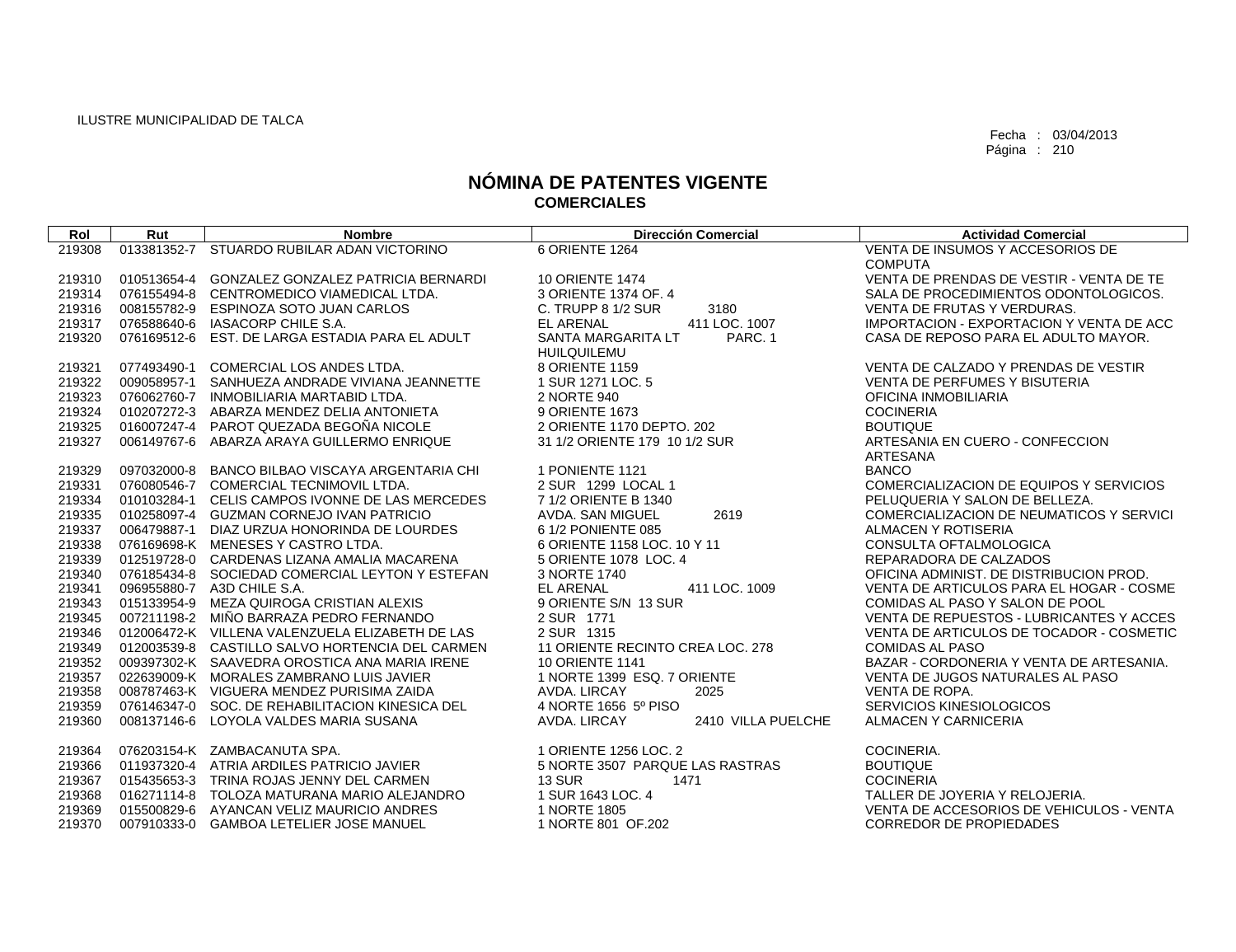| Rol    | Rut         | <b>Nombre</b>                                   | <b>Dirección Comercial</b>                          | <b>Actividad Comercial</b>                         |
|--------|-------------|-------------------------------------------------|-----------------------------------------------------|----------------------------------------------------|
| 219308 |             | 013381352-7 STUARDO RUBILAR ADAN VICTORINO      | 6 ORIENTE 1264                                      | VENTA DE INSUMOS Y ACCESORIOS DE                   |
|        |             |                                                 |                                                     | <b>COMPUTA</b>                                     |
| 219310 | 010513654-4 | GONZALEZ GONZALEZ PATRICIA BERNARDI             | <b>10 ORIENTE 1474</b>                              | VENTA DE PRENDAS DE VESTIR - VENTA DE TE           |
| 219314 |             | 076155494-8 CENTROMEDICO VIAMEDICAL LTDA.       | 3 ORIENTE 1374 OF, 4                                | SALA DE PROCEDIMIENTOS ODONTOLOGICOS.              |
| 219316 | 008155782-9 | <b>ESPINOZA SOTO JUAN CARLOS</b>                | C. TRUPP 8 1/2 SUR<br>3180                          | <b>VENTA DE FRUTAS Y VERDURAS.</b>                 |
| 219317 |             | 076588640-6 IASACORP CHILE S.A.                 | <b>EL ARENAL</b><br>411 LOC. 1007                   | IMPORTACION - EXPORTACION Y VENTA DE ACC           |
| 219320 |             | 076169512-6 EST, DE LARGA ESTADIA PARA EL ADULT | SANTA MARGARITA LT<br>PARC. 1<br><b>HUILQUILEMU</b> | CASA DE REPOSO PARA EL ADULTO MAYOR.               |
| 219321 | 077493490-1 | COMERCIAL LOS ANDES LTDA.                       | 8 ORIENTE 1159                                      | VENTA DE CALZADO Y PRENDAS DE VESTIR               |
| 219322 | 009058957-1 | SANHUEZA ANDRADE VIVIANA JEANNETTE              | 1 SUR 1271 LOC. 5                                   | <b>VENTA DE PERFUMES Y BISUTERIA</b>               |
| 219323 | 076062760-7 | INMOBILIARIA MARTABID LTDA.                     | 2 NORTE 940                                         | OFICINA INMOBILIARIA                               |
| 219324 | 010207272-3 | ABARZA MENDEZ DELIA ANTONIETA                   | 9 ORIENTE 1673                                      | <b>COCINERIA</b>                                   |
| 219325 |             | 016007247-4 PAROT QUEZADA BEGOÑA NICOLE         | 2 ORIENTE 1170 DEPTO, 202                           | <b>BOUTIQUE</b>                                    |
| 219327 | 006149767-6 | ABARZA ARAYA GUILLERMO ENRIQUE                  | 31 1/2 ORIENTE 179 10 1/2 SUR                       | ARTESANIA EN CUERO - CONFECCION<br><b>ARTESANA</b> |
| 219329 | 097032000-8 | BANCO BILBAO VISCAYA ARGENTARIA CHI             | 1 PONIENTE 1121                                     | <b>BANCO</b>                                       |
| 219331 |             | 076080546-7 COMERCIAL TECNIMOVIL LTDA.          | 2 SUR 1299 LOCAL 1                                  | COMERCIALIZACION DE EQUIPOS Y SERVICIOS            |
| 219334 |             | 010103284-1 CELIS CAMPOS IVONNE DE LAS MERCEDES | 7 1/2 ORIENTE B 1340                                | PELUQUERIA Y SALON DE BELLEZA.                     |
| 219335 |             | 010258097-4 GUZMAN CORNEJO IVAN PATRICIO        | 2619<br>AVDA. SAN MIGUEL                            | COMERCIALIZACION DE NEUMATICOS Y SERVICI           |
| 219337 |             | 006479887-1 DIAZ URZUA HONORINDA DE LOURDES     | 6 1/2 PONIENTE 085                                  | ALMACEN Y ROTISERIA                                |
| 219338 |             | 076169698-K MENESES Y CASTRO LTDA.              | 6 ORIENTE 1158 LOC. 10 Y 11                         | CONSULTA OFTALMOLOGICA                             |
| 219339 |             | 012519728-0 CARDENAS LIZANA AMALIA MACARENA     | 5 ORIENTE 1078 LOC. 4                               | REPARADORA DE CALZADOS                             |
| 219340 |             | 076185434-8 SOCIEDAD COMERCIAL LEYTON Y ESTEFAN | 3 NORTE 1740                                        | OFICINA ADMINIST. DE DISTRIBUCION PROD.            |
| 219341 |             | 096955880-7 A3D CHILE S.A.                      | <b>EL ARENAL</b><br>411 LOC. 1009                   | VENTA DE ARTICULOS PARA EL HOGAR - COSME           |
| 219343 |             | 015133954-9 MEZA QUIROGA CRISTIAN ALEXIS        | 9 ORIENTE S/N 13 SUR                                | COMIDAS AL PASO Y SALON DE POOL                    |
| 219345 |             | 007211198-2 MIÑO BARRAZA PEDRO FERNANDO         | 2 SUR 1771                                          | VENTA DE REPUESTOS - LUBRICANTES Y ACCES           |
| 219346 |             | 012006472-K VILLENA VALENZUELA ELIZABETH DE LAS | 2 SUR 1315                                          | VENTA DE ARTICULOS DE TOCADOR - COSMETIC           |
| 219349 |             | 012003539-8 CASTILLO SALVO HORTENCIA DEL CARMEN | 11 ORIENTE RECINTO CREA LOC. 278                    | <b>COMIDAS AL PASO</b>                             |
| 219352 |             | 009397302-K SAAVEDRA OROSTICA ANA MARIA IRENE   | <b>10 ORIENTE 1141</b>                              | BAZAR - CORDONERIA Y VENTA DE ARTESANIA.           |
| 219357 |             | 022639009-K MORALES ZAMBRANO LUIS JAVIER        | 1 NORTE 1399 ESQ, 7 ORIENTE                         | VENTA DE JUGOS NATURALES AL PASO                   |
| 219358 |             | 008787463-K VIGUERA MENDEZ PURISIMA ZAIDA       | AVDA, LIRCAY<br>2025                                | VENTA DE ROPA.                                     |
| 219359 |             | 076146347-0 SOC. DE REHABILITACION KINESICA DEL | 4 NORTE 1656 5º PISO                                | SERVICIOS KINESIOLOGICOS                           |
| 219360 |             | 008137146-6 LOYOLA VALDES MARIA SUSANA          | AVDA, LIRCAY<br>2410 VILLA PUELCHE                  | ALMACEN Y CARNICERIA                               |
| 219364 |             | 076203154-K ZAMBACANUTA SPA.                    | 1 ORIENTE 1256 LOC. 2                               | COCINERIA.                                         |
| 219366 |             | 011937320-4 ATRIA ARDILES PATRICIO JAVIER       | 5 NORTE 3507 PARQUE LAS RASTRAS                     | <b>BOUTIQUE</b>                                    |
| 219367 |             | 015435653-3 TRINA ROJAS JENNY DEL CARMEN        | <b>13 SUR</b><br>1471                               | <b>COCINERIA</b>                                   |
| 219368 |             | 016271114-8 TOLOZA MATURANA MARIO ALEJANDRO     | 1 SUR 1643 LOC, 4                                   | TALLER DE JOYERIA Y RELOJERIA.                     |
| 219369 |             | 015500829-6 AYANCAN VELIZ MAURICIO ANDRES       | 1 NORTE 1805                                        | VENTA DE ACCESORIOS DE VEHICULOS - VENTA           |
| 219370 |             | 007910333-0 GAMBOA LETELIER JOSE MANUEL         | 1 NORTE 801 OF 202                                  | <b>CORREDOR DE PROPIEDADES</b>                     |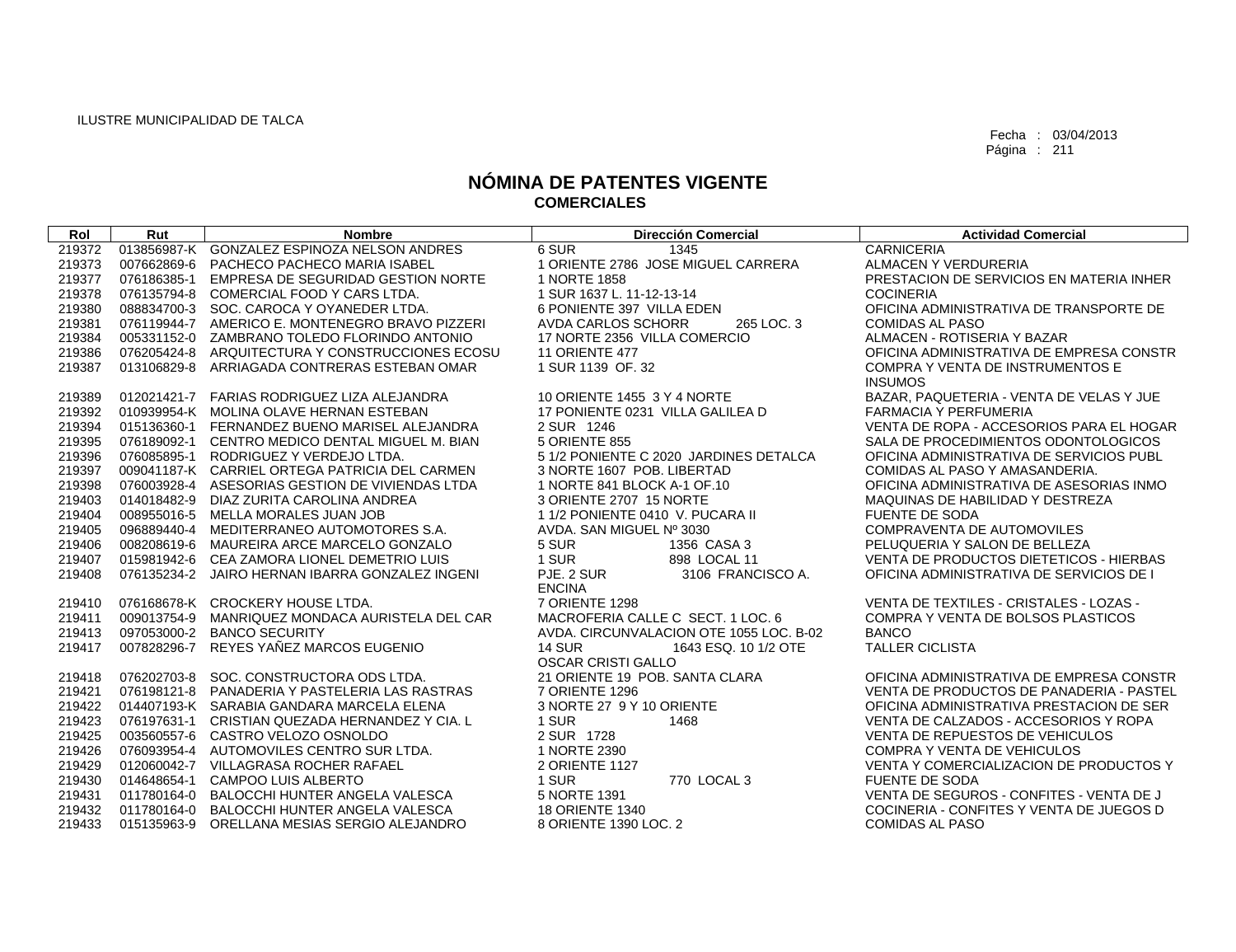| Rol    | Rut         | <b>Nombre</b>                                   | <b>Dirección Comercial</b>              | <b>Actividad Comercial</b>               |
|--------|-------------|-------------------------------------------------|-----------------------------------------|------------------------------------------|
| 219372 |             | 013856987-K GONZALEZ ESPINOZA NELSON ANDRES     | 6 SUR<br>1345                           | <b>CARNICERIA</b>                        |
| 219373 | 007662869-6 | PACHECO PACHECO MARIA ISABEL                    | 1 ORIENTE 2786 JOSE MIGUEL CARRERA      | ALMACEN Y VERDURERIA                     |
| 219377 | 076186385-1 | EMPRESA DE SEGURIDAD GESTION NORTE              | 1 NORTE 1858                            | PRESTACION DE SERVICIOS EN MATERIA INHER |
| 219378 |             | 076135794-8 COMERCIAL FOOD Y CARS LTDA.         | 1 SUR 1637 L. 11-12-13-14               | <b>COCINERIA</b>                         |
| 219380 |             | 088834700-3 SOC. CAROCA Y OYANEDER LTDA.        | 6 PONIENTE 397 VILLA EDEN               | OFICINA ADMINISTRATIVA DE TRANSPORTE DE  |
| 219381 |             | 076119944-7 AMERICO E. MONTENEGRO BRAVO PIZZERI | 265 LOC. 3<br><b>AVDA CARLOS SCHORR</b> | <b>COMIDAS AL PASO</b>                   |
| 219384 |             | 005331152-0 ZAMBRANO TOLEDO FLORINDO ANTONIO    | 17 NORTE 2356 VILLA COMERCIO            | ALMACEN - ROTISERIA Y BAZAR              |
| 219386 |             | 076205424-8 ARQUITECTURA Y CONSTRUCCIONES ECOSU | <b>11 ORIENTE 477</b>                   | OFICINA ADMINISTRATIVA DE EMPRESA CONSTR |
| 219387 | 013106829-8 | ARRIAGADA CONTRERAS ESTEBAN OMAR                | 1 SUR 1139 OF. 32                       | COMPRA Y VENTA DE INSTRUMENTOS E         |
|        |             |                                                 |                                         | <b>INSUMOS</b>                           |
| 219389 |             | 012021421-7 FARIAS RODRIGUEZ LIZA ALEJANDRA     | 10 ORIENTE 1455 3 Y 4 NORTE             | BAZAR, PAQUETERIA - VENTA DE VELAS Y JUE |
| 219392 |             | 010939954-K MOLINA OLAVE HERNAN ESTEBAN         | 17 PONIENTE 0231 VILLA GALILEA D        | <b>FARMACIA Y PERFUMERIA</b>             |
| 219394 |             | 015136360-1 FERNANDEZ BUENO MARISEL ALEJANDRA   | 2 SUR 1246                              | VENTA DE ROPA - ACCESORIOS PARA EL HOGAR |
| 219395 |             | 076189092-1 CENTRO MEDICO DENTAL MIGUEL M. BIAN | 5 ORIENTE 855                           | SALA DE PROCEDIMIENTOS ODONTOLOGICOS     |
| 219396 |             | 076085895-1 RODRIGUEZ Y VERDEJO LTDA.           | 5 1/2 PONIENTE C 2020 JARDINES DETALCA  | OFICINA ADMINISTRATIVA DE SERVICIOS PUBL |
| 219397 |             | 009041187-K CARRIEL ORTEGA PATRICIA DEL CARMEN  | 3 NORTE 1607 POB. LIBERTAD              | COMIDAS AL PASO Y AMASANDERIA.           |
| 219398 |             | 076003928-4 ASESORIAS GESTION DE VIVIENDAS LTDA | 1 NORTE 841 BLOCK A-1 OF 10             | OFICINA ADMINISTRATIVA DE ASESORIAS INMO |
| 219403 |             | 014018482-9 DIAZ ZURITA CAROLINA ANDREA         | 3 ORIENTE 2707 15 NORTE                 | MAQUINAS DE HABILIDAD Y DESTREZA         |
| 219404 |             | 008955016-5 MELLA MORALES JUAN JOB              | 1 1/2 PONIENTE 0410 V. PUCARA II        | <b>FUENTE DE SODA</b>                    |
| 219405 |             | 096889440-4 MEDITERRANEO AUTOMOTORES S.A.       | AVDA, SAN MIGUEL Nº 3030                | <b>COMPRAVENTA DE AUTOMOVILES</b>        |
| 219406 |             | 008208619-6 MAUREIRA ARCE MARCELO GONZALO       | 5 SUR<br>1356 CASA 3                    | PELUQUERIA Y SALON DE BELLEZA            |
| 219407 |             | 015981942-6 CEA ZAMORA LIONEL DEMETRIO LUIS     | 1 SUR<br>898 LOCAL 11                   | VENTA DE PRODUCTOS DIETETICOS - HIERBAS  |
| 219408 |             | 076135234-2 JAIRO HERNAN IBARRA GONZALEZ INGENI | PJE, 2 SUR<br>3106 FRANCISCO A.         | OFICINA ADMINISTRATIVA DE SERVICIOS DE I |
|        |             |                                                 | <b>ENCINA</b>                           |                                          |
| 219410 |             | 076168678-K CROCKERY HOUSE LTDA.                | 7 ORIENTE 1298                          | VENTA DE TEXTILES - CRISTALES - LOZAS -  |
| 219411 | 009013754-9 | MANRIQUEZ MONDACA AURISTELA DEL CAR             | MACROFERIA CALLE C SECT. 1 LOC. 6       | COMPRA Y VENTA DE BOLSOS PLASTICOS       |
| 219413 |             | 097053000-2 BANCO SECURITY                      | AVDA, CIRCUNVALACION OTE 1055 LOC. B-02 | <b>BANCO</b>                             |
| 219417 | 007828296-7 | REYES YAÑEZ MARCOS EUGENIO                      | <b>14 SUR</b><br>1643 ESQ, 10 1/2 OTE   | <b>TALLER CICLISTA</b>                   |
|        |             |                                                 | <b>OSCAR CRISTI GALLO</b>               |                                          |
| 219418 |             | 076202703-8 SOC, CONSTRUCTORA ODS LTDA.         | 21 ORIENTE 19 POB. SANTA CLARA          | OFICINA ADMINISTRATIVA DE EMPRESA CONSTR |
| 219421 |             | 076198121-8 PANADERIA Y PASTELERIA LAS RASTRAS  | 7 ORIENTE 1296                          | VENTA DE PRODUCTOS DE PANADERIA - PASTEL |
| 219422 |             | 014407193-K SARABIA GANDARA MARCELA ELENA       | 3 NORTE 27 9 Y 10 ORIENTE               | OFICINA ADMINISTRATIVA PRESTACION DE SER |
| 219423 |             | 076197631-1 CRISTIAN QUEZADA HERNANDEZ Y CIA. L | 1 SUR<br>1468                           | VENTA DE CALZADOS - ACCESORIOS Y ROPA    |
| 219425 |             | 003560557-6 CASTRO VELOZO OSNOLDO               | 2 SUR 1728                              | VENTA DE REPUESTOS DE VEHICULOS          |
| 219426 |             | 076093954-4 AUTOMOVILES CENTRO SUR LTDA.        | 1 NORTE 2390                            | <b>COMPRA Y VENTA DE VEHICULOS</b>       |
| 219429 |             | 012060042-7 VILLAGRASA ROCHER RAFAEL            | 2 ORIENTE 1127                          | VENTA Y COMERCIALIZACION DE PRODUCTOS Y  |
| 219430 |             | 014648654-1 CAMPOO LUIS ALBERTO                 | 1 SUR<br>770 LOCAL 3                    | <b>FUENTE DE SODA</b>                    |
| 219431 |             | 011780164-0 BALOCCHI HUNTER ANGELA VALESCA      | 5 NORTE 1391                            | VENTA DE SEGUROS - CONFITES - VENTA DE J |
| 219432 |             | 011780164-0 BALOCCHI HUNTER ANGELA VALESCA      | <b>18 ORIENTE 1340</b>                  | COCINERIA - CONFITES Y VENTA DE JUEGOS D |
| 219433 |             | 015135963-9 ORELLANA MESIAS SERGIO ALEJANDRO    | 8 ORIENTE 1390 LOC. 2                   | <b>COMIDAS AL PASO</b>                   |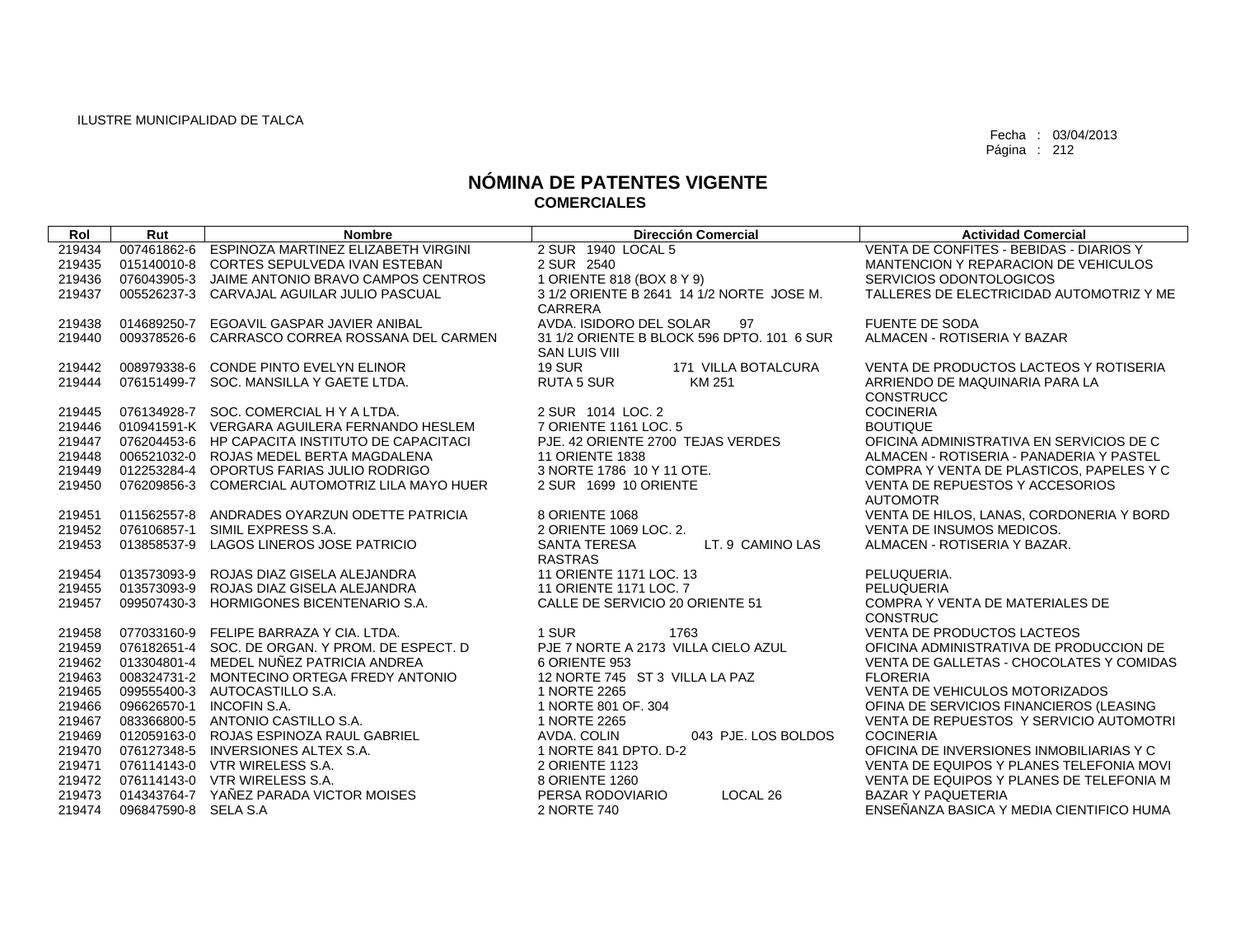| Rol    | Rut                  | <b>Nombre</b>                                   | <b>Dirección Comercial</b>                 | <b>Actividad Comercial</b>               |
|--------|----------------------|-------------------------------------------------|--------------------------------------------|------------------------------------------|
| 219434 | 007461862-6          | ESPINOZA MARTINEZ ELIZABETH VIRGINI             | 2 SUR 1940 LOCAL 5                         | VENTA DE CONFITES - BEBIDAS - DIARIOS Y  |
| 219435 | 015140010-8          | CORTES SEPULVEDA IVAN ESTEBAN                   | 2 SUR 2540                                 | MANTENCION Y REPARACION DE VEHICULOS     |
| 219436 |                      | 076043905-3 JAIME ANTONIO BRAVO CAMPOS CENTROS  | 1 ORIENTE 818 (BOX 8 Y 9)                  | SERVICIOS ODONTOLOGICOS                  |
| 219437 | 005526237-3          | CARVAJAL AGUILAR JULIO PASCUAL                  | 3 1/2 ORIENTE B 2641 14 1/2 NORTE JOSE M.  | TALLERES DE ELECTRICIDAD AUTOMOTRIZ Y ME |
|        |                      |                                                 | <b>CARRERA</b>                             |                                          |
| 219438 | 014689250-7          | EGOAVIL GASPAR JAVIER ANIBAL                    | AVDA. ISIDORO DEL SOLAR<br>97              | <b>FUENTE DE SODA</b>                    |
| 219440 | 009378526-6          | CARRASCO CORREA ROSSANA DEL CARMEN              | 31 1/2 ORIENTE B BLOCK 596 DPTO, 101 6 SUR | ALMACEN - ROTISERIA Y BAZAR              |
|        |                      |                                                 | <b>SAN LUIS VIII</b>                       |                                          |
| 219442 | 008979338-6          | CONDE PINTO EVELYN ELINOR                       | <b>19 SUR</b><br>171 VILLA BOTALCURA       | VENTA DE PRODUCTOS LACTEOS Y ROTISERIA   |
| 219444 |                      | 076151499-7 SOC. MANSILLA Y GAETE LTDA.         | <b>RUTA 5 SUR</b><br>KM 251                | ARRIENDO DE MAQUINARIA PARA LA           |
|        |                      |                                                 |                                            | <b>CONSTRUCC</b>                         |
| 219445 |                      | 076134928-7 SOC. COMERCIAL H Y A LTDA.          | 2 SUR 1014 LOC. 2                          | <b>COCINERIA</b>                         |
| 219446 |                      | 010941591-K VERGARA AGUILERA FERNANDO HESLEM    | 7 ORIENTE 1161 LOC. 5                      | <b>BOUTIQUE</b>                          |
| 219447 |                      | 076204453-6 HP CAPACITA INSTITUTO DE CAPACITACI | PJE. 42 ORIENTE 2700 TEJAS VERDES          | OFICINA ADMINISTRATIVA EN SERVICIOS DE C |
| 219448 |                      | 006521032-0 ROJAS MEDEL BERTA MAGDALENA         | <b>11 ORIENTE 1838</b>                     | ALMACEN - ROTISERIA - PANADERIA Y PASTEL |
| 219449 |                      | 012253284-4 OPORTUS FARIAS JULIO RODRIGO        | 3 NORTE 1786 10 Y 11 OTE.                  | COMPRA Y VENTA DE PLASTICOS, PAPELES Y C |
| 219450 |                      | 076209856-3 COMERCIAL AUTOMOTRIZ LILA MAYO HUER | 2 SUR 1699 10 ORIENTE                      | VENTA DE REPUESTOS Y ACCESORIOS          |
|        |                      |                                                 |                                            | <b>AUTOMOTR</b>                          |
| 219451 |                      | 011562557-8 ANDRADES OYARZUN ODETTE PATRICIA    | 8 ORIENTE 1068                             | VENTA DE HILOS, LANAS, CORDONERIA Y BORD |
| 219452 |                      | 076106857-1 SIMIL EXPRESS S.A.                  | 2 ORIENTE 1069 LOC. 2.                     | VENTA DE INSUMOS MEDICOS.                |
| 219453 | 013858537-9          | LAGOS LINEROS JOSE PATRICIO                     | LT. 9 CAMINO LAS<br><b>SANTA TERESA</b>    | ALMACEN - ROTISERIA Y BAZAR.             |
|        |                      |                                                 | <b>RASTRAS</b>                             |                                          |
| 219454 |                      | 013573093-9 ROJAS DIAZ GISELA ALEJANDRA         | 11 ORIENTE 1171 LOC. 13                    | PELUQUERIA.                              |
| 219455 |                      | 013573093-9 ROJAS DIAZ GISELA ALEJANDRA         | 11 ORIENTE 1171 LOC. 7                     | PELUQUERIA                               |
| 219457 |                      | 099507430-3 HORMIGONES BICENTENARIO S.A.        | CALLE DE SERVICIO 20 ORIENTE 51            | COMPRA Y VENTA DE MATERIALES DE          |
|        |                      |                                                 |                                            | <b>CONSTRUC</b>                          |
| 219458 |                      | 077033160-9 FELIPE BARRAZA Y CIA, LTDA.         | 1 SUR<br>1763                              | <b>VENTA DE PRODUCTOS LACTEOS</b>        |
| 219459 |                      | 076182651-4 SOC, DE ORGAN, Y PROM, DE ESPECT, D | PJE 7 NORTE A 2173 VILLA CIELO AZUL        | OFICINA ADMINISTRATIVA DE PRODUCCION DE  |
| 219462 |                      | 013304801-4 MEDEL NUÑEZ PATRICIA ANDREA         | 6 ORIENTE 953                              | VENTA DE GALLETAS - CHOCOLATES Y COMIDAS |
| 219463 |                      | 008324731-2 MONTECINO ORTEGA FREDY ANTONIO      | 12 NORTE 745 ST 3 VILLA LA PAZ             | <b>FLORERIA</b>                          |
| 219465 |                      | 099555400-3 AUTOCASTILLO S.A.                   | 1 NORTE 2265                               | VENTA DE VEHICULOS MOTORIZADOS           |
| 219466 |                      | 096626570-1 INCOFIN S.A.                        | 1 NORTE 801 OF, 304                        | OFINA DE SERVICIOS FINANCIEROS (LEASING  |
| 219467 |                      | 083366800-5 ANTONIO CASTILLO S.A.               | 1 NORTE 2265                               | VENTA DE REPUESTOS Y SERVICIO AUTOMOTRI  |
| 219469 |                      | 012059163-0 ROJAS ESPINOZA RAUL GABRIEL         | 043 PJE. LOS BOLDOS<br>AVDA, COLIN         | <b>COCINERIA</b>                         |
| 219470 |                      | 076127348-5 INVERSIONES ALTEX S.A.              | 1 NORTE 841 DPTO, D-2                      | OFICINA DE INVERSIONES INMOBILIARIAS Y C |
| 219471 |                      | 076114143-0 VTR WIRELESS S.A.                   | 2 ORIENTE 1123                             | VENTA DE EQUIPOS Y PLANES TELEFONIA MOVI |
|        |                      | 219472 076114143-0 VTR WIRELESS S.A.            | 8 ORIENTE 1260                             | VENTA DE EQUIPOS Y PLANES DE TELEFONIA M |
| 219473 |                      | 014343764-7 YAÑEZ PARADA VICTOR MOISES          | LOCAL 26<br>PERSA RODOVIARIO               | <b>BAZAR Y PAQUETERIA</b>                |
| 219474 | 096847590-8 SELA S.A |                                                 | 2 NORTE 740                                | ENSEÑANZA BASICA Y MEDIA CIENTIFICO HUMA |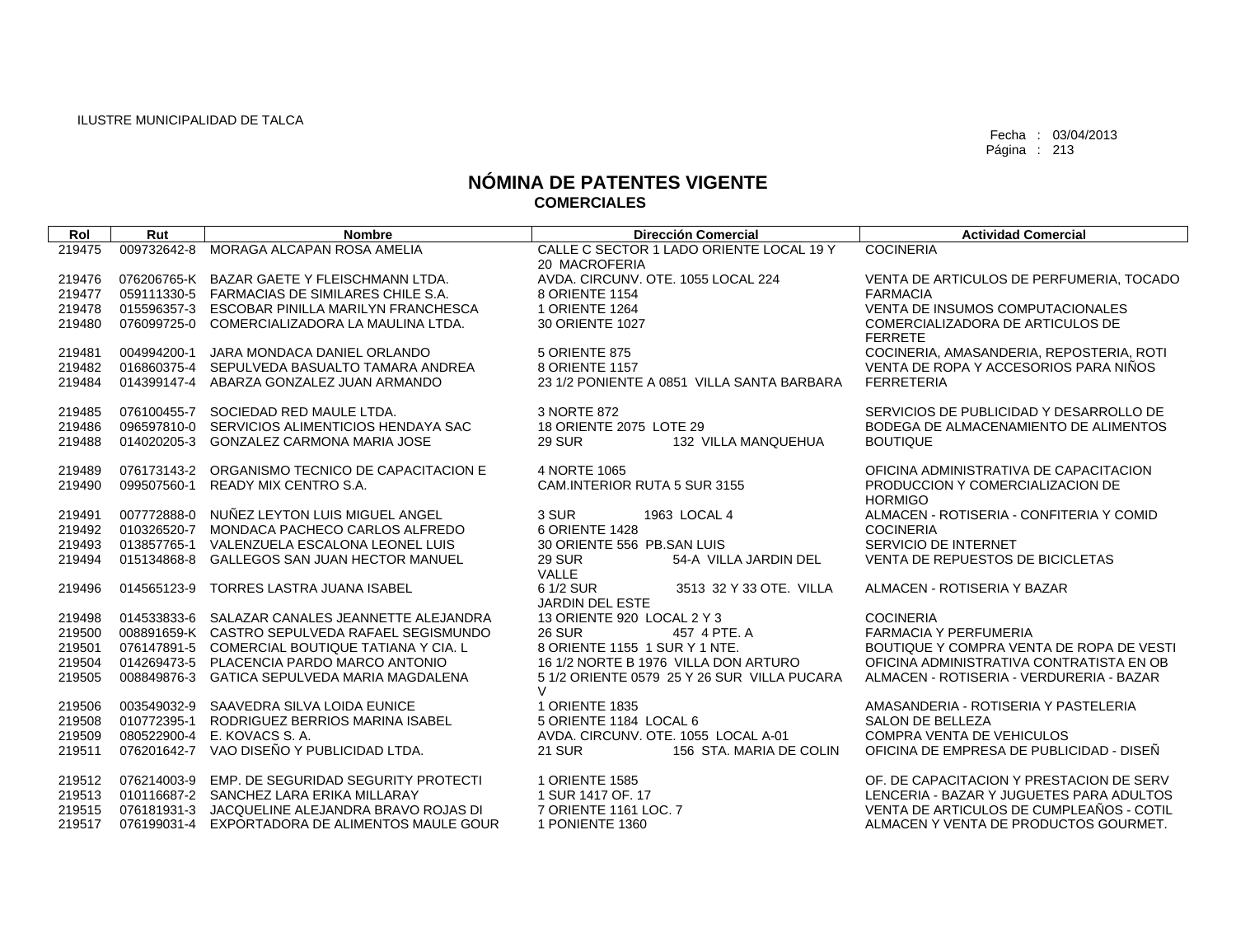| Rol              | Rut         | <b>Nombre</b>                                                                                   | <b>Dirección Comercial</b>                                      | <b>Actividad Comercial</b>                                 |
|------------------|-------------|-------------------------------------------------------------------------------------------------|-----------------------------------------------------------------|------------------------------------------------------------|
| 219475           | 009732642-8 | MORAGA ALCAPAN ROSA AMELIA                                                                      | CALLE C SECTOR 1 LADO ORIENTE LOCAL 19 Y                        | <b>COCINERIA</b>                                           |
|                  |             |                                                                                                 | 20 MACROFERIA                                                   |                                                            |
| 219476           |             | 076206765-K BAZAR GAETE Y FLEISCHMANN LTDA.                                                     | AVDA, CIRCUNV, OTE, 1055 LOCAL 224                              | VENTA DE ARTICULOS DE PERFUMERIA, TOCADO                   |
| 219477<br>219478 |             | 059111330-5 FARMACIAS DE SIMILARES CHILE S.A.<br>015596357-3 ESCOBAR PINILLA MARILYN FRANCHESCA | 8 ORIENTE 1154<br>1 ORIENTE 1264                                | <b>FARMACIA</b><br><b>VENTA DE INSUMOS COMPUTACIONALES</b> |
| 219480           | 076099725-0 | COMERCIALIZADORA LA MAULINA LTDA.                                                               | 30 ORIENTE 1027                                                 | COMERCIALIZADORA DE ARTICULOS DE                           |
|                  |             |                                                                                                 |                                                                 | <b>FERRETE</b>                                             |
| 219481           | 004994200-1 | JARA MONDACA DANIEL ORLANDO                                                                     | <b>5 ORIENTE 875</b>                                            | COCINERIA, AMASANDERIA, REPOSTERIA, ROTI                   |
| 219482           | 016860375-4 | SEPULVEDA BASUALTO TAMARA ANDREA                                                                | 8 ORIENTE 1157                                                  | VENTA DE ROPA Y ACCESORIOS PARA NIÑOS                      |
| 219484           | 014399147-4 | ABARZA GONZALEZ JUAN ARMANDO                                                                    | 23 1/2 PONIENTE A 0851 VILLA SANTA BARBARA                      | <b>FERRETERIA</b>                                          |
|                  |             |                                                                                                 |                                                                 |                                                            |
| 219485           |             | 076100455-7 SOCIEDAD RED MAULE LTDA.                                                            | 3 NORTE 872                                                     | SERVICIOS DE PUBLICIDAD Y DESARROLLO DE                    |
| 219486<br>219488 | 014020205-3 | 096597810-0 SERVICIOS ALIMENTICIOS HENDAYA SAC<br><b>GONZALEZ CARMONA MARIA JOSE</b>            | 18 ORIENTE 2075 LOTE 29<br><b>29 SUR</b><br>132 VILLA MANQUEHUA | BODEGA DE ALMACENAMIENTO DE ALIMENTOS<br><b>BOUTIQUE</b>   |
|                  |             |                                                                                                 |                                                                 |                                                            |
| 219489           | 076173143-2 | ORGANISMO TECNICO DE CAPACITACION E                                                             | 4 NORTE 1065                                                    | OFICINA ADMINISTRATIVA DE CAPACITACION                     |
| 219490           | 099507560-1 | READY MIX CENTRO S.A.                                                                           | CAM.INTERIOR RUTA 5 SUR 3155                                    | PRODUCCION Y COMERCIALIZACION DE                           |
|                  |             |                                                                                                 |                                                                 | <b>HORMIGO</b>                                             |
| 219491           | 007772888-0 | NUÑEZ LEYTON LUIS MIGUEL ANGEL                                                                  | 3 SUR<br>1963 LOCAL 4                                           | ALMACEN - ROTISERIA - CONFITERIA Y COMID                   |
| 219492           | 010326520-7 | MONDACA PACHECO CARLOS ALFREDO                                                                  | 6 ORIENTE 1428                                                  | <b>COCINERIA</b>                                           |
| 219493           | 013857765-1 | VALENZUELA ESCALONA LEONEL LUIS                                                                 | 30 ORIENTE 556 PB.SAN LUIS                                      | SERVICIO DE INTERNET                                       |
| 219494           | 015134868-8 | GALLEGOS SAN JUAN HECTOR MANUEL                                                                 | <b>29 SUR</b><br>54-A VILLA JARDIN DEL<br>VALLE                 | VENTA DE REPUESTOS DE BICICLETAS                           |
| 219496           | 014565123-9 | <b>TORRES LASTRA JUANA ISABEL</b>                                                               | 6 1/2 SUR<br>3513 32 Y 33 OTE, VILLA                            | ALMACEN - ROTISERIA Y BAZAR                                |
|                  |             |                                                                                                 | <b>JARDIN DEL ESTE</b>                                          |                                                            |
| 219498           |             | 014533833-6 SALAZAR CANALES JEANNETTE ALEJANDRA                                                 | 13 ORIENTE 920 LOCAL 2 Y 3                                      | <b>COCINERIA</b>                                           |
| 219500           |             | 008891659-K CASTRO SEPULVEDA RAFAEL SEGISMUNDO                                                  | <b>26 SUR</b><br>457 4 PTE, A                                   | <b>FARMACIA Y PERFUMERIA</b>                               |
| 219501           |             | 076147891-5 COMERCIAL BOUTIQUE TATIANA Y CIA. L                                                 | 8 ORIENTE 1155 1 SUR Y 1 NTE.                                   | BOUTIQUE Y COMPRA VENTA DE ROPA DE VESTI                   |
| 219504           |             | 014269473-5 PLACENCIA PARDO MARCO ANTONIO                                                       | 16 1/2 NORTE B 1976 VILLA DON ARTURO                            | OFICINA ADMINISTRATIVA CONTRATISTA EN OB                   |
| 219505           |             | 008849876-3 GATICA SEPULVEDA MARIA MAGDALENA                                                    | 5 1/2 ORIENTE 0579 25 Y 26 SUR VILLA PUCARA<br>$\vee$           | ALMACEN - ROTISERIA - VERDURERIA - BAZAR                   |
| 219506           |             | 003549032-9 SAAVEDRA SILVA LOIDA EUNICE                                                         | 1 ORIENTE 1835                                                  | AMASANDERIA - ROTISERIA Y PASTELERIA                       |
| 219508           | 010772395-1 | RODRIGUEZ BERRIOS MARINA ISABEL                                                                 | 5 ORIENTE 1184 LOCAL 6                                          | <b>SALON DE BELLEZA</b>                                    |
| 219509           | 080522900-4 | E. KOVACS S. A.                                                                                 | AVDA, CIRCUNV, OTE, 1055 LOCAL A-01                             | <b>COMPRA VENTA DE VEHICULOS</b>                           |
| 219511           | 076201642-7 | VAO DISEÑO Y PUBLICIDAD LTDA.                                                                   | <b>21 SUR</b><br>156 STA, MARIA DE COLIN                        | OFICINA DE EMPRESA DE PUBLICIDAD - DISEÑ                   |
| 219512           | 076214003-9 | EMP. DE SEGURIDAD SEGURITY PROTECTI                                                             | 1 ORIENTE 1585                                                  | OF. DE CAPACITACION Y PRESTACION DE SERV                   |
| 219513           |             | 010116687-2 SANCHEZ LARA ERIKA MILLARAY                                                         | 1 SUR 1417 OF, 17                                               | LENCERIA - BAZAR Y JUGUETES PARA ADULTOS                   |
| 219515           |             | 076181931-3 JACQUELINE ALEJANDRA BRAVO ROJAS DI                                                 | 7 ORIENTE 1161 LOC. 7                                           | VENTA DE ARTICULOS DE CUMPLEAÑOS - COTIL                   |
| 219517           |             | 076199031-4 EXPORTADORA DE ALIMENTOS MAULE GOUR                                                 | 1 PONIENTE 1360                                                 | ALMACEN Y VENTA DE PRODUCTOS GOURMET.                      |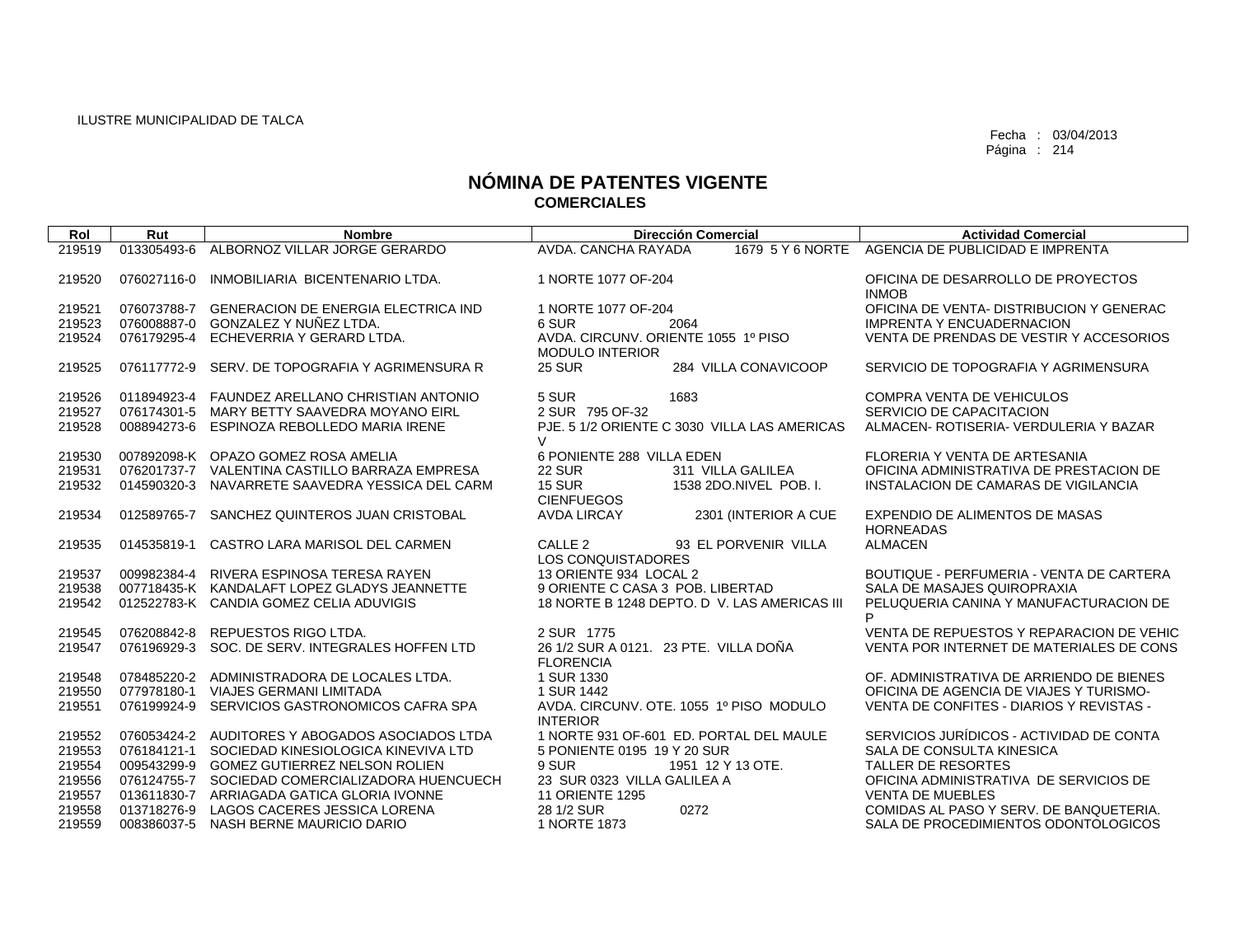| Rol    | Rut         | <b>Nombre</b>                                   | <b>Dirección Comercial</b>                                    | <b>Actividad Comercial</b>                         |
|--------|-------------|-------------------------------------------------|---------------------------------------------------------------|----------------------------------------------------|
| 219519 | 013305493-6 | ALBORNOZ VILLAR JORGE GERARDO                   | AVDA, CANCHA RAYADA                                           | 1679 5 Y 6 NORTE AGENCIA DE PUBLICIDAD E IMPRENTA  |
|        |             |                                                 |                                                               |                                                    |
| 219520 | 076027116-0 | INMOBILIARIA BICENTENARIO LTDA.                 | 1 NORTE 1077 OF-204                                           | OFICINA DE DESARROLLO DE PROYECTOS<br><b>INMOB</b> |
| 219521 | 076073788-7 | <b>GENERACION DE ENERGIA ELECTRICA IND</b>      | 1 NORTE 1077 OF-204                                           | OFICINA DE VENTA- DISTRIBUCION Y GENERAC           |
| 219523 | 076008887-0 | GONZALEZ Y NUÑEZ LTDA.                          | 6 SUR<br>2064                                                 | <b>IMPRENTA Y ENCUADERNACION</b>                   |
| 219524 | 076179295-4 | ECHEVERRIA Y GERARD LTDA.                       | AVDA. CIRCUNV. ORIENTE 1055 1º PISO<br><b>MODULO INTERIOR</b> | VENTA DE PRENDAS DE VESTIR Y ACCESORIOS            |
| 219525 | 076117772-9 | SERV. DE TOPOGRAFIA Y AGRIMENSURA R             | <b>25 SUR</b><br>284 VILLA CONAVICOOP                         | SERVICIO DE TOPOGRAFIA Y AGRIMENSURA               |
| 219526 |             | 011894923-4 FAUNDEZ ARELLANO CHRISTIAN ANTONIO  | 5 SUR<br>1683                                                 | <b>COMPRA VENTA DE VEHICULOS</b>                   |
| 219527 |             | 076174301-5 MARY BETTY SAAVEDRA MOYANO EIRL     | 2 SUR 795 OF-32                                               | SERVICIO DE CAPACITACION                           |
| 219528 |             | 008894273-6 ESPINOZA REBOLLEDO MARIA IRENE      | PJE. 5 1/2 ORIENTE C 3030 VILLA LAS AMERICAS<br>$\vee$        | ALMACEN- ROTISERIA- VERDULERIA Y BAZAR             |
| 219530 |             | 007892098-K OPAZO GOMEZ ROSA AMELIA             | 6 PONIENTE 288 VILLA EDEN                                     | FLORERIA Y VENTA DE ARTESANIA                      |
| 219531 |             | 076201737-7 VALENTINA CASTILLO BARRAZA EMPRESA  | <b>22 SUR</b><br>311 VILLA GALILEA                            | OFICINA ADMINISTRATIVA DE PRESTACION DE            |
| 219532 | 014590320-3 | NAVARRETE SAAVEDRA YESSICA DEL CARM             | <b>15 SUR</b><br>1538 2DO.NIVEL POB. I.<br><b>CIENFUEGOS</b>  | INSTALACION DE CAMARAS DE VIGILANCIA               |
| 219534 | 012589765-7 | SANCHEZ QUINTEROS JUAN CRISTOBAL                | 2301 (INTERIOR A CUE<br><b>AVDA LIRCAY</b>                    | EXPENDIO DE ALIMENTOS DE MASAS<br><b>HORNEADAS</b> |
| 219535 |             | 014535819-1 CASTRO LARA MARISOL DEL CARMEN      | CALLE <sub>2</sub><br>93 EL PORVENIR VILLA                    | <b>ALMACEN</b>                                     |
| 219537 |             | 009982384-4 RIVERA ESPINOSA TERESA RAYEN        | LOS CONQUISTADORES<br>13 ORIENTE 934 LOCAL 2                  | BOUTIQUE - PERFUMERIA - VENTA DE CARTERA           |
| 219538 |             | 007718435-K KANDALAFT LOPEZ GLADYS JEANNETTE    | 9 ORIENTE C CASA 3 POB. LIBERTAD                              | SALA DE MASAJES QUIROPRAXIA                        |
| 219542 |             | 012522783-K CANDIA GOMEZ CELIA ADUVIGIS         | 18 NORTE B 1248 DEPTO. D V. LAS AMERICAS III                  | PELUQUERIA CANINA Y MANUFACTURACION DE             |
|        |             |                                                 |                                                               | P                                                  |
| 219545 | 076208842-8 | REPUESTOS RIGO LTDA.                            | 2 SUR 1775                                                    | VENTA DE REPUESTOS Y REPARACION DE VEHIC           |
| 219547 | 076196929-3 | SOC. DE SERV. INTEGRALES HOFFEN LTD             | 26 1/2 SUR A 0121. 23 PTE. VILLA DOÑA<br><b>FLORENCIA</b>     | VENTA POR INTERNET DE MATERIALES DE CONS           |
| 219548 | 078485220-2 | ADMINISTRADORA DE LOCALES LTDA.                 | 1 SUR 1330                                                    | OF. ADMINISTRATIVA DE ARRIENDO DE BIENES           |
| 219550 | 077978180-1 | <b>VIAJES GERMANI LIMITADA</b>                  | 1 SUR 1442                                                    | OFICINA DE AGENCIA DE VIAJES Y TURISMO-            |
| 219551 | 076199924-9 | SERVICIOS GASTRONOMICOS CAFRA SPA               | AVDA, CIRCUNV, OTE, 1055 1º PISO MODULO                       | VENTA DE CONFITES - DIARIOS Y REVISTAS -           |
|        |             |                                                 | <b>INTERIOR</b>                                               |                                                    |
| 219552 |             | 076053424-2 AUDITORES Y ABOGADOS ASOCIADOS LTDA | 1 NORTE 931 OF-601 ED. PORTAL DEL MAULE                       | SERVICIOS JURÍDICOS - ACTIVIDAD DE CONTA           |
| 219553 |             | 076184121-1 SOCIEDAD KINESIOLOGICA KINEVIVA LTD | 5 PONIENTE 0195 19 Y 20 SUR                                   | SALA DE CONSULTA KINESICA                          |
| 219554 |             | 009543299-9 GOMEZ GUTIERREZ NELSON ROLIEN       | 9 SUR<br>1951 12 Y 13 OTE.                                    | TALLER DE RESORTES                                 |
| 219556 |             | 076124755-7 SOCIEDAD COMERCIALIZADORA HUENCUECH | 23 SUR 0323 VILLA GALILEA A                                   | OFICINA ADMINISTRATIVA DE SERVICIOS DE             |
| 219557 |             | 013611830-7 ARRIAGADA GATICA GLORIA IVONNE      | <b>11 ORIENTE 1295</b>                                        | <b>VENTA DE MUEBLES</b>                            |
| 219558 | 013718276-9 | LAGOS CACERES JESSICA LORENA                    | 0272<br>28 1/2 SUR                                            | COMIDAS AL PASO Y SERV. DE BANQUETERIA.            |
| 219559 |             | 008386037-5 NASH BERNE MAURICIO DARIO           | 1 NORTE 1873                                                  | SALA DE PROCEDIMIENTOS ODONTOLOGICOS               |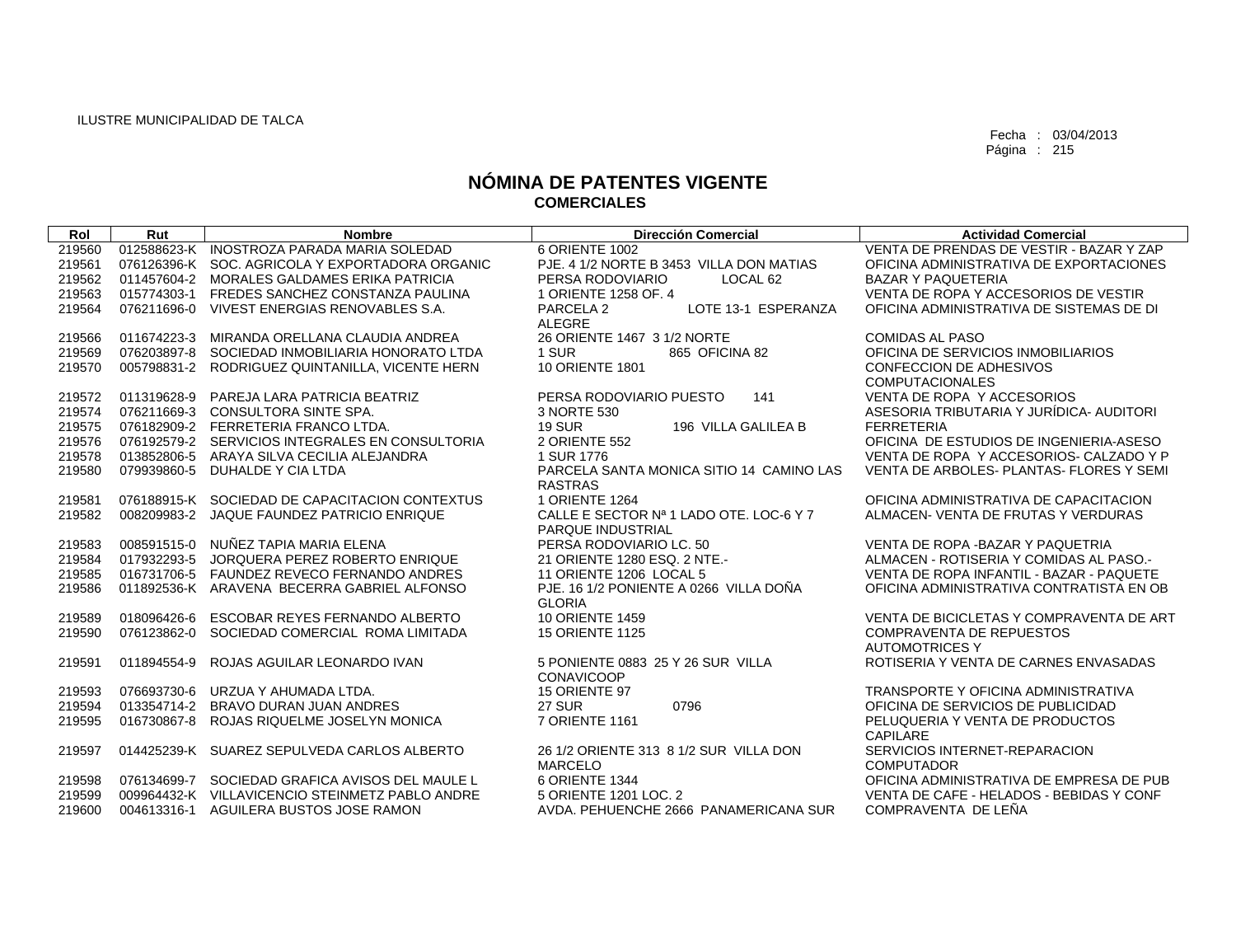| Rol    | Rut         | <b>Nombre</b>                                   | <b>Dirección Comercial</b>                  | <b>Actividad Comercial</b>               |
|--------|-------------|-------------------------------------------------|---------------------------------------------|------------------------------------------|
| 219560 |             | 012588623-K INOSTROZA PARADA MARIA SOLEDAD      | 6 ORIENTE 1002                              | VENTA DE PRENDAS DE VESTIR - BAZAR Y ZAP |
| 219561 |             | 076126396-K SOC, AGRICOLA Y EXPORTADORA ORGANIC | PJE. 4 1/2 NORTE B 3453 VILLA DON MATIAS    | OFICINA ADMINISTRATIVA DE EXPORTACIONES  |
| 219562 | 011457604-2 | MORALES GALDAMES ERIKA PATRICIA                 | PERSA RODOVIARIO<br>LOCAL 62                | <b>BAZAR Y PAQUETERIA</b>                |
| 219563 |             | 015774303-1 FREDES SANCHEZ CONSTANZA PAULINA    | 1 ORIENTE 1258 OF, 4                        | VENTA DE ROPA Y ACCESORIOS DE VESTIR     |
| 219564 |             | 076211696-0 VIVEST ENERGIAS RENOVABLES S.A.     | PARCELA <sub>2</sub><br>LOTE 13-1 ESPERANZA | OFICINA ADMINISTRATIVA DE SISTEMAS DE DI |
|        |             |                                                 | <b>ALEGRE</b>                               |                                          |
| 219566 | 011674223-3 | MIRANDA ORELLANA CLAUDIA ANDREA                 | 26 ORIENTE 1467 3 1/2 NORTE                 | <b>COMIDAS AL PASO</b>                   |
| 219569 | 076203897-8 | SOCIEDAD INMOBILIARIA HONORATO LTDA             | 1 SUR<br>865 OFICINA 82                     | OFICINA DE SERVICIOS INMOBILIARIOS       |
| 219570 | 005798831-2 | RODRIGUEZ QUINTANILLA, VICENTE HERN             | <b>10 ORIENTE 1801</b>                      | CONFECCION DE ADHESIVOS                  |
|        |             |                                                 |                                             | <b>COMPUTACIONALES</b>                   |
| 219572 | 011319628-9 | PAREJA LARA PATRICIA BEATRIZ                    | PERSA RODOVIARIO PUESTO<br>141              | VENTA DE ROPA Y ACCESORIOS               |
| 219574 |             | 076211669-3 CONSULTORA SINTE SPA.               | 3 NORTE 530                                 | ASESORIA TRIBUTARIA Y JURÍDICA- AUDITORI |
| 219575 |             | 076182909-2 FERRETERIA FRANCO LTDA.             | <b>19 SUR</b><br>196 VILLA GALILEA B        | <b>FERRETERIA</b>                        |
| 219576 |             | 076192579-2 SERVICIOS INTEGRALES EN CONSULTORIA | 2 ORIENTE 552                               | OFICINA DE ESTUDIOS DE INGENIERIA-ASESO  |
| 219578 |             | 013852806-5 ARAYA SILVA CECILIA ALEJANDRA       | 1 SUR 1776                                  | VENTA DE ROPA Y ACCESORIOS- CALZADO Y P  |
| 219580 | 079939860-5 | DUHALDE Y CIA LTDA                              | PARCELA SANTA MONICA SITIO 14 CAMINO LAS    | VENTA DE ARBOLES- PLANTAS- FLORES Y SEMI |
|        |             |                                                 | <b>RASTRAS</b>                              |                                          |
| 219581 |             | 076188915-K SOCIEDAD DE CAPACITACION CONTEXTUS  | <b>1 ORIENTE 1264</b>                       | OFICINA ADMINISTRATIVA DE CAPACITACION   |
| 219582 |             | 008209983-2 JAQUE FAUNDEZ PATRICIO ENRIQUE      | CALLE E SECTOR Nº 1 LADO OTE, LOC-6 Y 7     | ALMACEN- VENTA DE FRUTAS Y VERDURAS      |
|        |             |                                                 | PARQUE INDUSTRIAL                           |                                          |
| 219583 | 008591515-0 | NUÑEZ TAPIA MARIA ELENA                         | PERSA RODOVIARIO LC. 50                     | VENTA DE ROPA - BAZAR Y PAQUETRIA        |
| 219584 | 017932293-5 | JORQUERA PEREZ ROBERTO ENRIQUE                  | 21 ORIENTE 1280 ESQ, 2 NTE.-                | ALMACEN - ROTISERIA Y COMIDAS AL PASO.-  |
| 219585 |             | 016731706-5 FAUNDEZ REVECO FERNANDO ANDRES      | 11 ORIENTE 1206 LOCAL 5                     | VENTA DE ROPA INFANTIL - BAZAR - PAQUETE |
| 219586 |             | 011892536-K ARAVENA BECERRA GABRIEL ALFONSO     | PJE. 16 1/2 PONIENTE A 0266 VILLA DOÑA      | OFICINA ADMINISTRATIVA CONTRATISTA EN OB |
|        |             |                                                 | <b>GLORIA</b>                               |                                          |
| 219589 | 018096426-6 | ESCOBAR REYES FERNANDO ALBERTO                  | <b>10 ORIENTE 1459</b>                      | VENTA DE BICICLETAS Y COMPRAVENTA DE ART |
| 219590 | 076123862-0 | SOCIEDAD COMERCIAL ROMA LIMITADA                | <b>15 ORIENTE 1125</b>                      | <b>COMPRAVENTA DE REPUESTOS</b>          |
|        |             |                                                 |                                             | <b>AUTOMOTRICES Y</b>                    |
| 219591 | 011894554-9 | ROJAS AGUILAR LEONARDO IVAN                     | 5 PONIENTE 0883 25 Y 26 SUR VILLA           | ROTISERIA Y VENTA DE CARNES ENVASADAS    |
|        |             |                                                 | <b>CONAVICOOP</b>                           |                                          |
| 219593 |             | 076693730-6 URZUA Y AHUMADA LTDA.               | 15 ORIENTE 97                               | TRANSPORTE Y OFICINA ADMINISTRATIVA      |
| 219594 | 013354714-2 | BRAVO DURAN JUAN ANDRES                         | <b>27 SUR</b><br>0796                       | OFICINA DE SERVICIOS DE PUBLICIDAD       |
| 219595 | 016730867-8 | ROJAS RIQUELME JOSELYN MONICA                   | 7 ORIENTE 1161                              | PELUQUERIA Y VENTA DE PRODUCTOS          |
|        |             |                                                 |                                             | CAPILARE                                 |
| 219597 |             | 014425239-K SUAREZ SEPULVEDA CARLOS ALBERTO     | 26 1/2 ORIENTE 313 8 1/2 SUR VILLA DON      | SERVICIOS INTERNET-REPARACION            |
|        |             |                                                 | <b>MARCELO</b>                              | <b>COMPUTADOR</b>                        |
| 219598 |             | 076134699-7 SOCIEDAD GRAFICA AVISOS DEL MAULE L | 6 ORIENTE 1344                              | OFICINA ADMINISTRATIVA DE EMPRESA DE PUB |
| 219599 |             | 009964432-K VILLAVICENCIO STEINMETZ PABLO ANDRE | 5 ORIENTE 1201 LOC. 2                       | VENTA DE CAFE - HELADOS - BEBIDAS Y CONF |
| 219600 |             | 004613316-1 AGUILERA BUSTOS JOSE RAMON          | AVDA, PEHUENCHE 2666 PANAMERICANA SUR       | COMPRAVENTA DE LEÑA                      |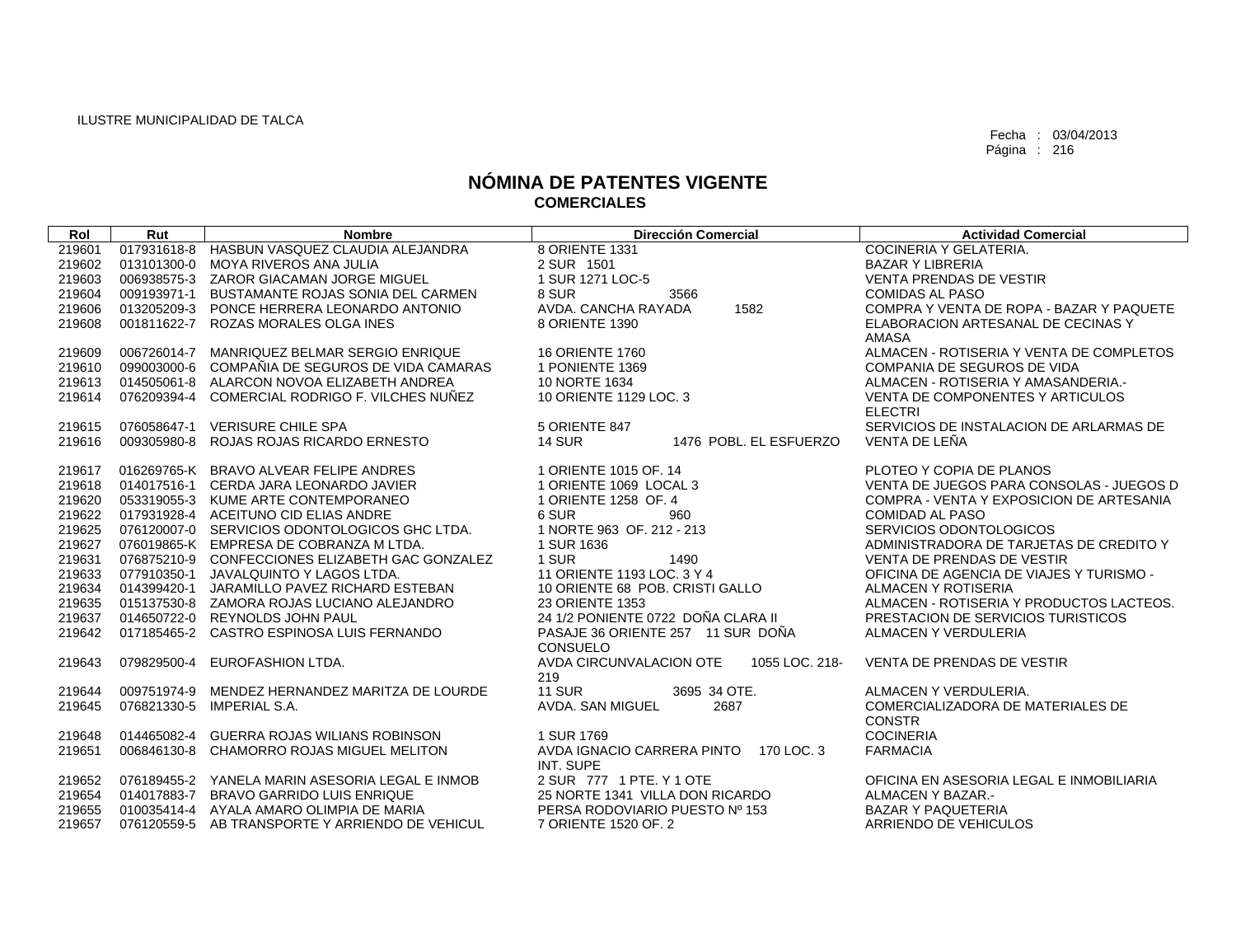| Rol    | Rut         | <b>Nombre</b>                                   | <b>Dirección Comercial</b>                            | <b>Actividad Comercial</b>                         |
|--------|-------------|-------------------------------------------------|-------------------------------------------------------|----------------------------------------------------|
| 219601 |             | 017931618-8 HASBUN VASQUEZ CLAUDIA ALEJANDRA    | 8 ORIENTE 1331                                        | COCINERIA Y GELATERIA.                             |
| 219602 |             | 013101300-0 MOYA RIVEROS ANA JULIA              | 2 SUR 1501                                            | <b>BAZAR Y LIBRERIA</b>                            |
| 219603 |             | 006938575-3 ZAROR GIACAMAN JORGE MIGUEL         | 1 SUR 1271 LOC-5                                      | <b>VENTA PRENDAS DE VESTIR</b>                     |
| 219604 | 009193971-1 | BUSTAMANTE ROJAS SONIA DEL CARMEN               | 8 SUR<br>3566                                         | <b>COMIDAS AL PASO</b>                             |
| 219606 | 013205209-3 | PONCE HERRERA LEONARDO ANTONIO                  | AVDA, CANCHA RAYADA<br>1582                           | COMPRA Y VENTA DE ROPA - BAZAR Y PAQUETE           |
| 219608 |             | 001811622-7 ROZAS MORALES OLGA INES             | 8 ORIENTE 1390                                        | ELABORACION ARTESANAL DE CECINAS Y<br>AMASA        |
| 219609 | 006726014-7 | MANRIQUEZ BELMAR SERGIO ENRIQUE                 | <b>16 ORIENTE 1760</b>                                | ALMACEN - ROTISERIA Y VENTA DE COMPLETOS           |
| 219610 |             | 099003000-6 COMPAÑIA DE SEGUROS DE VIDA CAMARAS | 1 PONIENTE 1369                                       | COMPANIA DE SEGUROS DE VIDA                        |
| 219613 |             | 014505061-8 ALARCON NOVOA ELIZABETH ANDREA      | 10 NORTE 1634                                         | ALMACEN - ROTISERIA Y AMASANDERIA.-                |
| 219614 | 076209394-4 | COMERCIAL RODRIGO F. VILCHES NUÑEZ              | 10 ORIENTE 1129 LOC. 3                                | VENTA DE COMPONENTES Y ARTICULOS<br><b>ELECTRI</b> |
| 219615 | 076058647-1 | <b>VERISURE CHILE SPA</b>                       | 5 ORIENTE 847                                         | SERVICIOS DE INSTALACION DE ARLARMAS DE            |
| 219616 | 009305980-8 | ROJAS ROJAS RICARDO ERNESTO                     | <b>14 SUR</b><br>1476 POBL, EL ESFUERZO               | VENTA DE LEÑA                                      |
| 219617 |             | 016269765-K BRAVO ALVEAR FELIPE ANDRES          | 1 ORIENTE 1015 OF, 14                                 | PLOTEO Y COPIA DE PLANOS                           |
| 219618 |             | 014017516-1 CERDA JARA LEONARDO JAVIER          | 1 ORIENTE 1069 LOCAL 3                                | VENTA DE JUEGOS PARA CONSOLAS - JUEGOS D           |
| 219620 |             | 053319055-3 KUME ARTE CONTEMPORANEO             | 1 ORIENTE 1258 OF. 4                                  | COMPRA - VENTA Y EXPOSICION DE ARTESANIA           |
| 219622 |             | 017931928-4 ACEITUNO CID ELIAS ANDRE            | 6 SUR<br>960                                          | <b>COMIDAD AL PASO</b>                             |
| 219625 |             | 076120007-0 SERVICIOS ODONTOLOGICOS GHC LTDA.   | 1 NORTE 963 OF, 212 - 213                             | SERVICIOS ODONTOLOGICOS                            |
| 219627 |             | 076019865-K EMPRESA DE COBRANZA M LTDA.         | 1 SUR 1636                                            | ADMINISTRADORA DE TARJETAS DE CREDITO Y            |
| 219631 |             | 076875210-9 CONFECCIONES ELIZABETH GAC GONZALEZ | 1 SUR<br>1490                                         | VENTA DE PRENDAS DE VESTIR                         |
| 219633 |             | 077910350-1 JAVALQUINTO Y LAGOS LTDA.           | 11 ORIENTE 1193 LOC, 3 Y 4                            | OFICINA DE AGENCIA DE VIAJES Y TURISMO -           |
| 219634 |             | 014399420-1 JARAMILLO PAVEZ RICHARD ESTEBAN     | 10 ORIENTE 68 POB, CRISTI GALLO                       | ALMACEN Y ROTISERIA                                |
| 219635 |             | 015137530-8 ZAMORA ROJAS LUCIANO ALEJANDRO      | 23 ORIENTE 1353                                       | ALMACEN - ROTISERIA Y PRODUCTOS LACTEOS.           |
| 219637 |             | 014650722-0 REYNOLDS JOHN PAUL                  | 24 1/2 PONIENTE 0722 DOÑA CLARA II                    | PRESTACION DE SERVICIOS TURISTICOS                 |
| 219642 |             | 017185465-2 CASTRO ESPINOSA LUIS FERNANDO       | PASAJE 36 ORIENTE 257 11 SUR DOÑA<br><b>CONSUELO</b>  | ALMACEN Y VERDULERIA                               |
| 219643 | 079829500-4 | EUROFASHION LTDA.                               | AVDA CIRCUNVALACION OTE<br>1055 LOC, 218-<br>219      | <b>VENTA DE PRENDAS DE VESTIR</b>                  |
| 219644 | 009751974-9 | MENDEZ HERNANDEZ MARITZA DE LOURDE              | <b>11 SUR</b><br>3695 34 OTE.                         | ALMACEN Y VERDULERIA.                              |
| 219645 |             | 076821330-5 IMPERIAL S.A.                       | AVDA, SAN MIGUEL<br>2687                              | COMERCIALIZADORA DE MATERIALES DE                  |
|        |             |                                                 |                                                       | <b>CONSTR</b>                                      |
| 219648 | 014465082-4 | <b>GUERRA ROJAS WILIANS ROBINSON</b>            | 1 SUR 1769                                            | <b>COCINERIA</b>                                   |
| 219651 | 006846130-8 | CHAMORRO ROJAS MIGUEL MELITON                   | AVDA IGNACIO CARRERA PINTO<br>170 LOC. 3<br>INT. SUPE | <b>FARMACIA</b>                                    |
| 219652 |             | 076189455-2 YANELA MARIN ASESORIA LEGAL E INMOB | 2 SUR 777 1 PTE, Y 1 OTE                              | OFICINA EN ASESORIA LEGAL E INMOBILIARIA           |
| 219654 |             | 014017883-7 BRAVO GARRIDO LUIS ENRIQUE          | 25 NORTE 1341 VILLA DON RICARDO                       | ALMACEN Y BAZAR.-                                  |
| 219655 |             | 010035414-4 AYALA AMARO OLIMPIA DE MARIA        | PERSA RODOVIARIO PUESTO Nº 153                        | <b>BAZAR Y PAQUETERIA</b>                          |
| 219657 |             | 076120559-5 AB TRANSPORTE Y ARRIENDO DE VEHICUL | 7 ORIENTE 1520 OF, 2                                  | ARRIENDO DE VEHICULOS                              |
|        |             |                                                 |                                                       |                                                    |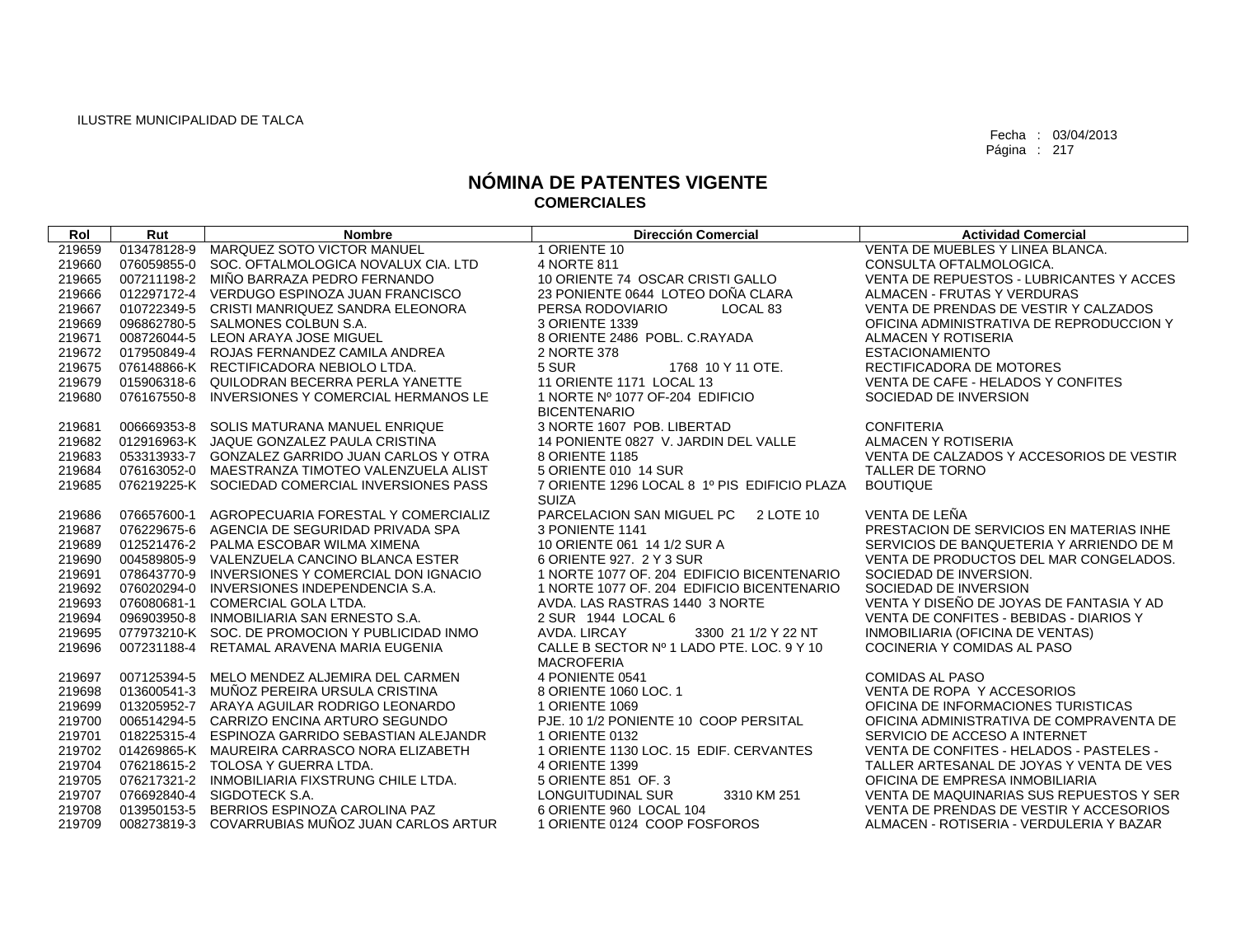| Rol    | Rut         | <b>Nombre</b>                                   | <b>Dirección Comercial</b>                   | <b>Actividad Comercial</b>               |
|--------|-------------|-------------------------------------------------|----------------------------------------------|------------------------------------------|
| 219659 | 013478128-9 | MARQUEZ SOTO VICTOR MANUEL                      | 1 ORIENTE 10                                 | VENTA DE MUEBLES Y LINEA BLANCA.         |
| 219660 | 076059855-0 | SOC. OFTALMOLOGICA NOVALUX CIA. LTD             | 4 NORTE 811                                  | CONSULTA OFTALMOLOGICA.                  |
| 219665 |             | 007211198-2 MIÑO BARRAZA PEDRO FERNANDO         | 10 ORIENTE 74 OSCAR CRISTI GALLO             | VENTA DE REPUESTOS - LUBRICANTES Y ACCES |
| 219666 |             | 012297172-4 VERDUGO ESPINOZA JUAN FRANCISCO     | 23 PONIENTE 0644 LOTEO DOÑA CLARA            | ALMACEN - FRUTAS Y VERDURAS              |
| 219667 |             | 010722349-5 CRISTI MANRIQUEZ SANDRA ELEONORA    | PERSA RODOVIARIO<br>LOCAL 83                 | VENTA DE PRENDAS DE VESTIR Y CALZADOS    |
| 219669 | 096862780-5 | SALMONES COLBUN S.A.                            | 3 ORIENTE 1339                               | OFICINA ADMINISTRATIVA DE REPRODUCCION Y |
| 219671 |             | 008726044-5 LEON ARAYA JOSE MIGUEL              | 8 ORIENTE 2486 POBL. C.RAYADA                | ALMACEN Y ROTISERIA                      |
| 219672 |             | 017950849-4 ROJAS FERNANDEZ CAMILA ANDREA       | 2 NORTE 378                                  | <b>ESTACIONAMIENTO</b>                   |
| 219675 |             | 076148866-K RECTIFICADORA NEBIOLO LTDA.         | 5 SUR<br>1768 10 Y 11 OTE.                   | RECTIFICADORA DE MOTORES                 |
| 219679 |             | 015906318-6 QUILODRAN BECERRA PERLA YANETTE     | 11 ORIENTE 1171 LOCAL 13                     | VENTA DE CAFE - HELADOS Y CONFITES       |
| 219680 | 076167550-8 | INVERSIONES Y COMERCIAL HERMANOS LE             | 1 NORTE Nº 1077 OF-204 EDIFICIO              | SOCIEDAD DE INVERSION                    |
|        |             |                                                 | <b>BICENTENARIO</b>                          |                                          |
| 219681 |             | 006669353-8 SOLIS MATURANA MANUEL ENRIQUE       | 3 NORTE 1607 POB, LIBERTAD                   | <b>CONFITERIA</b>                        |
| 219682 |             | 012916963-K JAQUE GONZALEZ PAULA CRISTINA       | 14 PONIENTE 0827 V. JARDIN DEL VALLE         | ALMACEN Y ROTISERIA                      |
| 219683 |             | 053313933-7 GONZALEZ GARRIDO JUAN CARLOS Y OTRA | 8 ORIENTE 1185                               | VENTA DE CALZADOS Y ACCESORIOS DE VESTIR |
| 219684 |             | 076163052-0 MAESTRANZA TIMOTEO VALENZUELA ALIST | 5 ORIENTE 010 14 SUR                         | <b>TALLER DE TORNO</b>                   |
| 219685 |             | 076219225-K SOCIEDAD COMERCIAL INVERSIONES PASS | 7 ORIENTE 1296 LOCAL 8 1º PIS EDIFICIO PLAZA | <b>BOUTIQUE</b>                          |
|        |             |                                                 | <b>SUIZA</b>                                 |                                          |
| 219686 |             | 076657600-1 AGROPECUARIA FORESTAL Y COMERCIALIZ | PARCELACION SAN MIGUEL PC 2 LOTE 10          | VENTA DE LEÑA                            |
| 219687 |             | 076229675-6 AGENCIA DE SEGURIDAD PRIVADA SPA    | 3 PONIENTE 1141                              | PRESTACION DE SERVICIOS EN MATERIAS INHE |
| 219689 |             | 012521476-2 PALMA ESCOBAR WILMA XIMENA          | 10 ORIENTE 061 14 1/2 SUR A                  | SERVICIOS DE BANQUETERIA Y ARRIENDO DE M |
| 219690 |             | 004589805-9 VALENZUELA CANCINO BLANCA ESTER     | 6 ORIENTE 927, 2 Y 3 SUR                     | VENTA DE PRODUCTOS DEL MAR CONGELADOS.   |
| 219691 | 078643770-9 | INVERSIONES Y COMERCIAL DON IGNACIO             | 1 NORTE 1077 OF, 204 EDIFICIO BICENTENARIO   | SOCIEDAD DE INVERSION.                   |
| 219692 |             | 076020294-0 INVERSIONES INDEPENDENCIA S.A.      | 1 NORTE 1077 OF, 204 EDIFICIO BICENTENARIO   | SOCIEDAD DE INVERSION                    |
| 219693 |             | 076080681-1 COMERCIAL GOLA LTDA.                | AVDA. LAS RASTRAS 1440 3 NORTE               | VENTA Y DISEÑO DE JOYAS DE FANTASIA Y AD |
| 219694 | 096903950-8 | INMOBILIARIA SAN ERNESTO S.A.                   | 2 SUR 1944 LOCAL 6                           | VENTA DE CONFITES - BEBIDAS - DIARIOS Y  |
| 219695 |             | 077973210-K SOC, DE PROMOCION Y PUBLICIDAD INMO | AVDA, LIRCAY<br>3300 21 1/2 Y 22 NT          | INMOBILIARIA (OFICINA DE VENTAS)         |
| 219696 | 007231188-4 | RETAMAL ARAVENA MARIA EUGENIA                   | CALLE B SECTOR Nº 1 LADO PTE. LOC. 9 Y 10    | COCINERIA Y COMIDAS AL PASO              |
|        |             |                                                 | <b>MACROFERIA</b>                            |                                          |
| 219697 |             | 007125394-5 MELO MENDEZ ALJEMIRA DEL CARMEN     | 4 PONIENTE 0541                              | <b>COMIDAS AL PASO</b>                   |
| 219698 |             | 013600541-3 MUÑOZ PEREIRA URSULA CRISTINA       | 8 ORIENTE 1060 LOC. 1                        | VENTA DE ROPA Y ACCESORIOS               |
| 219699 |             | 013205952-7 ARAYA AGUILAR RODRIGO LEONARDO      | 1 ORIENTE 1069                               | OFICINA DE INFORMACIONES TURISTICAS      |
| 219700 |             | 006514294-5 CARRIZO ENCINA ARTURO SEGUNDO       | PJE. 10 1/2 PONIENTE 10 COOP PERSITAL        | OFICINA ADMINISTRATIVA DE COMPRAVENTA DE |
| 219701 |             | 018225315-4 ESPINOZA GARRIDO SEBASTIAN ALEJANDR | 1 ORIENTE 0132                               | SERVICIO DE ACCESO A INTERNET            |
| 219702 |             | 014269865-K MAUREIRA CARRASCO NORA ELIZABETH    | 1 ORIENTE 1130 LOC. 15 EDIF. CERVANTES       | VENTA DE CONFITES - HELADOS - PASTELES - |
| 219704 |             | 076218615-2 TOLOSA Y GUERRA LTDA.               | 4 ORIENTE 1399                               | TALLER ARTESANAL DE JOYAS Y VENTA DE VES |
| 219705 |             | 076217321-2 INMOBILIARIA FIXSTRUNG CHILE LTDA.  | 5 ORIENTE 851 OF. 3                          | OFICINA DE EMPRESA INMOBILIARIA          |
| 219707 |             | 076692840-4 SIGDOTECK S.A.                      | <b>LONGUITUDINAL SUR</b><br>3310 KM 251      | VENTA DE MAQUINARIAS SUS REPUESTOS Y SER |
| 219708 |             | 013950153-5 BERRIOS ESPINOZA CAROLINA PAZ       | 6 ORIENTE 960 LOCAL 104                      | VENTA DE PRENDAS DE VESTIR Y ACCESORIOS  |
| 219709 |             | 008273819-3 COVARRUBIAS MUÑOZ JUAN CARLOS ARTUR | 1 ORIENTE 0124 COOP FOSFOROS                 | ALMACEN - ROTISERIA - VERDULERIA Y BAZAR |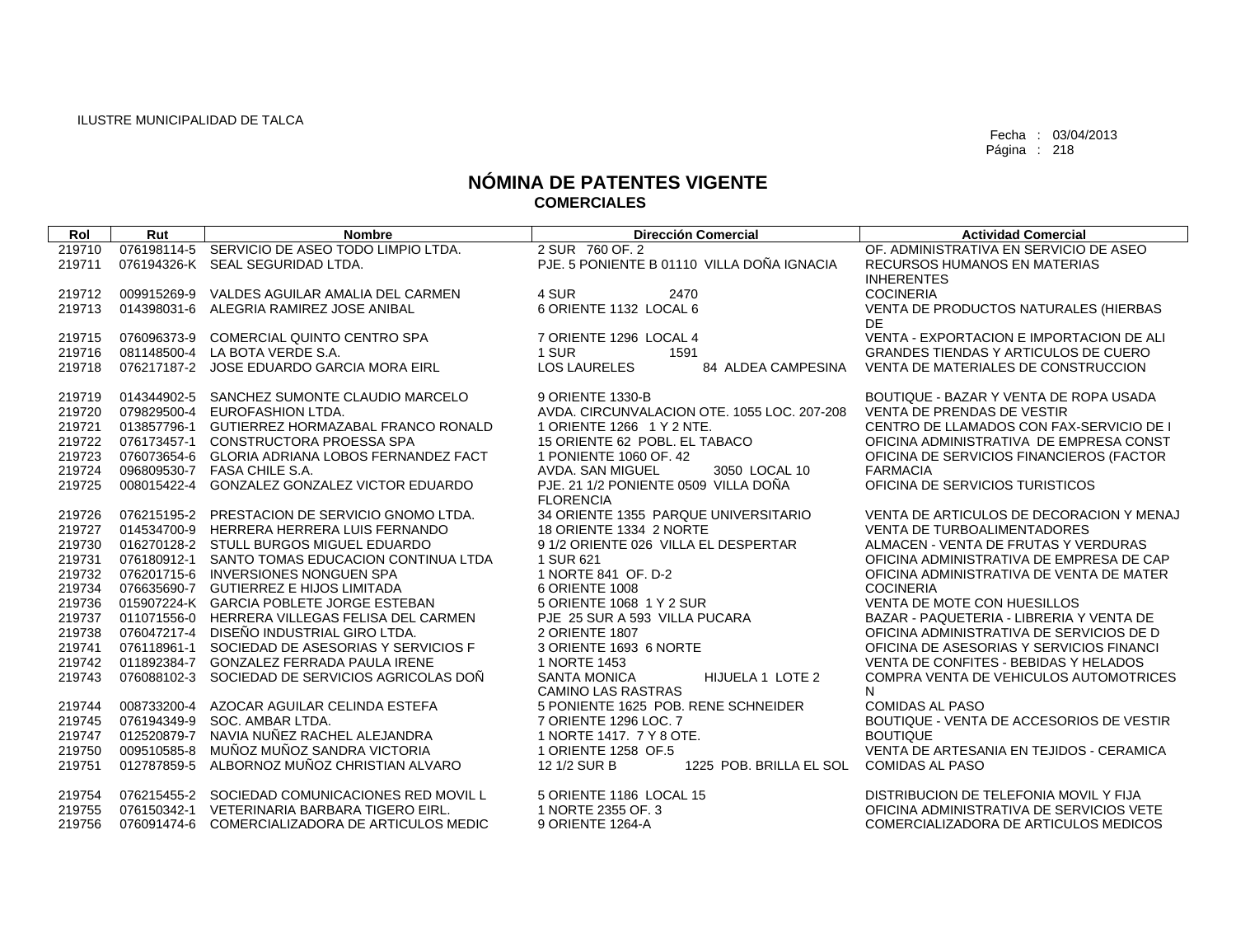| Rol              | Rut         | <b>Nombre</b>                                                                      | <b>Dirección Comercial</b>                              | <b>Actividad Comercial</b>                      |
|------------------|-------------|------------------------------------------------------------------------------------|---------------------------------------------------------|-------------------------------------------------|
| 219710           |             | 076198114-5 SERVICIO DE ASEO TODO LIMPIO LTDA.                                     | 2 SUR 760 OF 2                                          | OF. ADMINISTRATIVA EN SERVICIO DE ASEO          |
| 219711           |             | 076194326-K SEAL SEGURIDAD LTDA.                                                   | PJE. 5 PONIENTE B 01110 VILLA DOÑA IGNACIA              | RECURSOS HUMANOS EN MATERIAS                    |
|                  |             |                                                                                    |                                                         | <b>INHERENTES</b>                               |
| 219712           |             | 009915269-9 VALDES AGUILAR AMALIA DEL CARMEN                                       | 4 SUR<br>2470                                           | <b>COCINERIA</b>                                |
| 219713           |             | 014398031-6 ALEGRIA RAMIREZ JOSE ANIBAL                                            | 6 ORIENTE 1132 LOCAL 6                                  | VENTA DE PRODUCTOS NATURALES (HIERBAS           |
|                  |             |                                                                                    |                                                         | DE                                              |
| 219715           | 076096373-9 | <b>COMERCIAL QUINTO CENTRO SPA</b>                                                 | 7 ORIENTE 1296 LOCAL 4                                  | VENTA - EXPORTACION E IMPORTACION DE ALI        |
| 219716           |             | 081148500-4 LA BOTA VERDE S.A.                                                     | 1 SUR<br>1591                                           | <b>GRANDES TIENDAS Y ARTICULOS DE CUERO</b>     |
| 219718           |             | 076217187-2 JOSE EDUARDO GARCIA MORA EIRL                                          | <b>LOS LAURELES</b><br>84 ALDEA CAMPESINA               | VENTA DE MATERIALES DE CONSTRUCCION             |
| 219719           |             | 014344902-5 SANCHEZ SUMONTE CLAUDIO MARCELO                                        | 9 ORIENTE 1330-B                                        | BOUTIQUE - BAZAR Y VENTA DE ROPA USADA          |
| 219720           |             | 079829500-4 EUROFASHION LTDA.                                                      | AVDA. CIRCUNVALACION OTE. 1055 LOC. 207-208             | VENTA DE PRENDAS DE VESTIR                      |
| 219721           |             | 013857796-1 GUTIERREZ HORMAZABAL FRANCO RONALD                                     | 1 ORIENTE 1266 1 Y 2 NTE.                               | CENTRO DE LLAMADOS CON FAX-SERVICIO DE I        |
| 219722           |             | 076173457-1 CONSTRUCTORA PROESSA SPA                                               | 15 ORIENTE 62 POBL. EL TABACO                           | OFICINA ADMINISTRATIVA DE EMPRESA CONST         |
| 219723           |             | 076073654-6 GLORIA ADRIANA LOBOS FERNANDEZ FACT                                    | 1 PONIENTE 1060 OF, 42                                  | OFICINA DE SERVICIOS FINANCIEROS (FACTOR        |
| 219724           |             | 096809530-7 FASA CHILE S.A.                                                        | 3050 LOCAL 10<br>AVDA, SAN MIGUEL                       | <b>FARMACIA</b>                                 |
| 219725           | 008015422-4 | <b>GONZALEZ GONZALEZ VICTOR EDUARDO</b>                                            | PJE. 21 1/2 PONIENTE 0509 VILLA DOÑA                    | OFICINA DE SERVICIOS TURISTICOS                 |
|                  |             |                                                                                    | <b>FLORENCIA</b>                                        |                                                 |
| 219726           |             | 076215195-2 PRESTACION DE SERVICIO GNOMO LTDA.                                     | 34 ORIENTE 1355 PARQUE UNIVERSITARIO                    | VENTA DE ARTICULOS DE DECORACION Y MENAJ        |
| 219727           |             | 014534700-9 HERRERA HERRERA LUIS FERNANDO                                          | 18 ORIENTE 1334 2 NORTE                                 | <b>VENTA DE TURBOALIMENTADORES</b>              |
| 219730           |             | 016270128-2 STULL BURGOS MIGUEL EDUARDO                                            | 9 1/2 ORIENTE 026 VILLA EL DESPERTAR                    | ALMACEN - VENTA DE FRUTAS Y VERDURAS            |
| 219731           |             | 076180912-1 SANTO TOMAS EDUCACION CONTINUA LTDA                                    | 1 SUR 621                                               | OFICINA ADMINISTRATIVA DE EMPRESA DE CAP        |
| 219732           |             | 076201715-6 INVERSIONES NONGUEN SPA                                                | 1 NORTE 841 OF, D-2                                     | OFICINA ADMINISTRATIVA DE VENTA DE MATER        |
| 219734<br>219736 |             | 076635690-7 GUTIERREZ E HIJOS LIMITADA<br>015907224-K GARCIA POBLETE JORGE ESTEBAN | 6 ORIENTE 1008<br>5 ORIENTE 1068 1 Y 2 SUR              | <b>COCINERIA</b><br>VENTA DE MOTE CON HUESILLOS |
| 219737           |             | 011071556-0 HERRERA VILLEGAS FELISA DEL CARMEN                                     | PJE 25 SUR A 593 VILLA PUCARA                           | BAZAR - PAQUETERIA - LIBRERIA Y VENTA DE        |
| 219738           |             | 076047217-4 DISEÑO INDUSTRIAL GIRO LTDA.                                           | 2 ORIENTE 1807                                          | OFICINA ADMINISTRATIVA DE SERVICIOS DE D        |
| 219741           |             | 076118961-1 SOCIEDAD DE ASESORIAS Y SERVICIOS F                                    | 3 ORIENTE 1693 6 NORTE                                  | OFICINA DE ASESORIAS Y SERVICIOS FINANCI        |
| 219742           | 011892384-7 | <b>GONZALEZ FERRADA PAULA IRENE</b>                                                | 1 NORTE 1453                                            | VENTA DE CONFITES - BEBIDAS Y HELADOS           |
| 219743           |             | 076088102-3 SOCIEDAD DE SERVICIOS AGRICOLAS DOÑ                                    | <b>SANTA MONICA</b><br>HIJUELA 1 LOTE 2                 | COMPRA VENTA DE VEHICULOS AUTOMOTRICES          |
|                  |             |                                                                                    | <b>CAMINO LAS RASTRAS</b>                               | N                                               |
| 219744           | 008733200-4 | AZOCAR AGUILAR CELINDA ESTEFA                                                      | 5 PONIENTE 1625 POB, RENE SCHNEIDER                     | <b>COMIDAS AL PASO</b>                          |
| 219745           | 076194349-9 | SOC. AMBAR LTDA.                                                                   | 7 ORIENTE 1296 LOC. 7                                   | BOUTIQUE - VENTA DE ACCESORIOS DE VESTIR        |
| 219747           | 012520879-7 | NAVIA NUÑEZ RACHEL ALEJANDRA                                                       | 1 NORTE 1417, 7 Y 8 OTE.                                | <b>BOUTIQUE</b>                                 |
| 219750           | 009510585-8 | MUÑOZ MUÑOZ SANDRA VICTORIA                                                        | 1 ORIENTE 1258 OF.5                                     | VENTA DE ARTESANIA EN TEJIDOS - CERAMICA        |
| 219751           | 012787859-5 | ALBORNOZ MUÑOZ CHRISTIAN ALVARO                                                    | 1225 POB. BRILLA EL SOL COMIDAS AL PASO<br>12 1/2 SUR B |                                                 |
| 219754           |             | 076215455-2 SOCIEDAD COMUNICACIONES RED MOVIL L                                    | 5 ORIENTE 1186 LOCAL 15                                 | DISTRIBUCION DE TELEFONIA MOVIL Y FIJA          |
| 219755           |             | 076150342-1 VETERINARIA BARBARA TIGERO EIRL.                                       | 1 NORTE 2355 OF, 3                                      | OFICINA ADMINISTRATIVA DE SERVICIOS VETE        |
| 219756           |             | 076091474-6 COMERCIALIZADORA DE ARTICULOS MEDIC                                    | 9 ORIENTE 1264-A                                        | COMERCIALIZADORA DE ARTICULOS MEDICOS           |
|                  |             |                                                                                    |                                                         |                                                 |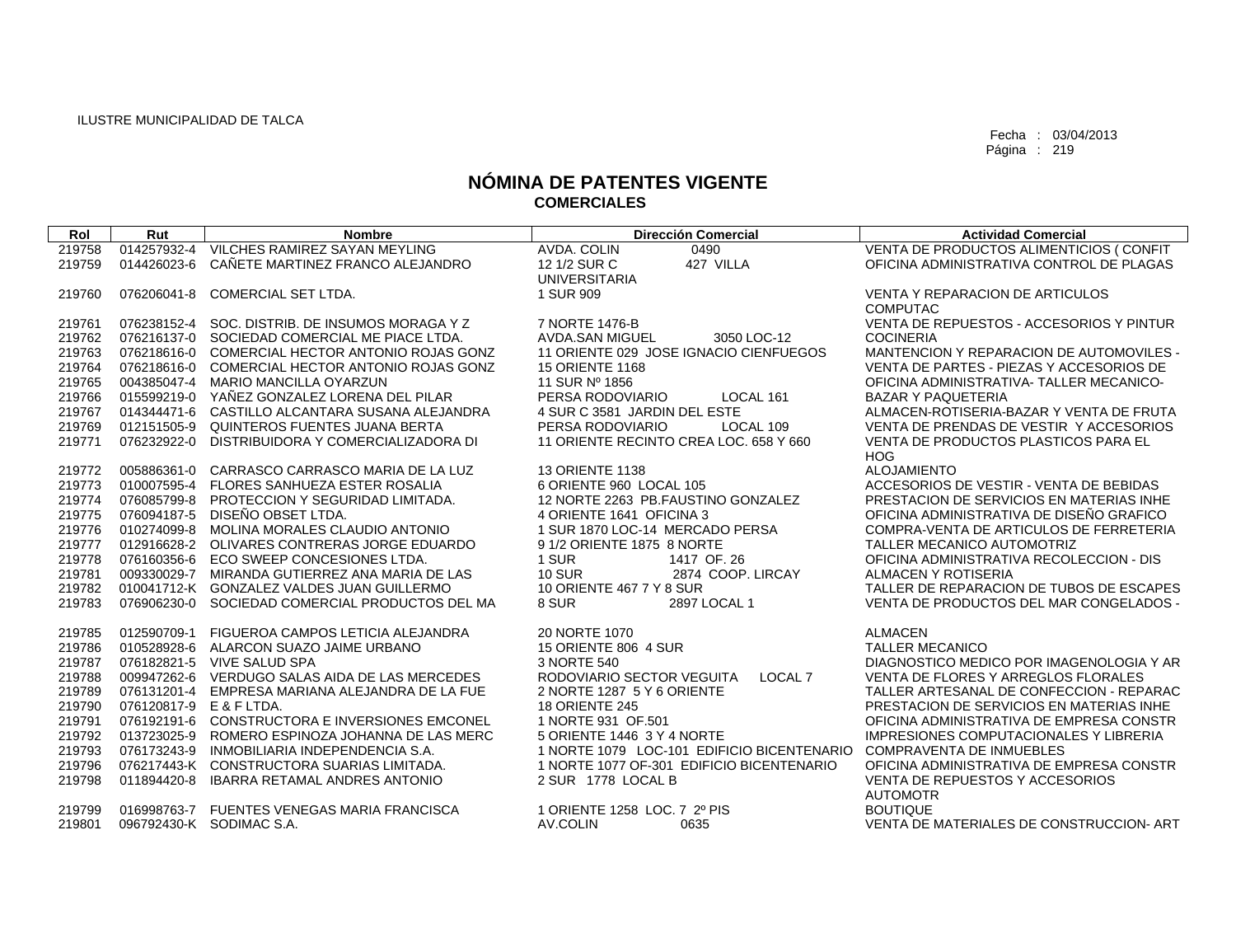| Rol    | Rut         | <b>Nombre</b>                                   | <b>Dirección Comercial</b>                 | <b>Actividad Comercial</b>               |
|--------|-------------|-------------------------------------------------|--------------------------------------------|------------------------------------------|
| 219758 | 014257932-4 | VILCHES RAMIREZ SAYAN MEYLING                   | AVDA, COLIN<br>0490                        | VENTA DE PRODUCTOS ALIMENTICIOS (CONFIT  |
| 219759 | 014426023-6 | CAÑETE MARTINEZ FRANCO ALEJANDRO                | 427 VILLA<br>12 1/2 SUR C                  | OFICINA ADMINISTRATIVA CONTROL DE PLAGAS |
|        |             |                                                 | <b>UNIVERSITARIA</b>                       |                                          |
| 219760 | 076206041-8 | COMERCIAL SET LTDA.                             | 1 SUR 909                                  | <b>VENTA Y REPARACION DE ARTICULOS</b>   |
|        |             |                                                 |                                            | <b>COMPUTAC</b>                          |
| 219761 |             | 076238152-4 SOC. DISTRIB. DE INSUMOS MORAGA Y Z | 7 NORTE 1476-B                             | VENTA DE REPUESTOS - ACCESORIOS Y PINTUR |
| 219762 |             | 076216137-0 SOCIEDAD COMERCIAL ME PIACE LTDA.   | <b>AVDA.SAN MIGUEL</b><br>3050 LOC-12      | <b>COCINERIA</b>                         |
| 219763 |             | 076218616-0 COMERCIAL HECTOR ANTONIO ROJAS GONZ | 11 ORIENTE 029 JOSE IGNACIO CIENFUEGOS     | MANTENCION Y REPARACION DE AUTOMOVILES - |
| 219764 |             | 076218616-0 COMERCIAL HECTOR ANTONIO ROJAS GONZ | <b>15 ORIENTE 1168</b>                     | VENTA DE PARTES - PIEZAS Y ACCESORIOS DE |
| 219765 |             | 004385047-4 MARIO MANCILLA OYARZUN              | 11 SUR Nº 1856                             | OFICINA ADMINISTRATIVA- TALLER MECANICO- |
| 219766 |             | 015599219-0 YAÑEZ GONZALEZ LORENA DEL PILAR     | PERSA RODOVIARIO<br>LOCAL 161              | <b>BAZAR Y PAQUETERIA</b>                |
| 219767 |             | 014344471-6 CASTILLO ALCANTARA SUSANA ALEJANDRA | 4 SUR C 3581 JARDIN DEL ESTE               | ALMACEN-ROTISERIA-BAZAR Y VENTA DE FRUTA |
| 219769 | 012151505-9 | QUINTEROS FUENTES JUANA BERTA                   | PERSA RODOVIARIO<br>LOCAL 109              | VENTA DE PRENDAS DE VESTIR Y ACCESORIOS  |
| 219771 | 076232922-0 | DISTRIBUIDORA Y COMERCIALIZADORA DI             | 11 ORIENTE RECINTO CREA LOC. 658 Y 660     | VENTA DE PRODUCTOS PLASTICOS PARA EL     |
|        |             |                                                 |                                            | <b>HOG</b>                               |
| 219772 | 005886361-0 | CARRASCO CARRASCO MARIA DE LA LUZ               | <b>13 ORIENTE 1138</b>                     | <b>ALOJAMIENTO</b>                       |
| 219773 | 010007595-4 | <b>FLORES SANHUEZA ESTER ROSALIA</b>            | 6 ORIENTE 960 LOCAL 105                    | ACCESORIOS DE VESTIR - VENTA DE BEBIDAS  |
| 219774 | 076085799-8 | PROTECCION Y SEGURIDAD LIMITADA.                | 12 NORTE 2263 PB.FAUSTINO GONZALEZ         | PRESTACION DE SERVICIOS EN MATERIAS INHE |
| 219775 | 076094187-5 | DISEÑO OBSET LTDA.                              | 4 ORIENTE 1641 OFICINA 3                   | OFICINA ADMINISTRATIVA DE DISEÑO GRAFICO |
| 219776 | 010274099-8 | MOLINA MORALES CLAUDIO ANTONIO                  | 1 SUR 1870 LOC-14 MERCADO PERSA            | COMPRA-VENTA DE ARTICULOS DE FERRETERIA  |
| 219777 |             | 012916628-2 OLIVARES CONTRERAS JORGE EDUARDO    | 9 1/2 ORIENTE 1875 8 NORTE                 | TALLER MECANICO AUTOMOTRIZ               |
| 219778 | 076160356-6 | ECO SWEEP CONCESIONES LTDA.                     | 1 SUR<br>1417 OF 26                        | OFICINA ADMINISTRATIVA RECOLECCION - DIS |
| 219781 |             | 009330029-7 MIRANDA GUTIERREZ ANA MARIA DE LAS  | <b>10 SUR</b><br>2874 COOP. LIRCAY         | ALMACEN Y ROTISERIA                      |
| 219782 |             | 010041712-K GONZALEZ VALDES JUAN GUILLERMO      | 10 ORIENTE 467 7 Y 8 SUR                   | TALLER DE REPARACION DE TUBOS DE ESCAPES |
| 219783 | 076906230-0 | SOCIEDAD COMERCIAL PRODUCTOS DEL MA             | 8 SUR<br>2897 LOCAL 1                      | VENTA DE PRODUCTOS DEL MAR CONGELADOS -  |
| 219785 | 012590709-1 | FIGUEROA CAMPOS LETICIA ALEJANDRA               | 20 NORTE 1070                              | <b>ALMACEN</b>                           |
| 219786 |             | 010528928-6 ALARCON SUAZO JAIME URBANO          | 15 ORIENTE 806 4 SUR                       | <b>TALLER MECANICO</b>                   |
| 219787 |             | 076182821-5 VIVE SALUD SPA                      | 3 NORTE 540                                | DIAGNOSTICO MEDICO POR IMAGENOLOGIA Y AR |
| 219788 |             | 009947262-6 VERDUGO SALAS AIDA DE LAS MERCEDES  | RODOVIARIO SECTOR VEGUITA<br>LOCAL 7       | VENTA DE FLORES Y ARREGLOS FLORALES      |
| 219789 | 076131201-4 | EMPRESA MARIANA ALEJANDRA DE LA FUE             | 2 NORTE 1287 5 Y 6 ORIENTE                 | TALLER ARTESANAL DE CONFECCION - REPARAC |
| 219790 | 076120817-9 | E & F LTDA.                                     | <b>18 ORIENTE 245</b>                      | PRESTACION DE SERVICIOS EN MATERIAS INHE |
| 219791 |             | 076192191-6 CONSTRUCTORA E INVERSIONES EMCONEL  | 1 NORTE 931 OF 501                         | OFICINA ADMINISTRATIVA DE EMPRESA CONSTR |
| 219792 | 013723025-9 | ROMERO ESPINOZA JOHANNA DE LAS MERC             | 5 ORIENTE 1446 3 Y 4 NORTE                 | IMPRESIONES COMPUTACIONALES Y LIBRERIA   |
| 219793 | 076173243-9 | INMOBILIARIA INDEPENDENCIA S.A.                 | 1 NORTE 1079 LOC-101 EDIFICIO BICENTENARIO | <b>COMPRAVENTA DE INMUEBLES</b>          |
| 219796 |             | 076217443-K CONSTRUCTORA SUARIAS LIMITADA.      | 1 NORTE 1077 OF-301 EDIFICIO BICENTENARIO  | OFICINA ADMINISTRATIVA DE EMPRESA CONSTR |
| 219798 | 011894420-8 | <b>IBARRA RETAMAL ANDRES ANTONIO</b>            | 2 SUR 1778 LOCAL B                         | VENTA DE REPUESTOS Y ACCESORIOS          |
|        |             |                                                 |                                            | <b>AUTOMOTR</b>                          |
| 219799 |             | 016998763-7 FUENTES VENEGAS MARIA FRANCISCA     | 1 ORIENTE 1258 LOC. 7 2º PIS               | <b>BOUTIQUE</b>                          |
| 219801 |             | 096792430-K SODIMAC S.A.                        | AV.COLIN<br>0635                           | VENTA DE MATERIALES DE CONSTRUCCION-ART  |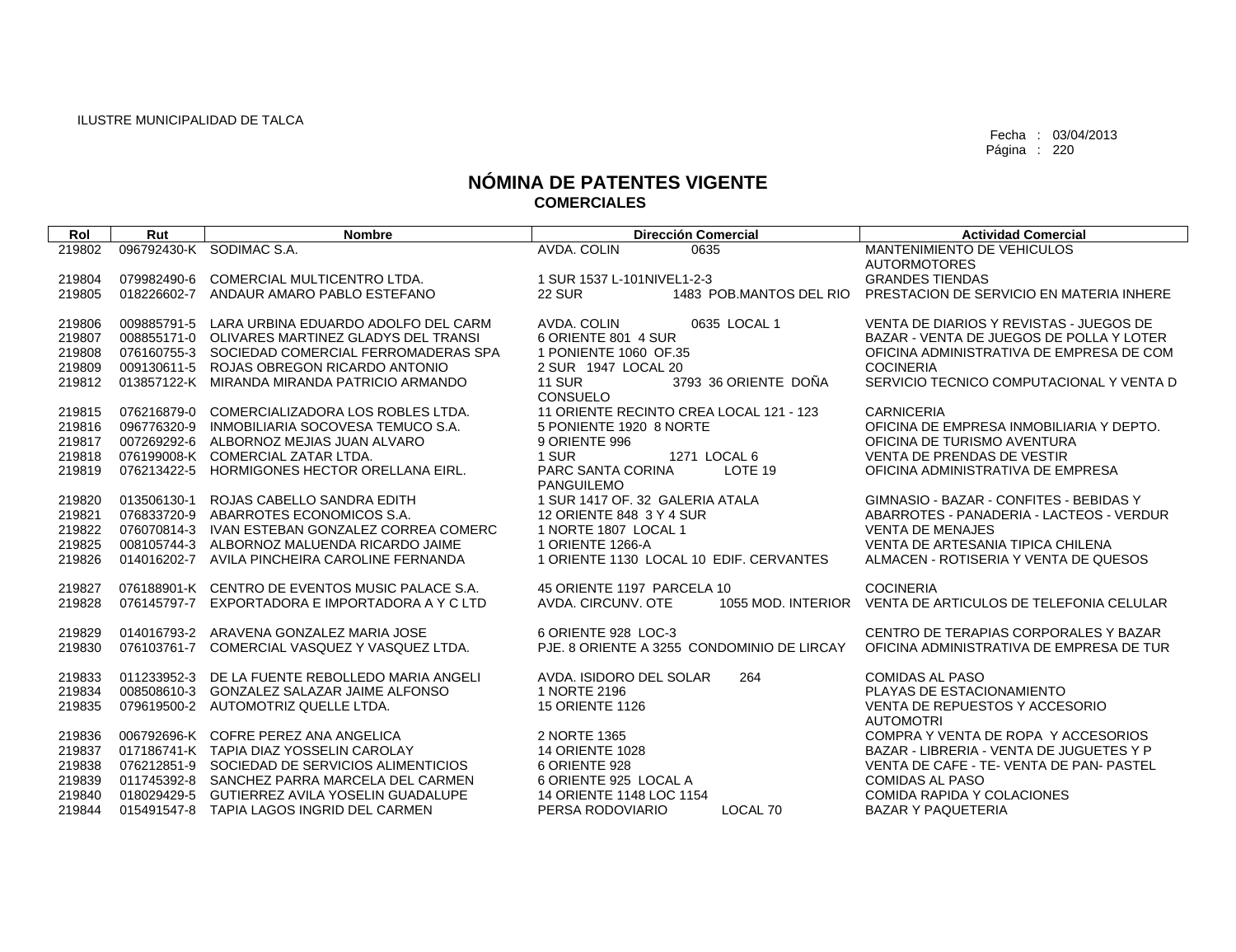| Rol              | Rut         | <b>Nombre</b>                                                                      | <b>Dirección Comercial</b>                                         | <b>Actividad Comercial</b>                                    |
|------------------|-------------|------------------------------------------------------------------------------------|--------------------------------------------------------------------|---------------------------------------------------------------|
| 219802           |             | 096792430-K SODIMAC S.A.                                                           | AVDA, COLIN<br>0635                                                | MANTENIMIENTO DE VEHICULOS                                    |
|                  |             |                                                                                    |                                                                    | <b>AUTORMOTORES</b>                                           |
| 219804           | 079982490-6 | COMERCIAL MULTICENTRO LTDA.                                                        | 1 SUR 1537 L-101NIVEL1-2-3                                         | <b>GRANDES TIENDAS</b>                                        |
| 219805           | 018226602-7 | ANDAUR AMARO PABLO ESTEFANO                                                        | <b>22 SUR</b><br>1483 POB.MANTOS DEL RIO                           | PRESTACION DE SERVICIO EN MATERIA INHERE                      |
|                  |             |                                                                                    |                                                                    |                                                               |
| 219806           | 009885791-5 | LARA URBINA EDUARDO ADOLFO DEL CARM                                                | AVDA, COLIN<br>0635 LOCAL 1                                        | VENTA DE DIARIOS Y REVISTAS - JUEGOS DE                       |
| 219807           |             | 008855171-0 OLIVARES MARTINEZ GLADYS DEL TRANSI                                    | 6 ORIENTE 801 4 SUR                                                | BAZAR - VENTA DE JUEGOS DE POLLA Y LOTER                      |
| 219808           | 076160755-3 | SOCIEDAD COMERCIAL FERROMADERAS SPA                                                | 1 PONIENTE 1060 OF 35                                              | OFICINA ADMINISTRATIVA DE EMPRESA DE COM                      |
| 219809           | 009130611-5 | ROJAS OBREGON RICARDO ANTONIO                                                      | 2 SUR 1947 LOCAL 20                                                | <b>COCINERIA</b>                                              |
| 219812           |             | 013857122-K MIRANDA MIRANDA PATRICIO ARMANDO                                       | 3793 36 ORIENTE DOÑA<br><b>11 SUR</b>                              | SERVICIO TECNICO COMPUTACIONAL Y VENTA D                      |
|                  |             |                                                                                    | <b>CONSUELO</b>                                                    |                                                               |
| 219815<br>219816 | 096776320-9 | 076216879-0 COMERCIALIZADORA LOS ROBLES LTDA.<br>INMOBILIARIA SOCOVESA TEMUCO S.A. | 11 ORIENTE RECINTO CREA LOCAL 121 - 123<br>5 PONIENTE 1920 8 NORTE | <b>CARNICERIA</b><br>OFICINA DE EMPRESA INMOBILIARIA Y DEPTO. |
| 219817           |             | 007269292-6 ALBORNOZ MEJIAS JUAN ALVARO                                            | 9 ORIENTE 996                                                      | OFICINA DE TURISMO AVENTURA                                   |
| 219818           |             | 076199008-K COMERCIAL ZATAR LTDA.                                                  | 1 SUR<br>1271 LOCAL 6                                              | <b>VENTA DE PRENDAS DE VESTIR</b>                             |
| 219819           | 076213422-5 | HORMIGONES HECTOR ORELLANA EIRL.                                                   | PARC SANTA CORINA<br>LOTE 19                                       | OFICINA ADMINISTRATIVA DE EMPRESA                             |
|                  |             |                                                                                    | <b>PANGUILEMO</b>                                                  |                                                               |
| 219820           | 013506130-1 | ROJAS CABELLO SANDRA EDITH                                                         | 1 SUR 1417 OF, 32 GALERIA ATALA                                    | GIMNASIO - BAZAR - CONFITES - BEBIDAS Y                       |
| 219821           |             | 076833720-9 ABARROTES ECONOMICOS S.A.                                              | 12 ORIENTE 848 3 Y 4 SUR                                           | ABARROTES - PANADERIA - LACTEOS - VERDUR                      |
| 219822           |             | 076070814-3 IVAN ESTEBAN GONZALEZ CORREA COMERC                                    | 1 NORTE 1807 LOCAL 1                                               | <b>VENTA DE MENAJES</b>                                       |
| 219825           | 008105744-3 | ALBORNOZ MALUENDA RICARDO JAIME                                                    | 1 ORIENTE 1266-A                                                   | VENTA DE ARTESANIA TIPICA CHILENA                             |
| 219826           | 014016202-7 | AVILA PINCHEIRA CAROLINE FERNANDA                                                  | 1 ORIENTE 1130 LOCAL 10 EDIF, CERVANTES                            | ALMACEN - ROTISERIA Y VENTA DE QUESOS                         |
|                  |             |                                                                                    |                                                                    |                                                               |
| 219827           |             | 076188901-K CENTRO DE EVENTOS MUSIC PALACE S.A.                                    | 45 ORIENTE 1197 PARCELA 10                                         | <b>COCINERIA</b>                                              |
| 219828           | 076145797-7 | EXPORTADORA E IMPORTADORA A Y C LTD                                                | AVDA, CIRCUNV, OTE<br>1055 MOD. INTERIOR                           | VENTA DE ARTICULOS DE TELEFONIA CELULAR                       |
|                  |             |                                                                                    |                                                                    |                                                               |
| 219829           |             | 014016793-2 ARAVENA GONZALEZ MARIA JOSE                                            | 6 ORIENTE 928 LOC-3                                                | CENTRO DE TERAPIAS CORPORALES Y BAZAR                         |
| 219830           |             | 076103761-7 COMERCIAL VASQUEZ Y VASQUEZ LTDA.                                      | PJE, 8 ORIENTE A 3255 CONDOMINIO DE LIRCAY                         | OFICINA ADMINISTRATIVA DE EMPRESA DE TUR                      |
| 219833           | 011233952-3 | DE LA FUENTE REBOLLEDO MARIA ANGELI                                                | AVDA. ISIDORO DEL SOLAR<br>264                                     | <b>COMIDAS AL PASO</b>                                        |
| 219834           | 008508610-3 | <b>GONZALEZ SALAZAR JAIME ALFONSO</b>                                              | 1 NORTE 2196                                                       | PLAYAS DE ESTACIONAMIENTO                                     |
| 219835           |             | 079619500-2 AUTOMOTRIZ QUELLE LTDA.                                                | <b>15 ORIENTE 1126</b>                                             | VENTA DE REPUESTOS Y ACCESORIO                                |
|                  |             |                                                                                    |                                                                    | <b>AUTOMOTRI</b>                                              |
| 219836           |             | 006792696-K COFRE PEREZ ANA ANGELICA                                               | 2 NORTE 1365                                                       | COMPRA Y VENTA DE ROPA Y ACCESORIOS                           |
| 219837           |             | 017186741-K TAPIA DIAZ YOSSELIN CAROLAY                                            | <b>14 ORIENTE 1028</b>                                             | BAZAR - LIBRERIA - VENTA DE JUGUETES Y P                      |
| 219838           |             | 076212851-9 SOCIEDAD DE SERVICIOS ALIMENTICIOS                                     | 6 ORIENTE 928                                                      | VENTA DE CAFE - TE-VENTA DE PAN- PASTEL                       |
| 219839           |             | 011745392-8 SANCHEZ PARRA MARCELA DEL CARMEN                                       | 6 ORIENTE 925 LOCAL A                                              | <b>COMIDAS AL PASO</b>                                        |
| 219840           | 018029429-5 | GUTIERREZ AVILA YOSELIN GUADALUPE                                                  | 14 ORIENTE 1148 LOC 1154                                           | COMIDA RAPIDA Y COLACIONES                                    |
| 219844           |             | 015491547-8 TAPIA LAGOS INGRID DEL CARMEN                                          | PERSA RODOVIARIO<br>LOCAL 70                                       | <b>BAZAR Y PAQUETERIA</b>                                     |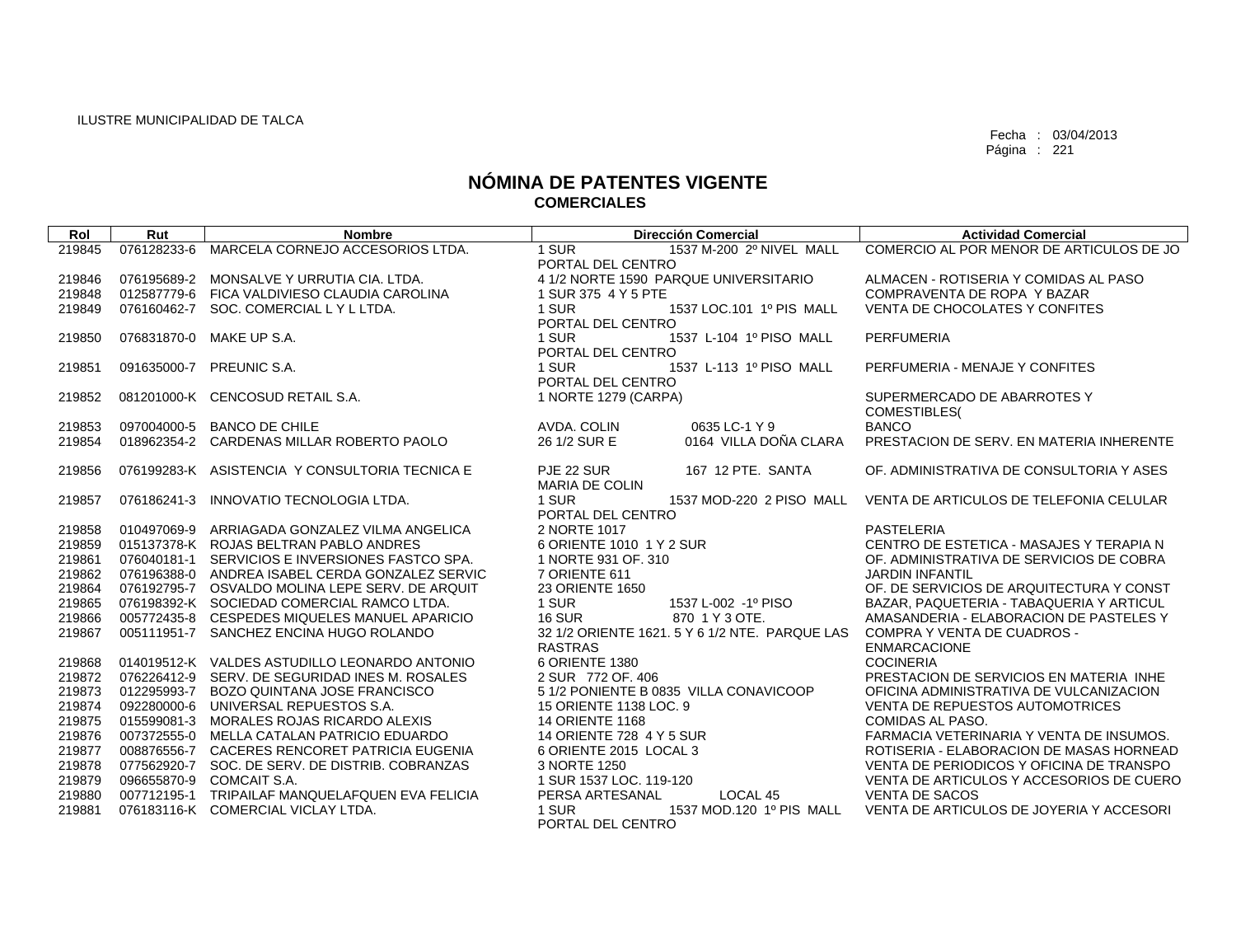| Rol              | Rut         | <b>Nombre</b>                                                                                 | <b>Dirección Comercial</b>                            | <b>Actividad Comercial</b>                                                           |
|------------------|-------------|-----------------------------------------------------------------------------------------------|-------------------------------------------------------|--------------------------------------------------------------------------------------|
| 219845           | 076128233-6 | MARCELA CORNEJO ACCESORIOS LTDA.                                                              | 1 SUR<br>1537 M-200 2º NIVEL MALL                     | COMERCIO AL POR MENOR DE ARTICULOS DE JO                                             |
|                  |             |                                                                                               | PORTAL DEL CENTRO                                     |                                                                                      |
| 219846           |             | 076195689-2 MONSALVE Y URRUTIA CIA. LTDA.                                                     | 4 1/2 NORTE 1590 PARQUE UNIVERSITARIO                 | ALMACEN - ROTISERIA Y COMIDAS AL PASO                                                |
| 219848           |             | 012587779-6 FICA VALDIVIESO CLAUDIA CAROLINA                                                  | 1 SUR 375 4 Y 5 PTE                                   | COMPRAVENTA DE ROPA Y BAZAR                                                          |
| 219849           |             | 076160462-7 SOC. COMERCIAL LY LLTDA.                                                          | 1 SUR<br>1537 LOC.101 1º PIS MALL                     | <b>VENTA DE CHOCOLATES Y CONFITES</b>                                                |
|                  |             |                                                                                               | PORTAL DEL CENTRO                                     |                                                                                      |
| 219850           |             | 076831870-0 MAKE UP S.A.                                                                      | 1537 L-104 1º PISO MALL<br>1 SUR                      | <b>PERFUMERIA</b>                                                                    |
|                  |             |                                                                                               | PORTAL DEL CENTRO<br>1 SUR<br>1537 L-113 1º PISO MALL |                                                                                      |
| 219851           |             | 091635000-7 PREUNIC S.A.                                                                      | PORTAL DEL CENTRO                                     | PERFUMERIA - MENAJE Y CONFITES                                                       |
| 219852           |             | 081201000-K CENCOSUD RETAIL S.A.                                                              | 1 NORTE 1279 (CARPA)                                  | SUPERMERCADO DE ABARROTES Y                                                          |
|                  |             |                                                                                               |                                                       | <b>COMESTIBLES</b>                                                                   |
| 219853           |             | 097004000-5 BANCO DE CHILE                                                                    | AVDA. COLIN<br>0635 LC-1 Y 9                          | <b>BANCO</b>                                                                         |
| 219854           |             | 018962354-2 CARDENAS MILLAR ROBERTO PAOLO                                                     | 0164 VILLA DOÑA CLARA<br>26 1/2 SUR E                 | PRESTACION DE SERV. EN MATERIA INHERENTE                                             |
|                  |             |                                                                                               |                                                       |                                                                                      |
| 219856           |             | 076199283-K ASISTENCIA Y CONSULTORIA TECNICA E                                                | 167 12 PTE. SANTA<br>PJE 22 SUR                       | OF, ADMINISTRATIVA DE CONSULTORIA Y ASES                                             |
|                  |             |                                                                                               | <b>MARIA DE COLIN</b>                                 |                                                                                      |
| 219857           | 076186241-3 | INNOVATIO TECNOLOGIA LTDA.                                                                    | 1 SUR<br>1537 MOD-220 2 PISO MALL                     | VENTA DE ARTICULOS DE TELEFONIA CELULAR                                              |
|                  |             |                                                                                               | PORTAL DEL CENTRO                                     |                                                                                      |
| 219858           |             | 010497069-9 ARRIAGADA GONZALEZ VILMA ANGELICA                                                 | 2 NORTE 1017                                          | PASTELERIA                                                                           |
| 219859           |             | 015137378-K ROJAS BELTRAN PABLO ANDRES                                                        | 6 ORIENTE 1010 1 Y 2 SUR                              | CENTRO DE ESTETICA - MASAJES Y TERAPIA N                                             |
| 219861           |             | 076040181-1 SERVICIOS E INVERSIONES FASTCO SPA.                                               | 1 NORTE 931 OF. 310                                   | OF. ADMINISTRATIVA DE SERVICIOS DE COBRA                                             |
| 219862           |             | 076196388-0 ANDREA ISABEL CERDA GONZALEZ SERVIC                                               | 7 ORIENTE 611                                         | <b>JARDIN INFANTIL</b>                                                               |
| 219864<br>219865 |             | 076192795-7 OSVALDO MOLINA LEPE SERV. DE ARQUIT<br>076198392-K SOCIEDAD COMERCIAL RAMCO LTDA. | 23 ORIENTE 1650<br>1 SUR<br>1537 L-002 -1º PISO       | OF. DE SERVICIOS DE ARQUITECTURA Y CONST<br>BAZAR, PAQUETERIA - TABAQUERIA Y ARTICUL |
| 219866           |             | 005772435-8 CESPEDES MIQUELES MANUEL APARICIO                                                 | <b>16 SUR</b><br>870 1 Y 3 OTE.                       | AMASANDERIA - ELABORACION DE PASTELES Y                                              |
| 219867           |             | 005111951-7 SANCHEZ ENCINA HUGO ROLANDO                                                       | 32 1/2 ORIENTE 1621. 5 Y 6 1/2 NTE. PARQUE LAS        | <b>COMPRA Y VENTA DE CUADROS -</b>                                                   |
|                  |             |                                                                                               | <b>RASTRAS</b>                                        | <b>ENMARCACIONE</b>                                                                  |
| 219868           |             | 014019512-K VALDES ASTUDILLO LEONARDO ANTONIO                                                 | 6 ORIENTE 1380                                        | <b>COCINERIA</b>                                                                     |
| 219872           |             | 076226412-9 SERV, DE SEGURIDAD INES M, ROSALES                                                | 2 SUR 772 OF, 406                                     | PRESTACION DE SERVICIOS EN MATERIA INHE                                              |
| 219873           |             | 012295993-7 BOZO QUINTANA JOSE FRANCISCO                                                      | 5 1/2 PONIENTE B 0835 VILLA CONAVICOOP                | OFICINA ADMINISTRATIVA DE VULCANIZACION                                              |
| 219874           |             | 092280000-6 UNIVERSAL REPUESTOS S.A.                                                          | 15 ORIENTE 1138 LOC. 9                                | VENTA DE REPUESTOS AUTOMOTRICES                                                      |
| 219875           |             | 015599081-3 MORALES ROJAS RICARDO ALEXIS                                                      | <b>14 ORIENTE 1168</b>                                | COMIDAS AL PASO.                                                                     |
| 219876           |             | 007372555-0 MELLA CATALAN PATRICIO EDUARDO                                                    | 14 ORIENTE 728 4 Y 5 SUR                              | FARMACIA VETERINARIA Y VENTA DE INSUMOS.                                             |
| 219877           |             | 008876556-7 CACERES RENCORET PATRICIA EUGENIA                                                 | 6 ORIENTE 2015 LOCAL 3                                | ROTISERIA - ELABORACION DE MASAS HORNEAD                                             |
| 219878           |             | 077562920-7 SOC. DE SERV. DE DISTRIB. COBRANZAS                                               | 3 NORTE 1250                                          | VENTA DE PERIODICOS Y OFICINA DE TRANSPO                                             |
| 219879           |             | 096655870-9 COMCAIT S.A.                                                                      | 1 SUR 1537 LOC, 119-120                               | VENTA DE ARTICULOS Y ACCESORIOS DE CUERO                                             |
| 219880           |             | 007712195-1 TRIPAILAF MANQUELAFQUEN EVA FELICIA                                               | PERSA ARTESANAL<br>LOCAL 45                           | <b>VENTA DE SACOS</b>                                                                |
| 219881           |             | 076183116-K COMERCIAL VICLAY LTDA.                                                            | 1 SUR<br>1537 MOD.120 1º PIS MALL                     | VENTA DE ARTICULOS DE JOYERIA Y ACCESORI                                             |
|                  |             |                                                                                               | PORTAL DEL CENTRO                                     |                                                                                      |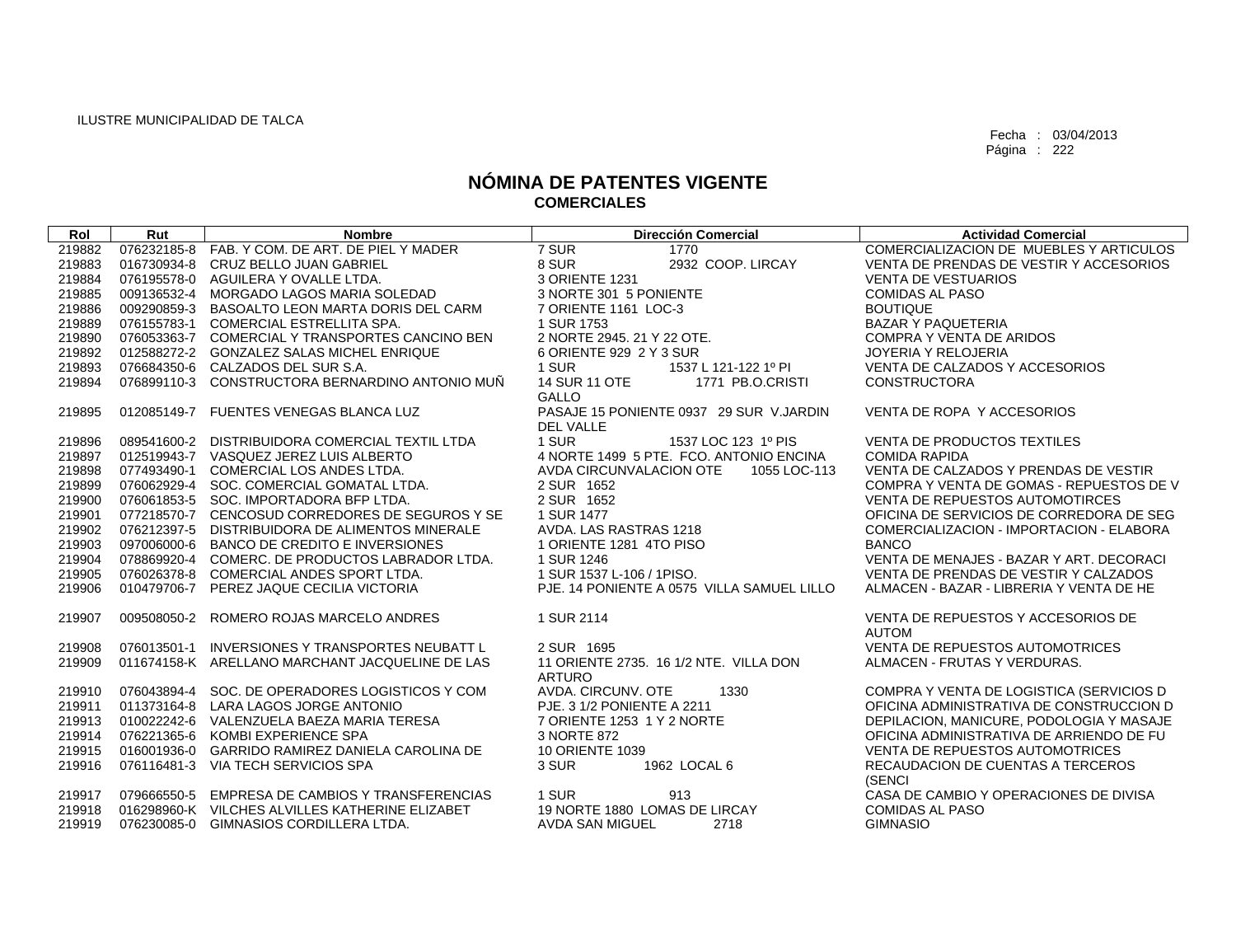| Rol    | Rut         | <b>Nombre</b>                                   | <b>Dirección Comercial</b>                                  | <b>Actividad Comercial</b>                         |
|--------|-------------|-------------------------------------------------|-------------------------------------------------------------|----------------------------------------------------|
| 219882 |             | 076232185-8 FAB. Y COM. DE ART. DE PIEL Y MADER | 7 SUR<br>1770                                               | COMERCIALIZACION DE MUEBLES Y ARTICULOS            |
| 219883 |             | 016730934-8 CRUZ BELLO JUAN GABRIEL             | 8 SUR<br>2932 COOP. LIRCAY                                  | VENTA DE PRENDAS DE VESTIR Y ACCESORIOS            |
| 219884 |             | 076195578-0 AGUILERA Y OVALLE LTDA.             | 3 ORIENTE 1231                                              | <b>VENTA DE VESTUARIOS</b>                         |
| 219885 |             | 009136532-4 MORGADO LAGOS MARIA SOLEDAD         | 3 NORTE 301 5 PONIENTE                                      | <b>COMIDAS AL PASO</b>                             |
| 219886 |             | 009290859-3 BASOALTO LEON MARTA DORIS DEL CARM  | 7 ORIENTE 1161 LOC-3                                        | <b>BOUTIQUE</b>                                    |
| 219889 |             | 076155783-1 COMERCIAL ESTRELLITA SPA.           | 1 SUR 1753                                                  | <b>BAZAR Y PAQUETERIA</b>                          |
| 219890 |             | 076053363-7 COMERCIAL Y TRANSPORTES CANCINO BEN | 2 NORTE 2945, 21 Y 22 OTE.                                  | <b>COMPRA Y VENTA DE ARIDOS</b>                    |
| 219892 |             | 012588272-2 GONZALEZ SALAS MICHEL ENRIQUE       | 6 ORIENTE 929 2 Y 3 SUR                                     | JOYERIA Y RELOJERIA                                |
| 219893 |             | 076684350-6 CALZADOS DEL SUR S.A.               | 1 SUR<br>1537 L 121-122 1º PI                               | VENTA DE CALZADOS Y ACCESORIOS                     |
| 219894 |             | 076899110-3 CONSTRUCTORA BERNARDINO ANTONIO MUÑ | 14 SUR 11 OTE<br>1771 PB.O.CRISTI<br><b>GALLO</b>           | <b>CONSTRUCTORA</b>                                |
| 219895 |             | 012085149-7 FUENTES VENEGAS BLANCA LUZ          | PASAJE 15 PONIENTE 0937 29 SUR V.JARDIN<br><b>DEL VALLE</b> | VENTA DE ROPA Y ACCESORIOS                         |
| 219896 |             | 089541600-2 DISTRIBUIDORA COMERCIAL TEXTIL LTDA | 1 SUR<br>1537 LOC 123 1º PIS                                | VENTA DE PRODUCTOS TEXTILES                        |
| 219897 |             | 012519943-7 VASQUEZ JEREZ LUIS ALBERTO          | 4 NORTE 1499 5 PTE. FCO. ANTONIO ENCINA                     | <b>COMIDA RAPIDA</b>                               |
| 219898 |             | 077493490-1 COMERCIAL LOS ANDES LTDA.           | AVDA CIRCUNVALACION OTE<br>1055 LOC-113                     | VENTA DE CALZADOS Y PRENDAS DE VESTIR              |
| 219899 |             | 076062929-4 SOC. COMERCIAL GOMATAL LTDA.        | 2 SUR 1652                                                  | COMPRA Y VENTA DE GOMAS - REPUESTOS DE V           |
| 219900 |             | 076061853-5 SOC. IMPORTADORA BFP LTDA.          | 2 SUR 1652                                                  | <b>VENTA DE REPUESTOS AUTOMOTIRCES</b>             |
| 219901 |             | 077218570-7 CENCOSUD CORREDORES DE SEGUROS Y SE | 1 SUR 1477                                                  | OFICINA DE SERVICIOS DE CORREDORA DE SEG           |
| 219902 |             | 076212397-5 DISTRIBUIDORA DE ALIMENTOS MINERALE | AVDA. LAS RASTRAS 1218                                      | COMERCIALIZACION - IMPORTACION - ELABORA           |
| 219903 |             | 097006000-6 BANCO DE CREDITO E INVERSIONES      | 1 ORIENTE 1281 4TO PISO                                     | <b>BANCO</b>                                       |
| 219904 |             | 078869920-4 COMERC, DE PRODUCTOS LABRADOR LTDA. | 1 SUR 1246                                                  | VENTA DE MENAJES - BAZAR Y ART. DECORACI           |
| 219905 |             | 076026378-8 COMERCIAL ANDES SPORT LTDA.         | 1 SUR 1537 L-106 / 1PISO.                                   | VENTA DE PRENDAS DE VESTIR Y CALZADOS              |
| 219906 |             | 010479706-7 PEREZ JAQUE CECILIA VICTORIA        | PJE. 14 PONIENTE A 0575 VILLA SAMUEL LILLO                  | ALMACEN - BAZAR - LIBRERIA Y VENTA DE HE           |
| 219907 | 009508050-2 | ROMERO ROJAS MARCELO ANDRES                     | 1 SUR 2114                                                  | VENTA DE REPUESTOS Y ACCESORIOS DE<br><b>AUTOM</b> |
| 219908 |             | 076013501-1 INVERSIONES Y TRANSPORTES NEUBATT L | 2 SUR 1695                                                  | VENTA DE REPUESTOS AUTOMOTRICES                    |
| 219909 |             | 011674158-K ARELLANO MARCHANT JACQUELINE DE LAS | 11 ORIENTE 2735, 16 1/2 NTE, VILLA DON                      | ALMACEN - FRUTAS Y VERDURAS.                       |
|        |             |                                                 | <b>ARTURO</b>                                               |                                                    |
| 219910 |             | 076043894-4 SOC. DE OPERADORES LOGISTICOS Y COM | AVDA, CIRCUNV, OTE<br>1330                                  | COMPRA Y VENTA DE LOGISTICA (SERVICIOS D           |
| 219911 |             | 011373164-8 LARA LAGOS JORGE ANTONIO            | PJE. 3 1/2 PONIENTE A 2211                                  | OFICINA ADMINISTRATIVA DE CONSTRUCCION D           |
| 219913 |             | 010022242-6 VALENZUELA BAEZA MARIA TERESA       | 7 ORIENTE 1253 1 Y 2 NORTE                                  | DEPILACION, MANICURE, PODOLOGIA Y MASAJE           |
| 219914 |             | 076221365-6 KOMBI EXPERIENCE SPA                | 3 NORTE 872                                                 | OFICINA ADMINISTRATIVA DE ARRIENDO DE FU           |
| 219915 |             | 016001936-0 GARRIDO RAMIREZ DANIELA CAROLINA DE | 10 ORIENTE 1039                                             | VENTA DE REPUESTOS AUTOMOTRICES                    |
| 219916 |             | 076116481-3 VIA TECH SERVICIOS SPA              | 3 SUR<br>1962 LOCAL 6                                       | RECAUDACION DE CUENTAS A TERCEROS<br>(SENCI        |
| 219917 |             | 079666550-5 EMPRESA DE CAMBIOS Y TRANSFERENCIAS | 1 SUR<br>913                                                | CASA DE CAMBIO Y OPERACIONES DE DIVISA             |
| 219918 |             | 016298960-K VILCHES ALVILLES KATHERINE ELIZABET | 19 NORTE 1880 LOMAS DE LIRCAY                               | <b>COMIDAS AL PASO</b>                             |
| 219919 |             | 076230085-0 GIMNASIOS CORDILLERA LTDA.          | AVDA SAN MIGUEL<br>2718                                     | <b>GIMNASIO</b>                                    |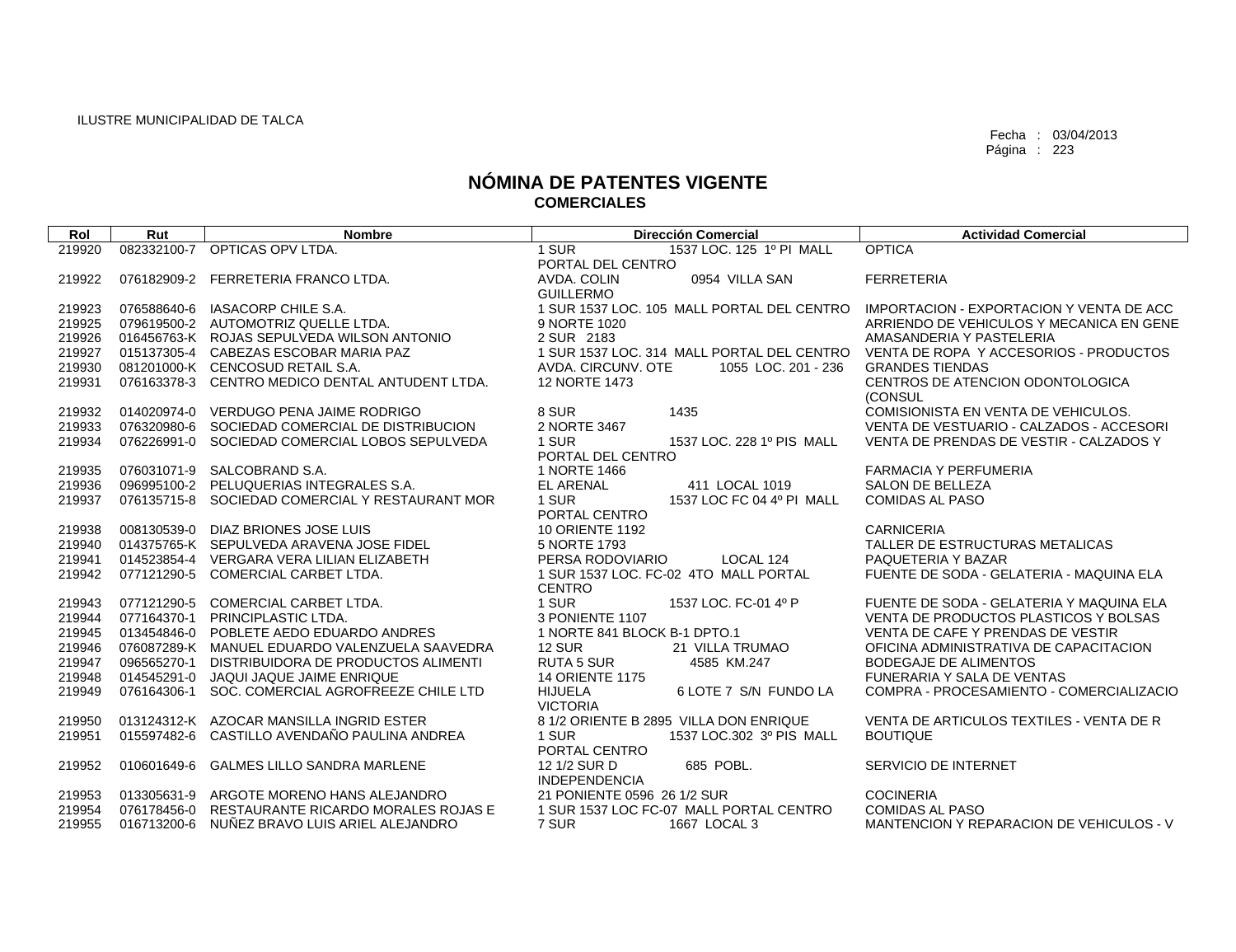| Rol    | Rut         | <b>Nombre</b>                                   | <b>Dirección Comercial</b>                                 | <b>Actividad Comercial</b>                      |
|--------|-------------|-------------------------------------------------|------------------------------------------------------------|-------------------------------------------------|
| 219920 | 082332100-7 | OPTICAS OPV LTDA.                               | 1 SUR<br>1537 LOC. 125 1º PI MALL                          | <b>OPTICA</b>                                   |
|        |             |                                                 | PORTAL DEL CENTRO                                          |                                                 |
| 219922 | 076182909-2 | FERRETERIA FRANCO LTDA.                         | AVDA, COLIN<br>0954 VILLA SAN                              | <b>FERRETERIA</b>                               |
|        |             |                                                 | <b>GUILLERMO</b>                                           |                                                 |
| 219923 | 076588640-6 | IASACORP CHILE S.A.                             | 1 SUR 1537 LOC, 105 MALL PORTAL DEL CENTRO                 | <b>IMPORTACION - EXPORTACION Y VENTA DE ACC</b> |
| 219925 |             | 079619500-2 AUTOMOTRIZ QUELLE LTDA.             | 9 NORTE 1020                                               | ARRIENDO DE VEHICULOS Y MECANICA EN GENE        |
| 219926 |             | 016456763-K ROJAS SEPULVEDA WILSON ANTONIO      | 2 SUR 2183                                                 | AMASANDERIA Y PASTELERIA                        |
| 219927 |             | 015137305-4 CABEZAS ESCOBAR MARIA PAZ           | 1 SUR 1537 LOC. 314 MALL PORTAL DEL CENTRO                 | VENTA DE ROPA Y ACCESORIOS - PRODUCTOS          |
| 219930 |             | 081201000-K CENCOSUD RETAIL S.A.                | AVDA, CIRCUNV, OTE<br>1055 LOC, 201 - 236                  | <b>GRANDES TIENDAS</b>                          |
| 219931 |             | 076163378-3 CENTRO MEDICO DENTAL ANTUDENT LTDA. | 12 NORTE 1473                                              | CENTROS DE ATENCION ODONTOLOGICA                |
|        |             |                                                 |                                                            | (CONSUL                                         |
| 219932 |             | 014020974-0 VERDUGO PENA JAIME RODRIGO          | 8 SUR<br>1435                                              | COMISIONISTA EN VENTA DE VEHICULOS.             |
| 219933 |             | 076320980-6 SOCIEDAD COMERCIAL DE DISTRIBUCION  | 2 NORTE 3467                                               | VENTA DE VESTUARIO - CALZADOS - ACCESORI        |
| 219934 |             | 076226991-0 SOCIEDAD COMERCIAL LOBOS SEPULVEDA  | 1 SUR<br>1537 LOC, 228 1º PIS MALL                         | VENTA DE PRENDAS DE VESTIR - CALZADOS Y         |
|        |             |                                                 | PORTAL DEL CENTRO                                          |                                                 |
| 219935 | 076031071-9 | SALCOBRAND S.A.                                 | 1 NORTE 1466                                               | <b>FARMACIA Y PERFUMERIA</b>                    |
| 219936 |             | 096995100-2 PELUQUERIAS INTEGRALES S.A.         | <b>EL ARENAL</b><br>411 LOCAL 1019                         | <b>SALON DE BELLEZA</b>                         |
| 219937 |             | 076135715-8 SOCIEDAD COMERCIAL Y RESTAURANT MOR | 1 SUR<br>1537 LOC FC 04 4º PI MALL                         | <b>COMIDAS AL PASO</b>                          |
|        |             |                                                 | PORTAL CENTRO                                              |                                                 |
| 219938 |             | 008130539-0 DIAZ BRIONES JOSE LUIS              | <b>10 ORIENTE 1192</b>                                     | <b>CARNICERIA</b>                               |
| 219940 |             | 014375765-K SEPULVEDA ARAVENA JOSE FIDEL        | 5 NORTE 1793                                               | TALLER DE ESTRUCTURAS METALICAS                 |
| 219941 |             | 014523854-4 VERGARA VERA LILIAN ELIZABETH       | PERSA RODOVIARIO<br>LOCAL 124                              | PAQUETERIA Y BAZAR                              |
| 219942 |             | 077121290-5 COMERCIAL CARBET LTDA.              | 1 SUR 1537 LOC, FC-02 4TO MALL PORTAL                      | FUENTE DE SODA - GELATERIA - MAQUINA ELA        |
|        |             |                                                 | <b>CENTRO</b>                                              |                                                 |
| 219943 | 077121290-5 | COMERCIAL CARBET LTDA.                          | 1 SUR<br>1537 LOC. FC-01 4º P                              | FUENTE DE SODA - GELATERIA Y MAQUINA ELA        |
| 219944 |             | 077164370-1 PRINCIPLASTIC LTDA.                 | 3 PONIENTE 1107                                            | VENTA DE PRODUCTOS PLASTICOS Y BOLSAS           |
| 219945 |             | 013454846-0 POBLETE AEDO EDUARDO ANDRES         | 1 NORTE 841 BLOCK B-1 DPTO.1                               | VENTA DE CAFE Y PRENDAS DE VESTIR               |
| 219946 |             | 076087289-K MANUEL EDUARDO VALENZUELA SAAVEDRA  | <b>12 SUR</b><br>21 VILLA TRUMAO                           | OFICINA ADMINISTRATIVA DE CAPACITACION          |
| 219947 | 096565270-1 | DISTRIBUIDORA DE PRODUCTOS ALIMENTI             | <b>RUTA 5 SUR</b><br>4585 KM.247                           | <b>BODEGAJE DE ALIMENTOS</b>                    |
| 219948 | 014545291-0 | JAQUI JAQUE JAIME ENRIQUE                       | <b>14 ORIENTE 1175</b>                                     | FUNERARIA Y SALA DE VENTAS                      |
| 219949 | 076164306-1 | SOC. COMERCIAL AGROFREEZE CHILE LTD             | <b>HIJUELA</b><br>6 LOTE 7 S/N FUNDO LA<br><b>VICTORIA</b> | COMPRA - PROCESAMIENTO - COMERCIALIZACIO        |
| 219950 |             | 013124312-K AZOCAR MANSILLA INGRID ESTER        | 8 1/2 ORIENTE B 2895 VILLA DON ENRIQUE                     | VENTA DE ARTICULOS TEXTILES - VENTA DE R        |
| 219951 |             | 015597482-6 CASTILLO AVENDAÑO PAULINA ANDREA    | 1 SUR<br>1537 LOC.302 3º PIS MALL                          | <b>BOUTIQUE</b>                                 |
|        |             |                                                 | PORTAL CENTRO                                              |                                                 |
| 219952 | 010601649-6 | <b>GALMES LILLO SANDRA MARLENE</b>              | 685 POBL.<br>12 1/2 SUR D                                  | SERVICIO DE INTERNET                            |
|        |             |                                                 | <b>INDEPENDENCIA</b>                                       |                                                 |
| 219953 |             | 013305631-9 ARGOTE MORENO HANS ALEJANDRO        | 21 PONIENTE 0596 26 1/2 SUR                                | <b>COCINERIA</b>                                |
| 219954 |             | 076178456-0 RESTAURANTE RICARDO MORALES ROJAS E | 1 SUR 1537 LOC FC-07 MALL PORTAL CENTRO                    | <b>COMIDAS AL PASO</b>                          |
| 219955 |             | 016713200-6 NUÑEZ BRAVO LUIS ARIEL ALEJANDRO    | 7 SUR<br>1667 LOCAL 3                                      | MANTENCION Y REPARACION DE VEHICULOS - V        |
|        |             |                                                 |                                                            |                                                 |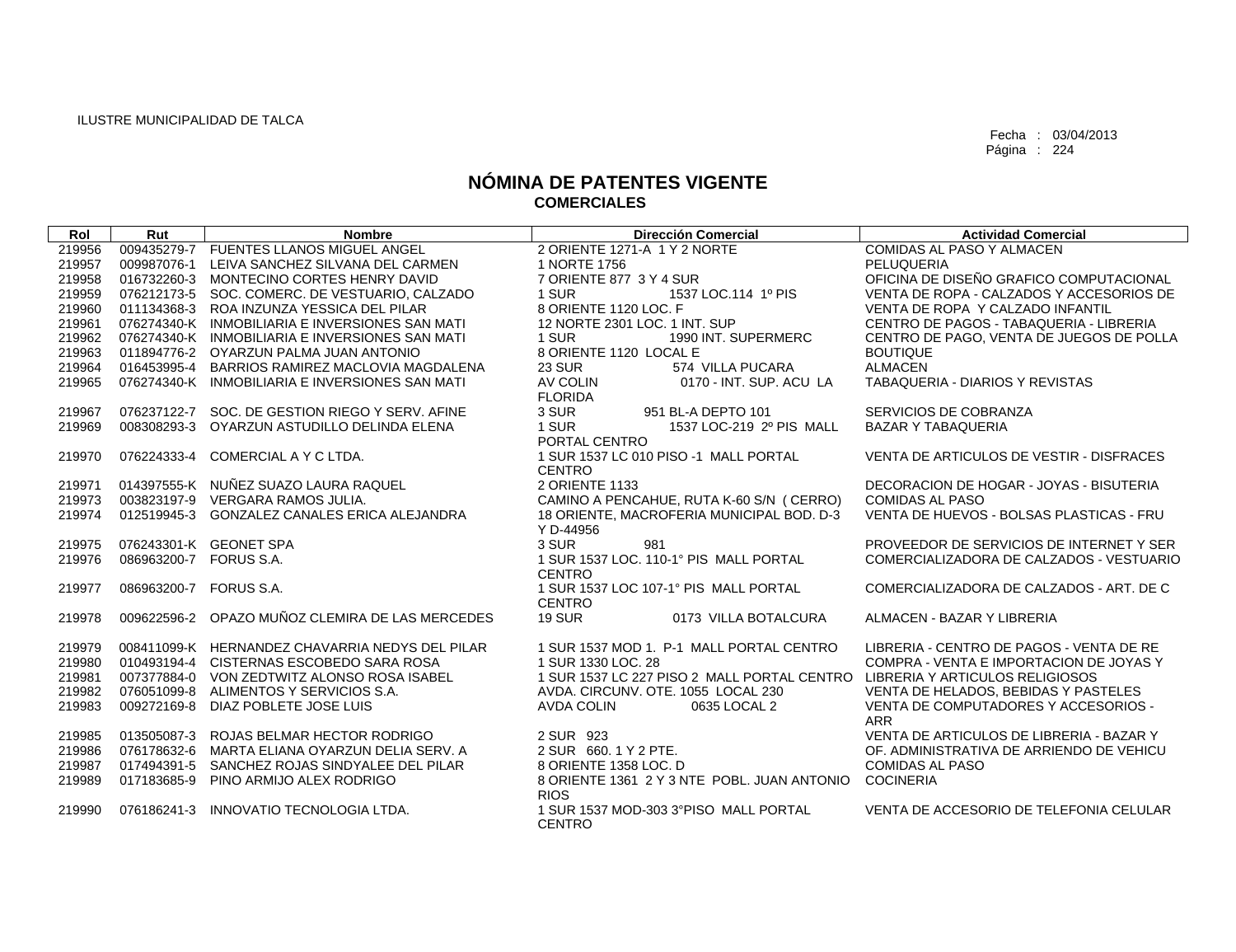| Rol    | Rut                    | <b>Nombre</b>                                   | <b>Dirección Comercial</b>                                                  | <b>Actividad Comercial</b>               |
|--------|------------------------|-------------------------------------------------|-----------------------------------------------------------------------------|------------------------------------------|
| 219956 |                        | 009435279-7 FUENTES LLANOS MIGUEL ANGEL         | 2 ORIENTE 1271-A 1 Y 2 NORTE                                                | COMIDAS AL PASO Y ALMACEN                |
| 219957 | 009987076-1            | LEIVA SANCHEZ SILVANA DEL CARMEN                | 1 NORTE 1756                                                                | PELUQUERIA                               |
| 219958 |                        | 016732260-3 MONTECINO CORTES HENRY DAVID        | 7 ORIENTE 877 3 Y 4 SUR                                                     | OFICINA DE DISEÑO GRAFICO COMPUTACIONAL  |
| 219959 |                        | 076212173-5 SOC, COMERC, DE VESTUARIO, CALZADO  | 1 SUR<br>1537 LOC.114 1º PIS                                                | VENTA DE ROPA - CALZADOS Y ACCESORIOS DE |
| 219960 |                        | 011134368-3 ROA INZUNZA YESSICA DEL PILAR       | 8 ORIENTE 1120 LOC. F                                                       | VENTA DE ROPA Y CALZADO INFANTIL         |
| 219961 |                        | 076274340-K INMOBILIARIA E INVERSIONES SAN MATI | 12 NORTE 2301 LOC. 1 INT. SUP                                               | CENTRO DE PAGOS - TABAQUERIA - LIBRERIA  |
| 219962 |                        | 076274340-K INMOBILIARIA E INVERSIONES SAN MATI | 1 SUR<br>1990 INT. SUPERMERC                                                | CENTRO DE PAGO, VENTA DE JUEGOS DE POLLA |
| 219963 |                        | 011894776-2 OYARZUN PALMA JUAN ANTONIO          | 8 ORIENTE 1120 LOCAL E                                                      | <b>BOUTIQUE</b>                          |
| 219964 |                        | 016453995-4 BARRIOS RAMIREZ MACLOVIA MAGDALENA  | <b>23 SUR</b><br>574 VILLA PUCARA                                           | <b>ALMACEN</b>                           |
| 219965 |                        | 076274340-K INMOBILIARIA E INVERSIONES SAN MATI | AV COLIN<br>0170 - INT. SUP. ACU LA                                         | TABAQUERIA - DIARIOS Y REVISTAS          |
|        |                        |                                                 | <b>FLORIDA</b>                                                              |                                          |
| 219967 |                        | 076237122-7 SOC. DE GESTION RIEGO Y SERV. AFINE | 3 SUR<br>951 BL-A DEPTO 101                                                 | SERVICIOS DE COBRANZA                    |
| 219969 | 008308293-3            | OYARZUN ASTUDILLO DELINDA ELENA                 | 1 SUR<br>1537 LOC-219 2º PIS MALL                                           | <b>BAZAR Y TABAQUERIA</b>                |
|        |                        |                                                 | PORTAL CENTRO                                                               |                                          |
| 219970 | 076224333-4            | COMERCIAL A Y C LTDA.                           | 1 SUR 1537 LC 010 PISO -1 MALL PORTAL                                       | VENTA DE ARTICULOS DE VESTIR - DISFRACES |
|        |                        |                                                 | <b>CENTRO</b>                                                               |                                          |
| 219971 |                        | 014397555-K NUÑEZ SUAZO LAURA RAQUEL            | 2 ORIENTE 1133                                                              | DECORACION DE HOGAR - JOYAS - BISUTERIA  |
| 219973 | 003823197-9            | VERGARA RAMOS JULIA.                            | CAMINO A PENCAHUE, RUTA K-60 S/N (CERRO)                                    | <b>COMIDAS AL PASO</b>                   |
| 219974 | 012519945-3            | GONZALEZ CANALES ERICA ALEJANDRA                | 18 ORIENTE, MACROFERIA MUNICIPAL BOD. D-3                                   | VENTA DE HUEVOS - BOLSAS PLASTICAS - FRU |
|        |                        |                                                 | Y D-44956                                                                   |                                          |
| 219975 |                        | 076243301-K GEONET SPA                          | 3 SUR<br>981                                                                | PROVEEDOR DE SERVICIOS DE INTERNET Y SER |
| 219976 | 086963200-7 FORUS S.A. |                                                 | 1 SUR 1537 LOC. 110-1° PIS MALL PORTAL                                      | COMERCIALIZADORA DE CALZADOS - VESTUARIO |
|        |                        |                                                 | <b>CENTRO</b>                                                               |                                          |
| 219977 | 086963200-7 FORUS S.A. |                                                 | 1 SUR 1537 LOC 107-1° PIS MALL PORTAL<br><b>CENTRO</b>                      | COMERCIALIZADORA DE CALZADOS - ART. DE C |
| 219978 | 009622596-2            | OPAZO MUÑOZ CLEMIRA DE LAS MERCEDES             | <b>19 SUR</b><br>0173 VILLA BOTALCURA                                       | ALMACEN - BAZAR Y LIBRERIA               |
|        |                        |                                                 |                                                                             |                                          |
| 219979 |                        | 008411099-K HERNANDEZ CHAVARRIA NEDYS DEL PILAR | 1 SUR 1537 MOD 1. P-1 MALL PORTAL CENTRO                                    | LIBRERIA - CENTRO DE PAGOS - VENTA DE RE |
| 219980 |                        | 010493194-4 CISTERNAS ESCOBEDO SARA ROSA        | 1 SUR 1330 LOC, 28                                                          | COMPRA - VENTA E IMPORTACION DE JOYAS Y  |
| 219981 |                        | 007377884-0 VON ZEDTWITZ ALONSO ROSA ISABEL     | 1 SUR 1537 LC 227 PISO 2 MALL PORTAL CENTRO LIBRERIA Y ARTICULOS RELIGIOSOS |                                          |
| 219982 |                        | 076051099-8 ALIMENTOS Y SERVICIOS S.A.          | AVDA, CIRCUNV, OTE, 1055 LOCAL 230                                          | VENTA DE HELADOS, BEBIDAS Y PASTELES     |
| 219983 |                        | 009272169-8 DIAZ POBLETE JOSE LUIS              | <b>AVDA COLIN</b><br>0635 LOCAL 2                                           | VENTA DE COMPUTADORES Y ACCESORIOS -     |
|        |                        |                                                 |                                                                             | <b>ARR</b>                               |
| 219985 |                        | 013505087-3 ROJAS BELMAR HECTOR RODRIGO         | 2 SUR 923                                                                   | VENTA DE ARTICULOS DE LIBRERIA - BAZAR Y |
| 219986 |                        | 076178632-6 MARTA ELIANA OYARZUN DELIA SERV. A  | 2 SUR 660, 1 Y 2 PTE.                                                       | OF, ADMINISTRATIVA DE ARRIENDO DE VEHICU |
| 219987 | 017494391-5            | SANCHEZ ROJAS SINDYALEE DEL PILAR               | 8 ORIENTE 1358 LOC. D                                                       | <b>COMIDAS AL PASO</b>                   |
| 219989 | 017183685-9            | PINO ARMIJO ALEX RODRIGO                        | 8 ORIENTE 1361 2 Y 3 NTE POBL. JUAN ANTONIO COCINERIA                       |                                          |
|        |                        |                                                 | <b>RIOS</b>                                                                 |                                          |
| 219990 | 076186241-3            | INNOVATIO TECNOLOGIA LTDA.                      | 1 SUR 1537 MOD-303 3°PISO MALL PORTAL                                       | VENTA DE ACCESORIO DE TELEFONIA CELULAR  |
|        |                        |                                                 | CENTRO                                                                      |                                          |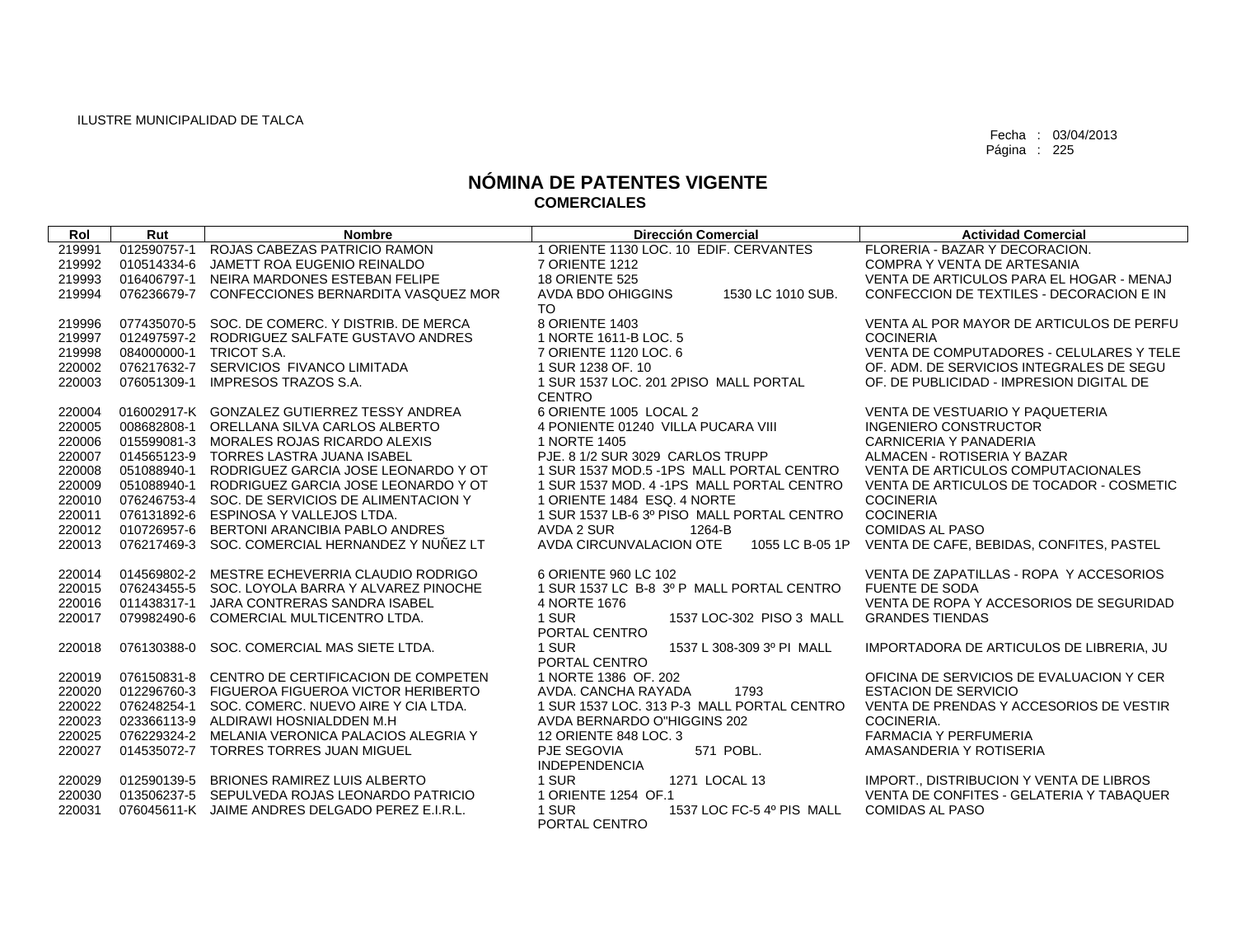| Rol    | Rut         | <b>Nombre</b>                                   | <b>Dirección Comercial</b>                 | <b>Actividad Comercial</b>               |
|--------|-------------|-------------------------------------------------|--------------------------------------------|------------------------------------------|
| 219991 | 012590757-1 | ROJAS CABEZAS PATRICIO RAMON                    | 1 ORIENTE 1130 LOC. 10 EDIF. CERVANTES     | FLORERIA - BAZAR Y DECORACION.           |
| 219992 | 010514334-6 | JAMETT ROA EUGENIO REINALDO                     | 7 ORIENTE 1212                             | COMPRA Y VENTA DE ARTESANIA              |
| 219993 | 016406797-1 | NEIRA MARDONES ESTEBAN FELIPE                   | <b>18 ORIENTE 525</b>                      | VENTA DE ARTICULOS PARA EL HOGAR - MENAJ |
| 219994 | 076236679-7 | CONFECCIONES BERNARDITA VASQUEZ MOR             | AVDA BDO OHIGGINS<br>1530 LC 1010 SUB.     | CONFECCION DE TEXTILES - DECORACION E IN |
|        |             |                                                 | <b>TO</b>                                  |                                          |
| 219996 | 077435070-5 | SOC. DE COMERC. Y DISTRIB. DE MERCA             | 8 ORIENTE 1403                             | VENTA AL POR MAYOR DE ARTICULOS DE PERFU |
| 219997 | 012497597-2 | RODRIGUEZ SALFATE GUSTAVO ANDRES                | 1 NORTE 1611-B LOC. 5                      | <b>COCINERIA</b>                         |
| 219998 | 084000000-1 | TRICOT S.A.                                     | 7 ORIENTE 1120 LOC. 6                      | VENTA DE COMPUTADORES - CELULARES Y TELE |
| 220002 |             | 076217632-7 SERVICIOS FIVANCO LIMITADA          | 1 SUR 1238 OF, 10                          | OF, ADM, DE SERVICIOS INTEGRALES DE SEGU |
| 220003 | 076051309-1 | IMPRESOS TRAZOS S.A.                            | 1 SUR 1537 LOC, 201 2PISO MALL PORTAL      | OF, DE PUBLICIDAD - IMPRESION DIGITAL DE |
|        |             |                                                 | <b>CENTRO</b>                              |                                          |
| 220004 |             | 016002917-K GONZALEZ GUTIERREZ TESSY ANDREA     | 6 ORIENTE 1005 LOCAL 2                     | VENTA DE VESTUARIO Y PAQUETERIA          |
| 220005 | 008682808-1 | ORELLANA SILVA CARLOS ALBERTO                   | 4 PONIENTE 01240 VILLA PUCARA VIII         | <b>INGENIERO CONSTRUCTOR</b>             |
| 220006 |             | 015599081-3 MORALES ROJAS RICARDO ALEXIS        | 1 NORTE 1405                               | <b>CARNICERIA Y PANADERIA</b>            |
| 220007 |             | 014565123-9 TORRES LASTRA JUANA ISABEL          | PJE, 8 1/2 SUR 3029 CARLOS TRUPP           | ALMACEN - ROTISERIA Y BAZAR              |
| 220008 | 051088940-1 | RODRIGUEZ GARCIA JOSE LEONARDO Y OT             | 1 SUR 1537 MOD.5 -1PS MALL PORTAL CENTRO   | VENTA DE ARTICULOS COMPUTACIONALES       |
| 220009 | 051088940-1 | RODRIGUEZ GARCIA JOSE LEONARDO Y OT             | 1 SUR 1537 MOD, 4 - 1PS MALL PORTAL CENTRO | VENTA DE ARTICULOS DE TOCADOR - COSMETIC |
| 220010 | 076246753-4 | SOC. DE SERVICIOS DE ALIMENTACION Y             | 1 ORIENTE 1484 ESQ. 4 NORTE                | <b>COCINERIA</b>                         |
| 220011 | 076131892-6 | ESPINOSA Y VALLEJOS LTDA.                       | 1 SUR 1537 LB-6 3º PISO MALL PORTAL CENTRO | <b>COCINERIA</b>                         |
| 220012 | 010726957-6 | BERTONI ARANCIBIA PABLO ANDRES                  | AVDA 2 SUR<br>1264-B                       | <b>COMIDAS AL PASO</b>                   |
| 220013 | 076217469-3 | SOC. COMERCIAL HERNANDEZ Y NUÑEZ LT             | AVDA CIRCUNVALACION OTE<br>1055 LC B-05 1P | VENTA DE CAFE, BEBIDAS, CONFITES, PASTEL |
|        |             |                                                 |                                            |                                          |
| 220014 | 014569802-2 | MESTRE ECHEVERRIA CLAUDIO RODRIGO               | 6 ORIENTE 960 LC 102                       | VENTA DE ZAPATILLAS - ROPA Y ACCESORIOS  |
| 220015 | 076243455-5 | SOC. LOYOLA BARRA Y ALVAREZ PINOCHE             | 1 SUR 1537 LC B-8 3º P MALL PORTAL CENTRO  | <b>FUENTE DE SODA</b>                    |
| 220016 | 011438317-1 | JARA CONTRERAS SANDRA ISABEL                    | 4 NORTE 1676                               | VENTA DE ROPA Y ACCESORIOS DE SEGURIDAD  |
| 220017 | 079982490-6 | COMERCIAL MULTICENTRO LTDA.                     | 1 SUR<br>1537 LOC-302 PISO 3 MALL          | <b>GRANDES TIENDAS</b>                   |
|        |             |                                                 | PORTAL CENTRO                              |                                          |
| 220018 | 076130388-0 | SOC. COMERCIAL MAS SIETE LTDA.                  | 1 SUR<br>1537 L 308-309 3º PI MALL         | IMPORTADORA DE ARTICULOS DE LIBRERIA, JU |
|        |             |                                                 | PORTAL CENTRO                              |                                          |
| 220019 | 076150831-8 | CENTRO DE CERTIFICACION DE COMPETEN             | 1 NORTE 1386 OF, 202                       | OFICINA DE SERVICIOS DE EVALUACION Y CER |
| 220020 |             | 012296760-3 FIGUEROA FIGUEROA VICTOR HERIBERTO  | 1793<br>AVDA, CANCHA RAYADA                | <b>ESTACION DE SERVICIO</b>              |
| 220022 | 076248254-1 | SOC. COMERC. NUEVO AIRE Y CIA LTDA.             | 1 SUR 1537 LOC, 313 P-3 MALL PORTAL CENTRO | VENTA DE PRENDAS Y ACCESORIOS DE VESTIR  |
| 220023 | 023366113-9 | ALDIRAWI HOSNIALDDEN M.H                        | AVDA BERNARDO O"HIGGINS 202                | COCINERIA.                               |
| 220025 | 076229324-2 | MELANIA VERONICA PALACIOS ALEGRIA Y             | 12 ORIENTE 848 LOC. 3                      | <b>FARMACIA Y PERFUMERIA</b>             |
| 220027 | 014535072-7 | <b>TORRES TORRES JUAN MIGUEL</b>                | PJE SEGOVIA<br>571 POBL.                   | AMASANDERIA Y ROTISERIA                  |
|        |             |                                                 | <b>INDEPENDENCIA</b>                       |                                          |
| 220029 | 012590139-5 | <b>BRIONES RAMIREZ LUIS ALBERTO</b>             | 1 SUR<br>1271 LOCAL 13                     | IMPORT., DISTRIBUCION Y VENTA DE LIBROS  |
| 220030 | 013506237-5 | SEPULVEDA ROJAS LEONARDO PATRICIO               | 1 ORIENTE 1254 OF.1                        | VENTA DE CONFITES - GELATERIA Y TABAQUER |
| 220031 |             | 076045611-K JAIME ANDRES DELGADO PEREZ E.I.R.L. | 1 SUR<br>1537 LOC FC-5 4º PIS MALL         | <b>COMIDAS AL PASO</b>                   |
|        |             |                                                 | PORTAL CENTRO                              |                                          |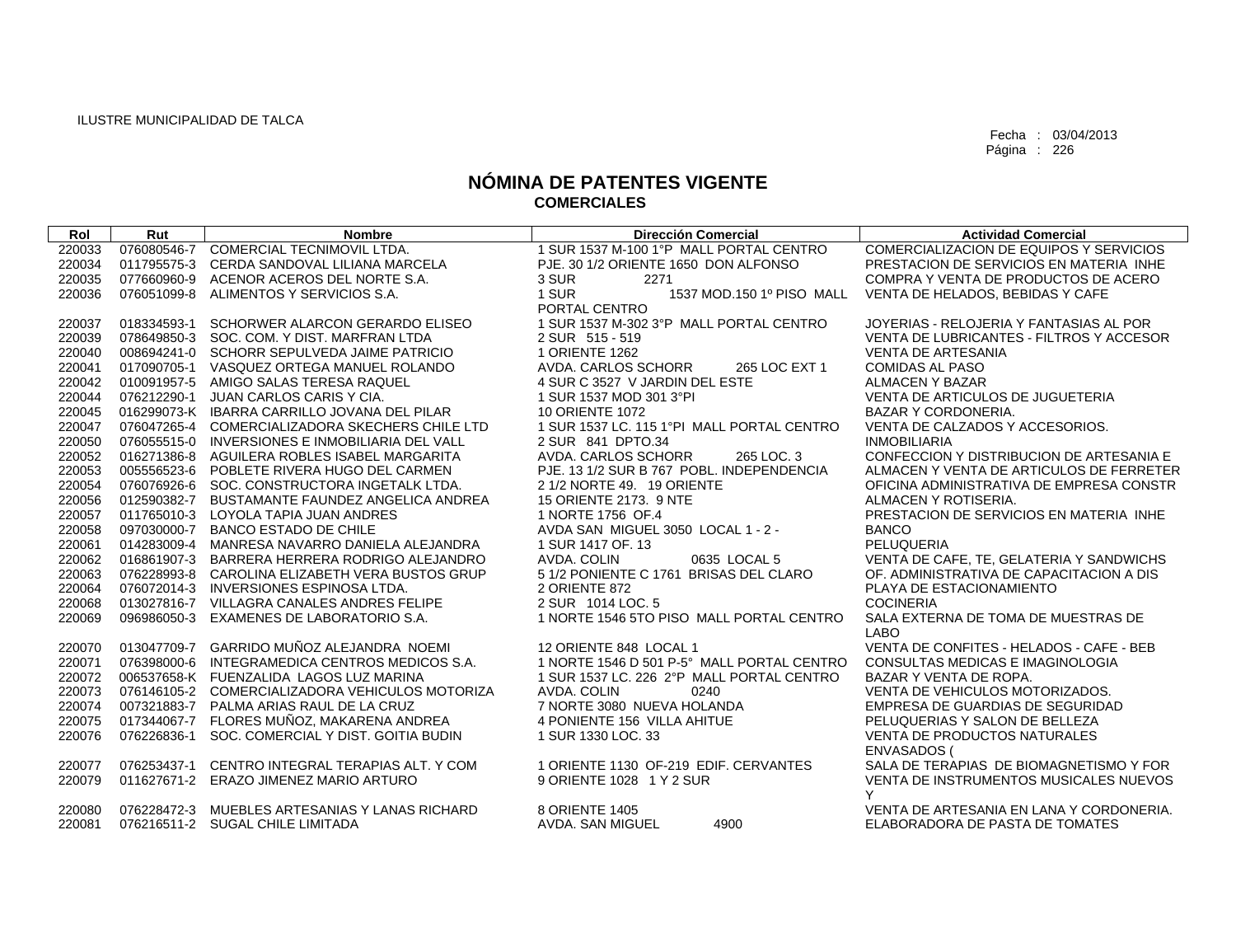| Rol    | Rut         | <b>Nombre</b>                                   | <b>Dirección Comercial</b>                 | <b>Actividad Comercial</b>                  |
|--------|-------------|-------------------------------------------------|--------------------------------------------|---------------------------------------------|
| 220033 | 076080546-7 | COMERCIAL TECNIMOVIL LTDA.                      | 1 SUR 1537 M-100 1°P MALL PORTAL CENTRO    | COMERCIALIZACION DE EQUIPOS Y SERVICIOS     |
| 220034 | 011795575-3 | CERDA SANDOVAL LILIANA MARCELA                  | PJE. 30 1/2 ORIENTE 1650 DON ALFONSO       | PRESTACION DE SERVICIOS EN MATERIA INHE     |
| 220035 | 077660960-9 | ACENOR ACEROS DEL NORTE S.A.                    | 3 SUR<br>2271                              | COMPRA Y VENTA DE PRODUCTOS DE ACERO        |
| 220036 | 076051099-8 | ALIMENTOS Y SERVICIOS S.A.                      | 1 SUR<br>1537 MOD.150 1º PISO MALL         | VENTA DE HELADOS, BEBIDAS Y CAFE            |
|        |             |                                                 | PORTAL CENTRO                              |                                             |
| 220037 | 018334593-1 | SCHORWER ALARCON GERARDO ELISEO                 | 1 SUR 1537 M-302 3°P MALL PORTAL CENTRO    | JOYERIAS - RELOJERIA Y FANTASIAS AL POR     |
| 220039 |             | 078649850-3 SOC, COM, Y DIST, MARFRAN LTDA      | 2 SUR 515 - 519                            | VENTA DE LUBRICANTES - FILTROS Y ACCESOR    |
| 220040 |             | 008694241-0 SCHORR SEPULVEDA JAIME PATRICIO     | 1 ORIENTE 1262                             | <b>VENTA DE ARTESANIA</b>                   |
| 220041 |             | 017090705-1 VASQUEZ ORTEGA MANUEL ROLANDO       | AVDA, CARLOS SCHORR<br>265 LOC EXT 1       | <b>COMIDAS AL PASO</b>                      |
| 220042 | 010091957-5 | AMIGO SALAS TERESA RAQUEL                       | 4 SUR C 3527 V JARDIN DEL ESTE             | ALMACEN Y BAZAR                             |
| 220044 | 076212290-1 | JUAN CARLOS CARIS Y CIA.                        | 1 SUR 1537 MOD 301 3°PI                    | <b>VENTA DE ARTICULOS DE JUGUETERIA</b>     |
| 220045 |             | 016299073-K IBARRA CARRILLO JOVANA DEL PILAR    | <b>10 ORIENTE 1072</b>                     | <b>BAZAR Y CORDONERIA.</b>                  |
| 220047 |             | 076047265-4 COMERCIALIZADORA SKECHERS CHILE LTD | 1 SUR 1537 LC, 115 1°PI MALL PORTAL CENTRO | VENTA DE CALZADOS Y ACCESORIOS.             |
| 220050 | 076055515-0 | INVERSIONES E INMOBILIARIA DEL VALL             | 2 SUR 841 DPTO.34                          | <b>INMOBILIARIA</b>                         |
| 220052 | 016271386-8 | AGUILERA ROBLES ISABEL MARGARITA                | AVDA. CARLOS SCHORR<br>265 LOC. 3          | CONFECCION Y DISTRIBUCION DE ARTESANIA E    |
| 220053 | 005556523-6 | POBLETE RIVERA HUGO DEL CARMEN                  | PJE. 13 1/2 SUR B 767 POBL. INDEPENDENCIA  | ALMACEN Y VENTA DE ARTICULOS DE FERRETER    |
| 220054 | 076076926-6 | SOC. CONSTRUCTORA INGETALK LTDA.                | 2 1/2 NORTE 49. 19 ORIENTE                 | OFICINA ADMINISTRATIVA DE EMPRESA CONSTR    |
| 220056 | 012590382-7 | BUSTAMANTE FAUNDEZ ANGELICA ANDREA              | 15 ORIENTE 2173, 9 NTE                     | ALMACEN Y ROTISERIA.                        |
| 220057 | 011765010-3 | LOYOLA TAPIA JUAN ANDRES                        | 1 NORTE 1756 OF.4                          | PRESTACION DE SERVICIOS EN MATERIA INHE     |
| 220058 | 097030000-7 | <b>BANCO ESTADO DE CHILE</b>                    | AVDA SAN MIGUEL 3050 LOCAL 1 - 2 -         | <b>BANCO</b>                                |
| 220061 |             | 014283009-4 MANRESA NAVARRO DANIELA ALEJANDRA   | 1 SUR 1417 OF, 13                          | PELUQUERIA                                  |
| 220062 |             | 016861907-3 BARRERA HERRERA RODRIGO ALEJANDRO   | AVDA, COLIN<br>0635 LOCAL 5                | VENTA DE CAFE, TE, GELATERIA Y SANDWICHS    |
| 220063 | 076228993-8 | CAROLINA ELIZABETH VERA BUSTOS GRUP             | 5 1/2 PONIENTE C 1761 BRISAS DEL CLARO     | OF, ADMINISTRATIVA DE CAPACITACION A DIS    |
| 220064 | 076072014-3 | INVERSIONES ESPINOSA LTDA.                      | 2 ORIENTE 872                              | PLAYA DE ESTACIONAMIENTO                    |
| 220068 |             | 013027816-7 VILLAGRA CANALES ANDRES FELIPE      | 2 SUR 1014 LOC. 5                          | <b>COCINERIA</b>                            |
| 220069 | 096986050-3 | EXAMENES DE LABORATORIO S.A.                    | 1 NORTE 1546 5TO PISO MALL PORTAL CENTRO   | SALA EXTERNA DE TOMA DE MUESTRAS DE<br>LABO |
| 220070 |             | 013047709-7 GARRIDO MUÑOZ ALEJANDRA NOEMI       | 12 ORIENTE 848 LOCAL 1                     | VENTA DE CONFITES - HELADOS - CAFE - BEB    |
| 220071 | 076398000-6 | INTEGRAMEDICA CENTROS MEDICOS S.A.              | 1 NORTE 1546 D 501 P-5° MALL PORTAL CENTRO | CONSULTAS MEDICAS E IMAGINOLOGIA            |
| 220072 |             | 006537658-K FUENZALIDA LAGOS LUZ MARINA         | 1 SUR 1537 LC, 226 2°P MALL PORTAL CENTRO  | BAZAR Y VENTA DE ROPA.                      |
| 220073 |             | 076146105-2 COMERCIALIZADORA VEHICULOS MOTORIZA | AVDA, COLIN<br>0240                        | VENTA DE VEHICULOS MOTORIZADOS.             |
| 220074 | 007321883-7 | PALMA ARIAS RAUL DE LA CRUZ                     | 7 NORTE 3080 NUEVA HOLANDA                 | EMPRESA DE GUARDIAS DE SEGURIDAD            |
| 220075 | 017344067-7 | FLORES MUÑOZ, MAKARENA ANDREA                   | 4 PONIENTE 156 VILLA AHITUE                | PELUQUERIAS Y SALON DE BELLEZA              |
| 220076 | 076226836-1 | SOC. COMERCIAL Y DIST. GOITIA BUDIN             | 1 SUR 1330 LOC, 33                         | <b>VENTA DE PRODUCTOS NATURALES</b>         |
|        |             |                                                 |                                            | <b>ENVASADOS (</b>                          |
| 220077 | 076253437-1 | CENTRO INTEGRAL TERAPIAS ALT. Y COM             | 1 ORIENTE 1130 OF-219 EDIF. CERVANTES      | SALA DE TERAPIAS DE BIOMAGNETISMO Y FOR     |
| 220079 |             | 011627671-2 ERAZO JIMENEZ MARIO ARTURO          | 9 ORIENTE 1028 1 Y 2 SUR                   | VENTA DE INSTRUMENTOS MUSICALES NUEVOS      |
|        |             |                                                 |                                            | Y                                           |
| 220080 |             | 076228472-3 MUEBLES ARTESANIAS Y LANAS RICHARD  | 8 ORIENTE 1405                             | VENTA DE ARTESANIA EN LANA Y CORDONERIA.    |
| 220081 |             | 076216511-2 SUGAL CHILE LIMITADA                | AVDA. SAN MIGUEL<br>4900                   | ELABORADORA DE PASTA DE TOMATES             |
|        |             |                                                 |                                            |                                             |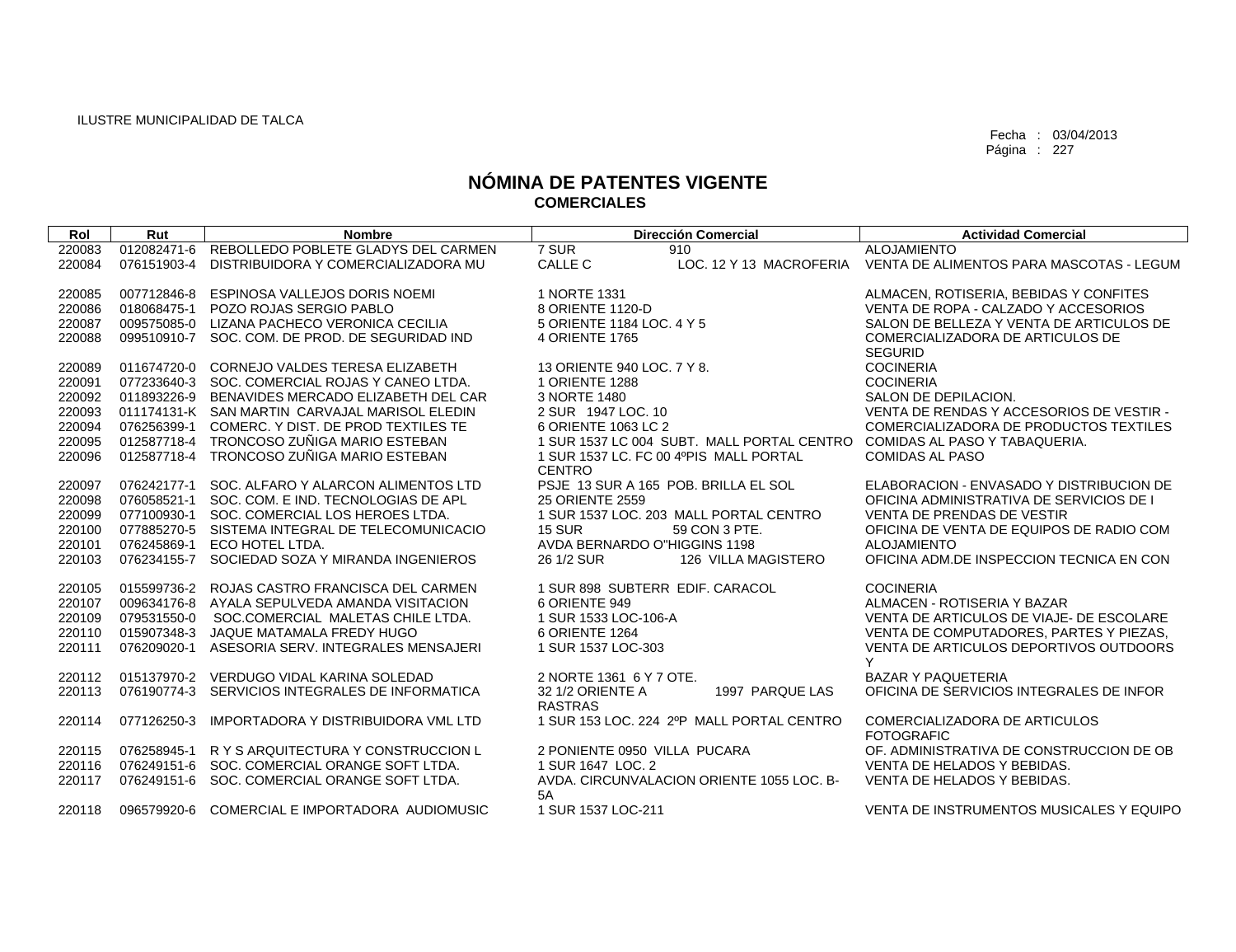| Rol              | Rut                        | <b>Nombre</b>                                                  | <b>Dirección Comercial</b>                                        | <b>Actividad Comercial</b>                              |
|------------------|----------------------------|----------------------------------------------------------------|-------------------------------------------------------------------|---------------------------------------------------------|
| 220083           | 012082471-6                | REBOLLEDO POBLETE GLADYS DEL CARMEN                            | 7 SUR<br>910                                                      | <b>ALOJAMIENTO</b>                                      |
| 220084           | 076151903-4                | DISTRIBUIDORA Y COMERCIALIZADORA MU                            | CALLE C<br>LOC. 12 Y 13 MACROFERIA                                | VENTA DE ALIMENTOS PARA MASCOTAS - LEGUM                |
|                  |                            |                                                                |                                                                   |                                                         |
| 220085           | 007712846-8                | ESPINOSA VALLEJOS DORIS NOEMI                                  | 1 NORTE 1331                                                      | ALMACEN, ROTISERIA, BEBIDAS Y CONFITES                  |
| 220086           | 018068475-1                | POZO ROJAS SERGIO PABLO                                        | 8 ORIENTE 1120-D                                                  | VENTA DE ROPA - CALZADO Y ACCESORIOS                    |
| 220087           |                            | 009575085-0 LIZANA PACHECO VERONICA CECILIA                    | 5 ORIENTE 1184 LOC, 4 Y 5                                         | SALON DE BELLEZA Y VENTA DE ARTICULOS DE                |
| 220088           | 099510910-7                | SOC. COM. DE PROD. DE SEGURIDAD IND                            | 4 ORIENTE 1765                                                    | COMERCIALIZADORA DE ARTICULOS DE                        |
|                  |                            |                                                                |                                                                   | <b>SEGURID</b>                                          |
| 220089           | 011674720-0                | CORNEJO VALDES TERESA ELIZABETH                                | 13 ORIENTE 940 LOC. 7 Y 8.                                        | <b>COCINERIA</b>                                        |
| 220091           | 077233640-3                | SOC. COMERCIAL ROJAS Y CANEO LTDA.                             | 1 ORIENTE 1288                                                    | <b>COCINERIA</b>                                        |
| 220092           | 011893226-9                | BENAVIDES MERCADO ELIZABETH DEL CAR                            | 3 NORTE 1480                                                      | SALON DE DEPILACION.                                    |
| 220093           |                            | 011174131-K SAN MARTIN CARVAJAL MARISOL ELEDIN                 | 2 SUR 1947 LOC. 10                                                | VENTA DE RENDAS Y ACCESORIOS DE VESTIR -                |
| 220094           |                            | 076256399-1 COMERC. Y DIST. DE PROD TEXTILES TE                | 6 ORIENTE 1063 LC 2<br>1 SUR 1537 LC 004 SUBT. MALL PORTAL CENTRO | COMERCIALIZADORA DE PRODUCTOS TEXTILES                  |
| 220095<br>220096 | 012587718-4<br>012587718-4 | TRONCOSO ZUÑIGA MARIO ESTEBAN<br>TRONCOSO ZUÑIGA MARIO ESTEBAN | 1 SUR 1537 LC. FC 00 4ºPIS MALL PORTAL                            | COMIDAS AL PASO Y TABAQUERIA.<br><b>COMIDAS AL PASO</b> |
|                  |                            |                                                                | <b>CENTRO</b>                                                     |                                                         |
| 220097           | 076242177-1                | SOC. ALFARO Y ALARCON ALIMENTOS LTD                            | PSJE 13 SUR A 165 POB. BRILLA EL SOL                              | ELABORACION - ENVASADO Y DISTRIBUCION DE                |
| 220098           |                            | 076058521-1 SOC. COM. E IND. TECNOLOGIAS DE APL                | 25 ORIENTE 2559                                                   | OFICINA ADMINISTRATIVA DE SERVICIOS DE I                |
| 220099           | 077100930-1                | SOC. COMERCIAL LOS HEROES LTDA.                                | 1 SUR 1537 LOC, 203 MALL PORTAL CENTRO                            | VENTA DE PRENDAS DE VESTIR                              |
| 220100           | 077885270-5                | SISTEMA INTEGRAL DE TELECOMUNICACIO                            | <b>15 SUR</b><br>59 CON 3 PTE.                                    | OFICINA DE VENTA DE EQUIPOS DE RADIO COM                |
| 220101           | 076245869-1                | ECO HOTEL LTDA.                                                | AVDA BERNARDO O"HIGGINS 1198                                      | <b>ALOJAMIENTO</b>                                      |
| 220103           | 076234155-7                | SOCIEDAD SOZA Y MIRANDA INGENIEROS                             | 26 1/2 SUR<br>126 VILLA MAGISTERO                                 | OFICINA ADM.DE INSPECCION TECNICA EN CON                |
|                  |                            |                                                                |                                                                   |                                                         |
| 220105           | 015599736-2                | ROJAS CASTRO FRANCISCA DEL CARMEN                              | 1 SUR 898 SUBTERR EDIF, CARACOL                                   | <b>COCINERIA</b>                                        |
| 220107           | 009634176-8                | AYALA SEPULVEDA AMANDA VISITACION                              | 6 ORIENTE 949                                                     | ALMACEN - ROTISERIA Y BAZAR                             |
| 220109           | 079531550-0                | SOC.COMERCIAL MALETAS CHILE LTDA.                              | 1 SUR 1533 LOC-106-A                                              | VENTA DE ARTICULOS DE VIAJE- DE ESCOLARE                |
| 220110           | 015907348-3                | JAQUE MATAMALA FREDY HUGO                                      | 6 ORIENTE 1264                                                    | VENTA DE COMPUTADORES, PARTES Y PIEZAS.                 |
| 220111           | 076209020-1                | ASESORIA SERV. INTEGRALES MENSAJERI                            | 1 SUR 1537 LOC-303                                                | VENTA DE ARTICULOS DEPORTIVOS OUTDOORS                  |
|                  |                            |                                                                |                                                                   | Y                                                       |
| 220112           | 015137970-2                | VERDUGO VIDAL KARINA SOLEDAD                                   | 2 NORTE 1361 6 Y 7 OTE.                                           | <b>BAZAR Y PAQUETERIA</b>                               |
| 220113           | 076190774-3                | SERVICIOS INTEGRALES DE INFORMATICA                            | 32 1/2 ORIENTE A<br>1997 PARQUE LAS                               | OFICINA DE SERVICIOS INTEGRALES DE INFOR                |
|                  |                            |                                                                | <b>RASTRAS</b><br>1 SUR 153 LOC, 224 2ºP MALL PORTAL CENTRO       |                                                         |
| 220114           | 077126250-3                | <b>IMPORTADORA Y DISTRIBUIDORA VML LTD</b>                     |                                                                   | COMERCIALIZADORA DE ARTICULOS<br><b>FOTOGRAFIC</b>      |
| 220115           | 076258945-1                | R Y S ARQUITECTURA Y CONSTRUCCION L                            | 2 PONIENTE 0950 VILLA PUCARA                                      | OF, ADMINISTRATIVA DE CONSTRUCCION DE OB                |
| 220116           | 076249151-6                | SOC. COMERCIAL ORANGE SOFT LTDA.                               | 1 SUR 1647 LOC. 2                                                 | VENTA DE HELADOS Y BEBIDAS.                             |
| 220117           | 076249151-6                | SOC. COMERCIAL ORANGE SOFT LTDA.                               | AVDA, CIRCUNVALACION ORIENTE 1055 LOC. B-                         | VENTA DE HELADOS Y BEBIDAS.                             |
|                  |                            |                                                                | 5A                                                                |                                                         |
| 220118           | 096579920-6                | COMERCIAL E IMPORTADORA AUDIOMUSIC                             | 1 SUR 1537 LOC-211                                                | VENTA DE INSTRUMENTOS MUSICALES Y EQUIPO                |
|                  |                            |                                                                |                                                                   |                                                         |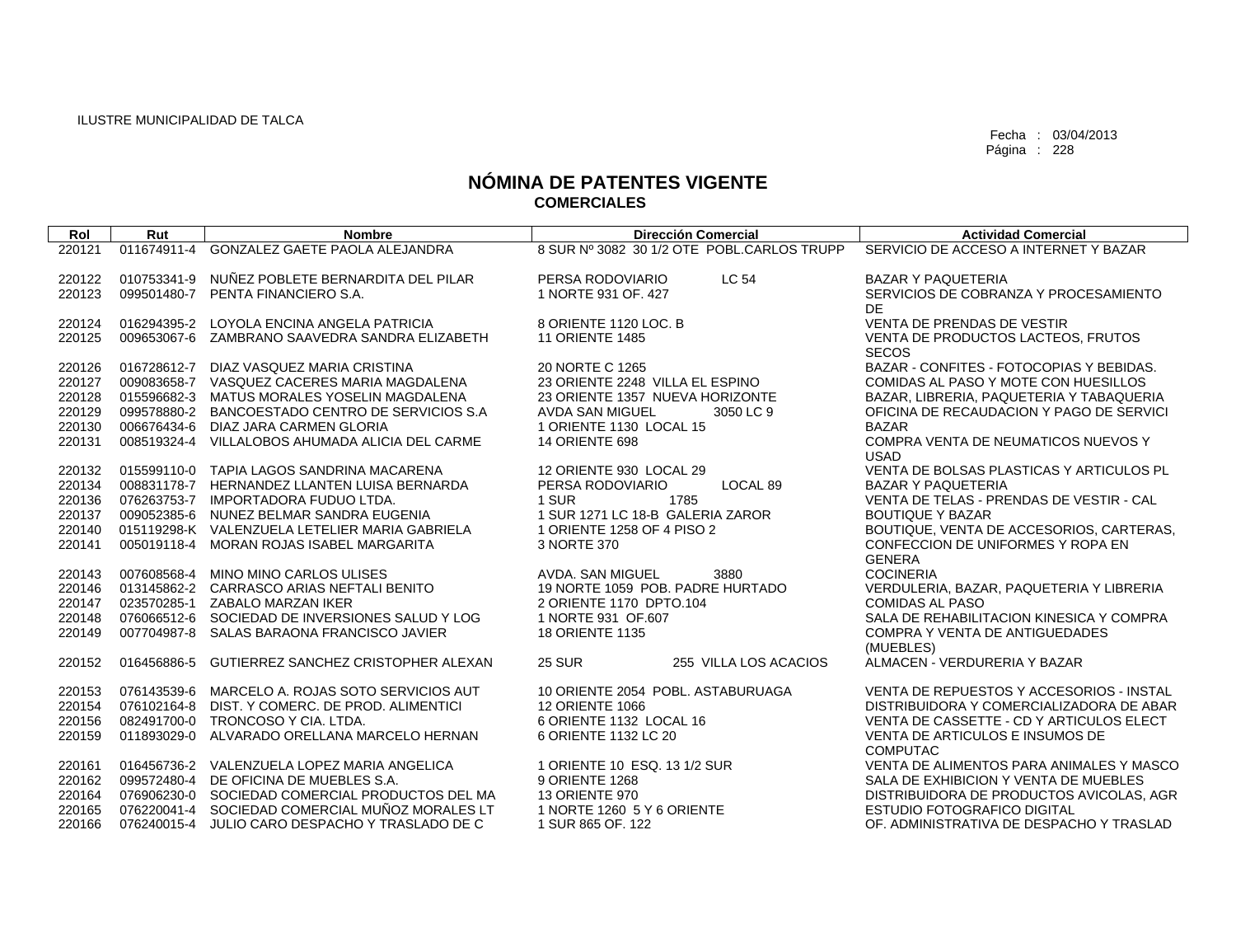| Rol              | Rut         | <b>Nombre</b>                                                             | <b>Dirección Comercial</b>                     | <b>Actividad Comercial</b>                                  |
|------------------|-------------|---------------------------------------------------------------------------|------------------------------------------------|-------------------------------------------------------------|
| 220121           | 011674911-4 | <b>GONZALEZ GAETE PAOLA ALEJANDRA</b>                                     | 8 SUR Nº 3082 30 1/2 OTE POBL.CARLOS TRUPP     | SERVICIO DE ACCESO A INTERNET Y BAZAR                       |
|                  |             |                                                                           |                                                |                                                             |
| 220122           | 010753341-9 | NUÑEZ POBLETE BERNARDITA DEL PILAR                                        | <b>LC 54</b><br>PERSA RODOVIARIO               | <b>BAZAR Y PAQUETERIA</b>                                   |
| 220123           | 099501480-7 | PENTA FINANCIERO S.A.                                                     | 1 NORTE 931 OF, 427                            | SERVICIOS DE COBRANZA Y PROCESAMIENTO                       |
|                  |             |                                                                           |                                                | DE                                                          |
| 220124           |             | 016294395-2 LOYOLA ENCINA ANGELA PATRICIA                                 | 8 ORIENTE 1120 LOC. B                          | <b>VENTA DE PRENDAS DE VESTIR</b>                           |
| 220125           |             | 009653067-6 ZAMBRANO SAAVEDRA SANDRA ELIZABETH                            | <b>11 ORIENTE 1485</b>                         | VENTA DE PRODUCTOS LACTEOS, FRUTOS                          |
|                  |             |                                                                           |                                                | <b>SECOS</b>                                                |
| 220126           | 016728612-7 | DIAZ VASQUEZ MARIA CRISTINA                                               | 20 NORTE C 1265                                | BAZAR - CONFITES - FOTOCOPIAS Y BEBIDAS.                    |
| 220127           |             | 009083658-7 VASQUEZ CACERES MARIA MAGDALENA                               | 23 ORIENTE 2248 VILLA EL ESPINO                | COMIDAS AL PASO Y MOTE CON HUESILLOS                        |
| 220128           |             | 015596682-3 MATUS MORALES YOSELIN MAGDALENA                               | 23 ORIENTE 1357 NUEVA HORIZONTE                | BAZAR, LIBRERIA, PAQUETERIA Y TABAQUERIA                    |
| 220129           | 099578880-2 | BANCOESTADO CENTRO DE SERVICIOS S.A                                       | <b>AVDA SAN MIGUEL</b><br>3050 LC 9            | OFICINA DE RECAUDACION Y PAGO DE SERVICI                    |
| 220130           |             | 006676434-6 DIAZ JARA CARMEN GLORIA                                       | 1 ORIENTE 1130 LOCAL 15                        | <b>BAZAR</b>                                                |
| 220131           |             | 008519324-4 VILLALOBOS AHUMADA ALICIA DEL CARME                           | <b>14 ORIENTE 698</b>                          | COMPRA VENTA DE NEUMATICOS NUEVOS Y                         |
|                  |             | 015599110-0 TAPIA LAGOS SANDRINA MACARENA                                 | 12 ORIENTE 930 LOCAL 29                        | <b>USAD</b><br>VENTA DE BOLSAS PLASTICAS Y ARTICULOS PL     |
| 220132<br>220134 |             | 008831178-7 HERNANDEZ LLANTEN LUISA BERNARDA                              | PERSA RODOVIARIO<br>LOCAL 89                   | <b>BAZAR Y PAQUETERIA</b>                                   |
| 220136           |             | 076263753-7 IMPORTADORA FUDUO LTDA.                                       | 1 SUR<br>1785                                  | VENTA DE TELAS - PRENDAS DE VESTIR - CAL                    |
| 220137           |             | 009052385-6 NUNEZ BELMAR SANDRA EUGENIA                                   | 1 SUR 1271 LC 18-B GALERIA ZAROR               | <b>BOUTIQUE Y BAZAR</b>                                     |
| 220140           |             | 015119298-K VALENZUELA LETELIER MARIA GABRIELA                            | 1 ORIENTE 1258 OF 4 PISO 2                     | BOUTIQUE, VENTA DE ACCESORIOS, CARTERAS,                    |
| 220141           |             | 005019118-4 MORAN ROJAS ISABEL MARGARITA                                  | 3 NORTE 370                                    | CONFECCION DE UNIFORMES Y ROPA EN                           |
|                  |             |                                                                           |                                                | <b>GENERA</b>                                               |
| 220143           | 007608568-4 | MINO MINO CARLOS ULISES                                                   | 3880<br>AVDA, SAN MIGUEL                       | <b>COCINERIA</b>                                            |
| 220146           |             | 013145862-2 CARRASCO ARIAS NEFTALI BENITO                                 | 19 NORTE 1059 POB. PADRE HURTADO               | VERDULERIA, BAZAR, PAQUETERIA Y LIBRERIA                    |
| 220147           |             | 023570285-1 ZABALO MARZAN IKER                                            | 2 ORIENTE 1170 DPTO.104                        | <b>COMIDAS AL PASO</b>                                      |
| 220148           |             | 076066512-6 SOCIEDAD DE INVERSIONES SALUD Y LOG                           | 1 NORTE 931 OF 607                             | SALA DE REHABILITACION KINESICA Y COMPRA                    |
| 220149           |             | 007704987-8 SALAS BARAONA FRANCISCO JAVIER                                | <b>18 ORIENTE 1135</b>                         | COMPRA Y VENTA DE ANTIGUEDADES                              |
|                  |             |                                                                           |                                                | (MUEBLES)                                                   |
| 220152           | 016456886-5 | GUTIERREZ SANCHEZ CRISTOPHER ALEXAN                                       | <b>25 SUR</b><br>255 VILLA LOS ACACIOS         | ALMACEN - VERDURERIA Y BAZAR                                |
|                  |             |                                                                           |                                                |                                                             |
| 220153           | 076143539-6 | MARCELO A. ROJAS SOTO SERVICIOS AUT                                       | 10 ORIENTE 2054 POBL. ASTABURUAGA              | VENTA DE REPUESTOS Y ACCESORIOS - INSTAL                    |
| 220154           | 076102164-8 | DIST. Y COMERC. DE PROD. ALIMENTICI                                       | <b>12 ORIENTE 1066</b>                         | DISTRIBUIDORA Y COMERCIALIZADORA DE ABAR                    |
| 220156           |             | 082491700-0 TRONCOSO Y CIA, LTDA,                                         | 6 ORIENTE 1132 LOCAL 16                        | VENTA DE CASSETTE - CD Y ARTICULOS ELECT                    |
| 220159           |             | 011893029-0 ALVARADO ORELLANA MARCELO HERNAN                              | 6 ORIENTE 1132 LC 20                           | VENTA DE ARTICULOS E INSUMOS DE                             |
|                  |             |                                                                           |                                                | <b>COMPUTAC</b><br>VENTA DE ALIMENTOS PARA ANIMALES Y MASCO |
| 220161<br>220162 | 099572480-4 | 016456736-2 VALENZUELA LOPEZ MARIA ANGELICA<br>DE OFICINA DE MUEBLES S.A. | 1 ORIENTE 10 ESQ, 13 1/2 SUR<br>9 ORIENTE 1268 | SALA DE EXHIBICION Y VENTA DE MUEBLES                       |
| 220164           |             | 076906230-0 SOCIEDAD COMERCIAL PRODUCTOS DEL MA                           | <b>13 ORIENTE 970</b>                          | DISTRIBUIDORA DE PRODUCTOS AVICOLAS, AGR                    |
| 220165           |             | 076220041-4 SOCIEDAD COMERCIAL MUÑOZ MORALES LT                           | 1 NORTE 1260 5 Y 6 ORIENTE                     | <b>ESTUDIO FOTOGRAFICO DIGITAL</b>                          |
| 220166           |             | 076240015-4 JULIO CARO DESPACHO Y TRASLADO DE C                           | 1 SUR 865 OF. 122                              | OF. ADMINISTRATIVA DE DESPACHO Y TRASLAD                    |
|                  |             |                                                                           |                                                |                                                             |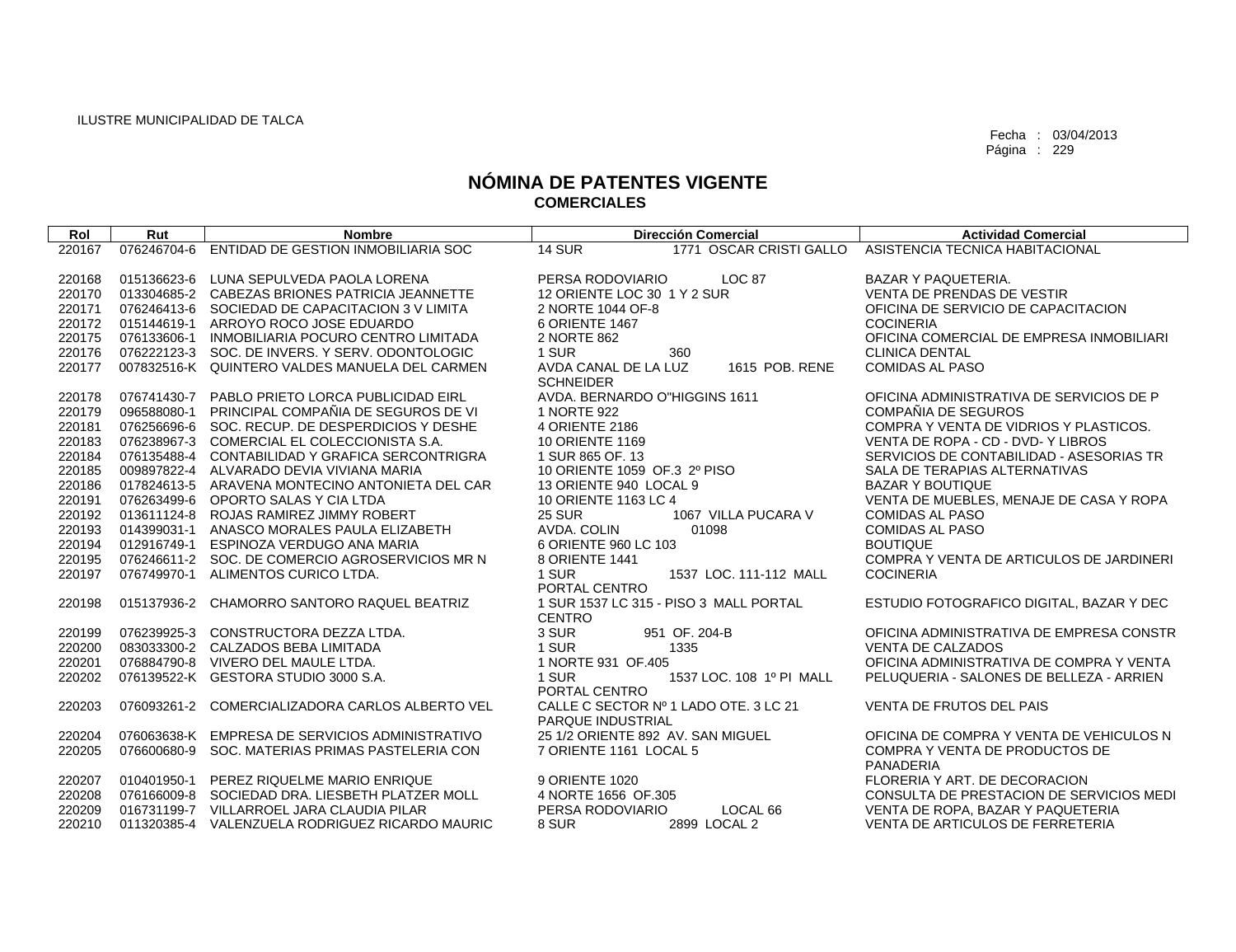| Rol    | Rut         | <b>Nombre</b>                                   | <b>Dirección Comercial</b>             |                          | <b>Actividad Comercial</b>               |
|--------|-------------|-------------------------------------------------|----------------------------------------|--------------------------|------------------------------------------|
| 220167 | 076246704-6 | ENTIDAD DE GESTION INMOBILIARIA SOC             | <b>14 SUR</b>                          | 1771 OSCAR CRISTI GALLO  | ASISTENCIA TECNICA HABITACIONAL          |
|        |             |                                                 |                                        |                          |                                          |
| 220168 | 015136623-6 | LUNA SEPULVEDA PAOLA LORENA                     | PERSA RODOVIARIO                       | <b>LOC 87</b>            | <b>BAZAR Y PAQUETERIA.</b>               |
| 220170 |             | 013304685-2 CABEZAS BRIONES PATRICIA JEANNETTE  | 12 ORIENTE LOC 30 1 Y 2 SUR            |                          | VENTA DE PRENDAS DE VESTIR               |
| 220171 |             | 076246413-6 SOCIEDAD DE CAPACITACION 3 V LIMITA | 2 NORTE 1044 OF-8                      |                          | OFICINA DE SERVICIO DE CAPACITACION      |
| 220172 |             | 015144619-1 ARROYO ROCO JOSE EDUARDO            | 6 ORIENTE 1467                         |                          | <b>COCINERIA</b>                         |
| 220175 |             | 076133606-1 INMOBILIARIA POCURO CENTRO LIMITADA | 2 NORTE 862                            |                          | OFICINA COMERCIAL DE EMPRESA INMOBILIARI |
| 220176 |             | 076222123-3 SOC. DE INVERS. Y SERV. ODONTOLOGIC | 1 SUR                                  | 360                      | <b>CLINICA DENTAL</b>                    |
| 220177 |             | 007832516-K QUINTERO VALDES MANUELA DEL CARMEN  | AVDA CANAL DE LA LUZ                   | 1615 POB, RENE           | <b>COMIDAS AL PASO</b>                   |
|        |             |                                                 | <b>SCHNEIDER</b>                       |                          |                                          |
| 220178 |             | 076741430-7 PABLO PRIETO LORCA PUBLICIDAD EIRL  | AVDA, BERNARDO O"HIGGINS 1611          |                          | OFICINA ADMINISTRATIVA DE SERVICIOS DE P |
| 220179 |             | 096588080-1 PRINCIPAL COMPAÑIA DE SEGUROS DE VI | 1 NORTE 922                            |                          | COMPAÑIA DE SEGUROS                      |
| 220181 |             | 076256696-6 SOC. RECUP. DE DESPERDICIOS Y DESHE | 4 ORIENTE 2186                         |                          | COMPRA Y VENTA DE VIDRIOS Y PLASTICOS.   |
| 220183 |             | 076238967-3 COMERCIAL EL COLECCIONISTA S.A.     | <b>10 ORIENTE 1169</b>                 |                          | VENTA DE ROPA - CD - DVD- Y LIBROS       |
| 220184 |             | 076135488-4 CONTABILIDAD Y GRAFICA SERCONTRIGRA | 1 SUR 865 OF. 13                       |                          | SERVICIOS DE CONTABILIDAD - ASESORIAS TR |
| 220185 |             | 009897822-4 ALVARADO DEVIA VIVIANA MARIA        | 10 ORIENTE 1059 OF 3 2º PISO           |                          | SALA DE TERAPIAS ALTERNATIVAS            |
| 220186 |             | 017824613-5 ARAVENA MONTECINO ANTONIETA DEL CAR | 13 ORIENTE 940 LOCAL 9                 |                          | <b>BAZAR Y BOUTIQUE</b>                  |
| 220191 |             | 076263499-6 OPORTO SALAS Y CIA LTDA             | 10 ORIENTE 1163 LC 4                   |                          | VENTA DE MUEBLES, MENAJE DE CASA Y ROPA  |
| 220192 |             | 013611124-8 ROJAS RAMIREZ JIMMY ROBERT          | <b>25 SUR</b>                          | 1067 VILLA PUCARA V      | <b>COMIDAS AL PASO</b>                   |
| 220193 |             | 014399031-1 ANASCO MORALES PAULA ELIZABETH      | AVDA. COLIN                            | 01098                    | <b>COMIDAS AL PASO</b>                   |
| 220194 |             | 012916749-1 ESPINOZA VERDUGO ANA MARIA          | 6 ORIENTE 960 LC 103                   |                          | <b>BOUTIQUE</b>                          |
| 220195 |             | 076246611-2 SOC. DE COMERCIO AGROSERVICIOS MR N | 8 ORIENTE 1441                         |                          | COMPRA Y VENTA DE ARTICULOS DE JARDINERI |
| 220197 | 076749970-1 | ALIMENTOS CURICO LTDA.                          | 1 SUR                                  | 1537 LOC. 111-112 MALL   | <b>COCINERIA</b>                         |
|        |             |                                                 | PORTAL CENTRO                          |                          |                                          |
| 220198 | 015137936-2 | CHAMORRO SANTORO RAQUEL BEATRIZ                 | 1 SUR 1537 LC 315 - PISO 3 MALL PORTAL |                          | ESTUDIO FOTOGRAFICO DIGITAL, BAZAR Y DEC |
|        |             |                                                 | <b>CENTRO</b>                          |                          |                                          |
| 220199 |             | 076239925-3 CONSTRUCTORA DEZZA LTDA.            | 3 SUR                                  | 951 OF. 204-B            | OFICINA ADMINISTRATIVA DE EMPRESA CONSTR |
| 220200 |             | 083033300-2 CALZADOS BEBA LIMITADA              | 1 SUR                                  | 1335                     | <b>VENTA DE CALZADOS</b>                 |
| 220201 |             | 076884790-8 VIVERO DEL MAULE LTDA.              | 1 NORTE 931 OF.405                     |                          | OFICINA ADMINISTRATIVA DE COMPRA Y VENTA |
| 220202 |             | 076139522-K GESTORA STUDIO 3000 S.A.            | 1 SUR<br>PORTAL CENTRO                 | 1537 LOC, 108 1º PI MALL | PELUQUERIA - SALONES DE BELLEZA - ARRIEN |
| 220203 | 076093261-2 | COMERCIALIZADORA CARLOS ALBERTO VEL             | CALLE C SECTOR Nº 1 LADO OTE. 3 LC 21  |                          | VENTA DE FRUTOS DEL PAIS                 |
|        |             |                                                 | <b>PARQUE INDUSTRIAL</b>               |                          |                                          |
| 220204 |             | 076063638-K EMPRESA DE SERVICIOS ADMINISTRATIVO | 25 1/2 ORIENTE 892 AV. SAN MIGUEL      |                          | OFICINA DE COMPRA Y VENTA DE VEHICULOS N |
| 220205 |             | 076600680-9 SOC. MATERIAS PRIMAS PASTELERIA CON | 7 ORIENTE 1161 LOCAL 5                 |                          | COMPRA Y VENTA DE PRODUCTOS DE           |
|        |             |                                                 |                                        |                          | PANADERIA                                |
| 220207 | 010401950-1 | PEREZ RIQUELME MARIO ENRIQUE                    | 9 ORIENTE 1020                         |                          | FLORERIA Y ART. DE DECORACION            |
| 220208 |             | 076166009-8 SOCIEDAD DRA, LIESBETH PLATZER MOLL | 4 NORTE 1656 OF 305                    |                          | CONSULTA DE PRESTACION DE SERVICIOS MEDI |
| 220209 |             | 016731199-7 VILLARROEL JARA CLAUDIA PILAR       | PERSA RODOVIARIO                       | LOCAL 66                 | VENTA DE ROPA, BAZAR Y PAQUETERIA        |
| 220210 |             | 011320385-4 VALENZUELA RODRIGUEZ RICARDO MAURIC | 8 SUR                                  | 2899 LOCAL 2             | VENTA DE ARTICULOS DE FERRETERIA         |
|        |             |                                                 |                                        |                          |                                          |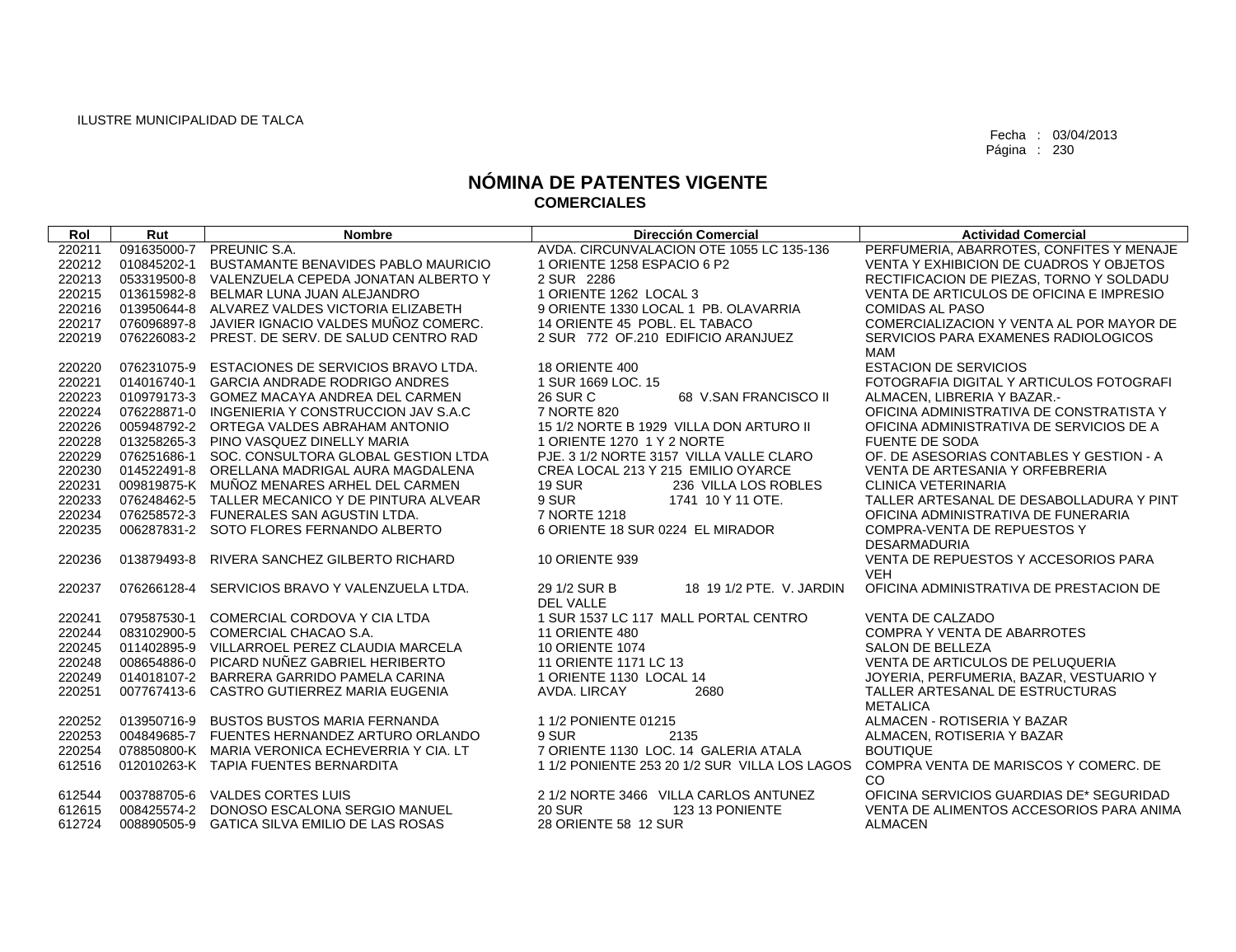| Rol              | Rut         | <b>Nombre</b>                                   | Dirección Comercial                           | <b>Actividad Comercial</b>                                 |
|------------------|-------------|-------------------------------------------------|-----------------------------------------------|------------------------------------------------------------|
| 220211           |             | 091635000-7 PREUNIC S.A.                        | AVDA, CIRCUNVALACION OTE 1055 LC 135-136      | PERFUMERIA, ABARROTES, CONFITES Y MENAJE                   |
| 220212           | 010845202-1 | BUSTAMANTE BENAVIDES PABLO MAURICIO             | 1 ORIENTE 1258 ESPACIO 6 P2                   | VENTA Y EXHIBICION DE CUADROS Y OBJETOS                    |
| 220213           |             | 053319500-8 VALENZUELA CEPEDA JONATAN ALBERTO Y | 2 SUR 2286                                    | RECTIFICACION DE PIEZAS, TORNO Y SOLDADU                   |
| 220215           |             | 013615982-8 BELMAR LUNA JUAN ALEJANDRO          | 1 ORIENTE 1262 LOCAL 3                        | VENTA DE ARTICULOS DE OFICINA E IMPRESIO                   |
| 220216           |             | 013950644-8 ALVAREZ VALDES VICTORIA ELIZABETH   | 9 ORIENTE 1330 LOCAL 1 PB. OLAVARRIA          | <b>COMIDAS AL PASO</b>                                     |
| 220217           | 076096897-8 | JAVIER IGNACIO VALDES MUÑOZ COMERC.             | 14 ORIENTE 45 POBL. EL TABACO                 | COMERCIALIZACION Y VENTA AL POR MAYOR DE                   |
| 220219           |             | 076226083-2 PREST. DE SERV. DE SALUD CENTRO RAD | 2 SUR 772 OF 210 EDIFICIO ARANJUEZ            | SERVICIOS PARA EXAMENES RADIOLOGICOS                       |
|                  |             |                                                 |                                               | <b>MAM</b>                                                 |
| 220220           | 076231075-9 | ESTACIONES DE SERVICIOS BRAVO LTDA.             | 18 ORIENTE 400                                | <b>ESTACION DE SERVICIOS</b>                               |
| 220221           | 014016740-1 | <b>GARCIA ANDRADE RODRIGO ANDRES</b>            | 1 SUR 1669 LOC. 15                            | FOTOGRAFIA DIGITAL Y ARTICULOS FOTOGRAFI                   |
| 220223           |             | 010979173-3 GOMEZ MACAYA ANDREA DEL CARMEN      | <b>26 SUR C</b><br>68 V.SAN FRANCISCO II      | ALMACEN, LIBRERIA Y BAZAR.-                                |
| 220224           |             | 076228871-0 INGENIERIA Y CONSTRUCCION JAV S.A.C | 7 NORTE 820                                   | OFICINA ADMINISTRATIVA DE CONSTRATISTA Y                   |
| 220226           |             | 005948792-2 ORTEGA VALDES ABRAHAM ANTONIO       | 15 1/2 NORTE B 1929 VILLA DON ARTURO II       | OFICINA ADMINISTRATIVA DE SERVICIOS DE A                   |
| 220228           |             | 013258265-3 PINO VASQUEZ DINELLY MARIA          | 1 ORIENTE 1270 1 Y 2 NORTE                    | <b>FUENTE DE SODA</b>                                      |
| 220229           |             | 076251686-1 SOC, CONSULTORA GLOBAL GESTION LTDA | PJE. 3 1/2 NORTE 3157 VILLA VALLE CLARO       | OF. DE ASESORIAS CONTABLES Y GESTION - A                   |
| 220230           |             | 014522491-8 ORELLANA MADRIGAL AURA MAGDALENA    | CREA LOCAL 213 Y 215 EMILIO OYARCE            | VENTA DE ARTESANIA Y ORFEBRERIA                            |
| 220231           |             | 009819875-K MUÑOZ MENARES ARHEL DEL CARMEN      | <b>19 SUR</b><br>236 VILLA LOS ROBLES         | <b>CLINICA VETERINARIA</b>                                 |
| 220233           |             | 076248462-5 TALLER MECANICO Y DE PINTURA ALVEAR | 9 SUR<br>1741 10 Y 11 OTE.                    | TALLER ARTESANAL DE DESABOLLADURA Y PINT                   |
| 220234           |             | 076258572-3 FUNERALES SAN AGUSTIN LTDA.         | 7 NORTE 1218                                  | OFICINA ADMINISTRATIVA DE FUNERARIA                        |
| 220235           |             | 006287831-2 SOTO FLORES FERNANDO ALBERTO        | 6 ORIENTE 18 SUR 0224 EL MIRADOR              | <b>COMPRA-VENTA DE REPUESTOS Y</b>                         |
|                  |             |                                                 |                                               | <b>DESARMADURIA</b>                                        |
| 220236           | 013879493-8 | RIVERA SANCHEZ GILBERTO RICHARD                 | <b>10 ORIENTE 939</b>                         | VENTA DE REPUESTOS Y ACCESORIOS PARA                       |
|                  |             |                                                 |                                               | <b>VEH</b>                                                 |
| 220237           | 076266128-4 | SERVICIOS BRAVO Y VALENZUELA LTDA.              | 29 1/2 SUR B<br>18 19 1/2 PTE, V. JARDIN      | OFICINA ADMINISTRATIVA DE PRESTACION DE                    |
|                  |             |                                                 | <b>DEL VALLE</b>                              |                                                            |
| 220241           | 079587530-1 | COMERCIAL CORDOVA Y CIA LTDA                    | 1 SUR 1537 LC 117 MALL PORTAL CENTRO          | <b>VENTA DE CALZADO</b>                                    |
| 220244           |             | 083102900-5 COMERCIAL CHACAO S.A.               | 11 ORIENTE 480                                | <b>COMPRA Y VENTA DE ABARROTES</b>                         |
| 220245           |             | 011402895-9 VILLARROEL PEREZ CLAUDIA MARCELA    | <b>10 ORIENTE 1074</b>                        | <b>SALON DE BELLEZA</b>                                    |
| 220248           |             | 008654886-0 PICARD NUÑEZ GABRIEL HERIBERTO      | 11 ORIENTE 1171 LC 13                         | VENTA DE ARTICULOS DE PELUQUERIA                           |
| 220249           |             | 014018107-2 BARRERA GARRIDO PAMELA CARINA       | 1 ORIENTE 1130 LOCAL 14                       | JOYERIA, PERFUMERIA, BAZAR, VESTUARIO Y                    |
| 220251           |             | 007767413-6 CASTRO GUTIERREZ MARIA EUGENIA      | AVDA, LIRCAY<br>2680                          | TALLER ARTESANAL DE ESTRUCTURAS                            |
|                  |             |                                                 |                                               | <b>METALICA</b>                                            |
| 220252           | 013950716-9 | <b>BUSTOS BUSTOS MARIA FERNANDA</b>             | 11/2 PONIENTE 01215                           | ALMACEN - ROTISERIA Y BAZAR                                |
| 220253           |             | 004849685-7 FUENTES HERNANDEZ ARTURO ORLANDO    | 9 SUR<br>2135                                 | ALMACEN, ROTISERIA Y BAZAR                                 |
| 220254           |             | 078850800-K MARIA VERONICA ECHEVERRIA Y CIA. LT | 7 ORIENTE 1130 LOC. 14 GALERIA ATALA          | <b>BOUTIQUE</b>                                            |
| 612516           |             | 012010263-K TAPIA FUENTES BERNARDITA            | 1 1/2 PONIENTE 253 20 1/2 SUR VILLA LOS LAGOS | COMPRA VENTA DE MARISCOS Y COMERC. DE                      |
|                  |             | 003788705-6 VALDES CORTES LUIS                  | 2 1/2 NORTE 3466 VILLA CARLOS ANTUNEZ         | CO<br>OFICINA SERVICIOS GUARDIAS DE* SEGURIDAD             |
| 612544           |             | DONOSO ESCALONA SERGIO MANUEL                   | <b>20 SUR</b><br>123 13 PONIENTE              |                                                            |
| 612615<br>612724 | 008425574-2 | 008890505-9 GATICA SILVA EMILIO DE LAS ROSAS    | 28 ORIENTE 58 12 SUR                          | VENTA DE ALIMENTOS ACCESORIOS PARA ANIMA<br><b>ALMACEN</b> |
|                  |             |                                                 |                                               |                                                            |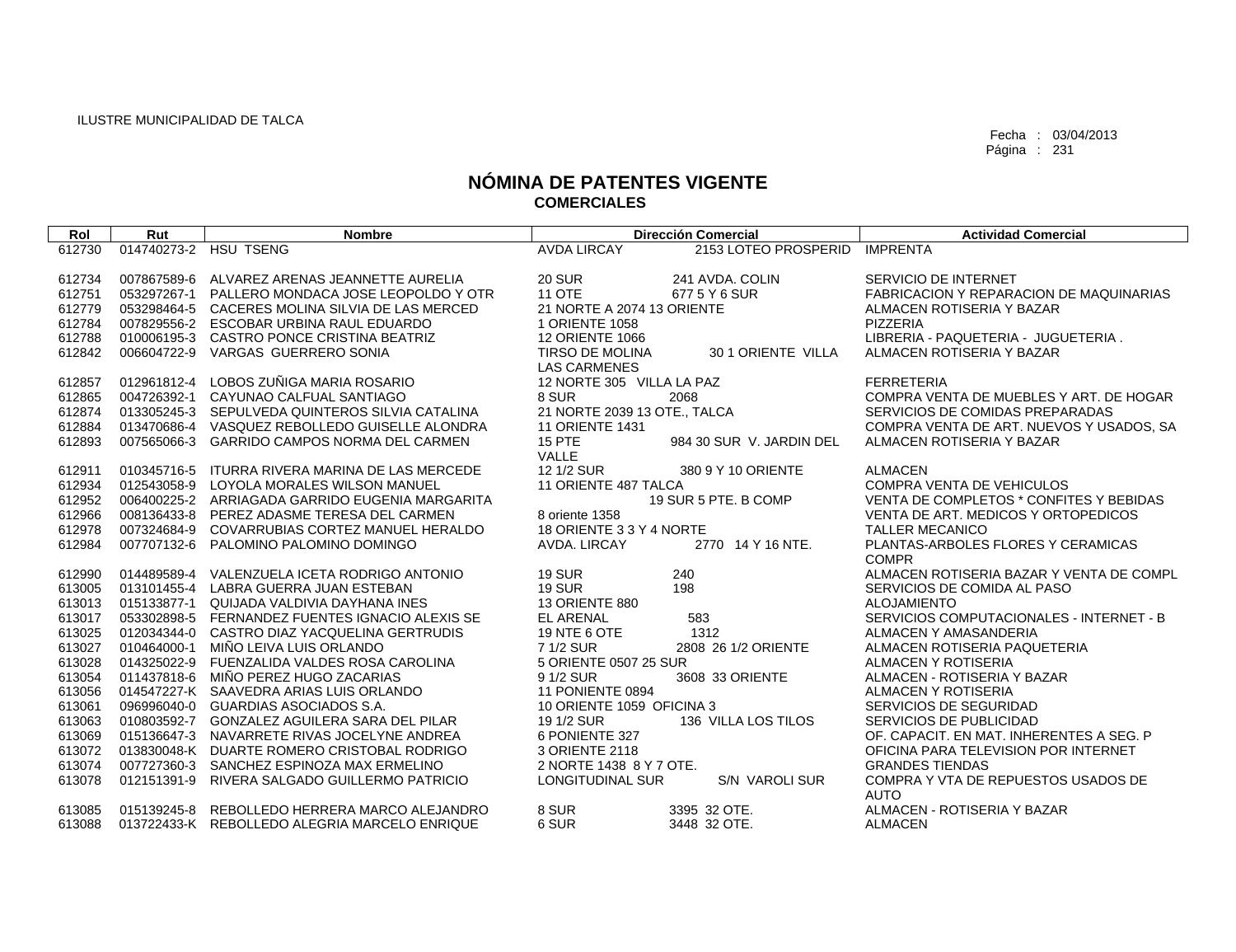| Rol    | Rut         | <b>Nombre</b>                                   | <b>Dirección Comercial</b>                |                          | <b>Actividad Comercial</b>                                     |
|--------|-------------|-------------------------------------------------|-------------------------------------------|--------------------------|----------------------------------------------------------------|
| 612730 |             | 014740273-2 HSU TSENG                           | <b>AVDA LIRCAY</b>                        | 2153 LOTEO PROSPERID     | <b>IMPRENTA</b>                                                |
|        |             |                                                 |                                           |                          |                                                                |
| 612734 |             | 007867589-6 ALVAREZ ARENAS JEANNETTE AURELIA    | <b>20 SUR</b>                             | 241 AVDA, COLIN          | SERVICIO DE INTERNET                                           |
| 612751 | 053297267-1 | PALLERO MONDACA JOSE LEOPOLDO Y OTR             | <b>11 OTE</b>                             | 677 5 Y 6 SUR            | <b>FABRICACION Y REPARACION DE MAQUINARIAS</b>                 |
| 612779 | 053298464-5 | CACERES MOLINA SILVIA DE LAS MERCED             | 21 NORTE A 2074 13 ORIENTE                |                          | ALMACEN ROTISERIA Y BAZAR                                      |
| 612784 | 007829556-2 | ESCOBAR URBINA RAUL EDUARDO                     | 1 ORIENTE 1058                            |                          | PIZZERIA                                                       |
| 612788 | 010006195-3 | CASTRO PONCE CRISTINA BEATRIZ                   | <b>12 ORIENTE 1066</b>                    |                          | LIBRERIA - PAQUETERIA - JUGUETERIA.                            |
| 612842 | 006604722-9 | VARGAS GUERRERO SONIA                           | TIRSO DE MOLINA                           | 30 1 ORIENTE VILLA       | ALMACEN ROTISERIA Y BAZAR                                      |
|        |             |                                                 | <b>LAS CARMENES</b>                       |                          |                                                                |
| 612857 | 012961812-4 | LOBOS ZUÑIGA MARIA ROSARIO                      | 12 NORTE 305 VILLA LA PAZ                 |                          | <b>FERRETERIA</b>                                              |
| 612865 | 004726392-1 | CAYUNAO CALFUAL SANTIAGO                        | 8 SUR                                     | 2068                     | COMPRA VENTA DE MUEBLES Y ART. DE HOGAR                        |
| 612874 | 013305245-3 | SEPULVEDA QUINTEROS SILVIA CATALINA             | 21 NORTE 2039 13 OTE., TALCA              |                          | SERVICIOS DE COMIDAS PREPARADAS                                |
| 612884 | 013470686-4 | VASQUEZ REBOLLEDO GUISELLE ALONDRA              | <b>11 ORIENTE 1431</b>                    |                          | COMPRA VENTA DE ART. NUEVOS Y USADOS, SA                       |
| 612893 | 007565066-3 | <b>GARRIDO CAMPOS NORMA DEL CARMEN</b>          | 15 PTE                                    | 984 30 SUR V. JARDIN DEL | ALMACEN ROTISERIA Y BAZAR                                      |
|        |             |                                                 | VALLE                                     |                          |                                                                |
| 612911 |             | 010345716-5 ITURRA RIVERA MARINA DE LAS MERCEDE | 12 1/2 SUR                                | 380 9 Y 10 ORIENTE       | <b>ALMACEN</b>                                                 |
| 612934 |             | 012543058-9 LOYOLA MORALES WILSON MANUEL        | 11 ORIENTE 487 TALCA                      |                          | <b>COMPRA VENTA DE VEHICULOS</b>                               |
| 612952 |             | 006400225-2 ARRIAGADA GARRIDO EUGENIA MARGARITA |                                           | 19 SUR 5 PTE. B COMP     | VENTA DE COMPLETOS * CONFITES Y BEBIDAS                        |
| 612966 |             | 008136433-8 PEREZ ADASME TERESA DEL CARMEN      | 8 oriente 1358                            |                          | VENTA DE ART. MEDICOS Y ORTOPEDICOS                            |
| 612978 |             | 007324684-9 COVARRUBIAS CORTEZ MANUEL HERALDO   | 18 ORIENTE 3 3 Y 4 NORTE                  |                          | <b>TALLER MECANICO</b>                                         |
| 612984 |             | 007707132-6 PALOMINO PALOMINO DOMINGO           | AVDA. LIRCAY                              | 2770 14 Y 16 NTE.        | PLANTAS-ARBOLES FLORES Y CERAMICAS                             |
|        |             |                                                 |                                           |                          | <b>COMPR</b>                                                   |
| 612990 |             | 014489589-4 VALENZUELA ICETA RODRIGO ANTONIO    | <b>19 SUR</b>                             | 240                      | ALMACEN ROTISERIA BAZAR Y VENTA DE COMPL                       |
| 613005 |             | 013101455-4 LABRA GUERRA JUAN ESTEBAN           | <b>19 SUR</b>                             | 198                      | SERVICIOS DE COMIDA AL PASO                                    |
| 613013 | 015133877-1 | QUIJADA VALDIVIA DAYHANA INES                   | <b>13 ORIENTE 880</b>                     |                          | <b>ALOJAMIENTO</b>                                             |
| 613017 |             | 053302898-5 FERNANDEZ FUENTES IGNACIO ALEXIS SE | <b>EL ARENAL</b>                          | 583                      | SERVICIOS COMPUTACIONALES - INTERNET - B                       |
| 613025 | 012034344-0 | CASTRO DIAZ YACQUELINA GERTRUDIS                | 19 NTE 6 OTE                              | 1312                     | ALMACEN Y AMASANDERIA                                          |
| 613027 | 010464000-1 | MIÑO LEIVA LUIS ORLANDO                         | 7 1/2 SUR                                 | 2808 26 1/2 ORIENTE      | ALMACEN ROTISERIA PAQUETERIA                                   |
| 613028 |             | 014325022-9 FUENZALIDA VALDES ROSA CAROLINA     | 5 ORIENTE 0507 25 SUR                     |                          | ALMACEN Y ROTISERIA                                            |
| 613054 |             | 011437818-6 MIÑO PEREZ HUGO ZACARIAS            | 9 1/2 SUR                                 | 3608 33 ORIENTE          | ALMACEN - ROTISERIA Y BAZAR                                    |
| 613056 |             | 014547227-K SAAVEDRA ARIAS LUIS ORLANDO         | 11 PONIENTE 0894                          |                          | ALMACEN Y ROTISERIA                                            |
| 613061 | 096996040-0 | GUARDIAS ASOCIADOS S.A.                         | 10 ORIENTE 1059 OFICINA 3                 |                          | SERVICIOS DE SEGURIDAD                                         |
| 613063 |             | 010803592-7 GONZALEZ AGUILERA SARA DEL PILAR    | 19 1/2 SUR<br>6 PONIENTE 327              | 136 VILLA LOS TILOS      | <b>SERVICIOS DE PUBLICIDAD</b>                                 |
| 613069 |             | 015136647-3 NAVARRETE RIVAS JOCELYNE ANDREA     |                                           |                          | OF, CAPACIT, EN MAT, INHERENTES A SEG. P                       |
| 613072 |             | 013830048-K DUARTE ROMERO CRISTOBAL RODRIGO     | 3 ORIENTE 2118<br>2 NORTE 1438 8 Y 7 OTE. |                          | OFICINA PARA TELEVISION POR INTERNET<br><b>GRANDES TIENDAS</b> |
| 613074 |             | 007727360-3 SANCHEZ ESPINOZA MAX ERMELINO       | <b>LONGITUDINAL SUR</b>                   | <b>S/N VAROLI SUR</b>    | COMPRA Y VTA DE REPUESTOS USADOS DE                            |
| 613078 | 012151391-9 | RIVERA SALGADO GUILLERMO PATRICIO               |                                           |                          | <b>AUTO</b>                                                    |
| 613085 |             | 015139245-8 REBOLLEDO HERRERA MARCO ALEJANDRO   | 8 SUR                                     | 3395 32 OTE.             | ALMACEN - ROTISERIA Y BAZAR                                    |
| 613088 |             | 013722433-K REBOLLEDO ALEGRIA MARCELO ENRIQUE   | 6 SUR                                     | 3448 32 OTE.             | <b>ALMACEN</b>                                                 |
|        |             |                                                 |                                           |                          |                                                                |